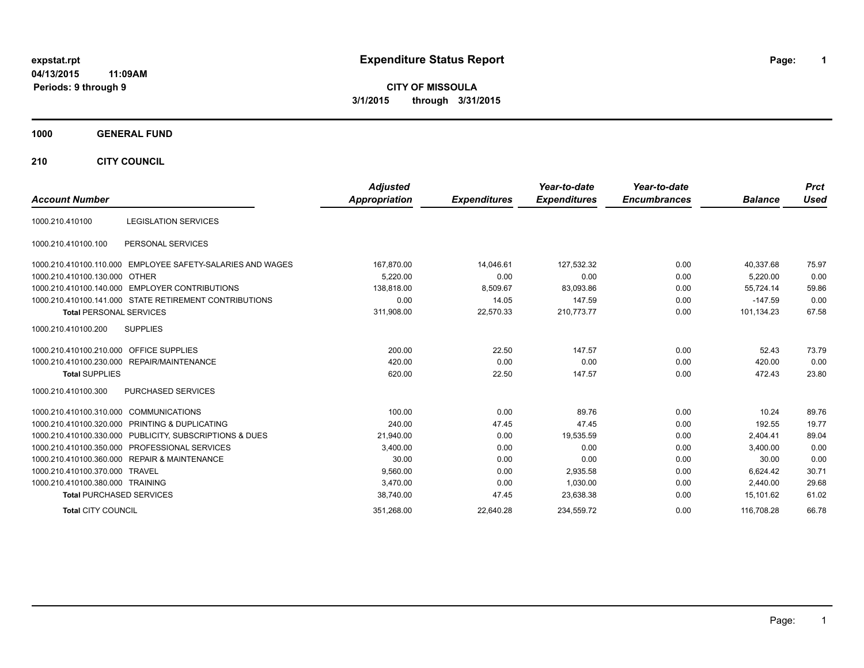# **expstat.rpt Expenditure Status Report Page:**

**1**

**CITY OF MISSOULA 3/1/2015 through 3/31/2015**

### **1000 GENERAL FUND**

**210 CITY COUNCIL**

|                                                               | <b>Adjusted</b> |                     | Year-to-date        | Year-to-date        |                | <b>Prct</b> |
|---------------------------------------------------------------|-----------------|---------------------|---------------------|---------------------|----------------|-------------|
| <b>Account Number</b>                                         | Appropriation   | <b>Expenditures</b> | <b>Expenditures</b> | <b>Encumbrances</b> | <b>Balance</b> | <b>Used</b> |
| <b>LEGISLATION SERVICES</b><br>1000.210.410100                |                 |                     |                     |                     |                |             |
| PERSONAL SERVICES<br>1000.210.410100.100                      |                 |                     |                     |                     |                |             |
| EMPLOYEE SAFETY-SALARIES AND WAGES<br>1000.210.410100.110.000 | 167,870.00      | 14,046.61           | 127,532.32          | 0.00                | 40.337.68      | 75.97       |
| 1000.210.410100.130.000 OTHER                                 | 5.220.00        | 0.00                | 0.00                | 0.00                | 5,220.00       | 0.00        |
| 1000.210.410100.140.000 EMPLOYER CONTRIBUTIONS                | 138.818.00      | 8,509.67            | 83,093.86           | 0.00                | 55.724.14      | 59.86       |
| 1000.210.410100.141.000 STATE RETIREMENT CONTRIBUTIONS        | 0.00            | 14.05               | 147.59              | 0.00                | $-147.59$      | 0.00        |
| <b>Total PERSONAL SERVICES</b>                                | 311,908.00      | 22,570.33           | 210,773.77          | 0.00                | 101,134.23     | 67.58       |
| <b>SUPPLIES</b><br>1000.210.410100.200                        |                 |                     |                     |                     |                |             |
| 1000.210.410100.210.000 OFFICE SUPPLIES                       | 200.00          | 22.50               | 147.57              | 0.00                | 52.43          | 73.79       |
| 1000.210.410100.230.000 REPAIR/MAINTENANCE                    | 420.00          | 0.00                | 0.00                | 0.00                | 420.00         | 0.00        |
| <b>Total SUPPLIES</b>                                         | 620.00          | 22.50               | 147.57              | 0.00                | 472.43         | 23.80       |
| PURCHASED SERVICES<br>1000.210.410100.300                     |                 |                     |                     |                     |                |             |
| <b>COMMUNICATIONS</b><br>1000.210.410100.310.000              | 100.00          | 0.00                | 89.76               | 0.00                | 10.24          | 89.76       |
| 1000.210.410100.320.000 PRINTING & DUPLICATING                | 240.00          | 47.45               | 47.45               | 0.00                | 192.55         | 19.77       |
| 1000.210.410100.330.000 PUBLICITY, SUBSCRIPTIONS & DUES       | 21,940.00       | 0.00                | 19,535.59           | 0.00                | 2,404.41       | 89.04       |
| 1000.210.410100.350.000<br><b>PROFESSIONAL SERVICES</b>       | 3,400.00        | 0.00                | 0.00                | 0.00                | 3.400.00       | 0.00        |
| 1000.210.410100.360.000 REPAIR & MAINTENANCE                  | 30.00           | 0.00                | 0.00                | 0.00                | 30.00          | 0.00        |
| 1000.210.410100.370.000 TRAVEL                                | 9,560.00        | 0.00                | 2,935.58            | 0.00                | 6,624.42       | 30.71       |
| 1000.210.410100.380.000 TRAINING                              | 3.470.00        | 0.00                | 1,030.00            | 0.00                | 2.440.00       | 29.68       |
| <b>Total PURCHASED SERVICES</b>                               | 38,740.00       | 47.45               | 23,638.38           | 0.00                | 15,101.62      | 61.02       |
| <b>Total CITY COUNCIL</b>                                     | 351,268.00      | 22,640.28           | 234,559.72          | 0.00                | 116.708.28     | 66.78       |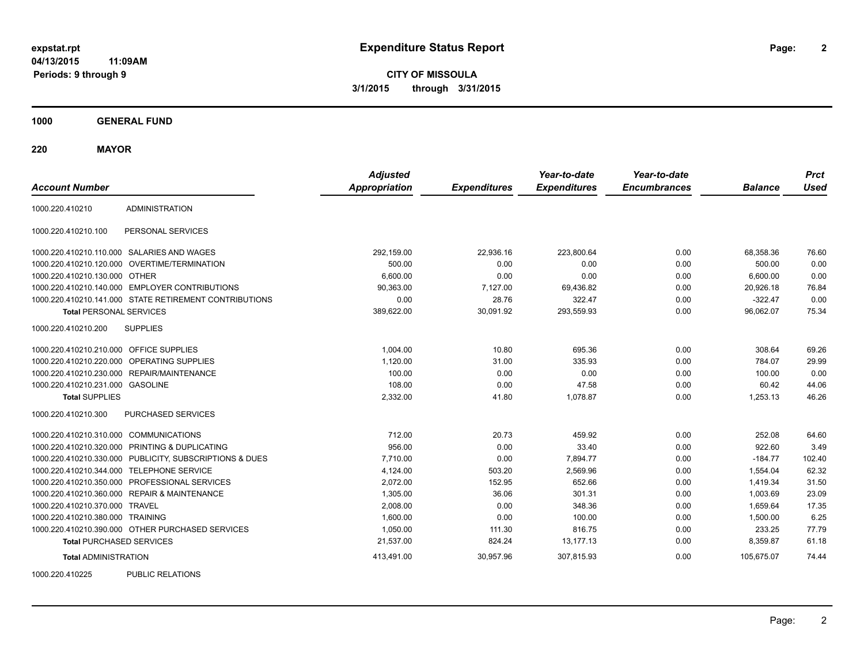**CITY OF MISSOULA 3/1/2015 through 3/31/2015**

**1000 GENERAL FUND**

**220 MAYOR**

| <b>Account Number</b>                     |                                                         | <b>Adjusted</b><br><b>Appropriation</b> | <b>Expenditures</b> | Year-to-date<br><b>Expenditures</b> | Year-to-date<br><b>Encumbrances</b> | <b>Balance</b> | <b>Prct</b><br><b>Used</b> |
|-------------------------------------------|---------------------------------------------------------|-----------------------------------------|---------------------|-------------------------------------|-------------------------------------|----------------|----------------------------|
| 1000.220.410210                           | <b>ADMINISTRATION</b>                                   |                                         |                     |                                     |                                     |                |                            |
| 1000.220.410210.100                       | PERSONAL SERVICES                                       |                                         |                     |                                     |                                     |                |                            |
|                                           | 1000.220.410210.110.000 SALARIES AND WAGES              | 292,159.00                              | 22.936.16           | 223.800.64                          | 0.00                                | 68.358.36      | 76.60                      |
|                                           | 1000.220.410210.120.000 OVERTIME/TERMINATION            | 500.00                                  | 0.00                | 0.00                                | 0.00                                | 500.00         | 0.00                       |
| 1000.220.410210.130.000 OTHER             |                                                         | 6,600.00                                | 0.00                | 0.00                                | 0.00                                | 6,600.00       | 0.00                       |
|                                           | 1000.220.410210.140.000 EMPLOYER CONTRIBUTIONS          | 90,363.00                               | 7,127.00            | 69,436.82                           | 0.00                                | 20,926.18      | 76.84                      |
|                                           | 1000.220.410210.141.000 STATE RETIREMENT CONTRIBUTIONS  | 0.00                                    | 28.76               | 322.47                              | 0.00                                | $-322.47$      | 0.00                       |
| <b>Total PERSONAL SERVICES</b>            |                                                         | 389,622.00                              | 30,091.92           | 293,559.93                          | 0.00                                | 96.062.07      | 75.34                      |
| 1000.220.410210.200                       | <b>SUPPLIES</b>                                         |                                         |                     |                                     |                                     |                |                            |
| 1000.220.410210.210.000 OFFICE SUPPLIES   |                                                         | 1.004.00                                | 10.80               | 695.36                              | 0.00                                | 308.64         | 69.26                      |
|                                           | 1000.220.410210.220.000 OPERATING SUPPLIES              | 1,120.00                                | 31.00               | 335.93                              | 0.00                                | 784.07         | 29.99                      |
| 1000.220.410210.230.000                   | REPAIR/MAINTENANCE                                      | 100.00                                  | 0.00                | 0.00                                | 0.00                                | 100.00         | 0.00                       |
| 1000.220.410210.231.000 GASOLINE          |                                                         | 108.00                                  | 0.00                | 47.58                               | 0.00                                | 60.42          | 44.06                      |
| <b>Total SUPPLIES</b>                     |                                                         | 2,332.00                                | 41.80               | 1,078.87                            | 0.00                                | 1,253.13       | 46.26                      |
| 1000.220.410210.300                       | <b>PURCHASED SERVICES</b>                               |                                         |                     |                                     |                                     |                |                            |
| 1000.220.410210.310.000 COMMUNICATIONS    |                                                         | 712.00                                  | 20.73               | 459.92                              | 0.00                                | 252.08         | 64.60                      |
|                                           | 1000.220.410210.320.000 PRINTING & DUPLICATING          | 956.00                                  | 0.00                | 33.40                               | 0.00                                | 922.60         | 3.49                       |
|                                           | 1000.220.410210.330.000 PUBLICITY, SUBSCRIPTIONS & DUES | 7,710.00                                | 0.00                | 7,894.77                            | 0.00                                | $-184.77$      | 102.40                     |
| 1000.220.410210.344.000 TELEPHONE SERVICE |                                                         | 4,124.00                                | 503.20              | 2,569.96                            | 0.00                                | 1,554.04       | 62.32                      |
|                                           | 1000.220.410210.350.000 PROFESSIONAL SERVICES           | 2,072.00                                | 152.95              | 652.66                              | 0.00                                | 1,419.34       | 31.50                      |
|                                           | 1000.220.410210.360.000 REPAIR & MAINTENANCE            | 1,305.00                                | 36.06               | 301.31                              | 0.00                                | 1,003.69       | 23.09                      |
| 1000.220.410210.370.000 TRAVEL            |                                                         | 2.008.00                                | 0.00                | 348.36                              | 0.00                                | 1.659.64       | 17.35                      |
| 1000.220.410210.380.000 TRAINING          |                                                         | 1,600.00                                | 0.00                | 100.00                              | 0.00                                | 1,500.00       | 6.25                       |
|                                           | 1000.220.410210.390.000 OTHER PURCHASED SERVICES        | 1,050.00                                | 111.30              | 816.75                              | 0.00                                | 233.25         | 77.79                      |
| <b>Total PURCHASED SERVICES</b>           |                                                         | 21,537.00                               | 824.24              | 13,177.13                           | 0.00                                | 8,359.87       | 61.18                      |
| <b>Total ADMINISTRATION</b>               |                                                         | 413,491.00                              | 30,957.96           | 307,815.93                          | 0.00                                | 105.675.07     | 74.44                      |
| 1000000110000                             | BURLIO BEL ITIOHO                                       |                                         |                     |                                     |                                     |                |                            |

1000.220.410225 PUBLIC RELATIONS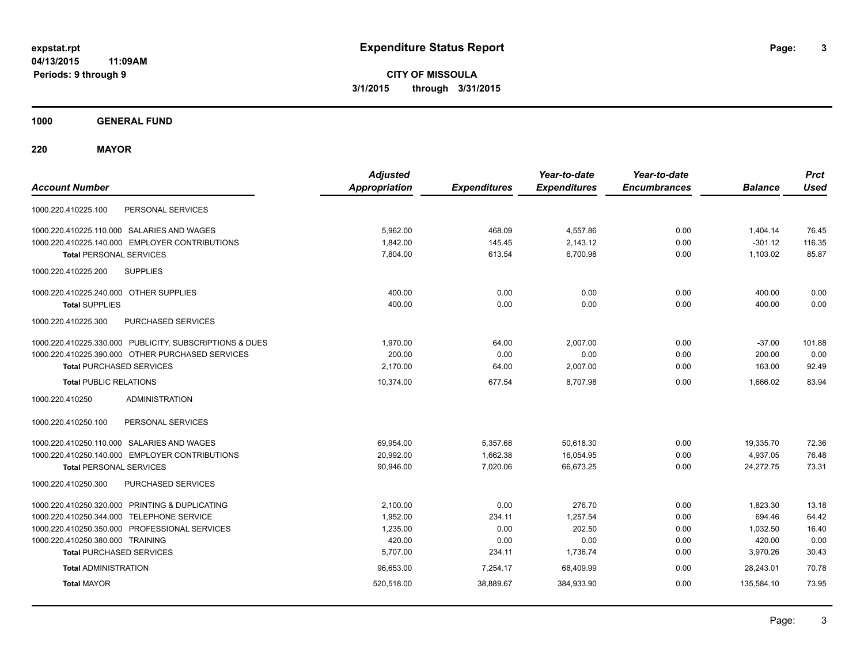**CITY OF MISSOULA 3/1/2015 through 3/31/2015**

**1000 GENERAL FUND**

**220 MAYOR**

| <b>Account Number</b>                                   | <b>Adjusted</b><br><b>Appropriation</b> | <b>Expenditures</b> | Year-to-date<br><b>Expenditures</b> | Year-to-date<br><b>Encumbrances</b> | <b>Balance</b> | <b>Prct</b><br><b>Used</b> |
|---------------------------------------------------------|-----------------------------------------|---------------------|-------------------------------------|-------------------------------------|----------------|----------------------------|
| PERSONAL SERVICES<br>1000.220.410225.100                |                                         |                     |                                     |                                     |                |                            |
| 1000.220.410225.110.000 SALARIES AND WAGES              | 5,962.00                                | 468.09              | 4,557.86                            | 0.00                                | 1,404.14       | 76.45                      |
| 1000.220.410225.140.000 EMPLOYER CONTRIBUTIONS          | 1,842.00                                | 145.45              | 2,143.12                            | 0.00                                | $-301.12$      | 116.35                     |
| <b>Total PERSONAL SERVICES</b>                          | 7,804.00                                | 613.54              | 6,700.98                            | 0.00                                | 1,103.02       | 85.87                      |
| <b>SUPPLIES</b><br>1000.220.410225.200                  |                                         |                     |                                     |                                     |                |                            |
| 1000.220.410225.240.000 OTHER SUPPLIES                  | 400.00                                  | 0.00                | 0.00                                | 0.00                                | 400.00         | 0.00                       |
| <b>Total SUPPLIES</b>                                   | 400.00                                  | 0.00                | 0.00                                | 0.00                                | 400.00         | 0.00                       |
| 1000.220.410225.300<br><b>PURCHASED SERVICES</b>        |                                         |                     |                                     |                                     |                |                            |
| 1000.220.410225.330.000 PUBLICITY, SUBSCRIPTIONS & DUES | 1.970.00                                | 64.00               | 2,007.00                            | 0.00                                | $-37.00$       | 101.88                     |
| 1000.220.410225.390.000 OTHER PURCHASED SERVICES        | 200.00                                  | 0.00                | 0.00                                | 0.00                                | 200.00         | 0.00                       |
| <b>Total PURCHASED SERVICES</b>                         | 2.170.00                                | 64.00               | 2,007.00                            | 0.00                                | 163.00         | 92.49                      |
| <b>Total PUBLIC RELATIONS</b>                           | 10,374.00                               | 677.54              | 8,707.98                            | 0.00                                | 1,666.02       | 83.94                      |
| 1000.220.410250<br><b>ADMINISTRATION</b>                |                                         |                     |                                     |                                     |                |                            |
| PERSONAL SERVICES<br>1000.220.410250.100                |                                         |                     |                                     |                                     |                |                            |
| 1000.220.410250.110.000 SALARIES AND WAGES              | 69.954.00                               | 5,357.68            | 50.618.30                           | 0.00                                | 19.335.70      | 72.36                      |
| 1000.220.410250.140.000 EMPLOYER CONTRIBUTIONS          | 20.992.00                               | 1,662.38            | 16,054.95                           | 0.00                                | 4,937.05       | 76.48                      |
| <b>Total PERSONAL SERVICES</b>                          | 90,946.00                               | 7,020.06            | 66.673.25                           | 0.00                                | 24,272.75      | 73.31                      |
| 1000.220.410250.300<br><b>PURCHASED SERVICES</b>        |                                         |                     |                                     |                                     |                |                            |
| 1000.220.410250.320.000 PRINTING & DUPLICATING          | 2,100.00                                | 0.00                | 276.70                              | 0.00                                | 1,823.30       | 13.18                      |
| 1000.220.410250.344.000 TELEPHONE SERVICE               | 1,952.00                                | 234.11              | 1,257.54                            | 0.00                                | 694.46         | 64.42                      |
| 1000.220.410250.350.000 PROFESSIONAL SERVICES           | 1,235.00                                | 0.00                | 202.50                              | 0.00                                | 1,032.50       | 16.40                      |
| 1000.220.410250.380.000 TRAINING                        | 420.00                                  | 0.00                | 0.00                                | 0.00                                | 420.00         | 0.00                       |
| <b>Total PURCHASED SERVICES</b>                         | 5,707.00                                | 234.11              | 1,736.74                            | 0.00                                | 3,970.26       | 30.43                      |
| <b>Total ADMINISTRATION</b>                             | 96,653.00                               | 7,254.17            | 68,409.99                           | 0.00                                | 28,243.01      | 70.78                      |
| <b>Total MAYOR</b>                                      | 520,518.00                              | 38,889.67           | 384,933.90                          | 0.00                                | 135,584.10     | 73.95                      |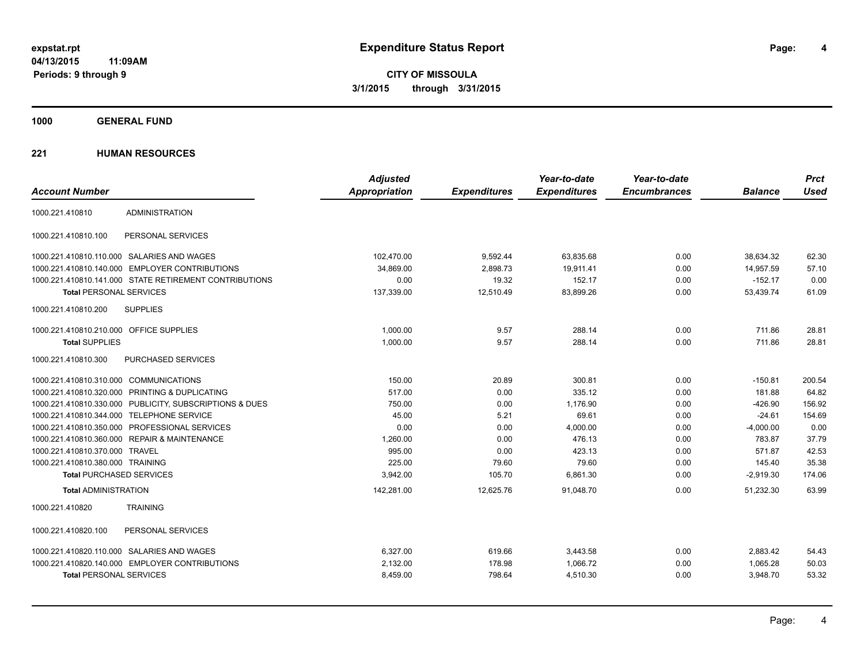**CITY OF MISSOULA 3/1/2015 through 3/31/2015**

**1000 GENERAL FUND**

|                                         |                                                         | <b>Adjusted</b>      |                     | Year-to-date        | Year-to-date        |                | <b>Prct</b> |
|-----------------------------------------|---------------------------------------------------------|----------------------|---------------------|---------------------|---------------------|----------------|-------------|
| <b>Account Number</b>                   |                                                         | <b>Appropriation</b> | <b>Expenditures</b> | <b>Expenditures</b> | <b>Encumbrances</b> | <b>Balance</b> | <b>Used</b> |
| 1000.221.410810                         | <b>ADMINISTRATION</b>                                   |                      |                     |                     |                     |                |             |
| 1000.221.410810.100                     | PERSONAL SERVICES                                       |                      |                     |                     |                     |                |             |
|                                         | 1000.221.410810.110.000 SALARIES AND WAGES              | 102,470.00           | 9,592.44            | 63,835.68           | 0.00                | 38,634.32      | 62.30       |
|                                         | 1000.221.410810.140.000 EMPLOYER CONTRIBUTIONS          | 34.869.00            | 2,898.73            | 19,911.41           | 0.00                | 14,957.59      | 57.10       |
|                                         | 1000.221.410810.141.000 STATE RETIREMENT CONTRIBUTIONS  | 0.00                 | 19.32               | 152.17              | 0.00                | $-152.17$      | 0.00        |
| <b>Total PERSONAL SERVICES</b>          |                                                         | 137,339.00           | 12,510.49           | 83,899.26           | 0.00                | 53,439.74      | 61.09       |
| 1000.221.410810.200                     | <b>SUPPLIES</b>                                         |                      |                     |                     |                     |                |             |
| 1000.221.410810.210.000 OFFICE SUPPLIES |                                                         | 1,000.00             | 9.57                | 288.14              | 0.00                | 711.86         | 28.81       |
| <b>Total SUPPLIES</b>                   |                                                         | 1,000.00             | 9.57                | 288.14              | 0.00                | 711.86         | 28.81       |
| 1000.221.410810.300                     | PURCHASED SERVICES                                      |                      |                     |                     |                     |                |             |
| 1000.221.410810.310.000 COMMUNICATIONS  |                                                         | 150.00               | 20.89               | 300.81              | 0.00                | $-150.81$      | 200.54      |
|                                         | 1000.221.410810.320.000 PRINTING & DUPLICATING          | 517.00               | 0.00                | 335.12              | 0.00                | 181.88         | 64.82       |
|                                         | 1000.221.410810.330.000 PUBLICITY, SUBSCRIPTIONS & DUES | 750.00               | 0.00                | 1,176.90            | 0.00                | $-426.90$      | 156.92      |
| 1000.221.410810.344.000                 | <b>TELEPHONE SERVICE</b>                                | 45.00                | 5.21                | 69.61               | 0.00                | $-24.61$       | 154.69      |
|                                         | 1000.221.410810.350.000 PROFESSIONAL SERVICES           | 0.00                 | 0.00                | 4,000.00            | 0.00                | $-4,000.00$    | 0.00        |
|                                         | 1000.221.410810.360.000 REPAIR & MAINTENANCE            | 1,260.00             | 0.00                | 476.13              | 0.00                | 783.87         | 37.79       |
| 1000.221.410810.370.000 TRAVEL          |                                                         | 995.00               | 0.00                | 423.13              | 0.00                | 571.87         | 42.53       |
| 1000.221.410810.380.000 TRAINING        |                                                         | 225.00               | 79.60               | 79.60               | 0.00                | 145.40         | 35.38       |
| <b>Total PURCHASED SERVICES</b>         |                                                         | 3,942.00             | 105.70              | 6,861.30            | 0.00                | $-2,919.30$    | 174.06      |
| <b>Total ADMINISTRATION</b>             |                                                         | 142,281.00           | 12,625.76           | 91,048.70           | 0.00                | 51,232.30      | 63.99       |
| 1000.221.410820                         | <b>TRAINING</b>                                         |                      |                     |                     |                     |                |             |
| 1000.221.410820.100                     | PERSONAL SERVICES                                       |                      |                     |                     |                     |                |             |
|                                         | 1000.221.410820.110.000 SALARIES AND WAGES              | 6,327.00             | 619.66              | 3,443.58            | 0.00                | 2,883.42       | 54.43       |
|                                         | 1000.221.410820.140.000 EMPLOYER CONTRIBUTIONS          | 2,132.00             | 178.98              | 1,066.72            | 0.00                | 1,065.28       | 50.03       |
| <b>Total PERSONAL SERVICES</b>          |                                                         | 8,459.00             | 798.64              | 4,510.30            | 0.00                | 3,948.70       | 53.32       |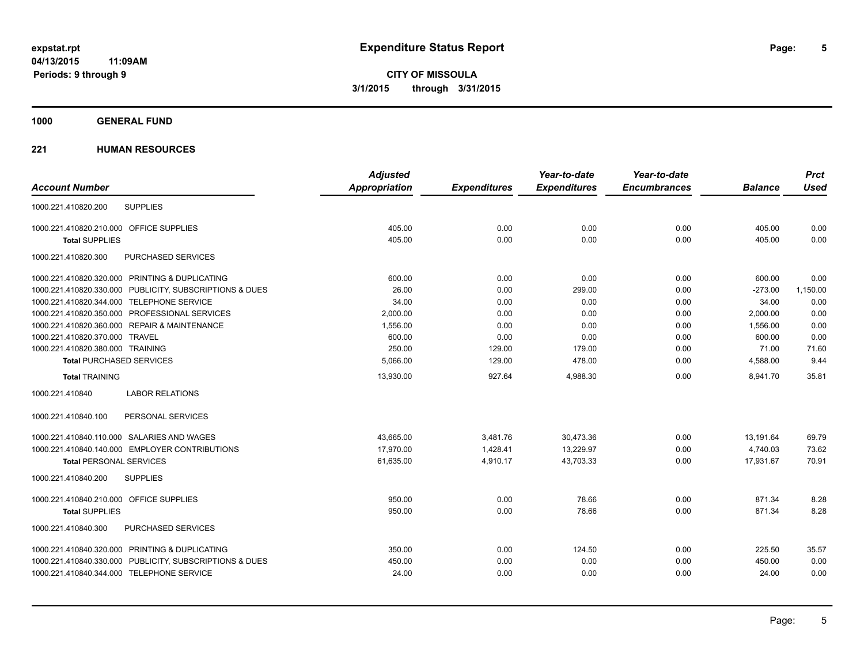**1000 GENERAL FUND**

| <b>Account Number</b>                                   | <b>Adjusted</b><br>Appropriation | <b>Expenditures</b> | Year-to-date<br><b>Expenditures</b> | Year-to-date<br><b>Encumbrances</b> | <b>Balance</b> | <b>Prct</b><br><b>Used</b> |
|---------------------------------------------------------|----------------------------------|---------------------|-------------------------------------|-------------------------------------|----------------|----------------------------|
| <b>SUPPLIES</b><br>1000.221.410820.200                  |                                  |                     |                                     |                                     |                |                            |
|                                                         |                                  |                     |                                     |                                     |                |                            |
| 1000.221.410820.210.000 OFFICE SUPPLIES                 | 405.00                           | 0.00                | 0.00                                | 0.00                                | 405.00         | 0.00                       |
| <b>Total SUPPLIES</b>                                   | 405.00                           | 0.00                | 0.00                                | 0.00                                | 405.00         | 0.00                       |
| 1000.221.410820.300<br>PURCHASED SERVICES               |                                  |                     |                                     |                                     |                |                            |
| 1000.221.410820.320.000 PRINTING & DUPLICATING          | 600.00                           | 0.00                | 0.00                                | 0.00                                | 600.00         | 0.00                       |
| 1000.221.410820.330.000 PUBLICITY, SUBSCRIPTIONS & DUES | 26.00                            | 0.00                | 299.00                              | 0.00                                | $-273.00$      | 1,150.00                   |
| 1000.221.410820.344.000 TELEPHONE SERVICE               | 34.00                            | 0.00                | 0.00                                | 0.00                                | 34.00          | 0.00                       |
| 1000.221.410820.350.000 PROFESSIONAL SERVICES           | 2,000.00                         | 0.00                | 0.00                                | 0.00                                | 2,000.00       | 0.00                       |
| 1000.221.410820.360.000 REPAIR & MAINTENANCE            | 1,556.00                         | 0.00                | 0.00                                | 0.00                                | 1,556.00       | 0.00                       |
| 1000.221.410820.370.000 TRAVEL                          | 600.00                           | 0.00                | 0.00                                | 0.00                                | 600.00         | 0.00                       |
| 1000.221.410820.380.000 TRAINING                        | 250.00                           | 129.00              | 179.00                              | 0.00                                | 71.00          | 71.60                      |
| <b>Total PURCHASED SERVICES</b>                         | 5,066.00                         | 129.00              | 478.00                              | 0.00                                | 4,588.00       | 9.44                       |
| <b>Total TRAINING</b>                                   | 13,930.00                        | 927.64              | 4,988.30                            | 0.00                                | 8,941.70       | 35.81                      |
| <b>LABOR RELATIONS</b><br>1000.221.410840               |                                  |                     |                                     |                                     |                |                            |
| 1000.221.410840.100<br>PERSONAL SERVICES                |                                  |                     |                                     |                                     |                |                            |
| 1000.221.410840.110.000 SALARIES AND WAGES              | 43,665.00                        | 3,481.76            | 30,473.36                           | 0.00                                | 13,191.64      | 69.79                      |
| 1000.221.410840.140.000 EMPLOYER CONTRIBUTIONS          | 17.970.00                        | 1.428.41            | 13,229.97                           | 0.00                                | 4.740.03       | 73.62                      |
| <b>Total PERSONAL SERVICES</b>                          | 61,635.00                        | 4,910.17            | 43,703.33                           | 0.00                                | 17,931.67      | 70.91                      |
| <b>SUPPLIES</b><br>1000.221.410840.200                  |                                  |                     |                                     |                                     |                |                            |
| 1000.221.410840.210.000 OFFICE SUPPLIES                 | 950.00                           | 0.00                | 78.66                               | 0.00                                | 871.34         | 8.28                       |
| <b>Total SUPPLIES</b>                                   | 950.00                           | 0.00                | 78.66                               | 0.00                                | 871.34         | 8.28                       |
| 1000.221.410840.300<br>PURCHASED SERVICES               |                                  |                     |                                     |                                     |                |                            |
| 1000.221.410840.320.000 PRINTING & DUPLICATING          | 350.00                           | 0.00                | 124.50                              | 0.00                                | 225.50         | 35.57                      |
| 1000.221.410840.330.000 PUBLICITY, SUBSCRIPTIONS & DUES | 450.00                           | 0.00                | 0.00                                | 0.00                                | 450.00         | 0.00                       |
| 1000.221.410840.344.000 TELEPHONE SERVICE               | 24.00                            | 0.00                | 0.00                                | 0.00                                | 24.00          | 0.00                       |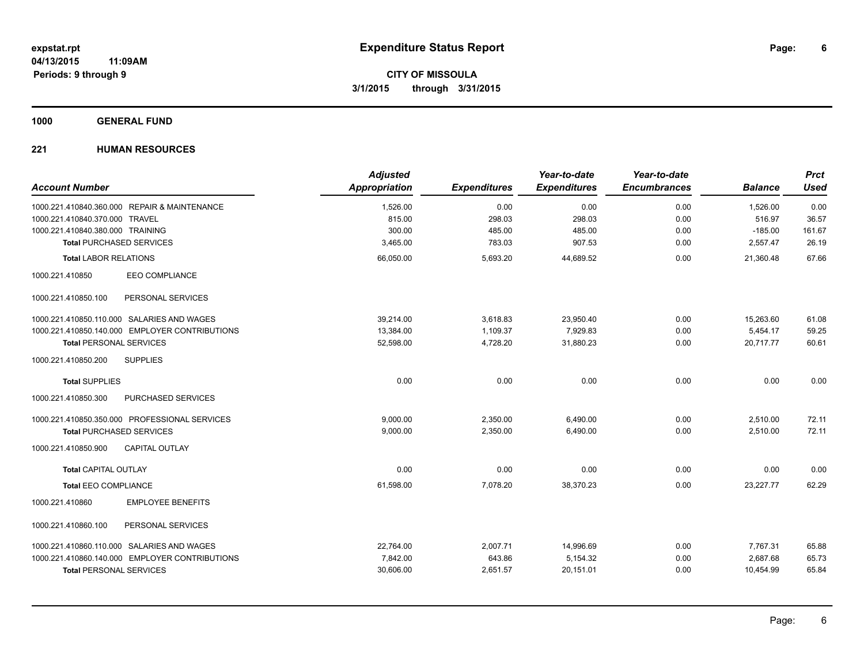**1000 GENERAL FUND**

| <b>Account Number</b>                                                          | <b>Adjusted</b><br><b>Appropriation</b> | <b>Expenditures</b> | Year-to-date<br><b>Expenditures</b> | Year-to-date<br><b>Encumbrances</b> | <b>Balance</b>     | <b>Prct</b><br><b>Used</b> |
|--------------------------------------------------------------------------------|-----------------------------------------|---------------------|-------------------------------------|-------------------------------------|--------------------|----------------------------|
| 1000.221.410840.360.000 REPAIR & MAINTENANCE<br>1000.221.410840.370.000 TRAVEL | 1,526.00<br>815.00                      | 0.00<br>298.03      | 0.00<br>298.03                      | 0.00<br>0.00                        | 1,526.00<br>516.97 | 0.00<br>36.57              |
| 1000.221.410840.380.000 TRAINING                                               | 300.00                                  | 485.00              | 485.00                              | 0.00                                | $-185.00$          | 161.67                     |
| <b>Total PURCHASED SERVICES</b>                                                | 3,465.00                                | 783.03              | 907.53                              | 0.00                                | 2,557.47           | 26.19                      |
| <b>Total LABOR RELATIONS</b>                                                   | 66,050.00                               | 5,693.20            | 44,689.52                           | 0.00                                | 21,360.48          | 67.66                      |
| <b>EEO COMPLIANCE</b><br>1000.221.410850                                       |                                         |                     |                                     |                                     |                    |                            |
| PERSONAL SERVICES<br>1000.221.410850.100                                       |                                         |                     |                                     |                                     |                    |                            |
| 1000.221.410850.110.000 SALARIES AND WAGES                                     | 39,214.00                               | 3,618.83            | 23,950.40                           | 0.00                                | 15,263.60          | 61.08                      |
| 1000.221.410850.140.000 EMPLOYER CONTRIBUTIONS                                 | 13,384.00                               | 1,109.37            | 7,929.83                            | 0.00                                | 5,454.17           | 59.25                      |
| <b>Total PERSONAL SERVICES</b>                                                 | 52,598.00                               | 4,728.20            | 31,880.23                           | 0.00                                | 20,717.77          | 60.61                      |
| 1000.221.410850.200<br><b>SUPPLIES</b>                                         |                                         |                     |                                     |                                     |                    |                            |
| <b>Total SUPPLIES</b>                                                          | 0.00                                    | 0.00                | 0.00                                | 0.00                                | 0.00               | 0.00                       |
| 1000.221.410850.300<br>PURCHASED SERVICES                                      |                                         |                     |                                     |                                     |                    |                            |
| 1000.221.410850.350.000 PROFESSIONAL SERVICES                                  | 9.000.00                                | 2,350.00            | 6,490.00                            | 0.00                                | 2,510.00           | 72.11                      |
| <b>Total PURCHASED SERVICES</b>                                                | 9,000.00                                | 2,350.00            | 6,490.00                            | 0.00                                | 2,510.00           | 72.11                      |
| <b>CAPITAL OUTLAY</b><br>1000.221.410850.900                                   |                                         |                     |                                     |                                     |                    |                            |
| <b>Total CAPITAL OUTLAY</b>                                                    | 0.00                                    | 0.00                | 0.00                                | 0.00                                | 0.00               | 0.00                       |
| <b>Total EEO COMPLIANCE</b>                                                    | 61,598.00                               | 7,078.20            | 38,370.23                           | 0.00                                | 23,227.77          | 62.29                      |
| <b>EMPLOYEE BENEFITS</b><br>1000.221.410860                                    |                                         |                     |                                     |                                     |                    |                            |
| PERSONAL SERVICES<br>1000.221.410860.100                                       |                                         |                     |                                     |                                     |                    |                            |
| 1000.221.410860.110.000 SALARIES AND WAGES                                     | 22,764.00                               | 2,007.71            | 14,996.69                           | 0.00                                | 7,767.31           | 65.88                      |
| 1000.221.410860.140.000 EMPLOYER CONTRIBUTIONS                                 | 7,842.00                                | 643.86              | 5,154.32                            | 0.00                                | 2,687.68           | 65.73                      |
| <b>Total PERSONAL SERVICES</b>                                                 | 30,606.00                               | 2,651.57            | 20,151.01                           | 0.00                                | 10,454.99          | 65.84                      |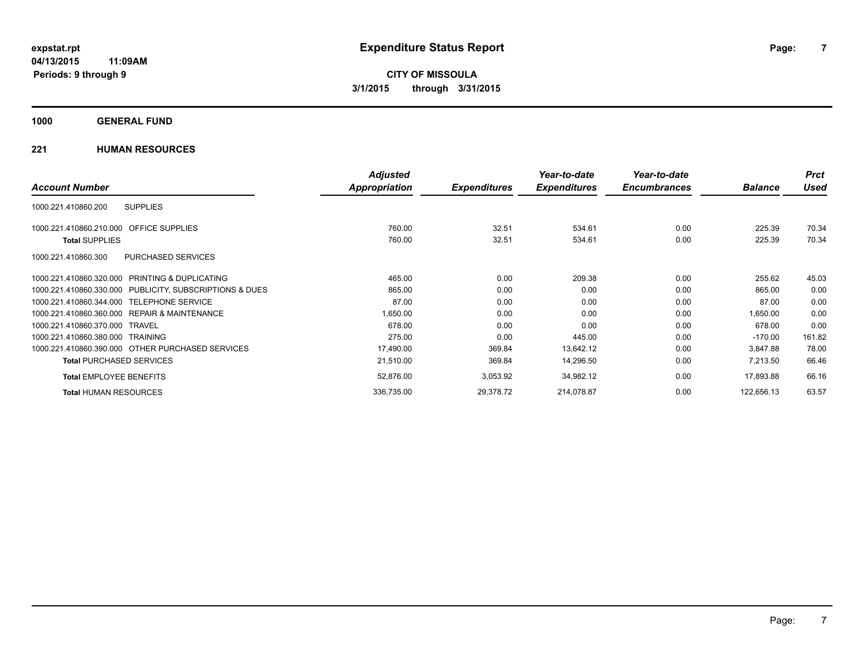### **1000 GENERAL FUND**

|                                                         | <b>Adjusted</b> |                     | Year-to-date        | Year-to-date        |                | <b>Prct</b> |
|---------------------------------------------------------|-----------------|---------------------|---------------------|---------------------|----------------|-------------|
| <b>Account Number</b>                                   | Appropriation   | <b>Expenditures</b> | <b>Expenditures</b> | <b>Encumbrances</b> | <b>Balance</b> | <b>Used</b> |
| <b>SUPPLIES</b><br>1000.221.410860.200                  |                 |                     |                     |                     |                |             |
| 1000.221.410860.210.000 OFFICE SUPPLIES                 | 760.00          | 32.51               | 534.61              | 0.00                | 225.39         | 70.34       |
| <b>Total SUPPLIES</b>                                   | 760.00          | 32.51               | 534.61              | 0.00                | 225.39         | 70.34       |
| PURCHASED SERVICES<br>1000.221.410860.300               |                 |                     |                     |                     |                |             |
| 1000.221.410860.320.000 PRINTING & DUPLICATING          | 465.00          | 0.00                | 209.38              | 0.00                | 255.62         | 45.03       |
| 1000.221.410860.330.000 PUBLICITY, SUBSCRIPTIONS & DUES | 865.00          | 0.00                | 0.00                | 0.00                | 865.00         | 0.00        |
| 1000.221.410860.344.000 TELEPHONE SERVICE               | 87.00           | 0.00                | 0.00                | 0.00                | 87.00          | 0.00        |
| 1000.221.410860.360.000 REPAIR & MAINTENANCE            | 1,650.00        | 0.00                | 0.00                | 0.00                | 1,650.00       | 0.00        |
| 1000.221.410860.370.000 TRAVEL                          | 678.00          | 0.00                | 0.00                | 0.00                | 678.00         | 0.00        |
| 1000.221.410860.380.000 TRAINING                        | 275.00          | 0.00                | 445.00              | 0.00                | $-170.00$      | 161.82      |
| 1000.221.410860.390.000 OTHER PURCHASED SERVICES        | 17,490.00       | 369.84              | 13,642.12           | 0.00                | 3,847.88       | 78.00       |
| <b>Total PURCHASED SERVICES</b>                         | 21,510.00       | 369.84              | 14,296.50           | 0.00                | 7,213.50       | 66.46       |
| <b>Total EMPLOYEE BENEFITS</b>                          | 52,876.00       | 3,053.92            | 34,982.12           | 0.00                | 17,893.88      | 66.16       |
| <b>Total HUMAN RESOURCES</b>                            | 336,735.00      | 29,378.72           | 214,078.87          | 0.00                | 122,656.13     | 63.57       |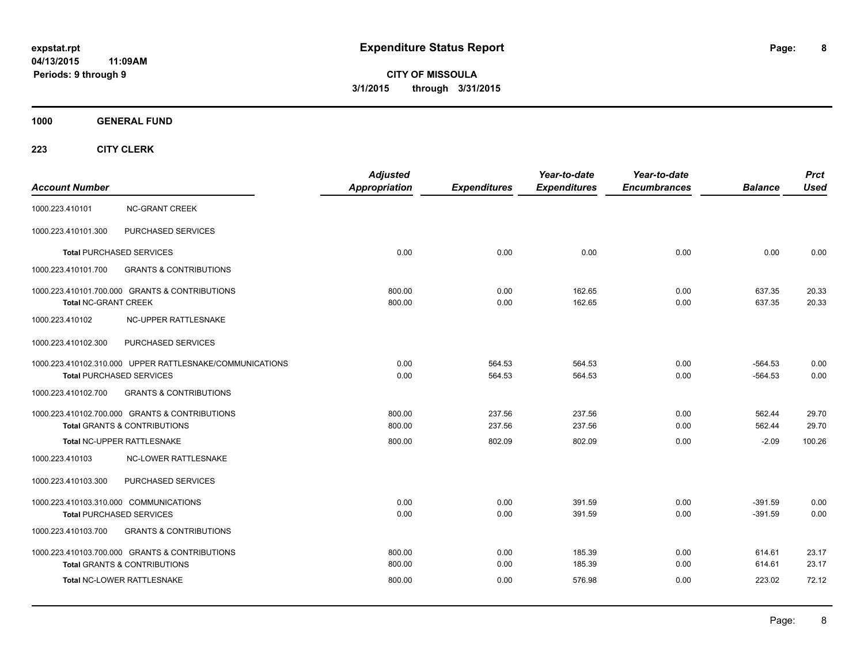**8**

**CITY OF MISSOULA 3/1/2015 through 3/31/2015**

**1000 GENERAL FUND**

| <b>Account Number</b>                                                                       | <b>Adjusted</b><br><b>Appropriation</b> | <b>Expenditures</b> | Year-to-date<br><b>Expenditures</b> | Year-to-date<br><b>Encumbrances</b> | <b>Balance</b>         | <b>Prct</b><br><b>Used</b> |
|---------------------------------------------------------------------------------------------|-----------------------------------------|---------------------|-------------------------------------|-------------------------------------|------------------------|----------------------------|
| <b>NC-GRANT CREEK</b><br>1000.223.410101                                                    |                                         |                     |                                     |                                     |                        |                            |
| PURCHASED SERVICES<br>1000.223.410101.300                                                   |                                         |                     |                                     |                                     |                        |                            |
| <b>Total PURCHASED SERVICES</b>                                                             | 0.00                                    | 0.00                | 0.00                                | 0.00                                | 0.00                   | 0.00                       |
| <b>GRANTS &amp; CONTRIBUTIONS</b><br>1000.223.410101.700                                    |                                         |                     |                                     |                                     |                        |                            |
| 1000.223.410101.700.000 GRANTS & CONTRIBUTIONS<br><b>Total NC-GRANT CREEK</b>               | 800.00<br>800.00                        | 0.00<br>0.00        | 162.65<br>162.65                    | 0.00<br>0.00                        | 637.35<br>637.35       | 20.33<br>20.33             |
| 1000.223.410102<br>NC-UPPER RATTLESNAKE                                                     |                                         |                     |                                     |                                     |                        |                            |
| PURCHASED SERVICES<br>1000.223.410102.300                                                   |                                         |                     |                                     |                                     |                        |                            |
| 1000.223.410102.310.000 UPPER RATTLESNAKE/COMMUNICATIONS<br><b>Total PURCHASED SERVICES</b> | 0.00<br>0.00                            | 564.53<br>564.53    | 564.53<br>564.53                    | 0.00<br>0.00                        | $-564.53$<br>$-564.53$ | 0.00<br>0.00               |
| <b>GRANTS &amp; CONTRIBUTIONS</b><br>1000.223.410102.700                                    |                                         |                     |                                     |                                     |                        |                            |
| 1000.223.410102.700.000 GRANTS & CONTRIBUTIONS<br><b>Total GRANTS &amp; CONTRIBUTIONS</b>   | 800.00<br>800.00                        | 237.56<br>237.56    | 237.56<br>237.56                    | 0.00<br>0.00                        | 562.44<br>562.44       | 29.70<br>29.70             |
| Total NC-UPPER RATTLESNAKE                                                                  | 800.00                                  | 802.09              | 802.09                              | 0.00                                | $-2.09$                | 100.26                     |
| NC-LOWER RATTLESNAKE<br>1000.223.410103                                                     |                                         |                     |                                     |                                     |                        |                            |
| 1000.223.410103.300<br>PURCHASED SERVICES                                                   |                                         |                     |                                     |                                     |                        |                            |
| 1000.223.410103.310.000 COMMUNICATIONS<br><b>Total PURCHASED SERVICES</b>                   | 0.00<br>0.00                            | 0.00<br>0.00        | 391.59<br>391.59                    | 0.00<br>0.00                        | $-391.59$<br>$-391.59$ | 0.00<br>0.00               |
| 1000.223.410103.700<br><b>GRANTS &amp; CONTRIBUTIONS</b>                                    |                                         |                     |                                     |                                     |                        |                            |
| 1000.223.410103.700.000 GRANTS & CONTRIBUTIONS<br><b>Total GRANTS &amp; CONTRIBUTIONS</b>   | 800.00<br>800.00                        | 0.00<br>0.00        | 185.39<br>185.39                    | 0.00<br>0.00                        | 614.61<br>614.61       | 23.17<br>23.17             |
| Total NC-LOWER RATTLESNAKE                                                                  | 800.00                                  | 0.00                | 576.98                              | 0.00                                | 223.02                 | 72.12                      |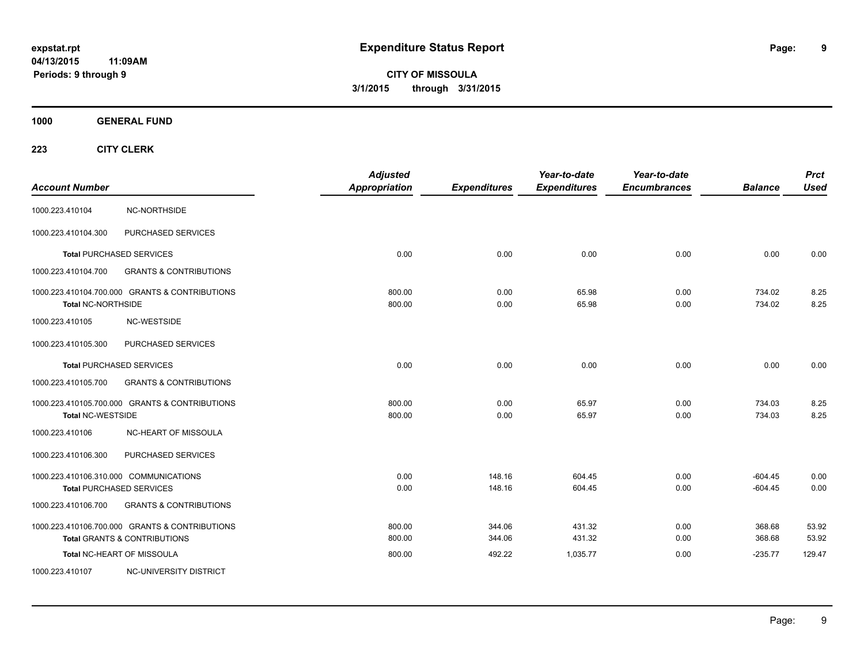**9**

**CITY OF MISSOULA 3/1/2015 through 3/31/2015**

**1000 GENERAL FUND**

| <b>Account Number</b>     |                                                                                           | <b>Adjusted</b><br><b>Appropriation</b> | <b>Expenditures</b> | Year-to-date<br><b>Expenditures</b> | Year-to-date<br><b>Encumbrances</b> | <b>Balance</b>         | <b>Prct</b><br><b>Used</b> |
|---------------------------|-------------------------------------------------------------------------------------------|-----------------------------------------|---------------------|-------------------------------------|-------------------------------------|------------------------|----------------------------|
| 1000.223.410104           | NC-NORTHSIDE                                                                              |                                         |                     |                                     |                                     |                        |                            |
| 1000.223.410104.300       | PURCHASED SERVICES                                                                        |                                         |                     |                                     |                                     |                        |                            |
|                           | <b>Total PURCHASED SERVICES</b>                                                           | 0.00                                    | 0.00                | 0.00                                | 0.00                                | 0.00                   | 0.00                       |
| 1000.223.410104.700       | <b>GRANTS &amp; CONTRIBUTIONS</b>                                                         |                                         |                     |                                     |                                     |                        |                            |
| <b>Total NC-NORTHSIDE</b> | 1000.223.410104.700.000 GRANTS & CONTRIBUTIONS                                            | 800.00<br>800.00                        | 0.00<br>0.00        | 65.98<br>65.98                      | 0.00<br>0.00                        | 734.02<br>734.02       | 8.25<br>8.25               |
| 1000.223.410105           | <b>NC-WESTSIDE</b>                                                                        |                                         |                     |                                     |                                     |                        |                            |
| 1000.223.410105.300       | PURCHASED SERVICES                                                                        |                                         |                     |                                     |                                     |                        |                            |
|                           | <b>Total PURCHASED SERVICES</b>                                                           | 0.00                                    | 0.00                | 0.00                                | 0.00                                | 0.00                   | 0.00                       |
| 1000.223.410105.700       | <b>GRANTS &amp; CONTRIBUTIONS</b>                                                         |                                         |                     |                                     |                                     |                        |                            |
| <b>Total NC-WESTSIDE</b>  | 1000.223.410105.700.000 GRANTS & CONTRIBUTIONS                                            | 800.00<br>800.00                        | 0.00<br>0.00        | 65.97<br>65.97                      | 0.00<br>0.00                        | 734.03<br>734.03       | 8.25<br>8.25               |
| 1000.223.410106           | NC-HEART OF MISSOULA                                                                      |                                         |                     |                                     |                                     |                        |                            |
| 1000.223.410106.300       | PURCHASED SERVICES                                                                        |                                         |                     |                                     |                                     |                        |                            |
|                           | 1000.223.410106.310.000 COMMUNICATIONS<br><b>Total PURCHASED SERVICES</b>                 | 0.00<br>0.00                            | 148.16<br>148.16    | 604.45<br>604.45                    | 0.00<br>0.00                        | $-604.45$<br>$-604.45$ | 0.00<br>0.00               |
| 1000.223.410106.700       | <b>GRANTS &amp; CONTRIBUTIONS</b>                                                         |                                         |                     |                                     |                                     |                        |                            |
|                           | 1000.223.410106.700.000 GRANTS & CONTRIBUTIONS<br><b>Total GRANTS &amp; CONTRIBUTIONS</b> | 800.00<br>800.00                        | 344.06<br>344.06    | 431.32<br>431.32                    | 0.00<br>0.00                        | 368.68<br>368.68       | 53.92<br>53.92             |
|                           | Total NC-HEART OF MISSOULA                                                                | 800.00                                  | 492.22              | 1,035.77                            | 0.00                                | $-235.77$              | 129.47                     |
| 1000.223.410107           | NC-UNIVERSITY DISTRICT                                                                    |                                         |                     |                                     |                                     |                        |                            |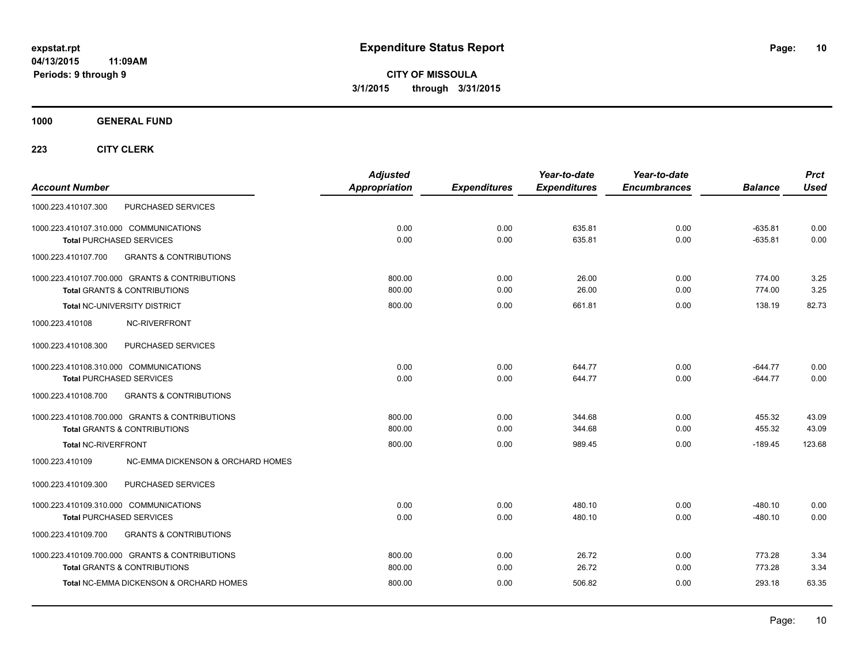**CITY OF MISSOULA 3/1/2015 through 3/31/2015**

**1000 GENERAL FUND**

| <b>Account Number</b>                                                                     | <b>Adjusted</b><br>Appropriation | <b>Expenditures</b> | Year-to-date<br><b>Expenditures</b> | Year-to-date<br><b>Encumbrances</b> | <b>Balance</b>         | <b>Prct</b><br><b>Used</b> |
|-------------------------------------------------------------------------------------------|----------------------------------|---------------------|-------------------------------------|-------------------------------------|------------------------|----------------------------|
| PURCHASED SERVICES<br>1000.223.410107.300                                                 |                                  |                     |                                     |                                     |                        |                            |
| 1000.223.410107.310.000 COMMUNICATIONS<br><b>Total PURCHASED SERVICES</b>                 | 0.00<br>0.00                     | 0.00<br>0.00        | 635.81<br>635.81                    | 0.00<br>0.00                        | $-635.81$<br>$-635.81$ | 0.00<br>0.00               |
| <b>GRANTS &amp; CONTRIBUTIONS</b><br>1000.223.410107.700                                  |                                  |                     |                                     |                                     |                        |                            |
| 1000.223.410107.700.000 GRANTS & CONTRIBUTIONS<br><b>Total GRANTS &amp; CONTRIBUTIONS</b> | 800.00<br>800.00                 | 0.00<br>0.00        | 26.00<br>26.00                      | 0.00<br>0.00                        | 774.00<br>774.00       | 3.25<br>3.25               |
| Total NC-UNIVERSITY DISTRICT                                                              | 800.00                           | 0.00                | 661.81                              | 0.00                                | 138.19                 | 82.73                      |
| 1000.223.410108<br>NC-RIVERFRONT                                                          |                                  |                     |                                     |                                     |                        |                            |
| PURCHASED SERVICES<br>1000.223.410108.300                                                 |                                  |                     |                                     |                                     |                        |                            |
| 1000.223.410108.310.000 COMMUNICATIONS<br><b>Total PURCHASED SERVICES</b>                 | 0.00<br>0.00                     | 0.00<br>0.00        | 644.77<br>644.77                    | 0.00<br>0.00                        | $-644.77$<br>$-644.77$ | 0.00<br>0.00               |
| <b>GRANTS &amp; CONTRIBUTIONS</b><br>1000.223.410108.700                                  |                                  |                     |                                     |                                     |                        |                            |
| 1000.223.410108.700.000 GRANTS & CONTRIBUTIONS<br><b>Total GRANTS &amp; CONTRIBUTIONS</b> | 800.00<br>800.00                 | 0.00<br>0.00        | 344.68<br>344.68                    | 0.00<br>0.00                        | 455.32<br>455.32       | 43.09<br>43.09             |
| <b>Total NC-RIVERFRONT</b>                                                                | 800.00                           | 0.00                | 989.45                              | 0.00                                | $-189.45$              | 123.68                     |
| 1000.223.410109<br>NC-EMMA DICKENSON & ORCHARD HOMES                                      |                                  |                     |                                     |                                     |                        |                            |
| PURCHASED SERVICES<br>1000.223.410109.300                                                 |                                  |                     |                                     |                                     |                        |                            |
| 1000.223.410109.310.000 COMMUNICATIONS<br><b>Total PURCHASED SERVICES</b>                 | 0.00<br>0.00                     | 0.00<br>0.00        | 480.10<br>480.10                    | 0.00<br>0.00                        | $-480.10$<br>$-480.10$ | 0.00<br>0.00               |
| 1000.223.410109.700<br><b>GRANTS &amp; CONTRIBUTIONS</b>                                  |                                  |                     |                                     |                                     |                        |                            |
| 1000.223.410109.700.000 GRANTS & CONTRIBUTIONS<br><b>Total GRANTS &amp; CONTRIBUTIONS</b> | 800.00<br>800.00                 | 0.00<br>0.00        | 26.72<br>26.72                      | 0.00<br>0.00                        | 773.28<br>773.28       | 3.34<br>3.34               |
| <b>Total NC-EMMA DICKENSON &amp; ORCHARD HOMES</b>                                        | 800.00                           | 0.00                | 506.82                              | 0.00                                | 293.18                 | 63.35                      |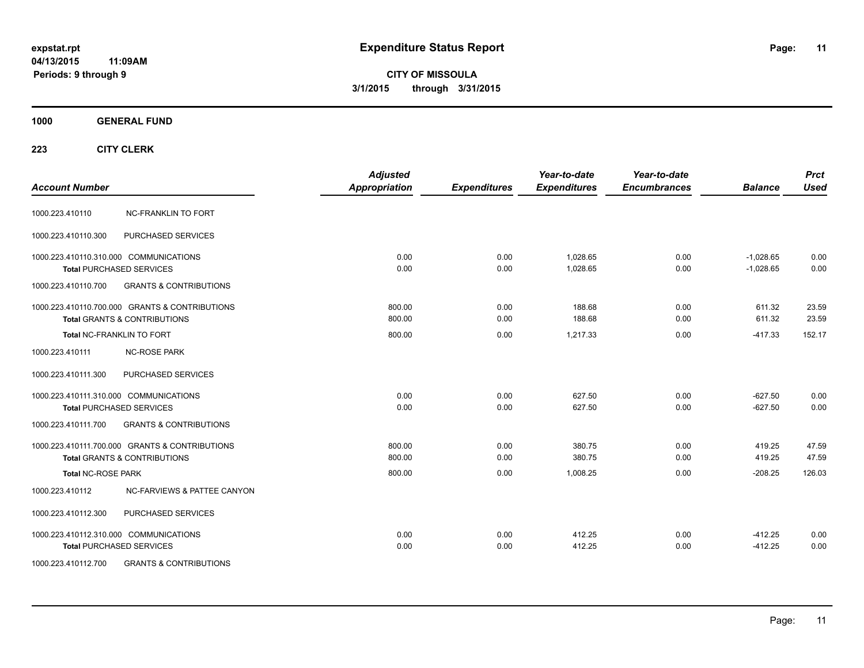**CITY OF MISSOULA 3/1/2015 through 3/31/2015**

### **1000 GENERAL FUND**

| <b>Account Number</b>     |                                                | <b>Adjusted</b><br><b>Appropriation</b> | <b>Expenditures</b> | Year-to-date<br><b>Expenditures</b> | Year-to-date<br><b>Encumbrances</b> | <b>Balance</b> | <b>Prct</b><br><b>Used</b> |
|---------------------------|------------------------------------------------|-----------------------------------------|---------------------|-------------------------------------|-------------------------------------|----------------|----------------------------|
|                           |                                                |                                         |                     |                                     |                                     |                |                            |
| 1000.223.410110           | <b>NC-FRANKLIN TO FORT</b>                     |                                         |                     |                                     |                                     |                |                            |
| 1000.223.410110.300       | PURCHASED SERVICES                             |                                         |                     |                                     |                                     |                |                            |
|                           | 1000.223.410110.310.000 COMMUNICATIONS         | 0.00                                    | 0.00                | 1,028.65                            | 0.00                                | $-1,028.65$    | 0.00                       |
|                           | <b>Total PURCHASED SERVICES</b>                | 0.00                                    | 0.00                | 1.028.65                            | 0.00                                | $-1.028.65$    | 0.00                       |
| 1000.223.410110.700       | <b>GRANTS &amp; CONTRIBUTIONS</b>              |                                         |                     |                                     |                                     |                |                            |
|                           | 1000.223.410110.700.000 GRANTS & CONTRIBUTIONS | 800.00                                  | 0.00                | 188.68                              | 0.00                                | 611.32         | 23.59                      |
|                           | <b>Total GRANTS &amp; CONTRIBUTIONS</b>        | 800.00                                  | 0.00                | 188.68                              | 0.00                                | 611.32         | 23.59                      |
|                           | <b>Total NC-FRANKLIN TO FORT</b>               | 800.00                                  | 0.00                | 1.217.33                            | 0.00                                | $-417.33$      | 152.17                     |
| 1000.223.410111           | <b>NC-ROSE PARK</b>                            |                                         |                     |                                     |                                     |                |                            |
| 1000.223.410111.300       | PURCHASED SERVICES                             |                                         |                     |                                     |                                     |                |                            |
|                           | 1000.223.410111.310.000 COMMUNICATIONS         | 0.00                                    | 0.00                | 627.50                              | 0.00                                | $-627.50$      | 0.00                       |
|                           | <b>Total PURCHASED SERVICES</b>                | 0.00                                    | 0.00                | 627.50                              | 0.00                                | $-627.50$      | 0.00                       |
| 1000.223.410111.700       | <b>GRANTS &amp; CONTRIBUTIONS</b>              |                                         |                     |                                     |                                     |                |                            |
|                           | 1000.223.410111.700.000 GRANTS & CONTRIBUTIONS | 800.00                                  | 0.00                | 380.75                              | 0.00                                | 419.25         | 47.59                      |
|                           | <b>Total GRANTS &amp; CONTRIBUTIONS</b>        | 800.00                                  | 0.00                | 380.75                              | 0.00                                | 419.25         | 47.59                      |
| <b>Total NC-ROSE PARK</b> |                                                | 800.00                                  | 0.00                | 1,008.25                            | 0.00                                | $-208.25$      | 126.03                     |
| 1000.223.410112           | <b>NC-FARVIEWS &amp; PATTEE CANYON</b>         |                                         |                     |                                     |                                     |                |                            |
| 1000.223.410112.300       | <b>PURCHASED SERVICES</b>                      |                                         |                     |                                     |                                     |                |                            |
|                           | 1000.223.410112.310.000 COMMUNICATIONS         | 0.00                                    | 0.00                | 412.25                              | 0.00                                | $-412.25$      | 0.00                       |
|                           | <b>Total PURCHASED SERVICES</b>                | 0.00                                    | 0.00                | 412.25                              | 0.00                                | $-412.25$      | 0.00                       |
| 1000.223.410112.700       | <b>GRANTS &amp; CONTRIBUTIONS</b>              |                                         |                     |                                     |                                     |                |                            |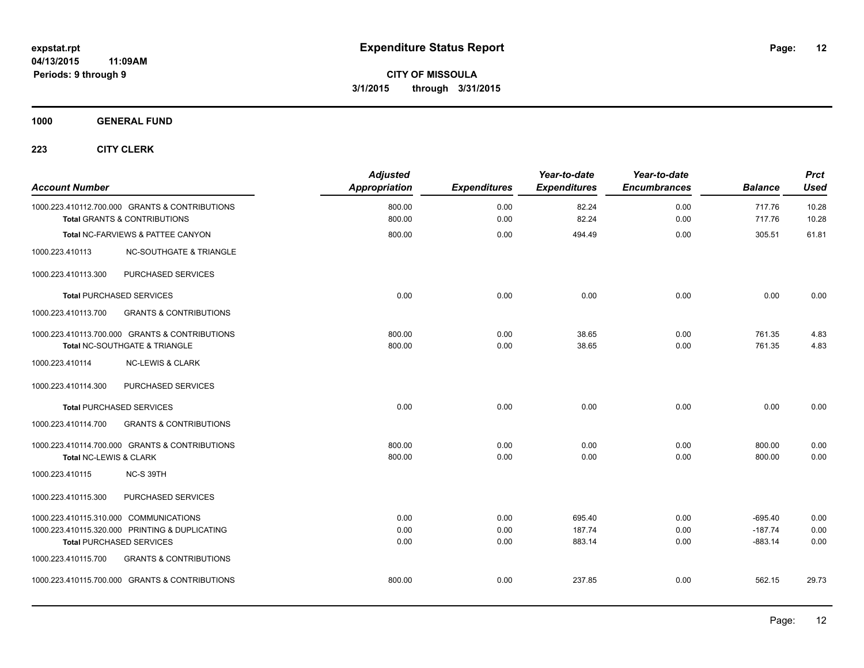**1000 GENERAL FUND**

| <b>Account Number</b>  |                                                                                           | <b>Adjusted</b><br><b>Appropriation</b> | <b>Expenditures</b> | Year-to-date<br><b>Expenditures</b> | Year-to-date<br><b>Encumbrances</b> | <b>Balance</b>   | <b>Prct</b><br><b>Used</b> |
|------------------------|-------------------------------------------------------------------------------------------|-----------------------------------------|---------------------|-------------------------------------|-------------------------------------|------------------|----------------------------|
|                        | 1000.223.410112.700.000 GRANTS & CONTRIBUTIONS<br><b>Total GRANTS &amp; CONTRIBUTIONS</b> | 800.00<br>800.00                        | 0.00<br>0.00        | 82.24<br>82.24                      | 0.00<br>0.00                        | 717.76<br>717.76 | 10.28<br>10.28             |
|                        | Total NC-FARVIEWS & PATTEE CANYON                                                         | 800.00                                  | 0.00                | 494.49                              | 0.00                                | 305.51           | 61.81                      |
| 1000.223.410113        | <b>NC-SOUTHGATE &amp; TRIANGLE</b>                                                        |                                         |                     |                                     |                                     |                  |                            |
| 1000.223.410113.300    | PURCHASED SERVICES                                                                        |                                         |                     |                                     |                                     |                  |                            |
|                        | <b>Total PURCHASED SERVICES</b>                                                           | 0.00                                    | 0.00                | 0.00                                | 0.00                                | 0.00             | 0.00                       |
| 1000.223.410113.700    | <b>GRANTS &amp; CONTRIBUTIONS</b>                                                         |                                         |                     |                                     |                                     |                  |                            |
|                        | 1000.223.410113.700.000 GRANTS & CONTRIBUTIONS                                            | 800.00                                  | 0.00                | 38.65                               | 0.00                                | 761.35           | 4.83                       |
|                        | Total NC-SOUTHGATE & TRIANGLE                                                             | 800.00                                  | 0.00                | 38.65                               | 0.00                                | 761.35           | 4.83                       |
| 1000.223.410114        | <b>NC-LEWIS &amp; CLARK</b>                                                               |                                         |                     |                                     |                                     |                  |                            |
| 1000.223.410114.300    | PURCHASED SERVICES                                                                        |                                         |                     |                                     |                                     |                  |                            |
|                        | <b>Total PURCHASED SERVICES</b>                                                           | 0.00                                    | 0.00                | 0.00                                | 0.00                                | 0.00             | 0.00                       |
| 1000.223.410114.700    | <b>GRANTS &amp; CONTRIBUTIONS</b>                                                         |                                         |                     |                                     |                                     |                  |                            |
|                        | 1000.223.410114.700.000 GRANTS & CONTRIBUTIONS                                            | 800.00                                  | 0.00                | 0.00                                | 0.00                                | 800.00           | 0.00                       |
| Total NC-LEWIS & CLARK |                                                                                           | 800.00                                  | 0.00                | 0.00                                | 0.00                                | 800.00           | 0.00                       |
| 1000.223.410115        | NC-S 39TH                                                                                 |                                         |                     |                                     |                                     |                  |                            |
| 1000.223.410115.300    | PURCHASED SERVICES                                                                        |                                         |                     |                                     |                                     |                  |                            |
|                        | 1000.223.410115.310.000 COMMUNICATIONS                                                    | 0.00                                    | 0.00                | 695.40                              | 0.00                                | $-695.40$        | 0.00                       |
|                        | 1000.223.410115.320.000 PRINTING & DUPLICATING                                            | 0.00                                    | 0.00                | 187.74                              | 0.00                                | $-187.74$        | 0.00                       |
|                        | <b>Total PURCHASED SERVICES</b>                                                           | 0.00                                    | 0.00                | 883.14                              | 0.00                                | $-883.14$        | 0.00                       |
| 1000.223.410115.700    | <b>GRANTS &amp; CONTRIBUTIONS</b>                                                         |                                         |                     |                                     |                                     |                  |                            |
|                        | 1000.223.410115.700.000 GRANTS & CONTRIBUTIONS                                            | 800.00                                  | 0.00                | 237.85                              | 0.00                                | 562.15           | 29.73                      |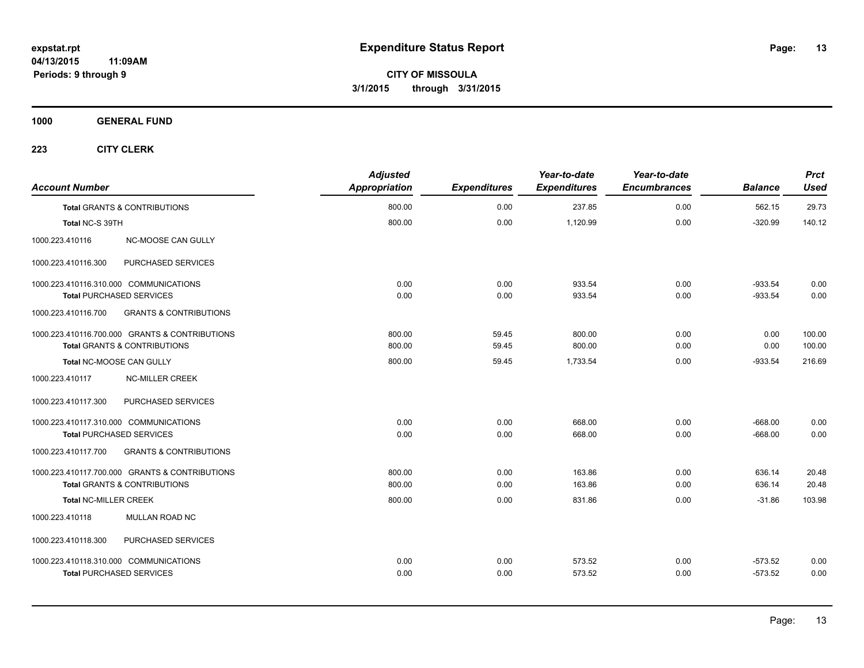**CITY OF MISSOULA 3/1/2015 through 3/31/2015**

**1000 GENERAL FUND**

| <b>Account Number</b>                                    | <b>Adjusted</b><br>Appropriation | <b>Expenditures</b> | Year-to-date<br><b>Expenditures</b> | Year-to-date<br><b>Encumbrances</b> | <b>Balance</b> | <b>Prct</b><br><b>Used</b> |
|----------------------------------------------------------|----------------------------------|---------------------|-------------------------------------|-------------------------------------|----------------|----------------------------|
| <b>Total GRANTS &amp; CONTRIBUTIONS</b>                  | 800.00                           | 0.00                | 237.85                              | 0.00                                | 562.15         | 29.73                      |
| Total NC-S 39TH                                          | 800.00                           | 0.00                | 1,120.99                            | 0.00                                | $-320.99$      | 140.12                     |
| NC-MOOSE CAN GULLY<br>1000.223.410116                    |                                  |                     |                                     |                                     |                |                            |
| 1000.223.410116.300<br>PURCHASED SERVICES                |                                  |                     |                                     |                                     |                |                            |
| 1000.223.410116.310.000 COMMUNICATIONS                   | 0.00                             | 0.00                | 933.54                              | 0.00                                | $-933.54$      | 0.00                       |
| Total PURCHASED SERVICES                                 | 0.00                             | 0.00                | 933.54                              | 0.00                                | $-933.54$      | 0.00                       |
| <b>GRANTS &amp; CONTRIBUTIONS</b><br>1000.223.410116.700 |                                  |                     |                                     |                                     |                |                            |
| 1000.223.410116.700.000 GRANTS & CONTRIBUTIONS           | 800.00                           | 59.45               | 800.00                              | 0.00                                | 0.00           | 100.00                     |
| <b>Total GRANTS &amp; CONTRIBUTIONS</b>                  | 800.00                           | 59.45               | 800.00                              | 0.00                                | 0.00           | 100.00                     |
| Total NC-MOOSE CAN GULLY                                 | 800.00                           | 59.45               | 1,733.54                            | 0.00                                | $-933.54$      | 216.69                     |
| 1000.223.410117<br><b>NC-MILLER CREEK</b>                |                                  |                     |                                     |                                     |                |                            |
| 1000.223.410117.300<br>PURCHASED SERVICES                |                                  |                     |                                     |                                     |                |                            |
| 1000.223.410117.310.000 COMMUNICATIONS                   | 0.00                             | 0.00                | 668.00                              | 0.00                                | $-668.00$      | 0.00                       |
| <b>Total PURCHASED SERVICES</b>                          | 0.00                             | 0.00                | 668.00                              | 0.00                                | $-668.00$      | 0.00                       |
| 1000.223.410117.700<br><b>GRANTS &amp; CONTRIBUTIONS</b> |                                  |                     |                                     |                                     |                |                            |
| 1000.223.410117.700.000 GRANTS & CONTRIBUTIONS           | 800.00                           | 0.00                | 163.86                              | 0.00                                | 636.14         | 20.48                      |
| <b>Total GRANTS &amp; CONTRIBUTIONS</b>                  | 800.00                           | 0.00                | 163.86                              | 0.00                                | 636.14         | 20.48                      |
| <b>Total NC-MILLER CREEK</b>                             | 800.00                           | 0.00                | 831.86                              | 0.00                                | $-31.86$       | 103.98                     |
| <b>MULLAN ROAD NC</b><br>1000.223.410118                 |                                  |                     |                                     |                                     |                |                            |
| PURCHASED SERVICES<br>1000.223.410118.300                |                                  |                     |                                     |                                     |                |                            |
| 1000.223.410118.310.000 COMMUNICATIONS                   | 0.00                             | 0.00                | 573.52                              | 0.00                                | $-573.52$      | 0.00                       |
| <b>Total PURCHASED SERVICES</b>                          | 0.00                             | 0.00                | 573.52                              | 0.00                                | $-573.52$      | 0.00                       |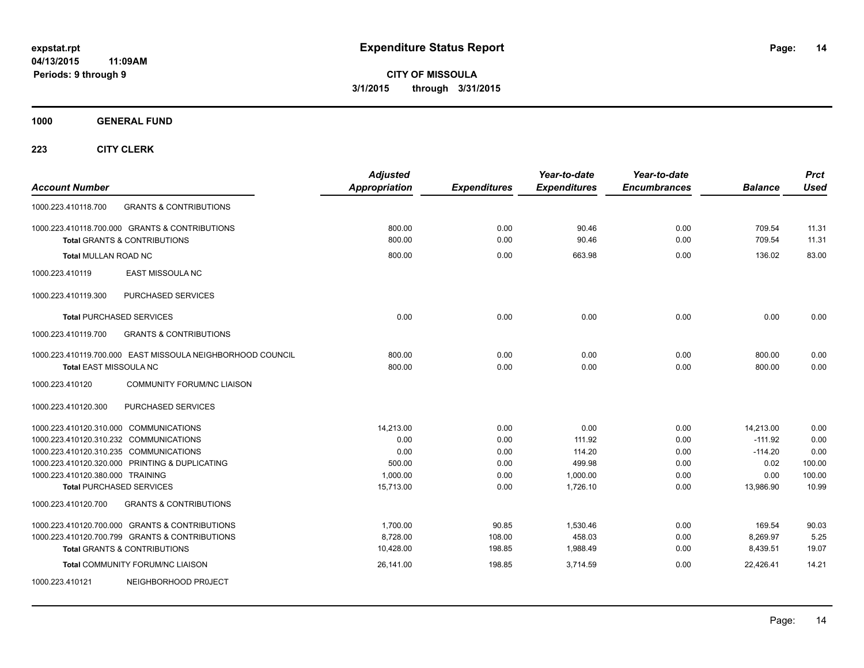**CITY OF MISSOULA 3/1/2015 through 3/31/2015**

**1000 GENERAL FUND**

| <b>Account Number</b>                                                            |                                                                                           | <b>Adjusted</b><br>Appropriation | <b>Expenditures</b> | Year-to-date<br><b>Expenditures</b> | Year-to-date<br><b>Encumbrances</b> | <b>Balance</b>         | <b>Prct</b><br><b>Used</b> |
|----------------------------------------------------------------------------------|-------------------------------------------------------------------------------------------|----------------------------------|---------------------|-------------------------------------|-------------------------------------|------------------------|----------------------------|
| 1000.223.410118.700                                                              | <b>GRANTS &amp; CONTRIBUTIONS</b>                                                         |                                  |                     |                                     |                                     |                        |                            |
|                                                                                  | 1000.223.410118.700.000 GRANTS & CONTRIBUTIONS<br><b>Total GRANTS &amp; CONTRIBUTIONS</b> | 800.00<br>800.00                 | 0.00<br>0.00        | 90.46<br>90.46                      | 0.00<br>0.00                        | 709.54<br>709.54       | 11.31<br>11.31             |
| <b>Total MULLAN ROAD NC</b>                                                      |                                                                                           | 800.00                           | 0.00                | 663.98                              | 0.00                                | 136.02                 | 83.00                      |
| 1000.223.410119                                                                  | EAST MISSOULA NC                                                                          |                                  |                     |                                     |                                     |                        |                            |
| 1000.223.410119.300                                                              | PURCHASED SERVICES                                                                        |                                  |                     |                                     |                                     |                        |                            |
| <b>Total PURCHASED SERVICES</b>                                                  |                                                                                           | 0.00                             | 0.00                | 0.00                                | 0.00                                | 0.00                   | 0.00                       |
| 1000.223.410119.700                                                              | <b>GRANTS &amp; CONTRIBUTIONS</b>                                                         |                                  |                     |                                     |                                     |                        |                            |
| <b>Total EAST MISSOULA NC</b>                                                    | 1000.223.410119.700.000 EAST MISSOULA NEIGHBORHOOD COUNCIL                                | 800.00<br>800.00                 | 0.00<br>0.00        | 0.00<br>0.00                        | 0.00<br>0.00                        | 800.00<br>800.00       | 0.00<br>0.00               |
| 1000.223.410120                                                                  | <b>COMMUNITY FORUM/NC LIAISON</b>                                                         |                                  |                     |                                     |                                     |                        |                            |
| 1000.223.410120.300                                                              | PURCHASED SERVICES                                                                        |                                  |                     |                                     |                                     |                        |                            |
| 1000.223.410120.310.000 COMMUNICATIONS                                           |                                                                                           | 14,213.00                        | 0.00                | 0.00                                | 0.00                                | 14,213.00              | 0.00                       |
| 1000.223.410120.310.232 COMMUNICATIONS<br>1000.223.410120.310.235 COMMUNICATIONS |                                                                                           | 0.00<br>0.00                     | 0.00<br>0.00        | 111.92<br>114.20                    | 0.00<br>0.00                        | $-111.92$<br>$-114.20$ | 0.00<br>0.00               |
|                                                                                  | 1000.223.410120.320.000 PRINTING & DUPLICATING                                            | 500.00                           | 0.00                | 499.98                              | 0.00                                | 0.02                   | 100.00                     |
| 1000.223.410120.380.000 TRAINING                                                 |                                                                                           | 1,000.00                         | 0.00                | 1,000.00                            | 0.00                                | 0.00                   | 100.00                     |
| <b>Total PURCHASED SERVICES</b>                                                  |                                                                                           | 15,713.00                        | 0.00                | 1,726.10                            | 0.00                                | 13,986.90              | 10.99                      |
| 1000.223.410120.700                                                              | <b>GRANTS &amp; CONTRIBUTIONS</b>                                                         |                                  |                     |                                     |                                     |                        |                            |
|                                                                                  | 1000.223.410120.700.000 GRANTS & CONTRIBUTIONS                                            | 1,700.00                         | 90.85               | 1.530.46                            | 0.00                                | 169.54                 | 90.03                      |
|                                                                                  | 1000.223.410120.700.799 GRANTS & CONTRIBUTIONS                                            | 8,728.00                         | 108.00              | 458.03                              | 0.00                                | 8,269.97               | 5.25                       |
|                                                                                  | <b>Total GRANTS &amp; CONTRIBUTIONS</b>                                                   | 10,428.00                        | 198.85              | 1,988.49                            | 0.00                                | 8,439.51               | 19.07                      |
|                                                                                  | Total COMMUNITY FORUM/NC LIAISON                                                          | 26,141.00                        | 198.85              | 3,714.59                            | 0.00                                | 22,426.41              | 14.21                      |
| 1000.223.410121                                                                  | NEIGHBORHOOD PROJECT                                                                      |                                  |                     |                                     |                                     |                        |                            |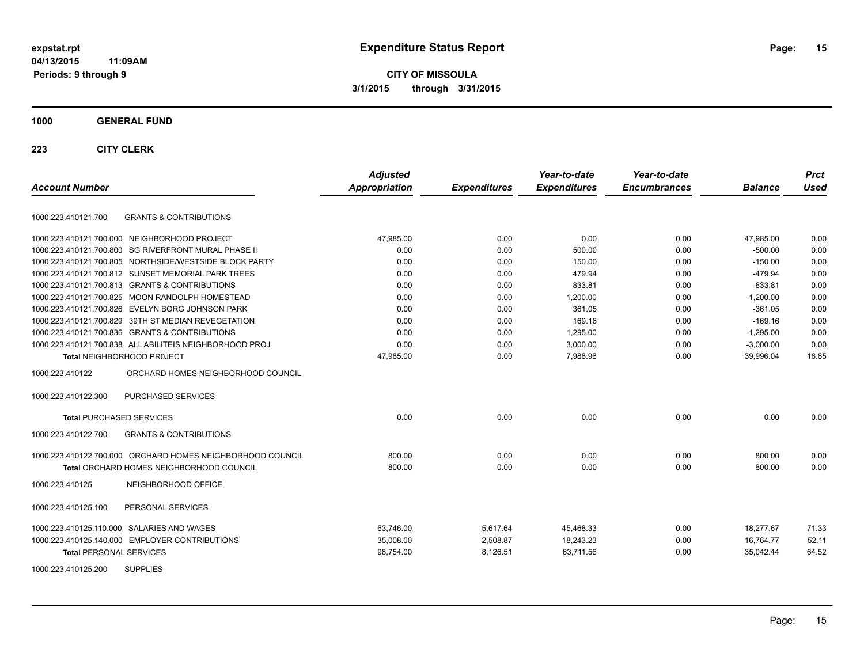**CITY OF MISSOULA 3/1/2015 through 3/31/2015**

#### **1000 GENERAL FUND**

| <b>Account Number</b>                                      | <b>Adjusted</b><br>Appropriation | <b>Expenditures</b> | Year-to-date<br><b>Expenditures</b> | Year-to-date<br><b>Encumbrances</b> | <b>Balance</b> | <b>Prct</b><br><b>Used</b> |
|------------------------------------------------------------|----------------------------------|---------------------|-------------------------------------|-------------------------------------|----------------|----------------------------|
| <b>GRANTS &amp; CONTRIBUTIONS</b><br>1000.223.410121.700   |                                  |                     |                                     |                                     |                |                            |
| 1000.223.410121.700.000 NEIGHBORHOOD PROJECT               | 47.985.00                        | 0.00                | 0.00                                | 0.00                                | 47,985.00      | 0.00                       |
| 1000.223.410121.700.800 SG RIVERFRONT MURAL PHASE II       | 0.00                             | 0.00                | 500.00                              | 0.00                                | $-500.00$      | 0.00                       |
| 1000.223.410121.700.805 NORTHSIDE/WESTSIDE BLOCK PARTY     | 0.00                             | 0.00                | 150.00                              | 0.00                                | $-150.00$      | 0.00                       |
| 1000.223.410121.700.812 SUNSET MEMORIAL PARK TREES         | 0.00                             | 0.00                | 479.94                              | 0.00                                | $-479.94$      | 0.00                       |
| 1000.223.410121.700.813 GRANTS & CONTRIBUTIONS             | 0.00                             | 0.00                | 833.81                              | 0.00                                | $-833.81$      | 0.00                       |
| 1000.223.410121.700.825 MOON RANDOLPH HOMESTEAD            | 0.00                             | 0.00                | 1,200.00                            | 0.00                                | $-1,200.00$    | 0.00                       |
| 1000.223.410121.700.826 EVELYN BORG JOHNSON PARK           | 0.00                             | 0.00                | 361.05                              | 0.00                                | $-361.05$      | 0.00                       |
| 1000.223.410121.700.829 39TH ST MEDIAN REVEGETATION        | 0.00                             | 0.00                | 169.16                              | 0.00                                | $-169.16$      | 0.00                       |
| 1000.223.410121.700.836 GRANTS & CONTRIBUTIONS             | 0.00                             | 0.00                | 1.295.00                            | 0.00                                | $-1,295.00$    | 0.00                       |
| 1000.223.410121.700.838 ALL ABILITEIS NEIGHBORHOOD PROJ    | 0.00                             | 0.00                | 3.000.00                            | 0.00                                | $-3,000.00$    | 0.00                       |
| <b>Total NEIGHBORHOOD PROJECT</b>                          | 47,985.00                        | 0.00                | 7,988.96                            | 0.00                                | 39,996.04      | 16.65                      |
| 1000.223.410122<br>ORCHARD HOMES NEIGHBORHOOD COUNCIL      |                                  |                     |                                     |                                     |                |                            |
| 1000.223.410122.300<br>PURCHASED SERVICES                  |                                  |                     |                                     |                                     |                |                            |
| <b>Total PURCHASED SERVICES</b>                            | 0.00                             | 0.00                | 0.00                                | 0.00                                | 0.00           | 0.00                       |
| 1000.223.410122.700<br><b>GRANTS &amp; CONTRIBUTIONS</b>   |                                  |                     |                                     |                                     |                |                            |
| 1000.223.410122.700.000 ORCHARD HOMES NEIGHBORHOOD COUNCIL | 800.00                           | 0.00                | 0.00                                | 0.00                                | 800.00         | 0.00                       |
| Total ORCHARD HOMES NEIGHBORHOOD COUNCIL                   | 800.00                           | 0.00                | 0.00                                | 0.00                                | 800.00         | 0.00                       |
| NEIGHBORHOOD OFFICE<br>1000.223.410125                     |                                  |                     |                                     |                                     |                |                            |
| 1000.223.410125.100<br>PERSONAL SERVICES                   |                                  |                     |                                     |                                     |                |                            |
| 1000.223.410125.110.000 SALARIES AND WAGES                 | 63.746.00                        | 5,617.64            | 45.468.33                           | 0.00                                | 18.277.67      | 71.33                      |
| 1000.223.410125.140.000 EMPLOYER CONTRIBUTIONS             | 35,008.00                        | 2,508.87            | 18,243.23                           | 0.00                                | 16,764.77      | 52.11                      |
| <b>Total PERSONAL SERVICES</b>                             | 98,754.00                        | 8,126.51            | 63,711.56                           | 0.00                                | 35,042.44      | 64.52                      |
| 1000.223.410125.200<br><b>SUPPLIES</b>                     |                                  |                     |                                     |                                     |                |                            |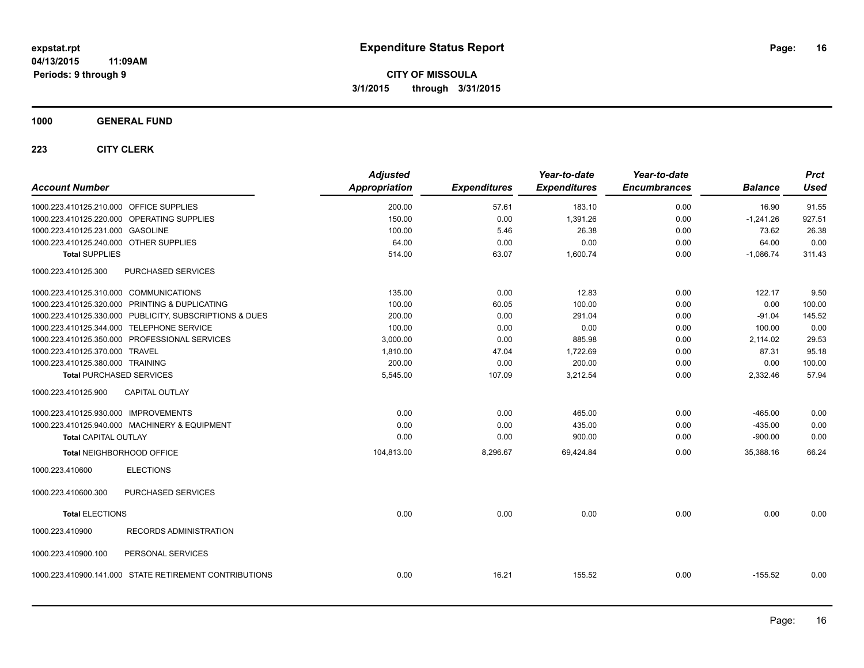**CITY OF MISSOULA 3/1/2015 through 3/31/2015**

### **1000 GENERAL FUND**

| 57.61<br>200.00<br>183.10<br>0.00<br>16.90<br>1000.223.410125.210.000 OFFICE SUPPLIES<br>1000.223.410125.220.000 OPERATING SUPPLIES<br>150.00<br>0.00<br>1,391.26<br>0.00<br>$-1,241.26$<br>26.38<br>73.62<br>1000.223.410125.231.000 GASOLINE<br>100.00<br>5.46<br>0.00<br>0.00<br>64.00<br>1000.223.410125.240.000 OTHER SUPPLIES<br>64.00<br>0.00<br>0.00<br><b>Total SUPPLIES</b><br>514.00<br>63.07<br>1,600.74<br>0.00<br>$-1,086.74$<br>PURCHASED SERVICES<br>1000.223.410125.300<br>1000.223.410125.310.000 COMMUNICATIONS<br>135.00<br>0.00<br>12.83<br>0.00<br>122.17<br>0.00<br>1000.223.410125.320.000 PRINTING & DUPLICATING<br>60.05<br>100.00<br>0.00<br>100.00 | 91.55<br>927.51<br>26.38<br>0.00<br>311.43 |
|--------------------------------------------------------------------------------------------------------------------------------------------------------------------------------------------------------------------------------------------------------------------------------------------------------------------------------------------------------------------------------------------------------------------------------------------------------------------------------------------------------------------------------------------------------------------------------------------------------------------------------------------------------------------------------|--------------------------------------------|
|                                                                                                                                                                                                                                                                                                                                                                                                                                                                                                                                                                                                                                                                                |                                            |
|                                                                                                                                                                                                                                                                                                                                                                                                                                                                                                                                                                                                                                                                                |                                            |
|                                                                                                                                                                                                                                                                                                                                                                                                                                                                                                                                                                                                                                                                                |                                            |
|                                                                                                                                                                                                                                                                                                                                                                                                                                                                                                                                                                                                                                                                                |                                            |
|                                                                                                                                                                                                                                                                                                                                                                                                                                                                                                                                                                                                                                                                                |                                            |
|                                                                                                                                                                                                                                                                                                                                                                                                                                                                                                                                                                                                                                                                                |                                            |
|                                                                                                                                                                                                                                                                                                                                                                                                                                                                                                                                                                                                                                                                                | 9.50                                       |
|                                                                                                                                                                                                                                                                                                                                                                                                                                                                                                                                                                                                                                                                                | 100.00                                     |
| 1000.223.410125.330.000 PUBLICITY, SUBSCRIPTIONS & DUES<br>0.00<br>291.04<br>0.00<br>$-91.04$<br>200.00                                                                                                                                                                                                                                                                                                                                                                                                                                                                                                                                                                        | 145.52                                     |
| 0.00<br>1000.223.410125.344.000 TELEPHONE SERVICE<br>100.00<br>0.00<br>0.00<br>100.00                                                                                                                                                                                                                                                                                                                                                                                                                                                                                                                                                                                          | 0.00                                       |
| 1000.223.410125.350.000 PROFESSIONAL SERVICES<br>3,000.00<br>0.00<br>885.98<br>2.114.02<br>0.00                                                                                                                                                                                                                                                                                                                                                                                                                                                                                                                                                                                | 29.53                                      |
| 1000.223.410125.370.000 TRAVEL<br>1.722.69<br>1.810.00<br>47.04<br>0.00<br>87.31                                                                                                                                                                                                                                                                                                                                                                                                                                                                                                                                                                                               | 95.18                                      |
| 1000.223.410125.380.000 TRAINING<br>200.00<br>0.00<br>200.00<br>0.00<br>0.00                                                                                                                                                                                                                                                                                                                                                                                                                                                                                                                                                                                                   | 100.00                                     |
| 3,212.54<br>5,545.00<br>107.09<br>0.00<br>2,332.46<br><b>Total PURCHASED SERVICES</b>                                                                                                                                                                                                                                                                                                                                                                                                                                                                                                                                                                                          | 57.94                                      |
| <b>CAPITAL OUTLAY</b><br>1000.223.410125.900                                                                                                                                                                                                                                                                                                                                                                                                                                                                                                                                                                                                                                   |                                            |
| 1000.223.410125.930.000 IMPROVEMENTS<br>0.00<br>0.00<br>465.00<br>0.00<br>$-465.00$                                                                                                                                                                                                                                                                                                                                                                                                                                                                                                                                                                                            | 0.00                                       |
| 1000.223.410125.940.000 MACHINERY & EQUIPMENT<br>0.00<br>435.00<br>0.00<br>0.00<br>$-435.00$                                                                                                                                                                                                                                                                                                                                                                                                                                                                                                                                                                                   | 0.00                                       |
| 0.00<br>0.00<br>900.00<br>0.00<br>$-900.00$<br><b>Total CAPITAL OUTLAY</b>                                                                                                                                                                                                                                                                                                                                                                                                                                                                                                                                                                                                     | 0.00                                       |
| Total NEIGHBORHOOD OFFICE<br>69,424.84<br>0.00<br>104,813.00<br>8,296.67<br>35,388.16                                                                                                                                                                                                                                                                                                                                                                                                                                                                                                                                                                                          | 66.24                                      |
| <b>ELECTIONS</b><br>1000.223.410600                                                                                                                                                                                                                                                                                                                                                                                                                                                                                                                                                                                                                                            |                                            |
| PURCHASED SERVICES<br>1000.223.410600.300                                                                                                                                                                                                                                                                                                                                                                                                                                                                                                                                                                                                                                      |                                            |
| 0.00<br>0.00<br>0.00<br>0.00<br>0.00<br><b>Total ELECTIONS</b>                                                                                                                                                                                                                                                                                                                                                                                                                                                                                                                                                                                                                 | 0.00                                       |
| 1000.223.410900<br><b>RECORDS ADMINISTRATION</b>                                                                                                                                                                                                                                                                                                                                                                                                                                                                                                                                                                                                                               |                                            |
| 1000.223.410900.100<br>PERSONAL SERVICES                                                                                                                                                                                                                                                                                                                                                                                                                                                                                                                                                                                                                                       |                                            |
| 1000.223.410900.141.000 STATE RETIREMENT CONTRIBUTIONS<br>0.00<br>16.21<br>155.52<br>0.00<br>$-155.52$                                                                                                                                                                                                                                                                                                                                                                                                                                                                                                                                                                         | 0.00                                       |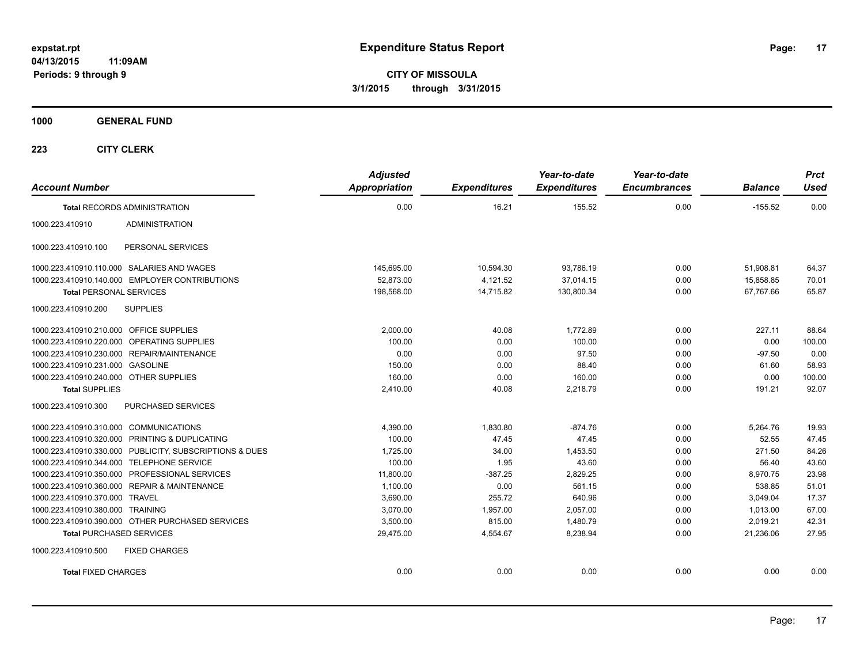**CITY OF MISSOULA 3/1/2015 through 3/31/2015**

**1000 GENERAL FUND**

| <b>Account Number</b>                                   | <b>Adjusted</b><br><b>Appropriation</b> | <b>Expenditures</b> | Year-to-date<br><b>Expenditures</b> | Year-to-date<br><b>Encumbrances</b> | <b>Balance</b> | <b>Prct</b><br><b>Used</b> |
|---------------------------------------------------------|-----------------------------------------|---------------------|-------------------------------------|-------------------------------------|----------------|----------------------------|
| <b>Total RECORDS ADMINISTRATION</b>                     | 0.00                                    | 16.21               | 155.52                              | 0.00                                | $-155.52$      | 0.00                       |
| <b>ADMINISTRATION</b><br>1000.223.410910                |                                         |                     |                                     |                                     |                |                            |
| 1000.223.410910.100<br>PERSONAL SERVICES                |                                         |                     |                                     |                                     |                |                            |
| 1000.223.410910.110.000 SALARIES AND WAGES              | 145,695.00                              | 10,594.30           | 93,786.19                           | 0.00                                | 51,908.81      | 64.37                      |
| 1000.223.410910.140.000 EMPLOYER CONTRIBUTIONS          | 52.873.00                               | 4,121.52            | 37,014.15                           | 0.00                                | 15,858.85      | 70.01                      |
| <b>Total PERSONAL SERVICES</b>                          | 198,568.00                              | 14,715.82           | 130,800.34                          | 0.00                                | 67,767.66      | 65.87                      |
| <b>SUPPLIES</b><br>1000.223.410910.200                  |                                         |                     |                                     |                                     |                |                            |
| 1000.223.410910.210.000 OFFICE SUPPLIES                 | 2,000.00                                | 40.08               | 1,772.89                            | 0.00                                | 227.11         | 88.64                      |
| 1000.223.410910.220.000 OPERATING SUPPLIES              | 100.00                                  | 0.00                | 100.00                              | 0.00                                | 0.00           | 100.00                     |
| 1000.223.410910.230.000 REPAIR/MAINTENANCE              | 0.00                                    | 0.00                | 97.50                               | 0.00                                | $-97.50$       | 0.00                       |
| 1000.223.410910.231.000 GASOLINE                        | 150.00                                  | 0.00                | 88.40                               | 0.00                                | 61.60          | 58.93                      |
| 1000.223.410910.240.000 OTHER SUPPLIES                  | 160.00                                  | 0.00                | 160.00                              | 0.00                                | 0.00           | 100.00                     |
| <b>Total SUPPLIES</b>                                   | 2,410.00                                | 40.08               | 2,218.79                            | 0.00                                | 191.21         | 92.07                      |
| PURCHASED SERVICES<br>1000.223.410910.300               |                                         |                     |                                     |                                     |                |                            |
| 1000.223.410910.310.000 COMMUNICATIONS                  | 4,390.00                                | 1,830.80            | $-874.76$                           | 0.00                                | 5,264.76       | 19.93                      |
| 1000.223.410910.320.000 PRINTING & DUPLICATING          | 100.00                                  | 47.45               | 47.45                               | 0.00                                | 52.55          | 47.45                      |
| 1000.223.410910.330.000 PUBLICITY, SUBSCRIPTIONS & DUES | 1,725.00                                | 34.00               | 1,453.50                            | 0.00                                | 271.50         | 84.26                      |
| 1000.223.410910.344.000 TELEPHONE SERVICE               | 100.00                                  | 1.95                | 43.60                               | 0.00                                | 56.40          | 43.60                      |
| 1000.223.410910.350.000 PROFESSIONAL SERVICES           | 11,800.00                               | $-387.25$           | 2,829.25                            | 0.00                                | 8,970.75       | 23.98                      |
| 1000.223.410910.360.000 REPAIR & MAINTENANCE            | 1,100.00                                | 0.00                | 561.15                              | 0.00                                | 538.85         | 51.01                      |
| 1000.223.410910.370.000 TRAVEL                          | 3,690.00                                | 255.72              | 640.96                              | 0.00                                | 3,049.04       | 17.37                      |
| 1000.223.410910.380.000 TRAINING                        | 3,070.00                                | 1,957.00            | 2,057.00                            | 0.00                                | 1,013.00       | 67.00                      |
| 1000.223.410910.390.000 OTHER PURCHASED SERVICES        | 3,500.00                                | 815.00              | 1,480.79                            | 0.00                                | 2,019.21       | 42.31                      |
| <b>Total PURCHASED SERVICES</b>                         | 29,475.00                               | 4,554.67            | 8,238.94                            | 0.00                                | 21,236.06      | 27.95                      |
| 1000.223.410910.500<br><b>FIXED CHARGES</b>             |                                         |                     |                                     |                                     |                |                            |
| <b>Total FIXED CHARGES</b>                              | 0.00                                    | 0.00                | 0.00                                | 0.00                                | 0.00           | 0.00                       |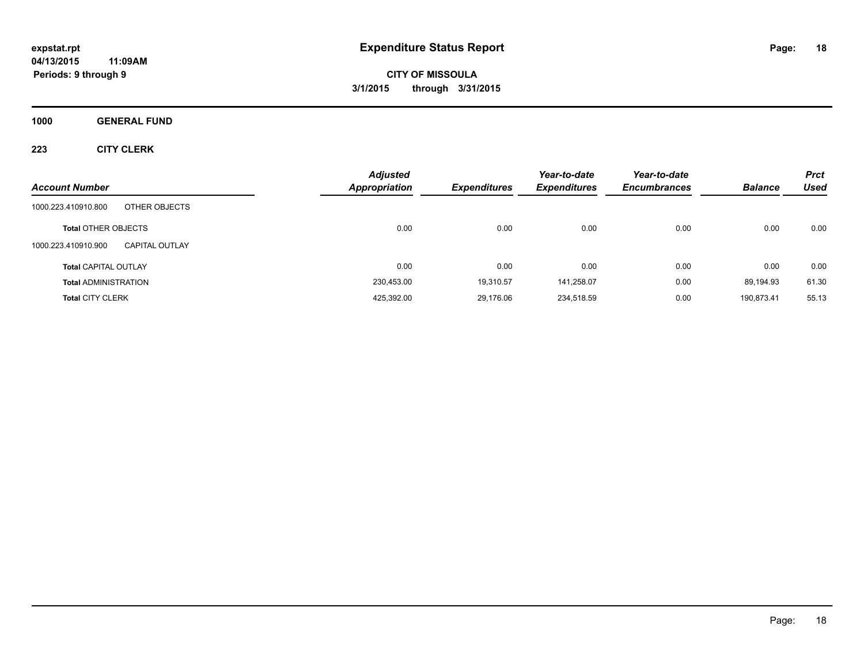**CITY OF MISSOULA 3/1/2015 through 3/31/2015**

**1000 GENERAL FUND**

|                                              | <b>Adjusted</b>      |                     | Year-to-date        | Year-to-date        |                | <b>Prct</b> |
|----------------------------------------------|----------------------|---------------------|---------------------|---------------------|----------------|-------------|
| <b>Account Number</b>                        | <b>Appropriation</b> | <b>Expenditures</b> | <b>Expenditures</b> | <b>Encumbrances</b> | <b>Balance</b> | <b>Used</b> |
| 1000.223.410910.800<br>OTHER OBJECTS         |                      |                     |                     |                     |                |             |
| <b>Total OTHER OBJECTS</b>                   | 0.00                 | 0.00                | 0.00                | 0.00                | 0.00           | 0.00        |
| 1000.223.410910.900<br><b>CAPITAL OUTLAY</b> |                      |                     |                     |                     |                |             |
| <b>Total CAPITAL OUTLAY</b>                  | 0.00                 | 0.00                | 0.00                | 0.00                | 0.00           | 0.00        |
| <b>Total ADMINISTRATION</b>                  | 230,453.00           | 19,310.57           | 141,258.07          | 0.00                | 89.194.93      | 61.30       |
| <b>Total CITY CLERK</b>                      | 425,392.00           | 29,176.06           | 234,518.59          | 0.00                | 190,873.41     | 55.13       |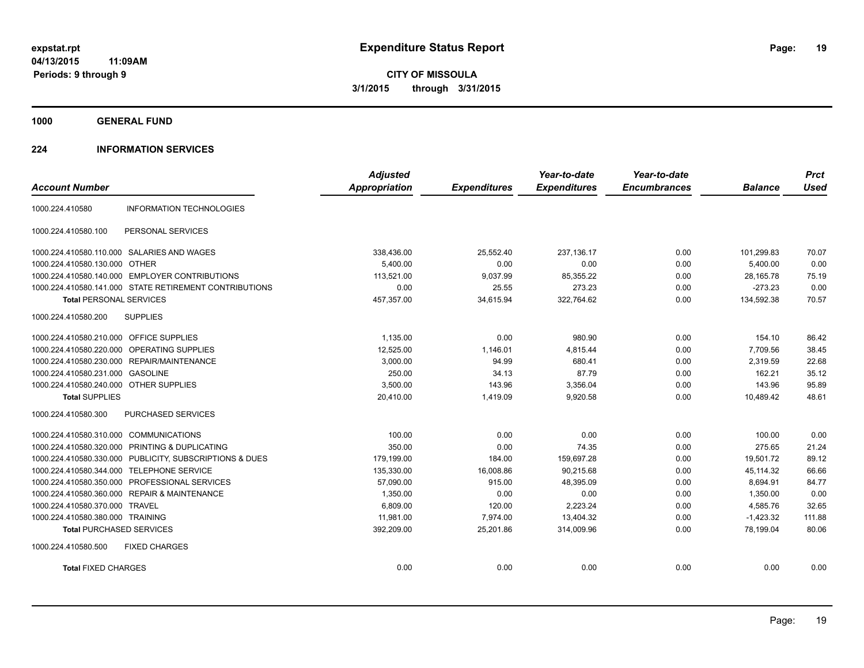**CITY OF MISSOULA 3/1/2015 through 3/31/2015**

**1000 GENERAL FUND**

### **224 INFORMATION SERVICES**

| <b>Account Number</b>                   |                                                         | <b>Adjusted</b><br><b>Appropriation</b> | <b>Expenditures</b> | Year-to-date<br><b>Expenditures</b> | Year-to-date<br><b>Encumbrances</b> | <b>Balance</b> | <b>Prct</b><br><b>Used</b> |
|-----------------------------------------|---------------------------------------------------------|-----------------------------------------|---------------------|-------------------------------------|-------------------------------------|----------------|----------------------------|
|                                         |                                                         |                                         |                     |                                     |                                     |                |                            |
| 1000.224.410580                         | <b>INFORMATION TECHNOLOGIES</b>                         |                                         |                     |                                     |                                     |                |                            |
| 1000.224.410580.100                     | PERSONAL SERVICES                                       |                                         |                     |                                     |                                     |                |                            |
|                                         | 1000.224.410580.110.000 SALARIES AND WAGES              | 338,436.00                              | 25,552.40           | 237,136.17                          | 0.00                                | 101,299.83     | 70.07                      |
| 1000.224.410580.130.000 OTHER           |                                                         | 5.400.00                                | 0.00                | 0.00                                | 0.00                                | 5,400.00       | 0.00                       |
| 1000.224.410580.140.000                 | <b>EMPLOYER CONTRIBUTIONS</b>                           | 113,521.00                              | 9,037.99            | 85,355.22                           | 0.00                                | 28,165.78      | 75.19                      |
|                                         | 1000.224.410580.141.000 STATE RETIREMENT CONTRIBUTIONS  | 0.00                                    | 25.55               | 273.23                              | 0.00                                | $-273.23$      | 0.00                       |
| <b>Total PERSONAL SERVICES</b>          |                                                         | 457,357.00                              | 34,615.94           | 322,764.62                          | 0.00                                | 134,592.38     | 70.57                      |
| 1000.224.410580.200                     | <b>SUPPLIES</b>                                         |                                         |                     |                                     |                                     |                |                            |
| 1000.224.410580.210.000 OFFICE SUPPLIES |                                                         | 1,135.00                                | 0.00                | 980.90                              | 0.00                                | 154.10         | 86.42                      |
| 1000.224.410580.220.000                 | OPERATING SUPPLIES                                      | 12,525.00                               | 1,146.01            | 4.815.44                            | 0.00                                | 7,709.56       | 38.45                      |
|                                         | 1000.224.410580.230.000 REPAIR/MAINTENANCE              | 3,000.00                                | 94.99               | 680.41                              | 0.00                                | 2,319.59       | 22.68                      |
| 1000.224.410580.231.000 GASOLINE        |                                                         | 250.00                                  | 34.13               | 87.79                               | 0.00                                | 162.21         | 35.12                      |
| 1000.224.410580.240.000 OTHER SUPPLIES  |                                                         | 3,500.00                                | 143.96              | 3,356.04                            | 0.00                                | 143.96         | 95.89                      |
| <b>Total SUPPLIES</b>                   |                                                         | 20,410.00                               | 1,419.09            | 9,920.58                            | 0.00                                | 10,489.42      | 48.61                      |
| 1000.224.410580.300                     | PURCHASED SERVICES                                      |                                         |                     |                                     |                                     |                |                            |
| 1000.224.410580.310.000                 | <b>COMMUNICATIONS</b>                                   | 100.00                                  | 0.00                | 0.00                                | 0.00                                | 100.00         | 0.00                       |
| 1000.224.410580.320.000                 | PRINTING & DUPLICATING                                  | 350.00                                  | 0.00                | 74.35                               | 0.00                                | 275.65         | 21.24                      |
|                                         | 1000.224.410580.330.000 PUBLICITY, SUBSCRIPTIONS & DUES | 179,199.00                              | 184.00              | 159,697.28                          | 0.00                                | 19.501.72      | 89.12                      |
| 1000.224.410580.344.000                 | <b>TELEPHONE SERVICE</b>                                | 135,330.00                              | 16,008.86           | 90,215.68                           | 0.00                                | 45,114.32      | 66.66                      |
| 1000.224.410580.350.000                 | PROFESSIONAL SERVICES                                   | 57,090.00                               | 915.00              | 48,395.09                           | 0.00                                | 8,694.91       | 84.77                      |
| 1000.224.410580.360.000                 | <b>REPAIR &amp; MAINTENANCE</b>                         | 1,350.00                                | 0.00                | 0.00                                | 0.00                                | 1,350.00       | 0.00                       |
| 1000.224.410580.370.000 TRAVEL          |                                                         | 6.809.00                                | 120.00              | 2,223.24                            | 0.00                                | 4,585.76       | 32.65                      |
| 1000.224.410580.380.000 TRAINING        |                                                         | 11,981.00                               | 7,974.00            | 13,404.32                           | 0.00                                | $-1,423.32$    | 111.88                     |
| <b>Total PURCHASED SERVICES</b>         |                                                         | 392,209.00                              | 25,201.86           | 314,009.96                          | 0.00                                | 78,199.04      | 80.06                      |
| 1000.224.410580.500                     | <b>FIXED CHARGES</b>                                    |                                         |                     |                                     |                                     |                |                            |
| <b>Total FIXED CHARGES</b>              |                                                         | 0.00                                    | 0.00                | 0.00                                | 0.00                                | 0.00           | 0.00                       |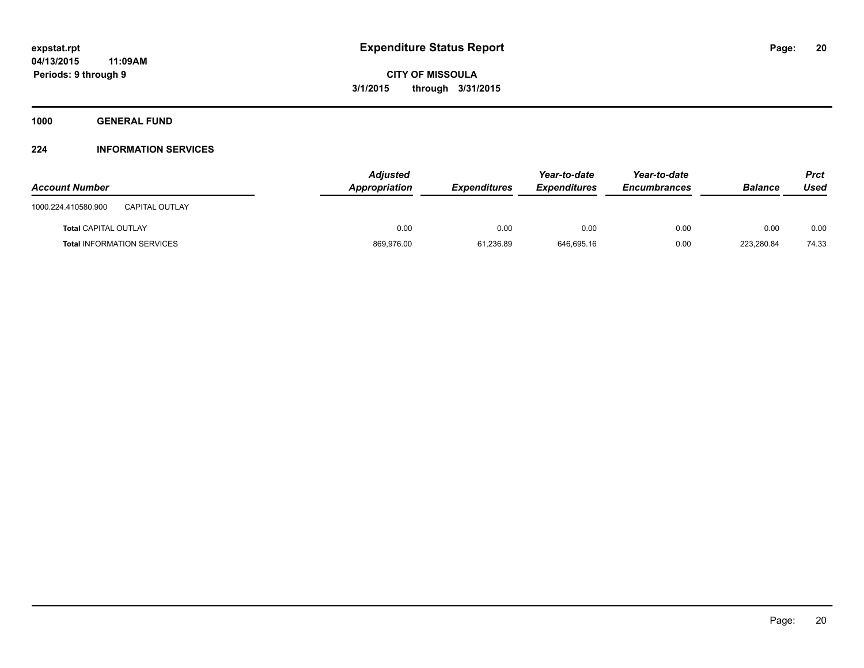**1000 GENERAL FUND**

### **224 INFORMATION SERVICES**

| <b>Account Number</b>                        | <b>Adjusted</b><br>Appropriation | <b>Expenditures</b> | Year-to-date<br><b>Expenditures</b> | Year-to-date<br><b>Encumbrances</b> | <b>Balance</b> | Prct<br>Used |
|----------------------------------------------|----------------------------------|---------------------|-------------------------------------|-------------------------------------|----------------|--------------|
| 1000.224.410580.900<br><b>CAPITAL OUTLAY</b> |                                  |                     |                                     |                                     |                |              |
| <b>Total CAPITAL OUTLAY</b>                  | 0.00                             | 0.00                | 0.00                                | 0.00                                | 0.00           | 0.00         |
| <b>Total INFORMATION SERVICES</b>            | 869,976.00                       | 61.236.89           | 646.695.16                          | 0.00                                | 223.280.84     | 74.33        |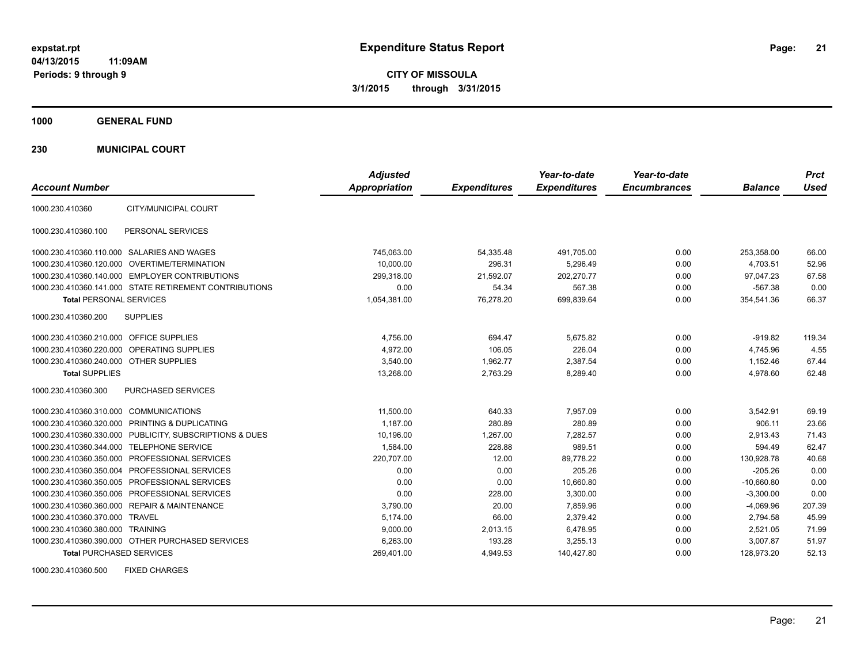**CITY OF MISSOULA 3/1/2015 through 3/31/2015**

**1000 GENERAL FUND**

**230 MUNICIPAL COURT**

| <b>Account Number</b>                   |                                                         | <b>Adjusted</b><br><b>Appropriation</b> | <b>Expenditures</b> | Year-to-date<br><b>Expenditures</b> | Year-to-date<br><b>Encumbrances</b> | <b>Balance</b> | <b>Prct</b><br><b>Used</b> |
|-----------------------------------------|---------------------------------------------------------|-----------------------------------------|---------------------|-------------------------------------|-------------------------------------|----------------|----------------------------|
| 1000.230.410360                         | CITY/MUNICIPAL COURT                                    |                                         |                     |                                     |                                     |                |                            |
| 1000.230.410360.100                     | PERSONAL SERVICES                                       |                                         |                     |                                     |                                     |                |                            |
|                                         | 1000.230.410360.110.000 SALARIES AND WAGES              | 745,063.00                              | 54,335.48           | 491,705.00                          | 0.00                                | 253.358.00     | 66.00                      |
|                                         | 1000.230.410360.120.000 OVERTIME/TERMINATION            | 10.000.00                               | 296.31              | 5.296.49                            | 0.00                                | 4.703.51       | 52.96                      |
|                                         | 1000.230.410360.140.000 EMPLOYER CONTRIBUTIONS          | 299,318.00                              | 21,592.07           | 202,270.77                          | 0.00                                | 97,047.23      | 67.58                      |
|                                         | 1000.230.410360.141.000 STATE RETIREMENT CONTRIBUTIONS  | 0.00                                    | 54.34               | 567.38                              | 0.00                                | $-567.38$      | 0.00                       |
| <b>Total PERSONAL SERVICES</b>          |                                                         | 1,054,381.00                            | 76,278.20           | 699,839.64                          | 0.00                                | 354,541.36     | 66.37                      |
| 1000.230.410360.200                     | <b>SUPPLIES</b>                                         |                                         |                     |                                     |                                     |                |                            |
| 1000.230.410360.210.000 OFFICE SUPPLIES |                                                         | 4,756.00                                | 694.47              | 5,675.82                            | 0.00                                | $-919.82$      | 119.34                     |
|                                         | 1000.230.410360.220.000 OPERATING SUPPLIES              | 4.972.00                                | 106.05              | 226.04                              | 0.00                                | 4.745.96       | 4.55                       |
| 1000.230.410360.240.000 OTHER SUPPLIES  |                                                         | 3.540.00                                | 1.962.77            | 2,387.54                            | 0.00                                | 1.152.46       | 67.44                      |
| <b>Total SUPPLIES</b>                   |                                                         | 13,268.00                               | 2,763.29            | 8,289.40                            | 0.00                                | 4,978.60       | 62.48                      |
| 1000.230.410360.300                     | PURCHASED SERVICES                                      |                                         |                     |                                     |                                     |                |                            |
| 1000.230.410360.310.000 COMMUNICATIONS  |                                                         | 11,500.00                               | 640.33              | 7,957.09                            | 0.00                                | 3,542.91       | 69.19                      |
|                                         | 1000.230.410360.320.000 PRINTING & DUPLICATING          | 1,187.00                                | 280.89              | 280.89                              | 0.00                                | 906.11         | 23.66                      |
|                                         | 1000.230.410360.330.000 PUBLICITY, SUBSCRIPTIONS & DUES | 10,196.00                               | 1,267.00            | 7.282.57                            | 0.00                                | 2,913.43       | 71.43                      |
|                                         | 1000.230.410360.344.000 TELEPHONE SERVICE               | 1,584.00                                | 228.88              | 989.51                              | 0.00                                | 594.49         | 62.47                      |
|                                         | 1000.230.410360.350.000 PROFESSIONAL SERVICES           | 220,707.00                              | 12.00               | 89,778.22                           | 0.00                                | 130,928.78     | 40.68                      |
|                                         | 1000.230.410360.350.004 PROFESSIONAL SERVICES           | 0.00                                    | 0.00                | 205.26                              | 0.00                                | $-205.26$      | 0.00                       |
|                                         | 1000.230.410360.350.005 PROFESSIONAL SERVICES           | 0.00                                    | 0.00                | 10,660.80                           | 0.00                                | $-10,660.80$   | 0.00                       |
|                                         | 1000.230.410360.350.006 PROFESSIONAL SERVICES           | 0.00                                    | 228.00              | 3,300.00                            | 0.00                                | $-3,300.00$    | 0.00                       |
|                                         | 1000.230.410360.360.000 REPAIR & MAINTENANCE            | 3,790.00                                | 20.00               | 7,859.96                            | 0.00                                | $-4,069.96$    | 207.39                     |
| 1000.230.410360.370.000 TRAVEL          |                                                         | 5.174.00                                | 66.00               | 2,379.42                            | 0.00                                | 2,794.58       | 45.99                      |
| 1000.230.410360.380.000 TRAINING        |                                                         | 9,000.00                                | 2,013.15            | 6,478.95                            | 0.00                                | 2,521.05       | 71.99                      |
|                                         | 1000.230.410360.390.000 OTHER PURCHASED SERVICES        | 6,263.00                                | 193.28              | 3,255.13                            | 0.00                                | 3,007.87       | 51.97                      |
| <b>Total PURCHASED SERVICES</b>         |                                                         | 269,401.00                              | 4,949.53            | 140,427.80                          | 0.00                                | 128,973.20     | 52.13                      |

1000.230.410360.500 FIXED CHARGES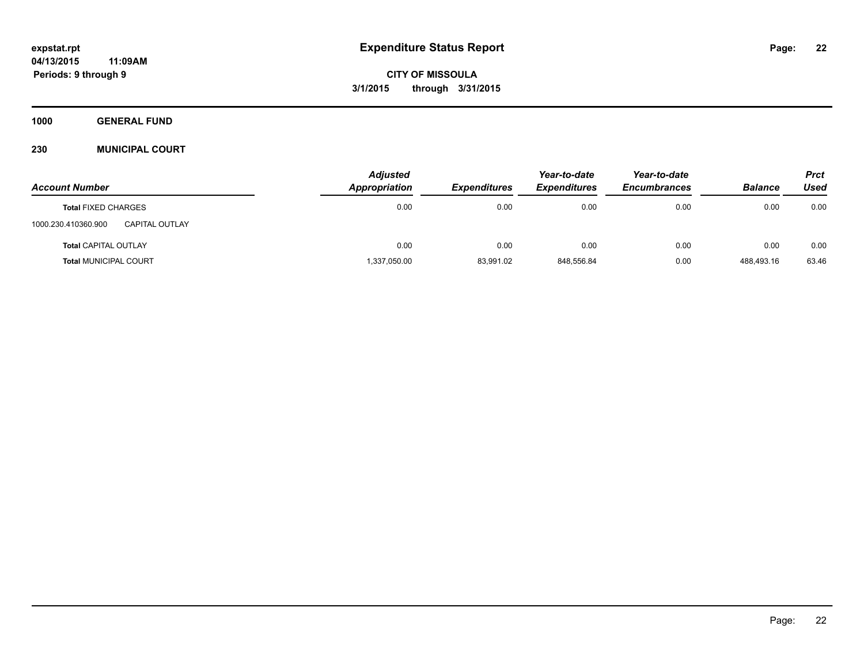**Periods: 9 through 9**

**CITY OF MISSOULA 3/1/2015 through 3/31/2015**

**1000 GENERAL FUND**

### **230 MUNICIPAL COURT**

|                                       | <b>Adjusted</b> |                     |                     | Year-to-date        |                | <b>Prct</b> |
|---------------------------------------|-----------------|---------------------|---------------------|---------------------|----------------|-------------|
| <b>Account Number</b>                 | Appropriation   | <b>Expenditures</b> | <b>Expenditures</b> | <b>Encumbrances</b> | <b>Balance</b> | Used        |
| <b>Total FIXED CHARGES</b>            | 0.00            | 0.00                | 0.00                | 0.00                | 0.00           | 0.00        |
| 1000.230.410360.900<br>CAPITAL OUTLAY |                 |                     |                     |                     |                |             |
| <b>Total CAPITAL OUTLAY</b>           | 0.00            | 0.00                | 0.00                | 0.00                | 0.00           | 0.00        |
| <b>Total MUNICIPAL COURT</b>          | 1,337,050.00    | 83,991.02           | 848,556.84          | 0.00                | 488.493.16     | 63.46       |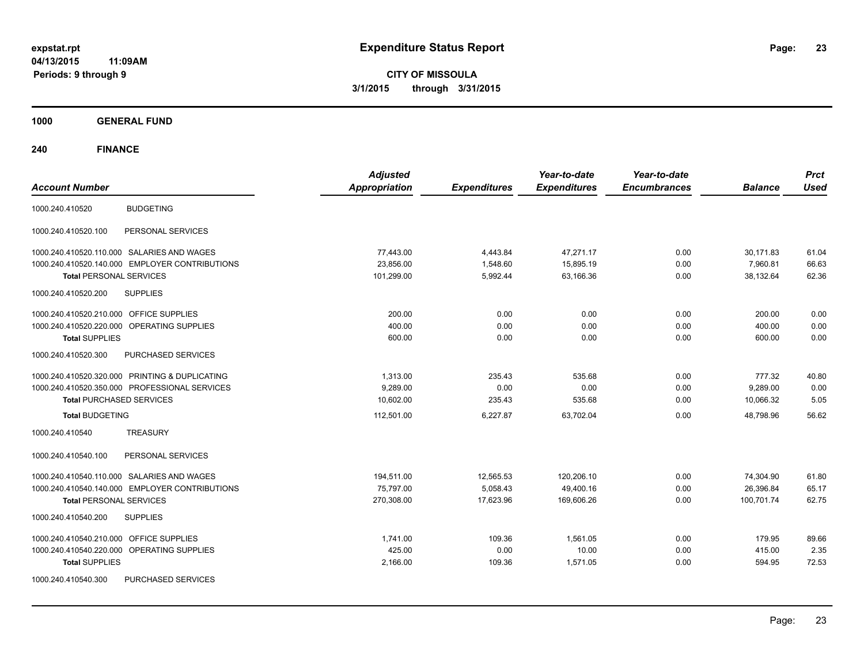**CITY OF MISSOULA 3/1/2015 through 3/31/2015**

**1000 GENERAL FUND**

| <b>Account Number</b>                          | <b>Adjusted</b><br><b>Appropriation</b> | <b>Expenditures</b> | Year-to-date<br><b>Expenditures</b> | Year-to-date<br><b>Encumbrances</b> | <b>Balance</b> | <b>Prct</b><br><b>Used</b> |
|------------------------------------------------|-----------------------------------------|---------------------|-------------------------------------|-------------------------------------|----------------|----------------------------|
|                                                |                                         |                     |                                     |                                     |                |                            |
| <b>BUDGETING</b><br>1000.240.410520            |                                         |                     |                                     |                                     |                |                            |
| PERSONAL SERVICES<br>1000.240.410520.100       |                                         |                     |                                     |                                     |                |                            |
| 1000.240.410520.110.000 SALARIES AND WAGES     | 77,443.00                               | 4,443.84            | 47,271.17                           | 0.00                                | 30,171.83      | 61.04                      |
| 1000.240.410520.140.000 EMPLOYER CONTRIBUTIONS | 23,856.00                               | 1,548.60            | 15,895.19                           | 0.00                                | 7,960.81       | 66.63                      |
| <b>Total PERSONAL SERVICES</b>                 | 101,299.00                              | 5,992.44            | 63,166.36                           | 0.00                                | 38,132.64      | 62.36                      |
| <b>SUPPLIES</b><br>1000.240.410520.200         |                                         |                     |                                     |                                     |                |                            |
| 1000.240.410520.210.000 OFFICE SUPPLIES        | 200.00                                  | 0.00                | 0.00                                | 0.00                                | 200.00         | 0.00                       |
| 1000.240.410520.220.000 OPERATING SUPPLIES     | 400.00                                  | 0.00                | 0.00                                | 0.00                                | 400.00         | 0.00                       |
| <b>Total SUPPLIES</b>                          | 600.00                                  | 0.00                | 0.00                                | 0.00                                | 600.00         | 0.00                       |
| 1000.240.410520.300<br>PURCHASED SERVICES      |                                         |                     |                                     |                                     |                |                            |
| 1000.240.410520.320.000 PRINTING & DUPLICATING | 1,313.00                                | 235.43              | 535.68                              | 0.00                                | 777.32         | 40.80                      |
| 1000.240.410520.350.000 PROFESSIONAL SERVICES  | 9,289.00                                | 0.00                | 0.00                                | 0.00                                | 9,289.00       | 0.00                       |
| <b>Total PURCHASED SERVICES</b>                | 10,602.00                               | 235.43              | 535.68                              | 0.00                                | 10,066.32      | 5.05                       |
| <b>Total BUDGETING</b>                         | 112,501.00                              | 6,227.87            | 63,702.04                           | 0.00                                | 48,798.96      | 56.62                      |
| <b>TREASURY</b><br>1000.240.410540             |                                         |                     |                                     |                                     |                |                            |
| PERSONAL SERVICES<br>1000.240.410540.100       |                                         |                     |                                     |                                     |                |                            |
| 1000.240.410540.110.000 SALARIES AND WAGES     | 194,511.00                              | 12,565.53           | 120,206.10                          | 0.00                                | 74,304.90      | 61.80                      |
| 1000.240.410540.140.000 EMPLOYER CONTRIBUTIONS | 75,797.00                               | 5,058.43            | 49,400.16                           | 0.00                                | 26,396.84      | 65.17                      |
| <b>Total PERSONAL SERVICES</b>                 | 270,308.00                              | 17,623.96           | 169,606.26                          | 0.00                                | 100,701.74     | 62.75                      |
| <b>SUPPLIES</b><br>1000.240.410540.200         |                                         |                     |                                     |                                     |                |                            |
| 1000.240.410540.210.000 OFFICE SUPPLIES        | 1,741.00                                | 109.36              | 1,561.05                            | 0.00                                | 179.95         | 89.66                      |
| 1000.240.410540.220.000 OPERATING SUPPLIES     | 425.00                                  | 0.00                | 10.00                               | 0.00                                | 415.00         | 2.35                       |
| <b>Total SUPPLIES</b>                          | 2,166.00                                | 109.36              | 1,571.05                            | 0.00                                | 594.95         | 72.53                      |
| PURCHASED SERVICES<br>1000.240.410540.300      |                                         |                     |                                     |                                     |                |                            |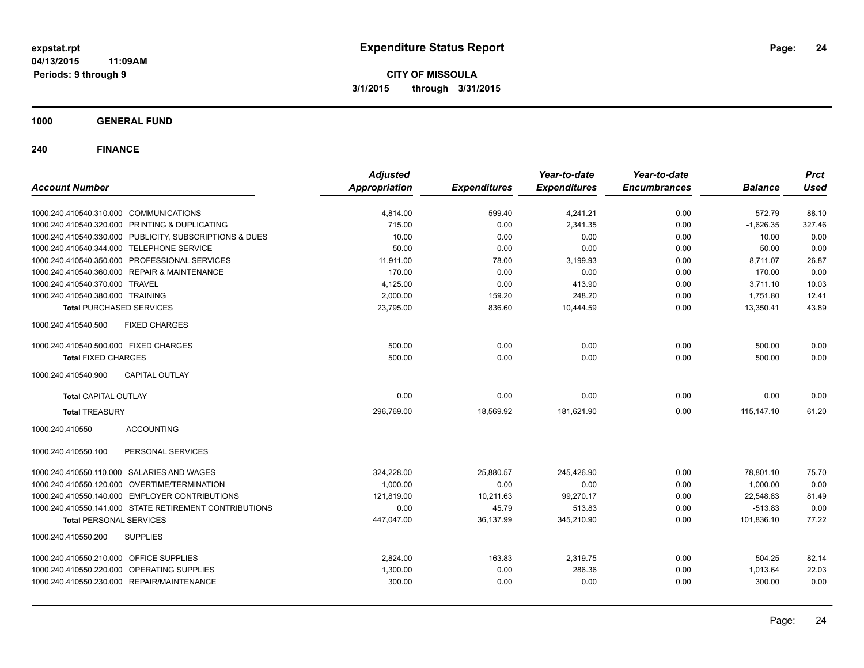**CITY OF MISSOULA 3/1/2015 through 3/31/2015**

**1000 GENERAL FUND**

| <b>Account Number</b>                                   | <b>Adjusted</b><br><b>Appropriation</b> | <b>Expenditures</b> | Year-to-date<br><b>Expenditures</b> | Year-to-date<br><b>Encumbrances</b> | <b>Balance</b> | <b>Prct</b><br><b>Used</b> |
|---------------------------------------------------------|-----------------------------------------|---------------------|-------------------------------------|-------------------------------------|----------------|----------------------------|
|                                                         |                                         |                     |                                     |                                     |                |                            |
| 1000.240.410540.310.000 COMMUNICATIONS                  | 4,814.00                                | 599.40              | 4,241.21                            | 0.00                                | 572.79         | 88.10                      |
| 1000.240.410540.320.000 PRINTING & DUPLICATING          | 715.00                                  | 0.00                | 2,341.35                            | 0.00                                | $-1,626.35$    | 327.46                     |
| 1000.240.410540.330.000 PUBLICITY, SUBSCRIPTIONS & DUES | 10.00                                   | 0.00                | 0.00                                | 0.00                                | 10.00          | 0.00                       |
| 1000.240.410540.344.000 TELEPHONE SERVICE               | 50.00                                   | 0.00                | 0.00                                | 0.00                                | 50.00          | 0.00                       |
| 1000.240.410540.350.000 PROFESSIONAL SERVICES           | 11,911.00                               | 78.00               | 3,199.93                            | 0.00                                | 8,711.07       | 26.87                      |
| 1000.240.410540.360.000 REPAIR & MAINTENANCE            | 170.00                                  | 0.00                | 0.00                                | 0.00                                | 170.00         | 0.00                       |
| 1000.240.410540.370.000 TRAVEL                          | 4,125.00                                | 0.00                | 413.90                              | 0.00                                | 3,711.10       | 10.03                      |
| 1000.240.410540.380.000 TRAINING                        | 2,000.00                                | 159.20              | 248.20                              | 0.00                                | 1,751.80       | 12.41                      |
| <b>Total PURCHASED SERVICES</b>                         | 23,795.00                               | 836.60              | 10,444.59                           | 0.00                                | 13,350.41      | 43.89                      |
| 1000.240.410540.500<br><b>FIXED CHARGES</b>             |                                         |                     |                                     |                                     |                |                            |
| 1000.240.410540.500.000 FIXED CHARGES                   | 500.00                                  | 0.00                | 0.00                                | 0.00                                | 500.00         | 0.00                       |
| <b>Total FIXED CHARGES</b>                              | 500.00                                  | 0.00                | 0.00                                | 0.00                                | 500.00         | 0.00                       |
| 1000.240.410540.900<br><b>CAPITAL OUTLAY</b>            |                                         |                     |                                     |                                     |                |                            |
| <b>Total CAPITAL OUTLAY</b>                             | 0.00                                    | 0.00                | 0.00                                | 0.00                                | 0.00           | 0.00                       |
| <b>Total TREASURY</b>                                   | 296,769.00                              | 18,569.92           | 181,621.90                          | 0.00                                | 115, 147. 10   | 61.20                      |
| 1000.240.410550<br><b>ACCOUNTING</b>                    |                                         |                     |                                     |                                     |                |                            |
| PERSONAL SERVICES<br>1000.240.410550.100                |                                         |                     |                                     |                                     |                |                            |
| 1000.240.410550.110.000 SALARIES AND WAGES              | 324,228.00                              | 25,880.57           | 245,426.90                          | 0.00                                | 78,801.10      | 75.70                      |
| 1000.240.410550.120.000 OVERTIME/TERMINATION            | 1,000.00                                | 0.00                | 0.00                                | 0.00                                | 1,000.00       | 0.00                       |
| 1000.240.410550.140.000 EMPLOYER CONTRIBUTIONS          | 121,819.00                              | 10,211.63           | 99,270.17                           | 0.00                                | 22,548.83      | 81.49                      |
| 1000.240.410550.141.000 STATE RETIREMENT CONTRIBUTIONS  | 0.00                                    | 45.79               | 513.83                              | 0.00                                | $-513.83$      | 0.00                       |
| <b>Total PERSONAL SERVICES</b>                          | 447,047.00                              | 36,137.99           | 345,210.90                          | 0.00                                | 101,836.10     | 77.22                      |
| 1000.240.410550.200<br><b>SUPPLIES</b>                  |                                         |                     |                                     |                                     |                |                            |
| 1000.240.410550.210.000 OFFICE SUPPLIES                 | 2,824.00                                | 163.83              | 2,319.75                            | 0.00                                | 504.25         | 82.14                      |
| 1000.240.410550.220.000 OPERATING SUPPLIES              | 1,300.00                                | 0.00                | 286.36                              | 0.00                                | 1,013.64       | 22.03                      |
| 1000.240.410550.230.000 REPAIR/MAINTENANCE              | 300.00                                  | 0.00                | 0.00                                | 0.00                                | 300.00         | 0.00                       |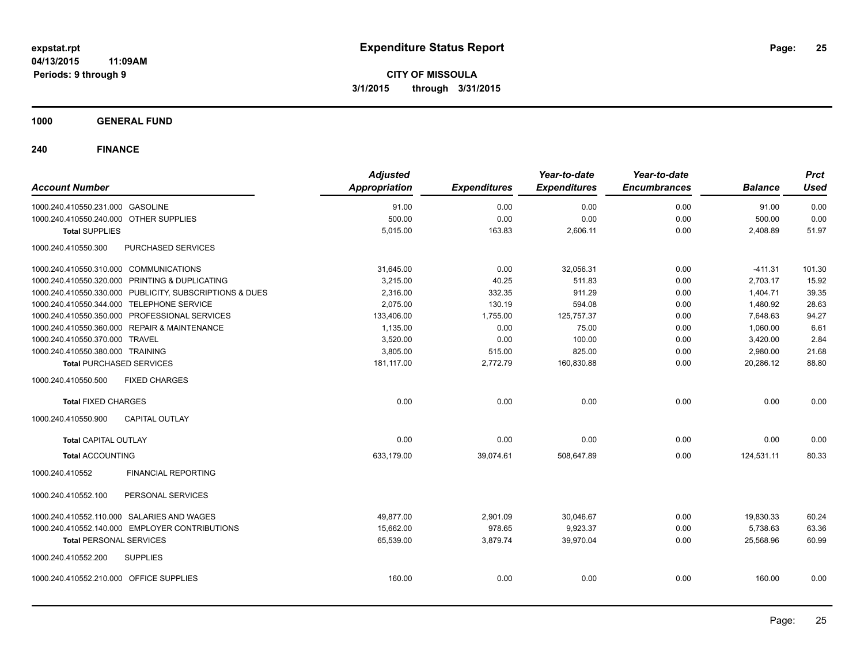**CITY OF MISSOULA 3/1/2015 through 3/31/2015**

### **1000 GENERAL FUND**

| <b>Account Number</b>                     |                                                         | <b>Adjusted</b><br><b>Appropriation</b> | <b>Expenditures</b> | Year-to-date<br><b>Expenditures</b> | Year-to-date<br><b>Encumbrances</b> | <b>Balance</b> | <b>Prct</b><br><b>Used</b> |
|-------------------------------------------|---------------------------------------------------------|-----------------------------------------|---------------------|-------------------------------------|-------------------------------------|----------------|----------------------------|
|                                           |                                                         |                                         |                     |                                     |                                     |                |                            |
| 1000.240.410550.231.000 GASOLINE          |                                                         | 91.00                                   | 0.00                | 0.00                                | 0.00                                | 91.00          | 0.00                       |
| 1000.240.410550.240.000 OTHER SUPPLIES    |                                                         | 500.00                                  | 0.00                | 0.00                                | 0.00                                | 500.00         | 0.00                       |
| <b>Total SUPPLIES</b>                     |                                                         | 5,015.00                                | 163.83              | 2,606.11                            | 0.00                                | 2,408.89       | 51.97                      |
| 1000.240.410550.300                       | PURCHASED SERVICES                                      |                                         |                     |                                     |                                     |                |                            |
| 1000.240.410550.310.000 COMMUNICATIONS    |                                                         | 31,645.00                               | 0.00                | 32,056.31                           | 0.00                                | $-411.31$      | 101.30                     |
|                                           | 1000.240.410550.320.000 PRINTING & DUPLICATING          | 3,215.00                                | 40.25               | 511.83                              | 0.00                                | 2,703.17       | 15.92                      |
|                                           | 1000.240.410550.330.000 PUBLICITY, SUBSCRIPTIONS & DUES | 2.316.00                                | 332.35              | 911.29                              | 0.00                                | 1,404.71       | 39.35                      |
| 1000.240.410550.344.000 TELEPHONE SERVICE |                                                         | 2,075.00                                | 130.19              | 594.08                              | 0.00                                | 1,480.92       | 28.63                      |
|                                           | 1000.240.410550.350.000 PROFESSIONAL SERVICES           | 133,406.00                              | 1,755.00            | 125,757.37                          | 0.00                                | 7,648.63       | 94.27                      |
|                                           | 1000.240.410550.360.000 REPAIR & MAINTENANCE            | 1,135.00                                | 0.00                | 75.00                               | 0.00                                | 1,060.00       | 6.61                       |
| 1000.240.410550.370.000 TRAVEL            |                                                         | 3,520.00                                | 0.00                | 100.00                              | 0.00                                | 3,420.00       | 2.84                       |
| 1000.240.410550.380.000 TRAINING          |                                                         | 3,805.00                                | 515.00              | 825.00                              | 0.00                                | 2,980.00       | 21.68                      |
| <b>Total PURCHASED SERVICES</b>           |                                                         | 181,117.00                              | 2,772.79            | 160,830.88                          | 0.00                                | 20,286.12      | 88.80                      |
| 1000.240.410550.500                       | <b>FIXED CHARGES</b>                                    |                                         |                     |                                     |                                     |                |                            |
| <b>Total FIXED CHARGES</b>                |                                                         | 0.00                                    | 0.00                | 0.00                                | 0.00                                | 0.00           | 0.00                       |
| 1000.240.410550.900                       | <b>CAPITAL OUTLAY</b>                                   |                                         |                     |                                     |                                     |                |                            |
| <b>Total CAPITAL OUTLAY</b>               |                                                         | 0.00                                    | 0.00                | 0.00                                | 0.00                                | 0.00           | 0.00                       |
| <b>Total ACCOUNTING</b>                   |                                                         | 633,179.00                              | 39,074.61           | 508,647.89                          | 0.00                                | 124,531.11     | 80.33                      |
| 1000.240.410552                           | <b>FINANCIAL REPORTING</b>                              |                                         |                     |                                     |                                     |                |                            |
| 1000.240.410552.100                       | PERSONAL SERVICES                                       |                                         |                     |                                     |                                     |                |                            |
|                                           | 1000.240.410552.110.000 SALARIES AND WAGES              | 49,877.00                               | 2,901.09            | 30,046.67                           | 0.00                                | 19,830.33      | 60.24                      |
|                                           | 1000.240.410552.140.000 EMPLOYER CONTRIBUTIONS          | 15,662.00                               | 978.65              | 9,923.37                            | 0.00                                | 5,738.63       | 63.36                      |
| <b>Total PERSONAL SERVICES</b>            |                                                         | 65,539.00                               | 3,879.74            | 39,970.04                           | 0.00                                | 25,568.96      | 60.99                      |
| 1000.240.410552.200                       | <b>SUPPLIES</b>                                         |                                         |                     |                                     |                                     |                |                            |
|                                           |                                                         |                                         |                     |                                     |                                     |                |                            |
| 1000.240.410552.210.000 OFFICE SUPPLIES   |                                                         | 160.00                                  | 0.00                | 0.00                                | 0.00                                | 160.00         | 0.00                       |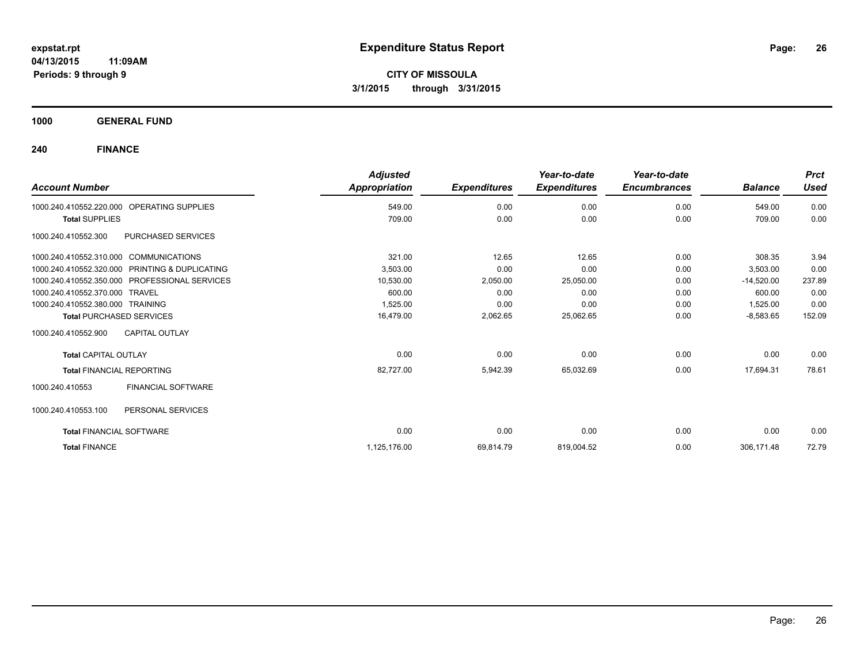**CITY OF MISSOULA 3/1/2015 through 3/31/2015**

**1000 GENERAL FUND**

| <b>Account Number</b>                  |                                               | <b>Adjusted</b><br>Appropriation | <b>Expenditures</b> | Year-to-date<br><b>Expenditures</b> | Year-to-date<br><b>Encumbrances</b> | <b>Balance</b> | <b>Prct</b><br><b>Used</b> |
|----------------------------------------|-----------------------------------------------|----------------------------------|---------------------|-------------------------------------|-------------------------------------|----------------|----------------------------|
| 1000.240.410552.220.000                | <b>OPERATING SUPPLIES</b>                     | 549.00                           | 0.00                | 0.00                                | 0.00                                | 549.00         | 0.00                       |
| <b>Total SUPPLIES</b>                  |                                               | 709.00                           | 0.00                | 0.00                                | 0.00                                | 709.00         | 0.00                       |
| 1000.240.410552.300                    | PURCHASED SERVICES                            |                                  |                     |                                     |                                     |                |                            |
| 1000.240.410552.310.000 COMMUNICATIONS |                                               | 321.00                           | 12.65               | 12.65                               | 0.00                                | 308.35         | 3.94                       |
| 1000.240.410552.320.000                | PRINTING & DUPLICATING                        | 3,503.00                         | 0.00                | 0.00                                | 0.00                                | 3,503.00       | 0.00                       |
|                                        | 1000.240.410552.350.000 PROFESSIONAL SERVICES | 10,530.00                        | 2,050.00            | 25,050.00                           | 0.00                                | $-14,520.00$   | 237.89                     |
| 1000.240.410552.370.000 TRAVEL         |                                               | 600.00                           | 0.00                | 0.00                                | 0.00                                | 600.00         | 0.00                       |
| 1000.240.410552.380.000 TRAINING       |                                               | 1,525.00                         | 0.00                | 0.00                                | 0.00                                | 1,525.00       | 0.00                       |
| <b>Total PURCHASED SERVICES</b>        |                                               | 16.479.00                        | 2,062.65            | 25,062.65                           | 0.00                                | $-8,583.65$    | 152.09                     |
| 1000.240.410552.900                    | <b>CAPITAL OUTLAY</b>                         |                                  |                     |                                     |                                     |                |                            |
| <b>Total CAPITAL OUTLAY</b>            |                                               | 0.00                             | 0.00                | 0.00                                | 0.00                                | 0.00           | 0.00                       |
| <b>Total FINANCIAL REPORTING</b>       |                                               | 82,727.00                        | 5,942.39            | 65,032.69                           | 0.00                                | 17,694.31      | 78.61                      |
| 1000.240.410553                        | FINANCIAL SOFTWARE                            |                                  |                     |                                     |                                     |                |                            |
| 1000.240.410553.100                    | PERSONAL SERVICES                             |                                  |                     |                                     |                                     |                |                            |
| <b>Total FINANCIAL SOFTWARE</b>        |                                               | 0.00                             | 0.00                | 0.00                                | 0.00                                | 0.00           | 0.00                       |
| <b>Total FINANCE</b>                   |                                               | 1,125,176.00                     | 69,814.79           | 819,004.52                          | 0.00                                | 306,171.48     | 72.79                      |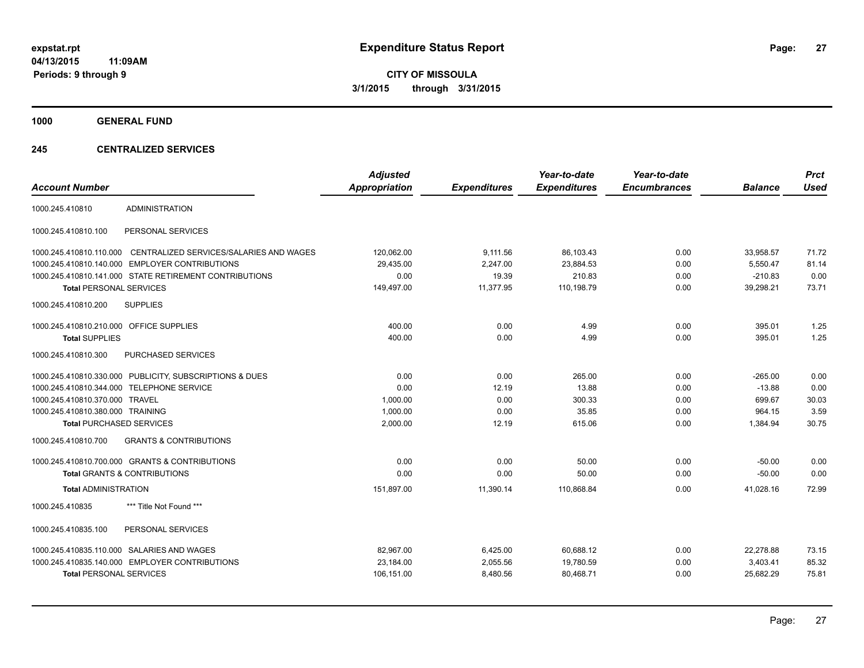**CITY OF MISSOULA 3/1/2015 through 3/31/2015**

**1000 GENERAL FUND**

### **245 CENTRALIZED SERVICES**

| <b>Account Number</b>                   |                                                         | <b>Adjusted</b><br><b>Appropriation</b> | <b>Expenditures</b> | Year-to-date<br><b>Expenditures</b> | Year-to-date<br><b>Encumbrances</b> | <b>Balance</b> | <b>Prct</b><br><b>Used</b> |
|-----------------------------------------|---------------------------------------------------------|-----------------------------------------|---------------------|-------------------------------------|-------------------------------------|----------------|----------------------------|
| 1000.245.410810                         | <b>ADMINISTRATION</b>                                   |                                         |                     |                                     |                                     |                |                            |
| 1000.245.410810.100                     | PERSONAL SERVICES                                       |                                         |                     |                                     |                                     |                |                            |
| 1000.245.410810.110.000                 | CENTRALIZED SERVICES/SALARIES AND WAGES                 | 120,062.00                              | 9,111.56            | 86,103.43                           | 0.00                                | 33,958.57      | 71.72                      |
|                                         | 1000.245.410810.140.000 EMPLOYER CONTRIBUTIONS          | 29,435.00                               | 2,247.00            | 23,884.53                           | 0.00                                | 5,550.47       | 81.14                      |
|                                         | 1000.245.410810.141.000 STATE RETIREMENT CONTRIBUTIONS  | 0.00                                    | 19.39               | 210.83                              | 0.00                                | $-210.83$      | 0.00                       |
| <b>Total PERSONAL SERVICES</b>          |                                                         | 149,497.00                              | 11,377.95           | 110,198.79                          | 0.00                                | 39.298.21      | 73.71                      |
| 1000.245.410810.200                     | <b>SUPPLIES</b>                                         |                                         |                     |                                     |                                     |                |                            |
| 1000.245.410810.210.000 OFFICE SUPPLIES |                                                         | 400.00                                  | 0.00                | 4.99                                | 0.00                                | 395.01         | 1.25                       |
| <b>Total SUPPLIES</b>                   |                                                         | 400.00                                  | 0.00                | 4.99                                | 0.00                                | 395.01         | 1.25                       |
| 1000.245.410810.300                     | <b>PURCHASED SERVICES</b>                               |                                         |                     |                                     |                                     |                |                            |
|                                         | 1000.245.410810.330.000 PUBLICITY, SUBSCRIPTIONS & DUES | 0.00                                    | 0.00                | 265.00                              | 0.00                                | $-265.00$      | 0.00                       |
|                                         | 1000.245.410810.344.000 TELEPHONE SERVICE               | 0.00                                    | 12.19               | 13.88                               | 0.00                                | $-13.88$       | 0.00                       |
| 1000.245.410810.370.000 TRAVEL          |                                                         | 1,000.00                                | 0.00                | 300.33                              | 0.00                                | 699.67         | 30.03                      |
| 1000.245.410810.380.000 TRAINING        |                                                         | 1,000.00                                | 0.00                | 35.85                               | 0.00                                | 964.15         | 3.59                       |
| <b>Total PURCHASED SERVICES</b>         |                                                         | 2,000.00                                | 12.19               | 615.06                              | 0.00                                | 1,384.94       | 30.75                      |
| 1000.245.410810.700                     | <b>GRANTS &amp; CONTRIBUTIONS</b>                       |                                         |                     |                                     |                                     |                |                            |
|                                         | 1000.245.410810.700.000 GRANTS & CONTRIBUTIONS          | 0.00                                    | 0.00                | 50.00                               | 0.00                                | $-50.00$       | 0.00                       |
|                                         | <b>Total GRANTS &amp; CONTRIBUTIONS</b>                 | 0.00                                    | 0.00                | 50.00                               | 0.00                                | $-50.00$       | 0.00                       |
| <b>Total ADMINISTRATION</b>             |                                                         | 151,897.00                              | 11,390.14           | 110,868.84                          | 0.00                                | 41,028.16      | 72.99                      |
| 1000.245.410835                         | *** Title Not Found ***                                 |                                         |                     |                                     |                                     |                |                            |
| 1000.245.410835.100                     | PERSONAL SERVICES                                       |                                         |                     |                                     |                                     |                |                            |
|                                         | 1000.245.410835.110.000 SALARIES AND WAGES              | 82,967.00                               | 6,425.00            | 60,688.12                           | 0.00                                | 22,278.88      | 73.15                      |
|                                         | 1000.245.410835.140.000 EMPLOYER CONTRIBUTIONS          | 23,184.00                               | 2,055.56            | 19,780.59                           | 0.00                                | 3,403.41       | 85.32                      |
| <b>Total PERSONAL SERVICES</b>          |                                                         | 106,151.00                              | 8,480.56            | 80,468.71                           | 0.00                                | 25,682.29      | 75.81                      |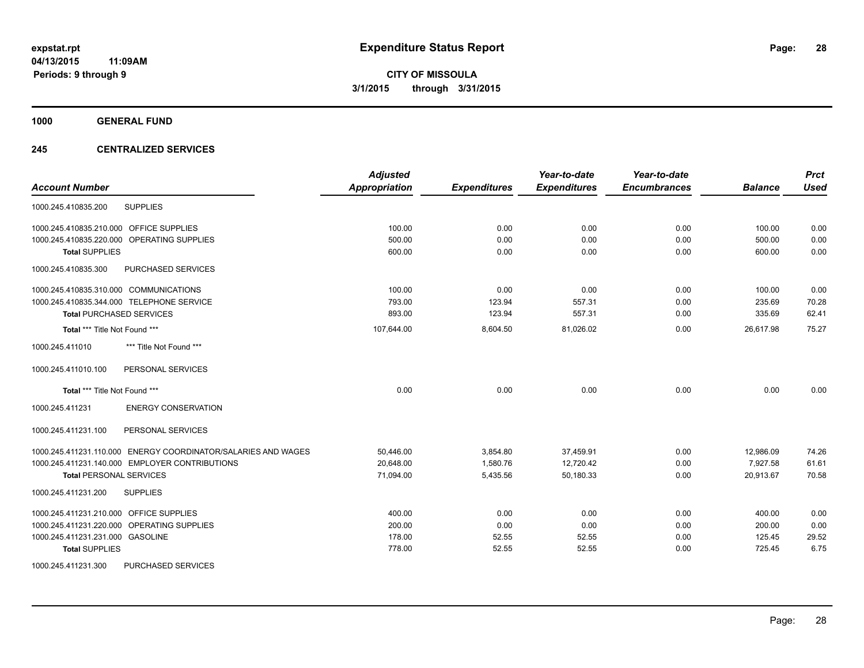**1000 GENERAL FUND**

### **245 CENTRALIZED SERVICES**

| <b>Account Number</b>                                         | <b>Adjusted</b><br><b>Appropriation</b> | <b>Expenditures</b> | Year-to-date<br><b>Expenditures</b> | Year-to-date<br><b>Encumbrances</b> | <b>Balance</b> | <b>Prct</b><br><b>Used</b> |
|---------------------------------------------------------------|-----------------------------------------|---------------------|-------------------------------------|-------------------------------------|----------------|----------------------------|
|                                                               |                                         |                     |                                     |                                     |                |                            |
| <b>SUPPLIES</b><br>1000.245.410835.200                        |                                         |                     |                                     |                                     |                |                            |
| 1000.245.410835.210.000 OFFICE SUPPLIES                       | 100.00                                  | 0.00                | 0.00                                | 0.00                                | 100.00         | 0.00                       |
| 1000.245.410835.220.000 OPERATING SUPPLIES                    | 500.00                                  | 0.00                | 0.00                                | 0.00                                | 500.00         | 0.00                       |
| <b>Total SUPPLIES</b>                                         | 600.00                                  | 0.00                | 0.00                                | 0.00                                | 600.00         | 0.00                       |
| 1000.245.410835.300<br>PURCHASED SERVICES                     |                                         |                     |                                     |                                     |                |                            |
| 1000.245.410835.310.000 COMMUNICATIONS                        | 100.00                                  | 0.00                | 0.00                                | 0.00                                | 100.00         | 0.00                       |
| 1000.245.410835.344.000 TELEPHONE SERVICE                     | 793.00                                  | 123.94              | 557.31                              | 0.00                                | 235.69         | 70.28                      |
| <b>Total PURCHASED SERVICES</b>                               | 893.00                                  | 123.94              | 557.31                              | 0.00                                | 335.69         | 62.41                      |
| Total *** Title Not Found ***                                 | 107,644.00                              | 8,604.50            | 81,026.02                           | 0.00                                | 26,617.98      | 75.27                      |
| 1000.245.411010<br>*** Title Not Found ***                    |                                         |                     |                                     |                                     |                |                            |
| PERSONAL SERVICES<br>1000.245.411010.100                      |                                         |                     |                                     |                                     |                |                            |
| Total *** Title Not Found ***                                 | 0.00                                    | 0.00                | 0.00                                | 0.00                                | 0.00           | 0.00                       |
| 1000.245.411231<br><b>ENERGY CONSERVATION</b>                 |                                         |                     |                                     |                                     |                |                            |
| 1000.245.411231.100<br>PERSONAL SERVICES                      |                                         |                     |                                     |                                     |                |                            |
| 1000.245.411231.110.000 ENERGY COORDINATOR/SALARIES AND WAGES | 50,446.00                               | 3,854.80            | 37,459.91                           | 0.00                                | 12,986.09      | 74.26                      |
| 1000.245.411231.140.000 EMPLOYER CONTRIBUTIONS                | 20,648.00                               | 1,580.76            | 12,720.42                           | 0.00                                | 7.927.58       | 61.61                      |
| <b>Total PERSONAL SERVICES</b>                                | 71,094.00                               | 5,435.56            | 50,180.33                           | 0.00                                | 20,913.67      | 70.58                      |
| <b>SUPPLIES</b><br>1000.245.411231.200                        |                                         |                     |                                     |                                     |                |                            |
| 1000.245.411231.210.000 OFFICE SUPPLIES                       | 400.00                                  | 0.00                | 0.00                                | 0.00                                | 400.00         | 0.00                       |
| 1000.245.411231.220.000 OPERATING SUPPLIES                    | 200.00                                  | 0.00                | 0.00                                | 0.00                                | 200.00         | 0.00                       |
| 1000.245.411231.231.000 GASOLINE                              | 178.00                                  | 52.55               | 52.55                               | 0.00                                | 125.45         | 29.52                      |
| <b>Total SUPPLIES</b>                                         | 778.00                                  | 52.55               | 52.55                               | 0.00                                | 725.45         | 6.75                       |
| 1000.245.411231.300<br>PURCHASED SERVICES                     |                                         |                     |                                     |                                     |                |                            |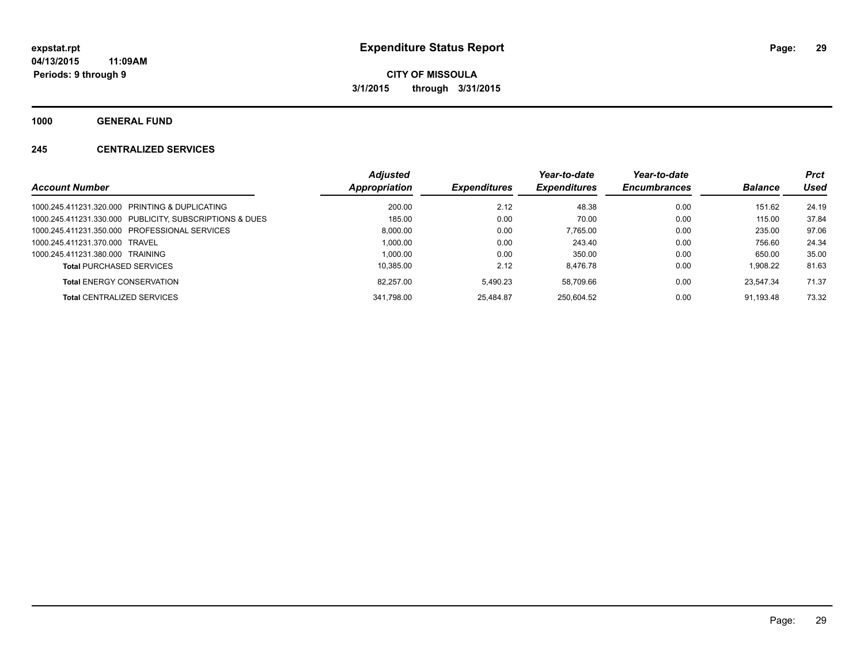**1000 GENERAL FUND**

### **245 CENTRALIZED SERVICES**

|                                                         | Adjusted      |                     | Year-to-date        | Year-to-date        |                | <b>Prct</b> |
|---------------------------------------------------------|---------------|---------------------|---------------------|---------------------|----------------|-------------|
| <b>Account Number</b>                                   | Appropriation | <b>Expenditures</b> | <b>Expenditures</b> | <b>Encumbrances</b> | <b>Balance</b> | Used        |
| 1000.245.411231.320.000 PRINTING & DUPLICATING          | 200.00        | 2.12                | 48.38               | 0.00                | 151.62         | 24.19       |
| 1000.245.411231.330.000 PUBLICITY, SUBSCRIPTIONS & DUES | 185.00        | 0.00                | 70.00               | 0.00                | 115.00         | 37.84       |
| 1000.245.411231.350.000 PROFESSIONAL SERVICES           | 8.000.00      | 0.00                | 7.765.00            | 0.00                | 235.00         | 97.06       |
| 1000.245.411231.370.000 TRAVEL                          | 1.000.00      | 0.00                | 243.40              | 0.00                | 756.60         | 24.34       |
| 1000.245.411231.380.000 TRAINING                        | 1.000.00      | 0.00                | 350.00              | 0.00                | 650.00         | 35.00       |
| <b>Total PURCHASED SERVICES</b>                         | 10.385.00     | 2.12                | 8.476.78            | 0.00                | 1.908.22       | 81.63       |
| <b>Total ENERGY CONSERVATION</b>                        | 82,257.00     | 5.490.23            | 58.709.66           | 0.00                | 23.547.34      | 71.37       |
| <b>Total CENTRALIZED SERVICES</b>                       | 341.798.00    | 25.484.87           | 250.604.52          | 0.00                | 91.193.48      | 73.32       |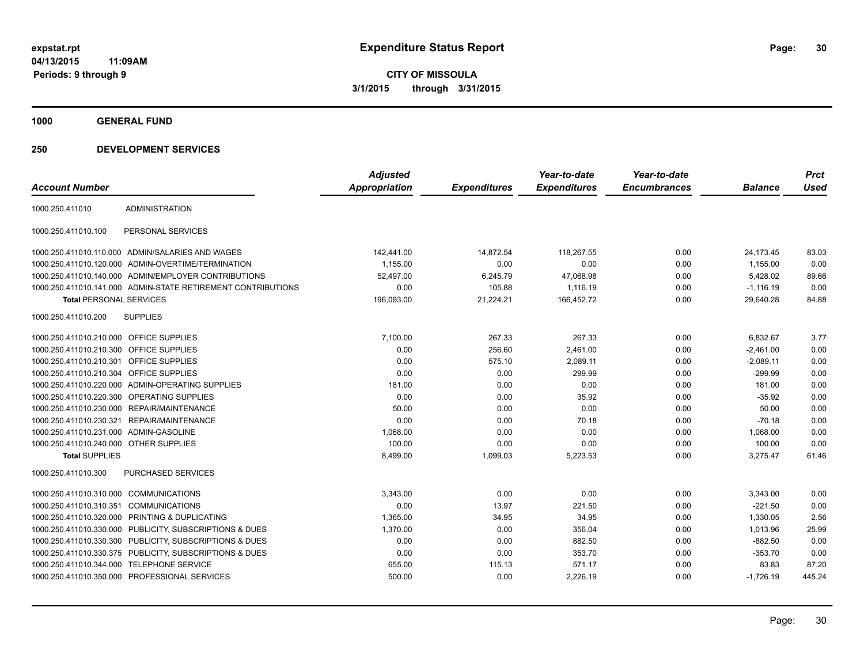**CITY OF MISSOULA 3/1/2015 through 3/31/2015**

**1000 GENERAL FUND**

|                                         |                                                              | <b>Adjusted</b>      |                     | Year-to-date        | Year-to-date        |                | <b>Prct</b> |
|-----------------------------------------|--------------------------------------------------------------|----------------------|---------------------|---------------------|---------------------|----------------|-------------|
| <b>Account Number</b>                   |                                                              | <b>Appropriation</b> | <b>Expenditures</b> | <b>Expenditures</b> | <b>Encumbrances</b> | <b>Balance</b> | Used        |
| 1000.250.411010                         | <b>ADMINISTRATION</b>                                        |                      |                     |                     |                     |                |             |
| 1000.250.411010.100                     | PERSONAL SERVICES                                            |                      |                     |                     |                     |                |             |
|                                         | 1000.250.411010.110.000 ADMIN/SALARIES AND WAGES             | 142,441.00           | 14,872.54           | 118,267.55          | 0.00                | 24,173.45      | 83.03       |
|                                         | 1000.250.411010.120.000 ADMIN-OVERTIME/TERMINATION           | 1.155.00             | 0.00                | 0.00                | 0.00                | 1,155.00       | 0.00        |
|                                         | 1000.250.411010.140.000 ADMIN/EMPLOYER CONTRIBUTIONS         | 52.497.00            | 6,245.79            | 47,068.98           | 0.00                | 5,428.02       | 89.66       |
|                                         | 1000.250.411010.141.000 ADMIN-STATE RETIREMENT CONTRIBUTIONS | 0.00                 | 105.88              | 1,116.19            | 0.00                | $-1.116.19$    | 0.00        |
| <b>Total PERSONAL SERVICES</b>          |                                                              | 196,093.00           | 21,224.21           | 166,452.72          | 0.00                | 29,640.28      | 84.88       |
| 1000.250.411010.200                     | <b>SUPPLIES</b>                                              |                      |                     |                     |                     |                |             |
| 1000.250.411010.210.000 OFFICE SUPPLIES |                                                              | 7,100.00             | 267.33              | 267.33              | 0.00                | 6,832.67       | 3.77        |
| 1000.250.411010.210.300 OFFICE SUPPLIES |                                                              | 0.00                 | 256.60              | 2,461.00            | 0.00                | $-2,461.00$    | 0.00        |
| 1000.250.411010.210.301 OFFICE SUPPLIES |                                                              | 0.00                 | 575.10              | 2,089.11            | 0.00                | $-2,089.11$    | 0.00        |
| 1000.250.411010.210.304 OFFICE SUPPLIES |                                                              | 0.00                 | 0.00                | 299.99              | 0.00                | $-299.99$      | 0.00        |
|                                         | 1000.250.411010.220.000 ADMIN-OPERATING SUPPLIES             | 181.00               | 0.00                | 0.00                | 0.00                | 181.00         | 0.00        |
|                                         | 1000.250.411010.220.300 OPERATING SUPPLIES                   | 0.00                 | 0.00                | 35.92               | 0.00                | $-35.92$       | 0.00        |
|                                         | 1000.250.411010.230.000 REPAIR/MAINTENANCE                   | 50.00                | 0.00                | 0.00                | 0.00                | 50.00          | 0.00        |
|                                         | 1000.250.411010.230.321 REPAIR/MAINTENANCE                   | 0.00                 | 0.00                | 70.18               | 0.00                | $-70.18$       | 0.00        |
| 1000.250.411010.231.000 ADMIN-GASOLINE  |                                                              | 1,068.00             | 0.00                | 0.00                | 0.00                | 1,068.00       | 0.00        |
| 1000.250.411010.240.000 OTHER SUPPLIES  |                                                              | 100.00               | 0.00                | 0.00                | 0.00                | 100.00         | 0.00        |
| <b>Total SUPPLIES</b>                   |                                                              | 8,499.00             | 1,099.03            | 5,223.53            | 0.00                | 3,275.47       | 61.46       |
| 1000.250.411010.300                     | <b>PURCHASED SERVICES</b>                                    |                      |                     |                     |                     |                |             |
| 1000.250.411010.310.000 COMMUNICATIONS  |                                                              | 3,343.00             | 0.00                | 0.00                | 0.00                | 3,343.00       | 0.00        |
| 1000.250.411010.310.351 COMMUNICATIONS  |                                                              | 0.00                 | 13.97               | 221.50              | 0.00                | $-221.50$      | 0.00        |
| 1000.250.411010.320.000                 | PRINTING & DUPLICATING                                       | 1,365.00             | 34.95               | 34.95               | 0.00                | 1,330.05       | 2.56        |
|                                         | 1000.250.411010.330.000 PUBLICITY, SUBSCRIPTIONS & DUES      | 1,370.00             | 0.00                | 356.04              | 0.00                | 1,013.96       | 25.99       |
|                                         | 1000.250.411010.330.300 PUBLICITY, SUBSCRIPTIONS & DUES      | 0.00                 | 0.00                | 882.50              | 0.00                | $-882.50$      | 0.00        |
|                                         | 1000.250.411010.330.375 PUBLICITY, SUBSCRIPTIONS & DUES      | 0.00                 | 0.00                | 353.70              | 0.00                | $-353.70$      | 0.00        |
|                                         | 1000.250.411010.344.000 TELEPHONE SERVICE                    | 655.00               | 115.13              | 571.17              | 0.00                | 83.83          | 87.20       |
|                                         | 1000.250.411010.350.000 PROFESSIONAL SERVICES                | 500.00               | 0.00                | 2,226.19            | 0.00                | $-1,726.19$    | 445.24      |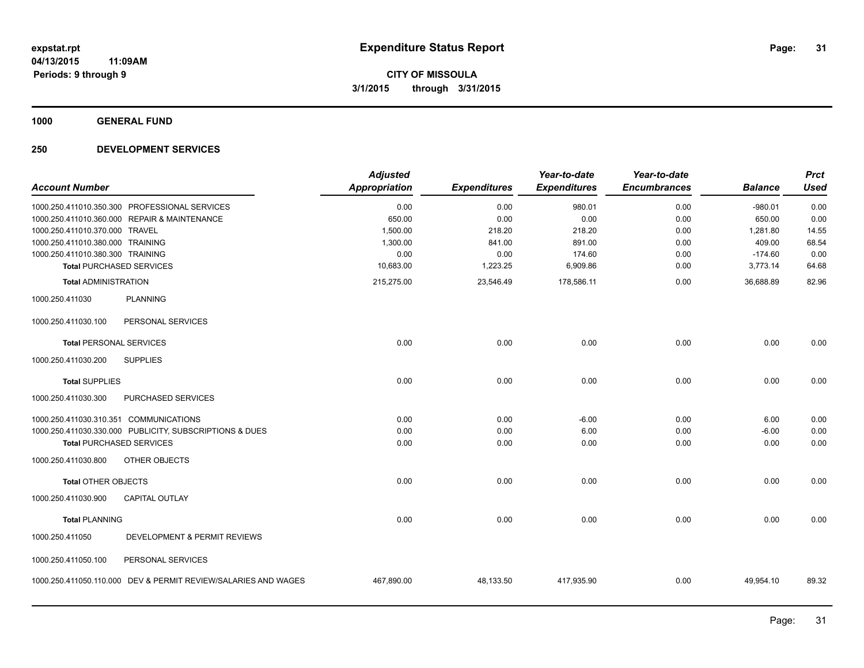**1000 GENERAL FUND**

| <b>Account Number</b>                  |                                                                | <b>Adjusted</b><br><b>Appropriation</b> | <b>Expenditures</b> | Year-to-date<br><b>Expenditures</b> | Year-to-date<br><b>Encumbrances</b> | <b>Balance</b> | <b>Prct</b><br><b>Used</b> |
|----------------------------------------|----------------------------------------------------------------|-----------------------------------------|---------------------|-------------------------------------|-------------------------------------|----------------|----------------------------|
|                                        | 1000.250.411010.350.300 PROFESSIONAL SERVICES                  | 0.00                                    | 0.00                | 980.01                              | 0.00                                | $-980.01$      | 0.00                       |
|                                        | 1000.250.411010.360.000 REPAIR & MAINTENANCE                   | 650.00                                  | 0.00                | 0.00                                | 0.00                                | 650.00         | 0.00                       |
| 1000.250.411010.370.000 TRAVEL         |                                                                | 1,500.00                                | 218.20              | 218.20                              | 0.00                                | 1,281.80       | 14.55                      |
| 1000.250.411010.380.000 TRAINING       |                                                                | 1,300.00                                | 841.00              | 891.00                              | 0.00                                | 409.00         | 68.54                      |
| 1000.250.411010.380.300 TRAINING       |                                                                | 0.00                                    | 0.00                | 174.60                              | 0.00                                | $-174.60$      | 0.00                       |
| <b>Total PURCHASED SERVICES</b>        |                                                                | 10,683.00                               | 1,223.25            | 6,909.86                            | 0.00                                | 3,773.14       | 64.68                      |
| <b>Total ADMINISTRATION</b>            |                                                                | 215,275.00                              | 23,546.49           | 178,586.11                          | 0.00                                | 36.688.89      | 82.96                      |
| 1000.250.411030                        | <b>PLANNING</b>                                                |                                         |                     |                                     |                                     |                |                            |
| 1000.250.411030.100                    | PERSONAL SERVICES                                              |                                         |                     |                                     |                                     |                |                            |
| <b>Total PERSONAL SERVICES</b>         |                                                                | 0.00                                    | 0.00                | 0.00                                | 0.00                                | 0.00           | 0.00                       |
| 1000.250.411030.200                    | <b>SUPPLIES</b>                                                |                                         |                     |                                     |                                     |                |                            |
| <b>Total SUPPLIES</b>                  |                                                                | 0.00                                    | 0.00                | 0.00                                | 0.00                                | 0.00           | 0.00                       |
| 1000.250.411030.300                    | PURCHASED SERVICES                                             |                                         |                     |                                     |                                     |                |                            |
| 1000.250.411030.310.351 COMMUNICATIONS |                                                                | 0.00                                    | 0.00                | $-6.00$                             | 0.00                                | 6.00           | 0.00                       |
|                                        | 1000.250.411030.330.000 PUBLICITY, SUBSCRIPTIONS & DUES        | 0.00                                    | 0.00                | 6.00                                | 0.00                                | $-6.00$        | 0.00                       |
| <b>Total PURCHASED SERVICES</b>        |                                                                | 0.00                                    | 0.00                | 0.00                                | 0.00                                | 0.00           | 0.00                       |
| 1000.250.411030.800                    | <b>OTHER OBJECTS</b>                                           |                                         |                     |                                     |                                     |                |                            |
| <b>Total OTHER OBJECTS</b>             |                                                                | 0.00                                    | 0.00                | 0.00                                | 0.00                                | 0.00           | 0.00                       |
| 1000.250.411030.900                    | CAPITAL OUTLAY                                                 |                                         |                     |                                     |                                     |                |                            |
| <b>Total PLANNING</b>                  |                                                                | 0.00                                    | 0.00                | 0.00                                | 0.00                                | 0.00           | 0.00                       |
| 1000.250.411050                        | DEVELOPMENT & PERMIT REVIEWS                                   |                                         |                     |                                     |                                     |                |                            |
| 1000.250.411050.100                    | PERSONAL SERVICES                                              |                                         |                     |                                     |                                     |                |                            |
|                                        | 1000.250.411050.110.000 DEV & PERMIT REVIEW/SALARIES AND WAGES | 467,890.00                              | 48,133.50           | 417,935.90                          | 0.00                                | 49,954.10      | 89.32                      |
|                                        |                                                                |                                         |                     |                                     |                                     |                |                            |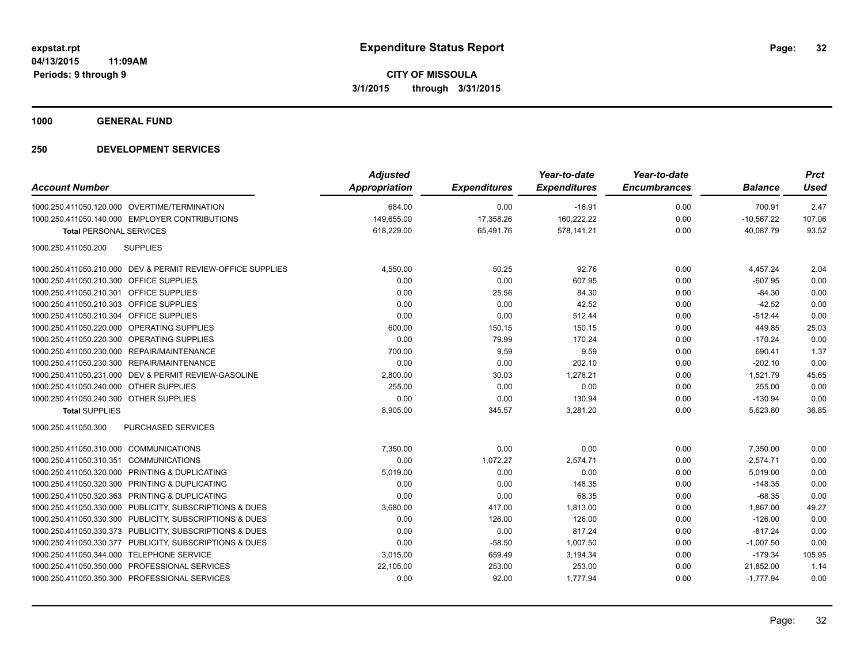**1000 GENERAL FUND**

| <b>Account Number</b>                                       | <b>Adjusted</b><br>Appropriation | <b>Expenditures</b> | Year-to-date<br><b>Expenditures</b> | Year-to-date<br><b>Encumbrances</b> | <b>Balance</b> | <b>Prct</b><br><b>Used</b> |
|-------------------------------------------------------------|----------------------------------|---------------------|-------------------------------------|-------------------------------------|----------------|----------------------------|
|                                                             |                                  |                     |                                     |                                     |                |                            |
| 1000.250.411050.120.000 OVERTIME/TERMINATION                | 684.00                           | 0.00                | $-16.91$                            | 0.00                                | 700.91         | 2.47                       |
| 1000.250.411050.140.000 EMPLOYER CONTRIBUTIONS              | 149,655.00                       | 17,358.26           | 160,222.22                          | 0.00                                | $-10,567.22$   | 107.06                     |
| <b>Total PERSONAL SERVICES</b>                              | 618,229.00                       | 65,491.76           | 578,141.21                          | 0.00                                | 40,087.79      | 93.52                      |
| 1000.250.411050.200<br><b>SUPPLIES</b>                      |                                  |                     |                                     |                                     |                |                            |
| 1000.250.411050.210.000 DEV & PERMIT REVIEW-OFFICE SUPPLIES | 4,550.00                         | 50.25               | 92.76                               | 0.00                                | 4,457.24       | 2.04                       |
| 1000.250.411050.210.300 OFFICE SUPPLIES                     | 0.00                             | 0.00                | 607.95                              | 0.00                                | $-607.95$      | 0.00                       |
| 1000.250.411050.210.301 OFFICE SUPPLIES                     | 0.00                             | 25.56               | 84.30                               | 0.00                                | $-84.30$       | 0.00                       |
| 1000.250.411050.210.303 OFFICE SUPPLIES                     | 0.00                             | 0.00                | 42.52                               | 0.00                                | $-42.52$       | 0.00                       |
| <b>OFFICE SUPPLIES</b><br>1000.250.411050.210.304           | 0.00                             | 0.00                | 512.44                              | 0.00                                | $-512.44$      | 0.00                       |
| 1000.250.411050.220.000<br><b>OPERATING SUPPLIES</b>        | 600.00                           | 150.15              | 150.15                              | 0.00                                | 449.85         | 25.03                      |
| 1000.250.411050.220.300 OPERATING SUPPLIES                  | 0.00                             | 79.99               | 170.24                              | 0.00                                | $-170.24$      | 0.00                       |
| 1000.250.411050.230.000 REPAIR/MAINTENANCE                  | 700.00                           | 9.59                | 9.59                                | 0.00                                | 690.41         | 1.37                       |
| 1000.250.411050.230.300 REPAIR/MAINTENANCE                  | 0.00                             | 0.00                | 202.10                              | 0.00                                | $-202.10$      | 0.00                       |
| 1000.250.411050.231.000 DEV & PERMIT REVIEW-GASOLINE        | 2,800.00                         | 30.03               | 1,278.21                            | 0.00                                | 1,521.79       | 45.65                      |
| 1000.250.411050.240.000 OTHER SUPPLIES                      | 255.00                           | 0.00                | 0.00                                | 0.00                                | 255.00         | 0.00                       |
| 1000.250.411050.240.300 OTHER SUPPLIES                      | 0.00                             | 0.00                | 130.94                              | 0.00                                | $-130.94$      | 0.00                       |
| <b>Total SUPPLIES</b>                                       | 8,905.00                         | 345.57              | 3,281.20                            | 0.00                                | 5,623.80       | 36.85                      |
| 1000.250.411050.300<br><b>PURCHASED SERVICES</b>            |                                  |                     |                                     |                                     |                |                            |
| 1000.250.411050.310.000 COMMUNICATIONS                      | 7,350.00                         | 0.00                | 0.00                                | 0.00                                | 7,350.00       | 0.00                       |
| 1000.250.411050.310.351 COMMUNICATIONS                      | 0.00                             | 1,072.27            | 2,574.71                            | 0.00                                | $-2,574.71$    | 0.00                       |
| PRINTING & DUPLICATING<br>1000.250.411050.320.000           | 5,019.00                         | 0.00                | 0.00                                | 0.00                                | 5,019.00       | 0.00                       |
| PRINTING & DUPLICATING<br>1000.250.411050.320.300           | 0.00                             | 0.00                | 148.35                              | 0.00                                | $-148.35$      | 0.00                       |
| 1000.250.411050.320.363 PRINTING & DUPLICATING              | 0.00                             | 0.00                | 68.35                               | 0.00                                | $-68.35$       | 0.00                       |
| 1000.250.411050.330.000 PUBLICITY, SUBSCRIPTIONS & DUES     | 3,680.00                         | 417.00              | 1,813.00                            | 0.00                                | 1,867.00       | 49.27                      |
| 1000.250.411050.330.300<br>PUBLICITY, SUBSCRIPTIONS & DUES  | 0.00                             | 126.00              | 126.00                              | 0.00                                | $-126.00$      | 0.00                       |
| 1000.250.411050.330.373 PUBLICITY, SUBSCRIPTIONS & DUES     | 0.00                             | 0.00                | 817.24                              | 0.00                                | $-817.24$      | 0.00                       |
| 1000.250.411050.330.377 PUBLICITY, SUBSCRIPTIONS & DUES     | 0.00                             | $-58.50$            | 1,007.50                            | 0.00                                | $-1,007.50$    | 0.00                       |
| 1000.250.411050.344.000 TELEPHONE SERVICE                   | 3,015.00                         | 659.49              | 3,194.34                            | 0.00                                | $-179.34$      | 105.95                     |
| 1000.250.411050.350.000 PROFESSIONAL SERVICES               | 22,105.00                        | 253.00              | 253.00                              | 0.00                                | 21.852.00      | 1.14                       |
| 1000.250.411050.350.300 PROFESSIONAL SERVICES               | 0.00                             | 92.00               | 1,777.94                            | 0.00                                | $-1,777.94$    | 0.00                       |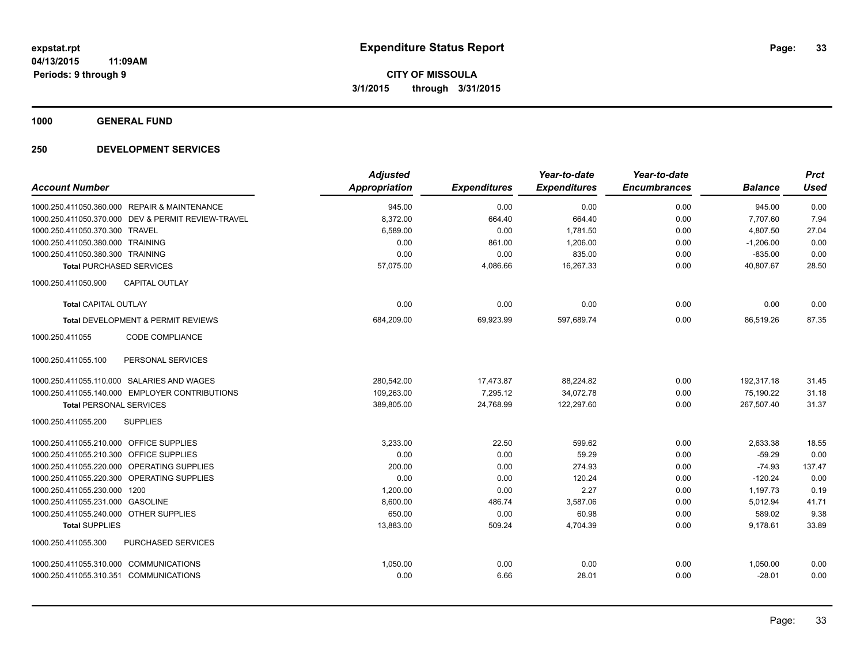**1000 GENERAL FUND**

|                                                    | <b>Adjusted</b>      |                     | Year-to-date        | Year-to-date        |                | <b>Prct</b> |
|----------------------------------------------------|----------------------|---------------------|---------------------|---------------------|----------------|-------------|
| <b>Account Number</b>                              | <b>Appropriation</b> | <b>Expenditures</b> | <b>Expenditures</b> | <b>Encumbrances</b> | <b>Balance</b> | <b>Used</b> |
| 1000.250.411050.360.000 REPAIR & MAINTENANCE       | 945.00               | 0.00                | 0.00                | 0.00                | 945.00         | 0.00        |
| 1000.250.411050.370.000 DEV & PERMIT REVIEW-TRAVEL | 8,372.00             | 664.40              | 664.40              | 0.00                | 7,707.60       | 7.94        |
| 1000.250.411050.370.300 TRAVEL                     | 6,589.00             | 0.00                | 1,781.50            | 0.00                | 4,807.50       | 27.04       |
| 1000.250.411050.380.000 TRAINING                   | 0.00                 | 861.00              | 1,206.00            | 0.00                | $-1,206.00$    | 0.00        |
| 1000.250.411050.380.300 TRAINING                   | 0.00                 | 0.00                | 835.00              | 0.00                | $-835.00$      | 0.00        |
| <b>Total PURCHASED SERVICES</b>                    | 57.075.00            | 4,086.66            | 16,267.33           | 0.00                | 40.807.67      | 28.50       |
| 1000.250.411050.900<br><b>CAPITAL OUTLAY</b>       |                      |                     |                     |                     |                |             |
| <b>Total CAPITAL OUTLAY</b>                        | 0.00                 | 0.00                | 0.00                | 0.00                | 0.00           | 0.00        |
| Total DEVELOPMENT & PERMIT REVIEWS                 | 684,209.00           | 69,923.99           | 597,689.74          | 0.00                | 86,519.26      | 87.35       |
| <b>CODE COMPLIANCE</b><br>1000.250.411055          |                      |                     |                     |                     |                |             |
| PERSONAL SERVICES<br>1000.250.411055.100           |                      |                     |                     |                     |                |             |
| 1000.250.411055.110.000 SALARIES AND WAGES         | 280,542.00           | 17,473.87           | 88,224.82           | 0.00                | 192,317.18     | 31.45       |
| 1000.250.411055.140.000 EMPLOYER CONTRIBUTIONS     | 109,263.00           | 7,295.12            | 34,072.78           | 0.00                | 75,190.22      | 31.18       |
| <b>Total PERSONAL SERVICES</b>                     | 389,805.00           | 24,768.99           | 122,297.60          | 0.00                | 267,507.40     | 31.37       |
| 1000.250.411055.200<br><b>SUPPLIES</b>             |                      |                     |                     |                     |                |             |
| 1000.250.411055.210.000 OFFICE SUPPLIES            | 3,233.00             | 22.50               | 599.62              | 0.00                | 2,633.38       | 18.55       |
| 1000.250.411055.210.300 OFFICE SUPPLIES            | 0.00                 | 0.00                | 59.29               | 0.00                | $-59.29$       | 0.00        |
| 1000.250.411055.220.000 OPERATING SUPPLIES         | 200.00               | 0.00                | 274.93              | 0.00                | $-74.93$       | 137.47      |
| 1000.250.411055.220.300 OPERATING SUPPLIES         | 0.00                 | 0.00                | 120.24              | 0.00                | $-120.24$      | 0.00        |
| 1000.250.411055.230.000 1200                       | 1,200.00             | 0.00                | 2.27                | 0.00                | 1,197.73       | 0.19        |
| 1000.250.411055.231.000 GASOLINE                   | 8,600.00             | 486.74              | 3,587.06            | 0.00                | 5,012.94       | 41.71       |
| 1000.250.411055.240.000 OTHER SUPPLIES             | 650.00               | 0.00                | 60.98               | 0.00                | 589.02         | 9.38        |
| <b>Total SUPPLIES</b>                              | 13,883.00            | 509.24              | 4,704.39            | 0.00                | 9,178.61       | 33.89       |
| 1000.250.411055.300<br>PURCHASED SERVICES          |                      |                     |                     |                     |                |             |
| 1000.250.411055.310.000 COMMUNICATIONS             | 1,050.00             | 0.00                | 0.00                | 0.00                | 1,050.00       | 0.00        |
| 1000.250.411055.310.351 COMMUNICATIONS             | 0.00                 | 6.66                | 28.01               | 0.00                | $-28.01$       | 0.00        |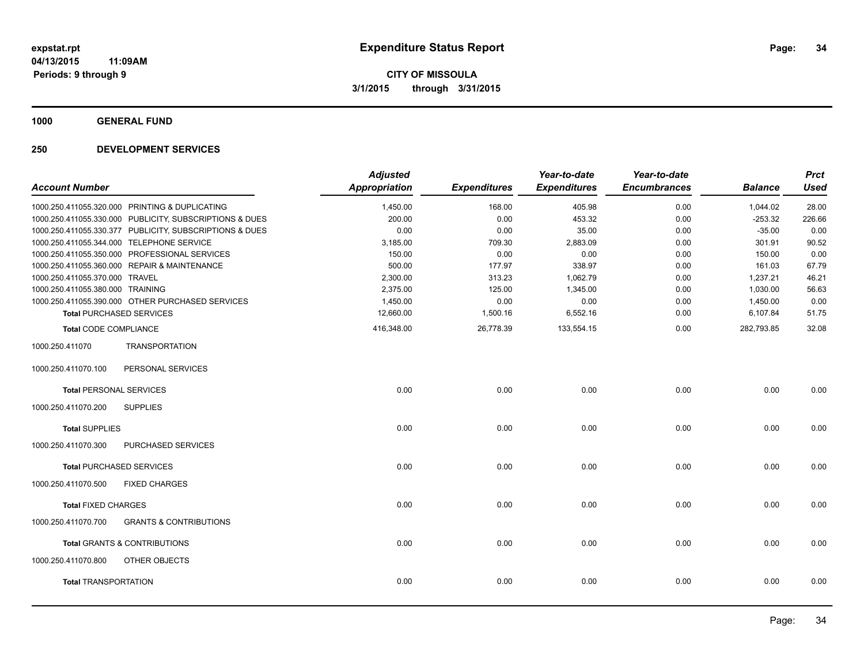**1000 GENERAL FUND**

|                                  |                                                         | <b>Adjusted</b>      |                     | Year-to-date        | Year-to-date        |                | <b>Prct</b> |
|----------------------------------|---------------------------------------------------------|----------------------|---------------------|---------------------|---------------------|----------------|-------------|
| <b>Account Number</b>            |                                                         | <b>Appropriation</b> | <b>Expenditures</b> | <b>Expenditures</b> | <b>Encumbrances</b> | <b>Balance</b> | <b>Used</b> |
|                                  | 1000.250.411055.320.000 PRINTING & DUPLICATING          | 1,450.00             | 168.00              | 405.98              | 0.00                | 1,044.02       | 28.00       |
|                                  | 1000.250.411055.330.000 PUBLICITY, SUBSCRIPTIONS & DUES | 200.00               | 0.00                | 453.32              | 0.00                | $-253.32$      | 226.66      |
|                                  | 1000.250.411055.330.377 PUBLICITY, SUBSCRIPTIONS & DUES | 0.00                 | 0.00                | 35.00               | 0.00                | $-35.00$       | 0.00        |
|                                  | 1000.250.411055.344.000 TELEPHONE SERVICE               | 3,185.00             | 709.30              | 2,883.09            | 0.00                | 301.91         | 90.52       |
|                                  | 1000.250.411055.350.000 PROFESSIONAL SERVICES           | 150.00               | 0.00                | 0.00                | 0.00                | 150.00         | 0.00        |
|                                  | 1000.250.411055.360.000 REPAIR & MAINTENANCE            | 500.00               | 177.97              | 338.97              | 0.00                | 161.03         | 67.79       |
| 1000.250.411055.370.000 TRAVEL   |                                                         | 2,300.00             | 313.23              | 1,062.79            | 0.00                | 1,237.21       | 46.21       |
| 1000.250.411055.380.000 TRAINING |                                                         | 2,375.00             | 125.00              | 1,345.00            | 0.00                | 1,030.00       | 56.63       |
|                                  | 1000.250.411055.390.000 OTHER PURCHASED SERVICES        | 1,450.00             | 0.00                | 0.00                | 0.00                | 1,450.00       | 0.00        |
|                                  | <b>Total PURCHASED SERVICES</b>                         | 12,660.00            | 1,500.16            | 6,552.16            | 0.00                | 6,107.84       | 51.75       |
| <b>Total CODE COMPLIANCE</b>     |                                                         | 416,348.00           | 26,778.39           | 133,554.15          | 0.00                | 282.793.85     | 32.08       |
| 1000.250.411070                  | <b>TRANSPORTATION</b>                                   |                      |                     |                     |                     |                |             |
| 1000.250.411070.100              | PERSONAL SERVICES                                       |                      |                     |                     |                     |                |             |
| <b>Total PERSONAL SERVICES</b>   |                                                         | 0.00                 | 0.00                | 0.00                | 0.00                | 0.00           | 0.00        |
| 1000.250.411070.200              | <b>SUPPLIES</b>                                         |                      |                     |                     |                     |                |             |
| <b>Total SUPPLIES</b>            |                                                         | 0.00                 | 0.00                | 0.00                | 0.00                | 0.00           | 0.00        |
| 1000.250.411070.300              | PURCHASED SERVICES                                      |                      |                     |                     |                     |                |             |
|                                  | <b>Total PURCHASED SERVICES</b>                         | 0.00                 | 0.00                | 0.00                | 0.00                | 0.00           | 0.00        |
| 1000.250.411070.500              | <b>FIXED CHARGES</b>                                    |                      |                     |                     |                     |                |             |
| <b>Total FIXED CHARGES</b>       |                                                         | 0.00                 | 0.00                | 0.00                | 0.00                | 0.00           | 0.00        |
| 1000.250.411070.700              | <b>GRANTS &amp; CONTRIBUTIONS</b>                       |                      |                     |                     |                     |                |             |
|                                  | <b>Total GRANTS &amp; CONTRIBUTIONS</b>                 | 0.00                 | 0.00                | 0.00                | 0.00                | 0.00           | 0.00        |
| 1000.250.411070.800              | OTHER OBJECTS                                           |                      |                     |                     |                     |                |             |
| <b>Total TRANSPORTATION</b>      |                                                         | 0.00                 | 0.00                | 0.00                | 0.00                | 0.00           | 0.00        |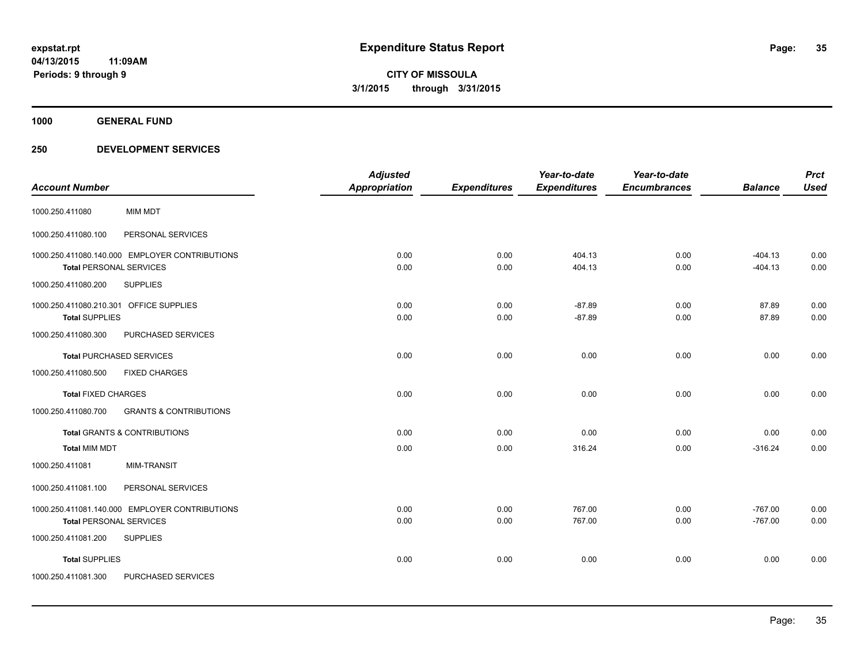**1000 GENERAL FUND**

|                                         |                                                | <b>Adjusted</b>      |                     | Year-to-date        | Year-to-date        |                | <b>Prct</b> |
|-----------------------------------------|------------------------------------------------|----------------------|---------------------|---------------------|---------------------|----------------|-------------|
| <b>Account Number</b>                   |                                                | <b>Appropriation</b> | <b>Expenditures</b> | <b>Expenditures</b> | <b>Encumbrances</b> | <b>Balance</b> | <b>Used</b> |
| 1000.250.411080                         | MIM MDT                                        |                      |                     |                     |                     |                |             |
| 1000.250.411080.100                     | PERSONAL SERVICES                              |                      |                     |                     |                     |                |             |
|                                         | 1000.250.411080.140.000 EMPLOYER CONTRIBUTIONS | 0.00                 | 0.00                | 404.13              | 0.00                | $-404.13$      | 0.00        |
| <b>Total PERSONAL SERVICES</b>          |                                                | 0.00                 | 0.00                | 404.13              | 0.00                | $-404.13$      | 0.00        |
| 1000.250.411080.200                     | <b>SUPPLIES</b>                                |                      |                     |                     |                     |                |             |
| 1000.250.411080.210.301 OFFICE SUPPLIES |                                                | 0.00                 | 0.00                | $-87.89$            | 0.00                | 87.89          | 0.00        |
| <b>Total SUPPLIES</b>                   |                                                | 0.00                 | 0.00                | $-87.89$            | 0.00                | 87.89          | 0.00        |
| 1000.250.411080.300                     | PURCHASED SERVICES                             |                      |                     |                     |                     |                |             |
|                                         | <b>Total PURCHASED SERVICES</b>                | 0.00                 | 0.00                | 0.00                | 0.00                | 0.00           | 0.00        |
| 1000.250.411080.500                     | <b>FIXED CHARGES</b>                           |                      |                     |                     |                     |                |             |
| <b>Total FIXED CHARGES</b>              |                                                | 0.00                 | 0.00                | 0.00                | 0.00                | 0.00           | 0.00        |
| 1000.250.411080.700                     | <b>GRANTS &amp; CONTRIBUTIONS</b>              |                      |                     |                     |                     |                |             |
|                                         | <b>Total GRANTS &amp; CONTRIBUTIONS</b>        | 0.00                 | 0.00                | 0.00                | 0.00                | 0.00           | 0.00        |
| <b>Total MIM MDT</b>                    |                                                | 0.00                 | 0.00                | 316.24              | 0.00                | $-316.24$      | 0.00        |
| 1000.250.411081                         | <b>MIM-TRANSIT</b>                             |                      |                     |                     |                     |                |             |
| 1000.250.411081.100                     | PERSONAL SERVICES                              |                      |                     |                     |                     |                |             |
|                                         | 1000.250.411081.140.000 EMPLOYER CONTRIBUTIONS | 0.00                 | 0.00                | 767.00              | 0.00                | $-767.00$      | 0.00        |
| <b>Total PERSONAL SERVICES</b>          |                                                | 0.00                 | 0.00                | 767.00              | 0.00                | $-767.00$      | 0.00        |
| 1000.250.411081.200                     | <b>SUPPLIES</b>                                |                      |                     |                     |                     |                |             |
| <b>Total SUPPLIES</b>                   |                                                | 0.00                 | 0.00                | 0.00                | 0.00                | 0.00           | 0.00        |
| 1000.250.411081.300                     | PURCHASED SERVICES                             |                      |                     |                     |                     |                |             |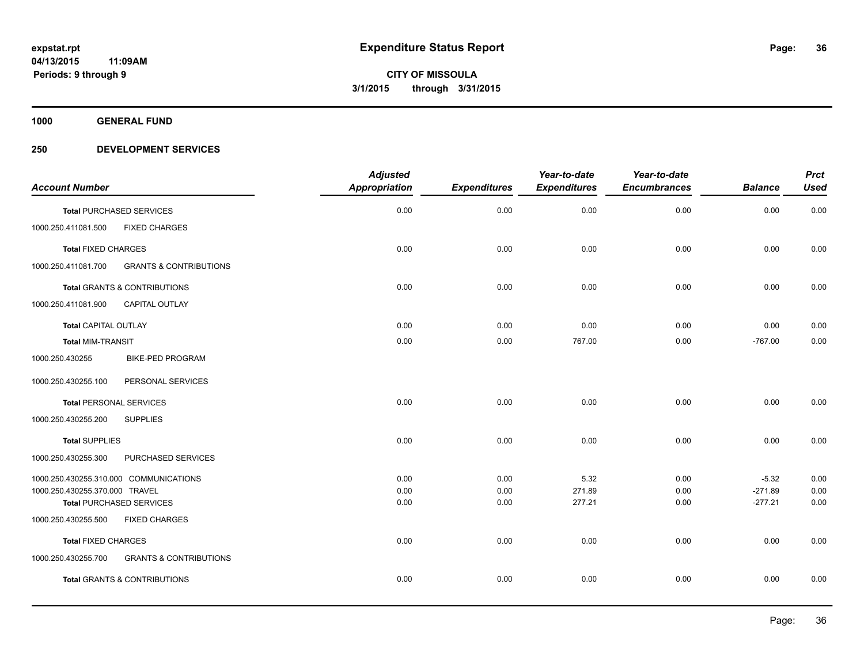**1000 GENERAL FUND**

|                                |                                         | <b>Adjusted</b>      |                     | Year-to-date        | Year-to-date        |                | <b>Prct</b> |
|--------------------------------|-----------------------------------------|----------------------|---------------------|---------------------|---------------------|----------------|-------------|
| <b>Account Number</b>          |                                         | <b>Appropriation</b> | <b>Expenditures</b> | <b>Expenditures</b> | <b>Encumbrances</b> | <b>Balance</b> | <b>Used</b> |
|                                | <b>Total PURCHASED SERVICES</b>         | 0.00                 | 0.00                | 0.00                | 0.00                | 0.00           | 0.00        |
| 1000.250.411081.500            | <b>FIXED CHARGES</b>                    |                      |                     |                     |                     |                |             |
| <b>Total FIXED CHARGES</b>     |                                         | 0.00                 | 0.00                | 0.00                | 0.00                | 0.00           | 0.00        |
| 1000.250.411081.700            | <b>GRANTS &amp; CONTRIBUTIONS</b>       |                      |                     |                     |                     |                |             |
|                                | Total GRANTS & CONTRIBUTIONS            | 0.00                 | 0.00                | 0.00                | 0.00                | 0.00           | 0.00        |
| 1000.250.411081.900            | CAPITAL OUTLAY                          |                      |                     |                     |                     |                |             |
| <b>Total CAPITAL OUTLAY</b>    |                                         | 0.00                 | 0.00                | 0.00                | 0.00                | 0.00           | 0.00        |
| <b>Total MIM-TRANSIT</b>       |                                         | 0.00                 | 0.00                | 767.00              | 0.00                | $-767.00$      | 0.00        |
| 1000.250.430255                | <b>BIKE-PED PROGRAM</b>                 |                      |                     |                     |                     |                |             |
| 1000.250.430255.100            | PERSONAL SERVICES                       |                      |                     |                     |                     |                |             |
| <b>Total PERSONAL SERVICES</b> |                                         | 0.00                 | 0.00                | 0.00                | 0.00                | 0.00           | 0.00        |
| 1000.250.430255.200            | <b>SUPPLIES</b>                         |                      |                     |                     |                     |                |             |
| <b>Total SUPPLIES</b>          |                                         | 0.00                 | 0.00                | 0.00                | 0.00                | 0.00           | 0.00        |
| 1000.250.430255.300            | PURCHASED SERVICES                      |                      |                     |                     |                     |                |             |
|                                | 1000.250.430255.310.000 COMMUNICATIONS  | 0.00                 | 0.00                | 5.32                | 0.00                | $-5.32$        | 0.00        |
| 1000.250.430255.370.000 TRAVEL |                                         | 0.00                 | 0.00                | 271.89              | 0.00                | $-271.89$      | 0.00        |
|                                | <b>Total PURCHASED SERVICES</b>         | 0.00                 | 0.00                | 277.21              | 0.00                | $-277.21$      | 0.00        |
| 1000.250.430255.500            | <b>FIXED CHARGES</b>                    |                      |                     |                     |                     |                |             |
| <b>Total FIXED CHARGES</b>     |                                         | 0.00                 | 0.00                | 0.00                | 0.00                | 0.00           | 0.00        |
| 1000.250.430255.700            | <b>GRANTS &amp; CONTRIBUTIONS</b>       |                      |                     |                     |                     |                |             |
|                                | <b>Total GRANTS &amp; CONTRIBUTIONS</b> | 0.00                 | 0.00                | 0.00                | 0.00                | 0.00           | 0.00        |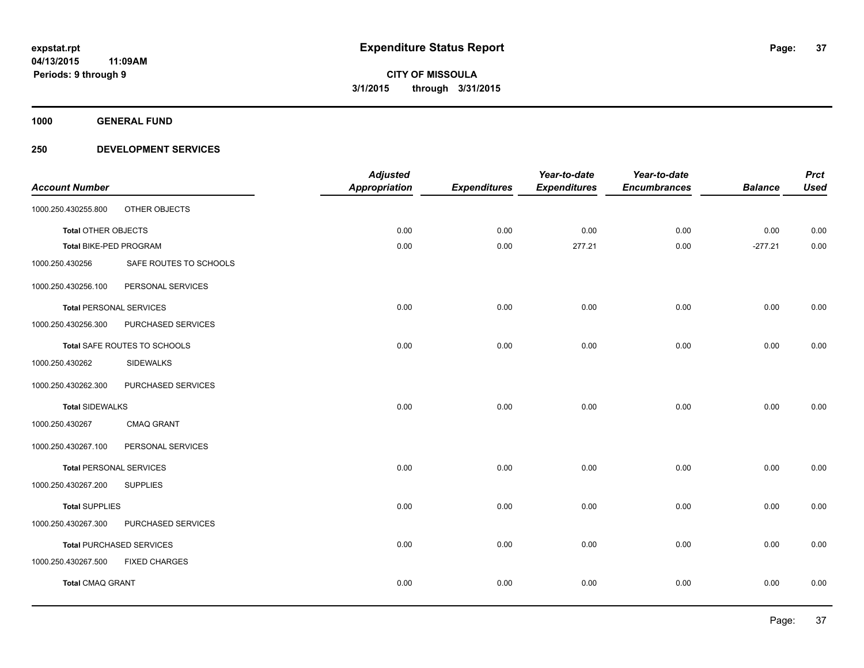**1000 GENERAL FUND**

### **250 DEVELOPMENT SERVICES**

|                                |                                 | <b>Adjusted</b>      |                     | Year-to-date        | Year-to-date        |                | <b>Prct</b> |
|--------------------------------|---------------------------------|----------------------|---------------------|---------------------|---------------------|----------------|-------------|
| <b>Account Number</b>          |                                 | <b>Appropriation</b> | <b>Expenditures</b> | <b>Expenditures</b> | <b>Encumbrances</b> | <b>Balance</b> | <b>Used</b> |
| 1000.250.430255.800            | OTHER OBJECTS                   |                      |                     |                     |                     |                |             |
| Total OTHER OBJECTS            |                                 | 0.00                 | 0.00                | 0.00                | 0.00                | 0.00           | 0.00        |
| <b>Total BIKE-PED PROGRAM</b>  |                                 | 0.00                 | 0.00                | 277.21              | 0.00                | $-277.21$      | 0.00        |
| 1000.250.430256                | SAFE ROUTES TO SCHOOLS          |                      |                     |                     |                     |                |             |
| 1000.250.430256.100            | PERSONAL SERVICES               |                      |                     |                     |                     |                |             |
| <b>Total PERSONAL SERVICES</b> |                                 | 0.00                 | 0.00                | 0.00                | 0.00                | 0.00           | 0.00        |
| 1000.250.430256.300            | PURCHASED SERVICES              |                      |                     |                     |                     |                |             |
|                                | Total SAFE ROUTES TO SCHOOLS    | 0.00                 | 0.00                | 0.00                | 0.00                | 0.00           | 0.00        |
| 1000.250.430262                | <b>SIDEWALKS</b>                |                      |                     |                     |                     |                |             |
| 1000.250.430262.300            | PURCHASED SERVICES              |                      |                     |                     |                     |                |             |
| <b>Total SIDEWALKS</b>         |                                 | 0.00                 | 0.00                | 0.00                | 0.00                | 0.00           | 0.00        |
| 1000.250.430267                | CMAQ GRANT                      |                      |                     |                     |                     |                |             |
| 1000.250.430267.100            | PERSONAL SERVICES               |                      |                     |                     |                     |                |             |
| <b>Total PERSONAL SERVICES</b> |                                 | 0.00                 | 0.00                | 0.00                | 0.00                | 0.00           | 0.00        |
| 1000.250.430267.200            | <b>SUPPLIES</b>                 |                      |                     |                     |                     |                |             |
| <b>Total SUPPLIES</b>          |                                 | 0.00                 | 0.00                | 0.00                | 0.00                | 0.00           | 0.00        |
| 1000.250.430267.300            | PURCHASED SERVICES              |                      |                     |                     |                     |                |             |
|                                | <b>Total PURCHASED SERVICES</b> | 0.00                 | 0.00                | 0.00                | 0.00                | 0.00           | 0.00        |
| 1000.250.430267.500            | <b>FIXED CHARGES</b>            |                      |                     |                     |                     |                |             |
| <b>Total CMAQ GRANT</b>        |                                 | 0.00                 | 0.00                | 0.00                | 0.00                | 0.00           | 0.00        |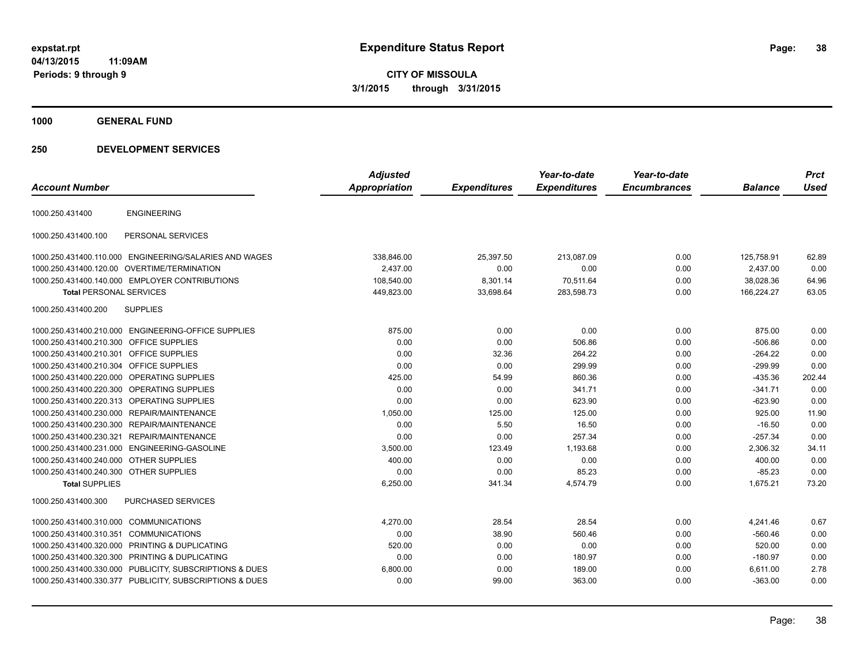**CITY OF MISSOULA 3/1/2015 through 3/31/2015**

**1000 GENERAL FUND**

### **250 DEVELOPMENT SERVICES**

| <b>Account Number</b>                  |                                                         | <b>Adjusted</b><br>Appropriation | <b>Expenditures</b> | Year-to-date<br><b>Expenditures</b> | Year-to-date<br><b>Encumbrances</b> | <b>Balance</b> | <b>Prct</b><br><b>Used</b> |
|----------------------------------------|---------------------------------------------------------|----------------------------------|---------------------|-------------------------------------|-------------------------------------|----------------|----------------------------|
| 1000.250.431400                        | <b>ENGINEERING</b>                                      |                                  |                     |                                     |                                     |                |                            |
| 1000.250.431400.100                    | PERSONAL SERVICES                                       |                                  |                     |                                     |                                     |                |                            |
|                                        | 1000.250.431400.110.000 ENGINEERING/SALARIES AND WAGES  | 338,846.00                       | 25,397.50           | 213,087.09                          | 0.00                                | 125,758.91     | 62.89                      |
|                                        | 1000.250.431400.120.00 OVERTIME/TERMINATION             | 2,437.00                         | 0.00                | 0.00                                | 0.00                                | 2,437.00       | 0.00                       |
|                                        | 1000.250.431400.140.000 EMPLOYER CONTRIBUTIONS          | 108,540.00                       | 8,301.14            | 70,511.64                           | 0.00                                | 38,028.36      | 64.96                      |
| <b>Total PERSONAL SERVICES</b>         |                                                         | 449,823.00                       | 33,698.64           | 283,598.73                          | 0.00                                | 166,224.27     | 63.05                      |
| 1000.250.431400.200                    | <b>SUPPLIES</b>                                         |                                  |                     |                                     |                                     |                |                            |
|                                        | 1000.250.431400.210.000 ENGINEERING-OFFICE SUPPLIES     | 875.00                           | 0.00                | 0.00                                | 0.00                                | 875.00         | 0.00                       |
| 1000.250.431400.210.300                | <b>OFFICE SUPPLIES</b>                                  | 0.00                             | 0.00                | 506.86                              | 0.00                                | $-506.86$      | 0.00                       |
| 1000.250.431400.210.301                | <b>OFFICE SUPPLIES</b>                                  | 0.00                             | 32.36               | 264.22                              | 0.00                                | $-264.22$      | 0.00                       |
| 1000.250.431400.210.304                | <b>OFFICE SUPPLIES</b>                                  | 0.00                             | 0.00                | 299.99                              | 0.00                                | $-299.99$      | 0.00                       |
| 1000.250.431400.220.000                | OPERATING SUPPLIES                                      | 425.00                           | 54.99               | 860.36                              | 0.00                                | $-435.36$      | 202.44                     |
| 1000.250.431400.220.300                | <b>OPERATING SUPPLIES</b>                               | 0.00                             | 0.00                | 341.71                              | 0.00                                | $-341.71$      | 0.00                       |
|                                        | 1000.250.431400.220.313 OPERATING SUPPLIES              | 0.00                             | 0.00                | 623.90                              | 0.00                                | $-623.90$      | 0.00                       |
|                                        | 1000.250.431400.230.000 REPAIR/MAINTENANCE              | 1,050.00                         | 125.00              | 125.00                              | 0.00                                | 925.00         | 11.90                      |
|                                        | 1000.250.431400.230.300 REPAIR/MAINTENANCE              | 0.00                             | 5.50                | 16.50                               | 0.00                                | $-16.50$       | 0.00                       |
| 1000.250.431400.230.321                | REPAIR/MAINTENANCE                                      | 0.00                             | 0.00                | 257.34                              | 0.00                                | $-257.34$      | 0.00                       |
| 1000.250.431400.231.000                | ENGINEERING-GASOLINE                                    | 3.500.00                         | 123.49              | 1.193.68                            | 0.00                                | 2.306.32       | 34.11                      |
| 1000.250.431400.240.000                | <b>OTHER SUPPLIES</b>                                   | 400.00                           | 0.00                | 0.00                                | 0.00                                | 400.00         | 0.00                       |
| 1000.250.431400.240.300 OTHER SUPPLIES |                                                         | 0.00                             | 0.00                | 85.23                               | 0.00                                | $-85.23$       | 0.00                       |
| <b>Total SUPPLIES</b>                  |                                                         | 6,250.00                         | 341.34              | 4,574.79                            | 0.00                                | 1,675.21       | 73.20                      |
| 1000.250.431400.300                    | <b>PURCHASED SERVICES</b>                               |                                  |                     |                                     |                                     |                |                            |
| 1000.250.431400.310.000                | <b>COMMUNICATIONS</b>                                   | 4,270.00                         | 28.54               | 28.54                               | 0.00                                | 4,241.46       | 0.67                       |
| 1000.250.431400.310.351                | <b>COMMUNICATIONS</b>                                   | 0.00                             | 38.90               | 560.46                              | 0.00                                | $-560.46$      | 0.00                       |
| 1000.250.431400.320.000                | <b>PRINTING &amp; DUPLICATING</b>                       | 520.00                           | 0.00                | 0.00                                | 0.00                                | 520.00         | 0.00                       |
| 1000.250.431400.320.300                | PRINTING & DUPLICATING                                  | 0.00                             | 0.00                | 180.97                              | 0.00                                | $-180.97$      | 0.00                       |
|                                        | 1000.250.431400.330.000 PUBLICITY, SUBSCRIPTIONS & DUES | 6,800.00                         | 0.00                | 189.00                              | 0.00                                | 6,611.00       | 2.78                       |
|                                        | 1000.250.431400.330.377 PUBLICITY, SUBSCRIPTIONS & DUES | 0.00                             | 99.00               | 363.00                              | 0.00                                | $-363.00$      | 0.00                       |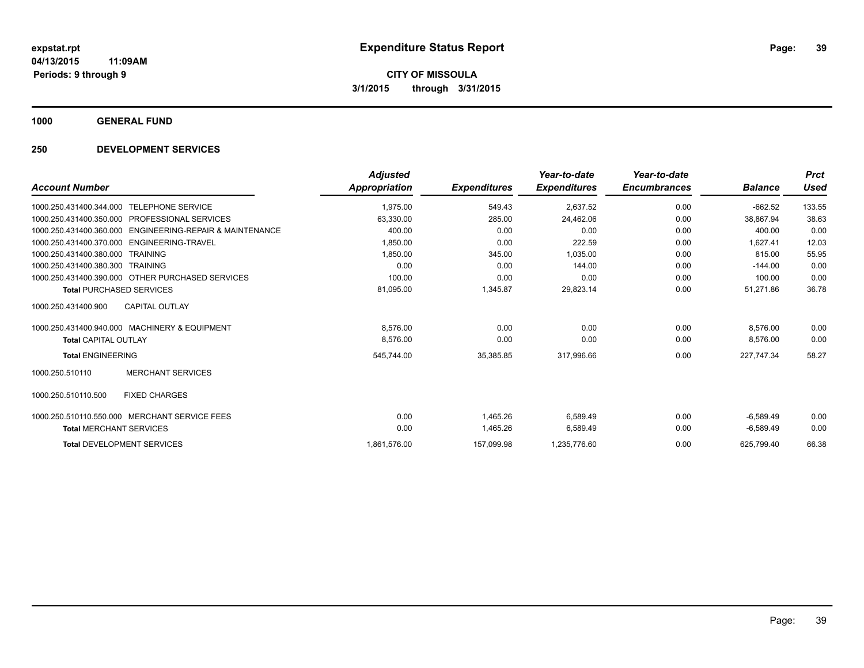**1000 GENERAL FUND**

### **250 DEVELOPMENT SERVICES**

|                                                             | <b>Adjusted</b> |                     | Year-to-date        | Year-to-date        |                | <b>Prct</b> |
|-------------------------------------------------------------|-----------------|---------------------|---------------------|---------------------|----------------|-------------|
| <b>Account Number</b>                                       | Appropriation   | <b>Expenditures</b> | <b>Expenditures</b> | <b>Encumbrances</b> | <b>Balance</b> | Used        |
| <b>TELEPHONE SERVICE</b><br>1000.250.431400.344.000         | 1,975.00        | 549.43              | 2.637.52            | 0.00                | $-662.52$      | 133.55      |
| PROFESSIONAL SERVICES<br>1000.250.431400.350.000            | 63.330.00       | 285.00              | 24,462.06           | 0.00                | 38,867.94      | 38.63       |
| ENGINEERING-REPAIR & MAINTENANCE<br>1000.250.431400.360.000 | 400.00          | 0.00                | 0.00                | 0.00                | 400.00         | 0.00        |
| ENGINEERING-TRAVEL<br>1000.250.431400.370.000               | 1,850.00        | 0.00                | 222.59              | 0.00                | 1.627.41       | 12.03       |
| 1000.250.431400.380.000<br><b>TRAINING</b>                  | 1.850.00        | 345.00              | 1.035.00            | 0.00                | 815.00         | 55.95       |
| 1000.250.431400.380.300<br><b>TRAINING</b>                  | 0.00            | 0.00                | 144.00              | 0.00                | $-144.00$      | 0.00        |
| 1000.250.431400.390.000 OTHER PURCHASED SERVICES            | 100.00          | 0.00                | 0.00                | 0.00                | 100.00         | 0.00        |
| <b>Total PURCHASED SERVICES</b>                             | 81,095.00       | 1,345.87            | 29,823.14           | 0.00                | 51,271.86      | 36.78       |
| <b>CAPITAL OUTLAY</b><br>1000.250.431400.900                |                 |                     |                     |                     |                |             |
| 1000.250.431400.940.000 MACHINERY & EQUIPMENT               | 8.576.00        | 0.00                | 0.00                | 0.00                | 8.576.00       | 0.00        |
| <b>Total CAPITAL OUTLAY</b>                                 | 8,576.00        | 0.00                | 0.00                | 0.00                | 8,576.00       | 0.00        |
| <b>Total ENGINEERING</b>                                    | 545,744.00      | 35,385.85           | 317,996.66          | 0.00                | 227.747.34     | 58.27       |
| <b>MERCHANT SERVICES</b><br>1000.250.510110                 |                 |                     |                     |                     |                |             |
| 1000.250.510110.500<br><b>FIXED CHARGES</b>                 |                 |                     |                     |                     |                |             |
| 1000.250.510110.550.000 MERCHANT SERVICE FEES               | 0.00            | 1.465.26            | 6,589.49            | 0.00                | $-6,589.49$    | 0.00        |
| <b>Total MERCHANT SERVICES</b>                              | 0.00            | 1,465.26            | 6,589.49            | 0.00                | $-6,589.49$    | 0.00        |
| <b>Total DEVELOPMENT SERVICES</b>                           | 1,861,576.00    | 157,099.98          | 1,235,776.60        | 0.00                | 625,799.40     | 66.38       |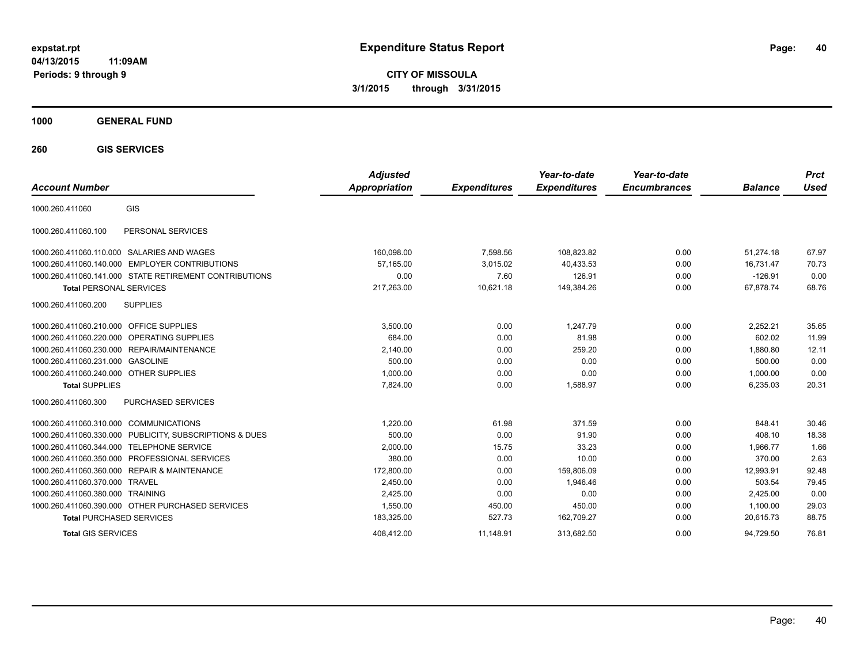**CITY OF MISSOULA 3/1/2015 through 3/31/2015**

### **1000 GENERAL FUND**

**260 GIS SERVICES**

| <b>Account Number</b>                   |                                                        | <b>Adjusted</b><br><b>Appropriation</b> | <b>Expenditures</b> | Year-to-date<br><b>Expenditures</b> | Year-to-date<br><b>Encumbrances</b> | <b>Balance</b> | <b>Prct</b><br>Used |
|-----------------------------------------|--------------------------------------------------------|-----------------------------------------|---------------------|-------------------------------------|-------------------------------------|----------------|---------------------|
| 1000.260.411060                         | GIS                                                    |                                         |                     |                                     |                                     |                |                     |
| 1000.260.411060.100                     | PERSONAL SERVICES                                      |                                         |                     |                                     |                                     |                |                     |
|                                         | 1000.260.411060.110.000 SALARIES AND WAGES             | 160,098.00                              | 7,598.56            | 108,823.82                          | 0.00                                | 51.274.18      | 67.97               |
| 1000.260.411060.140.000                 | <b>EMPLOYER CONTRIBUTIONS</b>                          | 57.165.00                               | 3,015.02            | 40,433.53                           | 0.00                                | 16.731.47      | 70.73               |
|                                         | 1000.260.411060.141.000 STATE RETIREMENT CONTRIBUTIONS | 0.00                                    | 7.60                | 126.91                              | 0.00                                | $-126.91$      | 0.00                |
| <b>Total PERSONAL SERVICES</b>          |                                                        | 217,263.00                              | 10,621.18           | 149,384.26                          | 0.00                                | 67,878.74      | 68.76               |
| 1000.260.411060.200                     | <b>SUPPLIES</b>                                        |                                         |                     |                                     |                                     |                |                     |
| 1000.260.411060.210.000 OFFICE SUPPLIES |                                                        | 3,500.00                                | 0.00                | 1,247.79                            | 0.00                                | 2,252.21       | 35.65               |
| 1000.260.411060.220.000                 | <b>OPERATING SUPPLIES</b>                              | 684.00                                  | 0.00                | 81.98                               | 0.00                                | 602.02         | 11.99               |
| 1000.260.411060.230.000                 | <b>REPAIR/MAINTENANCE</b>                              | 2,140.00                                | 0.00                | 259.20                              | 0.00                                | 1.880.80       | 12.11               |
| 1000.260.411060.231.000 GASOLINE        |                                                        | 500.00                                  | 0.00                | 0.00                                | 0.00                                | 500.00         | 0.00                |
| 1000.260.411060.240.000 OTHER SUPPLIES  |                                                        | 1.000.00                                | 0.00                | 0.00                                | 0.00                                | 1.000.00       | 0.00                |
| <b>Total SUPPLIES</b>                   |                                                        | 7,824.00                                | 0.00                | 1,588.97                            | 0.00                                | 6,235.03       | 20.31               |
| 1000.260.411060.300                     | <b>PURCHASED SERVICES</b>                              |                                         |                     |                                     |                                     |                |                     |
| 1000.260.411060.310.000 COMMUNICATIONS  |                                                        | 1,220.00                                | 61.98               | 371.59                              | 0.00                                | 848.41         | 30.46               |
| 1000.260.411060.330.000                 | PUBLICITY, SUBSCRIPTIONS & DUES                        | 500.00                                  | 0.00                | 91.90                               | 0.00                                | 408.10         | 18.38               |
| 1000.260.411060.344.000                 | <b>TELEPHONE SERVICE</b>                               | 2,000.00                                | 15.75               | 33.23                               | 0.00                                | 1.966.77       | 1.66                |
| 1000.260.411060.350.000                 | <b>PROFESSIONAL SERVICES</b>                           | 380.00                                  | 0.00                | 10.00                               | 0.00                                | 370.00         | 2.63                |
| 1000.260.411060.360.000                 | <b>REPAIR &amp; MAINTENANCE</b>                        | 172,800.00                              | 0.00                | 159,806.09                          | 0.00                                | 12,993.91      | 92.48               |
| 1000.260.411060.370.000                 | <b>TRAVEL</b>                                          | 2,450.00                                | 0.00                | 1.946.46                            | 0.00                                | 503.54         | 79.45               |
| 1000.260.411060.380.000                 | <b>TRAINING</b>                                        | 2,425.00                                | 0.00                | 0.00                                | 0.00                                | 2,425.00       | 0.00                |
|                                         | 1000.260.411060.390.000 OTHER PURCHASED SERVICES       | 1,550.00                                | 450.00              | 450.00                              | 0.00                                | 1,100.00       | 29.03               |
| <b>Total PURCHASED SERVICES</b>         |                                                        | 183,325.00                              | 527.73              | 162,709.27                          | 0.00                                | 20,615.73      | 88.75               |
| <b>Total GIS SERVICES</b>               |                                                        | 408.412.00                              | 11.148.91           | 313.682.50                          | 0.00                                | 94.729.50      | 76.81               |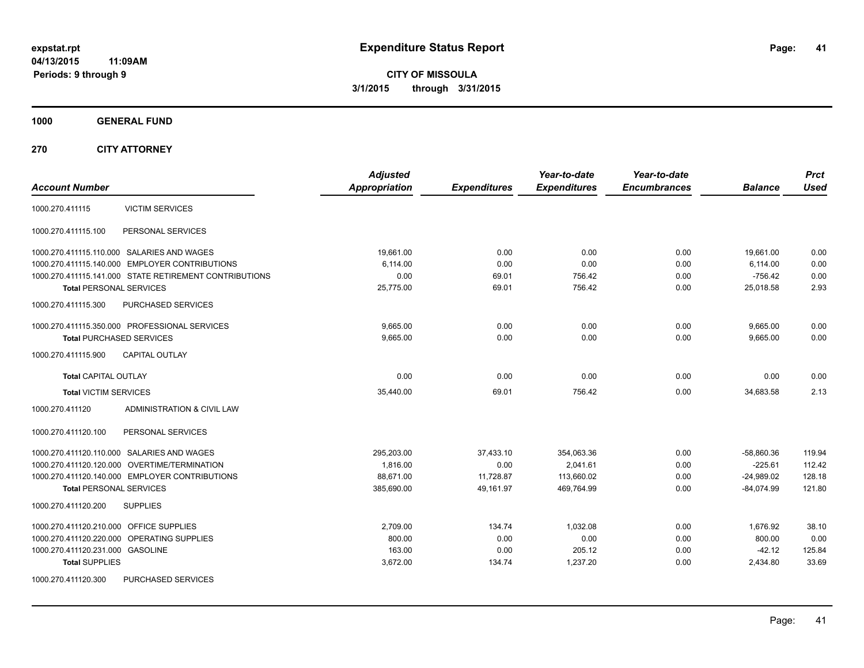**CITY OF MISSOULA 3/1/2015 through 3/31/2015**

**1000 GENERAL FUND**

**270 CITY ATTORNEY**

| <b>Account Number</b>                                  | <b>Adjusted</b><br><b>Appropriation</b> | <b>Expenditures</b> | Year-to-date<br><b>Expenditures</b> | Year-to-date<br><b>Encumbrances</b> | <b>Balance</b> | <b>Prct</b><br><b>Used</b> |
|--------------------------------------------------------|-----------------------------------------|---------------------|-------------------------------------|-------------------------------------|----------------|----------------------------|
| <b>VICTIM SERVICES</b><br>1000.270.411115              |                                         |                     |                                     |                                     |                |                            |
| PERSONAL SERVICES<br>1000.270.411115.100               |                                         |                     |                                     |                                     |                |                            |
| 1000.270.411115.110.000 SALARIES AND WAGES             | 19,661.00                               | 0.00                | 0.00                                | 0.00                                | 19,661.00      | 0.00                       |
| 1000.270.411115.140.000 EMPLOYER CONTRIBUTIONS         | 6,114.00                                | 0.00                | 0.00                                | 0.00                                | 6,114.00       | 0.00                       |
| 1000.270.411115.141.000 STATE RETIREMENT CONTRIBUTIONS | 0.00                                    | 69.01               | 756.42                              | 0.00                                | $-756.42$      | 0.00                       |
| <b>Total PERSONAL SERVICES</b>                         | 25,775.00                               | 69.01               | 756.42                              | 0.00                                | 25,018.58      | 2.93                       |
| 1000.270.411115.300<br><b>PURCHASED SERVICES</b>       |                                         |                     |                                     |                                     |                |                            |
| 1000.270.411115.350.000 PROFESSIONAL SERVICES          | 9,665.00                                | 0.00                | 0.00                                | 0.00                                | 9,665.00       | 0.00                       |
| <b>Total PURCHASED SERVICES</b>                        | 9,665.00                                | 0.00                | 0.00                                | 0.00                                | 9,665.00       | 0.00                       |
| 1000.270.411115.900<br><b>CAPITAL OUTLAY</b>           |                                         |                     |                                     |                                     |                |                            |
| <b>Total CAPITAL OUTLAY</b>                            | 0.00                                    | 0.00                | 0.00                                | 0.00                                | 0.00           | 0.00                       |
| <b>Total VICTIM SERVICES</b>                           | 35,440.00                               | 69.01               | 756.42                              | 0.00                                | 34,683.58      | 2.13                       |
| 1000.270.411120<br>ADMINISTRATION & CIVIL LAW          |                                         |                     |                                     |                                     |                |                            |
| PERSONAL SERVICES<br>1000.270.411120.100               |                                         |                     |                                     |                                     |                |                            |
| 1000.270.411120.110.000 SALARIES AND WAGES             | 295.203.00                              | 37.433.10           | 354,063.36                          | 0.00                                | $-58,860.36$   | 119.94                     |
| 1000.270.411120.120.000 OVERTIME/TERMINATION           | 1,816.00                                | 0.00                | 2,041.61                            | 0.00                                | $-225.61$      | 112.42                     |
| 1000.270.411120.140.000 EMPLOYER CONTRIBUTIONS         | 88,671.00                               | 11,728.87           | 113,660.02                          | 0.00                                | $-24,989.02$   | 128.18                     |
| <b>Total PERSONAL SERVICES</b>                         | 385,690.00                              | 49,161.97           | 469,764.99                          | 0.00                                | $-84,074.99$   | 121.80                     |
| 1000.270.411120.200<br><b>SUPPLIES</b>                 |                                         |                     |                                     |                                     |                |                            |
| 1000.270.411120.210.000 OFFICE SUPPLIES                | 2,709.00                                | 134.74              | 1,032.08                            | 0.00                                | 1,676.92       | 38.10                      |
| 1000.270.411120.220.000 OPERATING SUPPLIES             | 800.00                                  | 0.00                | 0.00                                | 0.00                                | 800.00         | 0.00                       |
| 1000.270.411120.231.000 GASOLINE                       | 163.00                                  | 0.00                | 205.12                              | 0.00                                | $-42.12$       | 125.84                     |
| <b>Total SUPPLIES</b>                                  | 3,672.00                                | 134.74              | 1,237.20                            | 0.00                                | 2,434.80       | 33.69                      |
| 1000.270.411120.300<br><b>PURCHASED SERVICES</b>       |                                         |                     |                                     |                                     |                |                            |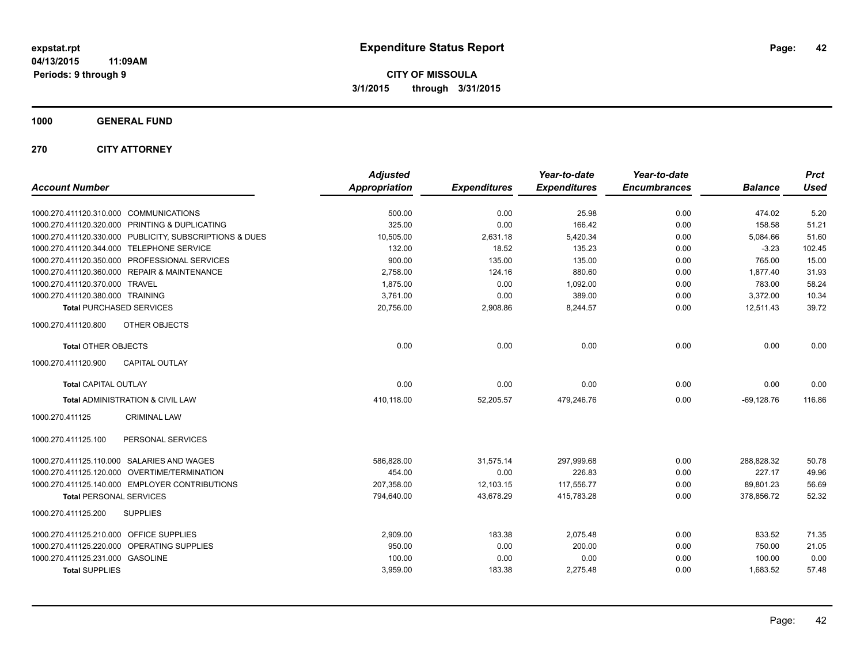**CITY OF MISSOULA 3/1/2015 through 3/31/2015**

**1000 GENERAL FUND**

**270 CITY ATTORNEY**

| <b>Account Number</b>                                   | <b>Adjusted</b><br><b>Appropriation</b> | <b>Expenditures</b> | Year-to-date<br><b>Expenditures</b> | Year-to-date<br><b>Encumbrances</b> | <b>Balance</b> | <b>Prct</b><br><b>Used</b> |
|---------------------------------------------------------|-----------------------------------------|---------------------|-------------------------------------|-------------------------------------|----------------|----------------------------|
| 1000.270.411120.310.000 COMMUNICATIONS                  | 500.00                                  | 0.00                | 25.98                               | 0.00                                | 474.02         | 5.20                       |
| 1000.270.411120.320.000 PRINTING & DUPLICATING          | 325.00                                  | 0.00                | 166.42                              | 0.00                                | 158.58         | 51.21                      |
| 1000.270.411120.330.000 PUBLICITY, SUBSCRIPTIONS & DUES | 10,505.00                               | 2,631.18            | 5,420.34                            | 0.00                                | 5,084.66       | 51.60                      |
| 1000.270.411120.344.000 TELEPHONE SERVICE               | 132.00                                  | 18.52               | 135.23                              | 0.00                                | $-3.23$        | 102.45                     |
| 1000.270.411120.350.000 PROFESSIONAL SERVICES           | 900.00                                  | 135.00              | 135.00                              | 0.00                                | 765.00         | 15.00                      |
| 1000.270.411120.360.000 REPAIR & MAINTENANCE            | 2,758.00                                | 124.16              | 880.60                              | 0.00                                | 1,877.40       | 31.93                      |
| 1000.270.411120.370.000 TRAVEL                          | 1,875.00                                | 0.00                | 1,092.00                            | 0.00                                | 783.00         | 58.24                      |
| 1000.270.411120.380.000 TRAINING                        | 3,761.00                                | 0.00                | 389.00                              | 0.00                                | 3,372.00       | 10.34                      |
| <b>Total PURCHASED SERVICES</b>                         | 20,756.00                               | 2,908.86            | 8,244.57                            | 0.00                                | 12,511.43      | 39.72                      |
| 1000.270.411120.800<br>OTHER OBJECTS                    |                                         |                     |                                     |                                     |                |                            |
| <b>Total OTHER OBJECTS</b>                              | 0.00                                    | 0.00                | 0.00                                | 0.00                                | 0.00           | 0.00                       |
| <b>CAPITAL OUTLAY</b><br>1000.270.411120.900            |                                         |                     |                                     |                                     |                |                            |
| <b>Total CAPITAL OUTLAY</b>                             | 0.00                                    | 0.00                | 0.00                                | 0.00                                | 0.00           | 0.00                       |
| Total ADMINISTRATION & CIVIL LAW                        | 410,118.00                              | 52,205.57           | 479,246.76                          | 0.00                                | $-69,128.76$   | 116.86                     |
| 1000.270.411125<br><b>CRIMINAL LAW</b>                  |                                         |                     |                                     |                                     |                |                            |
| PERSONAL SERVICES<br>1000.270.411125.100                |                                         |                     |                                     |                                     |                |                            |
| 1000.270.411125.110.000 SALARIES AND WAGES              | 586,828.00                              | 31,575.14           | 297,999.68                          | 0.00                                | 288,828.32     | 50.78                      |
| 1000.270.411125.120.000 OVERTIME/TERMINATION            | 454.00                                  | 0.00                | 226.83                              | 0.00                                | 227.17         | 49.96                      |
| 1000.270.411125.140.000 EMPLOYER CONTRIBUTIONS          | 207.358.00                              | 12,103.15           | 117,556.77                          | 0.00                                | 89,801.23      | 56.69                      |
| <b>Total PERSONAL SERVICES</b>                          | 794,640.00                              | 43,678.29           | 415,783.28                          | 0.00                                | 378,856.72     | 52.32                      |
| 1000.270.411125.200<br><b>SUPPLIES</b>                  |                                         |                     |                                     |                                     |                |                            |
| 1000.270.411125.210.000 OFFICE SUPPLIES                 | 2,909.00                                | 183.38              | 2,075.48                            | 0.00                                | 833.52         | 71.35                      |
| 1000.270.411125.220.000 OPERATING SUPPLIES              | 950.00                                  | 0.00                | 200.00                              | 0.00                                | 750.00         | 21.05                      |
| 1000.270.411125.231.000 GASOLINE                        | 100.00                                  | 0.00                | 0.00                                | 0.00                                | 100.00         | 0.00                       |
| <b>Total SUPPLIES</b>                                   | 3,959.00                                | 183.38              | 2,275.48                            | 0.00                                | 1,683.52       | 57.48                      |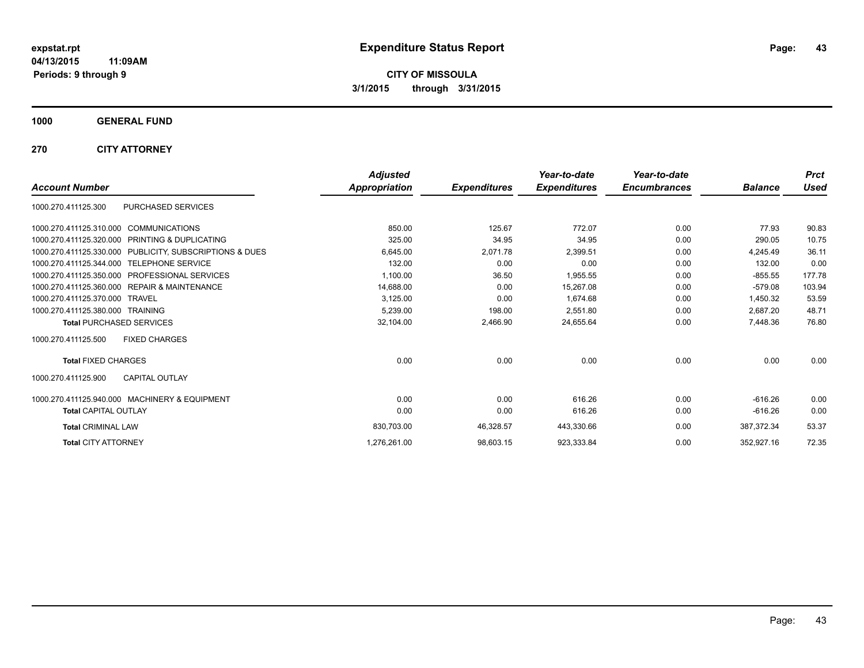**CITY OF MISSOULA 3/1/2015 through 3/31/2015**

**1000 GENERAL FUND**

**270 CITY ATTORNEY**

|                                                            | <b>Adjusted</b>      |                     | Year-to-date        | Year-to-date        |                | <b>Prct</b> |
|------------------------------------------------------------|----------------------|---------------------|---------------------|---------------------|----------------|-------------|
| <b>Account Number</b>                                      | <b>Appropriation</b> | <b>Expenditures</b> | <b>Expenditures</b> | <b>Encumbrances</b> | <b>Balance</b> | <b>Used</b> |
| PURCHASED SERVICES<br>1000.270.411125.300                  |                      |                     |                     |                     |                |             |
| 1000.270.411125.310.000 COMMUNICATIONS                     | 850.00               | 125.67              | 772.07              | 0.00                | 77.93          | 90.83       |
| PRINTING & DUPLICATING<br>1000.270.411125.320.000          | 325.00               | 34.95               | 34.95               | 0.00                | 290.05         | 10.75       |
| 1000.270.411125.330.000 PUBLICITY, SUBSCRIPTIONS & DUES    | 6,645.00             | 2,071.78            | 2,399.51            | 0.00                | 4.245.49       | 36.11       |
| 1000.270.411125.344.000 TELEPHONE SERVICE                  | 132.00               | 0.00                | 0.00                | 0.00                | 132.00         | 0.00        |
| <b>PROFESSIONAL SERVICES</b><br>1000.270.411125.350.000    | 1,100.00             | 36.50               | 1,955.55            | 0.00                | $-855.55$      | 177.78      |
| <b>REPAIR &amp; MAINTENANCE</b><br>1000.270.411125.360.000 | 14,688.00            | 0.00                | 15,267.08           | 0.00                | $-579.08$      | 103.94      |
| 1000.270.411125.370.000<br><b>TRAVEL</b>                   | 3,125.00             | 0.00                | 1,674.68            | 0.00                | 1,450.32       | 53.59       |
| 1000.270.411125.380.000 TRAINING                           | 5,239.00             | 198.00              | 2.551.80            | 0.00                | 2.687.20       | 48.71       |
| <b>Total PURCHASED SERVICES</b>                            | 32,104.00            | 2,466.90            | 24,655.64           | 0.00                | 7,448.36       | 76.80       |
| <b>FIXED CHARGES</b><br>1000.270.411125.500                |                      |                     |                     |                     |                |             |
| <b>Total FIXED CHARGES</b>                                 | 0.00                 | 0.00                | 0.00                | 0.00                | 0.00           | 0.00        |
| <b>CAPITAL OUTLAY</b><br>1000.270.411125.900               |                      |                     |                     |                     |                |             |
| 1000.270.411125.940.000 MACHINERY & EQUIPMENT              | 0.00                 | 0.00                | 616.26              | 0.00                | $-616.26$      | 0.00        |
| <b>Total CAPITAL OUTLAY</b>                                | 0.00                 | 0.00                | 616.26              | 0.00                | $-616.26$      | 0.00        |
| <b>Total CRIMINAL LAW</b>                                  | 830,703.00           | 46,328.57           | 443,330.66          | 0.00                | 387,372.34     | 53.37       |
| <b>Total CITY ATTORNEY</b>                                 | 1,276,261.00         | 98,603.15           | 923,333.84          | 0.00                | 352,927.16     | 72.35       |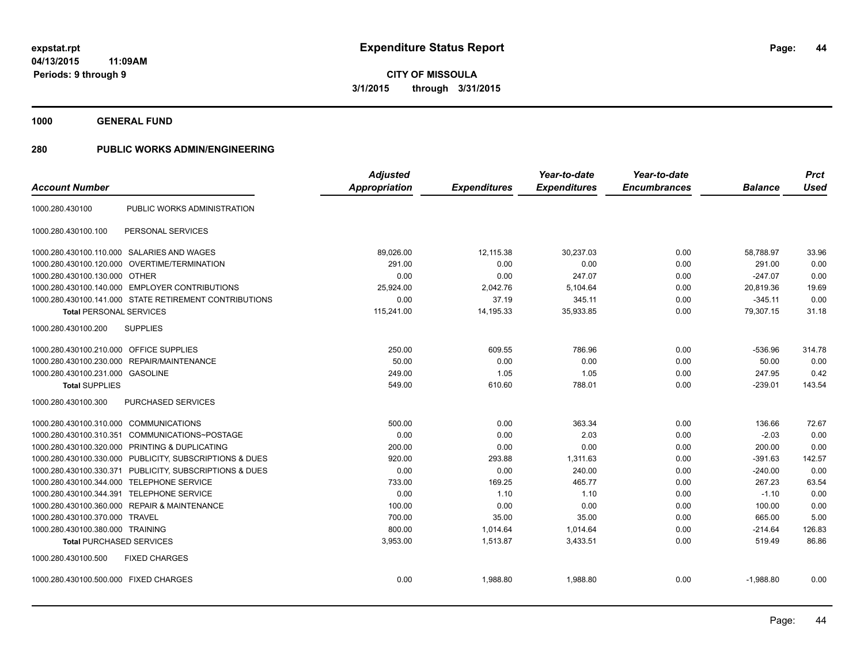**1000 GENERAL FUND**

| <b>Account Number</b>                     |                                                         | <b>Adjusted</b><br><b>Appropriation</b> | <b>Expenditures</b> | Year-to-date<br><b>Expenditures</b> | Year-to-date<br><b>Encumbrances</b> | <b>Balance</b> | <b>Prct</b><br><b>Used</b> |
|-------------------------------------------|---------------------------------------------------------|-----------------------------------------|---------------------|-------------------------------------|-------------------------------------|----------------|----------------------------|
| 1000.280.430100                           | PUBLIC WORKS ADMINISTRATION                             |                                         |                     |                                     |                                     |                |                            |
| 1000.280.430100.100                       | PERSONAL SERVICES                                       |                                         |                     |                                     |                                     |                |                            |
| 1000.280.430100.110.000                   | SALARIES AND WAGES                                      | 89,026.00                               | 12,115.38           | 30,237.03                           | 0.00                                | 58,788.97      | 33.96                      |
| 1000.280.430100.120.000                   | <b>OVERTIME/TERMINATION</b>                             | 291.00                                  | 0.00                | 0.00                                | 0.00                                | 291.00         | 0.00                       |
| 1000.280.430100.130.000 OTHER             |                                                         | 0.00                                    | 0.00                | 247.07                              | 0.00                                | $-247.07$      | 0.00                       |
|                                           | 1000.280.430100.140.000 EMPLOYER CONTRIBUTIONS          | 25.924.00                               | 2,042.76            | 5,104.64                            | 0.00                                | 20,819.36      | 19.69                      |
|                                           | 1000.280.430100.141.000 STATE RETIREMENT CONTRIBUTIONS  | 0.00                                    | 37.19               | 345.11                              | 0.00                                | $-345.11$      | 0.00                       |
| <b>Total PERSONAL SERVICES</b>            |                                                         | 115,241.00                              | 14,195.33           | 35,933.85                           | 0.00                                | 79,307.15      | 31.18                      |
| 1000.280.430100.200                       | <b>SUPPLIES</b>                                         |                                         |                     |                                     |                                     |                |                            |
| 1000.280.430100.210.000                   | OFFICE SUPPLIES                                         | 250.00                                  | 609.55              | 786.96                              | 0.00                                | $-536.96$      | 314.78                     |
| 1000.280.430100.230.000                   | REPAIR/MAINTENANCE                                      | 50.00                                   | 0.00                | 0.00                                | 0.00                                | 50.00          | 0.00                       |
| 1000.280.430100.231.000 GASOLINE          |                                                         | 249.00                                  | 1.05                | 1.05                                | 0.00                                | 247.95         | 0.42                       |
| <b>Total SUPPLIES</b>                     |                                                         | 549.00                                  | 610.60              | 788.01                              | 0.00                                | $-239.01$      | 143.54                     |
| 1000.280.430100.300                       | PURCHASED SERVICES                                      |                                         |                     |                                     |                                     |                |                            |
| 1000.280.430100.310.000 COMMUNICATIONS    |                                                         | 500.00                                  | 0.00                | 363.34                              | 0.00                                | 136.66         | 72.67                      |
|                                           | 1000.280.430100.310.351 COMMUNICATIONS~POSTAGE          | 0.00                                    | 0.00                | 2.03                                | 0.00                                | $-2.03$        | 0.00                       |
|                                           | 1000.280.430100.320.000 PRINTING & DUPLICATING          | 200.00                                  | 0.00                | 0.00                                | 0.00                                | 200.00         | 0.00                       |
|                                           | 1000.280.430100.330.000 PUBLICITY, SUBSCRIPTIONS & DUES | 920.00                                  | 293.88              | 1,311.63                            | 0.00                                | $-391.63$      | 142.57                     |
|                                           | 1000.280.430100.330.371 PUBLICITY, SUBSCRIPTIONS & DUES | 0.00                                    | 0.00                | 240.00                              | 0.00                                | $-240.00$      | 0.00                       |
| 1000.280.430100.344.000 TELEPHONE SERVICE |                                                         | 733.00                                  | 169.25              | 465.77                              | 0.00                                | 267.23         | 63.54                      |
| 1000.280.430100.344.391                   | <b>TELEPHONE SERVICE</b>                                | 0.00                                    | 1.10                | 1.10                                | 0.00                                | $-1.10$        | 0.00                       |
|                                           | 1000.280.430100.360.000 REPAIR & MAINTENANCE            | 100.00                                  | 0.00                | 0.00                                | 0.00                                | 100.00         | 0.00                       |
| 1000.280.430100.370.000                   | <b>TRAVEL</b>                                           | 700.00                                  | 35.00               | 35.00                               | 0.00                                | 665.00         | 5.00                       |
| 1000.280.430100.380.000 TRAINING          |                                                         | 800.00                                  | 1,014.64            | 1,014.64                            | 0.00                                | $-214.64$      | 126.83                     |
| <b>Total PURCHASED SERVICES</b>           |                                                         | 3,953.00                                | 1,513.87            | 3,433.51                            | 0.00                                | 519.49         | 86.86                      |
| 1000.280.430100.500                       | <b>FIXED CHARGES</b>                                    |                                         |                     |                                     |                                     |                |                            |
| 1000.280.430100.500.000 FIXED CHARGES     |                                                         | 0.00                                    | 1.988.80            | 1,988.80                            | 0.00                                | $-1,988.80$    | 0.00                       |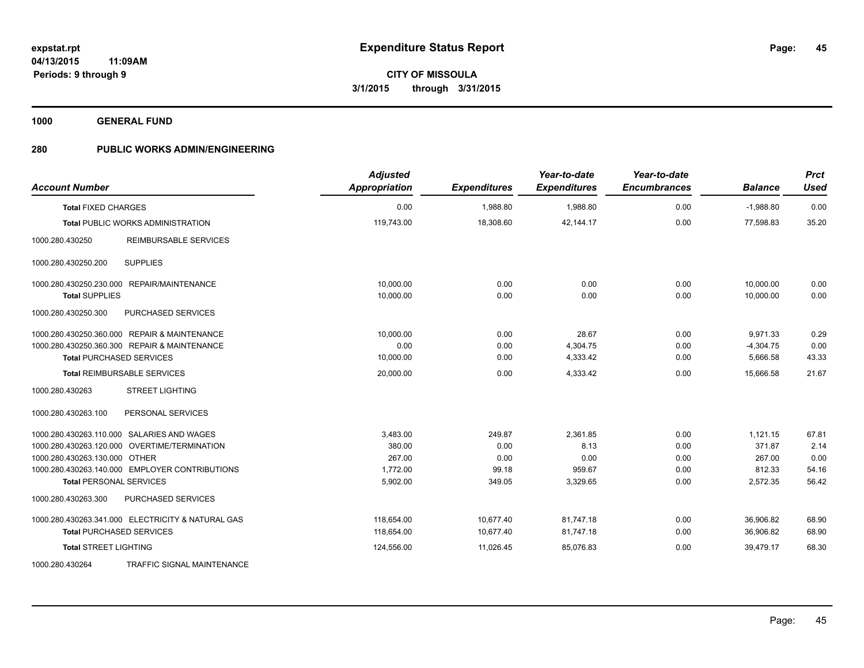**1000 GENERAL FUND**

| <b>Account Number</b>                             | <b>Adjusted</b><br>Appropriation | <b>Expenditures</b> | Year-to-date<br><b>Expenditures</b> | Year-to-date<br><b>Encumbrances</b> | <b>Balance</b> | <b>Prct</b><br><b>Used</b> |
|---------------------------------------------------|----------------------------------|---------------------|-------------------------------------|-------------------------------------|----------------|----------------------------|
| <b>Total FIXED CHARGES</b>                        | 0.00                             | 1,988.80            | 1,988.80                            | 0.00                                | $-1,988.80$    | 0.00                       |
| <b>Total PUBLIC WORKS ADMINISTRATION</b>          | 119,743.00                       | 18,308.60           | 42,144.17                           | 0.00                                | 77,598.83      | 35.20                      |
| 1000.280.430250<br><b>REIMBURSABLE SERVICES</b>   |                                  |                     |                                     |                                     |                |                            |
| <b>SUPPLIES</b><br>1000.280.430250.200            |                                  |                     |                                     |                                     |                |                            |
| 1000.280.430250.230.000 REPAIR/MAINTENANCE        | 10,000.00                        | 0.00                | 0.00                                | 0.00                                | 10,000.00      | 0.00                       |
| <b>Total SUPPLIES</b>                             | 10,000.00                        | 0.00                | 0.00                                | 0.00                                | 10.000.00      | 0.00                       |
| PURCHASED SERVICES<br>1000.280.430250.300         |                                  |                     |                                     |                                     |                |                            |
| 1000.280.430250.360.000 REPAIR & MAINTENANCE      | 10.000.00                        | 0.00                | 28.67                               | 0.00                                | 9,971.33       | 0.29                       |
| 1000.280.430250.360.300 REPAIR & MAINTENANCE      | 0.00                             | 0.00                | 4,304.75                            | 0.00                                | $-4,304.75$    | 0.00                       |
| <b>Total PURCHASED SERVICES</b>                   | 10,000.00                        | 0.00                | 4,333.42                            | 0.00                                | 5,666.58       | 43.33                      |
| <b>Total REIMBURSABLE SERVICES</b>                | 20,000.00                        | 0.00                | 4,333.42                            | 0.00                                | 15,666.58      | 21.67                      |
| 1000.280.430263<br><b>STREET LIGHTING</b>         |                                  |                     |                                     |                                     |                |                            |
| PERSONAL SERVICES<br>1000.280.430263.100          |                                  |                     |                                     |                                     |                |                            |
| 1000.280.430263.110.000 SALARIES AND WAGES        | 3,483.00                         | 249.87              | 2,361.85                            | 0.00                                | 1,121.15       | 67.81                      |
| 1000.280.430263.120.000 OVERTIME/TERMINATION      | 380.00                           | 0.00                | 8.13                                | 0.00                                | 371.87         | 2.14                       |
| 1000.280.430263.130.000 OTHER                     | 267.00                           | 0.00                | 0.00                                | 0.00                                | 267.00         | 0.00                       |
| 1000.280.430263.140.000 EMPLOYER CONTRIBUTIONS    | 1,772.00                         | 99.18               | 959.67                              | 0.00                                | 812.33         | 54.16                      |
| <b>Total PERSONAL SERVICES</b>                    | 5,902.00                         | 349.05              | 3,329.65                            | 0.00                                | 2,572.35       | 56.42                      |
| 1000.280.430263.300<br>PURCHASED SERVICES         |                                  |                     |                                     |                                     |                |                            |
| 1000.280.430263.341.000 ELECTRICITY & NATURAL GAS | 118,654.00                       | 10,677.40           | 81,747.18                           | 0.00                                | 36,906.82      | 68.90                      |
| <b>Total PURCHASED SERVICES</b>                   | 118,654.00                       | 10,677.40           | 81,747.18                           | 0.00                                | 36,906.82      | 68.90                      |
| <b>Total STREET LIGHTING</b>                      | 124,556.00                       | 11,026.45           | 85,076.83                           | 0.00                                | 39,479.17      | 68.30                      |
| 1000.280.430264<br>TRAFFIC SIGNAL MAINTENANCE     |                                  |                     |                                     |                                     |                |                            |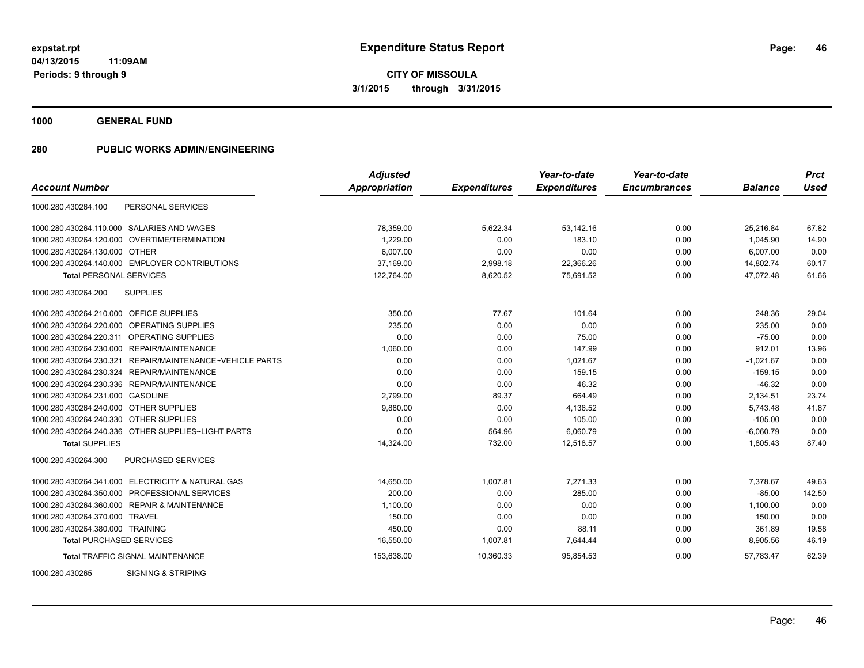**CITY OF MISSOULA 3/1/2015 through 3/31/2015**

**1000 GENERAL FUND**

|                                                             | <b>Adjusted</b> |                     | Year-to-date        | Year-to-date        |                | <b>Prct</b> |
|-------------------------------------------------------------|-----------------|---------------------|---------------------|---------------------|----------------|-------------|
| <b>Account Number</b>                                       | Appropriation   | <b>Expenditures</b> | <b>Expenditures</b> | <b>Encumbrances</b> | <b>Balance</b> | Used        |
| PERSONAL SERVICES<br>1000.280.430264.100                    |                 |                     |                     |                     |                |             |
| 1000.280.430264.110.000 SALARIES AND WAGES                  | 78,359.00       | 5,622.34            | 53,142.16           | 0.00                | 25,216.84      | 67.82       |
| 1000.280.430264.120.000 OVERTIME/TERMINATION                | 1.229.00        | 0.00                | 183.10              | 0.00                | 1,045.90       | 14.90       |
| 1000.280.430264.130.000 OTHER                               | 6,007.00        | 0.00                | 0.00                | 0.00                | 6,007.00       | 0.00        |
| 1000.280.430264.140.000 EMPLOYER CONTRIBUTIONS              | 37,169.00       | 2,998.18            | 22,366.26           | 0.00                | 14,802.74      | 60.17       |
| <b>Total PERSONAL SERVICES</b>                              | 122,764.00      | 8,620.52            | 75,691.52           | 0.00                | 47.072.48      | 61.66       |
| 1000.280.430264.200<br><b>SUPPLIES</b>                      |                 |                     |                     |                     |                |             |
| 1000.280.430264.210.000 OFFICE SUPPLIES                     | 350.00          | 77.67               | 101.64              | 0.00                | 248.36         | 29.04       |
| OPERATING SUPPLIES<br>1000.280.430264.220.000               | 235.00          | 0.00                | 0.00                | 0.00                | 235.00         | 0.00        |
| 1000.280.430264.220.311 OPERATING SUPPLIES                  | 0.00            | 0.00                | 75.00               | 0.00                | $-75.00$       | 0.00        |
| 1000.280.430264.230.000 REPAIR/MAINTENANCE                  | 1,060.00        | 0.00                | 147.99              | 0.00                | 912.01         | 13.96       |
| REPAIR/MAINTENANCE~VEHICLE PARTS<br>1000.280.430264.230.321 | 0.00            | 0.00                | 1,021.67            | 0.00                | $-1,021.67$    | 0.00        |
| 1000.280.430264.230.324 REPAIR/MAINTENANCE                  | 0.00            | 0.00                | 159.15              | 0.00                | $-159.15$      | 0.00        |
| 1000.280.430264.230.336 REPAIR/MAINTENANCE                  | 0.00            | 0.00                | 46.32               | 0.00                | $-46.32$       | 0.00        |
| 1000.280.430264.231.000 GASOLINE                            | 2,799.00        | 89.37               | 664.49              | 0.00                | 2,134.51       | 23.74       |
| 1000.280.430264.240.000 OTHER SUPPLIES                      | 9,880.00        | 0.00                | 4,136.52            | 0.00                | 5,743.48       | 41.87       |
| 1000.280.430264.240.330 OTHER SUPPLIES                      | 0.00            | 0.00                | 105.00              | 0.00                | $-105.00$      | 0.00        |
| 1000.280.430264.240.336 OTHER SUPPLIES~LIGHT PARTS          | 0.00            | 564.96              | 6,060.79            | 0.00                | $-6,060.79$    | 0.00        |
| <b>Total SUPPLIES</b>                                       | 14,324.00       | 732.00              | 12,518.57           | 0.00                | 1,805.43       | 87.40       |
| 1000.280.430264.300<br><b>PURCHASED SERVICES</b>            |                 |                     |                     |                     |                |             |
| 1000.280.430264.341.000 ELECTRICITY & NATURAL GAS           | 14,650.00       | 1,007.81            | 7,271.33            | 0.00                | 7,378.67       | 49.63       |
| 1000.280.430264.350.000 PROFESSIONAL SERVICES               | 200.00          | 0.00                | 285.00              | 0.00                | $-85.00$       | 142.50      |
| 1000.280.430264.360.000 REPAIR & MAINTENANCE                | 1.100.00        | 0.00                | 0.00                | 0.00                | 1.100.00       | 0.00        |
| 1000.280.430264.370.000 TRAVEL                              | 150.00          | 0.00                | 0.00                | 0.00                | 150.00         | 0.00        |
| 1000.280.430264.380.000 TRAINING                            | 450.00          | 0.00                | 88.11               | 0.00                | 361.89         | 19.58       |
| <b>Total PURCHASED SERVICES</b>                             | 16,550.00       | 1,007.81            | 7,644.44            | 0.00                | 8,905.56       | 46.19       |
| <b>Total TRAFFIC SIGNAL MAINTENANCE</b>                     | 153,638.00      | 10,360.33           | 95,854.53           | 0.00                | 57,783.47      | 62.39       |
| <b>SIGNING &amp; STRIPING</b><br>1000.280.430265            |                 |                     |                     |                     |                |             |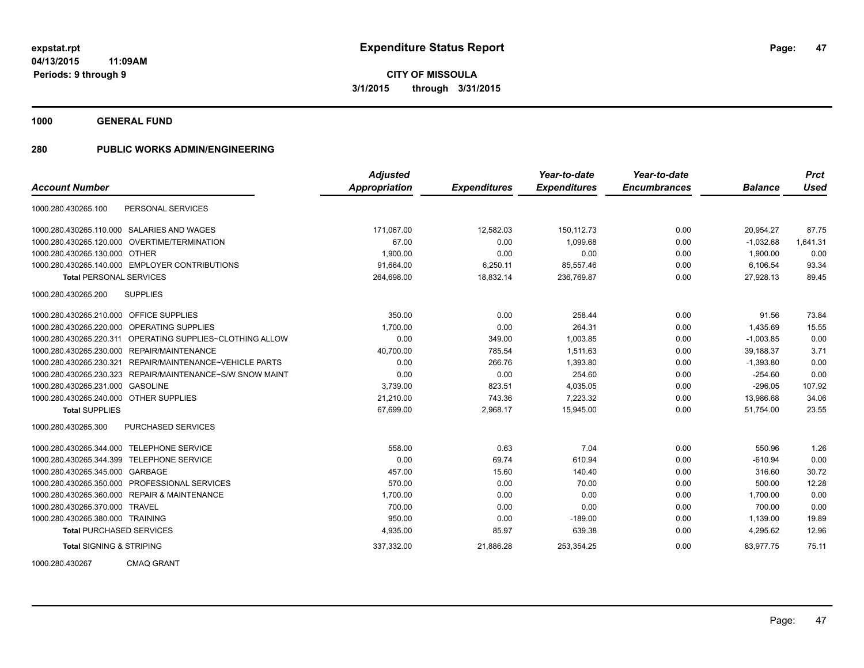**CITY OF MISSOULA 3/1/2015 through 3/31/2015**

**1000 GENERAL FUND**

|                                           |                                                | <b>Adjusted</b>      |                     | Year-to-date        | Year-to-date        |                | <b>Prct</b> |
|-------------------------------------------|------------------------------------------------|----------------------|---------------------|---------------------|---------------------|----------------|-------------|
| <b>Account Number</b>                     |                                                | <b>Appropriation</b> | <b>Expenditures</b> | <b>Expenditures</b> | <b>Encumbrances</b> | <b>Balance</b> | <b>Used</b> |
| 1000.280.430265.100                       | PERSONAL SERVICES                              |                      |                     |                     |                     |                |             |
|                                           | 1000.280.430265.110.000 SALARIES AND WAGES     | 171.067.00           | 12,582.03           | 150.112.73          | 0.00                | 20,954.27      | 87.75       |
| 1000.280.430265.120.000                   | OVERTIME/TERMINATION                           | 67.00                | 0.00                | 1,099.68            | 0.00                | $-1,032.68$    | 1,641.31    |
| 1000.280.430265.130.000 OTHER             |                                                | 1,900.00             | 0.00                | 0.00                | 0.00                | 1,900.00       | 0.00        |
|                                           | 1000.280.430265.140.000 EMPLOYER CONTRIBUTIONS | 91,664.00            | 6,250.11            | 85,557.46           | 0.00                | 6,106.54       | 93.34       |
| <b>Total PERSONAL SERVICES</b>            |                                                | 264,698.00           | 18,832.14           | 236,769.87          | 0.00                | 27,928.13      | 89.45       |
| 1000.280.430265.200                       | <b>SUPPLIES</b>                                |                      |                     |                     |                     |                |             |
| 1000.280.430265.210.000 OFFICE SUPPLIES   |                                                | 350.00               | 0.00                | 258.44              | 0.00                | 91.56          | 73.84       |
| 1000.280.430265.220.000                   | OPERATING SUPPLIES                             | 1,700.00             | 0.00                | 264.31              | 0.00                | 1,435.69       | 15.55       |
| 1000.280.430265.220.311                   | OPERATING SUPPLIES~CLOTHING ALLOW              | 0.00                 | 349.00              | 1,003.85            | 0.00                | $-1,003.85$    | 0.00        |
| 1000.280.430265.230.000                   | <b>REPAIR/MAINTENANCE</b>                      | 40,700.00            | 785.54              | 1.511.63            | 0.00                | 39,188.37      | 3.71        |
| 1000.280.430265.230.321                   | REPAIR/MAINTENANCE~VEHICLE PARTS               | 0.00                 | 266.76              | 1,393.80            | 0.00                | $-1,393.80$    | 0.00        |
| 1000.280.430265.230.323                   | REPAIR/MAINTENANCE~S/W SNOW MAINT              | 0.00                 | 0.00                | 254.60              | 0.00                | $-254.60$      | 0.00        |
| 1000.280.430265.231.000                   | <b>GASOLINE</b>                                | 3,739.00             | 823.51              | 4,035.05            | 0.00                | $-296.05$      | 107.92      |
| 1000.280.430265.240.000 OTHER SUPPLIES    |                                                | 21,210.00            | 743.36              | 7,223.32            | 0.00                | 13,986.68      | 34.06       |
| <b>Total SUPPLIES</b>                     |                                                | 67,699.00            | 2,968.17            | 15,945.00           | 0.00                | 51,754.00      | 23.55       |
| 1000.280.430265.300                       | PURCHASED SERVICES                             |                      |                     |                     |                     |                |             |
| 1000.280.430265.344.000 TELEPHONE SERVICE |                                                | 558.00               | 0.63                | 7.04                | 0.00                | 550.96         | 1.26        |
| 1000.280.430265.344.399                   | <b>TELEPHONE SERVICE</b>                       | 0.00                 | 69.74               | 610.94              | 0.00                | $-610.94$      | 0.00        |
| 1000.280.430265.345.000                   | GARBAGE                                        | 457.00               | 15.60               | 140.40              | 0.00                | 316.60         | 30.72       |
| 1000.280.430265.350.000                   | <b>PROFESSIONAL SERVICES</b>                   | 570.00               | 0.00                | 70.00               | 0.00                | 500.00         | 12.28       |
|                                           | 1000.280.430265.360.000 REPAIR & MAINTENANCE   | 1,700.00             | 0.00                | 0.00                | 0.00                | 1.700.00       | 0.00        |
| 1000.280.430265.370.000 TRAVEL            |                                                | 700.00               | 0.00                | 0.00                | 0.00                | 700.00         | 0.00        |
| 1000.280.430265.380.000 TRAINING          |                                                | 950.00               | 0.00                | $-189.00$           | 0.00                | 1,139.00       | 19.89       |
| <b>Total PURCHASED SERVICES</b>           |                                                | 4,935.00             | 85.97               | 639.38              | 0.00                | 4,295.62       | 12.96       |
| <b>Total SIGNING &amp; STRIPING</b>       |                                                | 337,332.00           | 21,886.28           | 253,354.25          | 0.00                | 83,977.75      | 75.11       |
| 1000.280.430267                           | <b>CMAQ GRANT</b>                              |                      |                     |                     |                     |                |             |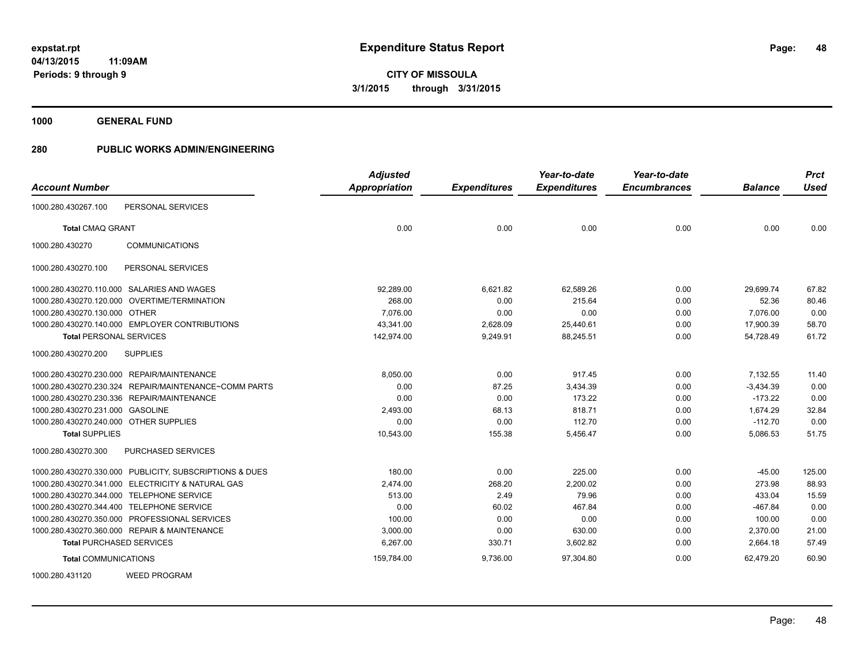**48**

**04/13/2015 11:09AM Periods: 9 through 9**

**CITY OF MISSOULA 3/1/2015 through 3/31/2015**

**1000 GENERAL FUND**

| <b>Account Number</b>                                   | <b>Adjusted</b><br><b>Appropriation</b> | <b>Expenditures</b> | Year-to-date<br><b>Expenditures</b> | Year-to-date<br><b>Encumbrances</b> | <b>Balance</b> | <b>Prct</b><br><b>Used</b> |
|---------------------------------------------------------|-----------------------------------------|---------------------|-------------------------------------|-------------------------------------|----------------|----------------------------|
| PERSONAL SERVICES<br>1000.280.430267.100                |                                         |                     |                                     |                                     |                |                            |
| <b>Total CMAQ GRANT</b>                                 | 0.00                                    | 0.00                | 0.00                                | 0.00                                | 0.00           | 0.00                       |
| <b>COMMUNICATIONS</b><br>1000.280.430270                |                                         |                     |                                     |                                     |                |                            |
| PERSONAL SERVICES<br>1000.280.430270.100                |                                         |                     |                                     |                                     |                |                            |
| 1000.280.430270.110.000 SALARIES AND WAGES              | 92,289.00                               | 6,621.82            | 62,589.26                           | 0.00                                | 29,699.74      | 67.82                      |
| 1000.280.430270.120.000 OVERTIME/TERMINATION            | 268.00                                  | 0.00                | 215.64                              | 0.00                                | 52.36          | 80.46                      |
| 1000.280.430270.130.000 OTHER                           | 7.076.00                                | 0.00                | 0.00                                | 0.00                                | 7,076.00       | 0.00                       |
| 1000.280.430270.140.000 EMPLOYER CONTRIBUTIONS          | 43,341.00                               | 2,628.09            | 25,440.61                           | 0.00                                | 17,900.39      | 58.70                      |
| <b>Total PERSONAL SERVICES</b>                          | 142,974.00                              | 9,249.91            | 88,245.51                           | 0.00                                | 54,728.49      | 61.72                      |
| 1000.280.430270.200<br><b>SUPPLIES</b>                  |                                         |                     |                                     |                                     |                |                            |
| 1000.280.430270.230.000 REPAIR/MAINTENANCE              | 8,050.00                                | 0.00                | 917.45                              | 0.00                                | 7,132.55       | 11.40                      |
| 1000.280.430270.230.324 REPAIR/MAINTENANCE~COMM PARTS   | 0.00                                    | 87.25               | 3,434.39                            | 0.00                                | $-3,434.39$    | 0.00                       |
| 1000.280.430270.230.336 REPAIR/MAINTENANCE              | 0.00                                    | 0.00                | 173.22                              | 0.00                                | $-173.22$      | 0.00                       |
| 1000.280.430270.231.000 GASOLINE                        | 2,493.00                                | 68.13               | 818.71                              | 0.00                                | 1,674.29       | 32.84                      |
| 1000.280.430270.240.000 OTHER SUPPLIES                  | 0.00                                    | 0.00                | 112.70                              | 0.00                                | $-112.70$      | 0.00                       |
| <b>Total SUPPLIES</b>                                   | 10,543.00                               | 155.38              | 5,456.47                            | 0.00                                | 5,086.53       | 51.75                      |
| 1000.280.430270.300<br>PURCHASED SERVICES               |                                         |                     |                                     |                                     |                |                            |
| 1000.280.430270.330.000 PUBLICITY, SUBSCRIPTIONS & DUES | 180.00                                  | 0.00                | 225.00                              | 0.00                                | $-45.00$       | 125.00                     |
| 1000.280.430270.341.000 ELECTRICITY & NATURAL GAS       | 2.474.00                                | 268.20              | 2.200.02                            | 0.00                                | 273.98         | 88.93                      |
| 1000.280.430270.344.000 TELEPHONE SERVICE               | 513.00                                  | 2.49                | 79.96                               | 0.00                                | 433.04         | 15.59                      |
| 1000.280.430270.344.400 TELEPHONE SERVICE               | 0.00                                    | 60.02               | 467.84                              | 0.00                                | $-467.84$      | 0.00                       |
| 1000.280.430270.350.000 PROFESSIONAL SERVICES           | 100.00                                  | 0.00                | 0.00                                | 0.00                                | 100.00         | 0.00                       |
| 1000.280.430270.360.000 REPAIR & MAINTENANCE            | 3,000.00                                | 0.00                | 630.00                              | 0.00                                | 2,370.00       | 21.00                      |
| <b>Total PURCHASED SERVICES</b>                         | 6,267.00                                | 330.71              | 3,602.82                            | 0.00                                | 2,664.18       | 57.49                      |
| <b>Total COMMUNICATIONS</b>                             | 159,784.00                              | 9,736.00            | 97,304.80                           | 0.00                                | 62,479.20      | 60.90                      |
| <b>WEED PROGRAM</b><br>1000.280.431120                  |                                         |                     |                                     |                                     |                |                            |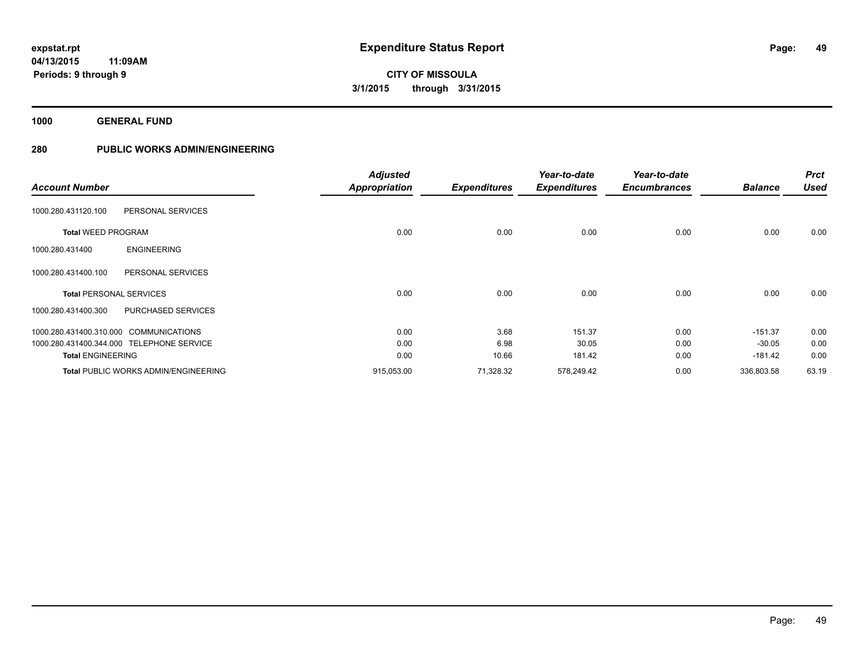**1000 GENERAL FUND**

|                                |                                             | <b>Adjusted</b>      |                     | Year-to-date        | Year-to-date        |                | <b>Prct</b> |
|--------------------------------|---------------------------------------------|----------------------|---------------------|---------------------|---------------------|----------------|-------------|
| <b>Account Number</b>          |                                             | <b>Appropriation</b> | <b>Expenditures</b> | <b>Expenditures</b> | <b>Encumbrances</b> | <b>Balance</b> | <b>Used</b> |
| 1000.280.431120.100            | PERSONAL SERVICES                           |                      |                     |                     |                     |                |             |
| <b>Total WEED PROGRAM</b>      |                                             | 0.00                 | 0.00                | 0.00                | 0.00                | 0.00           | 0.00        |
| 1000.280.431400                | <b>ENGINEERING</b>                          |                      |                     |                     |                     |                |             |
| 1000.280.431400.100            | PERSONAL SERVICES                           |                      |                     |                     |                     |                |             |
| <b>Total PERSONAL SERVICES</b> |                                             | 0.00                 | 0.00                | 0.00                | 0.00                | 0.00           | 0.00        |
| 1000.280.431400.300            | <b>PURCHASED SERVICES</b>                   |                      |                     |                     |                     |                |             |
|                                | 1000.280.431400.310.000 COMMUNICATIONS      | 0.00                 | 3.68                | 151.37              | 0.00                | $-151.37$      | 0.00        |
|                                | 1000.280.431400.344.000 TELEPHONE SERVICE   | 0.00                 | 6.98                | 30.05               | 0.00                | $-30.05$       | 0.00        |
| <b>Total ENGINEERING</b>       |                                             | 0.00                 | 10.66               | 181.42              | 0.00                | $-181.42$      | 0.00        |
|                                | <b>Total PUBLIC WORKS ADMIN/ENGINEERING</b> | 915,053.00           | 71,328.32           | 578,249.42          | 0.00                | 336,803.58     | 63.19       |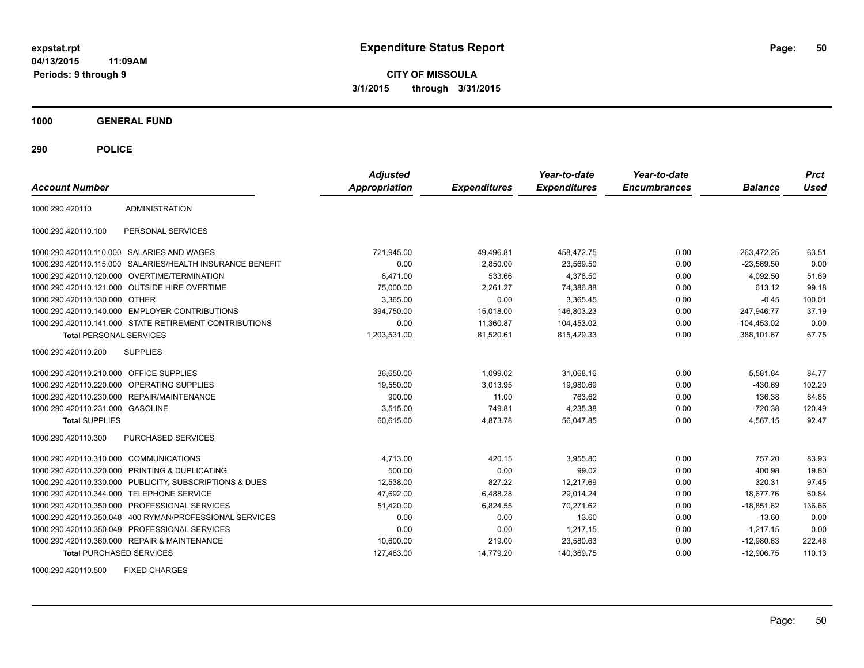**CITY OF MISSOULA 3/1/2015 through 3/31/2015**

**1000 GENERAL FUND**

**290 POLICE**

| <b>Account Number</b>                   |                                                           | <b>Adjusted</b><br><b>Appropriation</b> | <b>Expenditures</b> | Year-to-date<br><b>Expenditures</b> | Year-to-date<br><b>Encumbrances</b> | <b>Balance</b> | <b>Prct</b><br>Used |
|-----------------------------------------|-----------------------------------------------------------|-----------------------------------------|---------------------|-------------------------------------|-------------------------------------|----------------|---------------------|
| 1000.290.420110                         | <b>ADMINISTRATION</b>                                     |                                         |                     |                                     |                                     |                |                     |
| 1000.290.420110.100                     | PERSONAL SERVICES                                         |                                         |                     |                                     |                                     |                |                     |
|                                         | 1000.290.420110.110.000 SALARIES AND WAGES                | 721,945.00                              | 49,496.81           | 458,472.75                          | 0.00                                | 263,472.25     | 63.51               |
|                                         | 1000.290.420110.115.000 SALARIES/HEALTH INSURANCE BENEFIT | 0.00                                    | 2,850.00            | 23,569.50                           | 0.00                                | $-23.569.50$   | 0.00                |
|                                         | 1000.290.420110.120.000 OVERTIME/TERMINATION              | 8.471.00                                | 533.66              | 4.378.50                            | 0.00                                | 4.092.50       | 51.69               |
|                                         | 1000.290.420110.121.000 OUTSIDE HIRE OVERTIME             | 75,000.00                               | 2.261.27            | 74,386.88                           | 0.00                                | 613.12         | 99.18               |
| 1000.290.420110.130.000 OTHER           |                                                           | 3,365.00                                | 0.00                | 3,365.45                            | 0.00                                | $-0.45$        | 100.01              |
|                                         | 1000.290.420110.140.000 EMPLOYER CONTRIBUTIONS            | 394,750.00                              | 15,018.00           | 146,803.23                          | 0.00                                | 247,946.77     | 37.19               |
|                                         | 1000.290.420110.141.000 STATE RETIREMENT CONTRIBUTIONS    | 0.00                                    | 11,360.87           | 104,453.02                          | 0.00                                | $-104,453.02$  | 0.00                |
| <b>Total PERSONAL SERVICES</b>          |                                                           | 1,203,531.00                            | 81,520.61           | 815,429.33                          | 0.00                                | 388.101.67     | 67.75               |
| 1000.290.420110.200                     | <b>SUPPLIES</b>                                           |                                         |                     |                                     |                                     |                |                     |
| 1000.290.420110.210.000 OFFICE SUPPLIES |                                                           | 36,650.00                               | 1,099.02            | 31,068.16                           | 0.00                                | 5,581.84       | 84.77               |
|                                         | 1000.290.420110.220.000 OPERATING SUPPLIES                | 19,550.00                               | 3.013.95            | 19,980.69                           | 0.00                                | $-430.69$      | 102.20              |
|                                         | 1000.290.420110.230.000 REPAIR/MAINTENANCE                | 900.00                                  | 11.00               | 763.62                              | 0.00                                | 136.38         | 84.85               |
| 1000.290.420110.231.000 GASOLINE        |                                                           | 3,515.00                                | 749.81              | 4,235.38                            | 0.00                                | $-720.38$      | 120.49              |
| <b>Total SUPPLIES</b>                   |                                                           | 60,615.00                               | 4,873.78            | 56,047.85                           | 0.00                                | 4,567.15       | 92.47               |
| 1000.290.420110.300                     | PURCHASED SERVICES                                        |                                         |                     |                                     |                                     |                |                     |
| 1000.290.420110.310.000 COMMUNICATIONS  |                                                           | 4,713.00                                | 420.15              | 3,955.80                            | 0.00                                | 757.20         | 83.93               |
|                                         | 1000.290.420110.320.000 PRINTING & DUPLICATING            | 500.00                                  | 0.00                | 99.02                               | 0.00                                | 400.98         | 19.80               |
|                                         | 1000.290.420110.330.000 PUBLICITY, SUBSCRIPTIONS & DUES   | 12,538.00                               | 827.22              | 12.217.69                           | 0.00                                | 320.31         | 97.45               |
| 1000.290.420110.344.000                 | <b>TELEPHONE SERVICE</b>                                  | 47,692.00                               | 6,488.28            | 29,014.24                           | 0.00                                | 18,677.76      | 60.84               |
|                                         | 1000.290.420110.350.000 PROFESSIONAL SERVICES             | 51,420.00                               | 6,824.55            | 70,271.62                           | 0.00                                | $-18,851.62$   | 136.66              |
|                                         | 1000.290.420110.350.048   400 RYMAN/PROFESSIONAL SERVICES | 0.00                                    | 0.00                | 13.60                               | 0.00                                | $-13.60$       | 0.00                |
|                                         | 1000.290.420110.350.049 PROFESSIONAL SERVICES             | 0.00                                    | 0.00                | 1,217.15                            | 0.00                                | $-1,217.15$    | 0.00                |
|                                         | 1000.290.420110.360.000 REPAIR & MAINTENANCE              | 10,600.00                               | 219.00              | 23,580.63                           | 0.00                                | $-12,980.63$   | 222.46              |
| <b>Total PURCHASED SERVICES</b>         |                                                           | 127,463.00                              | 14,779.20           | 140,369.75                          | 0.00                                | $-12,906.75$   | 110.13              |

1000.290.420110.500 FIXED CHARGES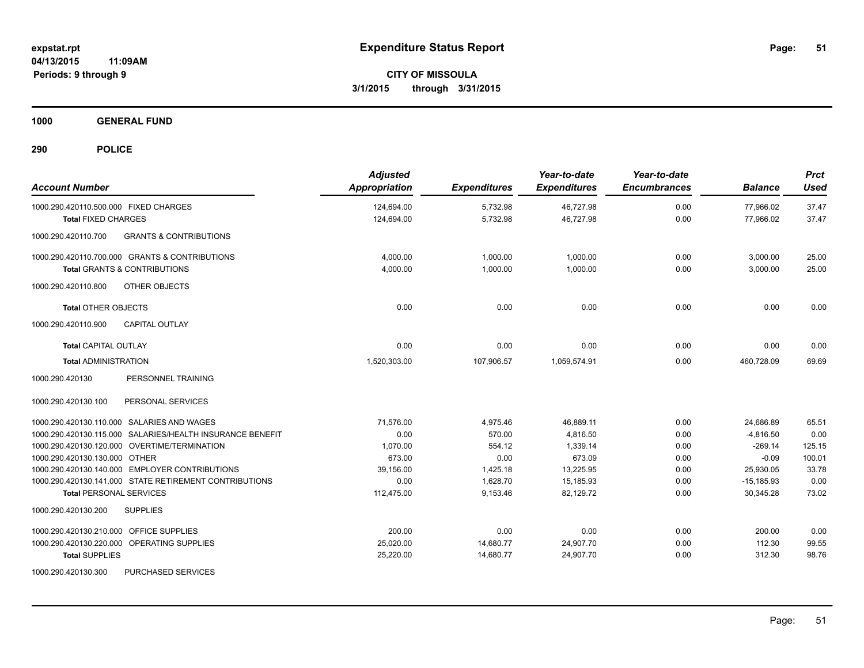**1000 GENERAL FUND**

| <b>Account Number</b>                                     | <b>Adjusted</b><br>Appropriation | <b>Expenditures</b> | Year-to-date<br><b>Expenditures</b> | Year-to-date<br><b>Encumbrances</b> | <b>Balance</b> | <b>Prct</b><br><b>Used</b> |
|-----------------------------------------------------------|----------------------------------|---------------------|-------------------------------------|-------------------------------------|----------------|----------------------------|
| 1000.290.420110.500.000 FIXED CHARGES                     | 124,694.00                       | 5,732.98            | 46,727.98                           | 0.00                                | 77,966.02      | 37.47                      |
| <b>Total FIXED CHARGES</b>                                | 124,694.00                       | 5,732.98            | 46,727.98                           | 0.00                                | 77,966.02      | 37.47                      |
| 1000.290.420110.700<br><b>GRANTS &amp; CONTRIBUTIONS</b>  |                                  |                     |                                     |                                     |                |                            |
| 1000.290.420110.700.000 GRANTS & CONTRIBUTIONS            | 4.000.00                         | 1.000.00            | 1,000.00                            | 0.00                                | 3,000.00       | 25.00                      |
| <b>Total GRANTS &amp; CONTRIBUTIONS</b>                   | 4,000.00                         | 1,000.00            | 1,000.00                            | 0.00                                | 3,000.00       | 25.00                      |
| OTHER OBJECTS<br>1000.290.420110.800                      |                                  |                     |                                     |                                     |                |                            |
| <b>Total OTHER OBJECTS</b>                                | 0.00                             | 0.00                | 0.00                                | 0.00                                | 0.00           | 0.00                       |
| 1000.290.420110.900<br><b>CAPITAL OUTLAY</b>              |                                  |                     |                                     |                                     |                |                            |
| <b>Total CAPITAL OUTLAY</b>                               | 0.00                             | 0.00                | 0.00                                | 0.00                                | 0.00           | 0.00                       |
| <b>Total ADMINISTRATION</b>                               | 1,520,303.00                     | 107,906.57          | 1,059,574.91                        | 0.00                                | 460,728.09     | 69.69                      |
| 1000.290.420130<br>PERSONNEL TRAINING                     |                                  |                     |                                     |                                     |                |                            |
| PERSONAL SERVICES<br>1000.290.420130.100                  |                                  |                     |                                     |                                     |                |                            |
| 1000.290.420130.110.000 SALARIES AND WAGES                | 71.576.00                        | 4,975.46            | 46.889.11                           | 0.00                                | 24,686.89      | 65.51                      |
| 1000.290.420130.115.000 SALARIES/HEALTH INSURANCE BENEFIT | 0.00                             | 570.00              | 4,816.50                            | 0.00                                | $-4,816.50$    | 0.00                       |
| 1000.290.420130.120.000 OVERTIME/TERMINATION              | 1,070.00                         | 554.12              | 1,339.14                            | 0.00                                | $-269.14$      | 125.15                     |
| 1000.290.420130.130.000 OTHER                             | 673.00                           | 0.00                | 673.09                              | 0.00                                | $-0.09$        | 100.01                     |
| 1000.290.420130.140.000 EMPLOYER CONTRIBUTIONS            | 39,156.00                        | 1,425.18            | 13,225.95                           | 0.00                                | 25,930.05      | 33.78                      |
| 1000.290.420130.141.000 STATE RETIREMENT CONTRIBUTIONS    | 0.00                             | 1,628.70            | 15,185.93                           | 0.00                                | $-15,185.93$   | 0.00                       |
| <b>Total PERSONAL SERVICES</b>                            | 112,475.00                       | 9,153.46            | 82,129.72                           | 0.00                                | 30.345.28      | 73.02                      |
| 1000.290.420130.200<br><b>SUPPLIES</b>                    |                                  |                     |                                     |                                     |                |                            |
| 1000.290.420130.210.000<br>OFFICE SUPPLIES                | 200.00                           | 0.00                | 0.00                                | 0.00                                | 200.00         | 0.00                       |
| 1000.290.420130.220.000 OPERATING SUPPLIES                | 25,020.00                        | 14,680.77           | 24,907.70                           | 0.00                                | 112.30         | 99.55                      |
| <b>Total SUPPLIES</b>                                     | 25,220.00                        | 14,680.77           | 24,907.70                           | 0.00                                | 312.30         | 98.76                      |
| 1000.290.420130.300<br>PURCHASED SERVICES                 |                                  |                     |                                     |                                     |                |                            |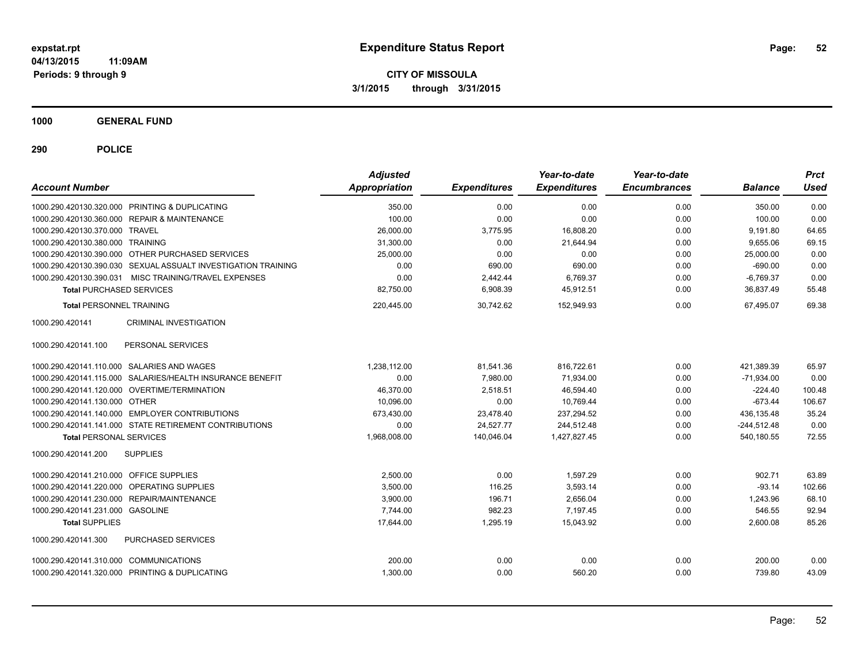**CITY OF MISSOULA 3/1/2015 through 3/31/2015**

**1000 GENERAL FUND**

| <b>Account Number</b>                                         | <b>Adjusted</b><br>Appropriation | <b>Expenditures</b> | Year-to-date<br><b>Expenditures</b> | Year-to-date<br><b>Encumbrances</b> | <b>Balance</b> | <b>Prct</b><br><b>Used</b> |
|---------------------------------------------------------------|----------------------------------|---------------------|-------------------------------------|-------------------------------------|----------------|----------------------------|
| 1000.290.420130.320.000 PRINTING & DUPLICATING                | 350.00                           | 0.00                | 0.00                                | 0.00                                | 350.00         | 0.00                       |
| 1000.290.420130.360.000 REPAIR & MAINTENANCE                  | 100.00                           | 0.00                | 0.00                                | 0.00                                | 100.00         | 0.00                       |
| 1000.290.420130.370.000 TRAVEL                                | 26,000.00                        | 3,775.95            | 16.808.20                           | 0.00                                | 9,191.80       | 64.65                      |
| 1000.290.420130.380.000 TRAINING                              | 31,300.00                        | 0.00                | 21,644.94                           | 0.00                                | 9,655.06       | 69.15                      |
| 1000.290.420130.390.000 OTHER PURCHASED SERVICES              | 25,000.00                        | 0.00                | 0.00                                | 0.00                                | 25,000.00      | 0.00                       |
| 1000.290.420130.390.030 SEXUAL ASSUALT INVESTIGATION TRAINING | 0.00                             | 690.00              | 690.00                              | 0.00                                | $-690.00$      | 0.00                       |
| 1000.290.420130.390.031 MISC TRAINING/TRAVEL EXPENSES         | 0.00                             | 2,442.44            | 6,769.37                            | 0.00                                | $-6,769.37$    | 0.00                       |
| <b>Total PURCHASED SERVICES</b>                               | 82,750.00                        | 6,908.39            | 45,912.51                           | 0.00                                | 36,837.49      | 55.48                      |
| <b>Total PERSONNEL TRAINING</b>                               | 220,445.00                       | 30,742.62           | 152,949.93                          | 0.00                                | 67,495.07      | 69.38                      |
| CRIMINAL INVESTIGATION<br>1000.290.420141                     |                                  |                     |                                     |                                     |                |                            |
| PERSONAL SERVICES<br>1000.290.420141.100                      |                                  |                     |                                     |                                     |                |                            |
| 1000.290.420141.110.000 SALARIES AND WAGES                    | 1,238,112.00                     | 81,541.36           | 816,722.61                          | 0.00                                | 421,389.39     | 65.97                      |
| 1000.290.420141.115.000 SALARIES/HEALTH INSURANCE BENEFIT     | 0.00                             | 7,980.00            | 71,934.00                           | 0.00                                | $-71,934.00$   | 0.00                       |
| 1000.290.420141.120.000 OVERTIME/TERMINATION                  | 46,370.00                        | 2,518.51            | 46,594.40                           | 0.00                                | $-224.40$      | 100.48                     |
| 1000.290.420141.130.000 OTHER                                 | 10,096.00                        | 0.00                | 10,769.44                           | 0.00                                | $-673.44$      | 106.67                     |
| 1000.290.420141.140.000 EMPLOYER CONTRIBUTIONS                | 673,430.00                       | 23,478.40           | 237,294.52                          | 0.00                                | 436,135.48     | 35.24                      |
| 1000.290.420141.141.000 STATE RETIREMENT CONTRIBUTIONS        | 0.00                             | 24.527.77           | 244.512.48                          | 0.00                                | $-244.512.48$  | 0.00                       |
| <b>Total PERSONAL SERVICES</b>                                | 1,968,008.00                     | 140,046.04          | 1,427,827.45                        | 0.00                                | 540,180.55     | 72.55                      |
| 1000.290.420141.200<br><b>SUPPLIES</b>                        |                                  |                     |                                     |                                     |                |                            |
| 1000.290.420141.210.000 OFFICE SUPPLIES                       | 2,500.00                         | 0.00                | 1.597.29                            | 0.00                                | 902.71         | 63.89                      |
| <b>OPERATING SUPPLIES</b><br>1000.290.420141.220.000          | 3,500.00                         | 116.25              | 3,593.14                            | 0.00                                | $-93.14$       | 102.66                     |
| 1000.290.420141.230.000 REPAIR/MAINTENANCE                    | 3.900.00                         | 196.71              | 2,656.04                            | 0.00                                | 1.243.96       | 68.10                      |
| 1000.290.420141.231.000 GASOLINE                              | 7,744.00                         | 982.23              | 7,197.45                            | 0.00                                | 546.55         | 92.94                      |
| <b>Total SUPPLIES</b>                                         | 17,644.00                        | 1,295.19            | 15,043.92                           | 0.00                                | 2,600.08       | 85.26                      |
| PURCHASED SERVICES<br>1000.290.420141.300                     |                                  |                     |                                     |                                     |                |                            |
| 1000.290.420141.310.000 COMMUNICATIONS                        | 200.00                           | 0.00                | 0.00                                | 0.00                                | 200.00         | 0.00                       |
| 1000.290.420141.320.000 PRINTING & DUPLICATING                | 1,300.00                         | 0.00                | 560.20                              | 0.00                                | 739.80         | 43.09                      |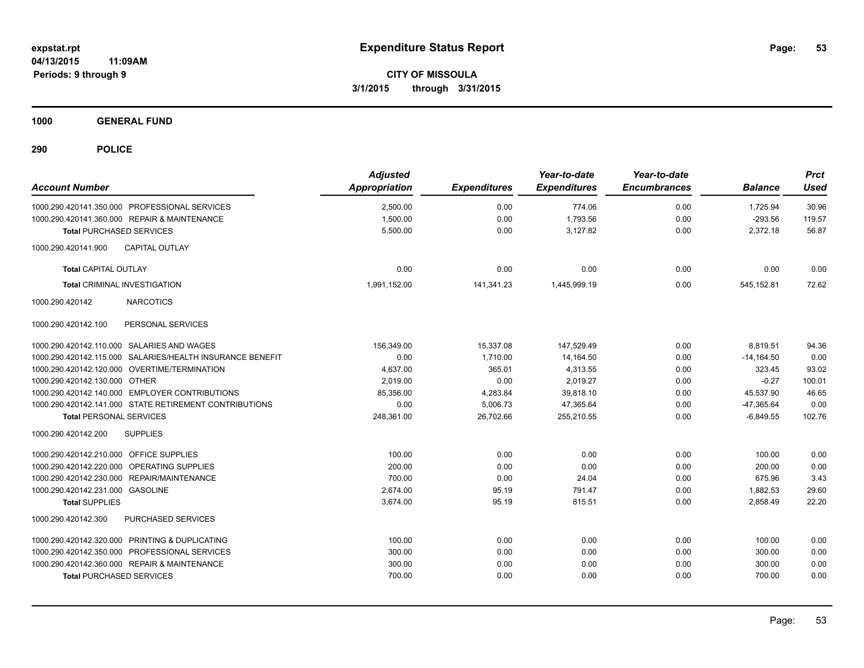**CITY OF MISSOULA 3/1/2015 through 3/31/2015**

**1000 GENERAL FUND**

| <b>Account Number</b>                                     | <b>Adjusted</b><br>Appropriation | <b>Expenditures</b> | Year-to-date<br><b>Expenditures</b> | Year-to-date<br><b>Encumbrances</b> | <b>Balance</b> | <b>Prct</b><br>Used |
|-----------------------------------------------------------|----------------------------------|---------------------|-------------------------------------|-------------------------------------|----------------|---------------------|
| 1000.290.420141.350.000 PROFESSIONAL SERVICES             | 2,500.00                         | 0.00                | 774.06                              | 0.00                                | 1,725.94       | 30.96               |
| 1000.290.420141.360.000 REPAIR & MAINTENANCE              | 1,500.00                         | 0.00                | 1,793.56                            | 0.00                                | $-293.56$      | 119.57              |
| <b>Total PURCHASED SERVICES</b>                           | 5,500.00                         | 0.00                | 3,127.82                            | 0.00                                | 2,372.18       | 56.87               |
| 1000.290.420141.900<br><b>CAPITAL OUTLAY</b>              |                                  |                     |                                     |                                     |                |                     |
| <b>Total CAPITAL OUTLAY</b>                               | 0.00                             | 0.00                | 0.00                                | 0.00                                | 0.00           | 0.00                |
| <b>Total CRIMINAL INVESTIGATION</b>                       | 1,991,152.00                     | 141,341.23          | 1,445,999.19                        | 0.00                                | 545,152.81     | 72.62               |
| 1000.290.420142<br><b>NARCOTICS</b>                       |                                  |                     |                                     |                                     |                |                     |
| PERSONAL SERVICES<br>1000.290.420142.100                  |                                  |                     |                                     |                                     |                |                     |
| 1000.290.420142.110.000 SALARIES AND WAGES                | 156,349.00                       | 15,337.08           | 147,529.49                          | 0.00                                | 8,819.51       | 94.36               |
| 1000.290.420142.115.000 SALARIES/HEALTH INSURANCE BENEFIT | 0.00                             | 1,710.00            | 14,164.50                           | 0.00                                | $-14,164.50$   | 0.00                |
| 1000.290.420142.120.000 OVERTIME/TERMINATION              | 4,637.00                         | 365.01              | 4,313.55                            | 0.00                                | 323.45         | 93.02               |
| 1000.290.420142.130.000 OTHER                             | 2,019.00                         | 0.00                | 2,019.27                            | 0.00                                | $-0.27$        | 100.01              |
| 1000.290.420142.140.000 EMPLOYER CONTRIBUTIONS            | 85,356.00                        | 4,283.84            | 39,818.10                           | 0.00                                | 45,537.90      | 46.65               |
| 1000.290.420142.141.000 STATE RETIREMENT CONTRIBUTIONS    | 0.00                             | 5,006.73            | 47,365.64                           | 0.00                                | $-47,365.64$   | 0.00                |
| <b>Total PERSONAL SERVICES</b>                            | 248,361.00                       | 26,702.66           | 255,210.55                          | 0.00                                | $-6,849.55$    | 102.76              |
| 1000.290.420142.200<br><b>SUPPLIES</b>                    |                                  |                     |                                     |                                     |                |                     |
| 1000.290.420142.210.000 OFFICE SUPPLIES                   | 100.00                           | 0.00                | 0.00                                | 0.00                                | 100.00         | 0.00                |
| 1000.290.420142.220.000 OPERATING SUPPLIES                | 200.00                           | 0.00                | 0.00                                | 0.00                                | 200.00         | 0.00                |
| 1000.290.420142.230.000<br>REPAIR/MAINTENANCE             | 700.00                           | 0.00                | 24.04                               | 0.00                                | 675.96         | 3.43                |
| 1000.290.420142.231.000 GASOLINE                          | 2.674.00                         | 95.19               | 791.47                              | 0.00                                | 1,882.53       | 29.60               |
| <b>Total SUPPLIES</b>                                     | 3,674.00                         | 95.19               | 815.51                              | 0.00                                | 2,858.49       | 22.20               |
| PURCHASED SERVICES<br>1000.290.420142.300                 |                                  |                     |                                     |                                     |                |                     |
| 1000.290.420142.320.000 PRINTING & DUPLICATING            | 100.00                           | 0.00                | 0.00                                | 0.00                                | 100.00         | 0.00                |
| 1000.290.420142.350.000 PROFESSIONAL SERVICES             | 300.00                           | 0.00                | 0.00                                | 0.00                                | 300.00         | 0.00                |
| 1000.290.420142.360.000 REPAIR & MAINTENANCE              | 300.00                           | 0.00                | 0.00                                | 0.00                                | 300.00         | 0.00                |
| <b>Total PURCHASED SERVICES</b>                           | 700.00                           | 0.00                | 0.00                                | 0.00                                | 700.00         | 0.00                |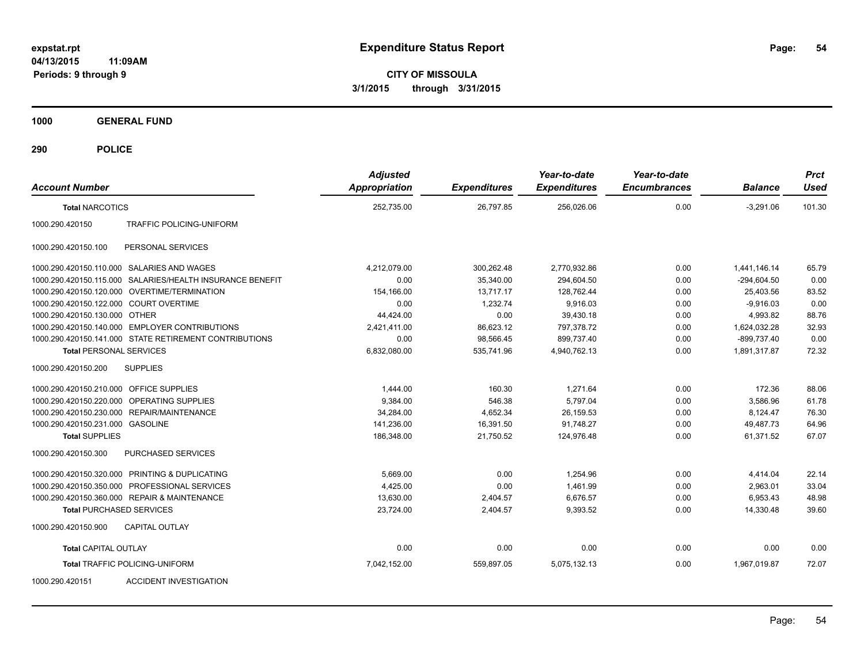**CITY OF MISSOULA 3/1/2015 through 3/31/2015**

**1000 GENERAL FUND**

| <b>Account Number</b>                                     |                                 | <b>Adjusted</b><br><b>Appropriation</b> | <b>Expenditures</b> | Year-to-date<br><b>Expenditures</b> | Year-to-date<br><b>Encumbrances</b> | <b>Balance</b> | <b>Prct</b><br><b>Used</b> |
|-----------------------------------------------------------|---------------------------------|-----------------------------------------|---------------------|-------------------------------------|-------------------------------------|----------------|----------------------------|
| <b>Total NARCOTICS</b>                                    |                                 | 252,735.00                              | 26,797.85           | 256,026.06                          | 0.00                                | $-3,291.06$    | 101.30                     |
| 1000.290.420150                                           | <b>TRAFFIC POLICING-UNIFORM</b> |                                         |                     |                                     |                                     |                |                            |
| 1000.290.420150.100<br>PERSONAL SERVICES                  |                                 |                                         |                     |                                     |                                     |                |                            |
| 1000.290.420150.110.000 SALARIES AND WAGES                |                                 | 4,212,079.00                            | 300,262.48          | 2,770,932.86                        | 0.00                                | 1.441.146.14   | 65.79                      |
| 1000.290.420150.115.000 SALARIES/HEALTH INSURANCE BENEFIT |                                 | 0.00                                    | 35,340.00           | 294,604.50                          | 0.00                                | $-294,604.50$  | 0.00                       |
| 1000.290.420150.120.000 OVERTIME/TERMINATION              |                                 | 154,166.00                              | 13,717.17           | 128,762.44                          | 0.00                                | 25,403.56      | 83.52                      |
| 1000.290.420150.122.000 COURT OVERTIME                    |                                 | 0.00                                    | 1,232.74            | 9,916.03                            | 0.00                                | $-9.916.03$    | 0.00                       |
| 1000.290.420150.130.000 OTHER                             |                                 | 44,424.00                               | 0.00                | 39,430.18                           | 0.00                                | 4,993.82       | 88.76                      |
| 1000.290.420150.140.000 EMPLOYER CONTRIBUTIONS            |                                 | 2,421,411.00                            | 86,623.12           | 797,378.72                          | 0.00                                | 1,624,032.28   | 32.93                      |
| 1000.290.420150.141.000 STATE RETIREMENT CONTRIBUTIONS    |                                 | 0.00                                    | 98,566.45           | 899.737.40                          | 0.00                                | -899,737.40    | 0.00                       |
| <b>Total PERSONAL SERVICES</b>                            |                                 | 6,832,080.00                            | 535.741.96          | 4.940.762.13                        | 0.00                                | 1,891,317.87   | 72.32                      |
| 1000.290.420150.200<br><b>SUPPLIES</b>                    |                                 |                                         |                     |                                     |                                     |                |                            |
| 1000.290.420150.210.000 OFFICE SUPPLIES                   |                                 | 1,444.00                                | 160.30              | 1.271.64                            | 0.00                                | 172.36         | 88.06                      |
| 1000.290.420150.220.000                                   | OPERATING SUPPLIES              | 9,384.00                                | 546.38              | 5.797.04                            | 0.00                                | 3.586.96       | 61.78                      |
| 1000.290.420150.230.000                                   | <b>REPAIR/MAINTENANCE</b>       | 34,284.00                               | 4,652.34            | 26,159.53                           | 0.00                                | 8,124.47       | 76.30                      |
| 1000.290.420150.231.000 GASOLINE                          |                                 | 141,236.00                              | 16,391.50           | 91,748.27                           | 0.00                                | 49,487.73      | 64.96                      |
| <b>Total SUPPLIES</b>                                     |                                 | 186,348.00                              | 21,750.52           | 124,976.48                          | 0.00                                | 61,371.52      | 67.07                      |
| 1000.290.420150.300                                       | <b>PURCHASED SERVICES</b>       |                                         |                     |                                     |                                     |                |                            |
| 1000.290.420150.320.000 PRINTING & DUPLICATING            |                                 | 5,669.00                                | 0.00                | 1,254.96                            | 0.00                                | 4,414.04       | 22.14                      |
| 1000.290.420150.350.000 PROFESSIONAL SERVICES             |                                 | 4,425.00                                | 0.00                | 1.461.99                            | 0.00                                | 2,963.01       | 33.04                      |
| 1000.290.420150.360.000 REPAIR & MAINTENANCE              |                                 | 13,630.00                               | 2,404.57            | 6,676.57                            | 0.00                                | 6,953.43       | 48.98                      |
| <b>Total PURCHASED SERVICES</b>                           |                                 | 23,724.00                               | 2,404.57            | 9,393.52                            | 0.00                                | 14,330.48      | 39.60                      |
| 1000.290.420150.900<br><b>CAPITAL OUTLAY</b>              |                                 |                                         |                     |                                     |                                     |                |                            |
| <b>Total CAPITAL OUTLAY</b>                               |                                 | 0.00                                    | 0.00                | 0.00                                | 0.00                                | 0.00           | 0.00                       |
| <b>Total TRAFFIC POLICING-UNIFORM</b>                     |                                 | 7,042,152.00                            | 559,897.05          | 5,075,132.13                        | 0.00                                | 1,967,019.87   | 72.07                      |
| 1000.290.420151                                           | <b>ACCIDENT INVESTIGATION</b>   |                                         |                     |                                     |                                     |                |                            |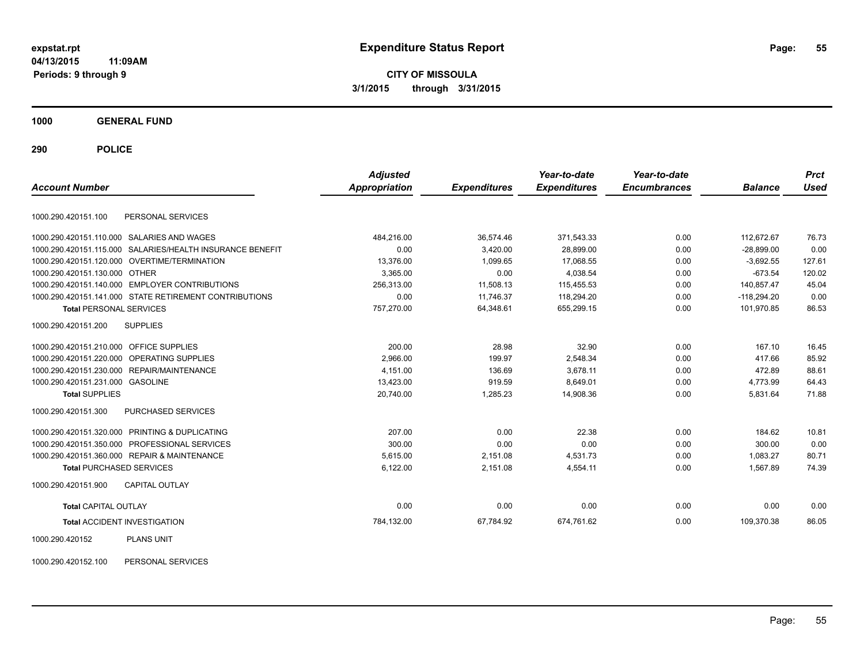**CITY OF MISSOULA 3/1/2015 through 3/31/2015**

**1000 GENERAL FUND**

**290 POLICE**

|                                         |                                                           | <b>Adjusted</b>      |                     | Year-to-date        | Year-to-date        |                | <b>Prct</b> |
|-----------------------------------------|-----------------------------------------------------------|----------------------|---------------------|---------------------|---------------------|----------------|-------------|
| <b>Account Number</b>                   |                                                           | <b>Appropriation</b> | <b>Expenditures</b> | <b>Expenditures</b> | <b>Encumbrances</b> | <b>Balance</b> | <b>Used</b> |
| 1000.290.420151.100                     | PERSONAL SERVICES                                         |                      |                     |                     |                     |                |             |
|                                         | 1000.290.420151.110.000 SALARIES AND WAGES                | 484,216.00           | 36,574.46           | 371,543.33          | 0.00                | 112,672.67     | 76.73       |
|                                         | 1000.290.420151.115.000 SALARIES/HEALTH INSURANCE BENEFIT | 0.00                 | 3,420.00            | 28,899.00           | 0.00                | $-28,899.00$   | 0.00        |
|                                         | 1000.290.420151.120.000 OVERTIME/TERMINATION              | 13.376.00            | 1.099.65            | 17.068.55           | 0.00                | $-3.692.55$    | 127.61      |
| 1000.290.420151.130.000 OTHER           |                                                           | 3.365.00             | 0.00                | 4.038.54            | 0.00                | $-673.54$      | 120.02      |
|                                         | 1000.290.420151.140.000 EMPLOYER CONTRIBUTIONS            | 256,313.00           | 11,508.13           | 115,455.53          | 0.00                | 140,857.47     | 45.04       |
|                                         | 1000.290.420151.141.000 STATE RETIREMENT CONTRIBUTIONS    | 0.00                 | 11.746.37           | 118,294.20          | 0.00                | $-118.294.20$  | 0.00        |
| <b>Total PERSONAL SERVICES</b>          |                                                           | 757,270.00           | 64,348.61           | 655,299.15          | 0.00                | 101,970.85     | 86.53       |
| 1000.290.420151.200                     | <b>SUPPLIES</b>                                           |                      |                     |                     |                     |                |             |
| 1000.290.420151.210.000 OFFICE SUPPLIES |                                                           | 200.00               | 28.98               | 32.90               | 0.00                | 167.10         | 16.45       |
|                                         | 1000.290.420151.220.000 OPERATING SUPPLIES                | 2,966.00             | 199.97              | 2,548.34            | 0.00                | 417.66         | 85.92       |
|                                         | 1000.290.420151.230.000 REPAIR/MAINTENANCE                | 4,151.00             | 136.69              | 3,678.11            | 0.00                | 472.89         | 88.61       |
| 1000.290.420151.231.000 GASOLINE        |                                                           | 13,423.00            | 919.59              | 8,649.01            | 0.00                | 4,773.99       | 64.43       |
| <b>Total SUPPLIES</b>                   |                                                           | 20,740.00            | 1,285.23            | 14,908.36           | 0.00                | 5,831.64       | 71.88       |
| 1000.290.420151.300                     | <b>PURCHASED SERVICES</b>                                 |                      |                     |                     |                     |                |             |
|                                         | 1000.290.420151.320.000 PRINTING & DUPLICATING            | 207.00               | 0.00                | 22.38               | 0.00                | 184.62         | 10.81       |
|                                         | 1000.290.420151.350.000 PROFESSIONAL SERVICES             | 300.00               | 0.00                | 0.00                | 0.00                | 300.00         | 0.00        |
|                                         | 1000.290.420151.360.000 REPAIR & MAINTENANCE              | 5,615.00             | 2,151.08            | 4,531.73            | 0.00                | 1.083.27       | 80.71       |
| <b>Total PURCHASED SERVICES</b>         |                                                           | 6,122.00             | 2,151.08            | 4,554.11            | 0.00                | 1,567.89       | 74.39       |
| 1000.290.420151.900                     | <b>CAPITAL OUTLAY</b>                                     |                      |                     |                     |                     |                |             |
| <b>Total CAPITAL OUTLAY</b>             |                                                           | 0.00                 | 0.00                | 0.00                | 0.00                | 0.00           | 0.00        |
| <b>Total ACCIDENT INVESTIGATION</b>     |                                                           | 784,132.00           | 67,784.92           | 674,761.62          | 0.00                | 109,370.38     | 86.05       |
| 1000.290.420152                         | <b>PLANS UNIT</b>                                         |                      |                     |                     |                     |                |             |

1000.290.420152.100 PERSONAL SERVICES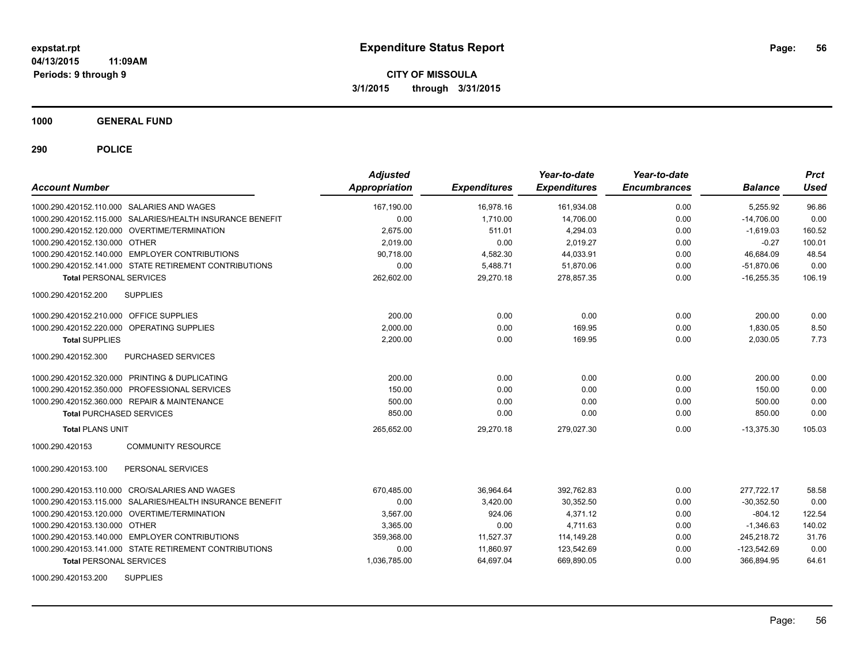**CITY OF MISSOULA 3/1/2015 through 3/31/2015**

**1000 GENERAL FUND**

| <b>Account Number</b>                                     | <b>Adjusted</b><br><b>Appropriation</b> | <b>Expenditures</b> | Year-to-date<br><b>Expenditures</b> | Year-to-date<br><b>Encumbrances</b> | <b>Balance</b> | <b>Prct</b><br><b>Used</b> |
|-----------------------------------------------------------|-----------------------------------------|---------------------|-------------------------------------|-------------------------------------|----------------|----------------------------|
| 1000.290.420152.110.000 SALARIES AND WAGES                | 167.190.00                              | 16.978.16           | 161,934.08                          | 0.00                                | 5.255.92       | 96.86                      |
| 1000.290.420152.115.000 SALARIES/HEALTH INSURANCE BENEFIT | 0.00                                    | 1,710.00            | 14,706.00                           | 0.00                                | $-14,706.00$   | 0.00                       |
| 1000.290.420152.120.000 OVERTIME/TERMINATION              | 2,675.00                                | 511.01              | 4,294.03                            | 0.00                                | $-1,619.03$    | 160.52                     |
| 1000.290.420152.130.000 OTHER                             | 2.019.00                                | 0.00                | 2,019.27                            | 0.00                                | $-0.27$        | 100.01                     |
| 1000.290.420152.140.000 EMPLOYER CONTRIBUTIONS            | 90.718.00                               | 4,582.30            | 44,033.91                           | 0.00                                | 46.684.09      | 48.54                      |
| 1000.290.420152.141.000 STATE RETIREMENT CONTRIBUTIONS    | 0.00                                    | 5,488.71            | 51,870.06                           | 0.00                                | $-51,870.06$   | 0.00                       |
| <b>Total PERSONAL SERVICES</b>                            | 262,602.00                              | 29,270.18           | 278,857.35                          | 0.00                                | $-16,255.35$   | 106.19                     |
| 1000.290.420152.200<br><b>SUPPLIES</b>                    |                                         |                     |                                     |                                     |                |                            |
| 1000.290.420152.210.000 OFFICE SUPPLIES                   | 200.00                                  | 0.00                | 0.00                                | 0.00                                | 200.00         | 0.00                       |
| 1000.290.420152.220.000 OPERATING SUPPLIES                | 2.000.00                                | 0.00                | 169.95                              | 0.00                                | 1,830.05       | 8.50                       |
| <b>Total SUPPLIES</b>                                     | 2,200.00                                | 0.00                | 169.95                              | 0.00                                | 2,030.05       | 7.73                       |
| 1000.290.420152.300<br>PURCHASED SERVICES                 |                                         |                     |                                     |                                     |                |                            |
| 1000.290.420152.320.000 PRINTING & DUPLICATING            | 200.00                                  | 0.00                | 0.00                                | 0.00                                | 200.00         | 0.00                       |
| 1000.290.420152.350.000 PROFESSIONAL SERVICES             | 150.00                                  | 0.00                | 0.00                                | 0.00                                | 150.00         | 0.00                       |
| 1000.290.420152.360.000 REPAIR & MAINTENANCE              | 500.00                                  | 0.00                | 0.00                                | 0.00                                | 500.00         | 0.00                       |
| <b>Total PURCHASED SERVICES</b>                           | 850.00                                  | 0.00                | 0.00                                | 0.00                                | 850.00         | 0.00                       |
| <b>Total PLANS UNIT</b>                                   | 265,652.00                              | 29,270.18           | 279,027.30                          | 0.00                                | $-13,375.30$   | 105.03                     |
| <b>COMMUNITY RESOURCE</b><br>1000.290.420153              |                                         |                     |                                     |                                     |                |                            |
| PERSONAL SERVICES<br>1000.290.420153.100                  |                                         |                     |                                     |                                     |                |                            |
| 1000.290.420153.110.000 CRO/SALARIES AND WAGES            | 670,485.00                              | 36,964.64           | 392,762.83                          | 0.00                                | 277,722.17     | 58.58                      |
| 1000.290.420153.115.000 SALARIES/HEALTH INSURANCE BENEFIT | 0.00                                    | 3,420.00            | 30,352.50                           | 0.00                                | $-30,352.50$   | 0.00                       |
| 1000.290.420153.120.000 OVERTIME/TERMINATION              | 3.567.00                                | 924.06              | 4.371.12                            | 0.00                                | $-804.12$      | 122.54                     |
| 1000.290.420153.130.000 OTHER                             | 3.365.00                                | 0.00                | 4.711.63                            | 0.00                                | $-1,346.63$    | 140.02                     |
| 1000.290.420153.140.000 EMPLOYER CONTRIBUTIONS            | 359,368.00                              | 11,527.37           | 114,149.28                          | 0.00                                | 245,218.72     | 31.76                      |
| 1000.290.420153.141.000 STATE RETIREMENT CONTRIBUTIONS    | 0.00                                    | 11,860.97           | 123,542.69                          | 0.00                                | $-123,542.69$  | 0.00                       |
| <b>Total PERSONAL SERVICES</b>                            | 1,036,785.00                            | 64,697.04           | 669,890.05                          | 0.00                                | 366,894.95     | 64.61                      |
| <b>SUPPLIES</b><br>1000.290.420153.200                    |                                         |                     |                                     |                                     |                |                            |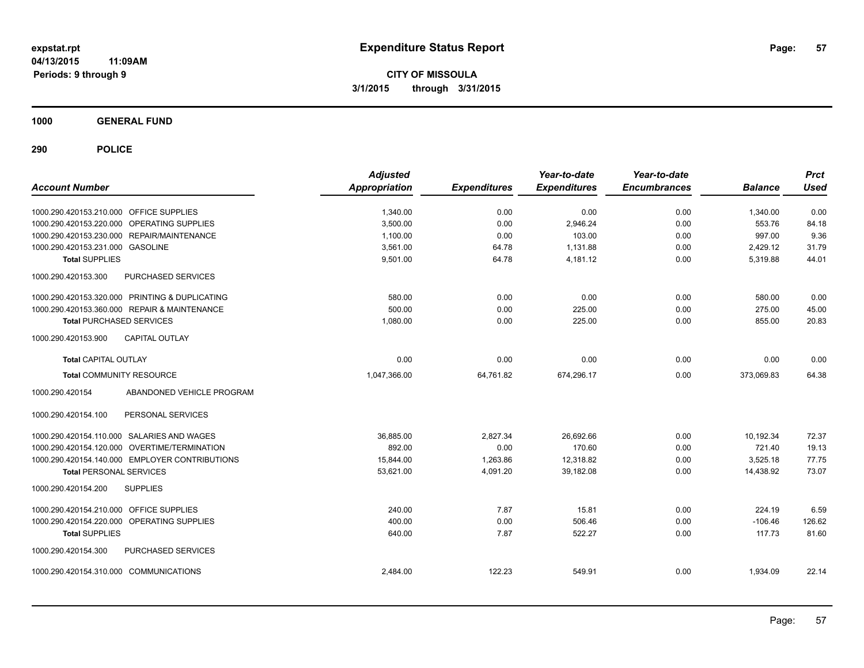**CITY OF MISSOULA 3/1/2015 through 3/31/2015**

**1000 GENERAL FUND**

| <b>Account Number</b>                   |                                                | <b>Adjusted</b><br><b>Appropriation</b> | <b>Expenditures</b> | Year-to-date<br><b>Expenditures</b> | Year-to-date<br><b>Encumbrances</b> | <b>Balance</b> | <b>Prct</b><br><b>Used</b> |
|-----------------------------------------|------------------------------------------------|-----------------------------------------|---------------------|-------------------------------------|-------------------------------------|----------------|----------------------------|
| 1000.290.420153.210.000 OFFICE SUPPLIES |                                                | 1,340.00                                | 0.00                | 0.00                                | 0.00                                | 1,340.00       | 0.00                       |
|                                         | 1000.290.420153.220.000 OPERATING SUPPLIES     | 3,500.00                                | 0.00                | 2,946.24                            | 0.00                                | 553.76         | 84.18                      |
|                                         | 1000.290.420153.230.000 REPAIR/MAINTENANCE     | 1,100.00                                | 0.00                | 103.00                              | 0.00                                | 997.00         | 9.36                       |
| 1000.290.420153.231.000 GASOLINE        |                                                | 3,561.00                                | 64.78               | 1,131.88                            | 0.00                                | 2,429.12       | 31.79                      |
| <b>Total SUPPLIES</b>                   |                                                | 9,501.00                                | 64.78               | 4,181.12                            | 0.00                                | 5,319.88       | 44.01                      |
| 1000.290.420153.300                     | PURCHASED SERVICES                             |                                         |                     |                                     |                                     |                |                            |
|                                         | 1000.290.420153.320.000 PRINTING & DUPLICATING | 580.00                                  | 0.00                | 0.00                                | 0.00                                | 580.00         | 0.00                       |
|                                         | 1000.290.420153.360.000 REPAIR & MAINTENANCE   | 500.00                                  | 0.00                | 225.00                              | 0.00                                | 275.00         | 45.00                      |
| <b>Total PURCHASED SERVICES</b>         |                                                | 1,080.00                                | 0.00                | 225.00                              | 0.00                                | 855.00         | 20.83                      |
| 1000.290.420153.900                     | <b>CAPITAL OUTLAY</b>                          |                                         |                     |                                     |                                     |                |                            |
| <b>Total CAPITAL OUTLAY</b>             |                                                | 0.00                                    | 0.00                | 0.00                                | 0.00                                | 0.00           | 0.00                       |
| <b>Total COMMUNITY RESOURCE</b>         |                                                | 1,047,366.00                            | 64,761.82           | 674,296.17                          | 0.00                                | 373,069.83     | 64.38                      |
| 1000.290.420154                         | ABANDONED VEHICLE PROGRAM                      |                                         |                     |                                     |                                     |                |                            |
| 1000.290.420154.100                     | PERSONAL SERVICES                              |                                         |                     |                                     |                                     |                |                            |
|                                         | 1000.290.420154.110.000 SALARIES AND WAGES     | 36,885.00                               | 2,827.34            | 26,692.66                           | 0.00                                | 10,192.34      | 72.37                      |
|                                         | 1000.290.420154.120.000 OVERTIME/TERMINATION   | 892.00                                  | 0.00                | 170.60                              | 0.00                                | 721.40         | 19.13                      |
|                                         | 1000.290.420154.140.000 EMPLOYER CONTRIBUTIONS | 15,844.00                               | 1,263.86            | 12,318.82                           | 0.00                                | 3,525.18       | 77.75                      |
| <b>Total PERSONAL SERVICES</b>          |                                                | 53,621.00                               | 4,091.20            | 39,182.08                           | 0.00                                | 14,438.92      | 73.07                      |
| 1000.290.420154.200                     | <b>SUPPLIES</b>                                |                                         |                     |                                     |                                     |                |                            |
| 1000.290.420154.210.000 OFFICE SUPPLIES |                                                | 240.00                                  | 7.87                | 15.81                               | 0.00                                | 224.19         | 6.59                       |
| 1000.290.420154.220.000                 | OPERATING SUPPLIES                             | 400.00                                  | 0.00                | 506.46                              | 0.00                                | $-106.46$      | 126.62                     |
| <b>Total SUPPLIES</b>                   |                                                | 640.00                                  | 7.87                | 522.27                              | 0.00                                | 117.73         | 81.60                      |
| 1000.290.420154.300                     | PURCHASED SERVICES                             |                                         |                     |                                     |                                     |                |                            |
| 1000.290.420154.310.000 COMMUNICATIONS  |                                                | 2.484.00                                | 122.23              | 549.91                              | 0.00                                | 1,934.09       | 22.14                      |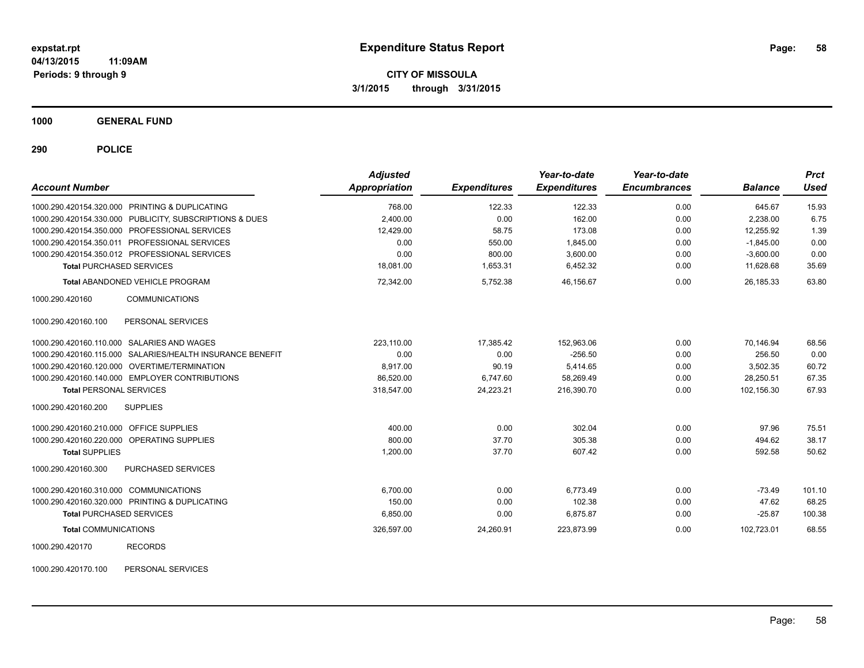**CITY OF MISSOULA 3/1/2015 through 3/31/2015**

**1000 GENERAL FUND**

**290 POLICE**

| <b>Account Number</b>                                     |                       | <b>Adjusted</b><br>Appropriation | <b>Expenditures</b> | Year-to-date<br><b>Expenditures</b> | Year-to-date<br><b>Encumbrances</b> | <b>Balance</b> | <b>Prct</b><br><b>Used</b> |
|-----------------------------------------------------------|-----------------------|----------------------------------|---------------------|-------------------------------------|-------------------------------------|----------------|----------------------------|
| 1000.290.420154.320.000 PRINTING & DUPLICATING            |                       | 768.00                           | 122.33              | 122.33                              | 0.00                                | 645.67         | 15.93                      |
| 1000.290.420154.330.000 PUBLICITY, SUBSCRIPTIONS & DUES   |                       | 2,400.00                         | 0.00                | 162.00                              | 0.00                                | 2,238.00       | 6.75                       |
| 1000.290.420154.350.000 PROFESSIONAL SERVICES             |                       | 12,429.00                        | 58.75               | 173.08                              | 0.00                                | 12,255.92      | 1.39                       |
| 1000.290.420154.350.011 PROFESSIONAL SERVICES             |                       | 0.00                             | 550.00              | 1,845.00                            | 0.00                                | $-1,845.00$    | 0.00                       |
| 1000.290.420154.350.012 PROFESSIONAL SERVICES             |                       | 0.00                             | 800.00              | 3,600.00                            | 0.00                                | $-3,600.00$    | 0.00                       |
| <b>Total PURCHASED SERVICES</b>                           |                       | 18,081.00                        | 1,653.31            | 6,452.32                            | 0.00                                | 11,628.68      | 35.69                      |
| <b>Total ABANDONED VEHICLE PROGRAM</b>                    |                       | 72,342.00                        | 5,752.38            | 46,156.67                           | 0.00                                | 26,185.33      | 63.80                      |
| 1000.290.420160                                           | <b>COMMUNICATIONS</b> |                                  |                     |                                     |                                     |                |                            |
| 1000.290.420160.100                                       | PERSONAL SERVICES     |                                  |                     |                                     |                                     |                |                            |
| 1000.290.420160.110.000 SALARIES AND WAGES                |                       | 223.110.00                       | 17.385.42           | 152.963.06                          | 0.00                                | 70.146.94      | 68.56                      |
| 1000.290.420160.115.000 SALARIES/HEALTH INSURANCE BENEFIT |                       | 0.00                             | 0.00                | $-256.50$                           | 0.00                                | 256.50         | 0.00                       |
| 1000.290.420160.120.000 OVERTIME/TERMINATION              |                       | 8,917.00                         | 90.19               | 5,414.65                            | 0.00                                | 3,502.35       | 60.72                      |
| 1000.290.420160.140.000 EMPLOYER CONTRIBUTIONS            |                       | 86,520.00                        | 6,747.60            | 58,269.49                           | 0.00                                | 28,250.51      | 67.35                      |
| <b>Total PERSONAL SERVICES</b>                            |                       | 318,547.00                       | 24,223.21           | 216,390.70                          | 0.00                                | 102,156.30     | 67.93                      |
| <b>SUPPLIES</b><br>1000.290.420160.200                    |                       |                                  |                     |                                     |                                     |                |                            |
| 1000.290.420160.210.000 OFFICE SUPPLIES                   |                       | 400.00                           | 0.00                | 302.04                              | 0.00                                | 97.96          | 75.51                      |
| 1000.290.420160.220.000 OPERATING SUPPLIES                |                       | 800.00                           | 37.70               | 305.38                              | 0.00                                | 494.62         | 38.17                      |
| <b>Total SUPPLIES</b>                                     |                       | 1,200.00                         | 37.70               | 607.42                              | 0.00                                | 592.58         | 50.62                      |
| 1000.290.420160.300                                       | PURCHASED SERVICES    |                                  |                     |                                     |                                     |                |                            |
| 1000.290.420160.310.000 COMMUNICATIONS                    |                       | 6.700.00                         | 0.00                | 6.773.49                            | 0.00                                | $-73.49$       | 101.10                     |
| 1000.290.420160.320.000 PRINTING & DUPLICATING            |                       | 150.00                           | 0.00                | 102.38                              | 0.00                                | 47.62          | 68.25                      |
| <b>Total PURCHASED SERVICES</b>                           |                       | 6,850.00                         | 0.00                | 6,875.87                            | 0.00                                | $-25.87$       | 100.38                     |
| <b>Total COMMUNICATIONS</b>                               |                       | 326,597.00                       | 24,260.91           | 223,873.99                          | 0.00                                | 102,723.01     | 68.55                      |
| 1000.290.420170<br><b>RECORDS</b>                         |                       |                                  |                     |                                     |                                     |                |                            |

1000.290.420170.100 PERSONAL SERVICES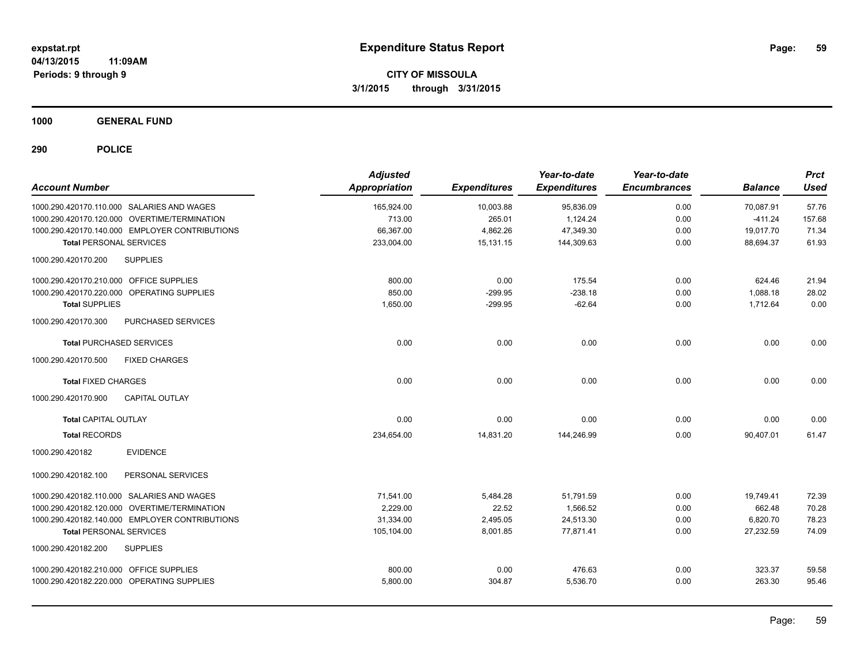**CITY OF MISSOULA 3/1/2015 through 3/31/2015**

**1000 GENERAL FUND**

| <b>Account Number</b>                          | <b>Adjusted</b><br>Appropriation | <b>Expenditures</b> | Year-to-date<br><b>Expenditures</b> | Year-to-date<br><b>Encumbrances</b> | <b>Balance</b> | <b>Prct</b><br><b>Used</b> |
|------------------------------------------------|----------------------------------|---------------------|-------------------------------------|-------------------------------------|----------------|----------------------------|
| 1000.290.420170.110.000 SALARIES AND WAGES     | 165.924.00                       | 10,003.88           | 95,836.09                           | 0.00                                | 70.087.91      | 57.76                      |
| 1000.290.420170.120.000 OVERTIME/TERMINATION   | 713.00                           | 265.01              | 1,124.24                            | 0.00                                | $-411.24$      | 157.68                     |
| 1000.290.420170.140.000 EMPLOYER CONTRIBUTIONS | 66,367.00                        | 4,862.26            | 47,349.30                           | 0.00                                | 19,017.70      | 71.34                      |
| <b>Total PERSONAL SERVICES</b>                 | 233,004.00                       | 15,131.15           | 144,309.63                          | 0.00                                | 88,694.37      | 61.93                      |
| <b>SUPPLIES</b><br>1000.290.420170.200         |                                  |                     |                                     |                                     |                |                            |
| 1000.290.420170.210.000 OFFICE SUPPLIES        | 800.00                           | 0.00                | 175.54                              | 0.00                                | 624.46         | 21.94                      |
| 1000.290.420170.220.000 OPERATING SUPPLIES     | 850.00                           | $-299.95$           | $-238.18$                           | 0.00                                | 1,088.18       | 28.02                      |
| <b>Total SUPPLIES</b>                          | 1,650.00                         | $-299.95$           | $-62.64$                            | 0.00                                | 1,712.64       | 0.00                       |
| 1000.290.420170.300<br>PURCHASED SERVICES      |                                  |                     |                                     |                                     |                |                            |
| <b>Total PURCHASED SERVICES</b>                | 0.00                             | 0.00                | 0.00                                | 0.00                                | 0.00           | 0.00                       |
| <b>FIXED CHARGES</b><br>1000.290.420170.500    |                                  |                     |                                     |                                     |                |                            |
| <b>Total FIXED CHARGES</b>                     | 0.00                             | 0.00                | 0.00                                | 0.00                                | 0.00           | 0.00                       |
| 1000.290.420170.900<br>CAPITAL OUTLAY          |                                  |                     |                                     |                                     |                |                            |
| <b>Total CAPITAL OUTLAY</b>                    | 0.00                             | 0.00                | 0.00                                | 0.00                                | 0.00           | 0.00                       |
| <b>Total RECORDS</b>                           | 234,654.00                       | 14,831.20           | 144,246.99                          | 0.00                                | 90,407.01      | 61.47                      |
| <b>EVIDENCE</b><br>1000.290.420182             |                                  |                     |                                     |                                     |                |                            |
| 1000.290.420182.100<br>PERSONAL SERVICES       |                                  |                     |                                     |                                     |                |                            |
| 1000.290.420182.110.000 SALARIES AND WAGES     | 71,541.00                        | 5,484.28            | 51,791.59                           | 0.00                                | 19,749.41      | 72.39                      |
| 1000.290.420182.120.000 OVERTIME/TERMINATION   | 2,229.00                         | 22.52               | 1,566.52                            | 0.00                                | 662.48         | 70.28                      |
| 1000.290.420182.140.000 EMPLOYER CONTRIBUTIONS | 31,334.00                        | 2,495.05            | 24,513.30                           | 0.00                                | 6,820.70       | 78.23                      |
| <b>Total PERSONAL SERVICES</b>                 | 105,104.00                       | 8,001.85            | 77,871.41                           | 0.00                                | 27,232.59      | 74.09                      |
| 1000.290.420182.200<br><b>SUPPLIES</b>         |                                  |                     |                                     |                                     |                |                            |
| 1000.290.420182.210.000 OFFICE SUPPLIES        | 800.00                           | 0.00                | 476.63                              | 0.00                                | 323.37         | 59.58                      |
| 1000.290.420182.220.000 OPERATING SUPPLIES     | 5,800.00                         | 304.87              | 5,536.70                            | 0.00                                | 263.30         | 95.46                      |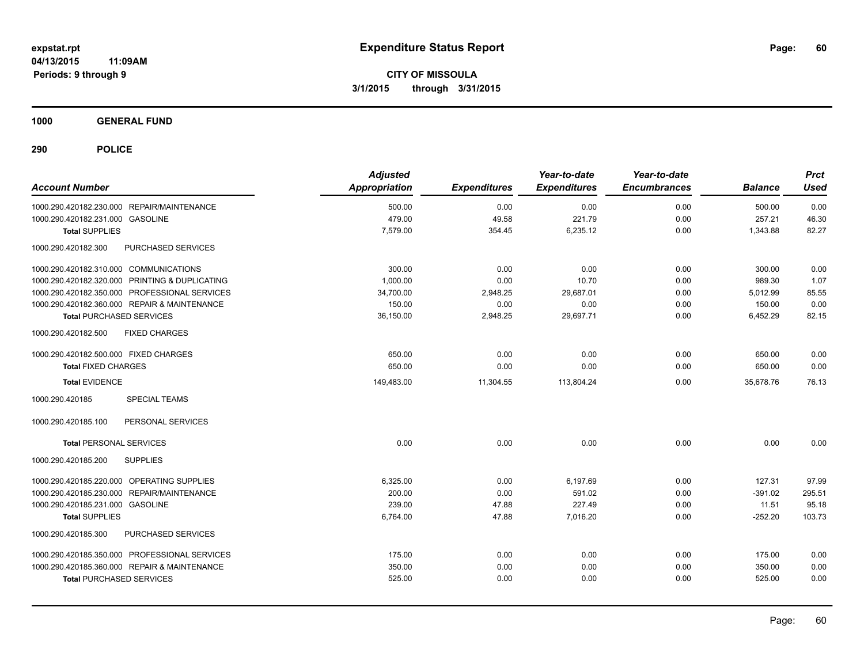**CITY OF MISSOULA 3/1/2015 through 3/31/2015**

**1000 GENERAL FUND**

| <b>Account Number</b>                          | <b>Adjusted</b><br>Appropriation | <b>Expenditures</b> | Year-to-date<br><b>Expenditures</b> | Year-to-date<br><b>Encumbrances</b> | <b>Balance</b> | <b>Prct</b><br><b>Used</b> |
|------------------------------------------------|----------------------------------|---------------------|-------------------------------------|-------------------------------------|----------------|----------------------------|
| 1000.290.420182.230.000 REPAIR/MAINTENANCE     | 500.00                           | 0.00                | 0.00                                | 0.00                                | 500.00         | 0.00                       |
| 1000.290.420182.231.000 GASOLINE               | 479.00                           | 49.58               | 221.79                              | 0.00                                | 257.21         | 46.30                      |
| <b>Total SUPPLIES</b>                          | 7,579.00                         | 354.45              | 6,235.12                            | 0.00                                | 1,343.88       | 82.27                      |
| 1000.290.420182.300<br>PURCHASED SERVICES      |                                  |                     |                                     |                                     |                |                            |
| 1000.290.420182.310.000 COMMUNICATIONS         | 300.00                           | 0.00                | 0.00                                | 0.00                                | 300.00         | 0.00                       |
| 1000.290.420182.320.000 PRINTING & DUPLICATING | 1,000.00                         | 0.00                | 10.70                               | 0.00                                | 989.30         | 1.07                       |
| 1000.290.420182.350.000 PROFESSIONAL SERVICES  | 34,700.00                        | 2,948.25            | 29,687.01                           | 0.00                                | 5,012.99       | 85.55                      |
| 1000.290.420182.360.000 REPAIR & MAINTENANCE   | 150.00                           | 0.00                | 0.00                                | 0.00                                | 150.00         | 0.00                       |
| <b>Total PURCHASED SERVICES</b>                | 36,150.00                        | 2,948.25            | 29,697.71                           | 0.00                                | 6,452.29       | 82.15                      |
| 1000.290.420182.500<br><b>FIXED CHARGES</b>    |                                  |                     |                                     |                                     |                |                            |
| 1000.290.420182.500.000 FIXED CHARGES          | 650.00                           | 0.00                | 0.00                                | 0.00                                | 650.00         | 0.00                       |
| <b>Total FIXED CHARGES</b>                     | 650.00                           | 0.00                | 0.00                                | 0.00                                | 650.00         | 0.00                       |
| <b>Total EVIDENCE</b>                          | 149,483.00                       | 11,304.55           | 113,804.24                          | 0.00                                | 35,678.76      | 76.13                      |
| <b>SPECIAL TEAMS</b><br>1000.290.420185        |                                  |                     |                                     |                                     |                |                            |
| PERSONAL SERVICES<br>1000.290.420185.100       |                                  |                     |                                     |                                     |                |                            |
| <b>Total PERSONAL SERVICES</b>                 | 0.00                             | 0.00                | 0.00                                | 0.00                                | 0.00           | 0.00                       |
| <b>SUPPLIES</b><br>1000.290.420185.200         |                                  |                     |                                     |                                     |                |                            |
| 1000.290.420185.220.000 OPERATING SUPPLIES     | 6,325.00                         | 0.00                | 6,197.69                            | 0.00                                | 127.31         | 97.99                      |
| 1000.290.420185.230.000 REPAIR/MAINTENANCE     | 200.00                           | 0.00                | 591.02                              | 0.00                                | $-391.02$      | 295.51                     |
| 1000.290.420185.231.000 GASOLINE               | 239.00                           | 47.88               | 227.49                              | 0.00                                | 11.51          | 95.18                      |
| <b>Total SUPPLIES</b>                          | 6,764.00                         | 47.88               | 7,016.20                            | 0.00                                | $-252.20$      | 103.73                     |
| PURCHASED SERVICES<br>1000.290.420185.300      |                                  |                     |                                     |                                     |                |                            |
| 1000.290.420185.350.000 PROFESSIONAL SERVICES  | 175.00                           | 0.00                | 0.00                                | 0.00                                | 175.00         | 0.00                       |
| 1000.290.420185.360.000 REPAIR & MAINTENANCE   | 350.00                           | 0.00                | 0.00                                | 0.00                                | 350.00         | 0.00                       |
| <b>Total PURCHASED SERVICES</b>                | 525.00                           | 0.00                | 0.00                                | 0.00                                | 525.00         | 0.00                       |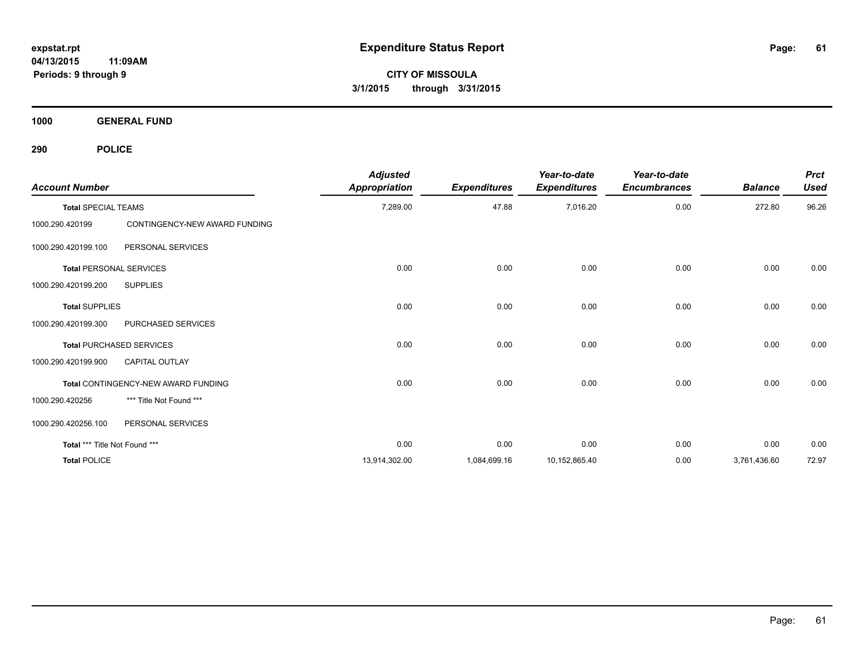**CITY OF MISSOULA 3/1/2015 through 3/31/2015**

**1000 GENERAL FUND**

| <b>Account Number</b>          |                                     | <b>Adjusted</b><br>Appropriation | <b>Expenditures</b> | Year-to-date<br><b>Expenditures</b> | Year-to-date<br><b>Encumbrances</b> | <b>Balance</b> | <b>Prct</b><br><b>Used</b> |
|--------------------------------|-------------------------------------|----------------------------------|---------------------|-------------------------------------|-------------------------------------|----------------|----------------------------|
| <b>Total SPECIAL TEAMS</b>     |                                     | 7,289.00                         | 47.88               | 7,016.20                            | 0.00                                | 272.80         | 96.26                      |
| 1000.290.420199                | CONTINGENCY-NEW AWARD FUNDING       |                                  |                     |                                     |                                     |                |                            |
| 1000.290.420199.100            | PERSONAL SERVICES                   |                                  |                     |                                     |                                     |                |                            |
| <b>Total PERSONAL SERVICES</b> |                                     | 0.00                             | 0.00                | 0.00                                | 0.00                                | 0.00           | 0.00                       |
| 1000.290.420199.200            | <b>SUPPLIES</b>                     |                                  |                     |                                     |                                     |                |                            |
| <b>Total SUPPLIES</b>          |                                     | 0.00                             | 0.00                | 0.00                                | 0.00                                | 0.00           | 0.00                       |
| 1000.290.420199.300            | PURCHASED SERVICES                  |                                  |                     |                                     |                                     |                |                            |
|                                | <b>Total PURCHASED SERVICES</b>     | 0.00                             | 0.00                | 0.00                                | 0.00                                | 0.00           | 0.00                       |
| 1000.290.420199.900            | <b>CAPITAL OUTLAY</b>               |                                  |                     |                                     |                                     |                |                            |
|                                | Total CONTINGENCY-NEW AWARD FUNDING | 0.00                             | 0.00                | 0.00                                | 0.00                                | 0.00           | 0.00                       |
| 1000.290.420256                | *** Title Not Found ***             |                                  |                     |                                     |                                     |                |                            |
| 1000.290.420256.100            | PERSONAL SERVICES                   |                                  |                     |                                     |                                     |                |                            |
| Total *** Title Not Found ***  |                                     | 0.00                             | 0.00                | 0.00                                | 0.00                                | 0.00           | 0.00                       |
| <b>Total POLICE</b>            |                                     | 13,914,302.00                    | 1,084,699.16        | 10,152,865.40                       | 0.00                                | 3,761,436.60   | 72.97                      |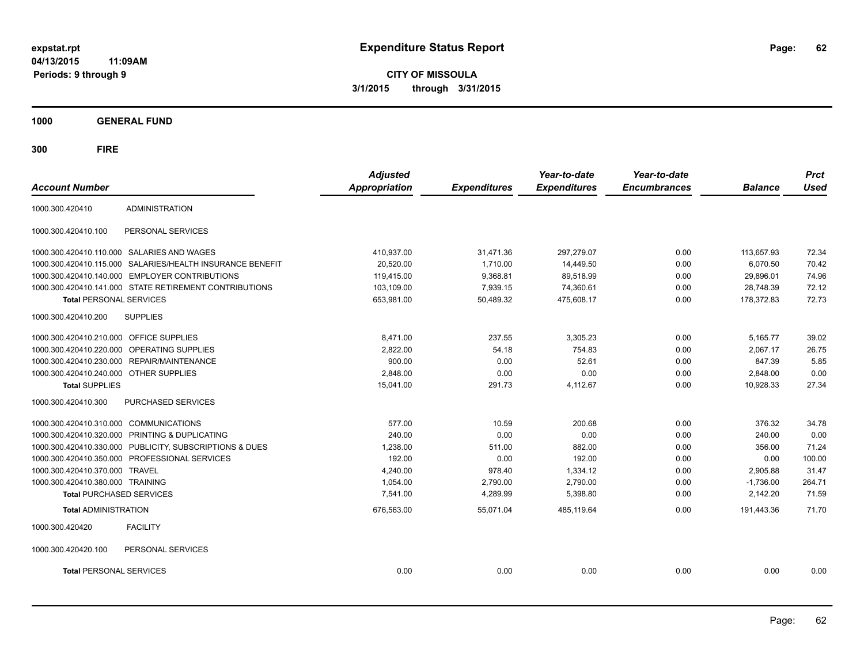**CITY OF MISSOULA 3/1/2015 through 3/31/2015**

**1000 GENERAL FUND**

| <b>Account Number</b>                   |                                                           | <b>Adjusted</b><br><b>Appropriation</b> | <b>Expenditures</b> | Year-to-date<br><b>Expenditures</b> | Year-to-date<br><b>Encumbrances</b> | <b>Balance</b> | <b>Prct</b><br><b>Used</b> |
|-----------------------------------------|-----------------------------------------------------------|-----------------------------------------|---------------------|-------------------------------------|-------------------------------------|----------------|----------------------------|
|                                         |                                                           |                                         |                     |                                     |                                     |                |                            |
| 1000.300.420410                         | <b>ADMINISTRATION</b>                                     |                                         |                     |                                     |                                     |                |                            |
| 1000.300.420410.100                     | PERSONAL SERVICES                                         |                                         |                     |                                     |                                     |                |                            |
|                                         | 1000.300.420410.110.000 SALARIES AND WAGES                | 410.937.00                              | 31.471.36           | 297.279.07                          | 0.00                                | 113.657.93     | 72.34                      |
|                                         | 1000.300.420410.115.000 SALARIES/HEALTH INSURANCE BENEFIT | 20.520.00                               | 1.710.00            | 14,449.50                           | 0.00                                | 6.070.50       | 70.42                      |
| 1000.300.420410.140.000                 | <b>EMPLOYER CONTRIBUTIONS</b>                             | 119,415.00                              | 9,368.81            | 89,518.99                           | 0.00                                | 29,896.01      | 74.96                      |
|                                         | 1000.300.420410.141.000 STATE RETIREMENT CONTRIBUTIONS    | 103,109.00                              | 7,939.15            | 74,360.61                           | 0.00                                | 28,748.39      | 72.12                      |
| <b>Total PERSONAL SERVICES</b>          |                                                           | 653,981.00                              | 50,489.32           | 475,608.17                          | 0.00                                | 178,372.83     | 72.73                      |
| 1000.300.420410.200                     | <b>SUPPLIES</b>                                           |                                         |                     |                                     |                                     |                |                            |
| 1000.300.420410.210.000 OFFICE SUPPLIES |                                                           | 8,471.00                                | 237.55              | 3,305.23                            | 0.00                                | 5,165.77       | 39.02                      |
| 1000.300.420410.220.000                 | OPERATING SUPPLIES                                        | 2,822.00                                | 54.18               | 754.83                              | 0.00                                | 2,067.17       | 26.75                      |
|                                         | 1000.300.420410.230.000 REPAIR/MAINTENANCE                | 900.00                                  | 0.00                | 52.61                               | 0.00                                | 847.39         | 5.85                       |
| 1000.300.420410.240.000 OTHER SUPPLIES  |                                                           | 2,848.00                                | 0.00                | 0.00                                | 0.00                                | 2,848.00       | 0.00                       |
| <b>Total SUPPLIES</b>                   |                                                           | 15,041.00                               | 291.73              | 4,112.67                            | 0.00                                | 10,928.33      | 27.34                      |
| 1000.300.420410.300                     | PURCHASED SERVICES                                        |                                         |                     |                                     |                                     |                |                            |
| 1000.300.420410.310.000 COMMUNICATIONS  |                                                           | 577.00                                  | 10.59               | 200.68                              | 0.00                                | 376.32         | 34.78                      |
|                                         | 1000.300.420410.320.000 PRINTING & DUPLICATING            | 240.00                                  | 0.00                | 0.00                                | 0.00                                | 240.00         | 0.00                       |
|                                         | 1000.300.420410.330.000 PUBLICITY, SUBSCRIPTIONS & DUES   | 1,238.00                                | 511.00              | 882.00                              | 0.00                                | 356.00         | 71.24                      |
|                                         | 1000.300.420410.350.000 PROFESSIONAL SERVICES             | 192.00                                  | 0.00                | 192.00                              | 0.00                                | 0.00           | 100.00                     |
| 1000.300.420410.370.000                 | <b>TRAVEL</b>                                             | 4,240.00                                | 978.40              | 1,334.12                            | 0.00                                | 2,905.88       | 31.47                      |
| 1000.300.420410.380.000 TRAINING        |                                                           | 1,054.00                                | 2,790.00            | 2,790.00                            | 0.00                                | $-1,736.00$    | 264.71                     |
| <b>Total PURCHASED SERVICES</b>         |                                                           | 7,541.00                                | 4,289.99            | 5,398.80                            | 0.00                                | 2,142.20       | 71.59                      |
| <b>Total ADMINISTRATION</b>             |                                                           | 676,563.00                              | 55,071.04           | 485.119.64                          | 0.00                                | 191.443.36     | 71.70                      |
| 1000.300.420420                         | <b>FACILITY</b>                                           |                                         |                     |                                     |                                     |                |                            |
| 1000.300.420420.100                     | PERSONAL SERVICES                                         |                                         |                     |                                     |                                     |                |                            |
| <b>Total PERSONAL SERVICES</b>          |                                                           | 0.00                                    | 0.00                | 0.00                                | 0.00                                | 0.00           | 0.00                       |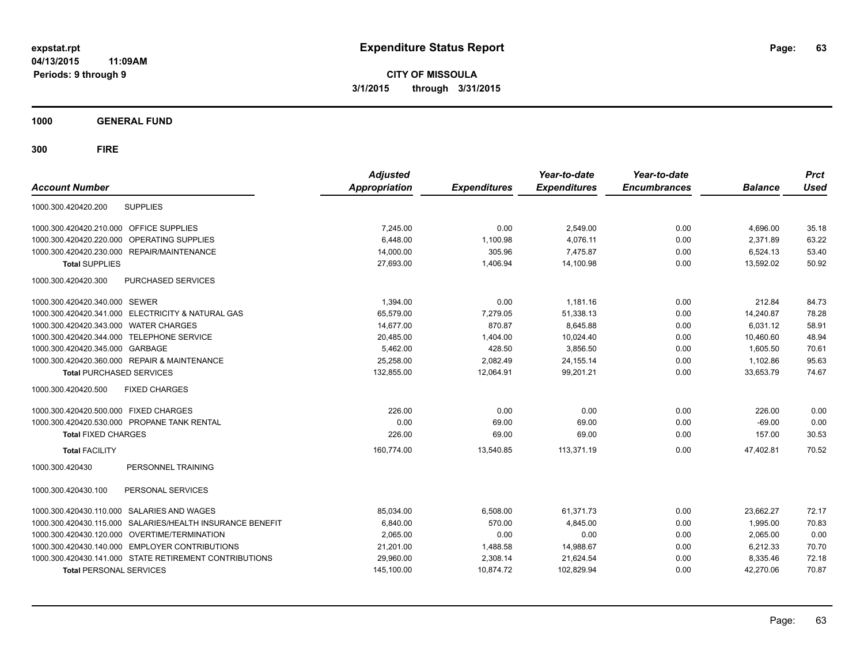**CITY OF MISSOULA 3/1/2015 through 3/31/2015**

**1000 GENERAL FUND**

| <b>Account Number</b>                                        | <b>Adjusted</b><br><b>Appropriation</b> | <b>Expenditures</b> | Year-to-date<br><b>Expenditures</b> | Year-to-date<br><b>Encumbrances</b> | <b>Balance</b> | <b>Prct</b><br><b>Used</b> |
|--------------------------------------------------------------|-----------------------------------------|---------------------|-------------------------------------|-------------------------------------|----------------|----------------------------|
| <b>SUPPLIES</b><br>1000.300.420420.200                       |                                         |                     |                                     |                                     |                |                            |
| 1000.300.420420.210.000 OFFICE SUPPLIES                      | 7.245.00                                | 0.00                | 2,549.00                            | 0.00                                | 4,696.00       | 35.18                      |
| 1000.300.420420.220.000<br>OPERATING SUPPLIES                | 6,448.00                                | 1,100.98            | 4,076.11                            | 0.00                                | 2,371.89       | 63.22                      |
| 1000.300.420420.230.000 REPAIR/MAINTENANCE                   | 14,000.00                               | 305.96              | 7.475.87                            | 0.00                                | 6.524.13       | 53.40                      |
| <b>Total SUPPLIES</b>                                        | 27,693.00                               | 1,406.94            | 14,100.98                           | 0.00                                | 13,592.02      | 50.92                      |
| 1000.300.420420.300<br><b>PURCHASED SERVICES</b>             |                                         |                     |                                     |                                     |                |                            |
| 1000.300.420420.340.000 SEWER                                | 1,394.00                                | 0.00                | 1,181.16                            | 0.00                                | 212.84         | 84.73                      |
| 1000.300.420420.341.000 ELECTRICITY & NATURAL GAS            | 65,579.00                               | 7,279.05            | 51,338.13                           | 0.00                                | 14,240.87      | 78.28                      |
| 1000.300.420420.343.000 WATER CHARGES                        | 14,677.00                               | 870.87              | 8,645.88                            | 0.00                                | 6.031.12       | 58.91                      |
| 1000.300.420420.344.000 TELEPHONE SERVICE                    | 20,485.00                               | 1,404.00            | 10,024.40                           | 0.00                                | 10,460.60      | 48.94                      |
| 1000.300.420420.345.000 GARBAGE                              | 5,462.00                                | 428.50              | 3,856.50                            | 0.00                                | 1,605.50       | 70.61                      |
| 1000.300.420420.360.000 REPAIR & MAINTENANCE                 | 25,258.00                               | 2,082.49            | 24, 155. 14                         | 0.00                                | 1,102.86       | 95.63                      |
| <b>Total PURCHASED SERVICES</b>                              | 132,855.00                              | 12,064.91           | 99,201.21                           | 0.00                                | 33,653.79      | 74.67                      |
| 1000.300.420420.500<br><b>FIXED CHARGES</b>                  |                                         |                     |                                     |                                     |                |                            |
| 1000.300.420420.500.000 FIXED CHARGES                        | 226.00                                  | 0.00                | 0.00                                | 0.00                                | 226.00         | 0.00                       |
| 1000.300.420420.530.000 PROPANE TANK RENTAL                  | 0.00                                    | 69.00               | 69.00                               | 0.00                                | $-69.00$       | 0.00                       |
| <b>Total FIXED CHARGES</b>                                   | 226.00                                  | 69.00               | 69.00                               | 0.00                                | 157.00         | 30.53                      |
| <b>Total FACILITY</b>                                        | 160.774.00                              | 13.540.85           | 113.371.19                          | 0.00                                | 47.402.81      | 70.52                      |
| PERSONNEL TRAINING<br>1000.300.420430                        |                                         |                     |                                     |                                     |                |                            |
| PERSONAL SERVICES<br>1000.300.420430.100                     |                                         |                     |                                     |                                     |                |                            |
| <b>SALARIES AND WAGES</b><br>1000.300.420430.110.000         | 85,034.00                               | 6,508.00            | 61,371.73                           | 0.00                                | 23,662.27      | 72.17                      |
| 1000.300.420430.115.000<br>SALARIES/HEALTH INSURANCE BENEFIT | 6,840.00                                | 570.00              | 4,845.00                            | 0.00                                | 1,995.00       | 70.83                      |
| 1000.300.420430.120.000 OVERTIME/TERMINATION                 | 2,065.00                                | 0.00                | 0.00                                | 0.00                                | 2,065.00       | 0.00                       |
| 1000.300.420430.140.000 EMPLOYER CONTRIBUTIONS               | 21,201.00                               | 1,488.58            | 14,988.67                           | 0.00                                | 6,212.33       | 70.70                      |
| 1000.300.420430.141.000 STATE RETIREMENT CONTRIBUTIONS       | 29,960.00                               | 2,308.14            | 21,624.54                           | 0.00                                | 8,335.46       | 72.18                      |
| <b>Total PERSONAL SERVICES</b>                               | 145,100.00                              | 10,874.72           | 102,829.94                          | 0.00                                | 42,270.06      | 70.87                      |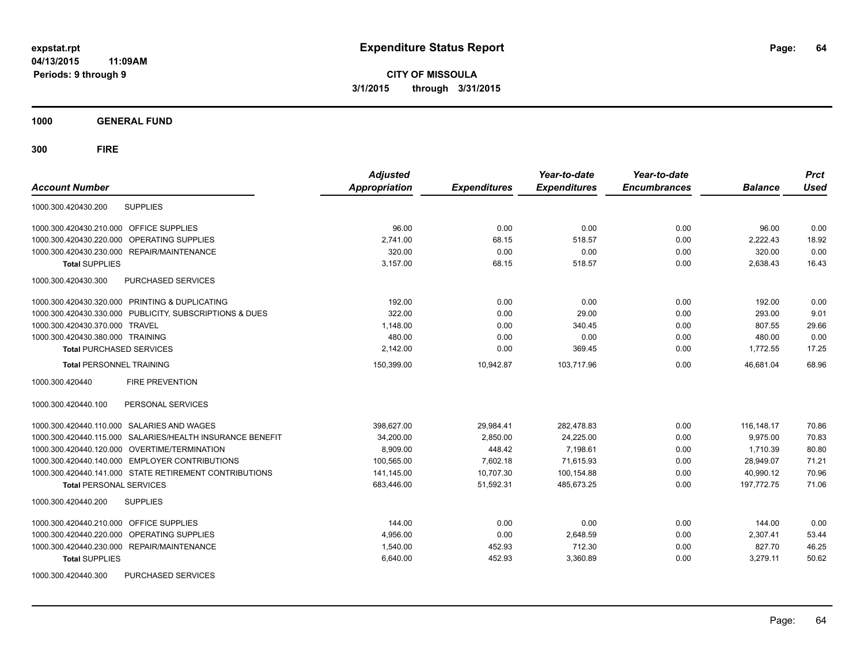**CITY OF MISSOULA 3/1/2015 through 3/31/2015**

**1000 GENERAL FUND**

| <b>Account Number</b>                                     | <b>Adjusted</b><br><b>Appropriation</b> | <b>Expenditures</b> | Year-to-date<br><b>Expenditures</b> | Year-to-date<br><b>Encumbrances</b> | <b>Balance</b> | <b>Prct</b><br><b>Used</b> |
|-----------------------------------------------------------|-----------------------------------------|---------------------|-------------------------------------|-------------------------------------|----------------|----------------------------|
| <b>SUPPLIES</b><br>1000.300.420430.200                    |                                         |                     |                                     |                                     |                |                            |
| 1000.300.420430.210.000<br><b>OFFICE SUPPLIES</b>         | 96.00                                   | 0.00                | 0.00                                | 0.00                                | 96.00          | 0.00                       |
| <b>OPERATING SUPPLIES</b><br>1000.300.420430.220.000      | 2,741.00                                | 68.15               | 518.57                              | 0.00                                | 2,222.43       | 18.92                      |
| 1000.300.420430.230.000 REPAIR/MAINTENANCE                | 320.00                                  | 0.00                | 0.00                                | 0.00                                | 320.00         | 0.00                       |
| <b>Total SUPPLIES</b>                                     | 3,157.00                                | 68.15               | 518.57                              | 0.00                                | 2,638.43       | 16.43                      |
| 1000.300.420430.300<br><b>PURCHASED SERVICES</b>          |                                         |                     |                                     |                                     |                |                            |
| 1000.300.420430.320.000 PRINTING & DUPLICATING            | 192.00                                  | 0.00                | 0.00                                | 0.00                                | 192.00         | 0.00                       |
| 1000.300.420430.330.000 PUBLICITY, SUBSCRIPTIONS & DUES   | 322.00                                  | 0.00                | 29.00                               | 0.00                                | 293.00         | 9.01                       |
| 1000.300.420430.370.000 TRAVEL                            | 1,148.00                                | 0.00                | 340.45                              | 0.00                                | 807.55         | 29.66                      |
| 1000.300.420430.380.000 TRAINING                          | 480.00                                  | 0.00                | 0.00                                | 0.00                                | 480.00         | 0.00                       |
| <b>Total PURCHASED SERVICES</b>                           | 2,142.00                                | 0.00                | 369.45                              | 0.00                                | 1,772.55       | 17.25                      |
| <b>Total PERSONNEL TRAINING</b>                           | 150,399.00                              | 10,942.87           | 103.717.96                          | 0.00                                | 46.681.04      | 68.96                      |
| <b>FIRE PREVENTION</b><br>1000.300.420440                 |                                         |                     |                                     |                                     |                |                            |
| PERSONAL SERVICES<br>1000.300.420440.100                  |                                         |                     |                                     |                                     |                |                            |
| 1000.300.420440.110.000 SALARIES AND WAGES                | 398,627.00                              | 29,984.41           | 282,478.83                          | 0.00                                | 116, 148. 17   | 70.86                      |
| 1000.300.420440.115.000 SALARIES/HEALTH INSURANCE BENEFIT | 34,200.00                               | 2.850.00            | 24,225.00                           | 0.00                                | 9.975.00       | 70.83                      |
| 1000.300.420440.120.000 OVERTIME/TERMINATION              | 8,909.00                                | 448.42              | 7,198.61                            | 0.00                                | 1.710.39       | 80.80                      |
| 1000.300.420440.140.000 EMPLOYER CONTRIBUTIONS            | 100,565.00                              | 7,602.18            | 71,615.93                           | 0.00                                | 28,949.07      | 71.21                      |
| 1000.300.420440.141.000 STATE RETIREMENT CONTRIBUTIONS    | 141.145.00                              | 10.707.30           | 100,154.88                          | 0.00                                | 40.990.12      | 70.96                      |
| <b>Total PERSONAL SERVICES</b>                            | 683,446.00                              | 51,592.31           | 485,673.25                          | 0.00                                | 197,772.75     | 71.06                      |
| 1000.300.420440.200<br><b>SUPPLIES</b>                    |                                         |                     |                                     |                                     |                |                            |
| 1000.300.420440.210.000<br><b>OFFICE SUPPLIES</b>         | 144.00                                  | 0.00                | 0.00                                | 0.00                                | 144.00         | 0.00                       |
| <b>OPERATING SUPPLIES</b><br>1000.300.420440.220.000      | 4,956.00                                | 0.00                | 2.648.59                            | 0.00                                | 2,307.41       | 53.44                      |
| 1000.300.420440.230.000 REPAIR/MAINTENANCE                | 1,540.00                                | 452.93              | 712.30                              | 0.00                                | 827.70         | 46.25                      |
| <b>Total SUPPLIES</b>                                     | 6,640.00                                | 452.93              | 3,360.89                            | 0.00                                | 3,279.11       | 50.62                      |
| 1000.300.420440.300<br>PURCHASED SERVICES                 |                                         |                     |                                     |                                     |                |                            |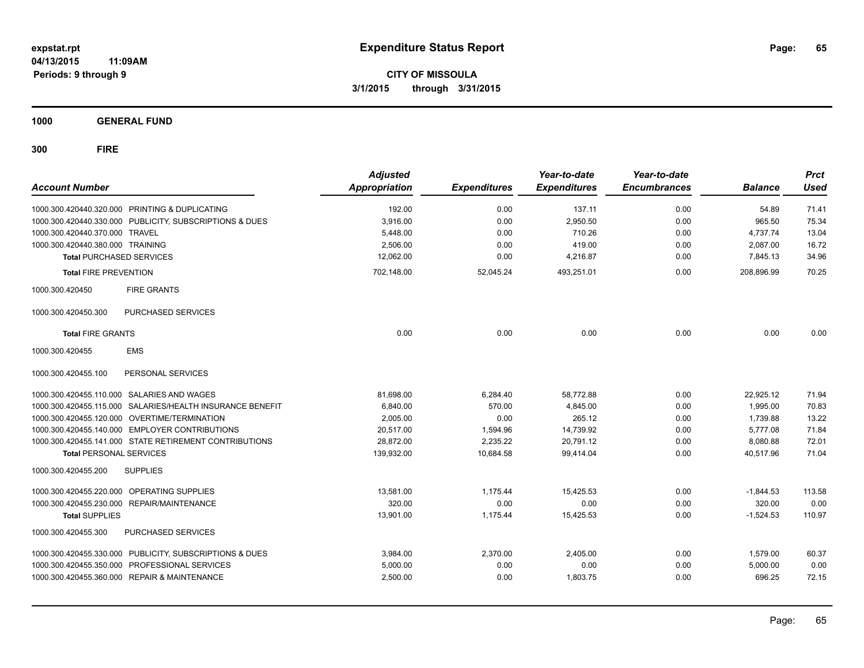**CITY OF MISSOULA 3/1/2015 through 3/31/2015**

**1000 GENERAL FUND**

| <b>Account Number</b>            |                                                         | <b>Adjusted</b><br>Appropriation | <b>Expenditures</b> | Year-to-date<br><b>Expenditures</b> | Year-to-date<br><b>Encumbrances</b> | <b>Balance</b> | <b>Prct</b><br><b>Used</b> |
|----------------------------------|---------------------------------------------------------|----------------------------------|---------------------|-------------------------------------|-------------------------------------|----------------|----------------------------|
|                                  | 1000.300.420440.320.000 PRINTING & DUPLICATING          | 192.00                           | 0.00                | 137.11                              | 0.00                                | 54.89          | 71.41                      |
|                                  | 1000.300.420440.330.000 PUBLICITY, SUBSCRIPTIONS & DUES | 3.916.00                         | 0.00                | 2.950.50                            | 0.00                                | 965.50         | 75.34                      |
| 1000.300.420440.370.000 TRAVEL   |                                                         | 5,448.00                         | 0.00                | 710.26                              | 0.00                                | 4,737.74       | 13.04                      |
| 1000.300.420440.380.000 TRAINING |                                                         | 2,506.00                         | 0.00                | 419.00                              | 0.00                                | 2,087.00       | 16.72                      |
| <b>Total PURCHASED SERVICES</b>  |                                                         | 12,062.00                        | 0.00                | 4,216.87                            | 0.00                                | 7,845.13       | 34.96                      |
| <b>Total FIRE PREVENTION</b>     |                                                         | 702,148.00                       | 52,045.24           | 493,251.01                          | 0.00                                | 208,896.99     | 70.25                      |
| 1000.300.420450                  | <b>FIRE GRANTS</b>                                      |                                  |                     |                                     |                                     |                |                            |
| 1000.300.420450.300              | PURCHASED SERVICES                                      |                                  |                     |                                     |                                     |                |                            |
| <b>Total FIRE GRANTS</b>         |                                                         | 0.00                             | 0.00                | 0.00                                | 0.00                                | 0.00           | 0.00                       |
| 1000.300.420455                  | <b>EMS</b>                                              |                                  |                     |                                     |                                     |                |                            |
| 1000.300.420455.100              | PERSONAL SERVICES                                       |                                  |                     |                                     |                                     |                |                            |
|                                  | 1000.300.420455.110.000 SALARIES AND WAGES              | 81.698.00                        | 6.284.40            | 58.772.88                           | 0.00                                | 22.925.12      | 71.94                      |
| 1000.300.420455.115.000          | SALARIES/HEALTH INSURANCE BENEFIT                       | 6,840.00                         | 570.00              | 4,845.00                            | 0.00                                | 1,995.00       | 70.83                      |
| 1000.300.420455.120.000          | OVERTIME/TERMINATION                                    | 2,005.00                         | 0.00                | 265.12                              | 0.00                                | 1,739.88       | 13.22                      |
|                                  | 1000.300.420455.140.000 EMPLOYER CONTRIBUTIONS          | 20,517.00                        | 1,594.96            | 14,739.92                           | 0.00                                | 5,777.08       | 71.84                      |
|                                  | 1000.300.420455.141.000 STATE RETIREMENT CONTRIBUTIONS  | 28,872.00                        | 2,235.22            | 20,791.12                           | 0.00                                | 8,080.88       | 72.01                      |
| <b>Total PERSONAL SERVICES</b>   |                                                         | 139,932.00                       | 10,684.58           | 99,414.04                           | 0.00                                | 40,517.96      | 71.04                      |
| 1000.300.420455.200              | <b>SUPPLIES</b>                                         |                                  |                     |                                     |                                     |                |                            |
|                                  | 1000.300.420455.220.000 OPERATING SUPPLIES              | 13.581.00                        | 1.175.44            | 15.425.53                           | 0.00                                | $-1,844.53$    | 113.58                     |
|                                  | 1000.300.420455.230.000 REPAIR/MAINTENANCE              | 320.00                           | 0.00                | 0.00                                | 0.00                                | 320.00         | 0.00                       |
| <b>Total SUPPLIES</b>            |                                                         | 13,901.00                        | 1,175.44            | 15,425.53                           | 0.00                                | $-1,524.53$    | 110.97                     |
| 1000.300.420455.300              | PURCHASED SERVICES                                      |                                  |                     |                                     |                                     |                |                            |
|                                  | 1000.300.420455.330.000 PUBLICITY, SUBSCRIPTIONS & DUES | 3,984.00                         | 2,370.00            | 2,405.00                            | 0.00                                | 1,579.00       | 60.37                      |
|                                  | 1000.300.420455.350.000 PROFESSIONAL SERVICES           | 5,000.00                         | 0.00                | 0.00                                | 0.00                                | 5,000.00       | 0.00                       |
|                                  | 1000.300.420455.360.000 REPAIR & MAINTENANCE            | 2,500.00                         | 0.00                | 1,803.75                            | 0.00                                | 696.25         | 72.15                      |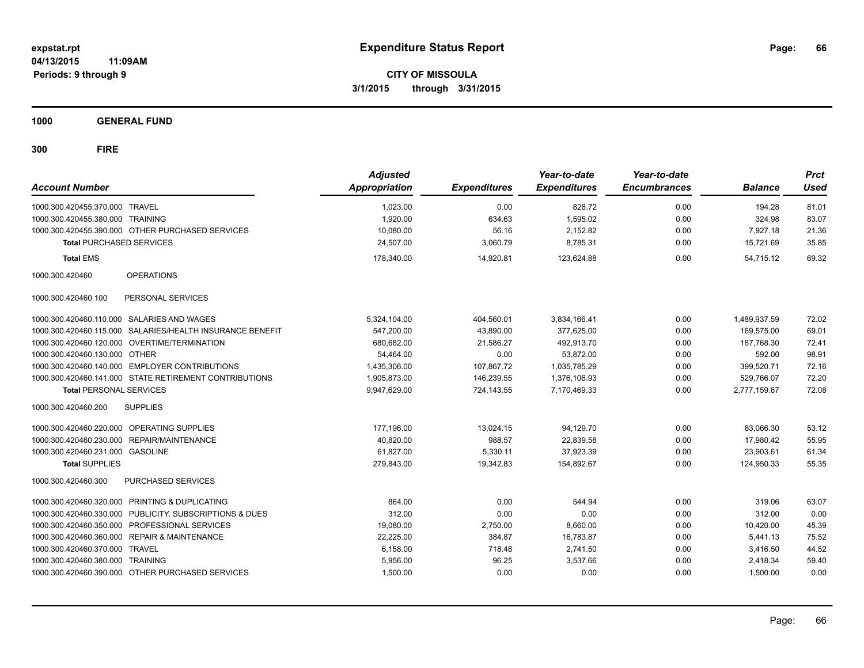**CITY OF MISSOULA 3/1/2015 through 3/31/2015**

**1000 GENERAL FUND**

| <b>Account Number</b>            |                                                           | <b>Adjusted</b><br><b>Appropriation</b> | <b>Expenditures</b> | Year-to-date<br><b>Expenditures</b> | Year-to-date<br><b>Encumbrances</b> | <b>Balance</b> | <b>Prct</b><br><b>Used</b> |
|----------------------------------|-----------------------------------------------------------|-----------------------------------------|---------------------|-------------------------------------|-------------------------------------|----------------|----------------------------|
| 1000.300.420455.370.000 TRAVEL   |                                                           | 1,023.00                                | 0.00                | 828.72                              | 0.00                                | 194.28         | 81.01                      |
| 1000.300.420455.380.000 TRAINING |                                                           | 1,920.00                                | 634.63              | 1,595.02                            | 0.00                                | 324.98         | 83.07                      |
|                                  | 1000.300.420455.390.000 OTHER PURCHASED SERVICES          | 10,080.00                               | 56.16               | 2,152.82                            | 0.00                                | 7,927.18       | 21.36                      |
| <b>Total PURCHASED SERVICES</b>  |                                                           | 24,507.00                               | 3,060.79            | 8,785.31                            | 0.00                                | 15,721.69      | 35.85                      |
| <b>Total EMS</b>                 |                                                           | 178,340.00                              | 14,920.81           | 123,624.88                          | 0.00                                | 54,715.12      | 69.32                      |
| 1000.300.420460                  | <b>OPERATIONS</b>                                         |                                         |                     |                                     |                                     |                |                            |
| 1000.300.420460.100              | PERSONAL SERVICES                                         |                                         |                     |                                     |                                     |                |                            |
|                                  | 1000.300.420460.110.000 SALARIES AND WAGES                | 5,324,104.00                            | 404,560.01          | 3,834,166.41                        | 0.00                                | 1,489,937.59   | 72.02                      |
|                                  | 1000.300.420460.115.000 SALARIES/HEALTH INSURANCE BENEFIT | 547,200.00                              | 43,890.00           | 377.625.00                          | 0.00                                | 169,575.00     | 69.01                      |
|                                  | 1000.300.420460.120.000 OVERTIME/TERMINATION              | 680,682.00                              | 21.586.27           | 492,913.70                          | 0.00                                | 187,768.30     | 72.41                      |
| 1000.300.420460.130.000          | <b>OTHER</b>                                              | 54,464.00                               | 0.00                | 53,872.00                           | 0.00                                | 592.00         | 98.91                      |
|                                  | 1000.300.420460.140.000 EMPLOYER CONTRIBUTIONS            | 1,435,306.00                            | 107,867.72          | 1,035,785.29                        | 0.00                                | 399,520.71     | 72.16                      |
|                                  | 1000.300.420460.141.000 STATE RETIREMENT CONTRIBUTIONS    | 1,905,873.00                            | 146,239.55          | 1,376,106.93                        | 0.00                                | 529,766.07     | 72.20                      |
| <b>Total PERSONAL SERVICES</b>   |                                                           | 9,947,629.00                            | 724,143.55          | 7,170,469.33                        | 0.00                                | 2,777,159.67   | 72.08                      |
| 1000.300.420460.200              | <b>SUPPLIES</b>                                           |                                         |                     |                                     |                                     |                |                            |
|                                  | 1000.300.420460.220.000 OPERATING SUPPLIES                | 177,196.00                              | 13.024.15           | 94,129.70                           | 0.00                                | 83,066.30      | 53.12                      |
| 1000.300.420460.230.000          | REPAIR/MAINTENANCE                                        | 40,820.00                               | 988.57              | 22,839.58                           | 0.00                                | 17,980.42      | 55.95                      |
| 1000.300.420460.231.000 GASOLINE |                                                           | 61,827.00                               | 5,330.11            | 37,923.39                           | 0.00                                | 23,903.61      | 61.34                      |
| <b>Total SUPPLIES</b>            |                                                           | 279,843.00                              | 19,342.83           | 154,892.67                          | 0.00                                | 124,950.33     | 55.35                      |
| 1000.300.420460.300              | PURCHASED SERVICES                                        |                                         |                     |                                     |                                     |                |                            |
| 1000.300.420460.320.000          | PRINTING & DUPLICATING                                    | 864.00                                  | 0.00                | 544.94                              | 0.00                                | 319.06         | 63.07                      |
| 1000.300.420460.330.000          | PUBLICITY, SUBSCRIPTIONS & DUES                           | 312.00                                  | 0.00                | 0.00                                | 0.00                                | 312.00         | 0.00                       |
| 1000.300.420460.350.000          | PROFESSIONAL SERVICES                                     | 19.080.00                               | 2,750.00            | 8.660.00                            | 0.00                                | 10,420.00      | 45.39                      |
| 1000.300.420460.360.000          | <b>REPAIR &amp; MAINTENANCE</b>                           | 22,225.00                               | 384.87              | 16,783.87                           | 0.00                                | 5,441.13       | 75.52                      |
| 1000.300.420460.370.000          | <b>TRAVEL</b>                                             | 6,158.00                                | 718.48              | 2.741.50                            | 0.00                                | 3,416.50       | 44.52                      |
| 1000.300.420460.380.000          | TRAINING                                                  | 5,956.00                                | 96.25               | 3,537.66                            | 0.00                                | 2,418.34       | 59.40                      |
|                                  | 1000.300.420460.390.000 OTHER PURCHASED SERVICES          | 1,500.00                                | 0.00                | 0.00                                | 0.00                                | 1,500.00       | 0.00                       |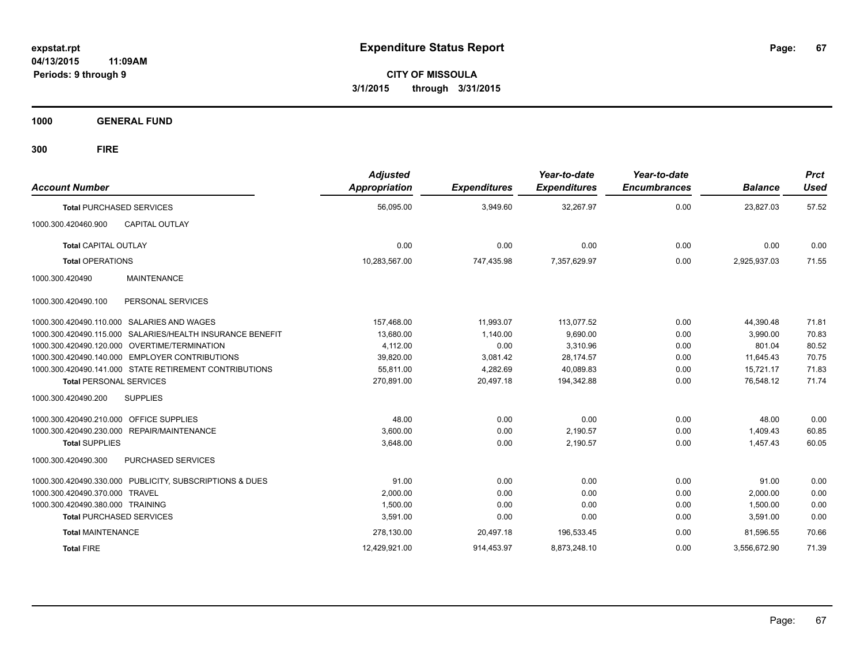**CITY OF MISSOULA 3/1/2015 through 3/31/2015**

**1000 GENERAL FUND**

| <b>Account Number</b>                   |                                                           | <b>Adjusted</b><br>Appropriation | <b>Expenditures</b> | Year-to-date<br><b>Expenditures</b> | Year-to-date<br><b>Encumbrances</b> | <b>Balance</b> | <b>Prct</b><br><b>Used</b> |
|-----------------------------------------|-----------------------------------------------------------|----------------------------------|---------------------|-------------------------------------|-------------------------------------|----------------|----------------------------|
|                                         | <b>Total PURCHASED SERVICES</b>                           | 56,095.00                        | 3,949.60            | 32,267.97                           | 0.00                                | 23,827.03      | 57.52                      |
| 1000.300.420460.900                     | <b>CAPITAL OUTLAY</b>                                     |                                  |                     |                                     |                                     |                |                            |
| <b>Total CAPITAL OUTLAY</b>             |                                                           | 0.00                             | 0.00                | 0.00                                | 0.00                                | 0.00           | 0.00                       |
| <b>Total OPERATIONS</b>                 |                                                           | 10,283,567.00                    | 747,435.98          | 7,357,629.97                        | 0.00                                | 2,925,937.03   | 71.55                      |
| 1000.300.420490                         | <b>MAINTENANCE</b>                                        |                                  |                     |                                     |                                     |                |                            |
| 1000.300.420490.100                     | PERSONAL SERVICES                                         |                                  |                     |                                     |                                     |                |                            |
|                                         | 1000.300.420490.110.000 SALARIES AND WAGES                | 157,468.00                       | 11,993.07           | 113,077.52                          | 0.00                                | 44,390.48      | 71.81                      |
|                                         | 1000.300.420490.115.000 SALARIES/HEALTH INSURANCE BENEFIT | 13,680.00                        | 1,140.00            | 9,690.00                            | 0.00                                | 3,990.00       | 70.83                      |
|                                         | 1000.300.420490.120.000 OVERTIME/TERMINATION              | 4,112.00                         | 0.00                | 3,310.96                            | 0.00                                | 801.04         | 80.52                      |
|                                         | 1000.300.420490.140.000 EMPLOYER CONTRIBUTIONS            | 39,820.00                        | 3,081.42            | 28,174.57                           | 0.00                                | 11,645.43      | 70.75                      |
|                                         | 1000.300.420490.141.000 STATE RETIREMENT CONTRIBUTIONS    | 55,811.00                        | 4,282.69            | 40,089.83                           | 0.00                                | 15,721.17      | 71.83                      |
| <b>Total PERSONAL SERVICES</b>          |                                                           | 270,891.00                       | 20,497.18           | 194,342.88                          | 0.00                                | 76,548.12      | 71.74                      |
| 1000.300.420490.200                     | <b>SUPPLIES</b>                                           |                                  |                     |                                     |                                     |                |                            |
| 1000.300.420490.210.000 OFFICE SUPPLIES |                                                           | 48.00                            | 0.00                | 0.00                                | 0.00                                | 48.00          | 0.00                       |
|                                         | 1000.300.420490.230.000 REPAIR/MAINTENANCE                | 3,600.00                         | 0.00                | 2,190.57                            | 0.00                                | 1,409.43       | 60.85                      |
| <b>Total SUPPLIES</b>                   |                                                           | 3,648.00                         | 0.00                | 2,190.57                            | 0.00                                | 1.457.43       | 60.05                      |
| 1000.300.420490.300                     | <b>PURCHASED SERVICES</b>                                 |                                  |                     |                                     |                                     |                |                            |
|                                         | 1000.300.420490.330.000 PUBLICITY, SUBSCRIPTIONS & DUES   | 91.00                            | 0.00                | 0.00                                | 0.00                                | 91.00          | 0.00                       |
| 1000.300.420490.370.000 TRAVEL          |                                                           | 2,000.00                         | 0.00                | 0.00                                | 0.00                                | 2,000.00       | 0.00                       |
| 1000.300.420490.380.000 TRAINING        |                                                           | 1,500.00                         | 0.00                | 0.00                                | 0.00                                | 1,500.00       | 0.00                       |
|                                         | <b>Total PURCHASED SERVICES</b>                           | 3,591.00                         | 0.00                | 0.00                                | 0.00                                | 3,591.00       | 0.00                       |
| <b>Total MAINTENANCE</b>                |                                                           | 278,130.00                       | 20,497.18           | 196,533.45                          | 0.00                                | 81,596.55      | 70.66                      |
| <b>Total FIRE</b>                       |                                                           | 12,429,921.00                    | 914,453.97          | 8,873,248.10                        | 0.00                                | 3,556,672.90   | 71.39                      |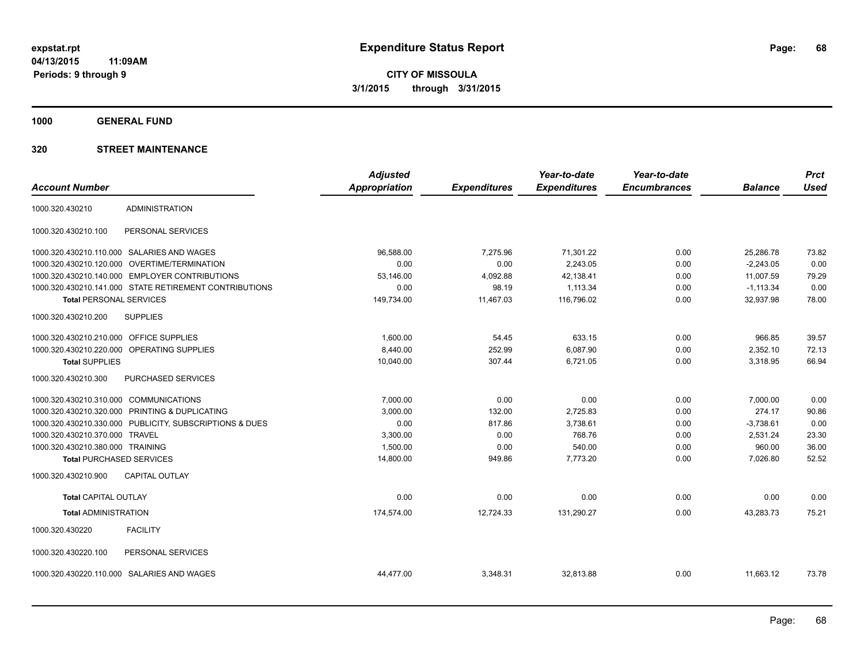**Periods: 9 through 9**

**CITY OF MISSOULA 3/1/2015 through 3/31/2015**

**1000 GENERAL FUND**

|                                        |                                                         | <b>Adjusted</b>      |                     | Year-to-date        | Year-to-date        |                | <b>Prct</b> |
|----------------------------------------|---------------------------------------------------------|----------------------|---------------------|---------------------|---------------------|----------------|-------------|
| <b>Account Number</b>                  |                                                         | <b>Appropriation</b> | <b>Expenditures</b> | <b>Expenditures</b> | <b>Encumbrances</b> | <b>Balance</b> | <b>Used</b> |
| 1000.320.430210                        | <b>ADMINISTRATION</b>                                   |                      |                     |                     |                     |                |             |
| 1000.320.430210.100                    | PERSONAL SERVICES                                       |                      |                     |                     |                     |                |             |
|                                        | 1000.320.430210.110.000 SALARIES AND WAGES              | 96,588.00            | 7,275.96            | 71,301.22           | 0.00                | 25,286.78      | 73.82       |
|                                        | 1000.320.430210.120.000 OVERTIME/TERMINATION            | 0.00                 | 0.00                | 2,243.05            | 0.00                | $-2,243.05$    | 0.00        |
|                                        | 1000.320.430210.140.000 EMPLOYER CONTRIBUTIONS          | 53,146.00            | 4,092.88            | 42,138.41           | 0.00                | 11,007.59      | 79.29       |
|                                        | 1000.320.430210.141.000 STATE RETIREMENT CONTRIBUTIONS  | 0.00                 | 98.19               | 1,113.34            | 0.00                | $-1,113.34$    | 0.00        |
| <b>Total PERSONAL SERVICES</b>         |                                                         | 149,734.00           | 11,467.03           | 116,796.02          | 0.00                | 32,937.98      | 78.00       |
| 1000.320.430210.200                    | <b>SUPPLIES</b>                                         |                      |                     |                     |                     |                |             |
| 1000.320.430210.210.000                | OFFICE SUPPLIES                                         | 1,600.00             | 54.45               | 633.15              | 0.00                | 966.85         | 39.57       |
|                                        | 1000.320.430210.220.000 OPERATING SUPPLIES              | 8,440.00             | 252.99              | 6,087.90            | 0.00                | 2,352.10       | 72.13       |
| <b>Total SUPPLIES</b>                  |                                                         | 10,040.00            | 307.44              | 6,721.05            | 0.00                | 3,318.95       | 66.94       |
| 1000.320.430210.300                    | PURCHASED SERVICES                                      |                      |                     |                     |                     |                |             |
| 1000.320.430210.310.000 COMMUNICATIONS |                                                         | 7,000.00             | 0.00                | 0.00                | 0.00                | 7,000.00       | 0.00        |
|                                        | 1000.320.430210.320.000 PRINTING & DUPLICATING          | 3,000.00             | 132.00              | 2,725.83            | 0.00                | 274.17         | 90.86       |
|                                        | 1000.320.430210.330.000 PUBLICITY, SUBSCRIPTIONS & DUES | 0.00                 | 817.86              | 3.738.61            | 0.00                | $-3,738.61$    | 0.00        |
| 1000.320.430210.370.000                | <b>TRAVEL</b>                                           | 3,300.00             | 0.00                | 768.76              | 0.00                | 2.531.24       | 23.30       |
| 1000.320.430210.380.000 TRAINING       |                                                         | 1.500.00             | 0.00                | 540.00              | 0.00                | 960.00         | 36.00       |
| <b>Total PURCHASED SERVICES</b>        |                                                         | 14,800.00            | 949.86              | 7,773.20            | 0.00                | 7,026.80       | 52.52       |
| 1000.320.430210.900                    | <b>CAPITAL OUTLAY</b>                                   |                      |                     |                     |                     |                |             |
| <b>Total CAPITAL OUTLAY</b>            |                                                         | 0.00                 | 0.00                | 0.00                | 0.00                | 0.00           | 0.00        |
| <b>Total ADMINISTRATION</b>            |                                                         | 174,574.00           | 12,724.33           | 131,290.27          | 0.00                | 43,283.73      | 75.21       |
| 1000.320.430220                        | <b>FACILITY</b>                                         |                      |                     |                     |                     |                |             |
| 1000.320.430220.100                    | PERSONAL SERVICES                                       |                      |                     |                     |                     |                |             |
|                                        | 1000.320.430220.110.000 SALARIES AND WAGES              | 44,477.00            | 3,348.31            | 32,813.88           | 0.00                | 11,663.12      | 73.78       |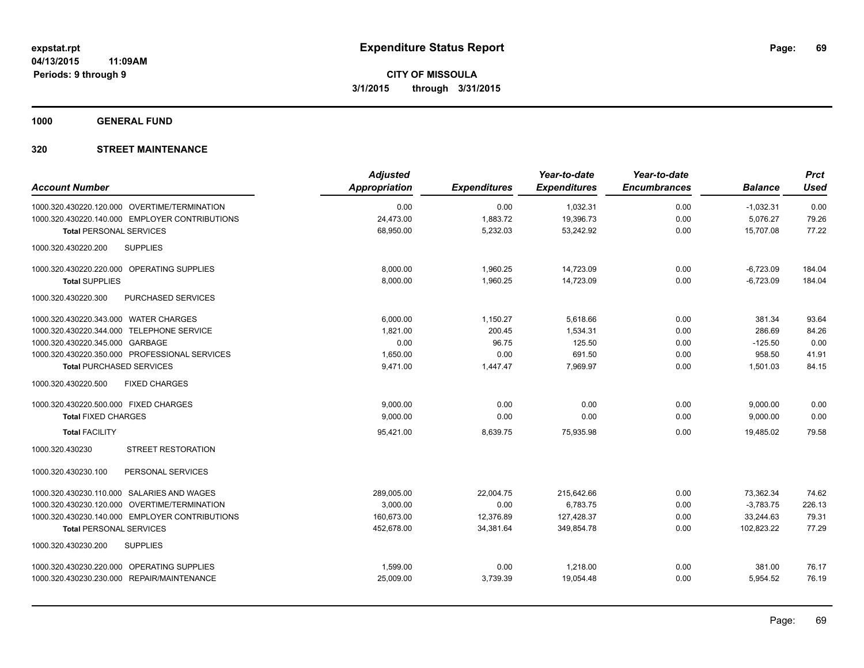**1000 GENERAL FUND**

|                                                | <b>Adjusted</b> |                     | Year-to-date        | Year-to-date        |                | <b>Prct</b> |
|------------------------------------------------|-----------------|---------------------|---------------------|---------------------|----------------|-------------|
| <b>Account Number</b>                          | Appropriation   | <b>Expenditures</b> | <b>Expenditures</b> | <b>Encumbrances</b> | <b>Balance</b> | <b>Used</b> |
| 1000.320.430220.120.000 OVERTIME/TERMINATION   | 0.00            | 0.00                | 1,032.31            | 0.00                | $-1,032.31$    | 0.00        |
| 1000.320.430220.140.000 EMPLOYER CONTRIBUTIONS | 24,473.00       | 1,883.72            | 19,396.73           | 0.00                | 5,076.27       | 79.26       |
| <b>Total PERSONAL SERVICES</b>                 | 68,950.00       | 5,232.03            | 53,242.92           | 0.00                | 15,707.08      | 77.22       |
| <b>SUPPLIES</b><br>1000.320.430220.200         |                 |                     |                     |                     |                |             |
| 1000.320.430220.220.000 OPERATING SUPPLIES     | 8,000.00        | 1,960.25            | 14,723.09           | 0.00                | $-6,723.09$    | 184.04      |
| <b>Total SUPPLIES</b>                          | 8,000.00        | 1,960.25            | 14,723.09           | 0.00                | $-6,723.09$    | 184.04      |
| 1000.320.430220.300<br>PURCHASED SERVICES      |                 |                     |                     |                     |                |             |
| 1000.320.430220.343.000 WATER CHARGES          | 6,000.00        | 1,150.27            | 5,618.66            | 0.00                | 381.34         | 93.64       |
| 1000.320.430220.344.000 TELEPHONE SERVICE      | 1.821.00        | 200.45              | 1,534.31            | 0.00                | 286.69         | 84.26       |
| 1000.320.430220.345.000 GARBAGE                | 0.00            | 96.75               | 125.50              | 0.00                | $-125.50$      | 0.00        |
| 1000.320.430220.350.000 PROFESSIONAL SERVICES  | 1,650.00        | 0.00                | 691.50              | 0.00                | 958.50         | 41.91       |
| <b>Total PURCHASED SERVICES</b>                | 9,471.00        | 1,447.47            | 7,969.97            | 0.00                | 1,501.03       | 84.15       |
| <b>FIXED CHARGES</b><br>1000.320.430220.500    |                 |                     |                     |                     |                |             |
| 1000.320.430220.500.000 FIXED CHARGES          | 9,000.00        | 0.00                | 0.00                | 0.00                | 9,000.00       | 0.00        |
| <b>Total FIXED CHARGES</b>                     | 9,000.00        | 0.00                | 0.00                | 0.00                | 9,000.00       | 0.00        |
| <b>Total FACILITY</b>                          | 95,421.00       | 8,639.75            | 75,935.98           | 0.00                | 19,485.02      | 79.58       |
| 1000.320.430230<br><b>STREET RESTORATION</b>   |                 |                     |                     |                     |                |             |
| PERSONAL SERVICES<br>1000.320.430230.100       |                 |                     |                     |                     |                |             |
| 1000.320.430230.110.000 SALARIES AND WAGES     | 289,005.00      | 22,004.75           | 215,642.66          | 0.00                | 73,362.34      | 74.62       |
| 1000.320.430230.120.000 OVERTIME/TERMINATION   | 3.000.00        | 0.00                | 6,783.75            | 0.00                | $-3,783.75$    | 226.13      |
| 1000.320.430230.140.000 EMPLOYER CONTRIBUTIONS | 160,673.00      | 12,376.89           | 127,428.37          | 0.00                | 33,244.63      | 79.31       |
| <b>Total PERSONAL SERVICES</b>                 | 452,678.00      | 34,381.64           | 349,854.78          | 0.00                | 102,823.22     | 77.29       |
| 1000.320.430230.200<br><b>SUPPLIES</b>         |                 |                     |                     |                     |                |             |
| 1000.320.430230.220.000 OPERATING SUPPLIES     | 1,599.00        | 0.00                | 1,218.00            | 0.00                | 381.00         | 76.17       |
| 1000.320.430230.230.000 REPAIR/MAINTENANCE     | 25,009.00       | 3,739.39            | 19,054.48           | 0.00                | 5,954.52       | 76.19       |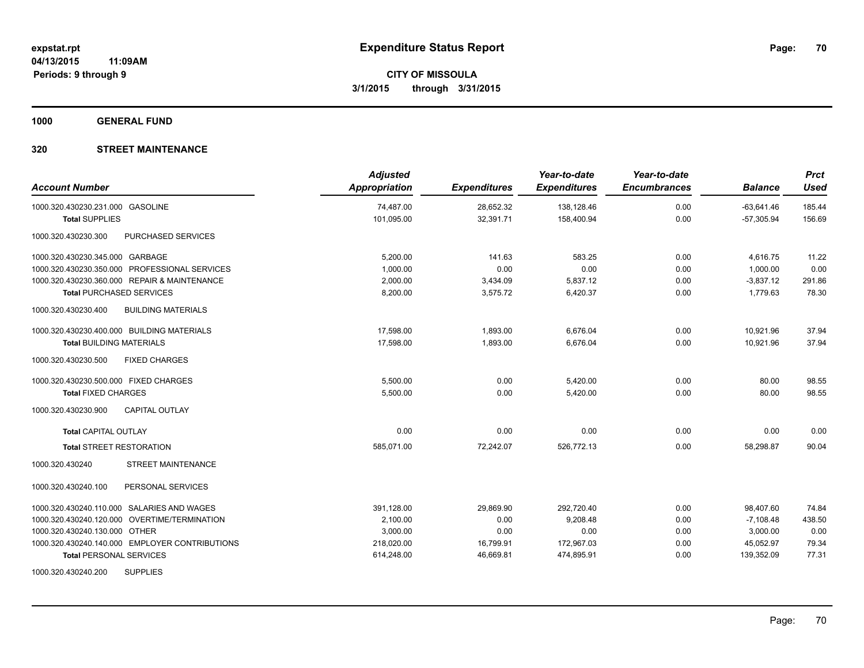**1000 GENERAL FUND**

| <b>Account Number</b>                            | <b>Adjusted</b><br><b>Appropriation</b> | <b>Expenditures</b> | Year-to-date<br><b>Expenditures</b> | Year-to-date<br><b>Encumbrances</b> | <b>Balance</b> | <b>Prct</b><br><b>Used</b> |
|--------------------------------------------------|-----------------------------------------|---------------------|-------------------------------------|-------------------------------------|----------------|----------------------------|
| 1000.320.430230.231.000 GASOLINE                 | 74,487.00                               | 28,652.32           | 138,128.46                          | 0.00                                | $-63,641.46$   | 185.44                     |
| <b>Total SUPPLIES</b>                            | 101,095.00                              | 32,391.71           | 158,400.94                          | 0.00                                | $-57,305.94$   | 156.69                     |
| 1000.320.430230.300<br>PURCHASED SERVICES        |                                         |                     |                                     |                                     |                |                            |
| 1000.320.430230.345.000 GARBAGE                  | 5,200.00                                | 141.63              | 583.25                              | 0.00                                | 4,616.75       | 11.22                      |
| 1000.320.430230.350.000 PROFESSIONAL SERVICES    | 1,000.00                                | 0.00                | 0.00                                | 0.00                                | 1,000.00       | 0.00                       |
| 1000.320.430230.360.000 REPAIR & MAINTENANCE     | 2,000.00                                | 3,434.09            | 5,837.12                            | 0.00                                | $-3,837.12$    | 291.86                     |
| <b>Total PURCHASED SERVICES</b>                  | 8,200.00                                | 3,575.72            | 6,420.37                            | 0.00                                | 1,779.63       | 78.30                      |
| 1000.320.430230.400<br><b>BUILDING MATERIALS</b> |                                         |                     |                                     |                                     |                |                            |
| 1000.320.430230.400.000 BUILDING MATERIALS       | 17,598.00                               | 1,893.00            | 6,676.04                            | 0.00                                | 10,921.96      | 37.94                      |
| <b>Total BUILDING MATERIALS</b>                  | 17,598.00                               | 1,893.00            | 6,676.04                            | 0.00                                | 10.921.96      | 37.94                      |
| 1000.320.430230.500<br><b>FIXED CHARGES</b>      |                                         |                     |                                     |                                     |                |                            |
| 1000.320.430230.500.000 FIXED CHARGES            | 5.500.00                                | 0.00                | 5,420.00                            | 0.00                                | 80.00          | 98.55                      |
| <b>Total FIXED CHARGES</b>                       | 5,500.00                                | 0.00                | 5,420.00                            | 0.00                                | 80.00          | 98.55                      |
| 1000.320.430230.900<br><b>CAPITAL OUTLAY</b>     |                                         |                     |                                     |                                     |                |                            |
| Total CAPITAL OUTLAY                             | 0.00                                    | 0.00                | 0.00                                | 0.00                                | 0.00           | 0.00                       |
| <b>Total STREET RESTORATION</b>                  | 585,071.00                              | 72,242.07           | 526,772.13                          | 0.00                                | 58,298.87      | 90.04                      |
| STREET MAINTENANCE<br>1000.320.430240            |                                         |                     |                                     |                                     |                |                            |
| PERSONAL SERVICES<br>1000.320.430240.100         |                                         |                     |                                     |                                     |                |                            |
| 1000.320.430240.110.000 SALARIES AND WAGES       | 391,128.00                              | 29,869.90           | 292.720.40                          | 0.00                                | 98,407.60      | 74.84                      |
| 1000.320.430240.120.000 OVERTIME/TERMINATION     | 2,100.00                                | 0.00                | 9,208.48                            | 0.00                                | $-7,108.48$    | 438.50                     |
| 1000.320.430240.130.000 OTHER                    | 3,000.00                                | 0.00                | 0.00                                | 0.00                                | 3,000.00       | 0.00                       |
| 1000.320.430240.140.000 EMPLOYER CONTRIBUTIONS   | 218,020.00                              | 16,799.91           | 172,967.03                          | 0.00                                | 45,052.97      | 79.34                      |
| <b>Total PERSONAL SERVICES</b>                   | 614,248.00                              | 46,669.81           | 474,895.91                          | 0.00                                | 139,352.09     | 77.31                      |
| 1000.320.430240.200<br><b>SUPPLIES</b>           |                                         |                     |                                     |                                     |                |                            |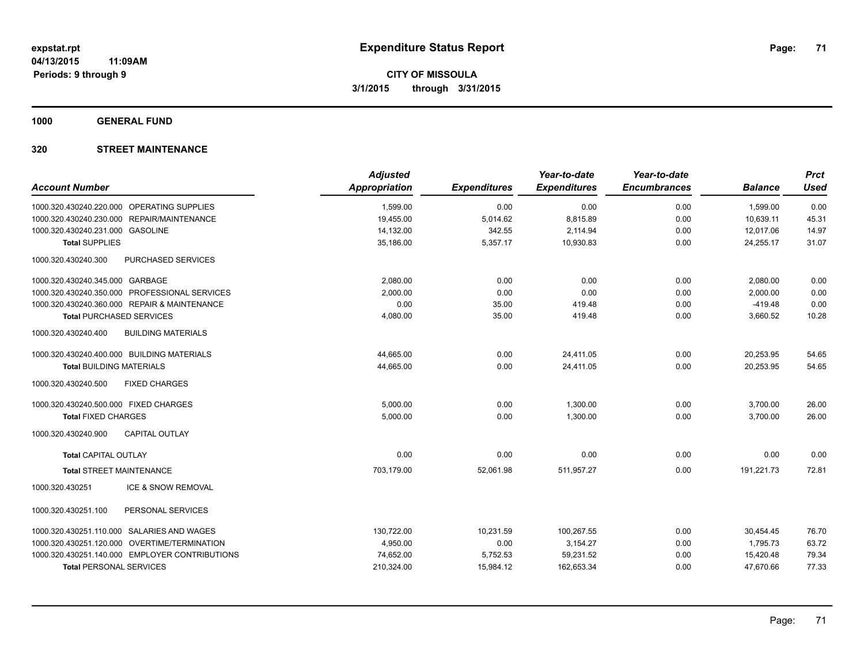**1000 GENERAL FUND**

| <b>Account Number</b>                            | <b>Adjusted</b><br><b>Appropriation</b> | <b>Expenditures</b> | Year-to-date<br><b>Expenditures</b> | Year-to-date<br><b>Encumbrances</b> | <b>Balance</b> | <b>Prct</b><br><b>Used</b> |
|--------------------------------------------------|-----------------------------------------|---------------------|-------------------------------------|-------------------------------------|----------------|----------------------------|
|                                                  |                                         |                     |                                     |                                     |                |                            |
| 1000.320.430240.220.000 OPERATING SUPPLIES       | 1,599.00                                | 0.00                | 0.00                                | 0.00                                | 1,599.00       | 0.00                       |
| 1000.320.430240.230.000 REPAIR/MAINTENANCE       | 19,455.00                               | 5,014.62            | 8,815.89                            | 0.00                                | 10,639.11      | 45.31                      |
| 1000.320.430240.231.000 GASOLINE                 | 14,132.00                               | 342.55              | 2,114.94                            | 0.00                                | 12,017.06      | 14.97                      |
| <b>Total SUPPLIES</b>                            | 35.186.00                               | 5,357.17            | 10.930.83                           | 0.00                                | 24,255.17      | 31.07                      |
| PURCHASED SERVICES<br>1000.320.430240.300        |                                         |                     |                                     |                                     |                |                            |
| 1000.320.430240.345.000 GARBAGE                  | 2,080.00                                | 0.00                | 0.00                                | 0.00                                | 2,080.00       | 0.00                       |
| 1000.320.430240.350.000 PROFESSIONAL SERVICES    | 2,000.00                                | 0.00                | 0.00                                | 0.00                                | 2,000.00       | 0.00                       |
| 1000.320.430240.360.000 REPAIR & MAINTENANCE     | 0.00                                    | 35.00               | 419.48                              | 0.00                                | $-419.48$      | 0.00                       |
| <b>Total PURCHASED SERVICES</b>                  | 4,080.00                                | 35.00               | 419.48                              | 0.00                                | 3,660.52       | 10.28                      |
| 1000.320.430240.400<br><b>BUILDING MATERIALS</b> |                                         |                     |                                     |                                     |                |                            |
| 1000.320.430240.400.000 BUILDING MATERIALS       | 44,665.00                               | 0.00                | 24,411.05                           | 0.00                                | 20,253.95      | 54.65                      |
| <b>Total BUILDING MATERIALS</b>                  | 44,665.00                               | 0.00                | 24,411.05                           | 0.00                                | 20,253.95      | 54.65                      |
| 1000.320.430240.500<br><b>FIXED CHARGES</b>      |                                         |                     |                                     |                                     |                |                            |
| 1000.320.430240.500.000 FIXED CHARGES            | 5,000.00                                | 0.00                | 1,300.00                            | 0.00                                | 3,700.00       | 26.00                      |
| <b>Total FIXED CHARGES</b>                       | 5,000.00                                | 0.00                | 1,300.00                            | 0.00                                | 3,700.00       | 26.00                      |
| 1000.320.430240.900<br><b>CAPITAL OUTLAY</b>     |                                         |                     |                                     |                                     |                |                            |
| <b>Total CAPITAL OUTLAY</b>                      | 0.00                                    | 0.00                | 0.00                                | 0.00                                | 0.00           | 0.00                       |
| <b>Total STREET MAINTENANCE</b>                  | 703,179.00                              | 52,061.98           | 511,957.27                          | 0.00                                | 191,221.73     | 72.81                      |
| 1000.320.430251<br><b>ICE &amp; SNOW REMOVAL</b> |                                         |                     |                                     |                                     |                |                            |
| PERSONAL SERVICES<br>1000.320.430251.100         |                                         |                     |                                     |                                     |                |                            |
| 1000.320.430251.110.000 SALARIES AND WAGES       | 130,722.00                              | 10,231.59           | 100,267.55                          | 0.00                                | 30,454.45      | 76.70                      |
| 1000.320.430251.120.000 OVERTIME/TERMINATION     | 4,950.00                                | 0.00                | 3,154.27                            | 0.00                                | 1,795.73       | 63.72                      |
| 1000.320.430251.140.000 EMPLOYER CONTRIBUTIONS   | 74,652.00                               | 5,752.53            | 59,231.52                           | 0.00                                | 15,420.48      | 79.34                      |
| <b>Total PERSONAL SERVICES</b>                   | 210,324.00                              | 15,984.12           | 162,653.34                          | 0.00                                | 47,670.66      | 77.33                      |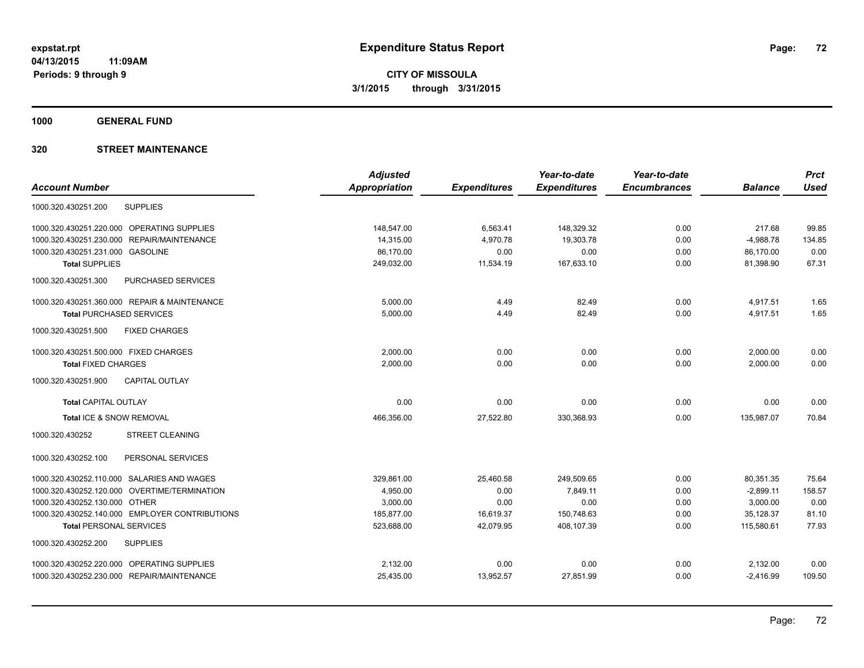**1000 GENERAL FUND**

|                                                | <b>Adjusted</b>      |                     | Year-to-date        | Year-to-date        |                | <b>Prct</b> |
|------------------------------------------------|----------------------|---------------------|---------------------|---------------------|----------------|-------------|
| <b>Account Number</b>                          | <b>Appropriation</b> | <b>Expenditures</b> | <b>Expenditures</b> | <b>Encumbrances</b> | <b>Balance</b> | <b>Used</b> |
| <b>SUPPLIES</b><br>1000.320.430251.200         |                      |                     |                     |                     |                |             |
| 1000.320.430251.220.000 OPERATING SUPPLIES     | 148,547.00           | 6,563.41            | 148,329.32          | 0.00                | 217.68         | 99.85       |
| REPAIR/MAINTENANCE<br>1000.320.430251.230.000  | 14,315.00            | 4,970.78            | 19,303.78           | 0.00                | $-4,988.78$    | 134.85      |
| 1000.320.430251.231.000 GASOLINE               | 86,170.00            | 0.00                | 0.00                | 0.00                | 86,170.00      | 0.00        |
| <b>Total SUPPLIES</b>                          | 249,032.00           | 11,534.19           | 167,633.10          | 0.00                | 81,398.90      | 67.31       |
| 1000.320.430251.300<br>PURCHASED SERVICES      |                      |                     |                     |                     |                |             |
| 1000.320.430251.360.000 REPAIR & MAINTENANCE   | 5,000.00             | 4.49                | 82.49               | 0.00                | 4,917.51       | 1.65        |
| <b>Total PURCHASED SERVICES</b>                | 5,000.00             | 4.49                | 82.49               | 0.00                | 4,917.51       | 1.65        |
| 1000.320.430251.500<br><b>FIXED CHARGES</b>    |                      |                     |                     |                     |                |             |
| 1000.320.430251.500.000 FIXED CHARGES          | 2,000.00             | 0.00                | 0.00                | 0.00                | 2,000.00       | 0.00        |
| <b>Total FIXED CHARGES</b>                     | 2,000.00             | 0.00                | 0.00                | 0.00                | 2,000.00       | 0.00        |
| <b>CAPITAL OUTLAY</b><br>1000.320.430251.900   |                      |                     |                     |                     |                |             |
| <b>Total CAPITAL OUTLAY</b>                    | 0.00                 | 0.00                | 0.00                | 0.00                | 0.00           | 0.00        |
| Total ICE & SNOW REMOVAL                       | 466,356.00           | 27,522.80           | 330,368.93          | 0.00                | 135,987.07     | 70.84       |
| 1000.320.430252<br><b>STREET CLEANING</b>      |                      |                     |                     |                     |                |             |
| PERSONAL SERVICES<br>1000.320.430252.100       |                      |                     |                     |                     |                |             |
| 1000.320.430252.110.000 SALARIES AND WAGES     | 329,861.00           | 25,460.58           | 249,509.65          | 0.00                | 80,351.35      | 75.64       |
| 1000.320.430252.120.000 OVERTIME/TERMINATION   | 4,950.00             | 0.00                | 7.849.11            | 0.00                | $-2,899.11$    | 158.57      |
| 1000.320.430252.130.000 OTHER                  | 3,000.00             | 0.00                | 0.00                | 0.00                | 3,000.00       | 0.00        |
| 1000.320.430252.140.000 EMPLOYER CONTRIBUTIONS | 185,877.00           | 16,619.37           | 150,748.63          | 0.00                | 35,128.37      | 81.10       |
| <b>Total PERSONAL SERVICES</b>                 | 523,688.00           | 42,079.95           | 408,107.39          | 0.00                | 115,580.61     | 77.93       |
| <b>SUPPLIES</b><br>1000.320.430252.200         |                      |                     |                     |                     |                |             |
| 1000.320.430252.220.000 OPERATING SUPPLIES     | 2,132.00             | 0.00                | 0.00                | 0.00                | 2,132.00       | 0.00        |
| 1000.320.430252.230.000 REPAIR/MAINTENANCE     | 25,435.00            | 13,952.57           | 27,851.99           | 0.00                | $-2,416.99$    | 109.50      |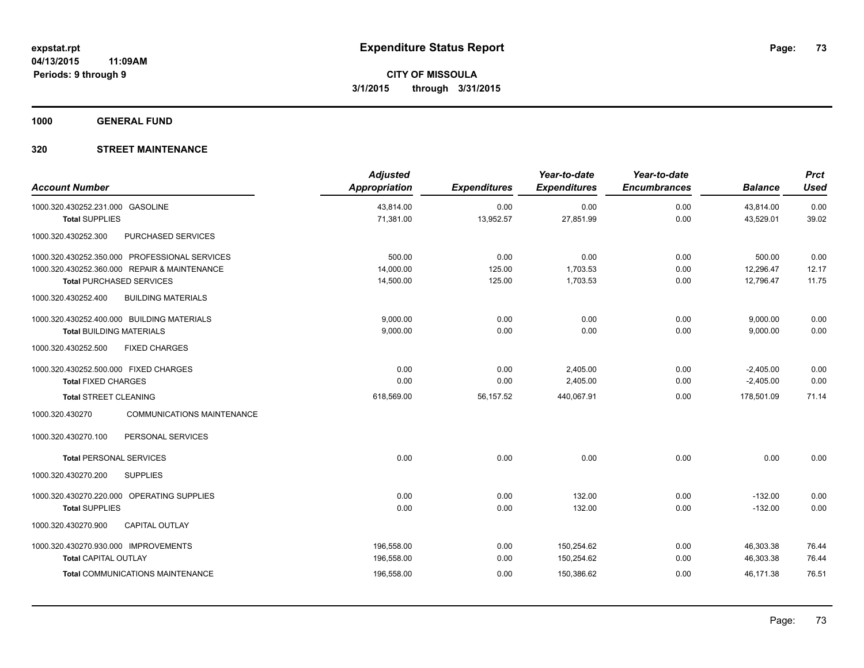**1000 GENERAL FUND**

## **320 STREET MAINTENANCE**

| <b>Account Number</b>                                                                                                            | <b>Adjusted</b><br><b>Appropriation</b> | <b>Expenditures</b>      | Year-to-date<br><b>Expenditures</b> | Year-to-date<br><b>Encumbrances</b> | <b>Balance</b>                   | <b>Prct</b><br><b>Used</b> |
|----------------------------------------------------------------------------------------------------------------------------------|-----------------------------------------|--------------------------|-------------------------------------|-------------------------------------|----------------------------------|----------------------------|
| 1000.320.430252.231.000 GASOLINE<br><b>Total SUPPLIES</b>                                                                        | 43,814.00<br>71,381.00                  | 0.00<br>13,952.57        | 0.00<br>27,851.99                   | 0.00<br>0.00                        | 43,814.00<br>43,529.01           | 0.00<br>39.02              |
| 1000.320.430252.300<br>PURCHASED SERVICES                                                                                        |                                         |                          |                                     |                                     |                                  |                            |
| 1000.320.430252.350.000 PROFESSIONAL SERVICES<br>1000.320.430252.360.000 REPAIR & MAINTENANCE<br><b>Total PURCHASED SERVICES</b> | 500.00<br>14,000.00<br>14,500.00        | 0.00<br>125.00<br>125.00 | 0.00<br>1,703.53<br>1,703.53        | 0.00<br>0.00<br>0.00                | 500.00<br>12,296.47<br>12,796.47 | 0.00<br>12.17<br>11.75     |
| <b>BUILDING MATERIALS</b><br>1000.320.430252.400                                                                                 |                                         |                          |                                     |                                     |                                  |                            |
| 1000.320.430252.400.000 BUILDING MATERIALS<br><b>Total BUILDING MATERIALS</b><br><b>FIXED CHARGES</b><br>1000.320.430252.500     | 9,000.00<br>9,000.00                    | 0.00<br>0.00             | 0.00<br>0.00                        | 0.00<br>0.00                        | 9,000.00<br>9,000.00             | 0.00<br>0.00               |
| 1000.320.430252.500.000 FIXED CHARGES<br><b>Total FIXED CHARGES</b>                                                              | 0.00<br>0.00                            | 0.00<br>0.00             | 2,405.00<br>2,405.00                | 0.00<br>0.00                        | $-2,405.00$<br>$-2,405.00$       | 0.00<br>0.00               |
| <b>Total STREET CLEANING</b>                                                                                                     | 618,569.00                              | 56,157.52                | 440,067.91                          | 0.00                                | 178,501.09                       | 71.14                      |
| <b>COMMUNICATIONS MAINTENANCE</b><br>1000.320.430270                                                                             |                                         |                          |                                     |                                     |                                  |                            |
| 1000.320.430270.100<br>PERSONAL SERVICES                                                                                         |                                         |                          |                                     |                                     |                                  |                            |
| <b>Total PERSONAL SERVICES</b>                                                                                                   | 0.00                                    | 0.00                     | 0.00                                | 0.00                                | 0.00                             | 0.00                       |
| <b>SUPPLIES</b><br>1000.320.430270.200                                                                                           |                                         |                          |                                     |                                     |                                  |                            |
| 1000.320.430270.220.000 OPERATING SUPPLIES<br><b>Total SUPPLIES</b>                                                              | 0.00<br>0.00                            | 0.00<br>0.00             | 132.00<br>132.00                    | 0.00<br>0.00                        | $-132.00$<br>$-132.00$           | 0.00<br>0.00               |
| <b>CAPITAL OUTLAY</b><br>1000.320.430270.900                                                                                     |                                         |                          |                                     |                                     |                                  |                            |
| 1000.320.430270.930.000 IMPROVEMENTS<br><b>Total CAPITAL OUTLAY</b>                                                              | 196,558.00<br>196,558.00                | 0.00<br>0.00             | 150,254.62<br>150,254.62            | 0.00<br>0.00                        | 46,303.38<br>46,303.38           | 76.44<br>76.44             |
| <b>Total COMMUNICATIONS MAINTENANCE</b>                                                                                          | 196,558.00                              | 0.00                     | 150,386.62                          | 0.00                                | 46,171.38                        | 76.51                      |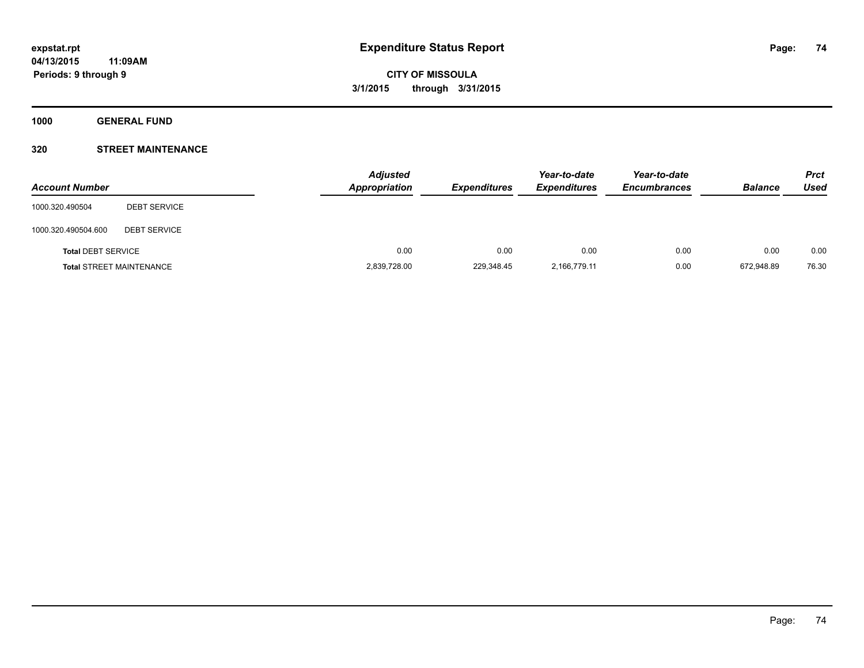**1000 GENERAL FUND**

## **320 STREET MAINTENANCE**

| <b>Account Number</b>     |                                 | <b>Adjusted</b><br><b>Appropriation</b> | <b>Expenditures</b> | Year-to-date<br><b>Expenditures</b> | Year-to-date<br><b>Encumbrances</b> | <b>Balance</b> | <b>Prct</b><br>Used |
|---------------------------|---------------------------------|-----------------------------------------|---------------------|-------------------------------------|-------------------------------------|----------------|---------------------|
| 1000.320.490504           | <b>DEBT SERVICE</b>             |                                         |                     |                                     |                                     |                |                     |
| 1000.320.490504.600       | <b>DEBT SERVICE</b>             |                                         |                     |                                     |                                     |                |                     |
| <b>Total DEBT SERVICE</b> |                                 | 0.00                                    | 0.00                | 0.00                                | 0.00                                | 0.00           | 0.00                |
|                           | <b>Total STREET MAINTENANCE</b> | 2,839,728.00                            | 229,348.45          | 2,166,779.11                        | 0.00                                | 672.948.89     | 76.30               |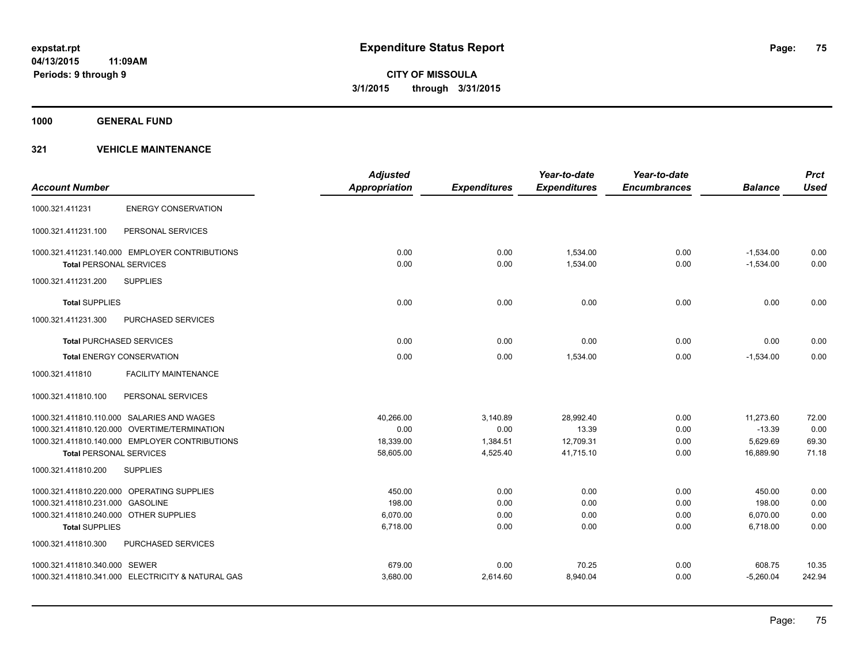**1000 GENERAL FUND**

|                                        |                                                   | <b>Adjusted</b>      |                     | Year-to-date        | Year-to-date        |                | <b>Prct</b> |
|----------------------------------------|---------------------------------------------------|----------------------|---------------------|---------------------|---------------------|----------------|-------------|
| <b>Account Number</b>                  |                                                   | <b>Appropriation</b> | <b>Expenditures</b> | <b>Expenditures</b> | <b>Encumbrances</b> | <b>Balance</b> | <b>Used</b> |
| 1000.321.411231                        | <b>ENERGY CONSERVATION</b>                        |                      |                     |                     |                     |                |             |
| 1000.321.411231.100                    | PERSONAL SERVICES                                 |                      |                     |                     |                     |                |             |
|                                        | 1000.321.411231.140.000 EMPLOYER CONTRIBUTIONS    | 0.00                 | 0.00                | 1.534.00            | 0.00                | $-1,534.00$    | 0.00        |
| <b>Total PERSONAL SERVICES</b>         |                                                   | 0.00                 | 0.00                | 1,534.00            | 0.00                | $-1,534.00$    | 0.00        |
| 1000.321.411231.200                    | <b>SUPPLIES</b>                                   |                      |                     |                     |                     |                |             |
| <b>Total SUPPLIES</b>                  |                                                   | 0.00                 | 0.00                | 0.00                | 0.00                | 0.00           | 0.00        |
| 1000.321.411231.300                    | <b>PURCHASED SERVICES</b>                         |                      |                     |                     |                     |                |             |
| <b>Total PURCHASED SERVICES</b>        |                                                   | 0.00                 | 0.00                | 0.00                | 0.00                | 0.00           | 0.00        |
|                                        | <b>Total ENERGY CONSERVATION</b>                  | 0.00                 | 0.00                | 1,534.00            | 0.00                | $-1,534.00$    | 0.00        |
| 1000.321.411810                        | <b>FACILITY MAINTENANCE</b>                       |                      |                     |                     |                     |                |             |
| 1000.321.411810.100                    | PERSONAL SERVICES                                 |                      |                     |                     |                     |                |             |
|                                        | 1000.321.411810.110.000 SALARIES AND WAGES        | 40,266.00            | 3,140.89            | 28,992.40           | 0.00                | 11,273.60      | 72.00       |
|                                        | 1000.321.411810.120.000 OVERTIME/TERMINATION      | 0.00                 | 0.00                | 13.39               | 0.00                | $-13.39$       | 0.00        |
|                                        | 1000.321.411810.140.000 EMPLOYER CONTRIBUTIONS    | 18,339.00            | 1,384.51            | 12,709.31           | 0.00                | 5,629.69       | 69.30       |
| <b>Total PERSONAL SERVICES</b>         |                                                   | 58,605.00            | 4,525.40            | 41,715.10           | 0.00                | 16,889.90      | 71.18       |
| 1000.321.411810.200                    | <b>SUPPLIES</b>                                   |                      |                     |                     |                     |                |             |
|                                        | 1000.321.411810.220.000 OPERATING SUPPLIES        | 450.00               | 0.00                | 0.00                | 0.00                | 450.00         | 0.00        |
| 1000.321.411810.231.000 GASOLINE       |                                                   | 198.00               | 0.00                | 0.00                | 0.00                | 198.00         | 0.00        |
| 1000.321.411810.240.000 OTHER SUPPLIES |                                                   | 6,070.00             | 0.00                | 0.00                | 0.00                | 6,070.00       | 0.00        |
| <b>Total SUPPLIES</b>                  |                                                   | 6,718.00             | 0.00                | 0.00                | 0.00                | 6,718.00       | 0.00        |
| 1000.321.411810.300                    | <b>PURCHASED SERVICES</b>                         |                      |                     |                     |                     |                |             |
| 1000.321.411810.340.000 SEWER          |                                                   | 679.00               | 0.00                | 70.25               | 0.00                | 608.75         | 10.35       |
|                                        | 1000.321.411810.341.000 ELECTRICITY & NATURAL GAS | 3,680.00             | 2,614.60            | 8,940.04            | 0.00                | $-5,260.04$    | 242.94      |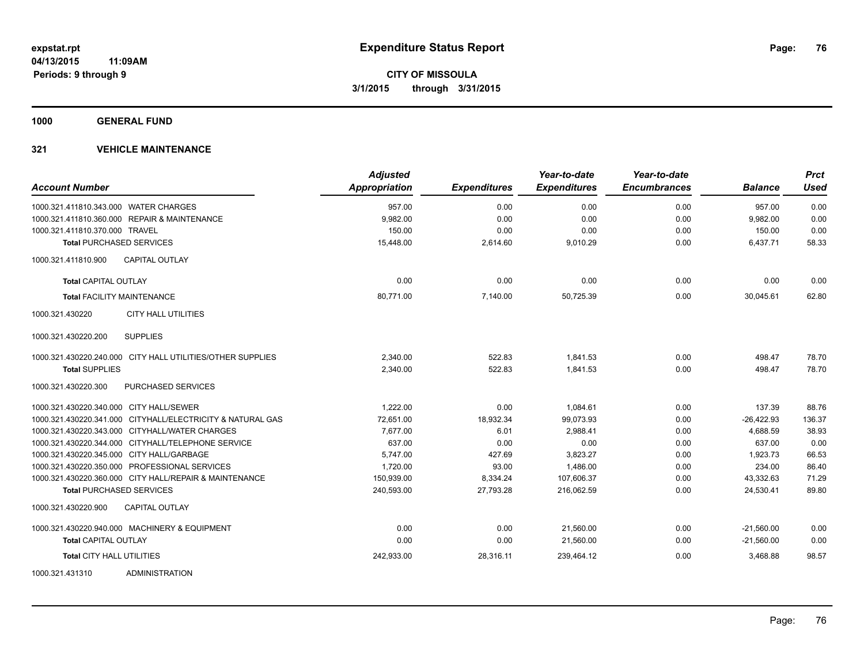**1000 GENERAL FUND**

| <b>Account Number</b>                                      | <b>Adjusted</b><br>Appropriation | <b>Expenditures</b> | Year-to-date<br><b>Expenditures</b> | Year-to-date<br><b>Encumbrances</b> | <b>Balance</b> | <b>Prct</b><br><b>Used</b> |
|------------------------------------------------------------|----------------------------------|---------------------|-------------------------------------|-------------------------------------|----------------|----------------------------|
| 1000.321.411810.343.000 WATER CHARGES                      | 957.00                           | 0.00                | 0.00                                | 0.00                                | 957.00         | 0.00                       |
| 1000.321.411810.360.000 REPAIR & MAINTENANCE               | 9,982.00                         | 0.00                | 0.00                                | 0.00                                | 9,982.00       | 0.00                       |
| 1000.321.411810.370.000 TRAVEL                             | 150.00                           | 0.00                | 0.00                                | 0.00                                | 150.00         | 0.00                       |
| <b>Total PURCHASED SERVICES</b>                            | 15,448.00                        | 2,614.60            | 9,010.29                            | 0.00                                | 6,437.71       | 58.33                      |
| <b>CAPITAL OUTLAY</b><br>1000.321.411810.900               |                                  |                     |                                     |                                     |                |                            |
| <b>Total CAPITAL OUTLAY</b>                                | 0.00                             | 0.00                | 0.00                                | 0.00                                | 0.00           | 0.00                       |
| <b>Total FACILITY MAINTENANCE</b>                          | 80,771.00                        | 7,140.00            | 50,725.39                           | 0.00                                | 30.045.61      | 62.80                      |
| 1000.321.430220<br><b>CITY HALL UTILITIES</b>              |                                  |                     |                                     |                                     |                |                            |
| 1000.321.430220.200<br><b>SUPPLIES</b>                     |                                  |                     |                                     |                                     |                |                            |
| 1000.321.430220.240.000 CITY HALL UTILITIES/OTHER SUPPLIES | 2,340.00                         | 522.83              | 1.841.53                            | 0.00                                | 498.47         | 78.70                      |
| <b>Total SUPPLIES</b>                                      | 2,340.00                         | 522.83              | 1.841.53                            | 0.00                                | 498.47         | 78.70                      |
| 1000.321.430220.300<br>PURCHASED SERVICES                  |                                  |                     |                                     |                                     |                |                            |
| 1000.321.430220.340.000 CITY HALL/SEWER                    | 1.222.00                         | 0.00                | 1,084.61                            | 0.00                                | 137.39         | 88.76                      |
| 1000.321.430220.341.000 CITYHALL/ELECTRICITY & NATURAL GAS | 72,651.00                        | 18,932.34           | 99,073.93                           | 0.00                                | $-26,422.93$   | 136.37                     |
| 1000.321.430220.343.000 CITYHALL/WATER CHARGES             | 7,677.00                         | 6.01                | 2,988.41                            | 0.00                                | 4,688.59       | 38.93                      |
| 1000.321.430220.344.000 CITYHALL/TELEPHONE SERVICE         | 637.00                           | 0.00                | 0.00                                | 0.00                                | 637.00         | 0.00                       |
| 1000.321.430220.345.000 CITY HALL/GARBAGE                  | 5,747.00                         | 427.69              | 3,823.27                            | 0.00                                | 1,923.73       | 66.53                      |
| 1000.321.430220.350.000 PROFESSIONAL SERVICES              | 1,720.00                         | 93.00               | 1.486.00                            | 0.00                                | 234.00         | 86.40                      |
| 1000.321.430220.360.000 CITY HALL/REPAIR & MAINTENANCE     | 150,939.00                       | 8,334.24            | 107,606.37                          | 0.00                                | 43,332.63      | 71.29                      |
| <b>Total PURCHASED SERVICES</b>                            | 240,593.00                       | 27,793.28           | 216,062.59                          | 0.00                                | 24,530.41      | 89.80                      |
| <b>CAPITAL OUTLAY</b><br>1000.321.430220.900               |                                  |                     |                                     |                                     |                |                            |
| 1000.321.430220.940.000 MACHINERY & EQUIPMENT              | 0.00                             | 0.00                | 21,560.00                           | 0.00                                | $-21,560.00$   | 0.00                       |
| <b>Total CAPITAL OUTLAY</b>                                | 0.00                             | 0.00                | 21,560.00                           | 0.00                                | $-21,560.00$   | 0.00                       |
| <b>Total CITY HALL UTILITIES</b>                           | 242,933.00                       | 28,316.11           | 239,464.12                          | 0.00                                | 3,468.88       | 98.57                      |
| 1000.321.431310<br><b>ADMINISTRATION</b>                   |                                  |                     |                                     |                                     |                |                            |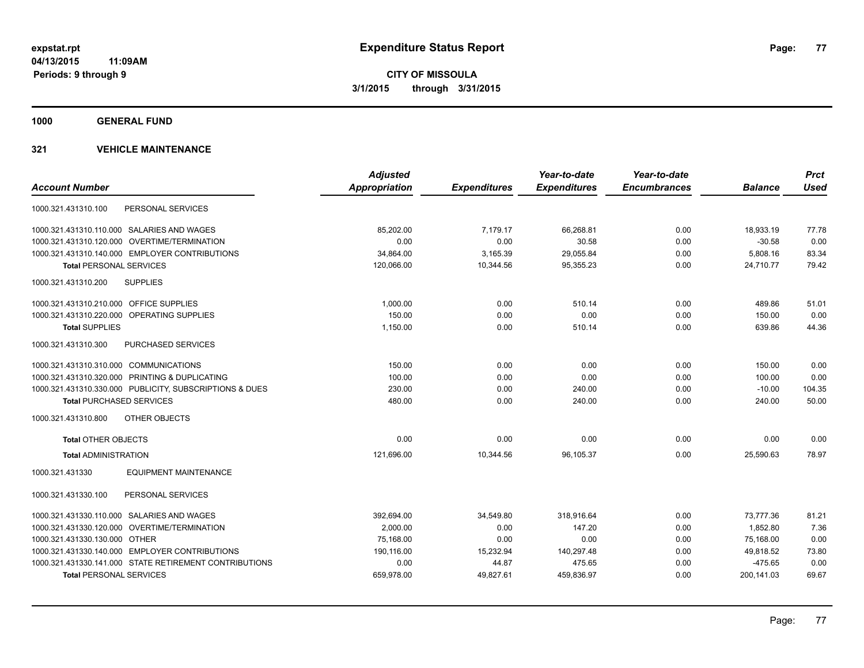**1000 GENERAL FUND**

|                                                         | <b>Adjusted</b> |                     | Year-to-date        | Year-to-date        |                | <b>Prct</b> |
|---------------------------------------------------------|-----------------|---------------------|---------------------|---------------------|----------------|-------------|
| <b>Account Number</b>                                   | Appropriation   | <b>Expenditures</b> | <b>Expenditures</b> | <b>Encumbrances</b> | <b>Balance</b> | <b>Used</b> |
| PERSONAL SERVICES<br>1000.321.431310.100                |                 |                     |                     |                     |                |             |
| 1000.321.431310.110.000 SALARIES AND WAGES              | 85,202.00       | 7,179.17            | 66,268.81           | 0.00                | 18,933.19      | 77.78       |
| 1000.321.431310.120.000 OVERTIME/TERMINATION            | 0.00            | 0.00                | 30.58               | 0.00                | $-30.58$       | 0.00        |
| 1000.321.431310.140.000 EMPLOYER CONTRIBUTIONS          | 34.864.00       | 3,165.39            | 29,055.84           | 0.00                | 5,808.16       | 83.34       |
| <b>Total PERSONAL SERVICES</b>                          | 120.066.00      | 10,344.56           | 95.355.23           | 0.00                | 24.710.77      | 79.42       |
| <b>SUPPLIES</b><br>1000.321.431310.200                  |                 |                     |                     |                     |                |             |
| 1000.321.431310.210.000 OFFICE SUPPLIES                 | 1,000.00        | 0.00                | 510.14              | 0.00                | 489.86         | 51.01       |
| 1000.321.431310.220.000 OPERATING SUPPLIES              | 150.00          | 0.00                | 0.00                | 0.00                | 150.00         | 0.00        |
| <b>Total SUPPLIES</b>                                   | 1,150.00        | 0.00                | 510.14              | 0.00                | 639.86         | 44.36       |
| 1000.321.431310.300<br>PURCHASED SERVICES               |                 |                     |                     |                     |                |             |
| 1000.321.431310.310.000 COMMUNICATIONS                  | 150.00          | 0.00                | 0.00                | 0.00                | 150.00         | 0.00        |
| 1000.321.431310.320.000 PRINTING & DUPLICATING          | 100.00          | 0.00                | 0.00                | 0.00                | 100.00         | 0.00        |
| 1000.321.431310.330.000 PUBLICITY, SUBSCRIPTIONS & DUES | 230.00          | 0.00                | 240.00              | 0.00                | $-10.00$       | 104.35      |
| <b>Total PURCHASED SERVICES</b>                         | 480.00          | 0.00                | 240.00              | 0.00                | 240.00         | 50.00       |
| 1000.321.431310.800<br><b>OTHER OBJECTS</b>             |                 |                     |                     |                     |                |             |
| <b>Total OTHER OBJECTS</b>                              | 0.00            | 0.00                | 0.00                | 0.00                | 0.00           | 0.00        |
| <b>Total ADMINISTRATION</b>                             | 121,696.00      | 10,344.56           | 96,105.37           | 0.00                | 25,590.63      | 78.97       |
| <b>EQUIPMENT MAINTENANCE</b><br>1000.321.431330         |                 |                     |                     |                     |                |             |
| PERSONAL SERVICES<br>1000.321.431330.100                |                 |                     |                     |                     |                |             |
| 1000.321.431330.110.000 SALARIES AND WAGES              | 392,694.00      | 34,549.80           | 318,916.64          | 0.00                | 73,777.36      | 81.21       |
| 1000.321.431330.120.000 OVERTIME/TERMINATION            | 2,000.00        | 0.00                | 147.20              | 0.00                | 1,852.80       | 7.36        |
| 1000.321.431330.130.000 OTHER                           | 75,168.00       | 0.00                | 0.00                | 0.00                | 75,168.00      | 0.00        |
| 1000.321.431330.140.000 EMPLOYER CONTRIBUTIONS          | 190,116.00      | 15,232.94           | 140,297.48          | 0.00                | 49,818.52      | 73.80       |
| 1000.321.431330.141.000 STATE RETIREMENT CONTRIBUTIONS  | 0.00            | 44.87               | 475.65              | 0.00                | $-475.65$      | 0.00        |
| <b>Total PERSONAL SERVICES</b>                          | 659,978.00      | 49,827.61           | 459,836.97          | 0.00                | 200,141.03     | 69.67       |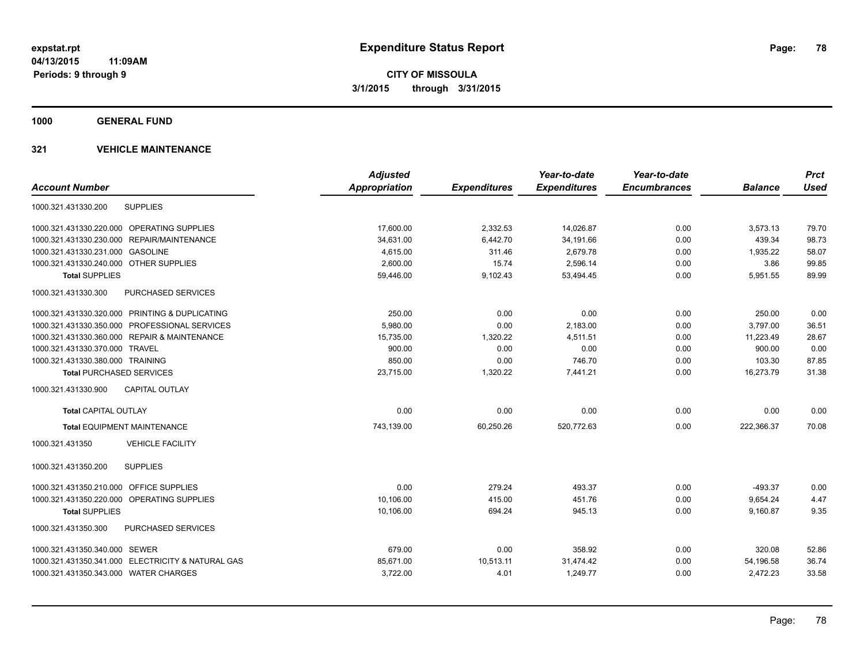**1000 GENERAL FUND**

|                                                   | <b>Adjusted</b>      |                     | Year-to-date        | Year-to-date        |                | <b>Prct</b> |
|---------------------------------------------------|----------------------|---------------------|---------------------|---------------------|----------------|-------------|
| <b>Account Number</b>                             | <b>Appropriation</b> | <b>Expenditures</b> | <b>Expenditures</b> | <b>Encumbrances</b> | <b>Balance</b> | <b>Used</b> |
| <b>SUPPLIES</b><br>1000.321.431330.200            |                      |                     |                     |                     |                |             |
| 1000.321.431330.220.000 OPERATING SUPPLIES        | 17,600.00            | 2,332.53            | 14,026.87           | 0.00                | 3,573.13       | 79.70       |
| 1000.321.431330.230.000 REPAIR/MAINTENANCE        | 34,631.00            | 6,442.70            | 34,191.66           | 0.00                | 439.34         | 98.73       |
| 1000.321.431330.231.000 GASOLINE                  | 4,615.00             | 311.46              | 2,679.78            | 0.00                | 1,935.22       | 58.07       |
| 1000.321.431330.240.000 OTHER SUPPLIES            | 2,600.00             | 15.74               | 2,596.14            | 0.00                | 3.86           | 99.85       |
| <b>Total SUPPLIES</b>                             | 59,446.00            | 9,102.43            | 53,494.45           | 0.00                | 5,951.55       | 89.99       |
| <b>PURCHASED SERVICES</b><br>1000.321.431330.300  |                      |                     |                     |                     |                |             |
| 1000.321.431330.320.000 PRINTING & DUPLICATING    | 250.00               | 0.00                | 0.00                | 0.00                | 250.00         | 0.00        |
| 1000.321.431330.350.000 PROFESSIONAL SERVICES     | 5,980.00             | 0.00                | 2,183.00            | 0.00                | 3.797.00       | 36.51       |
| 1000.321.431330.360.000 REPAIR & MAINTENANCE      | 15,735.00            | 1,320.22            | 4,511.51            | 0.00                | 11,223.49      | 28.67       |
| 1000.321.431330.370.000 TRAVEL                    | 900.00               | 0.00                | 0.00                | 0.00                | 900.00         | 0.00        |
| 1000.321.431330.380.000 TRAINING                  | 850.00               | 0.00                | 746.70              | 0.00                | 103.30         | 87.85       |
| <b>Total PURCHASED SERVICES</b>                   | 23,715.00            | 1,320.22            | 7,441.21            | 0.00                | 16,273.79      | 31.38       |
| <b>CAPITAL OUTLAY</b><br>1000.321.431330.900      |                      |                     |                     |                     |                |             |
| <b>Total CAPITAL OUTLAY</b>                       | 0.00                 | 0.00                | 0.00                | 0.00                | 0.00           | 0.00        |
| <b>Total EQUIPMENT MAINTENANCE</b>                | 743,139.00           | 60,250.26           | 520,772.63          | 0.00                | 222,366.37     | 70.08       |
| 1000.321.431350<br><b>VEHICLE FACILITY</b>        |                      |                     |                     |                     |                |             |
| 1000.321.431350.200<br><b>SUPPLIES</b>            |                      |                     |                     |                     |                |             |
| 1000.321.431350.210.000 OFFICE SUPPLIES           | 0.00                 | 279.24              | 493.37              | 0.00                | $-493.37$      | 0.00        |
| 1000.321.431350.220.000 OPERATING SUPPLIES        | 10,106.00            | 415.00              | 451.76              | 0.00                | 9,654.24       | 4.47        |
| <b>Total SUPPLIES</b>                             | 10,106.00            | 694.24              | 945.13              | 0.00                | 9,160.87       | 9.35        |
| <b>PURCHASED SERVICES</b><br>1000.321.431350.300  |                      |                     |                     |                     |                |             |
| 1000.321.431350.340.000 SEWER                     | 679.00               | 0.00                | 358.92              | 0.00                | 320.08         | 52.86       |
| 1000.321.431350.341.000 ELECTRICITY & NATURAL GAS | 85,671.00            | 10,513.11           | 31,474.42           | 0.00                | 54,196.58      | 36.74       |
| 1000.321.431350.343.000 WATER CHARGES             | 3,722.00             | 4.01                | 1,249.77            | 0.00                | 2,472.23       | 33.58       |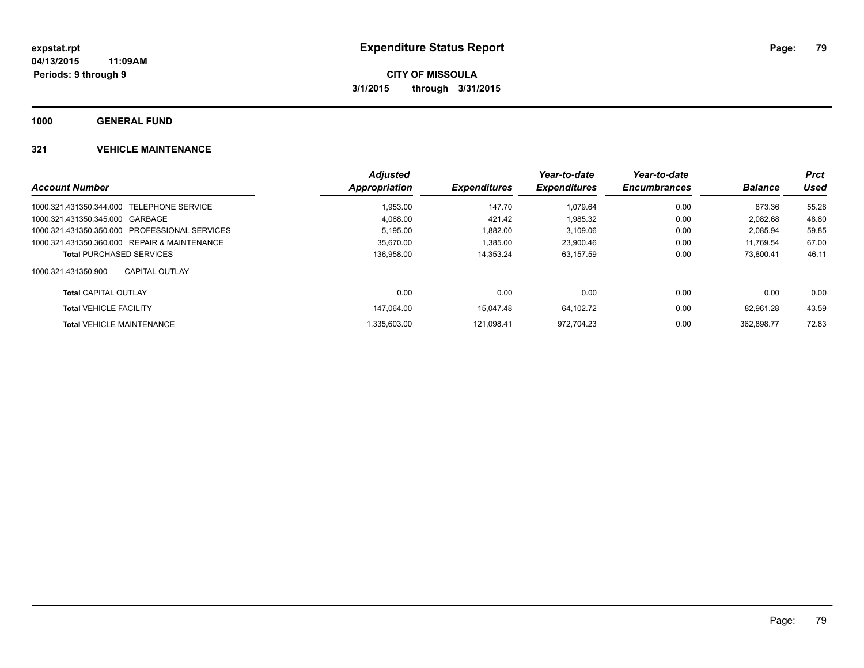**1000 GENERAL FUND**

|                                               | <b>Adjusted</b> |                            | Year-to-date        | Year-to-date        |                | <b>Prct</b> |
|-----------------------------------------------|-----------------|----------------------------|---------------------|---------------------|----------------|-------------|
| <b>Account Number</b>                         | Appropriation   | <i><b>Expenditures</b></i> | <b>Expenditures</b> | <b>Encumbrances</b> | <b>Balance</b> | Used        |
| 1000.321.431350.344.000 TELEPHONE SERVICE     | 1.953.00        | 147.70                     | 1.079.64            | 0.00                | 873.36         | 55.28       |
| 1000.321.431350.345.000 GARBAGE               | 4.068.00        | 421.42                     | 1.985.32            | 0.00                | 2.082.68       | 48.80       |
| 1000.321.431350.350.000 PROFESSIONAL SERVICES | 5,195.00        | 1.882.00                   | 3,109.06            | 0.00                | 2.085.94       | 59.85       |
| 1000.321.431350.360.000 REPAIR & MAINTENANCE  | 35.670.00       | 1.385.00                   | 23.900.46           | 0.00                | 11.769.54      | 67.00       |
| <b>Total PURCHASED SERVICES</b>               | 136,958.00      | 14.353.24                  | 63.157.59           | 0.00                | 73.800.41      | 46.11       |
| 1000.321.431350.900<br>CAPITAL OUTLAY         |                 |                            |                     |                     |                |             |
| <b>Total CAPITAL OUTLAY</b>                   | 0.00            | 0.00                       | 0.00                | 0.00                | 0.00           | 0.00        |
| <b>Total VEHICLE FACILITY</b>                 | 147.064.00      | 15.047.48                  | 64.102.72           | 0.00                | 82.961.28      | 43.59       |
| <b>Total VEHICLE MAINTENANCE</b>              | 1.335.603.00    | 121.098.41                 | 972.704.23          | 0.00                | 362.898.77     | 72.83       |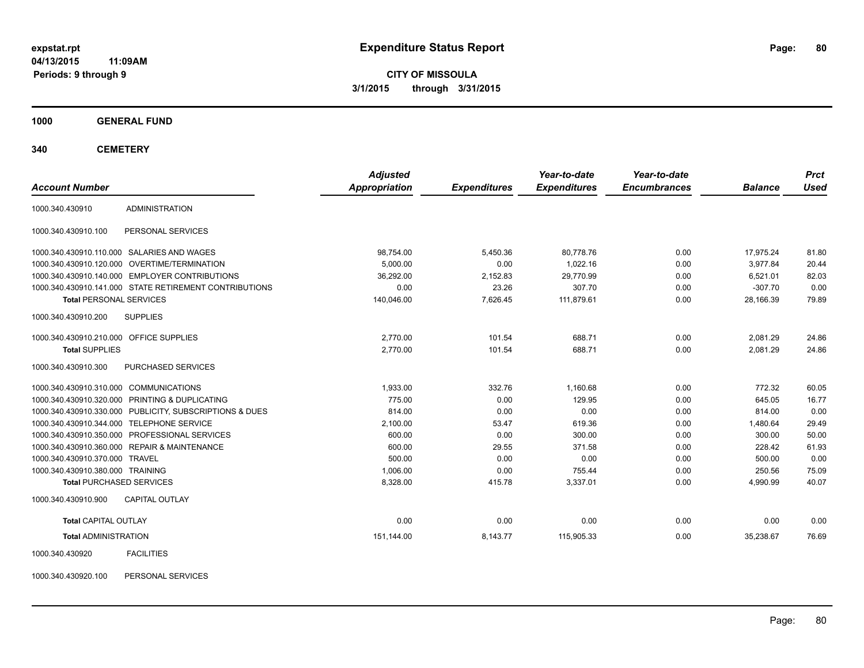**CITY OF MISSOULA 3/1/2015 through 3/31/2015**

**1000 GENERAL FUND**

**340 CEMETERY**

| <b>Account Number</b>                   |                                                         | <b>Adjusted</b><br>Appropriation | <b>Expenditures</b> | Year-to-date<br><b>Expenditures</b> | Year-to-date<br><b>Encumbrances</b> | <b>Balance</b> | <b>Prct</b><br><b>Used</b> |
|-----------------------------------------|---------------------------------------------------------|----------------------------------|---------------------|-------------------------------------|-------------------------------------|----------------|----------------------------|
| 1000.340.430910                         | <b>ADMINISTRATION</b>                                   |                                  |                     |                                     |                                     |                |                            |
| 1000.340.430910.100                     | PERSONAL SERVICES                                       |                                  |                     |                                     |                                     |                |                            |
|                                         | 1000.340.430910.110.000 SALARIES AND WAGES              | 98,754.00                        | 5,450.36            | 80,778.76                           | 0.00                                | 17,975.24      | 81.80                      |
|                                         | 1000.340.430910.120.000 OVERTIME/TERMINATION            | 5,000.00                         | 0.00                | 1.022.16                            | 0.00                                | 3,977.84       | 20.44                      |
|                                         | 1000.340.430910.140.000 EMPLOYER CONTRIBUTIONS          | 36,292.00                        | 2,152.83            | 29.770.99                           | 0.00                                | 6,521.01       | 82.03                      |
|                                         | 1000.340.430910.141.000 STATE RETIREMENT CONTRIBUTIONS  | 0.00                             | 23.26               | 307.70                              | 0.00                                | $-307.70$      | 0.00                       |
| <b>Total PERSONAL SERVICES</b>          |                                                         | 140.046.00                       | 7.626.45            | 111.879.61                          | 0.00                                | 28.166.39      | 79.89                      |
| 1000.340.430910.200                     | <b>SUPPLIES</b>                                         |                                  |                     |                                     |                                     |                |                            |
| 1000.340.430910.210.000 OFFICE SUPPLIES |                                                         | 2.770.00                         | 101.54              | 688.71                              | 0.00                                | 2,081.29       | 24.86                      |
| <b>Total SUPPLIES</b>                   |                                                         | 2,770.00                         | 101.54              | 688.71                              | 0.00                                | 2,081.29       | 24.86                      |
| 1000.340.430910.300                     | <b>PURCHASED SERVICES</b>                               |                                  |                     |                                     |                                     |                |                            |
| 1000.340.430910.310.000 COMMUNICATIONS  |                                                         | 1.933.00                         | 332.76              | 1.160.68                            | 0.00                                | 772.32         | 60.05                      |
|                                         | 1000.340.430910.320.000 PRINTING & DUPLICATING          | 775.00                           | 0.00                | 129.95                              | 0.00                                | 645.05         | 16.77                      |
|                                         | 1000.340.430910.330.000 PUBLICITY, SUBSCRIPTIONS & DUES | 814.00                           | 0.00                | 0.00                                | 0.00                                | 814.00         | 0.00                       |
|                                         | 1000.340.430910.344.000 TELEPHONE SERVICE               | 2,100.00                         | 53.47               | 619.36                              | 0.00                                | 1,480.64       | 29.49                      |
|                                         | 1000.340.430910.350.000 PROFESSIONAL SERVICES           | 600.00                           | 0.00                | 300.00                              | 0.00                                | 300.00         | 50.00                      |
|                                         | 1000.340.430910.360.000 REPAIR & MAINTENANCE            | 600.00                           | 29.55               | 371.58                              | 0.00                                | 228.42         | 61.93                      |
| 1000.340.430910.370.000 TRAVEL          |                                                         | 500.00                           | 0.00                | 0.00                                | 0.00                                | 500.00         | 0.00                       |
| 1000.340.430910.380.000 TRAINING        |                                                         | 1,006.00                         | 0.00                | 755.44                              | 0.00                                | 250.56         | 75.09                      |
| <b>Total PURCHASED SERVICES</b>         |                                                         | 8,328.00                         | 415.78              | 3,337.01                            | 0.00                                | 4,990.99       | 40.07                      |
| 1000.340.430910.900                     | <b>CAPITAL OUTLAY</b>                                   |                                  |                     |                                     |                                     |                |                            |
| <b>Total CAPITAL OUTLAY</b>             |                                                         | 0.00                             | 0.00                | 0.00                                | 0.00                                | 0.00           | 0.00                       |
| <b>Total ADMINISTRATION</b>             |                                                         | 151,144.00                       | 8,143.77            | 115,905.33                          | 0.00                                | 35,238.67      | 76.69                      |
| 1000.340.430920                         | <b>FACILITIES</b>                                       |                                  |                     |                                     |                                     |                |                            |

1000.340.430920.100 PERSONAL SERVICES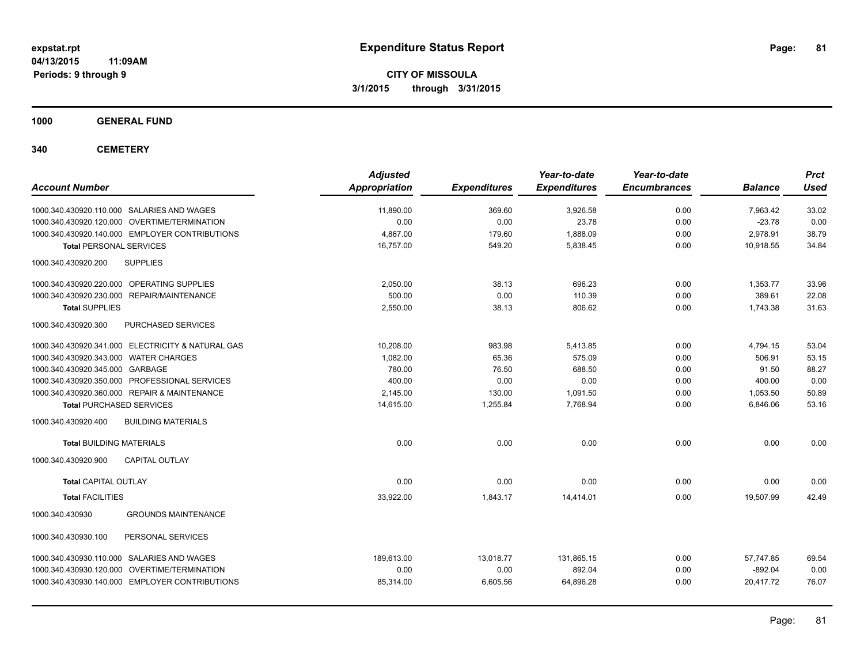**CITY OF MISSOULA 3/1/2015 through 3/31/2015**

**1000 GENERAL FUND**

**340 CEMETERY**

| <b>Account Number</b>                                | <b>Adjusted</b><br><b>Appropriation</b> | <b>Expenditures</b> | Year-to-date<br><b>Expenditures</b> | Year-to-date<br><b>Encumbrances</b> | <b>Balance</b> | <b>Prct</b><br><b>Used</b> |
|------------------------------------------------------|-----------------------------------------|---------------------|-------------------------------------|-------------------------------------|----------------|----------------------------|
| 1000.340.430920.110.000 SALARIES AND WAGES           | 11,890.00                               | 369.60              | 3,926.58                            | 0.00                                | 7,963.42       | 33.02                      |
| 1000.340.430920.120.000 OVERTIME/TERMINATION         | 0.00                                    | 0.00                | 23.78                               | 0.00                                | $-23.78$       | 0.00                       |
| 1000.340.430920.140.000 EMPLOYER CONTRIBUTIONS       | 4.867.00                                | 179.60              | 1,888.09                            | 0.00                                | 2,978.91       | 38.79                      |
| <b>Total PERSONAL SERVICES</b>                       | 16,757.00                               | 549.20              | 5,838.45                            | 0.00                                | 10,918.55      | 34.84                      |
| 1000.340.430920.200<br><b>SUPPLIES</b>               |                                         |                     |                                     |                                     |                |                            |
| 1000.340.430920.220.000 OPERATING SUPPLIES           | 2,050.00                                | 38.13               | 696.23                              | 0.00                                | 1,353.77       | 33.96                      |
| 1000.340.430920.230.000<br><b>REPAIR/MAINTENANCE</b> | 500.00                                  | 0.00                | 110.39                              | 0.00                                | 389.61         | 22.08                      |
| <b>Total SUPPLIES</b>                                | 2,550.00                                | 38.13               | 806.62                              | 0.00                                | 1,743.38       | 31.63                      |
| PURCHASED SERVICES<br>1000.340.430920.300            |                                         |                     |                                     |                                     |                |                            |
| 1000.340.430920.341.000 ELECTRICITY & NATURAL GAS    | 10,208.00                               | 983.98              | 5,413.85                            | 0.00                                | 4,794.15       | 53.04                      |
| 1000.340.430920.343.000 WATER CHARGES                | 1.082.00                                | 65.36               | 575.09                              | 0.00                                | 506.91         | 53.15                      |
| 1000.340.430920.345.000 GARBAGE                      | 780.00                                  | 76.50               | 688.50                              | 0.00                                | 91.50          | 88.27                      |
| 1000.340.430920.350.000 PROFESSIONAL SERVICES        | 400.00                                  | 0.00                | 0.00                                | 0.00                                | 400.00         | 0.00                       |
| 1000.340.430920.360.000 REPAIR & MAINTENANCE         | 2,145.00                                | 130.00              | 1,091.50                            | 0.00                                | 1,053.50       | 50.89                      |
| <b>Total PURCHASED SERVICES</b>                      | 14,615.00                               | 1,255.84            | 7,768.94                            | 0.00                                | 6,846.06       | 53.16                      |
| 1000.340.430920.400<br><b>BUILDING MATERIALS</b>     |                                         |                     |                                     |                                     |                |                            |
| <b>Total BUILDING MATERIALS</b>                      | 0.00                                    | 0.00                | 0.00                                | 0.00                                | 0.00           | 0.00                       |
| 1000.340.430920.900<br><b>CAPITAL OUTLAY</b>         |                                         |                     |                                     |                                     |                |                            |
| <b>Total CAPITAL OUTLAY</b>                          | 0.00                                    | 0.00                | 0.00                                | 0.00                                | 0.00           | 0.00                       |
| <b>Total FACILITIES</b>                              | 33,922.00                               | 1,843.17            | 14,414.01                           | 0.00                                | 19,507.99      | 42.49                      |
| 1000.340.430930<br><b>GROUNDS MAINTENANCE</b>        |                                         |                     |                                     |                                     |                |                            |
| 1000.340.430930.100<br>PERSONAL SERVICES             |                                         |                     |                                     |                                     |                |                            |
| 1000.340.430930.110.000 SALARIES AND WAGES           | 189.613.00                              | 13,018.77           | 131.865.15                          | 0.00                                | 57.747.85      | 69.54                      |
| 1000.340.430930.120.000 OVERTIME/TERMINATION         | 0.00                                    | 0.00                | 892.04                              | 0.00                                | $-892.04$      | 0.00                       |
| 1000.340.430930.140.000 EMPLOYER CONTRIBUTIONS       | 85,314.00                               | 6,605.56            | 64,896.28                           | 0.00                                | 20,417.72      | 76.07                      |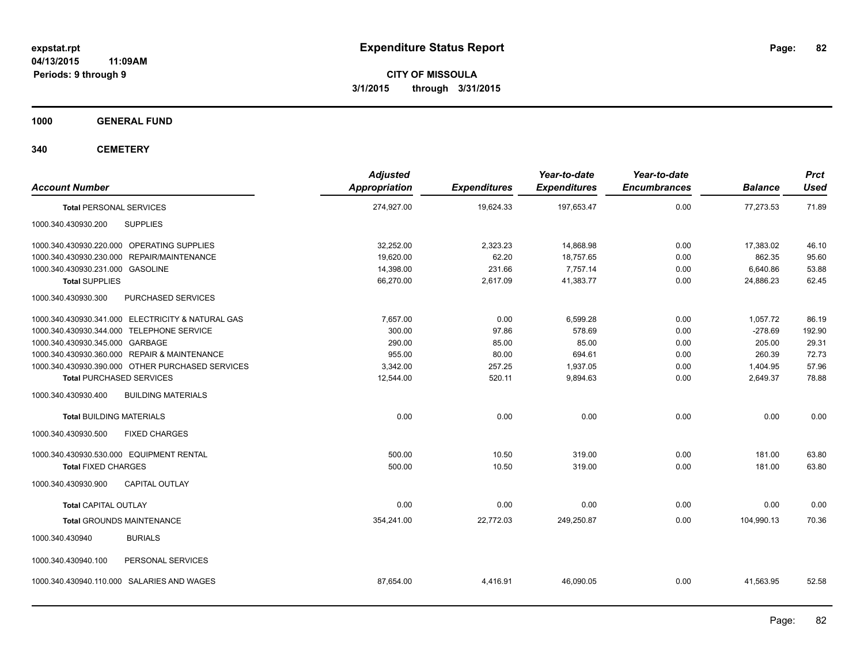**CITY OF MISSOULA 3/1/2015 through 3/31/2015**

**1000 GENERAL FUND**

**340 CEMETERY**

| <b>Account Number</b>                             | <b>Adjusted</b><br><b>Appropriation</b> | <b>Expenditures</b> | Year-to-date<br><b>Expenditures</b> | Year-to-date<br><b>Encumbrances</b> | <b>Balance</b> | <b>Prct</b><br><b>Used</b> |
|---------------------------------------------------|-----------------------------------------|---------------------|-------------------------------------|-------------------------------------|----------------|----------------------------|
| <b>Total PERSONAL SERVICES</b>                    | 274,927.00                              | 19,624.33           | 197,653.47                          | 0.00                                | 77,273.53      | 71.89                      |
| 1000.340.430930.200<br><b>SUPPLIES</b>            |                                         |                     |                                     |                                     |                |                            |
| 1000.340.430930.220.000 OPERATING SUPPLIES        | 32,252.00                               | 2,323.23            | 14,868.98                           | 0.00                                | 17,383.02      | 46.10                      |
| 1000.340.430930.230.000 REPAIR/MAINTENANCE        | 19,620.00                               | 62.20               | 18,757.65                           | 0.00                                | 862.35         | 95.60                      |
| 1000.340.430930.231.000 GASOLINE                  | 14,398.00                               | 231.66              | 7.757.14                            | 0.00                                | 6,640.86       | 53.88                      |
| <b>Total SUPPLIES</b>                             | 66,270.00                               | 2,617.09            | 41,383.77                           | 0.00                                | 24,886.23      | 62.45                      |
| 1000.340.430930.300<br>PURCHASED SERVICES         |                                         |                     |                                     |                                     |                |                            |
| 1000.340.430930.341.000 ELECTRICITY & NATURAL GAS | 7.657.00                                | 0.00                | 6.599.28                            | 0.00                                | 1,057.72       | 86.19                      |
| 1000.340.430930.344.000 TELEPHONE SERVICE         | 300.00                                  | 97.86               | 578.69                              | 0.00                                | $-278.69$      | 192.90                     |
| 1000.340.430930.345.000 GARBAGE                   | 290.00                                  | 85.00               | 85.00                               | 0.00                                | 205.00         | 29.31                      |
| 1000.340.430930.360.000 REPAIR & MAINTENANCE      | 955.00                                  | 80.00               | 694.61                              | 0.00                                | 260.39         | 72.73                      |
| 1000.340.430930.390.000 OTHER PURCHASED SERVICES  | 3,342.00                                | 257.25              | 1,937.05                            | 0.00                                | 1,404.95       | 57.96                      |
| <b>Total PURCHASED SERVICES</b>                   | 12,544.00                               | 520.11              | 9,894.63                            | 0.00                                | 2,649.37       | 78.88                      |
| <b>BUILDING MATERIALS</b><br>1000.340.430930.400  |                                         |                     |                                     |                                     |                |                            |
| <b>Total BUILDING MATERIALS</b>                   | 0.00                                    | 0.00                | 0.00                                | 0.00                                | 0.00           | 0.00                       |
| <b>FIXED CHARGES</b><br>1000.340.430930.500       |                                         |                     |                                     |                                     |                |                            |
| 1000.340.430930.530.000 EQUIPMENT RENTAL          | 500.00                                  | 10.50               | 319.00                              | 0.00                                | 181.00         | 63.80                      |
| <b>Total FIXED CHARGES</b>                        | 500.00                                  | 10.50               | 319.00                              | 0.00                                | 181.00         | 63.80                      |
| <b>CAPITAL OUTLAY</b><br>1000.340.430930.900      |                                         |                     |                                     |                                     |                |                            |
| <b>Total CAPITAL OUTLAY</b>                       | 0.00                                    | 0.00                | 0.00                                | 0.00                                | 0.00           | 0.00                       |
| <b>Total GROUNDS MAINTENANCE</b>                  | 354,241.00                              | 22,772.03           | 249,250.87                          | 0.00                                | 104,990.13     | 70.36                      |
| <b>BURIALS</b><br>1000.340.430940                 |                                         |                     |                                     |                                     |                |                            |
| PERSONAL SERVICES<br>1000.340.430940.100          |                                         |                     |                                     |                                     |                |                            |
| 1000.340.430940.110.000 SALARIES AND WAGES        | 87,654.00                               | 4,416.91            | 46,090.05                           | 0.00                                | 41,563.95      | 52.58                      |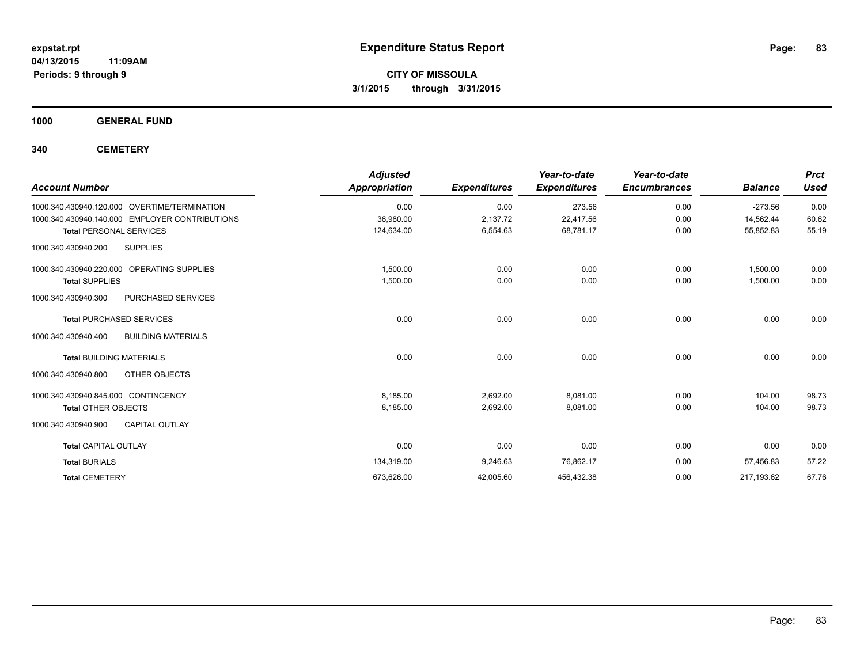**Periods: 9 through 9**

**CITY OF MISSOULA 3/1/2015 through 3/31/2015**

**1000 GENERAL FUND**

**340 CEMETERY**

|                                                  | <b>Adjusted</b>      |                     | Year-to-date        | Year-to-date        |                | <b>Prct</b> |
|--------------------------------------------------|----------------------|---------------------|---------------------|---------------------|----------------|-------------|
| <b>Account Number</b>                            | <b>Appropriation</b> | <b>Expenditures</b> | <b>Expenditures</b> | <b>Encumbrances</b> | <b>Balance</b> | <b>Used</b> |
| 1000.340.430940.120.000 OVERTIME/TERMINATION     | 0.00                 | 0.00                | 273.56              | 0.00                | $-273.56$      | 0.00        |
| 1000.340.430940.140.000 EMPLOYER CONTRIBUTIONS   | 36,980.00            | 2,137.72            | 22,417.56           | 0.00                | 14,562.44      | 60.62       |
| <b>Total PERSONAL SERVICES</b>                   | 124,634.00           | 6,554.63            | 68.781.17           | 0.00                | 55,852.83      | 55.19       |
| <b>SUPPLIES</b><br>1000.340.430940.200           |                      |                     |                     |                     |                |             |
| 1000.340.430940.220.000 OPERATING SUPPLIES       | 1,500.00             | 0.00                | 0.00                | 0.00                | 1,500.00       | 0.00        |
| <b>Total SUPPLIES</b>                            | 1,500.00             | 0.00                | 0.00                | 0.00                | 1,500.00       | 0.00        |
| 1000.340.430940.300<br>PURCHASED SERVICES        |                      |                     |                     |                     |                |             |
| <b>Total PURCHASED SERVICES</b>                  | 0.00                 | 0.00                | 0.00                | 0.00                | 0.00           | 0.00        |
| <b>BUILDING MATERIALS</b><br>1000.340.430940.400 |                      |                     |                     |                     |                |             |
| <b>Total BUILDING MATERIALS</b>                  | 0.00                 | 0.00                | 0.00                | 0.00                | 0.00           | 0.00        |
| 1000.340.430940.800<br>OTHER OBJECTS             |                      |                     |                     |                     |                |             |
| 1000.340.430940.845.000 CONTINGENCY              | 8,185.00             | 2,692.00            | 8,081.00            | 0.00                | 104.00         | 98.73       |
| <b>Total OTHER OBJECTS</b>                       | 8,185.00             | 2,692.00            | 8,081.00            | 0.00                | 104.00         | 98.73       |
| 1000.340.430940.900<br><b>CAPITAL OUTLAY</b>     |                      |                     |                     |                     |                |             |
| <b>Total CAPITAL OUTLAY</b>                      | 0.00                 | 0.00                | 0.00                | 0.00                | 0.00           | 0.00        |
| <b>Total BURIALS</b>                             | 134,319.00           | 9,246.63            | 76,862.17           | 0.00                | 57,456.83      | 57.22       |
| <b>Total CEMETERY</b>                            | 673,626.00           | 42,005.60           | 456,432.38          | 0.00                | 217,193.62     | 67.76       |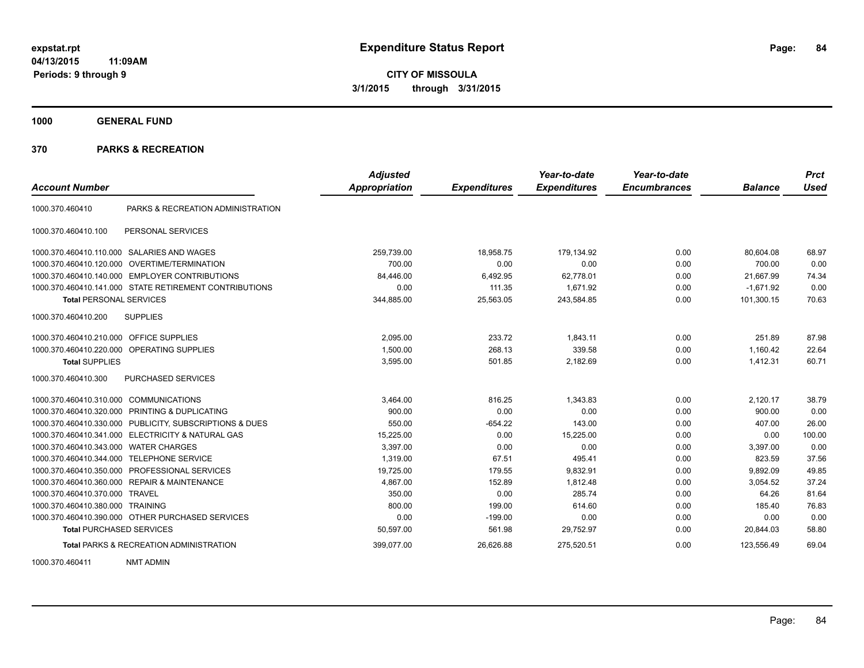**CITY OF MISSOULA 3/1/2015 through 3/31/2015**

**1000 GENERAL FUND**

## **370 PARKS & RECREATION**

| <b>Account Number</b>                   |                                                         | <b>Adjusted</b><br><b>Appropriation</b> | <b>Expenditures</b> | Year-to-date<br><b>Expenditures</b> | Year-to-date<br><b>Encumbrances</b> | <b>Balance</b> | <b>Prct</b><br><b>Used</b> |
|-----------------------------------------|---------------------------------------------------------|-----------------------------------------|---------------------|-------------------------------------|-------------------------------------|----------------|----------------------------|
|                                         |                                                         |                                         |                     |                                     |                                     |                |                            |
| 1000.370.460410                         | PARKS & RECREATION ADMINISTRATION                       |                                         |                     |                                     |                                     |                |                            |
| 1000.370.460410.100                     | PERSONAL SERVICES                                       |                                         |                     |                                     |                                     |                |                            |
|                                         | 1000.370.460410.110.000 SALARIES AND WAGES              | 259,739.00                              | 18,958.75           | 179,134.92                          | 0.00                                | 80,604.08      | 68.97                      |
|                                         | 1000.370.460410.120.000 OVERTIME/TERMINATION            | 700.00                                  | 0.00                | 0.00                                | 0.00                                | 700.00         | 0.00                       |
|                                         | 1000.370.460410.140.000 EMPLOYER CONTRIBUTIONS          | 84.446.00                               | 6,492.95            | 62,778.01                           | 0.00                                | 21.667.99      | 74.34                      |
|                                         | 1000.370.460410.141.000 STATE RETIREMENT CONTRIBUTIONS  | 0.00                                    | 111.35              | 1,671.92                            | 0.00                                | $-1,671.92$    | 0.00                       |
| <b>Total PERSONAL SERVICES</b>          |                                                         | 344.885.00                              | 25,563.05           | 243.584.85                          | 0.00                                | 101.300.15     | 70.63                      |
| 1000.370.460410.200                     | <b>SUPPLIES</b>                                         |                                         |                     |                                     |                                     |                |                            |
| 1000.370.460410.210.000 OFFICE SUPPLIES |                                                         | 2.095.00                                | 233.72              | 1.843.11                            | 0.00                                | 251.89         | 87.98                      |
|                                         | 1000.370.460410.220.000 OPERATING SUPPLIES              | 1.500.00                                | 268.13              | 339.58                              | 0.00                                | 1.160.42       | 22.64                      |
| <b>Total SUPPLIES</b>                   |                                                         | 3,595.00                                | 501.85              | 2,182.69                            | 0.00                                | 1,412.31       | 60.71                      |
| 1000.370.460410.300                     | <b>PURCHASED SERVICES</b>                               |                                         |                     |                                     |                                     |                |                            |
| 1000.370.460410.310.000                 | <b>COMMUNICATIONS</b>                                   | 3,464.00                                | 816.25              | 1.343.83                            | 0.00                                | 2.120.17       | 38.79                      |
|                                         | 1000.370.460410.320.000 PRINTING & DUPLICATING          | 900.00                                  | 0.00                | 0.00                                | 0.00                                | 900.00         | 0.00                       |
|                                         | 1000.370.460410.330.000 PUBLICITY, SUBSCRIPTIONS & DUES | 550.00                                  | $-654.22$           | 143.00                              | 0.00                                | 407.00         | 26.00                      |
|                                         | 1000.370.460410.341.000 ELECTRICITY & NATURAL GAS       | 15,225.00                               | 0.00                | 15.225.00                           | 0.00                                | 0.00           | 100.00                     |
| 1000.370.460410.343.000                 | <b>WATER CHARGES</b>                                    | 3.397.00                                | 0.00                | 0.00                                | 0.00                                | 3.397.00       | 0.00                       |
| 1000.370.460410.344.000                 | <b>TELEPHONE SERVICE</b>                                | 1.319.00                                | 67.51               | 495.41                              | 0.00                                | 823.59         | 37.56                      |
|                                         | 1000.370.460410.350.000 PROFESSIONAL SERVICES           | 19,725.00                               | 179.55              | 9,832.91                            | 0.00                                | 9,892.09       | 49.85                      |
|                                         | 1000.370.460410.360.000 REPAIR & MAINTENANCE            | 4,867.00                                | 152.89              | 1,812.48                            | 0.00                                | 3,054.52       | 37.24                      |
| 1000.370.460410.370.000 TRAVEL          |                                                         | 350.00                                  | 0.00                | 285.74                              | 0.00                                | 64.26          | 81.64                      |
| 1000.370.460410.380.000 TRAINING        |                                                         | 800.00                                  | 199.00              | 614.60                              | 0.00                                | 185.40         | 76.83                      |
|                                         | 1000.370.460410.390.000 OTHER PURCHASED SERVICES        | 0.00                                    | $-199.00$           | 0.00                                | 0.00                                | 0.00           | 0.00                       |
| <b>Total PURCHASED SERVICES</b>         |                                                         | 50,597.00                               | 561.98              | 29,752.97                           | 0.00                                | 20,844.03      | 58.80                      |
|                                         | <b>Total PARKS &amp; RECREATION ADMINISTRATION</b>      | 399,077.00                              | 26,626.88           | 275,520.51                          | 0.00                                | 123,556.49     | 69.04                      |

1000.370.460411 NMT ADMIN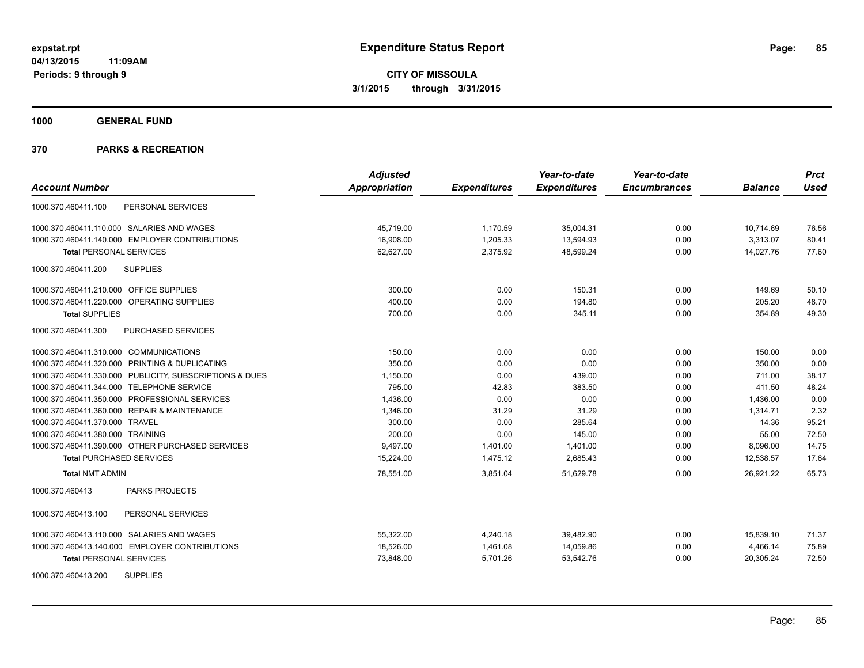**1000 GENERAL FUND**

|                                                         | <b>Adjusted</b>      |                     | Year-to-date        | Year-to-date        |                | <b>Prct</b> |
|---------------------------------------------------------|----------------------|---------------------|---------------------|---------------------|----------------|-------------|
| <b>Account Number</b>                                   | <b>Appropriation</b> | <b>Expenditures</b> | <b>Expenditures</b> | <b>Encumbrances</b> | <b>Balance</b> | Used        |
| PERSONAL SERVICES<br>1000.370.460411.100                |                      |                     |                     |                     |                |             |
| 1000.370.460411.110.000 SALARIES AND WAGES              | 45,719.00            | 1,170.59            | 35,004.31           | 0.00                | 10,714.69      | 76.56       |
| 1000.370.460411.140.000 EMPLOYER CONTRIBUTIONS          | 16,908.00            | 1,205.33            | 13,594.93           | 0.00                | 3,313.07       | 80.41       |
| <b>Total PERSONAL SERVICES</b>                          | 62,627.00            | 2,375.92            | 48,599.24           | 0.00                | 14,027.76      | 77.60       |
| <b>SUPPLIES</b><br>1000.370.460411.200                  |                      |                     |                     |                     |                |             |
| 1000.370.460411.210.000 OFFICE SUPPLIES                 | 300.00               | 0.00                | 150.31              | 0.00                | 149.69         | 50.10       |
| 1000.370.460411.220.000 OPERATING SUPPLIES              | 400.00               | 0.00                | 194.80              | 0.00                | 205.20         | 48.70       |
| <b>Total SUPPLIES</b>                                   | 700.00               | 0.00                | 345.11              | 0.00                | 354.89         | 49.30       |
| 1000.370.460411.300<br><b>PURCHASED SERVICES</b>        |                      |                     |                     |                     |                |             |
| 1000.370.460411.310.000 COMMUNICATIONS                  | 150.00               | 0.00                | 0.00                | 0.00                | 150.00         | 0.00        |
| 1000.370.460411.320.000 PRINTING & DUPLICATING          | 350.00               | 0.00                | 0.00                | 0.00                | 350.00         | 0.00        |
| 1000.370.460411.330.000 PUBLICITY, SUBSCRIPTIONS & DUES | 1,150.00             | 0.00                | 439.00              | 0.00                | 711.00         | 38.17       |
| 1000.370.460411.344.000 TELEPHONE SERVICE               | 795.00               | 42.83               | 383.50              | 0.00                | 411.50         | 48.24       |
| 1000.370.460411.350.000 PROFESSIONAL SERVICES           | 1,436.00             | 0.00                | 0.00                | 0.00                | 1,436.00       | 0.00        |
| 1000.370.460411.360.000 REPAIR & MAINTENANCE            | 1,346.00             | 31.29               | 31.29               | 0.00                | 1,314.71       | 2.32        |
| 1000.370.460411.370.000 TRAVEL                          | 300.00               | 0.00                | 285.64              | 0.00                | 14.36          | 95.21       |
| 1000.370.460411.380.000 TRAINING                        | 200.00               | 0.00                | 145.00              | 0.00                | 55.00          | 72.50       |
| 1000.370.460411.390.000 OTHER PURCHASED SERVICES        | 9.497.00             | 1,401.00            | 1,401.00            | 0.00                | 8.096.00       | 14.75       |
| <b>Total PURCHASED SERVICES</b>                         | 15,224.00            | 1,475.12            | 2,685.43            | 0.00                | 12,538.57      | 17.64       |
| <b>Total NMT ADMIN</b>                                  | 78,551.00            | 3,851.04            | 51.629.78           | 0.00                | 26.921.22      | 65.73       |
| <b>PARKS PROJECTS</b><br>1000.370.460413                |                      |                     |                     |                     |                |             |
| 1000.370.460413.100<br>PERSONAL SERVICES                |                      |                     |                     |                     |                |             |
| 1000.370.460413.110.000 SALARIES AND WAGES              | 55,322.00            | 4,240.18            | 39,482.90           | 0.00                | 15,839.10      | 71.37       |
| 1000.370.460413.140.000 EMPLOYER CONTRIBUTIONS          | 18,526.00            | 1,461.08            | 14,059.86           | 0.00                | 4,466.14       | 75.89       |
| <b>Total PERSONAL SERVICES</b>                          | 73,848.00            | 5,701.26            | 53,542.76           | 0.00                | 20,305.24      | 72.50       |
| <b>SUPPLIES</b><br>1000.370.460413.200                  |                      |                     |                     |                     |                |             |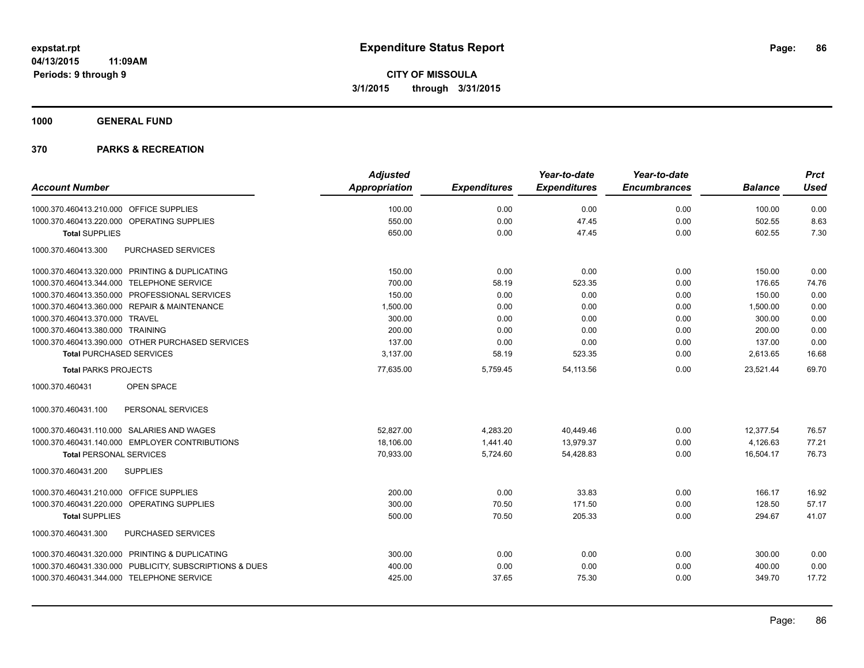**1000 GENERAL FUND**

|                                                         | <b>Adjusted</b>      |                     | Year-to-date        | Year-to-date        |                | <b>Prct</b> |
|---------------------------------------------------------|----------------------|---------------------|---------------------|---------------------|----------------|-------------|
| <b>Account Number</b>                                   | <b>Appropriation</b> | <b>Expenditures</b> | <b>Expenditures</b> | <b>Encumbrances</b> | <b>Balance</b> | <b>Used</b> |
| 1000.370.460413.210.000 OFFICE SUPPLIES                 | 100.00               | 0.00                | 0.00                | 0.00                | 100.00         | 0.00        |
| 1000.370.460413.220.000 OPERATING SUPPLIES              | 550.00               | 0.00                | 47.45               | 0.00                | 502.55         | 8.63        |
| <b>Total SUPPLIES</b>                                   | 650.00               | 0.00                | 47.45               | 0.00                | 602.55         | 7.30        |
| 1000.370.460413.300<br><b>PURCHASED SERVICES</b>        |                      |                     |                     |                     |                |             |
| 1000.370.460413.320.000 PRINTING & DUPLICATING          | 150.00               | 0.00                | 0.00                | 0.00                | 150.00         | 0.00        |
| 1000.370.460413.344.000 TELEPHONE SERVICE               | 700.00               | 58.19               | 523.35              | 0.00                | 176.65         | 74.76       |
| 1000.370.460413.350.000 PROFESSIONAL SERVICES           | 150.00               | 0.00                | 0.00                | 0.00                | 150.00         | 0.00        |
| 1000.370.460413.360.000 REPAIR & MAINTENANCE            | 1,500.00             | 0.00                | 0.00                | 0.00                | 1,500.00       | 0.00        |
| 1000.370.460413.370.000 TRAVEL                          | 300.00               | 0.00                | 0.00                | 0.00                | 300.00         | 0.00        |
| 1000.370.460413.380.000 TRAINING                        | 200.00               | 0.00                | 0.00                | 0.00                | 200.00         | 0.00        |
| 1000.370.460413.390.000 OTHER PURCHASED SERVICES        | 137.00               | 0.00                | 0.00                | 0.00                | 137.00         | 0.00        |
| <b>Total PURCHASED SERVICES</b>                         | 3,137.00             | 58.19               | 523.35              | 0.00                | 2,613.65       | 16.68       |
| <b>Total PARKS PROJECTS</b>                             | 77,635.00            | 5,759.45            | 54,113.56           | 0.00                | 23,521.44      | 69.70       |
| 1000.370.460431<br>OPEN SPACE                           |                      |                     |                     |                     |                |             |
| PERSONAL SERVICES<br>1000.370.460431.100                |                      |                     |                     |                     |                |             |
| 1000.370.460431.110.000 SALARIES AND WAGES              | 52.827.00            | 4,283.20            | 40.449.46           | 0.00                | 12.377.54      | 76.57       |
| 1000.370.460431.140.000 EMPLOYER CONTRIBUTIONS          | 18,106.00            | 1,441.40            | 13,979.37           | 0.00                | 4,126.63       | 77.21       |
| <b>Total PERSONAL SERVICES</b>                          | 70,933.00            | 5,724.60            | 54,428.83           | 0.00                | 16,504.17      | 76.73       |
| 1000.370.460431.200<br><b>SUPPLIES</b>                  |                      |                     |                     |                     |                |             |
| 1000.370.460431.210.000 OFFICE SUPPLIES                 | 200.00               | 0.00                | 33.83               | 0.00                | 166.17         | 16.92       |
| 1000.370.460431.220.000 OPERATING SUPPLIES              | 300.00               | 70.50               | 171.50              | 0.00                | 128.50         | 57.17       |
| <b>Total SUPPLIES</b>                                   | 500.00               | 70.50               | 205.33              | 0.00                | 294.67         | 41.07       |
| PURCHASED SERVICES<br>1000.370.460431.300               |                      |                     |                     |                     |                |             |
| 1000.370.460431.320.000 PRINTING & DUPLICATING          | 300.00               | 0.00                | 0.00                | 0.00                | 300.00         | 0.00        |
| 1000.370.460431.330.000 PUBLICITY, SUBSCRIPTIONS & DUES | 400.00               | 0.00                | 0.00                | 0.00                | 400.00         | 0.00        |
| 1000.370.460431.344.000 TELEPHONE SERVICE               | 425.00               | 37.65               | 75.30               | 0.00                | 349.70         | 17.72       |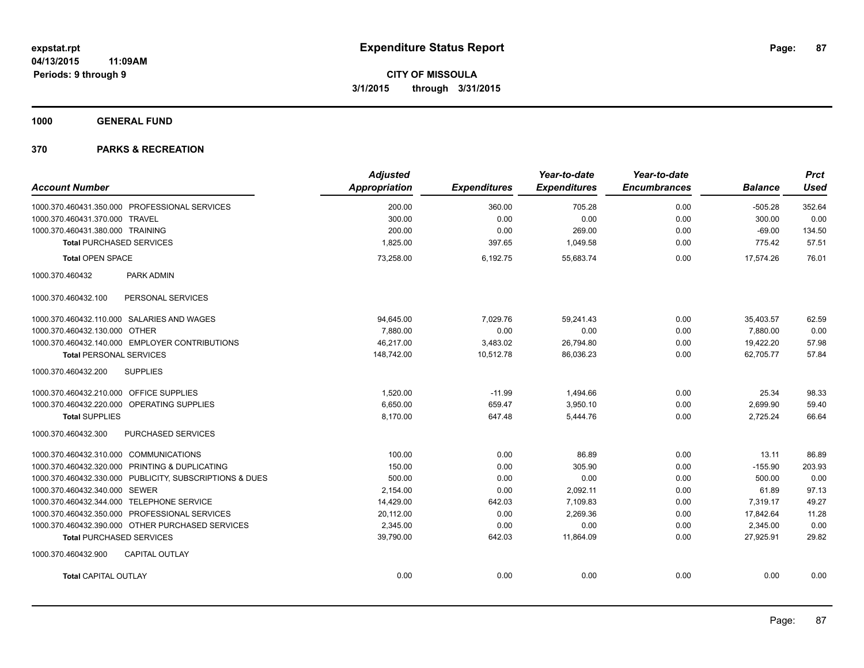**1000 GENERAL FUND**

| <b>Account Number</b>                                   | <b>Adjusted</b><br>Appropriation | <b>Expenditures</b> | Year-to-date<br><b>Expenditures</b> | Year-to-date<br><b>Encumbrances</b> | <b>Balance</b> | <b>Prct</b><br><b>Used</b> |
|---------------------------------------------------------|----------------------------------|---------------------|-------------------------------------|-------------------------------------|----------------|----------------------------|
|                                                         |                                  |                     |                                     |                                     |                |                            |
| 1000.370.460431.350.000 PROFESSIONAL SERVICES           | 200.00                           | 360.00              | 705.28                              | 0.00                                | $-505.28$      | 352.64                     |
| 1000.370.460431.370.000 TRAVEL                          | 300.00                           | 0.00                | 0.00                                | 0.00                                | 300.00         | 0.00                       |
| 1000.370.460431.380.000 TRAINING                        | 200.00                           | 0.00                | 269.00                              | 0.00                                | $-69.00$       | 134.50                     |
| <b>Total PURCHASED SERVICES</b>                         | 1,825.00                         | 397.65              | 1,049.58                            | 0.00                                | 775.42         | 57.51                      |
| <b>Total OPEN SPACE</b>                                 | 73,258.00                        | 6,192.75            | 55,683.74                           | 0.00                                | 17,574.26      | 76.01                      |
| 1000.370.460432<br><b>PARK ADMIN</b>                    |                                  |                     |                                     |                                     |                |                            |
| PERSONAL SERVICES<br>1000.370.460432.100                |                                  |                     |                                     |                                     |                |                            |
| 1000.370.460432.110.000 SALARIES AND WAGES              | 94,645.00                        | 7,029.76            | 59,241.43                           | 0.00                                | 35,403.57      | 62.59                      |
| 1000.370.460432.130.000 OTHER                           | 7,880.00                         | 0.00                | 0.00                                | 0.00                                | 7,880.00       | 0.00                       |
| 1000.370.460432.140.000 EMPLOYER CONTRIBUTIONS          | 46,217.00                        | 3,483.02            | 26,794.80                           | 0.00                                | 19,422.20      | 57.98                      |
| <b>Total PERSONAL SERVICES</b>                          | 148,742.00                       | 10,512.78           | 86,036.23                           | 0.00                                | 62.705.77      | 57.84                      |
| <b>SUPPLIES</b><br>1000.370.460432.200                  |                                  |                     |                                     |                                     |                |                            |
| 1000.370.460432.210.000 OFFICE SUPPLIES                 | 1,520.00                         | $-11.99$            | 1,494.66                            | 0.00                                | 25.34          | 98.33                      |
| 1000.370.460432.220.000 OPERATING SUPPLIES              | 6,650.00                         | 659.47              | 3,950.10                            | 0.00                                | 2,699.90       | 59.40                      |
| <b>Total SUPPLIES</b>                                   | 8,170.00                         | 647.48              | 5,444.76                            | 0.00                                | 2,725.24       | 66.64                      |
| PURCHASED SERVICES<br>1000.370.460432.300               |                                  |                     |                                     |                                     |                |                            |
| 1000.370.460432.310.000 COMMUNICATIONS                  | 100.00                           | 0.00                | 86.89                               | 0.00                                | 13.11          | 86.89                      |
| 1000.370.460432.320.000 PRINTING & DUPLICATING          | 150.00                           | 0.00                | 305.90                              | 0.00                                | $-155.90$      | 203.93                     |
| 1000.370.460432.330.000 PUBLICITY, SUBSCRIPTIONS & DUES | 500.00                           | 0.00                | 0.00                                | 0.00                                | 500.00         | 0.00                       |
| 1000.370.460432.340.000 SEWER                           | 2,154.00                         | 0.00                | 2,092.11                            | 0.00                                | 61.89          | 97.13                      |
| 1000.370.460432.344.000 TELEPHONE SERVICE               | 14,429.00                        | 642.03              | 7,109.83                            | 0.00                                | 7,319.17       | 49.27                      |
| 1000.370.460432.350.000 PROFESSIONAL SERVICES           | 20,112.00                        | 0.00                | 2.269.36                            | 0.00                                | 17,842.64      | 11.28                      |
| 1000.370.460432.390.000 OTHER PURCHASED SERVICES        | 2.345.00                         | 0.00                | 0.00                                | 0.00                                | 2,345.00       | 0.00                       |
| <b>Total PURCHASED SERVICES</b>                         | 39,790.00                        | 642.03              | 11,864.09                           | 0.00                                | 27,925.91      | 29.82                      |
| 1000.370.460432.900<br><b>CAPITAL OUTLAY</b>            |                                  |                     |                                     |                                     |                |                            |
| <b>Total CAPITAL OUTLAY</b>                             | 0.00                             | 0.00                | 0.00                                | 0.00                                | 0.00           | 0.00                       |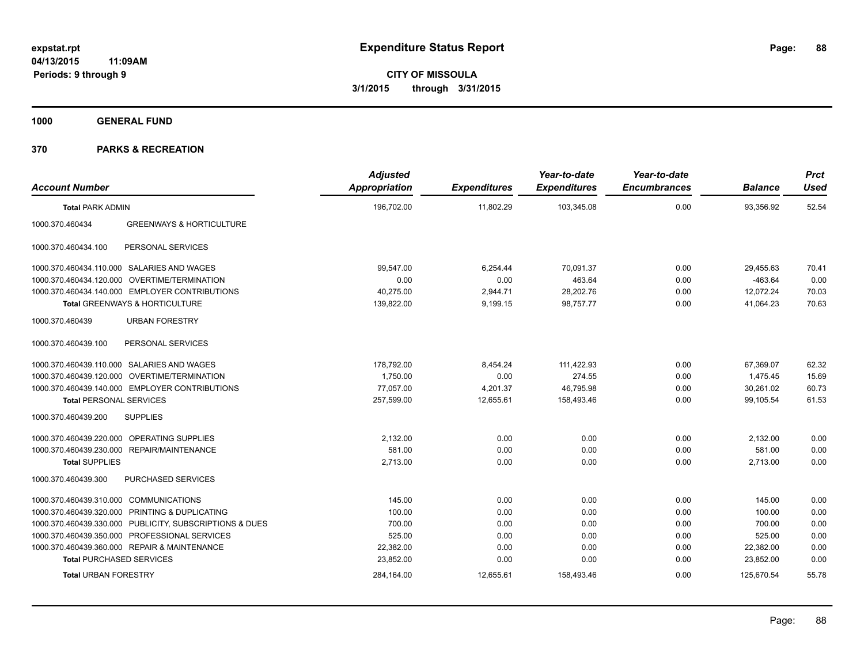**1000 GENERAL FUND**

| <b>Account Number</b>                  |                                                         | <b>Adjusted</b><br><b>Appropriation</b> | <b>Expenditures</b> | Year-to-date<br><b>Expenditures</b> | Year-to-date<br><b>Encumbrances</b> | <b>Balance</b> | <b>Prct</b><br><b>Used</b> |
|----------------------------------------|---------------------------------------------------------|-----------------------------------------|---------------------|-------------------------------------|-------------------------------------|----------------|----------------------------|
| <b>Total PARK ADMIN</b>                |                                                         | 196,702.00                              | 11,802.29           | 103,345.08                          | 0.00                                | 93,356.92      | 52.54                      |
| 1000.370.460434                        | <b>GREENWAYS &amp; HORTICULTURE</b>                     |                                         |                     |                                     |                                     |                |                            |
| 1000.370.460434.100                    | PERSONAL SERVICES                                       |                                         |                     |                                     |                                     |                |                            |
|                                        | 1000.370.460434.110.000 SALARIES AND WAGES              | 99,547.00                               | 6,254.44            | 70.091.37                           | 0.00                                | 29,455.63      | 70.41                      |
|                                        | 1000.370.460434.120.000 OVERTIME/TERMINATION            | 0.00                                    | 0.00                | 463.64                              | 0.00                                | $-463.64$      | 0.00                       |
|                                        | 1000.370.460434.140.000 EMPLOYER CONTRIBUTIONS          | 40,275.00                               | 2,944.71            | 28,202.76                           | 0.00                                | 12,072.24      | 70.03                      |
|                                        | Total GREENWAYS & HORTICULTURE                          | 139,822.00                              | 9,199.15            | 98,757.77                           | 0.00                                | 41,064.23      | 70.63                      |
| 1000.370.460439                        | <b>URBAN FORESTRY</b>                                   |                                         |                     |                                     |                                     |                |                            |
| 1000.370.460439.100                    | PERSONAL SERVICES                                       |                                         |                     |                                     |                                     |                |                            |
|                                        | 1000.370.460439.110.000 SALARIES AND WAGES              | 178,792.00                              | 8,454.24            | 111,422.93                          | 0.00                                | 67,369.07      | 62.32                      |
|                                        | 1000.370.460439.120.000 OVERTIME/TERMINATION            | 1,750.00                                | 0.00                | 274.55                              | 0.00                                | 1,475.45       | 15.69                      |
|                                        | 1000.370.460439.140.000 EMPLOYER CONTRIBUTIONS          | 77,057.00                               | 4,201.37            | 46,795.98                           | 0.00                                | 30,261.02      | 60.73                      |
| <b>Total PERSONAL SERVICES</b>         |                                                         | 257.599.00                              | 12.655.61           | 158.493.46                          | 0.00                                | 99.105.54      | 61.53                      |
| 1000.370.460439.200                    | <b>SUPPLIES</b>                                         |                                         |                     |                                     |                                     |                |                            |
|                                        | 1000.370.460439.220.000 OPERATING SUPPLIES              | 2.132.00                                | 0.00                | 0.00                                | 0.00                                | 2,132.00       | 0.00                       |
|                                        | 1000.370.460439.230.000 REPAIR/MAINTENANCE              | 581.00                                  | 0.00                | 0.00                                | 0.00                                | 581.00         | 0.00                       |
| <b>Total SUPPLIES</b>                  |                                                         | 2,713.00                                | 0.00                | 0.00                                | 0.00                                | 2,713.00       | 0.00                       |
| 1000.370.460439.300                    | PURCHASED SERVICES                                      |                                         |                     |                                     |                                     |                |                            |
| 1000.370.460439.310.000 COMMUNICATIONS |                                                         | 145.00                                  | 0.00                | 0.00                                | 0.00                                | 145.00         | 0.00                       |
|                                        | 1000.370.460439.320.000 PRINTING & DUPLICATING          | 100.00                                  | 0.00                | 0.00                                | 0.00                                | 100.00         | 0.00                       |
|                                        | 1000.370.460439.330.000 PUBLICITY, SUBSCRIPTIONS & DUES | 700.00                                  | 0.00                | 0.00                                | 0.00                                | 700.00         | 0.00                       |
|                                        | 1000.370.460439.350.000 PROFESSIONAL SERVICES           | 525.00                                  | 0.00                | 0.00                                | 0.00                                | 525.00         | 0.00                       |
|                                        | 1000.370.460439.360.000 REPAIR & MAINTENANCE            | 22,382.00                               | 0.00                | 0.00                                | 0.00                                | 22,382.00      | 0.00                       |
| <b>Total PURCHASED SERVICES</b>        |                                                         | 23,852.00                               | 0.00                | 0.00                                | 0.00                                | 23,852.00      | 0.00                       |
| <b>Total URBAN FORESTRY</b>            |                                                         | 284,164.00                              | 12,655.61           | 158,493.46                          | 0.00                                | 125,670.54     | 55.78                      |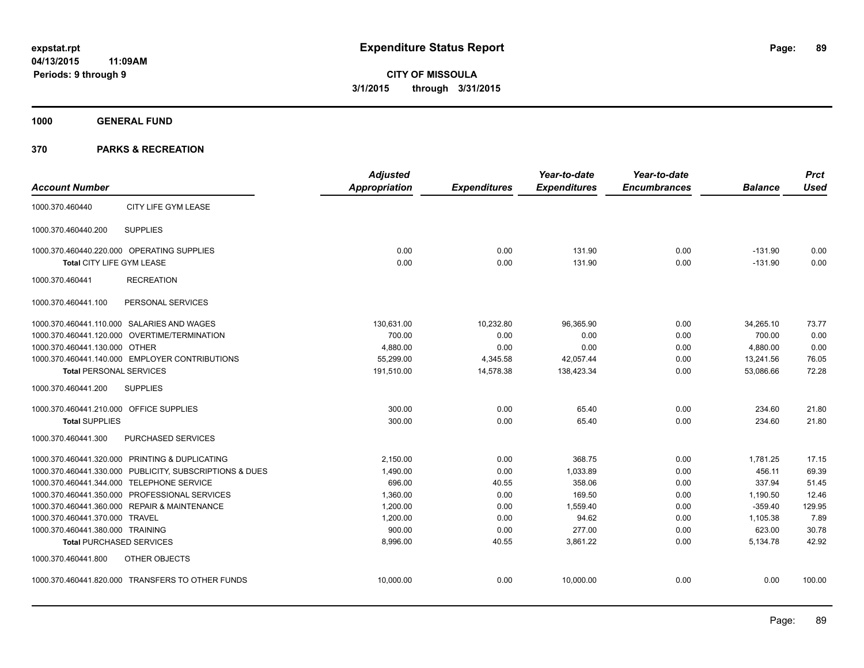**1000 GENERAL FUND**

|                                         |                                                         | <b>Adjusted</b>      |                     | Year-to-date        | Year-to-date        |                | <b>Prct</b> |
|-----------------------------------------|---------------------------------------------------------|----------------------|---------------------|---------------------|---------------------|----------------|-------------|
| <b>Account Number</b>                   |                                                         | <b>Appropriation</b> | <b>Expenditures</b> | <b>Expenditures</b> | <b>Encumbrances</b> | <b>Balance</b> | <b>Used</b> |
| 1000.370.460440                         | CITY LIFE GYM LEASE                                     |                      |                     |                     |                     |                |             |
| 1000.370.460440.200                     | <b>SUPPLIES</b>                                         |                      |                     |                     |                     |                |             |
|                                         | 1000.370.460440.220.000 OPERATING SUPPLIES              | 0.00                 | 0.00                | 131.90              | 0.00                | $-131.90$      | 0.00        |
| Total CITY LIFE GYM LEASE               |                                                         | 0.00                 | 0.00                | 131.90              | 0.00                | $-131.90$      | 0.00        |
| 1000.370.460441                         | <b>RECREATION</b>                                       |                      |                     |                     |                     |                |             |
| 1000.370.460441.100                     | PERSONAL SERVICES                                       |                      |                     |                     |                     |                |             |
|                                         | 1000.370.460441.110.000 SALARIES AND WAGES              | 130,631.00           | 10,232.80           | 96.365.90           | 0.00                | 34,265.10      | 73.77       |
|                                         | 1000.370.460441.120.000 OVERTIME/TERMINATION            | 700.00               | 0.00                | 0.00                | 0.00                | 700.00         | 0.00        |
| 1000.370.460441.130.000 OTHER           |                                                         | 4,880.00             | 0.00                | 0.00                | 0.00                | 4,880.00       | 0.00        |
|                                         | 1000.370.460441.140.000 EMPLOYER CONTRIBUTIONS          | 55.299.00            | 4,345.58            | 42,057.44           | 0.00                | 13,241.56      | 76.05       |
| <b>Total PERSONAL SERVICES</b>          |                                                         | 191,510.00           | 14,578.38           | 138,423.34          | 0.00                | 53,086.66      | 72.28       |
| 1000.370.460441.200                     | <b>SUPPLIES</b>                                         |                      |                     |                     |                     |                |             |
| 1000.370.460441.210.000 OFFICE SUPPLIES |                                                         | 300.00               | 0.00                | 65.40               | 0.00                | 234.60         | 21.80       |
| <b>Total SUPPLIES</b>                   |                                                         | 300.00               | 0.00                | 65.40               | 0.00                | 234.60         | 21.80       |
| 1000.370.460441.300                     | <b>PURCHASED SERVICES</b>                               |                      |                     |                     |                     |                |             |
|                                         | 1000.370.460441.320.000 PRINTING & DUPLICATING          | 2.150.00             | 0.00                | 368.75              | 0.00                | 1,781.25       | 17.15       |
|                                         | 1000.370.460441.330.000 PUBLICITY, SUBSCRIPTIONS & DUES | 1,490.00             | 0.00                | 1.033.89            | 0.00                | 456.11         | 69.39       |
|                                         | 1000.370.460441.344.000 TELEPHONE SERVICE               | 696.00               | 40.55               | 358.06              | 0.00                | 337.94         | 51.45       |
|                                         | 1000.370.460441.350.000 PROFESSIONAL SERVICES           | 1,360.00             | 0.00                | 169.50              | 0.00                | 1,190.50       | 12.46       |
|                                         | 1000.370.460441.360.000 REPAIR & MAINTENANCE            | 1,200.00             | 0.00                | 1,559.40            | 0.00                | $-359.40$      | 129.95      |
| 1000.370.460441.370.000 TRAVEL          |                                                         | 1,200.00             | 0.00                | 94.62               | 0.00                | 1,105.38       | 7.89        |
| 1000.370.460441.380.000 TRAINING        |                                                         | 900.00               | 0.00                | 277.00              | 0.00                | 623.00         | 30.78       |
|                                         | <b>Total PURCHASED SERVICES</b>                         | 8,996.00             | 40.55               | 3,861.22            | 0.00                | 5,134.78       | 42.92       |
| 1000.370.460441.800                     | OTHER OBJECTS                                           |                      |                     |                     |                     |                |             |
|                                         | 1000.370.460441.820.000 TRANSFERS TO OTHER FUNDS        | 10,000.00            | 0.00                | 10,000.00           | 0.00                | 0.00           | 100.00      |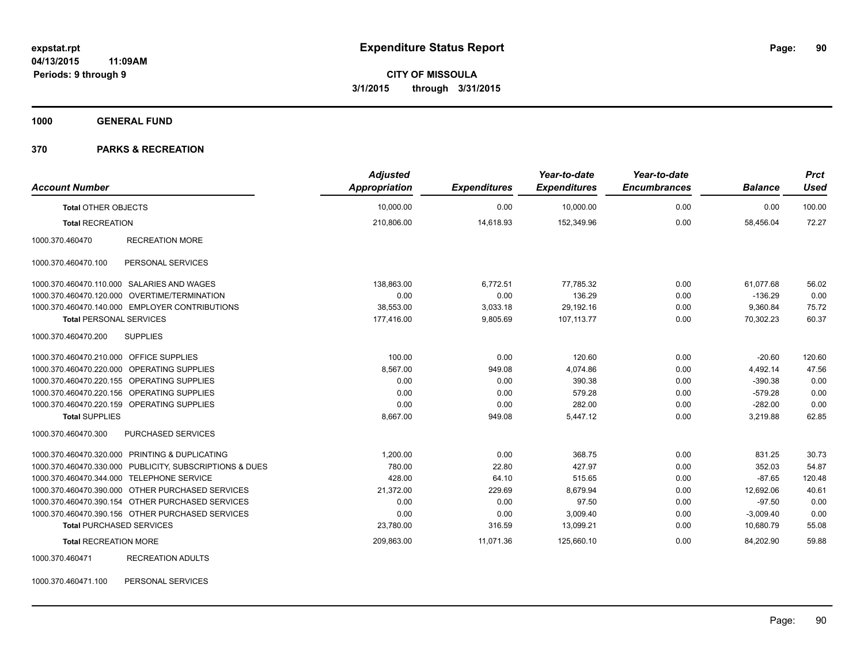**1000 GENERAL FUND**

### **370 PARKS & RECREATION**

| <b>Account Number</b>                     |                                                         | <b>Adjusted</b><br><b>Appropriation</b> | <b>Expenditures</b> | Year-to-date<br><b>Expenditures</b> | Year-to-date<br><b>Encumbrances</b> | <b>Balance</b> | <b>Prct</b><br><b>Used</b> |
|-------------------------------------------|---------------------------------------------------------|-----------------------------------------|---------------------|-------------------------------------|-------------------------------------|----------------|----------------------------|
| <b>Total OTHER OBJECTS</b>                |                                                         | 10,000.00                               | 0.00                | 10,000.00                           | 0.00                                | 0.00           | 100.00                     |
| <b>Total RECREATION</b>                   |                                                         | 210,806.00                              | 14,618.93           | 152,349.96                          | 0.00                                | 58,456.04      | 72.27                      |
| 1000.370.460470                           | <b>RECREATION MORE</b>                                  |                                         |                     |                                     |                                     |                |                            |
| 1000.370.460470.100                       | PERSONAL SERVICES                                       |                                         |                     |                                     |                                     |                |                            |
|                                           | 1000.370.460470.110.000 SALARIES AND WAGES              | 138,863.00                              | 6,772.51            | 77,785.32                           | 0.00                                | 61,077.68      | 56.02                      |
|                                           | 1000.370.460470.120.000 OVERTIME/TERMINATION            | 0.00                                    | 0.00                | 136.29                              | 0.00                                | $-136.29$      | 0.00                       |
|                                           | 1000.370.460470.140.000 EMPLOYER CONTRIBUTIONS          | 38,553.00                               | 3,033.18            | 29.192.16                           | 0.00                                | 9.360.84       | 75.72                      |
| <b>Total PERSONAL SERVICES</b>            |                                                         | 177,416.00                              | 9,805.69            | 107,113.77                          | 0.00                                | 70,302.23      | 60.37                      |
| 1000.370.460470.200                       | <b>SUPPLIES</b>                                         |                                         |                     |                                     |                                     |                |                            |
| 1000.370.460470.210.000 OFFICE SUPPLIES   |                                                         | 100.00                                  | 0.00                | 120.60                              | 0.00                                | $-20.60$       | 120.60                     |
|                                           | 1000.370.460470.220.000 OPERATING SUPPLIES              | 8,567.00                                | 949.08              | 4,074.86                            | 0.00                                | 4,492.14       | 47.56                      |
|                                           | 1000.370.460470.220.155 OPERATING SUPPLIES              | 0.00                                    | 0.00                | 390.38                              | 0.00                                | $-390.38$      | 0.00                       |
|                                           | 1000.370.460470.220.156 OPERATING SUPPLIES              | 0.00                                    | 0.00                | 579.28                              | 0.00                                | $-579.28$      | 0.00                       |
|                                           | 1000.370.460470.220.159 OPERATING SUPPLIES              | 0.00                                    | 0.00                | 282.00                              | 0.00                                | $-282.00$      | 0.00                       |
| <b>Total SUPPLIES</b>                     |                                                         | 8,667.00                                | 949.08              | 5,447.12                            | 0.00                                | 3,219.88       | 62.85                      |
| 1000.370.460470.300                       | PURCHASED SERVICES                                      |                                         |                     |                                     |                                     |                |                            |
|                                           | 1000.370.460470.320.000 PRINTING & DUPLICATING          | 1,200.00                                | 0.00                | 368.75                              | 0.00                                | 831.25         | 30.73                      |
|                                           | 1000.370.460470.330.000 PUBLICITY, SUBSCRIPTIONS & DUES | 780.00                                  | 22.80               | 427.97                              | 0.00                                | 352.03         | 54.87                      |
| 1000.370.460470.344.000 TELEPHONE SERVICE |                                                         | 428.00                                  | 64.10               | 515.65                              | 0.00                                | $-87.65$       | 120.48                     |
|                                           | 1000.370.460470.390.000 OTHER PURCHASED SERVICES        | 21,372.00                               | 229.69              | 8,679.94                            | 0.00                                | 12,692.06      | 40.61                      |
|                                           | 1000.370.460470.390.154 OTHER PURCHASED SERVICES        | 0.00                                    | 0.00                | 97.50                               | 0.00                                | $-97.50$       | 0.00                       |
|                                           | 1000.370.460470.390.156 OTHER PURCHASED SERVICES        | 0.00                                    | 0.00                | 3,009.40                            | 0.00                                | $-3,009.40$    | 0.00                       |
| <b>Total PURCHASED SERVICES</b>           |                                                         | 23,780.00                               | 316.59              | 13,099.21                           | 0.00                                | 10,680.79      | 55.08                      |
| <b>Total RECREATION MORE</b>              |                                                         | 209,863.00                              | 11,071.36           | 125,660.10                          | 0.00                                | 84,202.90      | 59.88                      |
| 1000.370.460471                           | <b>RECREATION ADULTS</b>                                |                                         |                     |                                     |                                     |                |                            |

1000.370.460471.100 PERSONAL SERVICES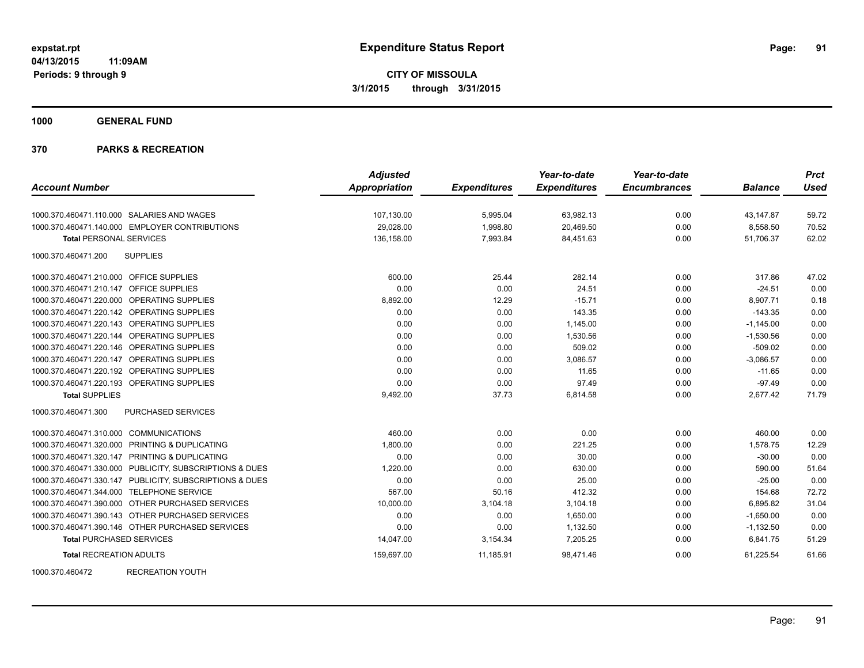**1000 GENERAL FUND**

### **370 PARKS & RECREATION**

|                                                         | <b>Adjusted</b>      |                     | Year-to-date        | Year-to-date        |                | <b>Prct</b> |
|---------------------------------------------------------|----------------------|---------------------|---------------------|---------------------|----------------|-------------|
| <b>Account Number</b>                                   | <b>Appropriation</b> | <b>Expenditures</b> | <b>Expenditures</b> | <b>Encumbrances</b> | <b>Balance</b> | <b>Used</b> |
| 1000.370.460471.110.000 SALARIES AND WAGES              | 107,130.00           | 5,995.04            | 63,982.13           | 0.00                | 43,147.87      | 59.72       |
| 1000.370.460471.140.000 EMPLOYER CONTRIBUTIONS          | 29,028.00            | 1,998.80            | 20,469.50           | 0.00                | 8,558.50       | 70.52       |
| <b>Total PERSONAL SERVICES</b>                          | 136,158.00           | 7,993.84            | 84,451.63           | 0.00                | 51,706.37      | 62.02       |
| 1000.370.460471.200<br><b>SUPPLIES</b>                  |                      |                     |                     |                     |                |             |
| 1000.370.460471.210.000 OFFICE SUPPLIES                 | 600.00               | 25.44               | 282.14              | 0.00                | 317.86         | 47.02       |
| 1000.370.460471.210.147 OFFICE SUPPLIES                 | 0.00                 | 0.00                | 24.51               | 0.00                | $-24.51$       | 0.00        |
| 1000.370.460471.220.000 OPERATING SUPPLIES              | 8,892.00             | 12.29               | $-15.71$            | 0.00                | 8,907.71       | 0.18        |
| 1000.370.460471.220.142 OPERATING SUPPLIES              | 0.00                 | 0.00                | 143.35              | 0.00                | $-143.35$      | 0.00        |
| 1000.370.460471.220.143 OPERATING SUPPLIES              | 0.00                 | 0.00                | 1,145.00            | 0.00                | $-1,145.00$    | 0.00        |
| 1000.370.460471.220.144 OPERATING SUPPLIES              | 0.00                 | 0.00                | 1,530.56            | 0.00                | $-1,530.56$    | 0.00        |
| 1000.370.460471.220.146 OPERATING SUPPLIES              | 0.00                 | 0.00                | 509.02              | 0.00                | $-509.02$      | 0.00        |
| 1000.370.460471.220.147 OPERATING SUPPLIES              | 0.00                 | 0.00                | 3.086.57            | 0.00                | $-3.086.57$    | 0.00        |
| 1000.370.460471.220.192 OPERATING SUPPLIES              | 0.00                 | 0.00                | 11.65               | 0.00                | $-11.65$       | 0.00        |
| 1000.370.460471.220.193 OPERATING SUPPLIES              | 0.00                 | 0.00                | 97.49               | 0.00                | $-97.49$       | 0.00        |
| <b>Total SUPPLIES</b>                                   | 9,492.00             | 37.73               | 6,814.58            | 0.00                | 2,677.42       | 71.79       |
| 1000.370.460471.300<br><b>PURCHASED SERVICES</b>        |                      |                     |                     |                     |                |             |
| 1000.370.460471.310.000 COMMUNICATIONS                  | 460.00               | 0.00                | 0.00                | 0.00                | 460.00         | 0.00        |
| 1000.370.460471.320.000 PRINTING & DUPLICATING          | 1,800.00             | 0.00                | 221.25              | 0.00                | 1,578.75       | 12.29       |
| 1000.370.460471.320.147 PRINTING & DUPLICATING          | 0.00                 | 0.00                | 30.00               | 0.00                | $-30.00$       | 0.00        |
| 1000.370.460471.330.000 PUBLICITY, SUBSCRIPTIONS & DUES | 1,220.00             | 0.00                | 630.00              | 0.00                | 590.00         | 51.64       |
| 1000.370.460471.330.147 PUBLICITY, SUBSCRIPTIONS & DUES | 0.00                 | 0.00                | 25.00               | 0.00                | $-25.00$       | 0.00        |
| 1000.370.460471.344.000 TELEPHONE SERVICE               | 567.00               | 50.16               | 412.32              | 0.00                | 154.68         | 72.72       |
| 1000.370.460471.390.000 OTHER PURCHASED SERVICES        | 10,000.00            | 3,104.18            | 3,104.18            | 0.00                | 6.895.82       | 31.04       |
| 1000.370.460471.390.143 OTHER PURCHASED SERVICES        | 0.00                 | 0.00                | 1,650.00            | 0.00                | $-1,650.00$    | 0.00        |
| 1000.370.460471.390.146 OTHER PURCHASED SERVICES        | 0.00                 | 0.00                | 1,132.50            | 0.00                | $-1,132.50$    | 0.00        |
| <b>Total PURCHASED SERVICES</b>                         | 14,047.00            | 3,154.34            | 7,205.25            | 0.00                | 6,841.75       | 51.29       |
| <b>Total RECREATION ADULTS</b>                          | 159,697.00           | 11,185.91           | 98,471.46           | 0.00                | 61.225.54      | 61.66       |

1000.370.460472 RECREATION YOUTH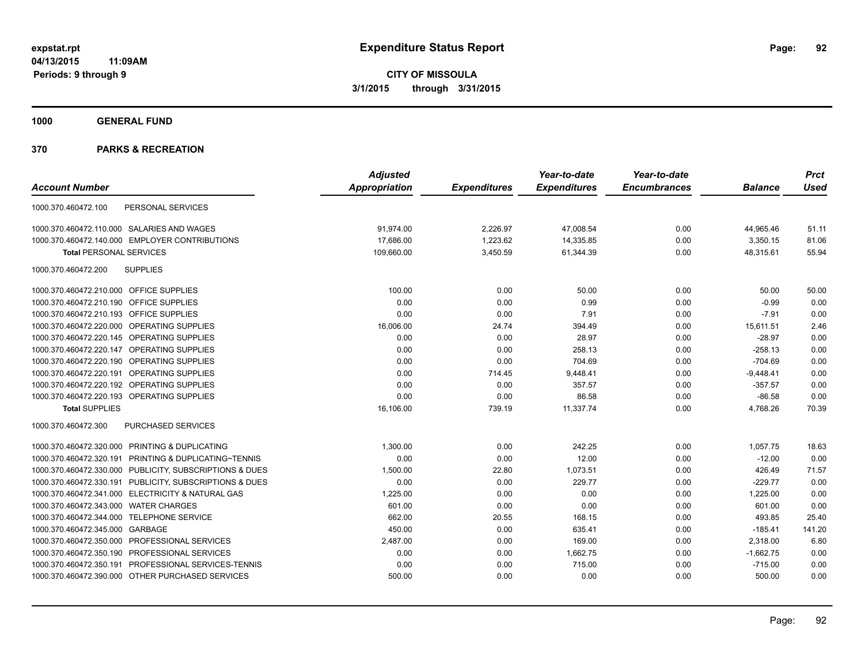**1000 GENERAL FUND**

|                                                         | <b>Adjusted</b> |                     | Year-to-date        | Year-to-date        |                | <b>Prct</b> |
|---------------------------------------------------------|-----------------|---------------------|---------------------|---------------------|----------------|-------------|
| <b>Account Number</b>                                   | Appropriation   | <b>Expenditures</b> | <b>Expenditures</b> | <b>Encumbrances</b> | <b>Balance</b> | <b>Used</b> |
| PERSONAL SERVICES<br>1000.370.460472.100                |                 |                     |                     |                     |                |             |
| 1000.370.460472.110.000 SALARIES AND WAGES              | 91.974.00       | 2,226.97            | 47,008.54           | 0.00                | 44,965.46      | 51.11       |
| 1000.370.460472.140.000 EMPLOYER CONTRIBUTIONS          | 17,686.00       | 1,223.62            | 14,335.85           | 0.00                | 3,350.15       | 81.06       |
| <b>Total PERSONAL SERVICES</b>                          | 109,660.00      | 3,450.59            | 61,344.39           | 0.00                | 48,315.61      | 55.94       |
| <b>SUPPLIES</b><br>1000.370.460472.200                  |                 |                     |                     |                     |                |             |
| 1000.370.460472.210.000 OFFICE SUPPLIES                 | 100.00          | 0.00                | 50.00               | 0.00                | 50.00          | 50.00       |
| 1000.370.460472.210.190 OFFICE SUPPLIES                 | 0.00            | 0.00                | 0.99                | 0.00                | $-0.99$        | 0.00        |
| 1000.370.460472.210.193 OFFICE SUPPLIES                 | 0.00            | 0.00                | 7.91                | 0.00                | $-7.91$        | 0.00        |
| 1000.370.460472.220.000 OPERATING SUPPLIES              | 16,006.00       | 24.74               | 394.49              | 0.00                | 15,611.51      | 2.46        |
| 1000.370.460472.220.145 OPERATING SUPPLIES              | 0.00            | 0.00                | 28.97               | 0.00                | $-28.97$       | 0.00        |
| 1000.370.460472.220.147 OPERATING SUPPLIES              | 0.00            | 0.00                | 258.13              | 0.00                | $-258.13$      | 0.00        |
| 1000.370.460472.220.190 OPERATING SUPPLIES              | 0.00            | 0.00                | 704.69              | 0.00                | $-704.69$      | 0.00        |
| 1000.370.460472.220.191<br><b>OPERATING SUPPLIES</b>    | 0.00            | 714.45              | 9,448.41            | 0.00                | $-9,448.41$    | 0.00        |
| 1000.370.460472.220.192 OPERATING SUPPLIES              | 0.00            | 0.00                | 357.57              | 0.00                | $-357.57$      | 0.00        |
| 1000.370.460472.220.193 OPERATING SUPPLIES              | 0.00            | 0.00                | 86.58               | 0.00                | $-86.58$       | 0.00        |
| <b>Total SUPPLIES</b>                                   | 16,106.00       | 739.19              | 11,337.74           | 0.00                | 4,768.26       | 70.39       |
| PURCHASED SERVICES<br>1000.370.460472.300               |                 |                     |                     |                     |                |             |
| 1000.370.460472.320.000 PRINTING & DUPLICATING          | 1,300.00        | 0.00                | 242.25              | 0.00                | 1,057.75       | 18.63       |
| 1000.370.460472.320.191 PRINTING & DUPLICATING~TENNIS   | 0.00            | 0.00                | 12.00               | 0.00                | $-12.00$       | 0.00        |
| 1000.370.460472.330.000 PUBLICITY, SUBSCRIPTIONS & DUES | 1,500.00        | 22.80               | 1,073.51            | 0.00                | 426.49         | 71.57       |
| 1000.370.460472.330.191 PUBLICITY, SUBSCRIPTIONS & DUES | 0.00            | 0.00                | 229.77              | 0.00                | $-229.77$      | 0.00        |
| 1000.370.460472.341.000 ELECTRICITY & NATURAL GAS       | 1,225.00        | 0.00                | 0.00                | 0.00                | 1,225.00       | 0.00        |
| 1000.370.460472.343.000 WATER CHARGES                   | 601.00          | 0.00                | 0.00                | 0.00                | 601.00         | 0.00        |
| 1000.370.460472.344.000 TELEPHONE SERVICE               | 662.00          | 20.55               | 168.15              | 0.00                | 493.85         | 25.40       |
| 1000.370.460472.345.000 GARBAGE                         | 450.00          | 0.00                | 635.41              | 0.00                | $-185.41$      | 141.20      |
| 1000.370.460472.350.000 PROFESSIONAL SERVICES           | 2,487.00        | 0.00                | 169.00              | 0.00                | 2,318.00       | 6.80        |
| 1000.370.460472.350.190 PROFESSIONAL SERVICES           | 0.00            | 0.00                | 1,662.75            | 0.00                | $-1,662.75$    | 0.00        |
| 1000.370.460472.350.191 PROFESSIONAL SERVICES-TENNIS    | 0.00            | 0.00                | 715.00              | 0.00                | $-715.00$      | 0.00        |
| 1000.370.460472.390.000 OTHER PURCHASED SERVICES        | 500.00          | 0.00                | 0.00                | 0.00                | 500.00         | 0.00        |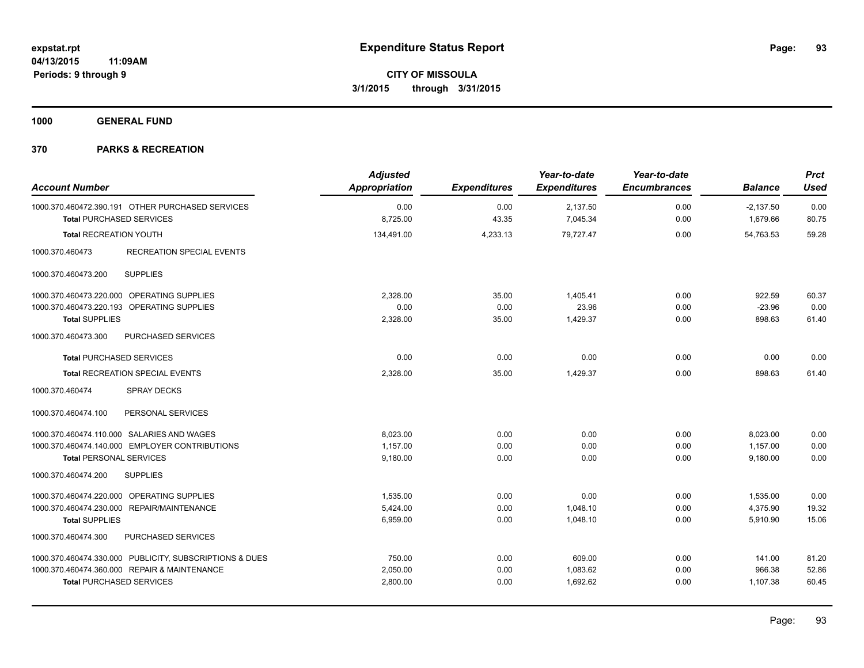**1000 GENERAL FUND**

| <b>Account Number</b>                                                               | <b>Adjusted</b><br><b>Appropriation</b> | <b>Expenditures</b> | Year-to-date<br><b>Expenditures</b> | Year-to-date<br><b>Encumbrances</b> | <b>Balance</b>          | <b>Prct</b><br><b>Used</b> |
|-------------------------------------------------------------------------------------|-----------------------------------------|---------------------|-------------------------------------|-------------------------------------|-------------------------|----------------------------|
| 1000.370.460472.390.191 OTHER PURCHASED SERVICES<br><b>Total PURCHASED SERVICES</b> | 0.00<br>8,725.00                        | 0.00<br>43.35       | 2,137.50<br>7,045.34                | 0.00<br>0.00                        | $-2,137.50$<br>1,679.66 | 0.00<br>80.75              |
| <b>Total RECREATION YOUTH</b>                                                       | 134,491.00                              | 4,233.13            | 79,727.47                           | 0.00                                | 54,763.53               | 59.28                      |
| 1000.370.460473<br><b>RECREATION SPECIAL EVENTS</b>                                 |                                         |                     |                                     |                                     |                         |                            |
| <b>SUPPLIES</b><br>1000.370.460473.200                                              |                                         |                     |                                     |                                     |                         |                            |
| 1000.370.460473.220.000 OPERATING SUPPLIES                                          | 2,328.00                                | 35.00               | 1,405.41                            | 0.00                                | 922.59                  | 60.37                      |
| 1000.370.460473.220.193 OPERATING SUPPLIES                                          | 0.00                                    | 0.00                | 23.96                               | 0.00                                | $-23.96$                | 0.00                       |
| <b>Total SUPPLIES</b>                                                               | 2,328.00                                | 35.00               | 1,429.37                            | 0.00                                | 898.63                  | 61.40                      |
| 1000.370.460473.300<br><b>PURCHASED SERVICES</b>                                    |                                         |                     |                                     |                                     |                         |                            |
| <b>Total PURCHASED SERVICES</b>                                                     | 0.00                                    | 0.00                | 0.00                                | 0.00                                | 0.00                    | 0.00                       |
| <b>Total RECREATION SPECIAL EVENTS</b>                                              | 2,328.00                                | 35.00               | 1,429.37                            | 0.00                                | 898.63                  | 61.40                      |
| <b>SPRAY DECKS</b><br>1000.370.460474                                               |                                         |                     |                                     |                                     |                         |                            |
| 1000.370.460474.100<br>PERSONAL SERVICES                                            |                                         |                     |                                     |                                     |                         |                            |
| 1000.370.460474.110.000 SALARIES AND WAGES                                          | 8,023.00                                | 0.00                | 0.00                                | 0.00                                | 8,023.00                | 0.00                       |
| 1000.370.460474.140.000 EMPLOYER CONTRIBUTIONS                                      | 1,157.00                                | 0.00                | 0.00                                | 0.00                                | 1,157.00                | 0.00                       |
| <b>Total PERSONAL SERVICES</b>                                                      | 9.180.00                                | 0.00                | 0.00                                | 0.00                                | 9.180.00                | 0.00                       |
| 1000.370.460474.200<br><b>SUPPLIES</b>                                              |                                         |                     |                                     |                                     |                         |                            |
| 1000.370.460474.220.000 OPERATING SUPPLIES                                          | 1,535.00                                | 0.00                | 0.00                                | 0.00                                | 1,535.00                | 0.00                       |
| 1000.370.460474.230.000 REPAIR/MAINTENANCE                                          | 5,424.00                                | 0.00                | 1,048.10                            | 0.00                                | 4,375.90                | 19.32                      |
| <b>Total SUPPLIES</b>                                                               | 6,959.00                                | 0.00                | 1,048.10                            | 0.00                                | 5,910.90                | 15.06                      |
| 1000.370.460474.300<br>PURCHASED SERVICES                                           |                                         |                     |                                     |                                     |                         |                            |
| 1000.370.460474.330.000 PUBLICITY, SUBSCRIPTIONS & DUES                             | 750.00                                  | 0.00                | 609.00                              | 0.00                                | 141.00                  | 81.20                      |
| 1000.370.460474.360.000 REPAIR & MAINTENANCE                                        | 2,050.00                                | 0.00                | 1,083.62                            | 0.00                                | 966.38                  | 52.86                      |
| <b>Total PURCHASED SERVICES</b>                                                     | 2,800.00                                | 0.00                | 1,692.62                            | 0.00                                | 1,107.38                | 60.45                      |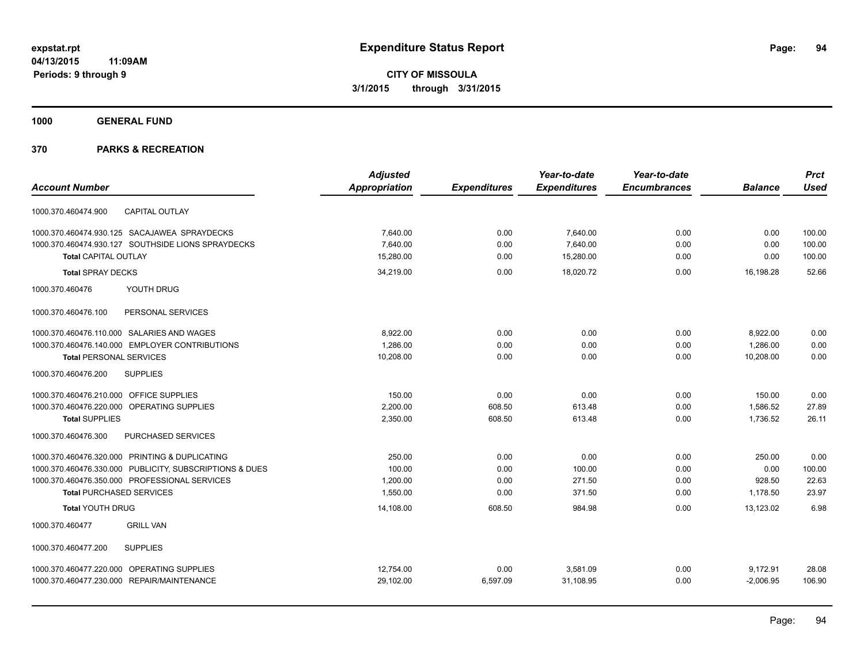**1000 GENERAL FUND**

|                                                         | <b>Adjusted</b> |                     | Year-to-date        | Year-to-date        |                | <b>Prct</b> |
|---------------------------------------------------------|-----------------|---------------------|---------------------|---------------------|----------------|-------------|
| <b>Account Number</b>                                   | Appropriation   | <b>Expenditures</b> | <b>Expenditures</b> | <b>Encumbrances</b> | <b>Balance</b> | <b>Used</b> |
| <b>CAPITAL OUTLAY</b><br>1000.370.460474.900            |                 |                     |                     |                     |                |             |
| 1000.370.460474.930.125 SACAJAWEA SPRAYDECKS            | 7,640.00        | 0.00                | 7,640.00            | 0.00                | 0.00           | 100.00      |
| 1000.370.460474.930.127 SOUTHSIDE LIONS SPRAYDECKS      | 7,640.00        | 0.00                | 7,640.00            | 0.00                | 0.00           | 100.00      |
| <b>Total CAPITAL OUTLAY</b>                             | 15.280.00       | 0.00                | 15,280.00           | 0.00                | 0.00           | 100.00      |
| <b>Total SPRAY DECKS</b>                                | 34,219.00       | 0.00                | 18,020.72           | 0.00                | 16,198.28      | 52.66       |
| 1000.370.460476<br>YOUTH DRUG                           |                 |                     |                     |                     |                |             |
| 1000.370.460476.100<br>PERSONAL SERVICES                |                 |                     |                     |                     |                |             |
| 1000.370.460476.110.000 SALARIES AND WAGES              | 8,922.00        | 0.00                | 0.00                | 0.00                | 8,922.00       | 0.00        |
| 1000.370.460476.140.000 EMPLOYER CONTRIBUTIONS          | 1,286.00        | 0.00                | 0.00                | 0.00                | 1,286.00       | 0.00        |
| <b>Total PERSONAL SERVICES</b>                          | 10,208.00       | 0.00                | 0.00                | 0.00                | 10,208.00      | 0.00        |
| <b>SUPPLIES</b><br>1000.370.460476.200                  |                 |                     |                     |                     |                |             |
| 1000.370.460476.210.000 OFFICE SUPPLIES                 | 150.00          | 0.00                | 0.00                | 0.00                | 150.00         | 0.00        |
| 1000.370.460476.220.000 OPERATING SUPPLIES              | 2,200.00        | 608.50              | 613.48              | 0.00                | 1,586.52       | 27.89       |
| <b>Total SUPPLIES</b>                                   | 2,350.00        | 608.50              | 613.48              | 0.00                | 1,736.52       | 26.11       |
| 1000.370.460476.300<br>PURCHASED SERVICES               |                 |                     |                     |                     |                |             |
| 1000.370.460476.320.000 PRINTING & DUPLICATING          | 250.00          | 0.00                | 0.00                | 0.00                | 250.00         | 0.00        |
| 1000.370.460476.330.000 PUBLICITY, SUBSCRIPTIONS & DUES | 100.00          | 0.00                | 100.00              | 0.00                | 0.00           | 100.00      |
| 1000.370.460476.350.000 PROFESSIONAL SERVICES           | 1,200.00        | 0.00                | 271.50              | 0.00                | 928.50         | 22.63       |
| <b>Total PURCHASED SERVICES</b>                         | 1,550.00        | 0.00                | 371.50              | 0.00                | 1,178.50       | 23.97       |
| <b>Total YOUTH DRUG</b>                                 | 14,108.00       | 608.50              | 984.98              | 0.00                | 13,123.02      | 6.98        |
| <b>GRILL VAN</b><br>1000.370.460477                     |                 |                     |                     |                     |                |             |
| <b>SUPPLIES</b><br>1000.370.460477.200                  |                 |                     |                     |                     |                |             |
| 1000.370.460477.220.000 OPERATING SUPPLIES              | 12,754.00       | 0.00                | 3,581.09            | 0.00                | 9,172.91       | 28.08       |
| 1000.370.460477.230.000 REPAIR/MAINTENANCE              | 29,102.00       | 6,597.09            | 31,108.95           | 0.00                | $-2,006.95$    | 106.90      |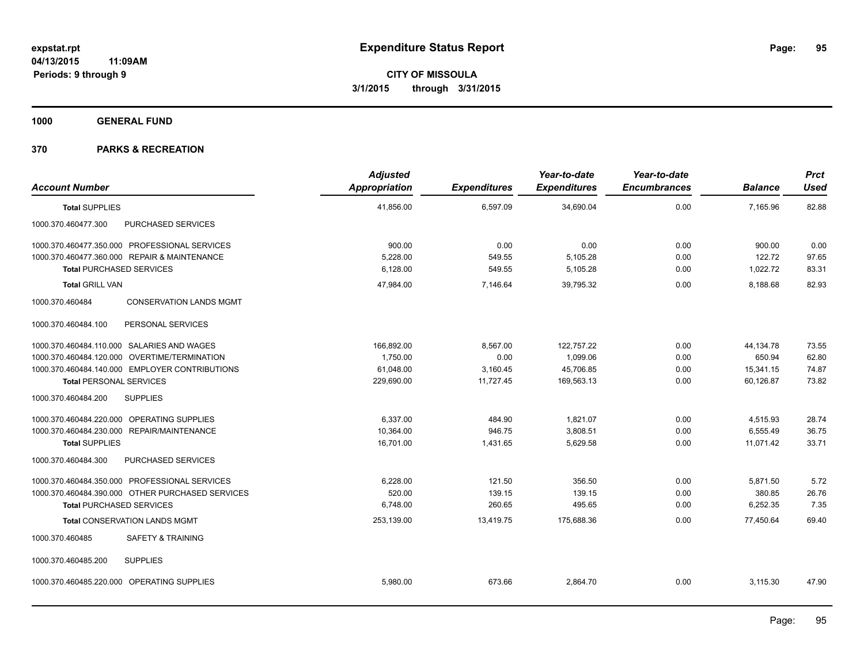**1000 GENERAL FUND**

| <b>Account Number</b>                             | <b>Adjusted</b><br>Appropriation | <b>Expenditures</b> | Year-to-date<br><b>Expenditures</b> | Year-to-date<br><b>Encumbrances</b> | <b>Balance</b> | Prct<br><b>Used</b> |
|---------------------------------------------------|----------------------------------|---------------------|-------------------------------------|-------------------------------------|----------------|---------------------|
| <b>Total SUPPLIES</b>                             | 41,856.00                        | 6,597.09            | 34,690.04                           | 0.00                                | 7,165.96       | 82.88               |
| 1000.370.460477.300<br>PURCHASED SERVICES         |                                  |                     |                                     |                                     |                |                     |
| 1000.370.460477.350.000 PROFESSIONAL SERVICES     | 900.00                           | 0.00                | 0.00                                | 0.00                                | 900.00         | 0.00                |
| 1000.370.460477.360.000 REPAIR & MAINTENANCE      | 5,228.00                         | 549.55              | 5,105.28                            | 0.00                                | 122.72         | 97.65               |
| <b>Total PURCHASED SERVICES</b>                   | 6,128.00                         | 549.55              | 5,105.28                            | 0.00                                | 1,022.72       | 83.31               |
| <b>Total GRILL VAN</b>                            | 47,984.00                        | 7,146.64            | 39,795.32                           | 0.00                                | 8,188.68       | 82.93               |
| 1000.370.460484<br><b>CONSERVATION LANDS MGMT</b> |                                  |                     |                                     |                                     |                |                     |
| 1000.370.460484.100<br>PERSONAL SERVICES          |                                  |                     |                                     |                                     |                |                     |
| 1000.370.460484.110.000 SALARIES AND WAGES        | 166,892.00                       | 8,567.00            | 122,757.22                          | 0.00                                | 44,134.78      | 73.55               |
| 1000.370.460484.120.000 OVERTIME/TERMINATION      | 1,750.00                         | 0.00                | 1,099.06                            | 0.00                                | 650.94         | 62.80               |
| 1000.370.460484.140.000 EMPLOYER CONTRIBUTIONS    | 61,048.00                        | 3,160.45            | 45,706.85                           | 0.00                                | 15,341.15      | 74.87               |
| <b>Total PERSONAL SERVICES</b>                    | 229,690.00                       | 11,727.45           | 169,563.13                          | 0.00                                | 60,126.87      | 73.82               |
| 1000.370.460484.200<br><b>SUPPLIES</b>            |                                  |                     |                                     |                                     |                |                     |
| 1000.370.460484.220.000 OPERATING SUPPLIES        | 6.337.00                         | 484.90              | 1.821.07                            | 0.00                                | 4,515.93       | 28.74               |
| 1000.370.460484.230.000 REPAIR/MAINTENANCE        | 10,364.00                        | 946.75              | 3,808.51                            | 0.00                                | 6,555.49       | 36.75               |
| <b>Total SUPPLIES</b>                             | 16,701.00                        | 1,431.65            | 5,629.58                            | 0.00                                | 11,071.42      | 33.71               |
| PURCHASED SERVICES<br>1000.370.460484.300         |                                  |                     |                                     |                                     |                |                     |
| 1000.370.460484.350.000 PROFESSIONAL SERVICES     | 6,228.00                         | 121.50              | 356.50                              | 0.00                                | 5,871.50       | 5.72                |
| 1000.370.460484.390.000 OTHER PURCHASED SERVICES  | 520.00                           | 139.15              | 139.15                              | 0.00                                | 380.85         | 26.76               |
| <b>Total PURCHASED SERVICES</b>                   | 6,748.00                         | 260.65              | 495.65                              | 0.00                                | 6,252.35       | 7.35                |
| <b>Total CONSERVATION LANDS MGMT</b>              | 253,139.00                       | 13,419.75           | 175,688.36                          | 0.00                                | 77,450.64      | 69.40               |
| 1000.370.460485<br><b>SAFETY &amp; TRAINING</b>   |                                  |                     |                                     |                                     |                |                     |
| 1000.370.460485.200<br><b>SUPPLIES</b>            |                                  |                     |                                     |                                     |                |                     |
| 1000.370.460485.220.000 OPERATING SUPPLIES        | 5.980.00                         | 673.66              | 2.864.70                            | 0.00                                | 3,115.30       | 47.90               |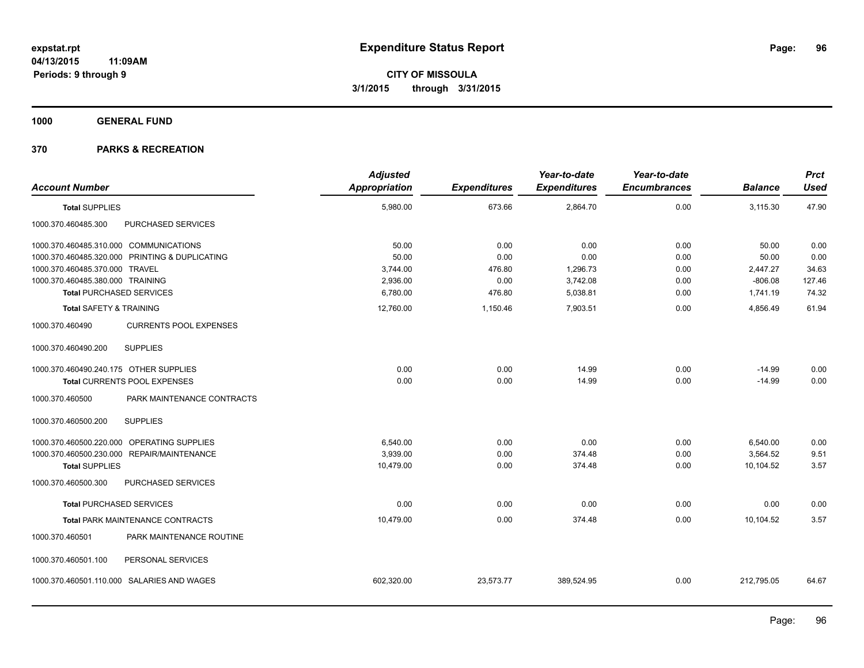**1000 GENERAL FUND**

| <b>Account Number</b>                  |                                                | <b>Adjusted</b><br><b>Appropriation</b> | <b>Expenditures</b> | Year-to-date<br><b>Expenditures</b> | Year-to-date<br><b>Encumbrances</b> | <b>Balance</b> | <b>Prct</b><br><b>Used</b> |
|----------------------------------------|------------------------------------------------|-----------------------------------------|---------------------|-------------------------------------|-------------------------------------|----------------|----------------------------|
| <b>Total SUPPLIES</b>                  |                                                | 5,980.00                                | 673.66              | 2,864.70                            | 0.00                                | 3,115.30       | 47.90                      |
| 1000.370.460485.300                    | PURCHASED SERVICES                             |                                         |                     |                                     |                                     |                |                            |
| 1000.370.460485.310.000 COMMUNICATIONS |                                                | 50.00                                   | 0.00                | 0.00                                | 0.00                                | 50.00          | 0.00                       |
|                                        | 1000.370.460485.320.000 PRINTING & DUPLICATING | 50.00                                   | 0.00                | 0.00                                | 0.00                                | 50.00          | 0.00                       |
| 1000.370.460485.370.000 TRAVEL         |                                                | 3,744.00                                | 476.80              | 1,296.73                            | 0.00                                | 2,447.27       | 34.63                      |
| 1000.370.460485.380.000 TRAINING       |                                                | 2,936.00                                | 0.00                | 3,742.08                            | 0.00                                | $-806.08$      | 127.46                     |
| <b>Total PURCHASED SERVICES</b>        |                                                | 6,780.00                                | 476.80              | 5,038.81                            | 0.00                                | 1,741.19       | 74.32                      |
| <b>Total SAFETY &amp; TRAINING</b>     |                                                | 12,760.00                               | 1,150.46            | 7,903.51                            | 0.00                                | 4,856.49       | 61.94                      |
| 1000.370.460490                        | <b>CURRENTS POOL EXPENSES</b>                  |                                         |                     |                                     |                                     |                |                            |
| 1000.370.460490.200                    | <b>SUPPLIES</b>                                |                                         |                     |                                     |                                     |                |                            |
| 1000.370.460490.240.175 OTHER SUPPLIES |                                                | 0.00                                    | 0.00                | 14.99                               | 0.00                                | $-14.99$       | 0.00                       |
|                                        | Total CURRENTS POOL EXPENSES                   | 0.00                                    | 0.00                | 14.99                               | 0.00                                | $-14.99$       | 0.00                       |
| 1000.370.460500                        | PARK MAINTENANCE CONTRACTS                     |                                         |                     |                                     |                                     |                |                            |
| 1000.370.460500.200                    | <b>SUPPLIES</b>                                |                                         |                     |                                     |                                     |                |                            |
|                                        | 1000.370.460500.220.000 OPERATING SUPPLIES     | 6,540.00                                | 0.00                | 0.00                                | 0.00                                | 6,540.00       | 0.00                       |
|                                        | 1000.370.460500.230.000 REPAIR/MAINTENANCE     | 3,939.00                                | 0.00                | 374.48                              | 0.00                                | 3,564.52       | 9.51                       |
| <b>Total SUPPLIES</b>                  |                                                | 10,479.00                               | 0.00                | 374.48                              | 0.00                                | 10,104.52      | 3.57                       |
| 1000.370.460500.300                    | PURCHASED SERVICES                             |                                         |                     |                                     |                                     |                |                            |
| <b>Total PURCHASED SERVICES</b>        |                                                | 0.00                                    | 0.00                | 0.00                                | 0.00                                | 0.00           | 0.00                       |
|                                        | <b>Total PARK MAINTENANCE CONTRACTS</b>        | 10,479.00                               | 0.00                | 374.48                              | 0.00                                | 10,104.52      | 3.57                       |
| 1000.370.460501                        | PARK MAINTENANCE ROUTINE                       |                                         |                     |                                     |                                     |                |                            |
| 1000.370.460501.100                    | PERSONAL SERVICES                              |                                         |                     |                                     |                                     |                |                            |
|                                        | 1000.370.460501.110.000 SALARIES AND WAGES     | 602,320.00                              | 23,573.77           | 389,524.95                          | 0.00                                | 212,795.05     | 64.67                      |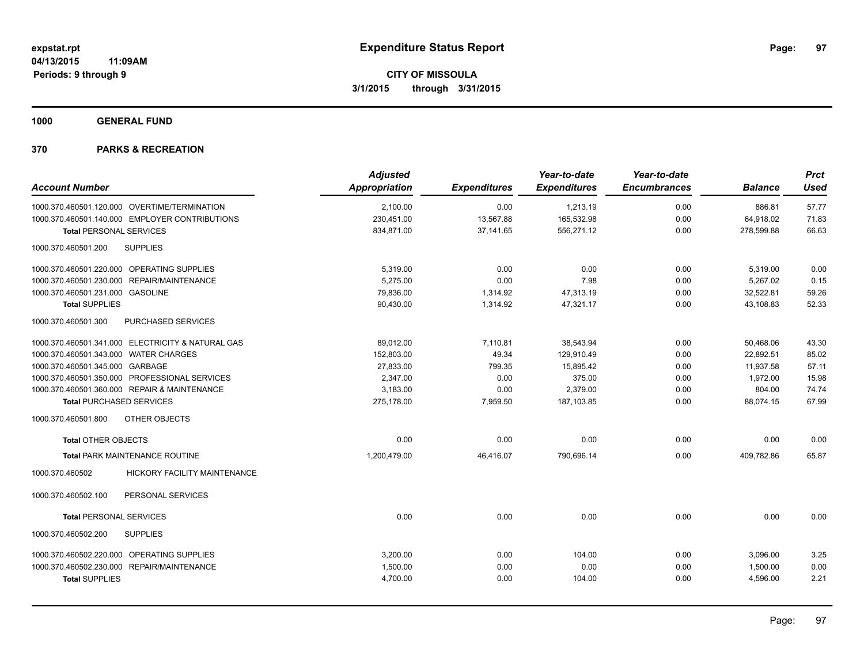**1000 GENERAL FUND**

| <b>Account Number</b>                             | <b>Adjusted</b><br>Appropriation | <b>Expenditures</b> | Year-to-date<br><b>Expenditures</b> | Year-to-date<br><b>Encumbrances</b> | <b>Balance</b> | <b>Prct</b><br><b>Used</b> |
|---------------------------------------------------|----------------------------------|---------------------|-------------------------------------|-------------------------------------|----------------|----------------------------|
| 1000.370.460501.120.000 OVERTIME/TERMINATION      | 2,100.00                         | 0.00                | 1,213.19                            | 0.00                                | 886.81         | 57.77                      |
| 1000.370.460501.140.000 EMPLOYER CONTRIBUTIONS    | 230,451.00                       | 13,567.88           | 165,532.98                          | 0.00                                | 64,918.02      | 71.83                      |
| <b>Total PERSONAL SERVICES</b>                    | 834,871.00                       | 37,141.65           | 556,271.12                          | 0.00                                | 278,599.88     | 66.63                      |
| 1000.370.460501.200<br><b>SUPPLIES</b>            |                                  |                     |                                     |                                     |                |                            |
| 1000.370.460501.220.000 OPERATING SUPPLIES        | 5,319.00                         | 0.00                | 0.00                                | 0.00                                | 5,319.00       | 0.00                       |
| 1000.370.460501.230.000 REPAIR/MAINTENANCE        | 5.275.00                         | 0.00                | 7.98                                | 0.00                                | 5.267.02       | 0.15                       |
| 1000.370.460501.231.000 GASOLINE                  | 79,836.00                        | 1,314.92            | 47,313.19                           | 0.00                                | 32,522.81      | 59.26                      |
| <b>Total SUPPLIES</b>                             | 90,430.00                        | 1,314.92            | 47,321.17                           | 0.00                                | 43,108.83      | 52.33                      |
| 1000.370.460501.300<br>PURCHASED SERVICES         |                                  |                     |                                     |                                     |                |                            |
| 1000.370.460501.341.000 ELECTRICITY & NATURAL GAS | 89,012.00                        | 7,110.81            | 38,543.94                           | 0.00                                | 50,468.06      | 43.30                      |
| 1000.370.460501.343.000 WATER CHARGES             | 152.803.00                       | 49.34               | 129,910.49                          | 0.00                                | 22.892.51      | 85.02                      |
| 1000.370.460501.345.000 GARBAGE                   | 27,833.00                        | 799.35              | 15,895.42                           | 0.00                                | 11,937.58      | 57.11                      |
| 1000.370.460501.350.000 PROFESSIONAL SERVICES     | 2,347.00                         | 0.00                | 375.00                              | 0.00                                | 1,972.00       | 15.98                      |
| 1000.370.460501.360.000 REPAIR & MAINTENANCE      | 3,183.00                         | 0.00                | 2,379.00                            | 0.00                                | 804.00         | 74.74                      |
| <b>Total PURCHASED SERVICES</b>                   | 275,178.00                       | 7,959.50            | 187,103.85                          | 0.00                                | 88,074.15      | 67.99                      |
| 1000.370.460501.800<br>OTHER OBJECTS              |                                  |                     |                                     |                                     |                |                            |
| <b>Total OTHER OBJECTS</b>                        | 0.00                             | 0.00                | 0.00                                | 0.00                                | 0.00           | 0.00                       |
| <b>Total PARK MAINTENANCE ROUTINE</b>             | 1,200,479.00                     | 46,416.07           | 790,696.14                          | 0.00                                | 409,782.86     | 65.87                      |
| HICKORY FACILITY MAINTENANCE<br>1000.370.460502   |                                  |                     |                                     |                                     |                |                            |
| PERSONAL SERVICES<br>1000.370.460502.100          |                                  |                     |                                     |                                     |                |                            |
| <b>Total PERSONAL SERVICES</b>                    | 0.00                             | 0.00                | 0.00                                | 0.00                                | 0.00           | 0.00                       |
| 1000.370.460502.200<br><b>SUPPLIES</b>            |                                  |                     |                                     |                                     |                |                            |
| 1000.370.460502.220.000 OPERATING SUPPLIES        | 3,200.00                         | 0.00                | 104.00                              | 0.00                                | 3,096.00       | 3.25                       |
| 1000.370.460502.230.000 REPAIR/MAINTENANCE        | 1,500.00                         | 0.00                | 0.00                                | 0.00                                | 1,500.00       | 0.00                       |
| <b>Total SUPPLIES</b>                             | 4,700.00                         | 0.00                | 104.00                              | 0.00                                | 4,596.00       | 2.21                       |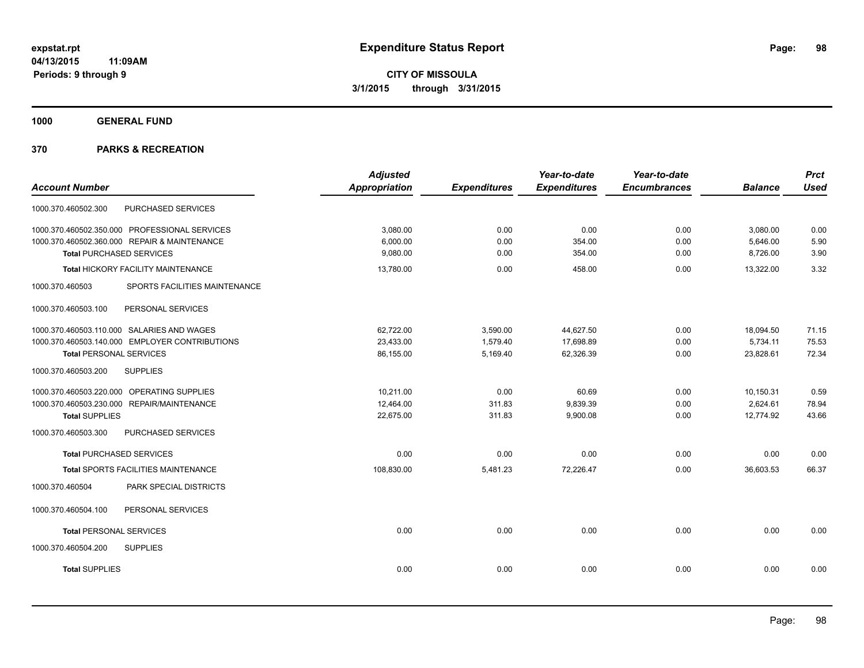**1000 GENERAL FUND**

|                                                  | <b>Adjusted</b>      |                     | Year-to-date        | Year-to-date        |                | <b>Prct</b> |
|--------------------------------------------------|----------------------|---------------------|---------------------|---------------------|----------------|-------------|
| <b>Account Number</b>                            | <b>Appropriation</b> | <b>Expenditures</b> | <b>Expenditures</b> | <b>Encumbrances</b> | <b>Balance</b> | <b>Used</b> |
| PURCHASED SERVICES<br>1000.370.460502.300        |                      |                     |                     |                     |                |             |
| 1000.370.460502.350.000 PROFESSIONAL SERVICES    | 3,080.00             | 0.00                | 0.00                | 0.00                | 3,080.00       | 0.00        |
| 1000.370.460502.360.000 REPAIR & MAINTENANCE     | 6,000.00             | 0.00                | 354.00              | 0.00                | 5,646.00       | 5.90        |
| <b>Total PURCHASED SERVICES</b>                  | 9,080.00             | 0.00                | 354.00              | 0.00                | 8,726.00       | 3.90        |
| Total HICKORY FACILITY MAINTENANCE               | 13,780.00            | 0.00                | 458.00              | 0.00                | 13,322.00      | 3.32        |
| 1000.370.460503<br>SPORTS FACILITIES MAINTENANCE |                      |                     |                     |                     |                |             |
| PERSONAL SERVICES<br>1000.370.460503.100         |                      |                     |                     |                     |                |             |
| 1000.370.460503.110.000 SALARIES AND WAGES       | 62,722.00            | 3,590.00            | 44,627.50           | 0.00                | 18,094.50      | 71.15       |
| 1000.370.460503.140.000 EMPLOYER CONTRIBUTIONS   | 23,433.00            | 1,579.40            | 17,698.89           | 0.00                | 5,734.11       | 75.53       |
| <b>Total PERSONAL SERVICES</b>                   | 86,155.00            | 5,169.40            | 62,326.39           | 0.00                | 23,828.61      | 72.34       |
| 1000.370.460503.200<br><b>SUPPLIES</b>           |                      |                     |                     |                     |                |             |
| 1000.370.460503.220.000 OPERATING SUPPLIES       | 10.211.00            | 0.00                | 60.69               | 0.00                | 10,150.31      | 0.59        |
| 1000.370.460503.230.000 REPAIR/MAINTENANCE       | 12,464.00            | 311.83              | 9,839.39            | 0.00                | 2,624.61       | 78.94       |
| <b>Total SUPPLIES</b>                            | 22,675.00            | 311.83              | 9,900.08            | 0.00                | 12.774.92      | 43.66       |
| 1000.370.460503.300<br>PURCHASED SERVICES        |                      |                     |                     |                     |                |             |
| <b>Total PURCHASED SERVICES</b>                  | 0.00                 | 0.00                | 0.00                | 0.00                | 0.00           | 0.00        |
| <b>Total SPORTS FACILITIES MAINTENANCE</b>       | 108,830.00           | 5,481.23            | 72,226.47           | 0.00                | 36,603.53      | 66.37       |
| 1000.370.460504<br>PARK SPECIAL DISTRICTS        |                      |                     |                     |                     |                |             |
| 1000.370.460504.100<br>PERSONAL SERVICES         |                      |                     |                     |                     |                |             |
| <b>Total PERSONAL SERVICES</b>                   | 0.00                 | 0.00                | 0.00                | 0.00                | 0.00           | 0.00        |
| 1000.370.460504.200<br><b>SUPPLIES</b>           |                      |                     |                     |                     |                |             |
| <b>Total SUPPLIES</b>                            | 0.00                 | 0.00                | 0.00                | 0.00                | 0.00           | 0.00        |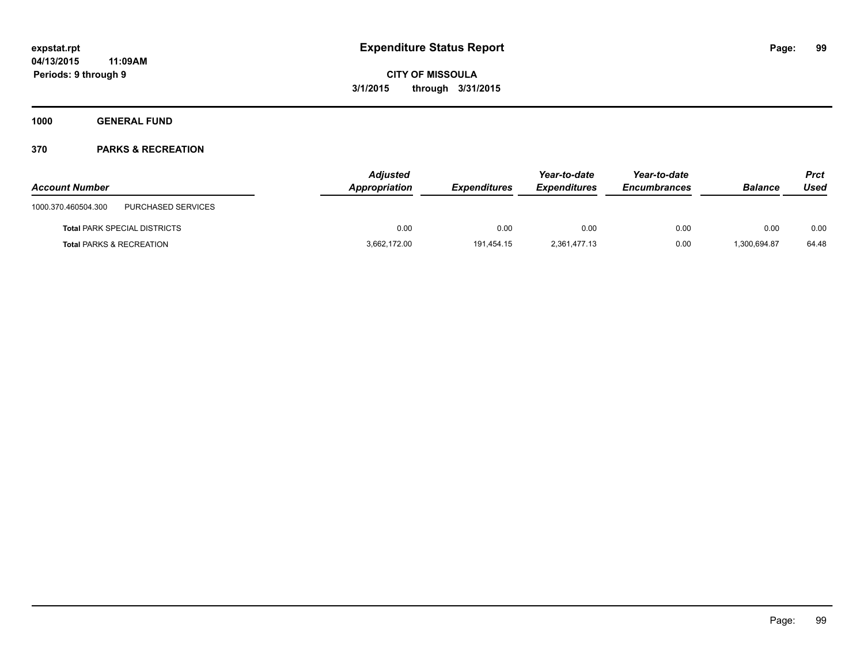**1000 GENERAL FUND**

| <b>Account Number</b>                     | <b>Adjusted</b><br>Appropriation | <b>Expenditures</b> | Year-to-date<br><b>Expenditures</b> | Year-to-date<br><b>Encumbrances</b> | <b>Balance</b> | <b>Prct</b><br>Used |
|-------------------------------------------|----------------------------------|---------------------|-------------------------------------|-------------------------------------|----------------|---------------------|
| PURCHASED SERVICES<br>1000.370.460504.300 |                                  |                     |                                     |                                     |                |                     |
| <b>Total PARK SPECIAL DISTRICTS</b>       | 0.00                             | 0.00                | 0.00                                | 0.00                                | 0.00           | 0.00                |
| <b>Total PARKS &amp; RECREATION</b>       | 3,662,172.00                     | 191.454.15          | 2.361.477.13                        | 0.00                                | 1.300.694.87   | 64.48               |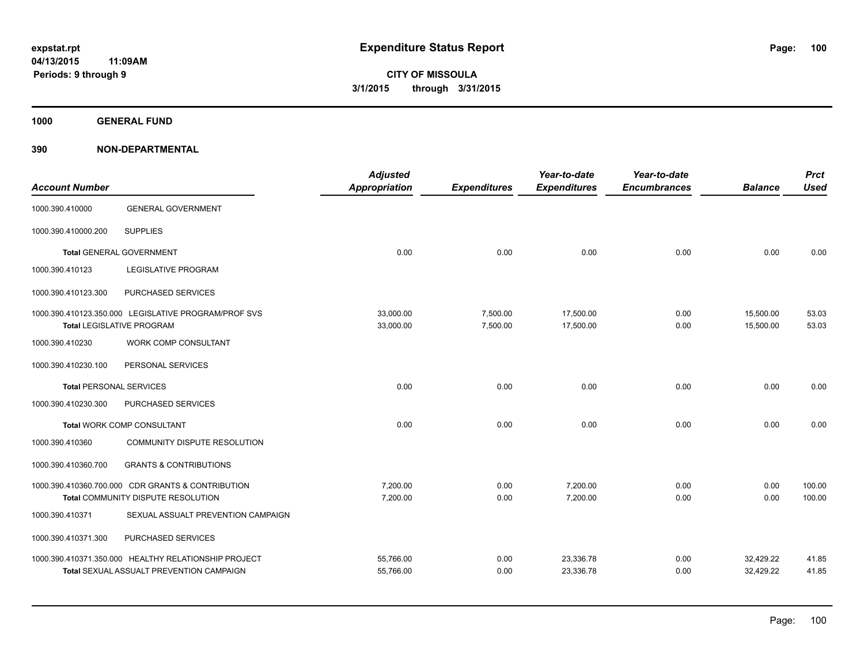**1000 GENERAL FUND**

| <b>Account Number</b>          |                                                                                          | <b>Adjusted</b><br><b>Appropriation</b> | <b>Expenditures</b>  | Year-to-date<br><b>Expenditures</b> | Year-to-date<br><b>Encumbrances</b> | <b>Balance</b>         | <b>Prct</b><br><b>Used</b> |
|--------------------------------|------------------------------------------------------------------------------------------|-----------------------------------------|----------------------|-------------------------------------|-------------------------------------|------------------------|----------------------------|
| 1000.390.410000                | <b>GENERAL GOVERNMENT</b>                                                                |                                         |                      |                                     |                                     |                        |                            |
| 1000.390.410000.200            | <b>SUPPLIES</b>                                                                          |                                         |                      |                                     |                                     |                        |                            |
|                                | Total GENERAL GOVERNMENT                                                                 | 0.00                                    | 0.00                 | 0.00                                | 0.00                                | 0.00                   | 0.00                       |
| 1000.390.410123                | <b>LEGISLATIVE PROGRAM</b>                                                               |                                         |                      |                                     |                                     |                        |                            |
| 1000.390.410123.300            | PURCHASED SERVICES                                                                       |                                         |                      |                                     |                                     |                        |                            |
|                                | 1000.390.410123.350.000 LEGISLATIVE PROGRAM/PROF SVS<br><b>Total LEGISLATIVE PROGRAM</b> | 33,000.00<br>33,000.00                  | 7,500.00<br>7,500.00 | 17,500.00<br>17,500.00              | 0.00<br>0.00                        | 15,500.00<br>15,500.00 | 53.03<br>53.03             |
| 1000.390.410230                | <b>WORK COMP CONSULTANT</b>                                                              |                                         |                      |                                     |                                     |                        |                            |
| 1000.390.410230.100            | PERSONAL SERVICES                                                                        |                                         |                      |                                     |                                     |                        |                            |
| <b>Total PERSONAL SERVICES</b> |                                                                                          | 0.00                                    | 0.00                 | 0.00                                | 0.00                                | 0.00                   | 0.00                       |
| 1000.390.410230.300            | PURCHASED SERVICES                                                                       |                                         |                      |                                     |                                     |                        |                            |
|                                | <b>Total WORK COMP CONSULTANT</b>                                                        | 0.00                                    | 0.00                 | 0.00                                | 0.00                                | 0.00                   | 0.00                       |
| 1000.390.410360                | COMMUNITY DISPUTE RESOLUTION                                                             |                                         |                      |                                     |                                     |                        |                            |
| 1000.390.410360.700            | <b>GRANTS &amp; CONTRIBUTIONS</b>                                                        |                                         |                      |                                     |                                     |                        |                            |
|                                | 1000.390.410360.700.000 CDR GRANTS & CONTRIBUTION                                        | 7,200.00                                | 0.00                 | 7,200.00                            | 0.00                                | 0.00                   | 100.00                     |
|                                | Total COMMUNITY DISPUTE RESOLUTION                                                       | 7,200.00                                | 0.00                 | 7,200.00                            | 0.00                                | 0.00                   | 100.00                     |
| 1000.390.410371                | SEXUAL ASSUALT PREVENTION CAMPAIGN                                                       |                                         |                      |                                     |                                     |                        |                            |
| 1000.390.410371.300            | PURCHASED SERVICES                                                                       |                                         |                      |                                     |                                     |                        |                            |
|                                | 1000.390.410371.350.000 HEALTHY RELATIONSHIP PROJECT                                     | 55,766.00                               | 0.00                 | 23,336.78                           | 0.00                                | 32,429.22              | 41.85                      |
|                                | <b>Total SEXUAL ASSUALT PREVENTION CAMPAIGN</b>                                          | 55,766.00                               | 0.00                 | 23,336.78                           | 0.00                                | 32,429.22              | 41.85                      |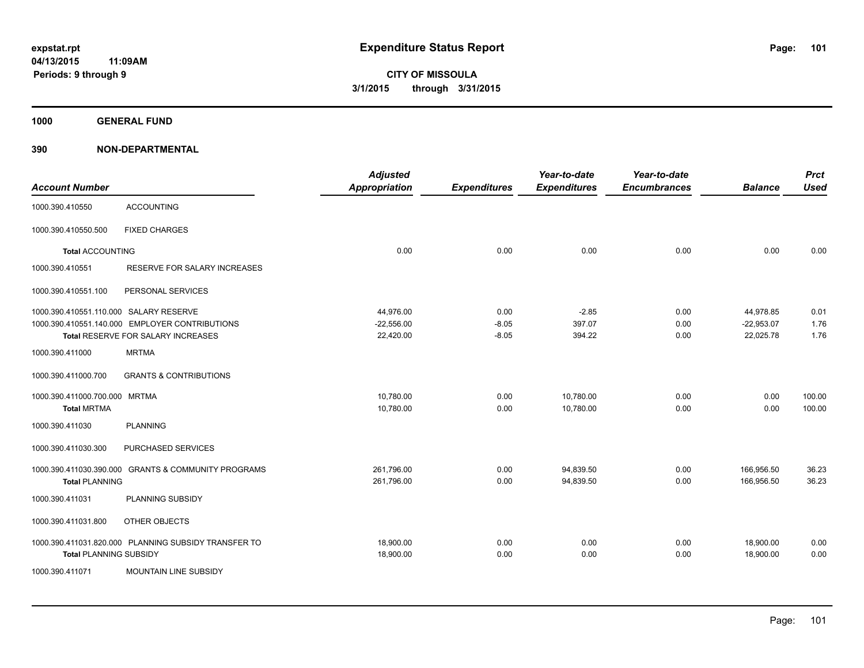**1000 GENERAL FUND**

| <b>Account Number</b>                               |                                                                                      | <b>Adjusted</b><br><b>Appropriation</b> | <b>Expenditures</b>        | Year-to-date<br><b>Expenditures</b> | Year-to-date<br><b>Encumbrances</b> | <b>Balance</b>                         | <b>Prct</b><br><b>Used</b> |
|-----------------------------------------------------|--------------------------------------------------------------------------------------|-----------------------------------------|----------------------------|-------------------------------------|-------------------------------------|----------------------------------------|----------------------------|
| 1000.390.410550                                     | <b>ACCOUNTING</b>                                                                    |                                         |                            |                                     |                                     |                                        |                            |
| 1000.390.410550.500                                 | <b>FIXED CHARGES</b>                                                                 |                                         |                            |                                     |                                     |                                        |                            |
| <b>Total ACCOUNTING</b>                             |                                                                                      | 0.00                                    | 0.00                       | 0.00                                | 0.00                                | 0.00                                   | 0.00                       |
| 1000.390.410551                                     | RESERVE FOR SALARY INCREASES                                                         |                                         |                            |                                     |                                     |                                        |                            |
| 1000.390.410551.100                                 | PERSONAL SERVICES                                                                    |                                         |                            |                                     |                                     |                                        |                            |
| 1000.390.410551.110.000 SALARY RESERVE              | 1000.390.410551.140.000 EMPLOYER CONTRIBUTIONS<br>Total RESERVE FOR SALARY INCREASES | 44,976.00<br>$-22,556.00$<br>22,420.00  | 0.00<br>$-8.05$<br>$-8.05$ | $-2.85$<br>397.07<br>394.22         | 0.00<br>0.00<br>0.00                | 44,978.85<br>$-22,953.07$<br>22,025.78 | 0.01<br>1.76<br>1.76       |
| 1000.390.411000                                     | <b>MRTMA</b>                                                                         |                                         |                            |                                     |                                     |                                        |                            |
| 1000.390.411000.700                                 | <b>GRANTS &amp; CONTRIBUTIONS</b>                                                    |                                         |                            |                                     |                                     |                                        |                            |
| 1000.390.411000.700.000 MRTMA<br><b>Total MRTMA</b> |                                                                                      | 10,780.00<br>10,780.00                  | 0.00<br>0.00               | 10,780.00<br>10,780.00              | 0.00<br>0.00                        | 0.00<br>0.00                           | 100.00<br>100.00           |
| 1000.390.411030                                     | <b>PLANNING</b>                                                                      |                                         |                            |                                     |                                     |                                        |                            |
| 1000.390.411030.300                                 | PURCHASED SERVICES                                                                   |                                         |                            |                                     |                                     |                                        |                            |
| 1000.390.411030.390.000<br><b>Total PLANNING</b>    | <b>GRANTS &amp; COMMUNITY PROGRAMS</b>                                               | 261,796.00<br>261,796.00                | 0.00<br>0.00               | 94,839.50<br>94,839.50              | 0.00<br>0.00                        | 166,956.50<br>166,956.50               | 36.23<br>36.23             |
| 1000.390.411031                                     | PLANNING SUBSIDY                                                                     |                                         |                            |                                     |                                     |                                        |                            |
| 1000.390.411031.800                                 | OTHER OBJECTS                                                                        |                                         |                            |                                     |                                     |                                        |                            |
| <b>Total PLANNING SUBSIDY</b>                       | 1000.390.411031.820.000 PLANNING SUBSIDY TRANSFER TO                                 | 18,900.00<br>18,900.00                  | 0.00<br>0.00               | 0.00<br>0.00                        | 0.00<br>0.00                        | 18,900.00<br>18,900.00                 | 0.00<br>0.00               |
| 1000.390.411071                                     | <b>MOUNTAIN LINE SUBSIDY</b>                                                         |                                         |                            |                                     |                                     |                                        |                            |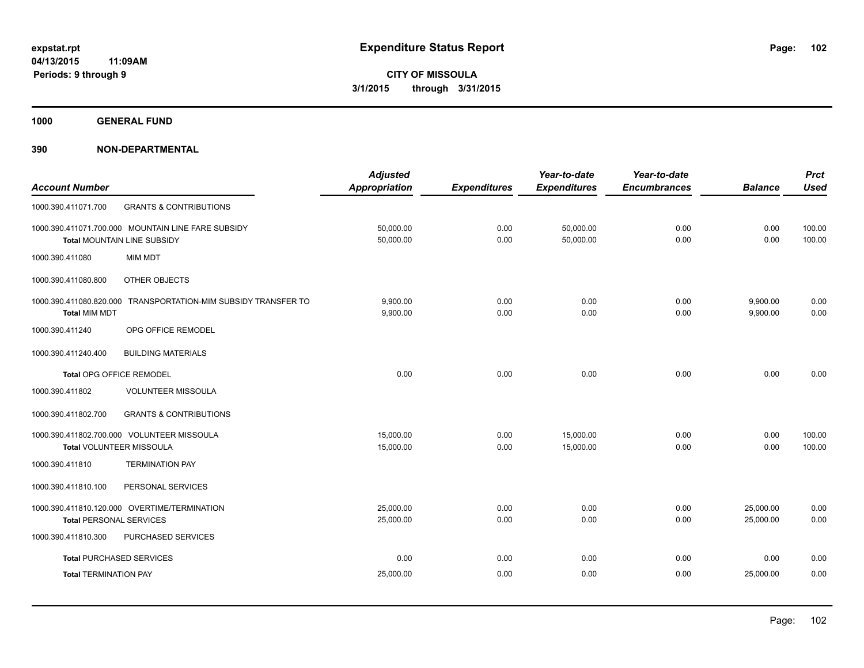**1000 GENERAL FUND**

|                                 |                                                                | <b>Adjusted</b>      |                     | Year-to-date        | Year-to-date        |                | <b>Prct</b> |
|---------------------------------|----------------------------------------------------------------|----------------------|---------------------|---------------------|---------------------|----------------|-------------|
| <b>Account Number</b>           |                                                                | <b>Appropriation</b> | <b>Expenditures</b> | <b>Expenditures</b> | <b>Encumbrances</b> | <b>Balance</b> | <b>Used</b> |
| 1000.390.411071.700             | <b>GRANTS &amp; CONTRIBUTIONS</b>                              |                      |                     |                     |                     |                |             |
|                                 | 1000.390.411071.700.000 MOUNTAIN LINE FARE SUBSIDY             | 50,000.00            | 0.00                | 50,000.00           | 0.00                | 0.00           | 100.00      |
|                                 | <b>Total MOUNTAIN LINE SUBSIDY</b>                             | 50,000.00            | 0.00                | 50,000.00           | 0.00                | 0.00           | 100.00      |
| 1000.390.411080                 | <b>MIM MDT</b>                                                 |                      |                     |                     |                     |                |             |
| 1000.390.411080.800             | OTHER OBJECTS                                                  |                      |                     |                     |                     |                |             |
|                                 | 1000.390.411080.820.000 TRANSPORTATION-MIM SUBSIDY TRANSFER TO | 9,900.00             | 0.00                | 0.00                | 0.00                | 9,900.00       | 0.00        |
| <b>Total MIM MDT</b>            |                                                                | 9,900.00             | 0.00                | 0.00                | 0.00                | 9,900.00       | 0.00        |
| 1000.390.411240                 | OPG OFFICE REMODEL                                             |                      |                     |                     |                     |                |             |
| 1000.390.411240.400             | <b>BUILDING MATERIALS</b>                                      |                      |                     |                     |                     |                |             |
| Total OPG OFFICE REMODEL        |                                                                | 0.00                 | 0.00                | 0.00                | 0.00                | 0.00           | 0.00        |
| 1000.390.411802                 | <b>VOLUNTEER MISSOULA</b>                                      |                      |                     |                     |                     |                |             |
| 1000.390.411802.700             | <b>GRANTS &amp; CONTRIBUTIONS</b>                              |                      |                     |                     |                     |                |             |
|                                 | 1000.390.411802.700.000 VOLUNTEER MISSOULA                     | 15,000.00            | 0.00                | 15,000.00           | 0.00                | 0.00           | 100.00      |
| Total VOLUNTEER MISSOULA        |                                                                | 15,000.00            | 0.00                | 15,000.00           | 0.00                | 0.00           | 100.00      |
| 1000.390.411810                 | <b>TERMINATION PAY</b>                                         |                      |                     |                     |                     |                |             |
| 1000.390.411810.100             | PERSONAL SERVICES                                              |                      |                     |                     |                     |                |             |
|                                 | 1000.390.411810.120.000 OVERTIME/TERMINATION                   | 25,000.00            | 0.00                | 0.00                | 0.00                | 25,000.00      | 0.00        |
| <b>Total PERSONAL SERVICES</b>  |                                                                | 25,000.00            | 0.00                | 0.00                | 0.00                | 25,000.00      | 0.00        |
| 1000.390.411810.300             | PURCHASED SERVICES                                             |                      |                     |                     |                     |                |             |
| <b>Total PURCHASED SERVICES</b> |                                                                | 0.00                 | 0.00                | 0.00                | 0.00                | 0.00           | 0.00        |
| <b>Total TERMINATION PAY</b>    |                                                                | 25,000.00            | 0.00                | 0.00                | 0.00                | 25,000.00      | 0.00        |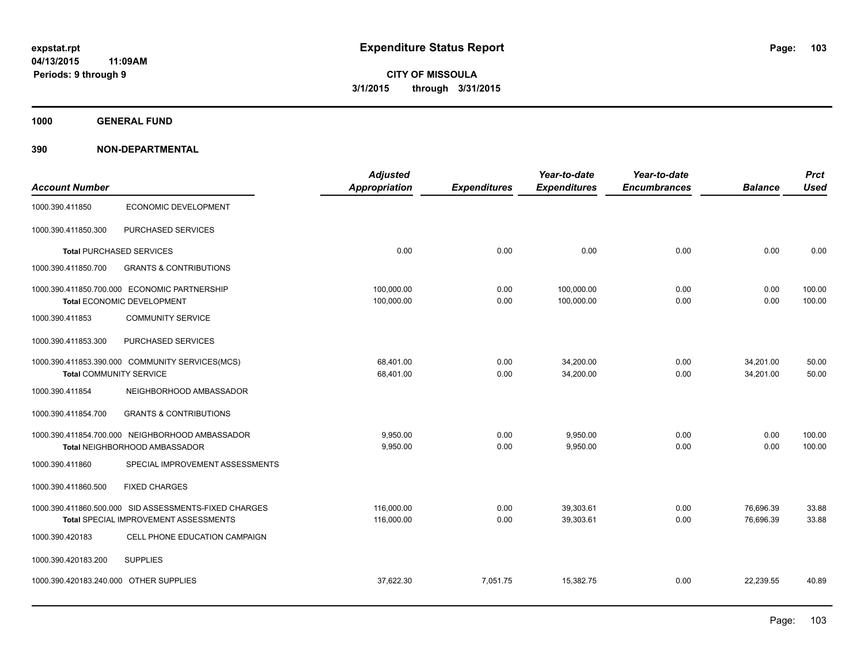**1000 GENERAL FUND**

|                                        |                                                       | <b>Adjusted</b>      |                     | Year-to-date        | Year-to-date        |                | <b>Prct</b> |
|----------------------------------------|-------------------------------------------------------|----------------------|---------------------|---------------------|---------------------|----------------|-------------|
| <b>Account Number</b>                  |                                                       | <b>Appropriation</b> | <b>Expenditures</b> | <b>Expenditures</b> | <b>Encumbrances</b> | <b>Balance</b> | <b>Used</b> |
| 1000.390.411850                        | ECONOMIC DEVELOPMENT                                  |                      |                     |                     |                     |                |             |
| 1000.390.411850.300                    | PURCHASED SERVICES                                    |                      |                     |                     |                     |                |             |
|                                        | <b>Total PURCHASED SERVICES</b>                       | 0.00                 | 0.00                | 0.00                | 0.00                | 0.00           | 0.00        |
| 1000.390.411850.700                    | <b>GRANTS &amp; CONTRIBUTIONS</b>                     |                      |                     |                     |                     |                |             |
|                                        | 1000.390.411850.700.000 ECONOMIC PARTNERSHIP          | 100,000.00           | 0.00                | 100,000.00          | 0.00                | 0.00           | 100.00      |
|                                        | Total ECONOMIC DEVELOPMENT                            | 100,000.00           | 0.00                | 100,000.00          | 0.00                | 0.00           | 100.00      |
| 1000.390.411853                        | <b>COMMUNITY SERVICE</b>                              |                      |                     |                     |                     |                |             |
| 1000.390.411853.300                    | PURCHASED SERVICES                                    |                      |                     |                     |                     |                |             |
|                                        | 1000.390.411853.390.000 COMMUNITY SERVICES(MCS)       | 68,401.00            | 0.00                | 34,200.00           | 0.00                | 34,201.00      | 50.00       |
| <b>Total COMMUNITY SERVICE</b>         |                                                       | 68,401.00            | 0.00                | 34,200.00           | 0.00                | 34,201.00      | 50.00       |
| 1000.390.411854                        | NEIGHBORHOOD AMBASSADOR                               |                      |                     |                     |                     |                |             |
| 1000.390.411854.700                    | <b>GRANTS &amp; CONTRIBUTIONS</b>                     |                      |                     |                     |                     |                |             |
|                                        | 1000.390.411854.700.000 NEIGHBORHOOD AMBASSADOR       | 9.950.00             | 0.00                | 9,950.00            | 0.00                | 0.00           | 100.00      |
|                                        | Total NEIGHBORHOOD AMBASSADOR                         | 9,950.00             | 0.00                | 9,950.00            | 0.00                | 0.00           | 100.00      |
| 1000.390.411860                        | SPECIAL IMPROVEMENT ASSESSMENTS                       |                      |                     |                     |                     |                |             |
| 1000.390.411860.500                    | <b>FIXED CHARGES</b>                                  |                      |                     |                     |                     |                |             |
|                                        | 1000.390.411860.500.000 SID ASSESSMENTS-FIXED CHARGES | 116,000.00           | 0.00                | 39,303.61           | 0.00                | 76,696.39      | 33.88       |
|                                        | Total SPECIAL IMPROVEMENT ASSESSMENTS                 | 116,000.00           | 0.00                | 39,303.61           | 0.00                | 76,696.39      | 33.88       |
| 1000.390.420183                        | CELL PHONE EDUCATION CAMPAIGN                         |                      |                     |                     |                     |                |             |
| 1000.390.420183.200                    | <b>SUPPLIES</b>                                       |                      |                     |                     |                     |                |             |
| 1000.390.420183.240.000 OTHER SUPPLIES |                                                       | 37.622.30            | 7,051.75            | 15,382.75           | 0.00                | 22,239.55      | 40.89       |
|                                        |                                                       |                      |                     |                     |                     |                |             |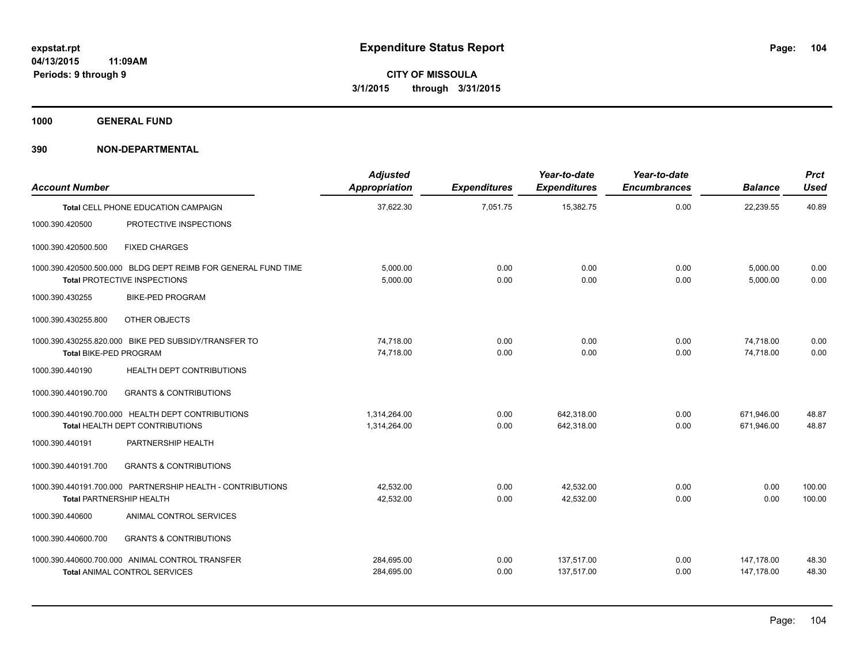**1000 GENERAL FUND**

| <b>Account Number</b>           |                                                                                                      | <b>Adjusted</b><br>Appropriation | <b>Expenditures</b> | Year-to-date<br><b>Expenditures</b> | Year-to-date<br><b>Encumbrances</b> | <b>Balance</b>       | <b>Prct</b><br><b>Used</b> |
|---------------------------------|------------------------------------------------------------------------------------------------------|----------------------------------|---------------------|-------------------------------------|-------------------------------------|----------------------|----------------------------|
|                                 | <b>Total CELL PHONE EDUCATION CAMPAIGN</b>                                                           | 37,622.30                        | 7,051.75            | 15,382.75                           | 0.00                                | 22,239.55            | 40.89                      |
| 1000.390.420500                 | PROTECTIVE INSPECTIONS                                                                               |                                  |                     |                                     |                                     |                      |                            |
| 1000.390.420500.500             | <b>FIXED CHARGES</b>                                                                                 |                                  |                     |                                     |                                     |                      |                            |
|                                 | 1000.390.420500.500.000 BLDG DEPT REIMB FOR GENERAL FUND TIME<br><b>Total PROTECTIVE INSPECTIONS</b> | 5.000.00                         | 0.00<br>0.00        | 0.00<br>0.00                        | 0.00<br>0.00                        | 5,000.00<br>5.000.00 | 0.00                       |
|                                 |                                                                                                      | 5,000.00                         |                     |                                     |                                     |                      | 0.00                       |
| 1000.390.430255                 | <b>BIKE-PED PROGRAM</b>                                                                              |                                  |                     |                                     |                                     |                      |                            |
| 1000.390.430255.800             | OTHER OBJECTS                                                                                        |                                  |                     |                                     |                                     |                      |                            |
|                                 | 1000.390.430255.820.000 BIKE PED SUBSIDY/TRANSFER TO                                                 | 74.718.00                        | 0.00                | 0.00                                | 0.00                                | 74.718.00            | 0.00                       |
| Total BIKE-PED PROGRAM          |                                                                                                      | 74,718.00                        | 0.00                | 0.00                                | 0.00                                | 74.718.00            | 0.00                       |
| 1000.390.440190                 | <b>HEALTH DEPT CONTRIBUTIONS</b>                                                                     |                                  |                     |                                     |                                     |                      |                            |
| 1000.390.440190.700             | <b>GRANTS &amp; CONTRIBUTIONS</b>                                                                    |                                  |                     |                                     |                                     |                      |                            |
|                                 | 1000.390.440190.700.000 HEALTH DEPT CONTRIBUTIONS                                                    | 1.314.264.00                     | 0.00                | 642.318.00                          | 0.00                                | 671.946.00           | 48.87                      |
|                                 | <b>Total HEALTH DEPT CONTRIBUTIONS</b>                                                               | 1,314,264.00                     | 0.00                | 642,318.00                          | 0.00                                | 671,946.00           | 48.87                      |
| 1000.390.440191                 | PARTNERSHIP HEALTH                                                                                   |                                  |                     |                                     |                                     |                      |                            |
| 1000.390.440191.700             | <b>GRANTS &amp; CONTRIBUTIONS</b>                                                                    |                                  |                     |                                     |                                     |                      |                            |
|                                 | 1000.390.440191.700.000 PARTNERSHIP HEALTH - CONTRIBUTIONS                                           | 42,532.00                        | 0.00                | 42,532.00                           | 0.00                                | 0.00                 | 100.00                     |
| <b>Total PARTNERSHIP HEALTH</b> |                                                                                                      | 42.532.00                        | 0.00                | 42.532.00                           | 0.00                                | 0.00                 | 100.00                     |
| 1000.390.440600                 | ANIMAL CONTROL SERVICES                                                                              |                                  |                     |                                     |                                     |                      |                            |
| 1000.390.440600.700             | <b>GRANTS &amp; CONTRIBUTIONS</b>                                                                    |                                  |                     |                                     |                                     |                      |                            |
|                                 | 1000.390.440600.700.000 ANIMAL CONTROL TRANSFER                                                      | 284,695.00                       | 0.00                | 137,517.00                          | 0.00                                | 147,178.00           | 48.30                      |
|                                 | <b>Total ANIMAL CONTROL SERVICES</b>                                                                 | 284,695.00                       | 0.00                | 137,517.00                          | 0.00                                | 147.178.00           | 48.30                      |
|                                 |                                                                                                      |                                  |                     |                                     |                                     |                      |                            |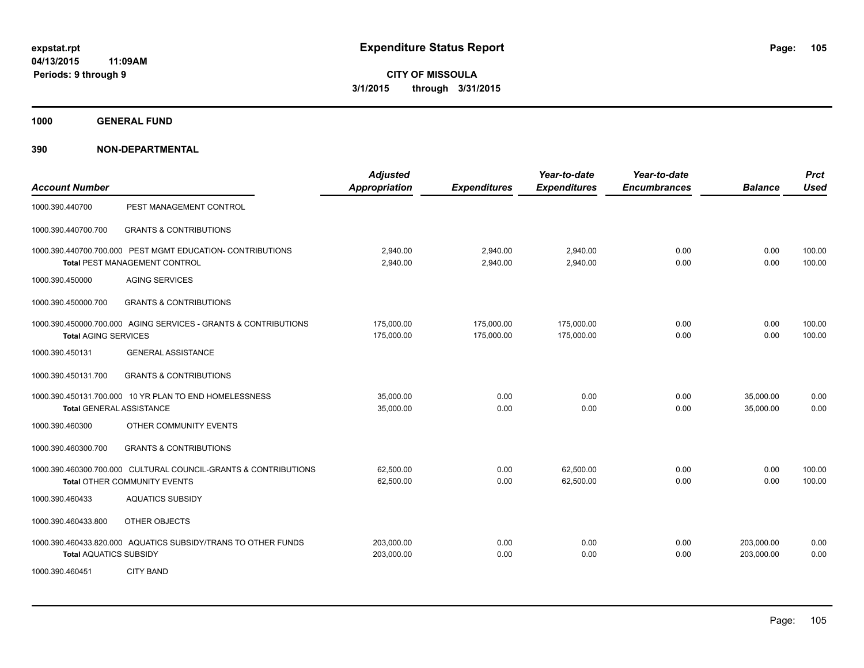**1000 GENERAL FUND**

| <b>Account Number</b>         |                                                                                                 | <b>Adjusted</b><br><b>Appropriation</b> | <b>Expenditures</b>      | Year-to-date<br><b>Expenditures</b> | Year-to-date<br><b>Encumbrances</b> | <b>Balance</b>           | <b>Prct</b><br><b>Used</b> |
|-------------------------------|-------------------------------------------------------------------------------------------------|-----------------------------------------|--------------------------|-------------------------------------|-------------------------------------|--------------------------|----------------------------|
| 1000.390.440700               | PEST MANAGEMENT CONTROL                                                                         |                                         |                          |                                     |                                     |                          |                            |
| 1000.390.440700.700           | <b>GRANTS &amp; CONTRIBUTIONS</b>                                                               |                                         |                          |                                     |                                     |                          |                            |
|                               | 1000.390.440700.700.000 PEST MGMT EDUCATION- CONTRIBUTIONS<br>Total PEST MANAGEMENT CONTROL     | 2.940.00<br>2,940.00                    | 2,940.00<br>2,940.00     | 2,940.00<br>2,940.00                | 0.00<br>0.00                        | 0.00<br>0.00             | 100.00<br>100.00           |
| 1000.390.450000               | <b>AGING SERVICES</b>                                                                           |                                         |                          |                                     |                                     |                          |                            |
| 1000.390.450000.700           | <b>GRANTS &amp; CONTRIBUTIONS</b>                                                               |                                         |                          |                                     |                                     |                          |                            |
| <b>Total AGING SERVICES</b>   | 1000.390.450000.700.000 AGING SERVICES - GRANTS & CONTRIBUTIONS                                 | 175,000.00<br>175,000.00                | 175,000.00<br>175,000.00 | 175,000.00<br>175,000.00            | 0.00<br>0.00                        | 0.00<br>0.00             | 100.00<br>100.00           |
| 1000.390.450131               | <b>GENERAL ASSISTANCE</b>                                                                       |                                         |                          |                                     |                                     |                          |                            |
| 1000.390.450131.700           | <b>GRANTS &amp; CONTRIBUTIONS</b>                                                               |                                         |                          |                                     |                                     |                          |                            |
|                               | 1000.390.450131.700.000 10 YR PLAN TO END HOMELESSNESS<br><b>Total GENERAL ASSISTANCE</b>       | 35,000.00<br>35,000.00                  | 0.00<br>0.00             | 0.00<br>0.00                        | 0.00<br>0.00                        | 35,000.00<br>35,000.00   | 0.00<br>0.00               |
| 1000.390.460300               | OTHER COMMUNITY EVENTS                                                                          |                                         |                          |                                     |                                     |                          |                            |
| 1000.390.460300.700           | <b>GRANTS &amp; CONTRIBUTIONS</b>                                                               |                                         |                          |                                     |                                     |                          |                            |
|                               | 1000.390.460300.700.000 CULTURAL COUNCIL-GRANTS & CONTRIBUTIONS<br>Total OTHER COMMUNITY EVENTS | 62,500.00<br>62,500.00                  | 0.00<br>0.00             | 62,500.00<br>62,500.00              | 0.00<br>0.00                        | 0.00<br>0.00             | 100.00<br>100.00           |
| 1000.390.460433               | <b>AQUATICS SUBSIDY</b>                                                                         |                                         |                          |                                     |                                     |                          |                            |
| 1000.390.460433.800           | OTHER OBJECTS                                                                                   |                                         |                          |                                     |                                     |                          |                            |
| <b>Total AQUATICS SUBSIDY</b> | 1000.390.460433.820.000 AQUATICS SUBSIDY/TRANS TO OTHER FUNDS                                   | 203,000.00<br>203,000.00                | 0.00<br>0.00             | 0.00<br>0.00                        | 0.00<br>0.00                        | 203,000.00<br>203,000.00 | 0.00<br>0.00               |
| 1000.390.460451               | <b>CITY BAND</b>                                                                                |                                         |                          |                                     |                                     |                          |                            |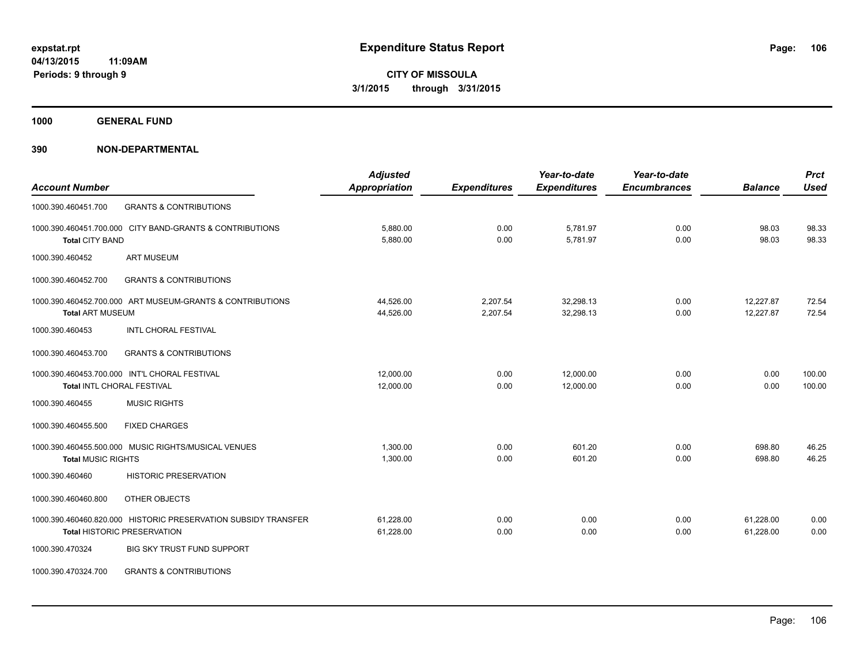**1000 GENERAL FUND**

|                                                                | <b>Adjusted</b>      |                     | Year-to-date        | Year-to-date        |                | <b>Prct</b> |
|----------------------------------------------------------------|----------------------|---------------------|---------------------|---------------------|----------------|-------------|
| <b>Account Number</b>                                          | <b>Appropriation</b> | <b>Expenditures</b> | <b>Expenditures</b> | <b>Encumbrances</b> | <b>Balance</b> | <b>Used</b> |
| <b>GRANTS &amp; CONTRIBUTIONS</b><br>1000.390.460451.700       |                      |                     |                     |                     |                |             |
| 1000.390.460451.700.000 CITY BAND-GRANTS & CONTRIBUTIONS       | 5,880.00             | 0.00                | 5,781.97            | 0.00                | 98.03          | 98.33       |
| <b>Total CITY BAND</b>                                         | 5,880.00             | 0.00                | 5,781.97            | 0.00                | 98.03          | 98.33       |
| <b>ART MUSEUM</b><br>1000.390.460452                           |                      |                     |                     |                     |                |             |
| 1000.390.460452.700<br><b>GRANTS &amp; CONTRIBUTIONS</b>       |                      |                     |                     |                     |                |             |
| 1000.390.460452.700.000 ART MUSEUM-GRANTS & CONTRIBUTIONS      | 44,526.00            | 2,207.54            | 32.298.13           | 0.00                | 12.227.87      | 72.54       |
| <b>Total ART MUSEUM</b>                                        | 44,526.00            | 2,207.54            | 32,298.13           | 0.00                | 12,227.87      | 72.54       |
| <b>INTL CHORAL FESTIVAL</b><br>1000.390.460453                 |                      |                     |                     |                     |                |             |
| <b>GRANTS &amp; CONTRIBUTIONS</b><br>1000.390.460453.700       |                      |                     |                     |                     |                |             |
| 1000.390.460453.700.000 INT'L CHORAL FESTIVAL                  | 12,000.00            | 0.00                | 12,000.00           | 0.00                | 0.00           | 100.00      |
| <b>Total INTL CHORAL FESTIVAL</b>                              | 12,000.00            | 0.00                | 12.000.00           | 0.00                | 0.00           | 100.00      |
| <b>MUSIC RIGHTS</b><br>1000.390.460455                         |                      |                     |                     |                     |                |             |
| 1000.390.460455.500<br><b>FIXED CHARGES</b>                    |                      |                     |                     |                     |                |             |
| 1000.390.460455.500.000 MUSIC RIGHTS/MUSICAL VENUES            | 1,300.00             | 0.00                | 601.20              | 0.00                | 698.80         | 46.25       |
| <b>Total MUSIC RIGHTS</b>                                      | 1,300.00             | 0.00                | 601.20              | 0.00                | 698.80         | 46.25       |
| 1000.390.460460<br><b>HISTORIC PRESERVATION</b>                |                      |                     |                     |                     |                |             |
| 1000.390.460460.800<br>OTHER OBJECTS                           |                      |                     |                     |                     |                |             |
| 1000.390.460460.820.000 HISTORIC PRESERVATION SUBSIDY TRANSFER | 61,228.00            | 0.00                | 0.00                | 0.00                | 61,228.00      | 0.00        |
| <b>Total HISTORIC PRESERVATION</b>                             | 61,228.00            | 0.00                | 0.00                | 0.00                | 61,228.00      | 0.00        |
| 1000.390.470324<br><b>BIG SKY TRUST FUND SUPPORT</b>           |                      |                     |                     |                     |                |             |
| <b>GRANTS &amp; CONTRIBUTIONS</b><br>1000.390.470324.700       |                      |                     |                     |                     |                |             |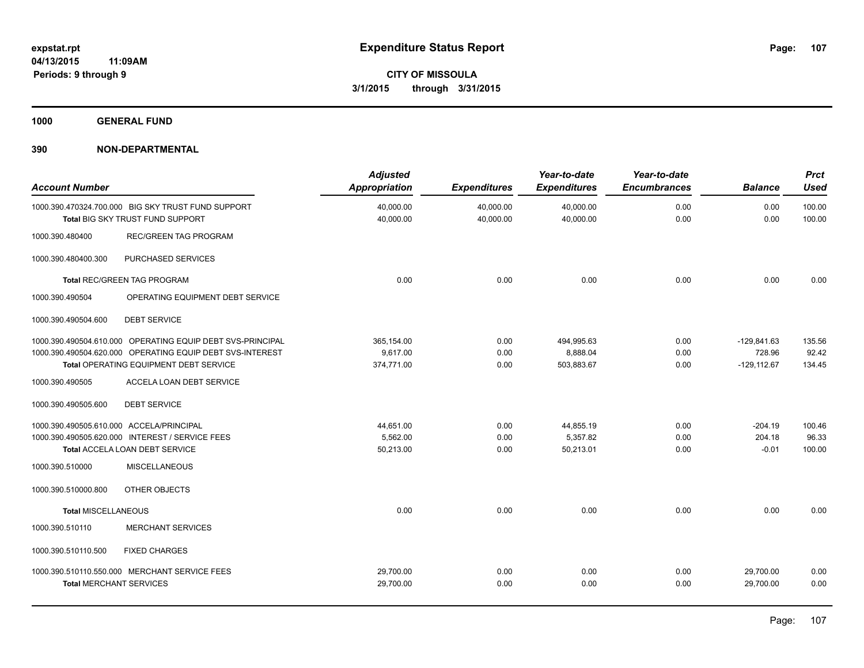**1000 GENERAL FUND**

| <b>Account Number</b>                                       |                                                                                                                                                                   | <b>Adjusted</b><br><b>Appropriation</b> | <b>Expenditures</b>    | Year-to-date<br><b>Expenditures</b>  | Year-to-date<br><b>Encumbrances</b> | <b>Balance</b>                            | <b>Prct</b><br><b>Used</b> |
|-------------------------------------------------------------|-------------------------------------------------------------------------------------------------------------------------------------------------------------------|-----------------------------------------|------------------------|--------------------------------------|-------------------------------------|-------------------------------------------|----------------------------|
|                                                             | 1000.390.470324.700.000 BIG SKY TRUST FUND SUPPORT<br>Total BIG SKY TRUST FUND SUPPORT                                                                            | 40,000.00<br>40,000.00                  | 40,000.00<br>40,000.00 | 40,000.00<br>40,000.00               | 0.00<br>0.00                        | 0.00<br>0.00                              | 100.00<br>100.00           |
| 1000.390.480400                                             | <b>REC/GREEN TAG PROGRAM</b>                                                                                                                                      |                                         |                        |                                      |                                     |                                           |                            |
| 1000.390.480400.300                                         | PURCHASED SERVICES                                                                                                                                                |                                         |                        |                                      |                                     |                                           |                            |
|                                                             | <b>Total REC/GREEN TAG PROGRAM</b>                                                                                                                                | 0.00                                    | 0.00                   | 0.00                                 | 0.00                                | 0.00                                      | 0.00                       |
| 1000.390.490504                                             | OPERATING EQUIPMENT DEBT SERVICE                                                                                                                                  |                                         |                        |                                      |                                     |                                           |                            |
| 1000.390.490504.600                                         | <b>DEBT SERVICE</b>                                                                                                                                               |                                         |                        |                                      |                                     |                                           |                            |
|                                                             | 1000.390.490504.610.000 OPERATING EQUIP DEBT SVS-PRINCIPAL<br>1000.390.490504.620.000 OPERATING EQUIP DEBT SVS-INTEREST<br>Total OPERATING EQUIPMENT DEBT SERVICE | 365,154.00<br>9.617.00<br>374,771.00    | 0.00<br>0.00<br>0.00   | 494,995.63<br>8,888.04<br>503,883.67 | 0.00<br>0.00<br>0.00                | $-129,841.63$<br>728.96<br>$-129, 112.67$ | 135.56<br>92.42<br>134.45  |
| 1000.390.490505                                             | ACCELA LOAN DEBT SERVICE                                                                                                                                          |                                         |                        |                                      |                                     |                                           |                            |
| 1000.390.490505.600                                         | <b>DEBT SERVICE</b>                                                                                                                                               |                                         |                        |                                      |                                     |                                           |                            |
| 1000.390.490505.610.000 ACCELA/PRINCIPAL<br>1000.390.510000 | 1000.390.490505.620.000 INTEREST / SERVICE FEES<br>Total ACCELA LOAN DEBT SERVICE<br><b>MISCELLANEOUS</b>                                                         | 44,651.00<br>5,562.00<br>50,213.00      | 0.00<br>0.00<br>0.00   | 44,855.19<br>5,357.82<br>50,213.01   | 0.00<br>0.00<br>0.00                | $-204.19$<br>204.18<br>$-0.01$            | 100.46<br>96.33<br>100.00  |
| 1000.390.510000.800                                         | OTHER OBJECTS                                                                                                                                                     |                                         |                        |                                      |                                     |                                           |                            |
| <b>Total MISCELLANEOUS</b>                                  |                                                                                                                                                                   | 0.00                                    | 0.00                   | 0.00                                 | 0.00                                | 0.00                                      | 0.00                       |
| 1000.390.510110                                             | <b>MERCHANT SERVICES</b>                                                                                                                                          |                                         |                        |                                      |                                     |                                           |                            |
| 1000.390.510110.500                                         | <b>FIXED CHARGES</b>                                                                                                                                              |                                         |                        |                                      |                                     |                                           |                            |
| <b>Total MERCHANT SERVICES</b>                              | 1000.390.510110.550.000 MERCHANT SERVICE FEES                                                                                                                     | 29,700.00<br>29,700.00                  | 0.00<br>0.00           | 0.00<br>0.00                         | 0.00<br>0.00                        | 29,700.00<br>29,700.00                    | 0.00<br>0.00               |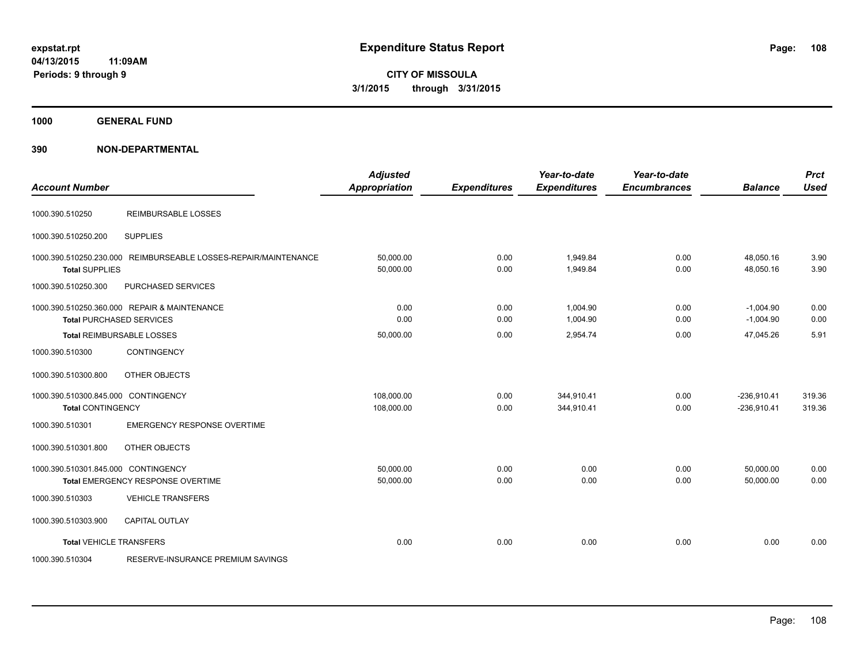**CITY OF MISSOULA 3/1/2015 through 3/31/2015**

**1000 GENERAL FUND**

| <b>Account Number</b>                                           |                                                                                 | <b>Adjusted</b><br><b>Appropriation</b> | <b>Expenditures</b> | Year-to-date<br><b>Expenditures</b> | Year-to-date<br><b>Encumbrances</b> | <b>Balance</b>                 | <b>Prct</b><br><b>Used</b> |
|-----------------------------------------------------------------|---------------------------------------------------------------------------------|-----------------------------------------|---------------------|-------------------------------------|-------------------------------------|--------------------------------|----------------------------|
| 1000.390.510250                                                 | <b>REIMBURSABLE LOSSES</b>                                                      |                                         |                     |                                     |                                     |                                |                            |
| 1000.390.510250.200                                             | <b>SUPPLIES</b>                                                                 |                                         |                     |                                     |                                     |                                |                            |
| 1000.390.510250.230.000<br><b>Total SUPPLIES</b>                | REIMBURSEABLE LOSSES-REPAIR/MAINTENANCE                                         | 50,000.00<br>50,000.00                  | 0.00<br>0.00        | 1,949.84<br>1,949.84                | 0.00<br>0.00                        | 48,050.16<br>48,050.16         | 3.90<br>3.90               |
| 1000.390.510250.300                                             | PURCHASED SERVICES                                                              |                                         |                     |                                     |                                     |                                |                            |
|                                                                 | 1000.390.510250.360.000 REPAIR & MAINTENANCE<br><b>Total PURCHASED SERVICES</b> | 0.00<br>0.00                            | 0.00<br>0.00        | 1,004.90<br>1,004.90                | 0.00<br>0.00                        | $-1,004.90$<br>$-1,004.90$     | 0.00<br>0.00               |
|                                                                 | Total REIMBURSABLE LOSSES                                                       | 50,000.00                               | 0.00                | 2,954.74                            | 0.00                                | 47,045.26                      | 5.91                       |
| 1000.390.510300                                                 | <b>CONTINGENCY</b>                                                              |                                         |                     |                                     |                                     |                                |                            |
| 1000.390.510300.800                                             | OTHER OBJECTS                                                                   |                                         |                     |                                     |                                     |                                |                            |
| 1000.390.510300.845.000 CONTINGENCY<br><b>Total CONTINGENCY</b> |                                                                                 | 108,000.00<br>108,000.00                | 0.00<br>0.00        | 344,910.41<br>344,910.41            | 0.00<br>0.00                        | $-236,910.41$<br>$-236,910.41$ | 319.36<br>319.36           |
| 1000.390.510301                                                 | <b>EMERGENCY RESPONSE OVERTIME</b>                                              |                                         |                     |                                     |                                     |                                |                            |
| 1000.390.510301.800                                             | OTHER OBJECTS                                                                   |                                         |                     |                                     |                                     |                                |                            |
| 1000.390.510301.845.000 CONTINGENCY                             | Total EMERGENCY RESPONSE OVERTIME                                               | 50,000.00<br>50,000.00                  | 0.00<br>0.00        | 0.00<br>0.00                        | 0.00<br>0.00                        | 50,000.00<br>50,000.00         | 0.00<br>0.00               |
| 1000.390.510303                                                 | <b>VEHICLE TRANSFERS</b>                                                        |                                         |                     |                                     |                                     |                                |                            |
| 1000.390.510303.900                                             | <b>CAPITAL OUTLAY</b>                                                           |                                         |                     |                                     |                                     |                                |                            |
| <b>Total VEHICLE TRANSFERS</b>                                  |                                                                                 | 0.00                                    | 0.00                | 0.00                                | 0.00                                | 0.00                           | 0.00                       |
| 1000.390.510304                                                 | RESERVE-INSURANCE PREMIUM SAVINGS                                               |                                         |                     |                                     |                                     |                                |                            |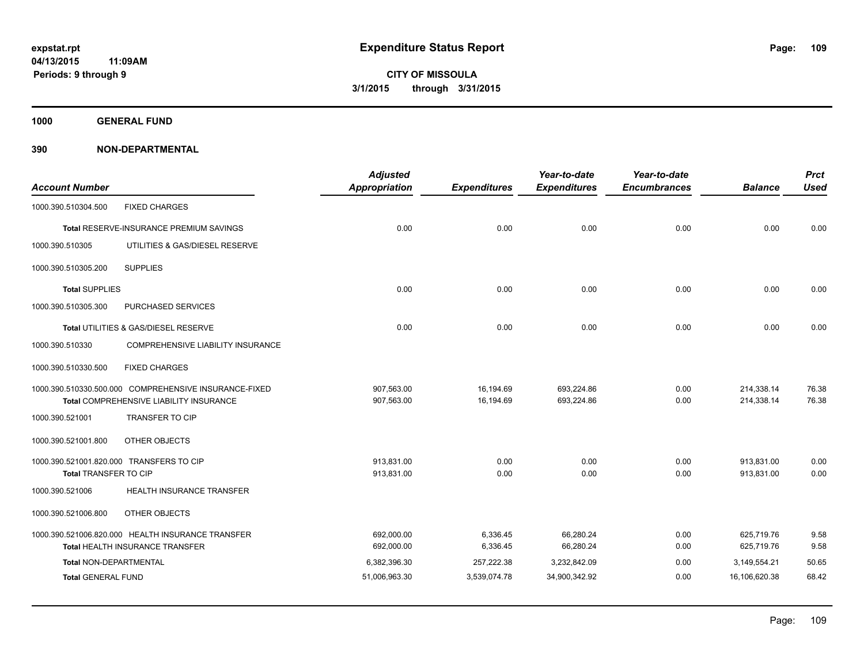**1000 GENERAL FUND**

| <b>Account Number</b>         |                                                       | <b>Adjusted</b><br>Appropriation | <b>Expenditures</b> | Year-to-date<br><b>Expenditures</b> | Year-to-date<br><b>Encumbrances</b> | <b>Balance</b> | <b>Prct</b><br><b>Used</b> |
|-------------------------------|-------------------------------------------------------|----------------------------------|---------------------|-------------------------------------|-------------------------------------|----------------|----------------------------|
| 1000.390.510304.500           | <b>FIXED CHARGES</b>                                  |                                  |                     |                                     |                                     |                |                            |
|                               | <b>Total RESERVE-INSURANCE PREMIUM SAVINGS</b>        | 0.00                             | 0.00                | 0.00                                | 0.00                                | 0.00           | 0.00                       |
| 1000.390.510305               | UTILITIES & GAS/DIESEL RESERVE                        |                                  |                     |                                     |                                     |                |                            |
| 1000.390.510305.200           | <b>SUPPLIES</b>                                       |                                  |                     |                                     |                                     |                |                            |
| <b>Total SUPPLIES</b>         |                                                       | 0.00                             | 0.00                | 0.00                                | 0.00                                | 0.00           | 0.00                       |
| 1000.390.510305.300           | PURCHASED SERVICES                                    |                                  |                     |                                     |                                     |                |                            |
|                               | Total UTILITIES & GAS/DIESEL RESERVE                  | 0.00                             | 0.00                | 0.00                                | 0.00                                | 0.00           | 0.00                       |
| 1000.390.510330               | COMPREHENSIVE LIABILITY INSURANCE                     |                                  |                     |                                     |                                     |                |                            |
| 1000.390.510330.500           | <b>FIXED CHARGES</b>                                  |                                  |                     |                                     |                                     |                |                            |
|                               | 1000.390.510330.500.000 COMPREHENSIVE INSURANCE-FIXED | 907,563.00                       | 16,194.69           | 693,224.86                          | 0.00                                | 214,338.14     | 76.38                      |
|                               | Total COMPREHENSIVE LIABILITY INSURANCE               | 907,563.00                       | 16,194.69           | 693,224.86                          | 0.00                                | 214,338.14     | 76.38                      |
| 1000.390.521001               | <b>TRANSFER TO CIP</b>                                |                                  |                     |                                     |                                     |                |                            |
| 1000.390.521001.800           | OTHER OBJECTS                                         |                                  |                     |                                     |                                     |                |                            |
|                               | 1000.390.521001.820.000 TRANSFERS TO CIP              | 913,831.00                       | 0.00                | 0.00                                | 0.00                                | 913,831.00     | 0.00                       |
| <b>Total TRANSFER TO CIP</b>  |                                                       | 913,831.00                       | 0.00                | 0.00                                | 0.00                                | 913,831.00     | 0.00                       |
| 1000.390.521006               | HEALTH INSURANCE TRANSFER                             |                                  |                     |                                     |                                     |                |                            |
| 1000.390.521006.800           | OTHER OBJECTS                                         |                                  |                     |                                     |                                     |                |                            |
|                               | 1000.390.521006.820.000 HEALTH INSURANCE TRANSFER     | 692,000.00                       | 6,336.45            | 66,280.24                           | 0.00                                | 625,719.76     | 9.58                       |
|                               | Total HEALTH INSURANCE TRANSFER                       | 692,000.00                       | 6,336.45            | 66,280.24                           | 0.00                                | 625,719.76     | 9.58                       |
| <b>Total NON-DEPARTMENTAL</b> |                                                       | 6,382,396.30                     | 257,222.38          | 3,232,842.09                        | 0.00                                | 3,149,554.21   | 50.65                      |
| <b>Total GENERAL FUND</b>     |                                                       | 51,006,963.30                    | 3,539,074.78        | 34,900,342.92                       | 0.00                                | 16,106,620.38  | 68.42                      |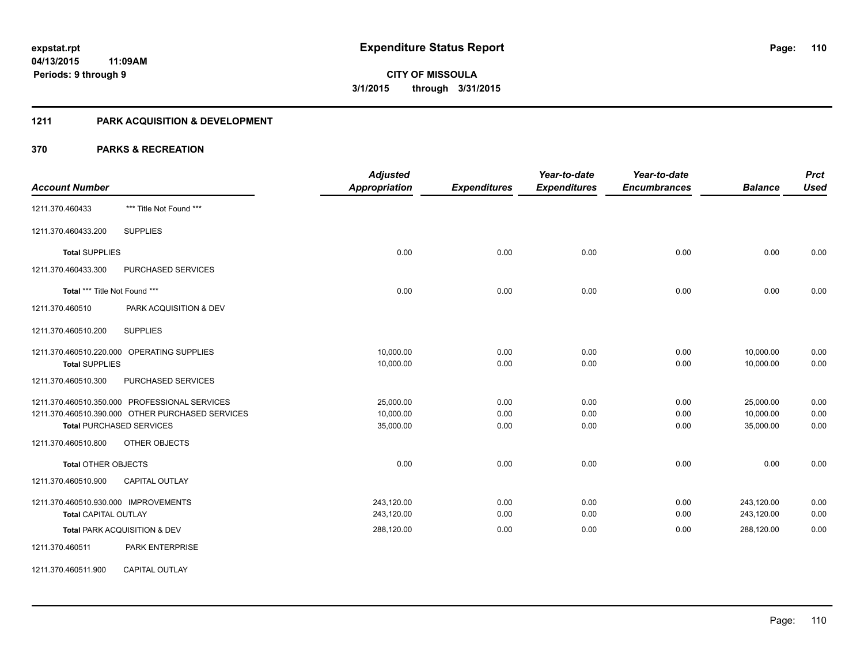#### **1211 PARK ACQUISITION & DEVELOPMENT**

|                                                  | <b>Adjusted</b>      |                     | Year-to-date        | Year-to-date        |                | <b>Prct</b> |
|--------------------------------------------------|----------------------|---------------------|---------------------|---------------------|----------------|-------------|
| <b>Account Number</b>                            | <b>Appropriation</b> | <b>Expenditures</b> | <b>Expenditures</b> | <b>Encumbrances</b> | <b>Balance</b> | <b>Used</b> |
| *** Title Not Found ***<br>1211.370.460433       |                      |                     |                     |                     |                |             |
| <b>SUPPLIES</b><br>1211.370.460433.200           |                      |                     |                     |                     |                |             |
| <b>Total SUPPLIES</b>                            | 0.00                 | 0.00                | 0.00                | 0.00                | 0.00           | 0.00        |
| 1211.370.460433.300<br>PURCHASED SERVICES        |                      |                     |                     |                     |                |             |
| Total *** Title Not Found ***                    | 0.00                 | 0.00                | 0.00                | 0.00                | 0.00           | 0.00        |
| 1211.370.460510<br>PARK ACQUISITION & DEV        |                      |                     |                     |                     |                |             |
| <b>SUPPLIES</b><br>1211.370.460510.200           |                      |                     |                     |                     |                |             |
| 1211.370.460510.220.000 OPERATING SUPPLIES       | 10,000.00            | 0.00                | 0.00                | 0.00                | 10,000.00      | 0.00        |
| <b>Total SUPPLIES</b>                            | 10,000.00            | 0.00                | 0.00                | 0.00                | 10,000.00      | 0.00        |
| PURCHASED SERVICES<br>1211.370.460510.300        |                      |                     |                     |                     |                |             |
| 1211.370.460510.350.000 PROFESSIONAL SERVICES    | 25,000.00            | 0.00                | 0.00                | 0.00                | 25,000.00      | 0.00        |
| 1211.370.460510.390.000 OTHER PURCHASED SERVICES | 10,000.00            | 0.00                | 0.00                | 0.00                | 10,000.00      | 0.00        |
| <b>Total PURCHASED SERVICES</b>                  | 35,000.00            | 0.00                | 0.00                | 0.00                | 35,000.00      | 0.00        |
| 1211.370.460510.800<br>OTHER OBJECTS             |                      |                     |                     |                     |                |             |
| <b>Total OTHER OBJECTS</b>                       | 0.00                 | 0.00                | 0.00                | 0.00                | 0.00           | 0.00        |
| <b>CAPITAL OUTLAY</b><br>1211.370.460510.900     |                      |                     |                     |                     |                |             |
| 1211.370.460510.930.000 IMPROVEMENTS             | 243,120.00           | 0.00                | 0.00                | 0.00                | 243,120.00     | 0.00        |
| <b>Total CAPITAL OUTLAY</b>                      | 243,120.00           | 0.00                | 0.00                | 0.00                | 243,120.00     | 0.00        |
| Total PARK ACQUISITION & DEV                     | 288,120.00           | 0.00                | 0.00                | 0.00                | 288,120.00     | 0.00        |
| 1211.370.460511<br><b>PARK ENTERPRISE</b>        |                      |                     |                     |                     |                |             |
| <b>CAPITAL OUTLAY</b><br>1211.370.460511.900     |                      |                     |                     |                     |                |             |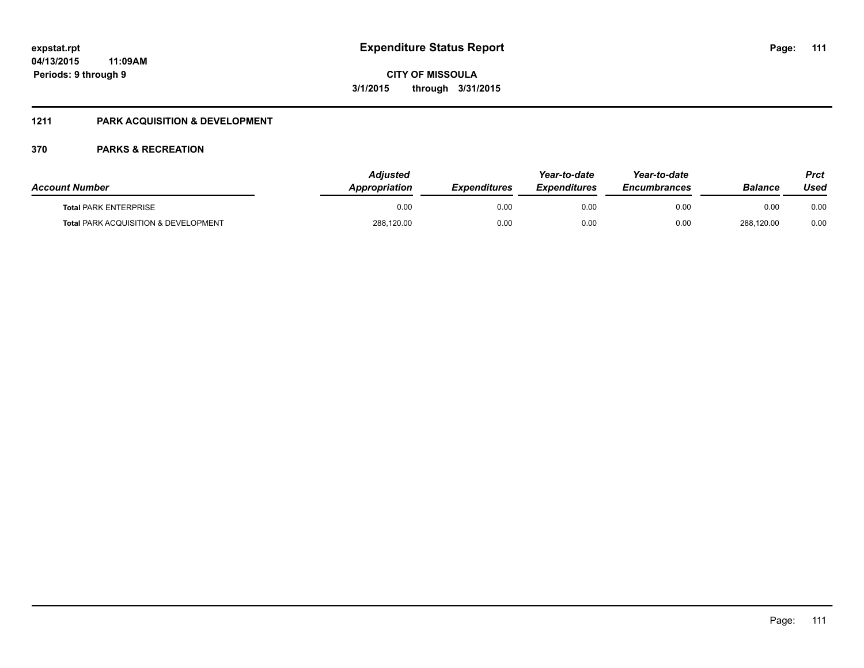### **04/13/2015 11:09AM Periods: 9 through 9**

**CITY OF MISSOULA 3/1/2015 through 3/31/2015**

### **1211 PARK ACQUISITION & DEVELOPMENT**

| <b>Account Number</b>                           | Adiusted<br>Appropriation | <b>Expenditures</b> | Year-to-date<br><b>Expenditures</b> | Year-to-date<br><b>Encumbrances</b> | <b>Balance</b> | Prct<br>Used |
|-------------------------------------------------|---------------------------|---------------------|-------------------------------------|-------------------------------------|----------------|--------------|
| <b>Total PARK ENTERPRISE</b>                    | 0.00                      | 0.00                | 0.00                                | 0.00                                | 0.00           | 0.00         |
| <b>Total PARK ACQUISITION &amp; DEVELOPMENT</b> | 288,120.00                | 0.00                | 0.00                                | 0.00                                | 288,120.00     | 0.00         |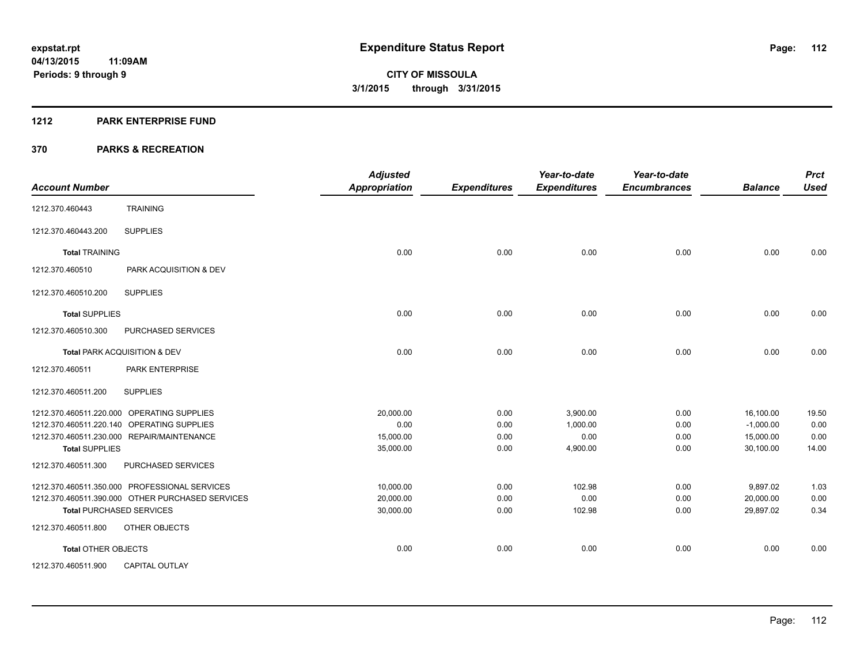#### **1212 PARK ENTERPRISE FUND**

| <b>Account Number</b>      |                                                  | <b>Adjusted</b><br><b>Appropriation</b> | <b>Expenditures</b> | Year-to-date<br><b>Expenditures</b> | Year-to-date<br><b>Encumbrances</b> | <b>Balance</b> | <b>Prct</b><br><b>Used</b> |
|----------------------------|--------------------------------------------------|-----------------------------------------|---------------------|-------------------------------------|-------------------------------------|----------------|----------------------------|
| 1212.370.460443            | <b>TRAINING</b>                                  |                                         |                     |                                     |                                     |                |                            |
| 1212.370.460443.200        | <b>SUPPLIES</b>                                  |                                         |                     |                                     |                                     |                |                            |
| <b>Total TRAINING</b>      |                                                  | 0.00                                    | 0.00                | 0.00                                | 0.00                                | 0.00           | 0.00                       |
| 1212.370.460510            | PARK ACQUISITION & DEV                           |                                         |                     |                                     |                                     |                |                            |
| 1212.370.460510.200        | <b>SUPPLIES</b>                                  |                                         |                     |                                     |                                     |                |                            |
| <b>Total SUPPLIES</b>      |                                                  | 0.00                                    | 0.00                | 0.00                                | 0.00                                | 0.00           | 0.00                       |
| 1212.370.460510.300        | PURCHASED SERVICES                               |                                         |                     |                                     |                                     |                |                            |
|                            | Total PARK ACQUISITION & DEV                     | 0.00                                    | 0.00                | 0.00                                | 0.00                                | 0.00           | 0.00                       |
| 1212.370.460511            | PARK ENTERPRISE                                  |                                         |                     |                                     |                                     |                |                            |
| 1212.370.460511.200        | <b>SUPPLIES</b>                                  |                                         |                     |                                     |                                     |                |                            |
|                            | 1212.370.460511.220.000 OPERATING SUPPLIES       | 20.000.00                               | 0.00                | 3.900.00                            | 0.00                                | 16,100.00      | 19.50                      |
|                            | 1212.370.460511.220.140 OPERATING SUPPLIES       | 0.00                                    | 0.00                | 1.000.00                            | 0.00                                | $-1,000.00$    | 0.00                       |
|                            | 1212.370.460511.230.000 REPAIR/MAINTENANCE       | 15,000.00                               | 0.00                | 0.00                                | 0.00                                | 15,000.00      | 0.00                       |
| <b>Total SUPPLIES</b>      |                                                  | 35,000.00                               | 0.00                | 4,900.00                            | 0.00                                | 30,100.00      | 14.00                      |
| 1212.370.460511.300        | PURCHASED SERVICES                               |                                         |                     |                                     |                                     |                |                            |
|                            | 1212.370.460511.350.000 PROFESSIONAL SERVICES    | 10,000.00                               | 0.00                | 102.98                              | 0.00                                | 9,897.02       | 1.03                       |
|                            | 1212.370.460511.390.000 OTHER PURCHASED SERVICES | 20,000.00                               | 0.00                | 0.00                                | 0.00                                | 20,000.00      | 0.00                       |
| Total PURCHASED SERVICES   |                                                  | 30,000.00                               | 0.00                | 102.98                              | 0.00                                | 29.897.02      | 0.34                       |
| 1212.370.460511.800        | OTHER OBJECTS                                    |                                         |                     |                                     |                                     |                |                            |
| <b>Total OTHER OBJECTS</b> |                                                  | 0.00                                    | 0.00                | 0.00                                | 0.00                                | 0.00           | 0.00                       |
| 1212.370.460511.900        | <b>CAPITAL OUTLAY</b>                            |                                         |                     |                                     |                                     |                |                            |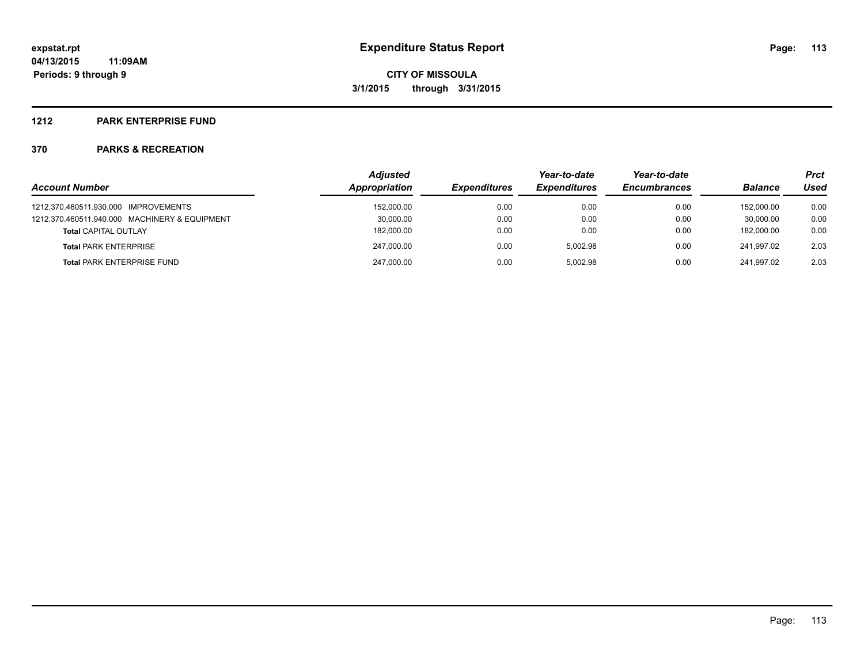#### **1212 PARK ENTERPRISE FUND**

| <b>Account Number</b>                         | <b>Adjusted</b><br>Appropriation | <b>Expenditures</b> | Year-to-date<br><b>Expenditures</b> | Year-to-date<br><b>Encumbrances</b> | <b>Balance</b> | <b>Prct</b><br>Used |
|-----------------------------------------------|----------------------------------|---------------------|-------------------------------------|-------------------------------------|----------------|---------------------|
|                                               |                                  |                     |                                     |                                     |                |                     |
| 1212.370.460511.930.000 IMPROVEMENTS          | 152,000.00                       | 0.00                | 0.00                                | 0.00                                | 152.000.00     | 0.00                |
| 1212.370.460511.940.000 MACHINERY & EQUIPMENT | 30,000.00                        | 0.00                | 0.00                                | 0.00                                | 30.000.00      | 0.00                |
| <b>Total CAPITAL OUTLAY</b>                   | 182,000.00                       | 0.00                | 0.00                                | 0.00                                | 182.000.00     | 0.00                |
| <b>Total PARK ENTERPRISE</b>                  | 247,000.00                       | 0.00                | 5.002.98                            | 0.00                                | 241.997.02     | 2.03                |
| <b>Total PARK ENTERPRISE FUND</b>             | 247,000.00                       | 0.00                | 5.002.98                            | 0.00                                | 241.997.02     | 2.03                |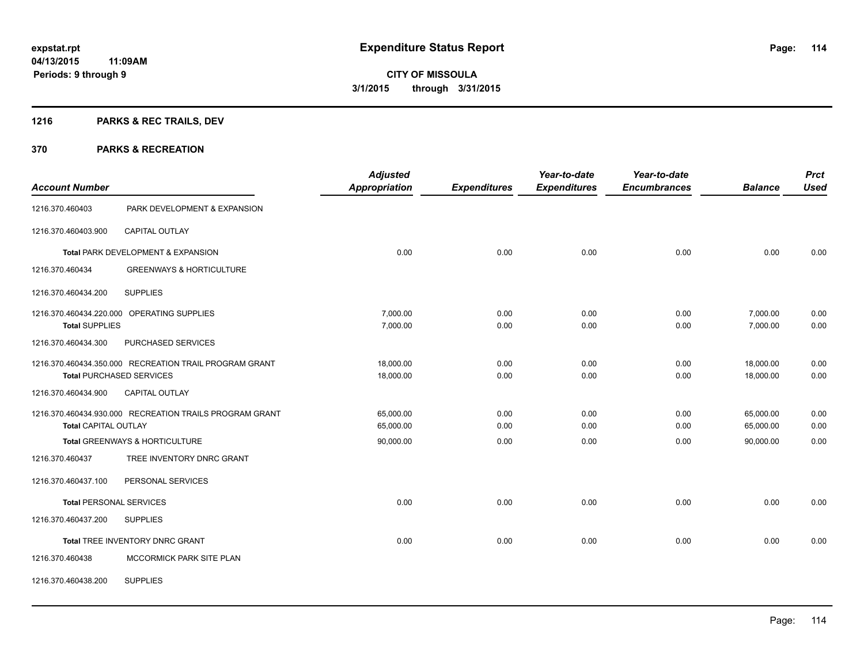## **1216 PARKS & REC TRAILS, DEV**

| <b>Account Number</b>       |                                                         | <b>Adjusted</b><br><b>Appropriation</b> | <b>Expenditures</b> | Year-to-date<br><b>Expenditures</b> | Year-to-date<br><b>Encumbrances</b> | <b>Balance</b> | <b>Prct</b><br><b>Used</b> |
|-----------------------------|---------------------------------------------------------|-----------------------------------------|---------------------|-------------------------------------|-------------------------------------|----------------|----------------------------|
| 1216.370.460403             | PARK DEVELOPMENT & EXPANSION                            |                                         |                     |                                     |                                     |                |                            |
| 1216.370.460403.900         | <b>CAPITAL OUTLAY</b>                                   |                                         |                     |                                     |                                     |                |                            |
|                             | Total PARK DEVELOPMENT & EXPANSION                      | 0.00                                    | 0.00                | 0.00                                | 0.00                                | 0.00           | 0.00                       |
| 1216.370.460434             | <b>GREENWAYS &amp; HORTICULTURE</b>                     |                                         |                     |                                     |                                     |                |                            |
| 1216.370.460434.200         | <b>SUPPLIES</b>                                         |                                         |                     |                                     |                                     |                |                            |
|                             | 1216.370.460434.220.000 OPERATING SUPPLIES              | 7,000.00                                | 0.00                | 0.00                                | 0.00                                | 7,000.00       | 0.00                       |
| <b>Total SUPPLIES</b>       |                                                         | 7,000.00                                | 0.00                | 0.00                                | 0.00                                | 7,000.00       | 0.00                       |
| 1216.370.460434.300         | PURCHASED SERVICES                                      |                                         |                     |                                     |                                     |                |                            |
|                             | 1216.370.460434.350.000 RECREATION TRAIL PROGRAM GRANT  | 18,000.00                               | 0.00                | 0.00                                | 0.00                                | 18,000.00      | 0.00                       |
|                             | <b>Total PURCHASED SERVICES</b>                         | 18,000.00                               | 0.00                | 0.00                                | 0.00                                | 18,000.00      | 0.00                       |
| 1216.370.460434.900         | CAPITAL OUTLAY                                          |                                         |                     |                                     |                                     |                |                            |
|                             | 1216.370.460434.930.000 RECREATION TRAILS PROGRAM GRANT | 65,000.00                               | 0.00                | 0.00                                | 0.00                                | 65,000.00      | 0.00                       |
| <b>Total CAPITAL OUTLAY</b> |                                                         | 65,000.00                               | 0.00                | 0.00                                | 0.00                                | 65,000.00      | 0.00                       |
|                             | Total GREENWAYS & HORTICULTURE                          | 90,000.00                               | 0.00                | 0.00                                | 0.00                                | 90.000.00      | 0.00                       |
| 1216.370.460437             | TREE INVENTORY DNRC GRANT                               |                                         |                     |                                     |                                     |                |                            |
| 1216.370.460437.100         | PERSONAL SERVICES                                       |                                         |                     |                                     |                                     |                |                            |
|                             | <b>Total PERSONAL SERVICES</b>                          | 0.00                                    | 0.00                | 0.00                                | 0.00                                | 0.00           | 0.00                       |
| 1216.370.460437.200         | <b>SUPPLIES</b>                                         |                                         |                     |                                     |                                     |                |                            |
|                             | Total TREE INVENTORY DNRC GRANT                         | 0.00                                    | 0.00                | 0.00                                | 0.00                                | 0.00           | 0.00                       |
| 1216.370.460438             | <b>MCCORMICK PARK SITE PLAN</b>                         |                                         |                     |                                     |                                     |                |                            |
| 1216.370.460438.200         | <b>SUPPLIES</b>                                         |                                         |                     |                                     |                                     |                |                            |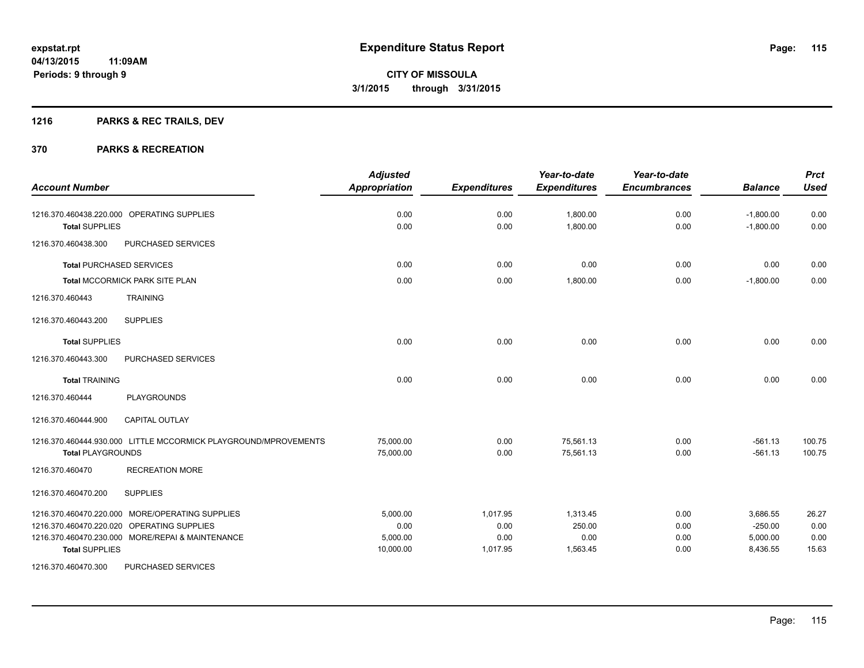## **1216 PARKS & REC TRAILS, DEV**

|                                                                 | <b>Adjusted</b> |                     | Year-to-date        | Year-to-date        |                | <b>Prct</b> |
|-----------------------------------------------------------------|-----------------|---------------------|---------------------|---------------------|----------------|-------------|
| <b>Account Number</b>                                           | Appropriation   | <b>Expenditures</b> | <b>Expenditures</b> | <b>Encumbrances</b> | <b>Balance</b> | <b>Used</b> |
| 1216.370.460438.220.000 OPERATING SUPPLIES                      | 0.00            | 0.00                | 1,800.00            | 0.00                | $-1,800.00$    | 0.00        |
| <b>Total SUPPLIES</b>                                           | 0.00            | 0.00                | 1,800.00            | 0.00                | $-1,800.00$    | 0.00        |
| 1216.370.460438.300<br>PURCHASED SERVICES                       |                 |                     |                     |                     |                |             |
| <b>Total PURCHASED SERVICES</b>                                 | 0.00            | 0.00                | 0.00                | 0.00                | 0.00           | 0.00        |
| <b>Total MCCORMICK PARK SITE PLAN</b>                           | 0.00            | 0.00                | 1,800.00            | 0.00                | $-1,800.00$    | 0.00        |
| <b>TRAINING</b><br>1216.370.460443                              |                 |                     |                     |                     |                |             |
| <b>SUPPLIES</b><br>1216.370.460443.200                          |                 |                     |                     |                     |                |             |
| <b>Total SUPPLIES</b>                                           | 0.00            | 0.00                | 0.00                | 0.00                | 0.00           | 0.00        |
| 1216.370.460443.300<br>PURCHASED SERVICES                       |                 |                     |                     |                     |                |             |
| <b>Total TRAINING</b>                                           | 0.00            | 0.00                | 0.00                | 0.00                | 0.00           | 0.00        |
| 1216.370.460444<br><b>PLAYGROUNDS</b>                           |                 |                     |                     |                     |                |             |
| 1216.370.460444.900<br><b>CAPITAL OUTLAY</b>                    |                 |                     |                     |                     |                |             |
| 1216.370.460444.930.000 LITTLE MCCORMICK PLAYGROUND/MPROVEMENTS | 75.000.00       | 0.00                | 75,561.13           | 0.00                | $-561.13$      | 100.75      |
| <b>Total PLAYGROUNDS</b>                                        | 75,000.00       | 0.00                | 75,561.13           | 0.00                | $-561.13$      | 100.75      |
| <b>RECREATION MORE</b><br>1216.370.460470                       |                 |                     |                     |                     |                |             |
| <b>SUPPLIES</b><br>1216.370.460470.200                          |                 |                     |                     |                     |                |             |
| 1216.370.460470.220.000 MORE/OPERATING SUPPLIES                 | 5,000.00        | 1,017.95            | 1,313.45            | 0.00                | 3,686.55       | 26.27       |
| 1216.370.460470.220.020 OPERATING SUPPLIES                      | 0.00            | 0.00                | 250.00              | 0.00                | $-250.00$      | 0.00        |
| 1216.370.460470.230.000 MORE/REPAI & MAINTENANCE                | 5,000.00        | 0.00                | 0.00                | 0.00                | 5,000.00       | 0.00        |
| <b>Total SUPPLIES</b>                                           | 10,000.00       | 1,017.95            | 1,563.45            | 0.00                | 8,436.55       | 15.63       |
| 1216.370.460470.300<br><b>PURCHASED SERVICES</b>                |                 |                     |                     |                     |                |             |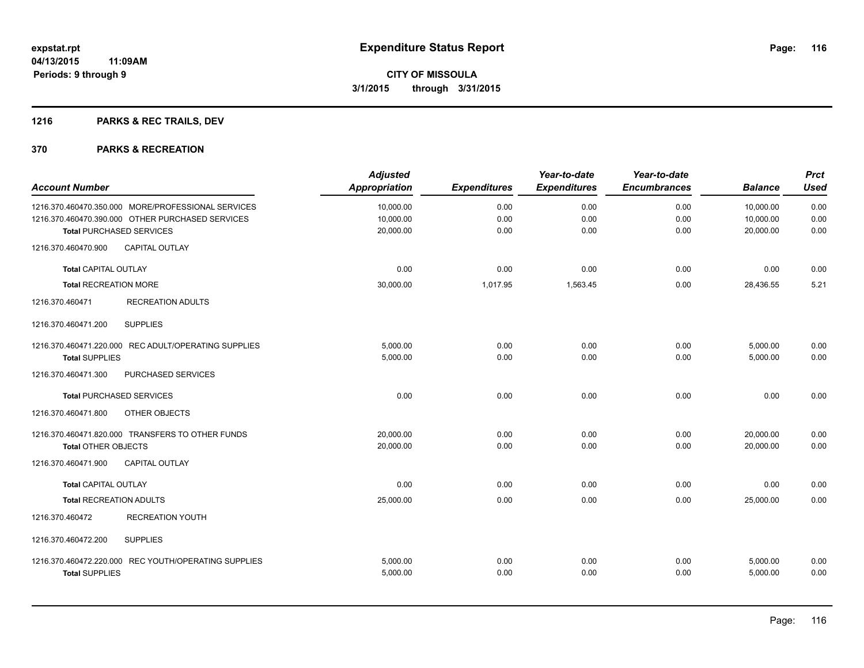## **1216 PARKS & REC TRAILS, DEV**

| <b>Account Number</b>          |                                                      | <b>Adjusted</b><br><b>Appropriation</b> | <b>Expenditures</b> | Year-to-date<br><b>Expenditures</b> | Year-to-date<br><b>Encumbrances</b> | <b>Balance</b> | <b>Prct</b><br><b>Used</b> |
|--------------------------------|------------------------------------------------------|-----------------------------------------|---------------------|-------------------------------------|-------------------------------------|----------------|----------------------------|
|                                | 1216.370.460470.350.000 MORE/PROFESSIONAL SERVICES   | 10,000.00                               | 0.00                | 0.00                                | 0.00                                | 10,000.00      | 0.00                       |
|                                | 1216.370.460470.390.000 OTHER PURCHASED SERVICES     | 10,000.00                               | 0.00                | 0.00                                | 0.00                                | 10,000.00      | 0.00                       |
|                                | <b>Total PURCHASED SERVICES</b>                      | 20,000.00                               | 0.00                | 0.00                                | 0.00                                | 20,000.00      | 0.00                       |
| 1216.370.460470.900            | <b>CAPITAL OUTLAY</b>                                |                                         |                     |                                     |                                     |                |                            |
| <b>Total CAPITAL OUTLAY</b>    |                                                      | 0.00                                    | 0.00                | 0.00                                | 0.00                                | 0.00           | 0.00                       |
| <b>Total RECREATION MORE</b>   |                                                      | 30,000.00                               | 1,017.95            | 1,563.45                            | 0.00                                | 28,436.55      | 5.21                       |
| 1216.370.460471                | <b>RECREATION ADULTS</b>                             |                                         |                     |                                     |                                     |                |                            |
| 1216.370.460471.200            | <b>SUPPLIES</b>                                      |                                         |                     |                                     |                                     |                |                            |
|                                | 1216.370.460471.220.000 REC ADULT/OPERATING SUPPLIES | 5,000.00                                | 0.00                | 0.00                                | 0.00                                | 5,000.00       | 0.00                       |
| <b>Total SUPPLIES</b>          |                                                      | 5,000.00                                | 0.00                | 0.00                                | 0.00                                | 5,000.00       | 0.00                       |
| 1216.370.460471.300            | PURCHASED SERVICES                                   |                                         |                     |                                     |                                     |                |                            |
|                                | <b>Total PURCHASED SERVICES</b>                      | 0.00                                    | 0.00                | 0.00                                | 0.00                                | 0.00           | 0.00                       |
| 1216.370.460471.800            | OTHER OBJECTS                                        |                                         |                     |                                     |                                     |                |                            |
|                                | 1216.370.460471.820.000 TRANSFERS TO OTHER FUNDS     | 20,000.00                               | 0.00                | 0.00                                | 0.00                                | 20,000.00      | 0.00                       |
| <b>Total OTHER OBJECTS</b>     |                                                      | 20,000.00                               | 0.00                | 0.00                                | 0.00                                | 20,000.00      | 0.00                       |
| 1216.370.460471.900            | <b>CAPITAL OUTLAY</b>                                |                                         |                     |                                     |                                     |                |                            |
| <b>Total CAPITAL OUTLAY</b>    |                                                      | 0.00                                    | 0.00                | 0.00                                | 0.00                                | 0.00           | 0.00                       |
| <b>Total RECREATION ADULTS</b> |                                                      | 25,000.00                               | 0.00                | 0.00                                | 0.00                                | 25,000.00      | 0.00                       |
| 1216.370.460472                | <b>RECREATION YOUTH</b>                              |                                         |                     |                                     |                                     |                |                            |
| 1216.370.460472.200            | <b>SUPPLIES</b>                                      |                                         |                     |                                     |                                     |                |                            |
|                                | 1216.370.460472.220.000 REC YOUTH/OPERATING SUPPLIES | 5,000.00                                | 0.00                | 0.00                                | 0.00                                | 5,000.00       | 0.00                       |
| <b>Total SUPPLIES</b>          |                                                      | 5,000.00                                | 0.00                | 0.00                                | 0.00                                | 5,000.00       | 0.00                       |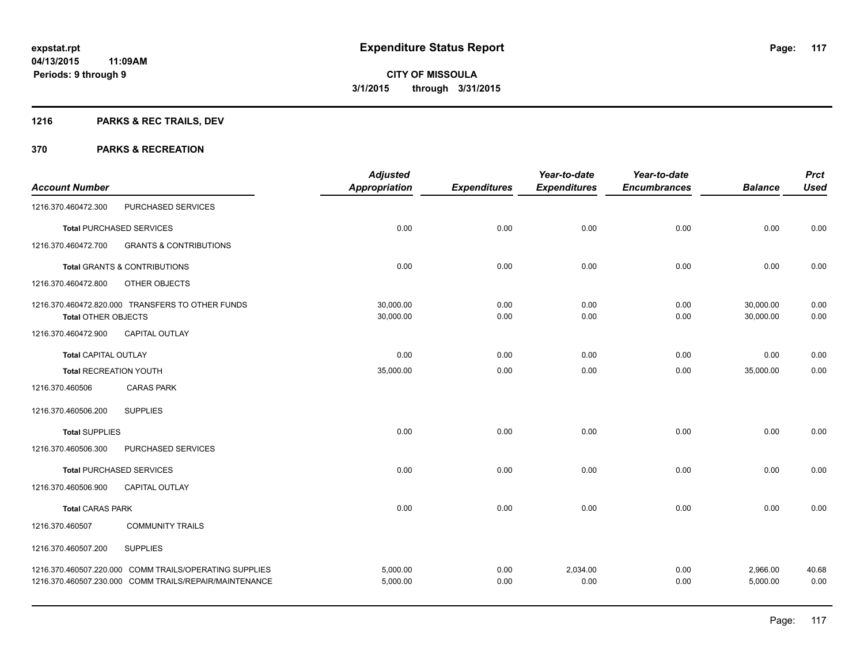## **1216 PARKS & REC TRAILS, DEV**

|                               |                                                                                                                  | <b>Adjusted</b>      |                     | Year-to-date        | Year-to-date        |                      | <b>Prct</b>   |
|-------------------------------|------------------------------------------------------------------------------------------------------------------|----------------------|---------------------|---------------------|---------------------|----------------------|---------------|
| <b>Account Number</b>         |                                                                                                                  | <b>Appropriation</b> | <b>Expenditures</b> | <b>Expenditures</b> | <b>Encumbrances</b> | <b>Balance</b>       | <b>Used</b>   |
| 1216.370.460472.300           | PURCHASED SERVICES                                                                                               |                      |                     |                     |                     |                      |               |
|                               | <b>Total PURCHASED SERVICES</b>                                                                                  | 0.00                 | 0.00                | 0.00                | 0.00                | 0.00                 | 0.00          |
| 1216.370.460472.700           | <b>GRANTS &amp; CONTRIBUTIONS</b>                                                                                |                      |                     |                     |                     |                      |               |
|                               | <b>Total GRANTS &amp; CONTRIBUTIONS</b>                                                                          | 0.00                 | 0.00                | 0.00                | 0.00                | 0.00                 | 0.00          |
| 1216.370.460472.800           | OTHER OBJECTS                                                                                                    |                      |                     |                     |                     |                      |               |
|                               | 1216.370.460472.820.000 TRANSFERS TO OTHER FUNDS                                                                 | 30,000.00            | 0.00                | 0.00                | 0.00                | 30,000.00            | 0.00          |
| <b>Total OTHER OBJECTS</b>    |                                                                                                                  | 30,000.00            | 0.00                | 0.00                | 0.00                | 30,000.00            | 0.00          |
| 1216.370.460472.900           | CAPITAL OUTLAY                                                                                                   |                      |                     |                     |                     |                      |               |
| <b>Total CAPITAL OUTLAY</b>   |                                                                                                                  | 0.00                 | 0.00                | 0.00                | 0.00                | 0.00                 | 0.00          |
| <b>Total RECREATION YOUTH</b> |                                                                                                                  | 35,000.00            | 0.00                | 0.00                | 0.00                | 35,000.00            | 0.00          |
| 1216.370.460506               | <b>CARAS PARK</b>                                                                                                |                      |                     |                     |                     |                      |               |
| 1216.370.460506.200           | <b>SUPPLIES</b>                                                                                                  |                      |                     |                     |                     |                      |               |
| <b>Total SUPPLIES</b>         |                                                                                                                  | 0.00                 | 0.00                | 0.00                | 0.00                | 0.00                 | 0.00          |
| 1216.370.460506.300           | PURCHASED SERVICES                                                                                               |                      |                     |                     |                     |                      |               |
|                               | <b>Total PURCHASED SERVICES</b>                                                                                  | 0.00                 | 0.00                | 0.00                | 0.00                | 0.00                 | 0.00          |
| 1216.370.460506.900           | <b>CAPITAL OUTLAY</b>                                                                                            |                      |                     |                     |                     |                      |               |
| <b>Total CARAS PARK</b>       |                                                                                                                  | 0.00                 | 0.00                | 0.00                | 0.00                | 0.00                 | 0.00          |
| 1216.370.460507               | <b>COMMUNITY TRAILS</b>                                                                                          |                      |                     |                     |                     |                      |               |
| 1216.370.460507.200           | <b>SUPPLIES</b>                                                                                                  |                      |                     |                     |                     |                      |               |
|                               | 1216.370.460507.220.000 COMM TRAILS/OPERATING SUPPLIES<br>1216.370.460507.230.000 COMM TRAILS/REPAIR/MAINTENANCE | 5,000.00<br>5,000.00 | 0.00<br>0.00        | 2,034.00<br>0.00    | 0.00<br>0.00        | 2,966.00<br>5,000.00 | 40.68<br>0.00 |
|                               |                                                                                                                  |                      |                     |                     |                     |                      |               |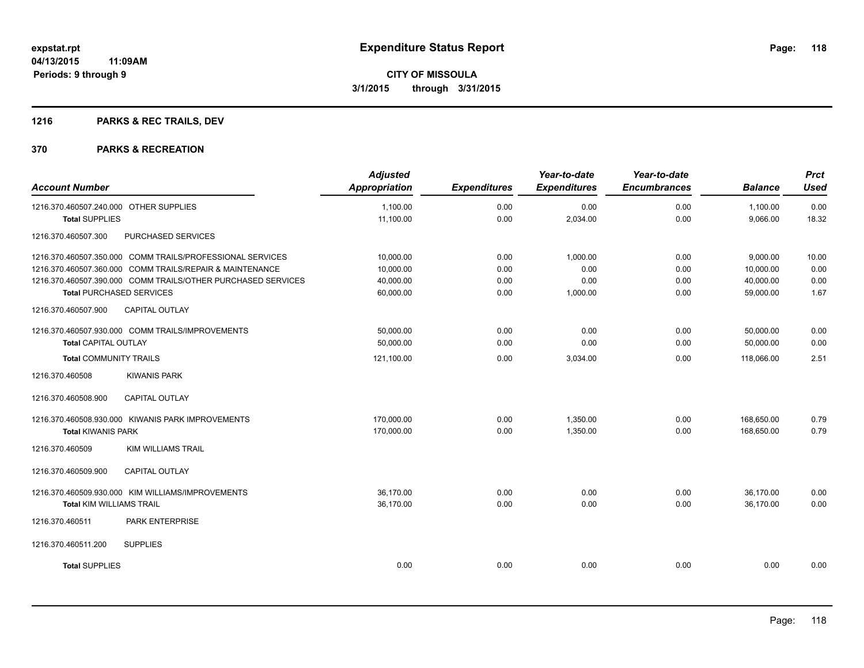## **1216 PARKS & REC TRAILS, DEV**

| <b>Account Number</b>                  |                                                              | <b>Adjusted</b><br><b>Appropriation</b> | <b>Expenditures</b> | Year-to-date<br><b>Expenditures</b> | Year-to-date<br><b>Encumbrances</b> | <b>Balance</b> | <b>Prct</b><br><b>Used</b> |
|----------------------------------------|--------------------------------------------------------------|-----------------------------------------|---------------------|-------------------------------------|-------------------------------------|----------------|----------------------------|
|                                        |                                                              |                                         |                     |                                     |                                     |                |                            |
| 1216.370.460507.240.000 OTHER SUPPLIES |                                                              | 1,100.00                                | 0.00                | 0.00                                | 0.00                                | 1,100.00       | 0.00                       |
| <b>Total SUPPLIES</b>                  |                                                              | 11,100.00                               | 0.00                | 2,034.00                            | 0.00                                | 9,066.00       | 18.32                      |
| 1216.370.460507.300                    | PURCHASED SERVICES                                           |                                         |                     |                                     |                                     |                |                            |
|                                        | 1216.370.460507.350.000 COMM TRAILS/PROFESSIONAL SERVICES    | 10,000.00                               | 0.00                | 1,000.00                            | 0.00                                | 9,000.00       | 10.00                      |
|                                        | 1216.370.460507.360.000 COMM TRAILS/REPAIR & MAINTENANCE     | 10,000.00                               | 0.00                | 0.00                                | 0.00                                | 10,000.00      | 0.00                       |
|                                        | 1216.370.460507.390.000 COMM TRAILS/OTHER PURCHASED SERVICES | 40.000.00                               | 0.00                | 0.00                                | 0.00                                | 40.000.00      | 0.00                       |
| <b>Total PURCHASED SERVICES</b>        |                                                              | 60,000.00                               | 0.00                | 1,000.00                            | 0.00                                | 59,000.00      | 1.67                       |
| 1216.370.460507.900                    | <b>CAPITAL OUTLAY</b>                                        |                                         |                     |                                     |                                     |                |                            |
|                                        | 1216.370.460507.930.000 COMM TRAILS/IMPROVEMENTS             | 50.000.00                               | 0.00                | 0.00                                | 0.00                                | 50,000.00      | 0.00                       |
| <b>Total CAPITAL OUTLAY</b>            |                                                              | 50,000.00                               | 0.00                | 0.00                                | 0.00                                | 50,000.00      | 0.00                       |
| <b>Total COMMUNITY TRAILS</b>          |                                                              | 121,100.00                              | 0.00                | 3,034.00                            | 0.00                                | 118,066.00     | 2.51                       |
| 1216.370.460508                        | <b>KIWANIS PARK</b>                                          |                                         |                     |                                     |                                     |                |                            |
| 1216.370.460508.900                    | CAPITAL OUTLAY                                               |                                         |                     |                                     |                                     |                |                            |
|                                        | 1216.370.460508.930.000 KIWANIS PARK IMPROVEMENTS            | 170,000.00                              | 0.00                | 1,350.00                            | 0.00                                | 168,650.00     | 0.79                       |
| <b>Total KIWANIS PARK</b>              |                                                              | 170,000.00                              | 0.00                | 1,350.00                            | 0.00                                | 168.650.00     | 0.79                       |
| 1216.370.460509                        | <b>KIM WILLIAMS TRAIL</b>                                    |                                         |                     |                                     |                                     |                |                            |
| 1216.370.460509.900                    | <b>CAPITAL OUTLAY</b>                                        |                                         |                     |                                     |                                     |                |                            |
|                                        | 1216.370.460509.930.000 KIM WILLIAMS/IMPROVEMENTS            | 36,170.00                               | 0.00                | 0.00                                | 0.00                                | 36,170.00      | 0.00                       |
| <b>Total KIM WILLIAMS TRAIL</b>        |                                                              | 36,170.00                               | 0.00                | 0.00                                | 0.00                                | 36,170.00      | 0.00                       |
| 1216.370.460511                        | PARK ENTERPRISE                                              |                                         |                     |                                     |                                     |                |                            |
| 1216.370.460511.200                    | <b>SUPPLIES</b>                                              |                                         |                     |                                     |                                     |                |                            |
| <b>Total SUPPLIES</b>                  |                                                              | 0.00                                    | 0.00                | 0.00                                | 0.00                                | 0.00           | 0.00                       |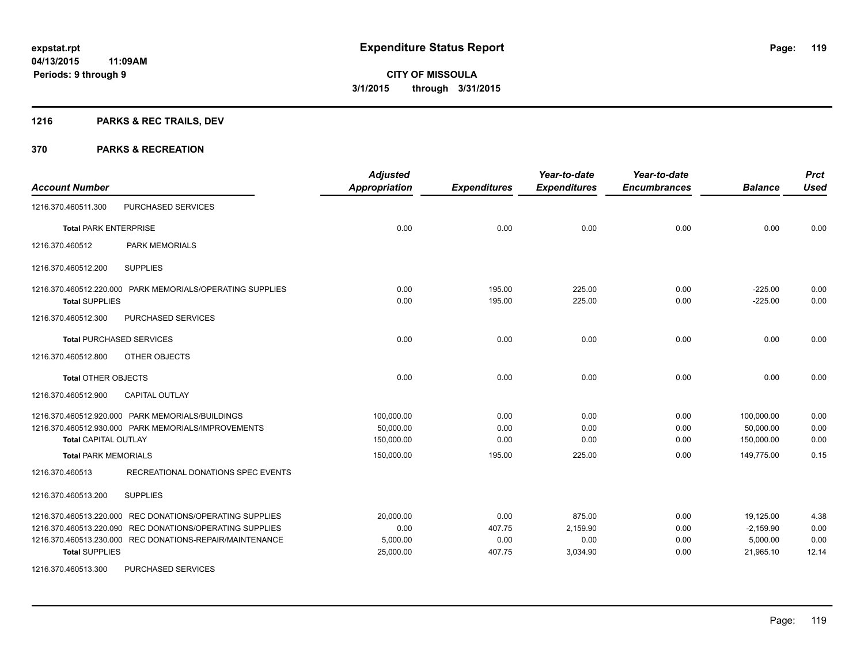## **1216 PARKS & REC TRAILS, DEV**

#### **370 PARKS & RECREATION**

| <b>Account Number</b>                                                                                                                                                                                     | <b>Adjusted</b><br><b>Appropriation</b>    | <b>Expenditures</b>              | Year-to-date<br><b>Expenditures</b>    | Year-to-date<br><b>Encumbrances</b> | <b>Balance</b>                                    | <b>Prct</b><br><b>Used</b>    |
|-----------------------------------------------------------------------------------------------------------------------------------------------------------------------------------------------------------|--------------------------------------------|----------------------------------|----------------------------------------|-------------------------------------|---------------------------------------------------|-------------------------------|
| PURCHASED SERVICES<br>1216.370.460511.300                                                                                                                                                                 |                                            |                                  |                                        |                                     |                                                   |                               |
| <b>Total PARK ENTERPRISE</b>                                                                                                                                                                              | 0.00                                       | 0.00                             | 0.00                                   | 0.00                                | 0.00                                              | 0.00                          |
| <b>PARK MEMORIALS</b><br>1216.370.460512                                                                                                                                                                  |                                            |                                  |                                        |                                     |                                                   |                               |
| <b>SUPPLIES</b><br>1216.370.460512.200                                                                                                                                                                    |                                            |                                  |                                        |                                     |                                                   |                               |
| 1216.370.460512.220.000 PARK MEMORIALS/OPERATING SUPPLIES<br><b>Total SUPPLIES</b>                                                                                                                        | 0.00<br>0.00                               | 195.00<br>195.00                 | 225.00<br>225.00                       | 0.00<br>0.00                        | $-225.00$<br>$-225.00$                            | 0.00<br>0.00                  |
| 1216.370.460512.300<br>PURCHASED SERVICES                                                                                                                                                                 |                                            |                                  |                                        |                                     |                                                   |                               |
| <b>Total PURCHASED SERVICES</b>                                                                                                                                                                           | 0.00                                       | 0.00                             | 0.00                                   | 0.00                                | 0.00                                              | 0.00                          |
| OTHER OBJECTS<br>1216.370.460512.800                                                                                                                                                                      |                                            |                                  |                                        |                                     |                                                   |                               |
| <b>Total OTHER OBJECTS</b>                                                                                                                                                                                | 0.00                                       | 0.00                             | 0.00                                   | 0.00                                | 0.00                                              | 0.00                          |
| 1216.370.460512.900<br>CAPITAL OUTLAY                                                                                                                                                                     |                                            |                                  |                                        |                                     |                                                   |                               |
| 1216.370.460512.920.000 PARK MEMORIALS/BUILDINGS<br>1216.370.460512.930.000 PARK MEMORIALS/IMPROVEMENTS<br><b>Total CAPITAL OUTLAY</b>                                                                    | 100,000.00<br>50,000.00<br>150,000.00      | 0.00<br>0.00<br>0.00             | 0.00<br>0.00<br>0.00                   | 0.00<br>0.00<br>0.00                | 100.000.00<br>50,000.00<br>150,000.00             | 0.00<br>0.00<br>0.00          |
| <b>Total PARK MEMORIALS</b>                                                                                                                                                                               | 150,000.00                                 | 195.00                           | 225.00                                 | 0.00                                | 149.775.00                                        | 0.15                          |
| RECREATIONAL DONATIONS SPEC EVENTS<br>1216.370.460513                                                                                                                                                     |                                            |                                  |                                        |                                     |                                                   |                               |
| 1216.370.460513.200<br><b>SUPPLIES</b>                                                                                                                                                                    |                                            |                                  |                                        |                                     |                                                   |                               |
| 1216.370.460513.220.000 REC DONATIONS/OPERATING SUPPLIES<br>1216.370.460513.220.090 REC DONATIONS/OPERATING SUPPLIES<br>1216.370.460513.230.000 REC DONATIONS-REPAIR/MAINTENANCE<br><b>Total SUPPLIES</b> | 20,000.00<br>0.00<br>5,000.00<br>25,000.00 | 0.00<br>407.75<br>0.00<br>407.75 | 875.00<br>2,159.90<br>0.00<br>3,034.90 | 0.00<br>0.00<br>0.00<br>0.00        | 19,125.00<br>$-2,159.90$<br>5,000.00<br>21,965.10 | 4.38<br>0.00<br>0.00<br>12.14 |
| 1216.370.460513.300<br>PURCHASED SERVICES                                                                                                                                                                 |                                            |                                  |                                        |                                     |                                                   |                               |

Page: 119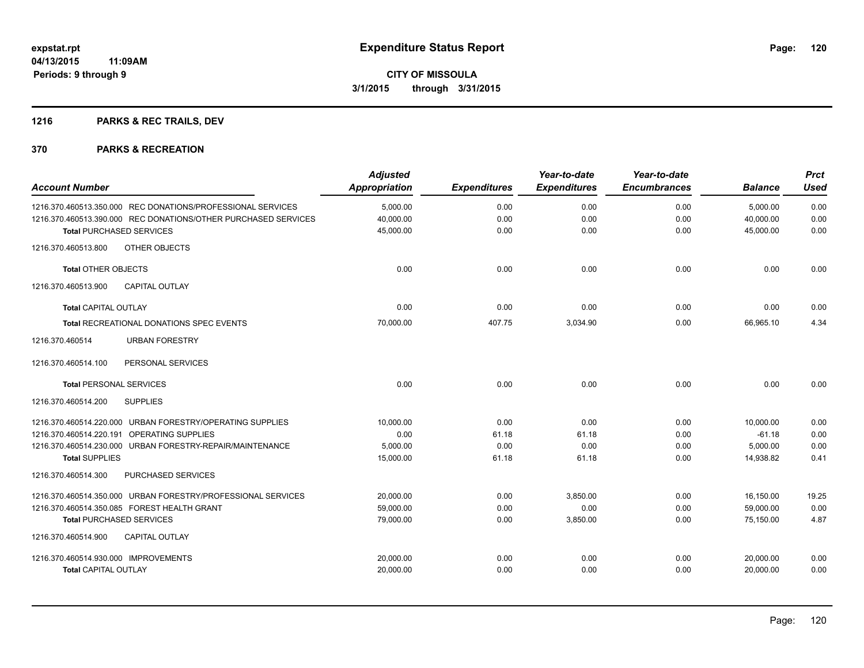## **1216 PARKS & REC TRAILS, DEV**

| <b>Account Number</b>                                          | <b>Adjusted</b><br><b>Appropriation</b> | <b>Expenditures</b> | Year-to-date<br><b>Expenditures</b> | Year-to-date<br><b>Encumbrances</b> | <b>Balance</b> | <b>Prct</b><br>Used |
|----------------------------------------------------------------|-----------------------------------------|---------------------|-------------------------------------|-------------------------------------|----------------|---------------------|
| 1216.370.460513.350.000 REC DONATIONS/PROFESSIONAL SERVICES    | 5,000.00                                | 0.00                | 0.00                                | 0.00                                | 5,000.00       | 0.00                |
| 1216.370.460513.390.000 REC DONATIONS/OTHER PURCHASED SERVICES | 40,000.00                               | 0.00                | 0.00                                | 0.00                                | 40,000.00      | 0.00                |
| <b>Total PURCHASED SERVICES</b>                                | 45,000.00                               | 0.00                | 0.00                                | 0.00                                | 45,000.00      | 0.00                |
| OTHER OBJECTS<br>1216.370.460513.800                           |                                         |                     |                                     |                                     |                |                     |
| <b>Total OTHER OBJECTS</b>                                     | 0.00                                    | 0.00                | 0.00                                | 0.00                                | 0.00           | 0.00                |
| 1216.370.460513.900<br><b>CAPITAL OUTLAY</b>                   |                                         |                     |                                     |                                     |                |                     |
| <b>Total CAPITAL OUTLAY</b>                                    | 0.00                                    | 0.00                | 0.00                                | 0.00                                | 0.00           | 0.00                |
| Total RECREATIONAL DONATIONS SPEC EVENTS                       | 70,000.00                               | 407.75              | 3,034.90                            | 0.00                                | 66,965.10      | 4.34                |
| <b>URBAN FORESTRY</b><br>1216.370.460514                       |                                         |                     |                                     |                                     |                |                     |
| PERSONAL SERVICES<br>1216.370.460514.100                       |                                         |                     |                                     |                                     |                |                     |
| <b>Total PERSONAL SERVICES</b>                                 | 0.00                                    | 0.00                | 0.00                                | 0.00                                | 0.00           | 0.00                |
| <b>SUPPLIES</b><br>1216.370.460514.200                         |                                         |                     |                                     |                                     |                |                     |
| 1216.370.460514.220.000 URBAN FORESTRY/OPERATING SUPPLIES      | 10,000.00                               | 0.00                | 0.00                                | 0.00                                | 10,000.00      | 0.00                |
| <b>OPERATING SUPPLIES</b><br>1216.370.460514.220.191           | 0.00                                    | 61.18               | 61.18                               | 0.00                                | $-61.18$       | 0.00                |
| 1216.370.460514.230.000 URBAN FORESTRY-REPAIR/MAINTENANCE      | 5,000.00                                | 0.00                | 0.00                                | 0.00                                | 5,000.00       | 0.00                |
| <b>Total SUPPLIES</b>                                          | 15,000.00                               | 61.18               | 61.18                               | 0.00                                | 14,938.82      | 0.41                |
| 1216.370.460514.300<br>PURCHASED SERVICES                      |                                         |                     |                                     |                                     |                |                     |
| 1216.370.460514.350.000 URBAN FORESTRY/PROFESSIONAL SERVICES   | 20.000.00                               | 0.00                | 3.850.00                            | 0.00                                | 16,150.00      | 19.25               |
| 1216.370.460514.350.085 FOREST HEALTH GRANT                    | 59,000.00                               | 0.00                | 0.00                                | 0.00                                | 59.000.00      | 0.00                |
| <b>Total PURCHASED SERVICES</b>                                | 79,000.00                               | 0.00                | 3,850.00                            | 0.00                                | 75,150.00      | 4.87                |
| 1216.370.460514.900<br><b>CAPITAL OUTLAY</b>                   |                                         |                     |                                     |                                     |                |                     |
| 1216.370.460514.930.000 IMPROVEMENTS                           | 20,000.00                               | 0.00                | 0.00                                | 0.00                                | 20,000.00      | 0.00                |
| <b>Total CAPITAL OUTLAY</b>                                    | 20,000.00                               | 0.00                | 0.00                                | 0.00                                | 20,000.00      | 0.00                |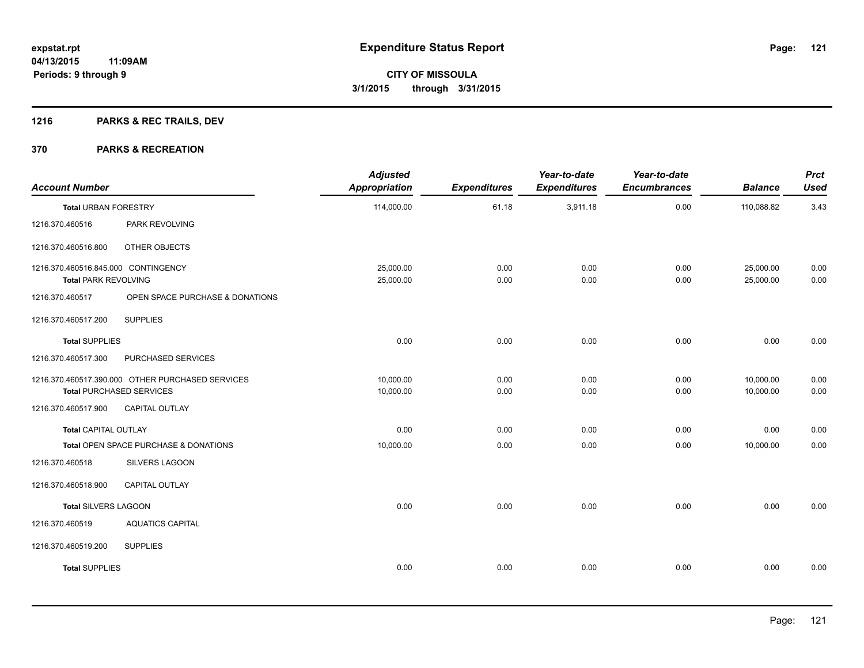## **1216 PARKS & REC TRAILS, DEV**

| <b>Account Number</b>               |                                                  | <b>Adjusted</b><br><b>Appropriation</b> | <b>Expenditures</b> | Year-to-date<br><b>Expenditures</b> | Year-to-date<br><b>Encumbrances</b> | <b>Balance</b> | <b>Prct</b><br><b>Used</b> |
|-------------------------------------|--------------------------------------------------|-----------------------------------------|---------------------|-------------------------------------|-------------------------------------|----------------|----------------------------|
| <b>Total URBAN FORESTRY</b>         |                                                  | 114,000.00                              | 61.18               | 3,911.18                            | 0.00                                | 110,088.82     | 3.43                       |
| 1216.370.460516                     | PARK REVOLVING                                   |                                         |                     |                                     |                                     |                |                            |
| 1216.370.460516.800                 | OTHER OBJECTS                                    |                                         |                     |                                     |                                     |                |                            |
| 1216.370.460516.845.000 CONTINGENCY |                                                  | 25,000.00                               | 0.00                | 0.00                                | 0.00                                | 25,000.00      | 0.00                       |
| <b>Total PARK REVOLVING</b>         |                                                  | 25,000.00                               | 0.00                | 0.00                                | 0.00                                | 25,000.00      | 0.00                       |
| 1216.370.460517                     | OPEN SPACE PURCHASE & DONATIONS                  |                                         |                     |                                     |                                     |                |                            |
| 1216.370.460517.200                 | <b>SUPPLIES</b>                                  |                                         |                     |                                     |                                     |                |                            |
| <b>Total SUPPLIES</b>               |                                                  | 0.00                                    | 0.00                | 0.00                                | 0.00                                | 0.00           | 0.00                       |
| 1216.370.460517.300                 | PURCHASED SERVICES                               |                                         |                     |                                     |                                     |                |                            |
|                                     | 1216.370.460517.390.000 OTHER PURCHASED SERVICES | 10,000.00                               | 0.00                | 0.00                                | 0.00                                | 10,000.00      | 0.00                       |
|                                     | <b>Total PURCHASED SERVICES</b>                  | 10,000.00                               | 0.00                | 0.00                                | 0.00                                | 10,000.00      | 0.00                       |
| 1216.370.460517.900                 | CAPITAL OUTLAY                                   |                                         |                     |                                     |                                     |                |                            |
| <b>Total CAPITAL OUTLAY</b>         |                                                  | 0.00                                    | 0.00                | 0.00                                | 0.00                                | 0.00           | 0.00                       |
|                                     | Total OPEN SPACE PURCHASE & DONATIONS            | 10,000.00                               | 0.00                | 0.00                                | 0.00                                | 10,000.00      | 0.00                       |
| 1216.370.460518                     | <b>SILVERS LAGOON</b>                            |                                         |                     |                                     |                                     |                |                            |
| 1216.370.460518.900                 | <b>CAPITAL OUTLAY</b>                            |                                         |                     |                                     |                                     |                |                            |
| Total SILVERS LAGOON                |                                                  | 0.00                                    | 0.00                | 0.00                                | 0.00                                | 0.00           | 0.00                       |
| 1216.370.460519                     | <b>AQUATICS CAPITAL</b>                          |                                         |                     |                                     |                                     |                |                            |
| 1216.370.460519.200                 | <b>SUPPLIES</b>                                  |                                         |                     |                                     |                                     |                |                            |
| <b>Total SUPPLIES</b>               |                                                  | 0.00                                    | 0.00                | 0.00                                | 0.00                                | 0.00           | 0.00                       |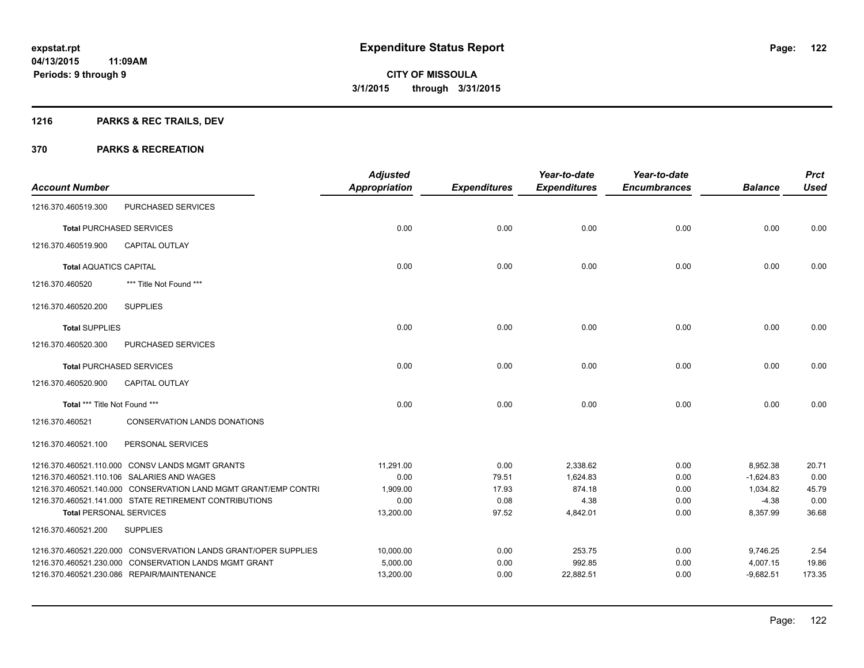## **1216 PARKS & REC TRAILS, DEV**

| <b>Account Number</b>          |                                                                 | <b>Adjusted</b><br><b>Appropriation</b> | <b>Expenditures</b> | Year-to-date<br><b>Expenditures</b> | Year-to-date<br><b>Encumbrances</b> | <b>Balance</b> | <b>Prct</b><br><b>Used</b> |
|--------------------------------|-----------------------------------------------------------------|-----------------------------------------|---------------------|-------------------------------------|-------------------------------------|----------------|----------------------------|
| 1216.370.460519.300            | PURCHASED SERVICES                                              |                                         |                     |                                     |                                     |                |                            |
|                                | <b>Total PURCHASED SERVICES</b>                                 | 0.00                                    | 0.00                | 0.00                                | 0.00                                | 0.00           | 0.00                       |
| 1216.370.460519.900            | <b>CAPITAL OUTLAY</b>                                           |                                         |                     |                                     |                                     |                |                            |
| <b>Total AQUATICS CAPITAL</b>  |                                                                 | 0.00                                    | 0.00                | 0.00                                | 0.00                                | 0.00           | 0.00                       |
| 1216.370.460520                | *** Title Not Found ***                                         |                                         |                     |                                     |                                     |                |                            |
| 1216.370.460520.200            | <b>SUPPLIES</b>                                                 |                                         |                     |                                     |                                     |                |                            |
| <b>Total SUPPLIES</b>          |                                                                 | 0.00                                    | 0.00                | 0.00                                | 0.00                                | 0.00           | 0.00                       |
| 1216.370.460520.300            | PURCHASED SERVICES                                              |                                         |                     |                                     |                                     |                |                            |
|                                | <b>Total PURCHASED SERVICES</b>                                 | 0.00                                    | 0.00                | 0.00                                | 0.00                                | 0.00           | 0.00                       |
| 1216.370.460520.900            | <b>CAPITAL OUTLAY</b>                                           |                                         |                     |                                     |                                     |                |                            |
| Total *** Title Not Found ***  |                                                                 | 0.00                                    | 0.00                | 0.00                                | 0.00                                | 0.00           | 0.00                       |
| 1216.370.460521                | <b>CONSERVATION LANDS DONATIONS</b>                             |                                         |                     |                                     |                                     |                |                            |
| 1216.370.460521.100            | PERSONAL SERVICES                                               |                                         |                     |                                     |                                     |                |                            |
|                                | 1216.370.460521.110.000 CONSV LANDS MGMT GRANTS                 | 11,291.00                               | 0.00                | 2,338.62                            | 0.00                                | 8,952.38       | 20.71                      |
|                                | 1216.370.460521.110.106 SALARIES AND WAGES                      | 0.00                                    | 79.51               | 1,624.83                            | 0.00                                | $-1,624.83$    | 0.00                       |
|                                | 1216.370.460521.140.000 CONSERVATION LAND MGMT GRANT/EMP CONTRI | 1,909.00                                | 17.93               | 874.18                              | 0.00                                | 1,034.82       | 45.79                      |
|                                | 1216.370.460521.141.000 STATE RETIREMENT CONTRIBUTIONS          | 0.00                                    | 0.08                | 4.38                                | 0.00                                | $-4.38$        | 0.00                       |
| <b>Total PERSONAL SERVICES</b> |                                                                 | 13,200.00                               | 97.52               | 4,842.01                            | 0.00                                | 8,357.99       | 36.68                      |
| 1216.370.460521.200            | <b>SUPPLIES</b>                                                 |                                         |                     |                                     |                                     |                |                            |
|                                | 1216.370.460521.220.000 CONSVERVATION LANDS GRANT/OPER SUPPLIES | 10,000.00                               | 0.00                | 253.75                              | 0.00                                | 9,746.25       | 2.54                       |
|                                | 1216.370.460521.230.000 CONSERVATION LANDS MGMT GRANT           | 5,000.00                                | 0.00                | 992.85                              | 0.00                                | 4,007.15       | 19.86                      |
|                                | 1216.370.460521.230.086 REPAIR/MAINTENANCE                      | 13,200.00                               | 0.00                | 22,882.51                           | 0.00                                | $-9,682.51$    | 173.35                     |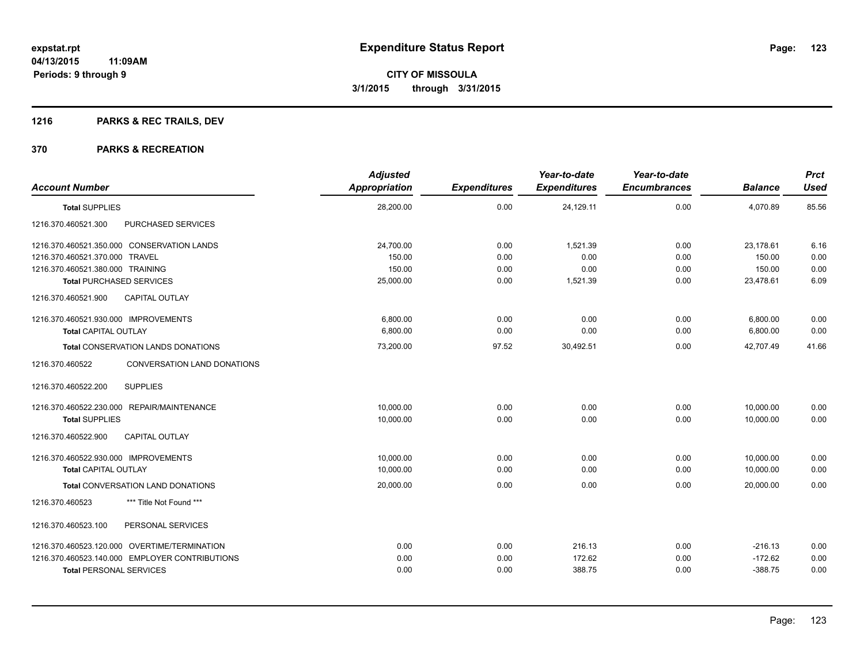## **1216 PARKS & REC TRAILS, DEV**

|                                                | <b>Adjusted</b>      |                     | Year-to-date        | Year-to-date        |                | <b>Prct</b> |
|------------------------------------------------|----------------------|---------------------|---------------------|---------------------|----------------|-------------|
| <b>Account Number</b>                          | <b>Appropriation</b> | <b>Expenditures</b> | <b>Expenditures</b> | <b>Encumbrances</b> | <b>Balance</b> | <b>Used</b> |
| <b>Total SUPPLIES</b>                          | 28,200.00            | 0.00                | 24,129.11           | 0.00                | 4,070.89       | 85.56       |
| 1216.370.460521.300<br>PURCHASED SERVICES      |                      |                     |                     |                     |                |             |
| 1216.370.460521.350.000 CONSERVATION LANDS     | 24,700.00            | 0.00                | 1,521.39            | 0.00                | 23,178.61      | 6.16        |
| 1216.370.460521.370.000 TRAVEL                 | 150.00               | 0.00                | 0.00                | 0.00                | 150.00         | 0.00        |
| 1216.370.460521.380.000 TRAINING               | 150.00               | 0.00                | 0.00                | 0.00                | 150.00         | 0.00        |
| <b>Total PURCHASED SERVICES</b>                | 25,000.00            | 0.00                | 1,521.39            | 0.00                | 23,478.61      | 6.09        |
| 1216.370.460521.900<br><b>CAPITAL OUTLAY</b>   |                      |                     |                     |                     |                |             |
| 1216.370.460521.930.000 IMPROVEMENTS           | 6,800.00             | 0.00                | 0.00                | 0.00                | 6,800.00       | 0.00        |
| <b>Total CAPITAL OUTLAY</b>                    | 6,800.00             | 0.00                | 0.00                | 0.00                | 6,800.00       | 0.00        |
| <b>Total CONSERVATION LANDS DONATIONS</b>      | 73,200.00            | 97.52               | 30,492.51           | 0.00                | 42,707.49      | 41.66       |
| 1216.370.460522<br>CONVERSATION LAND DONATIONS |                      |                     |                     |                     |                |             |
| <b>SUPPLIES</b><br>1216.370.460522.200         |                      |                     |                     |                     |                |             |
| 1216.370.460522.230.000 REPAIR/MAINTENANCE     | 10.000.00            | 0.00                | 0.00                | 0.00                | 10,000.00      | 0.00        |
| <b>Total SUPPLIES</b>                          | 10,000.00            | 0.00                | 0.00                | 0.00                | 10,000.00      | 0.00        |
| <b>CAPITAL OUTLAY</b><br>1216.370.460522.900   |                      |                     |                     |                     |                |             |
| 1216.370.460522.930.000 IMPROVEMENTS           | 10,000.00            | 0.00                | 0.00                | 0.00                | 10,000.00      | 0.00        |
| <b>Total CAPITAL OUTLAY</b>                    | 10,000.00            | 0.00                | 0.00                | 0.00                | 10,000.00      | 0.00        |
| <b>Total CONVERSATION LAND DONATIONS</b>       | 20,000.00            | 0.00                | 0.00                | 0.00                | 20,000.00      | 0.00        |
| 1216.370.460523<br>*** Title Not Found ***     |                      |                     |                     |                     |                |             |
| PERSONAL SERVICES<br>1216.370.460523.100       |                      |                     |                     |                     |                |             |
| 1216.370.460523.120.000 OVERTIME/TERMINATION   | 0.00                 | 0.00                | 216.13              | 0.00                | $-216.13$      | 0.00        |
| 1216.370.460523.140.000 EMPLOYER CONTRIBUTIONS | 0.00                 | 0.00                | 172.62              | 0.00                | $-172.62$      | 0.00        |
| <b>Total PERSONAL SERVICES</b>                 | 0.00                 | 0.00                | 388.75              | 0.00                | $-388.75$      | 0.00        |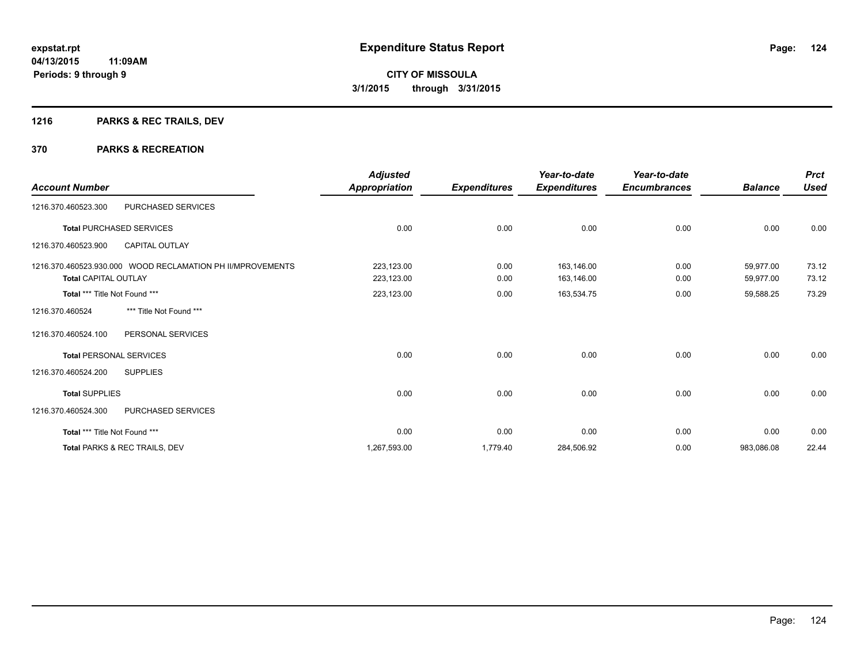## **1216 PARKS & REC TRAILS, DEV**

| <b>Account Number</b>                                                                     | <b>Adjusted</b><br><b>Appropriation</b> | <b>Expenditures</b> | Year-to-date<br><b>Expenditures</b> | Year-to-date<br><b>Encumbrances</b> | <b>Balance</b>         | <b>Prct</b><br><b>Used</b> |
|-------------------------------------------------------------------------------------------|-----------------------------------------|---------------------|-------------------------------------|-------------------------------------|------------------------|----------------------------|
| PURCHASED SERVICES<br>1216.370.460523.300                                                 |                                         |                     |                                     |                                     |                        |                            |
| <b>Total PURCHASED SERVICES</b>                                                           | 0.00                                    | 0.00                | 0.00                                | 0.00                                | 0.00                   | 0.00                       |
| <b>CAPITAL OUTLAY</b><br>1216.370.460523.900                                              |                                         |                     |                                     |                                     |                        |                            |
| 1216.370.460523.930.000 WOOD RECLAMATION PH II/MPROVEMENTS<br><b>Total CAPITAL OUTLAY</b> | 223,123.00<br>223,123.00                | 0.00<br>0.00        | 163,146.00<br>163,146.00            | 0.00<br>0.00                        | 59,977.00<br>59,977.00 | 73.12<br>73.12             |
| Total *** Title Not Found ***                                                             | 223,123.00                              | 0.00                | 163,534.75                          | 0.00                                | 59,588.25              | 73.29                      |
| *** Title Not Found ***<br>1216.370.460524                                                |                                         |                     |                                     |                                     |                        |                            |
| 1216.370.460524.100<br>PERSONAL SERVICES                                                  |                                         |                     |                                     |                                     |                        |                            |
| <b>Total PERSONAL SERVICES</b>                                                            | 0.00                                    | 0.00                | 0.00                                | 0.00                                | 0.00                   | 0.00                       |
| 1216.370.460524.200<br><b>SUPPLIES</b>                                                    |                                         |                     |                                     |                                     |                        |                            |
| <b>Total SUPPLIES</b>                                                                     | 0.00                                    | 0.00                | 0.00                                | 0.00                                | 0.00                   | 0.00                       |
| 1216.370.460524.300<br>PURCHASED SERVICES                                                 |                                         |                     |                                     |                                     |                        |                            |
| Total *** Title Not Found ***                                                             | 0.00                                    | 0.00                | 0.00                                | 0.00                                | 0.00                   | 0.00                       |
| Total PARKS & REC TRAILS, DEV                                                             | 1,267,593.00                            | 1,779.40            | 284,506.92                          | 0.00                                | 983,086.08             | 22.44                      |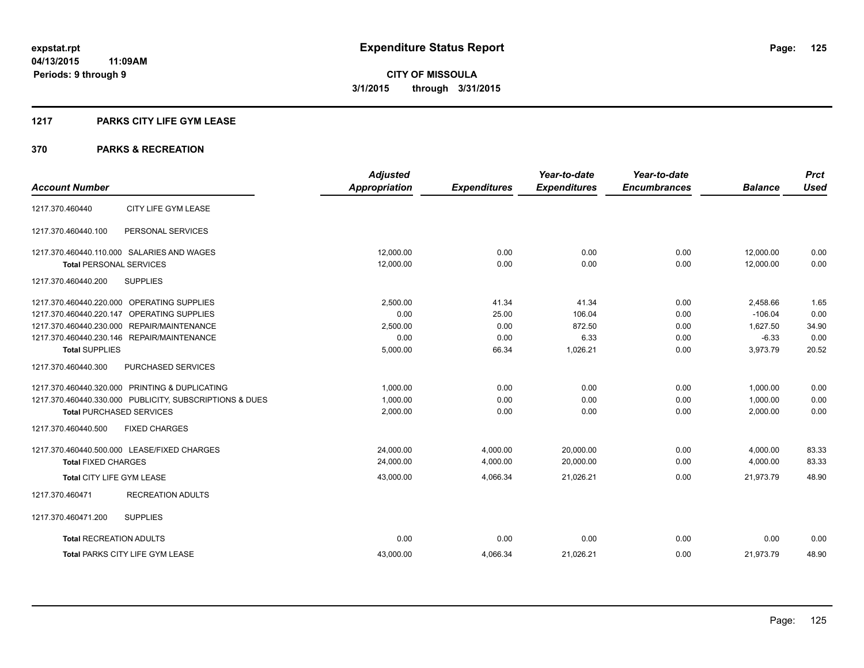### **1217 PARKS CITY LIFE GYM LEASE**

|                                                         | <b>Adjusted</b>      |                     | Year-to-date        | Year-to-date        |                | <b>Prct</b> |
|---------------------------------------------------------|----------------------|---------------------|---------------------|---------------------|----------------|-------------|
| <b>Account Number</b>                                   | <b>Appropriation</b> | <b>Expenditures</b> | <b>Expenditures</b> | <b>Encumbrances</b> | <b>Balance</b> | <b>Used</b> |
| CITY LIFE GYM LEASE<br>1217.370.460440                  |                      |                     |                     |                     |                |             |
| PERSONAL SERVICES<br>1217.370.460440.100                |                      |                     |                     |                     |                |             |
| 1217.370.460440.110.000 SALARIES AND WAGES              | 12,000.00            | 0.00                | 0.00                | 0.00                | 12,000.00      | 0.00        |
| <b>Total PERSONAL SERVICES</b>                          | 12,000.00            | 0.00                | 0.00                | 0.00                | 12,000.00      | 0.00        |
| 1217.370.460440.200<br><b>SUPPLIES</b>                  |                      |                     |                     |                     |                |             |
| 1217.370.460440.220.000 OPERATING SUPPLIES              | 2,500.00             | 41.34               | 41.34               | 0.00                | 2,458.66       | 1.65        |
| 1217.370.460440.220.147 OPERATING SUPPLIES              | 0.00                 | 25.00               | 106.04              | 0.00                | $-106.04$      | 0.00        |
| 1217.370.460440.230.000 REPAIR/MAINTENANCE              | 2,500.00             | 0.00                | 872.50              | 0.00                | 1,627.50       | 34.90       |
| 1217.370.460440.230.146 REPAIR/MAINTENANCE              | 0.00                 | 0.00                | 6.33                | 0.00                | $-6.33$        | 0.00        |
| <b>Total SUPPLIES</b>                                   | 5,000.00             | 66.34               | 1,026.21            | 0.00                | 3,973.79       | 20.52       |
| 1217.370.460440.300<br>PURCHASED SERVICES               |                      |                     |                     |                     |                |             |
| 1217.370.460440.320.000 PRINTING & DUPLICATING          | 1,000.00             | 0.00                | 0.00                | 0.00                | 1,000.00       | 0.00        |
| 1217.370.460440.330.000 PUBLICITY, SUBSCRIPTIONS & DUES | 1,000.00             | 0.00                | 0.00                | 0.00                | 1,000.00       | 0.00        |
| <b>Total PURCHASED SERVICES</b>                         | 2,000.00             | 0.00                | 0.00                | 0.00                | 2,000.00       | 0.00        |
| 1217.370.460440.500<br><b>FIXED CHARGES</b>             |                      |                     |                     |                     |                |             |
| 1217.370.460440.500.000 LEASE/FIXED CHARGES             | 24,000.00            | 4,000.00            | 20,000.00           | 0.00                | 4,000.00       | 83.33       |
| <b>Total FIXED CHARGES</b>                              | 24,000.00            | 4,000.00            | 20,000.00           | 0.00                | 4,000.00       | 83.33       |
| Total CITY LIFE GYM LEASE                               | 43,000.00            | 4,066.34            | 21,026.21           | 0.00                | 21.973.79      | 48.90       |
| <b>RECREATION ADULTS</b><br>1217.370.460471             |                      |                     |                     |                     |                |             |
| 1217.370.460471.200<br><b>SUPPLIES</b>                  |                      |                     |                     |                     |                |             |
| <b>Total RECREATION ADULTS</b>                          | 0.00                 | 0.00                | 0.00                | 0.00                | 0.00           | 0.00        |
| <b>Total PARKS CITY LIFE GYM LEASE</b>                  | 43,000.00            | 4,066.34            | 21,026.21           | 0.00                | 21,973.79      | 48.90       |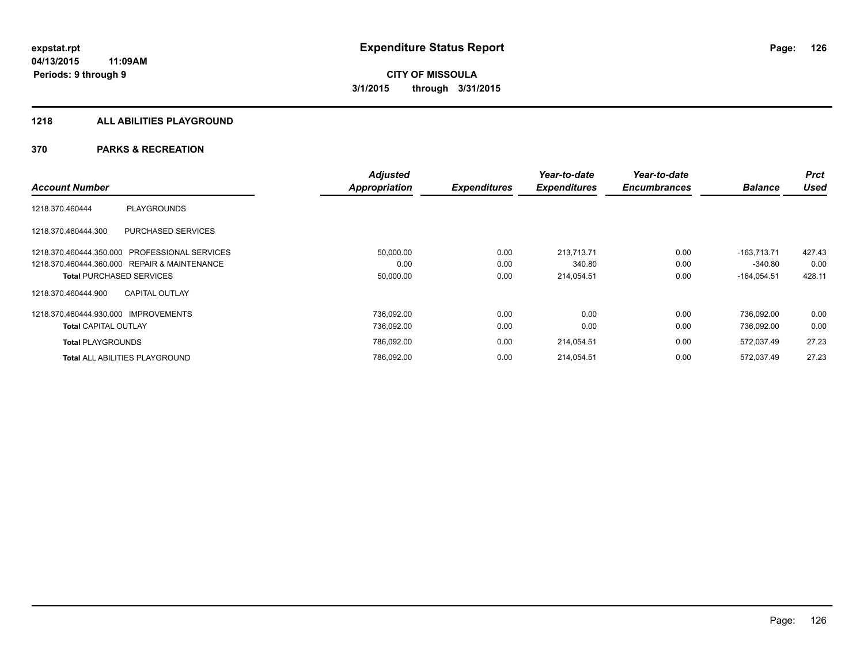#### **1218 ALL ABILITIES PLAYGROUND**

|                                                  | <b>Adjusted</b> |                     | Year-to-date        | Year-to-date        |                | <b>Prct</b> |
|--------------------------------------------------|-----------------|---------------------|---------------------|---------------------|----------------|-------------|
| <b>Account Number</b>                            | Appropriation   | <b>Expenditures</b> | <b>Expenditures</b> | <b>Encumbrances</b> | <b>Balance</b> | <b>Used</b> |
| <b>PLAYGROUNDS</b><br>1218.370.460444            |                 |                     |                     |                     |                |             |
| <b>PURCHASED SERVICES</b><br>1218.370.460444.300 |                 |                     |                     |                     |                |             |
| 1218.370.460444.350.000 PROFESSIONAL SERVICES    | 50,000.00       | 0.00                | 213.713.71          | 0.00                | $-163.713.71$  | 427.43      |
| 1218.370.460444.360.000 REPAIR & MAINTENANCE     | 0.00            | 0.00                | 340.80              | 0.00                | $-340.80$      | 0.00        |
| <b>Total PURCHASED SERVICES</b>                  | 50,000.00       | 0.00                | 214,054.51          | 0.00                | $-164,054.51$  | 428.11      |
| <b>CAPITAL OUTLAY</b><br>1218.370.460444.900     |                 |                     |                     |                     |                |             |
| 1218.370.460444.930.000 IMPROVEMENTS             | 736.092.00      | 0.00                | 0.00                | 0.00                | 736.092.00     | 0.00        |
| <b>Total CAPITAL OUTLAY</b>                      | 736,092.00      | 0.00                | 0.00                | 0.00                | 736,092.00     | 0.00        |
| <b>Total PLAYGROUNDS</b>                         | 786,092.00      | 0.00                | 214,054.51          | 0.00                | 572,037.49     | 27.23       |
| <b>Total ALL ABILITIES PLAYGROUND</b>            | 786,092.00      | 0.00                | 214.054.51          | 0.00                | 572.037.49     | 27.23       |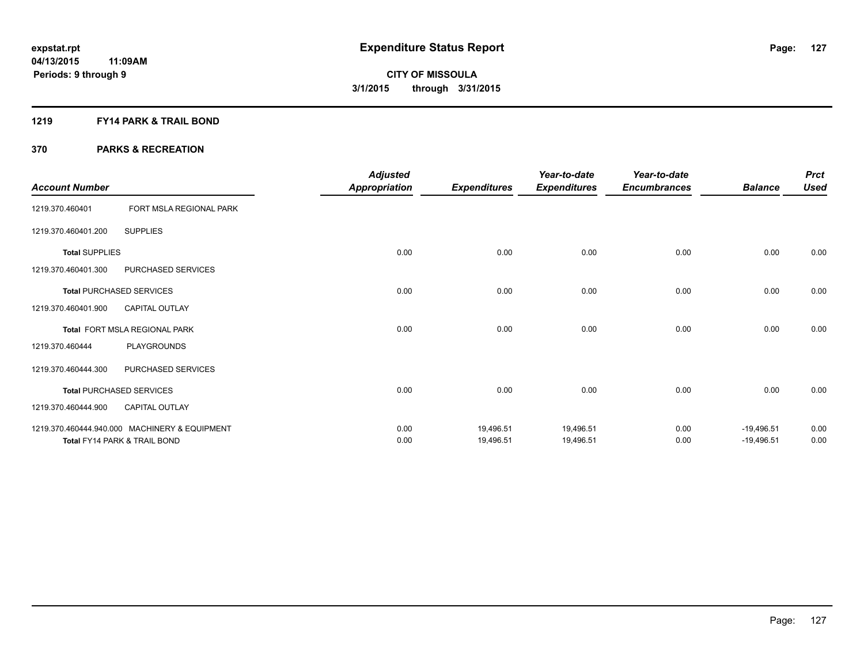### **1219 FY14 PARK & TRAIL BOND**

| <b>Account Number</b> |                                               | <b>Adjusted</b><br><b>Appropriation</b> | <b>Expenditures</b> | Year-to-date<br><b>Expenditures</b> | Year-to-date<br><b>Encumbrances</b> | <b>Balance</b> | <b>Prct</b><br><b>Used</b> |
|-----------------------|-----------------------------------------------|-----------------------------------------|---------------------|-------------------------------------|-------------------------------------|----------------|----------------------------|
| 1219.370.460401       | FORT MSLA REGIONAL PARK                       |                                         |                     |                                     |                                     |                |                            |
| 1219.370.460401.200   | <b>SUPPLIES</b>                               |                                         |                     |                                     |                                     |                |                            |
| <b>Total SUPPLIES</b> |                                               | 0.00                                    | 0.00                | 0.00                                | 0.00                                | 0.00           | 0.00                       |
| 1219.370.460401.300   | PURCHASED SERVICES                            |                                         |                     |                                     |                                     |                |                            |
|                       | <b>Total PURCHASED SERVICES</b>               | 0.00                                    | 0.00                | 0.00                                | 0.00                                | 0.00           | 0.00                       |
| 1219.370.460401.900   | <b>CAPITAL OUTLAY</b>                         |                                         |                     |                                     |                                     |                |                            |
|                       | Total FORT MSLA REGIONAL PARK                 | 0.00                                    | 0.00                | 0.00                                | 0.00                                | 0.00           | 0.00                       |
| 1219.370.460444       | <b>PLAYGROUNDS</b>                            |                                         |                     |                                     |                                     |                |                            |
| 1219.370.460444.300   | PURCHASED SERVICES                            |                                         |                     |                                     |                                     |                |                            |
|                       | <b>Total PURCHASED SERVICES</b>               | 0.00                                    | 0.00                | 0.00                                | 0.00                                | 0.00           | 0.00                       |
| 1219.370.460444.900   | <b>CAPITAL OUTLAY</b>                         |                                         |                     |                                     |                                     |                |                            |
|                       | 1219.370.460444.940.000 MACHINERY & EQUIPMENT | 0.00                                    | 19,496.51           | 19,496.51                           | 0.00                                | $-19,496.51$   | 0.00                       |
|                       | Total FY14 PARK & TRAIL BOND                  | 0.00                                    | 19,496.51           | 19,496.51                           | 0.00                                | $-19,496.51$   | 0.00                       |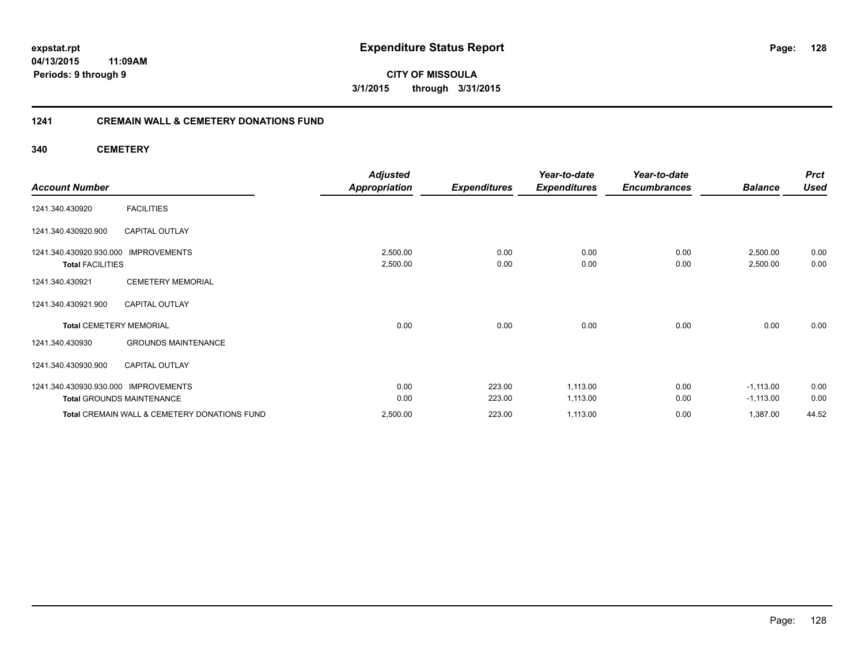**04/13/2015 11:09AM Periods: 9 through 9**

**CITY OF MISSOULA 3/1/2015 through 3/31/2015**

### **1241 CREMAIN WALL & CEMETERY DONATIONS FUND**

**340 CEMETERY**

| <b>Account Number</b>                                                     | <b>Adjusted</b><br><b>Appropriation</b> | <b>Expenditures</b> | Year-to-date<br><b>Expenditures</b> | Year-to-date<br><b>Encumbrances</b> | <b>Balance</b>             | <b>Prct</b><br><b>Used</b> |
|---------------------------------------------------------------------------|-----------------------------------------|---------------------|-------------------------------------|-------------------------------------|----------------------------|----------------------------|
| <b>FACILITIES</b><br>1241.340.430920                                      |                                         |                     |                                     |                                     |                            |                            |
| 1241.340.430920.900<br><b>CAPITAL OUTLAY</b>                              |                                         |                     |                                     |                                     |                            |                            |
| 1241.340.430920.930.000<br><b>IMPROVEMENTS</b><br><b>Total FACILITIES</b> | 2,500.00<br>2,500.00                    | 0.00<br>0.00        | 0.00<br>0.00                        | 0.00<br>0.00                        | 2,500.00<br>2,500.00       | 0.00<br>0.00               |
| <b>CEMETERY MEMORIAL</b><br>1241.340.430921                               |                                         |                     |                                     |                                     |                            |                            |
| 1241.340.430921.900<br><b>CAPITAL OUTLAY</b>                              |                                         |                     |                                     |                                     |                            |                            |
| <b>Total CEMETERY MEMORIAL</b>                                            | 0.00                                    | 0.00                | 0.00                                | 0.00                                | 0.00                       | 0.00                       |
| <b>GROUNDS MAINTENANCE</b><br>1241.340.430930                             |                                         |                     |                                     |                                     |                            |                            |
| 1241.340.430930.900<br><b>CAPITAL OUTLAY</b>                              |                                         |                     |                                     |                                     |                            |                            |
| 1241.340.430930.930.000 IMPROVEMENTS<br><b>Total GROUNDS MAINTENANCE</b>  | 0.00<br>0.00                            | 223.00<br>223.00    | 1,113.00<br>1,113.00                | 0.00<br>0.00                        | $-1,113.00$<br>$-1,113.00$ | 0.00<br>0.00               |
| Total CREMAIN WALL & CEMETERY DONATIONS FUND                              | 2,500.00                                | 223.00              | 1,113.00                            | 0.00                                | 1,387.00                   | 44.52                      |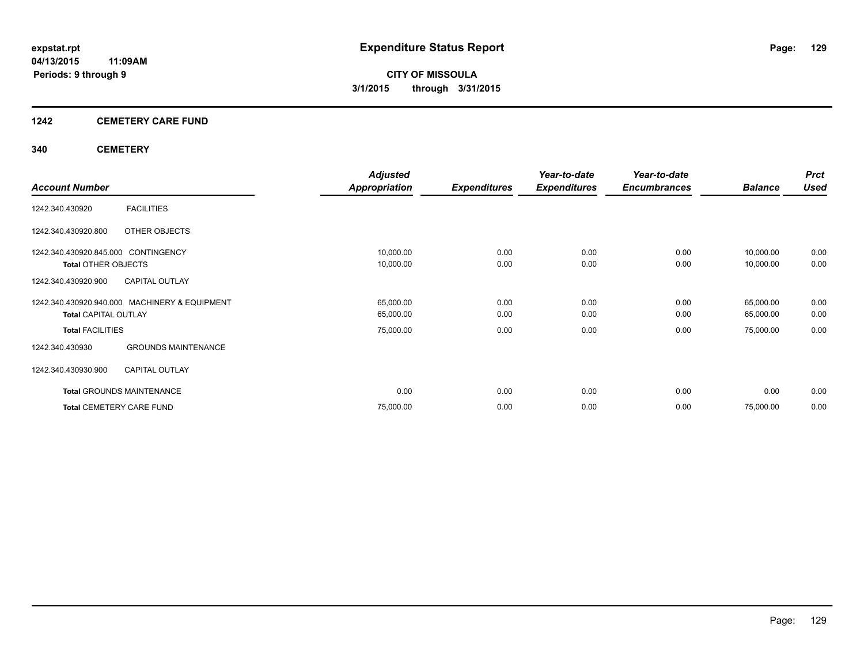### **1242 CEMETERY CARE FUND**

### **340 CEMETERY**

|                                               |                            | <b>Adjusted</b>      |                     | Year-to-date        | Year-to-date        |                | <b>Prct</b> |
|-----------------------------------------------|----------------------------|----------------------|---------------------|---------------------|---------------------|----------------|-------------|
| <b>Account Number</b>                         |                            | <b>Appropriation</b> | <b>Expenditures</b> | <b>Expenditures</b> | <b>Encumbrances</b> | <b>Balance</b> | <b>Used</b> |
| <b>FACILITIES</b><br>1242.340.430920          |                            |                      |                     |                     |                     |                |             |
| OTHER OBJECTS<br>1242.340.430920.800          |                            |                      |                     |                     |                     |                |             |
| 1242.340.430920.845.000 CONTINGENCY           |                            | 10,000.00            | 0.00                | 0.00                | 0.00                | 10,000.00      | 0.00        |
| <b>Total OTHER OBJECTS</b>                    |                            | 10,000.00            | 0.00                | 0.00                | 0.00                | 10,000.00      | 0.00        |
| <b>CAPITAL OUTLAY</b><br>1242.340.430920.900  |                            |                      |                     |                     |                     |                |             |
| 1242.340.430920.940.000 MACHINERY & EQUIPMENT |                            | 65,000.00            | 0.00                | 0.00                | 0.00                | 65,000.00      | 0.00        |
| <b>Total CAPITAL OUTLAY</b>                   |                            | 65,000.00            | 0.00                | 0.00                | 0.00                | 65,000.00      | 0.00        |
| <b>Total FACILITIES</b>                       |                            | 75,000.00            | 0.00                | 0.00                | 0.00                | 75,000.00      | 0.00        |
| 1242.340.430930                               | <b>GROUNDS MAINTENANCE</b> |                      |                     |                     |                     |                |             |
| <b>CAPITAL OUTLAY</b><br>1242.340.430930.900  |                            |                      |                     |                     |                     |                |             |
| <b>Total GROUNDS MAINTENANCE</b>              |                            | 0.00                 | 0.00                | 0.00                | 0.00                | 0.00           | 0.00        |
| <b>Total CEMETERY CARE FUND</b>               |                            | 75,000.00            | 0.00                | 0.00                | 0.00                | 75,000.00      | 0.00        |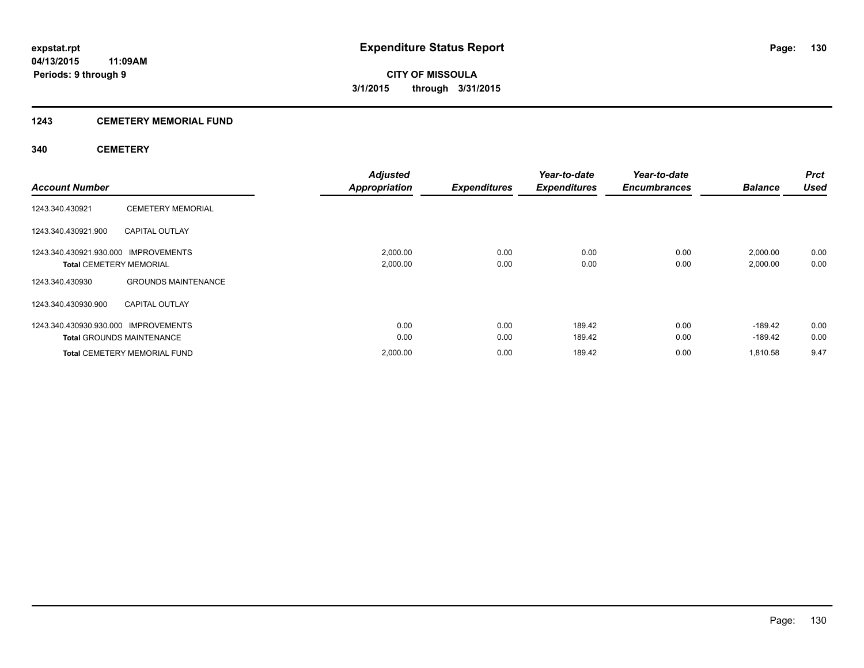### **1243 CEMETERY MEMORIAL FUND**

### **340 CEMETERY**

| <b>Account Number</b>                                                  |                                                                         | <b>Adjusted</b><br><b>Appropriation</b> | <b>Expenditures</b> | Year-to-date<br><b>Expenditures</b> | Year-to-date<br><b>Encumbrances</b> | <b>Balance</b>        | <b>Prct</b><br><b>Used</b> |
|------------------------------------------------------------------------|-------------------------------------------------------------------------|-----------------------------------------|---------------------|-------------------------------------|-------------------------------------|-----------------------|----------------------------|
| 1243.340.430921                                                        | <b>CEMETERY MEMORIAL</b>                                                |                                         |                     |                                     |                                     |                       |                            |
| 1243.340.430921.900                                                    | <b>CAPITAL OUTLAY</b>                                                   |                                         |                     |                                     |                                     |                       |                            |
| 1243.340.430921.930.000 IMPROVEMENTS<br><b>Total CEMETERY MEMORIAL</b> |                                                                         | 2,000.00<br>2,000.00                    | 0.00<br>0.00        | 0.00<br>0.00                        | 0.00<br>0.00                        | 2,000.00<br>2,000.00  | 0.00<br>0.00               |
| 1243.340.430930<br>1243.340.430930.900                                 | <b>GROUNDS MAINTENANCE</b><br><b>CAPITAL OUTLAY</b>                     |                                         |                     |                                     |                                     |                       |                            |
| 1243.340.430930.930.000 IMPROVEMENTS                                   |                                                                         | 0.00                                    | 0.00                | 189.42                              | 0.00                                | $-189.42$             | 0.00                       |
|                                                                        | <b>Total GROUNDS MAINTENANCE</b><br><b>Total CEMETERY MEMORIAL FUND</b> | 0.00<br>2,000.00                        | 0.00<br>0.00        | 189.42<br>189.42                    | 0.00<br>0.00                        | $-189.42$<br>1.810.58 | 0.00<br>9.47               |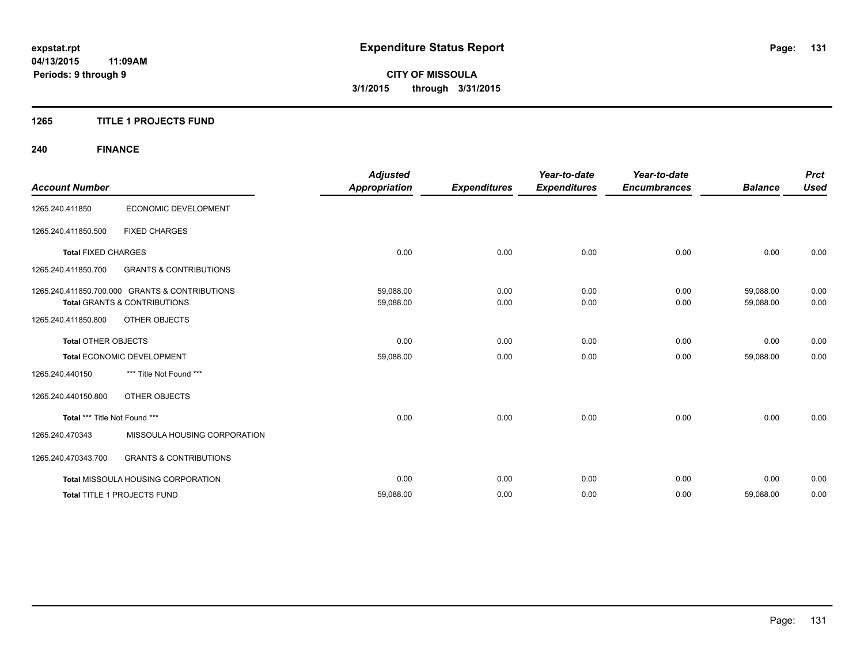### **1265 TITLE 1 PROJECTS FUND**

## **240 FINANCE**

| <b>Account Number</b>         |                                                | <b>Adjusted</b><br><b>Appropriation</b> | <b>Expenditures</b> | Year-to-date<br><b>Expenditures</b> | Year-to-date<br><b>Encumbrances</b> | <b>Balance</b> | <b>Prct</b><br><b>Used</b> |
|-------------------------------|------------------------------------------------|-----------------------------------------|---------------------|-------------------------------------|-------------------------------------|----------------|----------------------------|
|                               |                                                |                                         |                     |                                     |                                     |                |                            |
| 1265.240.411850               | ECONOMIC DEVELOPMENT                           |                                         |                     |                                     |                                     |                |                            |
| 1265.240.411850.500           | <b>FIXED CHARGES</b>                           |                                         |                     |                                     |                                     |                |                            |
| <b>Total FIXED CHARGES</b>    |                                                | 0.00                                    | 0.00                | 0.00                                | 0.00                                | 0.00           | 0.00                       |
| 1265.240.411850.700           | <b>GRANTS &amp; CONTRIBUTIONS</b>              |                                         |                     |                                     |                                     |                |                            |
|                               | 1265.240.411850.700.000 GRANTS & CONTRIBUTIONS | 59,088.00                               | 0.00                | 0.00                                | 0.00                                | 59,088.00      | 0.00                       |
|                               | <b>Total GRANTS &amp; CONTRIBUTIONS</b>        | 59,088.00                               | 0.00                | 0.00                                | 0.00                                | 59,088.00      | 0.00                       |
| 1265.240.411850.800           | OTHER OBJECTS                                  |                                         |                     |                                     |                                     |                |                            |
| <b>Total OTHER OBJECTS</b>    |                                                | 0.00                                    | 0.00                | 0.00                                | 0.00                                | 0.00           | 0.00                       |
|                               | Total ECONOMIC DEVELOPMENT                     | 59,088.00                               | 0.00                | 0.00                                | 0.00                                | 59,088.00      | 0.00                       |
| 1265.240.440150               | *** Title Not Found ***                        |                                         |                     |                                     |                                     |                |                            |
| 1265.240.440150.800           | OTHER OBJECTS                                  |                                         |                     |                                     |                                     |                |                            |
| Total *** Title Not Found *** |                                                | 0.00                                    | 0.00                | 0.00                                | 0.00                                | 0.00           | 0.00                       |
| 1265.240.470343               | MISSOULA HOUSING CORPORATION                   |                                         |                     |                                     |                                     |                |                            |
| 1265.240.470343.700           | <b>GRANTS &amp; CONTRIBUTIONS</b>              |                                         |                     |                                     |                                     |                |                            |
|                               | <b>Total MISSOULA HOUSING CORPORATION</b>      | 0.00                                    | 0.00                | 0.00                                | 0.00                                | 0.00           | 0.00                       |
|                               | Total TITLE 1 PROJECTS FUND                    | 59,088.00                               | 0.00                | 0.00                                | 0.00                                | 59,088.00      | 0.00                       |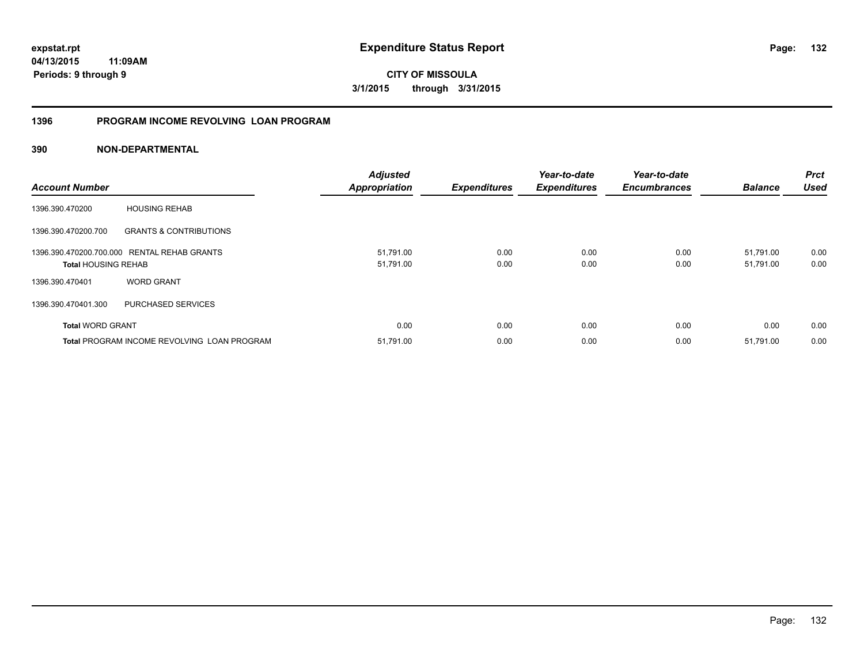**132**

**04/13/2015 11:09AM Periods: 9 through 9**

**CITY OF MISSOULA 3/1/2015 through 3/31/2015**

### **1396 PROGRAM INCOME REVOLVING LOAN PROGRAM**

| <b>Account Number</b>      |                                                    | <b>Adjusted</b><br><b>Appropriation</b> | <b>Expenditures</b> | Year-to-date<br><b>Expenditures</b> | Year-to-date<br><b>Encumbrances</b> | <b>Balance</b>         | <b>Prct</b><br>Used |
|----------------------------|----------------------------------------------------|-----------------------------------------|---------------------|-------------------------------------|-------------------------------------|------------------------|---------------------|
| 1396.390.470200            | <b>HOUSING REHAB</b>                               |                                         |                     |                                     |                                     |                        |                     |
| 1396.390.470200.700        | <b>GRANTS &amp; CONTRIBUTIONS</b>                  |                                         |                     |                                     |                                     |                        |                     |
| <b>Total HOUSING REHAB</b> | 1396.390.470200.700.000 RENTAL REHAB GRANTS        | 51,791.00<br>51,791.00                  | 0.00<br>0.00        | 0.00<br>0.00                        | 0.00<br>0.00                        | 51.791.00<br>51,791.00 | 0.00<br>0.00        |
| 1396.390.470401            | <b>WORD GRANT</b>                                  |                                         |                     |                                     |                                     |                        |                     |
| 1396.390.470401.300        | PURCHASED SERVICES                                 |                                         |                     |                                     |                                     |                        |                     |
| <b>Total WORD GRANT</b>    |                                                    | 0.00                                    | 0.00                | 0.00                                | 0.00                                | 0.00                   | 0.00                |
|                            | <b>Total PROGRAM INCOME REVOLVING LOAN PROGRAM</b> | 51,791.00                               | 0.00                | 0.00                                | 0.00                                | 51,791.00              | 0.00                |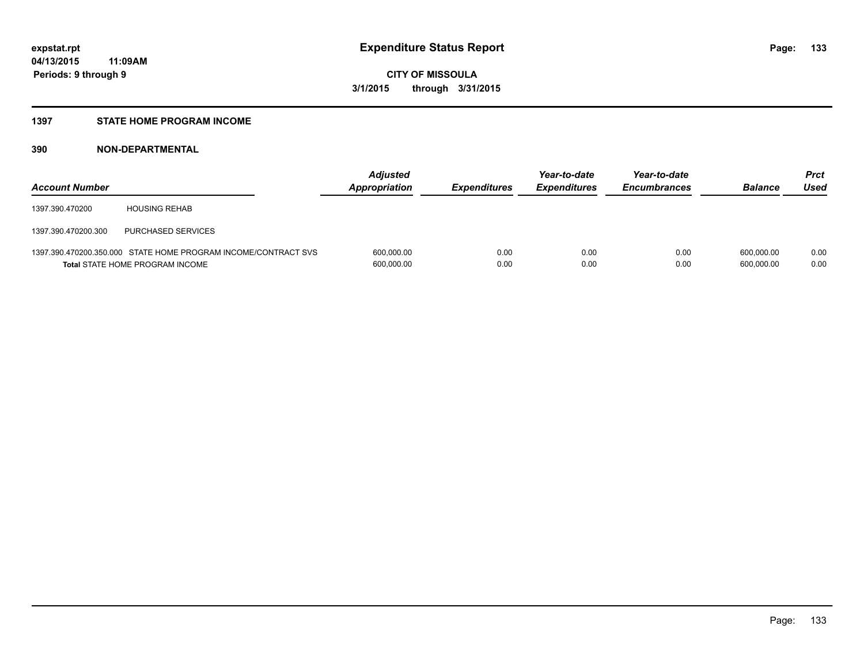#### **1397 STATE HOME PROGRAM INCOME**

| <b>Account Number</b> |                                                                                                          | <b>Adjusted</b><br>Appropriation | <b>Expenditures</b> | Year-to-date<br><b>Expenditures</b> | Year-to-date<br><b>Encumbrances</b> | <b>Balance</b>           | Prct<br>Used |
|-----------------------|----------------------------------------------------------------------------------------------------------|----------------------------------|---------------------|-------------------------------------|-------------------------------------|--------------------------|--------------|
| 1397.390.470200       | <b>HOUSING REHAB</b>                                                                                     |                                  |                     |                                     |                                     |                          |              |
| 1397.390.470200.300   | PURCHASED SERVICES                                                                                       |                                  |                     |                                     |                                     |                          |              |
|                       | 1397.390.470200.350.000 STATE HOME PROGRAM INCOME/CONTRACT SVS<br><b>Total STATE HOME PROGRAM INCOME</b> | 600,000.00<br>600,000.00         | 0.00<br>0.00        | 0.00<br>0.00                        | 0.00<br>0.00                        | 600.000.00<br>600.000.00 | 0.00<br>0.00 |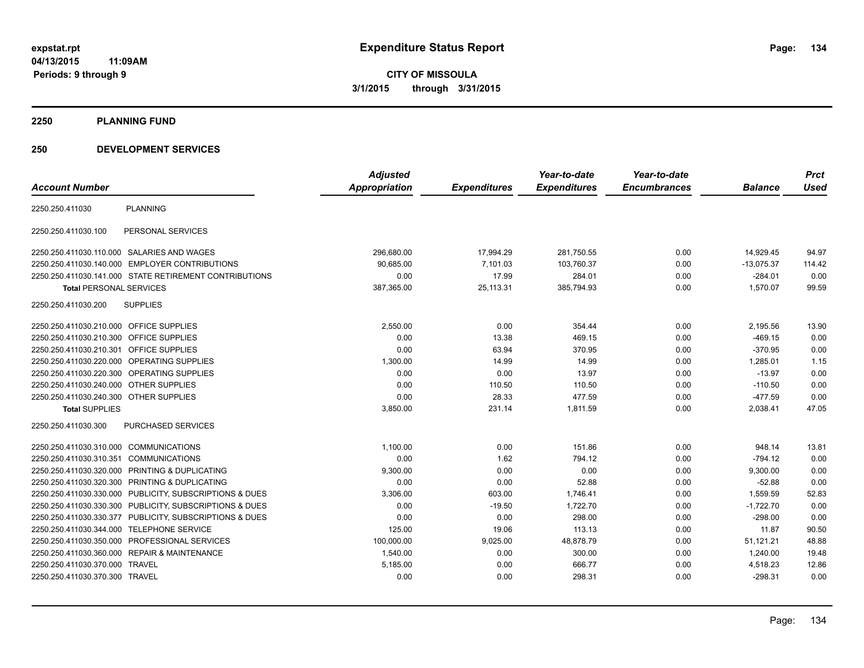**2250 PLANNING FUND**

### **250 DEVELOPMENT SERVICES**

|                                         |                                                         | <b>Adjusted</b>      |                     | Year-to-date        | Year-to-date        |                | <b>Prct</b> |
|-----------------------------------------|---------------------------------------------------------|----------------------|---------------------|---------------------|---------------------|----------------|-------------|
| <b>Account Number</b>                   |                                                         | <b>Appropriation</b> | <b>Expenditures</b> | <b>Expenditures</b> | <b>Encumbrances</b> | <b>Balance</b> | <b>Used</b> |
| 2250.250.411030                         | <b>PLANNING</b>                                         |                      |                     |                     |                     |                |             |
| 2250.250.411030.100                     | PERSONAL SERVICES                                       |                      |                     |                     |                     |                |             |
|                                         | 2250.250.411030.110.000 SALARIES AND WAGES              | 296,680.00           | 17,994.29           | 281,750.55          | 0.00                | 14,929.45      | 94.97       |
|                                         | 2250.250.411030.140.000 EMPLOYER CONTRIBUTIONS          | 90.685.00            | 7,101.03            | 103,760.37          | 0.00                | $-13,075.37$   | 114.42      |
|                                         | 2250.250.411030.141.000 STATE RETIREMENT CONTRIBUTIONS  | 0.00                 | 17.99               | 284.01              | 0.00                | $-284.01$      | 0.00        |
| <b>Total PERSONAL SERVICES</b>          |                                                         | 387,365.00           | 25,113.31           | 385,794.93          | 0.00                | 1,570.07       | 99.59       |
| 2250.250.411030.200                     | <b>SUPPLIES</b>                                         |                      |                     |                     |                     |                |             |
| 2250.250.411030.210.000 OFFICE SUPPLIES |                                                         | 2,550.00             | 0.00                | 354.44              | 0.00                | 2,195.56       | 13.90       |
| 2250.250.411030.210.300 OFFICE SUPPLIES |                                                         | 0.00                 | 13.38               | 469.15              | 0.00                | $-469.15$      | 0.00        |
| 2250.250.411030.210.301 OFFICE SUPPLIES |                                                         | 0.00                 | 63.94               | 370.95              | 0.00                | $-370.95$      | 0.00        |
|                                         | 2250.250.411030.220.000 OPERATING SUPPLIES              | 1,300.00             | 14.99               | 14.99               | 0.00                | 1,285.01       | 1.15        |
|                                         | 2250.250.411030.220.300 OPERATING SUPPLIES              | 0.00                 | 0.00                | 13.97               | 0.00                | $-13.97$       | 0.00        |
| 2250.250.411030.240.000 OTHER SUPPLIES  |                                                         | 0.00                 | 110.50              | 110.50              | 0.00                | $-110.50$      | 0.00        |
| 2250.250.411030.240.300 OTHER SUPPLIES  |                                                         | 0.00                 | 28.33               | 477.59              | 0.00                | $-477.59$      | 0.00        |
| <b>Total SUPPLIES</b>                   |                                                         | 3,850.00             | 231.14              | 1,811.59            | 0.00                | 2,038.41       | 47.05       |
| 2250.250.411030.300                     | PURCHASED SERVICES                                      |                      |                     |                     |                     |                |             |
| 2250.250.411030.310.000 COMMUNICATIONS  |                                                         | 1,100.00             | 0.00                | 151.86              | 0.00                | 948.14         | 13.81       |
| 2250.250.411030.310.351 COMMUNICATIONS  |                                                         | 0.00                 | 1.62                | 794.12              | 0.00                | $-794.12$      | 0.00        |
| 2250.250.411030.320.000                 | PRINTING & DUPLICATING                                  | 9,300.00             | 0.00                | 0.00                | 0.00                | 9,300.00       | 0.00        |
| 2250.250.411030.320.300                 | PRINTING & DUPLICATING                                  | 0.00                 | 0.00                | 52.88               | 0.00                | $-52.88$       | 0.00        |
| 2250.250.411030.330.000                 | PUBLICITY, SUBSCRIPTIONS & DUES                         | 3,306.00             | 603.00              | 1,746.41            | 0.00                | 1,559.59       | 52.83       |
|                                         | 2250.250.411030.330.300 PUBLICITY, SUBSCRIPTIONS & DUES | 0.00                 | $-19.50$            | 1,722.70            | 0.00                | $-1,722.70$    | 0.00        |
|                                         | 2250.250.411030.330.377 PUBLICITY, SUBSCRIPTIONS & DUES | 0.00                 | 0.00                | 298.00              | 0.00                | $-298.00$      | 0.00        |
| 2250.250.411030.344.000                 | <b>TELEPHONE SERVICE</b>                                | 125.00               | 19.06               | 113.13              | 0.00                | 11.87          | 90.50       |
| 2250.250.411030.350.000                 | PROFESSIONAL SERVICES                                   | 100,000.00           | 9,025.00            | 48,878.79           | 0.00                | 51,121.21      | 48.88       |
|                                         | 2250.250.411030.360.000 REPAIR & MAINTENANCE            | 1,540.00             | 0.00                | 300.00              | 0.00                | 1,240.00       | 19.48       |
| 2250.250.411030.370.000 TRAVEL          |                                                         | 5,185.00             | 0.00                | 666.77              | 0.00                | 4,518.23       | 12.86       |
| 2250.250.411030.370.300 TRAVEL          |                                                         | 0.00                 | 0.00                | 298.31              | 0.00                | $-298.31$      | 0.00        |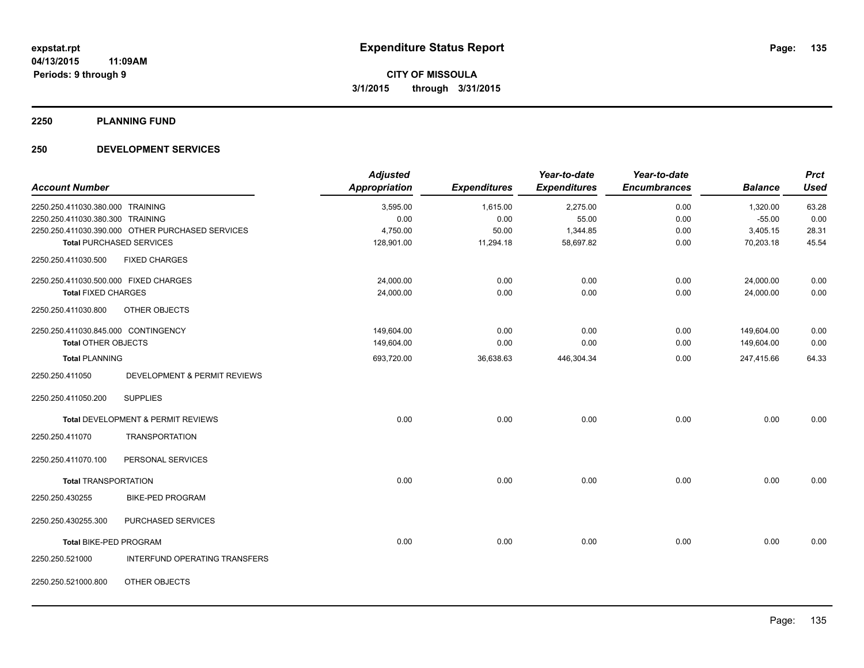**2250 PLANNING FUND**

### **250 DEVELOPMENT SERVICES**

|                                       |                                                  | <b>Adjusted</b>      |                     | Year-to-date        | Year-to-date        |                | <b>Prct</b> |
|---------------------------------------|--------------------------------------------------|----------------------|---------------------|---------------------|---------------------|----------------|-------------|
| <b>Account Number</b>                 |                                                  | <b>Appropriation</b> | <b>Expenditures</b> | <b>Expenditures</b> | <b>Encumbrances</b> | <b>Balance</b> | <b>Used</b> |
| 2250.250.411030.380.000 TRAINING      |                                                  | 3,595.00             | 1,615.00            | 2,275.00            | 0.00                | 1,320.00       | 63.28       |
| 2250.250.411030.380.300 TRAINING      |                                                  | 0.00                 | 0.00                | 55.00               | 0.00                | $-55.00$       | 0.00        |
|                                       | 2250.250.411030.390.000 OTHER PURCHASED SERVICES | 4,750.00             | 50.00               | 1,344.85            | 0.00                | 3,405.15       | 28.31       |
|                                       | <b>Total PURCHASED SERVICES</b>                  | 128,901.00           | 11,294.18           | 58,697.82           | 0.00                | 70,203.18      | 45.54       |
| 2250.250.411030.500                   | <b>FIXED CHARGES</b>                             |                      |                     |                     |                     |                |             |
| 2250.250.411030.500.000 FIXED CHARGES |                                                  | 24,000.00            | 0.00                | 0.00                | 0.00                | 24,000.00      | 0.00        |
| <b>Total FIXED CHARGES</b>            |                                                  | 24,000.00            | 0.00                | 0.00                | 0.00                | 24,000.00      | 0.00        |
| 2250.250.411030.800                   | OTHER OBJECTS                                    |                      |                     |                     |                     |                |             |
| 2250.250.411030.845.000 CONTINGENCY   |                                                  | 149,604.00           | 0.00                | 0.00                | 0.00                | 149,604.00     | 0.00        |
| <b>Total OTHER OBJECTS</b>            |                                                  | 149,604.00           | 0.00                | 0.00                | 0.00                | 149,604.00     | 0.00        |
| <b>Total PLANNING</b>                 |                                                  | 693,720.00           | 36,638.63           | 446,304.34          | 0.00                | 247,415.66     | 64.33       |
| 2250.250.411050                       | DEVELOPMENT & PERMIT REVIEWS                     |                      |                     |                     |                     |                |             |
| 2250.250.411050.200                   | <b>SUPPLIES</b>                                  |                      |                     |                     |                     |                |             |
|                                       | Total DEVELOPMENT & PERMIT REVIEWS               | 0.00                 | 0.00                | 0.00                | 0.00                | 0.00           | 0.00        |
| 2250.250.411070                       | <b>TRANSPORTATION</b>                            |                      |                     |                     |                     |                |             |
| 2250.250.411070.100                   | PERSONAL SERVICES                                |                      |                     |                     |                     |                |             |
| <b>Total TRANSPORTATION</b>           |                                                  | 0.00                 | 0.00                | 0.00                | 0.00                | 0.00           | 0.00        |
| 2250.250.430255                       | <b>BIKE-PED PROGRAM</b>                          |                      |                     |                     |                     |                |             |
| 2250.250.430255.300                   | PURCHASED SERVICES                               |                      |                     |                     |                     |                |             |
| Total BIKE-PED PROGRAM                |                                                  | 0.00                 | 0.00                | 0.00                | 0.00                | 0.00           | 0.00        |
| 2250.250.521000                       | INTERFUND OPERATING TRANSFERS                    |                      |                     |                     |                     |                |             |
| 2250.250.521000.800                   | OTHER OBJECTS                                    |                      |                     |                     |                     |                |             |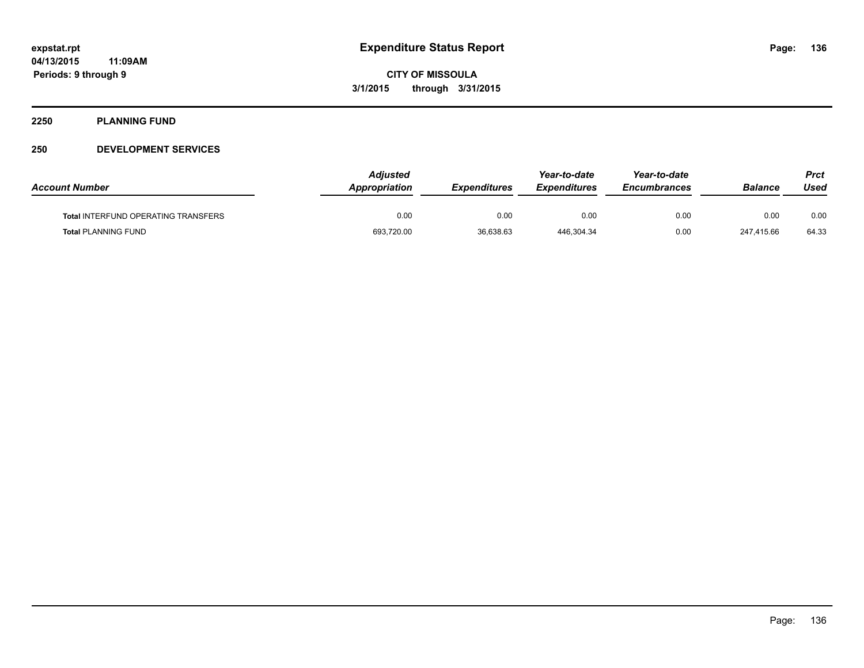#### **2250 PLANNING FUND**

### **250 DEVELOPMENT SERVICES**

| <b>Account Number</b>                      | <b>Adjusted</b><br>Appropriation | <b>Expenditures</b> | Year-to-date<br><b>Expenditures</b> | Year-to-date<br><b>Encumbrances</b> | <b>Balance</b> | Prct<br>Used |
|--------------------------------------------|----------------------------------|---------------------|-------------------------------------|-------------------------------------|----------------|--------------|
| <b>Total INTERFUND OPERATING TRANSFERS</b> | 0.00                             | 0.00                | 0.00                                | 0.00                                | 0.00           | 0.00         |
| <b>Total PLANNING FUND</b>                 | 693,720.00                       | 36,638.63           | 446,304.34                          | 0.00                                | 247,415.66     | 64.33        |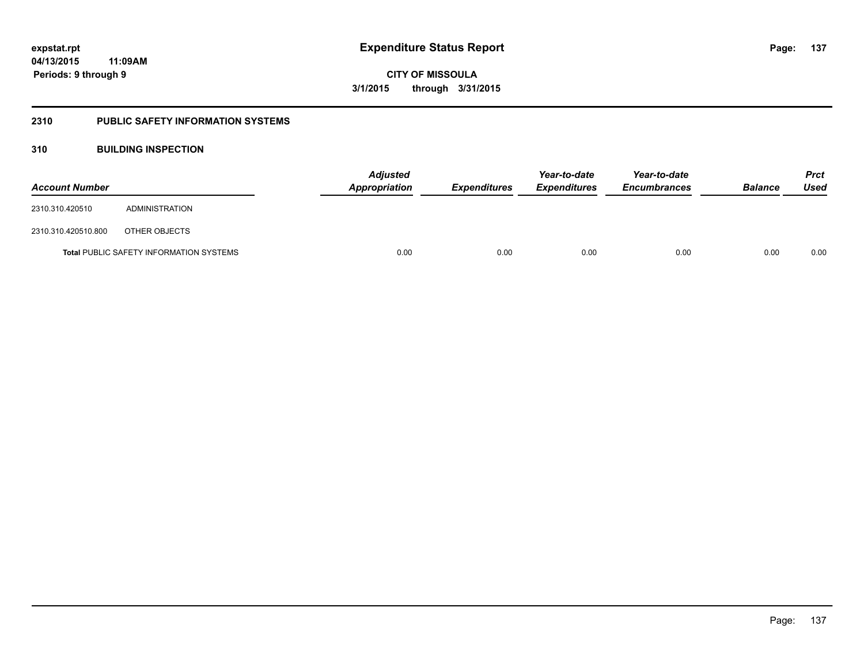### **2310 PUBLIC SAFETY INFORMATION SYSTEMS**

### **310 BUILDING INSPECTION**

| <b>Account Number</b> |                                                | <b>Adjusted</b><br>Appropriation | <b>Expenditures</b> | Year-to-date<br><b>Expenditures</b> | Year-to-date<br><b>Encumbrances</b> | <b>Balance</b> | <b>Prct</b><br>Used |
|-----------------------|------------------------------------------------|----------------------------------|---------------------|-------------------------------------|-------------------------------------|----------------|---------------------|
| 2310.310.420510       | ADMINISTRATION                                 |                                  |                     |                                     |                                     |                |                     |
| 2310.310.420510.800   | OTHER OBJECTS                                  |                                  |                     |                                     |                                     |                |                     |
|                       | <b>Total PUBLIC SAFETY INFORMATION SYSTEMS</b> | 0.00                             | 0.00                | 0.00                                | 0.00                                | 0.00           | 0.00                |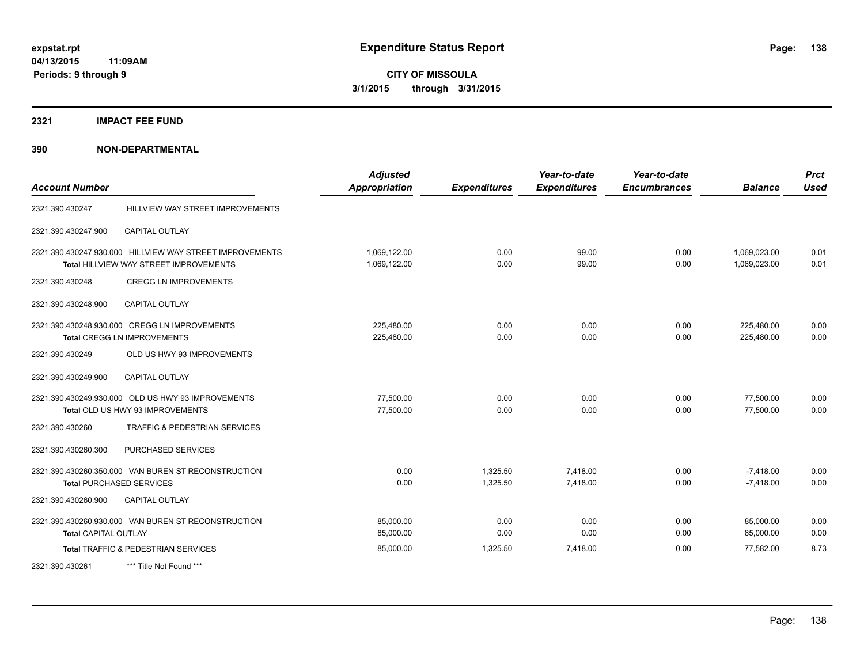### **2321 IMPACT FEE FUND**

| <b>Account Number</b>       |                                                                                                           | <b>Adjusted</b><br><b>Appropriation</b> | <b>Expenditures</b>  | Year-to-date<br><b>Expenditures</b> | Year-to-date<br><b>Encumbrances</b> | <b>Balance</b>               | <b>Prct</b><br><b>Used</b> |
|-----------------------------|-----------------------------------------------------------------------------------------------------------|-----------------------------------------|----------------------|-------------------------------------|-------------------------------------|------------------------------|----------------------------|
| 2321.390.430247             | HILLVIEW WAY STREET IMPROVEMENTS                                                                          |                                         |                      |                                     |                                     |                              |                            |
| 2321.390.430247.900         | <b>CAPITAL OUTLAY</b>                                                                                     |                                         |                      |                                     |                                     |                              |                            |
|                             | 2321.390.430247.930.000 HILLVIEW WAY STREET IMPROVEMENTS<br><b>Total HILLVIEW WAY STREET IMPROVEMENTS</b> | 1,069,122.00<br>1,069,122.00            | 0.00<br>0.00         | 99.00<br>99.00                      | 0.00<br>0.00                        | 1,069,023.00<br>1.069.023.00 | 0.01<br>0.01               |
| 2321.390.430248             | <b>CREGG LN IMPROVEMENTS</b>                                                                              |                                         |                      |                                     |                                     |                              |                            |
| 2321.390.430248.900         | <b>CAPITAL OUTLAY</b>                                                                                     |                                         |                      |                                     |                                     |                              |                            |
|                             | 2321.390.430248.930.000 CREGG LN IMPROVEMENTS<br><b>Total CREGG LN IMPROVEMENTS</b>                       | 225,480.00<br>225,480.00                | 0.00<br>0.00         | 0.00<br>0.00                        | 0.00<br>0.00                        | 225,480.00<br>225,480.00     | 0.00<br>0.00               |
| 2321.390.430249             | OLD US HWY 93 IMPROVEMENTS                                                                                |                                         |                      |                                     |                                     |                              |                            |
| 2321.390.430249.900         | <b>CAPITAL OUTLAY</b>                                                                                     |                                         |                      |                                     |                                     |                              |                            |
|                             | 2321.390.430249.930.000 OLD US HWY 93 IMPROVEMENTS<br>Total OLD US HWY 93 IMPROVEMENTS                    | 77.500.00<br>77,500.00                  | 0.00<br>0.00         | 0.00<br>0.00                        | 0.00<br>0.00                        | 77,500.00<br>77,500.00       | 0.00<br>0.00               |
| 2321.390.430260             | TRAFFIC & PEDESTRIAN SERVICES                                                                             |                                         |                      |                                     |                                     |                              |                            |
| 2321.390.430260.300         | PURCHASED SERVICES                                                                                        |                                         |                      |                                     |                                     |                              |                            |
|                             | 2321.390.430260.350.000 VAN BUREN ST RECONSTRUCTION<br><b>Total PURCHASED SERVICES</b>                    | 0.00<br>0.00                            | 1,325.50<br>1,325.50 | 7,418.00<br>7,418.00                | 0.00<br>0.00                        | $-7,418.00$<br>$-7,418.00$   | 0.00<br>0.00               |
| 2321.390.430260.900         | <b>CAPITAL OUTLAY</b>                                                                                     |                                         |                      |                                     |                                     |                              |                            |
| <b>Total CAPITAL OUTLAY</b> | 2321.390.430260.930.000 VAN BUREN ST RECONSTRUCTION                                                       | 85,000.00<br>85,000.00                  | 0.00<br>0.00         | 0.00<br>0.00                        | 0.00<br>0.00                        | 85,000.00<br>85,000.00       | 0.00<br>0.00               |
|                             | Total TRAFFIC & PEDESTRIAN SERVICES                                                                       | 85,000.00                               | 1,325.50             | 7,418.00                            | 0.00                                | 77,582.00                    | 8.73                       |
| 2321.390.430261             | *** Title Not Found ***                                                                                   |                                         |                      |                                     |                                     |                              |                            |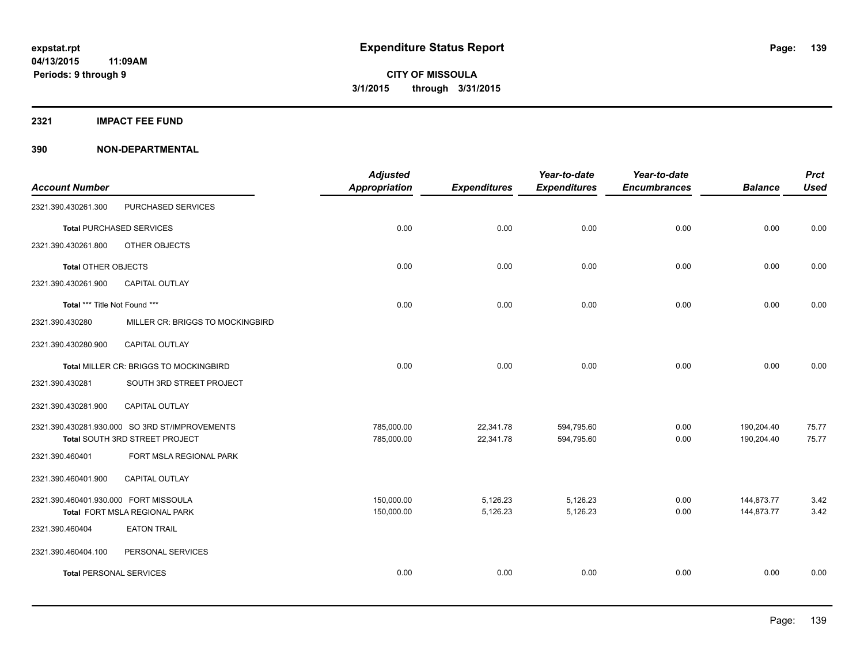**2321 IMPACT FEE FUND**

|                                                | <b>Adjusted</b>                                                                                                                        |                                                    | Year-to-date                                     | Year-to-date                                      |                                             | <b>Prct</b><br><b>Used</b>                   |
|------------------------------------------------|----------------------------------------------------------------------------------------------------------------------------------------|----------------------------------------------------|--------------------------------------------------|---------------------------------------------------|---------------------------------------------|----------------------------------------------|
|                                                |                                                                                                                                        |                                                    |                                                  |                                                   |                                             |                                              |
|                                                |                                                                                                                                        |                                                    |                                                  |                                                   |                                             | 0.00                                         |
|                                                |                                                                                                                                        |                                                    |                                                  |                                                   |                                             |                                              |
|                                                |                                                                                                                                        |                                                    |                                                  |                                                   |                                             |                                              |
|                                                |                                                                                                                                        |                                                    |                                                  |                                                   |                                             | 0.00                                         |
| <b>CAPITAL OUTLAY</b>                          |                                                                                                                                        |                                                    |                                                  |                                                   |                                             |                                              |
| Total *** Title Not Found ***                  | 0.00                                                                                                                                   | 0.00                                               | 0.00                                             | 0.00                                              | 0.00                                        | 0.00                                         |
| MILLER CR: BRIGGS TO MOCKINGBIRD               |                                                                                                                                        |                                                    |                                                  |                                                   |                                             |                                              |
| CAPITAL OUTLAY                                 |                                                                                                                                        |                                                    |                                                  |                                                   |                                             |                                              |
| Total MILLER CR: BRIGGS TO MOCKINGBIRD         | 0.00                                                                                                                                   | 0.00                                               | 0.00                                             | 0.00                                              | 0.00                                        | 0.00                                         |
| SOUTH 3RD STREET PROJECT                       |                                                                                                                                        |                                                    |                                                  |                                                   |                                             |                                              |
| <b>CAPITAL OUTLAY</b>                          |                                                                                                                                        |                                                    |                                                  |                                                   |                                             |                                              |
| 2321.390.430281.930.000 SO 3RD ST/IMPROVEMENTS | 785,000.00                                                                                                                             | 22,341.78                                          | 594,795.60                                       | 0.00                                              | 190,204.40                                  | 75.77                                        |
|                                                |                                                                                                                                        |                                                    |                                                  |                                                   |                                             | 75.77                                        |
| FORT MSLA REGIONAL PARK                        |                                                                                                                                        |                                                    |                                                  |                                                   |                                             |                                              |
| CAPITAL OUTLAY                                 |                                                                                                                                        |                                                    |                                                  |                                                   |                                             |                                              |
| 2321.390.460401.930.000 FORT MISSOULA          | 150,000.00                                                                                                                             | 5,126.23                                           | 5,126.23                                         | 0.00                                              | 144,873.77                                  | 3.42                                         |
| Total FORT MSLA REGIONAL PARK                  | 150,000.00                                                                                                                             | 5,126.23                                           | 5,126.23                                         | 0.00                                              | 144,873.77                                  | 3.42                                         |
| <b>EATON TRAIL</b>                             |                                                                                                                                        |                                                    |                                                  |                                                   |                                             |                                              |
| PERSONAL SERVICES                              |                                                                                                                                        |                                                    |                                                  |                                                   |                                             |                                              |
| <b>Total PERSONAL SERVICES</b>                 | 0.00                                                                                                                                   | 0.00                                               | 0.00                                             | 0.00                                              | 0.00                                        | 0.00                                         |
|                                                | PURCHASED SERVICES<br><b>Total PURCHASED SERVICES</b><br>OTHER OBJECTS<br><b>Total OTHER OBJECTS</b><br>Total SOUTH 3RD STREET PROJECT | <b>Appropriation</b><br>0.00<br>0.00<br>785,000.00 | <b>Expenditures</b><br>0.00<br>0.00<br>22,341.78 | <b>Expenditures</b><br>0.00<br>0.00<br>594,795.60 | <b>Encumbrances</b><br>0.00<br>0.00<br>0.00 | <b>Balance</b><br>0.00<br>0.00<br>190,204.40 |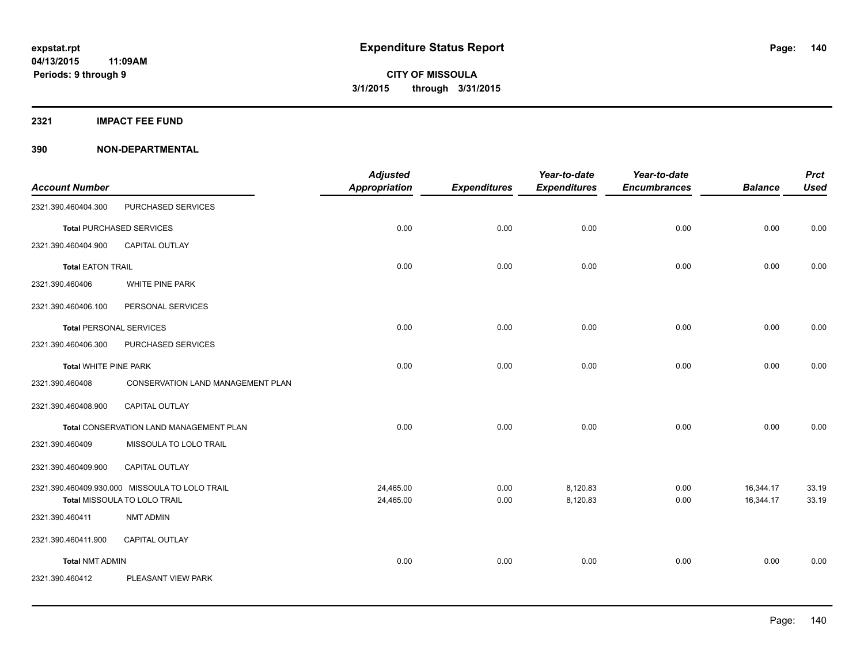**2321 IMPACT FEE FUND**

|                                |                                                                                | <b>Adjusted</b>        |                     | Year-to-date         | Year-to-date        |                        | <b>Prct</b>    |
|--------------------------------|--------------------------------------------------------------------------------|------------------------|---------------------|----------------------|---------------------|------------------------|----------------|
| <b>Account Number</b>          |                                                                                | <b>Appropriation</b>   | <b>Expenditures</b> | <b>Expenditures</b>  | <b>Encumbrances</b> | <b>Balance</b>         | <b>Used</b>    |
| 2321.390.460404.300            | PURCHASED SERVICES                                                             |                        |                     |                      |                     |                        |                |
|                                | <b>Total PURCHASED SERVICES</b>                                                | 0.00                   | 0.00                | 0.00                 | 0.00                | 0.00                   | 0.00           |
| 2321.390.460404.900            | <b>CAPITAL OUTLAY</b>                                                          |                        |                     |                      |                     |                        |                |
| <b>Total EATON TRAIL</b>       |                                                                                | 0.00                   | 0.00                | 0.00                 | 0.00                | 0.00                   | 0.00           |
| 2321.390.460406                | WHITE PINE PARK                                                                |                        |                     |                      |                     |                        |                |
| 2321.390.460406.100            | PERSONAL SERVICES                                                              |                        |                     |                      |                     |                        |                |
| <b>Total PERSONAL SERVICES</b> |                                                                                | 0.00                   | 0.00                | 0.00                 | 0.00                | 0.00                   | 0.00           |
| 2321.390.460406.300            | PURCHASED SERVICES                                                             |                        |                     |                      |                     |                        |                |
| <b>Total WHITE PINE PARK</b>   |                                                                                | 0.00                   | 0.00                | 0.00                 | 0.00                | 0.00                   | 0.00           |
| 2321.390.460408                | <b>CONSERVATION LAND MANAGEMENT PLAN</b>                                       |                        |                     |                      |                     |                        |                |
| 2321.390.460408.900            | CAPITAL OUTLAY                                                                 |                        |                     |                      |                     |                        |                |
|                                | Total CONSERVATION LAND MANAGEMENT PLAN                                        | 0.00                   | 0.00                | 0.00                 | 0.00                | 0.00                   | 0.00           |
| 2321.390.460409                | MISSOULA TO LOLO TRAIL                                                         |                        |                     |                      |                     |                        |                |
| 2321.390.460409.900            | CAPITAL OUTLAY                                                                 |                        |                     |                      |                     |                        |                |
|                                | 2321.390.460409.930.000 MISSOULA TO LOLO TRAIL<br>Total MISSOULA TO LOLO TRAIL | 24,465.00<br>24,465.00 | 0.00<br>0.00        | 8,120.83<br>8,120.83 | 0.00<br>0.00        | 16,344.17<br>16,344.17 | 33.19<br>33.19 |
| 2321.390.460411                | <b>NMT ADMIN</b>                                                               |                        |                     |                      |                     |                        |                |
| 2321.390.460411.900            | CAPITAL OUTLAY                                                                 |                        |                     |                      |                     |                        |                |
| <b>Total NMT ADMIN</b>         |                                                                                | 0.00                   | 0.00                | 0.00                 | 0.00                | 0.00                   | 0.00           |
| 2321.390.460412                | PLEASANT VIEW PARK                                                             |                        |                     |                      |                     |                        |                |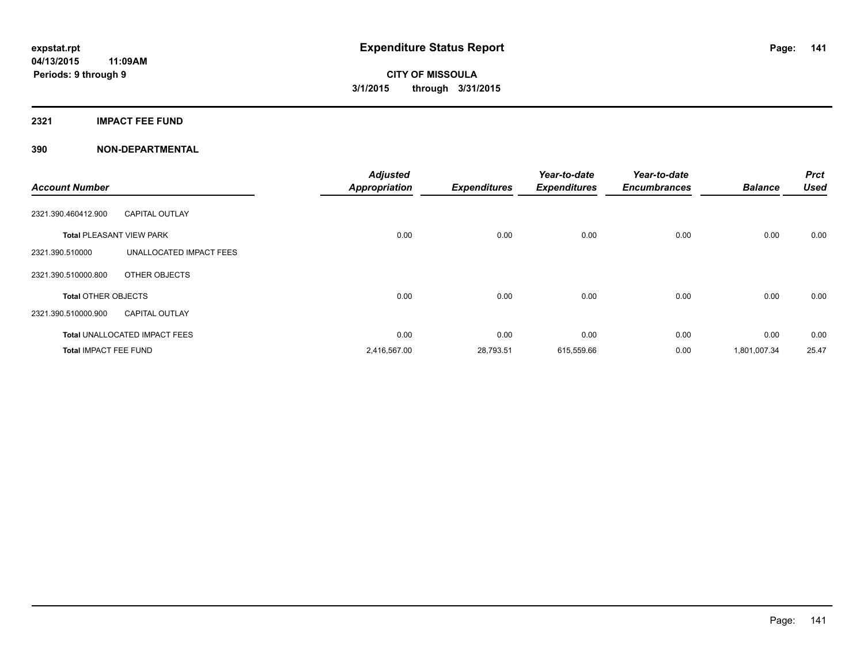### **2321 IMPACT FEE FUND**

| <b>Account Number</b>           |                                      | <b>Adjusted</b><br><b>Appropriation</b> | <b>Expenditures</b> | Year-to-date<br><b>Expenditures</b> | Year-to-date<br><b>Encumbrances</b> | <b>Balance</b> | <b>Prct</b><br><b>Used</b> |
|---------------------------------|--------------------------------------|-----------------------------------------|---------------------|-------------------------------------|-------------------------------------|----------------|----------------------------|
| 2321.390.460412.900             | <b>CAPITAL OUTLAY</b>                |                                         |                     |                                     |                                     |                |                            |
| <b>Total PLEASANT VIEW PARK</b> |                                      | 0.00                                    | 0.00                | 0.00                                | 0.00                                | 0.00           | 0.00                       |
| 2321.390.510000                 | UNALLOCATED IMPACT FEES              |                                         |                     |                                     |                                     |                |                            |
| 2321.390.510000.800             | OTHER OBJECTS                        |                                         |                     |                                     |                                     |                |                            |
| <b>Total OTHER OBJECTS</b>      |                                      | 0.00                                    | 0.00                | 0.00                                | 0.00                                | 0.00           | 0.00                       |
| 2321.390.510000.900             | <b>CAPITAL OUTLAY</b>                |                                         |                     |                                     |                                     |                |                            |
|                                 | <b>Total UNALLOCATED IMPACT FEES</b> | 0.00                                    | 0.00                | 0.00                                | 0.00                                | 0.00           | 0.00                       |
| <b>Total IMPACT FEE FUND</b>    |                                      | 2,416,567.00                            | 28,793.51           | 615,559.66                          | 0.00                                | 1,801,007.34   | 25.47                      |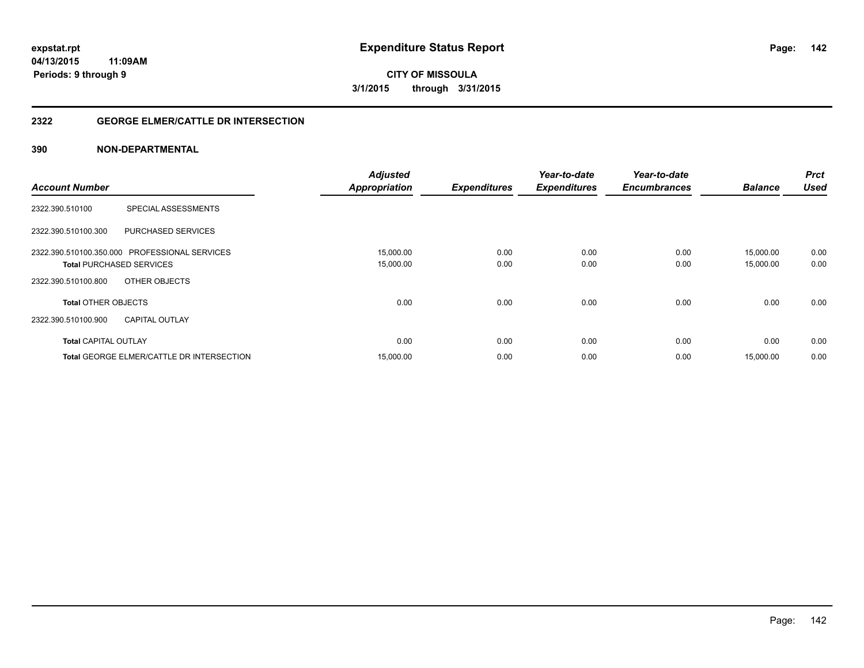**142**

**04/13/2015 11:09AM Periods: 9 through 9**

**CITY OF MISSOULA 3/1/2015 through 3/31/2015**

### **2322 GEORGE ELMER/CATTLE DR INTERSECTION**

|                                                  | <b>Adjusted</b>      |                     | Year-to-date        | Year-to-date        |                | <b>Prct</b> |
|--------------------------------------------------|----------------------|---------------------|---------------------|---------------------|----------------|-------------|
| <b>Account Number</b>                            | <b>Appropriation</b> | <b>Expenditures</b> | <b>Expenditures</b> | <b>Encumbrances</b> | <b>Balance</b> | <b>Used</b> |
| SPECIAL ASSESSMENTS<br>2322.390.510100           |                      |                     |                     |                     |                |             |
| 2322.390.510100.300<br>PURCHASED SERVICES        |                      |                     |                     |                     |                |             |
| 2322.390.510100.350.000 PROFESSIONAL SERVICES    | 15,000.00            | 0.00                | 0.00                | 0.00                | 15.000.00      | 0.00        |
| <b>Total PURCHASED SERVICES</b>                  | 15,000.00            | 0.00                | 0.00                | 0.00                | 15,000.00      | 0.00        |
| 2322.390.510100.800<br>OTHER OBJECTS             |                      |                     |                     |                     |                |             |
| <b>Total OTHER OBJECTS</b>                       | 0.00                 | 0.00                | 0.00                | 0.00                | 0.00           | 0.00        |
| 2322.390.510100.900<br><b>CAPITAL OUTLAY</b>     |                      |                     |                     |                     |                |             |
| <b>Total CAPITAL OUTLAY</b>                      | 0.00                 | 0.00                | 0.00                | 0.00                | 0.00           | 0.00        |
| <b>Total GEORGE ELMER/CATTLE DR INTERSECTION</b> | 15,000.00            | 0.00                | 0.00                | 0.00                | 15.000.00      | 0.00        |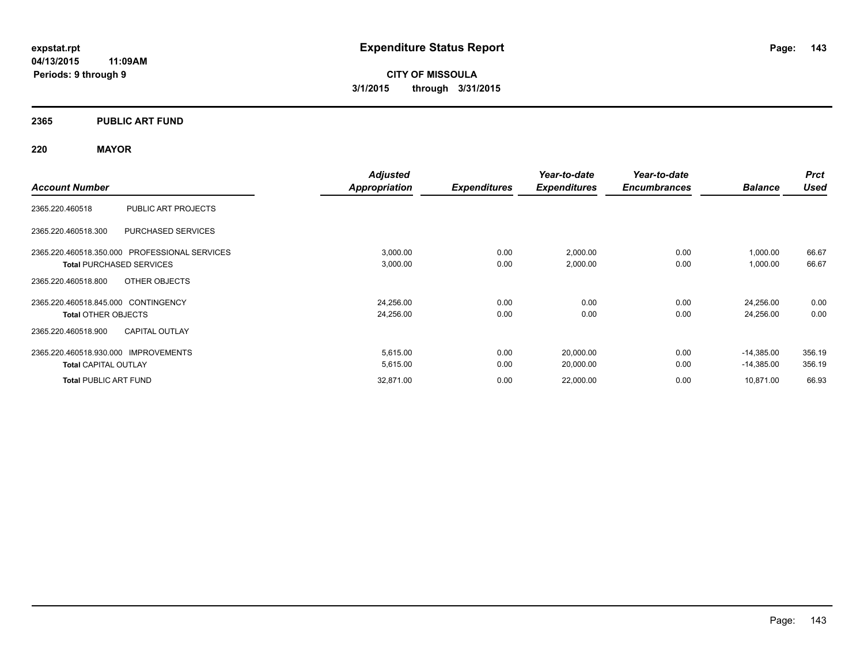**04/13/2015 11:09AM Periods: 9 through 9**

**CITY OF MISSOULA 3/1/2015 through 3/31/2015**

### **2365 PUBLIC ART FUND**

### **220 MAYOR**

|                                               | <b>Adjusted</b>      |                     | Year-to-date        | Year-to-date        |                | <b>Prct</b> |
|-----------------------------------------------|----------------------|---------------------|---------------------|---------------------|----------------|-------------|
| <b>Account Number</b>                         | <b>Appropriation</b> | <b>Expenditures</b> | <b>Expenditures</b> | <b>Encumbrances</b> | <b>Balance</b> | <b>Used</b> |
| PUBLIC ART PROJECTS<br>2365.220.460518        |                      |                     |                     |                     |                |             |
| PURCHASED SERVICES<br>2365.220.460518.300     |                      |                     |                     |                     |                |             |
| 2365.220.460518.350.000 PROFESSIONAL SERVICES | 3,000.00             | 0.00                | 2,000.00            | 0.00                | 1,000.00       | 66.67       |
| <b>Total PURCHASED SERVICES</b>               | 3,000.00             | 0.00                | 2,000.00            | 0.00                | 1,000.00       | 66.67       |
| 2365.220.460518.800<br>OTHER OBJECTS          |                      |                     |                     |                     |                |             |
| 2365.220.460518.845.000 CONTINGENCY           | 24,256.00            | 0.00                | 0.00                | 0.00                | 24.256.00      | 0.00        |
| <b>Total OTHER OBJECTS</b>                    | 24,256.00            | 0.00                | 0.00                | 0.00                | 24,256.00      | 0.00        |
| <b>CAPITAL OUTLAY</b><br>2365.220.460518.900  |                      |                     |                     |                     |                |             |
| 2365.220.460518.930.000 IMPROVEMENTS          | 5,615.00             | 0.00                | 20,000.00           | 0.00                | $-14,385.00$   | 356.19      |
| <b>Total CAPITAL OUTLAY</b>                   | 5,615.00             | 0.00                | 20,000.00           | 0.00                | $-14,385.00$   | 356.19      |
| <b>Total PUBLIC ART FUND</b>                  | 32,871.00            | 0.00                | 22,000.00           | 0.00                | 10,871.00      | 66.93       |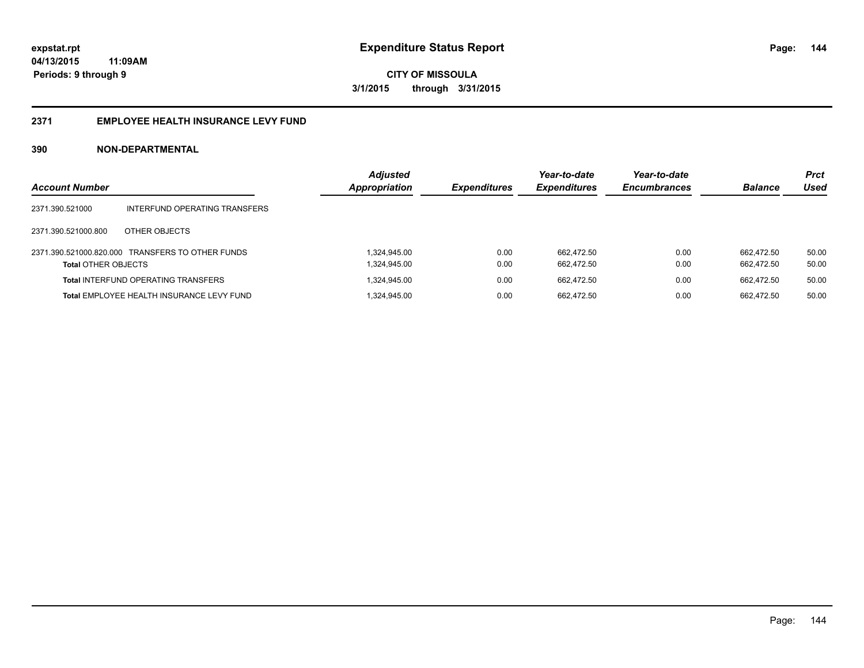#### **2371 EMPLOYEE HEALTH INSURANCE LEVY FUND**

| <b>Account Number</b>      |                                                  | <b>Adjusted</b><br><b>Appropriation</b> | <b>Expenditures</b> | Year-to-date<br><b>Expenditures</b> | Year-to-date<br><b>Encumbrances</b> | <b>Balance</b> | <b>Prct</b><br>Used |
|----------------------------|--------------------------------------------------|-----------------------------------------|---------------------|-------------------------------------|-------------------------------------|----------------|---------------------|
| 2371.390.521000            | INTERFUND OPERATING TRANSFERS                    |                                         |                     |                                     |                                     |                |                     |
| 2371.390.521000.800        | OTHER OBJECTS                                    |                                         |                     |                                     |                                     |                |                     |
|                            | 2371.390.521000.820.000 TRANSFERS TO OTHER FUNDS | 1.324.945.00                            | 0.00                | 662.472.50                          | 0.00                                | 662.472.50     | 50.00               |
| <b>Total OTHER OBJECTS</b> |                                                  | 1,324,945.00                            | 0.00                | 662.472.50                          | 0.00                                | 662.472.50     | 50.00               |
|                            | <b>Total INTERFUND OPERATING TRANSFERS</b>       | 1.324.945.00                            | 0.00                | 662.472.50                          | 0.00                                | 662.472.50     | 50.00               |
|                            | Total EMPLOYEE HEALTH INSURANCE LEVY FUND        | 1.324.945.00                            | 0.00                | 662.472.50                          | 0.00                                | 662.472.50     | 50.00               |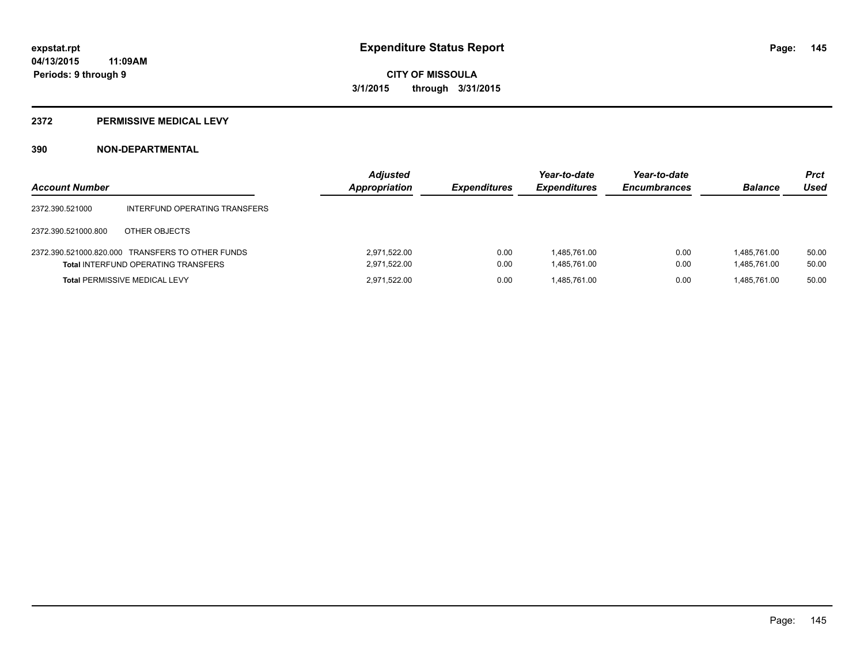#### **2372 PERMISSIVE MEDICAL LEVY**

### **390 NON-DEPARTMENTAL**

| <b>Account Number</b> |                                                                                                | <b>Adjusted</b><br>Appropriation | <b>Expenditures</b> | Year-to-date<br><b>Expenditures</b> | Year-to-date<br><b>Encumbrances</b> | <b>Balance</b>               | <b>Prct</b><br>Used |
|-----------------------|------------------------------------------------------------------------------------------------|----------------------------------|---------------------|-------------------------------------|-------------------------------------|------------------------------|---------------------|
| 2372.390.521000       | INTERFUND OPERATING TRANSFERS                                                                  |                                  |                     |                                     |                                     |                              |                     |
| 2372.390.521000.800   | OTHER OBJECTS                                                                                  |                                  |                     |                                     |                                     |                              |                     |
|                       | 2372.390.521000.820.000 TRANSFERS TO OTHER FUNDS<br><b>Total INTERFUND OPERATING TRANSFERS</b> | 2.971.522.00<br>2,971,522.00     | 0.00<br>0.00        | 1.485.761.00<br>1,485,761.00        | 0.00<br>0.00                        | 1.485.761.00<br>1,485,761.00 | 50.00<br>50.00      |
|                       | <b>Total PERMISSIVE MEDICAL LEVY</b>                                                           | 2.971.522.00                     | 0.00                | 1.485.761.00                        | 0.00                                | 1.485.761.00                 | 50.00               |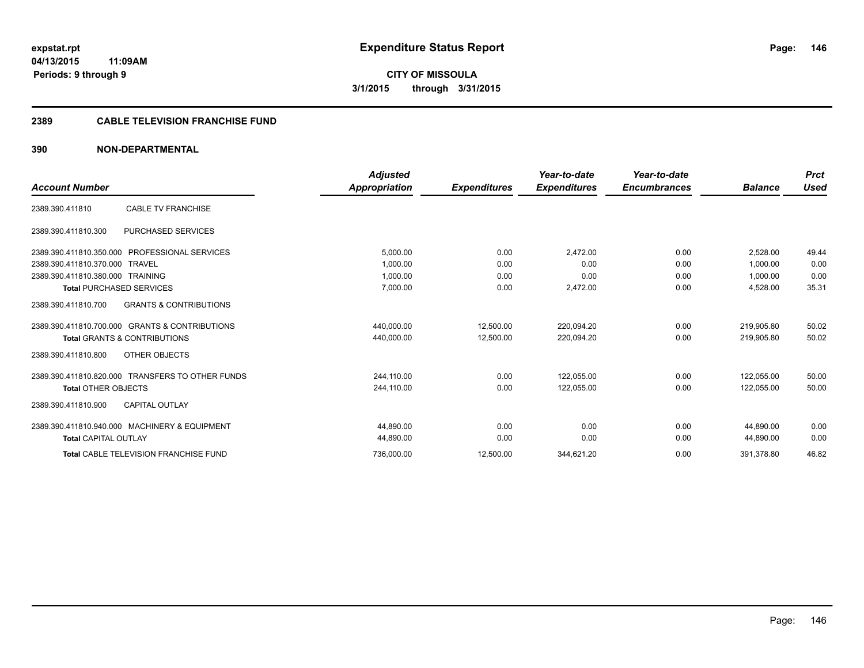**CITY OF MISSOULA 3/1/2015 through 3/31/2015**

#### **2389 CABLE TELEVISION FRANCHISE FUND**

### **390 NON-DEPARTMENTAL**

|                                                          | <b>Adjusted</b> |                     | Year-to-date        | Year-to-date        |                | <b>Prct</b> |
|----------------------------------------------------------|-----------------|---------------------|---------------------|---------------------|----------------|-------------|
| <b>Account Number</b>                                    | Appropriation   | <b>Expenditures</b> | <b>Expenditures</b> | <b>Encumbrances</b> | <b>Balance</b> | <b>Used</b> |
| <b>CABLE TV FRANCHISE</b><br>2389.390.411810             |                 |                     |                     |                     |                |             |
| <b>PURCHASED SERVICES</b><br>2389.390.411810.300         |                 |                     |                     |                     |                |             |
| <b>PROFESSIONAL SERVICES</b><br>2389.390.411810.350.000  | 5,000.00        | 0.00                | 2,472.00            | 0.00                | 2.528.00       | 49.44       |
| 2389.390.411810.370.000<br><b>TRAVEL</b>                 | 1.000.00        | 0.00                | 0.00                | 0.00                | 1.000.00       | 0.00        |
| 2389.390.411810.380.000<br><b>TRAINING</b>               | 1,000.00        | 0.00                | 0.00                | 0.00                | 1,000.00       | 0.00        |
| <b>Total PURCHASED SERVICES</b>                          | 7,000.00        | 0.00                | 2,472.00            | 0.00                | 4,528.00       | 35.31       |
| <b>GRANTS &amp; CONTRIBUTIONS</b><br>2389.390.411810.700 |                 |                     |                     |                     |                |             |
| 2389.390.411810.700.000 GRANTS & CONTRIBUTIONS           | 440,000.00      | 12,500.00           | 220,094.20          | 0.00                | 219.905.80     | 50.02       |
| <b>Total GRANTS &amp; CONTRIBUTIONS</b>                  | 440,000.00      | 12,500.00           | 220,094.20          | 0.00                | 219,905.80     | 50.02       |
| OTHER OBJECTS<br>2389.390.411810.800                     |                 |                     |                     |                     |                |             |
| 2389.390.411810.820.000 TRANSFERS TO OTHER FUNDS         | 244,110.00      | 0.00                | 122,055.00          | 0.00                | 122,055.00     | 50.00       |
| <b>Total OTHER OBJECTS</b>                               | 244,110.00      | 0.00                | 122,055.00          | 0.00                | 122.055.00     | 50.00       |
| <b>CAPITAL OUTLAY</b><br>2389.390.411810.900             |                 |                     |                     |                     |                |             |
| 2389.390.411810.940.000 MACHINERY & EQUIPMENT            | 44.890.00       | 0.00                | 0.00                | 0.00                | 44.890.00      | 0.00        |
| <b>Total CAPITAL OUTLAY</b>                              | 44,890.00       | 0.00                | 0.00                | 0.00                | 44,890.00      | 0.00        |
| <b>Total CABLE TELEVISION FRANCHISE FUND</b>             | 736,000.00      | 12,500.00           | 344,621.20          | 0.00                | 391,378.80     | 46.82       |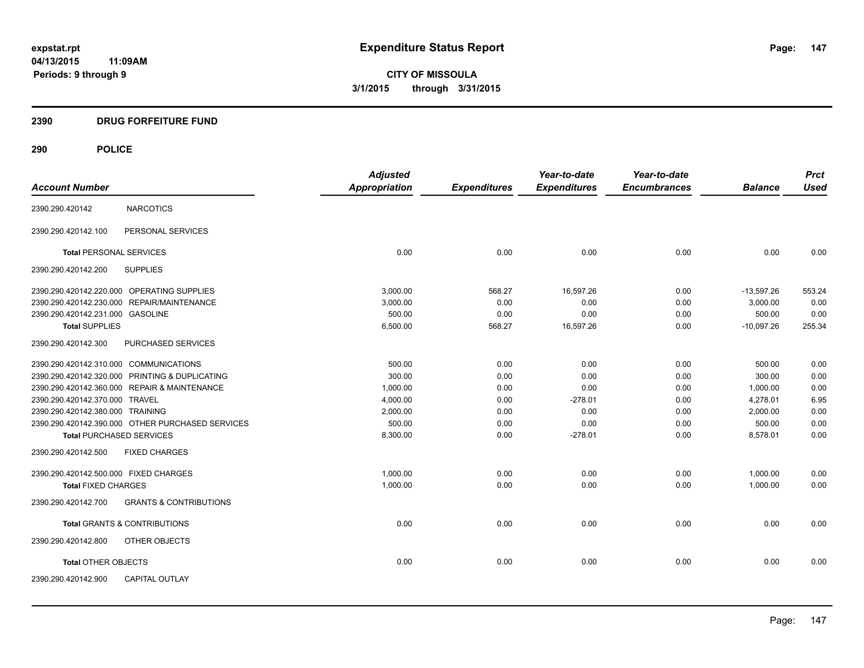**CITY OF MISSOULA 3/1/2015 through 3/31/2015**

### **2390 DRUG FORFEITURE FUND**

| <b>Account Number</b>                  |                                                  | <b>Adjusted</b><br><b>Appropriation</b> | <b>Expenditures</b> | Year-to-date<br><b>Expenditures</b> | Year-to-date<br><b>Encumbrances</b> | <b>Balance</b> | <b>Prct</b><br><b>Used</b> |
|----------------------------------------|--------------------------------------------------|-----------------------------------------|---------------------|-------------------------------------|-------------------------------------|----------------|----------------------------|
|                                        |                                                  |                                         |                     |                                     |                                     |                |                            |
| 2390.290.420142                        | <b>NARCOTICS</b>                                 |                                         |                     |                                     |                                     |                |                            |
| 2390.290.420142.100                    | PERSONAL SERVICES                                |                                         |                     |                                     |                                     |                |                            |
| <b>Total PERSONAL SERVICES</b>         |                                                  | 0.00                                    | 0.00                | 0.00                                | 0.00                                | 0.00           | 0.00                       |
| 2390.290.420142.200                    | <b>SUPPLIES</b>                                  |                                         |                     |                                     |                                     |                |                            |
|                                        | 2390.290.420142.220.000 OPERATING SUPPLIES       | 3.000.00                                | 568.27              | 16,597.26                           | 0.00                                | $-13,597.26$   | 553.24                     |
|                                        | 2390.290.420142.230.000 REPAIR/MAINTENANCE       | 3,000.00                                | 0.00                | 0.00                                | 0.00                                | 3,000.00       | 0.00                       |
| 2390.290.420142.231.000 GASOLINE       |                                                  | 500.00                                  | 0.00                | 0.00                                | 0.00                                | 500.00         | 0.00                       |
| <b>Total SUPPLIES</b>                  |                                                  | 6,500.00                                | 568.27              | 16,597.26                           | 0.00                                | $-10,097.26$   | 255.34                     |
| 2390.290.420142.300                    | PURCHASED SERVICES                               |                                         |                     |                                     |                                     |                |                            |
| 2390.290.420142.310.000 COMMUNICATIONS |                                                  | 500.00                                  | 0.00                | 0.00                                | 0.00                                | 500.00         | 0.00                       |
|                                        | 2390.290.420142.320.000 PRINTING & DUPLICATING   | 300.00                                  | 0.00                | 0.00                                | 0.00                                | 300.00         | 0.00                       |
|                                        | 2390.290.420142.360.000 REPAIR & MAINTENANCE     | 1,000.00                                | 0.00                | 0.00                                | 0.00                                | 1,000.00       | 0.00                       |
| 2390.290.420142.370.000 TRAVEL         |                                                  | 4,000.00                                | 0.00                | $-278.01$                           | 0.00                                | 4,278.01       | 6.95                       |
| 2390.290.420142.380.000 TRAINING       |                                                  | 2,000.00                                | 0.00                | 0.00                                | 0.00                                | 2,000.00       | 0.00                       |
|                                        | 2390.290.420142.390.000 OTHER PURCHASED SERVICES | 500.00                                  | 0.00                | 0.00                                | 0.00                                | 500.00         | 0.00                       |
| <b>Total PURCHASED SERVICES</b>        |                                                  | 8,300.00                                | 0.00                | $-278.01$                           | 0.00                                | 8,578.01       | 0.00                       |
| 2390.290.420142.500                    | <b>FIXED CHARGES</b>                             |                                         |                     |                                     |                                     |                |                            |
| 2390.290.420142.500.000 FIXED CHARGES  |                                                  | 1,000.00                                | 0.00                | 0.00                                | 0.00                                | 1,000.00       | 0.00                       |
| <b>Total FIXED CHARGES</b>             |                                                  | 1,000.00                                | 0.00                | 0.00                                | 0.00                                | 1,000.00       | 0.00                       |
| 2390.290.420142.700                    | <b>GRANTS &amp; CONTRIBUTIONS</b>                |                                         |                     |                                     |                                     |                |                            |
|                                        | <b>Total GRANTS &amp; CONTRIBUTIONS</b>          | 0.00                                    | 0.00                | 0.00                                | 0.00                                | 0.00           | 0.00                       |
| 2390.290.420142.800                    | OTHER OBJECTS                                    |                                         |                     |                                     |                                     |                |                            |
| <b>Total OTHER OBJECTS</b>             |                                                  | 0.00                                    | 0.00                | 0.00                                | 0.00                                | 0.00           | 0.00                       |
| 2390.290.420142.900                    | <b>CAPITAL OUTLAY</b>                            |                                         |                     |                                     |                                     |                |                            |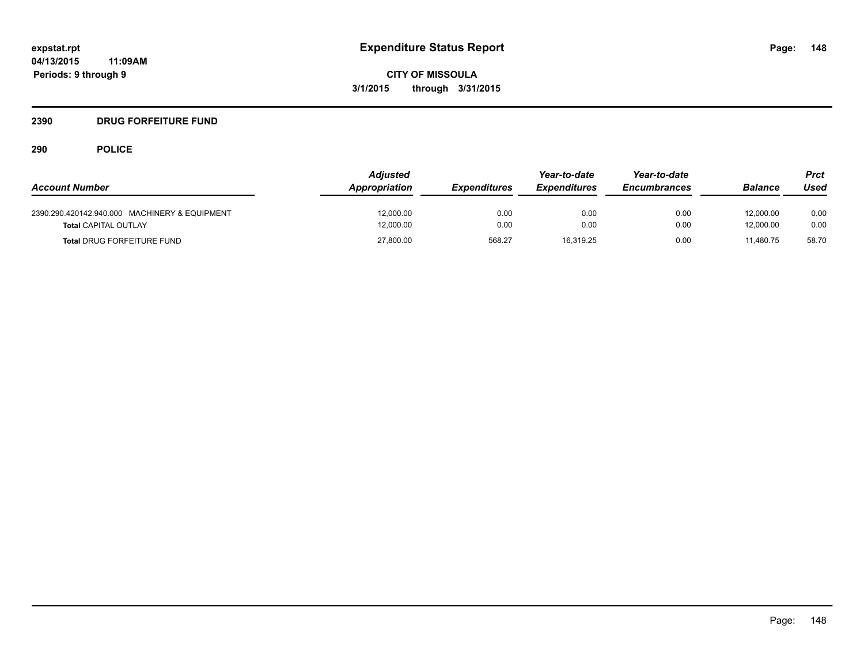### **2390 DRUG FORFEITURE FUND**

**11:09AM**

# **290 POLICE**

**Periods: 9 through 9**

|                                               | <b>Adjusted</b> |                     | Year-to-date               | Year-to-date        |                | Prct  |
|-----------------------------------------------|-----------------|---------------------|----------------------------|---------------------|----------------|-------|
| <b>Account Number</b>                         | Appropriation   | <b>Expenditures</b> | <i><b>Expenditures</b></i> | <b>Encumbrances</b> | <b>Balance</b> | Used  |
| 2390.290.420142.940.000 MACHINERY & EQUIPMENT | 12.000.00       | 0.00                | 0.00                       | 0.00                | 12.000.00      | 0.00  |
| <b>Total CAPITAL OUTLAY</b>                   | 12,000.00       | 0.00                | 0.00                       | 0.00                | 12.000.00      | 0.00  |
| <b>Total DRUG FORFEITURE FUND</b>             | 27,800.00       | 568.27              | 16,319.25                  | 0.00                | 11.480.75      | 58.70 |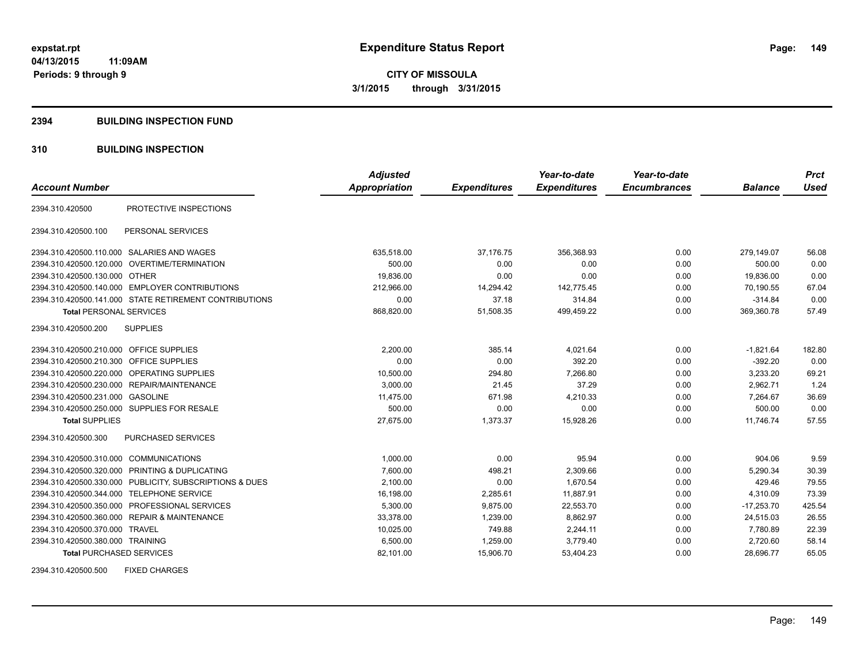#### **2394 BUILDING INSPECTION FUND**

### **310 BUILDING INSPECTION**

|                                            |                                                         | <b>Adjusted</b>      |                     | Year-to-date        | Year-to-date        |                | <b>Prct</b> |
|--------------------------------------------|---------------------------------------------------------|----------------------|---------------------|---------------------|---------------------|----------------|-------------|
| <b>Account Number</b>                      |                                                         | <b>Appropriation</b> | <b>Expenditures</b> | <b>Expenditures</b> | <b>Encumbrances</b> | <b>Balance</b> | <b>Used</b> |
| 2394.310.420500                            | PROTECTIVE INSPECTIONS                                  |                      |                     |                     |                     |                |             |
| 2394.310.420500.100                        | PERSONAL SERVICES                                       |                      |                     |                     |                     |                |             |
| 2394.310.420500.110.000 SALARIES AND WAGES |                                                         | 635,518.00           | 37,176.75           | 356,368.93          | 0.00                | 279,149.07     | 56.08       |
|                                            | 2394.310.420500.120.000 OVERTIME/TERMINATION            | 500.00               | 0.00                | 0.00                | 0.00                | 500.00         | 0.00        |
| 2394.310.420500.130.000 OTHER              |                                                         | 19,836.00            | 0.00                | 0.00                | 0.00                | 19,836.00      | 0.00        |
|                                            | 2394.310.420500.140.000 EMPLOYER CONTRIBUTIONS          | 212,966.00           | 14,294.42           | 142.775.45          | 0.00                | 70,190.55      | 67.04       |
|                                            | 2394.310.420500.141.000 STATE RETIREMENT CONTRIBUTIONS  | 0.00                 | 37.18               | 314.84              | 0.00                | $-314.84$      | 0.00        |
| <b>Total PERSONAL SERVICES</b>             |                                                         | 868,820.00           | 51,508.35           | 499,459.22          | 0.00                | 369,360.78     | 57.49       |
| 2394.310.420500.200                        | <b>SUPPLIES</b>                                         |                      |                     |                     |                     |                |             |
| 2394.310.420500.210.000 OFFICE SUPPLIES    |                                                         | 2,200.00             | 385.14              | 4,021.64            | 0.00                | $-1,821.64$    | 182.80      |
| 2394.310.420500.210.300 OFFICE SUPPLIES    |                                                         | 0.00                 | 0.00                | 392.20              | 0.00                | $-392.20$      | 0.00        |
| 2394.310.420500.220.000                    | <b>OPERATING SUPPLIES</b>                               | 10,500.00            | 294.80              | 7.266.80            | 0.00                | 3,233.20       | 69.21       |
|                                            | 2394.310.420500.230.000 REPAIR/MAINTENANCE              | 3,000.00             | 21.45               | 37.29               | 0.00                | 2,962.71       | 1.24        |
| 2394.310.420500.231.000                    | <b>GASOLINE</b>                                         | 11,475.00            | 671.98              | 4,210.33            | 0.00                | 7,264.67       | 36.69       |
|                                            | 2394.310.420500.250.000 SUPPLIES FOR RESALE             | 500.00               | 0.00                | 0.00                | 0.00                | 500.00         | 0.00        |
| <b>Total SUPPLIES</b>                      |                                                         | 27.675.00            | 1,373.37            | 15.928.26           | 0.00                | 11.746.74      | 57.55       |
| 2394.310.420500.300                        | <b>PURCHASED SERVICES</b>                               |                      |                     |                     |                     |                |             |
| 2394.310.420500.310.000 COMMUNICATIONS     |                                                         | 1,000.00             | 0.00                | 95.94               | 0.00                | 904.06         | 9.59        |
|                                            | 2394.310.420500.320.000 PRINTING & DUPLICATING          | 7,600.00             | 498.21              | 2,309.66            | 0.00                | 5,290.34       | 30.39       |
|                                            | 2394.310.420500.330.000 PUBLICITY, SUBSCRIPTIONS & DUES | 2,100.00             | 0.00                | 1,670.54            | 0.00                | 429.46         | 79.55       |
| 2394.310.420500.344.000 TELEPHONE SERVICE  |                                                         | 16.198.00            | 2,285.61            | 11.887.91           | 0.00                | 4.310.09       | 73.39       |
|                                            | 2394.310.420500.350.000 PROFESSIONAL SERVICES           | 5,300.00             | 9,875.00            | 22,553.70           | 0.00                | $-17,253.70$   | 425.54      |
|                                            | 2394.310.420500.360.000 REPAIR & MAINTENANCE            | 33,378.00            | 1,239.00            | 8,862.97            | 0.00                | 24,515.03      | 26.55       |
| 2394.310.420500.370.000 TRAVEL             |                                                         | 10,025.00            | 749.88              | 2,244.11            | 0.00                | 7,780.89       | 22.39       |
| 2394.310.420500.380.000 TRAINING           |                                                         | 6,500.00             | 1,259.00            | 3,779.40            | 0.00                | 2,720.60       | 58.14       |
| <b>Total PURCHASED SERVICES</b>            |                                                         | 82,101.00            | 15,906.70           | 53,404.23           | 0.00                | 28,696.77      | 65.05       |

2394.310.420500.500 FIXED CHARGES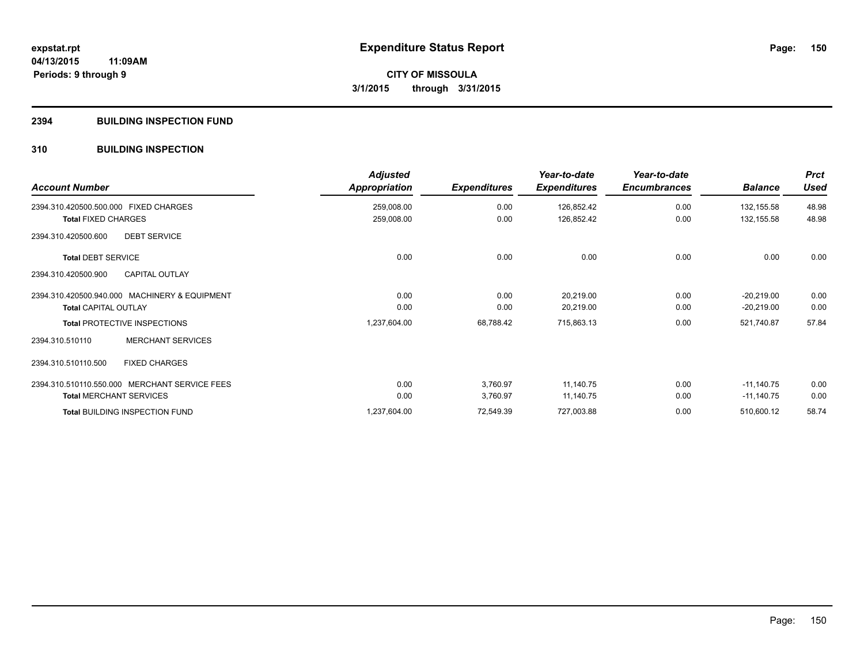#### **2394 BUILDING INSPECTION FUND**

### **310 BUILDING INSPECTION**

| <b>Account Number</b>                         | <b>Adjusted</b><br>Appropriation | <b>Expenditures</b> | Year-to-date<br><b>Expenditures</b> | Year-to-date<br><b>Encumbrances</b> | <b>Balance</b> | <b>Prct</b><br><b>Used</b> |
|-----------------------------------------------|----------------------------------|---------------------|-------------------------------------|-------------------------------------|----------------|----------------------------|
| 2394.310.420500.500.000 FIXED CHARGES         | 259,008.00                       | 0.00                | 126,852.42                          | 0.00                                | 132,155.58     | 48.98                      |
| <b>Total FIXED CHARGES</b>                    | 259,008.00                       | 0.00                | 126,852.42                          | 0.00                                | 132,155.58     | 48.98                      |
| 2394.310.420500.600<br><b>DEBT SERVICE</b>    |                                  |                     |                                     |                                     |                |                            |
| <b>Total DEBT SERVICE</b>                     | 0.00                             | 0.00                | 0.00                                | 0.00                                | 0.00           | 0.00                       |
| <b>CAPITAL OUTLAY</b><br>2394.310.420500.900  |                                  |                     |                                     |                                     |                |                            |
| 2394.310.420500.940.000 MACHINERY & EQUIPMENT | 0.00                             | 0.00                | 20,219.00                           | 0.00                                | $-20,219.00$   | 0.00                       |
| <b>Total CAPITAL OUTLAY</b>                   | 0.00                             | 0.00                | 20,219.00                           | 0.00                                | $-20,219.00$   | 0.00                       |
| <b>Total PROTECTIVE INSPECTIONS</b>           | 1,237,604.00                     | 68,788.42           | 715,863.13                          | 0.00                                | 521,740.87     | 57.84                      |
| <b>MERCHANT SERVICES</b><br>2394.310.510110   |                                  |                     |                                     |                                     |                |                            |
| <b>FIXED CHARGES</b><br>2394.310.510110.500   |                                  |                     |                                     |                                     |                |                            |
| 2394.310.510110.550.000 MERCHANT SERVICE FEES | 0.00                             | 3,760.97            | 11,140.75                           | 0.00                                | $-11,140.75$   | 0.00                       |
| <b>Total MERCHANT SERVICES</b>                | 0.00                             | 3,760.97            | 11,140.75                           | 0.00                                | $-11,140.75$   | 0.00                       |
| <b>Total BUILDING INSPECTION FUND</b>         | 1,237,604.00                     | 72,549.39           | 727,003.88                          | 0.00                                | 510,600.12     | 58.74                      |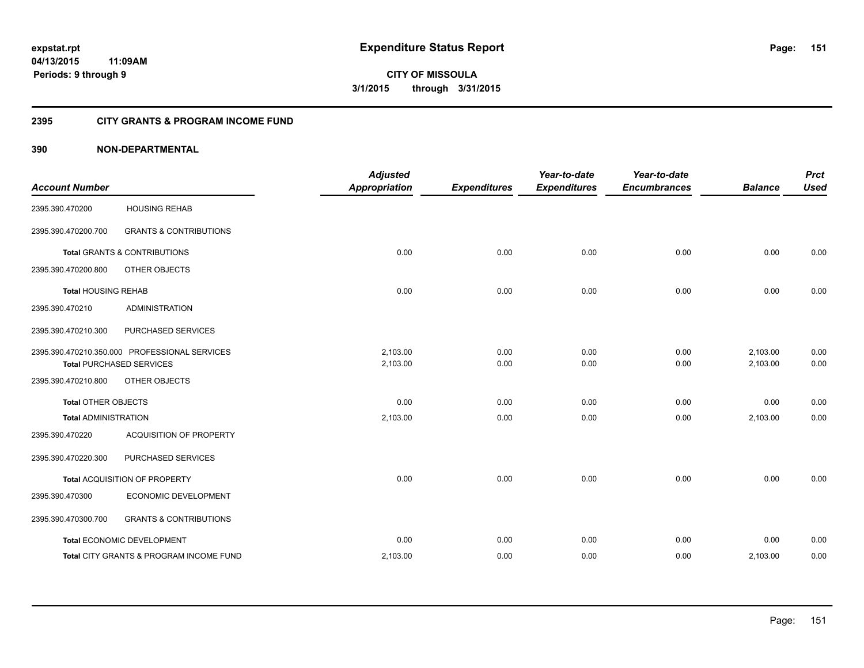**CITY OF MISSOULA 3/1/2015 through 3/31/2015**

### **2395 CITY GRANTS & PROGRAM INCOME FUND**

### **390 NON-DEPARTMENTAL**

| <b>Account Number</b>       |                                                                                  | <b>Adjusted</b><br><b>Appropriation</b> | <b>Expenditures</b> | Year-to-date<br><b>Expenditures</b> | Year-to-date<br><b>Encumbrances</b> | <b>Balance</b>       | <b>Prct</b><br><b>Used</b> |
|-----------------------------|----------------------------------------------------------------------------------|-----------------------------------------|---------------------|-------------------------------------|-------------------------------------|----------------------|----------------------------|
| 2395.390.470200             | <b>HOUSING REHAB</b>                                                             |                                         |                     |                                     |                                     |                      |                            |
| 2395.390.470200.700         | <b>GRANTS &amp; CONTRIBUTIONS</b>                                                |                                         |                     |                                     |                                     |                      |                            |
|                             | <b>Total GRANTS &amp; CONTRIBUTIONS</b>                                          | 0.00                                    | 0.00                | 0.00                                | 0.00                                | 0.00                 | 0.00                       |
| 2395.390.470200.800         | OTHER OBJECTS                                                                    |                                         |                     |                                     |                                     |                      |                            |
| <b>Total HOUSING REHAB</b>  |                                                                                  | 0.00                                    | 0.00                | 0.00                                | 0.00                                | 0.00                 | 0.00                       |
| 2395.390.470210             | <b>ADMINISTRATION</b>                                                            |                                         |                     |                                     |                                     |                      |                            |
| 2395.390.470210.300         | PURCHASED SERVICES                                                               |                                         |                     |                                     |                                     |                      |                            |
|                             | 2395.390.470210.350.000 PROFESSIONAL SERVICES<br><b>Total PURCHASED SERVICES</b> | 2,103.00<br>2,103.00                    | 0.00<br>0.00        | 0.00<br>0.00                        | 0.00<br>0.00                        | 2,103.00<br>2,103.00 | 0.00<br>0.00               |
| 2395.390.470210.800         | OTHER OBJECTS                                                                    |                                         |                     |                                     |                                     |                      |                            |
| <b>Total OTHER OBJECTS</b>  |                                                                                  | 0.00                                    | 0.00                | 0.00                                | 0.00                                | 0.00                 | 0.00                       |
| <b>Total ADMINISTRATION</b> |                                                                                  | 2,103.00                                | 0.00                | 0.00                                | 0.00                                | 2,103.00             | 0.00                       |
| 2395.390.470220             | <b>ACQUISITION OF PROPERTY</b>                                                   |                                         |                     |                                     |                                     |                      |                            |
| 2395.390.470220.300         | PURCHASED SERVICES                                                               |                                         |                     |                                     |                                     |                      |                            |
|                             | Total ACQUISITION OF PROPERTY                                                    | 0.00                                    | 0.00                | 0.00                                | 0.00                                | 0.00                 | 0.00                       |
| 2395.390.470300             | ECONOMIC DEVELOPMENT                                                             |                                         |                     |                                     |                                     |                      |                            |
| 2395.390.470300.700         | <b>GRANTS &amp; CONTRIBUTIONS</b>                                                |                                         |                     |                                     |                                     |                      |                            |
|                             | Total ECONOMIC DEVELOPMENT                                                       | 0.00                                    | 0.00                | 0.00                                | 0.00                                | 0.00                 | 0.00                       |
|                             | Total CITY GRANTS & PROGRAM INCOME FUND                                          | 2,103.00                                | 0.00                | 0.00                                | 0.00                                | 2,103.00             | 0.00                       |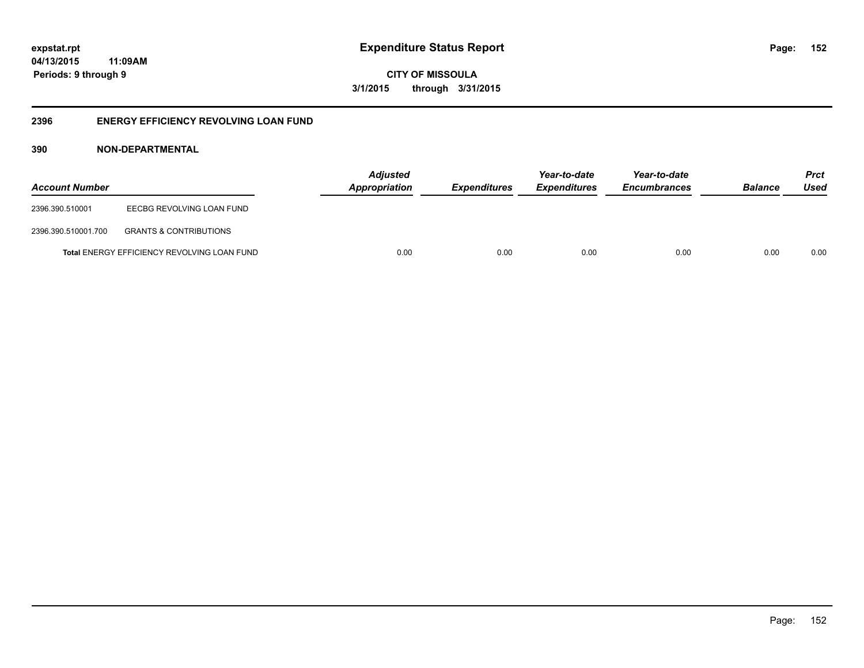**CITY OF MISSOULA 3/1/2015 through 3/31/2015**

### **2396 ENERGY EFFICIENCY REVOLVING LOAN FUND**

### **390 NON-DEPARTMENTAL**

| <b>Account Number</b> |                                                    | <b>Adjusted</b><br>Appropriation | <b>Expenditures</b> | Year-to-date<br><b>Expenditures</b> | Year-to-date<br><b>Encumbrances</b> | <b>Balance</b> | <b>Prct</b><br>Used |
|-----------------------|----------------------------------------------------|----------------------------------|---------------------|-------------------------------------|-------------------------------------|----------------|---------------------|
| 2396.390.510001       | EECBG REVOLVING LOAN FUND                          |                                  |                     |                                     |                                     |                |                     |
| 2396.390.510001.700   | <b>GRANTS &amp; CONTRIBUTIONS</b>                  |                                  |                     |                                     |                                     |                |                     |
|                       | <b>Total ENERGY EFFICIENCY REVOLVING LOAN FUND</b> | 0.00                             | 0.00                | 0.00                                | 0.00                                | 0.00           | 0.00                |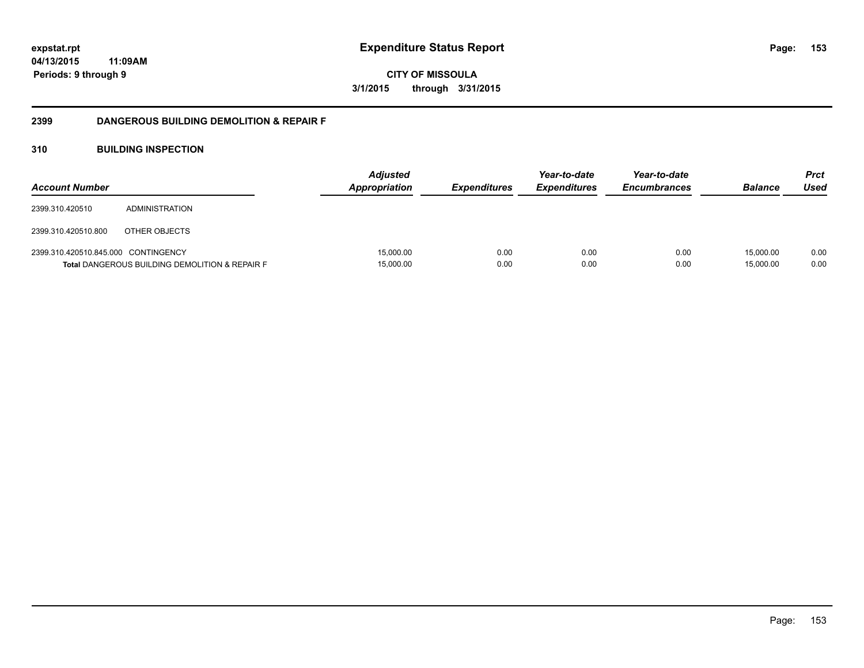**CITY OF MISSOULA 3/1/2015 through 3/31/2015**

### **2399 DANGEROUS BUILDING DEMOLITION & REPAIR F**

### **310 BUILDING INSPECTION**

| <b>Account Number</b>               |                                                           | <b>Adjusted</b><br><b>Appropriation</b> | <b>Expenditures</b> | Year-to-date<br><b>Expenditures</b> | Year-to-date<br><b>Encumbrances</b> | <b>Balance</b>         | <b>Prct</b><br>Used |
|-------------------------------------|-----------------------------------------------------------|-----------------------------------------|---------------------|-------------------------------------|-------------------------------------|------------------------|---------------------|
| 2399.310.420510                     | <b>ADMINISTRATION</b>                                     |                                         |                     |                                     |                                     |                        |                     |
| 2399.310.420510.800                 | OTHER OBJECTS                                             |                                         |                     |                                     |                                     |                        |                     |
| 2399.310.420510.845.000 CONTINGENCY | <b>Total DANGEROUS BUILDING DEMOLITION &amp; REPAIR F</b> | 15,000.00<br>15,000.00                  | 0.00<br>0.00        | 0.00<br>0.00                        | 0.00<br>0.00                        | 15.000.00<br>15,000.00 | 0.00<br>0.00        |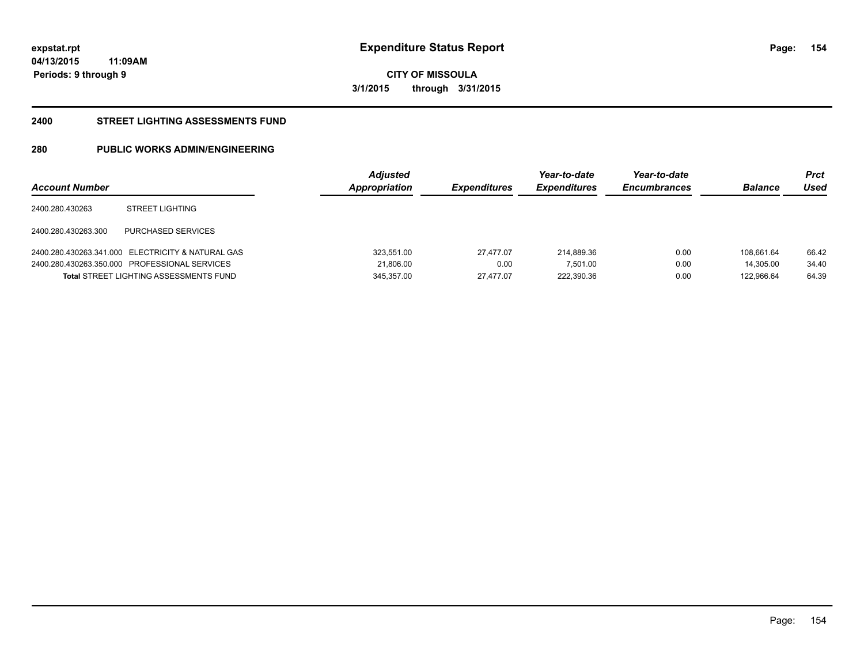**154**

**04/13/2015 11:09AM Periods: 9 through 9**

**CITY OF MISSOULA 3/1/2015 through 3/31/2015**

#### **2400 STREET LIGHTING ASSESSMENTS FUND**

### **280 PUBLIC WORKS ADMIN/ENGINEERING**

| <b>Account Number</b> |                                                   | <b>Adjusted</b><br>Appropriation | <b>Expenditures</b> | Year-to-date<br><b>Expenditures</b> | Year-to-date<br><b>Encumbrances</b> | <b>Balance</b> | Prct<br>Used |
|-----------------------|---------------------------------------------------|----------------------------------|---------------------|-------------------------------------|-------------------------------------|----------------|--------------|
| 2400.280.430263       | <b>STREET LIGHTING</b>                            |                                  |                     |                                     |                                     |                |              |
| 2400.280.430263.300   | PURCHASED SERVICES                                |                                  |                     |                                     |                                     |                |              |
|                       | 2400.280.430263.341.000 ELECTRICITY & NATURAL GAS | 323.551.00                       | 27.477.07           | 214.889.36                          | 0.00                                | 108.661.64     | 66.42        |
|                       | 2400.280.430263.350.000 PROFESSIONAL SERVICES     | 21,806.00                        | 0.00                | 7,501.00                            | 0.00                                | 14.305.00      | 34.40        |
|                       | <b>Total STREET LIGHTING ASSESSMENTS FUND</b>     | 345.357.00                       | 27.477.07           | 222,390.36                          | 0.00                                | 122.966.64     | 64.39        |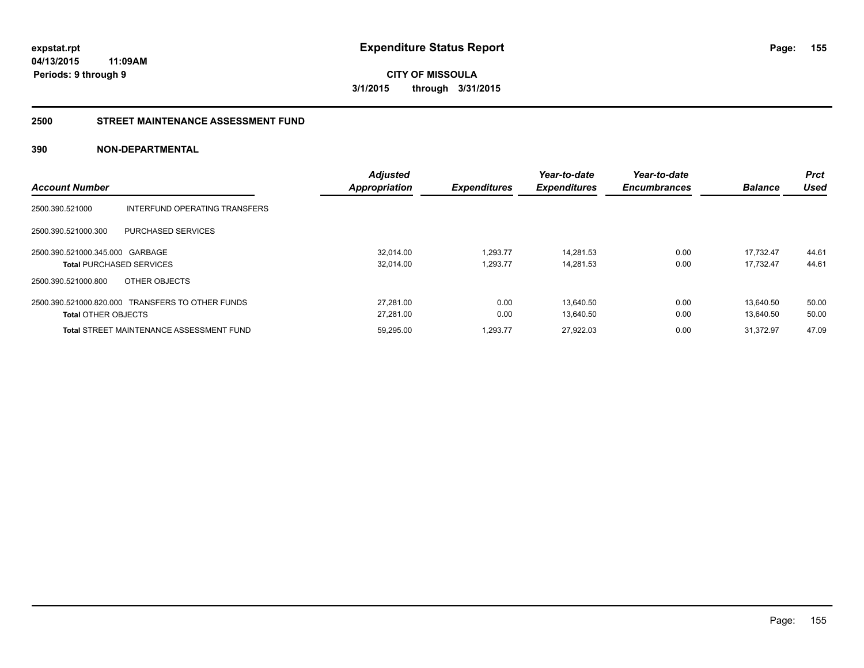**CITY OF MISSOULA 3/1/2015 through 3/31/2015**

#### **2500 STREET MAINTENANCE ASSESSMENT FUND**

### **390 NON-DEPARTMENTAL**

|                                 |                                                  | <b>Adjusted</b>      |                     | Year-to-date        | Year-to-date        |                | <b>Prct</b> |
|---------------------------------|--------------------------------------------------|----------------------|---------------------|---------------------|---------------------|----------------|-------------|
| <b>Account Number</b>           |                                                  | <b>Appropriation</b> | <b>Expenditures</b> | <b>Expenditures</b> | <b>Encumbrances</b> | <b>Balance</b> | Used        |
| 2500.390.521000                 | INTERFUND OPERATING TRANSFERS                    |                      |                     |                     |                     |                |             |
| 2500.390.521000.300             | PURCHASED SERVICES                               |                      |                     |                     |                     |                |             |
| 2500.390.521000.345.000 GARBAGE |                                                  | 32.014.00            | 1,293.77            | 14.281.53           | 0.00                | 17.732.47      | 44.61       |
| <b>Total PURCHASED SERVICES</b> |                                                  | 32.014.00            | 1.293.77            | 14.281.53           | 0.00                | 17.732.47      | 44.61       |
| 2500.390.521000.800             | OTHER OBJECTS                                    |                      |                     |                     |                     |                |             |
|                                 | 2500.390.521000.820.000 TRANSFERS TO OTHER FUNDS | 27.281.00            | 0.00                | 13.640.50           | 0.00                | 13.640.50      | 50.00       |
| <b>Total OTHER OBJECTS</b>      |                                                  | 27.281.00            | 0.00                | 13.640.50           | 0.00                | 13.640.50      | 50.00       |
|                                 | <b>Total STREET MAINTENANCE ASSESSMENT FUND</b>  | 59,295.00            | 1.293.77            | 27.922.03           | 0.00                | 31.372.97      | 47.09       |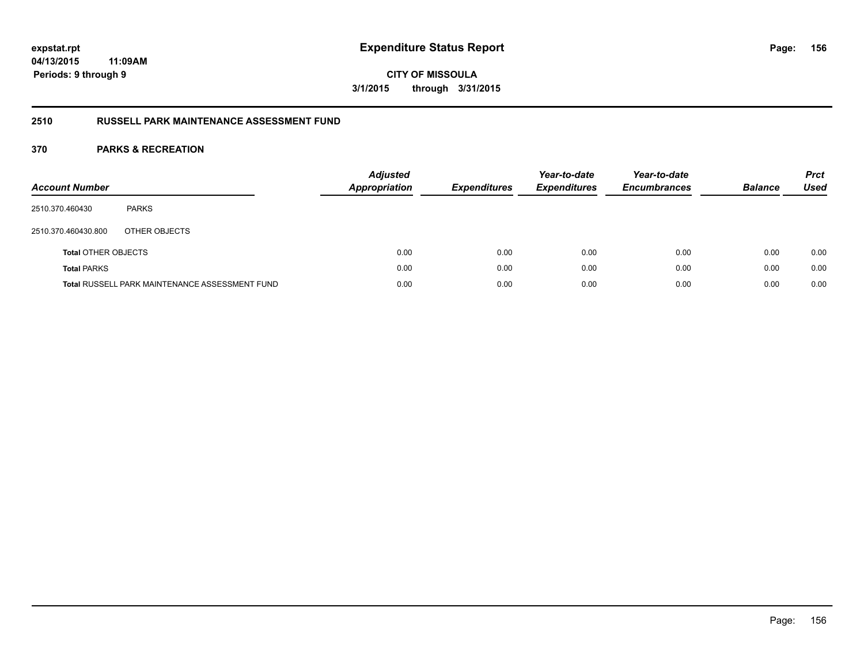**CITY OF MISSOULA 3/1/2015 through 3/31/2015**

### **2510 RUSSELL PARK MAINTENANCE ASSESSMENT FUND**

| <b>Account Number</b>      |                                                       | <b>Adjusted</b><br><b>Appropriation</b> | <b>Expenditures</b> | Year-to-date<br><b>Expenditures</b> | Year-to-date<br><b>Encumbrances</b> | <b>Balance</b> | <b>Prct</b><br><b>Used</b> |
|----------------------------|-------------------------------------------------------|-----------------------------------------|---------------------|-------------------------------------|-------------------------------------|----------------|----------------------------|
| 2510.370.460430            | <b>PARKS</b>                                          |                                         |                     |                                     |                                     |                |                            |
| 2510.370.460430.800        | OTHER OBJECTS                                         |                                         |                     |                                     |                                     |                |                            |
| <b>Total OTHER OBJECTS</b> |                                                       | 0.00                                    | 0.00                | 0.00                                | 0.00                                | 0.00           | 0.00                       |
| <b>Total PARKS</b>         |                                                       | 0.00                                    | 0.00                | 0.00                                | 0.00                                | 0.00           | 0.00                       |
|                            | <b>Total RUSSELL PARK MAINTENANCE ASSESSMENT FUND</b> | 0.00                                    | 0.00                | 0.00                                | 0.00                                | 0.00           | 0.00                       |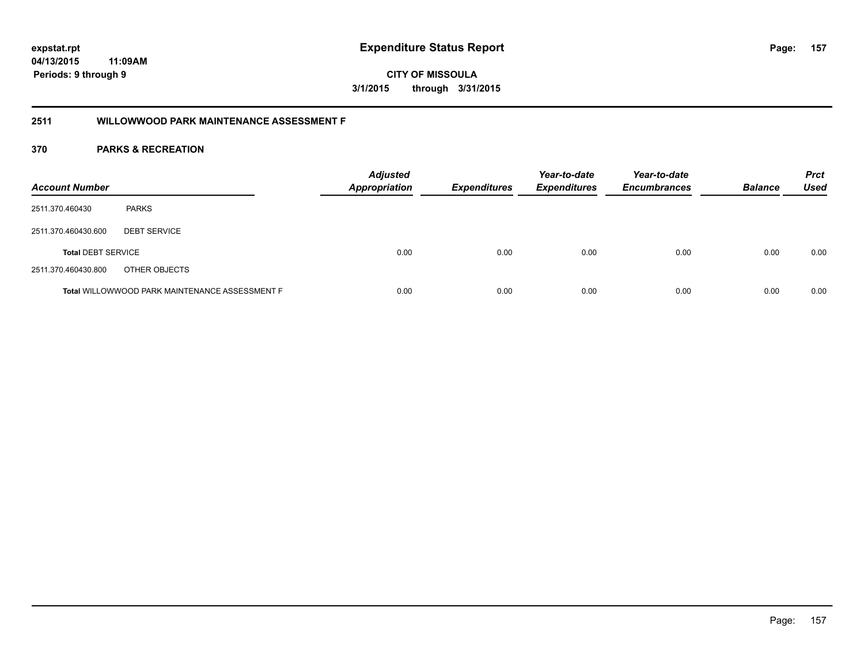**157**

**CITY OF MISSOULA 3/1/2015 through 3/31/2015**

### **2511 WILLOWWOOD PARK MAINTENANCE ASSESSMENT F**

| <b>Account Number</b>     |                                                       | <b>Adjusted</b><br><b>Appropriation</b> | <b>Expenditures</b> | Year-to-date<br><b>Expenditures</b> | Year-to-date<br><b>Encumbrances</b> | <b>Balance</b> | <b>Prct</b><br><b>Used</b> |
|---------------------------|-------------------------------------------------------|-----------------------------------------|---------------------|-------------------------------------|-------------------------------------|----------------|----------------------------|
| 2511.370.460430           | <b>PARKS</b>                                          |                                         |                     |                                     |                                     |                |                            |
| 2511.370.460430.600       | <b>DEBT SERVICE</b>                                   |                                         |                     |                                     |                                     |                |                            |
| <b>Total DEBT SERVICE</b> |                                                       | 0.00                                    | 0.00                | 0.00                                | 0.00                                | 0.00           | 0.00                       |
| 2511.370.460430.800       | OTHER OBJECTS                                         |                                         |                     |                                     |                                     |                |                            |
|                           | <b>Total WILLOWWOOD PARK MAINTENANCE ASSESSMENT F</b> | 0.00                                    | 0.00                | 0.00                                | 0.00                                | 0.00           | 0.00                       |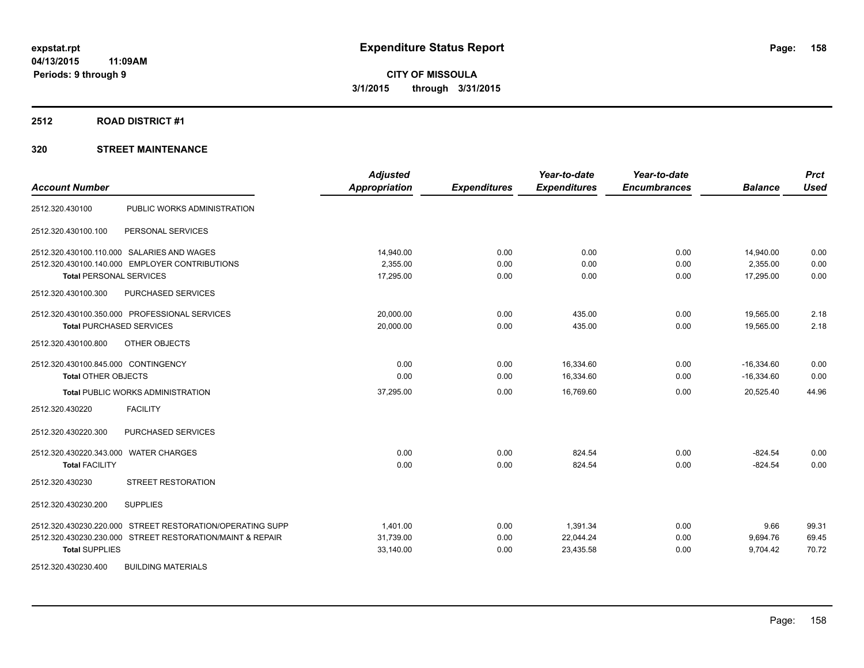#### **2512 ROAD DISTRICT #1**

### **320 STREET MAINTENANCE**

| <b>Account Number</b>                                     | <b>Adjusted</b><br><b>Appropriation</b> | <b>Expenditures</b> | Year-to-date<br><b>Expenditures</b> | Year-to-date<br><b>Encumbrances</b> | <b>Balance</b> | <b>Prct</b><br><b>Used</b> |
|-----------------------------------------------------------|-----------------------------------------|---------------------|-------------------------------------|-------------------------------------|----------------|----------------------------|
| 2512.320.430100<br>PUBLIC WORKS ADMINISTRATION            |                                         |                     |                                     |                                     |                |                            |
| PERSONAL SERVICES<br>2512.320.430100.100                  |                                         |                     |                                     |                                     |                |                            |
| 2512.320.430100.110.000 SALARIES AND WAGES                | 14.940.00                               | 0.00                | 0.00                                | 0.00                                | 14,940.00      | 0.00                       |
| 2512.320.430100.140.000 EMPLOYER CONTRIBUTIONS            | 2.355.00                                | 0.00                | 0.00                                | 0.00                                | 2,355.00       | 0.00                       |
| <b>Total PERSONAL SERVICES</b>                            | 17,295.00                               | 0.00                | 0.00                                | 0.00                                | 17,295.00      | 0.00                       |
| PURCHASED SERVICES<br>2512.320.430100.300                 |                                         |                     |                                     |                                     |                |                            |
| 2512.320.430100.350.000 PROFESSIONAL SERVICES             | 20,000.00                               | 0.00                | 435.00                              | 0.00                                | 19,565.00      | 2.18                       |
| <b>Total PURCHASED SERVICES</b>                           | 20,000.00                               | 0.00                | 435.00                              | 0.00                                | 19,565.00      | 2.18                       |
| 2512.320.430100.800<br>OTHER OBJECTS                      |                                         |                     |                                     |                                     |                |                            |
| 2512.320.430100.845.000 CONTINGENCY                       | 0.00                                    | 0.00                | 16,334.60                           | 0.00                                | $-16,334.60$   | 0.00                       |
| <b>Total OTHER OBJECTS</b>                                | 0.00                                    | 0.00                | 16,334.60                           | 0.00                                | $-16,334.60$   | 0.00                       |
| <b>Total PUBLIC WORKS ADMINISTRATION</b>                  | 37,295.00                               | 0.00                | 16,769.60                           | 0.00                                | 20,525.40      | 44.96                      |
| 2512.320.430220<br><b>FACILITY</b>                        |                                         |                     |                                     |                                     |                |                            |
| PURCHASED SERVICES<br>2512.320.430220.300                 |                                         |                     |                                     |                                     |                |                            |
| 2512.320.430220.343.000 WATER CHARGES                     | 0.00                                    | 0.00                | 824.54                              | 0.00                                | $-824.54$      | 0.00                       |
| <b>Total FACILITY</b>                                     | 0.00                                    | 0.00                | 824.54                              | 0.00                                | $-824.54$      | 0.00                       |
| STREET RESTORATION<br>2512.320.430230                     |                                         |                     |                                     |                                     |                |                            |
| 2512.320.430230.200<br><b>SUPPLIES</b>                    |                                         |                     |                                     |                                     |                |                            |
| 2512.320.430230.220.000 STREET RESTORATION/OPERATING SUPP | 1,401.00                                | 0.00                | 1,391.34                            | 0.00                                | 9.66           | 99.31                      |
| 2512.320.430230.230.000 STREET RESTORATION/MAINT & REPAIR | 31,739.00                               | 0.00                | 22,044.24                           | 0.00                                | 9,694.76       | 69.45                      |
| <b>Total SUPPLIES</b>                                     | 33,140.00                               | 0.00                | 23,435.58                           | 0.00                                | 9,704.42       | 70.72                      |
| 2512.320.430230.400<br><b>BUILDING MATERIALS</b>          |                                         |                     |                                     |                                     |                |                            |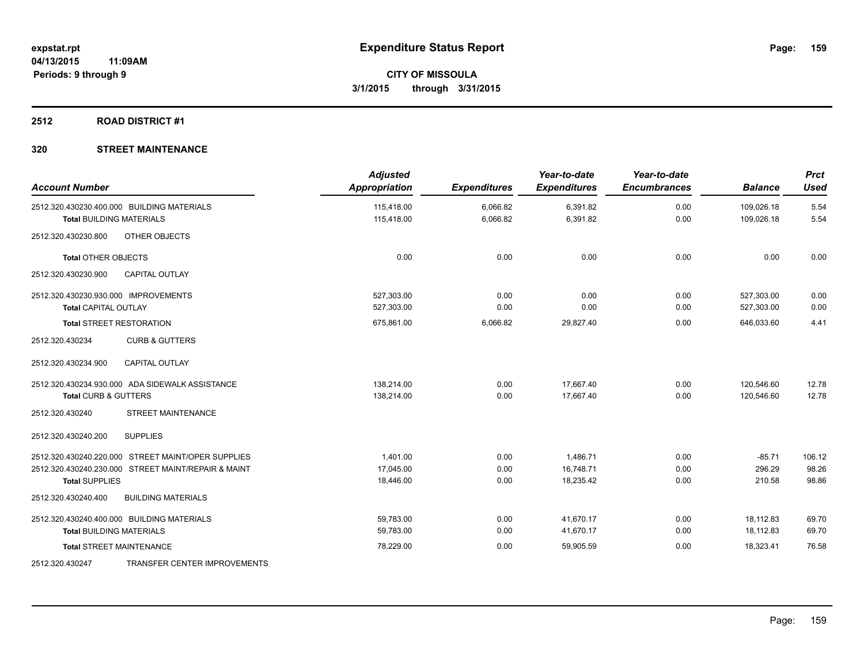### **2512 ROAD DISTRICT #1**

### **320 STREET MAINTENANCE**

| <b>Account Number</b>                               | <b>Adjusted</b><br>Appropriation | <b>Expenditures</b> | Year-to-date<br><b>Expenditures</b> | Year-to-date<br><b>Encumbrances</b> | <b>Balance</b> | <b>Prct</b><br><b>Used</b> |
|-----------------------------------------------------|----------------------------------|---------------------|-------------------------------------|-------------------------------------|----------------|----------------------------|
| 2512.320.430230.400.000 BUILDING MATERIALS          | 115,418.00                       | 6,066.82            | 6,391.82                            | 0.00                                | 109,026.18     | 5.54                       |
| <b>Total BUILDING MATERIALS</b>                     | 115,418.00                       | 6,066.82            | 6,391.82                            | 0.00                                | 109,026.18     | 5.54                       |
| 2512.320.430230.800<br>OTHER OBJECTS                |                                  |                     |                                     |                                     |                |                            |
| <b>Total OTHER OBJECTS</b>                          | 0.00                             | 0.00                | 0.00                                | 0.00                                | 0.00           | 0.00                       |
| 2512.320.430230.900<br><b>CAPITAL OUTLAY</b>        |                                  |                     |                                     |                                     |                |                            |
| 2512.320.430230.930.000 IMPROVEMENTS                | 527.303.00                       | 0.00                | 0.00                                | 0.00                                | 527,303.00     | 0.00                       |
| <b>Total CAPITAL OUTLAY</b>                         | 527,303.00                       | 0.00                | 0.00                                | 0.00                                | 527,303.00     | 0.00                       |
| <b>Total STREET RESTORATION</b>                     | 675,861.00                       | 6,066.82            | 29,827.40                           | 0.00                                | 646,033.60     | 4.41                       |
| 2512.320.430234<br><b>CURB &amp; GUTTERS</b>        |                                  |                     |                                     |                                     |                |                            |
| <b>CAPITAL OUTLAY</b><br>2512.320.430234.900        |                                  |                     |                                     |                                     |                |                            |
| 2512.320.430234.930.000 ADA SIDEWALK ASSISTANCE     | 138,214.00                       | 0.00                | 17.667.40                           | 0.00                                | 120,546.60     | 12.78                      |
| <b>Total CURB &amp; GUTTERS</b>                     | 138,214.00                       | 0.00                | 17,667.40                           | 0.00                                | 120,546.60     | 12.78                      |
| <b>STREET MAINTENANCE</b><br>2512.320.430240        |                                  |                     |                                     |                                     |                |                            |
| <b>SUPPLIES</b><br>2512.320.430240.200              |                                  |                     |                                     |                                     |                |                            |
| 2512.320.430240.220.000 STREET MAINT/OPER SUPPLIES  | 1.401.00                         | 0.00                | 1,486.71                            | 0.00                                | $-85.71$       | 106.12                     |
| 2512.320.430240.230.000 STREET MAINT/REPAIR & MAINT | 17,045.00                        | 0.00                | 16,748.71                           | 0.00                                | 296.29         | 98.26                      |
| <b>Total SUPPLIES</b>                               | 18,446.00                        | 0.00                | 18,235.42                           | 0.00                                | 210.58         | 98.86                      |
| <b>BUILDING MATERIALS</b><br>2512.320.430240.400    |                                  |                     |                                     |                                     |                |                            |
| 2512.320.430240.400.000 BUILDING MATERIALS          | 59,783.00                        | 0.00                | 41,670.17                           | 0.00                                | 18,112.83      | 69.70                      |
| <b>Total BUILDING MATERIALS</b>                     | 59.783.00                        | 0.00                | 41,670.17                           | 0.00                                | 18.112.83      | 69.70                      |
| <b>Total STREET MAINTENANCE</b>                     | 78,229.00                        | 0.00                | 59,905.59                           | 0.00                                | 18,323.41      | 76.58                      |
| TRANSFER CENTER IMPROVEMENTS<br>2512.320.430247     |                                  |                     |                                     |                                     |                |                            |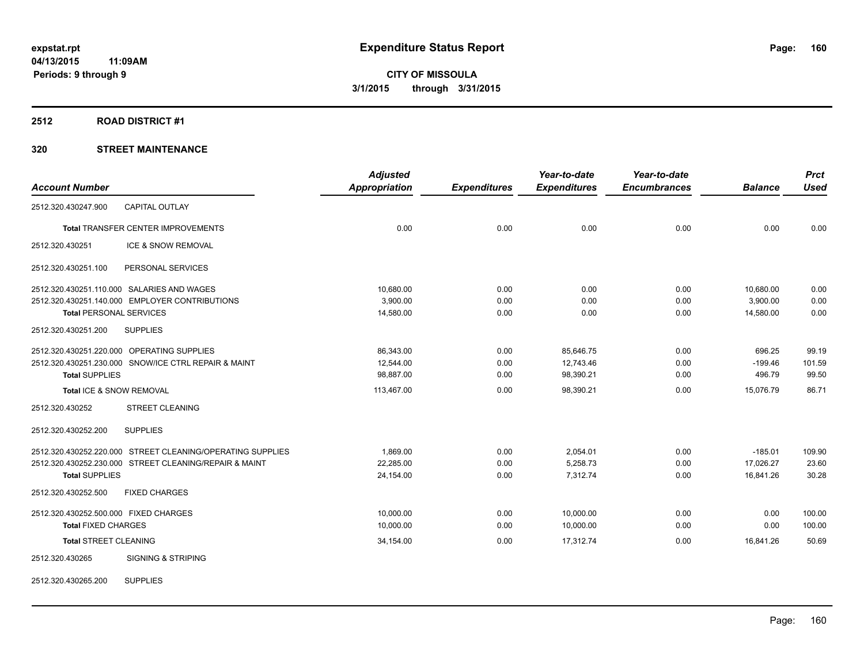#### **2512 ROAD DISTRICT #1**

### **320 STREET MAINTENANCE**

|                                       |                                                            | <b>Adjusted</b>      |                     | Year-to-date        | Year-to-date        |                | <b>Prct</b> |
|---------------------------------------|------------------------------------------------------------|----------------------|---------------------|---------------------|---------------------|----------------|-------------|
| <b>Account Number</b>                 |                                                            | <b>Appropriation</b> | <b>Expenditures</b> | <b>Expenditures</b> | <b>Encumbrances</b> | <b>Balance</b> | <b>Used</b> |
| 2512.320.430247.900                   | <b>CAPITAL OUTLAY</b>                                      |                      |                     |                     |                     |                |             |
|                                       | <b>Total TRANSFER CENTER IMPROVEMENTS</b>                  | 0.00                 | 0.00                | 0.00                | 0.00                | 0.00           | 0.00        |
| 2512.320.430251                       | ICE & SNOW REMOVAL                                         |                      |                     |                     |                     |                |             |
| 2512.320.430251.100                   | PERSONAL SERVICES                                          |                      |                     |                     |                     |                |             |
|                                       | 2512.320.430251.110.000 SALARIES AND WAGES                 | 10,680.00            | 0.00                | 0.00                | 0.00                | 10,680.00      | 0.00        |
|                                       | 2512.320.430251.140.000 EMPLOYER CONTRIBUTIONS             | 3,900.00             | 0.00                | 0.00                | 0.00                | 3,900.00       | 0.00        |
| <b>Total PERSONAL SERVICES</b>        |                                                            | 14,580.00            | 0.00                | 0.00                | 0.00                | 14,580.00      | 0.00        |
| 2512.320.430251.200                   | <b>SUPPLIES</b>                                            |                      |                     |                     |                     |                |             |
|                                       | 2512.320.430251.220.000 OPERATING SUPPLIES                 | 86,343.00            | 0.00                | 85,646.75           | 0.00                | 696.25         | 99.19       |
|                                       | 2512.320.430251.230.000 SNOW/ICE CTRL REPAIR & MAINT       | 12.544.00            | 0.00                | 12.743.46           | 0.00                | $-199.46$      | 101.59      |
| <b>Total SUPPLIES</b>                 |                                                            | 98,887.00            | 0.00                | 98,390.21           | 0.00                | 496.79         | 99.50       |
| Total ICE & SNOW REMOVAL              |                                                            | 113,467.00           | 0.00                | 98,390.21           | 0.00                | 15,076.79      | 86.71       |
| 2512.320.430252                       | <b>STREET CLEANING</b>                                     |                      |                     |                     |                     |                |             |
| 2512.320.430252.200                   | <b>SUPPLIES</b>                                            |                      |                     |                     |                     |                |             |
|                                       | 2512.320.430252.220.000 STREET CLEANING/OPERATING SUPPLIES | 1.869.00             | 0.00                | 2,054.01            | 0.00                | $-185.01$      | 109.90      |
|                                       | 2512.320.430252.230.000 STREET CLEANING/REPAIR & MAINT     | 22.285.00            | 0.00                | 5,258.73            | 0.00                | 17,026.27      | 23.60       |
| <b>Total SUPPLIES</b>                 |                                                            | 24,154.00            | 0.00                | 7,312.74            | 0.00                | 16,841.26      | 30.28       |
| 2512.320.430252.500                   | <b>FIXED CHARGES</b>                                       |                      |                     |                     |                     |                |             |
| 2512.320.430252.500.000 FIXED CHARGES |                                                            | 10,000.00            | 0.00                | 10,000.00           | 0.00                | 0.00           | 100.00      |
| <b>Total FIXED CHARGES</b>            |                                                            | 10,000.00            | 0.00                | 10,000.00           | 0.00                | 0.00           | 100.00      |
| <b>Total STREET CLEANING</b>          |                                                            | 34,154.00            | 0.00                | 17,312.74           | 0.00                | 16,841.26      | 50.69       |
| 2512.320.430265                       | <b>SIGNING &amp; STRIPING</b>                              |                      |                     |                     |                     |                |             |
|                                       |                                                            |                      |                     |                     |                     |                |             |

2512.320.430265.200 SUPPLIES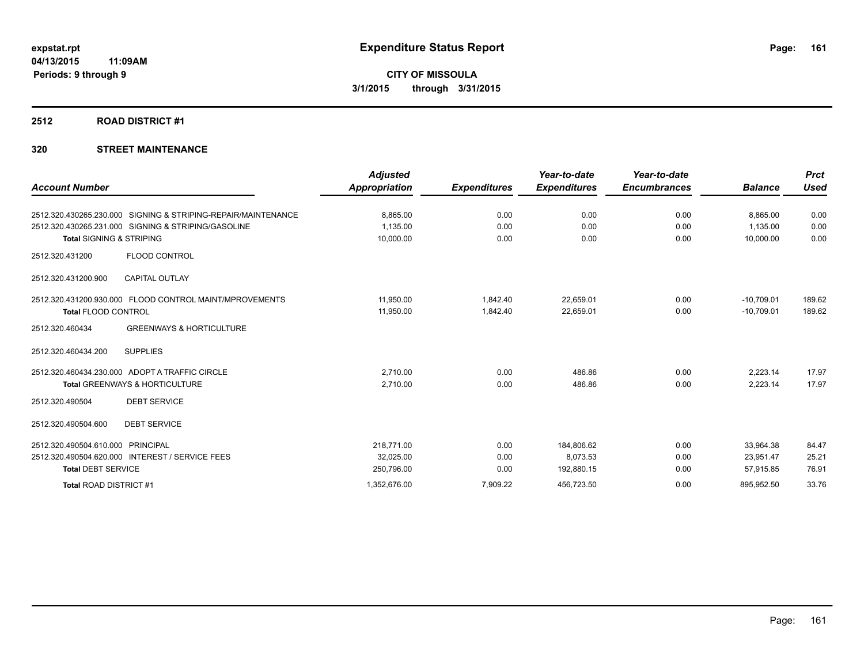#### **2512 ROAD DISTRICT #1**

### **320 STREET MAINTENANCE**

| <b>Account Number</b>               |                                                               | <b>Adjusted</b><br><b>Appropriation</b> | <b>Expenditures</b> | Year-to-date<br><b>Expenditures</b> | Year-to-date<br><b>Encumbrances</b> | <b>Balance</b> | <b>Prct</b><br><b>Used</b> |
|-------------------------------------|---------------------------------------------------------------|-----------------------------------------|---------------------|-------------------------------------|-------------------------------------|----------------|----------------------------|
|                                     |                                                               |                                         |                     |                                     |                                     |                |                            |
|                                     | 2512.320.430265.230.000 SIGNING & STRIPING-REPAIR/MAINTENANCE | 8.865.00                                | 0.00                | 0.00                                | 0.00                                | 8.865.00       | 0.00                       |
|                                     | 2512.320.430265.231.000 SIGNING & STRIPING/GASOLINE           | 1,135.00                                | 0.00                | 0.00                                | 0.00                                | 1.135.00       | 0.00                       |
| <b>Total SIGNING &amp; STRIPING</b> |                                                               | 10,000.00                               | 0.00                | 0.00                                | 0.00                                | 10,000.00      | 0.00                       |
| 2512.320.431200                     | FLOOD CONTROL                                                 |                                         |                     |                                     |                                     |                |                            |
| 2512.320.431200.900                 | <b>CAPITAL OUTLAY</b>                                         |                                         |                     |                                     |                                     |                |                            |
|                                     | 2512.320.431200.930.000 FLOOD CONTROL MAINT/MPROVEMENTS       | 11,950.00                               | 1,842.40            | 22,659.01                           | 0.00                                | $-10,709.01$   | 189.62                     |
| <b>Total FLOOD CONTROL</b>          |                                                               | 11,950.00                               | 1,842.40            | 22,659.01                           | 0.00                                | $-10,709.01$   | 189.62                     |
| 2512.320.460434                     | <b>GREENWAYS &amp; HORTICULTURE</b>                           |                                         |                     |                                     |                                     |                |                            |
| 2512.320.460434.200                 | <b>SUPPLIES</b>                                               |                                         |                     |                                     |                                     |                |                            |
|                                     | 2512.320.460434.230.000 ADOPT A TRAFFIC CIRCLE                | 2,710.00                                | 0.00                | 486.86                              | 0.00                                | 2.223.14       | 17.97                      |
|                                     | <b>Total GREENWAYS &amp; HORTICULTURE</b>                     | 2,710.00                                | 0.00                | 486.86                              | 0.00                                | 2,223.14       | 17.97                      |
| 2512.320.490504                     | <b>DEBT SERVICE</b>                                           |                                         |                     |                                     |                                     |                |                            |
| 2512.320.490504.600                 | <b>DEBT SERVICE</b>                                           |                                         |                     |                                     |                                     |                |                            |
| 2512.320.490504.610.000             | <b>PRINCIPAL</b>                                              | 218,771.00                              | 0.00                | 184,806.62                          | 0.00                                | 33,964.38      | 84.47                      |
|                                     | 2512.320.490504.620.000 INTEREST / SERVICE FEES               | 32,025.00                               | 0.00                | 8,073.53                            | 0.00                                | 23,951.47      | 25.21                      |
| <b>Total DEBT SERVICE</b>           |                                                               | 250,796.00                              | 0.00                | 192,880.15                          | 0.00                                | 57,915.85      | 76.91                      |
| Total ROAD DISTRICT #1              |                                                               | 1,352,676.00                            | 7,909.22            | 456,723.50                          | 0.00                                | 895,952.50     | 33.76                      |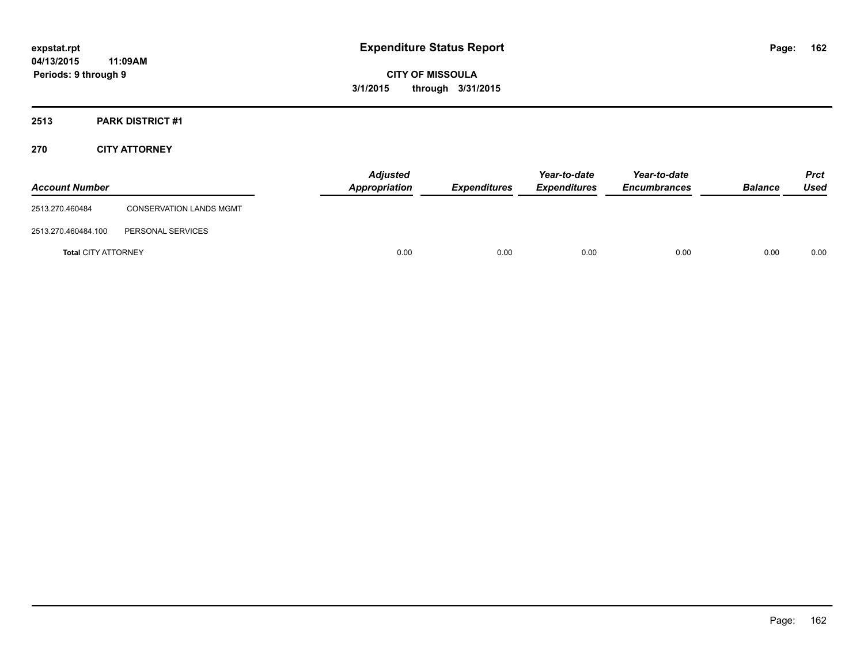**CITY OF MISSOULA 3/1/2015 through 3/31/2015**

### **2513 PARK DISTRICT #1**

### **270 CITY ATTORNEY**

| <b>Account Number</b>      |                                | <b>Adjusted</b><br>Appropriation | <b>Expenditures</b> | Year-to-date<br><b>Expenditures</b> | Year-to-date<br><b>Encumbrances</b> | <b>Balance</b> | <b>Prct</b><br>Used |
|----------------------------|--------------------------------|----------------------------------|---------------------|-------------------------------------|-------------------------------------|----------------|---------------------|
| 2513.270.460484            | <b>CONSERVATION LANDS MGMT</b> |                                  |                     |                                     |                                     |                |                     |
| 2513.270.460484.100        | PERSONAL SERVICES              |                                  |                     |                                     |                                     |                |                     |
| <b>Total CITY ATTORNEY</b> |                                | 0.00                             | 0.00                | 0.00                                | 0.00                                | 0.00           | 0.00                |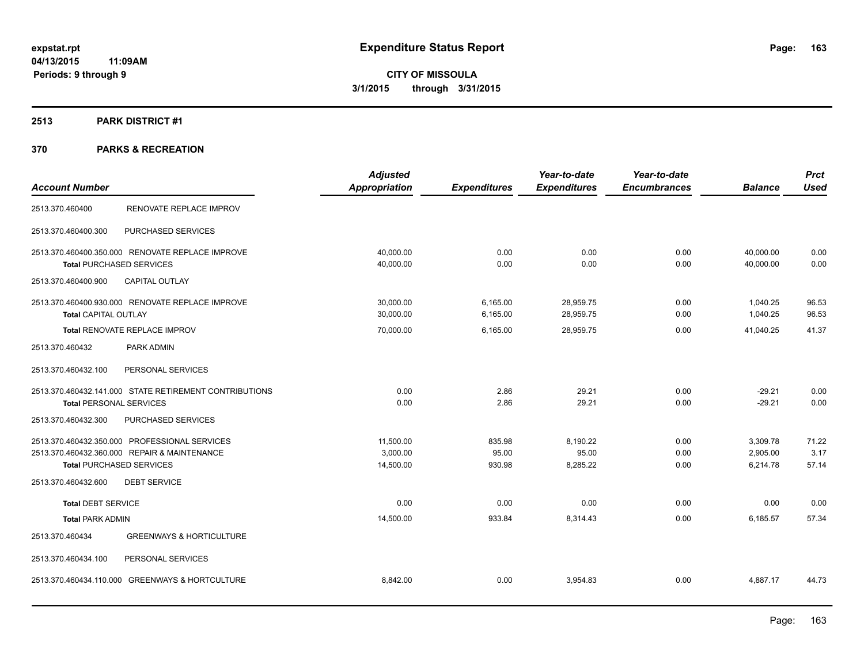### **2513 PARK DISTRICT #1**

|                                                        | <b>Adjusted</b> |                     | Year-to-date        | Year-to-date        |                | <b>Prct</b> |
|--------------------------------------------------------|-----------------|---------------------|---------------------|---------------------|----------------|-------------|
| <b>Account Number</b>                                  | Appropriation   | <b>Expenditures</b> | <b>Expenditures</b> | <b>Encumbrances</b> | <b>Balance</b> | <b>Used</b> |
| RENOVATE REPLACE IMPROV<br>2513.370.460400             |                 |                     |                     |                     |                |             |
| PURCHASED SERVICES<br>2513.370.460400.300              |                 |                     |                     |                     |                |             |
| 2513.370.460400.350.000 RENOVATE REPLACE IMPROVE       | 40,000.00       | 0.00                | 0.00                | 0.00                | 40,000.00      | 0.00        |
| <b>Total PURCHASED SERVICES</b>                        | 40,000.00       | 0.00                | 0.00                | 0.00                | 40,000.00      | 0.00        |
| <b>CAPITAL OUTLAY</b><br>2513.370.460400.900           |                 |                     |                     |                     |                |             |
| 2513.370.460400.930.000 RENOVATE REPLACE IMPROVE       | 30,000.00       | 6,165.00            | 28,959.75           | 0.00                | 1,040.25       | 96.53       |
| <b>Total CAPITAL OUTLAY</b>                            | 30,000.00       | 6,165.00            | 28,959.75           | 0.00                | 1,040.25       | 96.53       |
| <b>Total RENOVATE REPLACE IMPROV</b>                   | 70,000.00       | 6,165.00            | 28,959.75           | 0.00                | 41,040.25      | 41.37       |
| 2513.370.460432<br>PARK ADMIN                          |                 |                     |                     |                     |                |             |
| 2513.370.460432.100<br>PERSONAL SERVICES               |                 |                     |                     |                     |                |             |
| 2513.370.460432.141.000 STATE RETIREMENT CONTRIBUTIONS | 0.00            | 2.86                | 29.21               | 0.00                | $-29.21$       | 0.00        |
| <b>Total PERSONAL SERVICES</b>                         | 0.00            | 2.86                | 29.21               | 0.00                | $-29.21$       | 0.00        |
| PURCHASED SERVICES<br>2513.370.460432.300              |                 |                     |                     |                     |                |             |
| 2513.370.460432.350.000 PROFESSIONAL SERVICES          | 11,500.00       | 835.98              | 8,190.22            | 0.00                | 3,309.78       | 71.22       |
| 2513.370.460432.360.000 REPAIR & MAINTENANCE           | 3.000.00        | 95.00               | 95.00               | 0.00                | 2,905.00       | 3.17        |
| <b>Total PURCHASED SERVICES</b>                        | 14,500.00       | 930.98              | 8,285.22            | 0.00                | 6,214.78       | 57.14       |
| 2513.370.460432.600<br><b>DEBT SERVICE</b>             |                 |                     |                     |                     |                |             |
| <b>Total DEBT SERVICE</b>                              | 0.00            | 0.00                | 0.00                | 0.00                | 0.00           | 0.00        |
| <b>Total PARK ADMIN</b>                                | 14,500.00       | 933.84              | 8,314.43            | 0.00                | 6,185.57       | 57.34       |
| 2513.370.460434<br><b>GREENWAYS &amp; HORTICULTURE</b> |                 |                     |                     |                     |                |             |
| 2513.370.460434.100<br>PERSONAL SERVICES               |                 |                     |                     |                     |                |             |
| 2513.370.460434.110.000 GREENWAYS & HORTCULTURE        | 8,842.00        | 0.00                | 3,954.83            | 0.00                | 4,887.17       | 44.73       |
|                                                        |                 |                     |                     |                     |                |             |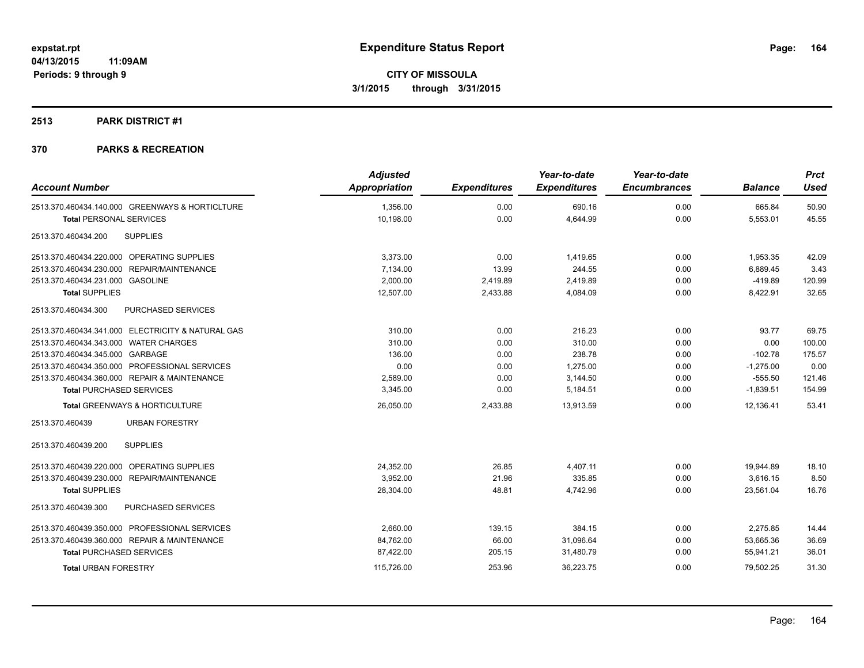#### **2513 PARK DISTRICT #1**

| <b>Account Number</b>                             | <b>Adjusted</b><br><b>Appropriation</b> | <b>Expenditures</b> | Year-to-date<br><b>Expenditures</b> | Year-to-date<br><b>Encumbrances</b> | <b>Balance</b> | <b>Prct</b><br><b>Used</b> |
|---------------------------------------------------|-----------------------------------------|---------------------|-------------------------------------|-------------------------------------|----------------|----------------------------|
| 2513.370.460434.140.000 GREENWAYS & HORTICLTURE   | 1,356.00                                | 0.00                | 690.16                              | 0.00                                | 665.84         | 50.90                      |
| <b>Total PERSONAL SERVICES</b>                    | 10,198.00                               | 0.00                | 4,644.99                            | 0.00                                | 5,553.01       | 45.55                      |
| 2513.370.460434.200<br><b>SUPPLIES</b>            |                                         |                     |                                     |                                     |                |                            |
| 2513.370.460434.220.000 OPERATING SUPPLIES        | 3,373.00                                | 0.00                | 1,419.65                            | 0.00                                | 1,953.35       | 42.09                      |
| 2513.370.460434.230.000 REPAIR/MAINTENANCE        | 7,134.00                                | 13.99               | 244.55                              | 0.00                                | 6,889.45       | 3.43                       |
| 2513.370.460434.231.000 GASOLINE                  | 2,000.00                                | 2,419.89            | 2,419.89                            | 0.00                                | $-419.89$      | 120.99                     |
| <b>Total SUPPLIES</b>                             | 12,507.00                               | 2,433.88            | 4,084.09                            | 0.00                                | 8,422.91       | 32.65                      |
| 2513.370.460434.300<br>PURCHASED SERVICES         |                                         |                     |                                     |                                     |                |                            |
| 2513.370.460434.341.000 ELECTRICITY & NATURAL GAS | 310.00                                  | 0.00                | 216.23                              | 0.00                                | 93.77          | 69.75                      |
| 2513.370.460434.343.000 WATER CHARGES             | 310.00                                  | 0.00                | 310.00                              | 0.00                                | 0.00           | 100.00                     |
| 2513.370.460434.345.000 GARBAGE                   | 136.00                                  | 0.00                | 238.78                              | 0.00                                | $-102.78$      | 175.57                     |
| 2513.370.460434.350.000 PROFESSIONAL SERVICES     | 0.00                                    | 0.00                | 1,275.00                            | 0.00                                | $-1,275.00$    | 0.00                       |
| 2513.370.460434.360.000 REPAIR & MAINTENANCE      | 2,589.00                                | 0.00                | 3,144.50                            | 0.00                                | $-555.50$      | 121.46                     |
| <b>Total PURCHASED SERVICES</b>                   | 3,345.00                                | 0.00                | 5,184.51                            | 0.00                                | $-1,839.51$    | 154.99                     |
| Total GREENWAYS & HORTICULTURE                    | 26,050.00                               | 2,433.88            | 13,913.59                           | 0.00                                | 12,136.41      | 53.41                      |
| 2513.370.460439<br><b>URBAN FORESTRY</b>          |                                         |                     |                                     |                                     |                |                            |
| 2513.370.460439.200<br><b>SUPPLIES</b>            |                                         |                     |                                     |                                     |                |                            |
| 2513.370.460439.220.000 OPERATING SUPPLIES        | 24,352.00                               | 26.85               | 4,407.11                            | 0.00                                | 19,944.89      | 18.10                      |
| 2513.370.460439.230.000 REPAIR/MAINTENANCE        | 3.952.00                                | 21.96               | 335.85                              | 0.00                                | 3,616.15       | 8.50                       |
| <b>Total SUPPLIES</b>                             | 28,304.00                               | 48.81               | 4,742.96                            | 0.00                                | 23,561.04      | 16.76                      |
| 2513.370.460439.300<br>PURCHASED SERVICES         |                                         |                     |                                     |                                     |                |                            |
| 2513.370.460439.350.000 PROFESSIONAL SERVICES     | 2,660.00                                | 139.15              | 384.15                              | 0.00                                | 2,275.85       | 14.44                      |
| 2513.370.460439.360.000 REPAIR & MAINTENANCE      | 84,762.00                               | 66.00               | 31,096.64                           | 0.00                                | 53,665.36      | 36.69                      |
| <b>Total PURCHASED SERVICES</b>                   | 87,422.00                               | 205.15              | 31,480.79                           | 0.00                                | 55,941.21      | 36.01                      |
| <b>Total URBAN FORESTRY</b>                       | 115,726.00                              | 253.96              | 36,223.75                           | 0.00                                | 79,502.25      | 31.30                      |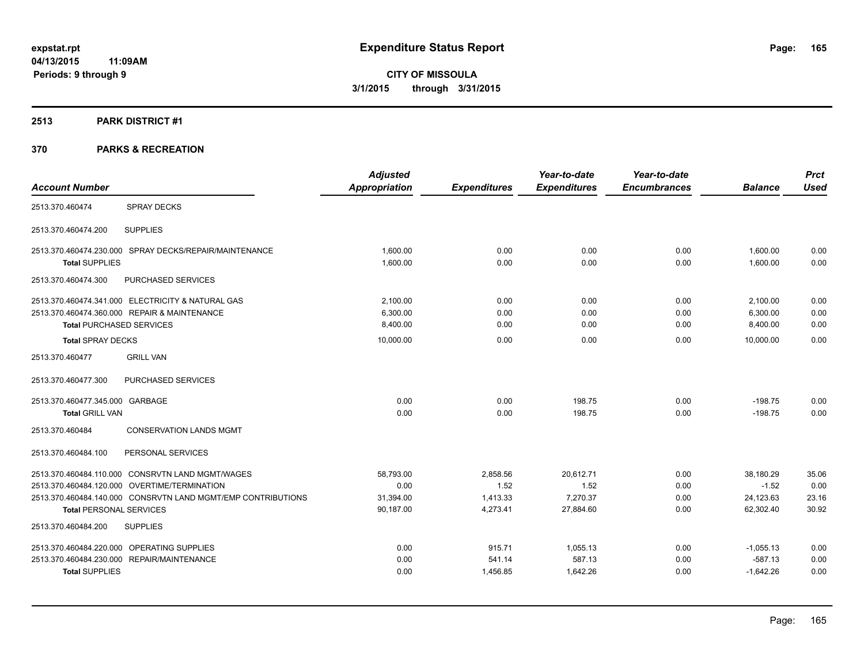#### **2513 PARK DISTRICT #1**

|                                                              | <b>Adjusted</b>      |                     | Year-to-date        | Year-to-date        |                | <b>Prct</b> |
|--------------------------------------------------------------|----------------------|---------------------|---------------------|---------------------|----------------|-------------|
| <b>Account Number</b>                                        | <b>Appropriation</b> | <b>Expenditures</b> | <b>Expenditures</b> | <b>Encumbrances</b> | <b>Balance</b> | <b>Used</b> |
| <b>SPRAY DECKS</b><br>2513.370.460474                        |                      |                     |                     |                     |                |             |
| 2513.370.460474.200<br><b>SUPPLIES</b>                       |                      |                     |                     |                     |                |             |
| 2513.370.460474.230.000 SPRAY DECKS/REPAIR/MAINTENANCE       | 1,600.00             | 0.00                | 0.00                | 0.00                | 1,600.00       | 0.00        |
| <b>Total SUPPLIES</b>                                        | 1.600.00             | 0.00                | 0.00                | 0.00                | 1.600.00       | 0.00        |
| 2513.370.460474.300<br>PURCHASED SERVICES                    |                      |                     |                     |                     |                |             |
| 2513.370.460474.341.000 ELECTRICITY & NATURAL GAS            | 2.100.00             | 0.00                | 0.00                | 0.00                | 2,100.00       | 0.00        |
| 2513.370.460474.360.000 REPAIR & MAINTENANCE                 | 6,300.00             | 0.00                | 0.00                | 0.00                | 6,300.00       | 0.00        |
| <b>Total PURCHASED SERVICES</b>                              | 8,400.00             | 0.00                | 0.00                | 0.00                | 8,400.00       | 0.00        |
| <b>Total SPRAY DECKS</b>                                     | 10,000.00            | 0.00                | 0.00                | 0.00                | 10,000.00      | 0.00        |
| 2513.370.460477<br><b>GRILL VAN</b>                          |                      |                     |                     |                     |                |             |
| PURCHASED SERVICES<br>2513.370.460477.300                    |                      |                     |                     |                     |                |             |
| 2513.370.460477.345.000 GARBAGE                              | 0.00                 | 0.00                | 198.75              | 0.00                | $-198.75$      | 0.00        |
| <b>Total GRILL VAN</b>                                       | 0.00                 | 0.00                | 198.75              | 0.00                | $-198.75$      | 0.00        |
| 2513.370.460484<br><b>CONSERVATION LANDS MGMT</b>            |                      |                     |                     |                     |                |             |
| 2513.370.460484.100<br>PERSONAL SERVICES                     |                      |                     |                     |                     |                |             |
| 2513.370.460484.110.000 CONSRVTN LAND MGMT/WAGES             | 58,793.00            | 2,858.56            | 20.612.71           | 0.00                | 38.180.29      | 35.06       |
| 2513.370.460484.120.000 OVERTIME/TERMINATION                 | 0.00                 | 1.52                | 1.52                | 0.00                | $-1.52$        | 0.00        |
| 2513.370.460484.140.000 CONSRVTN LAND MGMT/EMP CONTRIBUTIONS | 31,394.00            | 1,413.33            | 7,270.37            | 0.00                | 24,123.63      | 23.16       |
| <b>Total PERSONAL SERVICES</b>                               | 90,187.00            | 4,273.41            | 27,884.60           | 0.00                | 62,302.40      | 30.92       |
| 2513.370.460484.200<br><b>SUPPLIES</b>                       |                      |                     |                     |                     |                |             |
| 2513.370.460484.220.000 OPERATING SUPPLIES                   | 0.00                 | 915.71              | 1,055.13            | 0.00                | $-1,055.13$    | 0.00        |
| 2513.370.460484.230.000 REPAIR/MAINTENANCE                   | 0.00                 | 541.14              | 587.13              | 0.00                | $-587.13$      | 0.00        |
| <b>Total SUPPLIES</b>                                        | 0.00                 | 1,456.85            | 1,642.26            | 0.00                | $-1,642.26$    | 0.00        |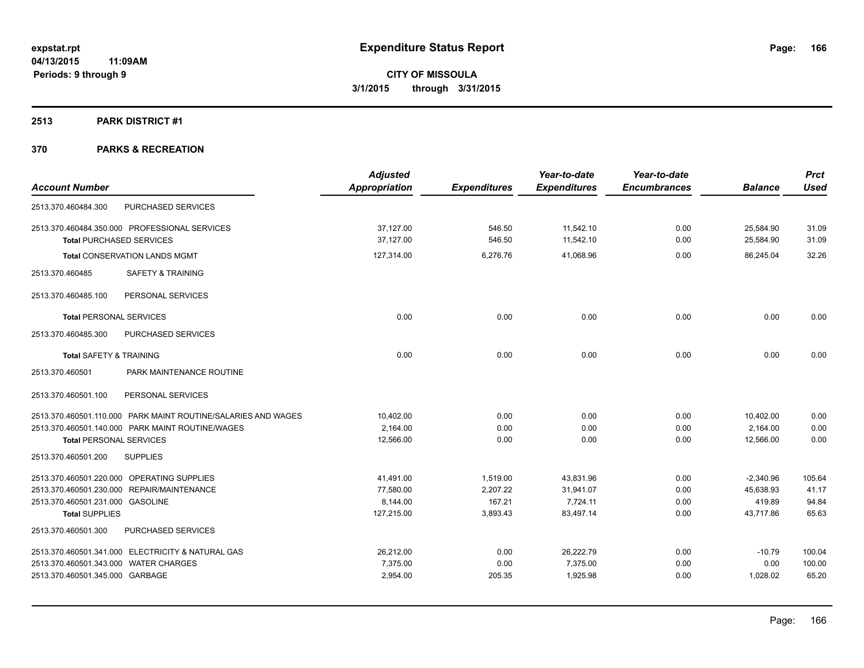#### **2513 PARK DISTRICT #1**

|                                       |                                                               | <b>Adjusted</b>      |                     | Year-to-date        | Year-to-date        |                | <b>Prct</b> |
|---------------------------------------|---------------------------------------------------------------|----------------------|---------------------|---------------------|---------------------|----------------|-------------|
| <b>Account Number</b>                 |                                                               | <b>Appropriation</b> | <b>Expenditures</b> | <b>Expenditures</b> | <b>Encumbrances</b> | <b>Balance</b> | <b>Used</b> |
| 2513.370.460484.300                   | PURCHASED SERVICES                                            |                      |                     |                     |                     |                |             |
|                                       | 2513.370.460484.350.000 PROFESSIONAL SERVICES                 | 37,127.00            | 546.50              | 11,542.10           | 0.00                | 25,584.90      | 31.09       |
| <b>Total PURCHASED SERVICES</b>       |                                                               | 37,127.00            | 546.50              | 11,542.10           | 0.00                | 25,584.90      | 31.09       |
|                                       | <b>Total CONSERVATION LANDS MGMT</b>                          | 127,314.00           | 6,276.76            | 41.068.96           | 0.00                | 86.245.04      | 32.26       |
| 2513.370.460485                       | <b>SAFETY &amp; TRAINING</b>                                  |                      |                     |                     |                     |                |             |
| 2513.370.460485.100                   | PERSONAL SERVICES                                             |                      |                     |                     |                     |                |             |
| <b>Total PERSONAL SERVICES</b>        |                                                               | 0.00                 | 0.00                | 0.00                | 0.00                | 0.00           | 0.00        |
| 2513.370.460485.300                   | PURCHASED SERVICES                                            |                      |                     |                     |                     |                |             |
| <b>Total SAFETY &amp; TRAINING</b>    |                                                               | 0.00                 | 0.00                | 0.00                | 0.00                | 0.00           | 0.00        |
| 2513.370.460501                       | PARK MAINTENANCE ROUTINE                                      |                      |                     |                     |                     |                |             |
| 2513.370.460501.100                   | PERSONAL SERVICES                                             |                      |                     |                     |                     |                |             |
|                                       | 2513.370.460501.110.000 PARK MAINT ROUTINE/SALARIES AND WAGES | 10,402.00            | 0.00                | 0.00                | 0.00                | 10,402.00      | 0.00        |
|                                       | 2513.370.460501.140.000 PARK MAINT ROUTINE/WAGES              | 2,164.00             | 0.00                | 0.00                | 0.00                | 2,164.00       | 0.00        |
| <b>Total PERSONAL SERVICES</b>        |                                                               | 12,566.00            | 0.00                | 0.00                | 0.00                | 12,566.00      | 0.00        |
| 2513.370.460501.200                   | <b>SUPPLIES</b>                                               |                      |                     |                     |                     |                |             |
|                                       | 2513.370.460501.220.000 OPERATING SUPPLIES                    | 41,491.00            | 1,519.00            | 43,831.96           | 0.00                | $-2,340.96$    | 105.64      |
|                                       | 2513.370.460501.230.000 REPAIR/MAINTENANCE                    | 77.580.00            | 2.207.22            | 31,941.07           | 0.00                | 45,638.93      | 41.17       |
| 2513.370.460501.231.000 GASOLINE      |                                                               | 8.144.00             | 167.21              | 7.724.11            | 0.00                | 419.89         | 94.84       |
| <b>Total SUPPLIES</b>                 |                                                               | 127,215.00           | 3,893.43            | 83,497.14           | 0.00                | 43,717.86      | 65.63       |
| 2513.370.460501.300                   | PURCHASED SERVICES                                            |                      |                     |                     |                     |                |             |
|                                       | 2513.370.460501.341.000 ELECTRICITY & NATURAL GAS             | 26.212.00            | 0.00                | 26,222.79           | 0.00                | $-10.79$       | 100.04      |
| 2513.370.460501.343.000 WATER CHARGES |                                                               | 7,375.00             | 0.00                | 7,375.00            | 0.00                | 0.00           | 100.00      |
| 2513.370.460501.345.000 GARBAGE       |                                                               | 2,954.00             | 205.35              | 1,925.98            | 0.00                | 1,028.02       | 65.20       |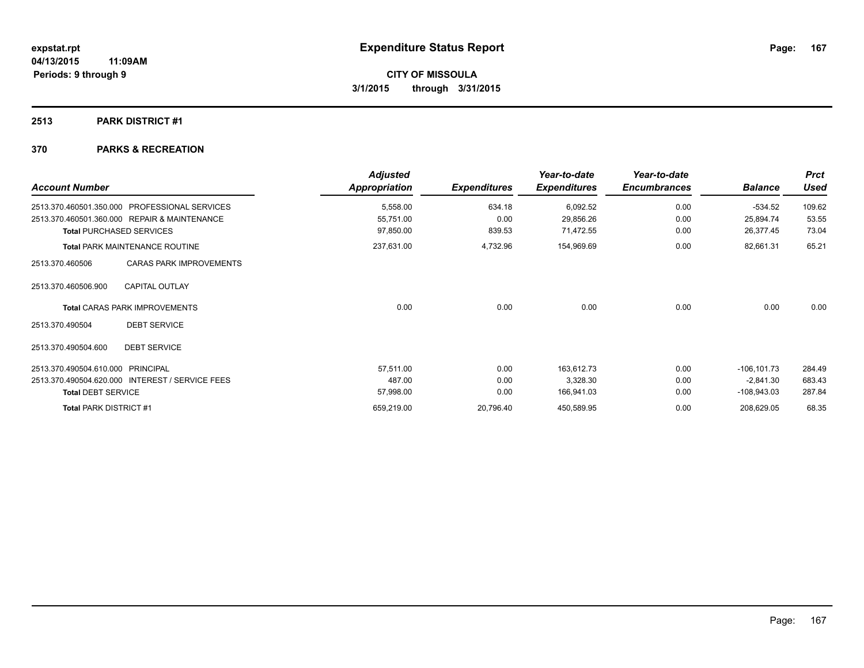### **2513 PARK DISTRICT #1**

| <b>Account Number</b>                 |                                                 | <b>Adjusted</b><br>Appropriation | <b>Expenditures</b> | Year-to-date<br><b>Expenditures</b> | Year-to-date<br><b>Encumbrances</b> | <b>Balance</b> | <b>Prct</b><br><b>Used</b> |
|---------------------------------------|-------------------------------------------------|----------------------------------|---------------------|-------------------------------------|-------------------------------------|----------------|----------------------------|
| 2513.370.460501.350.000               | <b>PROFESSIONAL SERVICES</b>                    | 5,558.00                         | 634.18              | 6,092.52                            | 0.00                                | $-534.52$      | 109.62                     |
|                                       | 2513.370.460501.360.000 REPAIR & MAINTENANCE    | 55,751.00                        | 0.00                | 29,856.26                           | 0.00                                | 25,894.74      | 53.55                      |
|                                       | <b>Total PURCHASED SERVICES</b>                 | 97,850.00                        | 839.53              | 71,472.55                           | 0.00                                | 26,377.45      | 73.04                      |
| <b>Total PARK MAINTENANCE ROUTINE</b> |                                                 | 237,631.00                       | 4,732.96            | 154,969.69                          | 0.00                                | 82,661.31      | 65.21                      |
| 2513.370.460506                       | <b>CARAS PARK IMPROVEMENTS</b>                  |                                  |                     |                                     |                                     |                |                            |
| 2513.370.460506.900                   | <b>CAPITAL OUTLAY</b>                           |                                  |                     |                                     |                                     |                |                            |
|                                       | <b>Total CARAS PARK IMPROVEMENTS</b>            | 0.00                             | 0.00                | 0.00                                | 0.00                                | 0.00           | 0.00                       |
| 2513.370.490504                       | <b>DEBT SERVICE</b>                             |                                  |                     |                                     |                                     |                |                            |
| 2513.370.490504.600                   | <b>DEBT SERVICE</b>                             |                                  |                     |                                     |                                     |                |                            |
| 2513.370.490504.610.000               | <b>PRINCIPAL</b>                                | 57,511.00                        | 0.00                | 163,612.73                          | 0.00                                | $-106, 101.73$ | 284.49                     |
|                                       | 2513.370.490504.620.000 INTEREST / SERVICE FEES | 487.00                           | 0.00                | 3,328.30                            | 0.00                                | $-2,841.30$    | 683.43                     |
| <b>Total DEBT SERVICE</b>             |                                                 | 57,998.00                        | 0.00                | 166,941.03                          | 0.00                                | $-108,943.03$  | 287.84                     |
| Total PARK DISTRICT #1                |                                                 | 659,219.00                       | 20,796.40           | 450,589.95                          | 0.00                                | 208,629.05     | 68.35                      |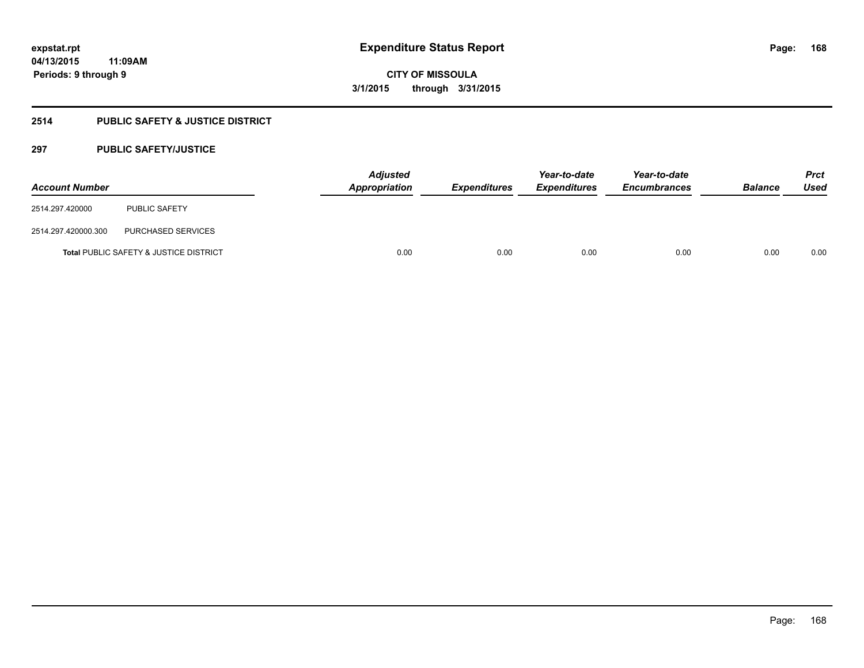### **2514 PUBLIC SAFETY & JUSTICE DISTRICT**

### **297 PUBLIC SAFETY/JUSTICE**

| <b>Account Number</b> |                                                   | <b>Adjusted</b><br>Appropriation | <b>Expenditures</b> | Year-to-date<br><b>Expenditures</b> | Year-to-date<br><b>Encumbrances</b> | <b>Balance</b> | <b>Prct</b><br><b>Used</b> |
|-----------------------|---------------------------------------------------|----------------------------------|---------------------|-------------------------------------|-------------------------------------|----------------|----------------------------|
| 2514.297.420000       | <b>PUBLIC SAFETY</b>                              |                                  |                     |                                     |                                     |                |                            |
| 2514.297.420000.300   | PURCHASED SERVICES                                |                                  |                     |                                     |                                     |                |                            |
|                       | <b>Total PUBLIC SAFETY &amp; JUSTICE DISTRICT</b> | 0.00                             | 0.00                | 0.00                                | 0.00                                | 0.00           | 0.00                       |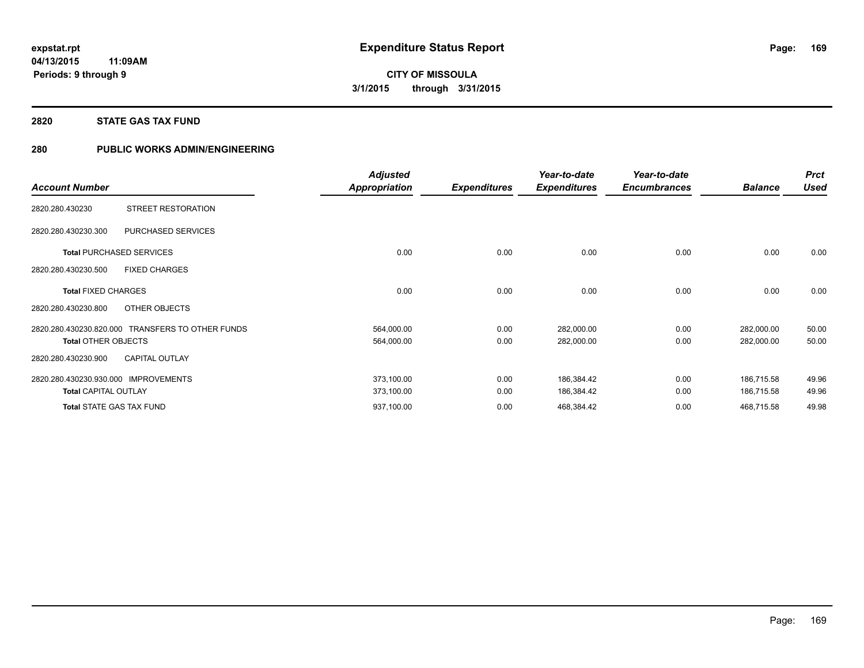#### **2820 STATE GAS TAX FUND**

### **280 PUBLIC WORKS ADMIN/ENGINEERING**

|                                                  | <b>Adjusted</b>      |                     | Year-to-date        | Year-to-date        |                | <b>Prct</b> |
|--------------------------------------------------|----------------------|---------------------|---------------------|---------------------|----------------|-------------|
| <b>Account Number</b>                            | <b>Appropriation</b> | <b>Expenditures</b> | <b>Expenditures</b> | <b>Encumbrances</b> | <b>Balance</b> | <b>Used</b> |
| STREET RESTORATION<br>2820.280.430230            |                      |                     |                     |                     |                |             |
| PURCHASED SERVICES<br>2820.280.430230.300        |                      |                     |                     |                     |                |             |
| <b>Total PURCHASED SERVICES</b>                  | 0.00                 | 0.00                | 0.00                | 0.00                | 0.00           | 0.00        |
| 2820.280.430230.500<br><b>FIXED CHARGES</b>      |                      |                     |                     |                     |                |             |
| <b>Total FIXED CHARGES</b>                       | 0.00                 | 0.00                | 0.00                | 0.00                | 0.00           | 0.00        |
| 2820.280.430230.800<br>OTHER OBJECTS             |                      |                     |                     |                     |                |             |
| 2820.280.430230.820.000 TRANSFERS TO OTHER FUNDS | 564,000.00           | 0.00                | 282,000.00          | 0.00                | 282,000.00     | 50.00       |
| <b>Total OTHER OBJECTS</b>                       | 564,000.00           | 0.00                | 282,000.00          | 0.00                | 282,000.00     | 50.00       |
| <b>CAPITAL OUTLAY</b><br>2820.280.430230.900     |                      |                     |                     |                     |                |             |
| 2820.280.430230.930.000<br><b>IMPROVEMENTS</b>   | 373,100.00           | 0.00                | 186,384.42          | 0.00                | 186,715.58     | 49.96       |
| <b>Total CAPITAL OUTLAY</b>                      | 373,100.00           | 0.00                | 186,384.42          | 0.00                | 186,715.58     | 49.96       |
| <b>Total STATE GAS TAX FUND</b>                  | 937,100.00           | 0.00                | 468,384.42          | 0.00                | 468,715.58     | 49.98       |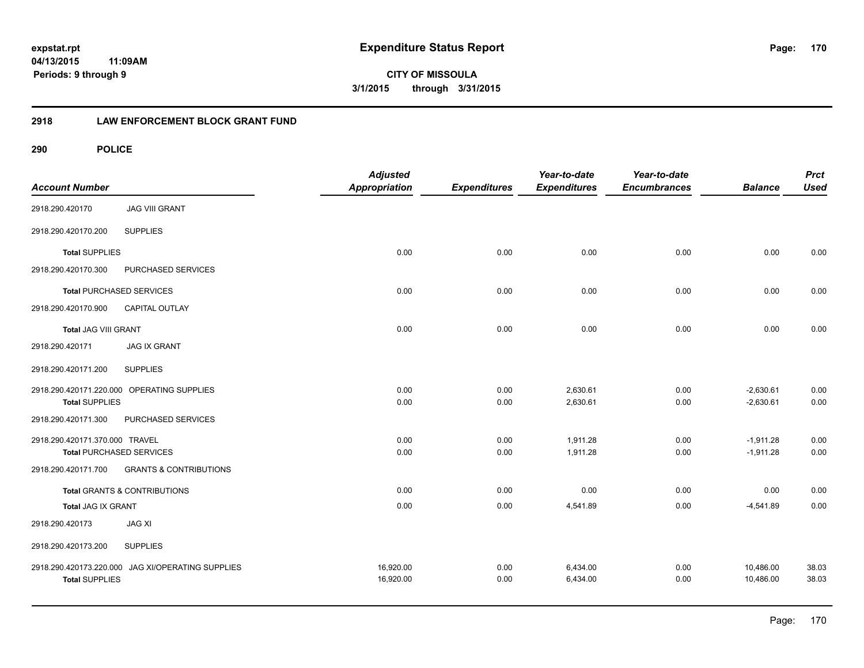**CITY OF MISSOULA 3/1/2015 through 3/31/2015**

### **2918 LAW ENFORCEMENT BLOCK GRANT FUND**

| <b>Account Number</b>           |                                                   | <b>Adjusted</b><br><b>Appropriation</b> | <b>Expenditures</b> | Year-to-date<br><b>Expenditures</b> | Year-to-date<br><b>Encumbrances</b> | <b>Balance</b> | <b>Prct</b><br><b>Used</b> |
|---------------------------------|---------------------------------------------------|-----------------------------------------|---------------------|-------------------------------------|-------------------------------------|----------------|----------------------------|
| 2918.290.420170                 | <b>JAG VIII GRANT</b>                             |                                         |                     |                                     |                                     |                |                            |
| 2918.290.420170.200             | <b>SUPPLIES</b>                                   |                                         |                     |                                     |                                     |                |                            |
| <b>Total SUPPLIES</b>           |                                                   | 0.00                                    | 0.00                | 0.00                                | 0.00                                | 0.00           | 0.00                       |
| 2918.290.420170.300             | PURCHASED SERVICES                                |                                         |                     |                                     |                                     |                |                            |
| <b>Total PURCHASED SERVICES</b> |                                                   | 0.00                                    | 0.00                | 0.00                                | 0.00                                | 0.00           | 0.00                       |
| 2918.290.420170.900             | CAPITAL OUTLAY                                    |                                         |                     |                                     |                                     |                |                            |
| <b>Total JAG VIII GRANT</b>     |                                                   | 0.00                                    | 0.00                | 0.00                                | 0.00                                | 0.00           | 0.00                       |
| 2918.290.420171                 | <b>JAG IX GRANT</b>                               |                                         |                     |                                     |                                     |                |                            |
| 2918.290.420171.200             | <b>SUPPLIES</b>                                   |                                         |                     |                                     |                                     |                |                            |
|                                 | 2918.290.420171.220.000 OPERATING SUPPLIES        | 0.00                                    | 0.00                | 2,630.61                            | 0.00                                | $-2,630.61$    | 0.00                       |
| <b>Total SUPPLIES</b>           |                                                   | 0.00                                    | 0.00                | 2,630.61                            | 0.00                                | $-2,630.61$    | 0.00                       |
| 2918.290.420171.300             | PURCHASED SERVICES                                |                                         |                     |                                     |                                     |                |                            |
| 2918.290.420171.370.000 TRAVEL  |                                                   | 0.00                                    | 0.00                | 1.911.28                            | 0.00                                | $-1,911.28$    | 0.00                       |
| <b>Total PURCHASED SERVICES</b> |                                                   | 0.00                                    | 0.00                | 1,911.28                            | 0.00                                | $-1,911.28$    | 0.00                       |
| 2918.290.420171.700             | <b>GRANTS &amp; CONTRIBUTIONS</b>                 |                                         |                     |                                     |                                     |                |                            |
|                                 | Total GRANTS & CONTRIBUTIONS                      | 0.00                                    | 0.00                | 0.00                                | 0.00                                | 0.00           | 0.00                       |
| Total JAG IX GRANT              |                                                   | 0.00                                    | 0.00                | 4,541.89                            | 0.00                                | $-4,541.89$    | 0.00                       |
| 2918.290.420173                 | <b>JAG XI</b>                                     |                                         |                     |                                     |                                     |                |                            |
| 2918.290.420173.200             | <b>SUPPLIES</b>                                   |                                         |                     |                                     |                                     |                |                            |
|                                 | 2918.290.420173.220.000 JAG XI/OPERATING SUPPLIES | 16,920.00                               | 0.00                | 6,434.00                            | 0.00                                | 10,486.00      | 38.03                      |
| <b>Total SUPPLIES</b>           |                                                   | 16,920.00                               | 0.00                | 6,434.00                            | 0.00                                | 10,486.00      | 38.03                      |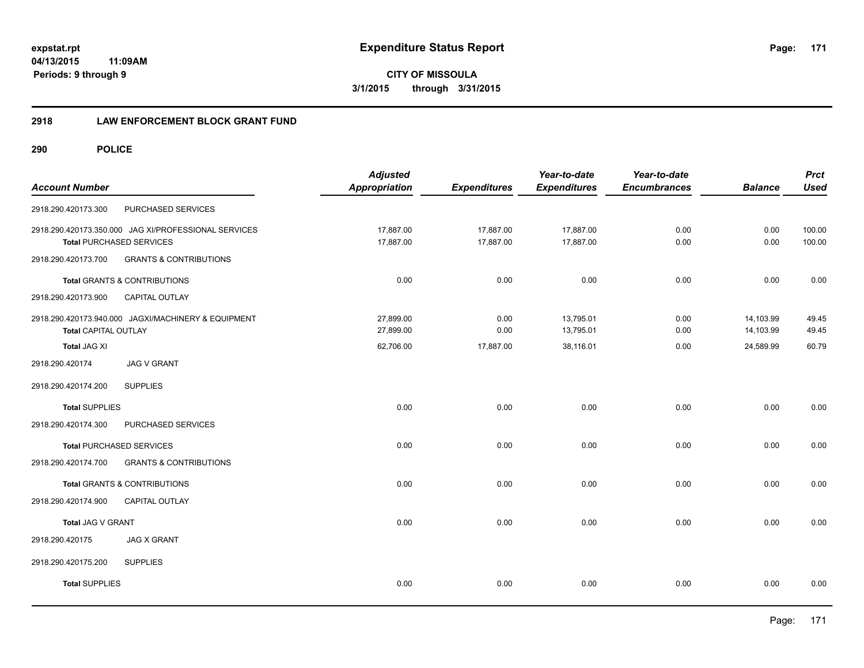**expstat.rpt Expenditure Status Report** 

**04/13/2015 11:09AM Periods: 9 through 9**

**CITY OF MISSOULA 3/1/2015 through 3/31/2015**

### **2918 LAW ENFORCEMENT BLOCK GRANT FUND**

| <b>Account Number</b>       |                                                                                         | <b>Adjusted</b><br><b>Appropriation</b> | <b>Expenditures</b>    | Year-to-date<br><b>Expenditures</b> | Year-to-date<br><b>Encumbrances</b> | <b>Balance</b>         | <b>Prct</b><br><b>Used</b> |
|-----------------------------|-----------------------------------------------------------------------------------------|-----------------------------------------|------------------------|-------------------------------------|-------------------------------------|------------------------|----------------------------|
| 2918.290.420173.300         | PURCHASED SERVICES                                                                      |                                         |                        |                                     |                                     |                        |                            |
|                             | 2918.290.420173.350.000 JAG XI/PROFESSIONAL SERVICES<br><b>Total PURCHASED SERVICES</b> | 17,887.00<br>17,887.00                  | 17,887.00<br>17,887.00 | 17,887.00<br>17,887.00              | 0.00<br>0.00                        | 0.00<br>0.00           | 100.00<br>100.00           |
| 2918.290.420173.700         | <b>GRANTS &amp; CONTRIBUTIONS</b>                                                       |                                         |                        |                                     |                                     |                        |                            |
|                             | Total GRANTS & CONTRIBUTIONS                                                            | 0.00                                    | 0.00                   | 0.00                                | 0.00                                | 0.00                   | 0.00                       |
| 2918.290.420173.900         | CAPITAL OUTLAY                                                                          |                                         |                        |                                     |                                     |                        |                            |
| <b>Total CAPITAL OUTLAY</b> | 2918.290.420173.940.000 JAGXI/MACHINERY & EQUIPMENT                                     | 27,899.00<br>27,899.00                  | 0.00<br>0.00           | 13,795.01<br>13,795.01              | 0.00<br>0.00                        | 14,103.99<br>14,103.99 | 49.45<br>49.45             |
| Total JAG XI                |                                                                                         | 62,706.00                               | 17,887.00              | 38,116.01                           | 0.00                                | 24,589.99              | 60.79                      |
| 2918.290.420174             | <b>JAG V GRANT</b>                                                                      |                                         |                        |                                     |                                     |                        |                            |
| 2918.290.420174.200         | <b>SUPPLIES</b>                                                                         |                                         |                        |                                     |                                     |                        |                            |
| <b>Total SUPPLIES</b>       |                                                                                         | 0.00                                    | 0.00                   | 0.00                                | 0.00                                | 0.00                   | 0.00                       |
| 2918.290.420174.300         | PURCHASED SERVICES                                                                      |                                         |                        |                                     |                                     |                        |                            |
|                             | <b>Total PURCHASED SERVICES</b>                                                         | 0.00                                    | 0.00                   | 0.00                                | 0.00                                | 0.00                   | 0.00                       |
| 2918.290.420174.700         | <b>GRANTS &amp; CONTRIBUTIONS</b>                                                       |                                         |                        |                                     |                                     |                        |                            |
|                             | <b>Total GRANTS &amp; CONTRIBUTIONS</b>                                                 | 0.00                                    | 0.00                   | 0.00                                | 0.00                                | 0.00                   | 0.00                       |
| 2918.290.420174.900         | CAPITAL OUTLAY                                                                          |                                         |                        |                                     |                                     |                        |                            |
| Total JAG V GRANT           |                                                                                         | 0.00                                    | 0.00                   | 0.00                                | 0.00                                | 0.00                   | 0.00                       |
| 2918.290.420175             | <b>JAG X GRANT</b>                                                                      |                                         |                        |                                     |                                     |                        |                            |
| 2918.290.420175.200         | <b>SUPPLIES</b>                                                                         |                                         |                        |                                     |                                     |                        |                            |
| <b>Total SUPPLIES</b>       |                                                                                         | 0.00                                    | 0.00                   | 0.00                                | 0.00                                | 0.00                   | 0.00                       |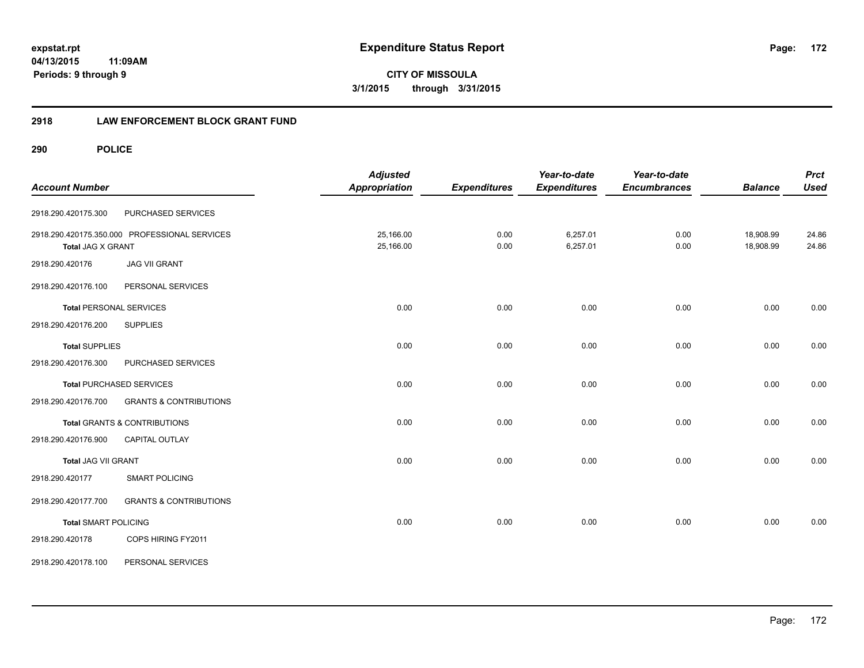**CITY OF MISSOULA 3/1/2015 through 3/31/2015**

### **2918 LAW ENFORCEMENT BLOCK GRANT FUND**

| <b>Account Number</b>          |                                               | <b>Adjusted</b><br><b>Appropriation</b> | <b>Expenditures</b> | Year-to-date<br><b>Expenditures</b> | Year-to-date<br><b>Encumbrances</b> | <b>Balance</b>         | <b>Prct</b><br><b>Used</b> |
|--------------------------------|-----------------------------------------------|-----------------------------------------|---------------------|-------------------------------------|-------------------------------------|------------------------|----------------------------|
| 2918.290.420175.300            | PURCHASED SERVICES                            |                                         |                     |                                     |                                     |                        |                            |
| <b>Total JAG X GRANT</b>       | 2918.290.420175.350.000 PROFESSIONAL SERVICES | 25,166.00<br>25,166.00                  | 0.00<br>0.00        | 6,257.01<br>6,257.01                | 0.00<br>0.00                        | 18,908.99<br>18,908.99 | 24.86<br>24.86             |
| 2918.290.420176                | <b>JAG VII GRANT</b>                          |                                         |                     |                                     |                                     |                        |                            |
| 2918.290.420176.100            | PERSONAL SERVICES                             |                                         |                     |                                     |                                     |                        |                            |
| <b>Total PERSONAL SERVICES</b> |                                               | 0.00                                    | 0.00                | 0.00                                | 0.00                                | 0.00                   | 0.00                       |
| 2918.290.420176.200            | <b>SUPPLIES</b>                               |                                         |                     |                                     |                                     |                        |                            |
| <b>Total SUPPLIES</b>          |                                               | 0.00                                    | 0.00                | 0.00                                | 0.00                                | 0.00                   | 0.00                       |
| 2918.290.420176.300            | PURCHASED SERVICES                            |                                         |                     |                                     |                                     |                        |                            |
|                                | <b>Total PURCHASED SERVICES</b>               | 0.00                                    | 0.00                | 0.00                                | 0.00                                | 0.00                   | 0.00                       |
| 2918.290.420176.700            | <b>GRANTS &amp; CONTRIBUTIONS</b>             |                                         |                     |                                     |                                     |                        |                            |
|                                | <b>Total GRANTS &amp; CONTRIBUTIONS</b>       | 0.00                                    | 0.00                | 0.00                                | 0.00                                | 0.00                   | 0.00                       |
| 2918.290.420176.900            | <b>CAPITAL OUTLAY</b>                         |                                         |                     |                                     |                                     |                        |                            |
| Total JAG VII GRANT            |                                               | 0.00                                    | 0.00                | 0.00                                | 0.00                                | 0.00                   | 0.00                       |
| 2918.290.420177                | <b>SMART POLICING</b>                         |                                         |                     |                                     |                                     |                        |                            |
| 2918.290.420177.700            | <b>GRANTS &amp; CONTRIBUTIONS</b>             |                                         |                     |                                     |                                     |                        |                            |
| <b>Total SMART POLICING</b>    |                                               | 0.00                                    | 0.00                | 0.00                                | 0.00                                | 0.00                   | 0.00                       |
| 2918.290.420178                | COPS HIRING FY2011                            |                                         |                     |                                     |                                     |                        |                            |
| 2918.290.420178.100            | PERSONAL SERVICES                             |                                         |                     |                                     |                                     |                        |                            |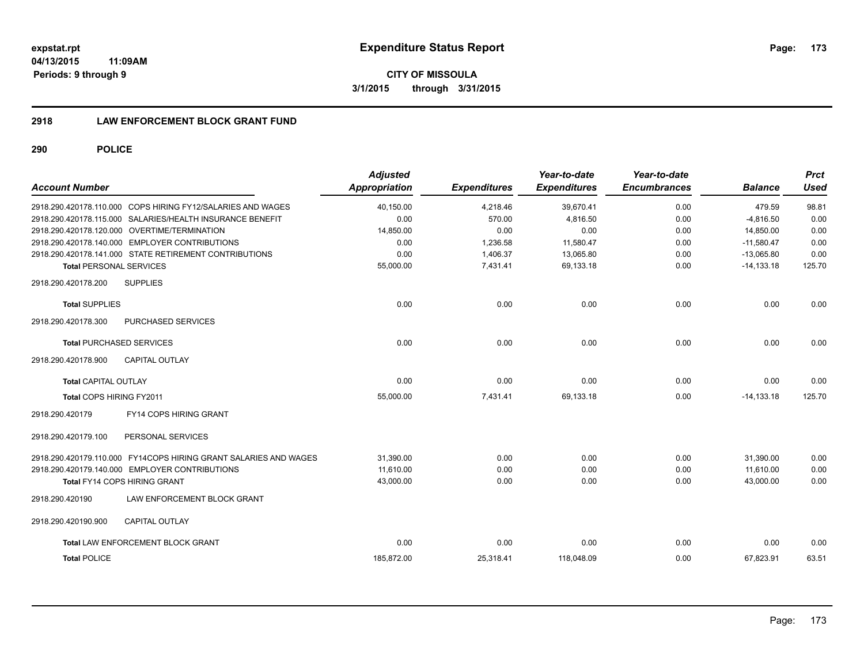**173**

**04/13/2015 11:09AM Periods: 9 through 9**

**CITY OF MISSOULA 3/1/2015 through 3/31/2015**

### **2918 LAW ENFORCEMENT BLOCK GRANT FUND**

| <b>Account Number</b>           |                                                                  | <b>Adjusted</b><br><b>Appropriation</b> | <b>Expenditures</b> | Year-to-date<br><b>Expenditures</b> | Year-to-date<br><b>Encumbrances</b> | <b>Balance</b> | <b>Prct</b><br><b>Used</b> |
|---------------------------------|------------------------------------------------------------------|-----------------------------------------|---------------------|-------------------------------------|-------------------------------------|----------------|----------------------------|
|                                 | 2918.290.420178.110.000 COPS HIRING FY12/SALARIES AND WAGES      | 40,150.00                               | 4,218.46            | 39,670.41                           | 0.00                                | 479.59         | 98.81                      |
|                                 | 2918.290.420178.115.000 SALARIES/HEALTH INSURANCE BENEFIT        | 0.00                                    | 570.00              | 4.816.50                            | 0.00                                | $-4.816.50$    | 0.00                       |
|                                 | 2918.290.420178.120.000 OVERTIME/TERMINATION                     | 14,850.00                               | 0.00                | 0.00                                | 0.00                                | 14,850.00      | 0.00                       |
|                                 | 2918.290.420178.140.000 EMPLOYER CONTRIBUTIONS                   | 0.00                                    | 1,236.58            | 11,580.47                           | 0.00                                | $-11,580.47$   | 0.00                       |
|                                 | 2918.290.420178.141.000 STATE RETIREMENT CONTRIBUTIONS           | 0.00                                    | 1,406.37            | 13,065.80                           | 0.00                                | $-13,065.80$   | 0.00                       |
| <b>Total PERSONAL SERVICES</b>  |                                                                  | 55,000.00                               | 7,431.41            | 69,133.18                           | 0.00                                | $-14, 133.18$  | 125.70                     |
| 2918.290.420178.200             | <b>SUPPLIES</b>                                                  |                                         |                     |                                     |                                     |                |                            |
| <b>Total SUPPLIES</b>           |                                                                  | 0.00                                    | 0.00                | 0.00                                | 0.00                                | 0.00           | 0.00                       |
| 2918.290.420178.300             | <b>PURCHASED SERVICES</b>                                        |                                         |                     |                                     |                                     |                |                            |
| <b>Total PURCHASED SERVICES</b> |                                                                  | 0.00                                    | 0.00                | 0.00                                | 0.00                                | 0.00           | 0.00                       |
| 2918.290.420178.900             | <b>CAPITAL OUTLAY</b>                                            |                                         |                     |                                     |                                     |                |                            |
| <b>Total CAPITAL OUTLAY</b>     |                                                                  | 0.00                                    | 0.00                | 0.00                                | 0.00                                | 0.00           | 0.00                       |
| Total COPS HIRING FY2011        |                                                                  | 55,000.00                               | 7,431.41            | 69,133.18                           | 0.00                                | $-14, 133.18$  | 125.70                     |
| 2918.290.420179                 | FY14 COPS HIRING GRANT                                           |                                         |                     |                                     |                                     |                |                            |
| 2918.290.420179.100             | PERSONAL SERVICES                                                |                                         |                     |                                     |                                     |                |                            |
|                                 | 2918.290.420179.110.000 FY14COPS HIRING GRANT SALARIES AND WAGES | 31,390.00                               | 0.00                | 0.00                                | 0.00                                | 31,390.00      | 0.00                       |
|                                 | 2918.290.420179.140.000 EMPLOYER CONTRIBUTIONS                   | 11,610.00                               | 0.00                | 0.00                                | 0.00                                | 11,610.00      | 0.00                       |
|                                 | Total FY14 COPS HIRING GRANT                                     | 43,000.00                               | 0.00                | 0.00                                | 0.00                                | 43,000.00      | 0.00                       |
| 2918.290.420190                 | LAW ENFORCEMENT BLOCK GRANT                                      |                                         |                     |                                     |                                     |                |                            |
| 2918.290.420190.900             | <b>CAPITAL OUTLAY</b>                                            |                                         |                     |                                     |                                     |                |                            |
|                                 | <b>Total LAW ENFORCEMENT BLOCK GRANT</b>                         | 0.00                                    | 0.00                | 0.00                                | 0.00                                | 0.00           | 0.00                       |
| <b>Total POLICE</b>             |                                                                  | 185,872.00                              | 25,318.41           | 118,048.09                          | 0.00                                | 67,823.91      | 63.51                      |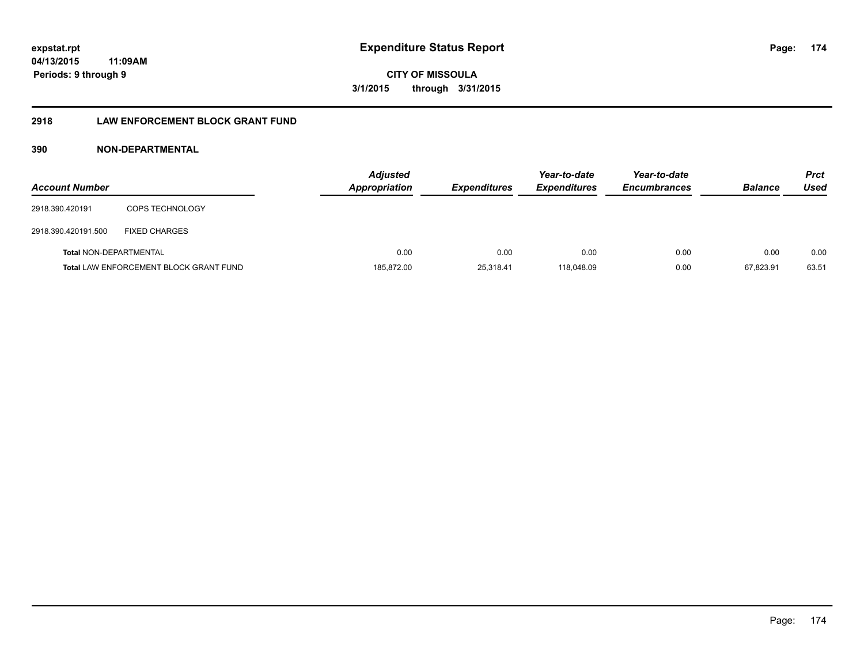# **04/13/2015**

**11:09AM Periods: 9 through 9**

# **CITY OF MISSOULA 3/1/2015 through 3/31/2015**

### **2918 LAW ENFORCEMENT BLOCK GRANT FUND**

### **390 NON-DEPARTMENTAL**

| <b>Account Number</b>         |                                               | <b>Adjusted</b><br>Appropriation | <b>Expenditures</b> | Year-to-date<br><b>Expenditures</b> | Year-to-date<br><b>Encumbrances</b> | <b>Balance</b> | <b>Prct</b><br>Used |
|-------------------------------|-----------------------------------------------|----------------------------------|---------------------|-------------------------------------|-------------------------------------|----------------|---------------------|
| 2918.390.420191               | <b>COPS TECHNOLOGY</b>                        |                                  |                     |                                     |                                     |                |                     |
| 2918.390.420191.500           | <b>FIXED CHARGES</b>                          |                                  |                     |                                     |                                     |                |                     |
| <b>Total NON-DEPARTMENTAL</b> |                                               | 0.00                             | 0.00                | 0.00                                | 0.00                                | 0.00           | 0.00                |
|                               | <b>Total LAW ENFORCEMENT BLOCK GRANT FUND</b> | 185,872.00                       | 25,318.41           | 118.048.09                          | 0.00                                | 67.823.91      | 63.51               |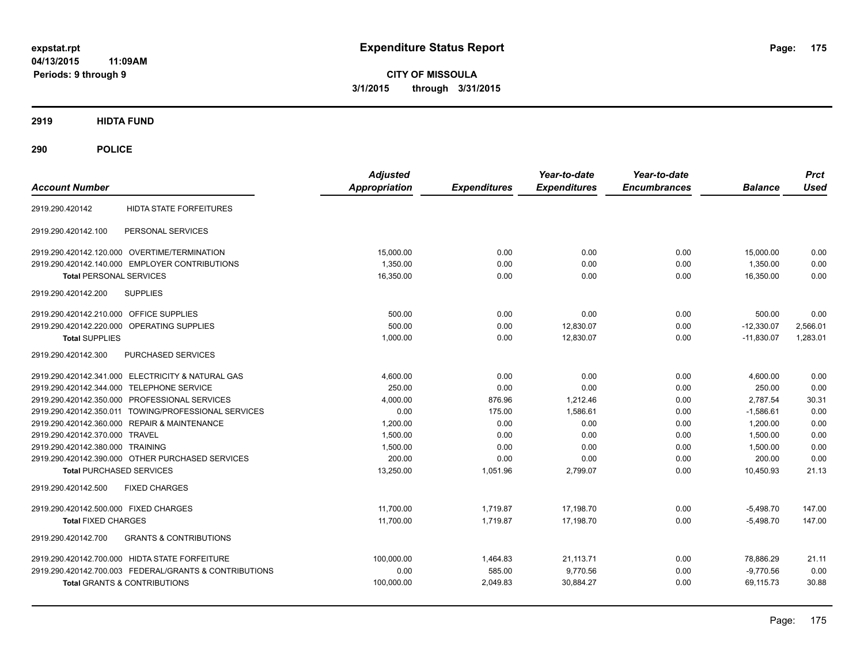**CITY OF MISSOULA 3/1/2015 through 3/31/2015**

**2919 HIDTA FUND**

| <b>Account Number</b>                                    | <b>Adjusted</b><br><b>Appropriation</b> | <b>Expenditures</b> | Year-to-date<br><b>Expenditures</b> | Year-to-date<br><b>Encumbrances</b> | <b>Balance</b> | <b>Prct</b><br><b>Used</b> |
|----------------------------------------------------------|-----------------------------------------|---------------------|-------------------------------------|-------------------------------------|----------------|----------------------------|
| <b>HIDTA STATE FORFEITURES</b><br>2919.290.420142        |                                         |                     |                                     |                                     |                |                            |
| PERSONAL SERVICES<br>2919.290.420142.100                 |                                         |                     |                                     |                                     |                |                            |
| 2919.290.420142.120.000 OVERTIME/TERMINATION             | 15,000.00                               | 0.00                | 0.00                                | 0.00                                | 15,000.00      | 0.00                       |
| 2919.290.420142.140.000 EMPLOYER CONTRIBUTIONS           | 1,350.00                                | 0.00                | 0.00                                | 0.00                                | 1,350.00       | 0.00                       |
| <b>Total PERSONAL SERVICES</b>                           | 16,350.00                               | 0.00                | 0.00                                | 0.00                                | 16,350.00      | 0.00                       |
| <b>SUPPLIES</b><br>2919.290.420142.200                   |                                         |                     |                                     |                                     |                |                            |
| 2919.290.420142.210.000 OFFICE SUPPLIES                  | 500.00                                  | 0.00                | 0.00                                | 0.00                                | 500.00         | 0.00                       |
| 2919.290.420142.220.000 OPERATING SUPPLIES               | 500.00                                  | 0.00                | 12,830.07                           | 0.00                                | $-12,330.07$   | 2,566.01                   |
| <b>Total SUPPLIES</b>                                    | 1,000.00                                | 0.00                | 12,830.07                           | 0.00                                | $-11,830.07$   | 1,283.01                   |
| 2919.290.420142.300<br>PURCHASED SERVICES                |                                         |                     |                                     |                                     |                |                            |
| 2919.290.420142.341.000 ELECTRICITY & NATURAL GAS        | 4.600.00                                | 0.00                | 0.00                                | 0.00                                | 4,600.00       | 0.00                       |
| 2919.290.420142.344.000 TELEPHONE SERVICE                | 250.00                                  | 0.00                | 0.00                                | 0.00                                | 250.00         | 0.00                       |
| 2919.290.420142.350.000 PROFESSIONAL SERVICES            | 4,000.00                                | 876.96              | 1.212.46                            | 0.00                                | 2.787.54       | 30.31                      |
| 2919.290.420142.350.011 TOWING/PROFESSIONAL SERVICES     | 0.00                                    | 175.00              | 1.586.61                            | 0.00                                | $-1.586.61$    | 0.00                       |
| 2919.290.420142.360.000 REPAIR & MAINTENANCE             | 1.200.00                                | 0.00                | 0.00                                | 0.00                                | 1.200.00       | 0.00                       |
| 2919.290.420142.370.000 TRAVEL                           | 1,500.00                                | 0.00                | 0.00                                | 0.00                                | 1.500.00       | 0.00                       |
| 2919.290.420142.380.000 TRAINING                         | 1,500.00                                | 0.00                | 0.00                                | 0.00                                | 1,500.00       | 0.00                       |
| 2919.290.420142.390.000 OTHER PURCHASED SERVICES         | 200.00                                  | 0.00                | 0.00                                | 0.00                                | 200.00         | 0.00                       |
| <b>Total PURCHASED SERVICES</b>                          | 13,250.00                               | 1,051.96            | 2,799.07                            | 0.00                                | 10,450.93      | 21.13                      |
| 2919.290.420142.500<br><b>FIXED CHARGES</b>              |                                         |                     |                                     |                                     |                |                            |
| 2919.290.420142.500.000 FIXED CHARGES                    | 11.700.00                               | 1,719.87            | 17,198.70                           | 0.00                                | $-5,498.70$    | 147.00                     |
| <b>Total FIXED CHARGES</b>                               | 11,700.00                               | 1.719.87            | 17.198.70                           | 0.00                                | $-5,498.70$    | 147.00                     |
| <b>GRANTS &amp; CONTRIBUTIONS</b><br>2919.290.420142.700 |                                         |                     |                                     |                                     |                |                            |
| 2919.290.420142.700.000 HIDTA STATE FORFEITURE           | 100,000.00                              | 1,464.83            | 21,113.71                           | 0.00                                | 78,886.29      | 21.11                      |
| 2919.290.420142.700.003 FEDERAL/GRANTS & CONTRIBUTIONS   | 0.00                                    | 585.00              | 9,770.56                            | 0.00                                | $-9,770.56$    | 0.00                       |
| <b>Total GRANTS &amp; CONTRIBUTIONS</b>                  | 100,000.00                              | 2,049.83            | 30,884.27                           | 0.00                                | 69,115.73      | 30.88                      |
|                                                          |                                         |                     |                                     |                                     |                |                            |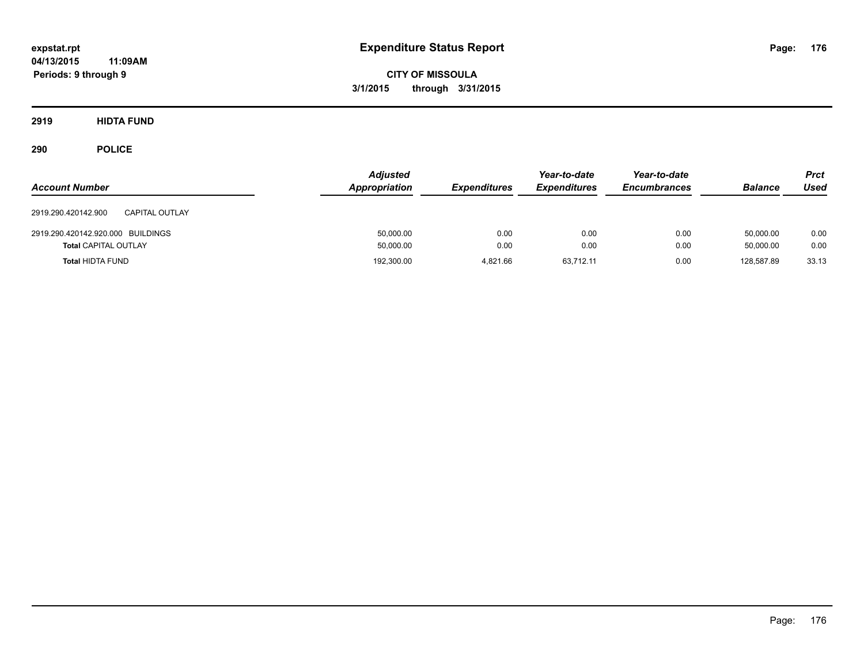**CITY OF MISSOULA 3/1/2015 through 3/31/2015**

**2919 HIDTA FUND**

| <b>Account Number</b>                        | <b>Adjusted</b><br>Appropriation | <b>Expenditures</b> | Year-to-date<br><b>Expenditures</b> | Year-to-date<br><b>Encumbrances</b> | <b>Balance</b> | <b>Prct</b><br>Used |
|----------------------------------------------|----------------------------------|---------------------|-------------------------------------|-------------------------------------|----------------|---------------------|
| 2919.290.420142.900<br><b>CAPITAL OUTLAY</b> |                                  |                     |                                     |                                     |                |                     |
| 2919.290.420142.920.000 BUILDINGS            | 50,000.00                        | 0.00                | 0.00                                | 0.00                                | 50.000.00      | 0.00                |
| <b>Total CAPITAL OUTLAY</b>                  | 50,000.00                        | 0.00                | 0.00                                | 0.00                                | 50.000.00      | 0.00                |
| <b>Total HIDTA FUND</b>                      | 192,300.00                       | 4.821.66            | 63.712.11                           | 0.00                                | 128.587.89     | 33.13               |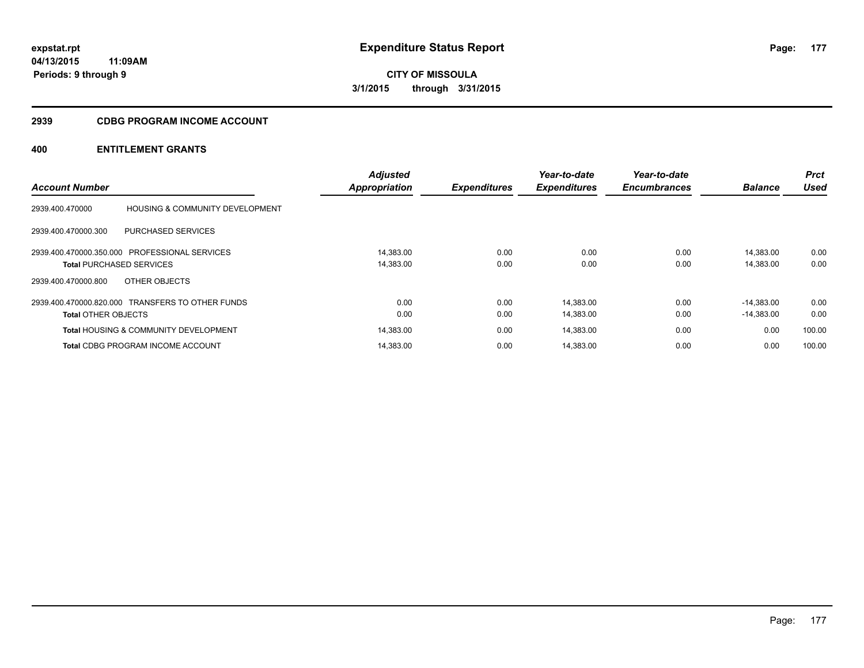**177**

**04/13/2015 11:09AM Periods: 9 through 9**

**CITY OF MISSOULA 3/1/2015 through 3/31/2015**

#### **2939 CDBG PROGRAM INCOME ACCOUNT**

|                            |                                                  | <b>Adjusted</b>      |                     | Year-to-date        | Year-to-date        |                | <b>Prct</b> |
|----------------------------|--------------------------------------------------|----------------------|---------------------|---------------------|---------------------|----------------|-------------|
| <b>Account Number</b>      |                                                  | <b>Appropriation</b> | <b>Expenditures</b> | <b>Expenditures</b> | <b>Encumbrances</b> | <b>Balance</b> | <b>Used</b> |
| 2939.400.470000            | HOUSING & COMMUNITY DEVELOPMENT                  |                      |                     |                     |                     |                |             |
| 2939.400.470000.300        | PURCHASED SERVICES                               |                      |                     |                     |                     |                |             |
|                            | 2939.400.470000.350.000 PROFESSIONAL SERVICES    | 14,383.00            | 0.00                | 0.00                | 0.00                | 14.383.00      | 0.00        |
|                            | <b>Total PURCHASED SERVICES</b>                  | 14,383.00            | 0.00                | 0.00                | 0.00                | 14,383.00      | 0.00        |
| 2939.400.470000.800        | OTHER OBJECTS                                    |                      |                     |                     |                     |                |             |
|                            | 2939.400.470000.820.000 TRANSFERS TO OTHER FUNDS | 0.00                 | 0.00                | 14,383.00           | 0.00                | $-14.383.00$   | 0.00        |
| <b>Total OTHER OBJECTS</b> |                                                  | 0.00                 | 0.00                | 14,383.00           | 0.00                | $-14,383.00$   | 0.00        |
|                            | <b>Total HOUSING &amp; COMMUNITY DEVELOPMENT</b> | 14,383.00            | 0.00                | 14,383.00           | 0.00                | 0.00           | 100.00      |
|                            | <b>Total CDBG PROGRAM INCOME ACCOUNT</b>         | 14.383.00            | 0.00                | 14.383.00           | 0.00                | 0.00           | 100.00      |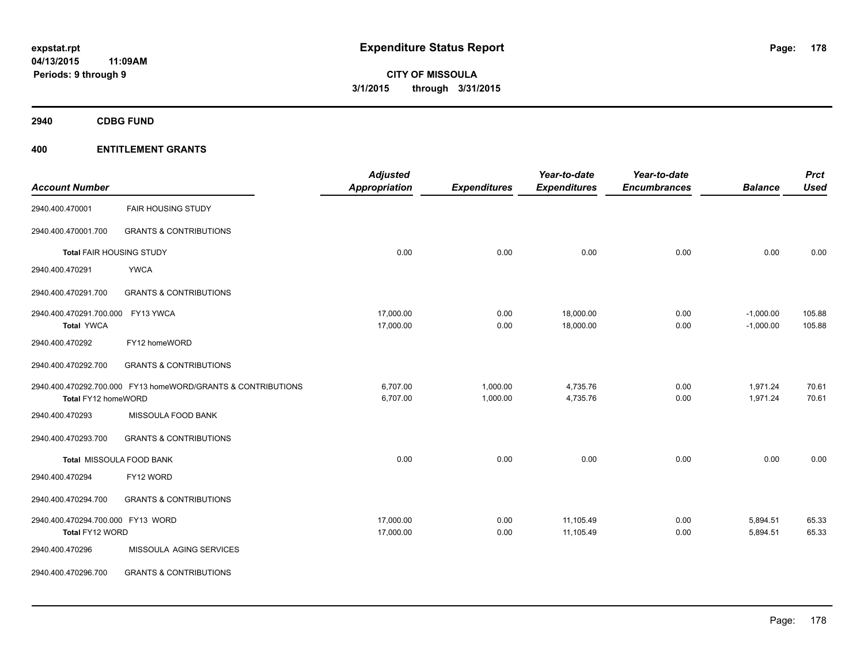**2940 CDBG FUND**

| <b>Account Number</b>                                |                                                              | <b>Adjusted</b><br><b>Appropriation</b> | <b>Expenditures</b>  | Year-to-date<br><b>Expenditures</b> | Year-to-date<br><b>Encumbrances</b> | <b>Balance</b>             | <b>Prct</b><br><b>Used</b> |
|------------------------------------------------------|--------------------------------------------------------------|-----------------------------------------|----------------------|-------------------------------------|-------------------------------------|----------------------------|----------------------------|
| 2940.400.470001                                      | <b>FAIR HOUSING STUDY</b>                                    |                                         |                      |                                     |                                     |                            |                            |
| 2940.400.470001.700                                  | <b>GRANTS &amp; CONTRIBUTIONS</b>                            |                                         |                      |                                     |                                     |                            |                            |
| Total FAIR HOUSING STUDY                             |                                                              | 0.00                                    | 0.00                 | 0.00                                | 0.00                                | 0.00                       | 0.00                       |
| 2940.400.470291                                      | <b>YWCA</b>                                                  |                                         |                      |                                     |                                     |                            |                            |
| 2940.400.470291.700                                  | <b>GRANTS &amp; CONTRIBUTIONS</b>                            |                                         |                      |                                     |                                     |                            |                            |
| 2940.400.470291.700.000<br><b>Total YWCA</b>         | FY13 YWCA                                                    | 17,000.00<br>17,000.00                  | 0.00<br>0.00         | 18,000.00<br>18,000.00              | 0.00<br>0.00                        | $-1,000.00$<br>$-1,000.00$ | 105.88<br>105.88           |
| 2940.400.470292                                      | FY12 homeWORD                                                |                                         |                      |                                     |                                     |                            |                            |
| 2940.400.470292.700                                  | <b>GRANTS &amp; CONTRIBUTIONS</b>                            |                                         |                      |                                     |                                     |                            |                            |
| Total FY12 homeWORD                                  | 2940.400.470292.700.000 FY13 homeWORD/GRANTS & CONTRIBUTIONS | 6,707.00<br>6,707.00                    | 1,000.00<br>1,000.00 | 4,735.76<br>4,735.76                | 0.00<br>0.00                        | 1,971.24<br>1,971.24       | 70.61<br>70.61             |
| 2940.400.470293                                      | MISSOULA FOOD BANK                                           |                                         |                      |                                     |                                     |                            |                            |
| 2940.400.470293.700                                  | <b>GRANTS &amp; CONTRIBUTIONS</b>                            |                                         |                      |                                     |                                     |                            |                            |
|                                                      | Total MISSOULA FOOD BANK                                     | 0.00                                    | 0.00                 | 0.00                                | 0.00                                | 0.00                       | 0.00                       |
| 2940.400.470294                                      | FY12 WORD                                                    |                                         |                      |                                     |                                     |                            |                            |
| 2940.400.470294.700                                  | <b>GRANTS &amp; CONTRIBUTIONS</b>                            |                                         |                      |                                     |                                     |                            |                            |
| 2940.400.470294.700.000 FY13 WORD<br>Total FY12 WORD |                                                              | 17,000.00<br>17,000.00                  | 0.00<br>0.00         | 11,105.49<br>11,105.49              | 0.00<br>0.00                        | 5,894.51<br>5,894.51       | 65.33<br>65.33             |
| 2940.400.470296                                      | MISSOULA AGING SERVICES                                      |                                         |                      |                                     |                                     |                            |                            |
| 2940.400.470296.700                                  | <b>GRANTS &amp; CONTRIBUTIONS</b>                            |                                         |                      |                                     |                                     |                            |                            |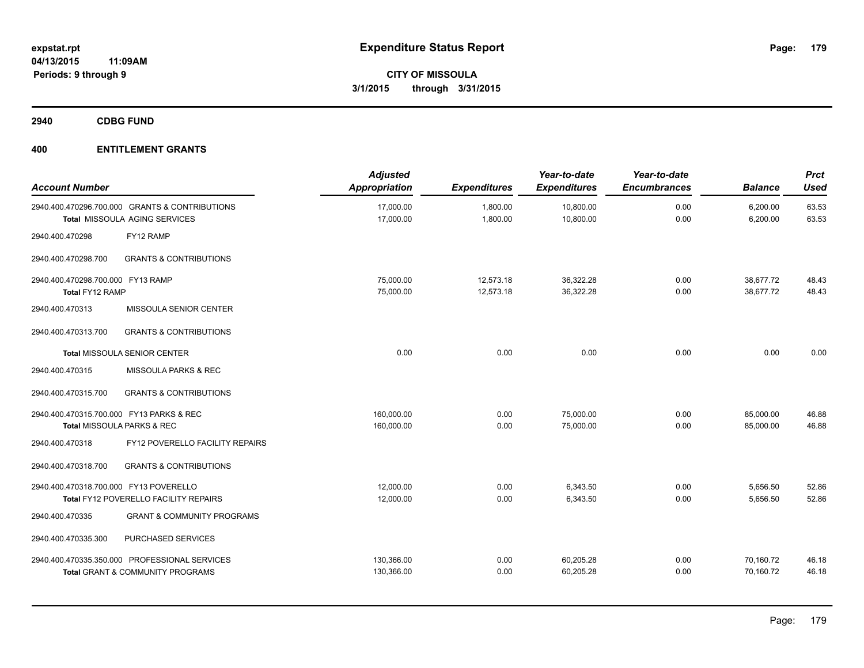**2940 CDBG FUND**

| <b>Account Number</b>                                |                                                                                              | <b>Adjusted</b><br><b>Appropriation</b> | <b>Expenditures</b>    | Year-to-date<br><b>Expenditures</b> | Year-to-date<br><b>Encumbrances</b> | <b>Balance</b>         | <b>Prct</b><br><b>Used</b> |
|------------------------------------------------------|----------------------------------------------------------------------------------------------|-----------------------------------------|------------------------|-------------------------------------|-------------------------------------|------------------------|----------------------------|
|                                                      | 2940.400.470296.700.000 GRANTS & CONTRIBUTIONS<br>Total MISSOULA AGING SERVICES              | 17,000.00<br>17,000.00                  | 1,800.00<br>1,800.00   | 10,800.00<br>10,800.00              | 0.00<br>0.00                        | 6,200.00<br>6,200.00   | 63.53<br>63.53             |
| 2940.400.470298                                      | FY12 RAMP                                                                                    |                                         |                        |                                     |                                     |                        |                            |
| 2940.400.470298.700                                  | <b>GRANTS &amp; CONTRIBUTIONS</b>                                                            |                                         |                        |                                     |                                     |                        |                            |
| 2940.400.470298.700.000 FY13 RAMP<br>Total FY12 RAMP |                                                                                              | 75,000.00<br>75,000.00                  | 12,573.18<br>12,573.18 | 36,322.28<br>36,322.28              | 0.00<br>0.00                        | 38,677.72<br>38,677.72 | 48.43<br>48.43             |
| 2940.400.470313                                      | MISSOULA SENIOR CENTER                                                                       |                                         |                        |                                     |                                     |                        |                            |
| 2940.400.470313.700                                  | <b>GRANTS &amp; CONTRIBUTIONS</b>                                                            |                                         |                        |                                     |                                     |                        |                            |
|                                                      | <b>Total MISSOULA SENIOR CENTER</b>                                                          | 0.00                                    | 0.00                   | 0.00                                | 0.00                                | 0.00                   | 0.00                       |
| 2940.400.470315                                      | MISSOULA PARKS & REC                                                                         |                                         |                        |                                     |                                     |                        |                            |
| 2940.400.470315.700                                  | <b>GRANTS &amp; CONTRIBUTIONS</b>                                                            |                                         |                        |                                     |                                     |                        |                            |
|                                                      | 2940.400.470315.700.000 FY13 PARKS & REC<br>Total MISSOULA PARKS & REC                       | 160,000.00<br>160,000.00                | 0.00<br>0.00           | 75,000.00<br>75,000.00              | 0.00<br>0.00                        | 85,000.00<br>85,000.00 | 46.88<br>46.88             |
| 2940.400.470318                                      | FY12 POVERELLO FACILITY REPAIRS                                                              |                                         |                        |                                     |                                     |                        |                            |
| 2940.400.470318.700                                  | <b>GRANTS &amp; CONTRIBUTIONS</b>                                                            |                                         |                        |                                     |                                     |                        |                            |
| 2940.400.470318.700.000 FY13 POVERELLO               | Total FY12 POVERELLO FACILITY REPAIRS                                                        | 12.000.00<br>12,000.00                  | 0.00<br>0.00           | 6,343.50<br>6,343.50                | 0.00<br>0.00                        | 5,656.50<br>5,656.50   | 52.86<br>52.86             |
| 2940.400.470335                                      | <b>GRANT &amp; COMMUNITY PROGRAMS</b>                                                        |                                         |                        |                                     |                                     |                        |                            |
| 2940.400.470335.300                                  | PURCHASED SERVICES                                                                           |                                         |                        |                                     |                                     |                        |                            |
|                                                      | 2940.400.470335.350.000 PROFESSIONAL SERVICES<br><b>Total GRANT &amp; COMMUNITY PROGRAMS</b> | 130,366.00<br>130,366.00                | 0.00<br>0.00           | 60,205.28<br>60,205.28              | 0.00<br>0.00                        | 70,160.72<br>70,160.72 | 46.18<br>46.18             |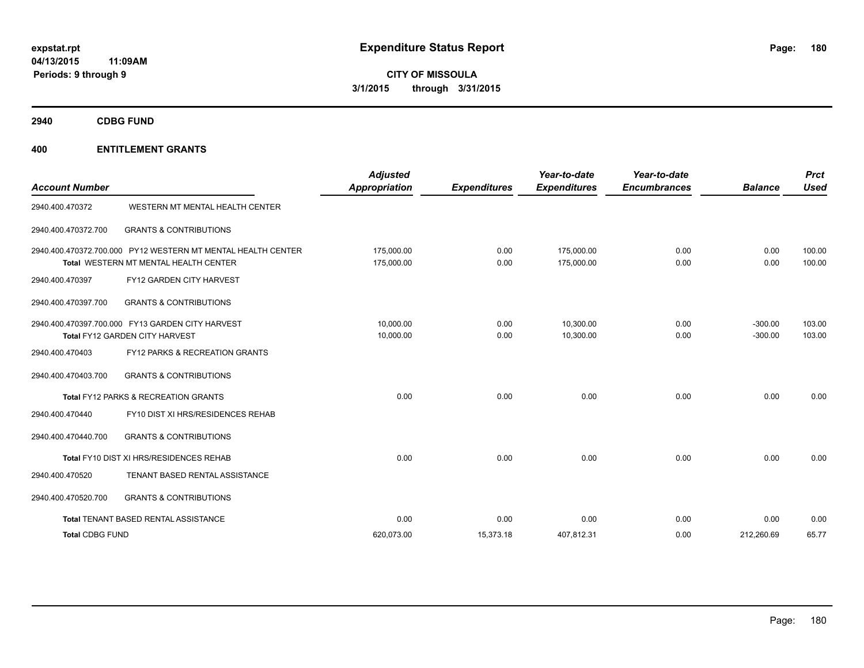**CITY OF MISSOULA 3/1/2015 through 3/31/2015**

**2940 CDBG FUND**

| <b>Account Number</b>  |                                                                                                              | <b>Adjusted</b><br>Appropriation | <b>Expenditures</b> | Year-to-date<br><b>Expenditures</b> | Year-to-date<br><b>Encumbrances</b> | <b>Balance</b>         | <b>Prct</b><br><b>Used</b> |
|------------------------|--------------------------------------------------------------------------------------------------------------|----------------------------------|---------------------|-------------------------------------|-------------------------------------|------------------------|----------------------------|
| 2940.400.470372        | WESTERN MT MENTAL HEALTH CENTER                                                                              |                                  |                     |                                     |                                     |                        |                            |
| 2940.400.470372.700    | <b>GRANTS &amp; CONTRIBUTIONS</b>                                                                            |                                  |                     |                                     |                                     |                        |                            |
|                        | 2940.400.470372.700.000 PY12 WESTERN MT MENTAL HEALTH CENTER<br><b>Total WESTERN MT MENTAL HEALTH CENTER</b> | 175,000.00<br>175,000.00         | 0.00<br>0.00        | 175,000.00<br>175,000.00            | 0.00<br>0.00                        | 0.00<br>0.00           | 100.00<br>100.00           |
| 2940.400.470397        | FY12 GARDEN CITY HARVEST                                                                                     |                                  |                     |                                     |                                     |                        |                            |
| 2940.400.470397.700    | <b>GRANTS &amp; CONTRIBUTIONS</b>                                                                            |                                  |                     |                                     |                                     |                        |                            |
|                        | 2940.400.470397.700.000 FY13 GARDEN CITY HARVEST<br>Total FY12 GARDEN CITY HARVEST                           | 10,000.00<br>10,000.00           | 0.00<br>0.00        | 10,300.00<br>10.300.00              | 0.00<br>0.00                        | $-300.00$<br>$-300.00$ | 103.00<br>103.00           |
| 2940.400.470403        | FY12 PARKS & RECREATION GRANTS                                                                               |                                  |                     |                                     |                                     |                        |                            |
| 2940.400.470403.700    | <b>GRANTS &amp; CONTRIBUTIONS</b>                                                                            |                                  |                     |                                     |                                     |                        |                            |
|                        | <b>Total FY12 PARKS &amp; RECREATION GRANTS</b>                                                              | 0.00                             | 0.00                | 0.00                                | 0.00                                | 0.00                   | 0.00                       |
| 2940.400.470440        | FY10 DIST XI HRS/RESIDENCES REHAB                                                                            |                                  |                     |                                     |                                     |                        |                            |
| 2940.400.470440.700    | <b>GRANTS &amp; CONTRIBUTIONS</b>                                                                            |                                  |                     |                                     |                                     |                        |                            |
|                        | Total FY10 DIST XI HRS/RESIDENCES REHAB                                                                      | 0.00                             | 0.00                | 0.00                                | 0.00                                | 0.00                   | 0.00                       |
| 2940.400.470520        | TENANT BASED RENTAL ASSISTANCE                                                                               |                                  |                     |                                     |                                     |                        |                            |
| 2940.400.470520.700    | <b>GRANTS &amp; CONTRIBUTIONS</b>                                                                            |                                  |                     |                                     |                                     |                        |                            |
|                        | Total TENANT BASED RENTAL ASSISTANCE                                                                         | 0.00                             | 0.00                | 0.00                                | 0.00                                | 0.00                   | 0.00                       |
| <b>Total CDBG FUND</b> |                                                                                                              | 620.073.00                       | 15,373.18           | 407,812.31                          | 0.00                                | 212,260.69             | 65.77                      |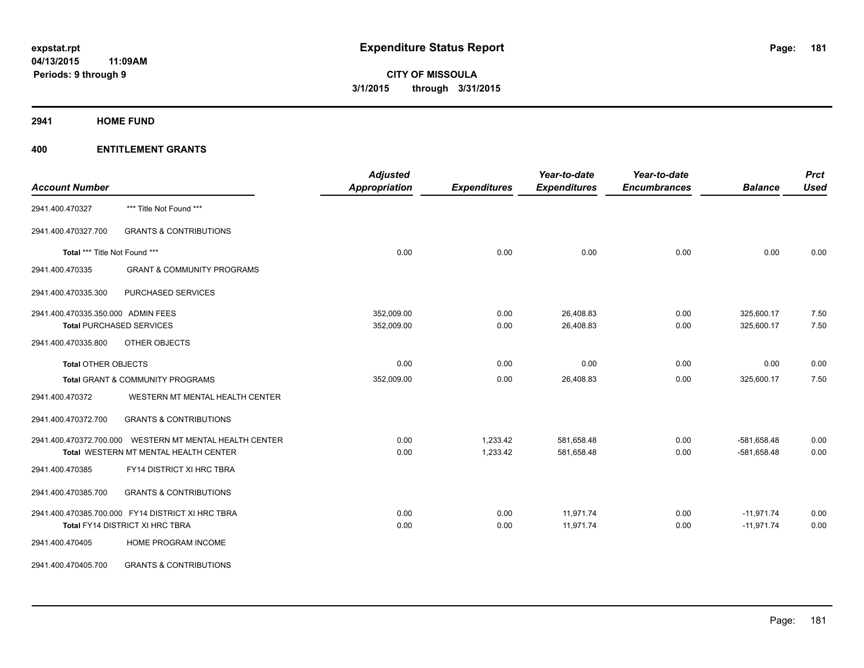**2941 HOME FUND**

| <b>Account Number</b>              |                                                         | <b>Adjusted</b><br><b>Appropriation</b> | <b>Expenditures</b> | Year-to-date<br><b>Expenditures</b> | Year-to-date<br><b>Encumbrances</b> | <b>Balance</b> | <b>Prct</b><br><b>Used</b> |
|------------------------------------|---------------------------------------------------------|-----------------------------------------|---------------------|-------------------------------------|-------------------------------------|----------------|----------------------------|
| 2941.400.470327                    | *** Title Not Found ***                                 |                                         |                     |                                     |                                     |                |                            |
| 2941.400.470327.700                | <b>GRANTS &amp; CONTRIBUTIONS</b>                       |                                         |                     |                                     |                                     |                |                            |
| Total *** Title Not Found ***      |                                                         | 0.00                                    | 0.00                | 0.00                                | 0.00                                | 0.00           | 0.00                       |
| 2941.400.470335                    | <b>GRANT &amp; COMMUNITY PROGRAMS</b>                   |                                         |                     |                                     |                                     |                |                            |
| 2941.400.470335.300                | PURCHASED SERVICES                                      |                                         |                     |                                     |                                     |                |                            |
| 2941.400.470335.350.000 ADMIN FEES |                                                         | 352,009.00                              | 0.00                | 26,408.83                           | 0.00                                | 325,600.17     | 7.50                       |
|                                    | <b>Total PURCHASED SERVICES</b>                         | 352,009.00                              | 0.00                | 26,408.83                           | 0.00                                | 325,600.17     | 7.50                       |
| 2941.400.470335.800                | OTHER OBJECTS                                           |                                         |                     |                                     |                                     |                |                            |
| <b>Total OTHER OBJECTS</b>         |                                                         | 0.00                                    | 0.00                | 0.00                                | 0.00                                | 0.00           | 0.00                       |
|                                    | Total GRANT & COMMUNITY PROGRAMS                        | 352,009.00                              | 0.00                | 26,408.83                           | 0.00                                | 325,600.17     | 7.50                       |
| 2941.400.470372                    | WESTERN MT MENTAL HEALTH CENTER                         |                                         |                     |                                     |                                     |                |                            |
| 2941.400.470372.700                | <b>GRANTS &amp; CONTRIBUTIONS</b>                       |                                         |                     |                                     |                                     |                |                            |
|                                    | 2941.400.470372.700.000 WESTERN MT MENTAL HEALTH CENTER | 0.00                                    | 1,233.42            | 581,658.48                          | 0.00                                | $-581,658.48$  | 0.00                       |
|                                    | Total WESTERN MT MENTAL HEALTH CENTER                   | 0.00                                    | 1,233.42            | 581,658.48                          | 0.00                                | $-581,658.48$  | 0.00                       |
| 2941.400.470385                    | FY14 DISTRICT XI HRC TBRA                               |                                         |                     |                                     |                                     |                |                            |
| 2941.400.470385.700                | <b>GRANTS &amp; CONTRIBUTIONS</b>                       |                                         |                     |                                     |                                     |                |                            |
|                                    | 2941.400.470385.700.000 FY14 DISTRICT XI HRC TBRA       | 0.00                                    | 0.00                | 11,971.74                           | 0.00                                | $-11,971.74$   | 0.00                       |
|                                    | Total FY14 DISTRICT XI HRC TBRA                         | 0.00                                    | 0.00                | 11,971.74                           | 0.00                                | $-11,971.74$   | 0.00                       |
| 2941.400.470405                    | HOME PROGRAM INCOME                                     |                                         |                     |                                     |                                     |                |                            |
| 2941.400.470405.700                | <b>GRANTS &amp; CONTRIBUTIONS</b>                       |                                         |                     |                                     |                                     |                |                            |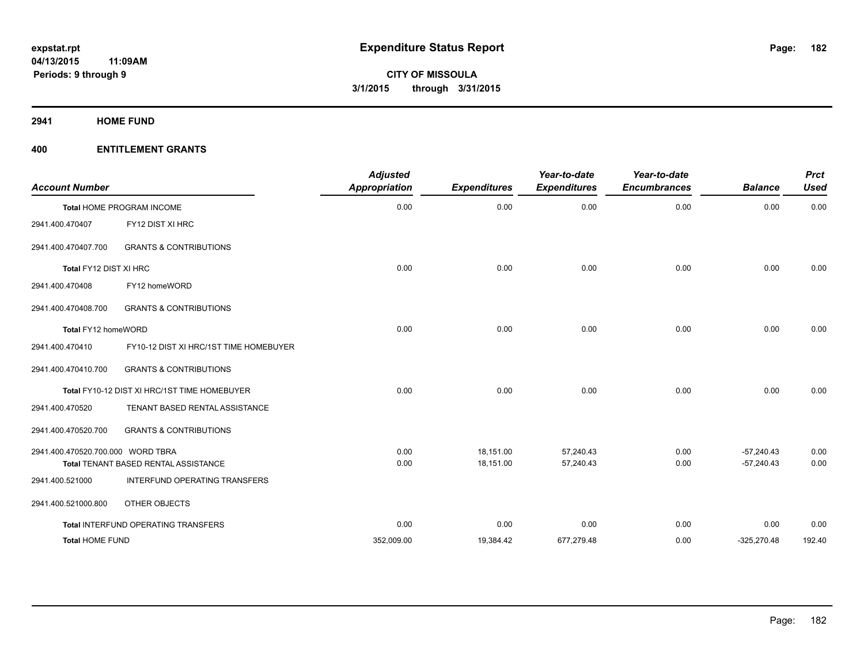**2941 HOME FUND**

| <b>Account Number</b>             |                                              | <b>Adjusted</b><br><b>Appropriation</b> | <b>Expenditures</b> | Year-to-date<br><b>Expenditures</b> | Year-to-date<br><b>Encumbrances</b> | <b>Balance</b> | <b>Prct</b><br><b>Used</b> |
|-----------------------------------|----------------------------------------------|-----------------------------------------|---------------------|-------------------------------------|-------------------------------------|----------------|----------------------------|
|                                   | <b>Total HOME PROGRAM INCOME</b>             | 0.00                                    | 0.00                | 0.00                                | 0.00                                | 0.00           | 0.00                       |
| 2941.400.470407                   | FY12 DIST XI HRC                             |                                         |                     |                                     |                                     |                |                            |
| 2941.400.470407.700               | <b>GRANTS &amp; CONTRIBUTIONS</b>            |                                         |                     |                                     |                                     |                |                            |
| Total FY12 DIST XI HRC            |                                              | 0.00                                    | 0.00                | 0.00                                | 0.00                                | 0.00           | 0.00                       |
| 2941.400.470408                   | FY12 homeWORD                                |                                         |                     |                                     |                                     |                |                            |
| 2941.400.470408.700               | <b>GRANTS &amp; CONTRIBUTIONS</b>            |                                         |                     |                                     |                                     |                |                            |
| Total FY12 homeWORD               |                                              | 0.00                                    | 0.00                | 0.00                                | 0.00                                | 0.00           | 0.00                       |
| 2941.400.470410                   | FY10-12 DIST XI HRC/1ST TIME HOMEBUYER       |                                         |                     |                                     |                                     |                |                            |
| 2941.400.470410.700               | <b>GRANTS &amp; CONTRIBUTIONS</b>            |                                         |                     |                                     |                                     |                |                            |
|                                   | Total FY10-12 DIST XI HRC/1ST TIME HOMEBUYER | 0.00                                    | 0.00                | 0.00                                | 0.00                                | 0.00           | 0.00                       |
| 2941.400.470520                   | TENANT BASED RENTAL ASSISTANCE               |                                         |                     |                                     |                                     |                |                            |
| 2941.400.470520.700               | <b>GRANTS &amp; CONTRIBUTIONS</b>            |                                         |                     |                                     |                                     |                |                            |
| 2941.400.470520.700.000 WORD TBRA |                                              | 0.00                                    | 18,151.00           | 57.240.43                           | 0.00                                | $-57.240.43$   | 0.00                       |
|                                   | <b>Total TENANT BASED RENTAL ASSISTANCE</b>  | 0.00                                    | 18,151.00           | 57,240.43                           | 0.00                                | $-57,240.43$   | 0.00                       |
| 2941.400.521000                   | INTERFUND OPERATING TRANSFERS                |                                         |                     |                                     |                                     |                |                            |
| 2941.400.521000.800               | OTHER OBJECTS                                |                                         |                     |                                     |                                     |                |                            |
|                                   | Total INTERFUND OPERATING TRANSFERS          | 0.00                                    | 0.00                | 0.00                                | 0.00                                | 0.00           | 0.00                       |
| <b>Total HOME FUND</b>            |                                              | 352,009.00                              | 19,384.42           | 677,279.48                          | 0.00                                | $-325,270.48$  | 192.40                     |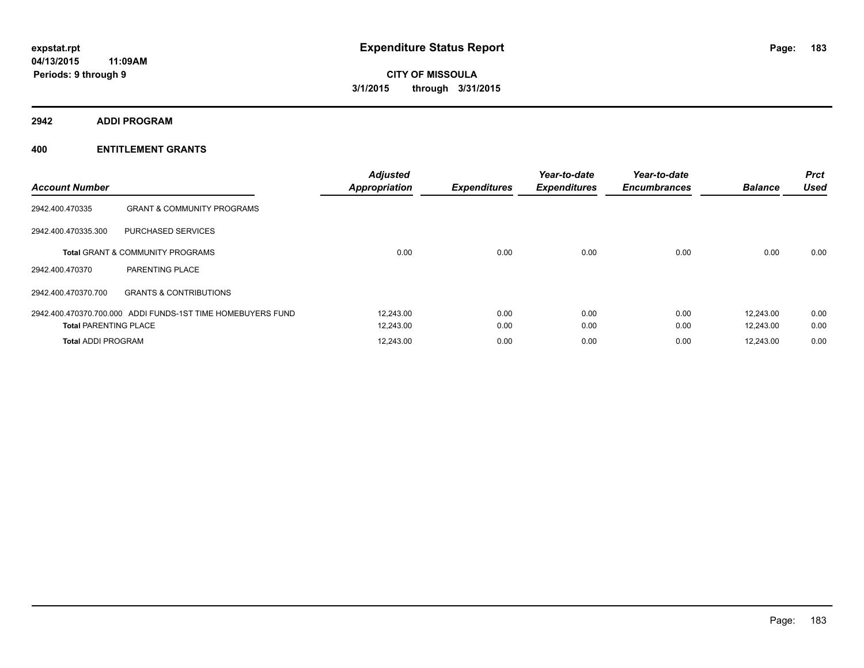**2942 ADDI PROGRAM**

| <b>Account Number</b>        |                                                             | <b>Adjusted</b><br><b>Appropriation</b> | <b>Expenditures</b> | Year-to-date<br><b>Expenditures</b> | Year-to-date<br><b>Encumbrances</b> | <b>Balance</b> | Prct<br><b>Used</b> |
|------------------------------|-------------------------------------------------------------|-----------------------------------------|---------------------|-------------------------------------|-------------------------------------|----------------|---------------------|
| 2942.400.470335              | <b>GRANT &amp; COMMUNITY PROGRAMS</b>                       |                                         |                     |                                     |                                     |                |                     |
| 2942.400.470335.300          | PURCHASED SERVICES                                          |                                         |                     |                                     |                                     |                |                     |
|                              | <b>Total GRANT &amp; COMMUNITY PROGRAMS</b>                 | 0.00                                    | 0.00                | 0.00                                | 0.00                                | 0.00           | 0.00                |
| 2942.400.470370              | PARENTING PLACE                                             |                                         |                     |                                     |                                     |                |                     |
| 2942.400.470370.700          | <b>GRANTS &amp; CONTRIBUTIONS</b>                           |                                         |                     |                                     |                                     |                |                     |
|                              | 2942.400.470370.700.000 ADDI FUNDS-1ST TIME HOMEBUYERS FUND | 12,243.00                               | 0.00                | 0.00                                | 0.00                                | 12,243.00      | 0.00                |
| <b>Total PARENTING PLACE</b> |                                                             | 12,243.00                               | 0.00                | 0.00                                | 0.00                                | 12,243.00      | 0.00                |
| <b>Total ADDI PROGRAM</b>    |                                                             | 12.243.00                               | 0.00                | 0.00                                | 0.00                                | 12.243.00      | 0.00                |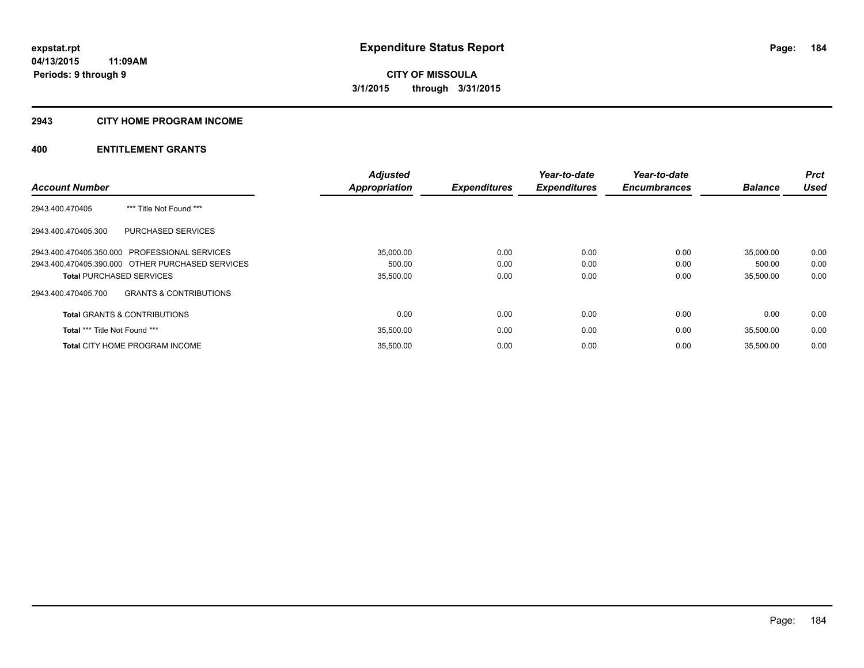# **2943 CITY HOME PROGRAM INCOME**

|                                                  |                                   | <b>Adjusted</b>      |                     | Year-to-date        | Year-to-date        |                | Prct        |
|--------------------------------------------------|-----------------------------------|----------------------|---------------------|---------------------|---------------------|----------------|-------------|
| <b>Account Number</b>                            |                                   | <b>Appropriation</b> | <b>Expenditures</b> | <b>Expenditures</b> | <b>Encumbrances</b> | <b>Balance</b> | <b>Used</b> |
| 2943.400.470405                                  | *** Title Not Found ***           |                      |                     |                     |                     |                |             |
| 2943.400.470405.300                              | <b>PURCHASED SERVICES</b>         |                      |                     |                     |                     |                |             |
| 2943.400.470405.350.000 PROFESSIONAL SERVICES    |                                   | 35.000.00            | 0.00                | 0.00                | 0.00                | 35.000.00      | 0.00        |
| 2943.400.470405.390.000 OTHER PURCHASED SERVICES |                                   | 500.00               | 0.00                | 0.00                | 0.00                | 500.00         | 0.00        |
| <b>Total PURCHASED SERVICES</b>                  |                                   | 35,500.00            | 0.00                | 0.00                | 0.00                | 35,500.00      | 0.00        |
| 2943.400.470405.700                              | <b>GRANTS &amp; CONTRIBUTIONS</b> |                      |                     |                     |                     |                |             |
| <b>Total GRANTS &amp; CONTRIBUTIONS</b>          |                                   | 0.00                 | 0.00                | 0.00                | 0.00                | 0.00           | 0.00        |
| <b>Total *** Title Not Found ***</b>             |                                   | 35,500.00            | 0.00                | 0.00                | 0.00                | 35,500.00      | 0.00        |
| <b>Total CITY HOME PROGRAM INCOME</b>            |                                   | 35,500.00            | 0.00                | 0.00                | 0.00                | 35.500.00      | 0.00        |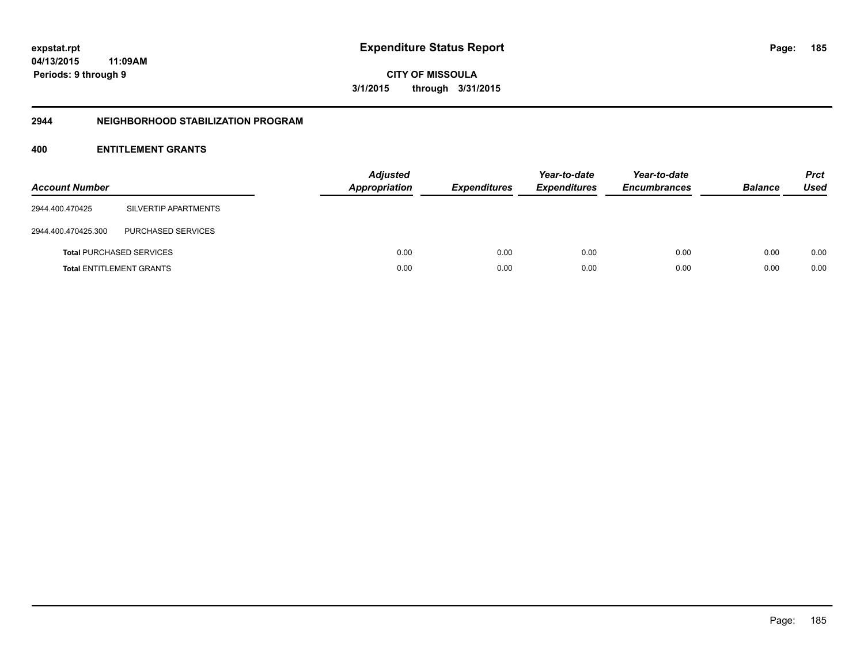**04/13/2015 11:09AM Periods: 9 through 9**

**CITY OF MISSOULA 3/1/2015 through 3/31/2015**

### **2944 NEIGHBORHOOD STABILIZATION PROGRAM**

| <b>Account Number</b> |                                 | <b>Adjusted</b><br>Appropriation | <b>Expenditures</b> | Year-to-date<br><b>Expenditures</b> | Year-to-date<br><b>Encumbrances</b> | <b>Balance</b> | <b>Prct</b><br><b>Used</b> |
|-----------------------|---------------------------------|----------------------------------|---------------------|-------------------------------------|-------------------------------------|----------------|----------------------------|
| 2944.400.470425       | SILVERTIP APARTMENTS            |                                  |                     |                                     |                                     |                |                            |
| 2944.400.470425.300   | PURCHASED SERVICES              |                                  |                     |                                     |                                     |                |                            |
|                       | <b>Total PURCHASED SERVICES</b> | 0.00                             | 0.00                | 0.00                                | 0.00                                | 0.00           | 0.00                       |
|                       | <b>Total ENTITLEMENT GRANTS</b> | 0.00                             | 0.00                | 0.00                                | 0.00                                | 0.00           | 0.00                       |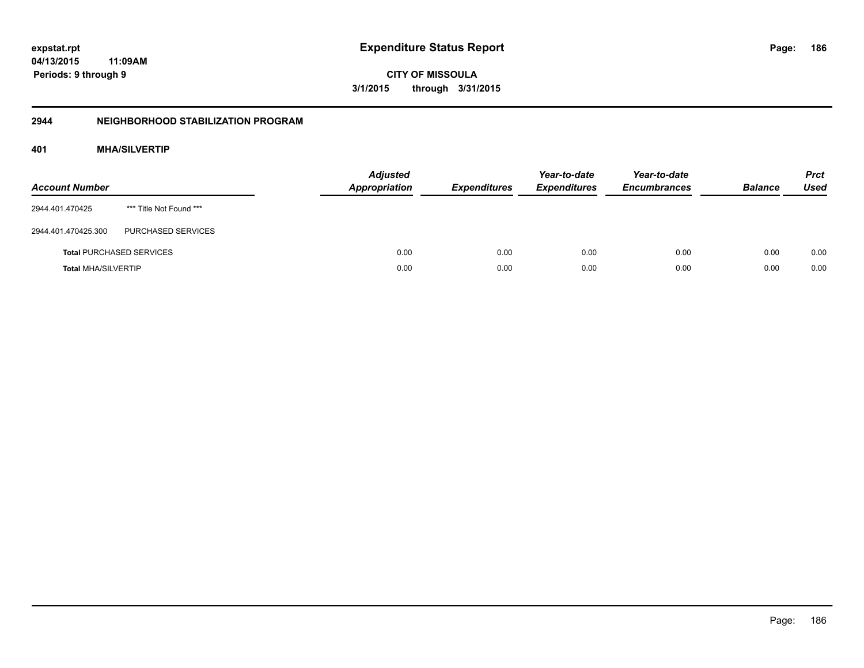**04/13/2015 11:09AM Periods: 9 through 9**

**CITY OF MISSOULA 3/1/2015 through 3/31/2015**

# **2944 NEIGHBORHOOD STABILIZATION PROGRAM**

# **401 MHA/SILVERTIP**

| <b>Account Number</b>      |                                 | <b>Adjusted</b><br><b>Appropriation</b> | <b>Expenditures</b> | Year-to-date<br><b>Expenditures</b> | Year-to-date<br><b>Encumbrances</b> | <b>Balance</b> | <b>Prct</b><br><b>Used</b> |
|----------------------------|---------------------------------|-----------------------------------------|---------------------|-------------------------------------|-------------------------------------|----------------|----------------------------|
| 2944.401.470425            | *** Title Not Found ***         |                                         |                     |                                     |                                     |                |                            |
| 2944.401.470425.300        | PURCHASED SERVICES              |                                         |                     |                                     |                                     |                |                            |
|                            | <b>Total PURCHASED SERVICES</b> | 0.00                                    | 0.00                | 0.00                                | 0.00                                | 0.00           | 0.00                       |
| <b>Total MHA/SILVERTIP</b> |                                 | 0.00                                    | 0.00                | 0.00                                | 0.00                                | 0.00           | 0.00                       |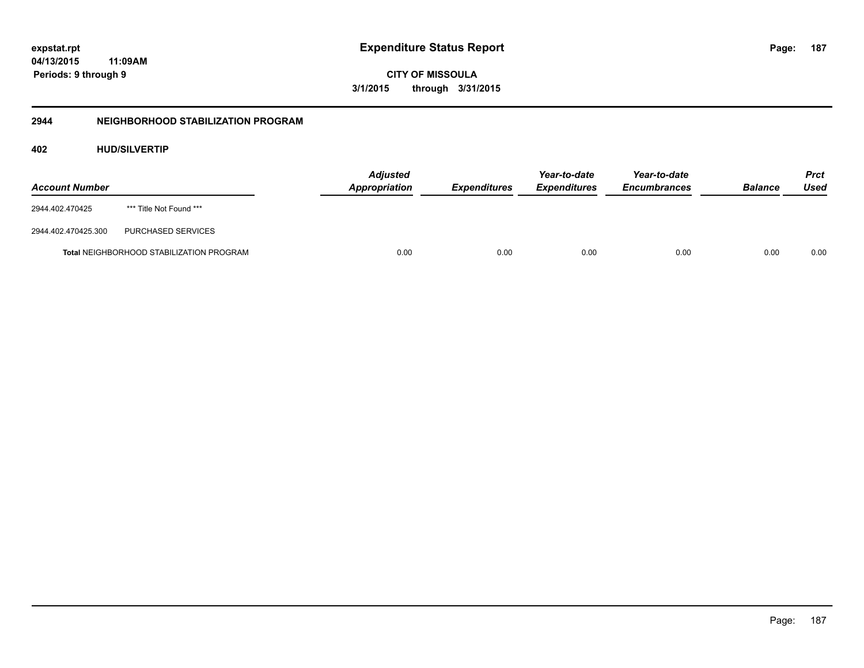**187**

**04/13/2015 11:09AM Periods: 9 through 9**

**CITY OF MISSOULA 3/1/2015 through 3/31/2015**

# **2944 NEIGHBORHOOD STABILIZATION PROGRAM**

# **402 HUD/SILVERTIP**

| <b>Account Number</b> |                                          | <b>Adjusted</b><br>Appropriation | <b>Expenditures</b> | Year-to-date<br><i><b>Expenditures</b></i> | Year-to-date<br><b>Encumbrances</b> | <b>Balance</b> | <b>Prct</b><br>Used |
|-----------------------|------------------------------------------|----------------------------------|---------------------|--------------------------------------------|-------------------------------------|----------------|---------------------|
| 2944.402.470425       | *** Title Not Found ***                  |                                  |                     |                                            |                                     |                |                     |
| 2944.402.470425.300   | PURCHASED SERVICES                       |                                  |                     |                                            |                                     |                |                     |
|                       | Total NEIGHBORHOOD STABILIZATION PROGRAM | 0.00                             | 0.00                | 0.00                                       | 0.00                                | 0.00           | 0.00                |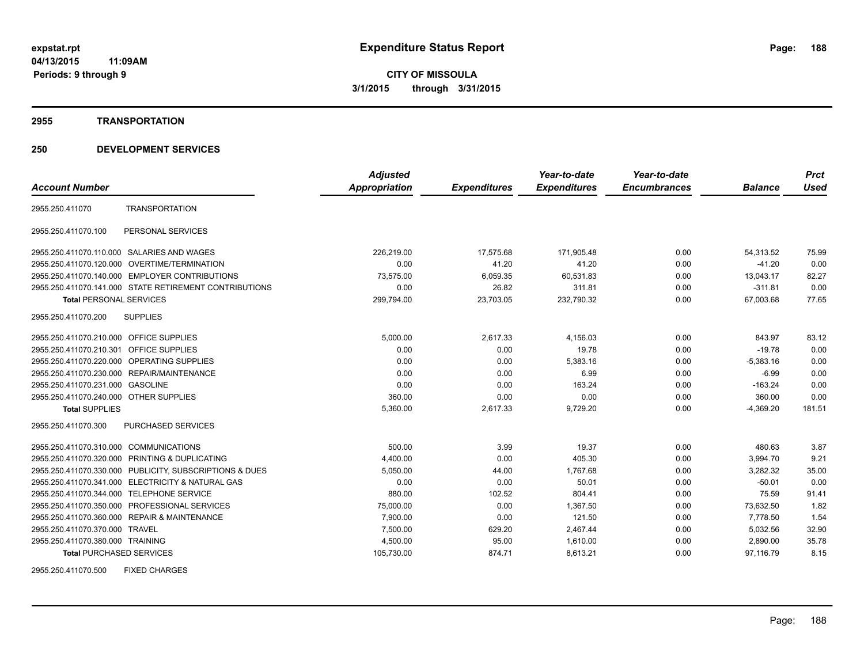### **2955 TRANSPORTATION**

# **250 DEVELOPMENT SERVICES**

|                                         |                                                         | <b>Adjusted</b> |                     | Year-to-date        | Year-to-date        |                | <b>Prct</b> |
|-----------------------------------------|---------------------------------------------------------|-----------------|---------------------|---------------------|---------------------|----------------|-------------|
| <b>Account Number</b>                   |                                                         | Appropriation   | <b>Expenditures</b> | <b>Expenditures</b> | <b>Encumbrances</b> | <b>Balance</b> | <b>Used</b> |
| 2955.250.411070                         | <b>TRANSPORTATION</b>                                   |                 |                     |                     |                     |                |             |
| 2955.250.411070.100                     | PERSONAL SERVICES                                       |                 |                     |                     |                     |                |             |
|                                         | 2955.250.411070.110.000 SALARIES AND WAGES              | 226,219.00      | 17,575.68           | 171,905.48          | 0.00                | 54,313.52      | 75.99       |
|                                         | 2955.250.411070.120.000 OVERTIME/TERMINATION            | 0.00            | 41.20               | 41.20               | 0.00                | $-41.20$       | 0.00        |
|                                         | 2955.250.411070.140.000 EMPLOYER CONTRIBUTIONS          | 73,575.00       | 6,059.35            | 60,531.83           | 0.00                | 13,043.17      | 82.27       |
|                                         | 2955.250.411070.141.000 STATE RETIREMENT CONTRIBUTIONS  | 0.00            | 26.82               | 311.81              | 0.00                | $-311.81$      | 0.00        |
| <b>Total PERSONAL SERVICES</b>          |                                                         | 299,794.00      | 23,703.05           | 232,790.32          | 0.00                | 67,003.68      | 77.65       |
| 2955.250.411070.200                     | <b>SUPPLIES</b>                                         |                 |                     |                     |                     |                |             |
| 2955.250.411070.210.000 OFFICE SUPPLIES |                                                         | 5,000.00        | 2,617.33            | 4,156.03            | 0.00                | 843.97         | 83.12       |
| 2955.250.411070.210.301                 | <b>OFFICE SUPPLIES</b>                                  | 0.00            | 0.00                | 19.78               | 0.00                | $-19.78$       | 0.00        |
|                                         | 2955.250.411070.220.000 OPERATING SUPPLIES              | 0.00            | 0.00                | 5,383.16            | 0.00                | $-5,383.16$    | 0.00        |
| 2955.250.411070.230.000                 | REPAIR/MAINTENANCE                                      | 0.00            | 0.00                | 6.99                | 0.00                | $-6.99$        | 0.00        |
| 2955.250.411070.231.000 GASOLINE        |                                                         | 0.00            | 0.00                | 163.24              | 0.00                | $-163.24$      | 0.00        |
| 2955.250.411070.240.000 OTHER SUPPLIES  |                                                         | 360.00          | 0.00                | 0.00                | 0.00                | 360.00         | 0.00        |
| <b>Total SUPPLIES</b>                   |                                                         | 5,360.00        | 2,617.33            | 9,729.20            | 0.00                | $-4,369.20$    | 181.51      |
| 2955.250.411070.300                     | <b>PURCHASED SERVICES</b>                               |                 |                     |                     |                     |                |             |
| 2955.250.411070.310.000 COMMUNICATIONS  |                                                         | 500.00          | 3.99                | 19.37               | 0.00                | 480.63         | 3.87        |
|                                         | 2955.250.411070.320.000 PRINTING & DUPLICATING          | 4,400.00        | 0.00                | 405.30              | 0.00                | 3,994.70       | 9.21        |
|                                         | 2955.250.411070.330.000 PUBLICITY, SUBSCRIPTIONS & DUES | 5,050.00        | 44.00               | 1.767.68            | 0.00                | 3.282.32       | 35.00       |
|                                         | 2955.250.411070.341.000 ELECTRICITY & NATURAL GAS       | 0.00            | 0.00                | 50.01               | 0.00                | $-50.01$       | 0.00        |
|                                         | 2955.250.411070.344.000 TELEPHONE SERVICE               | 880.00          | 102.52              | 804.41              | 0.00                | 75.59          | 91.41       |
|                                         | 2955.250.411070.350.000 PROFESSIONAL SERVICES           | 75.000.00       | 0.00                | 1.367.50            | 0.00                | 73.632.50      | 1.82        |
|                                         | 2955.250.411070.360.000 REPAIR & MAINTENANCE            | 7.900.00        | 0.00                | 121.50              | 0.00                | 7.778.50       | 1.54        |
| 2955.250.411070.370.000 TRAVEL          |                                                         | 7,500.00        | 629.20              | 2,467.44            | 0.00                | 5,032.56       | 32.90       |
| 2955.250.411070.380.000 TRAINING        |                                                         | 4,500.00        | 95.00               | 1,610.00            | 0.00                | 2,890.00       | 35.78       |
| <b>Total PURCHASED SERVICES</b>         |                                                         | 105,730.00      | 874.71              | 8,613.21            | 0.00                | 97,116.79      | 8.15        |

2955.250.411070.500 FIXED CHARGES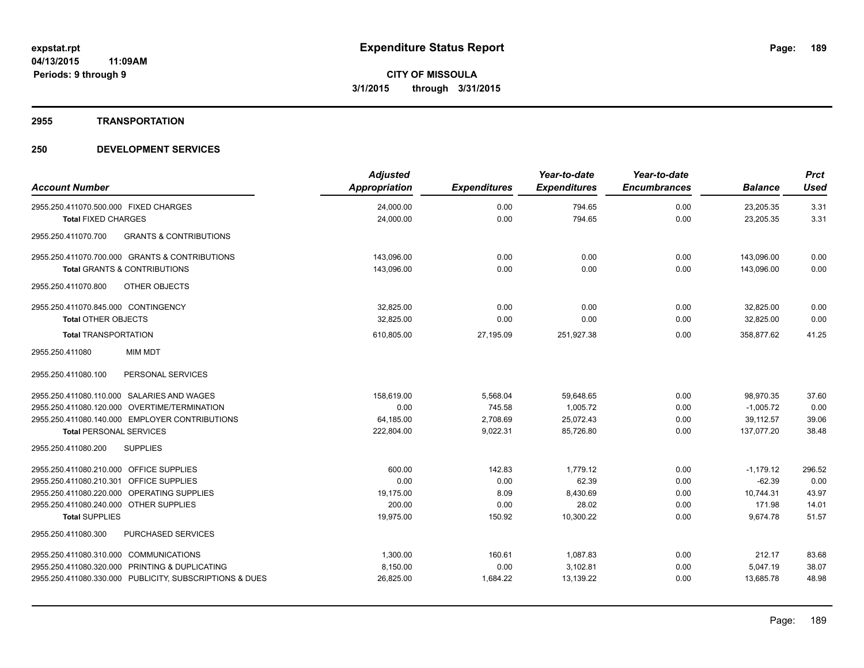#### **2955 TRANSPORTATION**

| <b>Account Number</b>                                    | <b>Adjusted</b><br>Appropriation | <b>Expenditures</b> | Year-to-date<br><b>Expenditures</b> | Year-to-date<br><b>Encumbrances</b> | <b>Balance</b> | <b>Prct</b><br><b>Used</b> |
|----------------------------------------------------------|----------------------------------|---------------------|-------------------------------------|-------------------------------------|----------------|----------------------------|
| 2955.250.411070.500.000 FIXED CHARGES                    | 24,000.00                        | 0.00                | 794.65                              | 0.00                                | 23,205.35      | 3.31                       |
| <b>Total FIXED CHARGES</b>                               | 24,000.00                        | 0.00                | 794.65                              | 0.00                                | 23,205.35      | 3.31                       |
| <b>GRANTS &amp; CONTRIBUTIONS</b><br>2955.250.411070.700 |                                  |                     |                                     |                                     |                |                            |
| 2955.250.411070.700.000 GRANTS & CONTRIBUTIONS           | 143,096.00                       | 0.00                | 0.00                                | 0.00                                | 143,096.00     | 0.00                       |
| <b>Total GRANTS &amp; CONTRIBUTIONS</b>                  | 143.096.00                       | 0.00                | 0.00                                | 0.00                                | 143.096.00     | 0.00                       |
| 2955.250.411070.800<br>OTHER OBJECTS                     |                                  |                     |                                     |                                     |                |                            |
| 2955.250.411070.845.000 CONTINGENCY                      | 32,825.00                        | 0.00                | 0.00                                | 0.00                                | 32,825.00      | 0.00                       |
| <b>Total OTHER OBJECTS</b>                               | 32,825.00                        | 0.00                | 0.00                                | 0.00                                | 32,825.00      | 0.00                       |
| <b>Total TRANSPORTATION</b>                              | 610,805.00                       | 27,195.09           | 251,927.38                          | 0.00                                | 358,877.62     | 41.25                      |
| 2955.250.411080<br><b>MIM MDT</b>                        |                                  |                     |                                     |                                     |                |                            |
| PERSONAL SERVICES<br>2955.250.411080.100                 |                                  |                     |                                     |                                     |                |                            |
| 2955.250.411080.110.000 SALARIES AND WAGES               | 158,619.00                       | 5,568.04            | 59,648.65                           | 0.00                                | 98,970.35      | 37.60                      |
| 2955.250.411080.120.000 OVERTIME/TERMINATION             | 0.00                             | 745.58              | 1,005.72                            | 0.00                                | $-1,005.72$    | 0.00                       |
| 2955.250.411080.140.000 EMPLOYER CONTRIBUTIONS           | 64,185.00                        | 2,708.69            | 25,072.43                           | 0.00                                | 39,112.57      | 39.06                      |
| <b>Total PERSONAL SERVICES</b>                           | 222,804.00                       | 9,022.31            | 85,726.80                           | 0.00                                | 137,077.20     | 38.48                      |
| 2955.250.411080.200<br><b>SUPPLIES</b>                   |                                  |                     |                                     |                                     |                |                            |
| 2955.250.411080.210.000 OFFICE SUPPLIES                  | 600.00                           | 142.83              | 1.779.12                            | 0.00                                | $-1,179.12$    | 296.52                     |
| 2955.250.411080.210.301 OFFICE SUPPLIES                  | 0.00                             | 0.00                | 62.39                               | 0.00                                | $-62.39$       | 0.00                       |
| 2955.250.411080.220.000 OPERATING SUPPLIES               | 19.175.00                        | 8.09                | 8,430.69                            | 0.00                                | 10,744.31      | 43.97                      |
| 2955.250.411080.240.000 OTHER SUPPLIES                   | 200.00                           | 0.00                | 28.02                               | 0.00                                | 171.98         | 14.01                      |
| <b>Total SUPPLIES</b>                                    | 19,975.00                        | 150.92              | 10,300.22                           | 0.00                                | 9,674.78       | 51.57                      |
| PURCHASED SERVICES<br>2955.250.411080.300                |                                  |                     |                                     |                                     |                |                            |
| 2955.250.411080.310.000 COMMUNICATIONS                   | 1,300.00                         | 160.61              | 1,087.83                            | 0.00                                | 212.17         | 83.68                      |
| 2955.250.411080.320.000 PRINTING & DUPLICATING           | 8,150.00                         | 0.00                | 3,102.81                            | 0.00                                | 5,047.19       | 38.07                      |
| 2955.250.411080.330.000 PUBLICITY, SUBSCRIPTIONS & DUES  | 26,825.00                        | 1,684.22            | 13,139.22                           | 0.00                                | 13,685.78      | 48.98                      |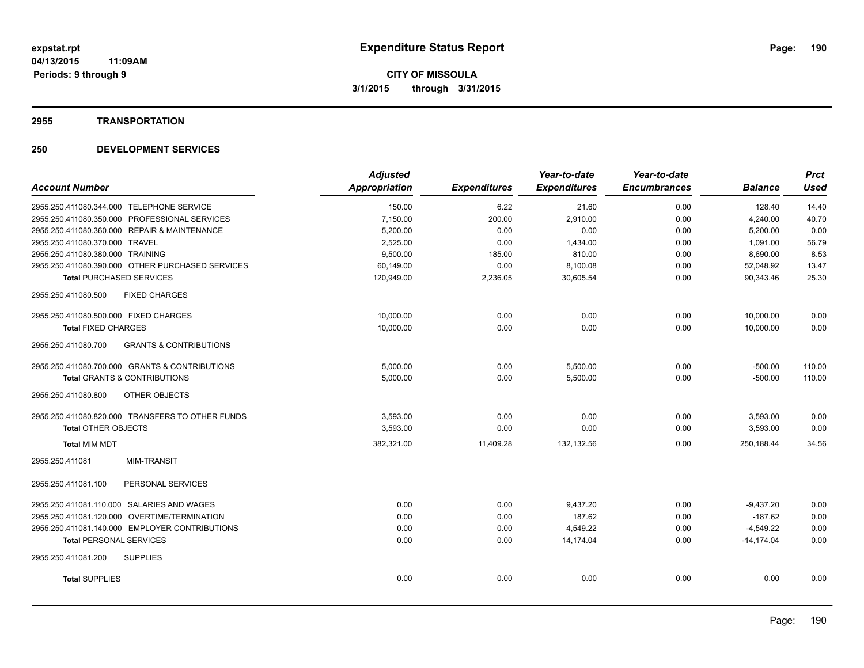#### **2955 TRANSPORTATION**

|                                                          | <b>Adjusted</b> |                     | Year-to-date        | Year-to-date        |                | <b>Prct</b> |
|----------------------------------------------------------|-----------------|---------------------|---------------------|---------------------|----------------|-------------|
| <b>Account Number</b>                                    | Appropriation   | <b>Expenditures</b> | <b>Expenditures</b> | <b>Encumbrances</b> | <b>Balance</b> | <b>Used</b> |
| 2955.250.411080.344.000 TELEPHONE SERVICE                | 150.00          | 6.22                | 21.60               | 0.00                | 128.40         | 14.40       |
| 2955.250.411080.350.000 PROFESSIONAL SERVICES            | 7,150.00        | 200.00              | 2.910.00            | 0.00                | 4,240.00       | 40.70       |
| 2955.250.411080.360.000 REPAIR & MAINTENANCE             | 5,200.00        | 0.00                | 0.00                | 0.00                | 5,200.00       | 0.00        |
| 2955.250.411080.370.000 TRAVEL                           | 2,525.00        | 0.00                | 1,434.00            | 0.00                | 1,091.00       | 56.79       |
| 2955.250.411080.380.000 TRAINING                         | 9,500.00        | 185.00              | 810.00              | 0.00                | 8,690.00       | 8.53        |
| 2955.250.411080.390.000 OTHER PURCHASED SERVICES         | 60,149.00       | 0.00                | 8,100.08            | 0.00                | 52,048.92      | 13.47       |
| <b>Total PURCHASED SERVICES</b>                          | 120,949.00      | 2,236.05            | 30,605.54           | 0.00                | 90,343.46      | 25.30       |
| <b>FIXED CHARGES</b><br>2955.250.411080.500              |                 |                     |                     |                     |                |             |
| 2955.250.411080.500.000 FIXED CHARGES                    | 10,000.00       | 0.00                | 0.00                | 0.00                | 10.000.00      | 0.00        |
| <b>Total FIXED CHARGES</b>                               | 10,000.00       | 0.00                | 0.00                | 0.00                | 10,000.00      | 0.00        |
| <b>GRANTS &amp; CONTRIBUTIONS</b><br>2955.250.411080.700 |                 |                     |                     |                     |                |             |
| 2955.250.411080.700.000 GRANTS & CONTRIBUTIONS           | 5.000.00        | 0.00                | 5,500.00            | 0.00                | $-500.00$      | 110.00      |
| <b>Total GRANTS &amp; CONTRIBUTIONS</b>                  | 5,000.00        | 0.00                | 5,500.00            | 0.00                | $-500.00$      | 110.00      |
| <b>OTHER OBJECTS</b><br>2955.250.411080.800              |                 |                     |                     |                     |                |             |
| 2955.250.411080.820.000 TRANSFERS TO OTHER FUNDS         | 3,593.00        | 0.00                | 0.00                | 0.00                | 3,593.00       | 0.00        |
| <b>Total OTHER OBJECTS</b>                               | 3,593.00        | 0.00                | 0.00                | 0.00                | 3,593.00       | 0.00        |
| <b>Total MIM MDT</b>                                     | 382,321.00      | 11,409.28           | 132,132.56          | 0.00                | 250.188.44     | 34.56       |
| <b>MIM-TRANSIT</b><br>2955.250.411081                    |                 |                     |                     |                     |                |             |
| PERSONAL SERVICES<br>2955.250.411081.100                 |                 |                     |                     |                     |                |             |
| 2955.250.411081.110.000 SALARIES AND WAGES               | 0.00            | 0.00                | 9,437.20            | 0.00                | $-9,437.20$    | 0.00        |
| 2955.250.411081.120.000 OVERTIME/TERMINATION             | 0.00            | 0.00                | 187.62              | 0.00                | $-187.62$      | 0.00        |
| 2955.250.411081.140.000 EMPLOYER CONTRIBUTIONS           | 0.00            | 0.00                | 4,549.22            | 0.00                | $-4,549.22$    | 0.00        |
| <b>Total PERSONAL SERVICES</b>                           | 0.00            | 0.00                | 14,174.04           | 0.00                | $-14.174.04$   | 0.00        |
| 2955.250.411081.200<br><b>SUPPLIES</b>                   |                 |                     |                     |                     |                |             |
| <b>Total SUPPLIES</b>                                    | 0.00            | 0.00                | 0.00                | 0.00                | 0.00           | 0.00        |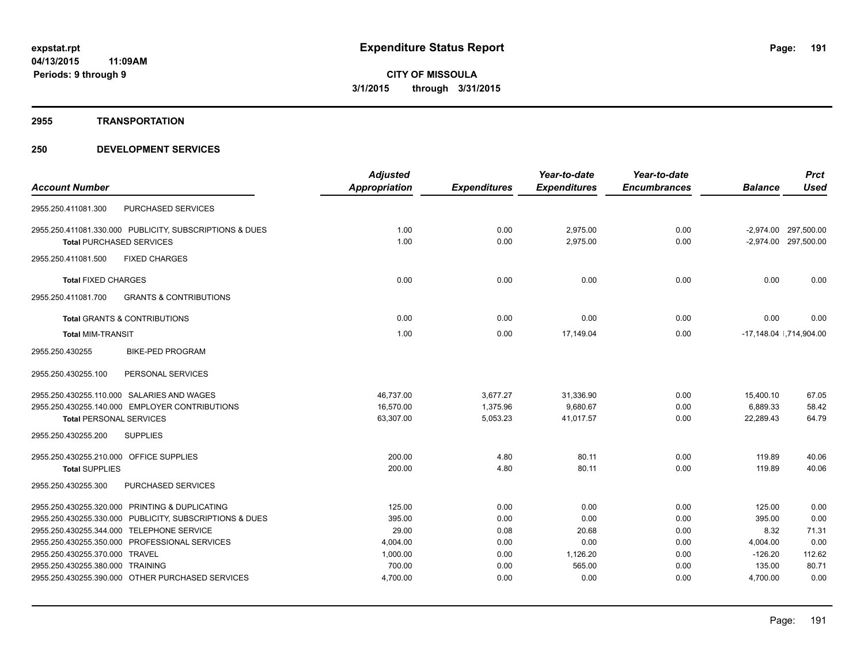### **2955 TRANSPORTATION**

|                                                          | <b>Adjusted</b>      |                     | Year-to-date        | Year-to-date        |                | <b>Prct</b>                |
|----------------------------------------------------------|----------------------|---------------------|---------------------|---------------------|----------------|----------------------------|
| <b>Account Number</b>                                    | <b>Appropriation</b> | <b>Expenditures</b> | <b>Expenditures</b> | <b>Encumbrances</b> | <b>Balance</b> | <b>Used</b>                |
| PURCHASED SERVICES<br>2955.250.411081.300                |                      |                     |                     |                     |                |                            |
| 2955.250.411081.330.000 PUBLICITY, SUBSCRIPTIONS & DUES  | 1.00                 | 0.00                | 2,975.00            | 0.00                |                | -2,974.00 297,500.00       |
| <b>Total PURCHASED SERVICES</b>                          | 1.00                 | 0.00                | 2,975.00            | 0.00                |                | -2,974.00 297,500.00       |
| <b>FIXED CHARGES</b><br>2955.250.411081.500              |                      |                     |                     |                     |                |                            |
| <b>Total FIXED CHARGES</b>                               | 0.00                 | 0.00                | 0.00                | 0.00                | 0.00           | 0.00                       |
| <b>GRANTS &amp; CONTRIBUTIONS</b><br>2955.250.411081.700 |                      |                     |                     |                     |                |                            |
| <b>Total GRANTS &amp; CONTRIBUTIONS</b>                  | 0.00                 | 0.00                | 0.00                | 0.00                | 0.00           | 0.00                       |
| <b>Total MIM-TRANSIT</b>                                 | 1.00                 | 0.00                | 17,149.04           | 0.00                |                | $-17,148.04$ $,714,904.00$ |
| 2955.250.430255<br><b>BIKE-PED PROGRAM</b>               |                      |                     |                     |                     |                |                            |
| 2955.250.430255.100<br>PERSONAL SERVICES                 |                      |                     |                     |                     |                |                            |
| 2955.250.430255.110.000 SALARIES AND WAGES               | 46,737.00            | 3,677.27            | 31,336.90           | 0.00                | 15,400.10      | 67.05                      |
| 2955.250.430255.140.000 EMPLOYER CONTRIBUTIONS           | 16,570.00            | 1,375.96            | 9,680.67            | 0.00                | 6,889.33       | 58.42                      |
| <b>Total PERSONAL SERVICES</b>                           | 63,307.00            | 5,053.23            | 41,017.57           | 0.00                | 22,289.43      | 64.79                      |
| <b>SUPPLIES</b><br>2955.250.430255.200                   |                      |                     |                     |                     |                |                            |
| 2955.250.430255.210.000 OFFICE SUPPLIES                  | 200.00               | 4.80                | 80.11               | 0.00                | 119.89         | 40.06                      |
| <b>Total SUPPLIES</b>                                    | 200.00               | 4.80                | 80.11               | 0.00                | 119.89         | 40.06                      |
| PURCHASED SERVICES<br>2955.250.430255.300                |                      |                     |                     |                     |                |                            |
| 2955.250.430255.320.000 PRINTING & DUPLICATING           | 125.00               | 0.00                | 0.00                | 0.00                | 125.00         | 0.00                       |
| 2955.250.430255.330.000 PUBLICITY, SUBSCRIPTIONS & DUES  | 395.00               | 0.00                | 0.00                | 0.00                | 395.00         | 0.00                       |
| 2955.250.430255.344.000 TELEPHONE SERVICE                | 29.00                | 0.08                | 20.68               | 0.00                | 8.32           | 71.31                      |
| 2955.250.430255.350.000 PROFESSIONAL SERVICES            | 4,004.00             | 0.00                | 0.00                | 0.00                | 4,004.00       | 0.00                       |
| 2955.250.430255.370.000 TRAVEL                           | 1,000.00             | 0.00                | 1,126.20            | 0.00                | $-126.20$      | 112.62                     |
| 2955.250.430255.380.000 TRAINING                         | 700.00               | 0.00                | 565.00              | 0.00                | 135.00         | 80.71                      |
| 2955.250.430255.390.000 OTHER PURCHASED SERVICES         | 4,700.00             | 0.00                | 0.00                | 0.00                | 4,700.00       | 0.00                       |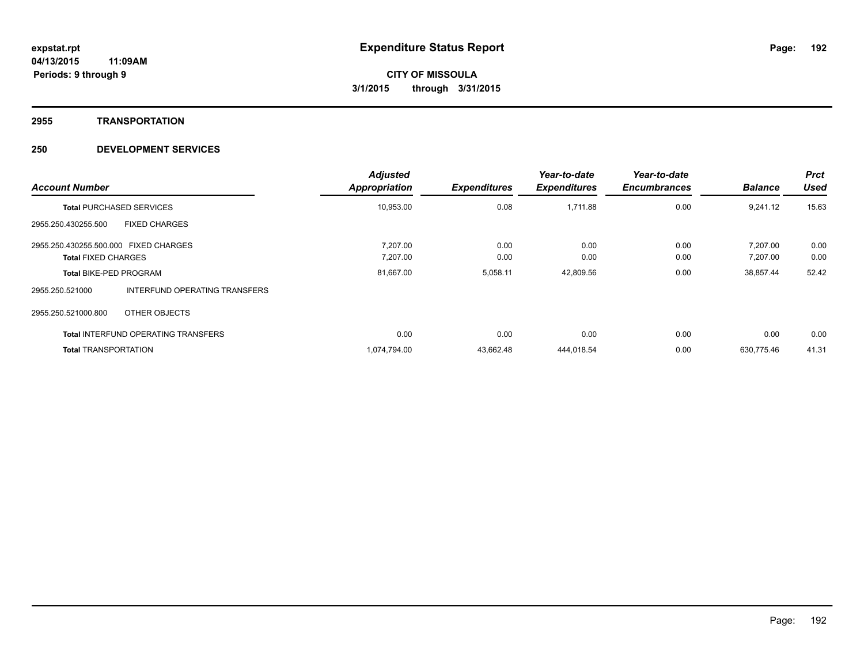#### **2955 TRANSPORTATION**

| <b>Account Number</b>                 |                                            | <b>Adjusted</b><br>Appropriation | <b>Expenditures</b> | Year-to-date<br><b>Expenditures</b> | Year-to-date<br><b>Encumbrances</b> | <b>Balance</b> | <b>Prct</b><br><b>Used</b> |
|---------------------------------------|--------------------------------------------|----------------------------------|---------------------|-------------------------------------|-------------------------------------|----------------|----------------------------|
|                                       | <b>Total PURCHASED SERVICES</b>            | 10,953.00                        | 0.08                | 1,711.88                            | 0.00                                | 9,241.12       | 15.63                      |
| 2955.250.430255.500                   | <b>FIXED CHARGES</b>                       |                                  |                     |                                     |                                     |                |                            |
| 2955.250.430255.500.000 FIXED CHARGES |                                            | 7.207.00                         | 0.00                | 0.00                                | 0.00                                | 7.207.00       | 0.00                       |
| <b>Total FIXED CHARGES</b>            |                                            | 7,207.00                         | 0.00                | 0.00                                | 0.00                                | 7,207.00       | 0.00                       |
| <b>Total BIKE-PED PROGRAM</b>         |                                            | 81,667.00                        | 5,058.11            | 42,809.56                           | 0.00                                | 38,857.44      | 52.42                      |
| 2955.250.521000                       | <b>INTERFUND OPERATING TRANSFERS</b>       |                                  |                     |                                     |                                     |                |                            |
| 2955.250.521000.800                   | OTHER OBJECTS                              |                                  |                     |                                     |                                     |                |                            |
|                                       | <b>Total INTERFUND OPERATING TRANSFERS</b> | 0.00                             | 0.00                | 0.00                                | 0.00                                | 0.00           | 0.00                       |
| <b>Total TRANSPORTATION</b>           |                                            | 1,074,794.00                     | 43,662.48           | 444,018.54                          | 0.00                                | 630.775.46     | 41.31                      |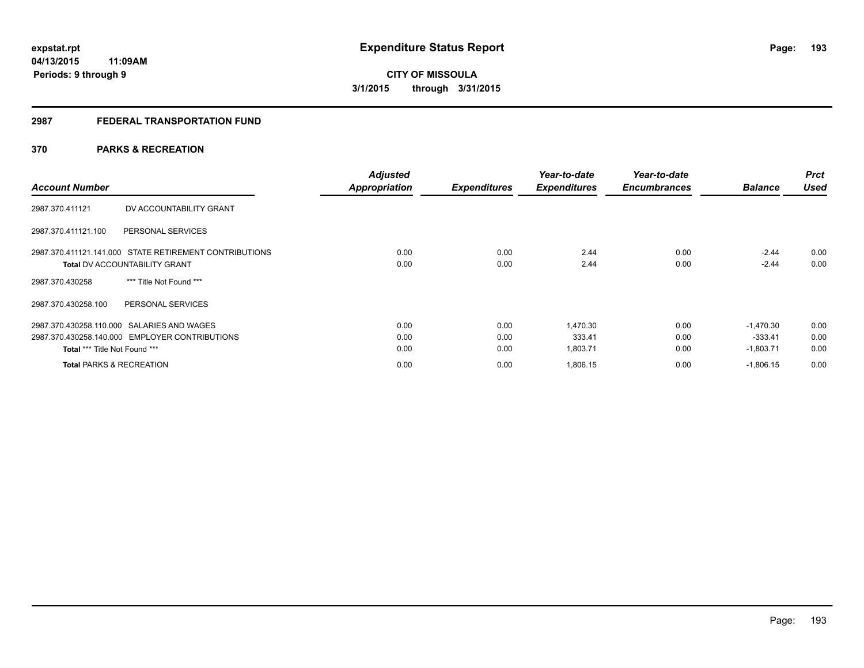# **2987 FEDERAL TRANSPORTATION FUND**

# **370 PARKS & RECREATION**

| <b>Account Number</b>                                  | <b>Adjusted</b><br><b>Appropriation</b> | <b>Expenditures</b> | Year-to-date<br><b>Expenditures</b> | Year-to-date<br><b>Encumbrances</b> | <b>Balance</b> | <b>Prct</b><br><b>Used</b> |
|--------------------------------------------------------|-----------------------------------------|---------------------|-------------------------------------|-------------------------------------|----------------|----------------------------|
| DV ACCOUNTABILITY GRANT<br>2987.370.411121             |                                         |                     |                                     |                                     |                |                            |
| 2987.370.411121.100<br>PERSONAL SERVICES               |                                         |                     |                                     |                                     |                |                            |
| 2987.370.411121.141.000 STATE RETIREMENT CONTRIBUTIONS | 0.00                                    | 0.00                | 2.44                                | 0.00                                | $-2.44$        | 0.00                       |
| <b>Total DV ACCOUNTABILITY GRANT</b>                   | 0.00                                    | 0.00                | 2.44                                | 0.00                                | $-2.44$        | 0.00                       |
| *** Title Not Found ***<br>2987.370.430258             |                                         |                     |                                     |                                     |                |                            |
| PERSONAL SERVICES<br>2987.370.430258.100               |                                         |                     |                                     |                                     |                |                            |
| 2987.370.430258.110.000 SALARIES AND WAGES             | 0.00                                    | 0.00                | 1.470.30                            | 0.00                                | $-1.470.30$    | 0.00                       |
| 2987.370.430258.140.000 EMPLOYER CONTRIBUTIONS         | 0.00                                    | 0.00                | 333.41                              | 0.00                                | $-333.41$      | 0.00                       |
| Total *** Title Not Found ***                          | 0.00                                    | 0.00                | 1,803.71                            | 0.00                                | $-1,803.71$    | 0.00                       |
| <b>Total PARKS &amp; RECREATION</b>                    | 0.00                                    | 0.00                | 1,806.15                            | 0.00                                | $-1,806.15$    | 0.00                       |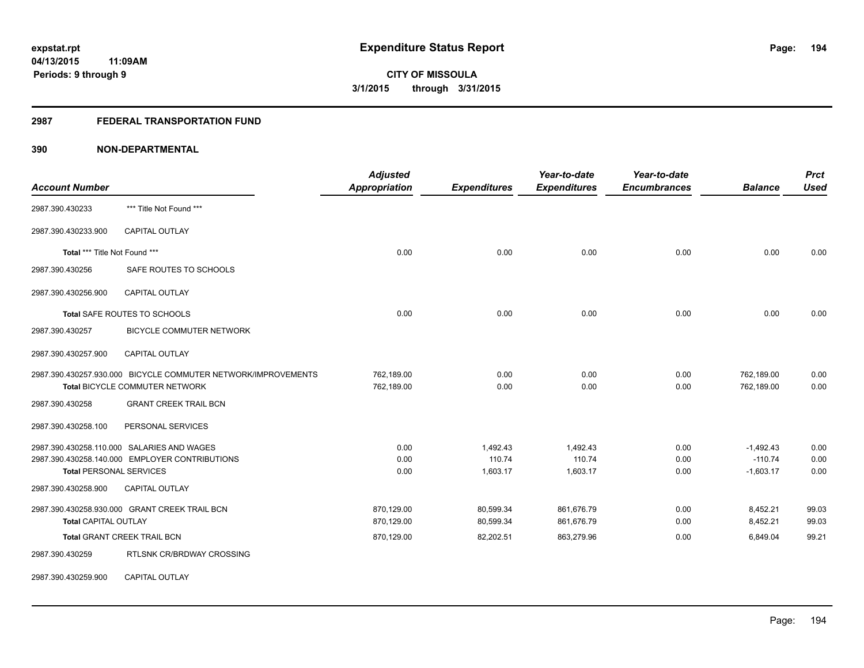## **2987 FEDERAL TRANSPORTATION FUND**

| <b>Account Number</b>                      |                                                               | <b>Adjusted</b><br>Appropriation | <b>Expenditures</b> | Year-to-date<br><b>Expenditures</b> | Year-to-date<br><b>Encumbrances</b> | <b>Balance</b> | <b>Prct</b><br><b>Used</b> |
|--------------------------------------------|---------------------------------------------------------------|----------------------------------|---------------------|-------------------------------------|-------------------------------------|----------------|----------------------------|
| 2987.390.430233                            | *** Title Not Found ***                                       |                                  |                     |                                     |                                     |                |                            |
| 2987.390.430233.900                        | <b>CAPITAL OUTLAY</b>                                         |                                  |                     |                                     |                                     |                |                            |
| Total *** Title Not Found ***              |                                                               | 0.00                             | 0.00                | 0.00                                | 0.00                                | 0.00           | 0.00                       |
| 2987.390.430256                            | SAFE ROUTES TO SCHOOLS                                        |                                  |                     |                                     |                                     |                |                            |
| 2987.390.430256.900                        | <b>CAPITAL OUTLAY</b>                                         |                                  |                     |                                     |                                     |                |                            |
|                                            | Total SAFE ROUTES TO SCHOOLS                                  | 0.00                             | 0.00                | 0.00                                | 0.00                                | 0.00           | 0.00                       |
| 2987.390.430257                            | <b>BICYCLE COMMUTER NETWORK</b>                               |                                  |                     |                                     |                                     |                |                            |
| 2987.390.430257.900                        | <b>CAPITAL OUTLAY</b>                                         |                                  |                     |                                     |                                     |                |                            |
|                                            | 2987.390.430257.930.000 BICYCLE COMMUTER NETWORK/IMPROVEMENTS | 762,189.00                       | 0.00                | 0.00                                | 0.00                                | 762,189.00     | 0.00                       |
|                                            | Total BICYCLE COMMUTER NETWORK                                | 762,189.00                       | 0.00                | 0.00                                | 0.00                                | 762,189.00     | 0.00                       |
| 2987.390.430258                            | <b>GRANT CREEK TRAIL BCN</b>                                  |                                  |                     |                                     |                                     |                |                            |
| 2987.390.430258.100                        | PERSONAL SERVICES                                             |                                  |                     |                                     |                                     |                |                            |
| 2987.390.430258.110.000 SALARIES AND WAGES |                                                               | 0.00                             | 1,492.43            | 1,492.43                            | 0.00                                | $-1,492.43$    | 0.00                       |
|                                            | 2987.390.430258.140.000 EMPLOYER CONTRIBUTIONS                | 0.00                             | 110.74              | 110.74                              | 0.00                                | $-110.74$      | 0.00                       |
| <b>Total PERSONAL SERVICES</b>             |                                                               | 0.00                             | 1,603.17            | 1,603.17                            | 0.00                                | $-1,603.17$    | 0.00                       |
| 2987.390.430258.900                        | <b>CAPITAL OUTLAY</b>                                         |                                  |                     |                                     |                                     |                |                            |
|                                            | 2987.390.430258.930.000 GRANT CREEK TRAIL BCN                 | 870.129.00                       | 80,599.34           | 861,676.79                          | 0.00                                | 8,452.21       | 99.03                      |
| <b>Total CAPITAL OUTLAY</b>                |                                                               | 870,129.00                       | 80,599.34           | 861,676.79                          | 0.00                                | 8,452.21       | 99.03                      |
| Total GRANT CREEK TRAIL BCN                |                                                               | 870,129.00                       | 82,202.51           | 863,279.96                          | 0.00                                | 6,849.04       | 99.21                      |
| 2987.390.430259                            | <b>RTLSNK CR/BRDWAY CROSSING</b>                              |                                  |                     |                                     |                                     |                |                            |
| 2987.390.430259.900                        | <b>CAPITAL OUTLAY</b>                                         |                                  |                     |                                     |                                     |                |                            |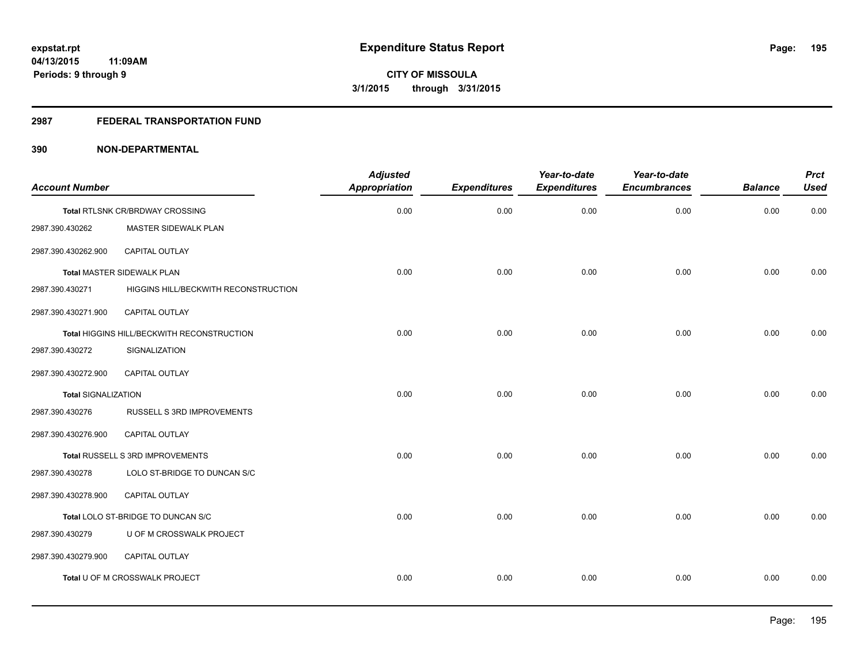## **2987 FEDERAL TRANSPORTATION FUND**

| <b>Account Number</b>      |                                            | <b>Adjusted</b><br><b>Appropriation</b> | <b>Expenditures</b> | Year-to-date<br><b>Expenditures</b> | Year-to-date<br><b>Encumbrances</b> | <b>Balance</b> | <b>Prct</b><br><b>Used</b> |
|----------------------------|--------------------------------------------|-----------------------------------------|---------------------|-------------------------------------|-------------------------------------|----------------|----------------------------|
|                            | Total RTLSNK CR/BRDWAY CROSSING            | 0.00                                    | 0.00                | 0.00                                | 0.00                                | 0.00           | 0.00                       |
| 2987.390.430262            | MASTER SIDEWALK PLAN                       |                                         |                     |                                     |                                     |                |                            |
| 2987.390.430262.900        | <b>CAPITAL OUTLAY</b>                      |                                         |                     |                                     |                                     |                |                            |
|                            | <b>Total MASTER SIDEWALK PLAN</b>          | 0.00                                    | 0.00                | 0.00                                | 0.00                                | 0.00           | 0.00                       |
| 2987.390.430271            | HIGGINS HILL/BECKWITH RECONSTRUCTION       |                                         |                     |                                     |                                     |                |                            |
| 2987.390.430271.900        | CAPITAL OUTLAY                             |                                         |                     |                                     |                                     |                |                            |
|                            | Total HIGGINS HILL/BECKWITH RECONSTRUCTION | 0.00                                    | 0.00                | 0.00                                | 0.00                                | 0.00           | 0.00                       |
| 2987.390.430272            | SIGNALIZATION                              |                                         |                     |                                     |                                     |                |                            |
| 2987.390.430272.900        | <b>CAPITAL OUTLAY</b>                      |                                         |                     |                                     |                                     |                |                            |
| <b>Total SIGNALIZATION</b> |                                            | 0.00                                    | 0.00                | 0.00                                | 0.00                                | 0.00           | 0.00                       |
| 2987.390.430276            | RUSSELL S 3RD IMPROVEMENTS                 |                                         |                     |                                     |                                     |                |                            |
| 2987.390.430276.900        | CAPITAL OUTLAY                             |                                         |                     |                                     |                                     |                |                            |
|                            | Total RUSSELL S 3RD IMPROVEMENTS           | 0.00                                    | 0.00                | 0.00                                | 0.00                                | 0.00           | 0.00                       |
| 2987.390.430278            | LOLO ST-BRIDGE TO DUNCAN S/C               |                                         |                     |                                     |                                     |                |                            |
| 2987.390.430278.900        | CAPITAL OUTLAY                             |                                         |                     |                                     |                                     |                |                            |
|                            | Total LOLO ST-BRIDGE TO DUNCAN S/C         | 0.00                                    | 0.00                | 0.00                                | 0.00                                | 0.00           | 0.00                       |
| 2987.390.430279            | U OF M CROSSWALK PROJECT                   |                                         |                     |                                     |                                     |                |                            |
| 2987.390.430279.900        | CAPITAL OUTLAY                             |                                         |                     |                                     |                                     |                |                            |
|                            | Total U OF M CROSSWALK PROJECT             | 0.00                                    | 0.00                | 0.00                                | 0.00                                | 0.00           | 0.00                       |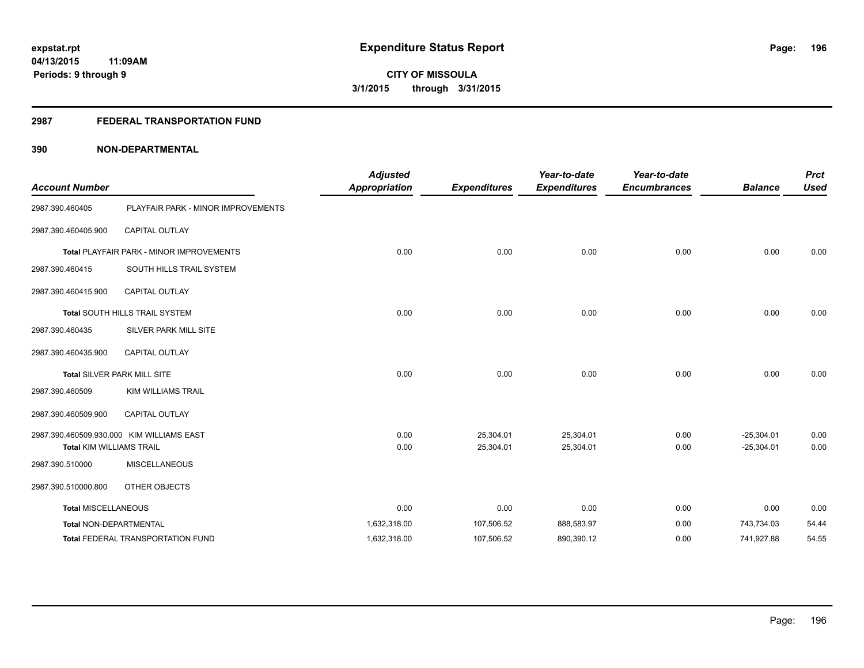## **2987 FEDERAL TRANSPORTATION FUND**

| <b>Account Number</b>           |                                                 | <b>Adjusted</b><br><b>Appropriation</b> | <b>Expenditures</b> | Year-to-date<br><b>Expenditures</b> | Year-to-date<br><b>Encumbrances</b> | <b>Balance</b> | <b>Prct</b><br><b>Used</b> |
|---------------------------------|-------------------------------------------------|-----------------------------------------|---------------------|-------------------------------------|-------------------------------------|----------------|----------------------------|
| 2987.390.460405                 | PLAYFAIR PARK - MINOR IMPROVEMENTS              |                                         |                     |                                     |                                     |                |                            |
| 2987.390.460405.900             | <b>CAPITAL OUTLAY</b>                           |                                         |                     |                                     |                                     |                |                            |
|                                 | <b>Total PLAYFAIR PARK - MINOR IMPROVEMENTS</b> | 0.00                                    | 0.00                | 0.00                                | 0.00                                | 0.00           | 0.00                       |
| 2987.390.460415                 | SOUTH HILLS TRAIL SYSTEM                        |                                         |                     |                                     |                                     |                |                            |
| 2987.390.460415.900             | <b>CAPITAL OUTLAY</b>                           |                                         |                     |                                     |                                     |                |                            |
|                                 | Total SOUTH HILLS TRAIL SYSTEM                  | 0.00                                    | 0.00                | 0.00                                | 0.00                                | 0.00           | 0.00                       |
| 2987.390.460435                 | SILVER PARK MILL SITE                           |                                         |                     |                                     |                                     |                |                            |
| 2987.390.460435.900             | CAPITAL OUTLAY                                  |                                         |                     |                                     |                                     |                |                            |
|                                 | Total SILVER PARK MILL SITE                     | 0.00                                    | 0.00                | 0.00                                | 0.00                                | 0.00           | 0.00                       |
| 2987.390.460509                 | <b>KIM WILLIAMS TRAIL</b>                       |                                         |                     |                                     |                                     |                |                            |
| 2987.390.460509.900             | <b>CAPITAL OUTLAY</b>                           |                                         |                     |                                     |                                     |                |                            |
|                                 | 2987.390.460509.930.000 KIM WILLIAMS EAST       | 0.00                                    | 25,304.01           | 25,304.01                           | 0.00                                | $-25,304.01$   | 0.00                       |
| <b>Total KIM WILLIAMS TRAIL</b> |                                                 | 0.00                                    | 25,304.01           | 25,304.01                           | 0.00                                | $-25,304.01$   | 0.00                       |
| 2987.390.510000                 | <b>MISCELLANEOUS</b>                            |                                         |                     |                                     |                                     |                |                            |
| 2987.390.510000.800             | OTHER OBJECTS                                   |                                         |                     |                                     |                                     |                |                            |
| <b>Total MISCELLANEOUS</b>      |                                                 | 0.00                                    | 0.00                | 0.00                                | 0.00                                | 0.00           | 0.00                       |
| Total NON-DEPARTMENTAL          |                                                 | 1,632,318.00                            | 107,506.52          | 888,583.97                          | 0.00                                | 743.734.03     | 54.44                      |
|                                 | Total FEDERAL TRANSPORTATION FUND               | 1,632,318.00                            | 107,506.52          | 890,390.12                          | 0.00                                | 741,927.88     | 54.55                      |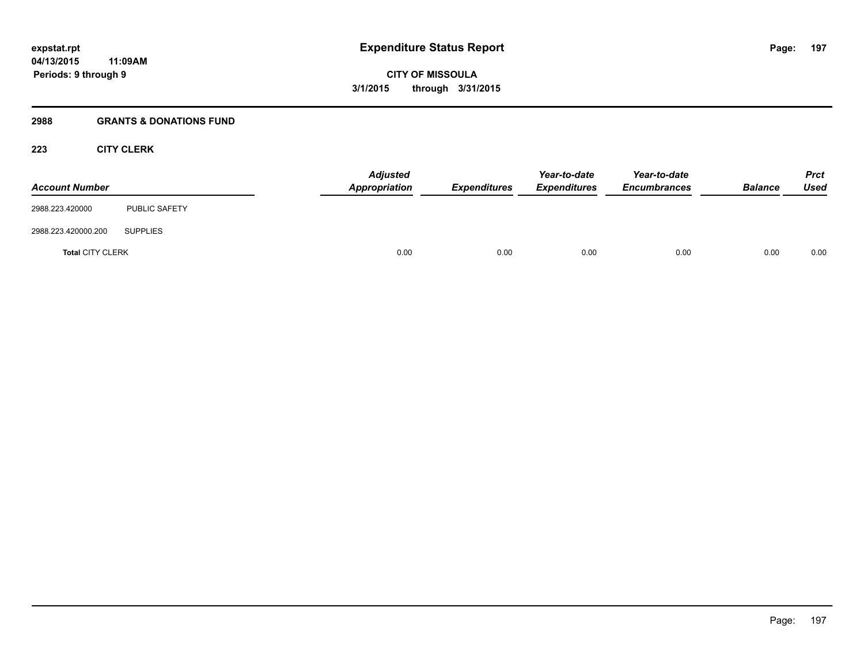# **2988 GRANTS & DONATIONS FUND**

# **223 CITY CLERK**

| <b>Account Number</b>   |                      | <b>Adjusted</b><br>Appropriation | <b>Expenditures</b> | Year-to-date<br><b>Expenditures</b> | Year-to-date<br><b>Encumbrances</b> | <b>Balance</b> | <b>Prct</b><br><b>Used</b> |
|-------------------------|----------------------|----------------------------------|---------------------|-------------------------------------|-------------------------------------|----------------|----------------------------|
| 2988.223.420000         | <b>PUBLIC SAFETY</b> |                                  |                     |                                     |                                     |                |                            |
| 2988.223.420000.200     | <b>SUPPLIES</b>      |                                  |                     |                                     |                                     |                |                            |
| <b>Total CITY CLERK</b> |                      | 0.00                             | 0.00                | 0.00                                | 0.00                                | 0.00           | 0.00                       |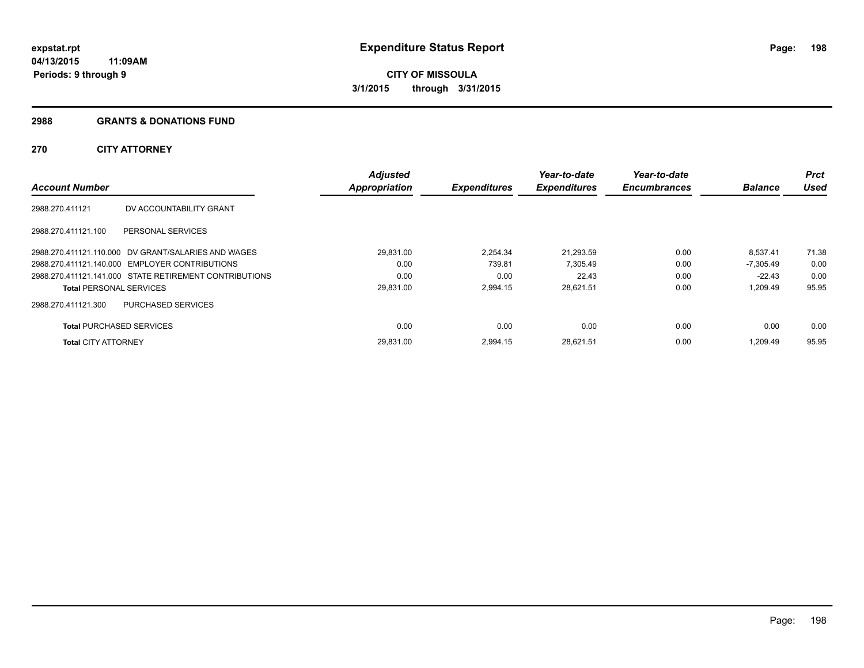### **2988 GRANTS & DONATIONS FUND**

# **270 CITY ATTORNEY**

|                                 |                                                        | <b>Adjusted</b> |                     | Year-to-date        | Year-to-date        |                | Prct        |
|---------------------------------|--------------------------------------------------------|-----------------|---------------------|---------------------|---------------------|----------------|-------------|
| <b>Account Number</b>           |                                                        | Appropriation   | <b>Expenditures</b> | <b>Expenditures</b> | <b>Encumbrances</b> | <b>Balance</b> | <b>Used</b> |
| 2988.270.411121                 | DV ACCOUNTABILITY GRANT                                |                 |                     |                     |                     |                |             |
| 2988.270.411121.100             | PERSONAL SERVICES                                      |                 |                     |                     |                     |                |             |
|                                 | 2988.270.411121.110.000 DV GRANT/SALARIES AND WAGES    | 29.831.00       | 2.254.34            | 21.293.59           | 0.00                | 8.537.41       | 71.38       |
|                                 | 2988.270.411121.140.000 EMPLOYER CONTRIBUTIONS         | 0.00            | 739.81              | 7.305.49            | 0.00                | $-7.305.49$    | 0.00        |
|                                 | 2988.270.411121.141.000 STATE RETIREMENT CONTRIBUTIONS | 0.00            | 0.00                | 22.43               | 0.00                | $-22.43$       | 0.00        |
| <b>Total PERSONAL SERVICES</b>  |                                                        | 29,831.00       | 2,994.15            | 28,621.51           | 0.00                | 1,209.49       | 95.95       |
| 2988.270.411121.300             | PURCHASED SERVICES                                     |                 |                     |                     |                     |                |             |
| <b>Total PURCHASED SERVICES</b> |                                                        | 0.00            | 0.00                | 0.00                | 0.00                | 0.00           | 0.00        |
| <b>Total CITY ATTORNEY</b>      |                                                        | 29.831.00       | 2.994.15            | 28,621.51           | 0.00                | 1.209.49       | 95.95       |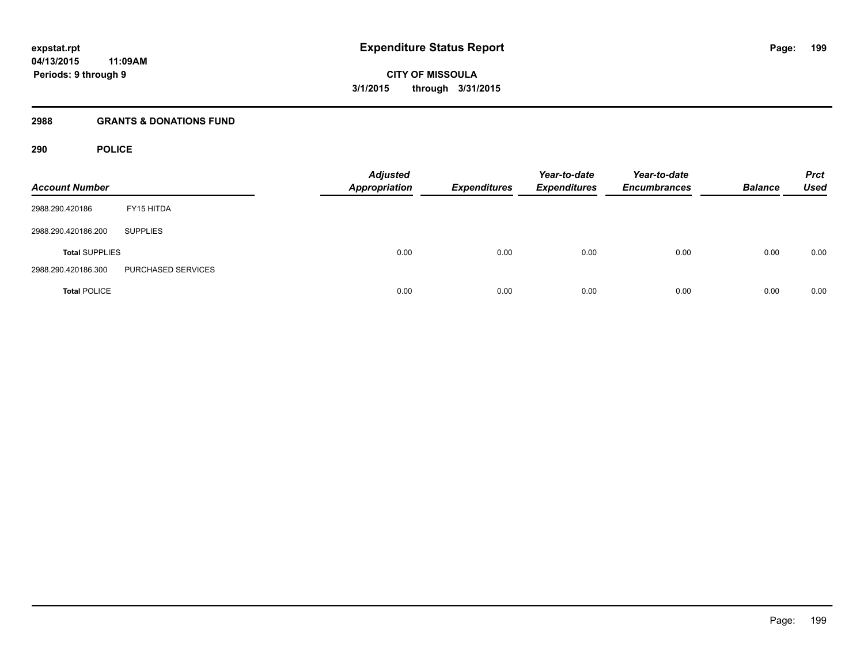### **2988 GRANTS & DONATIONS FUND**

# **290 POLICE**

| <b>Account Number</b> |                    | <b>Adjusted</b><br><b>Appropriation</b> | <b>Expenditures</b> | Year-to-date<br><b>Expenditures</b> | Year-to-date<br><b>Encumbrances</b> | <b>Balance</b> | <b>Prct</b><br><b>Used</b> |
|-----------------------|--------------------|-----------------------------------------|---------------------|-------------------------------------|-------------------------------------|----------------|----------------------------|
| 2988.290.420186       | FY15 HITDA         |                                         |                     |                                     |                                     |                |                            |
| 2988.290.420186.200   | <b>SUPPLIES</b>    |                                         |                     |                                     |                                     |                |                            |
| <b>Total SUPPLIES</b> |                    | 0.00                                    | 0.00                | 0.00                                | 0.00                                | 0.00           | 0.00                       |
| 2988.290.420186.300   | PURCHASED SERVICES |                                         |                     |                                     |                                     |                |                            |
| <b>Total POLICE</b>   |                    | 0.00                                    | 0.00                | 0.00                                | 0.00                                | 0.00           | 0.00                       |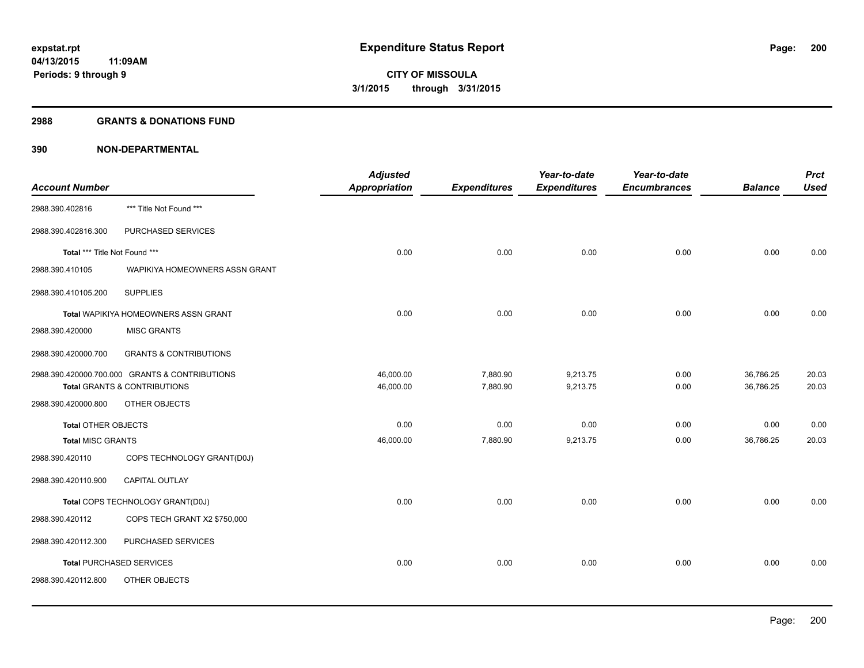#### **2988 GRANTS & DONATIONS FUND**

|                               |                                                | <b>Adjusted</b> |                     | Year-to-date        | Year-to-date        |                | <b>Prct</b> |
|-------------------------------|------------------------------------------------|-----------------|---------------------|---------------------|---------------------|----------------|-------------|
| <b>Account Number</b>         |                                                | Appropriation   | <b>Expenditures</b> | <b>Expenditures</b> | <b>Encumbrances</b> | <b>Balance</b> | <b>Used</b> |
| 2988.390.402816               | *** Title Not Found ***                        |                 |                     |                     |                     |                |             |
| 2988.390.402816.300           | PURCHASED SERVICES                             |                 |                     |                     |                     |                |             |
| Total *** Title Not Found *** |                                                | 0.00            | 0.00                | 0.00                | 0.00                | 0.00           | 0.00        |
| 2988.390.410105               | WAPIKIYA HOMEOWNERS ASSN GRANT                 |                 |                     |                     |                     |                |             |
| 2988.390.410105.200           | <b>SUPPLIES</b>                                |                 |                     |                     |                     |                |             |
|                               | Total WAPIKIYA HOMEOWNERS ASSN GRANT           | 0.00            | 0.00                | 0.00                | 0.00                | 0.00           | 0.00        |
| 2988.390.420000               | <b>MISC GRANTS</b>                             |                 |                     |                     |                     |                |             |
| 2988.390.420000.700           | <b>GRANTS &amp; CONTRIBUTIONS</b>              |                 |                     |                     |                     |                |             |
|                               | 2988.390.420000.700.000 GRANTS & CONTRIBUTIONS | 46,000.00       | 7,880.90            | 9,213.75            | 0.00                | 36,786.25      | 20.03       |
|                               | Total GRANTS & CONTRIBUTIONS                   | 46,000.00       | 7,880.90            | 9,213.75            | 0.00                | 36,786.25      | 20.03       |
| 2988.390.420000.800           | OTHER OBJECTS                                  |                 |                     |                     |                     |                |             |
| <b>Total OTHER OBJECTS</b>    |                                                | 0.00            | 0.00                | 0.00                | 0.00                | 0.00           | 0.00        |
| <b>Total MISC GRANTS</b>      |                                                | 46,000.00       | 7,880.90            | 9,213.75            | 0.00                | 36,786.25      | 20.03       |
| 2988.390.420110               | COPS TECHNOLOGY GRANT(D0J)                     |                 |                     |                     |                     |                |             |
| 2988.390.420110.900           | <b>CAPITAL OUTLAY</b>                          |                 |                     |                     |                     |                |             |
|                               | Total COPS TECHNOLOGY GRANT(D0J)               | 0.00            | 0.00                | 0.00                | 0.00                | 0.00           | 0.00        |
| 2988.390.420112               | COPS TECH GRANT X2 \$750,000                   |                 |                     |                     |                     |                |             |
| 2988.390.420112.300           | PURCHASED SERVICES                             |                 |                     |                     |                     |                |             |
|                               | <b>Total PURCHASED SERVICES</b>                | 0.00            | 0.00                | 0.00                | 0.00                | 0.00           | 0.00        |
| 2988.390.420112.800           | OTHER OBJECTS                                  |                 |                     |                     |                     |                |             |
|                               |                                                |                 |                     |                     |                     |                |             |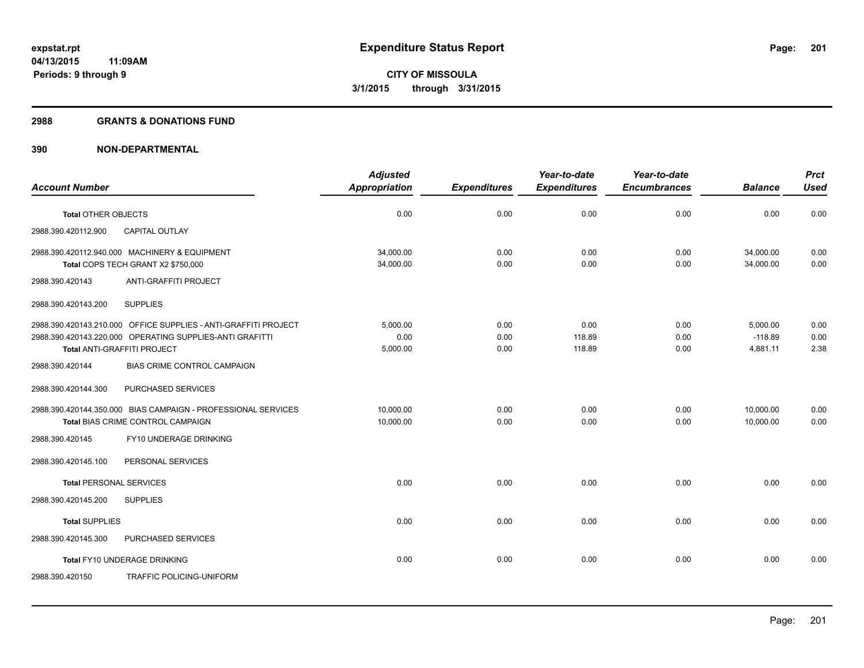#### **2988 GRANTS & DONATIONS FUND**

|                                                                 | <b>Adjusted</b>      |                     | Year-to-date        | Year-to-date        |                | <b>Prct</b> |
|-----------------------------------------------------------------|----------------------|---------------------|---------------------|---------------------|----------------|-------------|
| <b>Account Number</b>                                           | <b>Appropriation</b> | <b>Expenditures</b> | <b>Expenditures</b> | <b>Encumbrances</b> | <b>Balance</b> | <b>Used</b> |
|                                                                 |                      |                     |                     |                     |                |             |
| <b>Total OTHER OBJECTS</b>                                      | 0.00                 | 0.00                | 0.00                | 0.00                | 0.00           | 0.00        |
| CAPITAL OUTLAY<br>2988.390.420112.900                           |                      |                     |                     |                     |                |             |
| 2988.390.420112.940.000 MACHINERY & EQUIPMENT                   | 34,000.00            | 0.00                | 0.00                | 0.00                | 34,000.00      | 0.00        |
| Total COPS TECH GRANT X2 \$750,000                              | 34,000.00            | 0.00                | 0.00                | 0.00                | 34,000.00      | 0.00        |
| ANTI-GRAFFITI PROJECT<br>2988.390.420143                        |                      |                     |                     |                     |                |             |
| 2988.390.420143.200<br><b>SUPPLIES</b>                          |                      |                     |                     |                     |                |             |
| 2988.390.420143.210.000 OFFICE SUPPLIES - ANTI-GRAFFITI PROJECT | 5,000.00             | 0.00                | 0.00                | 0.00                | 5,000.00       | 0.00        |
| 2988.390.420143.220.000 OPERATING SUPPLIES-ANTI GRAFITTI        | 0.00                 | 0.00                | 118.89              | 0.00                | $-118.89$      | 0.00        |
| Total ANTI-GRAFFITI PROJECT                                     | 5,000.00             | 0.00                | 118.89              | 0.00                | 4,881.11       | 2.38        |
| BIAS CRIME CONTROL CAMPAIGN<br>2988.390.420144                  |                      |                     |                     |                     |                |             |
| 2988.390.420144.300<br>PURCHASED SERVICES                       |                      |                     |                     |                     |                |             |
| 2988.390.420144.350.000 BIAS CAMPAIGN - PROFESSIONAL SERVICES   | 10.000.00            | 0.00                | 0.00                | 0.00                | 10,000.00      | 0.00        |
| Total BIAS CRIME CONTROL CAMPAIGN                               | 10,000.00            | 0.00                | 0.00                | 0.00                | 10,000.00      | 0.00        |
| FY10 UNDERAGE DRINKING<br>2988.390.420145                       |                      |                     |                     |                     |                |             |
| PERSONAL SERVICES<br>2988.390.420145.100                        |                      |                     |                     |                     |                |             |
| <b>Total PERSONAL SERVICES</b>                                  | 0.00                 | 0.00                | 0.00                | 0.00                | 0.00           | 0.00        |
| <b>SUPPLIES</b><br>2988.390.420145.200                          |                      |                     |                     |                     |                |             |
| <b>Total SUPPLIES</b>                                           | 0.00                 | 0.00                | 0.00                | 0.00                | 0.00           | 0.00        |
| 2988.390.420145.300<br>PURCHASED SERVICES                       |                      |                     |                     |                     |                |             |
| Total FY10 UNDERAGE DRINKING                                    | 0.00                 | 0.00                | 0.00                | 0.00                | 0.00           | 0.00        |
| <b>TRAFFIC POLICING-UNIFORM</b><br>2988.390.420150              |                      |                     |                     |                     |                |             |
|                                                                 |                      |                     |                     |                     |                |             |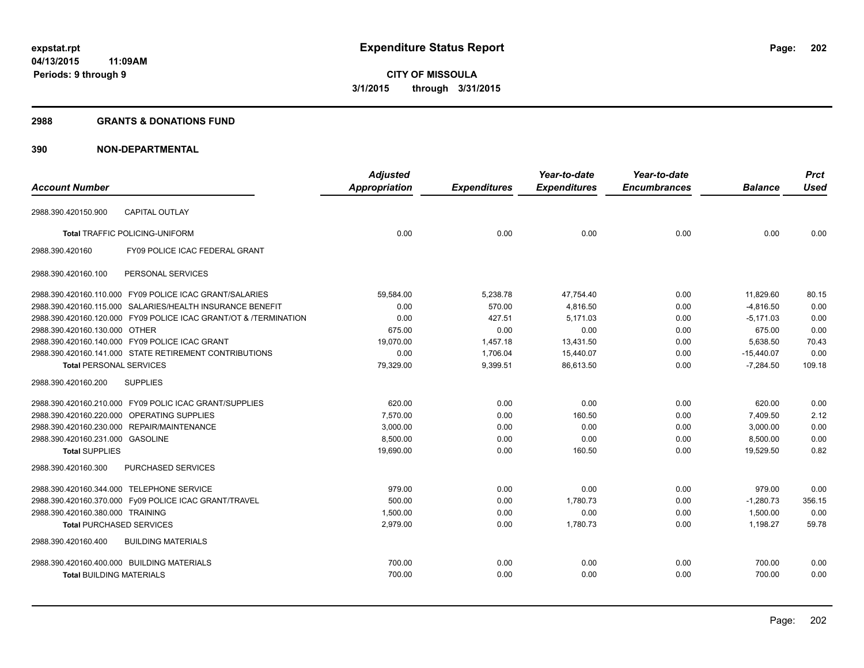## **2988 GRANTS & DONATIONS FUND**

|                                            |                                                                  | <b>Adjusted</b>      |                     | Year-to-date        | Year-to-date        |                | <b>Prct</b> |
|--------------------------------------------|------------------------------------------------------------------|----------------------|---------------------|---------------------|---------------------|----------------|-------------|
| <b>Account Number</b>                      |                                                                  | <b>Appropriation</b> | <b>Expenditures</b> | <b>Expenditures</b> | <b>Encumbrances</b> | <b>Balance</b> | <b>Used</b> |
| 2988.390.420150.900                        | <b>CAPITAL OUTLAY</b>                                            |                      |                     |                     |                     |                |             |
|                                            | <b>Total TRAFFIC POLICING-UNIFORM</b>                            | 0.00                 | 0.00                | 0.00                | 0.00                | 0.00           | 0.00        |
| 2988.390.420160                            | FY09 POLICE ICAC FEDERAL GRANT                                   |                      |                     |                     |                     |                |             |
| 2988.390.420160.100                        | PERSONAL SERVICES                                                |                      |                     |                     |                     |                |             |
|                                            | 2988.390.420160.110.000 FY09 POLICE ICAC GRANT/SALARIES          | 59,584.00            | 5,238.78            | 47,754.40           | 0.00                | 11,829.60      | 80.15       |
|                                            | 2988.390.420160.115.000 SALARIES/HEALTH INSURANCE BENEFIT        | 0.00                 | 570.00              | 4,816.50            | 0.00                | $-4,816.50$    | 0.00        |
|                                            | 2988.390.420160.120.000 FY09 POLICE ICAC GRANT/OT & /TERMINATION | 0.00                 | 427.51              | 5,171.03            | 0.00                | $-5,171.03$    | 0.00        |
| 2988.390.420160.130.000 OTHER              |                                                                  | 675.00               | 0.00                | 0.00                | 0.00                | 675.00         | 0.00        |
|                                            | 2988.390.420160.140.000 FY09 POLICE ICAC GRANT                   | 19,070.00            | 1,457.18            | 13,431.50           | 0.00                | 5,638.50       | 70.43       |
|                                            | 2988.390.420160.141.000 STATE RETIREMENT CONTRIBUTIONS           | 0.00                 | 1,706.04            | 15,440.07           | 0.00                | $-15,440.07$   | 0.00        |
| <b>Total PERSONAL SERVICES</b>             |                                                                  | 79,329.00            | 9,399.51            | 86.613.50           | 0.00                | $-7,284.50$    | 109.18      |
| 2988.390.420160.200                        | <b>SUPPLIES</b>                                                  |                      |                     |                     |                     |                |             |
|                                            | 2988.390.420160.210.000 FY09 POLIC ICAC GRANT/SUPPLIES           | 620.00               | 0.00                | 0.00                | 0.00                | 620.00         | 0.00        |
|                                            | 2988.390.420160.220.000 OPERATING SUPPLIES                       | 7,570.00             | 0.00                | 160.50              | 0.00                | 7,409.50       | 2.12        |
|                                            | 2988.390.420160.230.000 REPAIR/MAINTENANCE                       | 3,000.00             | 0.00                | 0.00                | 0.00                | 3,000.00       | 0.00        |
| 2988.390.420160.231.000 GASOLINE           |                                                                  | 8,500.00             | 0.00                | 0.00                | 0.00                | 8,500.00       | 0.00        |
| <b>Total SUPPLIES</b>                      |                                                                  | 19,690.00            | 0.00                | 160.50              | 0.00                | 19,529.50      | 0.82        |
| 2988.390.420160.300                        | <b>PURCHASED SERVICES</b>                                        |                      |                     |                     |                     |                |             |
| 2988.390.420160.344.000 TELEPHONE SERVICE  |                                                                  | 979.00               | 0.00                | 0.00                | 0.00                | 979.00         | 0.00        |
|                                            | 2988.390.420160.370.000 Fy09 POLICE ICAC GRANT/TRAVEL            | 500.00               | 0.00                | 1,780.73            | 0.00                | $-1,280.73$    | 356.15      |
| 2988.390.420160.380.000 TRAINING           |                                                                  | 1,500.00             | 0.00                | 0.00                | 0.00                | 1,500.00       | 0.00        |
| <b>Total PURCHASED SERVICES</b>            |                                                                  | 2,979.00             | 0.00                | 1,780.73            | 0.00                | 1,198.27       | 59.78       |
| 2988.390.420160.400                        | <b>BUILDING MATERIALS</b>                                        |                      |                     |                     |                     |                |             |
| 2988.390.420160.400.000 BUILDING MATERIALS |                                                                  | 700.00               | 0.00                | 0.00                | 0.00                | 700.00         | 0.00        |
| <b>Total BUILDING MATERIALS</b>            |                                                                  | 700.00               | 0.00                | 0.00                | 0.00                | 700.00         | 0.00        |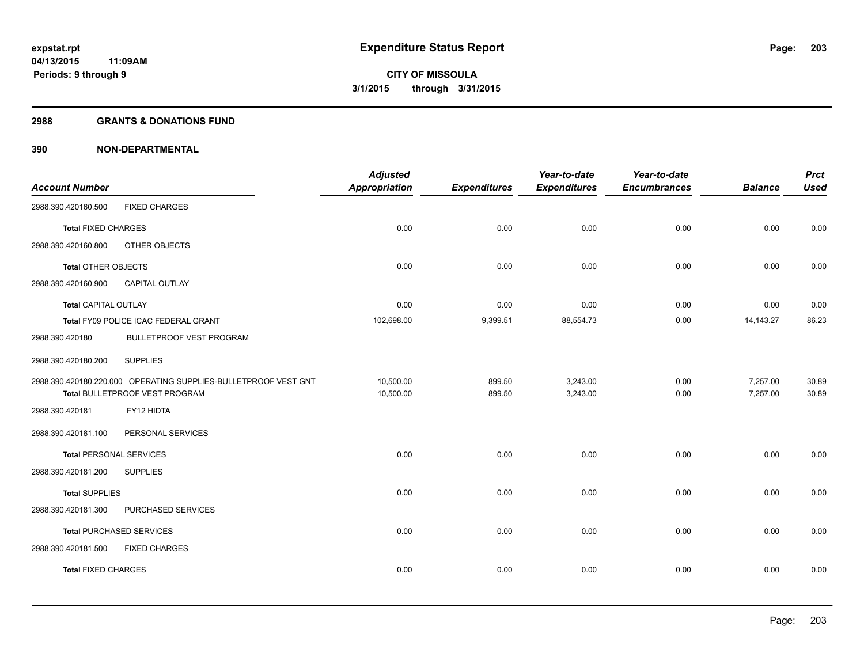### **2988 GRANTS & DONATIONS FUND**

| <b>Account Number</b>          |                                                                 | <b>Adjusted</b><br><b>Appropriation</b> | <b>Expenditures</b> | Year-to-date<br><b>Expenditures</b> | Year-to-date<br><b>Encumbrances</b> | <b>Balance</b> | <b>Prct</b><br><b>Used</b> |
|--------------------------------|-----------------------------------------------------------------|-----------------------------------------|---------------------|-------------------------------------|-------------------------------------|----------------|----------------------------|
| 2988.390.420160.500            | <b>FIXED CHARGES</b>                                            |                                         |                     |                                     |                                     |                |                            |
| <b>Total FIXED CHARGES</b>     |                                                                 | 0.00                                    | 0.00                | 0.00                                | 0.00                                | 0.00           | 0.00                       |
| 2988.390.420160.800            | OTHER OBJECTS                                                   |                                         |                     |                                     |                                     |                |                            |
| <b>Total OTHER OBJECTS</b>     |                                                                 | 0.00                                    | 0.00                | 0.00                                | 0.00                                | 0.00           | 0.00                       |
| 2988.390.420160.900            | CAPITAL OUTLAY                                                  |                                         |                     |                                     |                                     |                |                            |
| <b>Total CAPITAL OUTLAY</b>    |                                                                 | 0.00                                    | 0.00                | 0.00                                | 0.00                                | 0.00           | 0.00                       |
|                                | Total FY09 POLICE ICAC FEDERAL GRANT                            | 102,698.00                              | 9,399.51            | 88,554.73                           | 0.00                                | 14, 143. 27    | 86.23                      |
| 2988.390.420180                | BULLETPROOF VEST PROGRAM                                        |                                         |                     |                                     |                                     |                |                            |
| 2988.390.420180.200            | <b>SUPPLIES</b>                                                 |                                         |                     |                                     |                                     |                |                            |
|                                | 2988.390.420180.220.000 OPERATING SUPPLIES-BULLETPROOF VEST GNT | 10,500.00                               | 899.50              | 3,243.00                            | 0.00                                | 7,257.00       | 30.89                      |
|                                | Total BULLETPROOF VEST PROGRAM                                  | 10,500.00                               | 899.50              | 3,243.00                            | 0.00                                | 7,257.00       | 30.89                      |
| 2988.390.420181                | FY12 HIDTA                                                      |                                         |                     |                                     |                                     |                |                            |
| 2988.390.420181.100            | PERSONAL SERVICES                                               |                                         |                     |                                     |                                     |                |                            |
| <b>Total PERSONAL SERVICES</b> |                                                                 | 0.00                                    | 0.00                | 0.00                                | 0.00                                | 0.00           | 0.00                       |
| 2988.390.420181.200            | <b>SUPPLIES</b>                                                 |                                         |                     |                                     |                                     |                |                            |
| <b>Total SUPPLIES</b>          |                                                                 | 0.00                                    | 0.00                | 0.00                                | 0.00                                | 0.00           | 0.00                       |
| 2988.390.420181.300            | PURCHASED SERVICES                                              |                                         |                     |                                     |                                     |                |                            |
|                                | <b>Total PURCHASED SERVICES</b>                                 | 0.00                                    | 0.00                | 0.00                                | 0.00                                | 0.00           | 0.00                       |
| 2988.390.420181.500            | <b>FIXED CHARGES</b>                                            |                                         |                     |                                     |                                     |                |                            |
| <b>Total FIXED CHARGES</b>     |                                                                 | 0.00                                    | 0.00                | 0.00                                | 0.00                                | 0.00           | 0.00                       |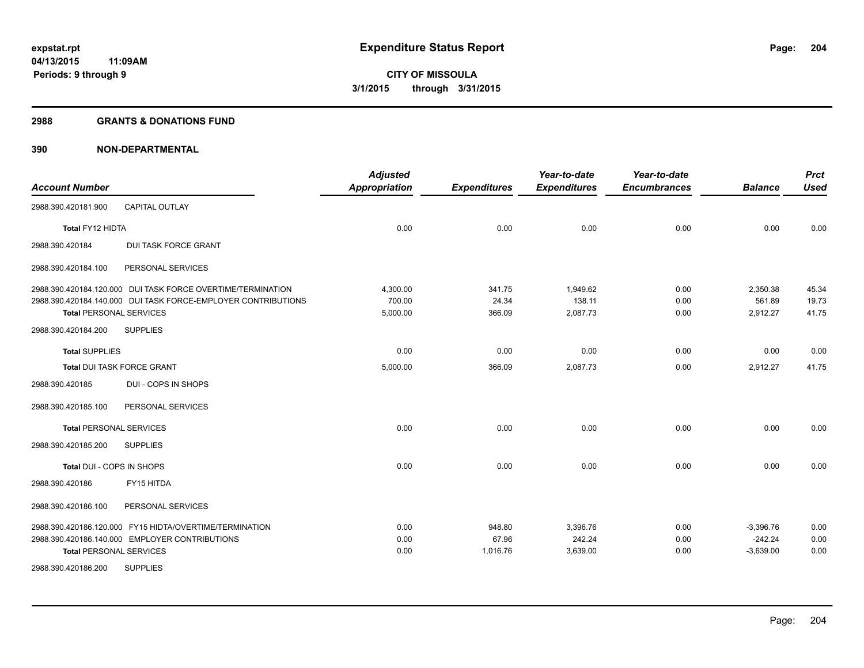#### **2988 GRANTS & DONATIONS FUND**

| <b>Account Number</b>             |                                                               | <b>Adjusted</b><br><b>Appropriation</b> | <b>Expenditures</b> | Year-to-date<br><b>Expenditures</b> | Year-to-date<br><b>Encumbrances</b> | <b>Balance</b> | <b>Prct</b><br><b>Used</b> |
|-----------------------------------|---------------------------------------------------------------|-----------------------------------------|---------------------|-------------------------------------|-------------------------------------|----------------|----------------------------|
| 2988.390.420181.900               | <b>CAPITAL OUTLAY</b>                                         |                                         |                     |                                     |                                     |                |                            |
| Total FY12 HIDTA                  |                                                               | 0.00                                    | 0.00                | 0.00                                | 0.00                                | 0.00           | 0.00                       |
| 2988.390.420184                   | <b>DUI TASK FORCE GRANT</b>                                   |                                         |                     |                                     |                                     |                |                            |
| 2988.390.420184.100               | PERSONAL SERVICES                                             |                                         |                     |                                     |                                     |                |                            |
|                                   | 2988.390.420184.120.000 DUI TASK FORCE OVERTIME/TERMINATION   | 4,300.00                                | 341.75              | 1,949.62                            | 0.00                                | 2,350.38       | 45.34                      |
|                                   | 2988.390.420184.140.000 DUI TASK FORCE-EMPLOYER CONTRIBUTIONS | 700.00                                  | 24.34               | 138.11                              | 0.00                                | 561.89         | 19.73                      |
| <b>Total PERSONAL SERVICES</b>    |                                                               | 5,000.00                                | 366.09              | 2,087.73                            | 0.00                                | 2,912.27       | 41.75                      |
| 2988.390.420184.200               | <b>SUPPLIES</b>                                               |                                         |                     |                                     |                                     |                |                            |
| <b>Total SUPPLIES</b>             |                                                               | 0.00                                    | 0.00                | 0.00                                | 0.00                                | 0.00           | 0.00                       |
| <b>Total DUI TASK FORCE GRANT</b> |                                                               | 5,000.00                                | 366.09              | 2,087.73                            | 0.00                                | 2,912.27       | 41.75                      |
| 2988.390.420185                   | DUI - COPS IN SHOPS                                           |                                         |                     |                                     |                                     |                |                            |
| 2988.390.420185.100               | PERSONAL SERVICES                                             |                                         |                     |                                     |                                     |                |                            |
| <b>Total PERSONAL SERVICES</b>    |                                                               | 0.00                                    | 0.00                | 0.00                                | 0.00                                | 0.00           | 0.00                       |
| 2988.390.420185.200               | <b>SUPPLIES</b>                                               |                                         |                     |                                     |                                     |                |                            |
| Total DUI - COPS IN SHOPS         |                                                               | 0.00                                    | 0.00                | 0.00                                | 0.00                                | 0.00           | 0.00                       |
| 2988.390.420186                   | FY15 HITDA                                                    |                                         |                     |                                     |                                     |                |                            |
| 2988.390.420186.100               | PERSONAL SERVICES                                             |                                         |                     |                                     |                                     |                |                            |
|                                   | 2988.390.420186.120.000 FY15 HIDTA/OVERTIME/TERMINATION       | 0.00                                    | 948.80              | 3,396.76                            | 0.00                                | $-3,396.76$    | 0.00                       |
|                                   | 2988.390.420186.140.000 EMPLOYER CONTRIBUTIONS                | 0.00                                    | 67.96               | 242.24                              | 0.00                                | $-242.24$      | 0.00                       |
| <b>Total PERSONAL SERVICES</b>    |                                                               | 0.00                                    | 1,016.76            | 3,639.00                            | 0.00                                | $-3,639.00$    | 0.00                       |
| 2988.390.420186.200               | <b>SUPPLIES</b>                                               |                                         |                     |                                     |                                     |                |                            |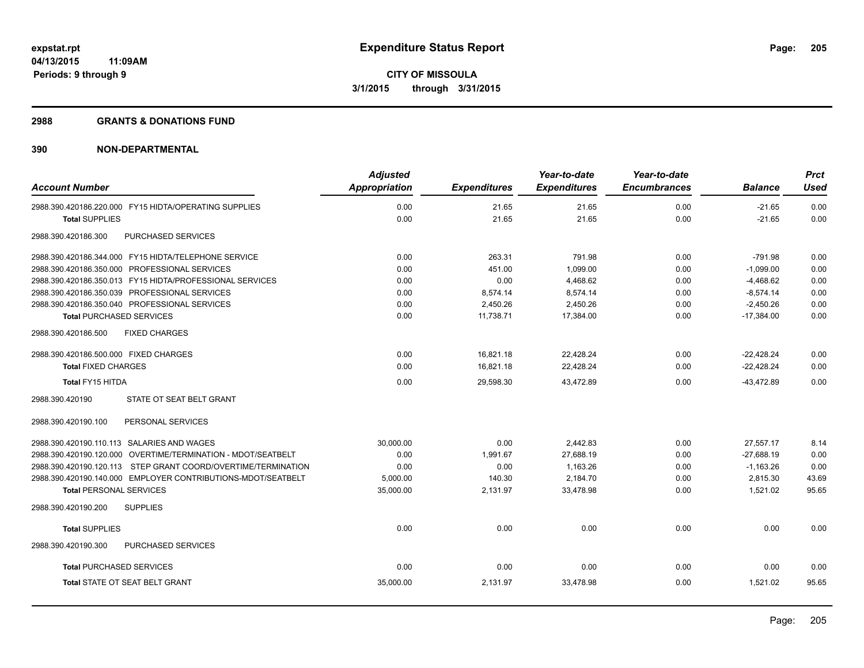#### **2988 GRANTS & DONATIONS FUND**

| <b>Account Number</b>                                         | <b>Adjusted</b><br><b>Appropriation</b> | <b>Expenditures</b> | Year-to-date<br><b>Expenditures</b> | Year-to-date<br><b>Encumbrances</b> | <b>Balance</b> | <b>Prct</b><br>Used |
|---------------------------------------------------------------|-----------------------------------------|---------------------|-------------------------------------|-------------------------------------|----------------|---------------------|
| 2988.390.420186.220.000 FY15 HIDTA/OPERATING SUPPLIES         | 0.00                                    | 21.65               | 21.65                               | 0.00                                | $-21.65$       | 0.00                |
| <b>Total SUPPLIES</b>                                         | 0.00                                    | 21.65               | 21.65                               | 0.00                                | $-21.65$       | 0.00                |
| PURCHASED SERVICES<br>2988.390.420186.300                     |                                         |                     |                                     |                                     |                |                     |
| 2988.390.420186.344.000 FY15 HIDTA/TELEPHONE SERVICE          | 0.00                                    | 263.31              | 791.98                              | 0.00                                | $-791.98$      | 0.00                |
| 2988.390.420186.350.000 PROFESSIONAL SERVICES                 | 0.00                                    | 451.00              | 1,099.00                            | 0.00                                | $-1,099.00$    | 0.00                |
| 2988.390.420186.350.013 FY15 HIDTA/PROFESSIONAL SERVICES      | 0.00                                    | 0.00                | 4.468.62                            | 0.00                                | $-4.468.62$    | 0.00                |
| 2988.390.420186.350.039 PROFESSIONAL SERVICES                 | 0.00                                    | 8,574.14            | 8,574.14                            | 0.00                                | $-8,574.14$    | 0.00                |
| 2988.390.420186.350.040 PROFESSIONAL SERVICES                 | 0.00                                    | 2,450.26            | 2,450.26                            | 0.00                                | $-2.450.26$    | 0.00                |
| <b>Total PURCHASED SERVICES</b>                               | 0.00                                    | 11,738.71           | 17,384.00                           | 0.00                                | $-17,384.00$   | 0.00                |
| 2988.390.420186.500<br><b>FIXED CHARGES</b>                   |                                         |                     |                                     |                                     |                |                     |
| 2988.390.420186.500.000 FIXED CHARGES                         | 0.00                                    | 16,821.18           | 22,428.24                           | 0.00                                | $-22,428.24$   | 0.00                |
| <b>Total FIXED CHARGES</b>                                    | 0.00                                    | 16.821.18           | 22,428.24                           | 0.00                                | $-22,428.24$   | 0.00                |
| Total FY15 HITDA                                              | 0.00                                    | 29,598.30           | 43,472.89                           | 0.00                                | $-43,472.89$   | 0.00                |
| 2988.390.420190<br>STATE OT SEAT BELT GRANT                   |                                         |                     |                                     |                                     |                |                     |
| PERSONAL SERVICES<br>2988.390.420190.100                      |                                         |                     |                                     |                                     |                |                     |
| 2988.390.420190.110.113 SALARIES AND WAGES                    | 30.000.00                               | 0.00                | 2.442.83                            | 0.00                                | 27.557.17      | 8.14                |
| 2988.390.420190.120.000 OVERTIME/TERMINATION - MDOT/SEATBELT  | 0.00                                    | 1,991.67            | 27,688.19                           | 0.00                                | $-27,688.19$   | 0.00                |
| 2988.390.420190.120.113 STEP GRANT COORD/OVERTIME/TERMINATION | 0.00                                    | 0.00                | 1,163.26                            | 0.00                                | $-1,163.26$    | 0.00                |
| 2988.390.420190.140.000 EMPLOYER CONTRIBUTIONS-MDOT/SEATBELT  | 5,000.00                                | 140.30              | 2,184.70                            | 0.00                                | 2,815.30       | 43.69               |
| <b>Total PERSONAL SERVICES</b>                                | 35,000.00                               | 2,131.97            | 33,478.98                           | 0.00                                | 1,521.02       | 95.65               |
| 2988.390.420190.200<br><b>SUPPLIES</b>                        |                                         |                     |                                     |                                     |                |                     |
| <b>Total SUPPLIES</b>                                         | 0.00                                    | 0.00                | 0.00                                | 0.00                                | 0.00           | 0.00                |
| 2988.390.420190.300<br>PURCHASED SERVICES                     |                                         |                     |                                     |                                     |                |                     |
| <b>Total PURCHASED SERVICES</b>                               | 0.00                                    | 0.00                | 0.00                                | 0.00                                | 0.00           | 0.00                |
| <b>Total STATE OT SEAT BELT GRANT</b>                         | 35,000.00                               | 2,131.97            | 33,478.98                           | 0.00                                | 1.521.02       | 95.65               |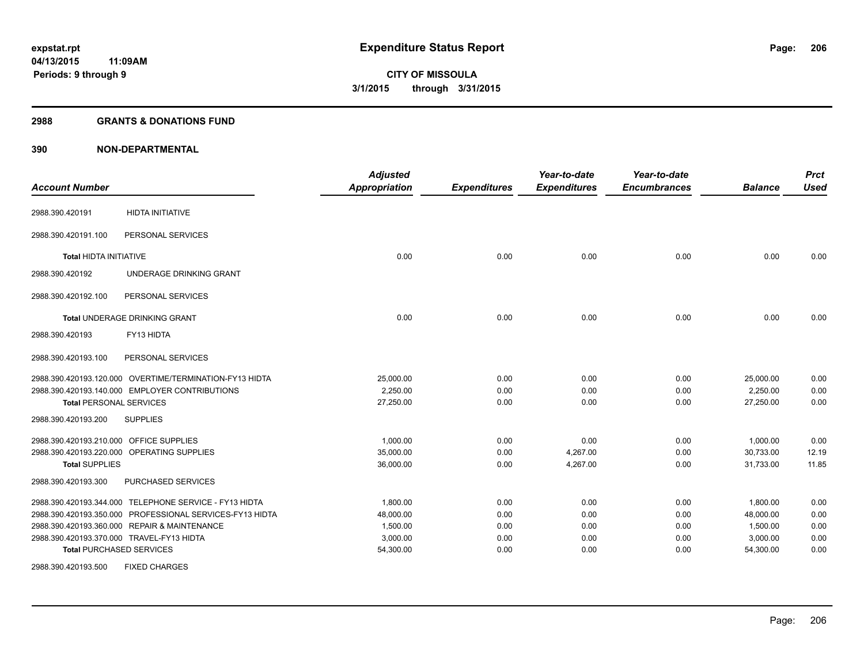### **2988 GRANTS & DONATIONS FUND**

| <b>Account Number</b>                   |                                                          | <b>Adjusted</b><br><b>Appropriation</b> | <b>Expenditures</b> | Year-to-date<br><b>Expenditures</b> | Year-to-date<br><b>Encumbrances</b> | <b>Balance</b> | <b>Prct</b><br><b>Used</b> |
|-----------------------------------------|----------------------------------------------------------|-----------------------------------------|---------------------|-------------------------------------|-------------------------------------|----------------|----------------------------|
| 2988.390.420191                         | <b>HIDTA INITIATIVE</b>                                  |                                         |                     |                                     |                                     |                |                            |
| 2988.390.420191.100                     | PERSONAL SERVICES                                        |                                         |                     |                                     |                                     |                |                            |
| <b>Total HIDTA INITIATIVE</b>           |                                                          | 0.00                                    | 0.00                | 0.00                                | 0.00                                | 0.00           | 0.00                       |
| 2988.390.420192                         | UNDERAGE DRINKING GRANT                                  |                                         |                     |                                     |                                     |                |                            |
| 2988.390.420192.100                     | PERSONAL SERVICES                                        |                                         |                     |                                     |                                     |                |                            |
|                                         | Total UNDERAGE DRINKING GRANT                            | 0.00                                    | 0.00                | 0.00                                | 0.00                                | 0.00           | 0.00                       |
| 2988.390.420193                         | FY13 HIDTA                                               |                                         |                     |                                     |                                     |                |                            |
| 2988.390.420193.100                     | PERSONAL SERVICES                                        |                                         |                     |                                     |                                     |                |                            |
|                                         | 2988.390.420193.120.000 OVERTIME/TERMINATION-FY13 HIDTA  | 25,000.00                               | 0.00                | 0.00                                | 0.00                                | 25,000.00      | 0.00                       |
|                                         | 2988.390.420193.140.000 EMPLOYER CONTRIBUTIONS           | 2,250.00                                | 0.00                | 0.00                                | 0.00                                | 2,250.00       | 0.00                       |
| <b>Total PERSONAL SERVICES</b>          |                                                          | 27,250.00                               | 0.00                | 0.00                                | 0.00                                | 27,250.00      | 0.00                       |
| 2988.390.420193.200                     | <b>SUPPLIES</b>                                          |                                         |                     |                                     |                                     |                |                            |
| 2988.390.420193.210.000 OFFICE SUPPLIES |                                                          | 1.000.00                                | 0.00                | 0.00                                | 0.00                                | 1,000.00       | 0.00                       |
|                                         | 2988.390.420193.220.000 OPERATING SUPPLIES               | 35,000.00                               | 0.00                | 4,267.00                            | 0.00                                | 30,733.00      | 12.19                      |
| <b>Total SUPPLIES</b>                   |                                                          | 36,000.00                               | 0.00                | 4,267.00                            | 0.00                                | 31,733.00      | 11.85                      |
| 2988.390.420193.300                     | PURCHASED SERVICES                                       |                                         |                     |                                     |                                     |                |                            |
|                                         | 2988.390.420193.344.000 TELEPHONE SERVICE - FY13 HIDTA   | 1,800.00                                | 0.00                | 0.00                                | 0.00                                | 1.800.00       | 0.00                       |
|                                         | 2988.390.420193.350.000 PROFESSIONAL SERVICES-FY13 HIDTA | 48,000.00                               | 0.00                | 0.00                                | 0.00                                | 48,000.00      | 0.00                       |
|                                         | 2988.390.420193.360.000 REPAIR & MAINTENANCE             | 1,500.00                                | 0.00                | 0.00                                | 0.00                                | 1,500.00       | 0.00                       |
|                                         | 2988.390.420193.370.000 TRAVEL-FY13 HIDTA                | 3,000.00                                | 0.00                | 0.00                                | 0.00                                | 3,000.00       | 0.00                       |
|                                         | <b>Total PURCHASED SERVICES</b>                          | 54,300.00                               | 0.00                | 0.00                                | 0.00                                | 54,300.00      | 0.00                       |
| 2988.390.420193.500                     | <b>FIXED CHARGES</b>                                     |                                         |                     |                                     |                                     |                |                            |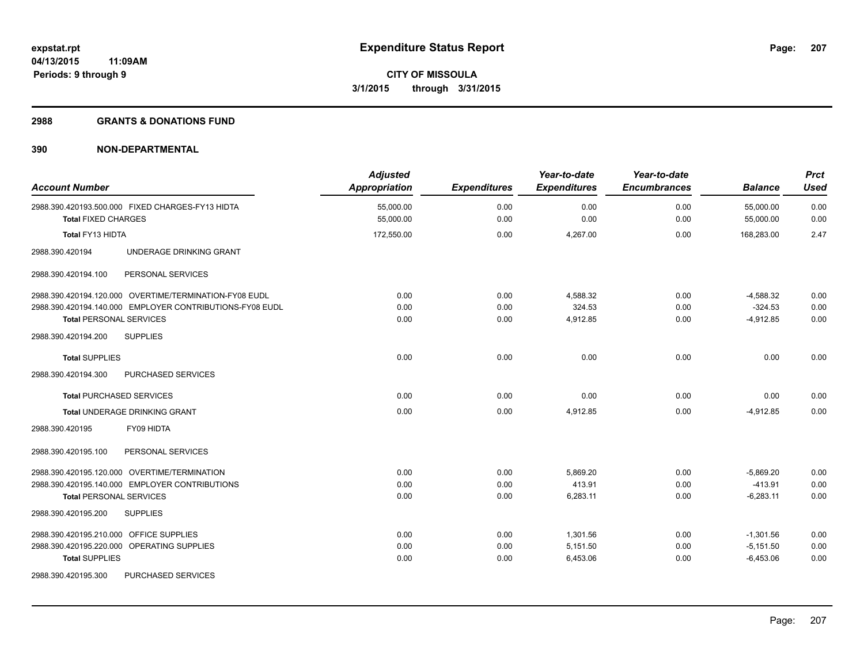#### **2988 GRANTS & DONATIONS FUND**

| <b>Account Number</b>                                                                                                                                | <b>Adjusted</b><br>Appropriation | <b>Expenditures</b>  | Year-to-date<br><b>Expenditures</b> | Year-to-date<br><b>Encumbrances</b> | <b>Balance</b>                            | <b>Prct</b><br><b>Used</b> |
|------------------------------------------------------------------------------------------------------------------------------------------------------|----------------------------------|----------------------|-------------------------------------|-------------------------------------|-------------------------------------------|----------------------------|
| 2988.390.420193.500.000 FIXED CHARGES-FY13 HIDTA<br><b>Total FIXED CHARGES</b>                                                                       | 55,000.00<br>55,000.00           | 0.00<br>0.00         | 0.00<br>0.00                        | 0.00<br>0.00                        | 55,000.00<br>55,000.00                    | 0.00<br>0.00               |
| Total FY13 HIDTA                                                                                                                                     | 172,550.00                       | 0.00                 | 4,267.00                            | 0.00                                | 168,283.00                                | 2.47                       |
| 2988.390.420194<br>UNDERAGE DRINKING GRANT                                                                                                           |                                  |                      |                                     |                                     |                                           |                            |
| PERSONAL SERVICES<br>2988.390.420194.100                                                                                                             |                                  |                      |                                     |                                     |                                           |                            |
| 2988.390.420194.120.000 OVERTIME/TERMINATION-FY08 EUDL<br>2988.390.420194.140.000 EMPLOYER CONTRIBUTIONS-FY08 EUDL<br><b>Total PERSONAL SERVICES</b> | 0.00<br>0.00<br>0.00             | 0.00<br>0.00<br>0.00 | 4,588.32<br>324.53<br>4,912.85      | 0.00<br>0.00<br>0.00                | $-4,588.32$<br>$-324.53$<br>$-4,912.85$   | 0.00<br>0.00<br>0.00       |
| <b>SUPPLIES</b><br>2988.390.420194.200                                                                                                               |                                  |                      |                                     |                                     |                                           |                            |
| <b>Total SUPPLIES</b>                                                                                                                                | 0.00                             | 0.00                 | 0.00                                | 0.00                                | 0.00                                      | 0.00                       |
| PURCHASED SERVICES<br>2988.390.420194.300                                                                                                            |                                  |                      |                                     |                                     |                                           |                            |
| <b>Total PURCHASED SERVICES</b>                                                                                                                      | 0.00                             | 0.00                 | 0.00                                | 0.00                                | 0.00                                      | 0.00                       |
| <b>Total UNDERAGE DRINKING GRANT</b>                                                                                                                 | 0.00                             | 0.00                 | 4,912.85                            | 0.00                                | $-4,912.85$                               | 0.00                       |
| 2988.390.420195<br>FY09 HIDTA                                                                                                                        |                                  |                      |                                     |                                     |                                           |                            |
| 2988.390.420195.100<br>PERSONAL SERVICES                                                                                                             |                                  |                      |                                     |                                     |                                           |                            |
| 2988.390.420195.120.000 OVERTIME/TERMINATION<br>2988.390.420195.140.000 EMPLOYER CONTRIBUTIONS<br><b>Total PERSONAL SERVICES</b>                     | 0.00<br>0.00<br>0.00             | 0.00<br>0.00<br>0.00 | 5.869.20<br>413.91<br>6,283.11      | 0.00<br>0.00<br>0.00                | $-5.869.20$<br>$-413.91$<br>$-6,283.11$   | 0.00<br>0.00<br>0.00       |
| 2988.390.420195.200<br><b>SUPPLIES</b>                                                                                                               |                                  |                      |                                     |                                     |                                           |                            |
| 2988.390.420195.210.000 OFFICE SUPPLIES<br>2988.390.420195.220.000 OPERATING SUPPLIES<br><b>Total SUPPLIES</b>                                       | 0.00<br>0.00<br>0.00             | 0.00<br>0.00<br>0.00 | 1,301.56<br>5,151.50<br>6,453.06    | 0.00<br>0.00<br>0.00                | $-1,301.56$<br>$-5,151.50$<br>$-6,453.06$ | 0.00<br>0.00<br>0.00       |
| 2988.390.420195.300<br>PURCHASED SERVICES                                                                                                            |                                  |                      |                                     |                                     |                                           |                            |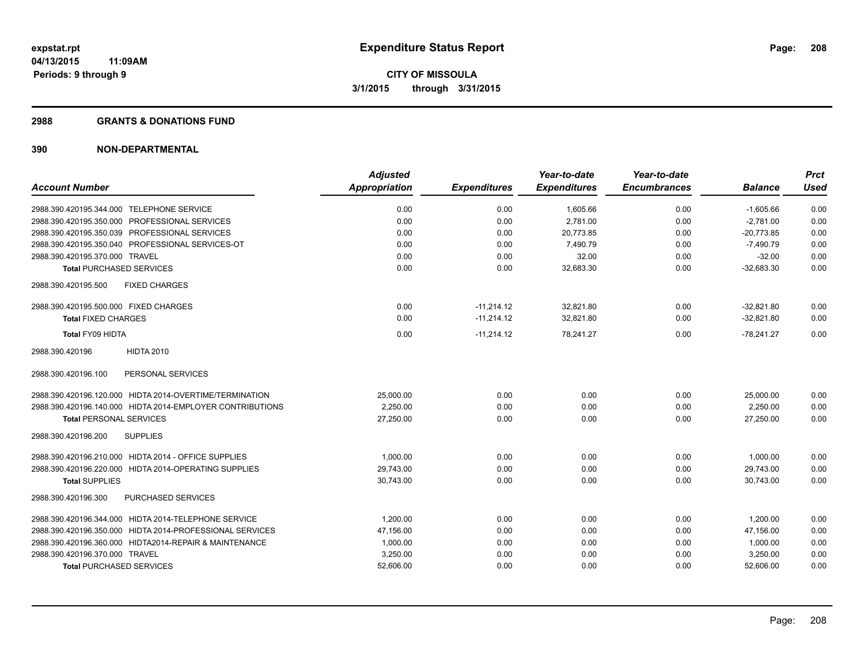#### **2988 GRANTS & DONATIONS FUND**

|                                                           | <b>Adjusted</b>      |                     | Year-to-date        | Year-to-date        |                | <b>Prct</b> |
|-----------------------------------------------------------|----------------------|---------------------|---------------------|---------------------|----------------|-------------|
| <b>Account Number</b>                                     | <b>Appropriation</b> | <b>Expenditures</b> | <b>Expenditures</b> | <b>Encumbrances</b> | <b>Balance</b> | <b>Used</b> |
| 2988.390.420195.344.000 TELEPHONE SERVICE                 | 0.00                 | 0.00                | 1,605.66            | 0.00                | $-1,605.66$    | 0.00        |
| 2988.390.420195.350.000 PROFESSIONAL SERVICES             | 0.00                 | 0.00                | 2,781.00            | 0.00                | $-2.781.00$    | 0.00        |
| 2988.390.420195.350.039 PROFESSIONAL SERVICES             | 0.00                 | 0.00                | 20,773.85           | 0.00                | $-20.773.85$   | 0.00        |
| 2988.390.420195.350.040 PROFESSIONAL SERVICES-OT          | 0.00                 | 0.00                | 7,490.79            | 0.00                | $-7,490.79$    | 0.00        |
| 2988.390.420195.370.000 TRAVEL                            | 0.00                 | 0.00                | 32.00               | 0.00                | $-32.00$       | 0.00        |
| <b>Total PURCHASED SERVICES</b>                           | 0.00                 | 0.00                | 32,683.30           | 0.00                | $-32,683.30$   | 0.00        |
| <b>FIXED CHARGES</b><br>2988.390.420195.500               |                      |                     |                     |                     |                |             |
| 2988.390.420195.500.000 FIXED CHARGES                     | 0.00                 | $-11,214.12$        | 32,821.80           | 0.00                | $-32,821.80$   | 0.00        |
| <b>Total FIXED CHARGES</b>                                | 0.00                 | $-11,214.12$        | 32,821.80           | 0.00                | $-32.821.80$   | 0.00        |
| Total FY09 HIDTA                                          | 0.00                 | $-11,214.12$        | 78,241.27           | 0.00                | $-78,241.27$   | 0.00        |
| <b>HIDTA 2010</b><br>2988.390.420196                      |                      |                     |                     |                     |                |             |
| PERSONAL SERVICES<br>2988.390.420196.100                  |                      |                     |                     |                     |                |             |
| 2988.390.420196.120.000 HIDTA 2014-OVERTIME/TERMINATION   | 25,000.00            | 0.00                | 0.00                | 0.00                | 25,000.00      | 0.00        |
| 2988.390.420196.140.000 HIDTA 2014-EMPLOYER CONTRIBUTIONS | 2,250.00             | 0.00                | 0.00                | 0.00                | 2,250.00       | 0.00        |
| <b>Total PERSONAL SERVICES</b>                            | 27,250.00            | 0.00                | 0.00                | 0.00                | 27,250.00      | 0.00        |
| <b>SUPPLIES</b><br>2988.390.420196.200                    |                      |                     |                     |                     |                |             |
| 2988.390.420196.210.000 HIDTA 2014 - OFFICE SUPPLIES      | 1,000.00             | 0.00                | 0.00                | 0.00                | 1,000.00       | 0.00        |
| 2988.390.420196.220.000 HIDTA 2014-OPERATING SUPPLIES     | 29,743.00            | 0.00                | 0.00                | 0.00                | 29,743.00      | 0.00        |
| <b>Total SUPPLIES</b>                                     | 30,743.00            | 0.00                | 0.00                | 0.00                | 30.743.00      | 0.00        |
| <b>PURCHASED SERVICES</b><br>2988.390.420196.300          |                      |                     |                     |                     |                |             |
| 2988.390.420196.344.000 HIDTA 2014-TELEPHONE SERVICE      | 1.200.00             | 0.00                | 0.00                | 0.00                | 1,200.00       | 0.00        |
| 2988.390.420196.350.000 HIDTA 2014-PROFESSIONAL SERVICES  | 47,156.00            | 0.00                | 0.00                | 0.00                | 47,156.00      | 0.00        |
| 2988.390.420196.360.000 HIDTA2014-REPAIR & MAINTENANCE    | 1,000.00             | 0.00                | 0.00                | 0.00                | 1,000.00       | 0.00        |
| 2988.390.420196.370.000 TRAVEL                            | 3,250.00             | 0.00                | 0.00                | 0.00                | 3,250.00       | 0.00        |
| <b>Total PURCHASED SERVICES</b>                           | 52,606.00            | 0.00                | 0.00                | 0.00                | 52,606.00      | 0.00        |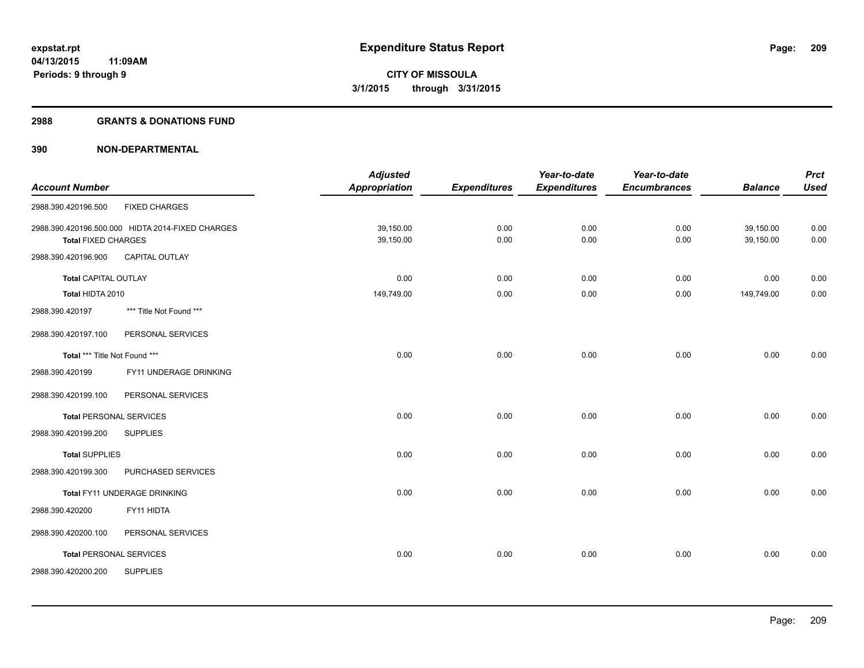#### **2988 GRANTS & DONATIONS FUND**

|                                |                                                  | <b>Adjusted</b> |                     | Year-to-date        | Year-to-date        |                | <b>Prct</b> |
|--------------------------------|--------------------------------------------------|-----------------|---------------------|---------------------|---------------------|----------------|-------------|
| <b>Account Number</b>          |                                                  | Appropriation   | <b>Expenditures</b> | <b>Expenditures</b> | <b>Encumbrances</b> | <b>Balance</b> | <b>Used</b> |
| 2988.390.420196.500            | <b>FIXED CHARGES</b>                             |                 |                     |                     |                     |                |             |
|                                | 2988.390.420196.500.000 HIDTA 2014-FIXED CHARGES | 39,150.00       | 0.00                | 0.00                | 0.00                | 39,150.00      | 0.00        |
| <b>Total FIXED CHARGES</b>     |                                                  | 39,150.00       | 0.00                | 0.00                | 0.00                | 39,150.00      | 0.00        |
| 2988.390.420196.900            | <b>CAPITAL OUTLAY</b>                            |                 |                     |                     |                     |                |             |
| <b>Total CAPITAL OUTLAY</b>    |                                                  | 0.00            | 0.00                | 0.00                | 0.00                | 0.00           | 0.00        |
| Total HIDTA 2010               |                                                  | 149,749.00      | 0.00                | 0.00                | 0.00                | 149,749.00     | 0.00        |
| 2988.390.420197                | *** Title Not Found ***                          |                 |                     |                     |                     |                |             |
| 2988.390.420197.100            | PERSONAL SERVICES                                |                 |                     |                     |                     |                |             |
| Total *** Title Not Found ***  |                                                  | 0.00            | 0.00                | 0.00                | 0.00                | 0.00           | 0.00        |
| 2988.390.420199                | FY11 UNDERAGE DRINKING                           |                 |                     |                     |                     |                |             |
| 2988.390.420199.100            | PERSONAL SERVICES                                |                 |                     |                     |                     |                |             |
| <b>Total PERSONAL SERVICES</b> |                                                  | 0.00            | 0.00                | 0.00                | 0.00                | 0.00           | 0.00        |
| 2988.390.420199.200            | <b>SUPPLIES</b>                                  |                 |                     |                     |                     |                |             |
| <b>Total SUPPLIES</b>          |                                                  | 0.00            | 0.00                | 0.00                | 0.00                | 0.00           | 0.00        |
| 2988.390.420199.300            | PURCHASED SERVICES                               |                 |                     |                     |                     |                |             |
|                                | Total FY11 UNDERAGE DRINKING                     | 0.00            | 0.00                | 0.00                | 0.00                | 0.00           | 0.00        |
| 2988.390.420200                | FY11 HIDTA                                       |                 |                     |                     |                     |                |             |
| 2988.390.420200.100            | PERSONAL SERVICES                                |                 |                     |                     |                     |                |             |
| <b>Total PERSONAL SERVICES</b> |                                                  | 0.00            | 0.00                | 0.00                | 0.00                | 0.00           | 0.00        |
| 2988.390.420200.200            | <b>SUPPLIES</b>                                  |                 |                     |                     |                     |                |             |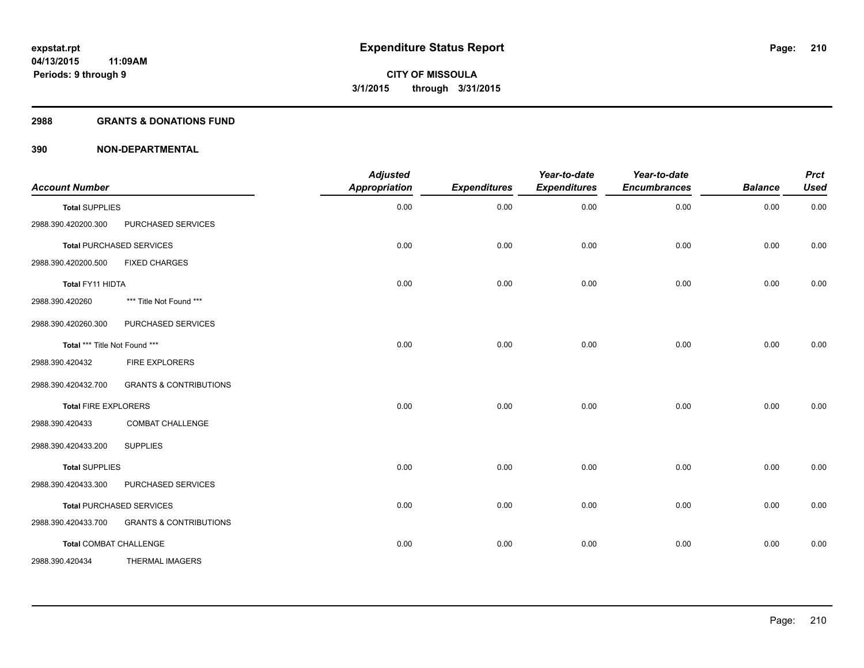## **2988 GRANTS & DONATIONS FUND**

| <b>Account Number</b>         |                                   | <b>Adjusted</b><br>Appropriation | <b>Expenditures</b> | Year-to-date<br><b>Expenditures</b> | Year-to-date<br><b>Encumbrances</b> | <b>Balance</b> | <b>Prct</b><br><b>Used</b> |
|-------------------------------|-----------------------------------|----------------------------------|---------------------|-------------------------------------|-------------------------------------|----------------|----------------------------|
| <b>Total SUPPLIES</b>         |                                   | 0.00                             | 0.00                | 0.00                                | 0.00                                | 0.00           | 0.00                       |
| 2988.390.420200.300           | PURCHASED SERVICES                |                                  |                     |                                     |                                     |                |                            |
|                               | <b>Total PURCHASED SERVICES</b>   | 0.00                             | 0.00                | 0.00                                | 0.00                                | 0.00           | 0.00                       |
| 2988.390.420200.500           | <b>FIXED CHARGES</b>              |                                  |                     |                                     |                                     |                |                            |
| Total FY11 HIDTA              |                                   | 0.00                             | 0.00                | 0.00                                | 0.00                                | 0.00           | 0.00                       |
| 2988.390.420260               | *** Title Not Found ***           |                                  |                     |                                     |                                     |                |                            |
| 2988.390.420260.300           | PURCHASED SERVICES                |                                  |                     |                                     |                                     |                |                            |
| Total *** Title Not Found *** |                                   | 0.00                             | 0.00                | 0.00                                | 0.00                                | 0.00           | 0.00                       |
| 2988.390.420432               | FIRE EXPLORERS                    |                                  |                     |                                     |                                     |                |                            |
| 2988.390.420432.700           | <b>GRANTS &amp; CONTRIBUTIONS</b> |                                  |                     |                                     |                                     |                |                            |
| <b>Total FIRE EXPLORERS</b>   |                                   | 0.00                             | 0.00                | 0.00                                | 0.00                                | 0.00           | 0.00                       |
| 2988.390.420433               | <b>COMBAT CHALLENGE</b>           |                                  |                     |                                     |                                     |                |                            |
| 2988.390.420433.200           | <b>SUPPLIES</b>                   |                                  |                     |                                     |                                     |                |                            |
| <b>Total SUPPLIES</b>         |                                   | 0.00                             | 0.00                | 0.00                                | 0.00                                | 0.00           | 0.00                       |
| 2988.390.420433.300           | PURCHASED SERVICES                |                                  |                     |                                     |                                     |                |                            |
|                               | <b>Total PURCHASED SERVICES</b>   | 0.00                             | 0.00                | 0.00                                | 0.00                                | 0.00           | 0.00                       |
| 2988.390.420433.700           | <b>GRANTS &amp; CONTRIBUTIONS</b> |                                  |                     |                                     |                                     |                |                            |
|                               | <b>Total COMBAT CHALLENGE</b>     | 0.00                             | 0.00                | 0.00                                | 0.00                                | 0.00           | 0.00                       |
| 2988.390.420434               | <b>THERMAL IMAGERS</b>            |                                  |                     |                                     |                                     |                |                            |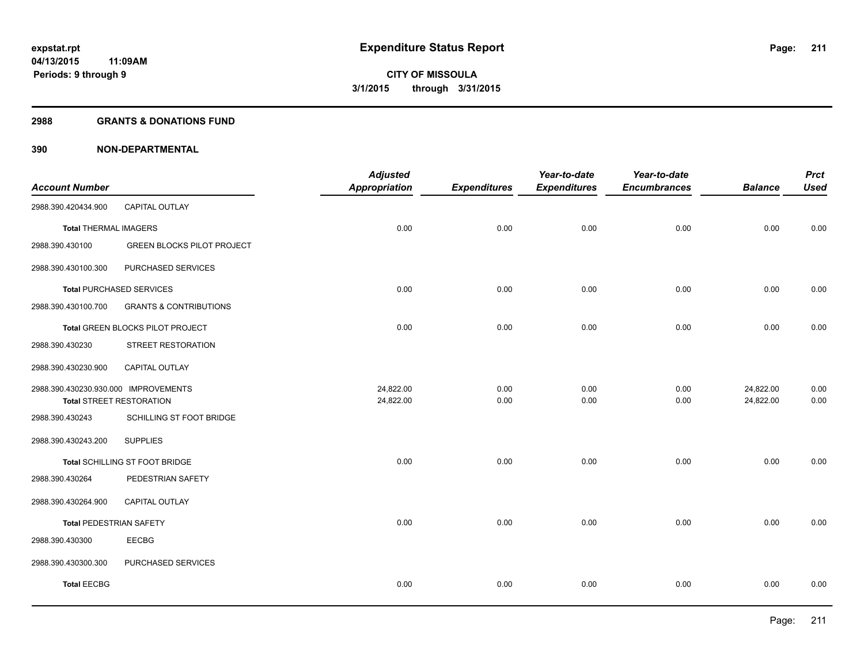### **2988 GRANTS & DONATIONS FUND**

| <b>Account Number</b>                |                                   | <b>Adjusted</b><br>Appropriation | <b>Expenditures</b> | Year-to-date<br><b>Expenditures</b> | Year-to-date<br><b>Encumbrances</b> | <b>Balance</b> | <b>Prct</b><br><b>Used</b> |
|--------------------------------------|-----------------------------------|----------------------------------|---------------------|-------------------------------------|-------------------------------------|----------------|----------------------------|
| 2988.390.420434.900                  | CAPITAL OUTLAY                    |                                  |                     |                                     |                                     |                |                            |
| <b>Total THERMAL IMAGERS</b>         |                                   | 0.00                             | 0.00                | 0.00                                | 0.00                                | 0.00           | 0.00                       |
| 2988.390.430100                      | <b>GREEN BLOCKS PILOT PROJECT</b> |                                  |                     |                                     |                                     |                |                            |
| 2988.390.430100.300                  | PURCHASED SERVICES                |                                  |                     |                                     |                                     |                |                            |
|                                      | <b>Total PURCHASED SERVICES</b>   | 0.00                             | 0.00                | 0.00                                | 0.00                                | 0.00           | 0.00                       |
| 2988.390.430100.700                  | <b>GRANTS &amp; CONTRIBUTIONS</b> |                                  |                     |                                     |                                     |                |                            |
|                                      | Total GREEN BLOCKS PILOT PROJECT  | 0.00                             | 0.00                | 0.00                                | 0.00                                | 0.00           | 0.00                       |
| 2988.390.430230                      | STREET RESTORATION                |                                  |                     |                                     |                                     |                |                            |
| 2988.390.430230.900                  | CAPITAL OUTLAY                    |                                  |                     |                                     |                                     |                |                            |
| 2988.390.430230.930.000 IMPROVEMENTS |                                   | 24,822.00                        | 0.00                | 0.00                                | 0.00                                | 24,822.00      | 0.00                       |
| <b>Total STREET RESTORATION</b>      |                                   | 24,822.00                        | 0.00                | 0.00                                | 0.00                                | 24,822.00      | 0.00                       |
| 2988.390.430243                      | SCHILLING ST FOOT BRIDGE          |                                  |                     |                                     |                                     |                |                            |
| 2988.390.430243.200                  | <b>SUPPLIES</b>                   |                                  |                     |                                     |                                     |                |                            |
|                                      | Total SCHILLING ST FOOT BRIDGE    | 0.00                             | 0.00                | 0.00                                | 0.00                                | 0.00           | 0.00                       |
| 2988.390.430264                      | PEDESTRIAN SAFETY                 |                                  |                     |                                     |                                     |                |                            |
| 2988.390.430264.900                  | CAPITAL OUTLAY                    |                                  |                     |                                     |                                     |                |                            |
| <b>Total PEDESTRIAN SAFETY</b>       |                                   | 0.00                             | 0.00                | 0.00                                | 0.00                                | 0.00           | 0.00                       |
| 2988.390.430300                      | <b>EECBG</b>                      |                                  |                     |                                     |                                     |                |                            |
| 2988.390.430300.300                  | PURCHASED SERVICES                |                                  |                     |                                     |                                     |                |                            |
| <b>Total EECBG</b>                   |                                   | 0.00                             | 0.00                | 0.00                                | 0.00                                | 0.00           | 0.00                       |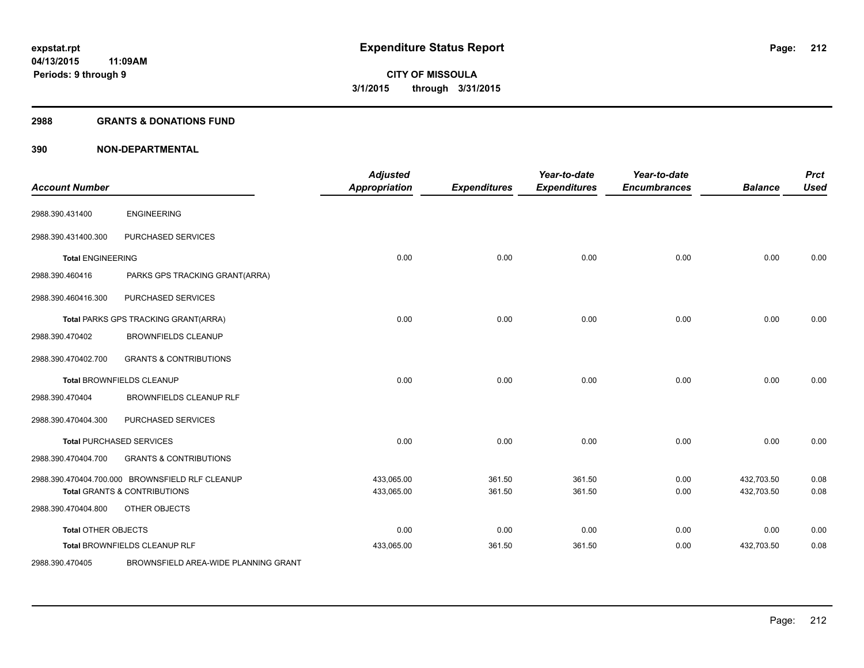### **2988 GRANTS & DONATIONS FUND**

| <b>Account Number</b>      |                                                 | <b>Adjusted</b><br><b>Appropriation</b> | <b>Expenditures</b> | Year-to-date<br><b>Expenditures</b> | Year-to-date<br><b>Encumbrances</b> | <b>Balance</b> | <b>Prct</b><br><b>Used</b> |
|----------------------------|-------------------------------------------------|-----------------------------------------|---------------------|-------------------------------------|-------------------------------------|----------------|----------------------------|
| 2988.390.431400            | <b>ENGINEERING</b>                              |                                         |                     |                                     |                                     |                |                            |
| 2988.390.431400.300        | PURCHASED SERVICES                              |                                         |                     |                                     |                                     |                |                            |
| <b>Total ENGINEERING</b>   |                                                 | 0.00                                    | 0.00                | 0.00                                | 0.00                                | 0.00           | 0.00                       |
| 2988.390.460416            | PARKS GPS TRACKING GRANT(ARRA)                  |                                         |                     |                                     |                                     |                |                            |
| 2988.390.460416.300        | PURCHASED SERVICES                              |                                         |                     |                                     |                                     |                |                            |
|                            | Total PARKS GPS TRACKING GRANT(ARRA)            | 0.00                                    | 0.00                | 0.00                                | 0.00                                | 0.00           | 0.00                       |
| 2988.390.470402            | <b>BROWNFIELDS CLEANUP</b>                      |                                         |                     |                                     |                                     |                |                            |
| 2988.390.470402.700        | <b>GRANTS &amp; CONTRIBUTIONS</b>               |                                         |                     |                                     |                                     |                |                            |
|                            | <b>Total BROWNFIELDS CLEANUP</b>                | 0.00                                    | 0.00                | 0.00                                | 0.00                                | 0.00           | 0.00                       |
| 2988.390.470404            | <b>BROWNFIELDS CLEANUP RLF</b>                  |                                         |                     |                                     |                                     |                |                            |
| 2988.390.470404.300        | PURCHASED SERVICES                              |                                         |                     |                                     |                                     |                |                            |
|                            | <b>Total PURCHASED SERVICES</b>                 | 0.00                                    | 0.00                | 0.00                                | 0.00                                | 0.00           | 0.00                       |
| 2988.390.470404.700        | <b>GRANTS &amp; CONTRIBUTIONS</b>               |                                         |                     |                                     |                                     |                |                            |
|                            | 2988.390.470404.700.000 BROWNSFIELD RLF CLEANUP | 433,065.00                              | 361.50              | 361.50                              | 0.00                                | 432,703.50     | 0.08                       |
|                            | <b>Total GRANTS &amp; CONTRIBUTIONS</b>         | 433,065.00                              | 361.50              | 361.50                              | 0.00                                | 432,703.50     | 0.08                       |
| 2988.390.470404.800        | OTHER OBJECTS                                   |                                         |                     |                                     |                                     |                |                            |
| <b>Total OTHER OBJECTS</b> |                                                 | 0.00                                    | 0.00                | 0.00                                | 0.00                                | 0.00           | 0.00                       |
|                            | Total BROWNFIELDS CLEANUP RLF                   | 433,065.00                              | 361.50              | 361.50                              | 0.00                                | 432,703.50     | 0.08                       |
| 2988.390.470405            | BROWNSFIELD AREA-WIDE PLANNING GRANT            |                                         |                     |                                     |                                     |                |                            |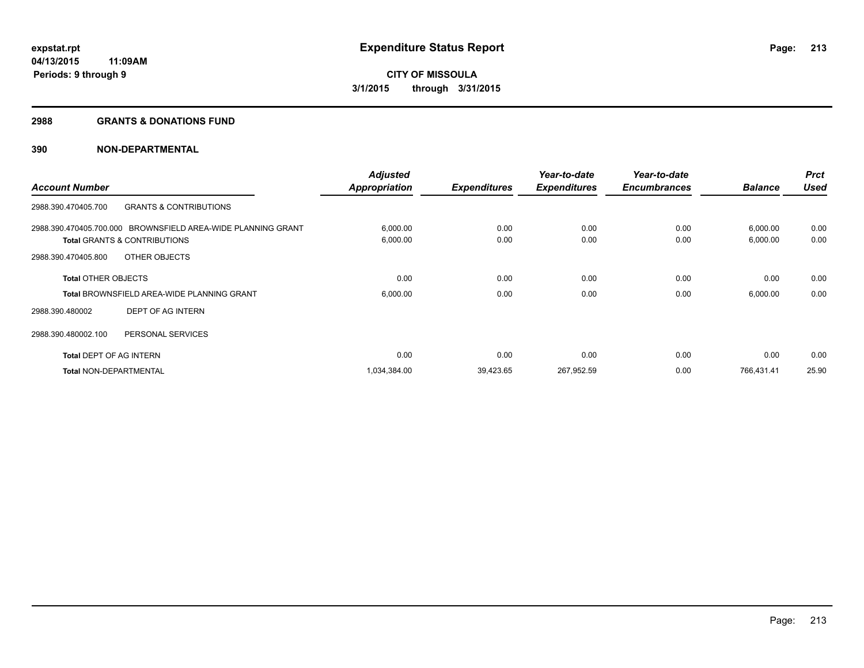#### **2988 GRANTS & DONATIONS FUND**

|                                |                                                              | <b>Adjusted</b>      |                     | Year-to-date        | Year-to-date        |                | <b>Prct</b> |
|--------------------------------|--------------------------------------------------------------|----------------------|---------------------|---------------------|---------------------|----------------|-------------|
| <b>Account Number</b>          |                                                              | <b>Appropriation</b> | <b>Expenditures</b> | <b>Expenditures</b> | <b>Encumbrances</b> | <b>Balance</b> | <b>Used</b> |
| 2988.390.470405.700            | <b>GRANTS &amp; CONTRIBUTIONS</b>                            |                      |                     |                     |                     |                |             |
|                                | 2988.390.470405.700.000 BROWNSFIELD AREA-WIDE PLANNING GRANT | 6,000.00             | 0.00                | 0.00                | 0.00                | 6,000.00       | 0.00        |
|                                | <b>Total GRANTS &amp; CONTRIBUTIONS</b>                      | 6,000.00             | 0.00                | 0.00                | 0.00                | 6,000.00       | 0.00        |
| 2988.390.470405.800            | OTHER OBJECTS                                                |                      |                     |                     |                     |                |             |
| <b>Total OTHER OBJECTS</b>     |                                                              | 0.00                 | 0.00                | 0.00                | 0.00                | 0.00           | 0.00        |
|                                | <b>Total BROWNSFIELD AREA-WIDE PLANNING GRANT</b>            | 6,000.00             | 0.00                | 0.00                | 0.00                | 6,000.00       | 0.00        |
| 2988.390.480002                | DEPT OF AG INTERN                                            |                      |                     |                     |                     |                |             |
| 2988.390.480002.100            | PERSONAL SERVICES                                            |                      |                     |                     |                     |                |             |
| <b>Total DEPT OF AG INTERN</b> |                                                              | 0.00                 | 0.00                | 0.00                | 0.00                | 0.00           | 0.00        |
| <b>Total NON-DEPARTMENTAL</b>  |                                                              | 1,034,384.00         | 39,423.65           | 267,952.59          | 0.00                | 766,431.41     | 25.90       |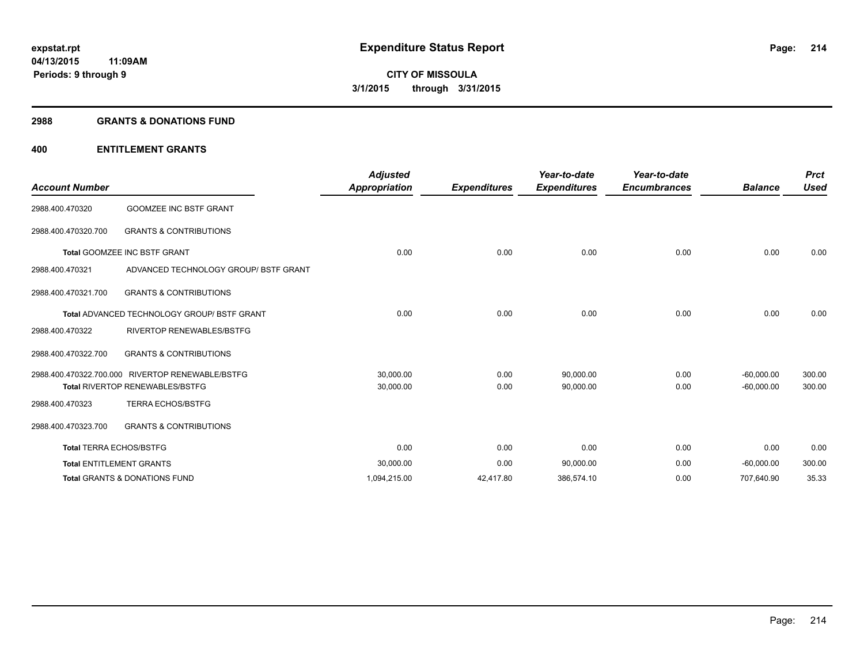#### **2988 GRANTS & DONATIONS FUND**

| <b>Account Number</b>          |                                                    | <b>Adjusted</b><br>Appropriation | <b>Expenditures</b> | Year-to-date<br><b>Expenditures</b> | Year-to-date<br><b>Encumbrances</b> | <b>Balance</b> | <b>Prct</b><br><b>Used</b> |
|--------------------------------|----------------------------------------------------|----------------------------------|---------------------|-------------------------------------|-------------------------------------|----------------|----------------------------|
| 2988.400.470320                | <b>GOOMZEE INC BSTF GRANT</b>                      |                                  |                     |                                     |                                     |                |                            |
| 2988.400.470320.700            | <b>GRANTS &amp; CONTRIBUTIONS</b>                  |                                  |                     |                                     |                                     |                |                            |
|                                | <b>Total GOOMZEE INC BSTF GRANT</b>                | 0.00                             | 0.00                | 0.00                                | 0.00                                | 0.00           | 0.00                       |
| 2988.400.470321                | ADVANCED TECHNOLOGY GROUP/ BSTF GRANT              |                                  |                     |                                     |                                     |                |                            |
| 2988.400.470321.700            | <b>GRANTS &amp; CONTRIBUTIONS</b>                  |                                  |                     |                                     |                                     |                |                            |
|                                | <b>Total ADVANCED TECHNOLOGY GROUP/ BSTF GRANT</b> | 0.00                             | 0.00                | 0.00                                | 0.00                                | 0.00           | 0.00                       |
| 2988.400.470322                | <b>RIVERTOP RENEWABLES/BSTFG</b>                   |                                  |                     |                                     |                                     |                |                            |
| 2988.400.470322.700            | <b>GRANTS &amp; CONTRIBUTIONS</b>                  |                                  |                     |                                     |                                     |                |                            |
|                                | 2988.400.470322.700.000 RIVERTOP RENEWABLE/BSTFG   | 30,000.00                        | 0.00                | 90,000.00                           | 0.00                                | $-60,000.00$   | 300.00                     |
|                                | <b>Total RIVERTOP RENEWABLES/BSTFG</b>             | 30,000.00                        | 0.00                | 90,000.00                           | 0.00                                | $-60,000.00$   | 300.00                     |
| 2988.400.470323                | <b>TERRA ECHOS/BSTFG</b>                           |                                  |                     |                                     |                                     |                |                            |
| 2988.400.470323.700            | <b>GRANTS &amp; CONTRIBUTIONS</b>                  |                                  |                     |                                     |                                     |                |                            |
| <b>Total TERRA ECHOS/BSTFG</b> |                                                    | 0.00                             | 0.00                | 0.00                                | 0.00                                | 0.00           | 0.00                       |
|                                | <b>Total ENTITLEMENT GRANTS</b>                    | 30,000.00                        | 0.00                | 90,000.00                           | 0.00                                | $-60,000.00$   | 300.00                     |
|                                | <b>Total GRANTS &amp; DONATIONS FUND</b>           | 1,094,215.00                     | 42,417.80           | 386,574.10                          | 0.00                                | 707,640.90     | 35.33                      |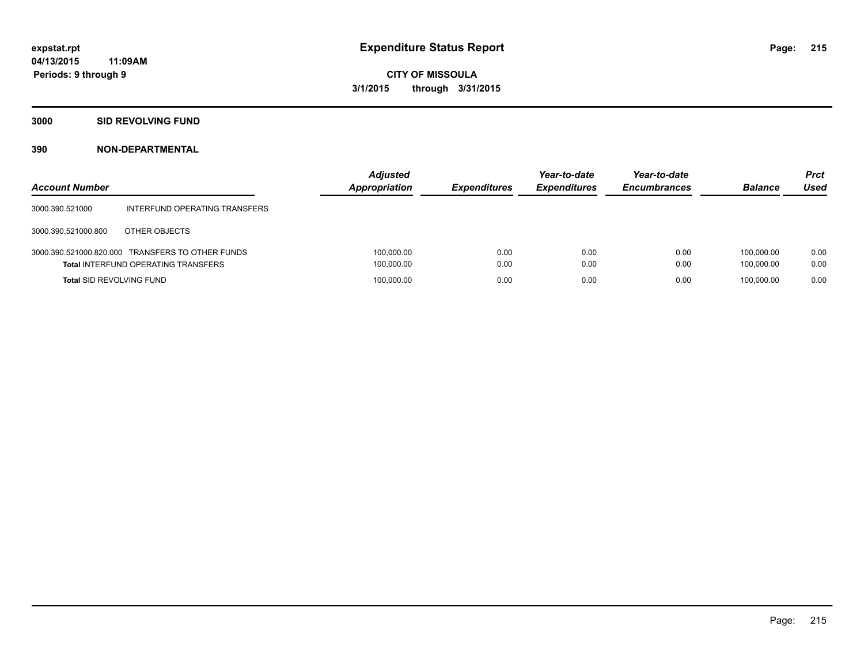# **3000 SID REVOLVING FUND**

| <b>Account Number</b>           |                                                                                                | <b>Adjusted</b><br><b>Appropriation</b> | <b>Expenditures</b> | Year-to-date<br><b>Expenditures</b> | Year-to-date<br><b>Encumbrances</b> | <b>Balance</b>           | <b>Prct</b><br>Used |
|---------------------------------|------------------------------------------------------------------------------------------------|-----------------------------------------|---------------------|-------------------------------------|-------------------------------------|--------------------------|---------------------|
| 3000.390.521000                 | INTERFUND OPERATING TRANSFERS                                                                  |                                         |                     |                                     |                                     |                          |                     |
| 3000.390.521000.800             | OTHER OBJECTS                                                                                  |                                         |                     |                                     |                                     |                          |                     |
|                                 | 3000.390.521000.820.000 TRANSFERS TO OTHER FUNDS<br><b>Total INTERFUND OPERATING TRANSFERS</b> | 100,000.00<br>100,000.00                | 0.00<br>0.00        | 0.00<br>0.00                        | 0.00<br>0.00                        | 100.000.00<br>100.000.00 | 0.00<br>0.00        |
| <b>Total SID REVOLVING FUND</b> |                                                                                                | 100,000.00                              | 0.00                | 0.00                                | 0.00                                | 100.000.00               | 0.00                |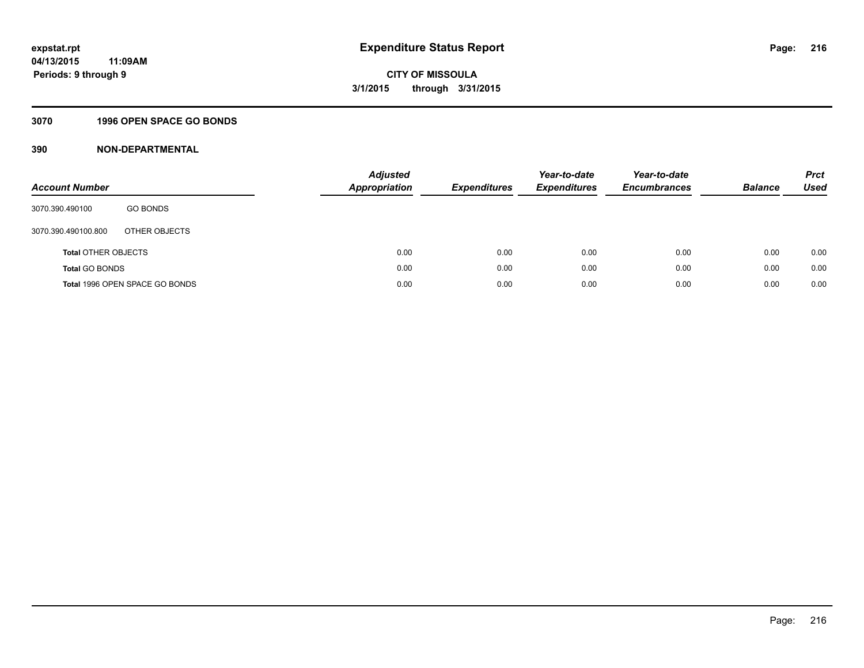# **3070 1996 OPEN SPACE GO BONDS**

| <b>Account Number</b>      |                                | Adjusted<br><b>Appropriation</b> | <b>Expenditures</b> | Year-to-date<br><b>Expenditures</b> | Year-to-date<br><b>Encumbrances</b> | <b>Balance</b> | <b>Prct</b><br>Used |
|----------------------------|--------------------------------|----------------------------------|---------------------|-------------------------------------|-------------------------------------|----------------|---------------------|
| 3070.390.490100            | <b>GO BONDS</b>                |                                  |                     |                                     |                                     |                |                     |
| 3070.390.490100.800        | OTHER OBJECTS                  |                                  |                     |                                     |                                     |                |                     |
| <b>Total OTHER OBJECTS</b> |                                | 0.00                             | 0.00                | 0.00                                | 0.00                                | 0.00           | 0.00                |
| <b>Total GO BONDS</b>      |                                | 0.00                             | 0.00                | 0.00                                | 0.00                                | 0.00           | 0.00                |
|                            | Total 1996 OPEN SPACE GO BONDS | 0.00                             | 0.00                | 0.00                                | 0.00                                | 0.00           | 0.00                |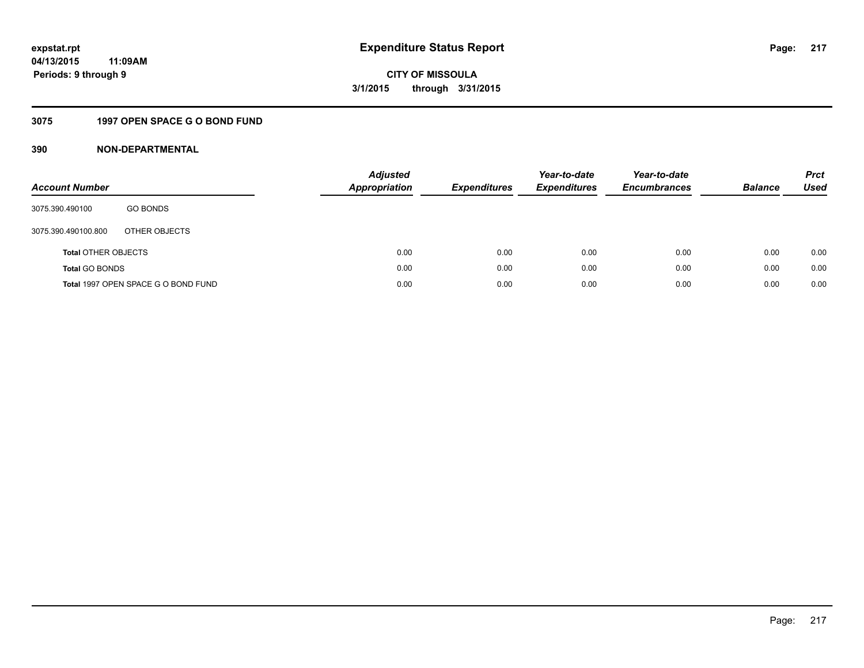## **3075 1997 OPEN SPACE G O BOND FUND**

| <b>Account Number</b>      |                                     | <b>Adjusted</b><br><b>Appropriation</b> | <b>Expenditures</b> | Year-to-date<br><b>Expenditures</b> | Year-to-date<br><b>Encumbrances</b> | <b>Balance</b> | <b>Prct</b><br>Used |
|----------------------------|-------------------------------------|-----------------------------------------|---------------------|-------------------------------------|-------------------------------------|----------------|---------------------|
| 3075.390.490100            | <b>GO BONDS</b>                     |                                         |                     |                                     |                                     |                |                     |
| 3075.390.490100.800        | OTHER OBJECTS                       |                                         |                     |                                     |                                     |                |                     |
| <b>Total OTHER OBJECTS</b> |                                     | 0.00                                    | 0.00                | 0.00                                | 0.00                                | 0.00           | 0.00                |
| <b>Total GO BONDS</b>      |                                     | 0.00                                    | 0.00                | 0.00                                | 0.00                                | 0.00           | 0.00                |
|                            | Total 1997 OPEN SPACE G O BOND FUND | 0.00                                    | 0.00                | 0.00                                | 0.00                                | 0.00           | 0.00                |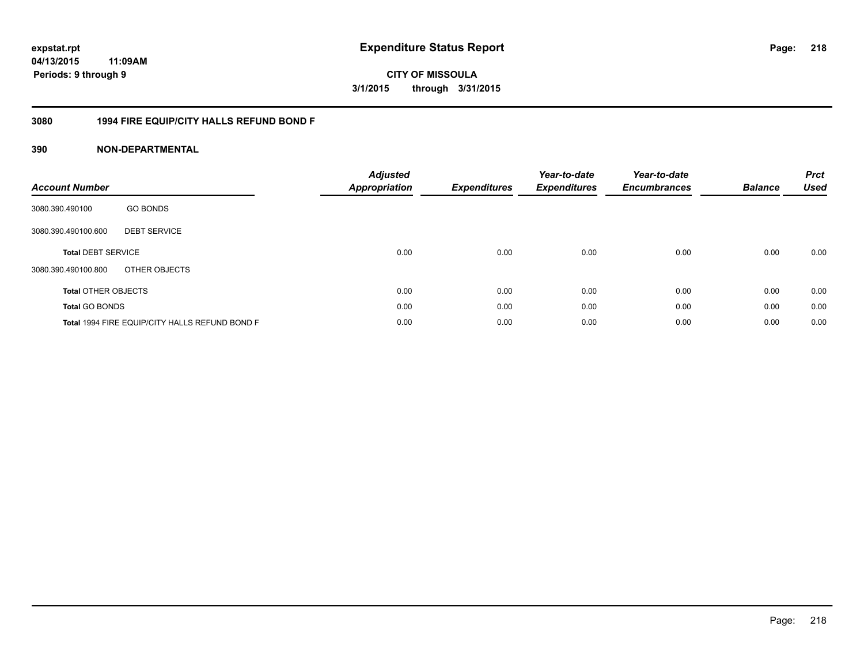**218**

**04/13/2015 11:09AM Periods: 9 through 9**

**CITY OF MISSOULA 3/1/2015 through 3/31/2015**

## **3080 1994 FIRE EQUIP/CITY HALLS REFUND BOND F**

| <b>Account Number</b>      |                                                | <b>Adjusted</b><br>Appropriation | Expenditures | Year-to-date<br><b>Expenditures</b> | Year-to-date<br><b>Encumbrances</b> | <b>Balance</b> | <b>Prct</b><br><b>Used</b> |
|----------------------------|------------------------------------------------|----------------------------------|--------------|-------------------------------------|-------------------------------------|----------------|----------------------------|
| 3080.390.490100            | <b>GO BONDS</b>                                |                                  |              |                                     |                                     |                |                            |
| 3080.390.490100.600        | <b>DEBT SERVICE</b>                            |                                  |              |                                     |                                     |                |                            |
| <b>Total DEBT SERVICE</b>  |                                                | 0.00                             | 0.00         | 0.00                                | 0.00                                | 0.00           | 0.00                       |
| 3080.390.490100.800        | OTHER OBJECTS                                  |                                  |              |                                     |                                     |                |                            |
| <b>Total OTHER OBJECTS</b> |                                                | 0.00                             | 0.00         | 0.00                                | 0.00                                | 0.00           | 0.00                       |
| <b>Total GO BONDS</b>      |                                                | 0.00                             | 0.00         | 0.00                                | 0.00                                | 0.00           | 0.00                       |
|                            | Total 1994 FIRE EQUIP/CITY HALLS REFUND BOND F | 0.00                             | 0.00         | 0.00                                | 0.00                                | 0.00           | 0.00                       |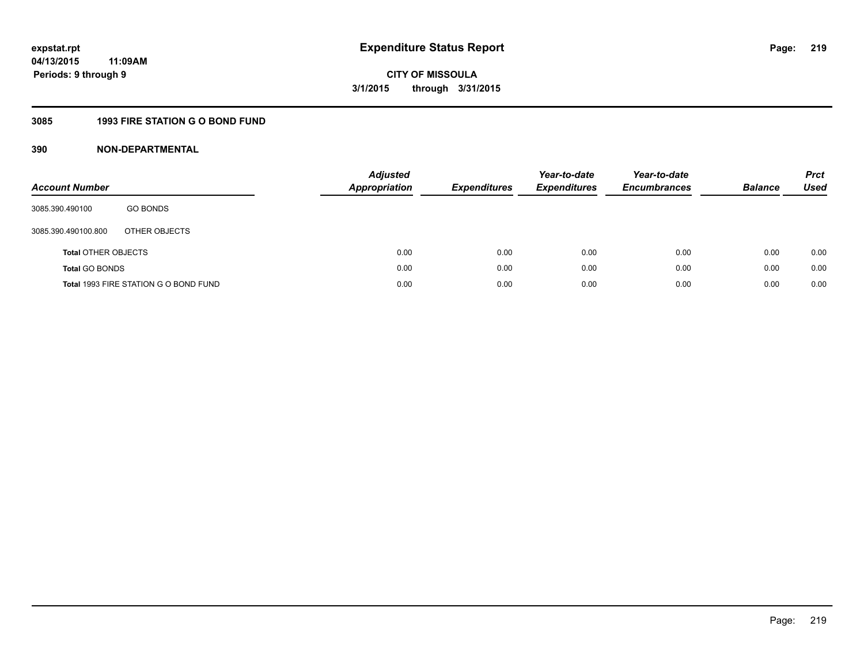## **3085 1993 FIRE STATION G O BOND FUND**

| <b>Account Number</b>      |                                       | <b>Adjusted</b><br>Appropriation | <b>Expenditures</b> | Year-to-date<br><b>Expenditures</b> | Year-to-date<br><b>Encumbrances</b> | <b>Balance</b> | <b>Prct</b><br>Used |
|----------------------------|---------------------------------------|----------------------------------|---------------------|-------------------------------------|-------------------------------------|----------------|---------------------|
| 3085.390.490100            | <b>GO BONDS</b>                       |                                  |                     |                                     |                                     |                |                     |
| 3085.390.490100.800        | OTHER OBJECTS                         |                                  |                     |                                     |                                     |                |                     |
| <b>Total OTHER OBJECTS</b> |                                       | 0.00                             | 0.00                | 0.00                                | 0.00                                | 0.00           | 0.00                |
| <b>Total GO BONDS</b>      |                                       | 0.00                             | 0.00                | 0.00                                | 0.00                                | 0.00           | 0.00                |
|                            | Total 1993 FIRE STATION G O BOND FUND | 0.00                             | 0.00                | 0.00                                | 0.00                                | 0.00           | 0.00                |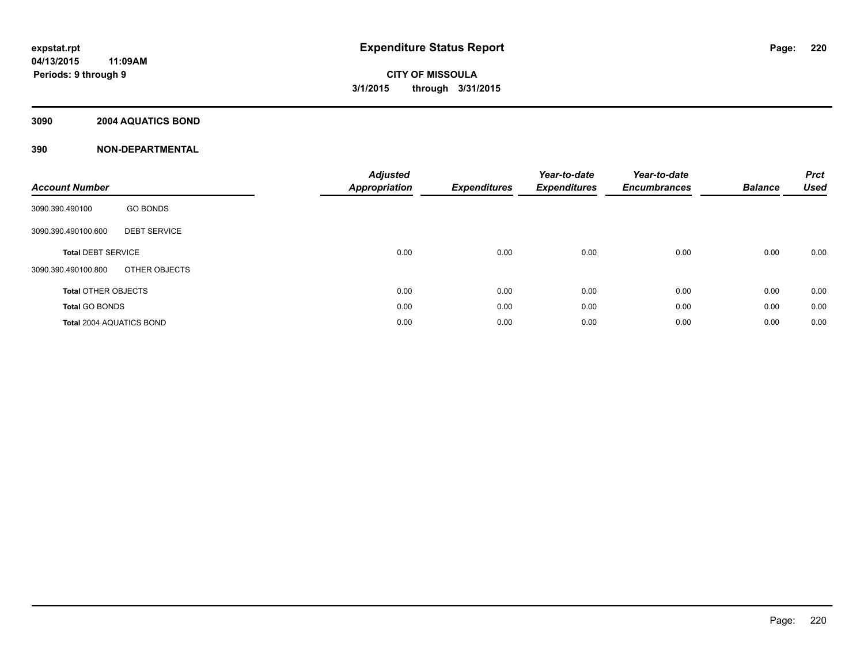## **3090 2004 AQUATICS BOND**

| <b>Account Number</b>           |                     | <b>Adjusted</b><br>Appropriation | <b>Expenditures</b> | Year-to-date<br><b>Expenditures</b> | Year-to-date<br><b>Encumbrances</b> | <b>Balance</b> | <b>Prct</b><br><b>Used</b> |
|---------------------------------|---------------------|----------------------------------|---------------------|-------------------------------------|-------------------------------------|----------------|----------------------------|
| 3090.390.490100                 | <b>GO BONDS</b>     |                                  |                     |                                     |                                     |                |                            |
| 3090.390.490100.600             | <b>DEBT SERVICE</b> |                                  |                     |                                     |                                     |                |                            |
| <b>Total DEBT SERVICE</b>       |                     | 0.00                             | 0.00                | 0.00                                | 0.00                                | 0.00           | 0.00                       |
| 3090.390.490100.800             | OTHER OBJECTS       |                                  |                     |                                     |                                     |                |                            |
| <b>Total OTHER OBJECTS</b>      |                     | 0.00                             | 0.00                | 0.00                                | 0.00                                | 0.00           | 0.00                       |
| <b>Total GO BONDS</b>           |                     | 0.00                             | 0.00                | 0.00                                | 0.00                                | 0.00           | 0.00                       |
| <b>Total 2004 AQUATICS BOND</b> |                     | 0.00                             | 0.00                | 0.00                                | 0.00                                | 0.00           | 0.00                       |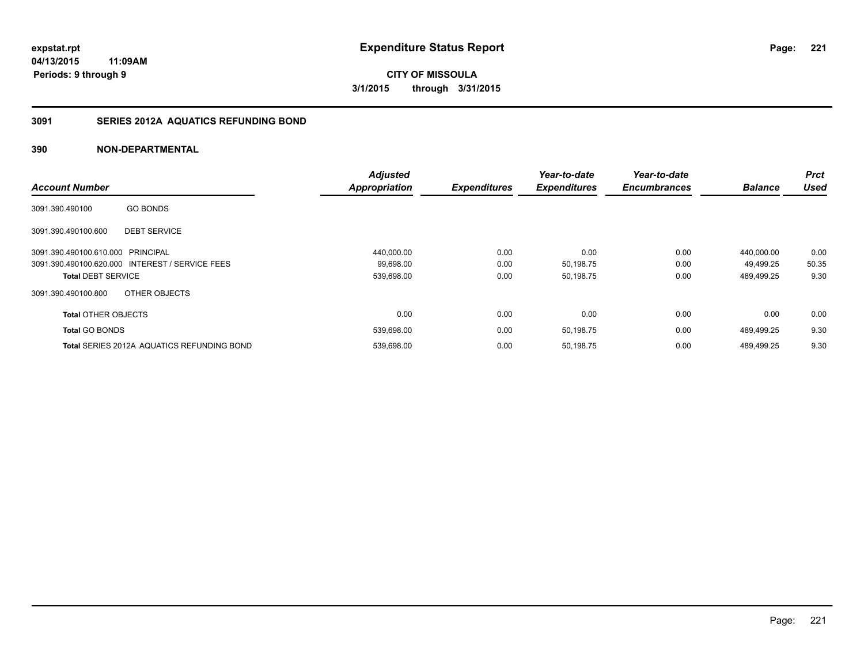**CITY OF MISSOULA 3/1/2015 through 3/31/2015**

## **3091 SERIES 2012A AQUATICS REFUNDING BOND**

|                            |                                                   | <b>Adjusted</b>      |                     | Year-to-date        | Year-to-date        |                | <b>Prct</b> |
|----------------------------|---------------------------------------------------|----------------------|---------------------|---------------------|---------------------|----------------|-------------|
| <b>Account Number</b>      |                                                   | <b>Appropriation</b> | <b>Expenditures</b> | <b>Expenditures</b> | <b>Encumbrances</b> | <b>Balance</b> | <b>Used</b> |
| 3091.390.490100            | <b>GO BONDS</b>                                   |                      |                     |                     |                     |                |             |
| 3091.390.490100.600        | <b>DEBT SERVICE</b>                               |                      |                     |                     |                     |                |             |
| 3091.390.490100.610.000    | PRINCIPAL                                         | 440,000.00           | 0.00                | 0.00                | 0.00                | 440.000.00     | 0.00        |
|                            | 3091.390.490100.620.000 INTEREST / SERVICE FEES   | 99,698.00            | 0.00                | 50,198.75           | 0.00                | 49.499.25      | 50.35       |
| <b>Total DEBT SERVICE</b>  |                                                   | 539,698.00           | 0.00                | 50,198.75           | 0.00                | 489,499.25     | 9.30        |
| 3091.390.490100.800        | OTHER OBJECTS                                     |                      |                     |                     |                     |                |             |
| <b>Total OTHER OBJECTS</b> |                                                   | 0.00                 | 0.00                | 0.00                | 0.00                | 0.00           | 0.00        |
| <b>Total GO BONDS</b>      |                                                   | 539,698.00           | 0.00                | 50,198.75           | 0.00                | 489.499.25     | 9.30        |
|                            | <b>Total SERIES 2012A AQUATICS REFUNDING BOND</b> | 539,698.00           | 0.00                | 50,198.75           | 0.00                | 489.499.25     | 9.30        |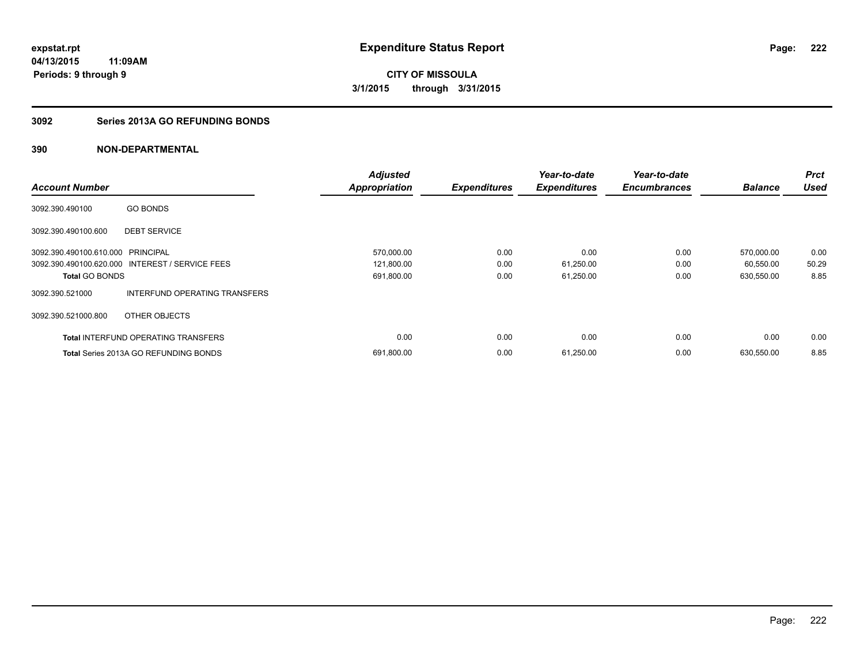**Periods: 9 through 9**

**CITY OF MISSOULA 3/1/2015 through 3/31/2015**

#### **3092 Series 2013A GO REFUNDING BONDS**

|                                   |                                                 | <b>Adjusted</b> |                     | Year-to-date        | Year-to-date        |                | <b>Prct</b> |
|-----------------------------------|-------------------------------------------------|-----------------|---------------------|---------------------|---------------------|----------------|-------------|
| <b>Account Number</b>             |                                                 | Appropriation   | <b>Expenditures</b> | <b>Expenditures</b> | <b>Encumbrances</b> | <b>Balance</b> | <b>Used</b> |
| 3092.390.490100                   | <b>GO BONDS</b>                                 |                 |                     |                     |                     |                |             |
| 3092.390.490100.600               | <b>DEBT SERVICE</b>                             |                 |                     |                     |                     |                |             |
| 3092.390.490100.610.000 PRINCIPAL |                                                 | 570,000.00      | 0.00                | 0.00                | 0.00                | 570.000.00     | 0.00        |
|                                   | 3092.390.490100.620.000 INTEREST / SERVICE FEES | 121,800.00      | 0.00                | 61,250.00           | 0.00                | 60,550.00      | 50.29       |
| <b>Total GO BONDS</b>             |                                                 | 691,800.00      | 0.00                | 61,250.00           | 0.00                | 630,550.00     | 8.85        |
| 3092.390.521000                   | INTERFUND OPERATING TRANSFERS                   |                 |                     |                     |                     |                |             |
| 3092.390.521000.800               | OTHER OBJECTS                                   |                 |                     |                     |                     |                |             |
|                                   | <b>Total INTERFUND OPERATING TRANSFERS</b>      | 0.00            | 0.00                | 0.00                | 0.00                | 0.00           | 0.00        |
|                                   | <b>Total Series 2013A GO REFUNDING BONDS</b>    | 691,800.00      | 0.00                | 61,250.00           | 0.00                | 630,550.00     | 8.85        |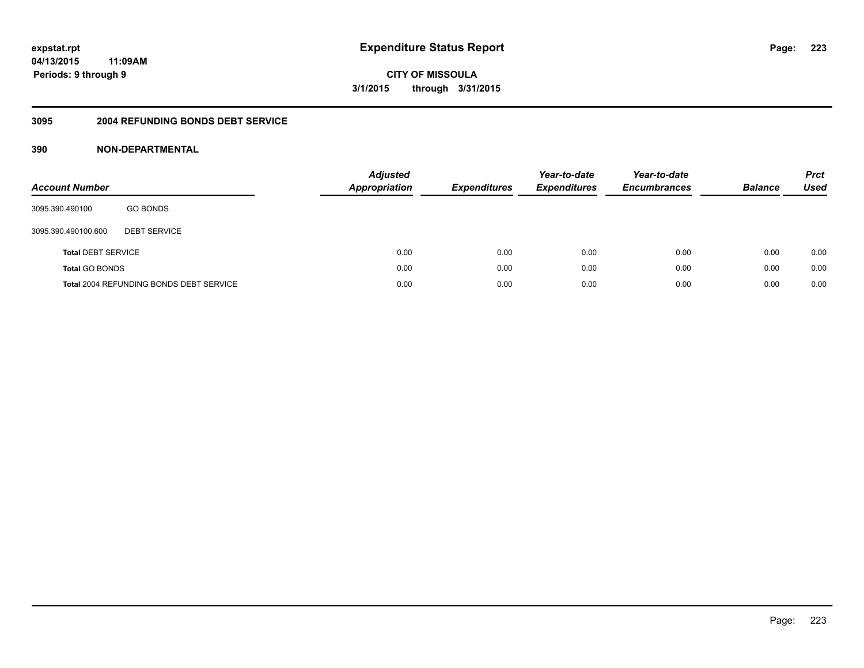**223**

**04/13/2015 11:09AM Periods: 9 through 9**

**CITY OF MISSOULA 3/1/2015 through 3/31/2015**

#### **3095 2004 REFUNDING BONDS DEBT SERVICE**

| <b>Account Number</b>     |                                                | <b>Adjusted</b><br><b>Appropriation</b> | <b>Expenditures</b> | Year-to-date<br><b>Expenditures</b> | Year-to-date<br><b>Encumbrances</b> | <b>Balance</b> | <b>Prct</b><br>Used |
|---------------------------|------------------------------------------------|-----------------------------------------|---------------------|-------------------------------------|-------------------------------------|----------------|---------------------|
| 3095.390.490100           | <b>GO BONDS</b>                                |                                         |                     |                                     |                                     |                |                     |
| 3095.390.490100.600       | <b>DEBT SERVICE</b>                            |                                         |                     |                                     |                                     |                |                     |
| <b>Total DEBT SERVICE</b> |                                                | 0.00                                    | 0.00                | 0.00                                | 0.00                                | 0.00           | 0.00                |
| <b>Total GO BONDS</b>     |                                                | 0.00                                    | 0.00                | 0.00                                | 0.00                                | 0.00           | 0.00                |
|                           | <b>Total 2004 REFUNDING BONDS DEBT SERVICE</b> | 0.00                                    | 0.00                | 0.00                                | 0.00                                | 0.00           | 0.00                |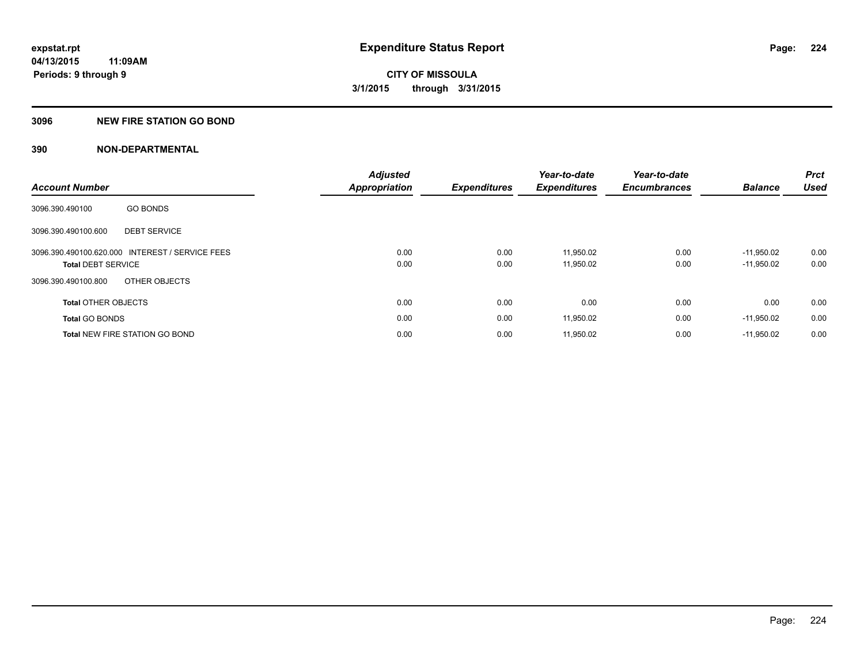## **3096 NEW FIRE STATION GO BOND**

| <b>Account Number</b>      |                                                 | <b>Adjusted</b><br><b>Appropriation</b> | <b>Expenditures</b> | Year-to-date<br><b>Expenditures</b> | Year-to-date<br><b>Encumbrances</b> | <b>Balance</b>               | Prct<br><b>Used</b> |
|----------------------------|-------------------------------------------------|-----------------------------------------|---------------------|-------------------------------------|-------------------------------------|------------------------------|---------------------|
| 3096.390.490100            | <b>GO BONDS</b>                                 |                                         |                     |                                     |                                     |                              |                     |
| 3096.390.490100.600        | <b>DEBT SERVICE</b>                             |                                         |                     |                                     |                                     |                              |                     |
| <b>Total DEBT SERVICE</b>  | 3096.390.490100.620.000 INTEREST / SERVICE FEES | 0.00<br>0.00                            | 0.00<br>0.00        | 11.950.02<br>11,950.02              | 0.00<br>0.00                        | $-11.950.02$<br>$-11,950.02$ | 0.00<br>0.00        |
| 3096.390.490100.800        | OTHER OBJECTS                                   |                                         |                     |                                     |                                     |                              |                     |
| <b>Total OTHER OBJECTS</b> |                                                 | 0.00                                    | 0.00                | 0.00                                | 0.00                                | 0.00                         | 0.00                |
| <b>Total GO BONDS</b>      |                                                 | 0.00                                    | 0.00                | 11,950.02                           | 0.00                                | $-11,950.02$                 | 0.00                |
|                            | <b>Total NEW FIRE STATION GO BOND</b>           | 0.00                                    | 0.00                | 11,950.02                           | 0.00                                | $-11,950.02$                 | 0.00                |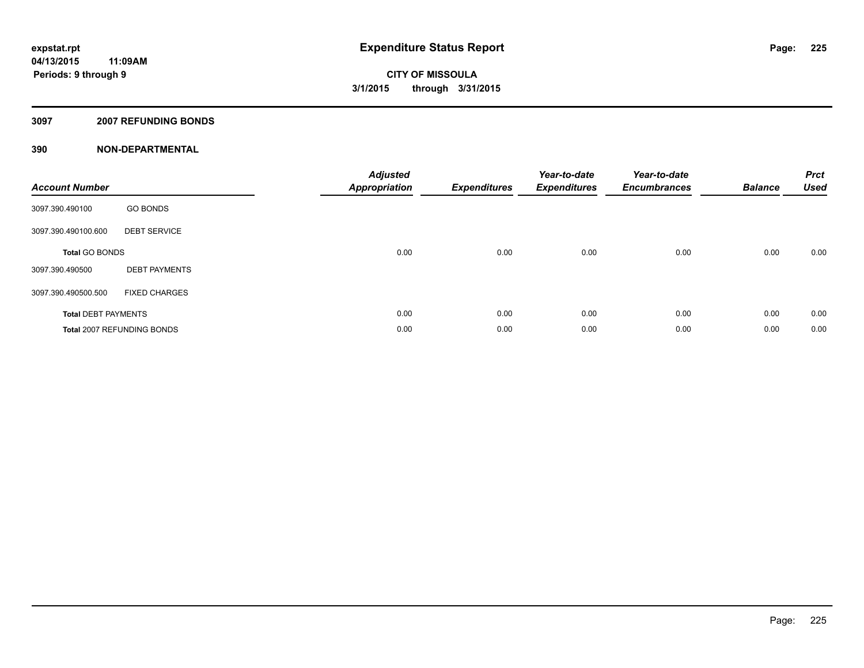#### **3097 2007 REFUNDING BONDS**

| <b>Account Number</b>      |                            | <b>Adjusted</b><br><b>Appropriation</b> | <b>Expenditures</b> | Year-to-date<br><b>Expenditures</b> | Year-to-date<br><b>Encumbrances</b> | <b>Balance</b> | <b>Prct</b><br><b>Used</b> |
|----------------------------|----------------------------|-----------------------------------------|---------------------|-------------------------------------|-------------------------------------|----------------|----------------------------|
| 3097.390.490100            | <b>GO BONDS</b>            |                                         |                     |                                     |                                     |                |                            |
| 3097.390.490100.600        | <b>DEBT SERVICE</b>        |                                         |                     |                                     |                                     |                |                            |
| <b>Total GO BONDS</b>      |                            | 0.00                                    | 0.00                | 0.00                                | 0.00                                | 0.00           | 0.00                       |
| 3097.390.490500            | <b>DEBT PAYMENTS</b>       |                                         |                     |                                     |                                     |                |                            |
| 3097.390.490500.500        | <b>FIXED CHARGES</b>       |                                         |                     |                                     |                                     |                |                            |
| <b>Total DEBT PAYMENTS</b> |                            | 0.00                                    | 0.00                | 0.00                                | 0.00                                | 0.00           | 0.00                       |
|                            | Total 2007 REFUNDING BONDS | 0.00                                    | 0.00                | 0.00                                | 0.00                                | 0.00           | 0.00                       |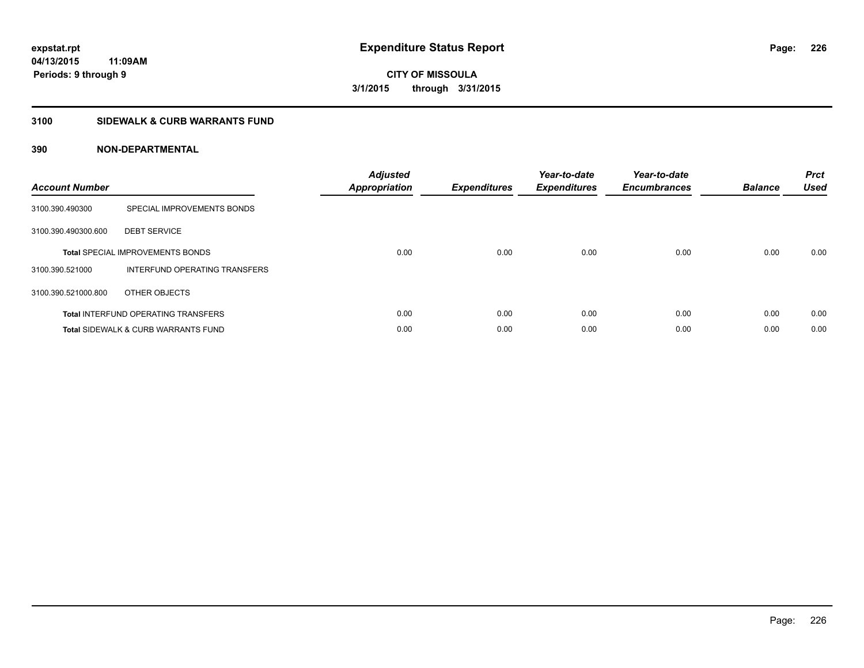**CITY OF MISSOULA 3/1/2015 through 3/31/2015**

#### **3100 SIDEWALK & CURB WARRANTS FUND**

| <b>Account Number</b> |                                                | Adjusted<br>Appropriation | <b>Expenditures</b> | Year-to-date<br><b>Expenditures</b> | Year-to-date<br><b>Encumbrances</b> | <b>Balance</b> | <b>Prct</b><br>Used |
|-----------------------|------------------------------------------------|---------------------------|---------------------|-------------------------------------|-------------------------------------|----------------|---------------------|
| 3100.390.490300       | SPECIAL IMPROVEMENTS BONDS                     |                           |                     |                                     |                                     |                |                     |
| 3100.390.490300.600   | <b>DEBT SERVICE</b>                            |                           |                     |                                     |                                     |                |                     |
|                       | <b>Total SPECIAL IMPROVEMENTS BONDS</b>        | 0.00                      | 0.00                | 0.00                                | 0.00                                | 0.00           | 0.00                |
| 3100.390.521000       | INTERFUND OPERATING TRANSFERS                  |                           |                     |                                     |                                     |                |                     |
| 3100.390.521000.800   | OTHER OBJECTS                                  |                           |                     |                                     |                                     |                |                     |
|                       | <b>Total INTERFUND OPERATING TRANSFERS</b>     | 0.00                      | 0.00                | 0.00                                | 0.00                                | 0.00           | 0.00                |
|                       | <b>Total SIDEWALK &amp; CURB WARRANTS FUND</b> | 0.00                      | 0.00                | 0.00                                | 0.00                                | 0.00           | 0.00                |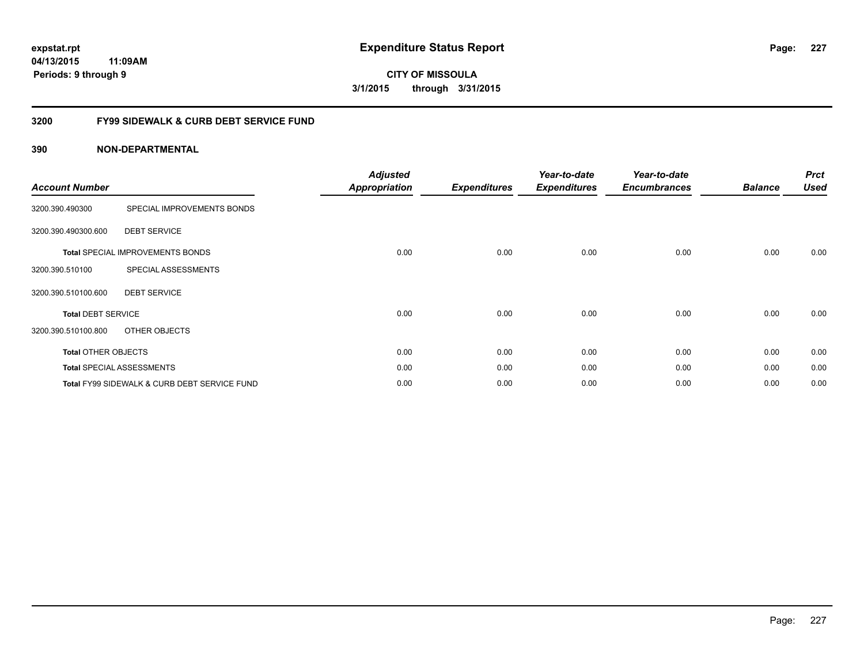**CITY OF MISSOULA 3/1/2015 through 3/31/2015**

## **3200 FY99 SIDEWALK & CURB DEBT SERVICE FUND**

| <b>Account Number</b>      |                                              | <b>Adjusted</b><br><b>Appropriation</b> | <b>Expenditures</b> | Year-to-date<br><b>Expenditures</b> | Year-to-date<br><b>Encumbrances</b> | <b>Balance</b> | <b>Prct</b><br><b>Used</b> |
|----------------------------|----------------------------------------------|-----------------------------------------|---------------------|-------------------------------------|-------------------------------------|----------------|----------------------------|
| 3200.390.490300            | SPECIAL IMPROVEMENTS BONDS                   |                                         |                     |                                     |                                     |                |                            |
| 3200.390.490300.600        | <b>DEBT SERVICE</b>                          |                                         |                     |                                     |                                     |                |                            |
|                            | <b>Total SPECIAL IMPROVEMENTS BONDS</b>      | 0.00                                    | 0.00                | 0.00                                | 0.00                                | 0.00           | 0.00                       |
| 3200.390.510100            | SPECIAL ASSESSMENTS                          |                                         |                     |                                     |                                     |                |                            |
| 3200.390.510100.600        | <b>DEBT SERVICE</b>                          |                                         |                     |                                     |                                     |                |                            |
| <b>Total DEBT SERVICE</b>  |                                              | 0.00                                    | 0.00                | 0.00                                | 0.00                                | 0.00           | 0.00                       |
| 3200.390.510100.800        | OTHER OBJECTS                                |                                         |                     |                                     |                                     |                |                            |
| <b>Total OTHER OBJECTS</b> |                                              | 0.00                                    | 0.00                | 0.00                                | 0.00                                | 0.00           | 0.00                       |
|                            | <b>Total SPECIAL ASSESSMENTS</b>             | 0.00                                    | 0.00                | 0.00                                | 0.00                                | 0.00           | 0.00                       |
|                            | Total FY99 SIDEWALK & CURB DEBT SERVICE FUND | 0.00                                    | 0.00                | 0.00                                | 0.00                                | 0.00           | 0.00                       |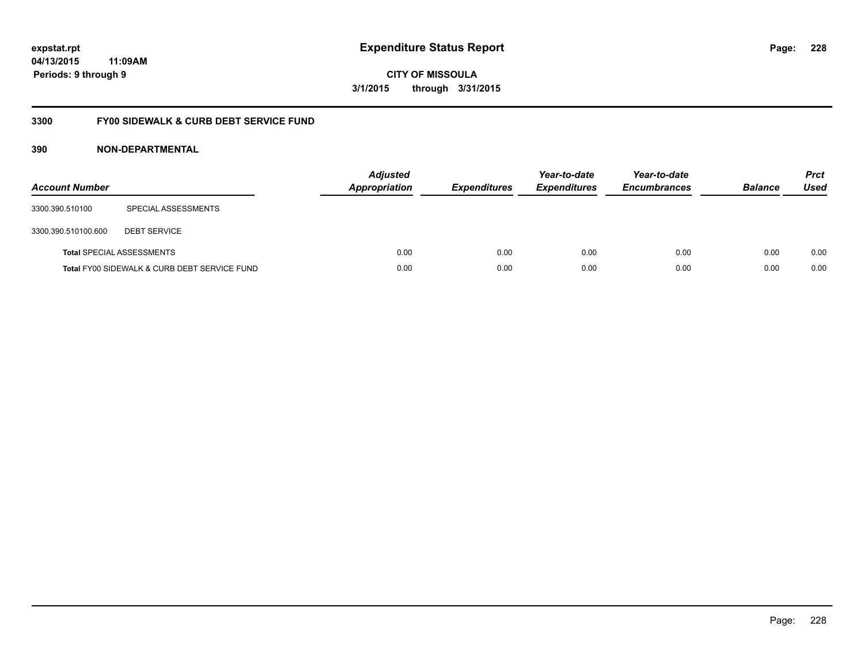**CITY OF MISSOULA 3/1/2015 through 3/31/2015**

## **3300 FY00 SIDEWALK & CURB DEBT SERVICE FUND**

| <b>Account Number</b> |                                              | <b>Adjusted</b><br><b>Appropriation</b> | <b>Expenditures</b> | Year-to-date<br><b>Expenditures</b> | Year-to-date<br><b>Encumbrances</b> | <b>Balance</b> | <b>Prct</b><br>Used |
|-----------------------|----------------------------------------------|-----------------------------------------|---------------------|-------------------------------------|-------------------------------------|----------------|---------------------|
| 3300.390.510100       | SPECIAL ASSESSMENTS                          |                                         |                     |                                     |                                     |                |                     |
| 3300.390.510100.600   | <b>DEBT SERVICE</b>                          |                                         |                     |                                     |                                     |                |                     |
|                       | Total SPECIAL ASSESSMENTS                    | 0.00                                    | 0.00                | 0.00                                | 0.00                                | 0.00           | 0.00                |
|                       | Total FY00 SIDEWALK & CURB DEBT SERVICE FUND | 0.00                                    | 0.00                | 0.00                                | 0.00                                | 0.00           | 0.00                |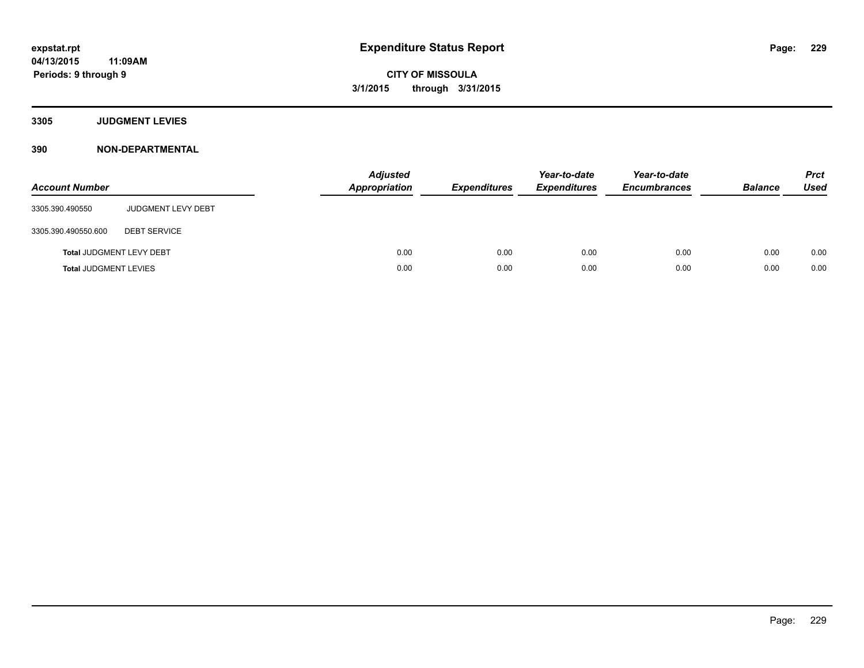**Periods: 9 through 9**

**CITY OF MISSOULA 3/1/2015 through 3/31/2015**

**3305 JUDGMENT LEVIES**

**390 NON-DEPARTMENTAL**

**11:09AM**

| <b>Account Number</b>           |                           | <b>Adjusted</b><br><b>Appropriation</b> | <b>Expenditures</b> | Year-to-date<br><b>Expenditures</b> | Year-to-date<br><b>Encumbrances</b> | <b>Balance</b> | <b>Prct</b><br><b>Used</b> |
|---------------------------------|---------------------------|-----------------------------------------|---------------------|-------------------------------------|-------------------------------------|----------------|----------------------------|
| 3305.390.490550                 | <b>JUDGMENT LEVY DEBT</b> |                                         |                     |                                     |                                     |                |                            |
| 3305.390.490550.600             | <b>DEBT SERVICE</b>       |                                         |                     |                                     |                                     |                |                            |
| <b>Total JUDGMENT LEVY DEBT</b> |                           | 0.00                                    | 0.00                | 0.00                                | 0.00                                | 0.00           | 0.00                       |
| <b>Total JUDGMENT LEVIES</b>    |                           | 0.00                                    | 0.00                | 0.00                                | 0.00                                | 0.00           | 0.00                       |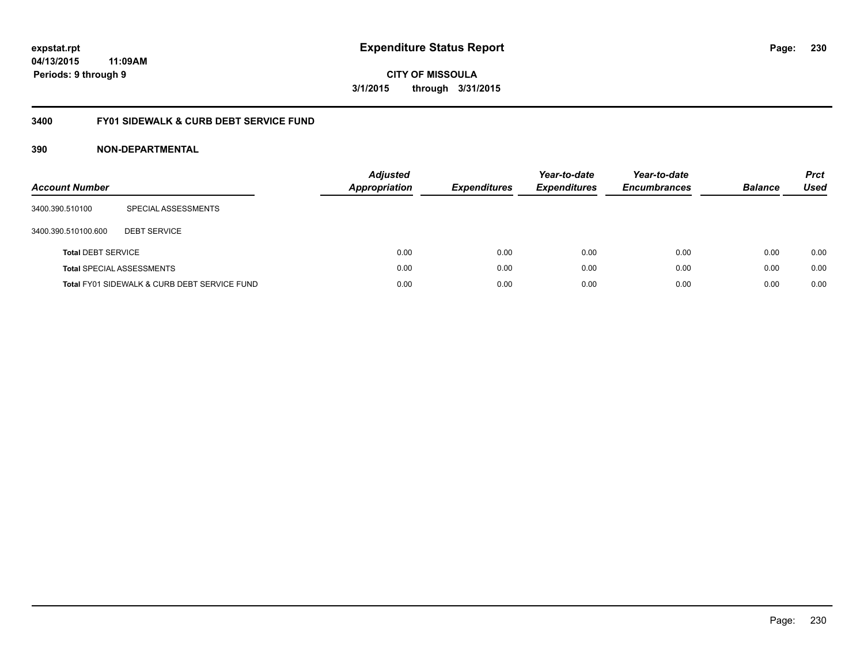**CITY OF MISSOULA 3/1/2015 through 3/31/2015**

## **3400 FY01 SIDEWALK & CURB DEBT SERVICE FUND**

| <b>Account Number</b>     |                                              | <b>Adjusted</b><br><b>Appropriation</b> | <b>Expenditures</b> | Year-to-date<br><b>Expenditures</b> | Year-to-date<br><b>Encumbrances</b> | <b>Balance</b> | <b>Prct</b><br><b>Used</b> |
|---------------------------|----------------------------------------------|-----------------------------------------|---------------------|-------------------------------------|-------------------------------------|----------------|----------------------------|
| 3400.390.510100           | SPECIAL ASSESSMENTS                          |                                         |                     |                                     |                                     |                |                            |
| 3400.390.510100.600       | <b>DEBT SERVICE</b>                          |                                         |                     |                                     |                                     |                |                            |
| <b>Total DEBT SERVICE</b> |                                              | 0.00                                    | 0.00                | 0.00                                | 0.00                                | 0.00           | 0.00                       |
|                           | <b>Total SPECIAL ASSESSMENTS</b>             | 0.00                                    | 0.00                | 0.00                                | 0.00                                | 0.00           | 0.00                       |
|                           | Total FY01 SIDEWALK & CURB DEBT SERVICE FUND | 0.00                                    | 0.00                | 0.00                                | 0.00                                | 0.00           | 0.00                       |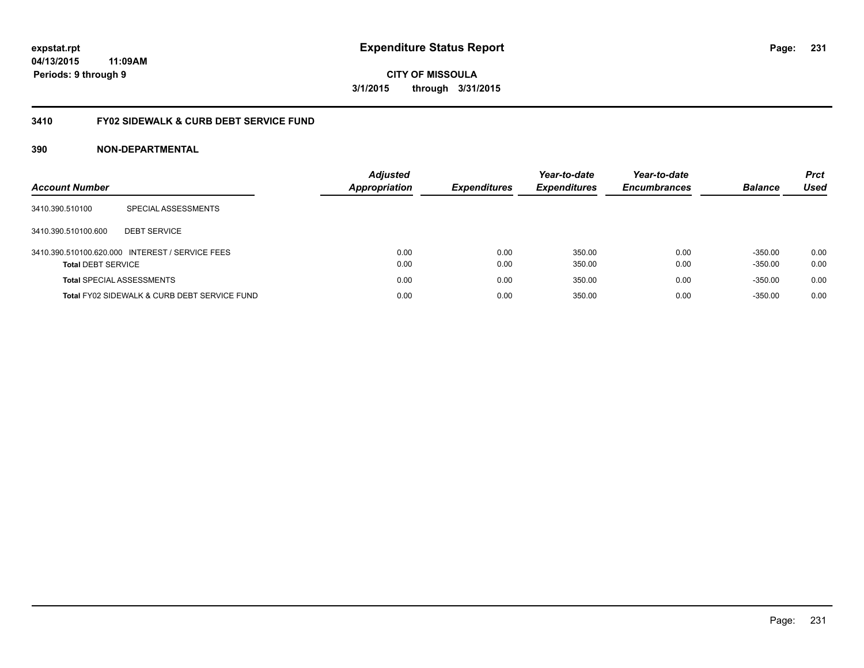**CITY OF MISSOULA 3/1/2015 through 3/31/2015**

## **3410 FY02 SIDEWALK & CURB DEBT SERVICE FUND**

| <b>Account Number</b>            |                                                 | <b>Adjusted</b><br><b>Appropriation</b> | <b>Expenditures</b> | Year-to-date<br><b>Expenditures</b> | Year-to-date<br><b>Encumbrances</b> | <b>Balance</b> | <b>Prct</b><br>Used |
|----------------------------------|-------------------------------------------------|-----------------------------------------|---------------------|-------------------------------------|-------------------------------------|----------------|---------------------|
| 3410.390.510100                  | SPECIAL ASSESSMENTS                             |                                         |                     |                                     |                                     |                |                     |
| 3410.390.510100.600              | <b>DEBT SERVICE</b>                             |                                         |                     |                                     |                                     |                |                     |
|                                  | 3410.390.510100.620.000 INTEREST / SERVICE FEES | 0.00                                    | 0.00                | 350.00                              | 0.00                                | $-350.00$      | 0.00                |
| <b>Total DEBT SERVICE</b>        |                                                 | 0.00                                    | 0.00                | 350.00                              | 0.00                                | $-350.00$      | 0.00                |
| <b>Total SPECIAL ASSESSMENTS</b> |                                                 | 0.00                                    | 0.00                | 350.00                              | 0.00                                | $-350.00$      | 0.00                |
|                                  | Total FY02 SIDEWALK & CURB DEBT SERVICE FUND    | 0.00                                    | 0.00                | 350.00                              | 0.00                                | $-350.00$      | 0.00                |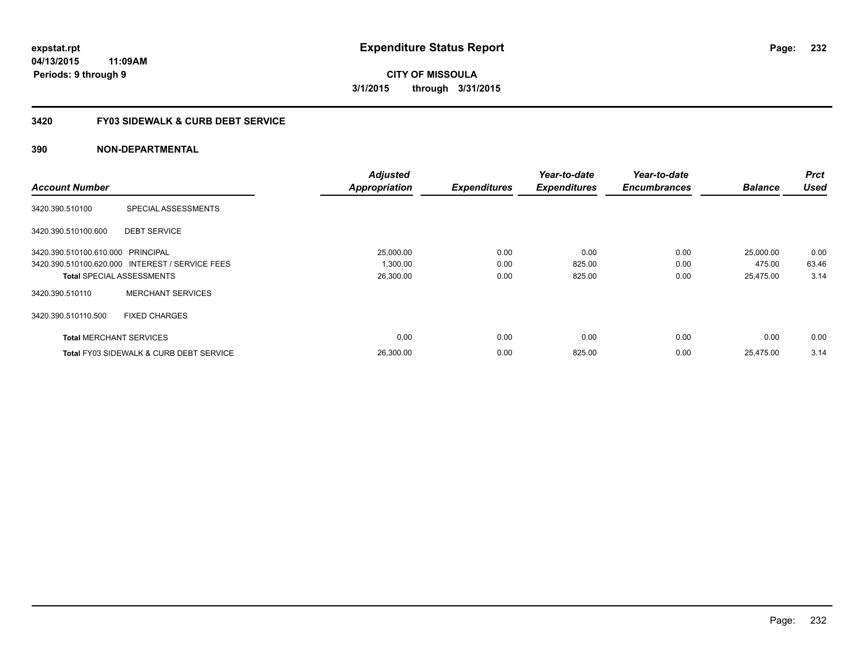**CITY OF MISSOULA 3/1/2015 through 3/31/2015**

## **3420 FY03 SIDEWALK & CURB DEBT SERVICE**

|                                   |                                                    | <b>Adjusted</b>      |                     | Year-to-date        | Year-to-date        |                | <b>Prct</b> |
|-----------------------------------|----------------------------------------------------|----------------------|---------------------|---------------------|---------------------|----------------|-------------|
| <b>Account Number</b>             |                                                    | <b>Appropriation</b> | <b>Expenditures</b> | <b>Expenditures</b> | <b>Encumbrances</b> | <b>Balance</b> | <b>Used</b> |
| 3420.390.510100                   | SPECIAL ASSESSMENTS                                |                      |                     |                     |                     |                |             |
| 3420.390.510100.600               | <b>DEBT SERVICE</b>                                |                      |                     |                     |                     |                |             |
| 3420.390.510100.610.000 PRINCIPAL |                                                    | 25,000.00            | 0.00                | 0.00                | 0.00                | 25,000.00      | 0.00        |
|                                   | 3420.390.510100.620.000 INTEREST / SERVICE FEES    | 1,300.00             | 0.00                | 825.00              | 0.00                | 475.00         | 63.46       |
| <b>Total SPECIAL ASSESSMENTS</b>  |                                                    | 26,300.00            | 0.00                | 825.00              | 0.00                | 25,475.00      | 3.14        |
| 3420.390.510110                   | <b>MERCHANT SERVICES</b>                           |                      |                     |                     |                     |                |             |
| 3420.390.510110.500               | <b>FIXED CHARGES</b>                               |                      |                     |                     |                     |                |             |
| <b>Total MERCHANT SERVICES</b>    |                                                    | 0.00                 | 0.00                | 0.00                | 0.00                | 0.00           | 0.00        |
|                                   | <b>Total FY03 SIDEWALK &amp; CURB DEBT SERVICE</b> | 26.300.00            | 0.00                | 825.00              | 0.00                | 25.475.00      | 3.14        |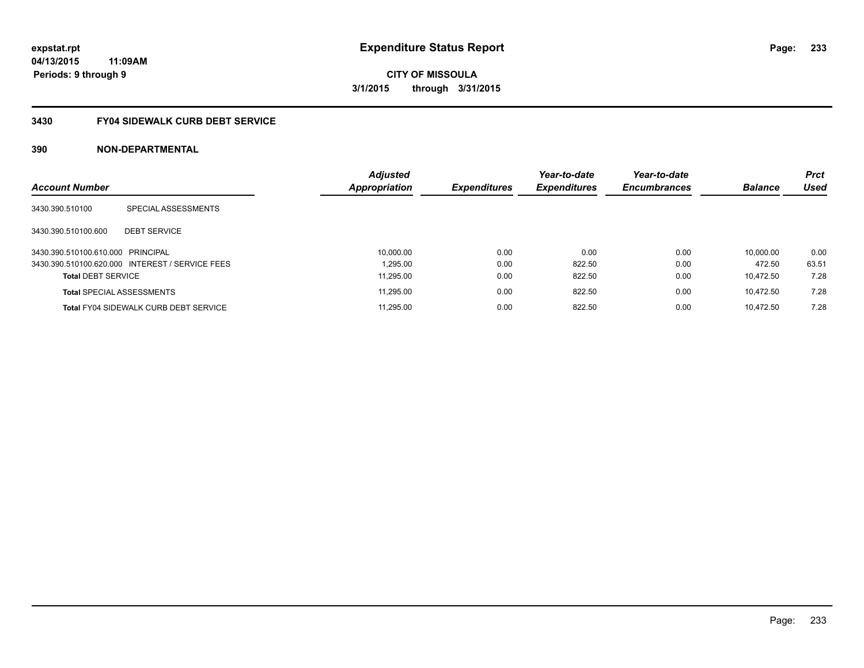**expstat.rpt Expenditure Status Report** 

**04/13/2015 11:09AM Periods: 9 through 9**

## **3430 FY04 SIDEWALK CURB DEBT SERVICE**

|                                   |                                                 | <b>Adjusted</b> |                     | Year-to-date        | Year-to-date        |                | Prct        |
|-----------------------------------|-------------------------------------------------|-----------------|---------------------|---------------------|---------------------|----------------|-------------|
| <b>Account Number</b>             |                                                 | Appropriation   | <b>Expenditures</b> | <b>Expenditures</b> | <b>Encumbrances</b> | <b>Balance</b> | <b>Used</b> |
| 3430.390.510100                   | SPECIAL ASSESSMENTS                             |                 |                     |                     |                     |                |             |
| 3430.390.510100.600               | <b>DEBT SERVICE</b>                             |                 |                     |                     |                     |                |             |
| 3430.390.510100.610.000 PRINCIPAL |                                                 | 10.000.00       | 0.00                | 0.00                | 0.00                | 10.000.00      | 0.00        |
|                                   | 3430.390.510100.620.000 INTEREST / SERVICE FEES | 1.295.00        | 0.00                | 822.50              | 0.00                | 472.50         | 63.51       |
| <b>Total DEBT SERVICE</b>         |                                                 | 11.295.00       | 0.00                | 822.50              | 0.00                | 10.472.50      | 7.28        |
| <b>Total SPECIAL ASSESSMENTS</b>  |                                                 | 11.295.00       | 0.00                | 822.50              | 0.00                | 10.472.50      | 7.28        |
|                                   | <b>Total FY04 SIDEWALK CURB DEBT SERVICE</b>    | 11.295.00       | 0.00                | 822.50              | 0.00                | 10.472.50      | 7.28        |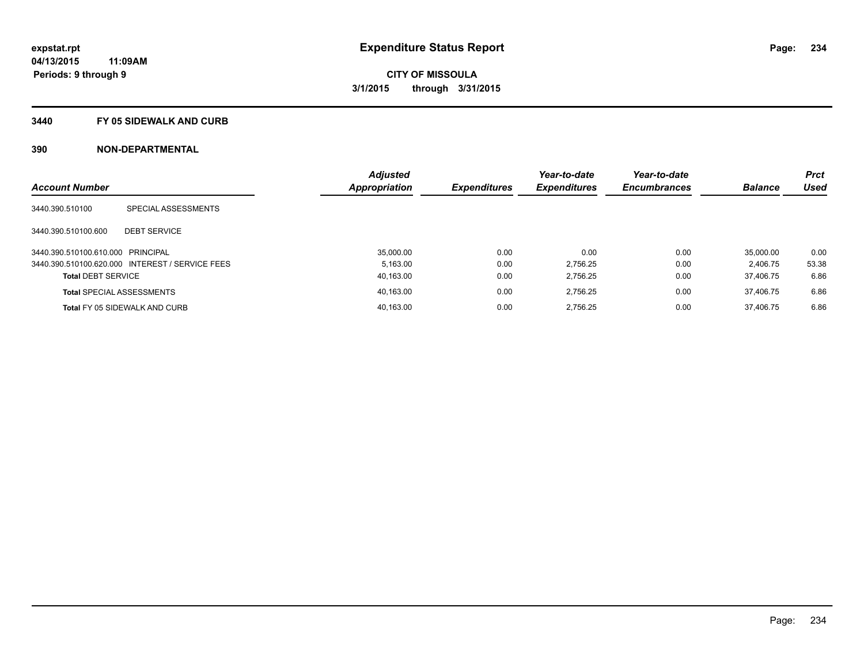#### **3440 FY 05 SIDEWALK AND CURB**

|                                   |                                                 | <b>Adjusted</b> |                     | Year-to-date        | Year-to-date        |                | <b>Prct</b> |
|-----------------------------------|-------------------------------------------------|-----------------|---------------------|---------------------|---------------------|----------------|-------------|
| <b>Account Number</b>             |                                                 | Appropriation   | <b>Expenditures</b> | <b>Expenditures</b> | <b>Encumbrances</b> | <b>Balance</b> | <b>Used</b> |
| 3440.390.510100                   | SPECIAL ASSESSMENTS                             |                 |                     |                     |                     |                |             |
| 3440.390.510100.600               | <b>DEBT SERVICE</b>                             |                 |                     |                     |                     |                |             |
| 3440.390.510100.610.000 PRINCIPAL |                                                 | 35.000.00       | 0.00                | 0.00                | 0.00                | 35.000.00      | 0.00        |
|                                   | 3440.390.510100.620.000 INTEREST / SERVICE FEES | 5.163.00        | 0.00                | 2.756.25            | 0.00                | 2.406.75       | 53.38       |
| <b>Total DEBT SERVICE</b>         |                                                 | 40,163.00       | 0.00                | 2.756.25            | 0.00                | 37.406.75      | 6.86        |
|                                   | <b>Total SPECIAL ASSESSMENTS</b>                | 40.163.00       | 0.00                | 2.756.25            | 0.00                | 37.406.75      | 6.86        |
|                                   | Total FY 05 SIDEWALK AND CURB                   | 40.163.00       | 0.00                | 2.756.25            | 0.00                | 37.406.75      | 6.86        |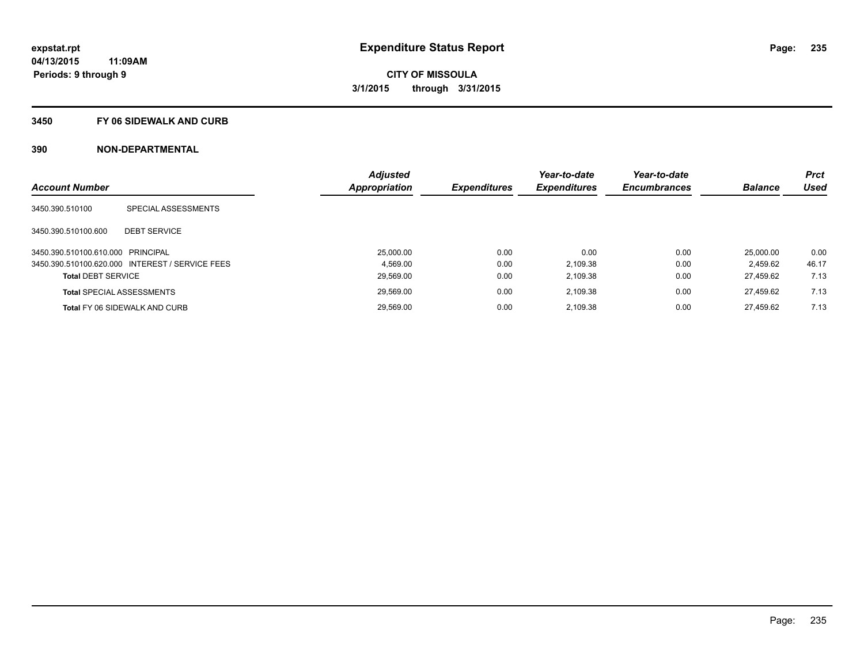#### **3450 FY 06 SIDEWALK AND CURB**

| <b>Account Number</b>             |                                                 | <b>Adjusted</b><br><b>Appropriation</b> | <b>Expenditures</b> | Year-to-date<br><b>Expenditures</b> | Year-to-date<br><b>Encumbrances</b> | <b>Balance</b> | <b>Prct</b><br>Used |
|-----------------------------------|-------------------------------------------------|-----------------------------------------|---------------------|-------------------------------------|-------------------------------------|----------------|---------------------|
|                                   |                                                 |                                         |                     |                                     |                                     |                |                     |
| 3450.390.510100                   | SPECIAL ASSESSMENTS                             |                                         |                     |                                     |                                     |                |                     |
| 3450.390.510100.600               | <b>DEBT SERVICE</b>                             |                                         |                     |                                     |                                     |                |                     |
| 3450.390.510100.610.000 PRINCIPAL |                                                 | 25.000.00                               | 0.00                | 0.00                                | 0.00                                | 25.000.00      | 0.00                |
|                                   | 3450.390.510100.620.000 INTEREST / SERVICE FEES | 4.569.00                                | 0.00                | 2,109.38                            | 0.00                                | 2.459.62       | 46.17               |
| <b>Total DEBT SERVICE</b>         |                                                 | 29,569.00                               | 0.00                | 2,109.38                            | 0.00                                | 27.459.62      | 7.13                |
|                                   | <b>Total SPECIAL ASSESSMENTS</b>                | 29,569.00                               | 0.00                | 2.109.38                            | 0.00                                | 27.459.62      | 7.13                |
|                                   | <b>Total FY 06 SIDEWALK AND CURB</b>            | 29.569.00                               | 0.00                | 2,109.38                            | 0.00                                | 27.459.62      | 7.13                |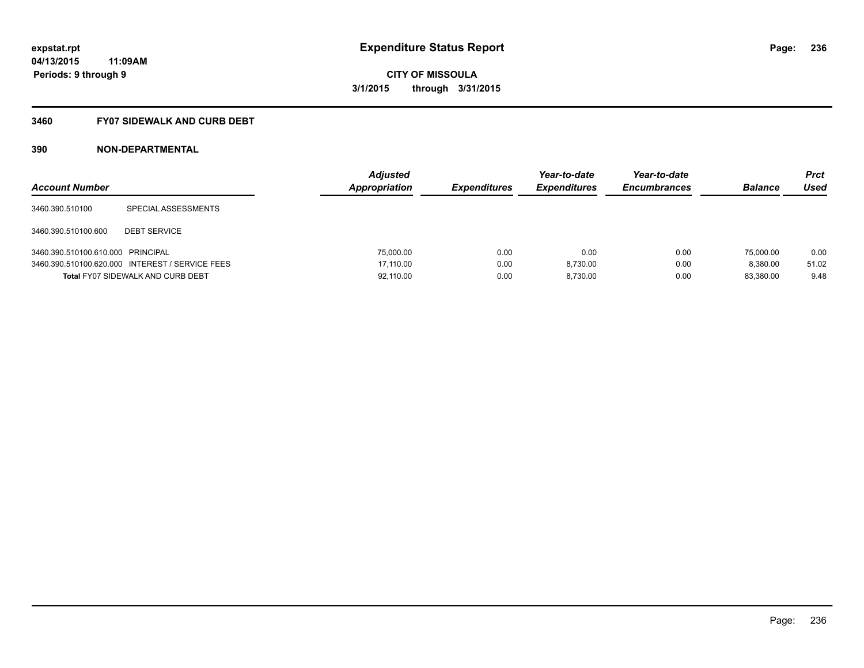## **3460 FY07 SIDEWALK AND CURB DEBT**

| <b>Account Number</b>             |                                                 | <b>Adjusted</b><br>Appropriation | <b>Expenditures</b> | Year-to-date<br><b>Expenditures</b> | Year-to-date<br><b>Encumbrances</b> | <b>Balance</b> | <b>Prct</b><br>Used |
|-----------------------------------|-------------------------------------------------|----------------------------------|---------------------|-------------------------------------|-------------------------------------|----------------|---------------------|
| 3460.390.510100                   | SPECIAL ASSESSMENTS                             |                                  |                     |                                     |                                     |                |                     |
| 3460.390.510100.600               | <b>DEBT SERVICE</b>                             |                                  |                     |                                     |                                     |                |                     |
| 3460.390.510100.610.000 PRINCIPAL |                                                 | 75,000.00                        | 0.00                | 0.00                                | 0.00                                | 75,000.00      | 0.00                |
|                                   | 3460.390.510100.620.000 INTEREST / SERVICE FEES | 17.110.00                        | 0.00                | 8.730.00                            | 0.00                                | 8.380.00       | 51.02               |
|                                   | <b>Total FY07 SIDEWALK AND CURB DEBT</b>        | 92,110.00                        | 0.00                | 8.730.00                            | 0.00                                | 83.380.00      | 9.48                |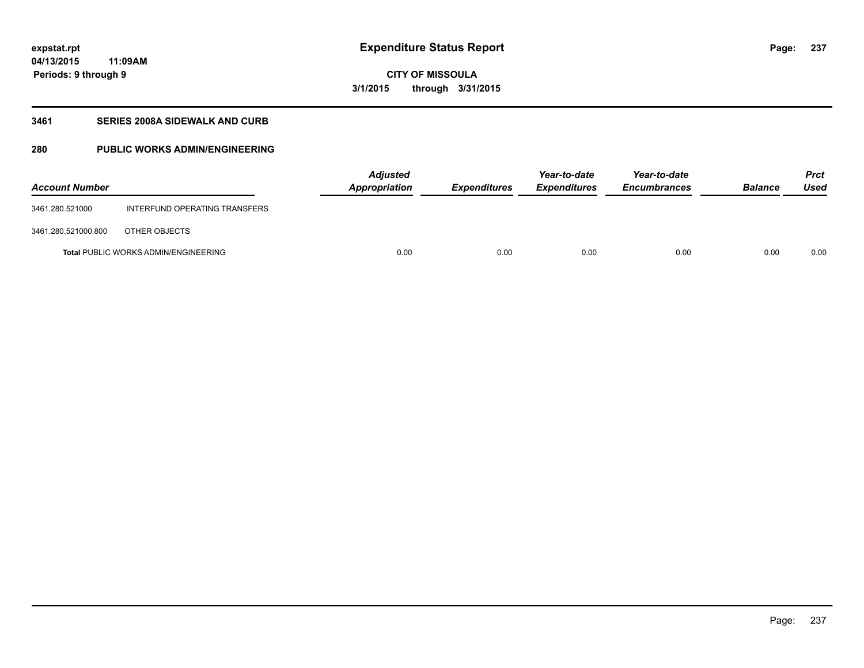## **CITY OF MISSOULA 3/1/2015 through 3/31/2015**

## **3461 SERIES 2008A SIDEWALK AND CURB**

## **280 PUBLIC WORKS ADMIN/ENGINEERING**

| <b>Account Number</b> |                                             | <b>Adjusted</b><br>Appropriation | <b>Expenditures</b> | Year-to-date<br><b>Expenditures</b> | Year-to-date<br><b>Encumbrances</b> | <b>Balance</b> | <b>Prct</b><br>Used |
|-----------------------|---------------------------------------------|----------------------------------|---------------------|-------------------------------------|-------------------------------------|----------------|---------------------|
| 3461.280.521000       | INTERFUND OPERATING TRANSFERS               |                                  |                     |                                     |                                     |                |                     |
| 3461.280.521000.800   | OTHER OBJECTS                               |                                  |                     |                                     |                                     |                |                     |
|                       | <b>Total PUBLIC WORKS ADMIN/ENGINEERING</b> | 0.00                             | 0.00                | 0.00                                | 0.00                                | 0.00           | 0.00                |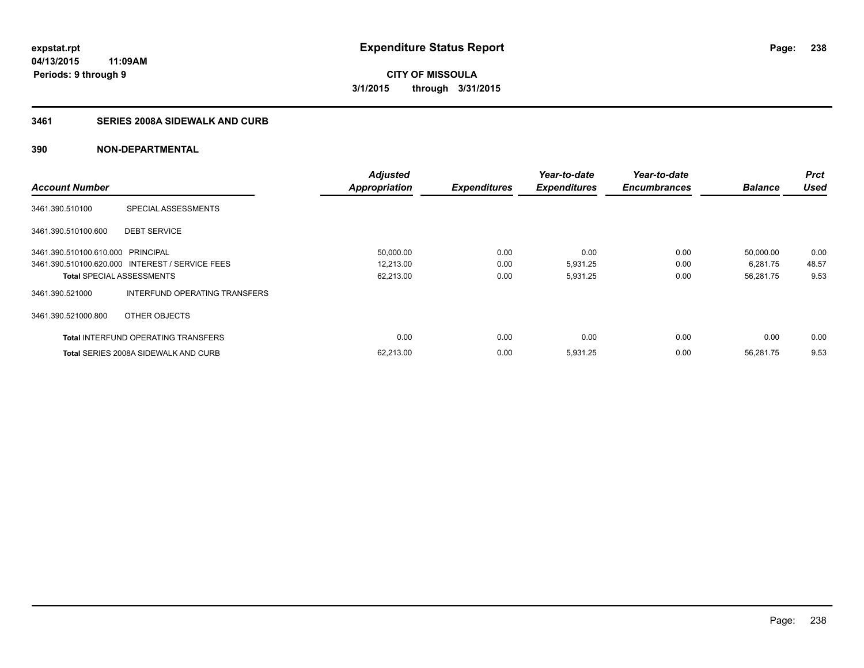## **3461 SERIES 2008A SIDEWALK AND CURB**

|                                   |                                                 | <b>Adjusted</b>      |                     | Year-to-date        | Year-to-date        |                | <b>Prct</b> |
|-----------------------------------|-------------------------------------------------|----------------------|---------------------|---------------------|---------------------|----------------|-------------|
| <b>Account Number</b>             |                                                 | <b>Appropriation</b> | <b>Expenditures</b> | <b>Expenditures</b> | <b>Encumbrances</b> | <b>Balance</b> | <b>Used</b> |
| 3461.390.510100                   | SPECIAL ASSESSMENTS                             |                      |                     |                     |                     |                |             |
| 3461.390.510100.600               | <b>DEBT SERVICE</b>                             |                      |                     |                     |                     |                |             |
| 3461.390.510100.610.000 PRINCIPAL |                                                 | 50,000.00            | 0.00                | 0.00                | 0.00                | 50,000.00      | 0.00        |
|                                   | 3461.390.510100.620.000 INTEREST / SERVICE FEES | 12,213.00            | 0.00                | 5,931.25            | 0.00                | 6,281.75       | 48.57       |
| <b>Total SPECIAL ASSESSMENTS</b>  |                                                 | 62,213.00            | 0.00                | 5,931.25            | 0.00                | 56,281.75      | 9.53        |
| 3461.390.521000                   | INTERFUND OPERATING TRANSFERS                   |                      |                     |                     |                     |                |             |
| 3461.390.521000.800               | OTHER OBJECTS                                   |                      |                     |                     |                     |                |             |
|                                   | <b>Total INTERFUND OPERATING TRANSFERS</b>      | 0.00                 | 0.00                | 0.00                | 0.00                | 0.00           | 0.00        |
|                                   | <b>Total SERIES 2008A SIDEWALK AND CURB</b>     | 62,213.00            | 0.00                | 5,931.25            | 0.00                | 56.281.75      | 9.53        |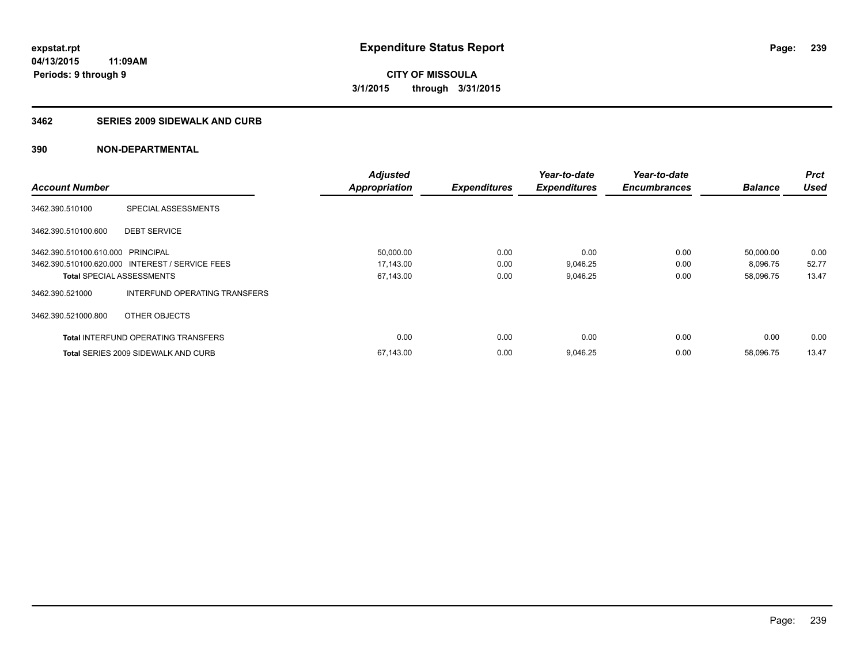#### **3462 SERIES 2009 SIDEWALK AND CURB**

|                                   |                                                 | <b>Adjusted</b>      |                     | Year-to-date        | Year-to-date        |                | <b>Prct</b> |
|-----------------------------------|-------------------------------------------------|----------------------|---------------------|---------------------|---------------------|----------------|-------------|
| <b>Account Number</b>             |                                                 | <b>Appropriation</b> | <b>Expenditures</b> | <b>Expenditures</b> | <b>Encumbrances</b> | <b>Balance</b> | <b>Used</b> |
| 3462.390.510100                   | SPECIAL ASSESSMENTS                             |                      |                     |                     |                     |                |             |
| 3462.390.510100.600               | <b>DEBT SERVICE</b>                             |                      |                     |                     |                     |                |             |
| 3462.390.510100.610.000 PRINCIPAL |                                                 | 50,000.00            | 0.00                | 0.00                | 0.00                | 50,000.00      | 0.00        |
|                                   | 3462.390.510100.620.000 INTEREST / SERVICE FEES | 17,143.00            | 0.00                | 9,046.25            | 0.00                | 8,096.75       | 52.77       |
| <b>Total SPECIAL ASSESSMENTS</b>  |                                                 | 67,143.00            | 0.00                | 9,046.25            | 0.00                | 58,096.75      | 13.47       |
| 3462.390.521000                   | INTERFUND OPERATING TRANSFERS                   |                      |                     |                     |                     |                |             |
| 3462.390.521000.800               | OTHER OBJECTS                                   |                      |                     |                     |                     |                |             |
|                                   | <b>Total INTERFUND OPERATING TRANSFERS</b>      | 0.00                 | 0.00                | 0.00                | 0.00                | 0.00           | 0.00        |
|                                   | <b>Total SERIES 2009 SIDEWALK AND CURB</b>      | 67,143.00            | 0.00                | 9,046.25            | 0.00                | 58.096.75      | 13.47       |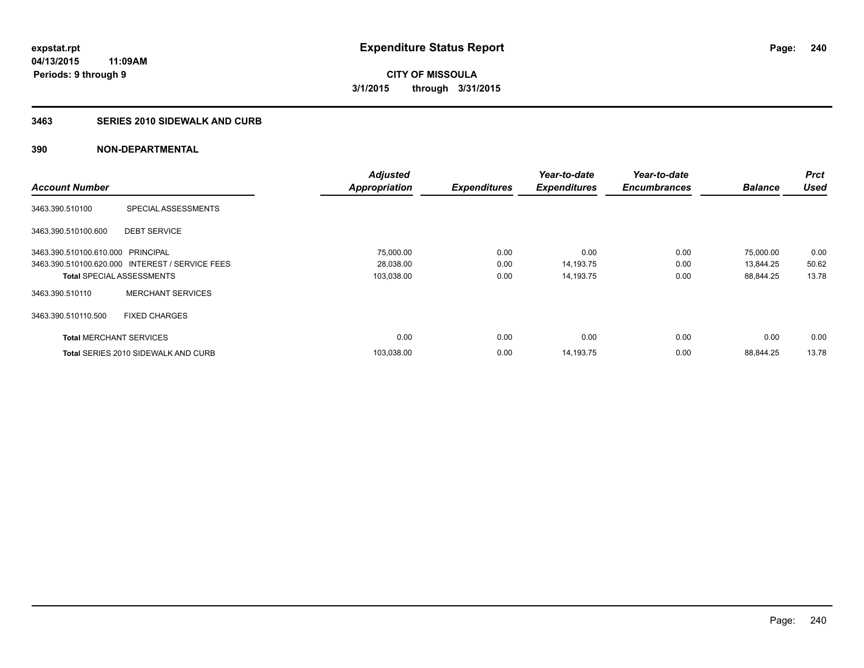## **3463 SERIES 2010 SIDEWALK AND CURB**

|                                   |                                                 | <b>Adjusted</b>      |                     | Year-to-date        | Year-to-date        |                | <b>Prct</b> |
|-----------------------------------|-------------------------------------------------|----------------------|---------------------|---------------------|---------------------|----------------|-------------|
| <b>Account Number</b>             |                                                 | <b>Appropriation</b> | <b>Expenditures</b> | <b>Expenditures</b> | <b>Encumbrances</b> | <b>Balance</b> | <b>Used</b> |
| 3463.390.510100                   | SPECIAL ASSESSMENTS                             |                      |                     |                     |                     |                |             |
| 3463.390.510100.600               | <b>DEBT SERVICE</b>                             |                      |                     |                     |                     |                |             |
| 3463.390.510100.610.000 PRINCIPAL |                                                 | 75,000.00            | 0.00                | 0.00                | 0.00                | 75,000.00      | 0.00        |
|                                   | 3463.390.510100.620.000 INTEREST / SERVICE FEES | 28,038.00            | 0.00                | 14,193.75           | 0.00                | 13,844.25      | 50.62       |
| <b>Total SPECIAL ASSESSMENTS</b>  |                                                 | 103,038.00           | 0.00                | 14,193.75           | 0.00                | 88,844.25      | 13.78       |
| 3463.390.510110                   | <b>MERCHANT SERVICES</b>                        |                      |                     |                     |                     |                |             |
| 3463.390.510110.500               | <b>FIXED CHARGES</b>                            |                      |                     |                     |                     |                |             |
| <b>Total MERCHANT SERVICES</b>    |                                                 | 0.00                 | 0.00                | 0.00                | 0.00                | 0.00           | 0.00        |
|                                   | <b>Total SERIES 2010 SIDEWALK AND CURB</b>      | 103,038.00           | 0.00                | 14,193.75           | 0.00                | 88.844.25      | 13.78       |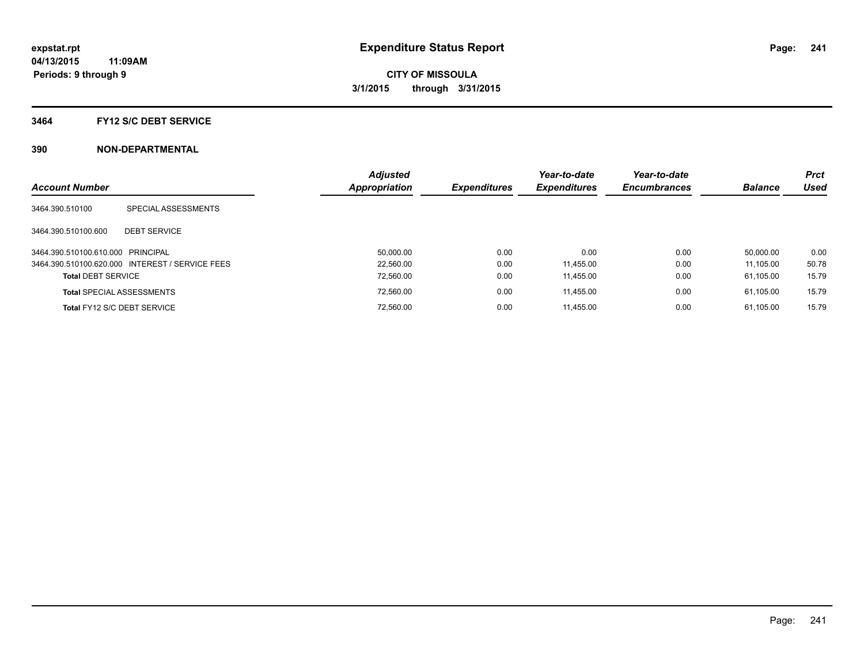#### **3464 FY12 S/C DEBT SERVICE**

|                                   |                                                 | <b>Adjusted</b> |                     | Year-to-date        | Year-to-date        |                | <b>Prct</b> |
|-----------------------------------|-------------------------------------------------|-----------------|---------------------|---------------------|---------------------|----------------|-------------|
| <b>Account Number</b>             |                                                 | Appropriation   | <b>Expenditures</b> | <b>Expenditures</b> | <b>Encumbrances</b> | <b>Balance</b> | Used        |
| 3464.390.510100                   | SPECIAL ASSESSMENTS                             |                 |                     |                     |                     |                |             |
| 3464.390.510100.600               | <b>DEBT SERVICE</b>                             |                 |                     |                     |                     |                |             |
| 3464.390.510100.610.000 PRINCIPAL |                                                 | 50.000.00       | 0.00                | 0.00                | 0.00                | 50.000.00      | 0.00        |
|                                   | 3464.390.510100.620.000 INTEREST / SERVICE FEES | 22.560.00       | 0.00                | 11.455.00           | 0.00                | 11.105.00      | 50.78       |
| <b>Total DEBT SERVICE</b>         |                                                 | 72,560.00       | 0.00                | 11,455.00           | 0.00                | 61.105.00      | 15.79       |
|                                   | <b>Total SPECIAL ASSESSMENTS</b>                | 72,560.00       | 0.00                | 11.455.00           | 0.00                | 61.105.00      | 15.79       |
|                                   | Total FY12 S/C DEBT SERVICE                     | 72.560.00       | 0.00                | 11.455.00           | 0.00                | 61.105.00      | 15.79       |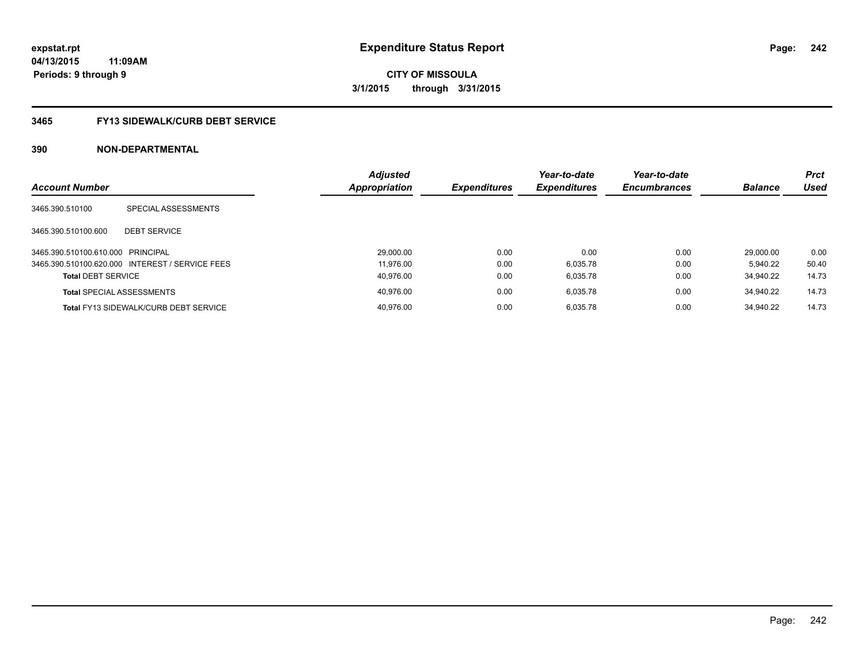# **CITY OF MISSOULA 3/1/2015 through 3/31/2015**

#### **3465 FY13 SIDEWALK/CURB DEBT SERVICE**

| <b>Account Number</b>             |                                                 | <b>Adjusted</b><br><b>Appropriation</b> | <b>Expenditures</b> | Year-to-date<br><b>Expenditures</b> | Year-to-date<br><b>Encumbrances</b> | <b>Balance</b> | <b>Prct</b><br>Used |
|-----------------------------------|-------------------------------------------------|-----------------------------------------|---------------------|-------------------------------------|-------------------------------------|----------------|---------------------|
| 3465.390.510100                   | SPECIAL ASSESSMENTS                             |                                         |                     |                                     |                                     |                |                     |
| 3465.390.510100.600               | <b>DEBT SERVICE</b>                             |                                         |                     |                                     |                                     |                |                     |
| 3465.390.510100.610.000 PRINCIPAL |                                                 | 29,000.00                               | 0.00                | 0.00                                | 0.00                                | 29.000.00      | 0.00                |
|                                   | 3465.390.510100.620.000 INTEREST / SERVICE FEES | 11.976.00                               | 0.00                | 6,035.78                            | 0.00                                | 5.940.22       | 50.40               |
| <b>Total DEBT SERVICE</b>         |                                                 | 40.976.00                               | 0.00                | 6,035.78                            | 0.00                                | 34.940.22      | 14.73               |
| <b>Total SPECIAL ASSESSMENTS</b>  |                                                 | 40.976.00                               | 0.00                | 6.035.78                            | 0.00                                | 34.940.22      | 14.73               |
|                                   | <b>Total FY13 SIDEWALK/CURB DEBT SERVICE</b>    | 40.976.00                               | 0.00                | 6.035.78                            | 0.00                                | 34.940.22      | 14.73               |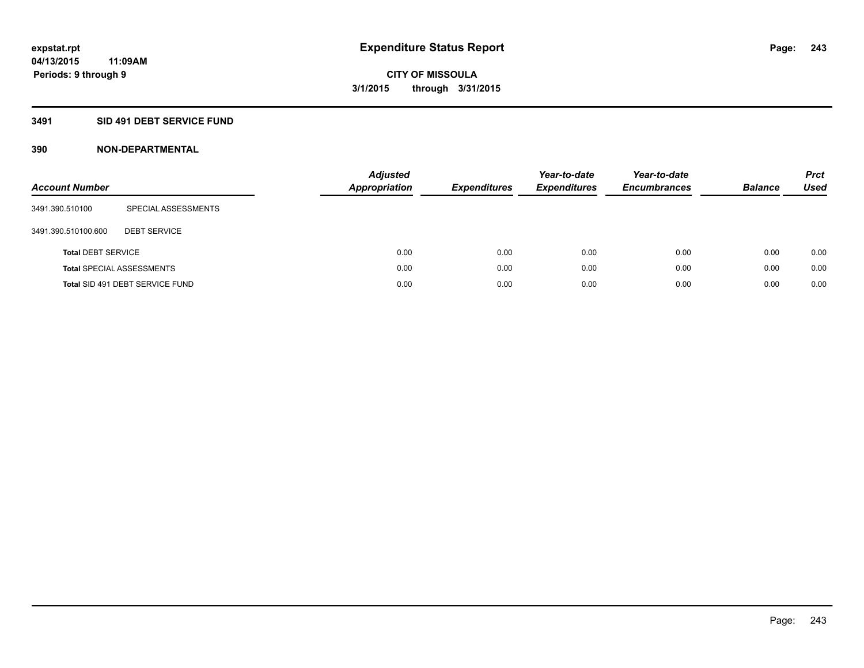## **3491 SID 491 DEBT SERVICE FUND**

| <b>Account Number</b>     |                                  | <b>Adjusted</b><br><b>Appropriation</b> | <b>Expenditures</b> | Year-to-date<br><b>Expenditures</b> | Year-to-date<br><b>Encumbrances</b> | <b>Balance</b> | <b>Prct</b><br>Used |
|---------------------------|----------------------------------|-----------------------------------------|---------------------|-------------------------------------|-------------------------------------|----------------|---------------------|
| 3491.390.510100           | SPECIAL ASSESSMENTS              |                                         |                     |                                     |                                     |                |                     |
| 3491.390.510100.600       | <b>DEBT SERVICE</b>              |                                         |                     |                                     |                                     |                |                     |
| <b>Total DEBT SERVICE</b> |                                  | 0.00                                    | 0.00                | 0.00                                | 0.00                                | 0.00           | 0.00                |
|                           | <b>Total SPECIAL ASSESSMENTS</b> | 0.00                                    | 0.00                | 0.00                                | 0.00                                | 0.00           | 0.00                |
|                           | Total SID 491 DEBT SERVICE FUND  | 0.00                                    | 0.00                | 0.00                                | 0.00                                | 0.00           | 0.00                |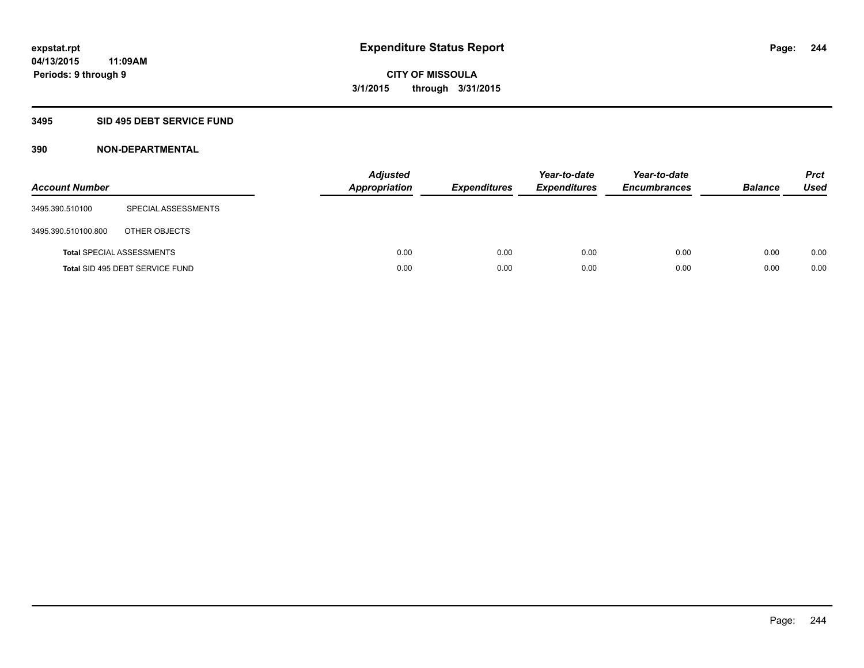## **3495 SID 495 DEBT SERVICE FUND**

| <b>Account Number</b> |                                  | <b>Adjusted</b><br><b>Appropriation</b> | <b>Expenditures</b> | Year-to-date<br><b>Expenditures</b> | Year-to-date<br><b>Encumbrances</b> | <b>Balance</b> | <b>Prct</b><br><b>Used</b> |
|-----------------------|----------------------------------|-----------------------------------------|---------------------|-------------------------------------|-------------------------------------|----------------|----------------------------|
| 3495.390.510100       | SPECIAL ASSESSMENTS              |                                         |                     |                                     |                                     |                |                            |
| 3495.390.510100.800   | OTHER OBJECTS                    |                                         |                     |                                     |                                     |                |                            |
|                       | <b>Total SPECIAL ASSESSMENTS</b> | 0.00                                    | 0.00                | 0.00                                | 0.00                                | 0.00           | 0.00                       |
|                       | Total SID 495 DEBT SERVICE FUND  | 0.00                                    | 0.00                | 0.00                                | 0.00                                | 0.00           | 0.00                       |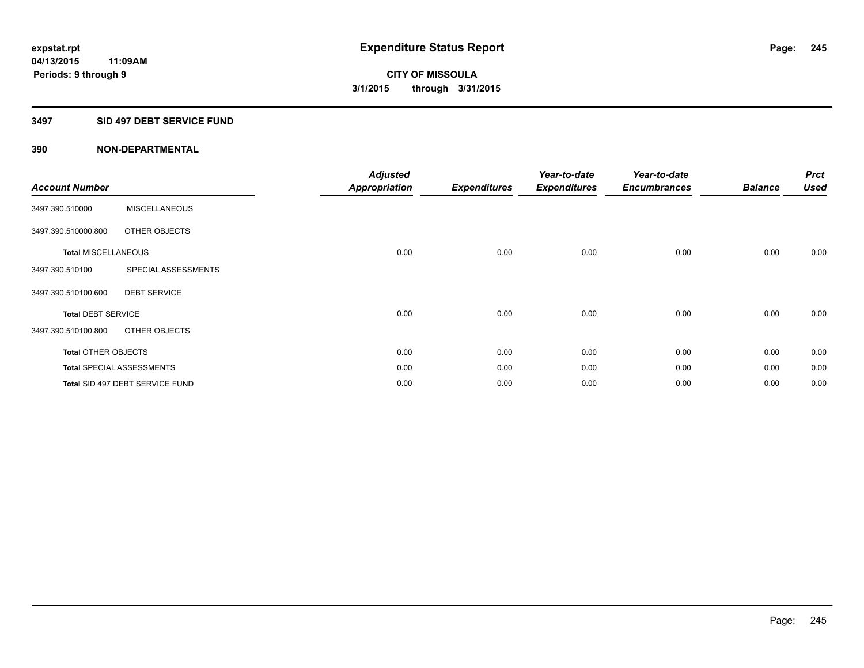#### **3497 SID 497 DEBT SERVICE FUND**

| <b>Account Number</b>      |                                  | <b>Adjusted</b><br><b>Appropriation</b> | <b>Expenditures</b> | Year-to-date<br><b>Expenditures</b> | Year-to-date<br><b>Encumbrances</b> | <b>Balance</b> | <b>Prct</b><br><b>Used</b> |
|----------------------------|----------------------------------|-----------------------------------------|---------------------|-------------------------------------|-------------------------------------|----------------|----------------------------|
| 3497.390.510000            | <b>MISCELLANEOUS</b>             |                                         |                     |                                     |                                     |                |                            |
| 3497.390.510000.800        | OTHER OBJECTS                    |                                         |                     |                                     |                                     |                |                            |
| <b>Total MISCELLANEOUS</b> |                                  | 0.00                                    | 0.00                | 0.00                                | 0.00                                | 0.00           | 0.00                       |
| 3497.390.510100            | SPECIAL ASSESSMENTS              |                                         |                     |                                     |                                     |                |                            |
| 3497.390.510100.600        | <b>DEBT SERVICE</b>              |                                         |                     |                                     |                                     |                |                            |
| <b>Total DEBT SERVICE</b>  |                                  | 0.00                                    | 0.00                | 0.00                                | 0.00                                | 0.00           | 0.00                       |
| 3497.390.510100.800        | OTHER OBJECTS                    |                                         |                     |                                     |                                     |                |                            |
| <b>Total OTHER OBJECTS</b> |                                  | 0.00                                    | 0.00                | 0.00                                | 0.00                                | 0.00           | 0.00                       |
|                            | <b>Total SPECIAL ASSESSMENTS</b> | 0.00                                    | 0.00                | 0.00                                | 0.00                                | 0.00           | 0.00                       |
|                            | Total SID 497 DEBT SERVICE FUND  | 0.00                                    | 0.00                | 0.00                                | 0.00                                | 0.00           | 0.00                       |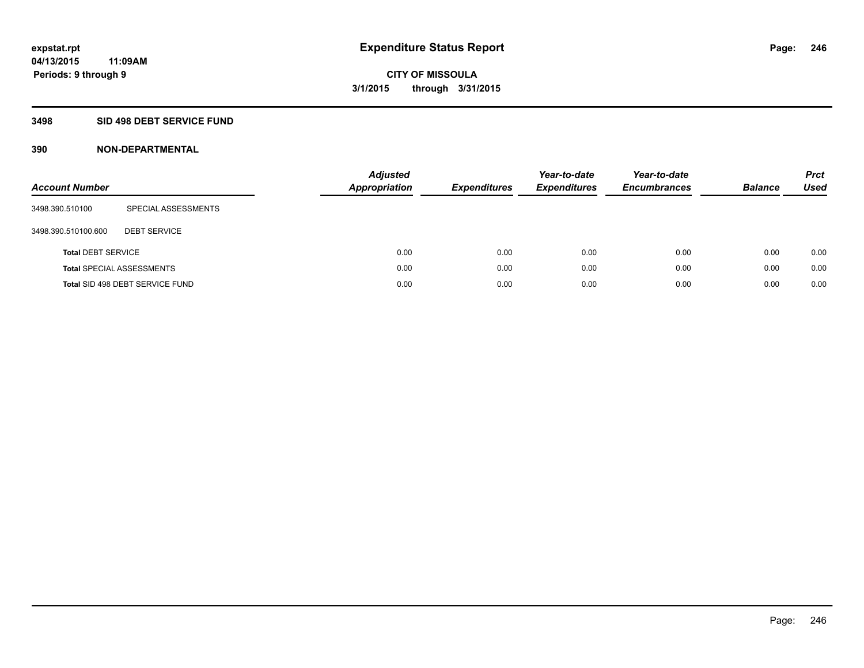#### **3498 SID 498 DEBT SERVICE FUND**

| <b>Account Number</b>     |                                  | <b>Adjusted</b><br><b>Appropriation</b> | <b>Expenditures</b> | Year-to-date<br><b>Expenditures</b> | Year-to-date<br><b>Encumbrances</b> | <b>Balance</b> | <b>Prct</b><br><b>Used</b> |
|---------------------------|----------------------------------|-----------------------------------------|---------------------|-------------------------------------|-------------------------------------|----------------|----------------------------|
| 3498.390.510100           | SPECIAL ASSESSMENTS              |                                         |                     |                                     |                                     |                |                            |
| 3498.390.510100.600       | <b>DEBT SERVICE</b>              |                                         |                     |                                     |                                     |                |                            |
| <b>Total DEBT SERVICE</b> |                                  | 0.00                                    | 0.00                | 0.00                                | 0.00                                | 0.00           | 0.00                       |
|                           | <b>Total SPECIAL ASSESSMENTS</b> | 0.00                                    | 0.00                | 0.00                                | 0.00                                | 0.00           | 0.00                       |
|                           | Total SID 498 DEBT SERVICE FUND  | 0.00                                    | 0.00                | 0.00                                | 0.00                                | 0.00           | 0.00                       |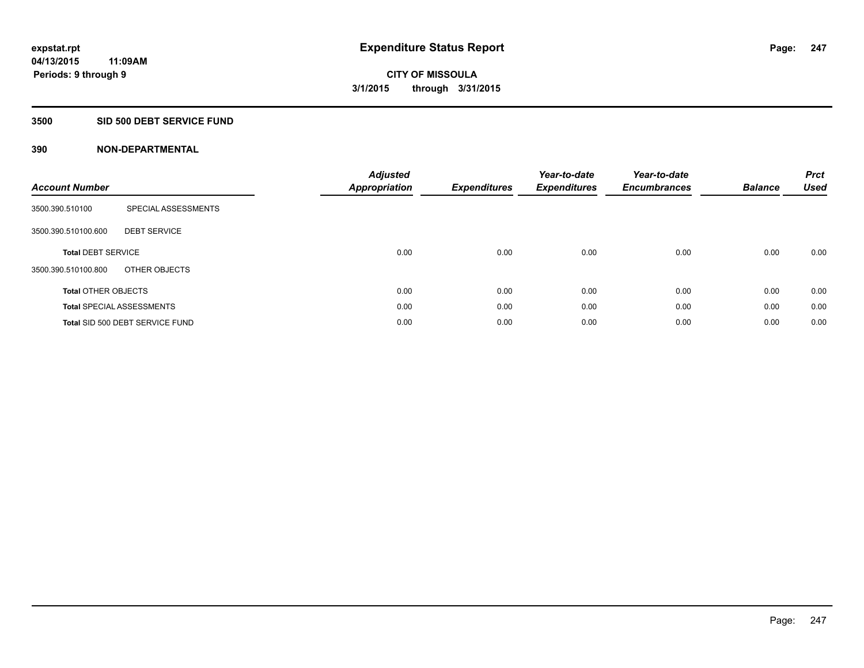#### **3500 SID 500 DEBT SERVICE FUND**

| <b>Account Number</b>      |                                  | <b>Adjusted</b><br>Appropriation | <b>Expenditures</b> | Year-to-date<br><b>Expenditures</b> | Year-to-date<br><b>Encumbrances</b> | <b>Balance</b> | <b>Prct</b><br><b>Used</b> |
|----------------------------|----------------------------------|----------------------------------|---------------------|-------------------------------------|-------------------------------------|----------------|----------------------------|
| 3500.390.510100            | SPECIAL ASSESSMENTS              |                                  |                     |                                     |                                     |                |                            |
| 3500.390.510100.600        | <b>DEBT SERVICE</b>              |                                  |                     |                                     |                                     |                |                            |
| <b>Total DEBT SERVICE</b>  |                                  | 0.00                             | 0.00                | 0.00                                | 0.00                                | 0.00           | 0.00                       |
| 3500.390.510100.800        | OTHER OBJECTS                    |                                  |                     |                                     |                                     |                |                            |
| <b>Total OTHER OBJECTS</b> |                                  | 0.00                             | 0.00                | 0.00                                | 0.00                                | 0.00           | 0.00                       |
|                            | <b>Total SPECIAL ASSESSMENTS</b> | 0.00                             | 0.00                | 0.00                                | 0.00                                | 0.00           | 0.00                       |
|                            | Total SID 500 DEBT SERVICE FUND  | 0.00                             | 0.00                | 0.00                                | 0.00                                | 0.00           | 0.00                       |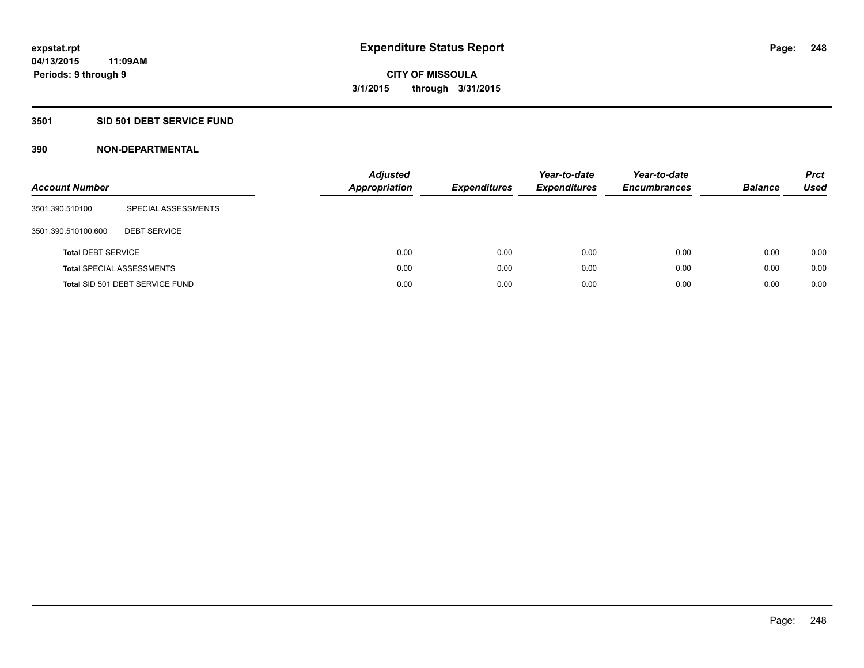## **3501 SID 501 DEBT SERVICE FUND**

| <b>Account Number</b>     |                                  | Adjusted<br><b>Appropriation</b> | <b>Expenditures</b> | Year-to-date<br><b>Expenditures</b> | Year-to-date<br><b>Encumbrances</b> | <b>Balance</b> | <b>Prct</b><br>Used |
|---------------------------|----------------------------------|----------------------------------|---------------------|-------------------------------------|-------------------------------------|----------------|---------------------|
| 3501.390.510100           | SPECIAL ASSESSMENTS              |                                  |                     |                                     |                                     |                |                     |
| 3501.390.510100.600       | <b>DEBT SERVICE</b>              |                                  |                     |                                     |                                     |                |                     |
| <b>Total DEBT SERVICE</b> |                                  | 0.00                             | 0.00                | 0.00                                | 0.00                                | 0.00           | 0.00                |
|                           | <b>Total SPECIAL ASSESSMENTS</b> | 0.00                             | 0.00                | 0.00                                | 0.00                                | 0.00           | 0.00                |
|                           | Total SID 501 DEBT SERVICE FUND  | 0.00                             | 0.00                | 0.00                                | 0.00                                | 0.00           | 0.00                |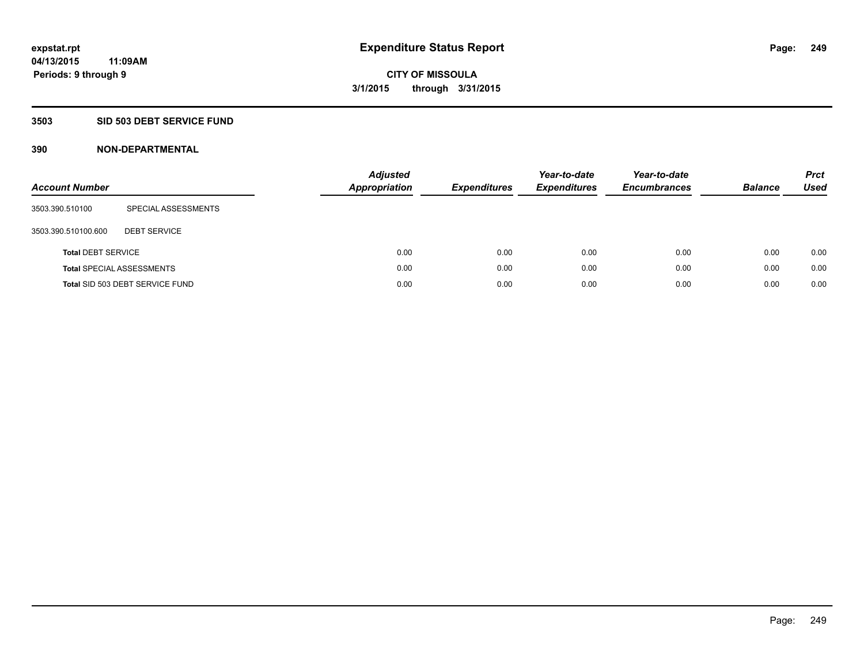## **3503 SID 503 DEBT SERVICE FUND**

| <b>Account Number</b>     |                                  | <b>Adjusted</b><br><b>Appropriation</b> | <b>Expenditures</b> | Year-to-date<br><b>Expenditures</b> | Year-to-date<br><b>Encumbrances</b> | <b>Balance</b> | <b>Prct</b><br><b>Used</b> |
|---------------------------|----------------------------------|-----------------------------------------|---------------------|-------------------------------------|-------------------------------------|----------------|----------------------------|
| 3503.390.510100           | SPECIAL ASSESSMENTS              |                                         |                     |                                     |                                     |                |                            |
| 3503.390.510100.600       | <b>DEBT SERVICE</b>              |                                         |                     |                                     |                                     |                |                            |
| <b>Total DEBT SERVICE</b> |                                  | 0.00                                    | 0.00                | 0.00                                | 0.00                                | 0.00           | 0.00                       |
|                           | <b>Total SPECIAL ASSESSMENTS</b> | 0.00                                    | 0.00                | 0.00                                | 0.00                                | 0.00           | 0.00                       |
|                           | Total SID 503 DEBT SERVICE FUND  | 0.00                                    | 0.00                | 0.00                                | 0.00                                | 0.00           | 0.00                       |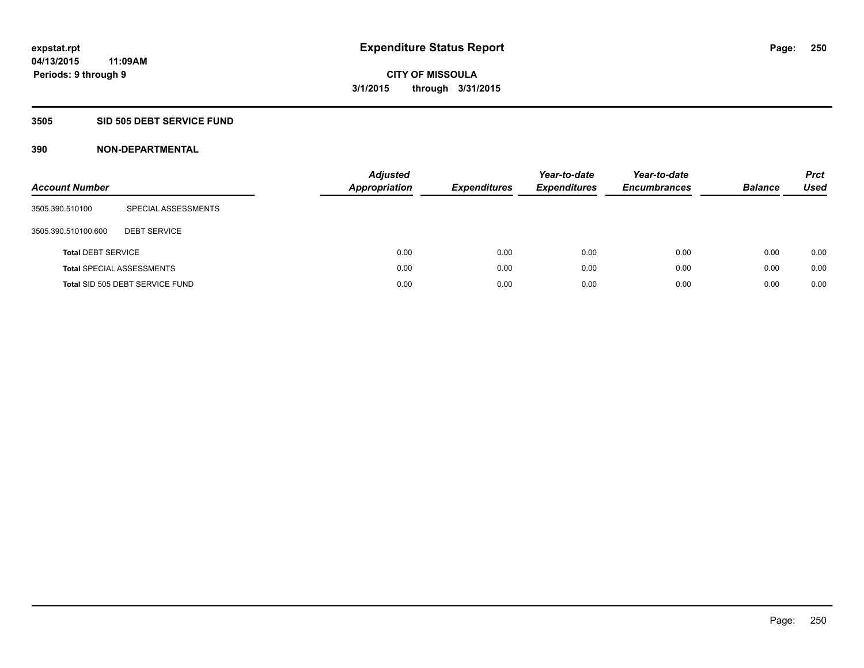#### **3505 SID 505 DEBT SERVICE FUND**

| <b>Account Number</b>     |                                  | <b>Adjusted</b><br><b>Appropriation</b> | <b>Expenditures</b> | Year-to-date<br><b>Expenditures</b> | Year-to-date<br><b>Encumbrances</b> | <b>Balance</b> | <b>Prct</b><br><b>Used</b> |
|---------------------------|----------------------------------|-----------------------------------------|---------------------|-------------------------------------|-------------------------------------|----------------|----------------------------|
| 3505.390.510100           | SPECIAL ASSESSMENTS              |                                         |                     |                                     |                                     |                |                            |
| 3505.390.510100.600       | <b>DEBT SERVICE</b>              |                                         |                     |                                     |                                     |                |                            |
| <b>Total DEBT SERVICE</b> |                                  | 0.00                                    | 0.00                | 0.00                                | 0.00                                | 0.00           | 0.00                       |
|                           | <b>Total SPECIAL ASSESSMENTS</b> | 0.00                                    | 0.00                | 0.00                                | 0.00                                | 0.00           | 0.00                       |
|                           | Total SID 505 DEBT SERVICE FUND  | 0.00                                    | 0.00                | 0.00                                | 0.00                                | 0.00           | 0.00                       |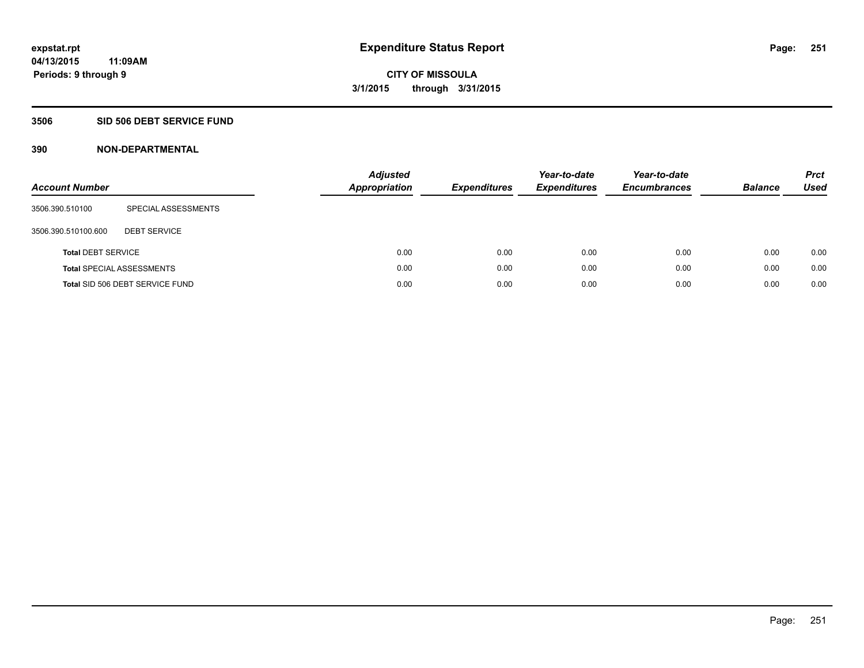## **3506 SID 506 DEBT SERVICE FUND**

| <b>Account Number</b>     |                                  | <b>Adjusted</b><br><b>Appropriation</b> | <b>Expenditures</b> | Year-to-date<br><b>Expenditures</b> | Year-to-date<br><b>Encumbrances</b> | <b>Balance</b> | <b>Prct</b><br>Used |
|---------------------------|----------------------------------|-----------------------------------------|---------------------|-------------------------------------|-------------------------------------|----------------|---------------------|
| 3506.390.510100           | SPECIAL ASSESSMENTS              |                                         |                     |                                     |                                     |                |                     |
| 3506.390.510100.600       | <b>DEBT SERVICE</b>              |                                         |                     |                                     |                                     |                |                     |
| <b>Total DEBT SERVICE</b> |                                  | 0.00                                    | 0.00                | 0.00                                | 0.00                                | 0.00           | 0.00                |
|                           | <b>Total SPECIAL ASSESSMENTS</b> | 0.00                                    | 0.00                | 0.00                                | 0.00                                | 0.00           | 0.00                |
|                           | Total SID 506 DEBT SERVICE FUND  | 0.00                                    | 0.00                | 0.00                                | 0.00                                | 0.00           | 0.00                |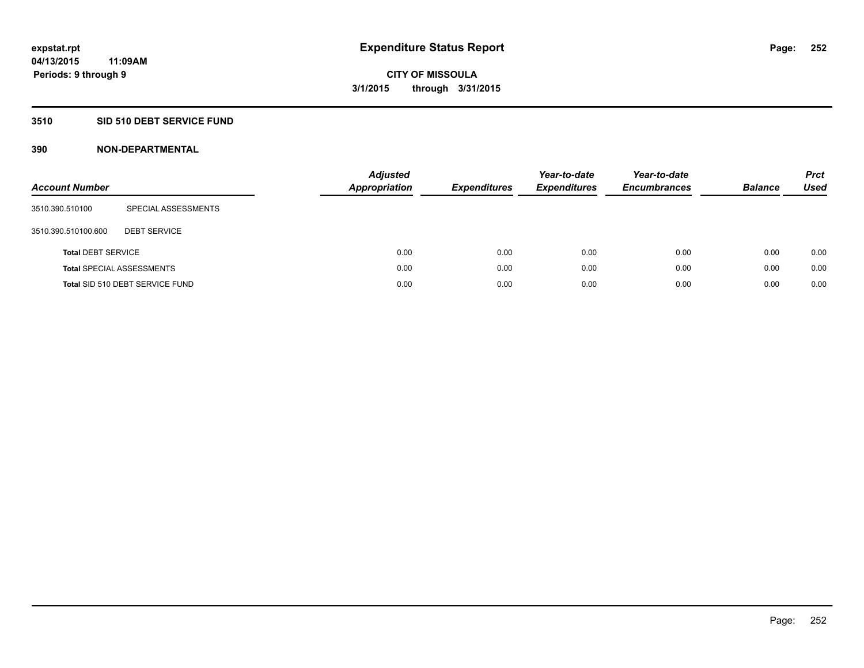## **3510 SID 510 DEBT SERVICE FUND**

| <b>Account Number</b>     |                                  | <b>Adjusted</b><br><b>Appropriation</b> | <b>Expenditures</b> | Year-to-date<br><b>Expenditures</b> | Year-to-date<br><b>Encumbrances</b> | <b>Balance</b> | <b>Prct</b><br>Used |
|---------------------------|----------------------------------|-----------------------------------------|---------------------|-------------------------------------|-------------------------------------|----------------|---------------------|
| 3510.390.510100           | SPECIAL ASSESSMENTS              |                                         |                     |                                     |                                     |                |                     |
| 3510.390.510100.600       | <b>DEBT SERVICE</b>              |                                         |                     |                                     |                                     |                |                     |
| <b>Total DEBT SERVICE</b> |                                  | 0.00                                    | 0.00                | 0.00                                | 0.00                                | 0.00           | 0.00                |
|                           | <b>Total SPECIAL ASSESSMENTS</b> | 0.00                                    | 0.00                | 0.00                                | 0.00                                | 0.00           | 0.00                |
|                           | Total SID 510 DEBT SERVICE FUND  | 0.00                                    | 0.00                | 0.00                                | 0.00                                | 0.00           | 0.00                |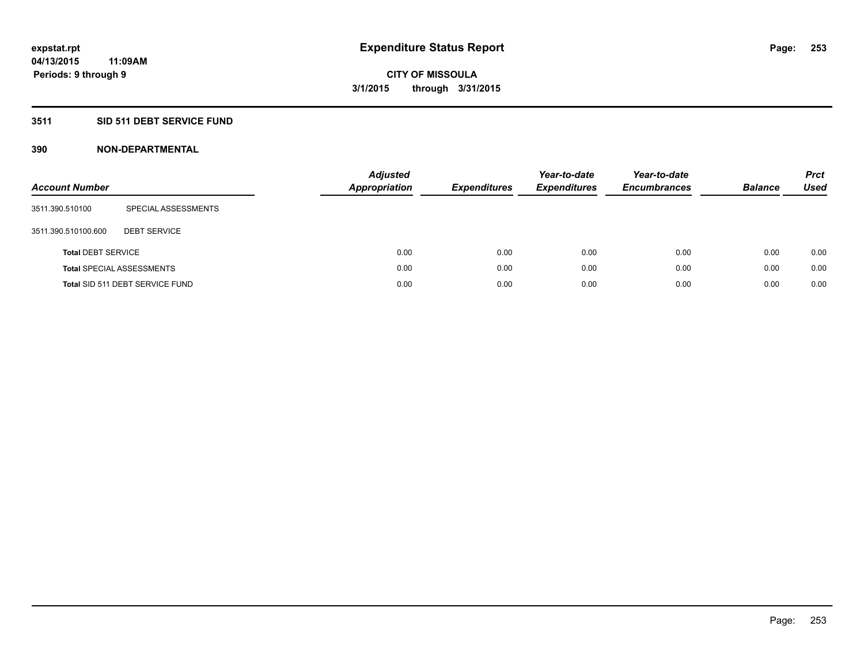# **3511 SID 511 DEBT SERVICE FUND**

| <b>Account Number</b>     |                                  | <b>Adjusted</b><br><b>Appropriation</b> | <b>Expenditures</b> | Year-to-date<br><b>Expenditures</b> | Year-to-date<br><b>Encumbrances</b> | <b>Balance</b> | <b>Prct</b><br>Used |
|---------------------------|----------------------------------|-----------------------------------------|---------------------|-------------------------------------|-------------------------------------|----------------|---------------------|
| 3511.390.510100           | SPECIAL ASSESSMENTS              |                                         |                     |                                     |                                     |                |                     |
| 3511.390.510100.600       | <b>DEBT SERVICE</b>              |                                         |                     |                                     |                                     |                |                     |
| <b>Total DEBT SERVICE</b> |                                  | 0.00                                    | 0.00                | 0.00                                | 0.00                                | 0.00           | 0.00                |
|                           | <b>Total SPECIAL ASSESSMENTS</b> | 0.00                                    | 0.00                | 0.00                                | 0.00                                | 0.00           | 0.00                |
|                           | Total SID 511 DEBT SERVICE FUND  | 0.00                                    | 0.00                | 0.00                                | 0.00                                | 0.00           | 0.00                |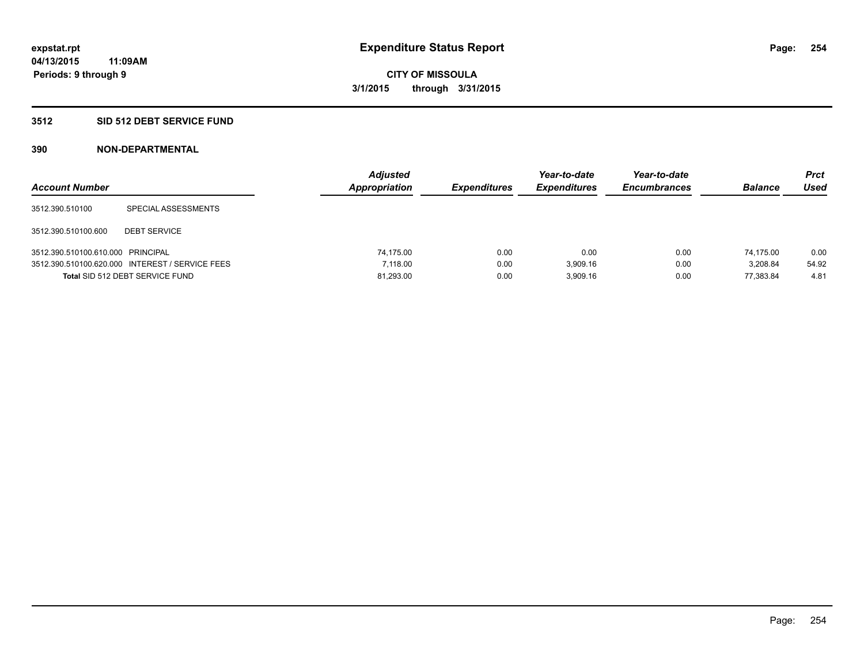# **3512 SID 512 DEBT SERVICE FUND**

| <b>Account Number</b>             |                                                 | <b>Adjusted</b><br>Appropriation | <b>Expenditures</b> | Year-to-date<br><b>Expenditures</b> | Year-to-date<br><b>Encumbrances</b> | <b>Balance</b> | Prct<br><b>Used</b> |
|-----------------------------------|-------------------------------------------------|----------------------------------|---------------------|-------------------------------------|-------------------------------------|----------------|---------------------|
| 3512.390.510100                   | SPECIAL ASSESSMENTS                             |                                  |                     |                                     |                                     |                |                     |
| 3512.390.510100.600               | <b>DEBT SERVICE</b>                             |                                  |                     |                                     |                                     |                |                     |
| 3512.390.510100.610.000 PRINCIPAL |                                                 | 74.175.00                        | 0.00                | 0.00                                | 0.00                                | 74.175.00      | 0.00                |
|                                   | 3512.390.510100.620.000 INTEREST / SERVICE FEES | 7.118.00                         | 0.00                | 3.909.16                            | 0.00                                | 3.208.84       | 54.92               |
|                                   | Total SID 512 DEBT SERVICE FUND                 | 81,293.00                        | 0.00                | 3.909.16                            | 0.00                                | 77.383.84      | 4.81                |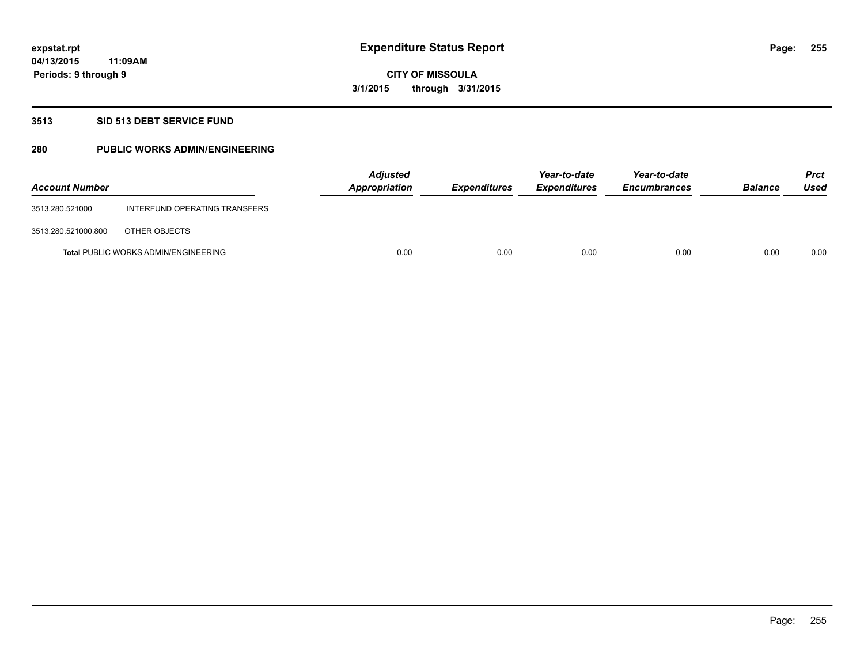## **3513 SID 513 DEBT SERVICE FUND**

# **280 PUBLIC WORKS ADMIN/ENGINEERING**

| <b>Account Number</b> |                                             | <b>Adjusted</b><br>Appropriation | <b>Expenditures</b> | Year-to-date<br><b>Expenditures</b> | Year-to-date<br><b>Encumbrances</b> | <b>Balance</b> | <b>Prct</b><br>Used |
|-----------------------|---------------------------------------------|----------------------------------|---------------------|-------------------------------------|-------------------------------------|----------------|---------------------|
| 3513.280.521000       | INTERFUND OPERATING TRANSFERS               |                                  |                     |                                     |                                     |                |                     |
| 3513.280.521000.800   | OTHER OBJECTS                               |                                  |                     |                                     |                                     |                |                     |
|                       | <b>Total PUBLIC WORKS ADMIN/ENGINEERING</b> | 0.00                             | 0.00                | 0.00                                | 0.00                                | 0.00           | 0.00                |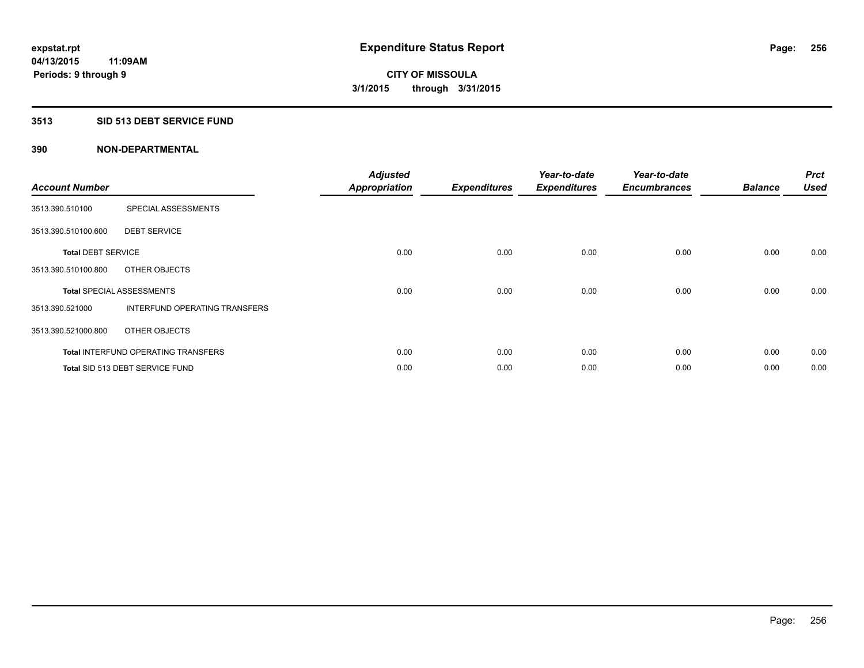## **3513 SID 513 DEBT SERVICE FUND**

| <b>Account Number</b>     |                                            | <b>Adjusted</b><br><b>Appropriation</b> | <b>Expenditures</b> | Year-to-date<br><b>Expenditures</b> | Year-to-date<br><b>Encumbrances</b> | <b>Balance</b> | <b>Prct</b><br><b>Used</b> |
|---------------------------|--------------------------------------------|-----------------------------------------|---------------------|-------------------------------------|-------------------------------------|----------------|----------------------------|
| 3513.390.510100           | SPECIAL ASSESSMENTS                        |                                         |                     |                                     |                                     |                |                            |
| 3513.390.510100.600       | <b>DEBT SERVICE</b>                        |                                         |                     |                                     |                                     |                |                            |
| <b>Total DEBT SERVICE</b> |                                            | 0.00                                    | 0.00                | 0.00                                | 0.00                                | 0.00           | 0.00                       |
| 3513.390.510100.800       | OTHER OBJECTS                              |                                         |                     |                                     |                                     |                |                            |
|                           | <b>Total SPECIAL ASSESSMENTS</b>           | 0.00                                    | 0.00                | 0.00                                | 0.00                                | 0.00           | 0.00                       |
| 3513.390.521000           | INTERFUND OPERATING TRANSFERS              |                                         |                     |                                     |                                     |                |                            |
| 3513.390.521000.800       | OTHER OBJECTS                              |                                         |                     |                                     |                                     |                |                            |
|                           | <b>Total INTERFUND OPERATING TRANSFERS</b> | 0.00                                    | 0.00                | 0.00                                | 0.00                                | 0.00           | 0.00                       |
|                           | Total SID 513 DEBT SERVICE FUND            | 0.00                                    | 0.00                | 0.00                                | 0.00                                | 0.00           | 0.00                       |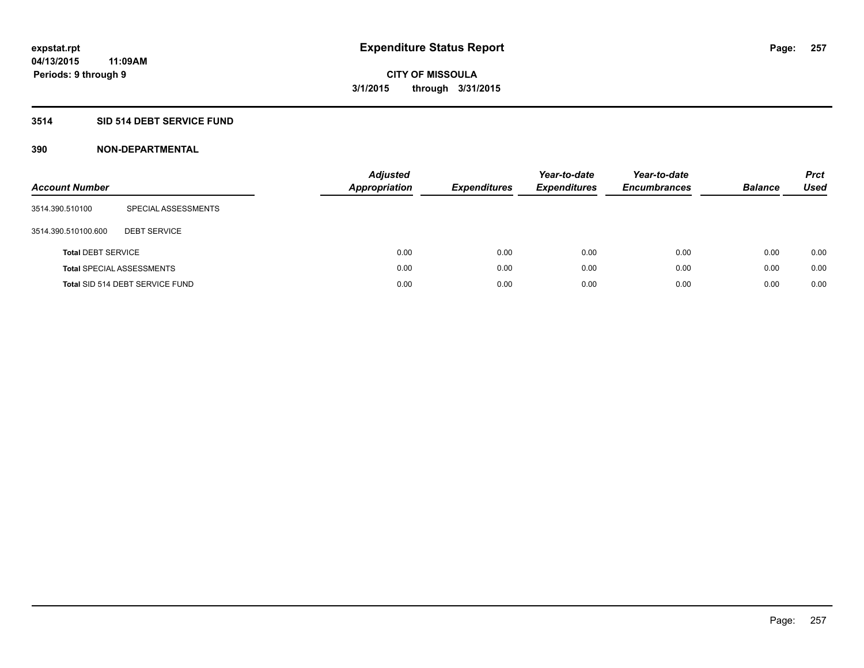# **3514 SID 514 DEBT SERVICE FUND**

| <b>Account Number</b>     |                                  | <b>Adjusted</b><br><b>Appropriation</b> | <b>Expenditures</b> | Year-to-date<br><b>Expenditures</b> | Year-to-date<br><b>Encumbrances</b> | <b>Balance</b> | <b>Prct</b><br>Used |
|---------------------------|----------------------------------|-----------------------------------------|---------------------|-------------------------------------|-------------------------------------|----------------|---------------------|
| 3514.390.510100           | SPECIAL ASSESSMENTS              |                                         |                     |                                     |                                     |                |                     |
| 3514.390.510100.600       | <b>DEBT SERVICE</b>              |                                         |                     |                                     |                                     |                |                     |
| <b>Total DEBT SERVICE</b> |                                  |                                         | 0.00<br>0.00        | 0.00                                | 0.00                                | 0.00           | 0.00                |
|                           | <b>Total SPECIAL ASSESSMENTS</b> |                                         | 0.00<br>0.00        | 0.00                                | 0.00                                | 0.00           | 0.00                |
|                           | Total SID 514 DEBT SERVICE FUND  |                                         | 0.00<br>0.00        | 0.00                                | 0.00                                | 0.00           | 0.00                |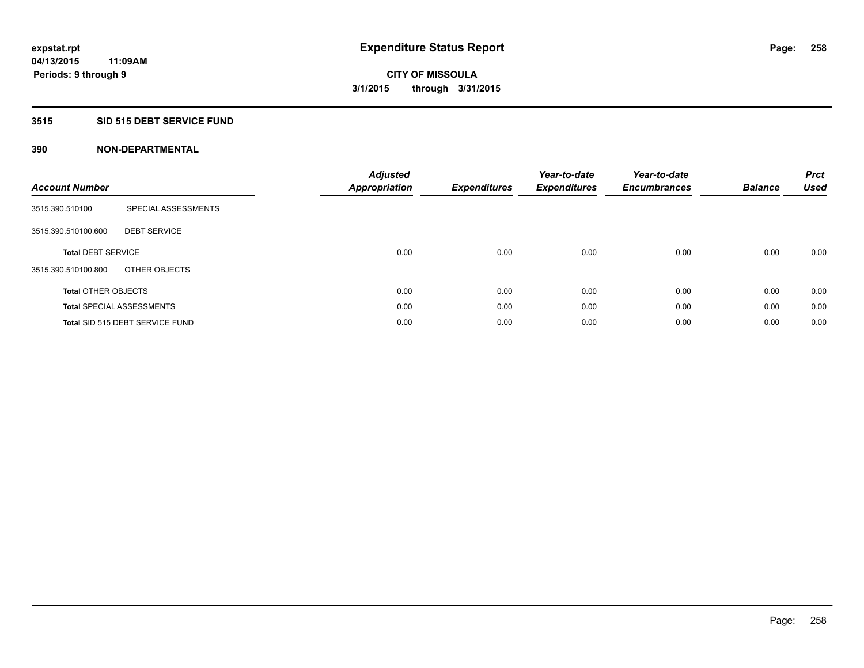## **3515 SID 515 DEBT SERVICE FUND**

| <b>Account Number</b>      |                                  | <b>Adjusted</b><br><b>Appropriation</b> | <b>Expenditures</b> | Year-to-date<br><b>Expenditures</b> | Year-to-date<br><b>Encumbrances</b> | <b>Balance</b> | <b>Prct</b><br><b>Used</b> |
|----------------------------|----------------------------------|-----------------------------------------|---------------------|-------------------------------------|-------------------------------------|----------------|----------------------------|
| 3515.390.510100            | SPECIAL ASSESSMENTS              |                                         |                     |                                     |                                     |                |                            |
| 3515.390.510100.600        | <b>DEBT SERVICE</b>              |                                         |                     |                                     |                                     |                |                            |
| <b>Total DEBT SERVICE</b>  |                                  | 0.00                                    | 0.00                | 0.00                                | 0.00                                | 0.00           | 0.00                       |
| 3515.390.510100.800        | OTHER OBJECTS                    |                                         |                     |                                     |                                     |                |                            |
| <b>Total OTHER OBJECTS</b> |                                  | 0.00                                    | 0.00                | 0.00                                | 0.00                                | 0.00           | 0.00                       |
|                            | <b>Total SPECIAL ASSESSMENTS</b> | 0.00                                    | 0.00                | 0.00                                | 0.00                                | 0.00           | 0.00                       |
|                            | Total SID 515 DEBT SERVICE FUND  | 0.00                                    | 0.00                | 0.00                                | 0.00                                | 0.00           | 0.00                       |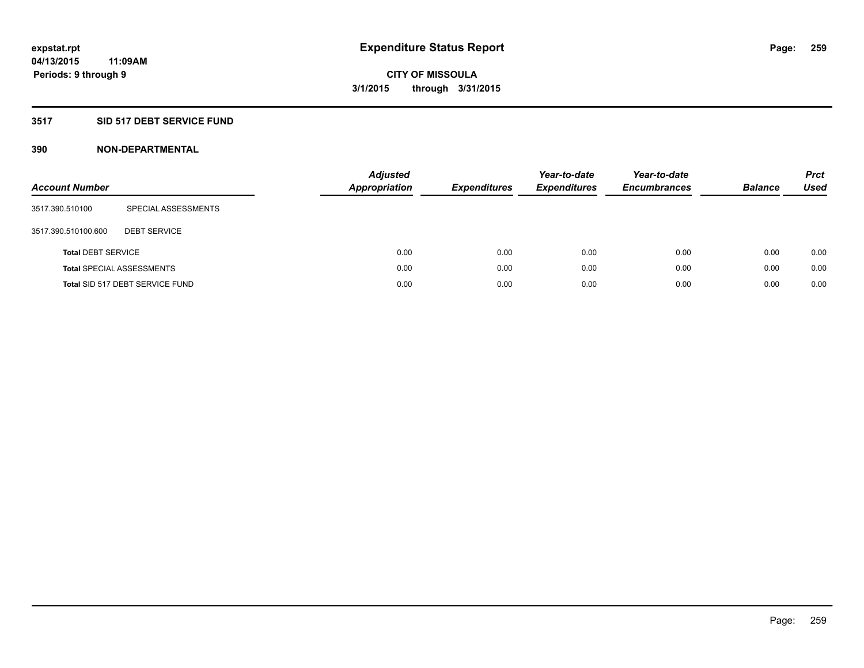# **3517 SID 517 DEBT SERVICE FUND**

| <b>Account Number</b>     |                                  | <b>Adjusted</b><br><b>Appropriation</b> | <b>Expenditures</b> | Year-to-date<br><b>Expenditures</b> | Year-to-date<br><b>Encumbrances</b> | <b>Balance</b> | <b>Prct</b><br>Used |
|---------------------------|----------------------------------|-----------------------------------------|---------------------|-------------------------------------|-------------------------------------|----------------|---------------------|
| 3517.390.510100           | SPECIAL ASSESSMENTS              |                                         |                     |                                     |                                     |                |                     |
| 3517.390.510100.600       | <b>DEBT SERVICE</b>              |                                         |                     |                                     |                                     |                |                     |
| <b>Total DEBT SERVICE</b> |                                  | 0.00                                    | 0.00                | 0.00                                | 0.00                                | 0.00           | 0.00                |
|                           | <b>Total SPECIAL ASSESSMENTS</b> | 0.00                                    | 0.00                | 0.00                                | 0.00                                | 0.00           | 0.00                |
|                           | Total SID 517 DEBT SERVICE FUND  | 0.00                                    | 0.00                | 0.00                                | 0.00                                | 0.00           | 0.00                |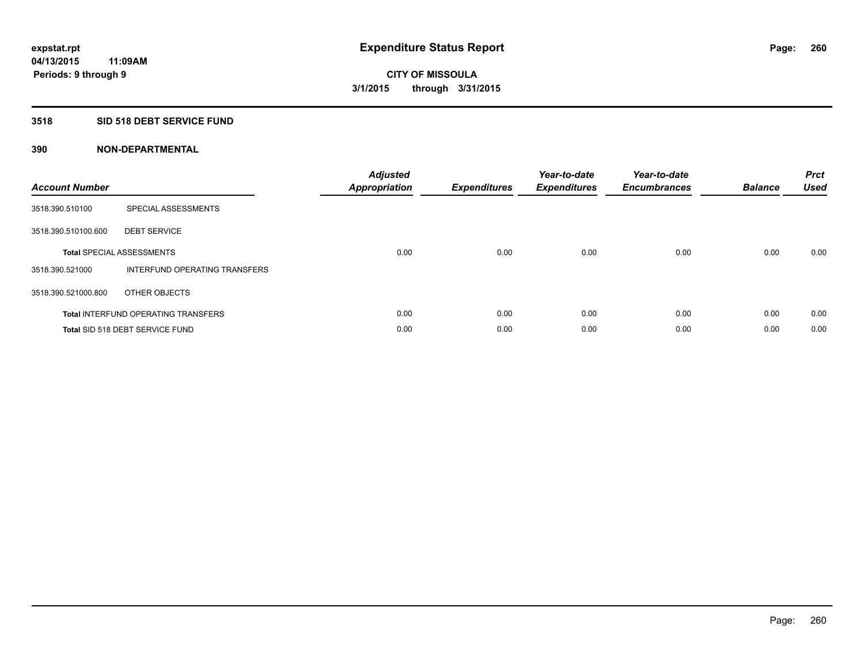## **3518 SID 518 DEBT SERVICE FUND**

| <b>Account Number</b> |                                            | <b>Adjusted</b><br><b>Appropriation</b> | <b>Expenditures</b> | Year-to-date<br><b>Expenditures</b> | Year-to-date<br><b>Encumbrances</b> | <b>Balance</b> | <b>Prct</b><br><b>Used</b> |
|-----------------------|--------------------------------------------|-----------------------------------------|---------------------|-------------------------------------|-------------------------------------|----------------|----------------------------|
| 3518.390.510100       | SPECIAL ASSESSMENTS                        |                                         |                     |                                     |                                     |                |                            |
| 3518.390.510100.600   | <b>DEBT SERVICE</b>                        |                                         |                     |                                     |                                     |                |                            |
|                       | <b>Total SPECIAL ASSESSMENTS</b>           | 0.00                                    | 0.00                | 0.00                                | 0.00                                | 0.00           | 0.00                       |
| 3518.390.521000       | INTERFUND OPERATING TRANSFERS              |                                         |                     |                                     |                                     |                |                            |
| 3518.390.521000.800   | OTHER OBJECTS                              |                                         |                     |                                     |                                     |                |                            |
|                       | <b>Total INTERFUND OPERATING TRANSFERS</b> | 0.00                                    | 0.00                | 0.00                                | 0.00                                | 0.00           | 0.00                       |
|                       | Total SID 518 DEBT SERVICE FUND            | 0.00                                    | 0.00                | 0.00                                | 0.00                                | 0.00           | 0.00                       |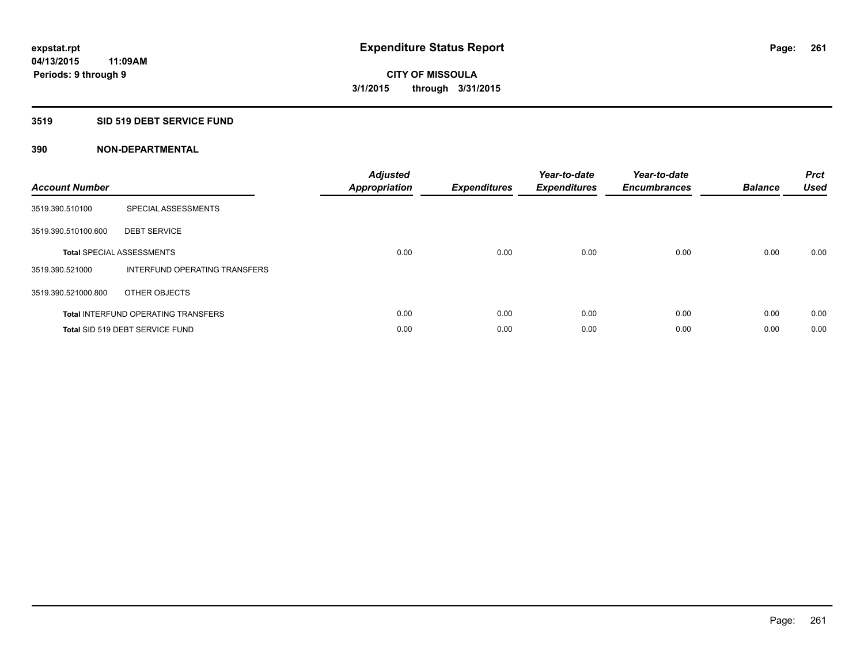### **3519 SID 519 DEBT SERVICE FUND**

| <b>Account Number</b> |                                            | <b>Adjusted</b><br><b>Appropriation</b> | <b>Expenditures</b> | Year-to-date<br><b>Expenditures</b> | Year-to-date<br><b>Encumbrances</b> | <b>Balance</b> | <b>Prct</b><br><b>Used</b> |
|-----------------------|--------------------------------------------|-----------------------------------------|---------------------|-------------------------------------|-------------------------------------|----------------|----------------------------|
| 3519.390.510100       | SPECIAL ASSESSMENTS                        |                                         |                     |                                     |                                     |                |                            |
| 3519.390.510100.600   | <b>DEBT SERVICE</b>                        |                                         |                     |                                     |                                     |                |                            |
|                       | <b>Total SPECIAL ASSESSMENTS</b>           | 0.00                                    | 0.00                | 0.00                                | 0.00                                | 0.00           | 0.00                       |
| 3519.390.521000       | INTERFUND OPERATING TRANSFERS              |                                         |                     |                                     |                                     |                |                            |
| 3519.390.521000.800   | OTHER OBJECTS                              |                                         |                     |                                     |                                     |                |                            |
|                       | <b>Total INTERFUND OPERATING TRANSFERS</b> | 0.00                                    | 0.00                | 0.00                                | 0.00                                | 0.00           | 0.00                       |
|                       | Total SID 519 DEBT SERVICE FUND            | 0.00                                    | 0.00                | 0.00                                | 0.00                                | 0.00           | 0.00                       |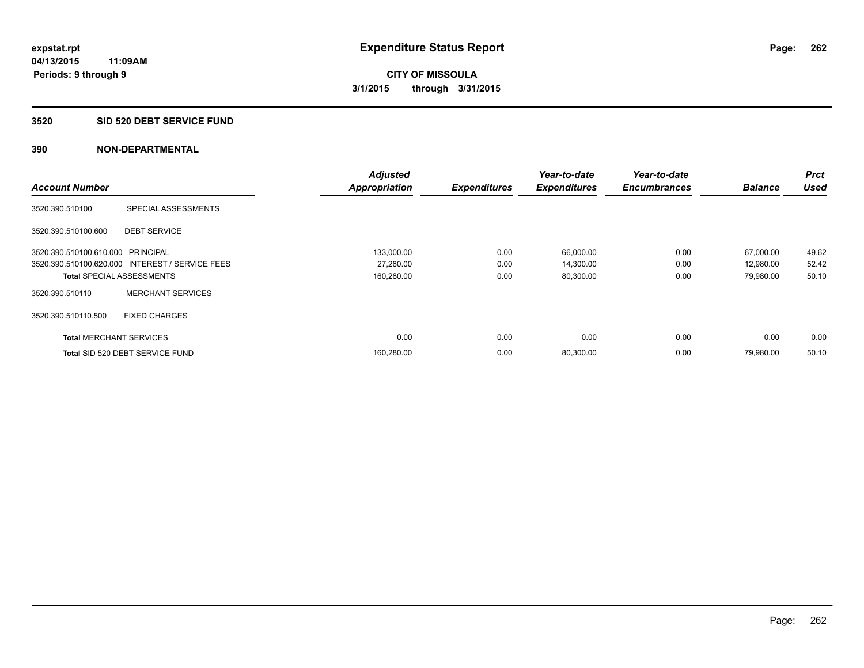## **3520 SID 520 DEBT SERVICE FUND**

|                                   |                                                 | <b>Adjusted</b>      |                     | Year-to-date        | Year-to-date        |                | Prct        |
|-----------------------------------|-------------------------------------------------|----------------------|---------------------|---------------------|---------------------|----------------|-------------|
| <b>Account Number</b>             |                                                 | <b>Appropriation</b> | <b>Expenditures</b> | <b>Expenditures</b> | <b>Encumbrances</b> | <b>Balance</b> | <b>Used</b> |
| 3520.390.510100                   | SPECIAL ASSESSMENTS                             |                      |                     |                     |                     |                |             |
| 3520.390.510100.600               | <b>DEBT SERVICE</b>                             |                      |                     |                     |                     |                |             |
| 3520.390.510100.610.000 PRINCIPAL |                                                 | 133,000.00           | 0.00                | 66,000.00           | 0.00                | 67,000.00      | 49.62       |
|                                   | 3520.390.510100.620.000 INTEREST / SERVICE FEES | 27,280.00            | 0.00                | 14,300.00           | 0.00                | 12,980.00      | 52.42       |
| <b>Total SPECIAL ASSESSMENTS</b>  |                                                 | 160,280.00           | 0.00                | 80,300.00           | 0.00                | 79,980.00      | 50.10       |
| 3520.390.510110                   | <b>MERCHANT SERVICES</b>                        |                      |                     |                     |                     |                |             |
| 3520.390.510110.500               | <b>FIXED CHARGES</b>                            |                      |                     |                     |                     |                |             |
| <b>Total MERCHANT SERVICES</b>    |                                                 | 0.00                 | 0.00                | 0.00                | 0.00                | 0.00           | 0.00        |
|                                   | Total SID 520 DEBT SERVICE FUND                 | 160,280.00           | 0.00                | 80,300.00           | 0.00                | 79,980.00      | 50.10       |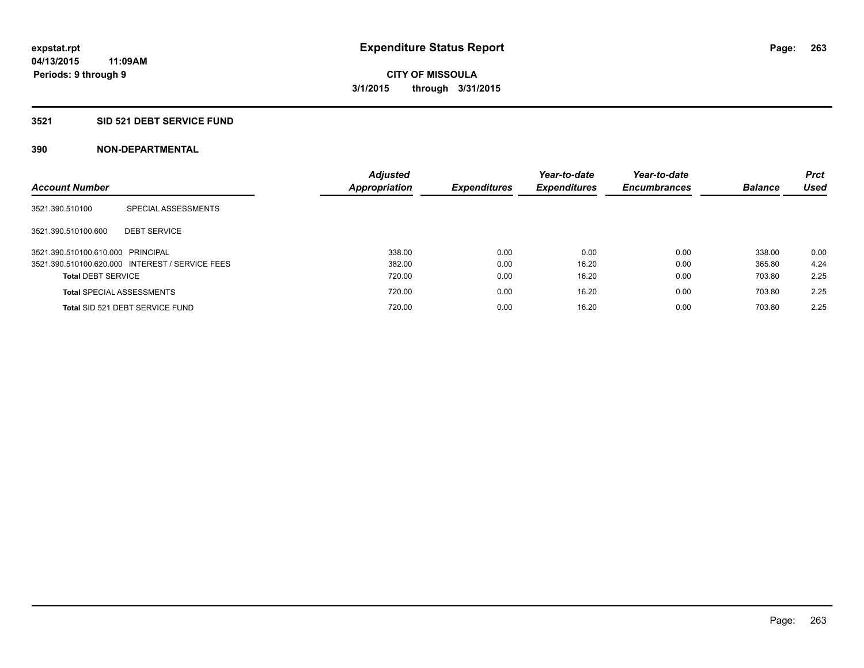# **3521 SID 521 DEBT SERVICE FUND**

| <b>Account Number</b>             |                                                 | <b>Adjusted</b><br>Appropriation | <b>Expenditures</b> | Year-to-date<br><b>Expenditures</b> | Year-to-date<br><b>Encumbrances</b> | <b>Balance</b> | <b>Prct</b><br><b>Used</b> |
|-----------------------------------|-------------------------------------------------|----------------------------------|---------------------|-------------------------------------|-------------------------------------|----------------|----------------------------|
| 3521.390.510100                   | SPECIAL ASSESSMENTS                             |                                  |                     |                                     |                                     |                |                            |
| 3521.390.510100.600               | <b>DEBT SERVICE</b>                             |                                  |                     |                                     |                                     |                |                            |
| 3521.390.510100.610.000 PRINCIPAL |                                                 | 338.00                           | 0.00                | 0.00                                | 0.00                                | 338.00         | 0.00                       |
|                                   | 3521.390.510100.620.000 INTEREST / SERVICE FEES | 382.00                           | 0.00                | 16.20                               | 0.00                                | 365.80         | 4.24                       |
| <b>Total DEBT SERVICE</b>         |                                                 | 720.00                           | 0.00                | 16.20                               | 0.00                                | 703.80         | 2.25                       |
|                                   | <b>Total SPECIAL ASSESSMENTS</b>                | 720.00                           | 0.00                | 16.20                               | 0.00                                | 703.80         | 2.25                       |
|                                   | Total SID 521 DEBT SERVICE FUND                 | 720.00                           | 0.00                | 16.20                               | 0.00                                | 703.80         | 2.25                       |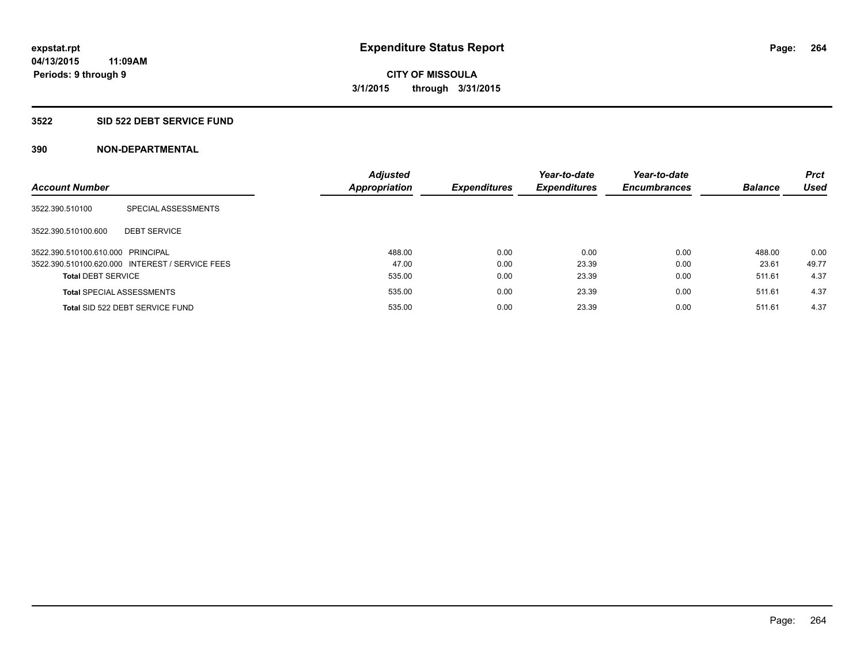### **3522 SID 522 DEBT SERVICE FUND**

| <b>Account Number</b>             |                                                 | <b>Adjusted</b><br><b>Appropriation</b> | <b>Expenditures</b> | Year-to-date<br><b>Expenditures</b> | Year-to-date<br><b>Encumbrances</b> | <b>Balance</b> | <b>Prct</b><br><b>Used</b> |
|-----------------------------------|-------------------------------------------------|-----------------------------------------|---------------------|-------------------------------------|-------------------------------------|----------------|----------------------------|
| 3522.390.510100                   | SPECIAL ASSESSMENTS                             |                                         |                     |                                     |                                     |                |                            |
| 3522.390.510100.600               | <b>DEBT SERVICE</b>                             |                                         |                     |                                     |                                     |                |                            |
| 3522.390.510100.610.000 PRINCIPAL |                                                 | 488.00                                  | 0.00                | 0.00                                | 0.00                                | 488.00         | 0.00                       |
|                                   | 3522.390.510100.620.000 INTEREST / SERVICE FEES | 47.00                                   | 0.00                | 23.39                               | 0.00                                | 23.61          | 49.77                      |
| <b>Total DEBT SERVICE</b>         |                                                 | 535.00                                  | 0.00                | 23.39                               | 0.00                                | 511.61         | 4.37                       |
|                                   | <b>Total SPECIAL ASSESSMENTS</b>                | 535.00                                  | 0.00                | 23.39                               | 0.00                                | 511.61         | 4.37                       |
|                                   | Total SID 522 DEBT SERVICE FUND                 | 535.00                                  | 0.00                | 23.39                               | 0.00                                | 511.61         | 4.37                       |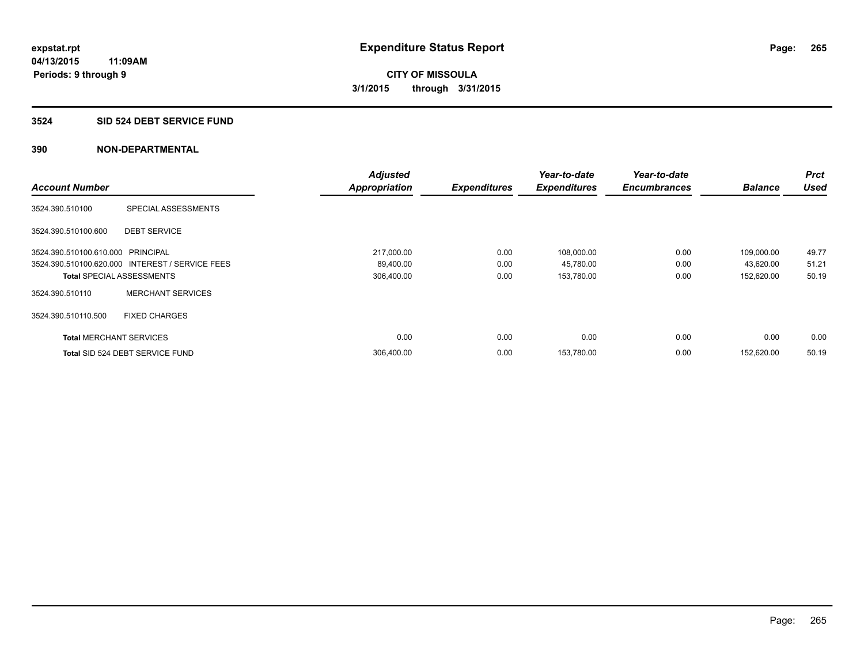### **3524 SID 524 DEBT SERVICE FUND**

|                                   |                                                 | <b>Adjusted</b>      |                     | Year-to-date        | Year-to-date        |                | <b>Prct</b> |
|-----------------------------------|-------------------------------------------------|----------------------|---------------------|---------------------|---------------------|----------------|-------------|
| <b>Account Number</b>             |                                                 | <b>Appropriation</b> | <b>Expenditures</b> | <b>Expenditures</b> | <b>Encumbrances</b> | <b>Balance</b> | <b>Used</b> |
| 3524.390.510100                   | SPECIAL ASSESSMENTS                             |                      |                     |                     |                     |                |             |
| 3524.390.510100.600               | <b>DEBT SERVICE</b>                             |                      |                     |                     |                     |                |             |
| 3524.390.510100.610.000 PRINCIPAL |                                                 | 217,000.00           | 0.00                | 108,000.00          | 0.00                | 109,000.00     | 49.77       |
|                                   | 3524.390.510100.620.000 INTEREST / SERVICE FEES | 89,400.00            | 0.00                | 45,780.00           | 0.00                | 43,620.00      | 51.21       |
| <b>Total SPECIAL ASSESSMENTS</b>  |                                                 | 306,400.00           | 0.00                | 153,780.00          | 0.00                | 152,620.00     | 50.19       |
| 3524.390.510110                   | <b>MERCHANT SERVICES</b>                        |                      |                     |                     |                     |                |             |
| 3524.390.510110.500               | <b>FIXED CHARGES</b>                            |                      |                     |                     |                     |                |             |
| <b>Total MERCHANT SERVICES</b>    |                                                 | 0.00                 | 0.00                | 0.00                | 0.00                | 0.00           | 0.00        |
|                                   | Total SID 524 DEBT SERVICE FUND                 | 306,400.00           | 0.00                | 153,780.00          | 0.00                | 152.620.00     | 50.19       |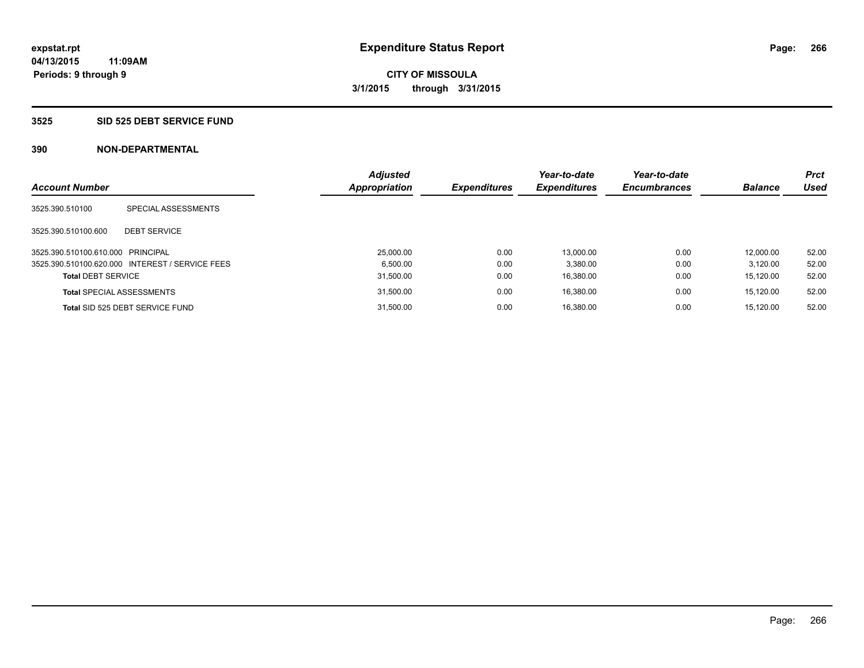### **3525 SID 525 DEBT SERVICE FUND**

|                                   |                                                 | <b>Adjusted</b> |                     | Year-to-date        | Year-to-date        |                | Prct        |
|-----------------------------------|-------------------------------------------------|-----------------|---------------------|---------------------|---------------------|----------------|-------------|
| <b>Account Number</b>             |                                                 | Appropriation   | <b>Expenditures</b> | <b>Expenditures</b> | <b>Encumbrances</b> | <b>Balance</b> | <b>Used</b> |
| 3525.390.510100                   | SPECIAL ASSESSMENTS                             |                 |                     |                     |                     |                |             |
| 3525.390.510100.600               | <b>DEBT SERVICE</b>                             |                 |                     |                     |                     |                |             |
| 3525.390.510100.610.000 PRINCIPAL |                                                 | 25,000.00       | 0.00                | 13.000.00           | 0.00                | 12.000.00      | 52.00       |
|                                   | 3525.390.510100.620.000 INTEREST / SERVICE FEES | 6.500.00        | 0.00                | 3.380.00            | 0.00                | 3.120.00       | 52.00       |
| <b>Total DEBT SERVICE</b>         |                                                 | 31.500.00       | 0.00                | 16.380.00           | 0.00                | 15.120.00      | 52.00       |
|                                   | <b>Total SPECIAL ASSESSMENTS</b>                | 31,500.00       | 0.00                | 16.380.00           | 0.00                | 15,120.00      | 52.00       |
|                                   | Total SID 525 DEBT SERVICE FUND                 | 31.500.00       | 0.00                | 16.380.00           | 0.00                | 15.120.00      | 52.00       |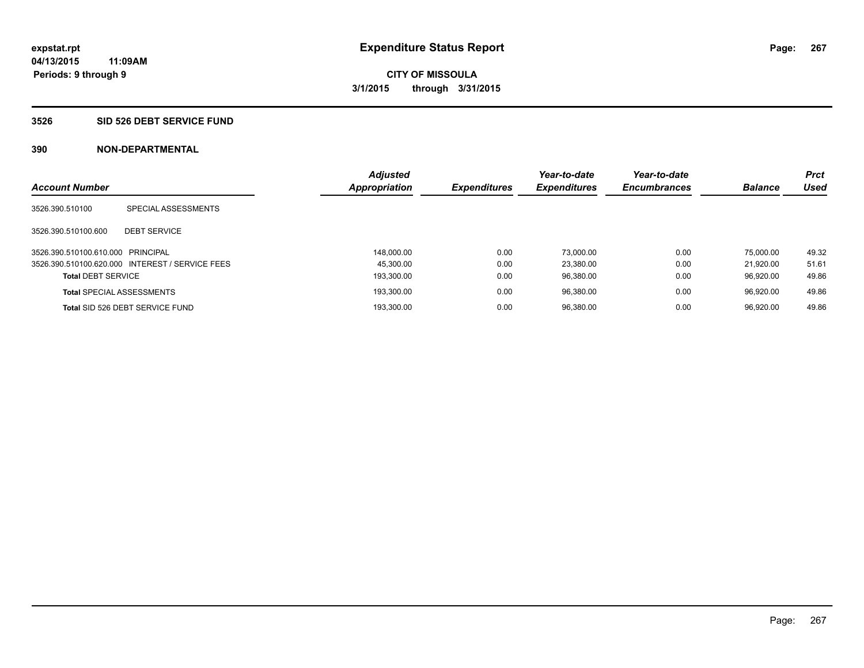### **3526 SID 526 DEBT SERVICE FUND**

| <b>Account Number</b>             |                                                 | <b>Adjusted</b><br><b>Appropriation</b> | <b>Expenditures</b> | Year-to-date<br><b>Expenditures</b> | Year-to-date<br><b>Encumbrances</b> | <b>Balance</b> | <b>Prct</b><br>Used |
|-----------------------------------|-------------------------------------------------|-----------------------------------------|---------------------|-------------------------------------|-------------------------------------|----------------|---------------------|
| 3526.390.510100                   | SPECIAL ASSESSMENTS                             |                                         |                     |                                     |                                     |                |                     |
| 3526.390.510100.600               | <b>DEBT SERVICE</b>                             |                                         |                     |                                     |                                     |                |                     |
| 3526.390.510100.610.000 PRINCIPAL |                                                 | 148.000.00                              | 0.00                | 73.000.00                           | 0.00                                | 75.000.00      | 49.32               |
|                                   | 3526.390.510100.620.000 INTEREST / SERVICE FEES | 45.300.00                               | 0.00                | 23.380.00                           | 0.00                                | 21.920.00      | 51.61               |
| <b>Total DEBT SERVICE</b>         |                                                 | 193.300.00                              | 0.00                | 96.380.00                           | 0.00                                | 96.920.00      | 49.86               |
|                                   | <b>Total SPECIAL ASSESSMENTS</b>                | 193.300.00                              | 0.00                | 96.380.00                           | 0.00                                | 96.920.00      | 49.86               |
|                                   | Total SID 526 DEBT SERVICE FUND                 | 193.300.00                              | 0.00                | 96.380.00                           | 0.00                                | 96.920.00      | 49.86               |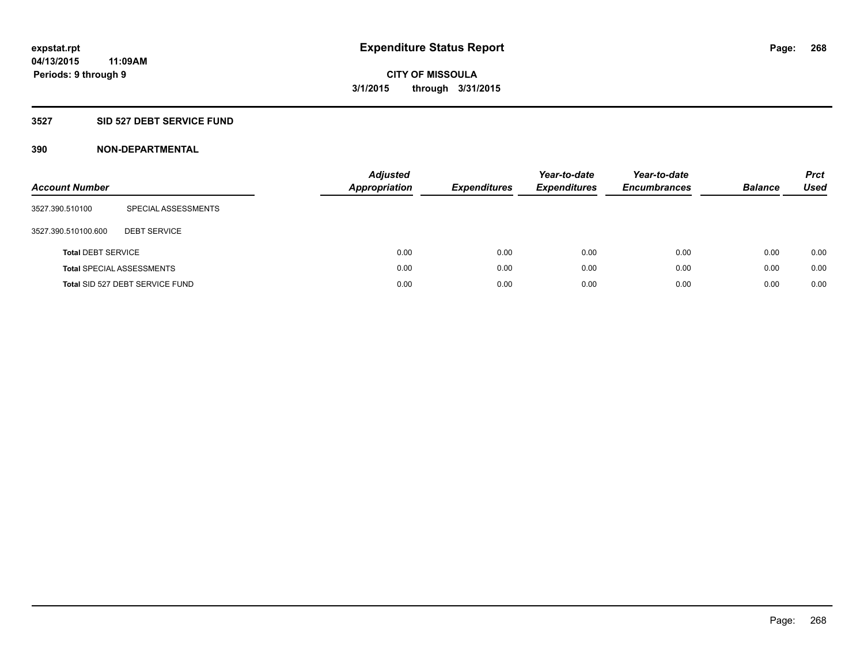# **3527 SID 527 DEBT SERVICE FUND**

| <b>Account Number</b>     |                                  | <b>Adjusted</b><br><b>Appropriation</b> | <b>Expenditures</b> | Year-to-date<br><b>Expenditures</b> | Year-to-date<br><b>Encumbrances</b> | <b>Balance</b> | <b>Prct</b><br>Used |
|---------------------------|----------------------------------|-----------------------------------------|---------------------|-------------------------------------|-------------------------------------|----------------|---------------------|
| 3527.390.510100           | SPECIAL ASSESSMENTS              |                                         |                     |                                     |                                     |                |                     |
| 3527.390.510100.600       | <b>DEBT SERVICE</b>              |                                         |                     |                                     |                                     |                |                     |
| <b>Total DEBT SERVICE</b> |                                  | 0.00                                    | 0.00                | 0.00                                | 0.00                                | 0.00           | 0.00                |
|                           | <b>Total SPECIAL ASSESSMENTS</b> | 0.00                                    | 0.00                | 0.00                                | 0.00                                | 0.00           | 0.00                |
|                           | Total SID 527 DEBT SERVICE FUND  | 0.00                                    | 0.00                | 0.00                                | 0.00                                | 0.00           | 0.00                |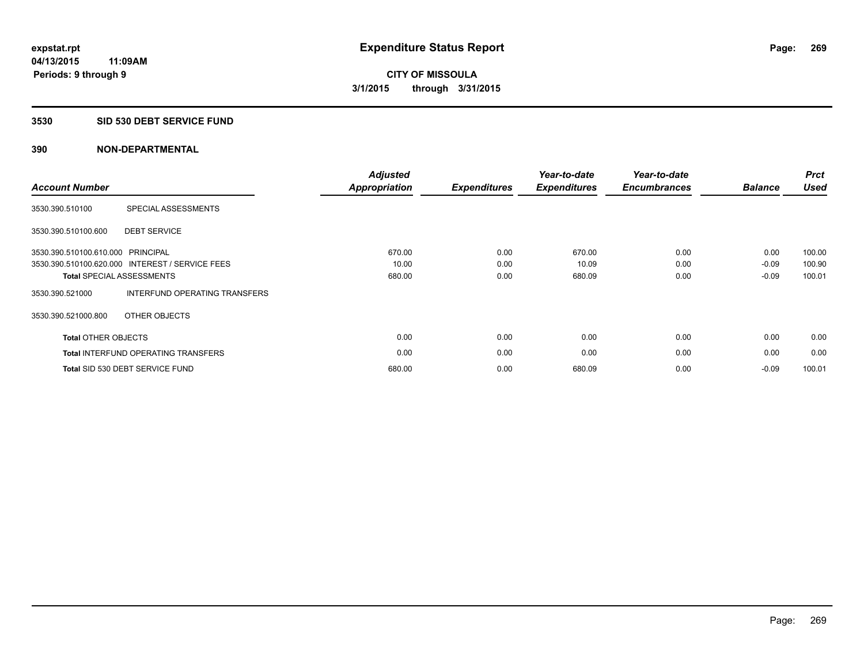### **3530 SID 530 DEBT SERVICE FUND**

| <b>Account Number</b>             |                                                 | <b>Adjusted</b><br>Appropriation | <b>Expenditures</b> | Year-to-date<br><b>Expenditures</b> | Year-to-date<br><b>Encumbrances</b> | <b>Balance</b> | <b>Prct</b><br><b>Used</b> |
|-----------------------------------|-------------------------------------------------|----------------------------------|---------------------|-------------------------------------|-------------------------------------|----------------|----------------------------|
| 3530.390.510100                   | SPECIAL ASSESSMENTS                             |                                  |                     |                                     |                                     |                |                            |
| 3530.390.510100.600               | <b>DEBT SERVICE</b>                             |                                  |                     |                                     |                                     |                |                            |
| 3530.390.510100.610.000 PRINCIPAL |                                                 | 670.00                           | 0.00                | 670.00                              | 0.00                                | 0.00           | 100.00                     |
|                                   | 3530.390.510100.620.000 INTEREST / SERVICE FEES | 10.00                            | 0.00                | 10.09                               | 0.00                                | $-0.09$        | 100.90                     |
|                                   | <b>Total SPECIAL ASSESSMENTS</b>                | 680.00                           | 0.00                | 680.09                              | 0.00                                | $-0.09$        | 100.01                     |
| 3530.390.521000                   | INTERFUND OPERATING TRANSFERS                   |                                  |                     |                                     |                                     |                |                            |
| 3530.390.521000.800               | OTHER OBJECTS                                   |                                  |                     |                                     |                                     |                |                            |
| <b>Total OTHER OBJECTS</b>        |                                                 | 0.00                             | 0.00                | 0.00                                | 0.00                                | 0.00           | 0.00                       |
|                                   | <b>Total INTERFUND OPERATING TRANSFERS</b>      | 0.00                             | 0.00                | 0.00                                | 0.00                                | 0.00           | 0.00                       |
|                                   | Total SID 530 DEBT SERVICE FUND                 | 680.00                           | 0.00                | 680.09                              | 0.00                                | $-0.09$        | 100.01                     |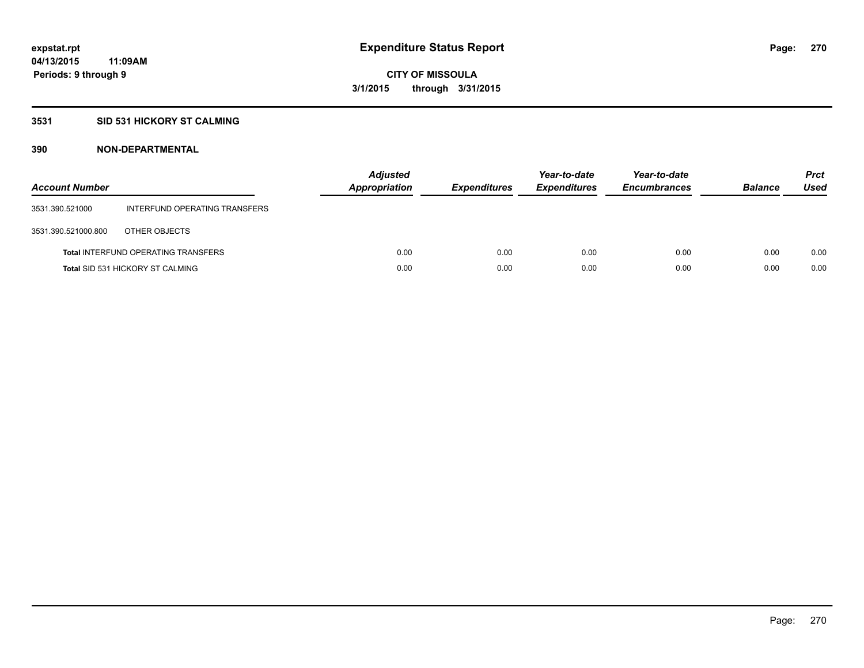## **3531 SID 531 HICKORY ST CALMING**

| <b>Account Number</b> |                                            | <b>Adjusted</b><br>Appropriation | <b>Expenditures</b> | Year-to-date<br><b>Expenditures</b> | Year-to-date<br><b>Encumbrances</b> | <b>Balance</b> | <b>Prct</b><br><b>Used</b> |
|-----------------------|--------------------------------------------|----------------------------------|---------------------|-------------------------------------|-------------------------------------|----------------|----------------------------|
| 3531.390.521000       | INTERFUND OPERATING TRANSFERS              |                                  |                     |                                     |                                     |                |                            |
| 3531.390.521000.800   | OTHER OBJECTS                              |                                  |                     |                                     |                                     |                |                            |
|                       | <b>Total INTERFUND OPERATING TRANSFERS</b> | 0.00                             | 0.00                | 0.00                                | 0.00                                | 0.00           | 0.00                       |
|                       | <b>Total SID 531 HICKORY ST CALMING</b>    | 0.00                             | 0.00                | 0.00                                | 0.00                                | 0.00           | 0.00                       |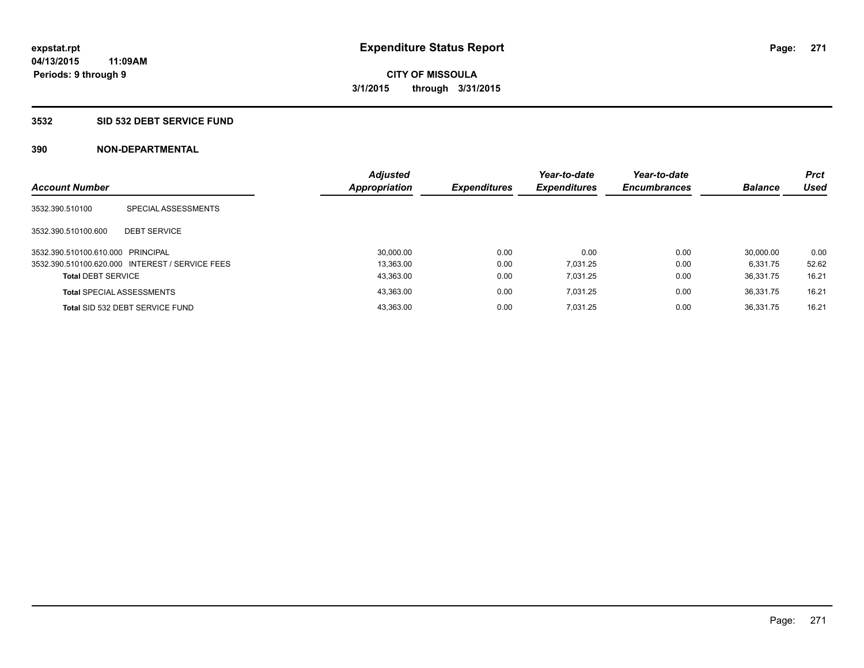## **3532 SID 532 DEBT SERVICE FUND**

| <b>Account Number</b>             |                                                 | <b>Adjusted</b><br><b>Appropriation</b> | <b>Expenditures</b> | Year-to-date<br><b>Expenditures</b> | Year-to-date<br><b>Encumbrances</b> | <b>Balance</b> | <b>Prct</b><br>Used |
|-----------------------------------|-------------------------------------------------|-----------------------------------------|---------------------|-------------------------------------|-------------------------------------|----------------|---------------------|
| 3532.390.510100                   | SPECIAL ASSESSMENTS                             |                                         |                     |                                     |                                     |                |                     |
| 3532.390.510100.600               | <b>DEBT SERVICE</b>                             |                                         |                     |                                     |                                     |                |                     |
| 3532.390.510100.610.000 PRINCIPAL |                                                 | 30.000.00                               | 0.00                | 0.00                                | 0.00                                | 30.000.00      | 0.00                |
|                                   | 3532.390.510100.620.000 INTEREST / SERVICE FEES | 13.363.00                               | 0.00                | 7.031.25                            | 0.00                                | 6.331.75       | 52.62               |
| <b>Total DEBT SERVICE</b>         |                                                 | 43,363.00                               | 0.00                | 7.031.25                            | 0.00                                | 36.331.75      | 16.21               |
|                                   | <b>Total SPECIAL ASSESSMENTS</b>                | 43,363.00                               | 0.00                | 7.031.25                            | 0.00                                | 36.331.75      | 16.21               |
|                                   | Total SID 532 DEBT SERVICE FUND                 | 43.363.00                               | 0.00                | 7.031.25                            | 0.00                                | 36.331.75      | 16.21               |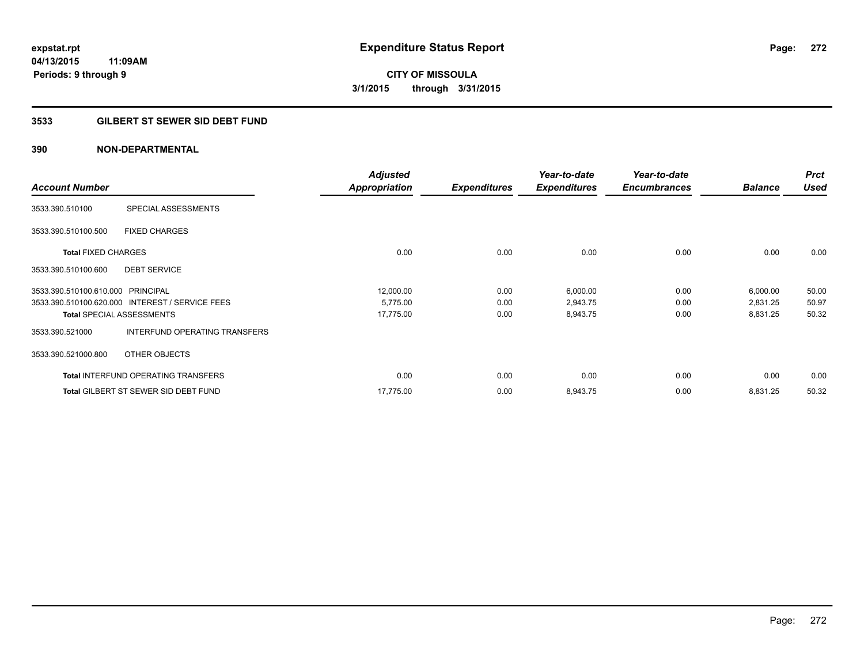**Periods: 9 through 9**

**CITY OF MISSOULA 3/1/2015 through 3/31/2015**

# **3533 GILBERT ST SEWER SID DEBT FUND**

# **390 NON-DEPARTMENTAL**

**11:09AM**

| <b>Account Number</b>             |                                                 | <b>Adjusted</b><br><b>Appropriation</b> | <b>Expenditures</b> | Year-to-date<br><b>Expenditures</b> | Year-to-date<br><b>Encumbrances</b> | <b>Balance</b> | <b>Prct</b><br><b>Used</b> |
|-----------------------------------|-------------------------------------------------|-----------------------------------------|---------------------|-------------------------------------|-------------------------------------|----------------|----------------------------|
| 3533.390.510100                   | SPECIAL ASSESSMENTS                             |                                         |                     |                                     |                                     |                |                            |
| 3533.390.510100.500               | <b>FIXED CHARGES</b>                            |                                         |                     |                                     |                                     |                |                            |
| <b>Total FIXED CHARGES</b>        |                                                 | 0.00                                    | 0.00                | 0.00                                | 0.00                                | 0.00           | 0.00                       |
| 3533.390.510100.600               | <b>DEBT SERVICE</b>                             |                                         |                     |                                     |                                     |                |                            |
| 3533.390.510100.610.000 PRINCIPAL |                                                 | 12,000.00                               | 0.00                | 6,000.00                            | 0.00                                | 6,000.00       | 50.00                      |
|                                   | 3533.390.510100.620.000 INTEREST / SERVICE FEES | 5,775.00                                | 0.00                | 2,943.75                            | 0.00                                | 2,831.25       | 50.97                      |
|                                   | <b>Total SPECIAL ASSESSMENTS</b>                | 17,775.00                               | 0.00                | 8,943.75                            | 0.00                                | 8,831.25       | 50.32                      |
| 3533.390.521000                   | INTERFUND OPERATING TRANSFERS                   |                                         |                     |                                     |                                     |                |                            |
| 3533.390.521000.800               | OTHER OBJECTS                                   |                                         |                     |                                     |                                     |                |                            |
|                                   | <b>Total INTERFUND OPERATING TRANSFERS</b>      | 0.00                                    | 0.00                | 0.00                                | 0.00                                | 0.00           | 0.00                       |
|                                   | <b>Total GILBERT ST SEWER SID DEBT FUND</b>     | 17.775.00                               | 0.00                | 8,943.75                            | 0.00                                | 8,831.25       | 50.32                      |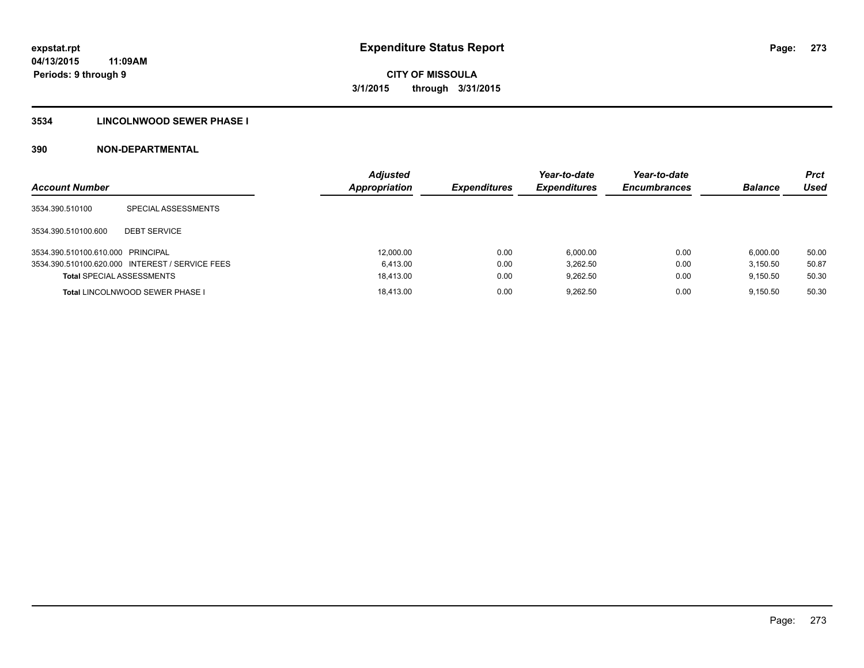# **3534 LINCOLNWOOD SEWER PHASE I**

| <b>Account Number</b>             |                                                 | <b>Adjusted</b><br>Appropriation | <b>Expenditures</b> | Year-to-date<br><b>Expenditures</b> | Year-to-date<br><b>Encumbrances</b> | <b>Balance</b> | <b>Prct</b><br>Used |
|-----------------------------------|-------------------------------------------------|----------------------------------|---------------------|-------------------------------------|-------------------------------------|----------------|---------------------|
| 3534.390.510100                   | SPECIAL ASSESSMENTS                             |                                  |                     |                                     |                                     |                |                     |
| 3534.390.510100.600               | <b>DEBT SERVICE</b>                             |                                  |                     |                                     |                                     |                |                     |
| 3534.390.510100.610.000 PRINCIPAL |                                                 | 12,000.00                        | 0.00                | 6.000.00                            | 0.00                                | 6.000.00       | 50.00               |
|                                   | 3534.390.510100.620.000 INTEREST / SERVICE FEES | 6.413.00                         | 0.00                | 3.262.50                            | 0.00                                | 3.150.50       | 50.87               |
| <b>Total SPECIAL ASSESSMENTS</b>  |                                                 | 18.413.00                        | 0.00                | 9.262.50                            | 0.00                                | 9.150.50       | 50.30               |
|                                   | <b>Total LINCOLNWOOD SEWER PHASE I</b>          | 18.413.00                        | 0.00                | 9.262.50                            | 0.00                                | 9.150.50       | 50.30               |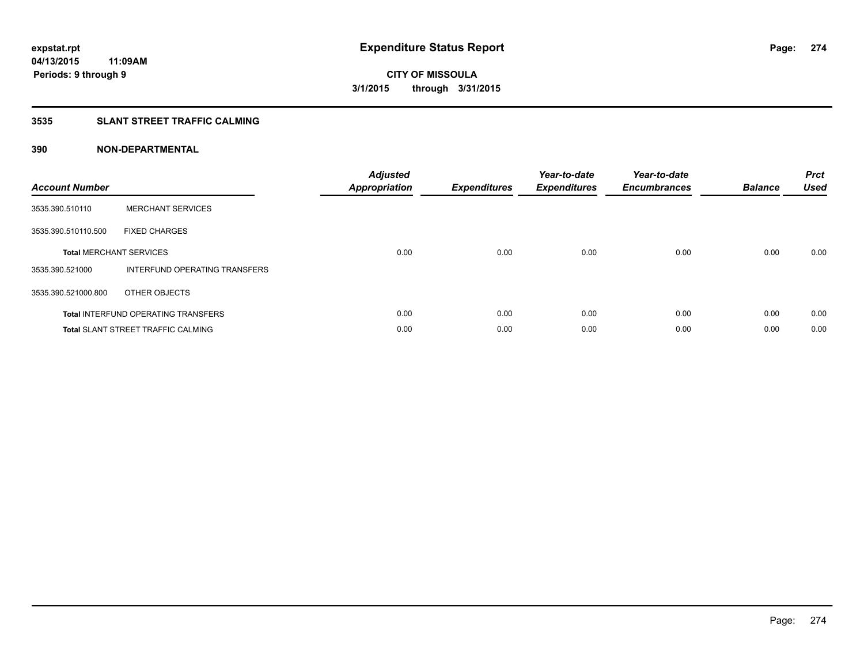# **3535 SLANT STREET TRAFFIC CALMING**

| <b>Account Number</b> |                                            | <b>Adjusted</b><br>Appropriation | <b>Expenditures</b> | Year-to-date<br><b>Expenditures</b> | Year-to-date<br><b>Encumbrances</b> | <b>Balance</b> | <b>Prct</b><br><b>Used</b> |
|-----------------------|--------------------------------------------|----------------------------------|---------------------|-------------------------------------|-------------------------------------|----------------|----------------------------|
| 3535.390.510110       | <b>MERCHANT SERVICES</b>                   |                                  |                     |                                     |                                     |                |                            |
| 3535.390.510110.500   | <b>FIXED CHARGES</b>                       |                                  |                     |                                     |                                     |                |                            |
|                       | <b>Total MERCHANT SERVICES</b>             | 0.00                             | 0.00                | 0.00                                | 0.00                                | 0.00           | 0.00                       |
| 3535.390.521000       | INTERFUND OPERATING TRANSFERS              |                                  |                     |                                     |                                     |                |                            |
| 3535.390.521000.800   | OTHER OBJECTS                              |                                  |                     |                                     |                                     |                |                            |
|                       | <b>Total INTERFUND OPERATING TRANSFERS</b> | 0.00                             | 0.00                | 0.00                                | 0.00                                | 0.00           | 0.00                       |
|                       | <b>Total SLANT STREET TRAFFIC CALMING</b>  | 0.00                             | 0.00                | 0.00                                | 0.00                                | 0.00           | 0.00                       |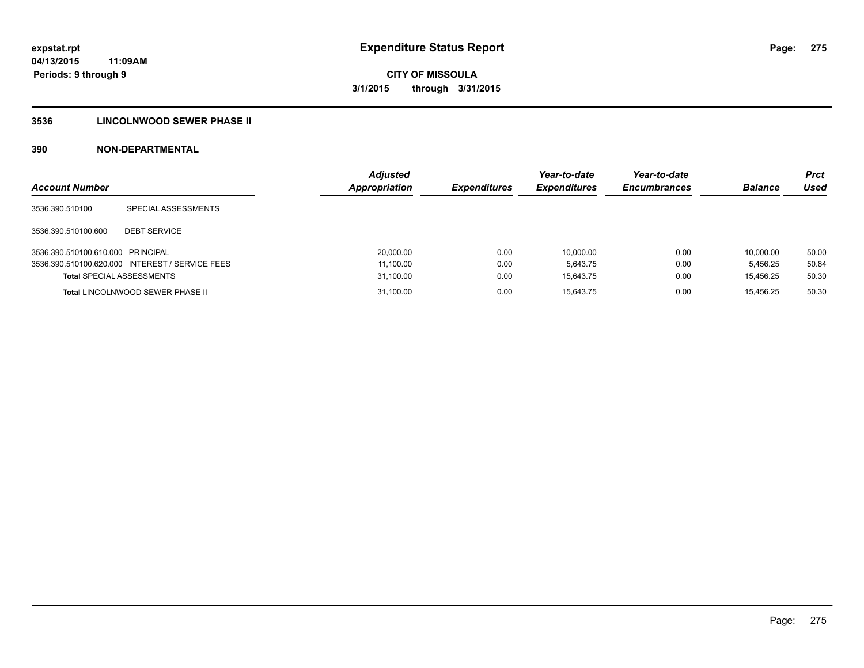# **3536 LINCOLNWOOD SEWER PHASE II**

| <b>Account Number</b>             |                                                 | <b>Adjusted</b><br>Appropriation | <b>Expenditures</b> | Year-to-date<br><b>Expenditures</b> | Year-to-date<br><b>Encumbrances</b> | <b>Balance</b> | <b>Prct</b><br>Used |
|-----------------------------------|-------------------------------------------------|----------------------------------|---------------------|-------------------------------------|-------------------------------------|----------------|---------------------|
| 3536.390.510100                   | SPECIAL ASSESSMENTS                             |                                  |                     |                                     |                                     |                |                     |
| 3536.390.510100.600               | <b>DEBT SERVICE</b>                             |                                  |                     |                                     |                                     |                |                     |
| 3536.390.510100.610.000 PRINCIPAL |                                                 | 20,000.00                        | 0.00                | 10.000.00                           | 0.00                                | 10.000.00      | 50.00               |
|                                   | 3536.390.510100.620.000 INTEREST / SERVICE FEES | 11,100.00                        | 0.00                | 5.643.75                            | 0.00                                | 5.456.25       | 50.84               |
| <b>Total SPECIAL ASSESSMENTS</b>  |                                                 | 31,100.00                        | 0.00                | 15.643.75                           | 0.00                                | 15.456.25      | 50.30               |
|                                   | <b>Total LINCOLNWOOD SEWER PHASE II</b>         | 31,100.00                        | 0.00                | 15.643.75                           | 0.00                                | 15.456.25      | 50.30               |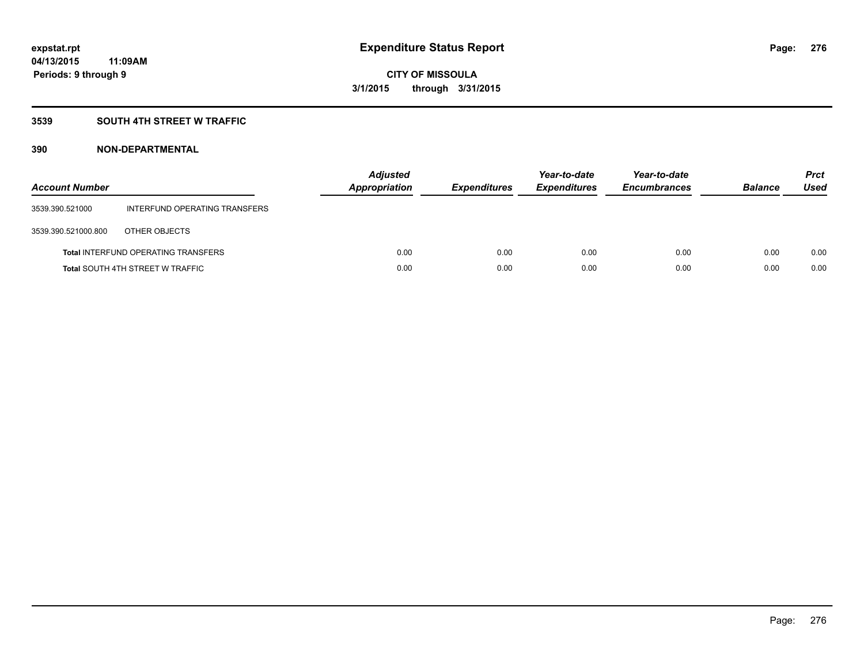# **3539 SOUTH 4TH STREET W TRAFFIC**

| <b>Account Number</b> |                                            | <b>Adjusted</b><br>Appropriation | <b>Expenditures</b> | Year-to-date<br><b>Expenditures</b> | Year-to-date<br><b>Encumbrances</b> | <b>Balance</b> | <b>Prct</b><br>Used |
|-----------------------|--------------------------------------------|----------------------------------|---------------------|-------------------------------------|-------------------------------------|----------------|---------------------|
| 3539.390.521000       | INTERFUND OPERATING TRANSFERS              |                                  |                     |                                     |                                     |                |                     |
| 3539.390.521000.800   | OTHER OBJECTS                              |                                  |                     |                                     |                                     |                |                     |
|                       | <b>Total INTERFUND OPERATING TRANSFERS</b> | 0.00                             | 0.00                | 0.00                                | 0.00                                | 0.00           | 0.00                |
|                       | <b>Total SOUTH 4TH STREET W TRAFFIC</b>    | 0.00                             | 0.00                | 0.00                                | 0.00                                | 0.00           | 0.00                |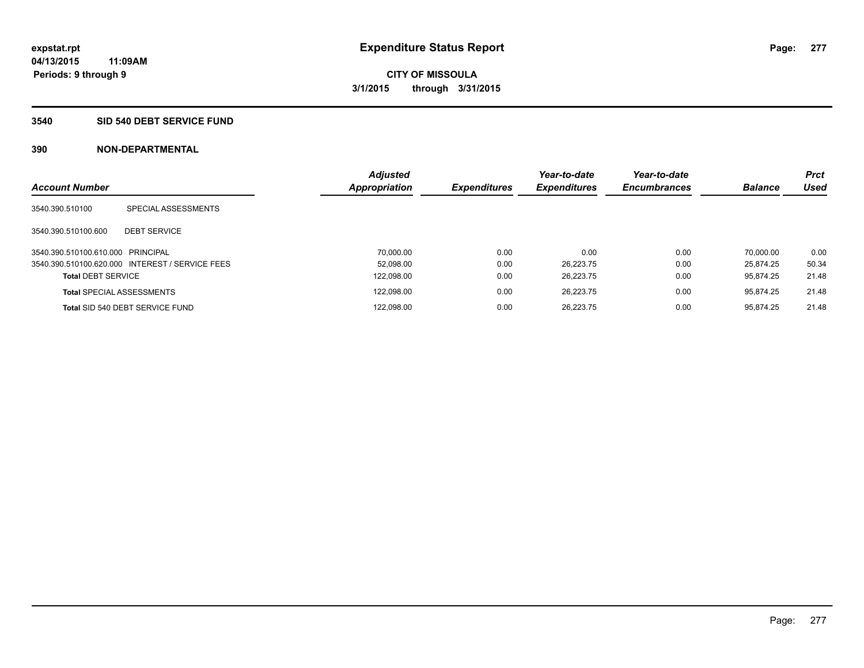## **3540 SID 540 DEBT SERVICE FUND**

|                                   |                                                 | <b>Adjusted</b>      |                     | Year-to-date        | Year-to-date        |                | <b>Prct</b> |
|-----------------------------------|-------------------------------------------------|----------------------|---------------------|---------------------|---------------------|----------------|-------------|
| <b>Account Number</b>             |                                                 | <b>Appropriation</b> | <b>Expenditures</b> | <b>Expenditures</b> | <b>Encumbrances</b> | <b>Balance</b> | <b>Used</b> |
| 3540.390.510100                   | SPECIAL ASSESSMENTS                             |                      |                     |                     |                     |                |             |
| 3540.390.510100.600               | <b>DEBT SERVICE</b>                             |                      |                     |                     |                     |                |             |
| 3540.390.510100.610.000 PRINCIPAL |                                                 | 70.000.00            | 0.00                | 0.00                | 0.00                | 70.000.00      | 0.00        |
|                                   | 3540.390.510100.620.000 INTEREST / SERVICE FEES | 52.098.00            | 0.00                | 26.223.75           | 0.00                | 25.874.25      | 50.34       |
| <b>Total DEBT SERVICE</b>         |                                                 | 122,098.00           | 0.00                | 26.223.75           | 0.00                | 95.874.25      | 21.48       |
|                                   | <b>Total SPECIAL ASSESSMENTS</b>                | 122,098.00           | 0.00                | 26.223.75           | 0.00                | 95.874.25      | 21.48       |
|                                   | Total SID 540 DEBT SERVICE FUND                 | 122,098.00           | 0.00                | 26.223.75           | 0.00                | 95.874.25      | 21.48       |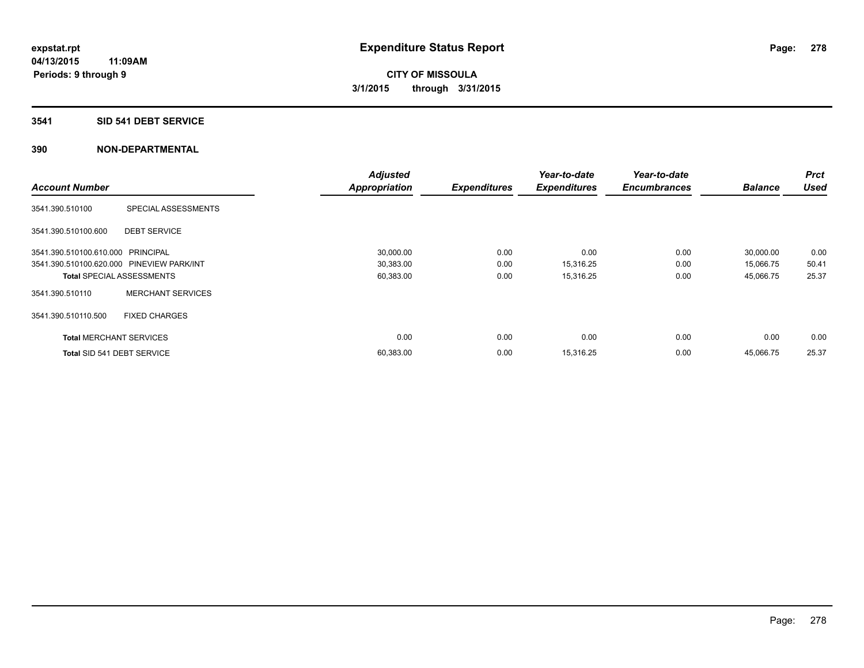#### **3541 SID 541 DEBT SERVICE**

|                                           |                                  | <b>Adjusted</b>      |                     | Year-to-date        | Year-to-date        |                | <b>Prct</b> |
|-------------------------------------------|----------------------------------|----------------------|---------------------|---------------------|---------------------|----------------|-------------|
| <b>Account Number</b>                     |                                  | <b>Appropriation</b> | <b>Expenditures</b> | <b>Expenditures</b> | <b>Encumbrances</b> | <b>Balance</b> | <b>Used</b> |
| 3541.390.510100                           | SPECIAL ASSESSMENTS              |                      |                     |                     |                     |                |             |
| 3541.390.510100.600                       | <b>DEBT SERVICE</b>              |                      |                     |                     |                     |                |             |
| 3541.390.510100.610.000 PRINCIPAL         |                                  | 30,000.00            | 0.00                | 0.00                | 0.00                | 30,000.00      | 0.00        |
| 3541.390.510100.620.000 PINEVIEW PARK/INT |                                  | 30,383.00            | 0.00                | 15,316.25           | 0.00                | 15,066.75      | 50.41       |
|                                           | <b>Total SPECIAL ASSESSMENTS</b> | 60,383.00            | 0.00                | 15,316.25           | 0.00                | 45,066.75      | 25.37       |
| 3541.390.510110                           | <b>MERCHANT SERVICES</b>         |                      |                     |                     |                     |                |             |
| 3541.390.510110.500                       | <b>FIXED CHARGES</b>             |                      |                     |                     |                     |                |             |
| <b>Total MERCHANT SERVICES</b>            |                                  | 0.00                 | 0.00                | 0.00                | 0.00                | 0.00           | 0.00        |
| Total SID 541 DEBT SERVICE                |                                  | 60,383.00            | 0.00                | 15,316.25           | 0.00                | 45,066.75      | 25.37       |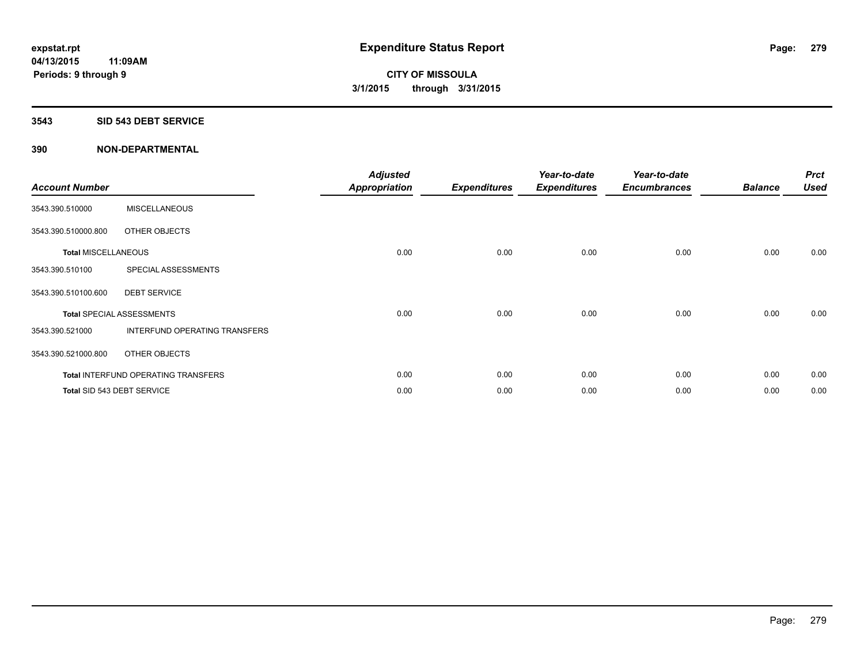#### **3543 SID 543 DEBT SERVICE**

| <b>Account Number</b>      |                                            | <b>Adjusted</b><br><b>Appropriation</b> | <b>Expenditures</b> | Year-to-date<br><b>Expenditures</b> | Year-to-date<br><b>Encumbrances</b> | <b>Balance</b> | <b>Prct</b><br><b>Used</b> |
|----------------------------|--------------------------------------------|-----------------------------------------|---------------------|-------------------------------------|-------------------------------------|----------------|----------------------------|
| 3543.390.510000            | <b>MISCELLANEOUS</b>                       |                                         |                     |                                     |                                     |                |                            |
| 3543.390.510000.800        | OTHER OBJECTS                              |                                         |                     |                                     |                                     |                |                            |
| <b>Total MISCELLANEOUS</b> |                                            | 0.00                                    | 0.00                | 0.00                                | 0.00                                | 0.00           | 0.00                       |
| 3543.390.510100            | SPECIAL ASSESSMENTS                        |                                         |                     |                                     |                                     |                |                            |
| 3543.390.510100.600        | <b>DEBT SERVICE</b>                        |                                         |                     |                                     |                                     |                |                            |
|                            | <b>Total SPECIAL ASSESSMENTS</b>           | 0.00                                    | 0.00                | 0.00                                | 0.00                                | 0.00           | 0.00                       |
| 3543.390.521000            | INTERFUND OPERATING TRANSFERS              |                                         |                     |                                     |                                     |                |                            |
| 3543.390.521000.800        | OTHER OBJECTS                              |                                         |                     |                                     |                                     |                |                            |
|                            | <b>Total INTERFUND OPERATING TRANSFERS</b> | 0.00                                    | 0.00                | 0.00                                | 0.00                                | 0.00           | 0.00                       |
|                            | Total SID 543 DEBT SERVICE                 | 0.00                                    | 0.00                | 0.00                                | 0.00                                | 0.00           | 0.00                       |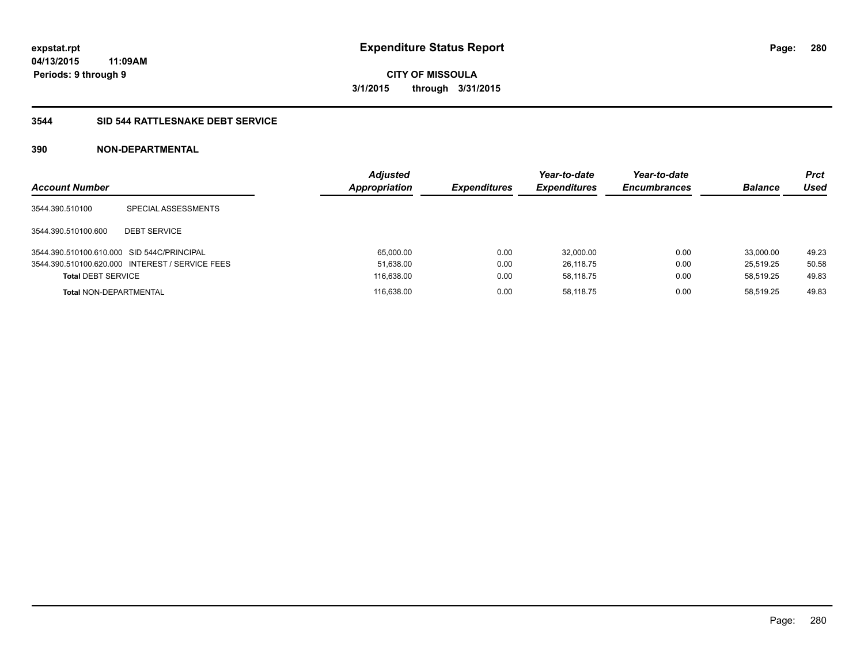**Periods: 9 through 9**

**CITY OF MISSOULA 3/1/2015 through 3/31/2015**

#### **3544 SID 544 RATTLESNAKE DEBT SERVICE**

# **390 NON-DEPARTMENTAL**

**11:09AM**

| <b>Account Number</b>                      |                                                 | <b>Adjusted</b><br>Appropriation | <b>Expenditures</b> | Year-to-date<br><b>Expenditures</b> | Year-to-date<br><b>Encumbrances</b> | <b>Balance</b> | Prct<br>Used |
|--------------------------------------------|-------------------------------------------------|----------------------------------|---------------------|-------------------------------------|-------------------------------------|----------------|--------------|
| 3544.390.510100                            | SPECIAL ASSESSMENTS                             |                                  |                     |                                     |                                     |                |              |
| 3544.390.510100.600                        | <b>DEBT SERVICE</b>                             |                                  |                     |                                     |                                     |                |              |
| 3544.390.510100.610.000 SID 544C/PRINCIPAL |                                                 | 65,000.00                        | 0.00                | 32.000.00                           | 0.00                                | 33.000.00      | 49.23        |
|                                            | 3544.390.510100.620.000 INTEREST / SERVICE FEES | 51,638.00                        | 0.00                | 26.118.75                           | 0.00                                | 25.519.25      | 50.58        |
| <b>Total DEBT SERVICE</b>                  |                                                 | 116,638.00                       | 0.00                | 58.118.75                           | 0.00                                | 58.519.25      | 49.83        |
| <b>Total NON-DEPARTMENTAL</b>              |                                                 | 116,638.00                       | 0.00                | 58.118.75                           | 0.00                                | 58.519.25      | 49.83        |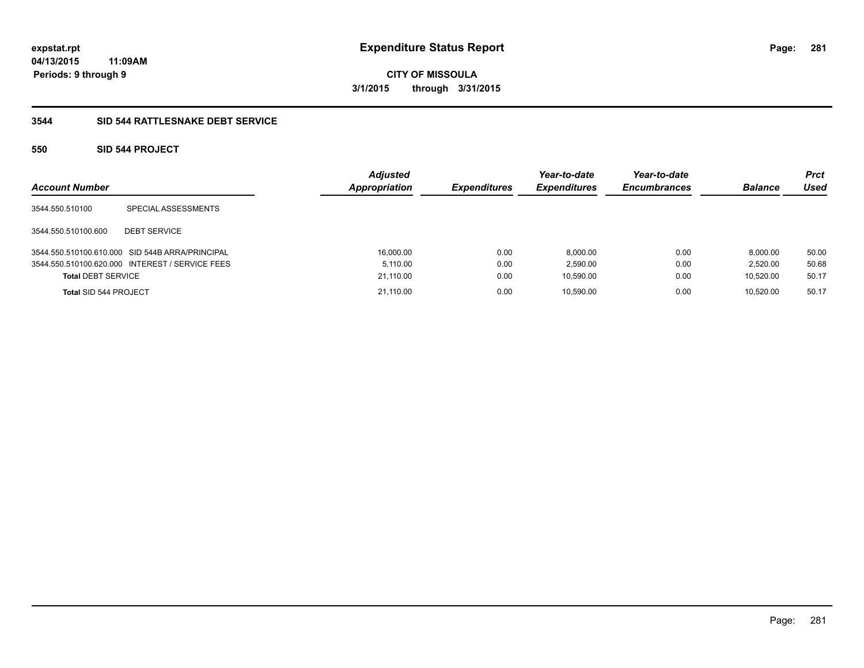**04/13/2015 11:09AM Periods: 9 through 9**

**CITY OF MISSOULA 3/1/2015 through 3/31/2015**

# **3544 SID 544 RATTLESNAKE DEBT SERVICE**

# **550 SID 544 PROJECT**

| <b>Account Number</b>     |                                                 | <b>Adjusted</b><br>Appropriation | <b>Expenditures</b> | Year-to-date<br><b>Expenditures</b> | Year-to-date<br><b>Encumbrances</b> | <b>Balance</b> | <b>Prct</b><br>Used |
|---------------------------|-------------------------------------------------|----------------------------------|---------------------|-------------------------------------|-------------------------------------|----------------|---------------------|
| 3544.550.510100           | SPECIAL ASSESSMENTS                             |                                  |                     |                                     |                                     |                |                     |
| 3544.550.510100.600       | <b>DEBT SERVICE</b>                             |                                  |                     |                                     |                                     |                |                     |
|                           | 3544.550.510100.610.000 SID 544B ARRA/PRINCIPAL | 16,000.00                        | 0.00                | 8,000.00                            | 0.00                                | 8.000.00       | 50.00               |
|                           | 3544.550.510100.620.000 INTEREST / SERVICE FEES | 5.110.00                         | 0.00                | 2,590.00                            | 0.00                                | 2.520.00       | 50.68               |
| <b>Total DEBT SERVICE</b> |                                                 | 21,110.00                        | 0.00                | 10,590.00                           | 0.00                                | 10.520.00      | 50.17               |
| Total SID 544 PROJECT     |                                                 | 21.110.00                        | 0.00                | 10.590.00                           | 0.00                                | 10.520.00      | 50.17               |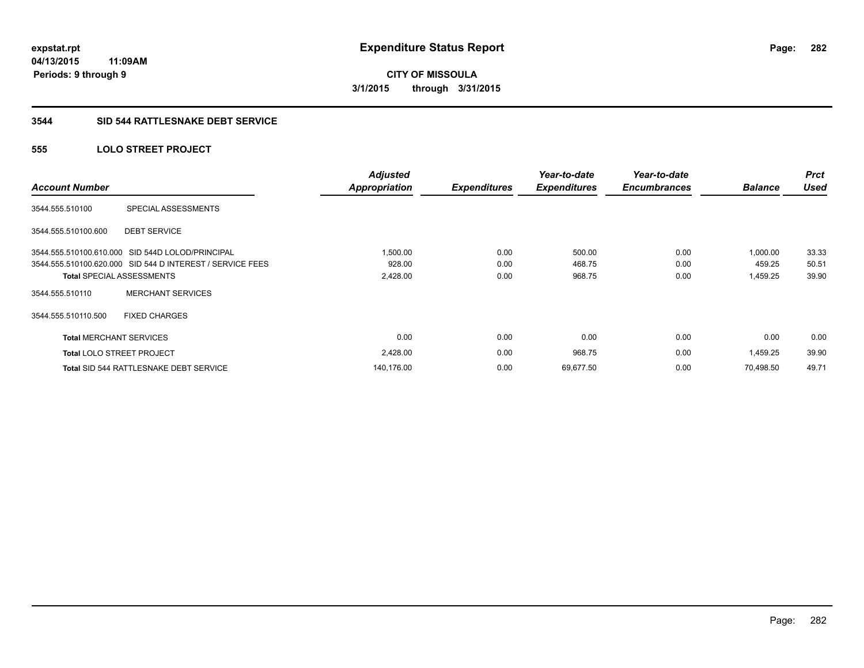**04/13/2015 11:09AM Periods: 9 through 9**

# **CITY OF MISSOULA 3/1/2015 through 3/31/2015**

# **3544 SID 544 RATTLESNAKE DEBT SERVICE**

# **555 LOLO STREET PROJECT**

| <b>Account Number</b>            |                                                           | <b>Adjusted</b><br>Appropriation | <b>Expenditures</b> | Year-to-date<br><b>Expenditures</b> | Year-to-date<br><b>Encumbrances</b> | <b>Balance</b> | <b>Prct</b><br><b>Used</b> |
|----------------------------------|-----------------------------------------------------------|----------------------------------|---------------------|-------------------------------------|-------------------------------------|----------------|----------------------------|
| 3544.555.510100                  | SPECIAL ASSESSMENTS                                       |                                  |                     |                                     |                                     |                |                            |
| 3544.555.510100.600              | <b>DEBT SERVICE</b>                                       |                                  |                     |                                     |                                     |                |                            |
|                                  | 3544.555.510100.610.000 SID 544D LOLOD/PRINCIPAL          | 1,500.00                         | 0.00                | 500.00                              | 0.00                                | 1,000.00       | 33.33                      |
|                                  | 3544.555.510100.620.000 SID 544 D INTEREST / SERVICE FEES | 928.00                           | 0.00                | 468.75                              | 0.00                                | 459.25         | 50.51                      |
|                                  | <b>Total SPECIAL ASSESSMENTS</b>                          | 2,428.00                         | 0.00                | 968.75                              | 0.00                                | 1,459.25       | 39.90                      |
| 3544.555.510110                  | <b>MERCHANT SERVICES</b>                                  |                                  |                     |                                     |                                     |                |                            |
| 3544.555.510110.500              | <b>FIXED CHARGES</b>                                      |                                  |                     |                                     |                                     |                |                            |
| <b>Total MERCHANT SERVICES</b>   |                                                           | 0.00                             | 0.00                | 0.00                                | 0.00                                | 0.00           | 0.00                       |
| <b>Total LOLO STREET PROJECT</b> |                                                           | 2,428.00                         | 0.00                | 968.75                              | 0.00                                | 1,459.25       | 39.90                      |
|                                  | <b>Total SID 544 RATTLESNAKE DEBT SERVICE</b>             | 140,176.00                       | 0.00                | 69,677.50                           | 0.00                                | 70.498.50      | 49.71                      |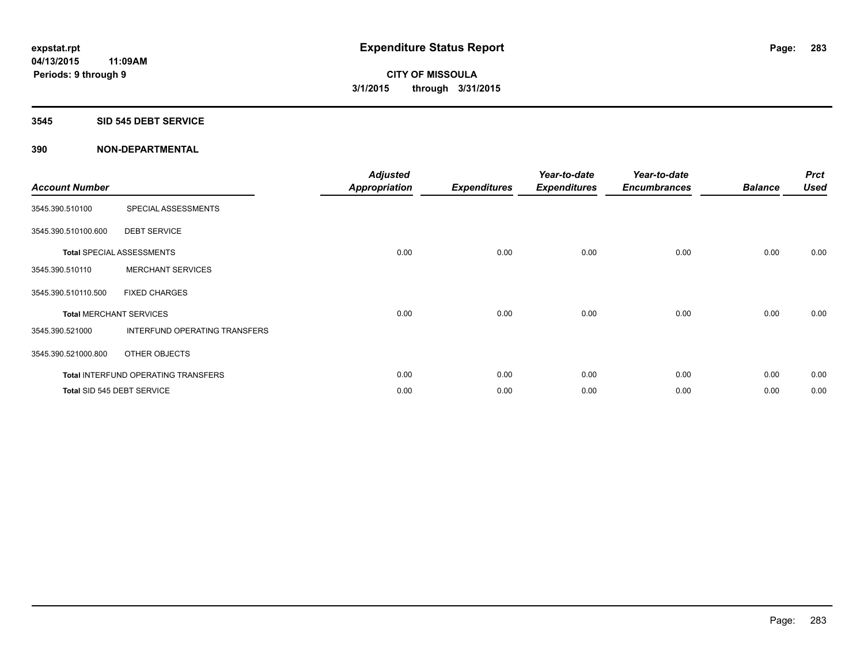#### **3545 SID 545 DEBT SERVICE**

| <b>Account Number</b> |                                            | <b>Adjusted</b><br>Appropriation | <b>Expenditures</b> | Year-to-date<br><b>Expenditures</b> | Year-to-date<br><b>Encumbrances</b> | <b>Balance</b> | <b>Prct</b><br><b>Used</b> |
|-----------------------|--------------------------------------------|----------------------------------|---------------------|-------------------------------------|-------------------------------------|----------------|----------------------------|
| 3545.390.510100       | SPECIAL ASSESSMENTS                        |                                  |                     |                                     |                                     |                |                            |
| 3545.390.510100.600   | <b>DEBT SERVICE</b>                        |                                  |                     |                                     |                                     |                |                            |
|                       | <b>Total SPECIAL ASSESSMENTS</b>           | 0.00                             | 0.00                | 0.00                                | 0.00                                | 0.00           | 0.00                       |
| 3545.390.510110       | <b>MERCHANT SERVICES</b>                   |                                  |                     |                                     |                                     |                |                            |
| 3545.390.510110.500   | <b>FIXED CHARGES</b>                       |                                  |                     |                                     |                                     |                |                            |
|                       | <b>Total MERCHANT SERVICES</b>             | 0.00                             | 0.00                | 0.00                                | 0.00                                | 0.00           | 0.00                       |
| 3545.390.521000       | INTERFUND OPERATING TRANSFERS              |                                  |                     |                                     |                                     |                |                            |
| 3545.390.521000.800   | OTHER OBJECTS                              |                                  |                     |                                     |                                     |                |                            |
|                       | <b>Total INTERFUND OPERATING TRANSFERS</b> | 0.00                             | 0.00                | 0.00                                | 0.00                                | 0.00           | 0.00                       |
|                       | Total SID 545 DEBT SERVICE                 | 0.00                             | 0.00                | 0.00                                | 0.00                                | 0.00           | 0.00                       |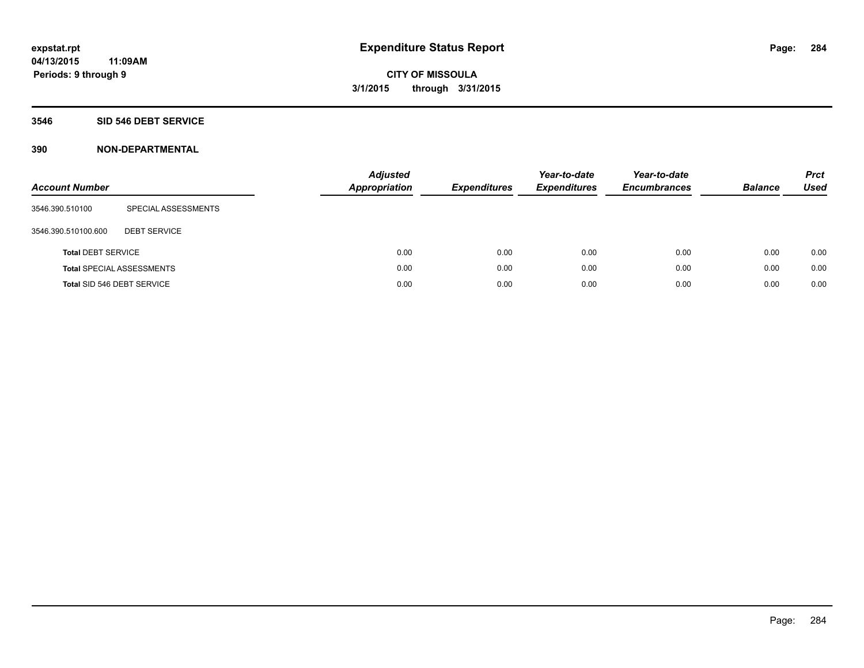## **3546 SID 546 DEBT SERVICE**

| <b>Account Number</b>     |                                  | <b>Adjusted</b><br><b>Appropriation</b> | <b>Expenditures</b> | Year-to-date<br><b>Expenditures</b> | Year-to-date<br><b>Encumbrances</b> | <b>Balance</b> | <b>Prct</b><br>Used |
|---------------------------|----------------------------------|-----------------------------------------|---------------------|-------------------------------------|-------------------------------------|----------------|---------------------|
| 3546.390.510100           | SPECIAL ASSESSMENTS              |                                         |                     |                                     |                                     |                |                     |
| 3546.390.510100.600       | <b>DEBT SERVICE</b>              |                                         |                     |                                     |                                     |                |                     |
| <b>Total DEBT SERVICE</b> |                                  | 0.00                                    | 0.00                | 0.00                                | 0.00                                | 0.00           | 0.00                |
|                           | <b>Total SPECIAL ASSESSMENTS</b> | 0.00                                    | 0.00                | 0.00                                | 0.00                                | 0.00           | 0.00                |
|                           | Total SID 546 DEBT SERVICE       | 0.00                                    | 0.00                | 0.00                                | 0.00                                | 0.00           | 0.00                |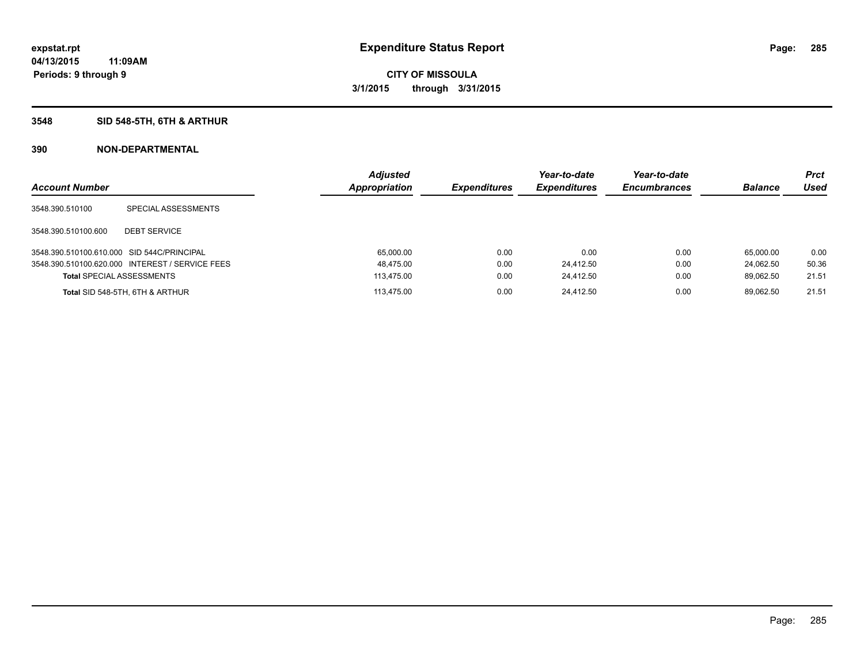# **3548 SID 548-5TH, 6TH & ARTHUR**

| <b>Account Number</b>                      |                                                 | <b>Adjusted</b><br>Appropriation | <b>Expenditures</b> | Year-to-date<br><b>Expenditures</b> | Year-to-date<br><b>Encumbrances</b> | <b>Balance</b> | <b>Prct</b><br>Used |
|--------------------------------------------|-------------------------------------------------|----------------------------------|---------------------|-------------------------------------|-------------------------------------|----------------|---------------------|
| 3548.390.510100                            | SPECIAL ASSESSMENTS                             |                                  |                     |                                     |                                     |                |                     |
| 3548.390.510100.600                        | <b>DEBT SERVICE</b>                             |                                  |                     |                                     |                                     |                |                     |
| 3548.390.510100.610.000 SID 544C/PRINCIPAL |                                                 | 65,000.00                        | 0.00                | 0.00                                | 0.00                                | 65.000.00      | 0.00                |
|                                            | 3548.390.510100.620.000 INTEREST / SERVICE FEES | 48,475.00                        | 0.00                | 24,412.50                           | 0.00                                | 24.062.50      | 50.36               |
| <b>Total SPECIAL ASSESSMENTS</b>           |                                                 | 113.475.00                       | 0.00                | 24,412.50                           | 0.00                                | 89.062.50      | 21.51               |
|                                            | Total SID 548-5TH, 6TH & ARTHUR                 | 113.475.00                       | 0.00                | 24.412.50                           | 0.00                                | 89.062.50      | 21.51               |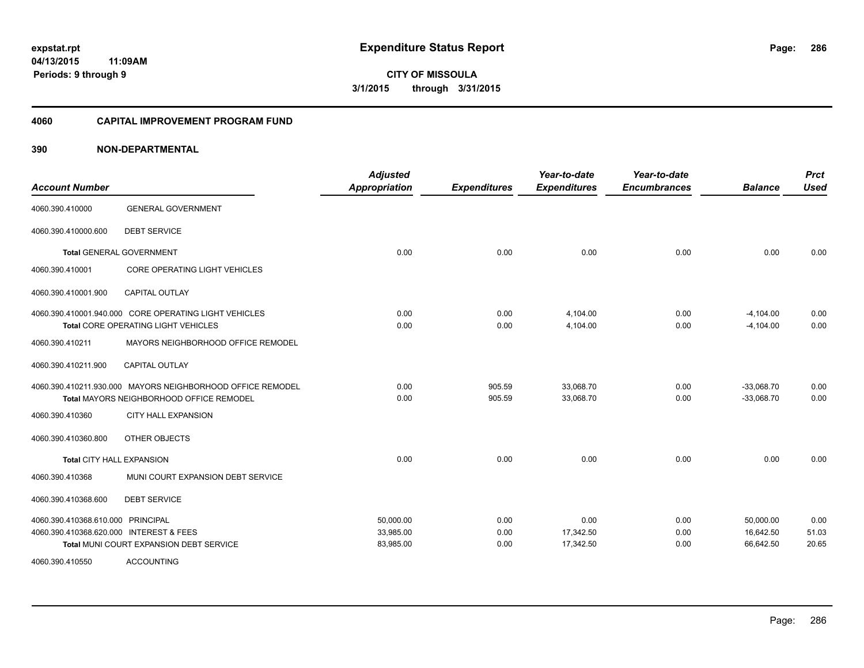**04/13/2015 11:09AM Periods: 9 through 9**

**CITY OF MISSOULA 3/1/2015 through 3/31/2015**

#### **4060 CAPITAL IMPROVEMENT PROGRAM FUND**

| <b>Account Number</b>                   |                                                            | <b>Adjusted</b><br><b>Appropriation</b> | <b>Expenditures</b> | Year-to-date<br><b>Expenditures</b> | Year-to-date<br><b>Encumbrances</b> | <b>Balance</b> | <b>Prct</b><br><b>Used</b> |
|-----------------------------------------|------------------------------------------------------------|-----------------------------------------|---------------------|-------------------------------------|-------------------------------------|----------------|----------------------------|
| 4060.390.410000                         | <b>GENERAL GOVERNMENT</b>                                  |                                         |                     |                                     |                                     |                |                            |
| 4060.390.410000.600                     | <b>DEBT SERVICE</b>                                        |                                         |                     |                                     |                                     |                |                            |
|                                         | <b>Total GENERAL GOVERNMENT</b>                            | 0.00                                    | 0.00                | 0.00                                | 0.00                                | 0.00           | 0.00                       |
| 4060.390.410001                         | <b>CORE OPERATING LIGHT VEHICLES</b>                       |                                         |                     |                                     |                                     |                |                            |
| 4060.390.410001.900                     | <b>CAPITAL OUTLAY</b>                                      |                                         |                     |                                     |                                     |                |                            |
|                                         | 4060.390.410001.940.000 CORE OPERATING LIGHT VEHICLES      | 0.00                                    | 0.00                | 4,104.00                            | 0.00                                | $-4,104.00$    | 0.00                       |
|                                         | <b>Total CORE OPERATING LIGHT VEHICLES</b>                 | 0.00                                    | 0.00                | 4.104.00                            | 0.00                                | $-4.104.00$    | 0.00                       |
| 4060.390.410211                         | MAYORS NEIGHBORHOOD OFFICE REMODEL                         |                                         |                     |                                     |                                     |                |                            |
| 4060.390.410211.900                     | <b>CAPITAL OUTLAY</b>                                      |                                         |                     |                                     |                                     |                |                            |
|                                         | 4060.390.410211.930.000 MAYORS NEIGHBORHOOD OFFICE REMODEL | 0.00                                    | 905.59              | 33,068.70                           | 0.00                                | $-33,068.70$   | 0.00                       |
|                                         | <b>Total MAYORS NEIGHBORHOOD OFFICE REMODEL</b>            | 0.00                                    | 905.59              | 33,068.70                           | 0.00                                | $-33,068.70$   | 0.00                       |
| 4060.390.410360                         | <b>CITY HALL EXPANSION</b>                                 |                                         |                     |                                     |                                     |                |                            |
| 4060.390.410360.800                     | OTHER OBJECTS                                              |                                         |                     |                                     |                                     |                |                            |
| Total CITY HALL EXPANSION               |                                                            | 0.00                                    | 0.00                | 0.00                                | 0.00                                | 0.00           | 0.00                       |
| 4060.390.410368                         | MUNI COURT EXPANSION DEBT SERVICE                          |                                         |                     |                                     |                                     |                |                            |
| 4060.390.410368.600                     | <b>DEBT SERVICE</b>                                        |                                         |                     |                                     |                                     |                |                            |
| 4060.390.410368.610.000 PRINCIPAL       |                                                            | 50,000.00                               | 0.00                | 0.00                                | 0.00                                | 50,000.00      | 0.00                       |
| 4060.390.410368.620.000 INTEREST & FEES |                                                            | 33,985.00                               | 0.00                | 17,342.50                           | 0.00                                | 16,642.50      | 51.03                      |
|                                         | Total MUNI COURT EXPANSION DEBT SERVICE                    | 83,985.00                               | 0.00                | 17,342.50                           | 0.00                                | 66,642.50      | 20.65                      |
| 4060.390.410550                         | <b>ACCOUNTING</b>                                          |                                         |                     |                                     |                                     |                |                            |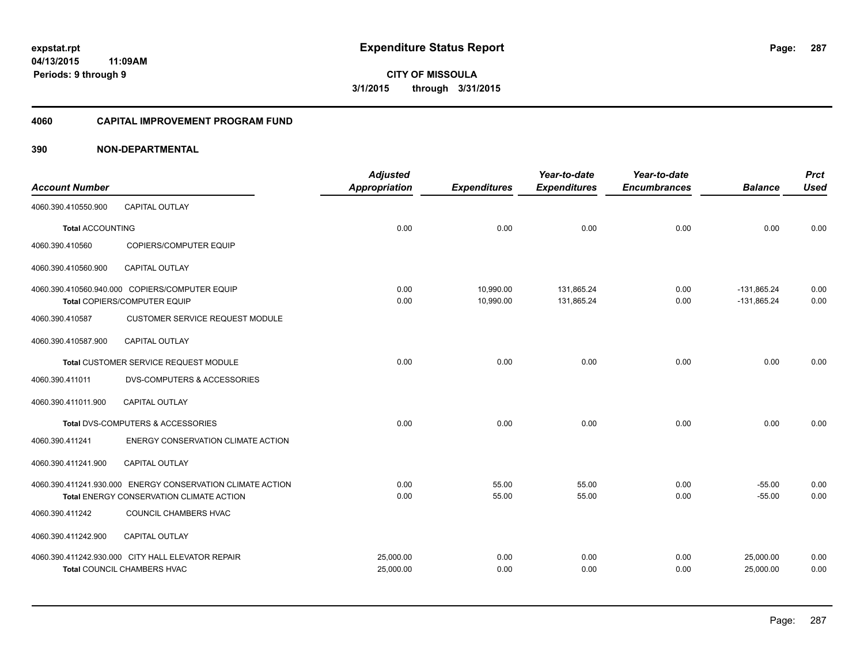**Periods: 9 through 9**

**CITY OF MISSOULA 3/1/2015 through 3/31/2015**

#### **4060 CAPITAL IMPROVEMENT PROGRAM FUND**

# **390 NON-DEPARTMENTAL**

**11:09AM**

|                         |                                                            | <b>Adjusted</b>      |                     | Year-to-date        | Year-to-date        |                | <b>Prct</b> |
|-------------------------|------------------------------------------------------------|----------------------|---------------------|---------------------|---------------------|----------------|-------------|
| <b>Account Number</b>   |                                                            | <b>Appropriation</b> | <b>Expenditures</b> | <b>Expenditures</b> | <b>Encumbrances</b> | <b>Balance</b> | <b>Used</b> |
| 4060.390.410550.900     | <b>CAPITAL OUTLAY</b>                                      |                      |                     |                     |                     |                |             |
| <b>Total ACCOUNTING</b> |                                                            | 0.00                 | 0.00                | 0.00                | 0.00                | 0.00           | 0.00        |
| 4060.390.410560         | <b>COPIERS/COMPUTER EQUIP</b>                              |                      |                     |                     |                     |                |             |
| 4060.390.410560.900     | <b>CAPITAL OUTLAY</b>                                      |                      |                     |                     |                     |                |             |
|                         | 4060.390.410560.940.000 COPIERS/COMPUTER EQUIP             | 0.00                 | 10,990.00           | 131.865.24          | 0.00                | $-131.865.24$  | 0.00        |
|                         | Total COPIERS/COMPUTER EQUIP                               | 0.00                 | 10,990.00           | 131,865.24          | 0.00                | $-131.865.24$  | 0.00        |
| 4060.390.410587         | <b>CUSTOMER SERVICE REQUEST MODULE</b>                     |                      |                     |                     |                     |                |             |
| 4060.390.410587.900     | <b>CAPITAL OUTLAY</b>                                      |                      |                     |                     |                     |                |             |
|                         | Total CUSTOMER SERVICE REQUEST MODULE                      | 0.00                 | 0.00                | 0.00                | 0.00                | 0.00           | 0.00        |
| 4060.390.411011         | DVS-COMPUTERS & ACCESSORIES                                |                      |                     |                     |                     |                |             |
| 4060.390.411011.900     | <b>CAPITAL OUTLAY</b>                                      |                      |                     |                     |                     |                |             |
|                         | Total DVS-COMPUTERS & ACCESSORIES                          | 0.00                 | 0.00                | 0.00                | 0.00                | 0.00           | 0.00        |
| 4060.390.411241         | ENERGY CONSERVATION CLIMATE ACTION                         |                      |                     |                     |                     |                |             |
| 4060.390.411241.900     | <b>CAPITAL OUTLAY</b>                                      |                      |                     |                     |                     |                |             |
|                         | 4060.390.411241.930.000 ENERGY CONSERVATION CLIMATE ACTION | 0.00                 | 55.00               | 55.00               | 0.00                | $-55.00$       | 0.00        |
|                         | Total ENERGY CONSERVATION CLIMATE ACTION                   | 0.00                 | 55.00               | 55.00               | 0.00                | $-55.00$       | 0.00        |
| 4060.390.411242         | COUNCIL CHAMBERS HVAC                                      |                      |                     |                     |                     |                |             |
| 4060.390.411242.900     | <b>CAPITAL OUTLAY</b>                                      |                      |                     |                     |                     |                |             |
|                         | 4060.390.411242.930.000 CITY HALL ELEVATOR REPAIR          | 25,000.00            | 0.00                | 0.00                | 0.00                | 25,000.00      | 0.00        |
|                         | Total COUNCIL CHAMBERS HVAC                                | 25,000.00            | 0.00                | 0.00                | 0.00                | 25,000.00      | 0.00        |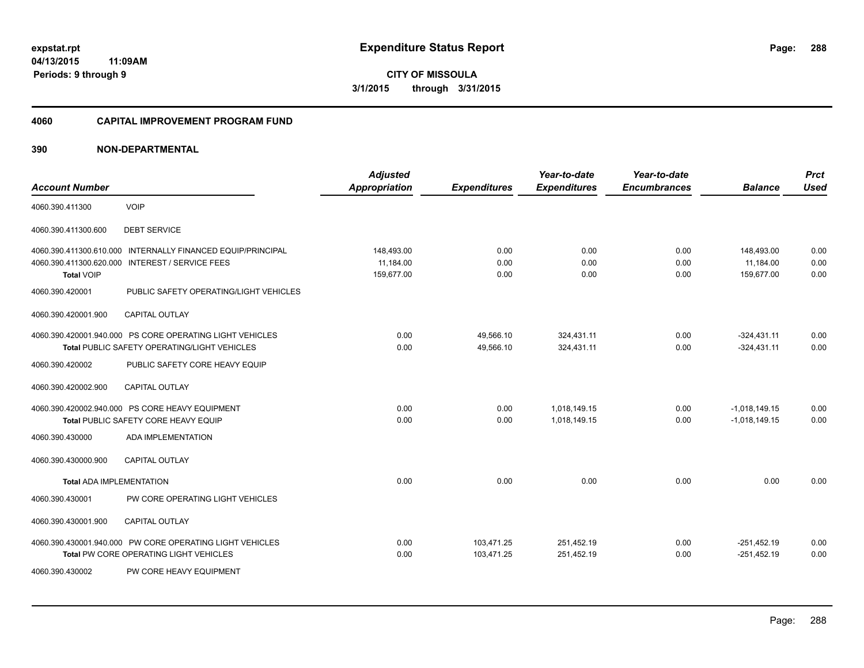**04/13/2015 11:09AM Periods: 9 through 9**

**CITY OF MISSOULA 3/1/2015 through 3/31/2015**

#### **4060 CAPITAL IMPROVEMENT PROGRAM FUND**

| <b>Account Number</b>                                                                      |                                                                                                                                                   | <b>Adjusted</b><br><b>Appropriation</b> | <b>Expenditures</b>      | Year-to-date<br><b>Expenditures</b> | Year-to-date<br><b>Encumbrances</b> | <b>Balance</b>                        | <b>Prct</b><br><b>Used</b> |
|--------------------------------------------------------------------------------------------|---------------------------------------------------------------------------------------------------------------------------------------------------|-----------------------------------------|--------------------------|-------------------------------------|-------------------------------------|---------------------------------------|----------------------------|
| 4060.390.411300                                                                            | <b>VOIP</b>                                                                                                                                       |                                         |                          |                                     |                                     |                                       |                            |
| 4060.390.411300.600                                                                        | <b>DEBT SERVICE</b>                                                                                                                               |                                         |                          |                                     |                                     |                                       |                            |
| 4060.390.411300.610.000<br>4060.390.411300.620.000<br><b>Total VOIP</b><br>4060.390.420001 | INTERNALLY FINANCED EQUIP/PRINCIPAL<br><b>INTEREST / SERVICE FEES</b><br>PUBLIC SAFETY OPERATING/LIGHT VEHICLES                                   | 148,493.00<br>11,184.00<br>159,677.00   | 0.00<br>0.00<br>0.00     | 0.00<br>0.00<br>0.00                | 0.00<br>0.00<br>0.00                | 148,493.00<br>11,184.00<br>159,677.00 | 0.00<br>0.00<br>0.00       |
| 4060.390.420001.900                                                                        | <b>CAPITAL OUTLAY</b>                                                                                                                             |                                         |                          |                                     |                                     |                                       |                            |
| 4060.390.420002                                                                            | 4060.390.420001.940.000 PS CORE OPERATING LIGHT VEHICLES<br><b>Total PUBLIC SAFETY OPERATING/LIGHT VEHICLES</b><br>PUBLIC SAFETY CORE HEAVY EQUIP | 0.00<br>0.00                            | 49,566.10<br>49,566.10   | 324,431.11<br>324,431.11            | 0.00<br>0.00                        | $-324,431.11$<br>$-324,431.11$        | 0.00<br>0.00               |
| 4060.390.420002.900                                                                        | <b>CAPITAL OUTLAY</b>                                                                                                                             |                                         |                          |                                     |                                     |                                       |                            |
| 4060.390.430000                                                                            | 4060.390.420002.940.000 PS CORE HEAVY EQUIPMENT<br>Total PUBLIC SAFETY CORE HEAVY EQUIP<br><b>ADA IMPLEMENTATION</b>                              | 0.00<br>0.00                            | 0.00<br>0.00             | 1,018,149.15<br>1,018,149.15        | 0.00<br>0.00                        | $-1,018,149.15$<br>$-1,018,149.15$    | 0.00<br>0.00               |
| 4060.390.430000.900                                                                        | <b>CAPITAL OUTLAY</b>                                                                                                                             |                                         |                          |                                     |                                     |                                       |                            |
| <b>Total ADA IMPLEMENTATION</b>                                                            |                                                                                                                                                   | 0.00                                    | 0.00                     | 0.00                                | 0.00                                | 0.00                                  | 0.00                       |
| 4060.390.430001                                                                            | PW CORE OPERATING LIGHT VEHICLES                                                                                                                  |                                         |                          |                                     |                                     |                                       |                            |
| 4060.390.430001.900                                                                        | <b>CAPITAL OUTLAY</b>                                                                                                                             |                                         |                          |                                     |                                     |                                       |                            |
|                                                                                            | 4060.390.430001.940.000 PW CORE OPERATING LIGHT VEHICLES<br><b>Total PW CORE OPERATING LIGHT VEHICLES</b>                                         | 0.00<br>0.00                            | 103,471.25<br>103,471.25 | 251,452.19<br>251,452.19            | 0.00<br>0.00                        | $-251,452.19$<br>$-251,452.19$        | 0.00<br>0.00               |
| 4060.390.430002                                                                            | PW CORE HEAVY EQUIPMENT                                                                                                                           |                                         |                          |                                     |                                     |                                       |                            |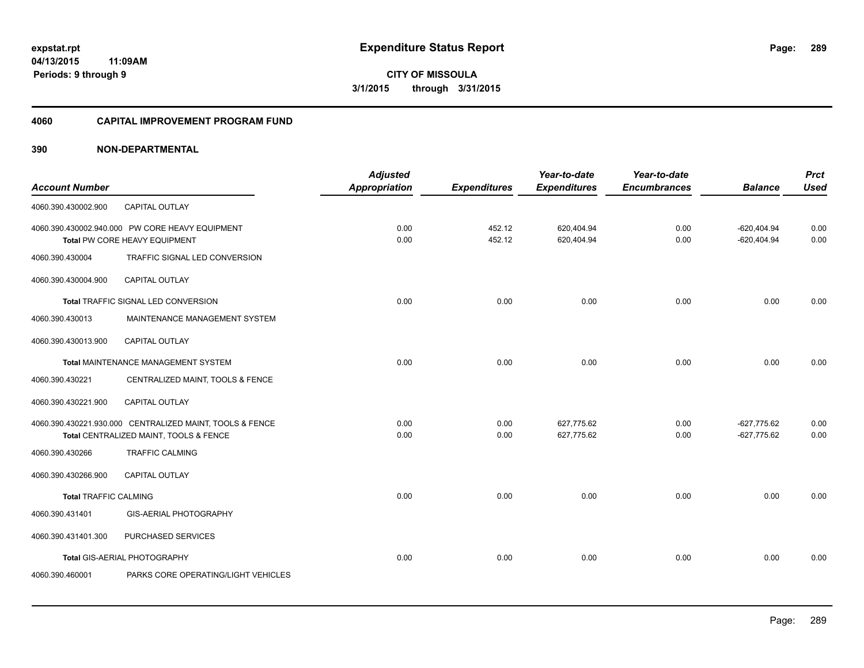**Periods: 9 through 9**

**CITY OF MISSOULA 3/1/2015 through 3/31/2015**

#### **4060 CAPITAL IMPROVEMENT PROGRAM FUND**

#### **390 NON-DEPARTMENTAL**

**11:09AM**

| <b>Account Number</b>        |                                                                                                    | <b>Adjusted</b><br><b>Appropriation</b> | <b>Expenditures</b> | Year-to-date<br><b>Expenditures</b> | Year-to-date<br><b>Encumbrances</b> | <b>Balance</b>                 | <b>Prct</b><br><b>Used</b> |
|------------------------------|----------------------------------------------------------------------------------------------------|-----------------------------------------|---------------------|-------------------------------------|-------------------------------------|--------------------------------|----------------------------|
| 4060.390.430002.900          | <b>CAPITAL OUTLAY</b>                                                                              |                                         |                     |                                     |                                     |                                |                            |
|                              | 4060.390.430002.940.000 PW CORE HEAVY EQUIPMENT<br>Total PW CORE HEAVY EQUIPMENT                   | 0.00<br>0.00                            | 452.12<br>452.12    | 620,404.94<br>620,404.94            | 0.00<br>0.00                        | $-620,404.94$<br>$-620,404.94$ | 0.00<br>0.00               |
| 4060.390.430004              | TRAFFIC SIGNAL LED CONVERSION                                                                      |                                         |                     |                                     |                                     |                                |                            |
| 4060.390.430004.900          | <b>CAPITAL OUTLAY</b>                                                                              |                                         |                     |                                     |                                     |                                |                            |
|                              | Total TRAFFIC SIGNAL LED CONVERSION                                                                | 0.00                                    | 0.00                | 0.00                                | 0.00                                | 0.00                           | 0.00                       |
| 4060.390.430013              | MAINTENANCE MANAGEMENT SYSTEM                                                                      |                                         |                     |                                     |                                     |                                |                            |
| 4060.390.430013.900          | CAPITAL OUTLAY                                                                                     |                                         |                     |                                     |                                     |                                |                            |
|                              | Total MAINTENANCE MANAGEMENT SYSTEM                                                                | 0.00                                    | 0.00                | 0.00                                | 0.00                                | 0.00                           | 0.00                       |
| 4060.390.430221              | CENTRALIZED MAINT, TOOLS & FENCE                                                                   |                                         |                     |                                     |                                     |                                |                            |
| 4060.390.430221.900          | <b>CAPITAL OUTLAY</b>                                                                              |                                         |                     |                                     |                                     |                                |                            |
|                              | 4060.390.430221.930.000 CENTRALIZED MAINT, TOOLS & FENCE<br>Total CENTRALIZED MAINT, TOOLS & FENCE | 0.00<br>0.00                            | 0.00<br>0.00        | 627,775.62<br>627,775.62            | 0.00<br>0.00                        | $-627,775.62$<br>$-627,775.62$ | 0.00<br>0.00               |
| 4060.390.430266              | <b>TRAFFIC CALMING</b>                                                                             |                                         |                     |                                     |                                     |                                |                            |
| 4060.390.430266.900          | CAPITAL OUTLAY                                                                                     |                                         |                     |                                     |                                     |                                |                            |
| <b>Total TRAFFIC CALMING</b> |                                                                                                    | 0.00                                    | 0.00                | 0.00                                | 0.00                                | 0.00                           | 0.00                       |
| 4060.390.431401              | GIS-AERIAL PHOTOGRAPHY                                                                             |                                         |                     |                                     |                                     |                                |                            |
| 4060.390.431401.300          | PURCHASED SERVICES                                                                                 |                                         |                     |                                     |                                     |                                |                            |
|                              | Total GIS-AERIAL PHOTOGRAPHY                                                                       | 0.00                                    | 0.00                | 0.00                                | 0.00                                | 0.00                           | 0.00                       |
| 4060.390.460001              | PARKS CORE OPERATING/LIGHT VEHICLES                                                                |                                         |                     |                                     |                                     |                                |                            |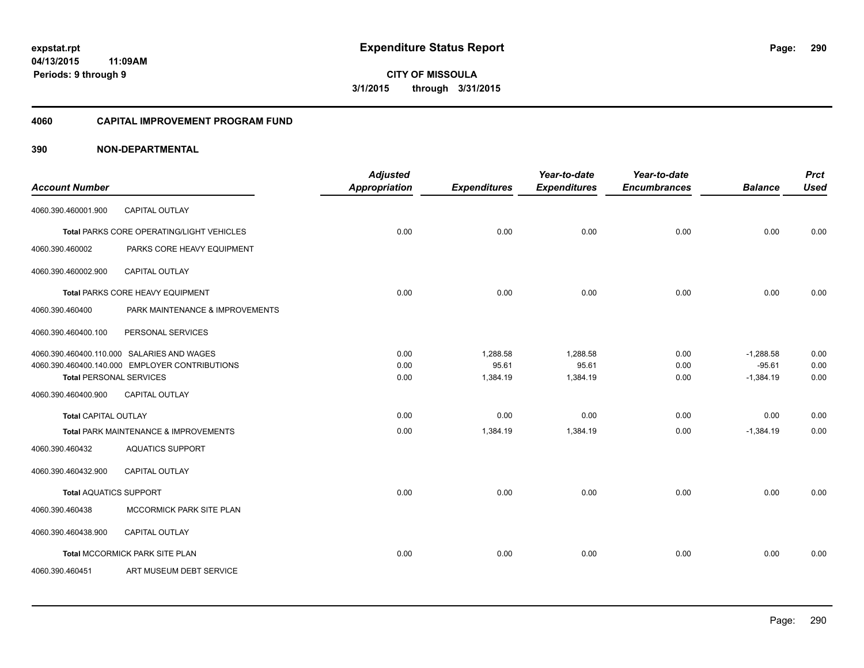# **04/13/2015**

**290**

**11:09AM Periods: 9 through 9**

**CITY OF MISSOULA 3/1/2015 through 3/31/2015**

#### **4060 CAPITAL IMPROVEMENT PROGRAM FUND**

|                                |                                                | <b>Adjusted</b>      |                     | Year-to-date        | Year-to-date        |                | <b>Prct</b> |
|--------------------------------|------------------------------------------------|----------------------|---------------------|---------------------|---------------------|----------------|-------------|
| <b>Account Number</b>          |                                                | <b>Appropriation</b> | <b>Expenditures</b> | <b>Expenditures</b> | <b>Encumbrances</b> | <b>Balance</b> | <b>Used</b> |
| 4060.390.460001.900            | <b>CAPITAL OUTLAY</b>                          |                      |                     |                     |                     |                |             |
|                                | Total PARKS CORE OPERATING/LIGHT VEHICLES      | 0.00                 | 0.00                | 0.00                | 0.00                | 0.00           | 0.00        |
| 4060.390.460002                | PARKS CORE HEAVY EQUIPMENT                     |                      |                     |                     |                     |                |             |
| 4060.390.460002.900            | <b>CAPITAL OUTLAY</b>                          |                      |                     |                     |                     |                |             |
|                                | Total PARKS CORE HEAVY EQUIPMENT               | 0.00                 | 0.00                | 0.00                | 0.00                | 0.00           | 0.00        |
| 4060.390.460400                | PARK MAINTENANCE & IMPROVEMENTS                |                      |                     |                     |                     |                |             |
| 4060.390.460400.100            | PERSONAL SERVICES                              |                      |                     |                     |                     |                |             |
|                                | 4060.390.460400.110.000 SALARIES AND WAGES     | 0.00                 | 1,288.58            | 1.288.58            | 0.00                | $-1,288.58$    | 0.00        |
|                                | 4060.390.460400.140.000 EMPLOYER CONTRIBUTIONS | 0.00                 | 95.61               | 95.61               | 0.00                | $-95.61$       | 0.00        |
| <b>Total PERSONAL SERVICES</b> |                                                | 0.00                 | 1,384.19            | 1,384.19            | 0.00                | $-1,384.19$    | 0.00        |
| 4060.390.460400.900            | <b>CAPITAL OUTLAY</b>                          |                      |                     |                     |                     |                |             |
| <b>Total CAPITAL OUTLAY</b>    |                                                | 0.00                 | 0.00                | 0.00                | 0.00                | 0.00           | 0.00        |
|                                | Total PARK MAINTENANCE & IMPROVEMENTS          | 0.00                 | 1,384.19            | 1,384.19            | 0.00                | $-1,384.19$    | 0.00        |
| 4060.390.460432                | <b>AQUATICS SUPPORT</b>                        |                      |                     |                     |                     |                |             |
| 4060.390.460432.900            | <b>CAPITAL OUTLAY</b>                          |                      |                     |                     |                     |                |             |
| <b>Total AQUATICS SUPPORT</b>  |                                                | 0.00                 | 0.00                | 0.00                | 0.00                | 0.00           | 0.00        |
| 4060.390.460438                | MCCORMICK PARK SITE PLAN                       |                      |                     |                     |                     |                |             |
| 4060.390.460438.900            | CAPITAL OUTLAY                                 |                      |                     |                     |                     |                |             |
|                                | Total MCCORMICK PARK SITE PLAN                 | 0.00                 | 0.00                | 0.00                | 0.00                | 0.00           | 0.00        |
| 4060.390.460451                | ART MUSEUM DEBT SERVICE                        |                      |                     |                     |                     |                |             |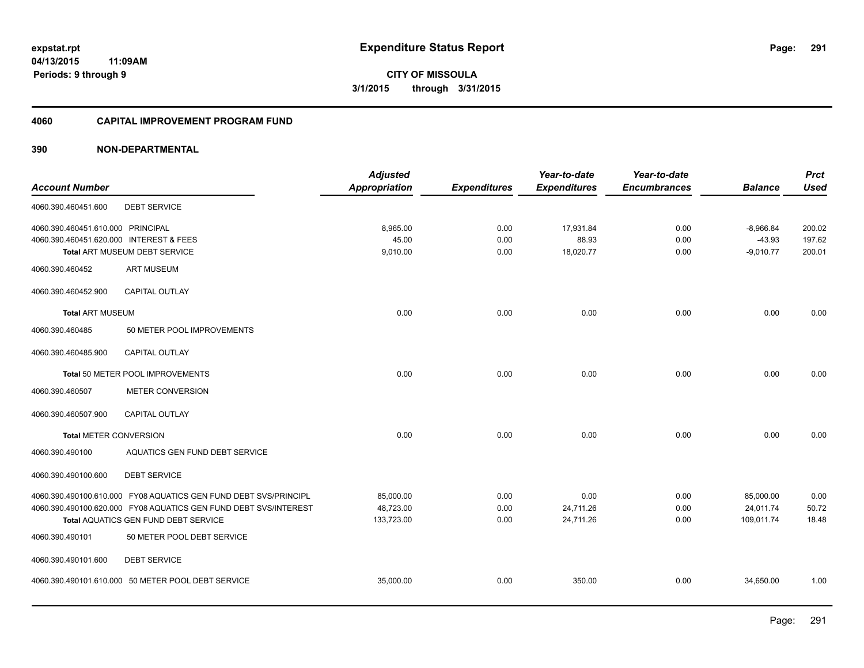**Periods: 9 through 9**

**291**

**CITY OF MISSOULA 3/1/2015 through 3/31/2015**

#### **4060 CAPITAL IMPROVEMENT PROGRAM FUND**

#### **390 NON-DEPARTMENTAL**

**11:09AM**

|                                         |                                                                  | <b>Adjusted</b>      |                     | Year-to-date        | Year-to-date        |                | <b>Prct</b> |
|-----------------------------------------|------------------------------------------------------------------|----------------------|---------------------|---------------------|---------------------|----------------|-------------|
| <b>Account Number</b>                   |                                                                  | <b>Appropriation</b> | <b>Expenditures</b> | <b>Expenditures</b> | <b>Encumbrances</b> | <b>Balance</b> | <b>Used</b> |
| 4060.390.460451.600                     | <b>DEBT SERVICE</b>                                              |                      |                     |                     |                     |                |             |
| 4060.390.460451.610.000 PRINCIPAL       |                                                                  | 8,965.00             | 0.00                | 17,931.84           | 0.00                | $-8,966.84$    | 200.02      |
| 4060.390.460451.620.000 INTEREST & FEES |                                                                  | 45.00                | 0.00                | 88.93               | 0.00                | $-43.93$       | 197.62      |
|                                         | Total ART MUSEUM DEBT SERVICE                                    | 9,010.00             | 0.00                | 18,020.77           | 0.00                | $-9,010.77$    | 200.01      |
| 4060.390.460452                         | <b>ART MUSEUM</b>                                                |                      |                     |                     |                     |                |             |
| 4060.390.460452.900                     | CAPITAL OUTLAY                                                   |                      |                     |                     |                     |                |             |
| <b>Total ART MUSEUM</b>                 |                                                                  | 0.00                 | 0.00                | 0.00                | 0.00                | 0.00           | 0.00        |
| 4060.390.460485                         | 50 METER POOL IMPROVEMENTS                                       |                      |                     |                     |                     |                |             |
| 4060.390.460485.900                     | CAPITAL OUTLAY                                                   |                      |                     |                     |                     |                |             |
|                                         | Total 50 METER POOL IMPROVEMENTS                                 | 0.00                 | 0.00                | 0.00                | 0.00                | 0.00           | 0.00        |
| 4060.390.460507                         | METER CONVERSION                                                 |                      |                     |                     |                     |                |             |
| 4060.390.460507.900                     | <b>CAPITAL OUTLAY</b>                                            |                      |                     |                     |                     |                |             |
| <b>Total METER CONVERSION</b>           |                                                                  | 0.00                 | 0.00                | 0.00                | 0.00                | 0.00           | 0.00        |
| 4060.390.490100                         | AQUATICS GEN FUND DEBT SERVICE                                   |                      |                     |                     |                     |                |             |
| 4060.390.490100.600                     | <b>DEBT SERVICE</b>                                              |                      |                     |                     |                     |                |             |
|                                         | 4060.390.490100.610.000 FY08 AQUATICS GEN FUND DEBT SVS/PRINCIPL | 85,000.00            | 0.00                | 0.00                | 0.00                | 85,000.00      | 0.00        |
|                                         | 4060.390.490100.620.000 FY08 AQUATICS GEN FUND DEBT SVS/INTEREST | 48,723.00            | 0.00                | 24,711.26           | 0.00                | 24,011.74      | 50.72       |
|                                         | Total AQUATICS GEN FUND DEBT SERVICE                             | 133,723.00           | 0.00                | 24,711.26           | 0.00                | 109,011.74     | 18.48       |
| 4060.390.490101                         | 50 METER POOL DEBT SERVICE                                       |                      |                     |                     |                     |                |             |
| 4060.390.490101.600                     | <b>DEBT SERVICE</b>                                              |                      |                     |                     |                     |                |             |
|                                         | 4060.390.490101.610.000 50 METER POOL DEBT SERVICE               | 35,000.00            | 0.00                | 350.00              | 0.00                | 34,650.00      | 1.00        |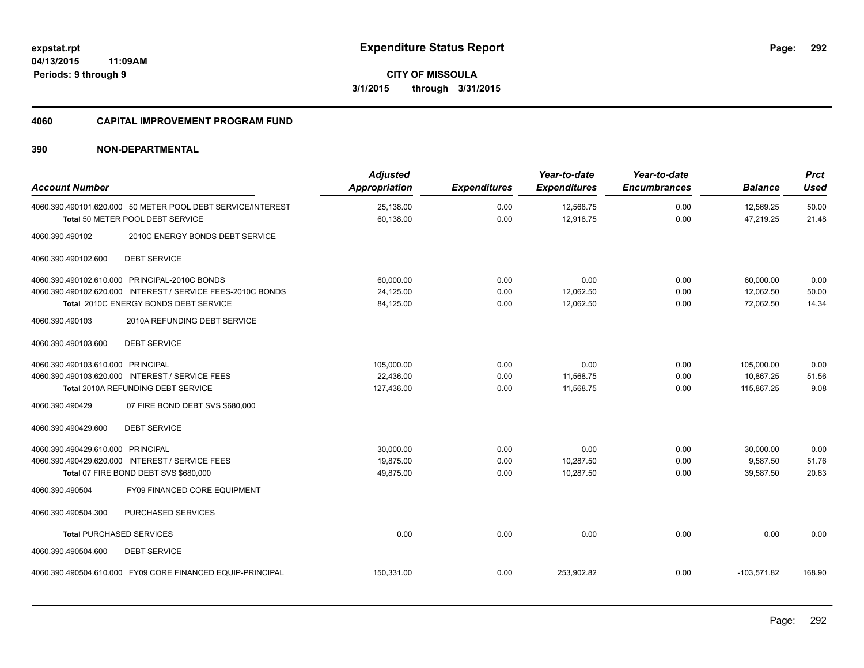**292**

**04/13/2015 11:09AM Periods: 9 through 9**

**CITY OF MISSOULA 3/1/2015 through 3/31/2015**

#### **4060 CAPITAL IMPROVEMENT PROGRAM FUND**

| <b>Account Number</b>                                                                                                                                                                                    | <b>Adjusted</b><br><b>Appropriation</b> | <b>Expenditures</b>  | Year-to-date<br><b>Expenditures</b> | Year-to-date<br><b>Encumbrances</b> | <b>Balance</b>                        | <b>Prct</b><br>Used    |
|----------------------------------------------------------------------------------------------------------------------------------------------------------------------------------------------------------|-----------------------------------------|----------------------|-------------------------------------|-------------------------------------|---------------------------------------|------------------------|
| 4060.390.490101.620.000 50 METER POOL DEBT SERVICE/INTEREST<br>Total 50 METER POOL DEBT SERVICE                                                                                                          | 25,138.00<br>60,138.00                  | 0.00<br>0.00         | 12,568.75<br>12,918.75              | 0.00<br>0.00                        | 12,569.25<br>47,219.25                | 50.00<br>21.48         |
| 4060.390.490102<br>2010C ENERGY BONDS DEBT SERVICE                                                                                                                                                       |                                         |                      |                                     |                                     |                                       |                        |
| <b>DEBT SERVICE</b><br>4060.390.490102.600                                                                                                                                                               |                                         |                      |                                     |                                     |                                       |                        |
| 4060.390.490102.610.000 PRINCIPAL-2010C BONDS<br>4060.390.490102.620.000 INTEREST / SERVICE FEES-2010C BONDS<br>Total 2010C ENERGY BONDS DEBT SERVICE<br>4060.390.490103<br>2010A REFUNDING DEBT SERVICE | 60,000.00<br>24,125.00<br>84,125.00     | 0.00<br>0.00<br>0.00 | 0.00<br>12,062.50<br>12,062.50      | 0.00<br>0.00<br>0.00                | 60,000.00<br>12,062.50<br>72,062.50   | 0.00<br>50.00<br>14.34 |
| <b>DEBT SERVICE</b><br>4060.390.490103.600                                                                                                                                                               |                                         |                      |                                     |                                     |                                       |                        |
| 4060.390.490103.610.000 PRINCIPAL<br>4060.390.490103.620.000 INTEREST / SERVICE FEES<br>Total 2010A REFUNDING DEBT SERVICE                                                                               | 105,000.00<br>22.436.00<br>127,436.00   | 0.00<br>0.00<br>0.00 | 0.00<br>11,568.75<br>11.568.75      | 0.00<br>0.00<br>0.00                | 105,000.00<br>10.867.25<br>115.867.25 | 0.00<br>51.56<br>9.08  |
| 07 FIRE BOND DEBT SVS \$680,000<br>4060.390.490429<br><b>DEBT SERVICE</b><br>4060.390.490429.600                                                                                                         |                                         |                      |                                     |                                     |                                       |                        |
| 4060.390.490429.610.000 PRINCIPAL<br>4060.390.490429.620.000 INTEREST / SERVICE FEES<br>Total 07 FIRE BOND DEBT SVS \$680,000<br>FY09 FINANCED CORE EQUIPMENT<br>4060.390.490504                         | 30.000.00<br>19,875.00<br>49,875.00     | 0.00<br>0.00<br>0.00 | 0.00<br>10,287.50<br>10,287.50      | 0.00<br>0.00<br>0.00                | 30,000.00<br>9,587.50<br>39,587.50    | 0.00<br>51.76<br>20.63 |
| PURCHASED SERVICES<br>4060.390.490504.300                                                                                                                                                                |                                         |                      |                                     |                                     |                                       |                        |
| <b>Total PURCHASED SERVICES</b><br>4060.390.490504.600<br><b>DEBT SERVICE</b>                                                                                                                            | 0.00                                    | 0.00                 | 0.00                                | 0.00                                | 0.00                                  | 0.00                   |
| 4060.390.490504.610.000 FY09 CORE FINANCED EQUIP-PRINCIPAL                                                                                                                                               | 150,331.00                              | 0.00                 | 253,902.82                          | 0.00                                | $-103,571.82$                         | 168.90                 |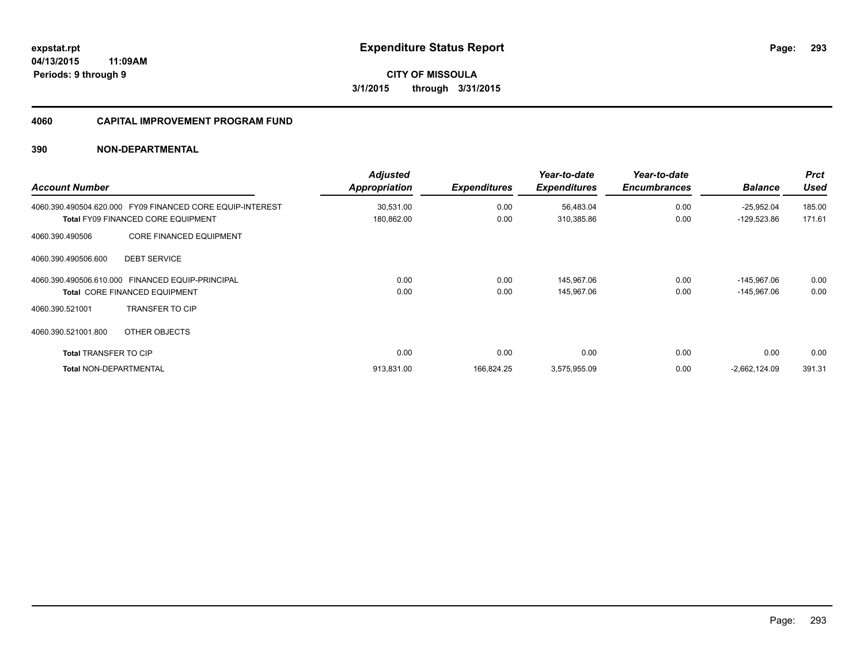#### **4060 CAPITAL IMPROVEMENT PROGRAM FUND**

| <b>Account Number</b>         |                                                                             | <b>Adjusted</b><br><b>Appropriation</b> | <b>Expenditures</b> | Year-to-date<br><b>Expenditures</b> | Year-to-date<br><b>Encumbrances</b> | <b>Balance</b>  | <b>Prct</b><br><b>Used</b> |
|-------------------------------|-----------------------------------------------------------------------------|-----------------------------------------|---------------------|-------------------------------------|-------------------------------------|-----------------|----------------------------|
| 4060.390.490504.620.000       | FY09 FINANCED CORE EQUIP-INTEREST                                           | 30,531.00                               | 0.00                | 56,483.04                           | 0.00                                | $-25,952.04$    | 185.00                     |
| 4060.390.490506               | <b>Total FY09 FINANCED CORE EQUIPMENT</b><br><b>CORE FINANCED EQUIPMENT</b> | 180,862.00                              | 0.00                | 310,385.86                          | 0.00                                | $-129,523.86$   | 171.61                     |
| 4060.390.490506.600           | <b>DEBT SERVICE</b>                                                         |                                         |                     |                                     |                                     |                 |                            |
| 4060.390.490506.610.000       | <b>FINANCED EQUIP-PRINCIPAL</b>                                             | 0.00                                    | 0.00                | 145.967.06                          | 0.00                                | $-145.967.06$   | 0.00                       |
| 4060.390.521001               | <b>Total CORE FINANCED EQUIPMENT</b><br><b>TRANSFER TO CIP</b>              | 0.00                                    | 0.00                | 145.967.06                          | 0.00                                | $-145.967.06$   | 0.00                       |
| 4060.390.521001.800           | OTHER OBJECTS                                                               |                                         |                     |                                     |                                     |                 |                            |
| <b>Total TRANSFER TO CIP</b>  |                                                                             | 0.00                                    | 0.00                | 0.00                                | 0.00                                | 0.00            | 0.00                       |
| <b>Total NON-DEPARTMENTAL</b> |                                                                             | 913,831.00                              | 166,824.25          | 3,575,955.09                        | 0.00                                | $-2,662,124.09$ | 391.31                     |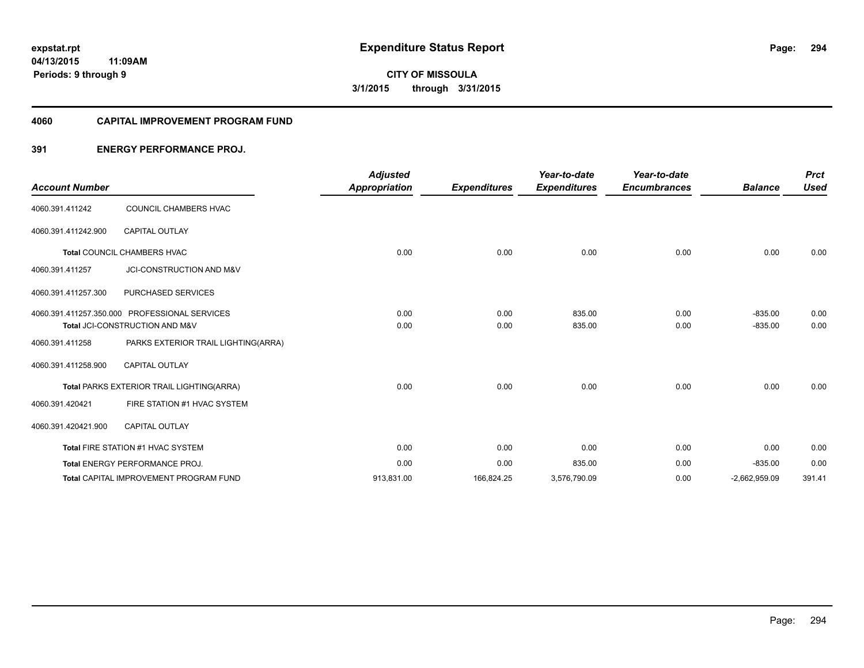**Periods: 9 through 9**

**CITY OF MISSOULA 3/1/2015 through 3/31/2015**

#### **4060 CAPITAL IMPROVEMENT PROGRAM FUND**

#### **391 ENERGY PERFORMANCE PROJ.**

**11:09AM**

|                       |                                               | <b>Adjusted</b>      |                     | Year-to-date        | Year-to-date        |                 | <b>Prct</b> |
|-----------------------|-----------------------------------------------|----------------------|---------------------|---------------------|---------------------|-----------------|-------------|
| <b>Account Number</b> |                                               | <b>Appropriation</b> | <b>Expenditures</b> | <b>Expenditures</b> | <b>Encumbrances</b> | <b>Balance</b>  | <b>Used</b> |
| 4060.391.411242       | COUNCIL CHAMBERS HVAC                         |                      |                     |                     |                     |                 |             |
| 4060.391.411242.900   | <b>CAPITAL OUTLAY</b>                         |                      |                     |                     |                     |                 |             |
|                       | Total COUNCIL CHAMBERS HVAC                   | 0.00                 | 0.00                | 0.00                | 0.00                | 0.00            | 0.00        |
| 4060.391.411257       | JCI-CONSTRUCTION AND M&V                      |                      |                     |                     |                     |                 |             |
| 4060.391.411257.300   | PURCHASED SERVICES                            |                      |                     |                     |                     |                 |             |
|                       | 4060.391.411257.350.000 PROFESSIONAL SERVICES | 0.00                 | 0.00                | 835.00              | 0.00                | $-835.00$       | 0.00        |
|                       | Total JCI-CONSTRUCTION AND M&V                | 0.00                 | 0.00                | 835.00              | 0.00                | $-835.00$       | 0.00        |
| 4060.391.411258       | PARKS EXTERIOR TRAIL LIGHTING(ARRA)           |                      |                     |                     |                     |                 |             |
| 4060.391.411258.900   | <b>CAPITAL OUTLAY</b>                         |                      |                     |                     |                     |                 |             |
|                       | Total PARKS EXTERIOR TRAIL LIGHTING(ARRA)     | 0.00                 | 0.00                | 0.00                | 0.00                | 0.00            | 0.00        |
| 4060.391.420421       | FIRE STATION #1 HVAC SYSTEM                   |                      |                     |                     |                     |                 |             |
| 4060.391.420421.900   | <b>CAPITAL OUTLAY</b>                         |                      |                     |                     |                     |                 |             |
|                       | Total FIRE STATION #1 HVAC SYSTEM             | 0.00                 | 0.00                | 0.00                | 0.00                | 0.00            | 0.00        |
|                       | Total ENERGY PERFORMANCE PROJ.                | 0.00                 | 0.00                | 835.00              | 0.00                | $-835.00$       | 0.00        |
|                       | <b>Total CAPITAL IMPROVEMENT PROGRAM FUND</b> | 913,831.00           | 166,824.25          | 3,576,790.09        | 0.00                | $-2,662,959.09$ | 391.41      |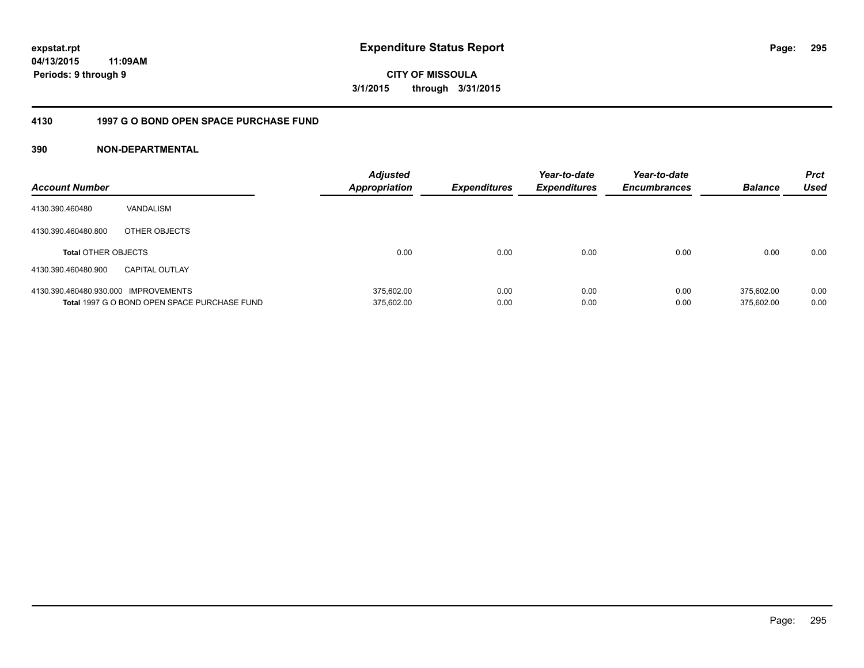**CITY OF MISSOULA 3/1/2015 through 3/31/2015**

#### **4130 1997 G O BOND OPEN SPACE PURCHASE FUND**

| <b>Account Number</b>                |                                              | <b>Adjusted</b><br><b>Appropriation</b> | <b>Expenditures</b> | Year-to-date<br><b>Expenditures</b> | Year-to-date<br><b>Encumbrances</b> | <b>Balance</b> | <b>Prct</b><br><b>Used</b> |
|--------------------------------------|----------------------------------------------|-----------------------------------------|---------------------|-------------------------------------|-------------------------------------|----------------|----------------------------|
| 4130.390.460480                      | VANDALISM                                    |                                         |                     |                                     |                                     |                |                            |
| 4130.390.460480.800                  | OTHER OBJECTS                                |                                         |                     |                                     |                                     |                |                            |
| <b>Total OTHER OBJECTS</b>           |                                              | 0.00                                    | 0.00                | 0.00                                | 0.00                                | 0.00           | 0.00                       |
| 4130.390.460480.900                  | <b>CAPITAL OUTLAY</b>                        |                                         |                     |                                     |                                     |                |                            |
| 4130.390.460480.930.000 IMPROVEMENTS |                                              | 375.602.00                              | 0.00                | 0.00                                | 0.00                                | 375.602.00     | 0.00                       |
|                                      | Total 1997 G O BOND OPEN SPACE PURCHASE FUND | 375,602.00                              | 0.00                | 0.00                                | 0.00                                | 375.602.00     | 0.00                       |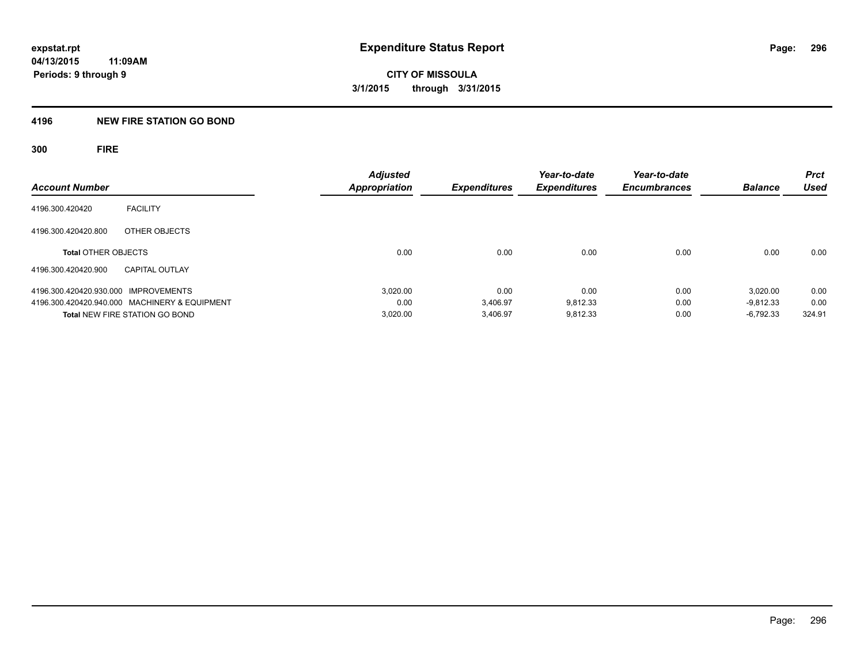#### **4196 NEW FIRE STATION GO BOND**

**300 FIRE**

| <b>Account Number</b>                         | <b>Adjusted</b><br><b>Appropriation</b> | Expenditures | Year-to-date<br><b>Expenditures</b> | Year-to-date<br><b>Encumbrances</b> | <b>Balance</b> | <b>Prct</b><br>Used |
|-----------------------------------------------|-----------------------------------------|--------------|-------------------------------------|-------------------------------------|----------------|---------------------|
|                                               |                                         |              |                                     |                                     |                |                     |
| <b>FACILITY</b><br>4196.300.420420            |                                         |              |                                     |                                     |                |                     |
| 4196.300.420420.800<br>OTHER OBJECTS          |                                         |              |                                     |                                     |                |                     |
| <b>Total OTHER OBJECTS</b>                    | 0.00                                    | 0.00         | 0.00                                | 0.00                                | 0.00           | 0.00                |
| 4196.300.420420.900<br><b>CAPITAL OUTLAY</b>  |                                         |              |                                     |                                     |                |                     |
| 4196.300.420420.930.000 IMPROVEMENTS          | 3.020.00                                | 0.00         | 0.00                                | 0.00                                | 3.020.00       | 0.00                |
| 4196.300.420420.940.000 MACHINERY & EQUIPMENT | 0.00                                    | 3.406.97     | 9.812.33                            | 0.00                                | $-9.812.33$    | 0.00                |
| <b>Total NEW FIRE STATION GO BOND</b>         | 3,020.00                                | 3.406.97     | 9.812.33                            | 0.00                                | $-6,792.33$    | 324.91              |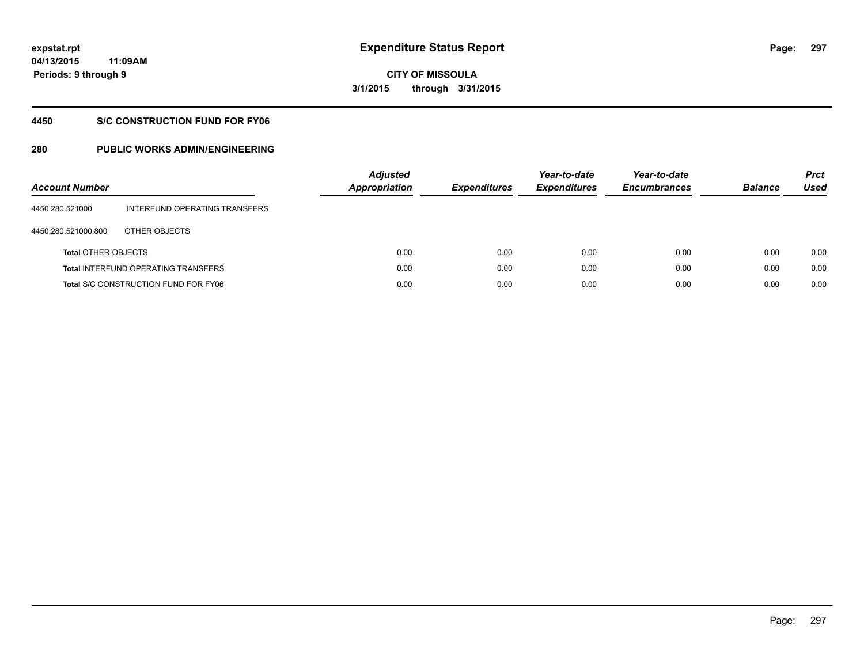**297**

**04/13/2015 11:09AM Periods: 9 through 9**

**CITY OF MISSOULA 3/1/2015 through 3/31/2015**

#### **4450 S/C CONSTRUCTION FUND FOR FY06**

| <b>Account Number</b>      |                                             | <b>Adjusted</b><br>Appropriation | <b>Expenditures</b> | Year-to-date<br><b>Expenditures</b> | Year-to-date<br><b>Encumbrances</b> | <b>Balance</b> | <b>Prct</b><br>Used |
|----------------------------|---------------------------------------------|----------------------------------|---------------------|-------------------------------------|-------------------------------------|----------------|---------------------|
| 4450.280.521000            | INTERFUND OPERATING TRANSFERS               |                                  |                     |                                     |                                     |                |                     |
| 4450.280.521000.800        | OTHER OBJECTS                               |                                  |                     |                                     |                                     |                |                     |
| <b>Total OTHER OBJECTS</b> |                                             | 0.00                             | 0.00                | 0.00                                | 0.00                                | 0.00           | 0.00                |
|                            | <b>Total INTERFUND OPERATING TRANSFERS</b>  | 0.00                             | 0.00                | 0.00                                | 0.00                                | 0.00           | 0.00                |
|                            | <b>Total S/C CONSTRUCTION FUND FOR FY06</b> | 0.00                             | 0.00                | 0.00                                | 0.00                                | 0.00           | 0.00                |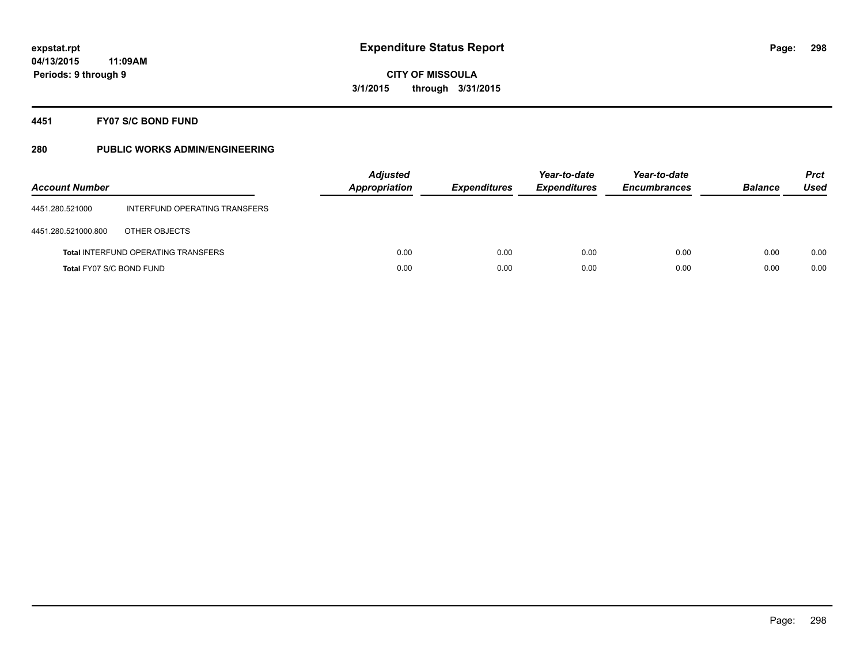### **4451 FY07 S/C BOND FUND**

| <b>Account Number</b>    |                                            | <b>Adjusted</b><br><b>Appropriation</b> | <b>Expenditures</b> | Year-to-date<br><b>Expenditures</b> | Year-to-date<br><b>Encumbrances</b> | <b>Balance</b> | <b>Prct</b><br>Used |
|--------------------------|--------------------------------------------|-----------------------------------------|---------------------|-------------------------------------|-------------------------------------|----------------|---------------------|
| 4451.280.521000          | INTERFUND OPERATING TRANSFERS              |                                         |                     |                                     |                                     |                |                     |
| 4451.280.521000.800      | OTHER OBJECTS                              |                                         |                     |                                     |                                     |                |                     |
|                          | <b>Total INTERFUND OPERATING TRANSFERS</b> | 0.00                                    | 0.00                | 0.00                                | 0.00                                | 0.00           | 0.00                |
| Total FY07 S/C BOND FUND |                                            | 0.00                                    | 0.00                | 0.00                                | 0.00                                | 0.00           | 0.00                |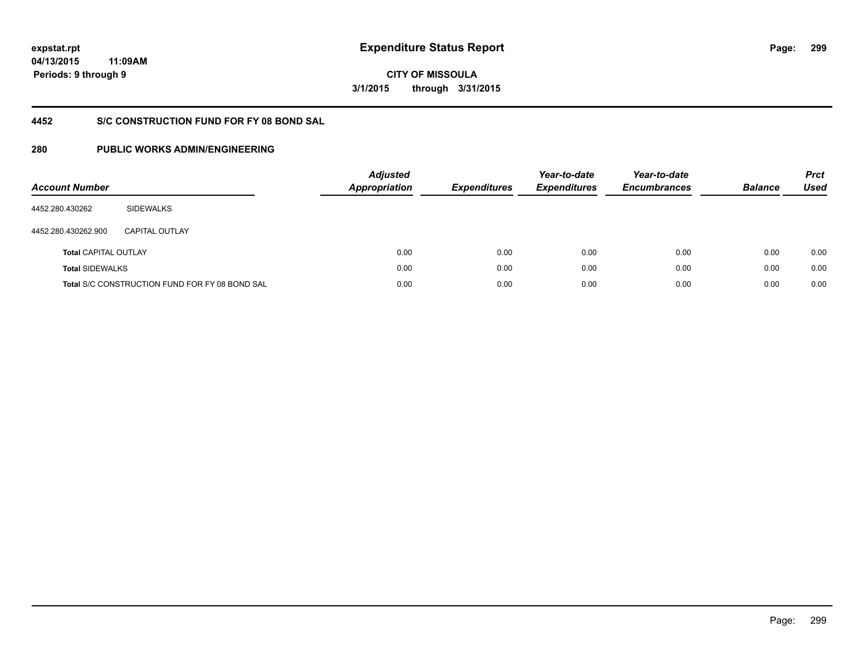# **CITY OF MISSOULA 3/1/2015 through 3/31/2015**

#### **4452 S/C CONSTRUCTION FUND FOR FY 08 BOND SAL**

| <b>Account Number</b>       |                                                       | <b>Adjusted</b><br>Appropriation | <b>Expenditures</b> | Year-to-date<br><b>Expenditures</b> | Year-to-date<br><b>Encumbrances</b> | <b>Balance</b> | <b>Prct</b><br><b>Used</b> |
|-----------------------------|-------------------------------------------------------|----------------------------------|---------------------|-------------------------------------|-------------------------------------|----------------|----------------------------|
| 4452.280.430262             | <b>SIDEWALKS</b>                                      |                                  |                     |                                     |                                     |                |                            |
| 4452.280.430262.900         | CAPITAL OUTLAY                                        |                                  |                     |                                     |                                     |                |                            |
| <b>Total CAPITAL OUTLAY</b> |                                                       | 0.00                             | 0.00                | 0.00                                | 0.00                                | 0.00           | 0.00                       |
| <b>Total SIDEWALKS</b>      |                                                       | 0.00                             | 0.00                | 0.00                                | 0.00                                | 0.00           | 0.00                       |
|                             | <b>Total S/C CONSTRUCTION FUND FOR FY 08 BOND SAL</b> | 0.00                             | 0.00                | 0.00                                | 0.00                                | 0.00           | 0.00                       |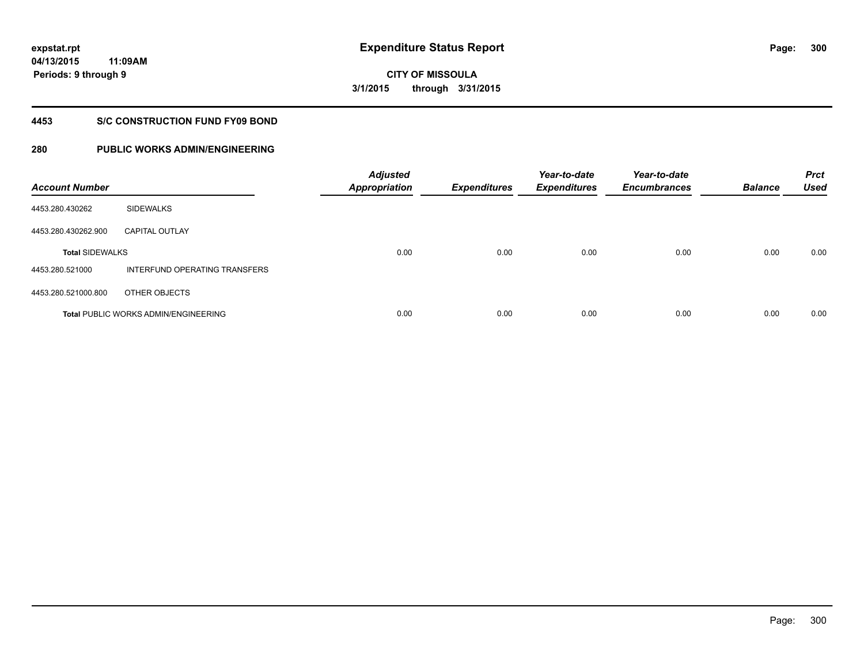**300**

**04/13/2015 11:09AM Periods: 9 through 9**

**CITY OF MISSOULA 3/1/2015 through 3/31/2015**

#### **4453 S/C CONSTRUCTION FUND FY09 BOND**

| <b>Account Number</b>  |                                             | <b>Adjusted</b><br><b>Appropriation</b> | <b>Expenditures</b> | Year-to-date<br><b>Expenditures</b> | Year-to-date<br><b>Encumbrances</b> | <b>Balance</b> | <b>Prct</b><br><b>Used</b> |
|------------------------|---------------------------------------------|-----------------------------------------|---------------------|-------------------------------------|-------------------------------------|----------------|----------------------------|
| 4453.280.430262        | <b>SIDEWALKS</b>                            |                                         |                     |                                     |                                     |                |                            |
| 4453.280.430262.900    | <b>CAPITAL OUTLAY</b>                       |                                         |                     |                                     |                                     |                |                            |
| <b>Total SIDEWALKS</b> |                                             | 0.00                                    | 0.00                | 0.00                                | 0.00                                | 0.00           | 0.00                       |
| 4453.280.521000        | INTERFUND OPERATING TRANSFERS               |                                         |                     |                                     |                                     |                |                            |
| 4453.280.521000.800    | OTHER OBJECTS                               |                                         |                     |                                     |                                     |                |                            |
|                        | <b>Total PUBLIC WORKS ADMIN/ENGINEERING</b> | 0.00                                    | 0.00                | 0.00                                | 0.00                                | 0.00           | 0.00                       |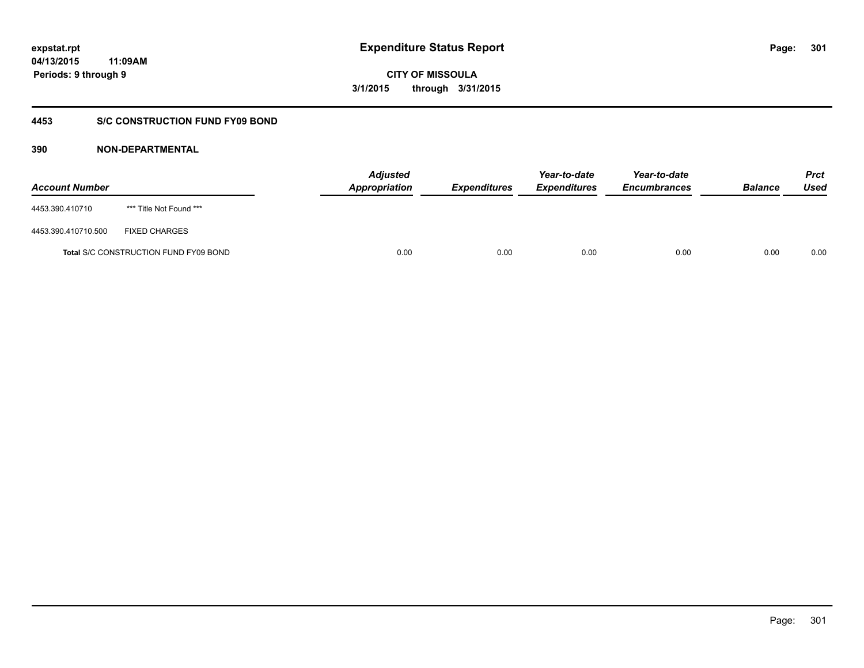**CITY OF MISSOULA 3/1/2015 through 3/31/2015**

### **4453 S/C CONSTRUCTION FUND FY09 BOND**

| <b>Account Number</b> |                                       | <b>Adjusted</b><br><b>Appropriation</b> | <b>Expenditures</b> | Year-to-date<br><b>Expenditures</b> | Year-to-date<br><b>Encumbrances</b> | <b>Balance</b> | <b>Prct</b><br>Used |
|-----------------------|---------------------------------------|-----------------------------------------|---------------------|-------------------------------------|-------------------------------------|----------------|---------------------|
| 4453.390.410710       | *** Title Not Found ***               |                                         |                     |                                     |                                     |                |                     |
| 4453.390.410710.500   | <b>FIXED CHARGES</b>                  |                                         |                     |                                     |                                     |                |                     |
|                       | Total S/C CONSTRUCTION FUND FY09 BOND | 0.00                                    | 0.00                | 0.00                                | 0.00                                | 0.00           | 0.00                |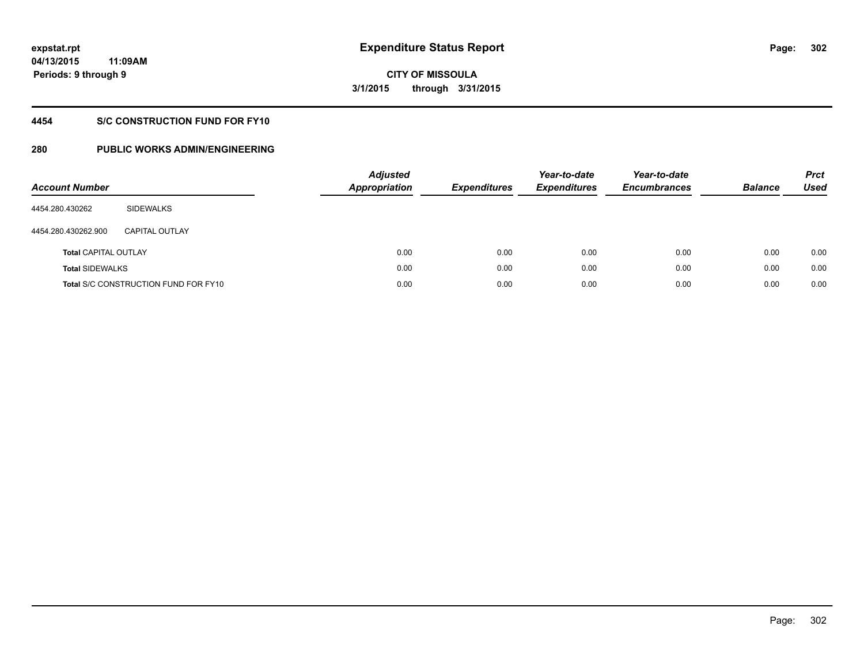# **CITY OF MISSOULA 3/1/2015 through 3/31/2015**

### **4454 S/C CONSTRUCTION FUND FOR FY10**

| <b>Account Number</b>       |                                             | <b>Adjusted</b><br>Appropriation | <b>Expenditures</b> | Year-to-date<br><b>Expenditures</b> | Year-to-date<br><b>Encumbrances</b> | <b>Balance</b> | <b>Prct</b><br>Used |
|-----------------------------|---------------------------------------------|----------------------------------|---------------------|-------------------------------------|-------------------------------------|----------------|---------------------|
| 4454.280.430262             | SIDEWALKS                                   |                                  |                     |                                     |                                     |                |                     |
| 4454.280.430262.900         | <b>CAPITAL OUTLAY</b>                       |                                  |                     |                                     |                                     |                |                     |
| <b>Total CAPITAL OUTLAY</b> |                                             | 0.00                             | 0.00                | 0.00                                | 0.00                                | 0.00           | 0.00                |
| <b>Total SIDEWALKS</b>      |                                             | 0.00                             | 0.00                | 0.00                                | 0.00                                | 0.00           | 0.00                |
|                             | <b>Total S/C CONSTRUCTION FUND FOR FY10</b> | 0.00                             | 0.00                | 0.00                                | 0.00                                | 0.00           | 0.00                |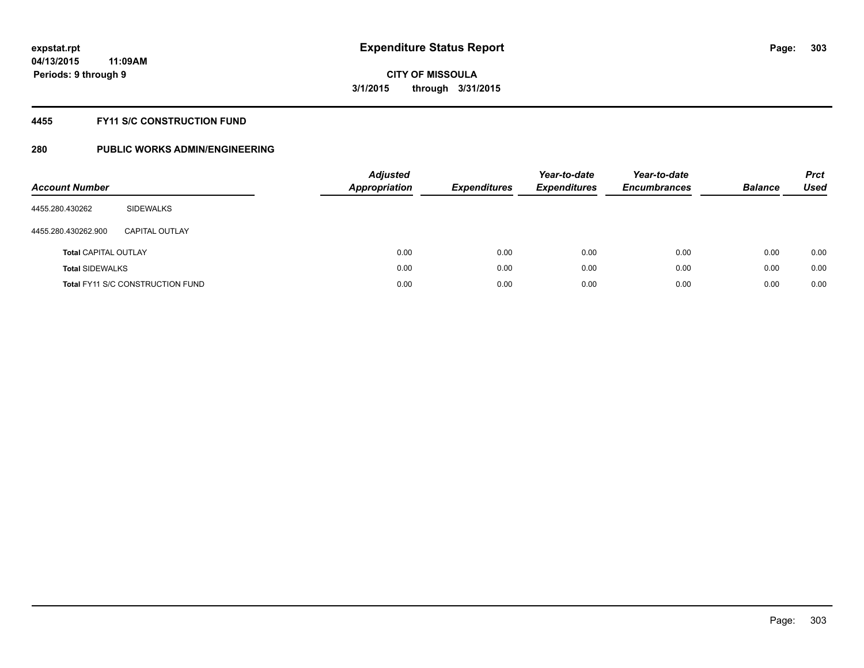#### **4455 FY11 S/C CONSTRUCTION FUND**

| <b>Account Number</b>       |                                         | <b>Adjusted</b><br><b>Appropriation</b> | <b>Expenditures</b> | Year-to-date<br><b>Expenditures</b> | Year-to-date<br><b>Encumbrances</b> | <b>Balance</b> | <b>Prct</b><br>Used |
|-----------------------------|-----------------------------------------|-----------------------------------------|---------------------|-------------------------------------|-------------------------------------|----------------|---------------------|
| 4455.280.430262             | SIDEWALKS                               |                                         |                     |                                     |                                     |                |                     |
| 4455.280.430262.900         | CAPITAL OUTLAY                          |                                         |                     |                                     |                                     |                |                     |
| <b>Total CAPITAL OUTLAY</b> |                                         | 0.00                                    | 0.00                | 0.00                                | 0.00                                | 0.00           | 0.00                |
| <b>Total SIDEWALKS</b>      |                                         | 0.00                                    | 0.00                | 0.00                                | 0.00                                | 0.00           | 0.00                |
|                             | <b>Total FY11 S/C CONSTRUCTION FUND</b> | 0.00                                    | 0.00                | 0.00                                | 0.00                                | 0.00           | 0.00                |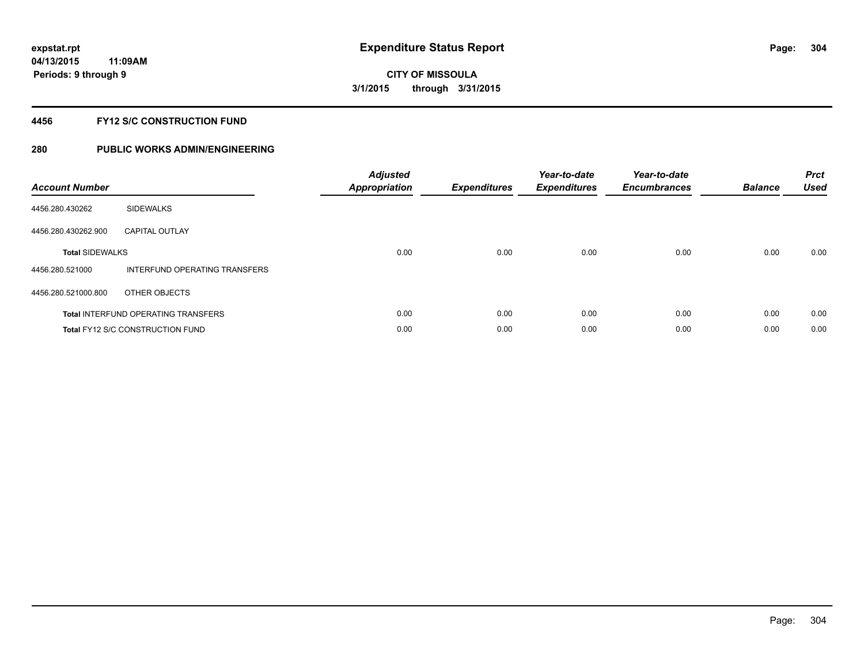#### **4456 FY12 S/C CONSTRUCTION FUND**

| <b>Account Number</b>  |                                            | <b>Adjusted</b><br><b>Appropriation</b> | <b>Expenditures</b> | Year-to-date<br><b>Expenditures</b> | Year-to-date<br><b>Encumbrances</b> | <b>Balance</b> | <b>Prct</b><br>Used |
|------------------------|--------------------------------------------|-----------------------------------------|---------------------|-------------------------------------|-------------------------------------|----------------|---------------------|
| 4456.280.430262        | <b>SIDEWALKS</b>                           |                                         |                     |                                     |                                     |                |                     |
| 4456.280.430262.900    | <b>CAPITAL OUTLAY</b>                      |                                         |                     |                                     |                                     |                |                     |
| <b>Total SIDEWALKS</b> |                                            | 0.00                                    | 0.00                | 0.00                                | 0.00                                | 0.00           | 0.00                |
| 4456.280.521000        | INTERFUND OPERATING TRANSFERS              |                                         |                     |                                     |                                     |                |                     |
| 4456.280.521000.800    | OTHER OBJECTS                              |                                         |                     |                                     |                                     |                |                     |
|                        | <b>Total INTERFUND OPERATING TRANSFERS</b> | 0.00                                    | 0.00                | 0.00                                | 0.00                                | 0.00           | 0.00                |
|                        | <b>Total FY12 S/C CONSTRUCTION FUND</b>    | 0.00                                    | 0.00                | 0.00                                | 0.00                                | 0.00           | 0.00                |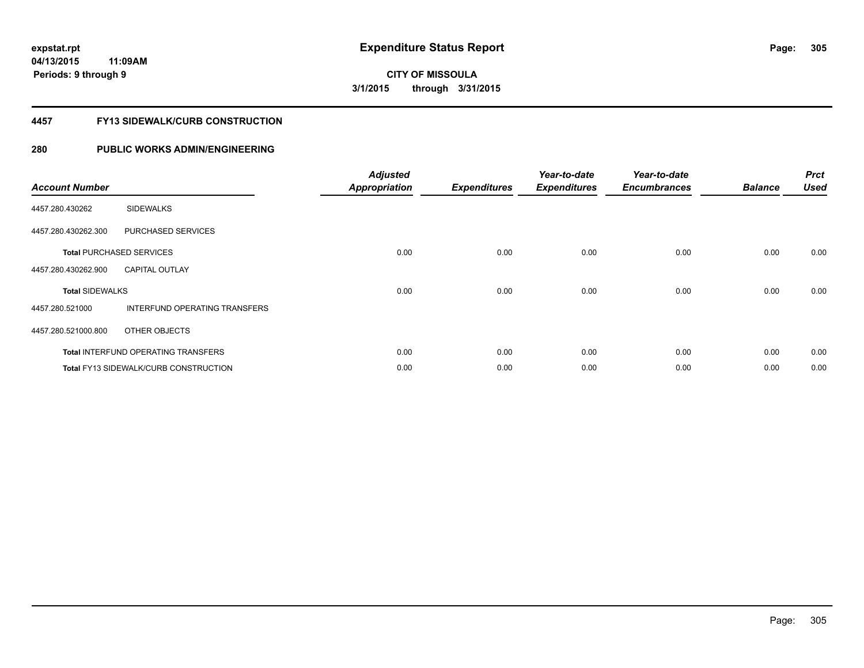**CITY OF MISSOULA 3/1/2015 through 3/31/2015**

#### **4457 FY13 SIDEWALK/CURB CONSTRUCTION**

| <b>Account Number</b>  |                                              | <b>Adjusted</b><br><b>Appropriation</b> | <b>Expenditures</b> | Year-to-date<br><b>Expenditures</b> | Year-to-date<br><b>Encumbrances</b> | <b>Balance</b> | <b>Prct</b><br><b>Used</b> |
|------------------------|----------------------------------------------|-----------------------------------------|---------------------|-------------------------------------|-------------------------------------|----------------|----------------------------|
| 4457.280.430262        | <b>SIDEWALKS</b>                             |                                         |                     |                                     |                                     |                |                            |
| 4457.280.430262.300    | PURCHASED SERVICES                           |                                         |                     |                                     |                                     |                |                            |
|                        | <b>Total PURCHASED SERVICES</b>              | 0.00                                    | 0.00                | 0.00                                | 0.00                                | 0.00           | 0.00                       |
| 4457.280.430262.900    | <b>CAPITAL OUTLAY</b>                        |                                         |                     |                                     |                                     |                |                            |
| <b>Total SIDEWALKS</b> |                                              | 0.00                                    | 0.00                | 0.00                                | 0.00                                | 0.00           | 0.00                       |
| 4457.280.521000        | <b>INTERFUND OPERATING TRANSFERS</b>         |                                         |                     |                                     |                                     |                |                            |
| 4457.280.521000.800    | OTHER OBJECTS                                |                                         |                     |                                     |                                     |                |                            |
|                        | <b>Total INTERFUND OPERATING TRANSFERS</b>   | 0.00                                    | 0.00                | 0.00                                | 0.00                                | 0.00           | 0.00                       |
|                        | <b>Total FY13 SIDEWALK/CURB CONSTRUCTION</b> | 0.00                                    | 0.00                | 0.00                                | 0.00                                | 0.00           | 0.00                       |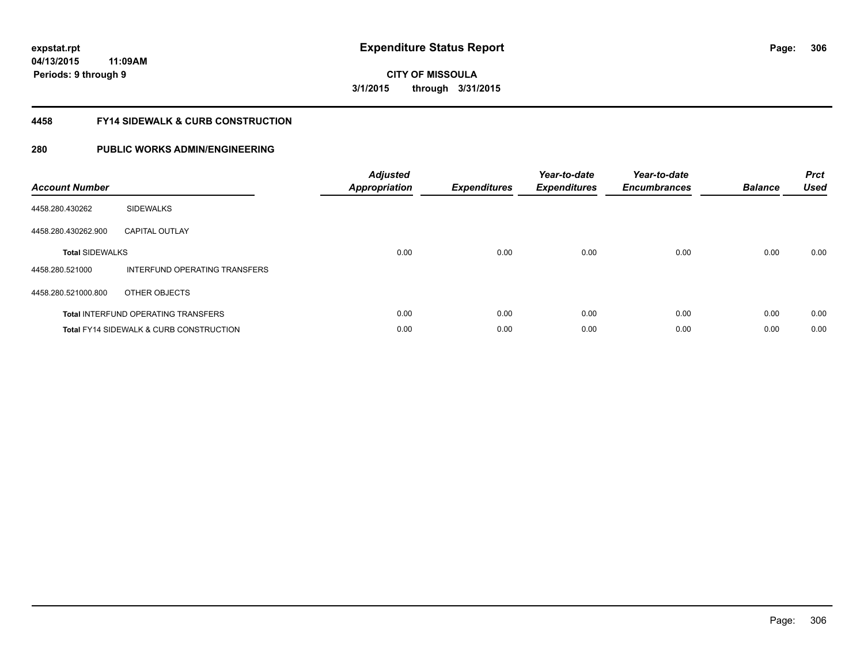**CITY OF MISSOULA 3/1/2015 through 3/31/2015**

#### **4458 FY14 SIDEWALK & CURB CONSTRUCTION**

| <b>Account Number</b>  |                                                    | <b>Adjusted</b><br><b>Appropriation</b> | <b>Expenditures</b> | Year-to-date<br><b>Expenditures</b> | Year-to-date<br><b>Encumbrances</b> | <b>Balance</b> | <b>Prct</b><br><b>Used</b> |
|------------------------|----------------------------------------------------|-----------------------------------------|---------------------|-------------------------------------|-------------------------------------|----------------|----------------------------|
| 4458.280.430262        | <b>SIDEWALKS</b>                                   |                                         |                     |                                     |                                     |                |                            |
| 4458.280.430262.900    | <b>CAPITAL OUTLAY</b>                              |                                         |                     |                                     |                                     |                |                            |
| <b>Total SIDEWALKS</b> |                                                    | 0.00                                    | 0.00                | 0.00                                | 0.00                                | 0.00           | 0.00                       |
| 4458.280.521000        | INTERFUND OPERATING TRANSFERS                      |                                         |                     |                                     |                                     |                |                            |
| 4458.280.521000.800    | OTHER OBJECTS                                      |                                         |                     |                                     |                                     |                |                            |
|                        | <b>Total INTERFUND OPERATING TRANSFERS</b>         | 0.00                                    | 0.00                | 0.00                                | 0.00                                | 0.00           | 0.00                       |
|                        | <b>Total FY14 SIDEWALK &amp; CURB CONSTRUCTION</b> | 0.00                                    | 0.00                | 0.00                                | 0.00                                | 0.00           | 0.00                       |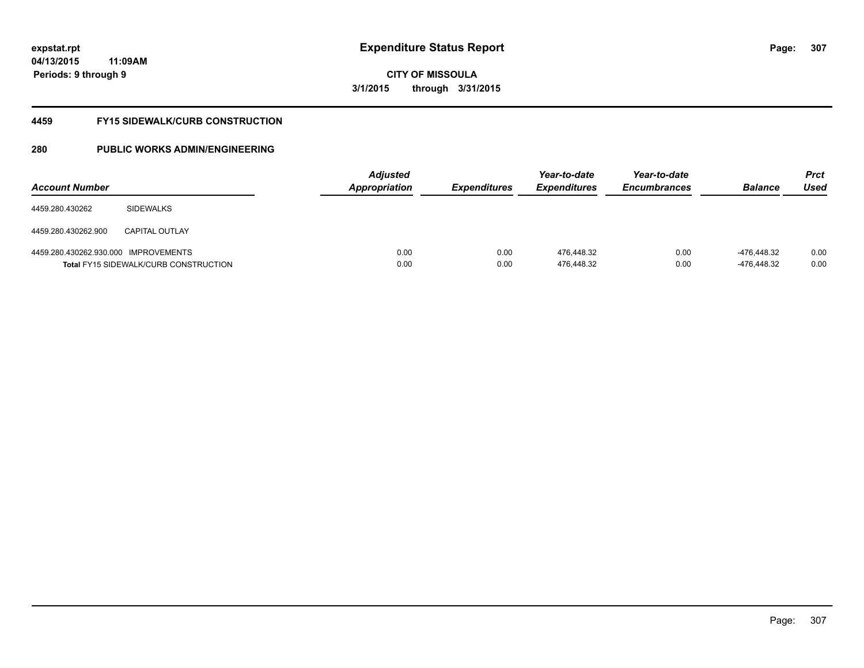**CITY OF MISSOULA 3/1/2015 through 3/31/2015**

#### **4459 FY15 SIDEWALK/CURB CONSTRUCTION**

| <b>Account Number</b>                |                                              | <b>Adjusted</b><br><b>Appropriation</b> | <i><b>Expenditures</b></i> | Year-to-date<br><b>Expenditures</b> | Year-to-date<br><b>Encumbrances</b> | <b>Balance</b>             | <b>Prct</b><br>Used |
|--------------------------------------|----------------------------------------------|-----------------------------------------|----------------------------|-------------------------------------|-------------------------------------|----------------------------|---------------------|
| 4459.280.430262                      | <b>SIDEWALKS</b>                             |                                         |                            |                                     |                                     |                            |                     |
| 4459.280.430262.900                  | <b>CAPITAL OUTLAY</b>                        |                                         |                            |                                     |                                     |                            |                     |
| 4459.280.430262.930.000 IMPROVEMENTS | <b>Total FY15 SIDEWALK/CURB CONSTRUCTION</b> | 0.00<br>0.00                            | 0.00<br>0.00               | 476.448.32<br>476,448.32            | 0.00<br>0.00                        | -476.448.32<br>-476,448.32 | 0.00<br>0.00        |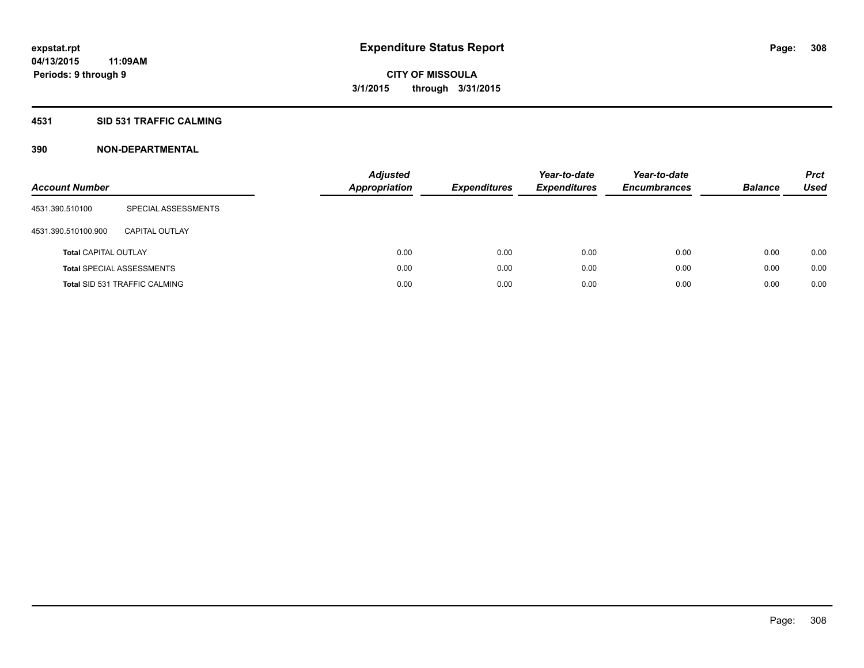#### **4531 SID 531 TRAFFIC CALMING**

| <b>Account Number</b>       |                                      | <b>Adjusted</b><br><b>Appropriation</b> | <b>Expenditures</b> | Year-to-date<br><b>Expenditures</b> | Year-to-date<br><b>Encumbrances</b> | <b>Balance</b> | <b>Prct</b><br>Used |
|-----------------------------|--------------------------------------|-----------------------------------------|---------------------|-------------------------------------|-------------------------------------|----------------|---------------------|
| 4531.390.510100             | SPECIAL ASSESSMENTS                  |                                         |                     |                                     |                                     |                |                     |
| 4531.390.510100.900         | CAPITAL OUTLAY                       |                                         |                     |                                     |                                     |                |                     |
| <b>Total CAPITAL OUTLAY</b> |                                      | 0.00                                    | 0.00                | 0.00                                | 0.00                                | 0.00           | 0.00                |
|                             | <b>Total SPECIAL ASSESSMENTS</b>     | 0.00                                    | 0.00                | 0.00                                | 0.00                                | 0.00           | 0.00                |
|                             | <b>Total SID 531 TRAFFIC CALMING</b> | 0.00                                    | 0.00                | 0.00                                | 0.00                                | 0.00           | 0.00                |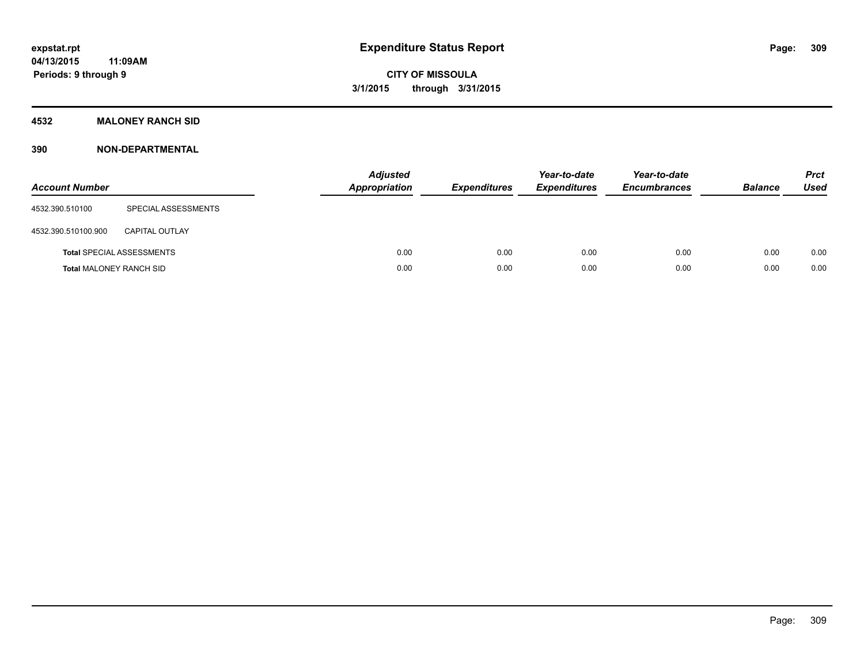### **4532 MALONEY RANCH SID**

| <b>Account Number</b>          |                                  | <b>Adjusted</b><br>Appropriation | <b>Expenditures</b> | Year-to-date<br><b>Expenditures</b> | Year-to-date<br><b>Encumbrances</b> | <b>Balance</b> | <b>Prct</b><br><b>Used</b> |
|--------------------------------|----------------------------------|----------------------------------|---------------------|-------------------------------------|-------------------------------------|----------------|----------------------------|
| 4532.390.510100                | SPECIAL ASSESSMENTS              |                                  |                     |                                     |                                     |                |                            |
| 4532.390.510100.900            | <b>CAPITAL OUTLAY</b>            |                                  |                     |                                     |                                     |                |                            |
|                                | <b>Total SPECIAL ASSESSMENTS</b> | 0.00                             | 0.00                | 0.00                                | 0.00                                | 0.00           | 0.00                       |
| <b>Total MALONEY RANCH SID</b> |                                  | 0.00                             | 0.00                | 0.00                                | 0.00                                | 0.00           | 0.00                       |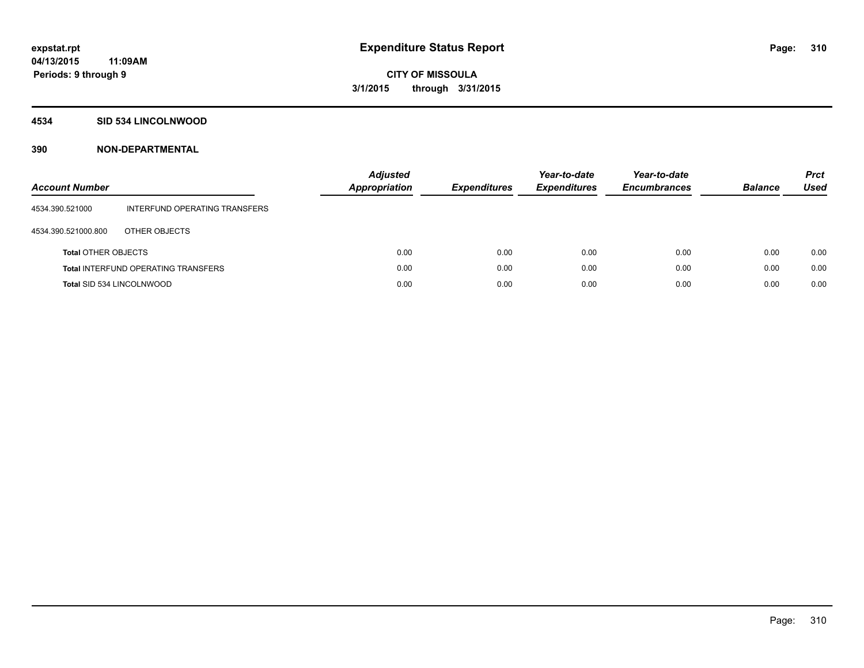#### **4534 SID 534 LINCOLNWOOD**

| <b>Account Number</b>      |                                            | Adjusted<br>Appropriation | <b>Expenditures</b> | Year-to-date<br><b>Expenditures</b> | Year-to-date<br><b>Encumbrances</b> | <b>Balance</b> | <b>Prct</b><br>Used |
|----------------------------|--------------------------------------------|---------------------------|---------------------|-------------------------------------|-------------------------------------|----------------|---------------------|
| 4534.390.521000            | INTERFUND OPERATING TRANSFERS              |                           |                     |                                     |                                     |                |                     |
| 4534.390.521000.800        | OTHER OBJECTS                              |                           |                     |                                     |                                     |                |                     |
| <b>Total OTHER OBJECTS</b> |                                            | 0.00                      | 0.00                | 0.00                                | 0.00                                | 0.00           | 0.00                |
|                            | <b>Total INTERFUND OPERATING TRANSFERS</b> | 0.00                      | 0.00                | 0.00                                | 0.00                                | 0.00           | 0.00                |
| Total SID 534 LINCOLNWOOD  |                                            | 0.00                      | 0.00                | 0.00                                | 0.00                                | 0.00           | 0.00                |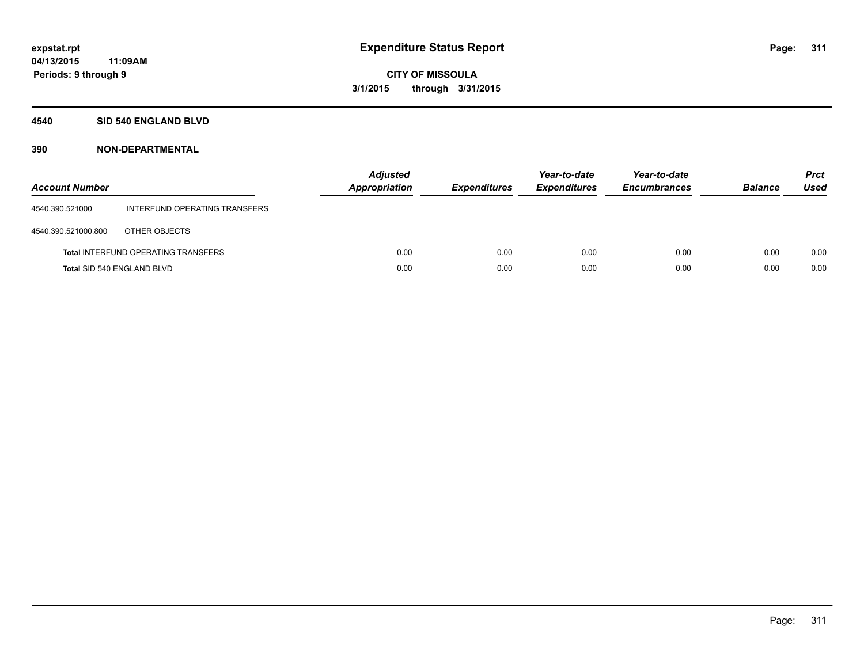#### **4540 SID 540 ENGLAND BLVD**

| <b>Account Number</b> |                                            | <b>Adjusted</b><br>Appropriation | <b>Expenditures</b> | Year-to-date<br><b>Expenditures</b> | Year-to-date<br><b>Encumbrances</b> | <b>Balance</b> | <b>Prct</b><br>Used |
|-----------------------|--------------------------------------------|----------------------------------|---------------------|-------------------------------------|-------------------------------------|----------------|---------------------|
| 4540.390.521000       | INTERFUND OPERATING TRANSFERS              |                                  |                     |                                     |                                     |                |                     |
| 4540.390.521000.800   | OTHER OBJECTS                              |                                  |                     |                                     |                                     |                |                     |
|                       | <b>Total INTERFUND OPERATING TRANSFERS</b> | 0.00                             | 0.00                | 0.00                                | 0.00                                | 0.00           | 0.00                |
|                       | Total SID 540 ENGLAND BLVD                 | 0.00                             | 0.00                | 0.00                                | 0.00                                | 0.00           | 0.00                |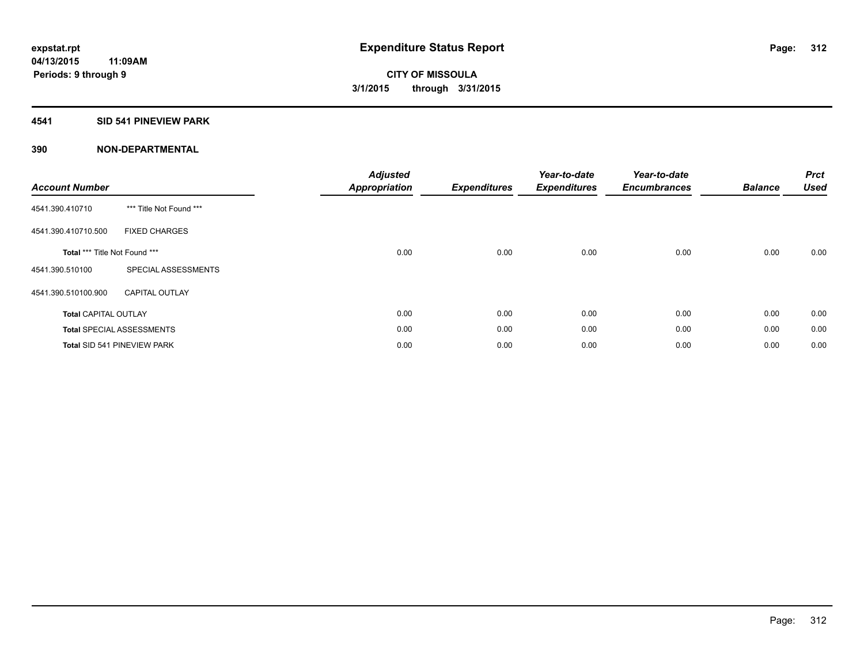### **4541 SID 541 PINEVIEW PARK**

| <b>Account Number</b>         |                                  | <b>Adjusted</b><br><b>Appropriation</b> | <b>Expenditures</b> | Year-to-date<br><b>Expenditures</b> | Year-to-date<br><b>Encumbrances</b> | <b>Balance</b> | <b>Prct</b><br><b>Used</b> |
|-------------------------------|----------------------------------|-----------------------------------------|---------------------|-------------------------------------|-------------------------------------|----------------|----------------------------|
| 4541.390.410710               | *** Title Not Found ***          |                                         |                     |                                     |                                     |                |                            |
| 4541.390.410710.500           | <b>FIXED CHARGES</b>             |                                         |                     |                                     |                                     |                |                            |
| Total *** Title Not Found *** |                                  | 0.00                                    | 0.00                | 0.00                                | 0.00                                | 0.00           | 0.00                       |
| 4541.390.510100               | SPECIAL ASSESSMENTS              |                                         |                     |                                     |                                     |                |                            |
| 4541.390.510100.900           | <b>CAPITAL OUTLAY</b>            |                                         |                     |                                     |                                     |                |                            |
| <b>Total CAPITAL OUTLAY</b>   |                                  | 0.00                                    | 0.00                | 0.00                                | 0.00                                | 0.00           | 0.00                       |
|                               | <b>Total SPECIAL ASSESSMENTS</b> | 0.00                                    | 0.00                | 0.00                                | 0.00                                | 0.00           | 0.00                       |
|                               | Total SID 541 PINEVIEW PARK      | 0.00                                    | 0.00                | 0.00                                | 0.00                                | 0.00           | 0.00                       |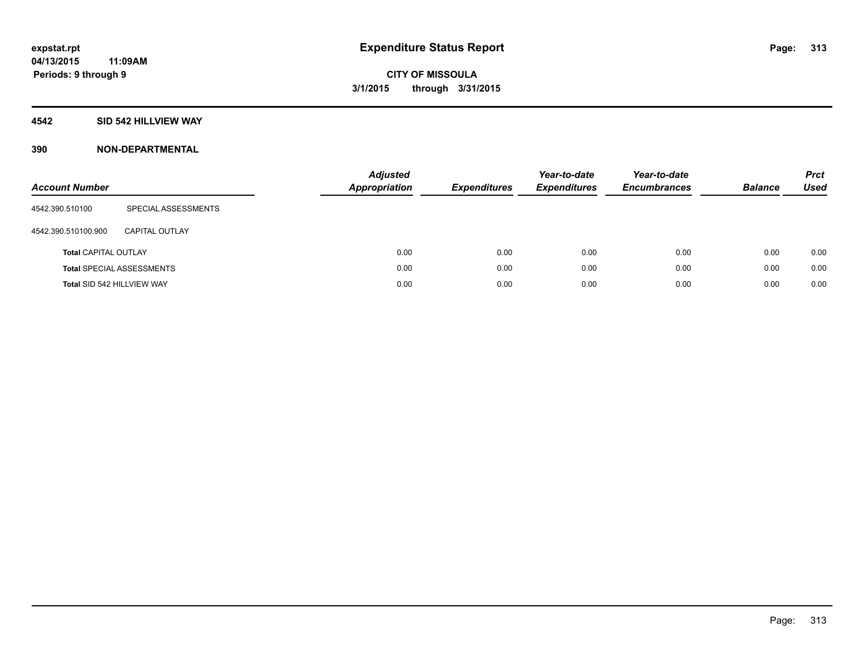### **4542 SID 542 HILLVIEW WAY**

| <b>Account Number</b>       |                                  | <b>Adjusted</b><br><b>Appropriation</b> | <b>Expenditures</b> | Year-to-date<br><b>Expenditures</b> | Year-to-date<br><b>Encumbrances</b> | <b>Balance</b> | <b>Prct</b><br><b>Used</b> |
|-----------------------------|----------------------------------|-----------------------------------------|---------------------|-------------------------------------|-------------------------------------|----------------|----------------------------|
| 4542.390.510100             | SPECIAL ASSESSMENTS              |                                         |                     |                                     |                                     |                |                            |
| 4542.390.510100.900         | CAPITAL OUTLAY                   |                                         |                     |                                     |                                     |                |                            |
| <b>Total CAPITAL OUTLAY</b> |                                  | 0.00                                    | 0.00                | 0.00                                | 0.00                                | 0.00           | 0.00                       |
|                             | <b>Total SPECIAL ASSESSMENTS</b> | 0.00                                    | 0.00                | 0.00                                | 0.00                                | 0.00           | 0.00                       |
| Total SID 542 HILLVIEW WAY  |                                  | 0.00                                    | 0.00                | 0.00                                | 0.00                                | 0.00           | 0.00                       |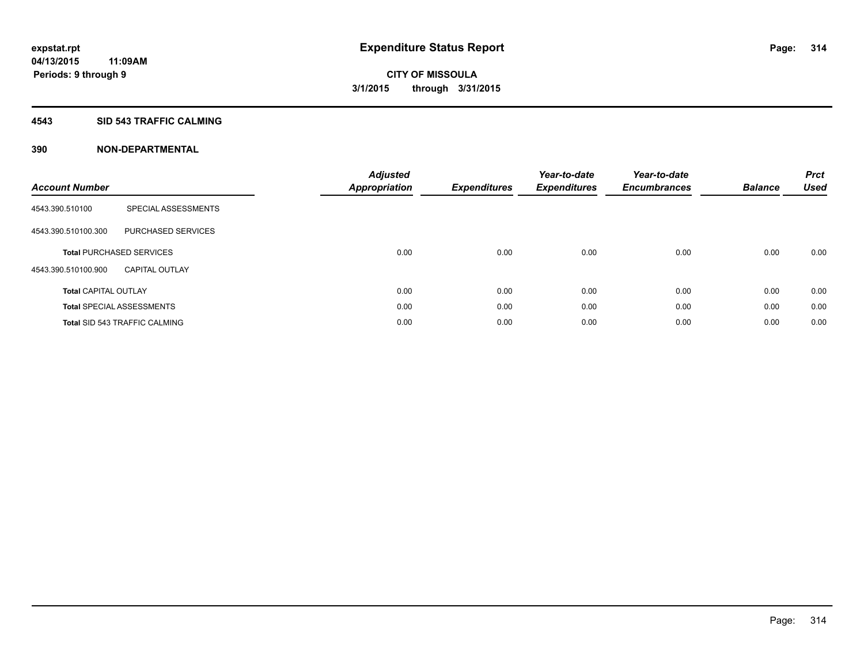#### **4543 SID 543 TRAFFIC CALMING**

| <b>Account Number</b>       |                                      | <b>Adjusted</b><br><b>Appropriation</b> | <b>Expenditures</b> | Year-to-date<br><b>Expenditures</b> | Year-to-date<br><b>Encumbrances</b> | <b>Balance</b> | <b>Prct</b><br><b>Used</b> |
|-----------------------------|--------------------------------------|-----------------------------------------|---------------------|-------------------------------------|-------------------------------------|----------------|----------------------------|
| 4543.390.510100             | SPECIAL ASSESSMENTS                  |                                         |                     |                                     |                                     |                |                            |
| 4543.390.510100.300         | PURCHASED SERVICES                   |                                         |                     |                                     |                                     |                |                            |
|                             | <b>Total PURCHASED SERVICES</b>      | 0.00                                    | 0.00                | 0.00                                | 0.00                                | 0.00           | 0.00                       |
| 4543.390.510100.900         | <b>CAPITAL OUTLAY</b>                |                                         |                     |                                     |                                     |                |                            |
| <b>Total CAPITAL OUTLAY</b> |                                      | 0.00                                    | 0.00                | 0.00                                | 0.00                                | 0.00           | 0.00                       |
|                             | <b>Total SPECIAL ASSESSMENTS</b>     | 0.00                                    | 0.00                | 0.00                                | 0.00                                | 0.00           | 0.00                       |
|                             | <b>Total SID 543 TRAFFIC CALMING</b> | 0.00                                    | 0.00                | 0.00                                | 0.00                                | 0.00           | 0.00                       |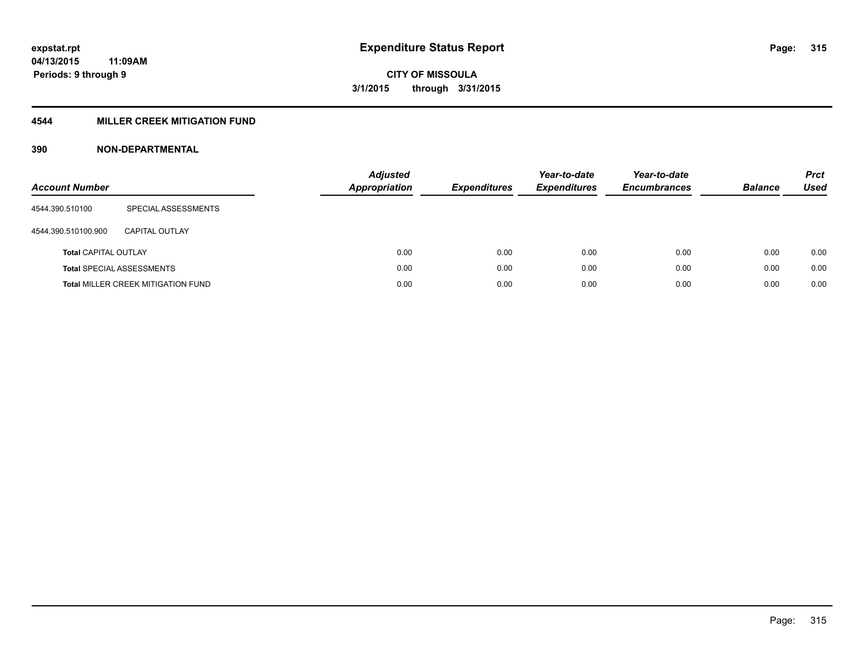### **4544 MILLER CREEK MITIGATION FUND**

| <b>Account Number</b>       |                                           | <b>Adjusted</b><br>Appropriation | <b>Expenditures</b> | Year-to-date<br><b>Expenditures</b> | Year-to-date<br><b>Encumbrances</b> | <b>Balance</b> | <b>Prct</b><br>Used |
|-----------------------------|-------------------------------------------|----------------------------------|---------------------|-------------------------------------|-------------------------------------|----------------|---------------------|
| 4544.390.510100             | SPECIAL ASSESSMENTS                       |                                  |                     |                                     |                                     |                |                     |
| 4544.390.510100.900         | CAPITAL OUTLAY                            |                                  |                     |                                     |                                     |                |                     |
| <b>Total CAPITAL OUTLAY</b> |                                           | 0.00                             | 0.00                | 0.00                                | 0.00                                | 0.00           | 0.00                |
|                             | <b>Total SPECIAL ASSESSMENTS</b>          | 0.00                             | 0.00                | 0.00                                | 0.00                                | 0.00           | 0.00                |
|                             | <b>Total MILLER CREEK MITIGATION FUND</b> | 0.00                             | 0.00                | 0.00                                | 0.00                                | 0.00           | 0.00                |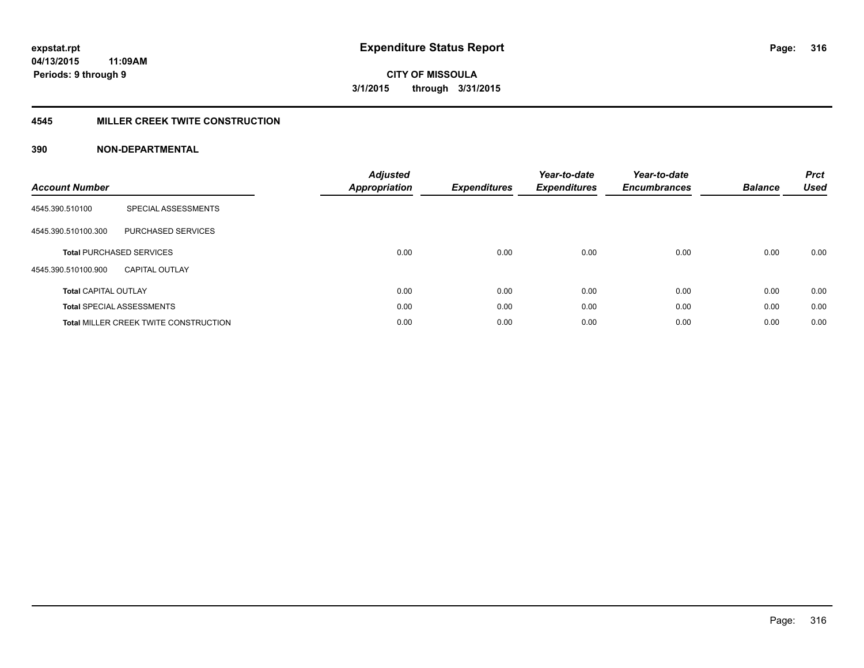#### **4545 MILLER CREEK TWITE CONSTRUCTION**

| <b>Account Number</b>       |                                              | <b>Adjusted</b><br>Appropriation | <b>Expenditures</b> | Year-to-date<br><b>Expenditures</b> | Year-to-date<br><b>Encumbrances</b> | <b>Balance</b> | <b>Prct</b><br><b>Used</b> |
|-----------------------------|----------------------------------------------|----------------------------------|---------------------|-------------------------------------|-------------------------------------|----------------|----------------------------|
| 4545.390.510100             | SPECIAL ASSESSMENTS                          |                                  |                     |                                     |                                     |                |                            |
| 4545.390.510100.300         | <b>PURCHASED SERVICES</b>                    |                                  |                     |                                     |                                     |                |                            |
|                             | <b>Total PURCHASED SERVICES</b>              | 0.00                             | 0.00                | 0.00                                | 0.00                                | 0.00           | 0.00                       |
| 4545.390.510100.900         | <b>CAPITAL OUTLAY</b>                        |                                  |                     |                                     |                                     |                |                            |
| <b>Total CAPITAL OUTLAY</b> |                                              | 0.00                             | 0.00                | 0.00                                | 0.00                                | 0.00           | 0.00                       |
|                             | <b>Total SPECIAL ASSESSMENTS</b>             | 0.00                             | 0.00                | 0.00                                | 0.00                                | 0.00           | 0.00                       |
|                             | <b>Total MILLER CREEK TWITE CONSTRUCTION</b> | 0.00                             | 0.00                | 0.00                                | 0.00                                | 0.00           | 0.00                       |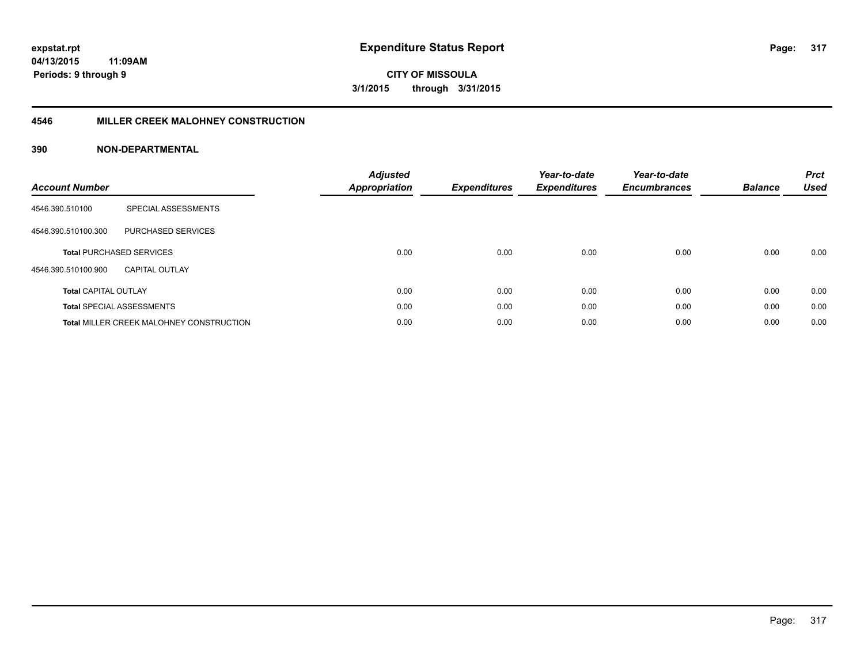**317**

**04/13/2015 11:09AM Periods: 9 through 9**

**CITY OF MISSOULA 3/1/2015 through 3/31/2015**

#### **4546 MILLER CREEK MALOHNEY CONSTRUCTION**

| <b>Account Number</b>       |                                                 | <b>Adjusted</b><br><b>Appropriation</b> | <b>Expenditures</b> | Year-to-date<br><b>Expenditures</b> | Year-to-date<br><b>Encumbrances</b> | <b>Balance</b> | <b>Prct</b><br><b>Used</b> |
|-----------------------------|-------------------------------------------------|-----------------------------------------|---------------------|-------------------------------------|-------------------------------------|----------------|----------------------------|
| 4546.390.510100             | SPECIAL ASSESSMENTS                             |                                         |                     |                                     |                                     |                |                            |
| 4546.390.510100.300         | PURCHASED SERVICES                              |                                         |                     |                                     |                                     |                |                            |
|                             | <b>Total PURCHASED SERVICES</b>                 | 0.00                                    | 0.00                | 0.00                                | 0.00                                | 0.00           | 0.00                       |
| 4546.390.510100.900         | CAPITAL OUTLAY                                  |                                         |                     |                                     |                                     |                |                            |
| <b>Total CAPITAL OUTLAY</b> |                                                 | 0.00                                    | 0.00                | 0.00                                | 0.00                                | 0.00           | 0.00                       |
|                             | <b>Total SPECIAL ASSESSMENTS</b>                | 0.00                                    | 0.00                | 0.00                                | 0.00                                | 0.00           | 0.00                       |
|                             | <b>Total MILLER CREEK MALOHNEY CONSTRUCTION</b> | 0.00                                    | 0.00                | 0.00                                | 0.00                                | 0.00           | 0.00                       |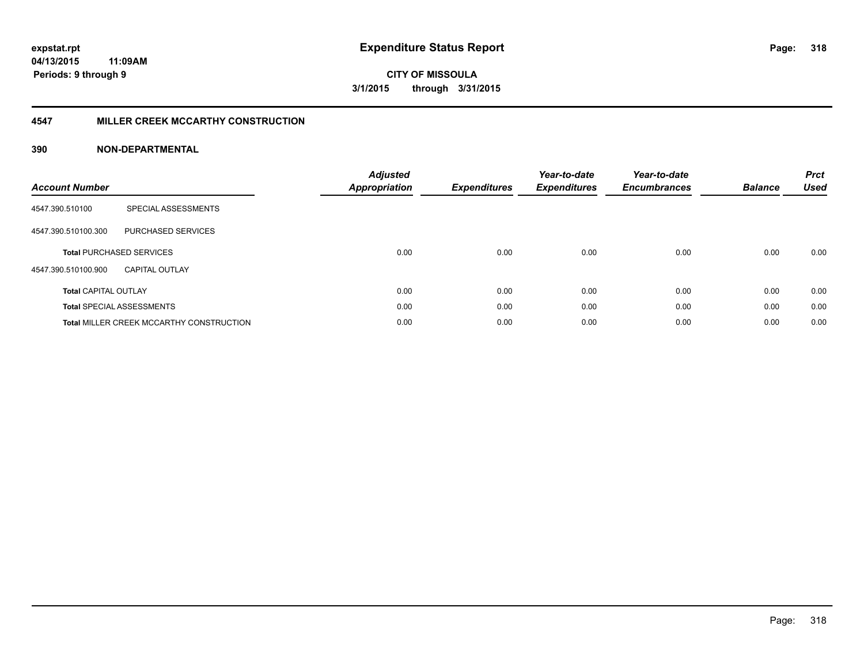#### **4547 MILLER CREEK MCCARTHY CONSTRUCTION**

| <b>Account Number</b>       |                                                 | <b>Adjusted</b><br><b>Appropriation</b> | <b>Expenditures</b> | Year-to-date<br><b>Expenditures</b> | Year-to-date<br><b>Encumbrances</b> | <b>Balance</b> | <b>Prct</b><br><b>Used</b> |
|-----------------------------|-------------------------------------------------|-----------------------------------------|---------------------|-------------------------------------|-------------------------------------|----------------|----------------------------|
| 4547.390.510100             | SPECIAL ASSESSMENTS                             |                                         |                     |                                     |                                     |                |                            |
| 4547.390.510100.300         | <b>PURCHASED SERVICES</b>                       |                                         |                     |                                     |                                     |                |                            |
|                             | <b>Total PURCHASED SERVICES</b>                 | 0.00                                    | 0.00                | 0.00                                | 0.00                                | 0.00           | 0.00                       |
| 4547.390.510100.900         | CAPITAL OUTLAY                                  |                                         |                     |                                     |                                     |                |                            |
| <b>Total CAPITAL OUTLAY</b> |                                                 | 0.00                                    | 0.00                | 0.00                                | 0.00                                | 0.00           | 0.00                       |
|                             | <b>Total SPECIAL ASSESSMENTS</b>                | 0.00                                    | 0.00                | 0.00                                | 0.00                                | 0.00           | 0.00                       |
|                             | <b>Total MILLER CREEK MCCARTHY CONSTRUCTION</b> | 0.00                                    | 0.00                | 0.00                                | 0.00                                | 0.00           | 0.00                       |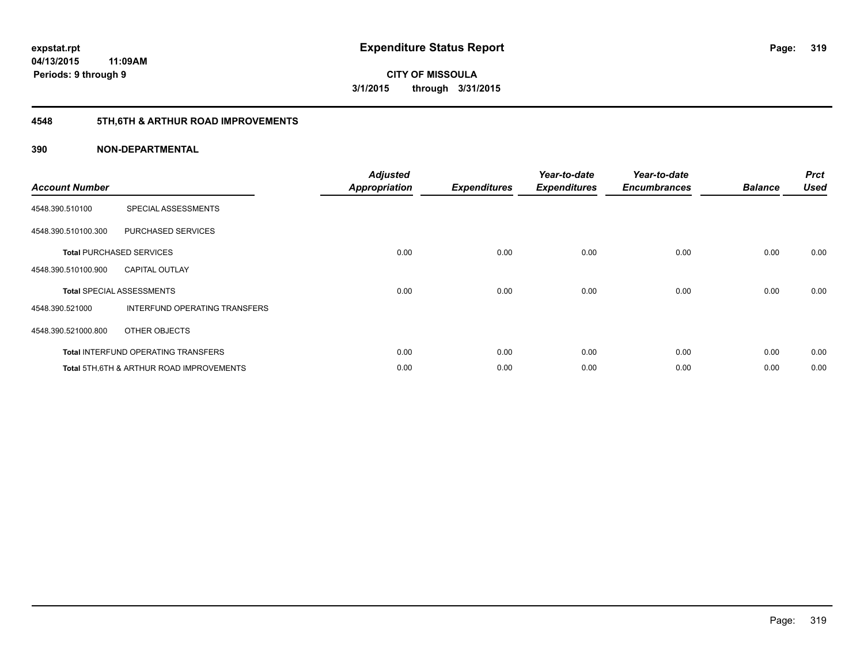# **4548 5TH,6TH & ARTHUR ROAD IMPROVEMENTS**

| <b>Account Number</b> |                                                     | <b>Adjusted</b><br><b>Appropriation</b> | <b>Expenditures</b> | Year-to-date<br><b>Expenditures</b> | Year-to-date<br><b>Encumbrances</b> | <b>Balance</b> | <b>Prct</b><br><b>Used</b> |
|-----------------------|-----------------------------------------------------|-----------------------------------------|---------------------|-------------------------------------|-------------------------------------|----------------|----------------------------|
| 4548.390.510100       | SPECIAL ASSESSMENTS                                 |                                         |                     |                                     |                                     |                |                            |
| 4548.390.510100.300   | PURCHASED SERVICES                                  |                                         |                     |                                     |                                     |                |                            |
|                       | <b>Total PURCHASED SERVICES</b>                     | 0.00                                    | 0.00                | 0.00                                | 0.00                                | 0.00           | 0.00                       |
| 4548.390.510100.900   | <b>CAPITAL OUTLAY</b>                               |                                         |                     |                                     |                                     |                |                            |
|                       | <b>Total SPECIAL ASSESSMENTS</b>                    | 0.00                                    | 0.00                | 0.00                                | 0.00                                | 0.00           | 0.00                       |
| 4548.390.521000       | <b>INTERFUND OPERATING TRANSFERS</b>                |                                         |                     |                                     |                                     |                |                            |
| 4548.390.521000.800   | OTHER OBJECTS                                       |                                         |                     |                                     |                                     |                |                            |
|                       | <b>Total INTERFUND OPERATING TRANSFERS</b>          | 0.00                                    | 0.00                | 0.00                                | 0.00                                | 0.00           | 0.00                       |
|                       | <b>Total 5TH.6TH &amp; ARTHUR ROAD IMPROVEMENTS</b> | 0.00                                    | 0.00                | 0.00                                | 0.00                                | 0.00           | 0.00                       |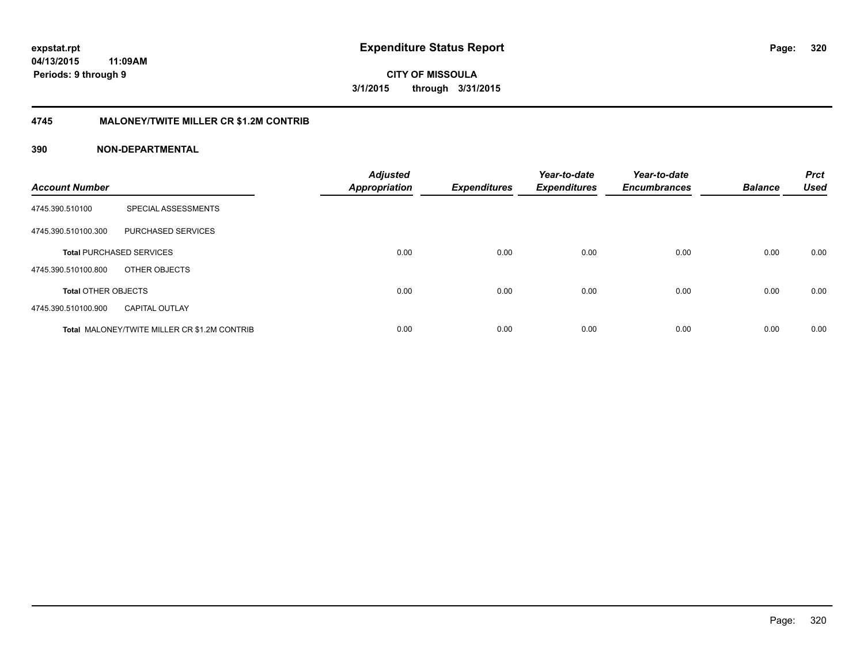**320**

**04/13/2015 11:09AM Periods: 9 through 9**

**CITY OF MISSOULA 3/1/2015 through 3/31/2015**

#### **4745 MALONEY/TWITE MILLER CR \$1.2M CONTRIB**

| <b>Account Number</b>      |                                                     | <b>Adjusted</b><br><b>Appropriation</b> | <b>Expenditures</b> | Year-to-date<br><b>Expenditures</b> | Year-to-date<br><b>Encumbrances</b> | <b>Balance</b> | <b>Prct</b><br><b>Used</b> |
|----------------------------|-----------------------------------------------------|-----------------------------------------|---------------------|-------------------------------------|-------------------------------------|----------------|----------------------------|
| 4745.390.510100            | SPECIAL ASSESSMENTS                                 |                                         |                     |                                     |                                     |                |                            |
| 4745.390.510100.300        | PURCHASED SERVICES                                  |                                         |                     |                                     |                                     |                |                            |
|                            | <b>Total PURCHASED SERVICES</b>                     | 0.00                                    | 0.00                | 0.00                                | 0.00                                | 0.00           | 0.00                       |
| 4745.390.510100.800        | OTHER OBJECTS                                       |                                         |                     |                                     |                                     |                |                            |
| <b>Total OTHER OBJECTS</b> |                                                     | 0.00                                    | 0.00                | 0.00                                | 0.00                                | 0.00           | 0.00                       |
| 4745.390.510100.900        | <b>CAPITAL OUTLAY</b>                               |                                         |                     |                                     |                                     |                |                            |
|                            | <b>Total MALONEY/TWITE MILLER CR \$1.2M CONTRIB</b> | 0.00                                    | 0.00                | 0.00                                | 0.00                                | 0.00           | 0.00                       |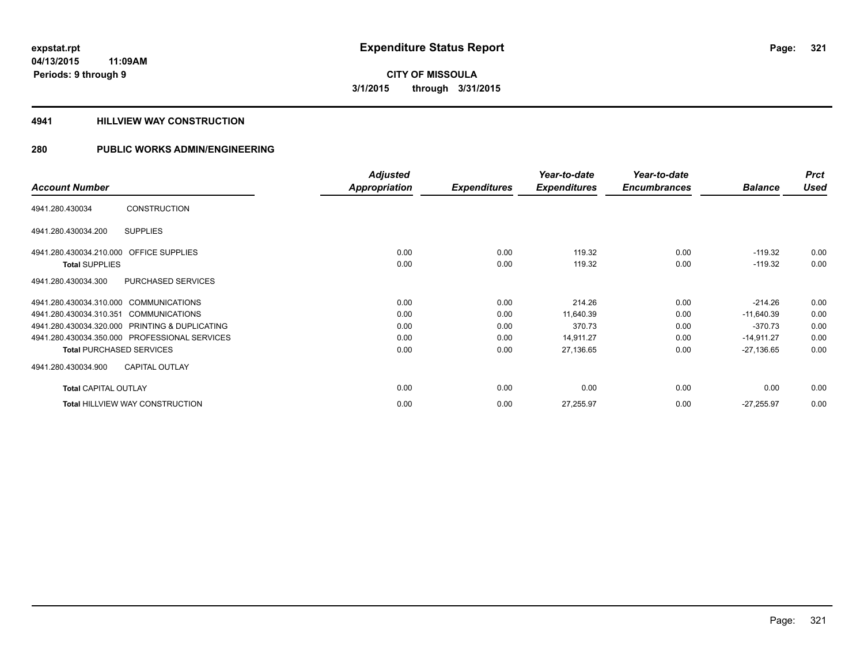# **CITY OF MISSOULA 3/1/2015 through 3/31/2015**

#### **4941 HILLVIEW WAY CONSTRUCTION**

|                                                  | <b>Adjusted</b> |                     | Year-to-date        | Year-to-date        |                | <b>Prct</b> |
|--------------------------------------------------|-----------------|---------------------|---------------------|---------------------|----------------|-------------|
| <b>Account Number</b>                            | Appropriation   | <b>Expenditures</b> | <b>Expenditures</b> | <b>Encumbrances</b> | <b>Balance</b> | <b>Used</b> |
| <b>CONSTRUCTION</b><br>4941.280.430034           |                 |                     |                     |                     |                |             |
| <b>SUPPLIES</b><br>4941.280.430034.200           |                 |                     |                     |                     |                |             |
| 4941.280.430034.210.000 OFFICE SUPPLIES          | 0.00            | 0.00                | 119.32              | 0.00                | $-119.32$      | 0.00        |
| <b>Total SUPPLIES</b>                            | 0.00            | 0.00                | 119.32              | 0.00                | $-119.32$      | 0.00        |
| PURCHASED SERVICES<br>4941.280.430034.300        |                 |                     |                     |                     |                |             |
| 4941.280.430034.310.000 COMMUNICATIONS           | 0.00            | 0.00                | 214.26              | 0.00                | $-214.26$      | 0.00        |
| 4941.280.430034.310.351<br><b>COMMUNICATIONS</b> | 0.00            | 0.00                | 11,640.39           | 0.00                | $-11,640.39$   | 0.00        |
| 4941.280.430034.320.000 PRINTING & DUPLICATING   | 0.00            | 0.00                | 370.73              | 0.00                | $-370.73$      | 0.00        |
| 4941.280.430034.350.000 PROFESSIONAL SERVICES    | 0.00            | 0.00                | 14,911.27           | 0.00                | $-14,911.27$   | 0.00        |
| <b>Total PURCHASED SERVICES</b>                  | 0.00            | 0.00                | 27,136.65           | 0.00                | $-27,136.65$   | 0.00        |
| <b>CAPITAL OUTLAY</b><br>4941.280.430034.900     |                 |                     |                     |                     |                |             |
| <b>Total CAPITAL OUTLAY</b>                      | 0.00            | 0.00                | 0.00                | 0.00                | 0.00           | 0.00        |
| <b>Total HILLVIEW WAY CONSTRUCTION</b>           | 0.00            | 0.00                | 27,255.97           | 0.00                | $-27,255.97$   | 0.00        |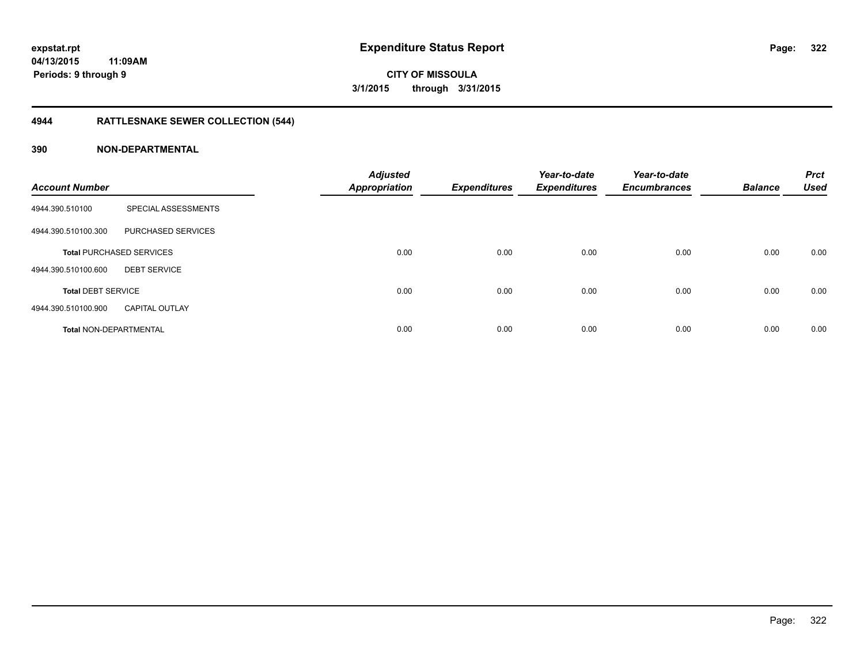# **CITY OF MISSOULA 3/1/2015 through 3/31/2015**

# **4944 RATTLESNAKE SEWER COLLECTION (544)**

| <b>Account Number</b>         |                                 | <b>Adjusted</b><br><b>Appropriation</b> | <b>Expenditures</b> | Year-to-date<br><b>Expenditures</b> | Year-to-date<br><b>Encumbrances</b> | <b>Balance</b> | <b>Prct</b><br><b>Used</b> |
|-------------------------------|---------------------------------|-----------------------------------------|---------------------|-------------------------------------|-------------------------------------|----------------|----------------------------|
| 4944.390.510100               | SPECIAL ASSESSMENTS             |                                         |                     |                                     |                                     |                |                            |
| 4944.390.510100.300           | PURCHASED SERVICES              |                                         |                     |                                     |                                     |                |                            |
|                               | <b>Total PURCHASED SERVICES</b> | 0.00                                    | 0.00                | 0.00                                | 0.00                                | 0.00           | 0.00                       |
| 4944.390.510100.600           | <b>DEBT SERVICE</b>             |                                         |                     |                                     |                                     |                |                            |
| <b>Total DEBT SERVICE</b>     |                                 | 0.00                                    | 0.00                | 0.00                                | 0.00                                | 0.00           | 0.00                       |
| 4944.390.510100.900           | <b>CAPITAL OUTLAY</b>           |                                         |                     |                                     |                                     |                |                            |
| <b>Total NON-DEPARTMENTAL</b> |                                 | 0.00                                    | 0.00                | 0.00                                | 0.00                                | 0.00           | 0.00                       |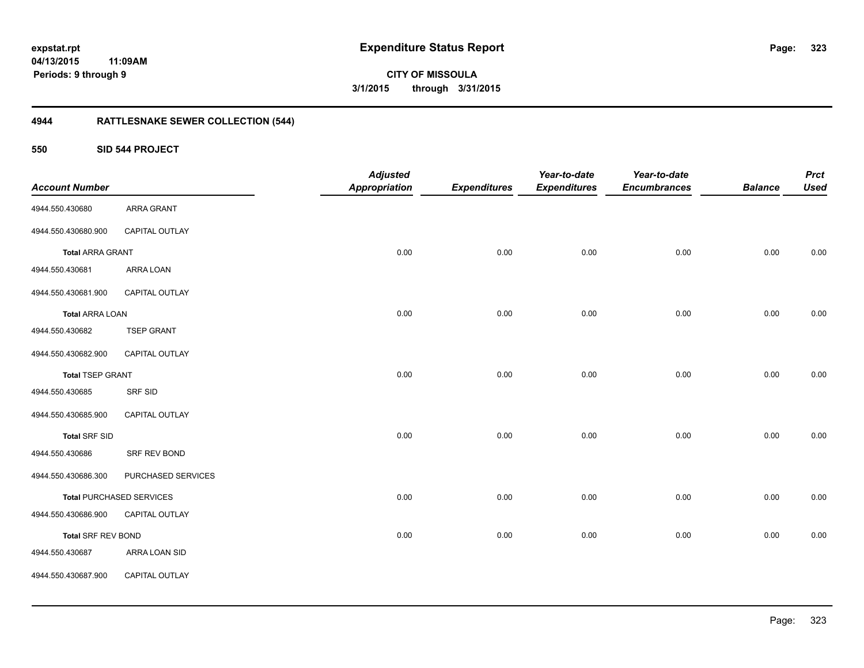**CITY OF MISSOULA 3/1/2015 through 3/31/2015**

# **4944 RATTLESNAKE SEWER COLLECTION (544)**

### **550 SID 544 PROJECT**

|                           |                                 | <b>Adjusted</b>      |                     | Year-to-date        | Year-to-date        |                | <b>Prct</b> |
|---------------------------|---------------------------------|----------------------|---------------------|---------------------|---------------------|----------------|-------------|
| <b>Account Number</b>     |                                 | <b>Appropriation</b> | <b>Expenditures</b> | <b>Expenditures</b> | <b>Encumbrances</b> | <b>Balance</b> | <b>Used</b> |
| 4944.550.430680           | ARRA GRANT                      |                      |                     |                     |                     |                |             |
| 4944.550.430680.900       | CAPITAL OUTLAY                  |                      |                     |                     |                     |                |             |
| <b>Total ARRA GRANT</b>   |                                 | 0.00                 | 0.00                | 0.00                | 0.00                | 0.00           | 0.00        |
| 4944.550.430681           | ARRA LOAN                       |                      |                     |                     |                     |                |             |
| 4944.550.430681.900       | CAPITAL OUTLAY                  |                      |                     |                     |                     |                |             |
| <b>Total ARRA LOAN</b>    |                                 | 0.00                 | 0.00                | 0.00                | 0.00                | 0.00           | 0.00        |
| 4944.550.430682           | <b>TSEP GRANT</b>               |                      |                     |                     |                     |                |             |
| 4944.550.430682.900       | CAPITAL OUTLAY                  |                      |                     |                     |                     |                |             |
| <b>Total TSEP GRANT</b>   |                                 | 0.00                 | 0.00                | 0.00                | 0.00                | 0.00           | 0.00        |
| 4944.550.430685           | SRF SID                         |                      |                     |                     |                     |                |             |
| 4944.550.430685.900       | CAPITAL OUTLAY                  |                      |                     |                     |                     |                |             |
| <b>Total SRF SID</b>      |                                 | 0.00                 | 0.00                | 0.00                | 0.00                | 0.00           | 0.00        |
| 4944.550.430686           | SRF REV BOND                    |                      |                     |                     |                     |                |             |
| 4944.550.430686.300       | PURCHASED SERVICES              |                      |                     |                     |                     |                |             |
|                           | <b>Total PURCHASED SERVICES</b> | 0.00                 | 0.00                | 0.00                | 0.00                | 0.00           | $0.00\,$    |
| 4944.550.430686.900       | CAPITAL OUTLAY                  |                      |                     |                     |                     |                |             |
| <b>Total SRF REV BOND</b> |                                 | 0.00                 | 0.00                | 0.00                | 0.00                | 0.00           | 0.00        |
| 4944.550.430687           | ARRA LOAN SID                   |                      |                     |                     |                     |                |             |
| 4944.550.430687.900       | CAPITAL OUTLAY                  |                      |                     |                     |                     |                |             |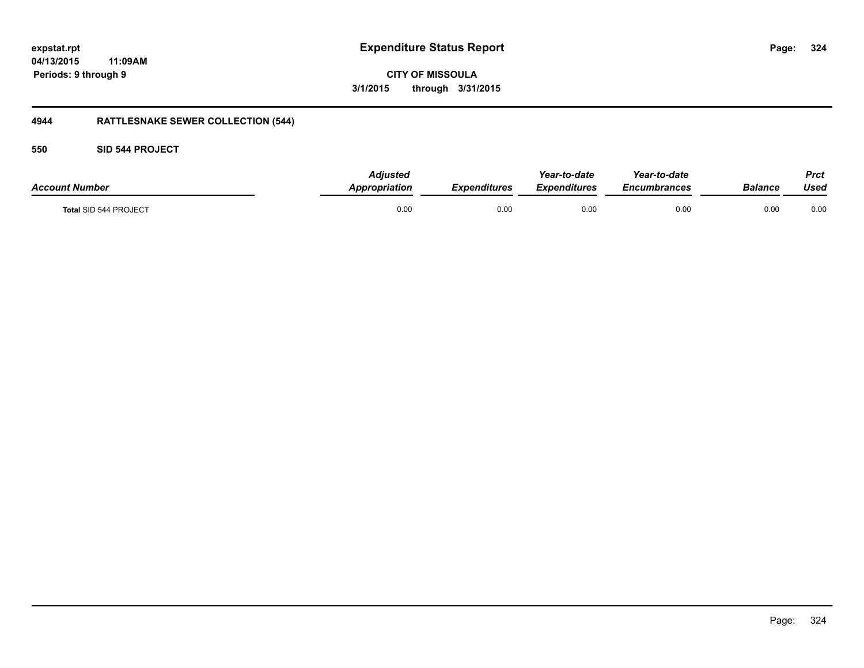# **04/13/2015**

**324**

**11:09AM Periods: 9 through 9**

**CITY OF MISSOULA 3/1/2015 through 3/31/2015**

# **4944 RATTLESNAKE SEWER COLLECTION (544)**

**550 SID 544 PROJECT**

| <b>Account Number</b> | <b>Adiusted</b><br>Appropriation | <b>Expenditures</b> | Year-to-date<br>Expenditures | Year-to-date<br><b>Encumbrances</b> | Balance | Prct<br>Used |
|-----------------------|----------------------------------|---------------------|------------------------------|-------------------------------------|---------|--------------|
| Total SID 544 PROJECT | 0.00                             | 0.00                | 0.00                         | 0.00                                | 0.00    | 0.00         |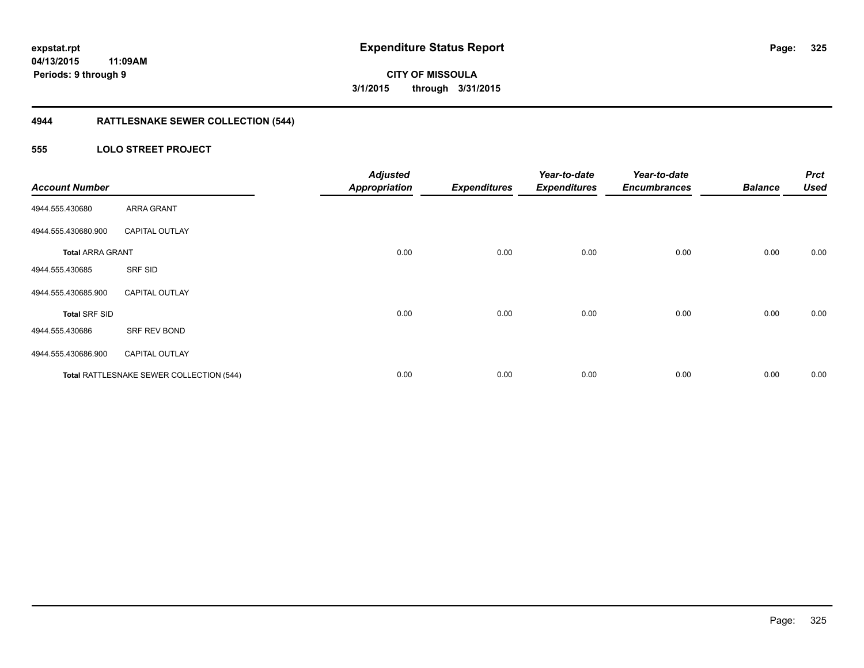## **4944 RATTLESNAKE SEWER COLLECTION (544)**

### **555 LOLO STREET PROJECT**

| <b>Account Number</b>   |                                          | <b>Adjusted</b><br><b>Appropriation</b> | <b>Expenditures</b> | Year-to-date<br><b>Expenditures</b> | Year-to-date<br><b>Encumbrances</b> | <b>Balance</b> | <b>Prct</b><br><b>Used</b> |
|-------------------------|------------------------------------------|-----------------------------------------|---------------------|-------------------------------------|-------------------------------------|----------------|----------------------------|
| 4944.555.430680         | <b>ARRA GRANT</b>                        |                                         |                     |                                     |                                     |                |                            |
| 4944.555.430680.900     | <b>CAPITAL OUTLAY</b>                    |                                         |                     |                                     |                                     |                |                            |
| <b>Total ARRA GRANT</b> |                                          | 0.00                                    | 0.00                | 0.00                                | 0.00                                | 0.00           | 0.00                       |
| 4944.555.430685         | SRF SID                                  |                                         |                     |                                     |                                     |                |                            |
| 4944.555.430685.900     | <b>CAPITAL OUTLAY</b>                    |                                         |                     |                                     |                                     |                |                            |
| <b>Total SRF SID</b>    |                                          | 0.00                                    | 0.00                | 0.00                                | 0.00                                | 0.00           | 0.00                       |
| 4944.555.430686         | SRF REV BOND                             |                                         |                     |                                     |                                     |                |                            |
| 4944.555.430686.900     | <b>CAPITAL OUTLAY</b>                    |                                         |                     |                                     |                                     |                |                            |
|                         | Total RATTLESNAKE SEWER COLLECTION (544) | 0.00                                    | 0.00                | 0.00                                | 0.00                                | 0.00           | 0.00                       |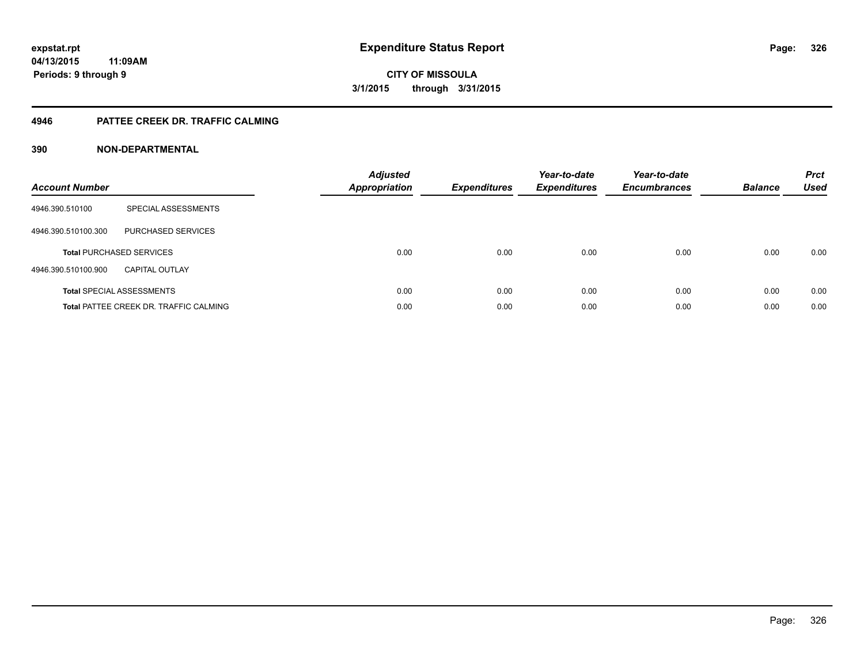### **4946 PATTEE CREEK DR. TRAFFIC CALMING**

### **390 NON-DEPARTMENTAL**

| <b>Account Number</b> |                                               | <b>Adjusted</b><br><b>Appropriation</b> | <b>Expenditures</b> | Year-to-date<br><b>Expenditures</b> | Year-to-date<br><b>Encumbrances</b> | <b>Balance</b> | <b>Prct</b><br><b>Used</b> |
|-----------------------|-----------------------------------------------|-----------------------------------------|---------------------|-------------------------------------|-------------------------------------|----------------|----------------------------|
| 4946.390.510100       | SPECIAL ASSESSMENTS                           |                                         |                     |                                     |                                     |                |                            |
| 4946.390.510100.300   | <b>PURCHASED SERVICES</b>                     |                                         |                     |                                     |                                     |                |                            |
|                       | <b>Total PURCHASED SERVICES</b>               | 0.00                                    | 0.00                | 0.00                                | 0.00                                | 0.00           | 0.00                       |
| 4946.390.510100.900   | <b>CAPITAL OUTLAY</b>                         |                                         |                     |                                     |                                     |                |                            |
|                       | <b>Total SPECIAL ASSESSMENTS</b>              | 0.00                                    | 0.00                | 0.00                                | 0.00                                | 0.00           | 0.00                       |
|                       | <b>Total PATTEE CREEK DR. TRAFFIC CALMING</b> | 0.00                                    | 0.00                | 0.00                                | 0.00                                | 0.00           | 0.00                       |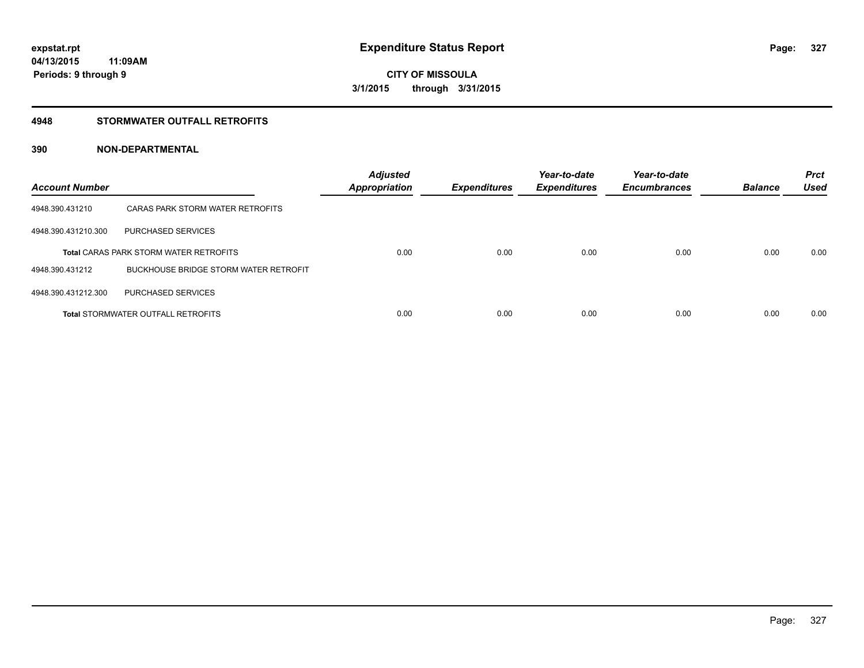### **4948 STORMWATER OUTFALL RETROFITS**

### **390 NON-DEPARTMENTAL**

| <b>Account Number</b> |                                               | <b>Adjusted</b><br><b>Appropriation</b> | <b>Expenditures</b> | Year-to-date<br><b>Expenditures</b> | Year-to-date<br><b>Encumbrances</b> | <b>Balance</b> | <b>Prct</b><br><b>Used</b> |
|-----------------------|-----------------------------------------------|-----------------------------------------|---------------------|-------------------------------------|-------------------------------------|----------------|----------------------------|
| 4948.390.431210       | CARAS PARK STORM WATER RETROFITS              |                                         |                     |                                     |                                     |                |                            |
| 4948.390.431210.300   | PURCHASED SERVICES                            |                                         |                     |                                     |                                     |                |                            |
|                       | <b>Total CARAS PARK STORM WATER RETROFITS</b> | 0.00                                    | 0.00                | 0.00                                | 0.00                                | 0.00           | 0.00                       |
| 4948.390.431212       | BUCKHOUSE BRIDGE STORM WATER RETROFIT         |                                         |                     |                                     |                                     |                |                            |
| 4948.390.431212.300   | PURCHASED SERVICES                            |                                         |                     |                                     |                                     |                |                            |
|                       | <b>Total STORMWATER OUTFALL RETROFITS</b>     | 0.00                                    | 0.00                | 0.00                                | 0.00                                | 0.00           | 0.00                       |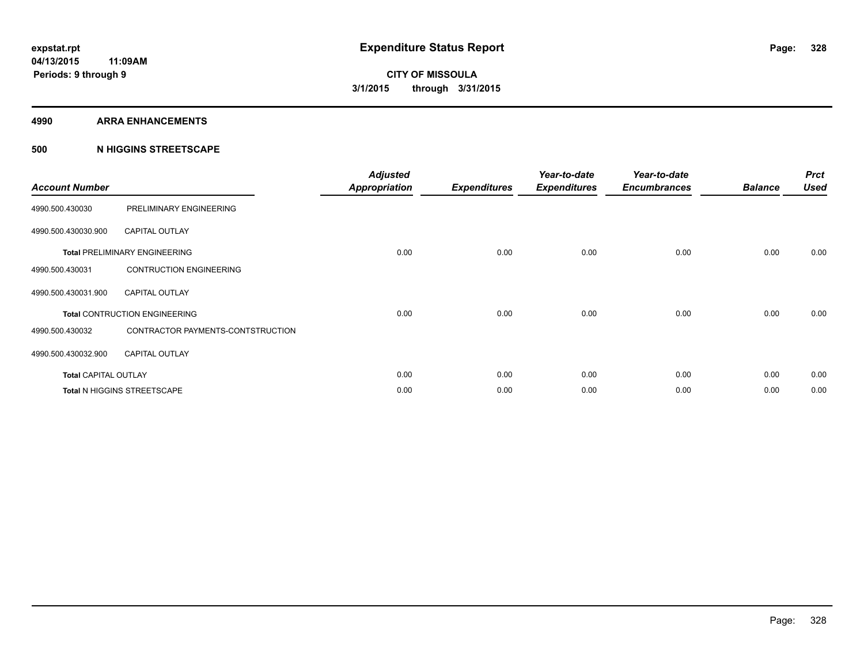#### **4990 ARRA ENHANCEMENTS**

### **500 N HIGGINS STREETSCAPE**

| <b>Account Number</b>       |                                      | <b>Adjusted</b><br><b>Appropriation</b> | <b>Expenditures</b> | Year-to-date<br><b>Expenditures</b> | Year-to-date<br><b>Encumbrances</b> | <b>Balance</b> | <b>Prct</b><br><b>Used</b> |
|-----------------------------|--------------------------------------|-----------------------------------------|---------------------|-------------------------------------|-------------------------------------|----------------|----------------------------|
| 4990.500.430030             | PRELIMINARY ENGINEERING              |                                         |                     |                                     |                                     |                |                            |
| 4990.500.430030.900         | <b>CAPITAL OUTLAY</b>                |                                         |                     |                                     |                                     |                |                            |
|                             | <b>Total PRELIMINARY ENGINEERING</b> | 0.00                                    | 0.00                | 0.00                                | 0.00                                | 0.00           | 0.00                       |
| 4990.500.430031             | <b>CONTRUCTION ENGINEERING</b>       |                                         |                     |                                     |                                     |                |                            |
| 4990.500.430031.900         | <b>CAPITAL OUTLAY</b>                |                                         |                     |                                     |                                     |                |                            |
|                             | <b>Total CONTRUCTION ENGINEERING</b> | 0.00                                    | 0.00                | 0.00                                | 0.00                                | 0.00           | 0.00                       |
| 4990.500.430032             | CONTRACTOR PAYMENTS-CONTSTRUCTION    |                                         |                     |                                     |                                     |                |                            |
| 4990.500.430032.900         | <b>CAPITAL OUTLAY</b>                |                                         |                     |                                     |                                     |                |                            |
| <b>Total CAPITAL OUTLAY</b> |                                      | 0.00                                    | 0.00                | 0.00                                | 0.00                                | 0.00           | 0.00                       |
|                             | Total N HIGGINS STREETSCAPE          | 0.00                                    | 0.00                | 0.00                                | 0.00                                | 0.00           | 0.00                       |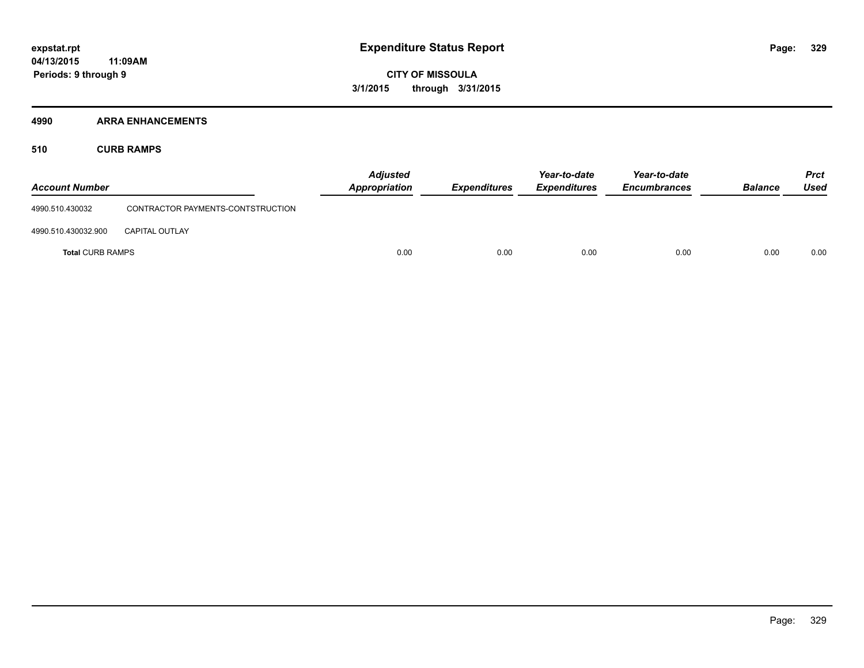### **4990 ARRA ENHANCEMENTS**

**510 CURB RAMPS**

| <b>Account Number</b>   |                                   | <b>Adjusted</b><br><b>Appropriation</b> | <b>Expenditures</b> | Year-to-date<br><b>Expenditures</b> | Year-to-date<br><b>Encumbrances</b> | <b>Balance</b> | <b>Prct</b><br><b>Used</b> |
|-------------------------|-----------------------------------|-----------------------------------------|---------------------|-------------------------------------|-------------------------------------|----------------|----------------------------|
| 4990.510.430032         | CONTRACTOR PAYMENTS-CONTSTRUCTION |                                         |                     |                                     |                                     |                |                            |
| 4990.510.430032.900     | <b>CAPITAL OUTLAY</b>             |                                         |                     |                                     |                                     |                |                            |
| <b>Total CURB RAMPS</b> |                                   | 0.00                                    | 0.00                | 0.00                                | 0.00                                | 0.00           | 0.00                       |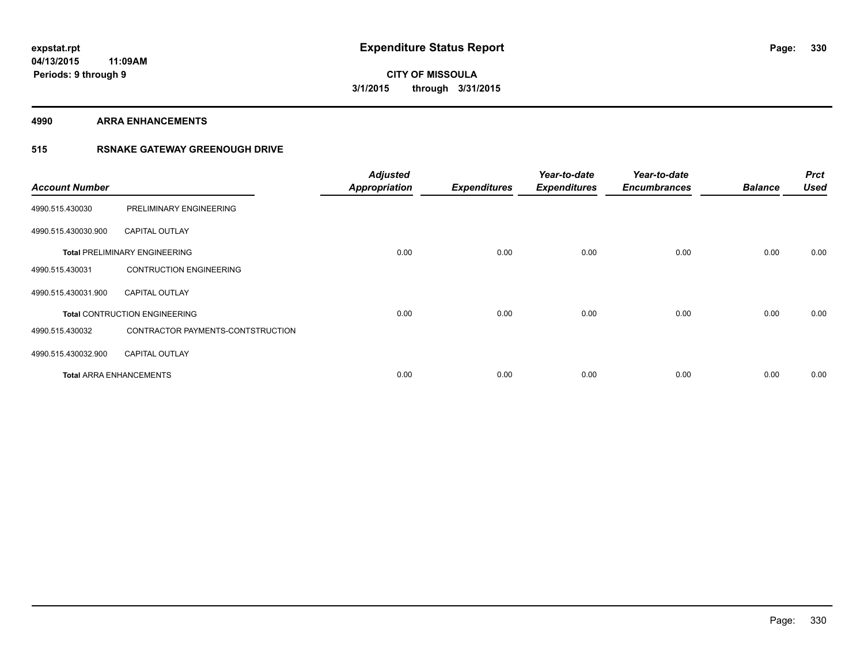**4990 ARRA ENHANCEMENTS**

### **515 RSNAKE GATEWAY GREENOUGH DRIVE**

| <b>Account Number</b> |                                      | <b>Adjusted</b><br><b>Appropriation</b> | <b>Expenditures</b> | Year-to-date<br><b>Expenditures</b> | Year-to-date<br><b>Encumbrances</b> | <b>Balance</b> | <b>Prct</b><br><b>Used</b> |
|-----------------------|--------------------------------------|-----------------------------------------|---------------------|-------------------------------------|-------------------------------------|----------------|----------------------------|
| 4990.515.430030       | PRELIMINARY ENGINEERING              |                                         |                     |                                     |                                     |                |                            |
| 4990.515.430030.900   | <b>CAPITAL OUTLAY</b>                |                                         |                     |                                     |                                     |                |                            |
|                       | <b>Total PRELIMINARY ENGINEERING</b> | 0.00                                    | 0.00                | 0.00                                | 0.00                                | 0.00           | 0.00                       |
| 4990.515.430031       | <b>CONTRUCTION ENGINEERING</b>       |                                         |                     |                                     |                                     |                |                            |
| 4990.515.430031.900   | <b>CAPITAL OUTLAY</b>                |                                         |                     |                                     |                                     |                |                            |
|                       | <b>Total CONTRUCTION ENGINEERING</b> | 0.00                                    | 0.00                | 0.00                                | 0.00                                | 0.00           | 0.00                       |
| 4990.515.430032       | CONTRACTOR PAYMENTS-CONTSTRUCTION    |                                         |                     |                                     |                                     |                |                            |
| 4990.515.430032.900   | <b>CAPITAL OUTLAY</b>                |                                         |                     |                                     |                                     |                |                            |
|                       | <b>Total ARRA ENHANCEMENTS</b>       | 0.00                                    | 0.00                | 0.00                                | 0.00                                | 0.00           | 0.00                       |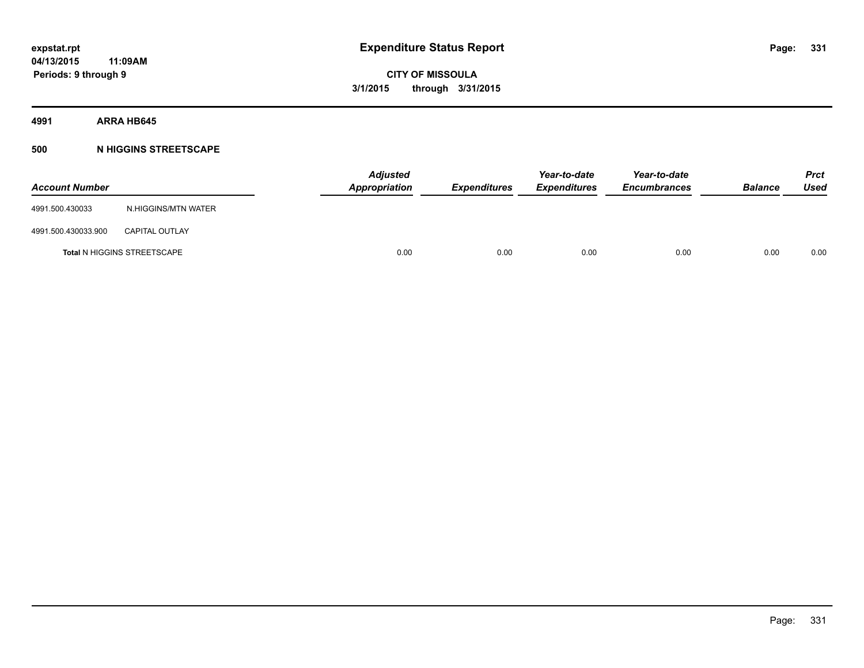**4991 ARRA HB645**

### **500 N HIGGINS STREETSCAPE**

| <b>Account Number</b> |                                    | <b>Adjusted</b><br>Appropriation | <b>Expenditures</b> | Year-to-date<br><b>Expenditures</b> | Year-to-date<br><b>Encumbrances</b> | <b>Balance</b> | <b>Prct</b><br><b>Used</b> |
|-----------------------|------------------------------------|----------------------------------|---------------------|-------------------------------------|-------------------------------------|----------------|----------------------------|
| 4991.500.430033       | N.HIGGINS/MTN WATER                |                                  |                     |                                     |                                     |                |                            |
| 4991.500.430033.900   | <b>CAPITAL OUTLAY</b>              |                                  |                     |                                     |                                     |                |                            |
|                       | <b>Total N HIGGINS STREETSCAPE</b> | 0.00                             | 0.00                | 0.00                                | 0.00                                | 0.00           | 0.00                       |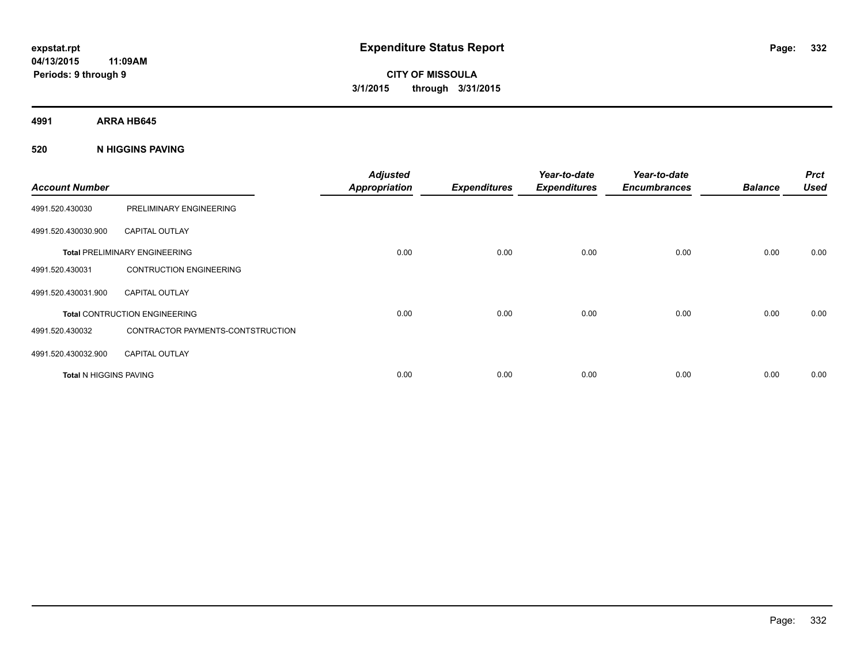**CITY OF MISSOULA 3/1/2015 through 3/31/2015**

**4991 ARRA HB645**

### **520 N HIGGINS PAVING**

| <b>Account Number</b>         |                                      | <b>Adjusted</b><br><b>Appropriation</b> | <b>Expenditures</b> | Year-to-date<br><b>Expenditures</b> | Year-to-date<br><b>Encumbrances</b> | <b>Balance</b> | <b>Prct</b><br><b>Used</b> |
|-------------------------------|--------------------------------------|-----------------------------------------|---------------------|-------------------------------------|-------------------------------------|----------------|----------------------------|
| 4991.520.430030               | PRELIMINARY ENGINEERING              |                                         |                     |                                     |                                     |                |                            |
| 4991.520.430030.900           | <b>CAPITAL OUTLAY</b>                |                                         |                     |                                     |                                     |                |                            |
|                               | <b>Total PRELIMINARY ENGINEERING</b> | 0.00                                    | 0.00                | 0.00                                | 0.00                                | 0.00           | 0.00                       |
| 4991.520.430031               | <b>CONTRUCTION ENGINEERING</b>       |                                         |                     |                                     |                                     |                |                            |
| 4991.520.430031.900           | <b>CAPITAL OUTLAY</b>                |                                         |                     |                                     |                                     |                |                            |
|                               | <b>Total CONTRUCTION ENGINEERING</b> | 0.00                                    | 0.00                | 0.00                                | 0.00                                | 0.00           | 0.00                       |
| 4991.520.430032               | CONTRACTOR PAYMENTS-CONTSTRUCTION    |                                         |                     |                                     |                                     |                |                            |
| 4991.520.430032.900           | <b>CAPITAL OUTLAY</b>                |                                         |                     |                                     |                                     |                |                            |
| <b>Total N HIGGINS PAVING</b> |                                      | 0.00                                    | 0.00                | 0.00                                | 0.00                                | 0.00           | 0.00                       |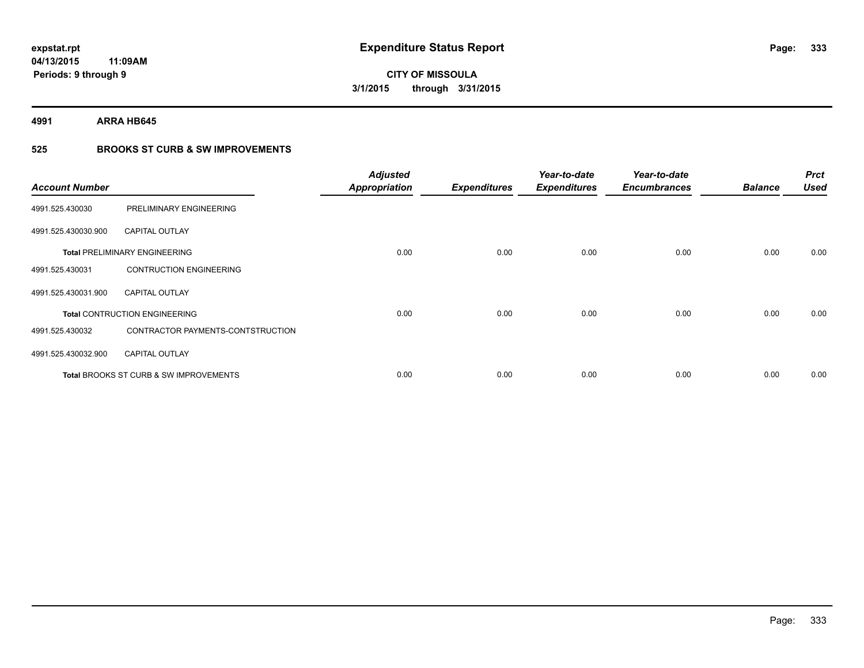**4991 ARRA HB645**

### **525 BROOKS ST CURB & SW IMPROVEMENTS**

| <b>Account Number</b> |                                                   | <b>Adjusted</b><br><b>Appropriation</b> | <b>Expenditures</b> | Year-to-date<br><b>Expenditures</b> | Year-to-date<br><b>Encumbrances</b> | <b>Balance</b> | <b>Prct</b><br><b>Used</b> |
|-----------------------|---------------------------------------------------|-----------------------------------------|---------------------|-------------------------------------|-------------------------------------|----------------|----------------------------|
| 4991.525.430030       | PRELIMINARY ENGINEERING                           |                                         |                     |                                     |                                     |                |                            |
| 4991.525.430030.900   | <b>CAPITAL OUTLAY</b>                             |                                         |                     |                                     |                                     |                |                            |
|                       | <b>Total PRELIMINARY ENGINEERING</b>              | 0.00                                    | 0.00                | 0.00                                | 0.00                                | 0.00           | 0.00                       |
| 4991.525.430031       | <b>CONTRUCTION ENGINEERING</b>                    |                                         |                     |                                     |                                     |                |                            |
| 4991.525.430031.900   | <b>CAPITAL OUTLAY</b>                             |                                         |                     |                                     |                                     |                |                            |
|                       | <b>Total CONTRUCTION ENGINEERING</b>              | 0.00                                    | 0.00                | 0.00                                | 0.00                                | 0.00           | 0.00                       |
| 4991.525.430032       | CONTRACTOR PAYMENTS-CONTSTRUCTION                 |                                         |                     |                                     |                                     |                |                            |
| 4991.525.430032.900   | <b>CAPITAL OUTLAY</b>                             |                                         |                     |                                     |                                     |                |                            |
|                       | <b>Total BROOKS ST CURB &amp; SW IMPROVEMENTS</b> | 0.00                                    | 0.00                | 0.00                                | 0.00                                | 0.00           | 0.00                       |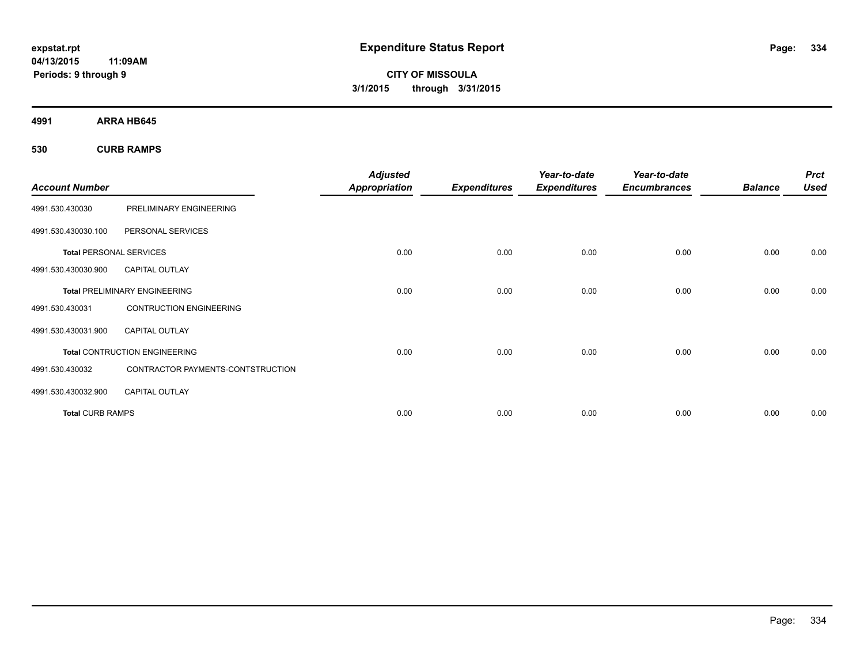**CITY OF MISSOULA 3/1/2015 through 3/31/2015**

**4991 ARRA HB645**

**530 CURB RAMPS**

| <b>Account Number</b>          |                                      | <b>Adjusted</b><br><b>Appropriation</b> | <b>Expenditures</b> | Year-to-date<br><b>Expenditures</b> | Year-to-date<br><b>Encumbrances</b> | <b>Balance</b> | <b>Prct</b><br><b>Used</b> |
|--------------------------------|--------------------------------------|-----------------------------------------|---------------------|-------------------------------------|-------------------------------------|----------------|----------------------------|
|                                |                                      |                                         |                     |                                     |                                     |                |                            |
| 4991.530.430030                | PRELIMINARY ENGINEERING              |                                         |                     |                                     |                                     |                |                            |
| 4991.530.430030.100            | PERSONAL SERVICES                    |                                         |                     |                                     |                                     |                |                            |
| <b>Total PERSONAL SERVICES</b> |                                      | 0.00                                    | 0.00                | 0.00                                | 0.00                                | 0.00           | 0.00                       |
| 4991.530.430030.900            | <b>CAPITAL OUTLAY</b>                |                                         |                     |                                     |                                     |                |                            |
|                                | <b>Total PRELIMINARY ENGINEERING</b> | 0.00                                    | 0.00                | 0.00                                | 0.00                                | 0.00           | 0.00                       |
| 4991.530.430031                | <b>CONTRUCTION ENGINEERING</b>       |                                         |                     |                                     |                                     |                |                            |
| 4991.530.430031.900            | <b>CAPITAL OUTLAY</b>                |                                         |                     |                                     |                                     |                |                            |
|                                | <b>Total CONTRUCTION ENGINEERING</b> | 0.00                                    | 0.00                | 0.00                                | 0.00                                | 0.00           | 0.00                       |
| 4991.530.430032                | CONTRACTOR PAYMENTS-CONTSTRUCTION    |                                         |                     |                                     |                                     |                |                            |
| 4991.530.430032.900            | <b>CAPITAL OUTLAY</b>                |                                         |                     |                                     |                                     |                |                            |
| <b>Total CURB RAMPS</b>        |                                      | 0.00                                    | 0.00                | 0.00                                | 0.00                                | 0.00           | 0.00                       |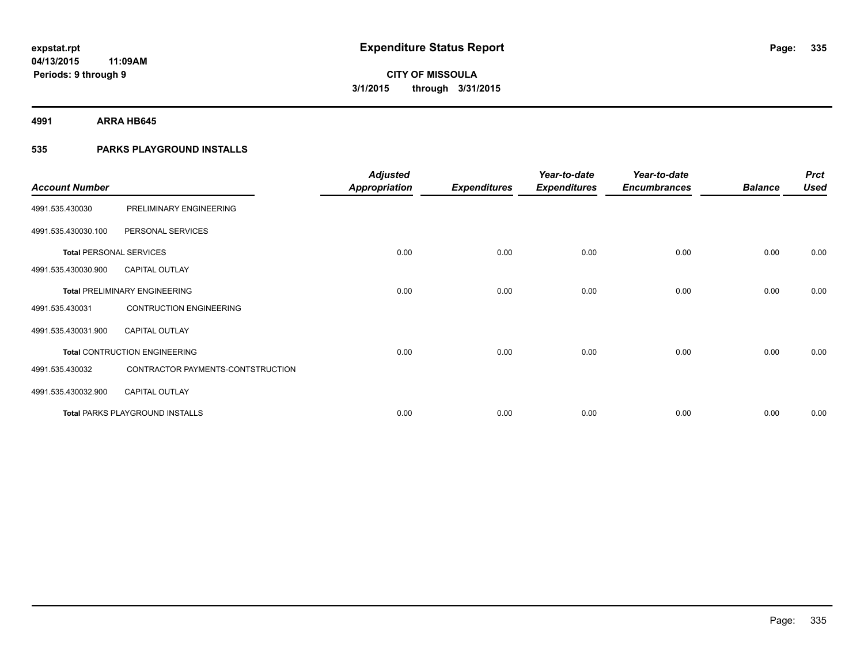**4991 ARRA HB645**

### **535 PARKS PLAYGROUND INSTALLS**

| <b>Account Number</b>          |                                        | <b>Adjusted</b><br><b>Appropriation</b> | <b>Expenditures</b> | Year-to-date<br><b>Expenditures</b> | Year-to-date<br><b>Encumbrances</b> | <b>Balance</b> | <b>Prct</b><br><b>Used</b> |
|--------------------------------|----------------------------------------|-----------------------------------------|---------------------|-------------------------------------|-------------------------------------|----------------|----------------------------|
| 4991.535.430030                | PRELIMINARY ENGINEERING                |                                         |                     |                                     |                                     |                |                            |
| 4991.535.430030.100            | PERSONAL SERVICES                      |                                         |                     |                                     |                                     |                |                            |
| <b>Total PERSONAL SERVICES</b> |                                        | 0.00                                    | 0.00                | 0.00                                | 0.00                                | 0.00           | 0.00                       |
| 4991.535.430030.900            | <b>CAPITAL OUTLAY</b>                  |                                         |                     |                                     |                                     |                |                            |
|                                | <b>Total PRELIMINARY ENGINEERING</b>   | 0.00                                    | 0.00                | 0.00                                | 0.00                                | 0.00           | 0.00                       |
| 4991.535.430031                | <b>CONTRUCTION ENGINEERING</b>         |                                         |                     |                                     |                                     |                |                            |
| 4991.535.430031.900            | <b>CAPITAL OUTLAY</b>                  |                                         |                     |                                     |                                     |                |                            |
|                                | <b>Total CONTRUCTION ENGINEERING</b>   | 0.00                                    | 0.00                | 0.00                                | 0.00                                | 0.00           | 0.00                       |
| 4991.535.430032                | CONTRACTOR PAYMENTS-CONTSTRUCTION      |                                         |                     |                                     |                                     |                |                            |
| 4991.535.430032.900            | <b>CAPITAL OUTLAY</b>                  |                                         |                     |                                     |                                     |                |                            |
|                                | <b>Total PARKS PLAYGROUND INSTALLS</b> | 0.00                                    | 0.00                | 0.00                                | 0.00                                | 0.00           | 0.00                       |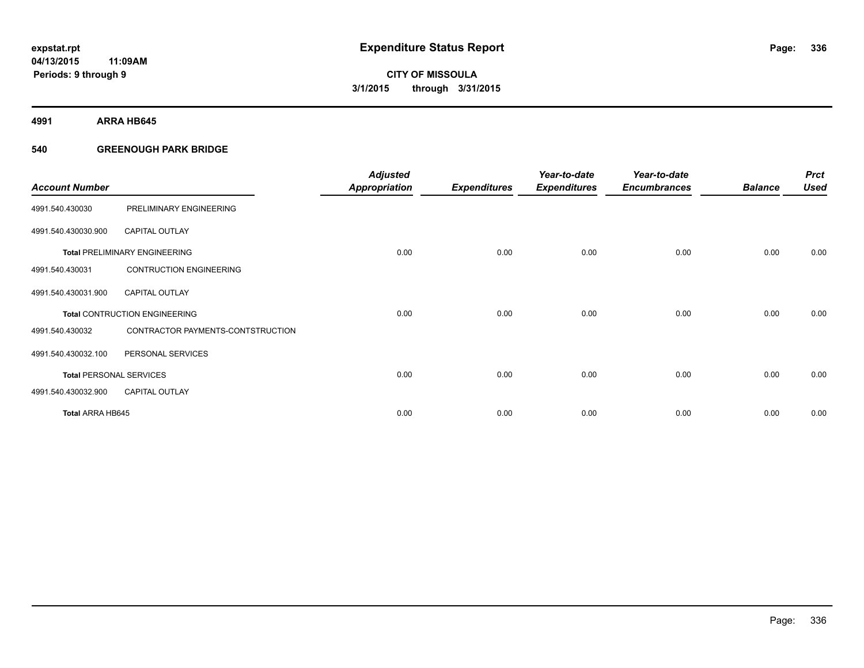**4991 ARRA HB645**

### **540 GREENOUGH PARK BRIDGE**

| <b>Account Number</b>          |                                      | <b>Adjusted</b><br><b>Appropriation</b> | <b>Expenditures</b> | Year-to-date<br><b>Expenditures</b> | Year-to-date<br><b>Encumbrances</b> | <b>Balance</b> | <b>Prct</b><br><b>Used</b> |
|--------------------------------|--------------------------------------|-----------------------------------------|---------------------|-------------------------------------|-------------------------------------|----------------|----------------------------|
| 4991.540.430030                | PRELIMINARY ENGINEERING              |                                         |                     |                                     |                                     |                |                            |
| 4991.540.430030.900            | <b>CAPITAL OUTLAY</b>                |                                         |                     |                                     |                                     |                |                            |
|                                | <b>Total PRELIMINARY ENGINEERING</b> | 0.00                                    | 0.00                | 0.00                                | 0.00                                | 0.00           | 0.00                       |
| 4991.540.430031                | <b>CONTRUCTION ENGINEERING</b>       |                                         |                     |                                     |                                     |                |                            |
| 4991.540.430031.900            | <b>CAPITAL OUTLAY</b>                |                                         |                     |                                     |                                     |                |                            |
|                                | <b>Total CONTRUCTION ENGINEERING</b> | 0.00                                    | 0.00                | 0.00                                | 0.00                                | 0.00           | 0.00                       |
| 4991.540.430032                | CONTRACTOR PAYMENTS-CONTSTRUCTION    |                                         |                     |                                     |                                     |                |                            |
| 4991.540.430032.100            | PERSONAL SERVICES                    |                                         |                     |                                     |                                     |                |                            |
| <b>Total PERSONAL SERVICES</b> |                                      | 0.00                                    | 0.00                | 0.00                                | 0.00                                | 0.00           | 0.00                       |
| 4991.540.430032.900            | <b>CAPITAL OUTLAY</b>                |                                         |                     |                                     |                                     |                |                            |
| <b>Total ARRA HB645</b>        |                                      | 0.00                                    | 0.00                | 0.00                                | 0.00                                | 0.00           | 0.00                       |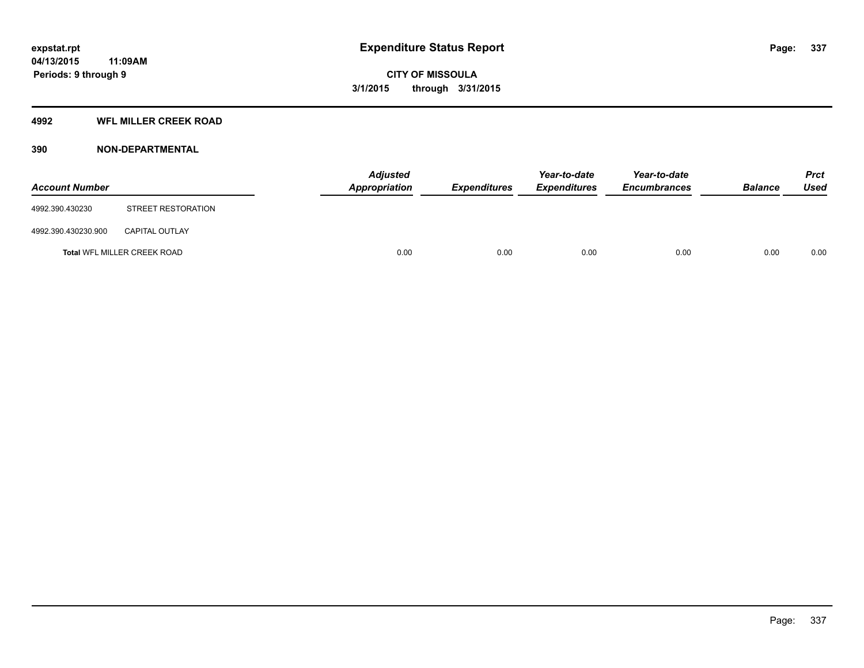### **4992 WFL MILLER CREEK ROAD**

### **390 NON-DEPARTMENTAL**

| <b>Account Number</b> |                             | Adjusted<br><b>Appropriation</b> | <b>Expenditures</b> | Year-to-date<br><b>Expenditures</b> | Year-to-date<br><b>Encumbrances</b> | <b>Balance</b> | <b>Prct</b><br><b>Used</b> |
|-----------------------|-----------------------------|----------------------------------|---------------------|-------------------------------------|-------------------------------------|----------------|----------------------------|
| 4992.390.430230       | STREET RESTORATION          |                                  |                     |                                     |                                     |                |                            |
| 4992.390.430230.900   | <b>CAPITAL OUTLAY</b>       |                                  |                     |                                     |                                     |                |                            |
|                       | Total WFL MILLER CREEK ROAD | 0.00                             | 0.00                | 0.00                                | 0.00                                | 0.00           | 0.00                       |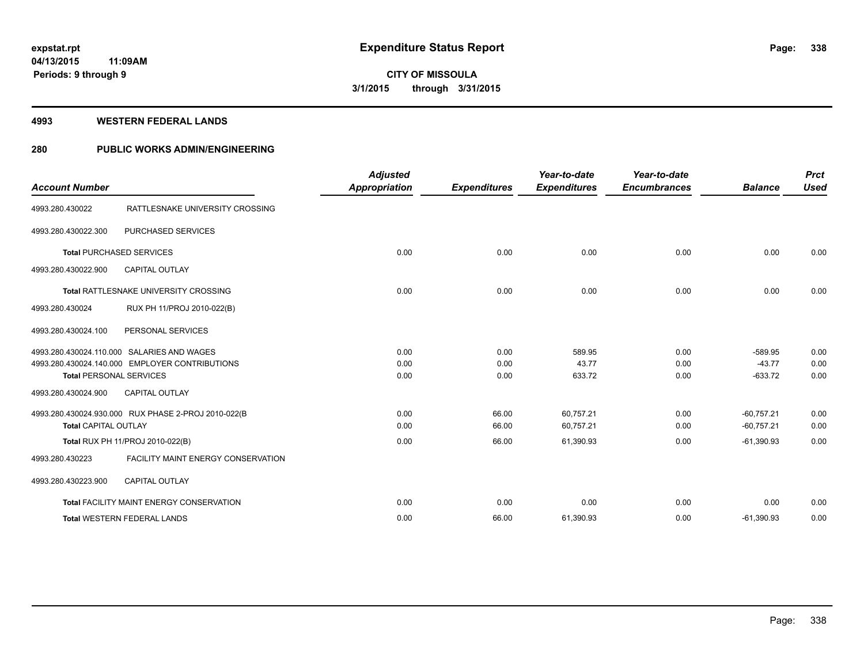**Periods: 9 through 9**

**CITY OF MISSOULA 3/1/2015 through 3/31/2015**

#### **4993 WESTERN FEDERAL LANDS**

**11:09AM**

### **280 PUBLIC WORKS ADMIN/ENGINEERING**

| <b>Account Number</b>       |                                                                                                                                | <b>Adjusted</b><br><b>Appropriation</b> | <b>Expenditures</b>  | Year-to-date<br><b>Expenditures</b> | Year-to-date<br><b>Encumbrances</b> | <b>Balance</b>                     | <b>Prct</b><br><b>Used</b> |
|-----------------------------|--------------------------------------------------------------------------------------------------------------------------------|-----------------------------------------|----------------------|-------------------------------------|-------------------------------------|------------------------------------|----------------------------|
| 4993.280.430022             | RATTLESNAKE UNIVERSITY CROSSING                                                                                                |                                         |                      |                                     |                                     |                                    |                            |
| 4993.280.430022.300         | PURCHASED SERVICES                                                                                                             |                                         |                      |                                     |                                     |                                    |                            |
|                             | <b>Total PURCHASED SERVICES</b>                                                                                                | 0.00                                    | 0.00                 | 0.00                                | 0.00                                | 0.00                               | 0.00                       |
| 4993.280.430022.900         | <b>CAPITAL OUTLAY</b>                                                                                                          |                                         |                      |                                     |                                     |                                    |                            |
|                             | <b>Total RATTLESNAKE UNIVERSITY CROSSING</b>                                                                                   | 0.00                                    | 0.00                 | 0.00                                | 0.00                                | 0.00                               | 0.00                       |
| 4993.280.430024             | RUX PH 11/PROJ 2010-022(B)                                                                                                     |                                         |                      |                                     |                                     |                                    |                            |
| 4993.280.430024.100         | PERSONAL SERVICES                                                                                                              |                                         |                      |                                     |                                     |                                    |                            |
|                             | 4993.280.430024.110.000 SALARIES AND WAGES<br>4993.280.430024.140.000 EMPLOYER CONTRIBUTIONS<br><b>Total PERSONAL SERVICES</b> | 0.00<br>0.00<br>0.00                    | 0.00<br>0.00<br>0.00 | 589.95<br>43.77<br>633.72           | 0.00<br>0.00<br>0.00                | $-589.95$<br>$-43.77$<br>$-633.72$ | 0.00<br>0.00<br>0.00       |
| 4993.280.430024.900         | <b>CAPITAL OUTLAY</b>                                                                                                          |                                         |                      |                                     |                                     |                                    |                            |
| <b>Total CAPITAL OUTLAY</b> | 4993.280.430024.930.000 RUX PHASE 2-PROJ 2010-022(B                                                                            | 0.00<br>0.00                            | 66.00<br>66.00       | 60.757.21<br>60,757.21              | 0.00<br>0.00                        | $-60.757.21$<br>$-60,757.21$       | 0.00<br>0.00               |
|                             | Total RUX PH 11/PROJ 2010-022(B)                                                                                               | 0.00                                    | 66.00                | 61,390.93                           | 0.00                                | $-61,390.93$                       | 0.00                       |
| 4993.280.430223             | <b>FACILITY MAINT ENERGY CONSERVATION</b>                                                                                      |                                         |                      |                                     |                                     |                                    |                            |
| 4993.280.430223.900         | <b>CAPITAL OUTLAY</b>                                                                                                          |                                         |                      |                                     |                                     |                                    |                            |
|                             | Total FACILITY MAINT ENERGY CONSERVATION                                                                                       | 0.00                                    | 0.00                 | 0.00                                | 0.00                                | 0.00                               | 0.00                       |
|                             | <b>Total WESTERN FEDERAL LANDS</b>                                                                                             | 0.00                                    | 66.00                | 61,390.93                           | 0.00                                | $-61,390.93$                       | 0.00                       |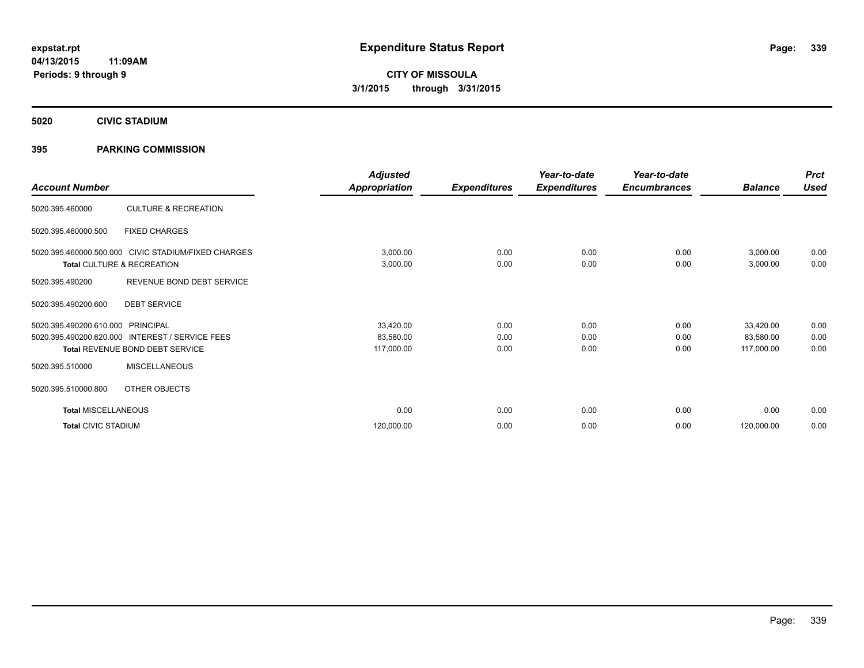**5020 CIVIC STADIUM**

### **395 PARKING COMMISSION**

| <b>Account Number</b>      |                                                     | <b>Adjusted</b><br><b>Appropriation</b> | <b>Expenditures</b> | Year-to-date<br><b>Expenditures</b> | Year-to-date<br><b>Encumbrances</b> | <b>Balance</b> | <b>Prct</b><br><b>Used</b> |
|----------------------------|-----------------------------------------------------|-----------------------------------------|---------------------|-------------------------------------|-------------------------------------|----------------|----------------------------|
|                            |                                                     |                                         |                     |                                     |                                     |                |                            |
| 5020.395.460000            | <b>CULTURE &amp; RECREATION</b>                     |                                         |                     |                                     |                                     |                |                            |
| 5020.395.460000.500        | <b>FIXED CHARGES</b>                                |                                         |                     |                                     |                                     |                |                            |
|                            | 5020.395.460000.500.000 CIVIC STADIUM/FIXED CHARGES | 3,000.00                                | 0.00                | 0.00                                | 0.00                                | 3,000.00       | 0.00                       |
|                            | Total CULTURE & RECREATION                          | 3,000.00                                | 0.00                | 0.00                                | 0.00                                | 3,000.00       | 0.00                       |
| 5020.395.490200            | REVENUE BOND DEBT SERVICE                           |                                         |                     |                                     |                                     |                |                            |
| 5020.395.490200.600        | <b>DEBT SERVICE</b>                                 |                                         |                     |                                     |                                     |                |                            |
| 5020.395.490200.610.000    | PRINCIPAL                                           | 33,420.00                               | 0.00                | 0.00                                | 0.00                                | 33,420.00      | 0.00                       |
| 5020.395.490200.620.000    | <b>INTEREST / SERVICE FEES</b>                      | 83,580.00                               | 0.00                | 0.00                                | 0.00                                | 83,580.00      | 0.00                       |
|                            | Total REVENUE BOND DEBT SERVICE                     | 117,000.00                              | 0.00                | 0.00                                | 0.00                                | 117,000.00     | 0.00                       |
| 5020.395.510000            | <b>MISCELLANEOUS</b>                                |                                         |                     |                                     |                                     |                |                            |
| 5020.395.510000.800        | OTHER OBJECTS                                       |                                         |                     |                                     |                                     |                |                            |
| <b>Total MISCELLANEOUS</b> |                                                     | 0.00                                    | 0.00                | 0.00                                | 0.00                                | 0.00           | 0.00                       |
| <b>Total CIVIC STADIUM</b> |                                                     | 120,000.00                              | 0.00                | 0.00                                | 0.00                                | 120,000.00     | 0.00                       |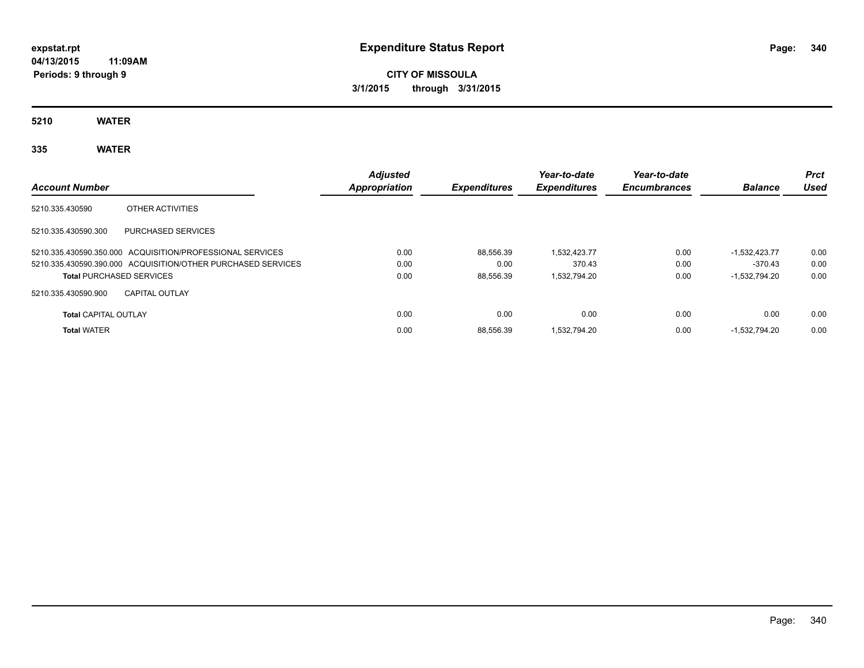# **CITY OF MISSOULA 3/1/2015 through 3/31/2015**

**5210 WATER**

## **335 WATER**

| <b>Account Number</b>           |                                                              | <b>Adjusted</b><br>Appropriation | <b>Expenditures</b> | Year-to-date<br><b>Expenditures</b> | Year-to-date<br><b>Encumbrances</b> | <b>Balance</b>  | <b>Prct</b><br>Used |
|---------------------------------|--------------------------------------------------------------|----------------------------------|---------------------|-------------------------------------|-------------------------------------|-----------------|---------------------|
| 5210.335.430590                 | OTHER ACTIVITIES                                             |                                  |                     |                                     |                                     |                 |                     |
| 5210.335.430590.300             | <b>PURCHASED SERVICES</b>                                    |                                  |                     |                                     |                                     |                 |                     |
|                                 | 5210.335.430590.350.000 ACQUISITION/PROFESSIONAL SERVICES    | 0.00                             | 88.556.39           | 1.532.423.77                        | 0.00                                | $-1.532.423.77$ | 0.00                |
|                                 | 5210.335.430590.390.000 ACQUISITION/OTHER PURCHASED SERVICES | 0.00                             | 0.00                | 370.43                              | 0.00                                | $-370.43$       | 0.00                |
| <b>Total PURCHASED SERVICES</b> |                                                              | 0.00                             | 88.556.39           | 1.532.794.20                        | 0.00                                | $-1.532.794.20$ | 0.00                |
| 5210.335.430590.900             | <b>CAPITAL OUTLAY</b>                                        |                                  |                     |                                     |                                     |                 |                     |
| <b>Total CAPITAL OUTLAY</b>     |                                                              | 0.00                             | 0.00                | 0.00                                | 0.00                                | 0.00            | 0.00                |
| <b>Total WATER</b>              |                                                              | 0.00                             | 88.556.39           | 1.532.794.20                        | 0.00                                | $-1.532.794.20$ | 0.00                |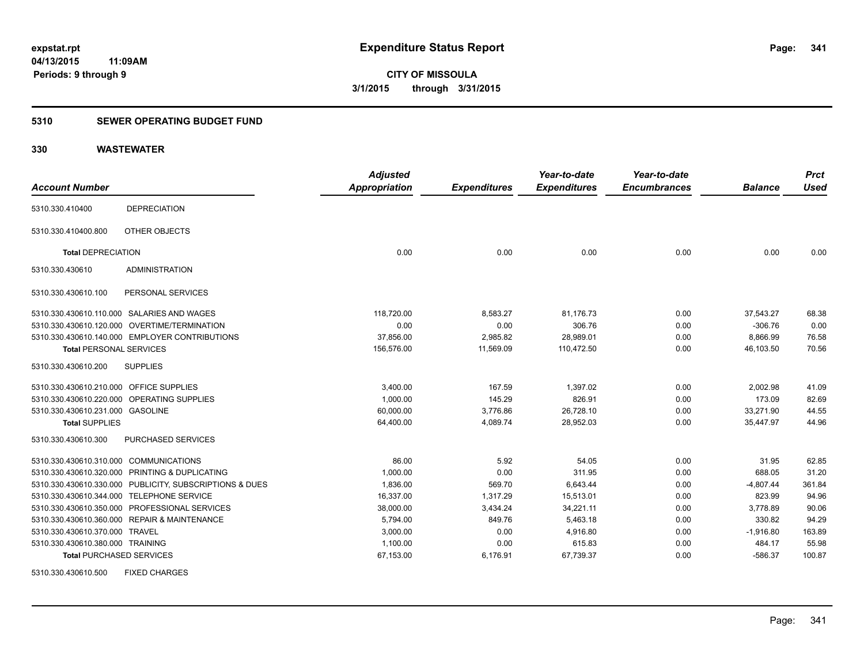### **5310 SEWER OPERATING BUDGET FUND**

### **330 WASTEWATER**

|                                         |                                                         | <b>Adjusted</b> |                     | Year-to-date        | Year-to-date        |                | <b>Prct</b> |
|-----------------------------------------|---------------------------------------------------------|-----------------|---------------------|---------------------|---------------------|----------------|-------------|
| <b>Account Number</b>                   |                                                         | Appropriation   | <b>Expenditures</b> | <b>Expenditures</b> | <b>Encumbrances</b> | <b>Balance</b> | <b>Used</b> |
| 5310.330.410400                         | <b>DEPRECIATION</b>                                     |                 |                     |                     |                     |                |             |
| 5310.330.410400.800                     | OTHER OBJECTS                                           |                 |                     |                     |                     |                |             |
| <b>Total DEPRECIATION</b>               |                                                         | 0.00            | 0.00                | 0.00                | 0.00                | 0.00           | 0.00        |
| 5310.330.430610                         | <b>ADMINISTRATION</b>                                   |                 |                     |                     |                     |                |             |
| 5310.330.430610.100                     | PERSONAL SERVICES                                       |                 |                     |                     |                     |                |             |
|                                         | 5310.330.430610.110.000 SALARIES AND WAGES              | 118.720.00      | 8,583.27            | 81.176.73           | 0.00                | 37.543.27      | 68.38       |
|                                         | 5310.330.430610.120.000 OVERTIME/TERMINATION            | 0.00            | 0.00                | 306.76              | 0.00                | $-306.76$      | 0.00        |
|                                         | 5310.330.430610.140.000 EMPLOYER CONTRIBUTIONS          | 37,856.00       | 2,985.82            | 28,989.01           | 0.00                | 8,866.99       | 76.58       |
| <b>Total PERSONAL SERVICES</b>          |                                                         | 156,576.00      | 11,569.09           | 110.472.50          | 0.00                | 46.103.50      | 70.56       |
| 5310.330.430610.200                     | <b>SUPPLIES</b>                                         |                 |                     |                     |                     |                |             |
| 5310.330.430610.210.000 OFFICE SUPPLIES |                                                         | 3,400.00        | 167.59              | 1,397.02            | 0.00                | 2,002.98       | 41.09       |
|                                         | 5310.330.430610.220.000 OPERATING SUPPLIES              | 1,000.00        | 145.29              | 826.91              | 0.00                | 173.09         | 82.69       |
| 5310.330.430610.231.000 GASOLINE        |                                                         | 60,000.00       | 3,776.86            | 26,728.10           | 0.00                | 33,271.90      | 44.55       |
| <b>Total SUPPLIES</b>                   |                                                         | 64,400.00       | 4,089.74            | 28,952.03           | 0.00                | 35,447.97      | 44.96       |
| 5310.330.430610.300                     | <b>PURCHASED SERVICES</b>                               |                 |                     |                     |                     |                |             |
| 5310.330.430610.310.000 COMMUNICATIONS  |                                                         | 86.00           | 5.92                | 54.05               | 0.00                | 31.95          | 62.85       |
|                                         | 5310.330.430610.320.000 PRINTING & DUPLICATING          | 1.000.00        | 0.00                | 311.95              | 0.00                | 688.05         | 31.20       |
|                                         | 5310.330.430610.330.000 PUBLICITY, SUBSCRIPTIONS & DUES | 1,836.00        | 569.70              | 6,643.44            | 0.00                | $-4,807.44$    | 361.84      |
|                                         | 5310.330.430610.344.000 TELEPHONE SERVICE               | 16,337.00       | 1,317.29            | 15,513.01           | 0.00                | 823.99         | 94.96       |
|                                         | 5310.330.430610.350.000 PROFESSIONAL SERVICES           | 38,000.00       | 3,434.24            | 34,221.11           | 0.00                | 3,778.89       | 90.06       |
|                                         | 5310.330.430610.360.000 REPAIR & MAINTENANCE            | 5,794.00        | 849.76              | 5,463.18            | 0.00                | 330.82         | 94.29       |
| 5310.330.430610.370.000 TRAVEL          |                                                         | 3,000.00        | 0.00                | 4,916.80            | 0.00                | $-1,916.80$    | 163.89      |
| 5310.330.430610.380.000 TRAINING        |                                                         | 1,100.00        | 0.00                | 615.83              | 0.00                | 484.17         | 55.98       |
| <b>Total PURCHASED SERVICES</b>         |                                                         | 67,153.00       | 6,176.91            | 67,739.37           | 0.00                | $-586.37$      | 100.87      |
|                                         |                                                         |                 |                     |                     |                     |                |             |

5310.330.430610.500 FIXED CHARGES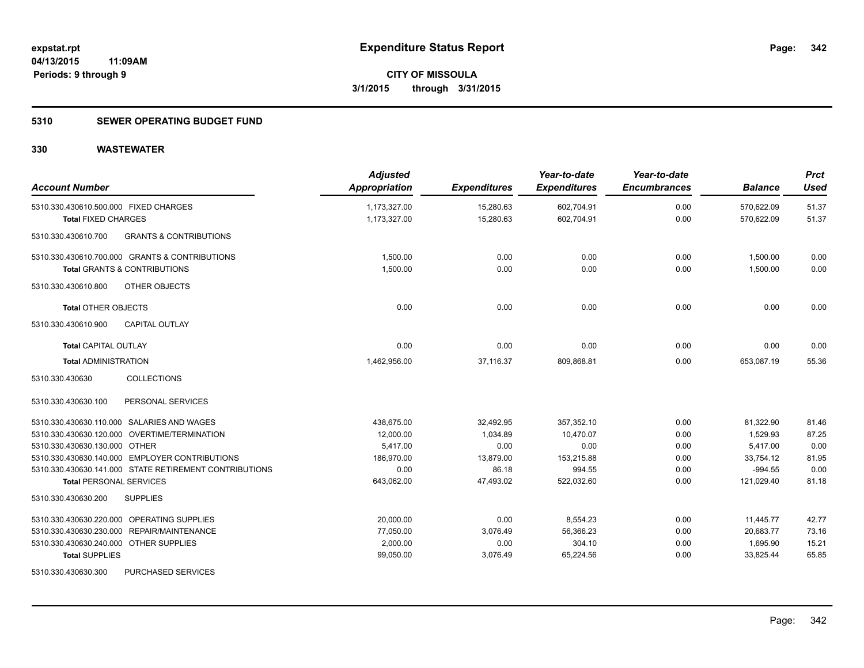### **5310 SEWER OPERATING BUDGET FUND**

| <b>Account Number</b>                                               | <b>Adjusted</b><br>Appropriation | <b>Expenditures</b>    | Year-to-date<br><b>Expenditures</b> | Year-to-date<br><b>Encumbrances</b> | <b>Balance</b>           | <b>Prct</b><br><b>Used</b> |
|---------------------------------------------------------------------|----------------------------------|------------------------|-------------------------------------|-------------------------------------|--------------------------|----------------------------|
| 5310.330.430610.500.000 FIXED CHARGES<br><b>Total FIXED CHARGES</b> | 1,173,327.00<br>1,173,327.00     | 15,280.63<br>15,280.63 | 602,704.91<br>602,704.91            | 0.00<br>0.00                        | 570,622.09<br>570,622.09 | 51.37<br>51.37             |
|                                                                     |                                  |                        |                                     |                                     |                          |                            |
| <b>GRANTS &amp; CONTRIBUTIONS</b><br>5310.330.430610.700            |                                  |                        |                                     |                                     |                          |                            |
| 5310.330.430610.700.000 GRANTS & CONTRIBUTIONS                      | 1,500.00                         | 0.00                   | 0.00                                | 0.00                                | 1,500.00                 | 0.00                       |
| <b>Total GRANTS &amp; CONTRIBUTIONS</b>                             | 1,500.00                         | 0.00                   | 0.00                                | 0.00                                | 1,500.00                 | 0.00                       |
| 5310.330.430610.800<br>OTHER OBJECTS                                |                                  |                        |                                     |                                     |                          |                            |
| <b>Total OTHER OBJECTS</b>                                          | 0.00                             | 0.00                   | 0.00                                | 0.00                                | 0.00                     | 0.00                       |
| 5310.330.430610.900<br><b>CAPITAL OUTLAY</b>                        |                                  |                        |                                     |                                     |                          |                            |
| <b>Total CAPITAL OUTLAY</b>                                         | 0.00                             | 0.00                   | 0.00                                | 0.00                                | 0.00                     | 0.00                       |
| <b>Total ADMINISTRATION</b>                                         | 1,462,956.00                     | 37,116.37              | 809,868.81                          | 0.00                                | 653,087.19               | 55.36                      |
| <b>COLLECTIONS</b><br>5310.330.430630                               |                                  |                        |                                     |                                     |                          |                            |
| 5310.330.430630.100<br>PERSONAL SERVICES                            |                                  |                        |                                     |                                     |                          |                            |
| 5310.330.430630.110.000 SALARIES AND WAGES                          | 438,675.00                       | 32,492.95              | 357,352.10                          | 0.00                                | 81,322.90                | 81.46                      |
| 5310.330.430630.120.000 OVERTIME/TERMINATION                        | 12,000.00                        | 1,034.89               | 10,470.07                           | 0.00                                | 1,529.93                 | 87.25                      |
| 5310.330.430630.130.000 OTHER                                       | 5,417.00                         | 0.00                   | 0.00                                | 0.00                                | 5,417.00                 | 0.00                       |
| 5310.330.430630.140.000 EMPLOYER CONTRIBUTIONS                      | 186,970.00                       | 13,879.00              | 153,215.88                          | 0.00                                | 33,754.12                | 81.95                      |
| 5310.330.430630.141.000 STATE RETIREMENT CONTRIBUTIONS              | 0.00                             | 86.18                  | 994.55                              | 0.00                                | $-994.55$                | 0.00                       |
| <b>Total PERSONAL SERVICES</b>                                      | 643,062.00                       | 47,493.02              | 522,032.60                          | 0.00                                | 121,029.40               | 81.18                      |
| 5310.330.430630.200<br><b>SUPPLIES</b>                              |                                  |                        |                                     |                                     |                          |                            |
| 5310.330.430630.220.000 OPERATING SUPPLIES                          | 20.000.00                        | 0.00                   | 8,554.23                            | 0.00                                | 11,445.77                | 42.77                      |
| 5310.330.430630.230.000 REPAIR/MAINTENANCE                          | 77,050.00                        | 3,076.49               | 56,366.23                           | 0.00                                | 20,683.77                | 73.16                      |
| 5310.330.430630.240.000 OTHER SUPPLIES                              | 2,000.00                         | 0.00                   | 304.10                              | 0.00                                | 1,695.90                 | 15.21                      |
| <b>Total SUPPLIES</b>                                               | 99,050.00                        | 3,076.49               | 65,224.56                           | 0.00                                | 33,825.44                | 65.85                      |
| 5310.330.430630.300<br>PURCHASED SERVICES                           |                                  |                        |                                     |                                     |                          |                            |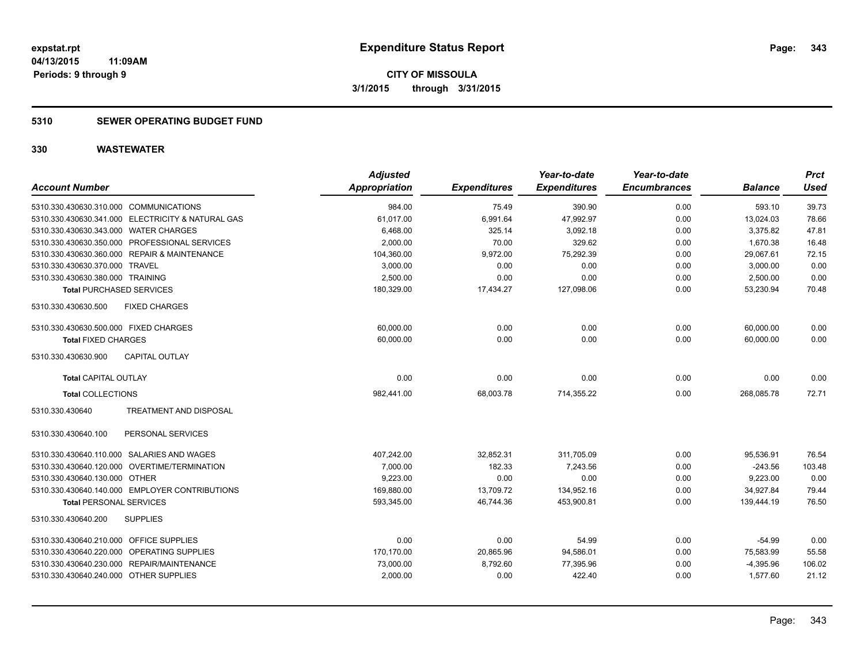### **5310 SEWER OPERATING BUDGET FUND**

| <b>Account Number</b>                             | <b>Adjusted</b><br><b>Appropriation</b> | <b>Expenditures</b> | Year-to-date<br><b>Expenditures</b> | Year-to-date<br><b>Encumbrances</b> | <b>Balance</b> | Prct<br><b>Used</b> |
|---------------------------------------------------|-----------------------------------------|---------------------|-------------------------------------|-------------------------------------|----------------|---------------------|
| 5310.330.430630.310.000 COMMUNICATIONS            | 984.00                                  | 75.49               | 390.90                              | 0.00                                | 593.10         | 39.73               |
| 5310.330.430630.341.000 ELECTRICITY & NATURAL GAS | 61,017.00                               | 6,991.64            | 47,992.97                           | 0.00                                | 13,024.03      | 78.66               |
| 5310.330.430630.343.000 WATER CHARGES             | 6,468.00                                | 325.14              | 3,092.18                            | 0.00                                | 3,375.82       | 47.81               |
| 5310.330.430630.350.000 PROFESSIONAL SERVICES     | 2,000.00                                | 70.00               | 329.62                              | 0.00                                | 1,670.38       | 16.48               |
| 5310.330.430630.360.000 REPAIR & MAINTENANCE      | 104,360.00                              | 9,972.00            | 75.292.39                           | 0.00                                | 29,067.61      | 72.15               |
| 5310.330.430630.370.000 TRAVEL                    | 3,000.00                                | 0.00                | 0.00                                | 0.00                                | 3,000.00       | 0.00                |
| 5310.330.430630.380.000 TRAINING                  | 2,500.00                                | 0.00                | 0.00                                | 0.00                                | 2,500.00       | 0.00                |
| <b>Total PURCHASED SERVICES</b>                   | 180,329.00                              | 17,434.27           | 127,098.06                          | 0.00                                | 53,230.94      | 70.48               |
| <b>FIXED CHARGES</b><br>5310.330.430630.500       |                                         |                     |                                     |                                     |                |                     |
| 5310.330.430630.500.000 FIXED CHARGES             | 60,000.00                               | 0.00                | 0.00                                | 0.00                                | 60,000.00      | 0.00                |
| <b>Total FIXED CHARGES</b>                        | 60,000.00                               | 0.00                | 0.00                                | 0.00                                | 60,000.00      | 0.00                |
| 5310.330.430630.900<br><b>CAPITAL OUTLAY</b>      |                                         |                     |                                     |                                     |                |                     |
| <b>Total CAPITAL OUTLAY</b>                       | 0.00                                    | 0.00                | 0.00                                | 0.00                                | 0.00           | 0.00                |
| <b>Total COLLECTIONS</b>                          | 982,441.00                              | 68,003.78           | 714,355.22                          | 0.00                                | 268,085.78     | 72.71               |
| TREATMENT AND DISPOSAL<br>5310.330.430640         |                                         |                     |                                     |                                     |                |                     |
| PERSONAL SERVICES<br>5310.330.430640.100          |                                         |                     |                                     |                                     |                |                     |
| 5310.330.430640.110.000 SALARIES AND WAGES        | 407,242.00                              | 32,852.31           | 311,705.09                          | 0.00                                | 95,536.91      | 76.54               |
| 5310.330.430640.120.000 OVERTIME/TERMINATION      | 7,000.00                                | 182.33              | 7.243.56                            | 0.00                                | $-243.56$      | 103.48              |
| 5310.330.430640.130.000 OTHER                     | 9,223.00                                | 0.00                | 0.00                                | 0.00                                | 9,223.00       | 0.00                |
| 5310.330.430640.140.000 EMPLOYER CONTRIBUTIONS    | 169,880.00                              | 13,709.72           | 134,952.16                          | 0.00                                | 34,927.84      | 79.44               |
| <b>Total PERSONAL SERVICES</b>                    | 593,345.00                              | 46,744.36           | 453,900.81                          | 0.00                                | 139,444.19     | 76.50               |
| 5310.330.430640.200<br><b>SUPPLIES</b>            |                                         |                     |                                     |                                     |                |                     |
| 5310.330.430640.210.000 OFFICE SUPPLIES           | 0.00                                    | 0.00                | 54.99                               | 0.00                                | $-54.99$       | 0.00                |
| 5310.330.430640.220.000 OPERATING SUPPLIES        | 170,170.00                              | 20,865.96           | 94,586.01                           | 0.00                                | 75,583.99      | 55.58               |
| 5310.330.430640.230.000 REPAIR/MAINTENANCE        | 73,000.00                               | 8,792.60            | 77,395.96                           | 0.00                                | $-4,395.96$    | 106.02              |
| 5310.330.430640.240.000 OTHER SUPPLIES            | 2,000.00                                | 0.00                | 422.40                              | 0.00                                | 1,577.60       | 21.12               |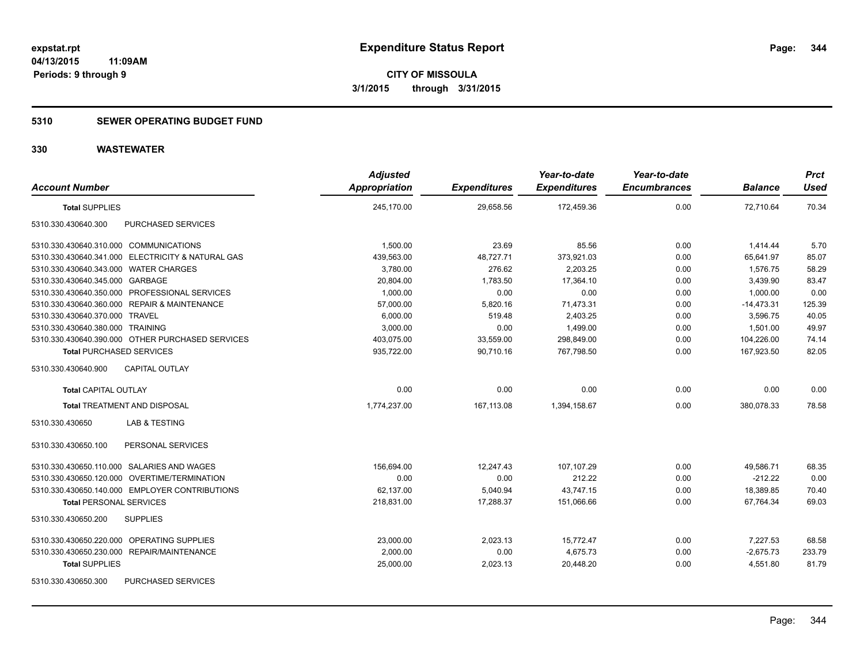### **5310 SEWER OPERATING BUDGET FUND**

| <b>Account Number</b>                             | <b>Adjusted</b><br><b>Appropriation</b> | <b>Expenditures</b> | Year-to-date<br><b>Expenditures</b> | Year-to-date<br><b>Encumbrances</b> | <b>Balance</b> | <b>Prct</b><br><b>Used</b> |
|---------------------------------------------------|-----------------------------------------|---------------------|-------------------------------------|-------------------------------------|----------------|----------------------------|
| <b>Total SUPPLIES</b>                             | 245,170.00                              | 29,658.56           | 172,459.36                          | 0.00                                | 72,710.64      | 70.34                      |
| PURCHASED SERVICES<br>5310.330.430640.300         |                                         |                     |                                     |                                     |                |                            |
| 5310.330.430640.310.000 COMMUNICATIONS            | 1.500.00                                | 23.69               | 85.56                               | 0.00                                | 1.414.44       | 5.70                       |
| 5310.330.430640.341.000 ELECTRICITY & NATURAL GAS | 439,563.00                              | 48,727.71           | 373,921.03                          | 0.00                                | 65,641.97      | 85.07                      |
| 5310.330.430640.343.000 WATER CHARGES             | 3,780.00                                | 276.62              | 2,203.25                            | 0.00                                | 1,576.75       | 58.29                      |
| 5310.330.430640.345.000 GARBAGE                   | 20,804.00                               | 1,783.50            | 17,364.10                           | 0.00                                | 3,439.90       | 83.47                      |
| 5310.330.430640.350.000 PROFESSIONAL SERVICES     | 1,000.00                                | 0.00                | 0.00                                | 0.00                                | 1,000.00       | 0.00                       |
| 5310.330.430640.360.000 REPAIR & MAINTENANCE      | 57,000.00                               | 5,820.16            | 71,473.31                           | 0.00                                | $-14,473.31$   | 125.39                     |
| 5310.330.430640.370.000 TRAVEL                    | 6,000.00                                | 519.48              | 2,403.25                            | 0.00                                | 3.596.75       | 40.05                      |
| 5310.330.430640.380.000 TRAINING                  | 3,000.00                                | 0.00                | 1,499.00                            | 0.00                                | 1,501.00       | 49.97                      |
| 5310.330.430640.390.000 OTHER PURCHASED SERVICES  | 403,075.00                              | 33,559.00           | 298,849.00                          | 0.00                                | 104,226.00     | 74.14                      |
| <b>Total PURCHASED SERVICES</b>                   | 935,722.00                              | 90,710.16           | 767,798.50                          | 0.00                                | 167,923.50     | 82.05                      |
| CAPITAL OUTLAY<br>5310.330.430640.900             |                                         |                     |                                     |                                     |                |                            |
| <b>Total CAPITAL OUTLAY</b>                       | 0.00                                    | 0.00                | 0.00                                | 0.00                                | 0.00           | 0.00                       |
| <b>Total TREATMENT AND DISPOSAL</b>               | 1,774,237.00                            | 167,113.08          | 1,394,158.67                        | 0.00                                | 380,078.33     | 78.58                      |
| 5310.330.430650<br><b>LAB &amp; TESTING</b>       |                                         |                     |                                     |                                     |                |                            |
| PERSONAL SERVICES<br>5310.330.430650.100          |                                         |                     |                                     |                                     |                |                            |
| 5310.330.430650.110.000 SALARIES AND WAGES        | 156,694.00                              | 12,247.43           | 107,107.29                          | 0.00                                | 49,586.71      | 68.35                      |
| 5310.330.430650.120.000 OVERTIME/TERMINATION      | 0.00                                    | 0.00                | 212.22                              | 0.00                                | $-212.22$      | 0.00                       |
| 5310.330.430650.140.000 EMPLOYER CONTRIBUTIONS    | 62,137.00                               | 5,040.94            | 43,747.15                           | 0.00                                | 18,389.85      | 70.40                      |
| <b>Total PERSONAL SERVICES</b>                    | 218.831.00                              | 17.288.37           | 151.066.66                          | 0.00                                | 67.764.34      | 69.03                      |
| 5310.330.430650.200<br><b>SUPPLIES</b>            |                                         |                     |                                     |                                     |                |                            |
| 5310.330.430650.220.000 OPERATING SUPPLIES        | 23,000.00                               | 2,023.13            | 15,772.47                           | 0.00                                | 7,227.53       | 68.58                      |
| 5310.330.430650.230.000 REPAIR/MAINTENANCE        | 2,000.00                                | 0.00                | 4,675.73                            | 0.00                                | $-2,675.73$    | 233.79                     |
| <b>Total SUPPLIES</b>                             | 25,000.00                               | 2,023.13            | 20,448.20                           | 0.00                                | 4,551.80       | 81.79                      |
| 5310.330.430650.300<br><b>PURCHASED SERVICES</b>  |                                         |                     |                                     |                                     |                |                            |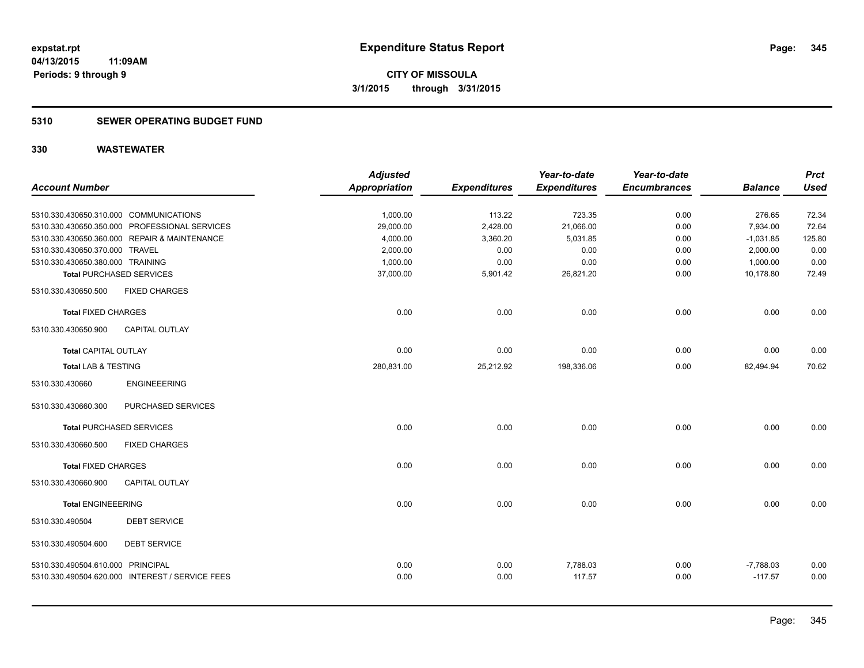### **5310 SEWER OPERATING BUDGET FUND**

|                                        |                                                 | <b>Adjusted</b>      |                     | Year-to-date        | Year-to-date        |                | <b>Prct</b> |
|----------------------------------------|-------------------------------------------------|----------------------|---------------------|---------------------|---------------------|----------------|-------------|
| <b>Account Number</b>                  |                                                 | <b>Appropriation</b> | <b>Expenditures</b> | <b>Expenditures</b> | <b>Encumbrances</b> | <b>Balance</b> | <b>Used</b> |
|                                        |                                                 |                      |                     |                     |                     |                |             |
| 5310.330.430650.310.000 COMMUNICATIONS |                                                 | 1,000.00             | 113.22              | 723.35              | 0.00                | 276.65         | 72.34       |
|                                        | 5310.330.430650.350.000 PROFESSIONAL SERVICES   | 29,000.00            | 2,428.00            | 21,066.00           | 0.00                | 7,934.00       | 72.64       |
|                                        | 5310.330.430650.360.000 REPAIR & MAINTENANCE    | 4,000.00             | 3,360.20            | 5,031.85            | 0.00                | $-1,031.85$    | 125.80      |
| 5310.330.430650.370.000 TRAVEL         |                                                 | 2,000.00             | 0.00                | 0.00                | 0.00                | 2,000.00       | 0.00        |
| 5310.330.430650.380.000 TRAINING       |                                                 | 1,000.00             | 0.00                | 0.00                | 0.00                | 1,000.00       | 0.00        |
| <b>Total PURCHASED SERVICES</b>        |                                                 | 37,000.00            | 5,901.42            | 26,821.20           | 0.00                | 10,178.80      | 72.49       |
| 5310.330.430650.500                    | <b>FIXED CHARGES</b>                            |                      |                     |                     |                     |                |             |
| <b>Total FIXED CHARGES</b>             |                                                 | 0.00                 | 0.00                | 0.00                | 0.00                | 0.00           | 0.00        |
| 5310.330.430650.900                    | <b>CAPITAL OUTLAY</b>                           |                      |                     |                     |                     |                |             |
| <b>Total CAPITAL OUTLAY</b>            |                                                 | 0.00                 | 0.00                | 0.00                | 0.00                | 0.00           | 0.00        |
| <b>Total LAB &amp; TESTING</b>         |                                                 | 280,831.00           | 25,212.92           | 198,336.06          | 0.00                | 82,494.94      | 70.62       |
| 5310.330.430660                        | <b>ENGINEEERING</b>                             |                      |                     |                     |                     |                |             |
| 5310.330.430660.300                    | PURCHASED SERVICES                              |                      |                     |                     |                     |                |             |
| <b>Total PURCHASED SERVICES</b>        |                                                 | 0.00                 | 0.00                | 0.00                | 0.00                | 0.00           | 0.00        |
| 5310.330.430660.500                    | <b>FIXED CHARGES</b>                            |                      |                     |                     |                     |                |             |
| <b>Total FIXED CHARGES</b>             |                                                 | 0.00                 | 0.00                | 0.00                | 0.00                | 0.00           | 0.00        |
| 5310.330.430660.900                    | <b>CAPITAL OUTLAY</b>                           |                      |                     |                     |                     |                |             |
| <b>Total ENGINEEERING</b>              |                                                 | 0.00                 | 0.00                | 0.00                | 0.00                | 0.00           | 0.00        |
| 5310.330.490504                        | <b>DEBT SERVICE</b>                             |                      |                     |                     |                     |                |             |
| 5310.330.490504.600                    | <b>DEBT SERVICE</b>                             |                      |                     |                     |                     |                |             |
| 5310.330.490504.610.000 PRINCIPAL      |                                                 | 0.00                 | 0.00                | 7,788.03            | 0.00                | $-7,788.03$    | 0.00        |
|                                        | 5310.330.490504.620.000 INTEREST / SERVICE FEES | 0.00                 | 0.00                | 117.57              | 0.00                | $-117.57$      | 0.00        |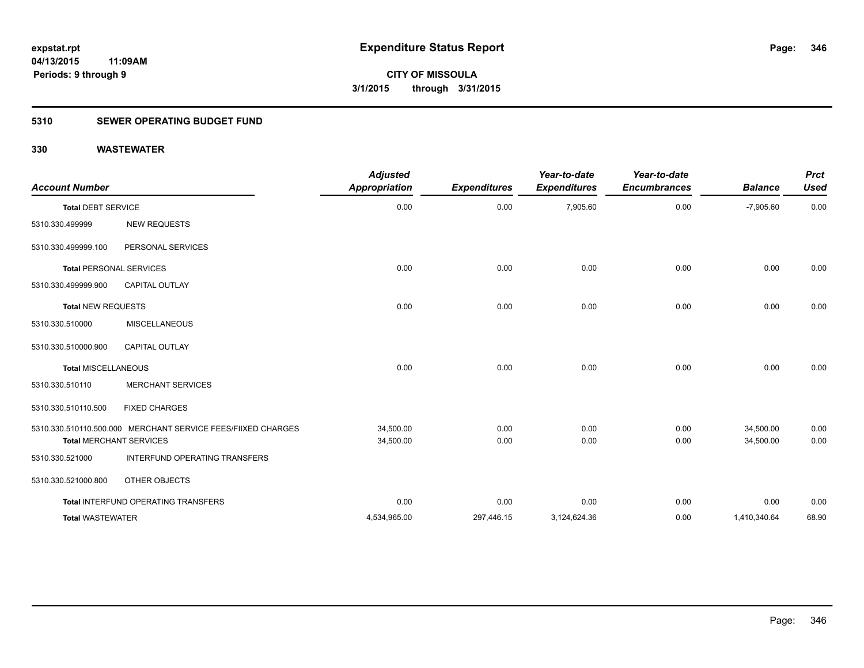### **5310 SEWER OPERATING BUDGET FUND**

| <b>Account Number</b>      |                                                                                                | <b>Adjusted</b><br><b>Appropriation</b> | <b>Expenditures</b> | Year-to-date<br><b>Expenditures</b> | Year-to-date<br><b>Encumbrances</b> | <b>Balance</b>         | <b>Prct</b><br><b>Used</b> |
|----------------------------|------------------------------------------------------------------------------------------------|-----------------------------------------|---------------------|-------------------------------------|-------------------------------------|------------------------|----------------------------|
| <b>Total DEBT SERVICE</b>  |                                                                                                | 0.00                                    | 0.00                | 7,905.60                            | 0.00                                | $-7,905.60$            | 0.00                       |
| 5310.330.499999            | <b>NEW REQUESTS</b>                                                                            |                                         |                     |                                     |                                     |                        |                            |
| 5310.330.499999.100        | PERSONAL SERVICES                                                                              |                                         |                     |                                     |                                     |                        |                            |
|                            | <b>Total PERSONAL SERVICES</b>                                                                 | 0.00                                    | 0.00                | 0.00                                | 0.00                                | 0.00                   | 0.00                       |
| 5310.330.499999.900        | <b>CAPITAL OUTLAY</b>                                                                          |                                         |                     |                                     |                                     |                        |                            |
| Total NEW REQUESTS         |                                                                                                | 0.00                                    | 0.00                | 0.00                                | 0.00                                | 0.00                   | 0.00                       |
| 5310.330.510000            | <b>MISCELLANEOUS</b>                                                                           |                                         |                     |                                     |                                     |                        |                            |
| 5310.330.510000.900        | <b>CAPITAL OUTLAY</b>                                                                          |                                         |                     |                                     |                                     |                        |                            |
| <b>Total MISCELLANEOUS</b> |                                                                                                | 0.00                                    | 0.00                | 0.00                                | 0.00                                | 0.00                   | 0.00                       |
| 5310.330.510110            | <b>MERCHANT SERVICES</b>                                                                       |                                         |                     |                                     |                                     |                        |                            |
| 5310.330.510110.500        | <b>FIXED CHARGES</b>                                                                           |                                         |                     |                                     |                                     |                        |                            |
|                            | 5310.330.510110.500.000 MERCHANT SERVICE FEES/FIIXED CHARGES<br><b>Total MERCHANT SERVICES</b> | 34,500.00<br>34,500.00                  | 0.00<br>0.00        | 0.00<br>0.00                        | 0.00<br>0.00                        | 34,500.00<br>34,500.00 | 0.00<br>0.00               |
| 5310.330.521000            | INTERFUND OPERATING TRANSFERS                                                                  |                                         |                     |                                     |                                     |                        |                            |
| 5310.330.521000.800        | OTHER OBJECTS                                                                                  |                                         |                     |                                     |                                     |                        |                            |
|                            | Total INTERFUND OPERATING TRANSFERS                                                            | 0.00                                    | 0.00                | 0.00                                | 0.00                                | 0.00                   | 0.00                       |
| <b>Total WASTEWATER</b>    |                                                                                                | 4,534,965.00                            | 297,446.15          | 3,124,624.36                        | 0.00                                | 1,410,340.64           | 68.90                      |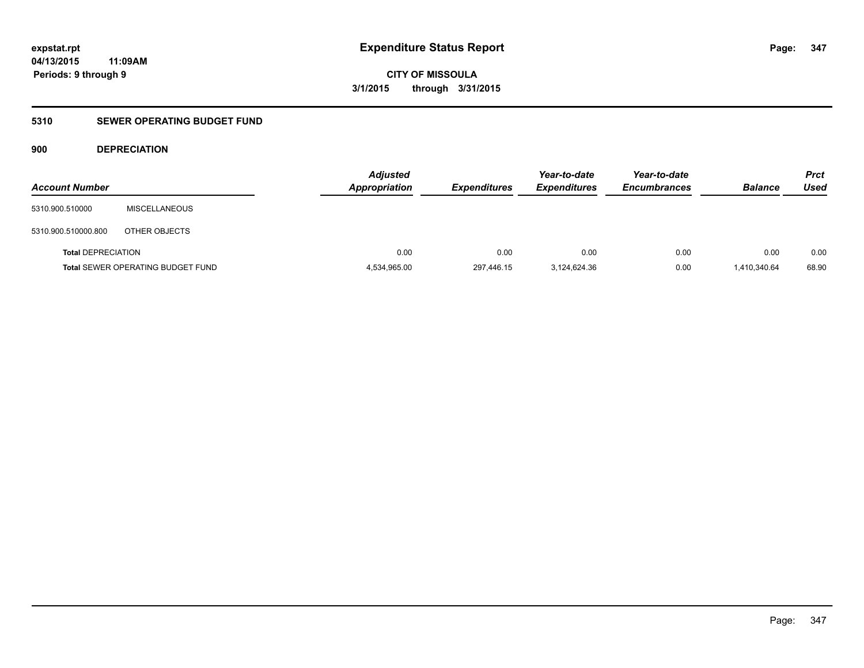**CITY OF MISSOULA 3/1/2015 through 3/31/2015**

### **5310 SEWER OPERATING BUDGET FUND**

### **900 DEPRECIATION**

| <b>Account Number</b>     |                                          | <b>Adjusted</b><br><b>Appropriation</b> | <b>Expenditures</b> | Year-to-date<br><b>Expenditures</b> | Year-to-date<br><b>Encumbrances</b> | <b>Balance</b> | <b>Prct</b><br>Used |
|---------------------------|------------------------------------------|-----------------------------------------|---------------------|-------------------------------------|-------------------------------------|----------------|---------------------|
| 5310.900.510000           | <b>MISCELLANEOUS</b>                     |                                         |                     |                                     |                                     |                |                     |
| 5310.900.510000.800       | OTHER OBJECTS                            |                                         |                     |                                     |                                     |                |                     |
| <b>Total DEPRECIATION</b> |                                          | 0.00                                    | 0.00                | 0.00                                | 0.00                                | 0.00           | 0.00                |
|                           | <b>Total SEWER OPERATING BUDGET FUND</b> | 4,534,965.00                            | 297,446.15          | 3,124,624.36                        | 0.00                                | 1.410.340.64   | 68.90               |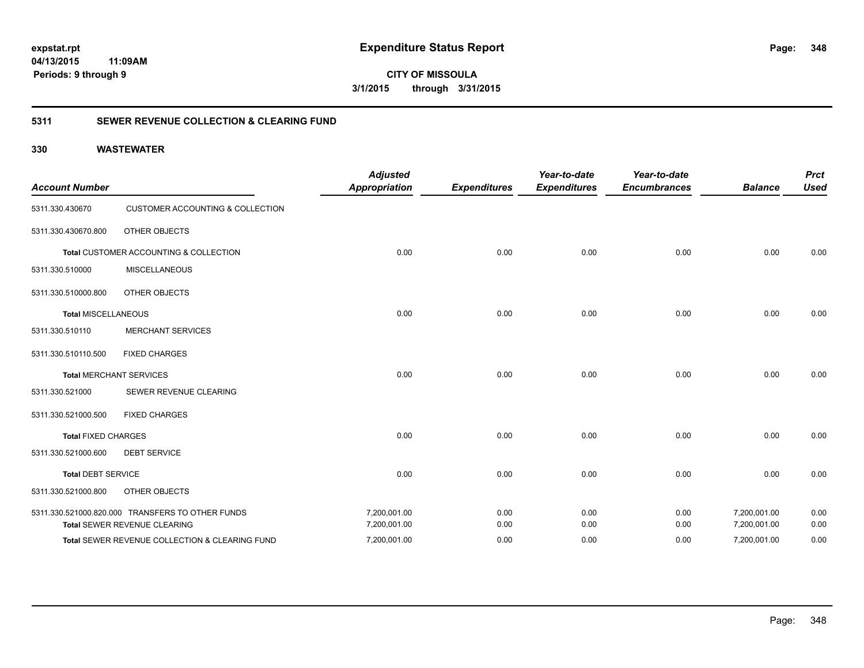**CITY OF MISSOULA 3/1/2015 through 3/31/2015**

### **5311 SEWER REVENUE COLLECTION & CLEARING FUND**

| <b>Account Number</b>      |                                                  | <b>Adjusted</b><br><b>Appropriation</b> | <b>Expenditures</b> | Year-to-date<br><b>Expenditures</b> | Year-to-date<br><b>Encumbrances</b> | <b>Balance</b> | <b>Prct</b><br><b>Used</b> |
|----------------------------|--------------------------------------------------|-----------------------------------------|---------------------|-------------------------------------|-------------------------------------|----------------|----------------------------|
| 5311.330.430670            | <b>CUSTOMER ACCOUNTING &amp; COLLECTION</b>      |                                         |                     |                                     |                                     |                |                            |
| 5311.330.430670.800        | OTHER OBJECTS                                    |                                         |                     |                                     |                                     |                |                            |
|                            | Total CUSTOMER ACCOUNTING & COLLECTION           | 0.00                                    | 0.00                | 0.00                                | 0.00                                | 0.00           | 0.00                       |
| 5311.330.510000            | <b>MISCELLANEOUS</b>                             |                                         |                     |                                     |                                     |                |                            |
| 5311.330.510000.800        | OTHER OBJECTS                                    |                                         |                     |                                     |                                     |                |                            |
| <b>Total MISCELLANEOUS</b> |                                                  | 0.00                                    | 0.00                | 0.00                                | 0.00                                | 0.00           | 0.00                       |
| 5311.330.510110            | <b>MERCHANT SERVICES</b>                         |                                         |                     |                                     |                                     |                |                            |
| 5311.330.510110.500        | <b>FIXED CHARGES</b>                             |                                         |                     |                                     |                                     |                |                            |
|                            | <b>Total MERCHANT SERVICES</b>                   | 0.00                                    | 0.00                | 0.00                                | 0.00                                | 0.00           | 0.00                       |
| 5311.330.521000            | SEWER REVENUE CLEARING                           |                                         |                     |                                     |                                     |                |                            |
| 5311.330.521000.500        | <b>FIXED CHARGES</b>                             |                                         |                     |                                     |                                     |                |                            |
| <b>Total FIXED CHARGES</b> |                                                  | 0.00                                    | 0.00                | 0.00                                | 0.00                                | 0.00           | 0.00                       |
| 5311.330.521000.600        | <b>DEBT SERVICE</b>                              |                                         |                     |                                     |                                     |                |                            |
| <b>Total DEBT SERVICE</b>  |                                                  | 0.00                                    | 0.00                | 0.00                                | 0.00                                | 0.00           | 0.00                       |
| 5311.330.521000.800        | OTHER OBJECTS                                    |                                         |                     |                                     |                                     |                |                            |
|                            | 5311.330.521000.820.000 TRANSFERS TO OTHER FUNDS | 7,200,001.00                            | 0.00                | 0.00                                | 0.00                                | 7,200,001.00   | 0.00                       |
|                            | Total SEWER REVENUE CLEARING                     | 7,200,001.00                            | 0.00                | 0.00                                | 0.00                                | 7,200,001.00   | 0.00                       |
|                            | Total SEWER REVENUE COLLECTION & CLEARING FUND   | 7,200,001.00                            | 0.00                | 0.00                                | 0.00                                | 7,200,001.00   | 0.00                       |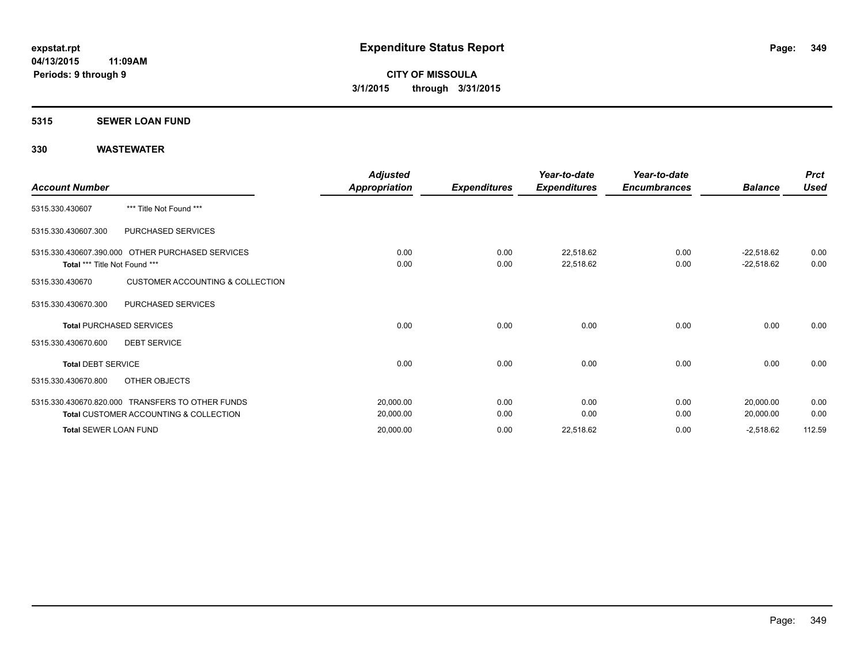#### **5315 SEWER LOAN FUND**

| <b>Account Number</b>         |                                                                                                       | <b>Adjusted</b><br>Appropriation | <b>Expenditures</b> | Year-to-date<br><b>Expenditures</b> | Year-to-date<br><b>Encumbrances</b> | <b>Balance</b>               | <b>Prct</b><br><b>Used</b> |
|-------------------------------|-------------------------------------------------------------------------------------------------------|----------------------------------|---------------------|-------------------------------------|-------------------------------------|------------------------------|----------------------------|
| 5315.330.430607               | *** Title Not Found ***                                                                               |                                  |                     |                                     |                                     |                              |                            |
| 5315.330.430607.300           | PURCHASED SERVICES                                                                                    |                                  |                     |                                     |                                     |                              |                            |
| Total *** Title Not Found *** | 5315.330.430607.390.000 OTHER PURCHASED SERVICES                                                      | 0.00<br>0.00                     | 0.00<br>0.00        | 22,518.62<br>22,518.62              | 0.00<br>0.00                        | $-22,518.62$<br>$-22,518.62$ | 0.00<br>0.00               |
| 5315.330.430670               | <b>CUSTOMER ACCOUNTING &amp; COLLECTION</b>                                                           |                                  |                     |                                     |                                     |                              |                            |
| 5315.330.430670.300           | PURCHASED SERVICES                                                                                    |                                  |                     |                                     |                                     |                              |                            |
|                               | <b>Total PURCHASED SERVICES</b>                                                                       | 0.00                             | 0.00                | 0.00                                | 0.00                                | 0.00                         | 0.00                       |
| 5315.330.430670.600           | <b>DEBT SERVICE</b>                                                                                   |                                  |                     |                                     |                                     |                              |                            |
| <b>Total DEBT SERVICE</b>     |                                                                                                       | 0.00                             | 0.00                | 0.00                                | 0.00                                | 0.00                         | 0.00                       |
| 5315.330.430670.800           | OTHER OBJECTS                                                                                         |                                  |                     |                                     |                                     |                              |                            |
|                               | 5315.330.430670.820.000 TRANSFERS TO OTHER FUNDS<br><b>Total CUSTOMER ACCOUNTING &amp; COLLECTION</b> | 20,000.00<br>20,000.00           | 0.00<br>0.00        | 0.00<br>0.00                        | 0.00<br>0.00                        | 20,000.00<br>20,000.00       | 0.00<br>0.00               |
| <b>Total SEWER LOAN FUND</b>  |                                                                                                       | 20,000.00                        | 0.00                | 22,518.62                           | 0.00                                | $-2,518.62$                  | 112.59                     |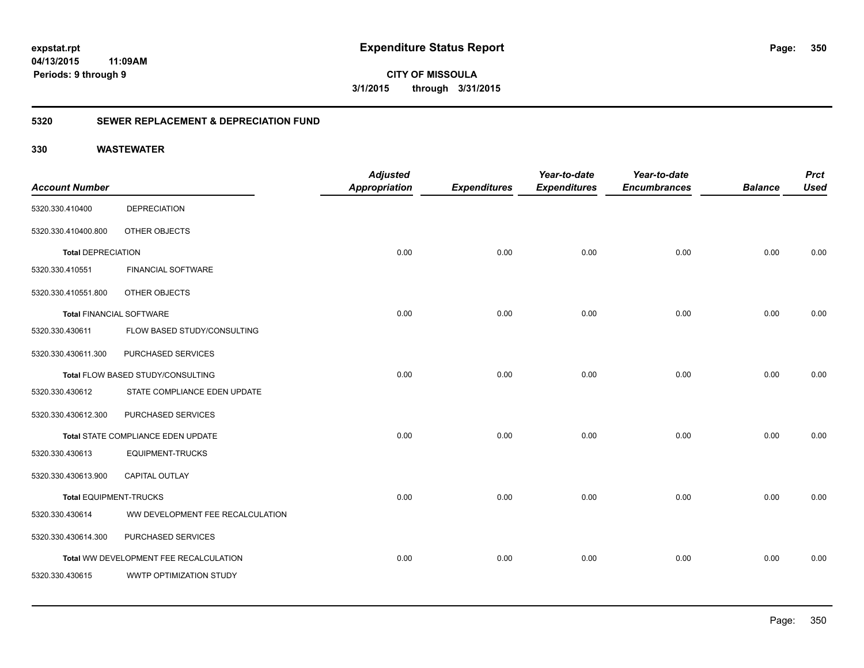**CITY OF MISSOULA 3/1/2015 through 3/31/2015**

### **5320 SEWER REPLACEMENT & DEPRECIATION FUND**

|                                 |                                        | <b>Adjusted</b>      |                     | Year-to-date        | Year-to-date        |                | <b>Prct</b> |
|---------------------------------|----------------------------------------|----------------------|---------------------|---------------------|---------------------|----------------|-------------|
| <b>Account Number</b>           |                                        | <b>Appropriation</b> | <b>Expenditures</b> | <b>Expenditures</b> | <b>Encumbrances</b> | <b>Balance</b> | <b>Used</b> |
| 5320.330.410400                 | <b>DEPRECIATION</b>                    |                      |                     |                     |                     |                |             |
| 5320.330.410400.800             | OTHER OBJECTS                          |                      |                     |                     |                     |                |             |
| <b>Total DEPRECIATION</b>       |                                        | 0.00                 | 0.00                | 0.00                | 0.00                | 0.00           | 0.00        |
| 5320.330.410551                 | <b>FINANCIAL SOFTWARE</b>              |                      |                     |                     |                     |                |             |
| 5320.330.410551.800             | OTHER OBJECTS                          |                      |                     |                     |                     |                |             |
| <b>Total FINANCIAL SOFTWARE</b> |                                        | 0.00                 | 0.00                | 0.00                | 0.00                | 0.00           | 0.00        |
| 5320.330.430611                 | FLOW BASED STUDY/CONSULTING            |                      |                     |                     |                     |                |             |
| 5320.330.430611.300             | PURCHASED SERVICES                     |                      |                     |                     |                     |                |             |
|                                 | Total FLOW BASED STUDY/CONSULTING      | 0.00                 | 0.00                | 0.00                | 0.00                | 0.00           | 0.00        |
| 5320.330.430612                 | STATE COMPLIANCE EDEN UPDATE           |                      |                     |                     |                     |                |             |
| 5320.330.430612.300             | PURCHASED SERVICES                     |                      |                     |                     |                     |                |             |
|                                 | Total STATE COMPLIANCE EDEN UPDATE     | 0.00                 | 0.00                | 0.00                | 0.00                | 0.00           | 0.00        |
| 5320.330.430613                 | <b>EQUIPMENT-TRUCKS</b>                |                      |                     |                     |                     |                |             |
| 5320.330.430613.900             | <b>CAPITAL OUTLAY</b>                  |                      |                     |                     |                     |                |             |
| <b>Total EQUIPMENT-TRUCKS</b>   |                                        | 0.00                 | 0.00                | 0.00                | 0.00                | 0.00           | 0.00        |
| 5320.330.430614                 | WW DEVELOPMENT FEE RECALCULATION       |                      |                     |                     |                     |                |             |
| 5320.330.430614.300             | PURCHASED SERVICES                     |                      |                     |                     |                     |                |             |
|                                 | Total WW DEVELOPMENT FEE RECALCULATION | 0.00                 | 0.00                | 0.00                | 0.00                | 0.00           | 0.00        |
| 5320.330.430615                 | WWTP OPTIMIZATION STUDY                |                      |                     |                     |                     |                |             |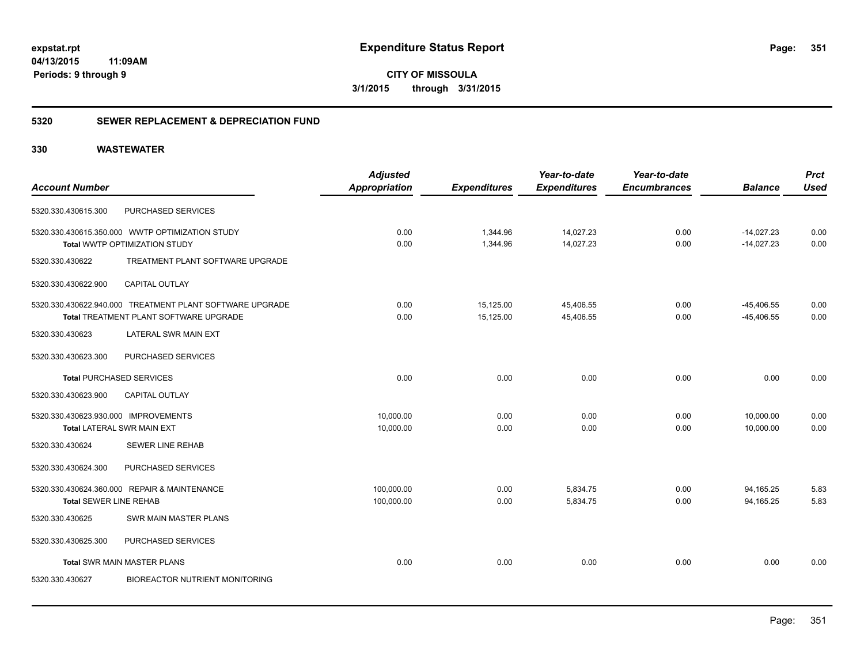**CITY OF MISSOULA 3/1/2015 through 3/31/2015**

### **5320 SEWER REPLACEMENT & DEPRECIATION FUND**

|                                      |                                                          | <b>Adjusted</b>      |                     | Year-to-date        | Year-to-date        |                | <b>Prct</b> |
|--------------------------------------|----------------------------------------------------------|----------------------|---------------------|---------------------|---------------------|----------------|-------------|
| <b>Account Number</b>                |                                                          | <b>Appropriation</b> | <b>Expenditures</b> | <b>Expenditures</b> | <b>Encumbrances</b> | <b>Balance</b> | <b>Used</b> |
| 5320.330.430615.300                  | PURCHASED SERVICES                                       |                      |                     |                     |                     |                |             |
|                                      | 5320.330.430615.350.000 WWTP OPTIMIZATION STUDY          | 0.00                 | 1,344.96            | 14,027.23           | 0.00                | $-14,027.23$   | 0.00        |
|                                      | Total WWTP OPTIMIZATION STUDY                            | 0.00                 | 1,344.96            | 14,027.23           | 0.00                | $-14,027.23$   | 0.00        |
| 5320.330.430622                      | TREATMENT PLANT SOFTWARE UPGRADE                         |                      |                     |                     |                     |                |             |
| 5320.330.430622.900                  | <b>CAPITAL OUTLAY</b>                                    |                      |                     |                     |                     |                |             |
|                                      | 5320.330.430622.940.000 TREATMENT PLANT SOFTWARE UPGRADE | 0.00                 | 15,125.00           | 45,406.55           | 0.00                | $-45,406.55$   | 0.00        |
|                                      | Total TREATMENT PLANT SOFTWARE UPGRADE                   | 0.00                 | 15,125.00           | 45,406.55           | 0.00                | $-45,406.55$   | 0.00        |
| 5320.330.430623                      | LATERAL SWR MAIN EXT                                     |                      |                     |                     |                     |                |             |
| 5320.330.430623.300                  | PURCHASED SERVICES                                       |                      |                     |                     |                     |                |             |
|                                      | <b>Total PURCHASED SERVICES</b>                          | 0.00                 | 0.00                | 0.00                | 0.00                | 0.00           | 0.00        |
| 5320.330.430623.900                  | <b>CAPITAL OUTLAY</b>                                    |                      |                     |                     |                     |                |             |
| 5320.330.430623.930.000 IMPROVEMENTS |                                                          | 10.000.00            | 0.00                | 0.00                | 0.00                | 10,000.00      | 0.00        |
|                                      | <b>Total LATERAL SWR MAIN EXT</b>                        | 10,000.00            | 0.00                | 0.00                | 0.00                | 10,000.00      | 0.00        |
| 5320.330.430624                      | <b>SEWER LINE REHAB</b>                                  |                      |                     |                     |                     |                |             |
| 5320.330.430624.300                  | PURCHASED SERVICES                                       |                      |                     |                     |                     |                |             |
|                                      | 5320.330.430624.360.000 REPAIR & MAINTENANCE             | 100,000.00           | 0.00                | 5,834.75            | 0.00                | 94,165.25      | 5.83        |
| <b>Total SEWER LINE REHAB</b>        |                                                          | 100,000.00           | 0.00                | 5,834.75            | 0.00                | 94,165.25      | 5.83        |
| 5320.330.430625                      | SWR MAIN MASTER PLANS                                    |                      |                     |                     |                     |                |             |
| 5320.330.430625.300                  | PURCHASED SERVICES                                       |                      |                     |                     |                     |                |             |
|                                      | <b>Total SWR MAIN MASTER PLANS</b>                       | 0.00                 | 0.00                | 0.00                | 0.00                | 0.00           | 0.00        |
| 5320.330.430627                      | <b>BIOREACTOR NUTRIENT MONITORING</b>                    |                      |                     |                     |                     |                |             |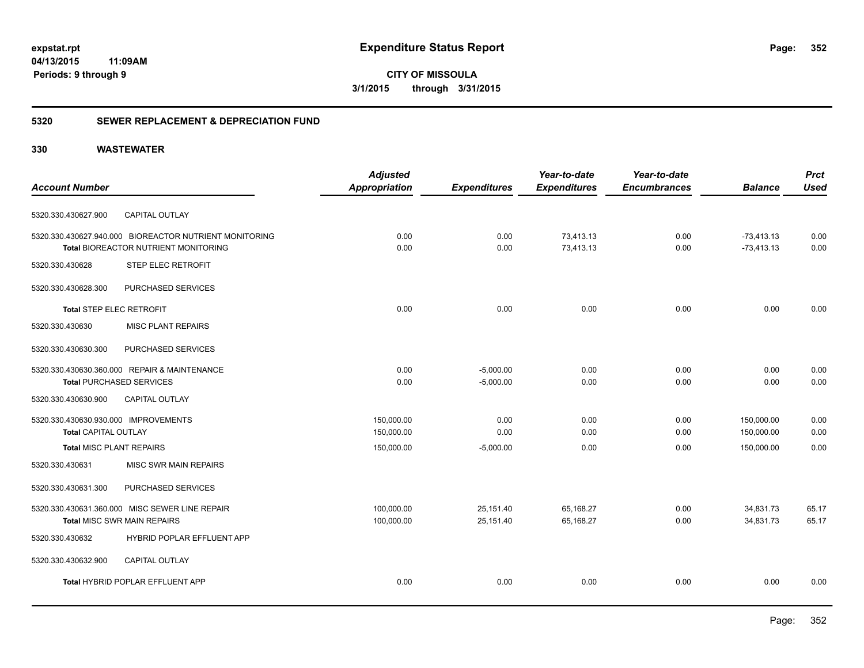**CITY OF MISSOULA 3/1/2015 through 3/31/2015**

### **5320 SEWER REPLACEMENT & DEPRECIATION FUND**

|                                                        | <b>Adjusted</b>      |                     | Year-to-date        | Year-to-date        |                | <b>Prct</b> |
|--------------------------------------------------------|----------------------|---------------------|---------------------|---------------------|----------------|-------------|
| <b>Account Number</b>                                  | <b>Appropriation</b> | <b>Expenditures</b> | <b>Expenditures</b> | <b>Encumbrances</b> | <b>Balance</b> | <b>Used</b> |
| <b>CAPITAL OUTLAY</b><br>5320.330.430627.900           |                      |                     |                     |                     |                |             |
| 5320.330.430627.940.000 BIOREACTOR NUTRIENT MONITORING | 0.00                 | 0.00                | 73,413.13           | 0.00                | $-73,413.13$   | 0.00        |
| Total BIOREACTOR NUTRIENT MONITORING                   | 0.00                 | 0.00                | 73,413.13           | 0.00                | $-73,413.13$   | 0.00        |
| 5320.330.430628<br>STEP ELEC RETROFIT                  |                      |                     |                     |                     |                |             |
| 5320.330.430628.300<br>PURCHASED SERVICES              |                      |                     |                     |                     |                |             |
| <b>Total STEP ELEC RETROFIT</b>                        | 0.00                 | 0.00                | 0.00                | 0.00                | 0.00           | 0.00        |
| 5320.330.430630<br><b>MISC PLANT REPAIRS</b>           |                      |                     |                     |                     |                |             |
| 5320.330.430630.300<br>PURCHASED SERVICES              |                      |                     |                     |                     |                |             |
| 5320.330.430630.360.000 REPAIR & MAINTENANCE           | 0.00                 | $-5,000.00$         | 0.00                | 0.00                | 0.00           | 0.00        |
| <b>Total PURCHASED SERVICES</b>                        | 0.00                 | $-5,000.00$         | 0.00                | 0.00                | 0.00           | 0.00        |
| <b>CAPITAL OUTLAY</b><br>5320.330.430630.900           |                      |                     |                     |                     |                |             |
| 5320.330.430630.930.000 IMPROVEMENTS                   | 150,000.00           | 0.00                | 0.00                | 0.00                | 150,000.00     | 0.00        |
| <b>Total CAPITAL OUTLAY</b>                            | 150,000.00           | 0.00                | 0.00                | 0.00                | 150,000.00     | 0.00        |
| <b>Total MISC PLANT REPAIRS</b>                        | 150,000.00           | $-5,000.00$         | 0.00                | 0.00                | 150,000.00     | 0.00        |
| 5320.330.430631<br><b>MISC SWR MAIN REPAIRS</b>        |                      |                     |                     |                     |                |             |
| PURCHASED SERVICES<br>5320.330.430631.300              |                      |                     |                     |                     |                |             |
| 5320.330.430631.360.000 MISC SEWER LINE REPAIR         | 100,000.00           | 25,151.40           | 65,168.27           | 0.00                | 34,831.73      | 65.17       |
| <b>Total MISC SWR MAIN REPAIRS</b>                     | 100,000.00           | 25,151.40           | 65,168.27           | 0.00                | 34,831.73      | 65.17       |
| HYBRID POPLAR EFFLUENT APP<br>5320.330.430632          |                      |                     |                     |                     |                |             |
| 5320.330.430632.900<br><b>CAPITAL OUTLAY</b>           |                      |                     |                     |                     |                |             |
| Total HYBRID POPLAR EFFLUENT APP                       | 0.00                 | 0.00                | 0.00                | 0.00                | 0.00           | 0.00        |
|                                                        |                      |                     |                     |                     |                |             |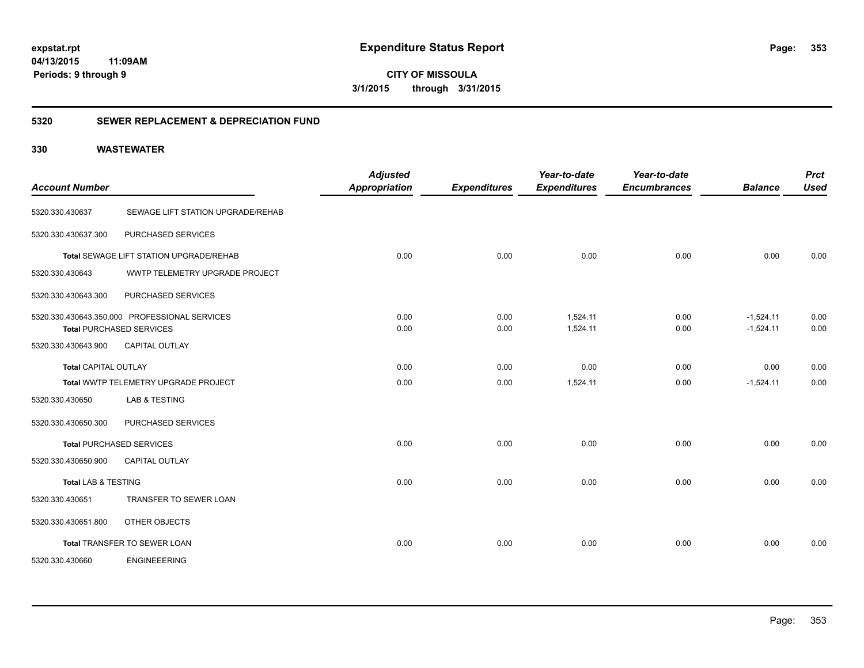**CITY OF MISSOULA 3/1/2015 through 3/31/2015**

### **5320 SEWER REPLACEMENT & DEPRECIATION FUND**

| <b>Account Number</b>          |                                                                                  | <b>Adjusted</b><br><b>Appropriation</b> | <b>Expenditures</b> | Year-to-date<br><b>Expenditures</b> | Year-to-date<br><b>Encumbrances</b> | <b>Balance</b>             | <b>Prct</b><br><b>Used</b> |
|--------------------------------|----------------------------------------------------------------------------------|-----------------------------------------|---------------------|-------------------------------------|-------------------------------------|----------------------------|----------------------------|
| 5320.330.430637                | SEWAGE LIFT STATION UPGRADE/REHAB                                                |                                         |                     |                                     |                                     |                            |                            |
| 5320.330.430637.300            | PURCHASED SERVICES                                                               |                                         |                     |                                     |                                     |                            |                            |
|                                | Total SEWAGE LIFT STATION UPGRADE/REHAB                                          | 0.00                                    | 0.00                | 0.00                                | 0.00                                | 0.00                       | 0.00                       |
| 5320.330.430643                | WWTP TELEMETRY UPGRADE PROJECT                                                   |                                         |                     |                                     |                                     |                            |                            |
| 5320.330.430643.300            | PURCHASED SERVICES                                                               |                                         |                     |                                     |                                     |                            |                            |
|                                | 5320.330.430643.350.000 PROFESSIONAL SERVICES<br><b>Total PURCHASED SERVICES</b> | 0.00<br>0.00                            | 0.00<br>0.00        | 1.524.11<br>1,524.11                | 0.00<br>0.00                        | $-1.524.11$<br>$-1,524.11$ | 0.00<br>0.00               |
| 5320.330.430643.900            | <b>CAPITAL OUTLAY</b>                                                            |                                         |                     |                                     |                                     |                            |                            |
| Total CAPITAL OUTLAY           |                                                                                  | 0.00                                    | 0.00                | 0.00                                | 0.00                                | 0.00                       | 0.00                       |
|                                | Total WWTP TELEMETRY UPGRADE PROJECT                                             | 0.00                                    | 0.00                | 1,524.11                            | 0.00                                | $-1,524.11$                | 0.00                       |
| 5320.330.430650                | <b>LAB &amp; TESTING</b>                                                         |                                         |                     |                                     |                                     |                            |                            |
| 5320.330.430650.300            | PURCHASED SERVICES                                                               |                                         |                     |                                     |                                     |                            |                            |
|                                | <b>Total PURCHASED SERVICES</b>                                                  | 0.00                                    | 0.00                | 0.00                                | 0.00                                | 0.00                       | 0.00                       |
| 5320.330.430650.900            | <b>CAPITAL OUTLAY</b>                                                            |                                         |                     |                                     |                                     |                            |                            |
| <b>Total LAB &amp; TESTING</b> |                                                                                  | 0.00                                    | 0.00                | 0.00                                | 0.00                                | 0.00                       | 0.00                       |
| 5320.330.430651                | TRANSFER TO SEWER LOAN                                                           |                                         |                     |                                     |                                     |                            |                            |
| 5320.330.430651.800            | OTHER OBJECTS                                                                    |                                         |                     |                                     |                                     |                            |                            |
|                                | Total TRANSFER TO SEWER LOAN                                                     | 0.00                                    | 0.00                | 0.00                                | 0.00                                | 0.00                       | 0.00                       |
| 5320.330.430660                | <b>ENGINEEERING</b>                                                              |                                         |                     |                                     |                                     |                            |                            |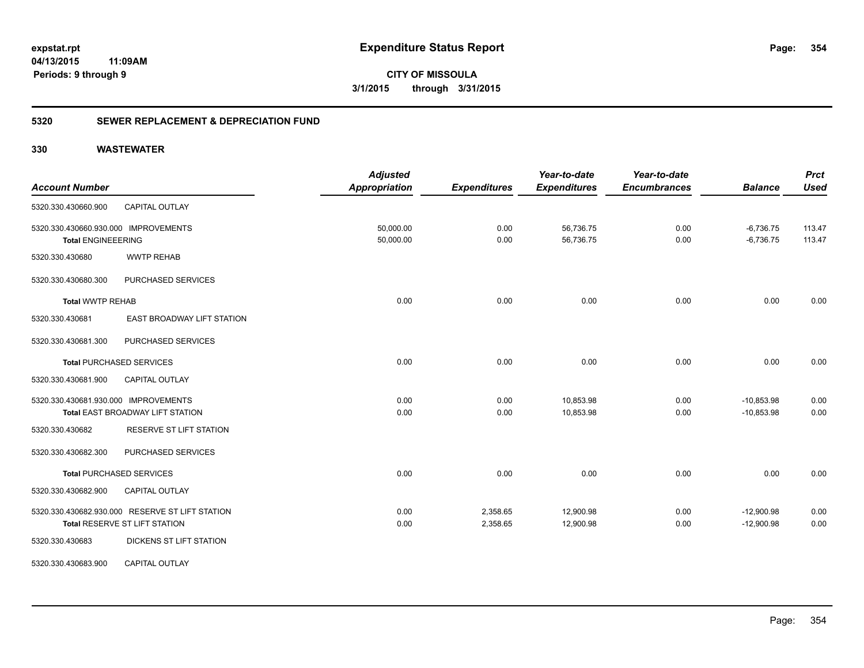**CITY OF MISSOULA 3/1/2015 through 3/31/2015**

### **5320 SEWER REPLACEMENT & DEPRECIATION FUND**

| <b>Account Number</b>                                                            | <b>Adjusted</b><br><b>Appropriation</b> | <b>Expenditures</b>  | Year-to-date<br><b>Expenditures</b> | Year-to-date<br><b>Encumbrances</b> | <b>Balance</b>               | <b>Prct</b><br><b>Used</b> |
|----------------------------------------------------------------------------------|-----------------------------------------|----------------------|-------------------------------------|-------------------------------------|------------------------------|----------------------------|
| 5320.330.430660.900<br><b>CAPITAL OUTLAY</b>                                     |                                         |                      |                                     |                                     |                              |                            |
| 5320.330.430660.930.000 IMPROVEMENTS<br><b>Total ENGINEEERING</b>                | 50,000.00<br>50,000.00                  | 0.00<br>0.00         | 56,736.75<br>56,736.75              | 0.00<br>0.00                        | $-6,736.75$<br>$-6,736.75$   | 113.47<br>113.47           |
| <b>WWTP REHAB</b><br>5320.330.430680                                             |                                         |                      |                                     |                                     |                              |                            |
| PURCHASED SERVICES<br>5320.330.430680.300                                        |                                         |                      |                                     |                                     |                              |                            |
| <b>Total WWTP REHAB</b>                                                          | 0.00                                    | 0.00                 | 0.00                                | 0.00                                | 0.00                         | 0.00                       |
| EAST BROADWAY LIFT STATION<br>5320.330.430681                                    |                                         |                      |                                     |                                     |                              |                            |
| PURCHASED SERVICES<br>5320.330.430681.300                                        |                                         |                      |                                     |                                     |                              |                            |
| <b>Total PURCHASED SERVICES</b>                                                  | 0.00                                    | 0.00                 | 0.00                                | 0.00                                | 0.00                         | 0.00                       |
| <b>CAPITAL OUTLAY</b><br>5320.330.430681.900                                     |                                         |                      |                                     |                                     |                              |                            |
| 5320.330.430681.930.000 IMPROVEMENTS<br>Total EAST BROADWAY LIFT STATION         | 0.00<br>0.00                            | 0.00<br>0.00         | 10,853.98<br>10,853.98              | 0.00<br>0.00                        | $-10,853.98$<br>$-10,853.98$ | 0.00<br>0.00               |
| RESERVE ST LIFT STATION<br>5320.330.430682                                       |                                         |                      |                                     |                                     |                              |                            |
| 5320.330.430682.300<br>PURCHASED SERVICES                                        |                                         |                      |                                     |                                     |                              |                            |
| <b>Total PURCHASED SERVICES</b>                                                  | 0.00                                    | 0.00                 | 0.00                                | 0.00                                | 0.00                         | 0.00                       |
| 5320.330.430682.900<br><b>CAPITAL OUTLAY</b>                                     |                                         |                      |                                     |                                     |                              |                            |
| 5320.330.430682.930.000 RESERVE ST LIFT STATION<br>Total RESERVE ST LIFT STATION | 0.00<br>0.00                            | 2,358.65<br>2,358.65 | 12,900.98<br>12,900.98              | 0.00<br>0.00                        | $-12,900.98$<br>$-12,900.98$ | 0.00<br>0.00               |
| 5320.330.430683<br>DICKENS ST LIFT STATION                                       |                                         |                      |                                     |                                     |                              |                            |
| <b>CAPITAL OUTLAY</b><br>5320.330.430683.900                                     |                                         |                      |                                     |                                     |                              |                            |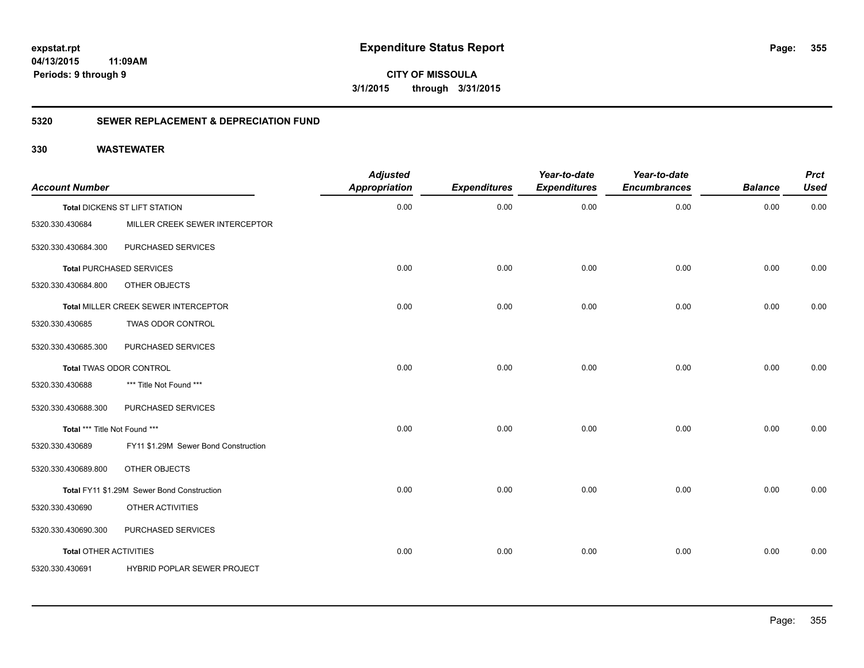**CITY OF MISSOULA 3/1/2015 through 3/31/2015**

### **5320 SEWER REPLACEMENT & DEPRECIATION FUND**

| <b>Account Number</b>         |                                            | <b>Adjusted</b><br><b>Appropriation</b> | <b>Expenditures</b> | Year-to-date<br><b>Expenditures</b> | Year-to-date<br><b>Encumbrances</b> | <b>Balance</b> | <b>Prct</b><br><b>Used</b> |
|-------------------------------|--------------------------------------------|-----------------------------------------|---------------------|-------------------------------------|-------------------------------------|----------------|----------------------------|
|                               | Total DICKENS ST LIFT STATION              | 0.00                                    | 0.00                | 0.00                                | 0.00                                | 0.00           | 0.00                       |
| 5320.330.430684               | MILLER CREEK SEWER INTERCEPTOR             |                                         |                     |                                     |                                     |                |                            |
| 5320.330.430684.300           | PURCHASED SERVICES                         |                                         |                     |                                     |                                     |                |                            |
|                               | <b>Total PURCHASED SERVICES</b>            | 0.00                                    | 0.00                | 0.00                                | 0.00                                | 0.00           | 0.00                       |
| 5320.330.430684.800           | OTHER OBJECTS                              |                                         |                     |                                     |                                     |                |                            |
|                               | Total MILLER CREEK SEWER INTERCEPTOR       | 0.00                                    | 0.00                | 0.00                                | 0.00                                | 0.00           | 0.00                       |
| 5320.330.430685               | TWAS ODOR CONTROL                          |                                         |                     |                                     |                                     |                |                            |
| 5320.330.430685.300           | PURCHASED SERVICES                         |                                         |                     |                                     |                                     |                |                            |
|                               | <b>Total TWAS ODOR CONTROL</b>             | 0.00                                    | 0.00                | 0.00                                | 0.00                                | 0.00           | 0.00                       |
| 5320.330.430688               | *** Title Not Found ***                    |                                         |                     |                                     |                                     |                |                            |
| 5320.330.430688.300           | PURCHASED SERVICES                         |                                         |                     |                                     |                                     |                |                            |
| Total *** Title Not Found *** |                                            | 0.00                                    | 0.00                | 0.00                                | 0.00                                | 0.00           | 0.00                       |
| 5320.330.430689               | FY11 \$1.29M Sewer Bond Construction       |                                         |                     |                                     |                                     |                |                            |
| 5320.330.430689.800           | OTHER OBJECTS                              |                                         |                     |                                     |                                     |                |                            |
|                               | Total FY11 \$1.29M Sewer Bond Construction | 0.00                                    | 0.00                | 0.00                                | 0.00                                | 0.00           | 0.00                       |
| 5320.330.430690               | OTHER ACTIVITIES                           |                                         |                     |                                     |                                     |                |                            |
| 5320.330.430690.300           | PURCHASED SERVICES                         |                                         |                     |                                     |                                     |                |                            |
| <b>Total OTHER ACTIVITIES</b> |                                            | 0.00                                    | 0.00                | 0.00                                | 0.00                                | 0.00           | 0.00                       |
| 5320.330.430691               | HYBRID POPLAR SEWER PROJECT                |                                         |                     |                                     |                                     |                |                            |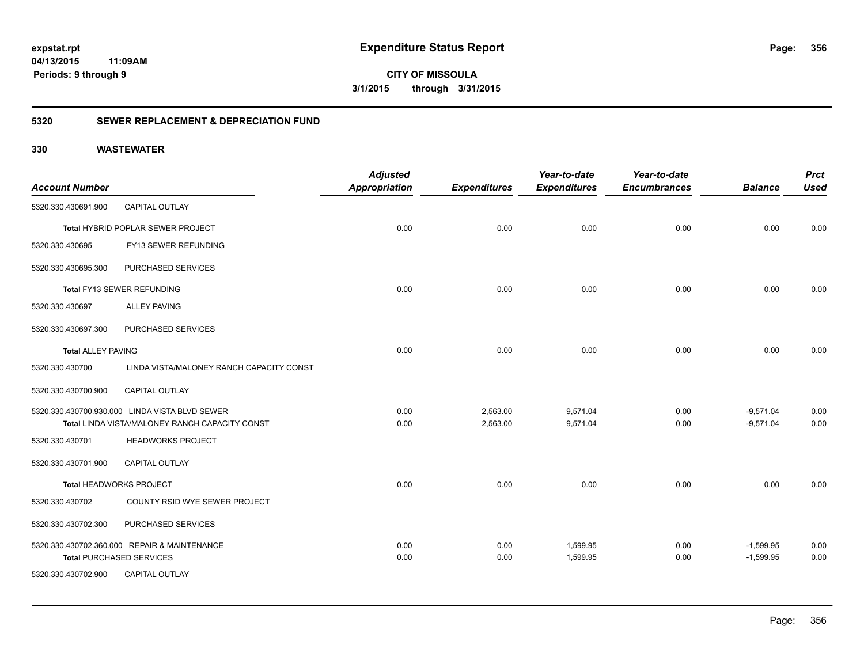**CITY OF MISSOULA 3/1/2015 through 3/31/2015**

### **5320 SEWER REPLACEMENT & DEPRECIATION FUND**

| <b>Account Number</b>     |                                                | <b>Adjusted</b><br><b>Appropriation</b> | <b>Expenditures</b> | Year-to-date<br><b>Expenditures</b> | Year-to-date<br><b>Encumbrances</b> | <b>Balance</b> | <b>Prct</b><br><b>Used</b> |
|---------------------------|------------------------------------------------|-----------------------------------------|---------------------|-------------------------------------|-------------------------------------|----------------|----------------------------|
| 5320.330.430691.900       | <b>CAPITAL OUTLAY</b>                          |                                         |                     |                                     |                                     |                |                            |
|                           | <b>Total HYBRID POPLAR SEWER PROJECT</b>       | 0.00                                    | 0.00                | 0.00                                | 0.00                                | 0.00           | 0.00                       |
| 5320.330.430695           | FY13 SEWER REFUNDING                           |                                         |                     |                                     |                                     |                |                            |
| 5320.330.430695.300       | PURCHASED SERVICES                             |                                         |                     |                                     |                                     |                |                            |
|                           | Total FY13 SEWER REFUNDING                     | 0.00                                    | 0.00                | 0.00                                | 0.00                                | 0.00           | 0.00                       |
| 5320.330.430697           | <b>ALLEY PAVING</b>                            |                                         |                     |                                     |                                     |                |                            |
| 5320.330.430697.300       | PURCHASED SERVICES                             |                                         |                     |                                     |                                     |                |                            |
| <b>Total ALLEY PAVING</b> |                                                | 0.00                                    | 0.00                | 0.00                                | 0.00                                | 0.00           | 0.00                       |
| 5320.330.430700           | LINDA VISTA/MALONEY RANCH CAPACITY CONST       |                                         |                     |                                     |                                     |                |                            |
| 5320.330.430700.900       | <b>CAPITAL OUTLAY</b>                          |                                         |                     |                                     |                                     |                |                            |
|                           | 5320.330.430700.930.000 LINDA VISTA BLVD SEWER | 0.00                                    | 2,563.00            | 9,571.04                            | 0.00                                | $-9,571.04$    | 0.00                       |
|                           | Total LINDA VISTA/MALONEY RANCH CAPACITY CONST | 0.00                                    | 2,563.00            | 9,571.04                            | 0.00                                | $-9,571.04$    | 0.00                       |
| 5320.330.430701           | <b>HEADWORKS PROJECT</b>                       |                                         |                     |                                     |                                     |                |                            |
| 5320.330.430701.900       | <b>CAPITAL OUTLAY</b>                          |                                         |                     |                                     |                                     |                |                            |
|                           | Total HEADWORKS PROJECT                        | 0.00                                    | 0.00                | 0.00                                | 0.00                                | 0.00           | 0.00                       |
| 5320.330.430702           | COUNTY RSID WYE SEWER PROJECT                  |                                         |                     |                                     |                                     |                |                            |
| 5320.330.430702.300       | PURCHASED SERVICES                             |                                         |                     |                                     |                                     |                |                            |
|                           | 5320.330.430702.360.000 REPAIR & MAINTENANCE   | 0.00                                    | 0.00                | 1,599.95                            | 0.00                                | $-1,599.95$    | 0.00                       |
|                           | <b>Total PURCHASED SERVICES</b>                | 0.00                                    | 0.00                | 1,599.95                            | 0.00                                | $-1,599.95$    | 0.00                       |
| 5320.330.430702.900       | <b>CAPITAL OUTLAY</b>                          |                                         |                     |                                     |                                     |                |                            |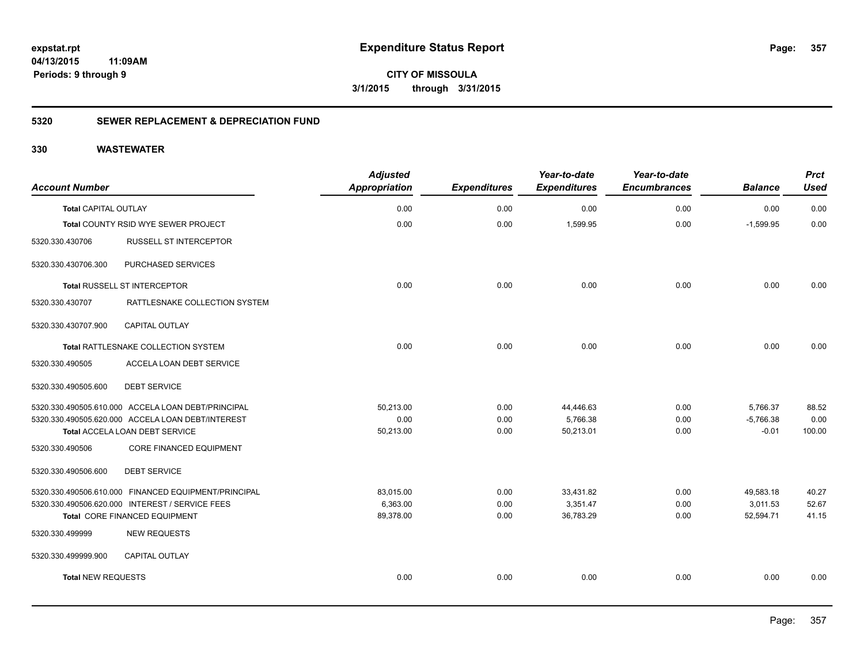**CITY OF MISSOULA 3/1/2015 through 3/31/2015**

### **5320 SEWER REPLACEMENT & DEPRECIATION FUND**

| <b>Account Number</b>       |                                                      | <b>Adjusted</b><br>Appropriation | <b>Expenditures</b> | Year-to-date<br><b>Expenditures</b> | Year-to-date<br><b>Encumbrances</b> | <b>Balance</b> | <b>Prct</b><br><b>Used</b> |
|-----------------------------|------------------------------------------------------|----------------------------------|---------------------|-------------------------------------|-------------------------------------|----------------|----------------------------|
| <b>Total CAPITAL OUTLAY</b> |                                                      | 0.00                             | 0.00                | 0.00                                | 0.00                                | 0.00           | 0.00                       |
|                             | Total COUNTY RSID WYE SEWER PROJECT                  | 0.00                             | 0.00                | 1,599.95                            | 0.00                                | $-1.599.95$    | 0.00                       |
| 5320.330.430706             | <b>RUSSELL ST INTERCEPTOR</b>                        |                                  |                     |                                     |                                     |                |                            |
| 5320.330.430706.300         | PURCHASED SERVICES                                   |                                  |                     |                                     |                                     |                |                            |
|                             | Total RUSSELL ST INTERCEPTOR                         | 0.00                             | 0.00                | 0.00                                | 0.00                                | 0.00           | 0.00                       |
| 5320.330.430707             | RATTLESNAKE COLLECTION SYSTEM                        |                                  |                     |                                     |                                     |                |                            |
| 5320.330.430707.900         | <b>CAPITAL OUTLAY</b>                                |                                  |                     |                                     |                                     |                |                            |
|                             | Total RATTLESNAKE COLLECTION SYSTEM                  | 0.00                             | 0.00                | 0.00                                | 0.00                                | 0.00           | 0.00                       |
| 5320.330.490505             | ACCELA LOAN DEBT SERVICE                             |                                  |                     |                                     |                                     |                |                            |
| 5320.330.490505.600         | <b>DEBT SERVICE</b>                                  |                                  |                     |                                     |                                     |                |                            |
|                             | 5320.330.490505.610.000 ACCELA LOAN DEBT/PRINCIPAL   | 50,213.00                        | 0.00                | 44,446.63                           | 0.00                                | 5,766.37       | 88.52                      |
|                             | 5320.330.490505.620.000 ACCELA LOAN DEBT/INTEREST    | 0.00                             | 0.00                | 5,766.38                            | 0.00                                | $-5,766.38$    | 0.00                       |
|                             | Total ACCELA LOAN DEBT SERVICE                       | 50,213.00                        | 0.00                | 50,213.01                           | 0.00                                | $-0.01$        | 100.00                     |
| 5320.330.490506             | <b>CORE FINANCED EQUIPMENT</b>                       |                                  |                     |                                     |                                     |                |                            |
| 5320.330.490506.600         | <b>DEBT SERVICE</b>                                  |                                  |                     |                                     |                                     |                |                            |
|                             | 5320.330.490506.610.000 FINANCED EQUIPMENT/PRINCIPAL | 83,015.00                        | 0.00                | 33,431.82                           | 0.00                                | 49,583.18      | 40.27                      |
|                             | 5320.330.490506.620.000 INTEREST / SERVICE FEES      | 6,363.00                         | 0.00                | 3,351.47                            | 0.00                                | 3,011.53       | 52.67                      |
|                             | Total CORE FINANCED EQUIPMENT                        | 89,378.00                        | 0.00                | 36,783.29                           | 0.00                                | 52,594.71      | 41.15                      |
| 5320.330.499999             | <b>NEW REQUESTS</b>                                  |                                  |                     |                                     |                                     |                |                            |
| 5320.330.499999.900         | <b>CAPITAL OUTLAY</b>                                |                                  |                     |                                     |                                     |                |                            |
| <b>Total NEW REQUESTS</b>   |                                                      | 0.00                             | 0.00                | 0.00                                | 0.00                                | 0.00           | 0.00                       |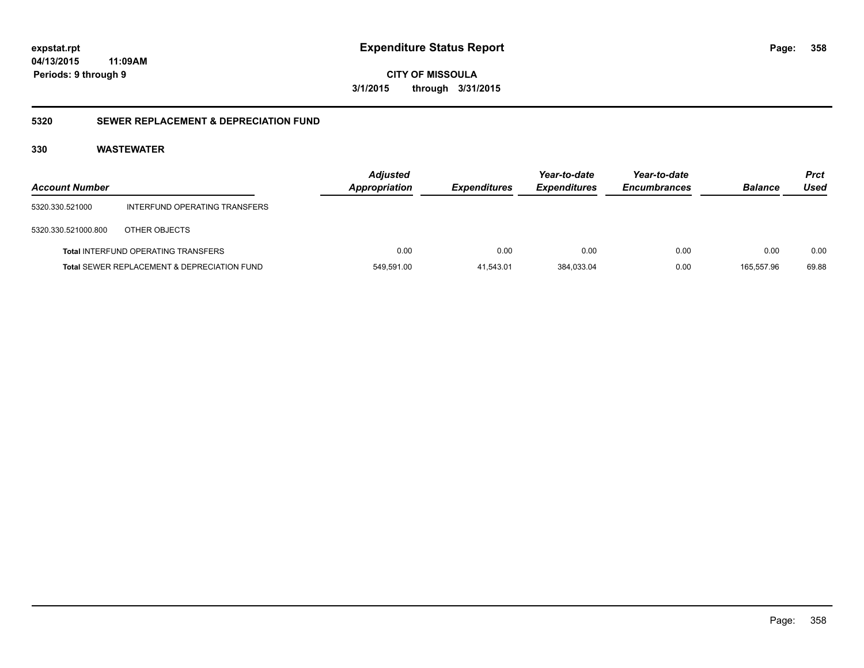**CITY OF MISSOULA 3/1/2015 through 3/31/2015**

### **5320 SEWER REPLACEMENT & DEPRECIATION FUND**

| <b>Account Number</b> |                                                        | <b>Adjusted</b><br><b>Appropriation</b> | <b>Expenditures</b> | Year-to-date<br><b>Expenditures</b> | Year-to-date<br><b>Encumbrances</b> | <b>Balance</b> | <b>Prct</b><br>Used |
|-----------------------|--------------------------------------------------------|-----------------------------------------|---------------------|-------------------------------------|-------------------------------------|----------------|---------------------|
| 5320.330.521000       | INTERFUND OPERATING TRANSFERS                          |                                         |                     |                                     |                                     |                |                     |
| 5320.330.521000.800   | OTHER OBJECTS                                          |                                         |                     |                                     |                                     |                |                     |
|                       | <b>Total INTERFUND OPERATING TRANSFERS</b>             | 0.00                                    | 0.00                | 0.00                                | 0.00                                | 0.00           | 0.00                |
|                       | <b>Total SEWER REPLACEMENT &amp; DEPRECIATION FUND</b> | 549,591.00                              | 41,543.01           | 384,033.04                          | 0.00                                | 165,557.96     | 69.88               |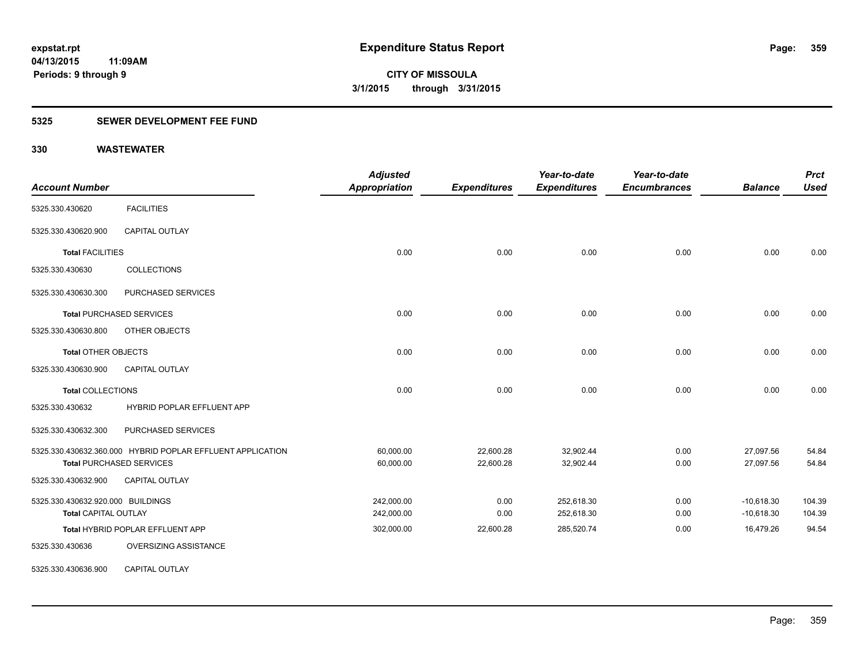### **5325 SEWER DEVELOPMENT FEE FUND**

| <b>Account Number</b>             |                                                            | <b>Adjusted</b><br><b>Appropriation</b> | <b>Expenditures</b> | Year-to-date<br><b>Expenditures</b> | Year-to-date<br><b>Encumbrances</b> | <b>Balance</b> | <b>Prct</b><br><b>Used</b> |
|-----------------------------------|------------------------------------------------------------|-----------------------------------------|---------------------|-------------------------------------|-------------------------------------|----------------|----------------------------|
| 5325.330.430620                   | <b>FACILITIES</b>                                          |                                         |                     |                                     |                                     |                |                            |
| 5325.330.430620.900               | <b>CAPITAL OUTLAY</b>                                      |                                         |                     |                                     |                                     |                |                            |
| <b>Total FACILITIES</b>           |                                                            | 0.00                                    | 0.00                | 0.00                                | 0.00                                | 0.00           | 0.00                       |
| 5325.330.430630                   | <b>COLLECTIONS</b>                                         |                                         |                     |                                     |                                     |                |                            |
| 5325.330.430630.300               | PURCHASED SERVICES                                         |                                         |                     |                                     |                                     |                |                            |
|                                   | <b>Total PURCHASED SERVICES</b>                            | 0.00                                    | 0.00                | 0.00                                | 0.00                                | 0.00           | 0.00                       |
| 5325.330.430630.800               | OTHER OBJECTS                                              |                                         |                     |                                     |                                     |                |                            |
| <b>Total OTHER OBJECTS</b>        |                                                            | 0.00                                    | 0.00                | 0.00                                | 0.00                                | 0.00           | 0.00                       |
| 5325.330.430630.900               | <b>CAPITAL OUTLAY</b>                                      |                                         |                     |                                     |                                     |                |                            |
| <b>Total COLLECTIONS</b>          |                                                            | 0.00                                    | 0.00                | 0.00                                | 0.00                                | 0.00           | 0.00                       |
| 5325.330.430632                   | HYBRID POPLAR EFFLUENT APP                                 |                                         |                     |                                     |                                     |                |                            |
| 5325.330.430632.300               | PURCHASED SERVICES                                         |                                         |                     |                                     |                                     |                |                            |
|                                   | 5325.330.430632.360.000 HYBRID POPLAR EFFLUENT APPLICATION | 60,000.00                               | 22,600.28           | 32,902.44                           | 0.00                                | 27,097.56      | 54.84                      |
|                                   | <b>Total PURCHASED SERVICES</b>                            | 60,000.00                               | 22,600.28           | 32,902.44                           | 0.00                                | 27,097.56      | 54.84                      |
| 5325.330.430632.900               | CAPITAL OUTLAY                                             |                                         |                     |                                     |                                     |                |                            |
| 5325.330.430632.920.000 BUILDINGS |                                                            | 242,000.00                              | 0.00                | 252,618.30                          | 0.00                                | $-10,618.30$   | 104.39                     |
| <b>Total CAPITAL OUTLAY</b>       |                                                            | 242,000.00                              | 0.00                | 252,618.30                          | 0.00                                | $-10,618.30$   | 104.39                     |
|                                   | Total HYBRID POPLAR EFFLUENT APP                           | 302,000.00                              | 22,600.28           | 285,520.74                          | 0.00                                | 16,479.26      | 94.54                      |
| 5325.330.430636                   | OVERSIZING ASSISTANCE                                      |                                         |                     |                                     |                                     |                |                            |
| 5325.330.430636.900               | <b>CAPITAL OUTLAY</b>                                      |                                         |                     |                                     |                                     |                |                            |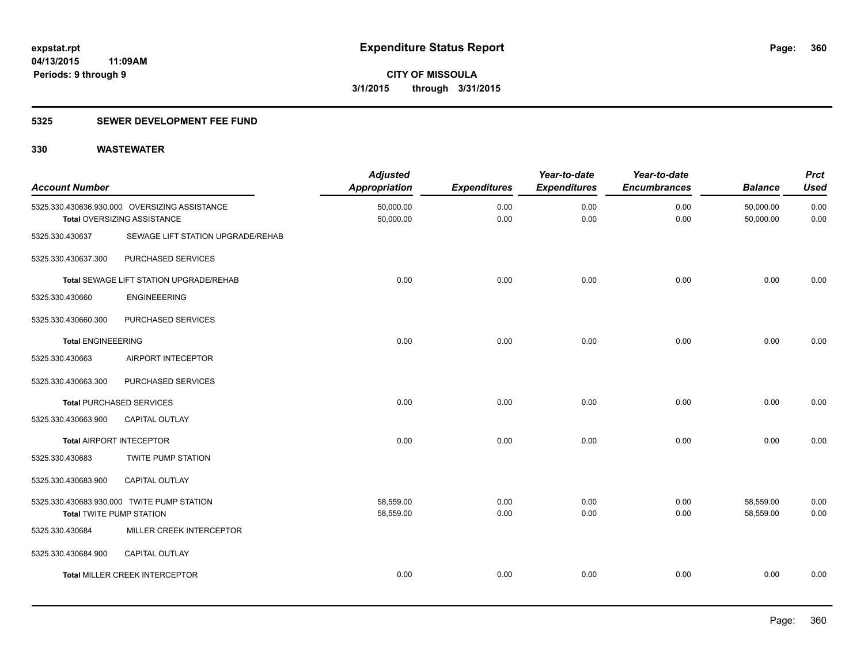### **5325 SEWER DEVELOPMENT FEE FUND**

| <b>Account Number</b>           |                                                                              | <b>Adjusted</b><br><b>Appropriation</b> | <b>Expenditures</b> | Year-to-date<br><b>Expenditures</b> | Year-to-date<br><b>Encumbrances</b> | <b>Balance</b>         | <b>Prct</b><br><b>Used</b> |
|---------------------------------|------------------------------------------------------------------------------|-----------------------------------------|---------------------|-------------------------------------|-------------------------------------|------------------------|----------------------------|
|                                 | 5325.330.430636.930.000 OVERSIZING ASSISTANCE<br>Total OVERSIZING ASSISTANCE | 50,000.00<br>50,000.00                  | 0.00<br>0.00        | 0.00<br>0.00                        | 0.00<br>0.00                        | 50,000.00<br>50,000.00 | 0.00<br>0.00               |
| 5325.330.430637                 | SEWAGE LIFT STATION UPGRADE/REHAB                                            |                                         |                     |                                     |                                     |                        |                            |
| 5325.330.430637.300             | PURCHASED SERVICES                                                           |                                         |                     |                                     |                                     |                        |                            |
|                                 | Total SEWAGE LIFT STATION UPGRADE/REHAB                                      | 0.00                                    | 0.00                | 0.00                                | 0.00                                | 0.00                   | 0.00                       |
| 5325.330.430660                 | <b>ENGINEEERING</b>                                                          |                                         |                     |                                     |                                     |                        |                            |
| 5325.330.430660.300             | PURCHASED SERVICES                                                           |                                         |                     |                                     |                                     |                        |                            |
| <b>Total ENGINEEERING</b>       |                                                                              | 0.00                                    | 0.00                | 0.00                                | 0.00                                | 0.00                   | 0.00                       |
| 5325.330.430663                 | AIRPORT INTECEPTOR                                                           |                                         |                     |                                     |                                     |                        |                            |
| 5325.330.430663.300             | PURCHASED SERVICES                                                           |                                         |                     |                                     |                                     |                        |                            |
|                                 | <b>Total PURCHASED SERVICES</b>                                              | 0.00                                    | 0.00                | 0.00                                | 0.00                                | 0.00                   | 0.00                       |
| 5325.330.430663.900             | CAPITAL OUTLAY                                                               |                                         |                     |                                     |                                     |                        |                            |
|                                 | <b>Total AIRPORT INTECEPTOR</b>                                              | 0.00                                    | 0.00                | 0.00                                | 0.00                                | 0.00                   | 0.00                       |
| 5325.330.430683                 | TWITE PUMP STATION                                                           |                                         |                     |                                     |                                     |                        |                            |
| 5325.330.430683.900             | <b>CAPITAL OUTLAY</b>                                                        |                                         |                     |                                     |                                     |                        |                            |
| <b>Total TWITE PUMP STATION</b> | 5325.330.430683.930.000 TWITE PUMP STATION                                   | 58,559.00<br>58,559.00                  | 0.00<br>0.00        | 0.00<br>0.00                        | 0.00<br>0.00                        | 58,559.00<br>58,559.00 | 0.00<br>0.00               |
| 5325.330.430684                 | MILLER CREEK INTERCEPTOR                                                     |                                         |                     |                                     |                                     |                        |                            |
| 5325.330.430684.900             | CAPITAL OUTLAY                                                               |                                         |                     |                                     |                                     |                        |                            |
|                                 | <b>Total MILLER CREEK INTERCEPTOR</b>                                        | 0.00                                    | 0.00                | 0.00                                | 0.00                                | 0.00                   | 0.00                       |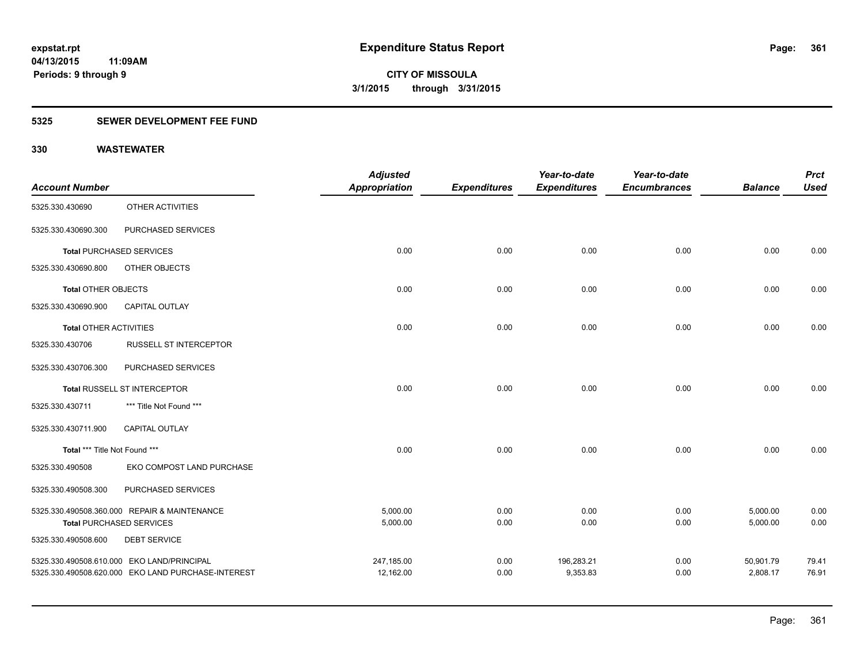## **5325 SEWER DEVELOPMENT FEE FUND**

|                               |                                                    | <b>Adjusted</b>      |                     | Year-to-date        | Year-to-date        |                | <b>Prct</b> |
|-------------------------------|----------------------------------------------------|----------------------|---------------------|---------------------|---------------------|----------------|-------------|
| <b>Account Number</b>         |                                                    | <b>Appropriation</b> | <b>Expenditures</b> | <b>Expenditures</b> | <b>Encumbrances</b> | <b>Balance</b> | <b>Used</b> |
| 5325.330.430690               | OTHER ACTIVITIES                                   |                      |                     |                     |                     |                |             |
| 5325.330.430690.300           | PURCHASED SERVICES                                 |                      |                     |                     |                     |                |             |
|                               | <b>Total PURCHASED SERVICES</b>                    | 0.00                 | 0.00                | 0.00                | 0.00                | 0.00           | 0.00        |
| 5325.330.430690.800           | OTHER OBJECTS                                      |                      |                     |                     |                     |                |             |
| Total OTHER OBJECTS           |                                                    | 0.00                 | 0.00                | 0.00                | 0.00                | 0.00           | 0.00        |
| 5325.330.430690.900           | <b>CAPITAL OUTLAY</b>                              |                      |                     |                     |                     |                |             |
| <b>Total OTHER ACTIVITIES</b> |                                                    | 0.00                 | 0.00                | 0.00                | 0.00                | 0.00           | 0.00        |
| 5325.330.430706               | <b>RUSSELL ST INTERCEPTOR</b>                      |                      |                     |                     |                     |                |             |
| 5325.330.430706.300           | PURCHASED SERVICES                                 |                      |                     |                     |                     |                |             |
|                               | Total RUSSELL ST INTERCEPTOR                       | 0.00                 | 0.00                | 0.00                | 0.00                | 0.00           | 0.00        |
| 5325.330.430711               | *** Title Not Found ***                            |                      |                     |                     |                     |                |             |
| 5325.330.430711.900           | <b>CAPITAL OUTLAY</b>                              |                      |                     |                     |                     |                |             |
| Total *** Title Not Found *** |                                                    | 0.00                 | 0.00                | 0.00                | 0.00                | 0.00           | 0.00        |
| 5325.330.490508               | EKO COMPOST LAND PURCHASE                          |                      |                     |                     |                     |                |             |
| 5325.330.490508.300           | PURCHASED SERVICES                                 |                      |                     |                     |                     |                |             |
|                               | 5325.330.490508.360.000 REPAIR & MAINTENANCE       | 5,000.00             | 0.00                | 0.00                | 0.00                | 5,000.00       | 0.00        |
|                               | <b>Total PURCHASED SERVICES</b>                    | 5,000.00             | 0.00                | 0.00                | 0.00                | 5,000.00       | 0.00        |
| 5325.330.490508.600           | <b>DEBT SERVICE</b>                                |                      |                     |                     |                     |                |             |
|                               | 5325.330.490508.610.000 EKO LAND/PRINCIPAL         | 247,185.00           | 0.00                | 196,283.21          | 0.00                | 50,901.79      | 79.41       |
|                               | 5325.330.490508.620.000 EKO LAND PURCHASE-INTEREST | 12,162.00            | 0.00                | 9,353.83            | 0.00                | 2,808.17       | 76.91       |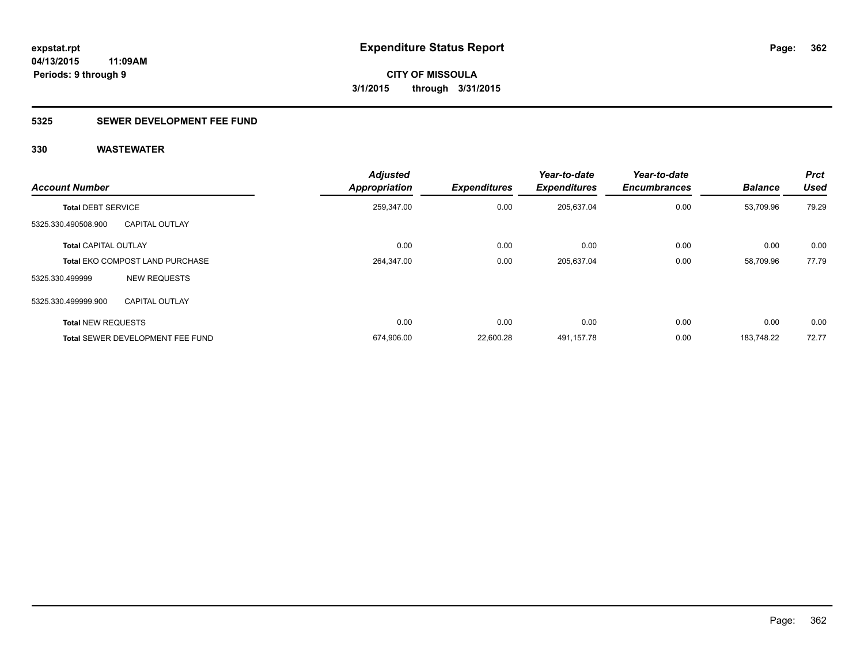## **5325 SEWER DEVELOPMENT FEE FUND**

| <b>Account Number</b>       |                                         | <b>Adjusted</b><br><b>Appropriation</b> | <b>Expenditures</b> | Year-to-date<br><b>Expenditures</b> | Year-to-date<br><b>Encumbrances</b> | <b>Balance</b> | <b>Prct</b><br><b>Used</b> |
|-----------------------------|-----------------------------------------|-----------------------------------------|---------------------|-------------------------------------|-------------------------------------|----------------|----------------------------|
| <b>Total DEBT SERVICE</b>   |                                         | 259,347.00                              | 0.00                | 205,637.04                          | 0.00                                | 53,709.96      | 79.29                      |
| 5325.330.490508.900         | <b>CAPITAL OUTLAY</b>                   |                                         |                     |                                     |                                     |                |                            |
| <b>Total CAPITAL OUTLAY</b> |                                         | 0.00                                    | 0.00                | 0.00                                | 0.00                                | 0.00           | 0.00                       |
|                             | <b>Total EKO COMPOST LAND PURCHASE</b>  | 264,347.00                              | 0.00                | 205,637.04                          | 0.00                                | 58.709.96      | 77.79                      |
| 5325.330.499999             | <b>NEW REQUESTS</b>                     |                                         |                     |                                     |                                     |                |                            |
| 5325.330.499999.900         | <b>CAPITAL OUTLAY</b>                   |                                         |                     |                                     |                                     |                |                            |
| <b>Total NEW REQUESTS</b>   |                                         | 0.00                                    | 0.00                | 0.00                                | 0.00                                | 0.00           | 0.00                       |
|                             | <b>Total SEWER DEVELOPMENT FEE FUND</b> | 674,906.00                              | 22,600.28           | 491,157.78                          | 0.00                                | 183.748.22     | 72.77                      |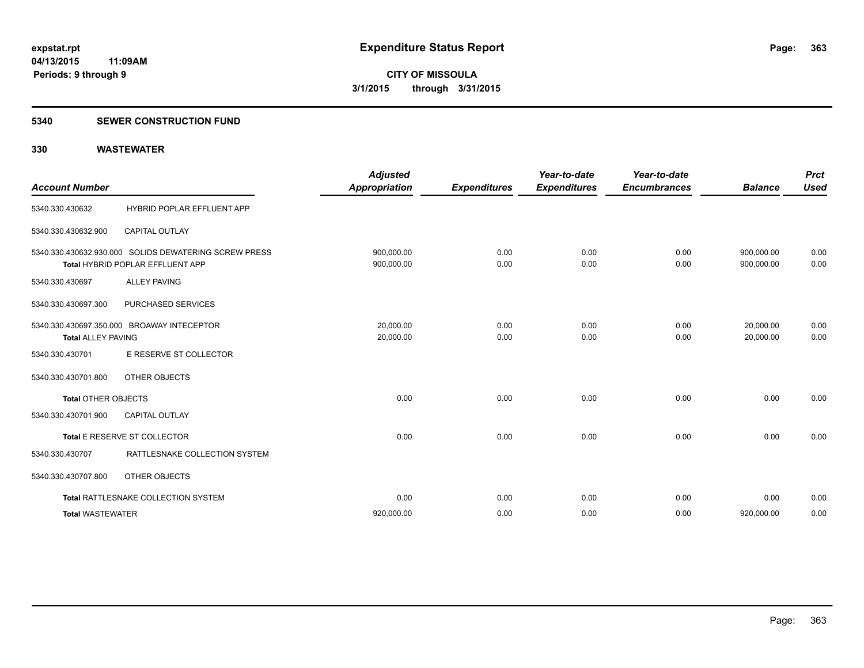#### **5340 SEWER CONSTRUCTION FUND**

| <b>Account Number</b>      |                                                                                           | <b>Adjusted</b><br><b>Appropriation</b> | <b>Expenditures</b> | Year-to-date<br><b>Expenditures</b> | Year-to-date<br><b>Encumbrances</b> | <b>Balance</b>           | <b>Prct</b><br><b>Used</b> |
|----------------------------|-------------------------------------------------------------------------------------------|-----------------------------------------|---------------------|-------------------------------------|-------------------------------------|--------------------------|----------------------------|
| 5340.330.430632            | HYBRID POPLAR EFFLUENT APP                                                                |                                         |                     |                                     |                                     |                          |                            |
| 5340.330.430632.900        | <b>CAPITAL OUTLAY</b>                                                                     |                                         |                     |                                     |                                     |                          |                            |
|                            | 5340.330.430632.930.000 SOLIDS DEWATERING SCREW PRESS<br>Total HYBRID POPLAR EFFLUENT APP | 900,000.00<br>900,000.00                | 0.00<br>0.00        | 0.00<br>0.00                        | 0.00<br>0.00                        | 900,000.00<br>900,000.00 | 0.00<br>0.00               |
| 5340.330.430697            | <b>ALLEY PAVING</b>                                                                       |                                         |                     |                                     |                                     |                          |                            |
| 5340.330.430697.300        | PURCHASED SERVICES                                                                        |                                         |                     |                                     |                                     |                          |                            |
| <b>Total ALLEY PAVING</b>  | 5340.330.430697.350.000 BROAWAY INTECEPTOR                                                | 20.000.00<br>20,000.00                  | 0.00<br>0.00        | 0.00<br>0.00                        | 0.00<br>0.00                        | 20,000.00<br>20.000.00   | 0.00<br>0.00               |
| 5340.330.430701            | E RESERVE ST COLLECTOR                                                                    |                                         |                     |                                     |                                     |                          |                            |
| 5340.330.430701.800        | OTHER OBJECTS                                                                             |                                         |                     |                                     |                                     |                          |                            |
| <b>Total OTHER OBJECTS</b> |                                                                                           | 0.00                                    | 0.00                | 0.00                                | 0.00                                | 0.00                     | 0.00                       |
| 5340.330.430701.900        | <b>CAPITAL OUTLAY</b>                                                                     |                                         |                     |                                     |                                     |                          |                            |
|                            | Total E RESERVE ST COLLECTOR                                                              | 0.00                                    | 0.00                | 0.00                                | 0.00                                | 0.00                     | 0.00                       |
| 5340.330.430707            | RATTLESNAKE COLLECTION SYSTEM                                                             |                                         |                     |                                     |                                     |                          |                            |
| 5340.330.430707.800        | OTHER OBJECTS                                                                             |                                         |                     |                                     |                                     |                          |                            |
|                            | Total RATTLESNAKE COLLECTION SYSTEM                                                       | 0.00                                    | 0.00                | 0.00                                | 0.00                                | 0.00                     | 0.00                       |
| <b>Total WASTEWATER</b>    |                                                                                           | 920,000.00                              | 0.00                | 0.00                                | 0.00                                | 920,000.00               | 0.00                       |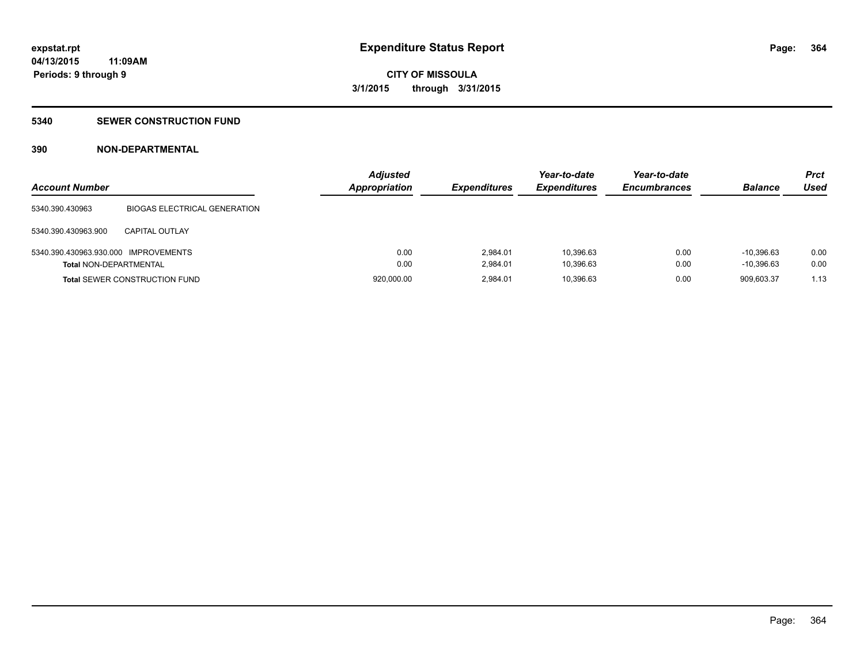### **5340 SEWER CONSTRUCTION FUND**

## **390 NON-DEPARTMENTAL**

| <b>Account Number</b>                |                                      | <b>Adjusted</b><br><b>Appropriation</b> | <b>Expenditures</b> | Year-to-date<br><b>Expenditures</b> | Year-to-date<br><b>Encumbrances</b> | <b>Balance</b> | <b>Prct</b><br>Used |
|--------------------------------------|--------------------------------------|-----------------------------------------|---------------------|-------------------------------------|-------------------------------------|----------------|---------------------|
| 5340.390.430963                      | <b>BIOGAS ELECTRICAL GENERATION</b>  |                                         |                     |                                     |                                     |                |                     |
| 5340.390.430963.900                  | CAPITAL OUTLAY                       |                                         |                     |                                     |                                     |                |                     |
| 5340.390.430963.930.000 IMPROVEMENTS |                                      | 0.00                                    | 2.984.01            | 10.396.63                           | 0.00                                | $-10.396.63$   | 0.00                |
| <b>Total NON-DEPARTMENTAL</b>        |                                      | 0.00                                    | 2.984.01            | 10,396.63                           | 0.00                                | $-10.396.63$   | 0.00                |
|                                      | <b>Total SEWER CONSTRUCTION FUND</b> | 920,000.00                              | 2.984.01            | 10,396.63                           | 0.00                                | 909.603.37     | 1.13                |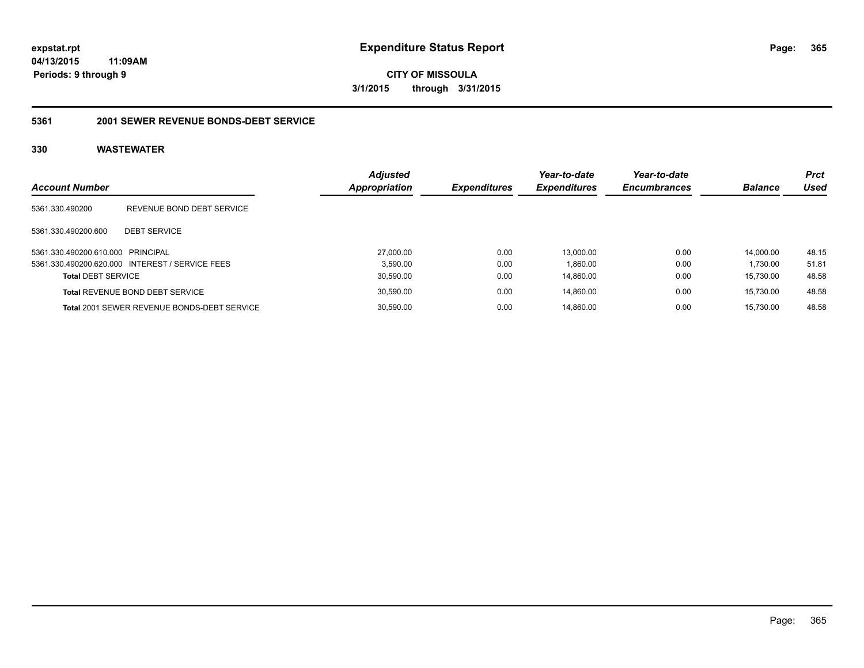**CITY OF MISSOULA 3/1/2015 through 3/31/2015**

#### **5361 2001 SEWER REVENUE BONDS-DEBT SERVICE**

| <b>Account Number</b>             |                                                 | <b>Adjusted</b><br><b>Appropriation</b> | <b>Expenditures</b> | Year-to-date<br><b>Expenditures</b> | Year-to-date<br><b>Encumbrances</b> | <b>Balance</b> | <b>Prct</b><br>Used |
|-----------------------------------|-------------------------------------------------|-----------------------------------------|---------------------|-------------------------------------|-------------------------------------|----------------|---------------------|
| 5361.330.490200                   | REVENUE BOND DEBT SERVICE                       |                                         |                     |                                     |                                     |                |                     |
| 5361.330.490200.600               | <b>DEBT SERVICE</b>                             |                                         |                     |                                     |                                     |                |                     |
| 5361.330.490200.610.000 PRINCIPAL |                                                 | 27,000.00                               | 0.00                | 13.000.00                           | 0.00                                | 14.000.00      | 48.15               |
|                                   | 5361.330.490200.620.000 INTEREST / SERVICE FEES | 3.590.00                                | 0.00                | 1,860.00                            | 0.00                                | 1,730.00       | 51.81               |
| <b>Total DEBT SERVICE</b>         |                                                 | 30,590.00                               | 0.00                | 14.860.00                           | 0.00                                | 15.730.00      | 48.58               |
|                                   | <b>Total REVENUE BOND DEBT SERVICE</b>          | 30,590.00                               | 0.00                | 14.860.00                           | 0.00                                | 15.730.00      | 48.58               |
|                                   | Total 2001 SEWER REVENUE BONDS-DEBT SERVICE     | 30,590.00                               | 0.00                | 14.860.00                           | 0.00                                | 15.730.00      | 48.58               |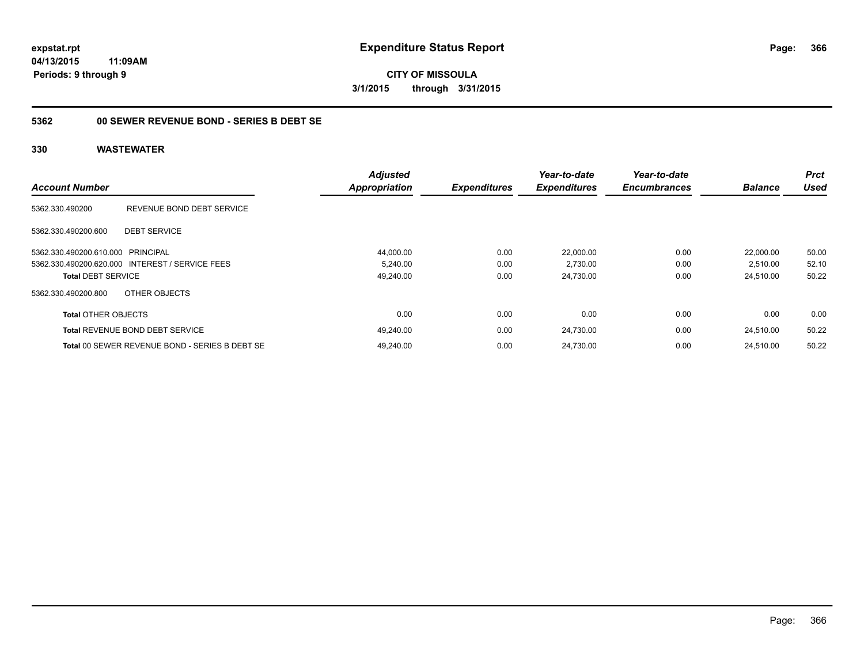**CITY OF MISSOULA 3/1/2015 through 3/31/2015**

## **5362 00 SEWER REVENUE BOND - SERIES B DEBT SE**

| <b>Account Number</b>             |                                                 | <b>Adjusted</b><br><b>Appropriation</b> | <b>Expenditures</b> | Year-to-date<br><b>Expenditures</b> | Year-to-date<br><b>Encumbrances</b> | <b>Balance</b> | <b>Prct</b><br><b>Used</b> |
|-----------------------------------|-------------------------------------------------|-----------------------------------------|---------------------|-------------------------------------|-------------------------------------|----------------|----------------------------|
|                                   |                                                 |                                         |                     |                                     |                                     |                |                            |
| 5362.330.490200                   | REVENUE BOND DEBT SERVICE                       |                                         |                     |                                     |                                     |                |                            |
| 5362.330.490200.600               | <b>DEBT SERVICE</b>                             |                                         |                     |                                     |                                     |                |                            |
| 5362.330.490200.610.000 PRINCIPAL |                                                 | 44,000.00                               | 0.00                | 22,000.00                           | 0.00                                | 22.000.00      | 50.00                      |
|                                   | 5362.330.490200.620.000 INTEREST / SERVICE FEES | 5,240.00                                | 0.00                | 2,730.00                            | 0.00                                | 2,510.00       | 52.10                      |
| <b>Total DEBT SERVICE</b>         |                                                 | 49,240.00                               | 0.00                | 24,730.00                           | 0.00                                | 24,510.00      | 50.22                      |
| 5362.330.490200.800               | OTHER OBJECTS                                   |                                         |                     |                                     |                                     |                |                            |
| <b>Total OTHER OBJECTS</b>        |                                                 | 0.00                                    | 0.00                | 0.00                                | 0.00                                | 0.00           | 0.00                       |
|                                   | <b>Total REVENUE BOND DEBT SERVICE</b>          | 49,240.00                               | 0.00                | 24,730.00                           | 0.00                                | 24.510.00      | 50.22                      |
|                                   | Total 00 SEWER REVENUE BOND - SERIES B DEBT SE  | 49.240.00                               | 0.00                | 24.730.00                           | 0.00                                | 24.510.00      | 50.22                      |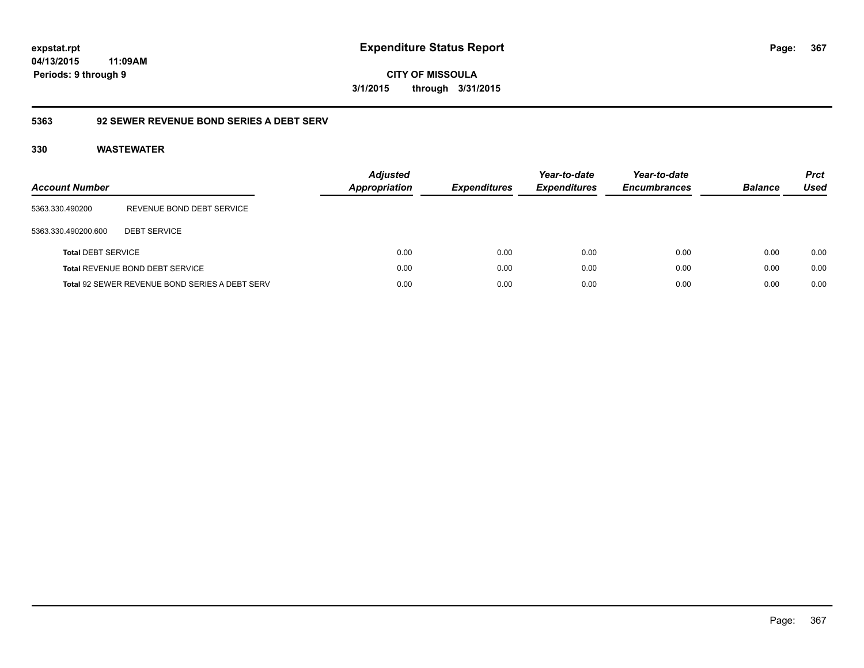**expstat.rpt Expenditure Status Report Page:**

**04/13/2015 11:09AM Periods: 9 through 9**

**CITY OF MISSOULA 3/1/2015 through 3/31/2015**

## **5363 92 SEWER REVENUE BOND SERIES A DEBT SERV**

| Account Number            |                                                | <b>Adjusted</b><br><b>Appropriation</b> | <b>Expenditures</b> | Year-to-date<br><b>Expenditures</b> | Year-to-date<br><b>Encumbrances</b> | <b>Balance</b> | <b>Prct</b><br>Used |
|---------------------------|------------------------------------------------|-----------------------------------------|---------------------|-------------------------------------|-------------------------------------|----------------|---------------------|
| 5363.330.490200           | REVENUE BOND DEBT SERVICE                      |                                         |                     |                                     |                                     |                |                     |
| 5363.330.490200.600       | <b>DEBT SERVICE</b>                            |                                         |                     |                                     |                                     |                |                     |
| <b>Total DEBT SERVICE</b> |                                                | 0.00                                    | 0.00                | 0.00                                | 0.00                                | 0.00           | 0.00                |
|                           | Total REVENUE BOND DEBT SERVICE                | 0.00                                    | 0.00                | 0.00                                | 0.00                                | 0.00           | 0.00                |
|                           | Total 92 SEWER REVENUE BOND SERIES A DEBT SERV | 0.00                                    | 0.00                | 0.00                                | 0.00                                | 0.00           | 0.00                |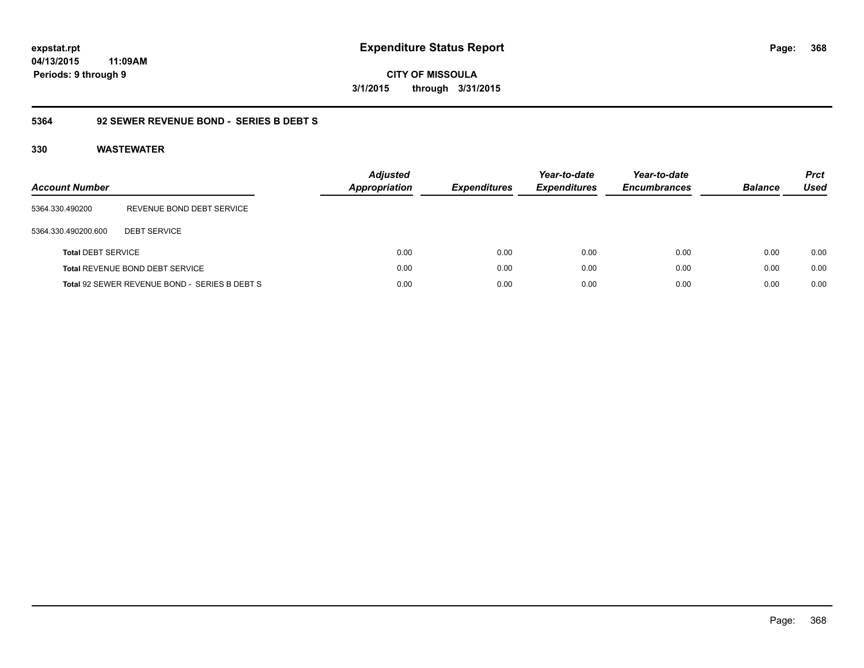**CITY OF MISSOULA 3/1/2015 through 3/31/2015**

## **5364 92 SEWER REVENUE BOND - SERIES B DEBT S**

| <b>Account Number</b>     |                                               | <b>Adjusted</b><br><b>Appropriation</b> | <b>Expenditures</b> | Year-to-date<br><b>Expenditures</b> | Year-to-date<br><b>Encumbrances</b> | <b>Balance</b> | <b>Prct</b><br>Used |
|---------------------------|-----------------------------------------------|-----------------------------------------|---------------------|-------------------------------------|-------------------------------------|----------------|---------------------|
| 5364.330.490200           | REVENUE BOND DEBT SERVICE                     |                                         |                     |                                     |                                     |                |                     |
| 5364.330.490200.600       | <b>DEBT SERVICE</b>                           |                                         |                     |                                     |                                     |                |                     |
| <b>Total DEBT SERVICE</b> |                                               | 0.00                                    | 0.00                | 0.00                                | 0.00                                | 0.00           | 0.00                |
|                           | Total REVENUE BOND DEBT SERVICE               | 0.00                                    | 0.00                | 0.00                                | 0.00                                | 0.00           | 0.00                |
|                           | Total 92 SEWER REVENUE BOND - SERIES B DEBT S | 0.00                                    | 0.00                | 0.00                                | 0.00                                | 0.00           | 0.00                |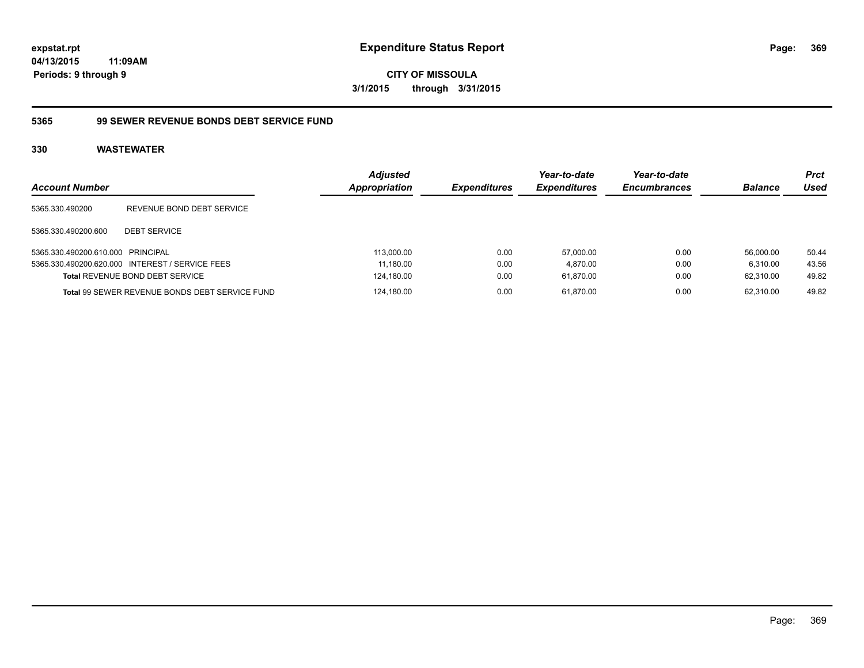**CITY OF MISSOULA 3/1/2015 through 3/31/2015**

## **5365 99 SEWER REVENUE BONDS DEBT SERVICE FUND**

| <b>Account Number</b>             |                                                 | <b>Adjusted</b><br><b>Appropriation</b> | <i><b>Expenditures</b></i> | Year-to-date<br><b>Expenditures</b> | Year-to-date<br><b>Encumbrances</b> | <b>Balance</b> | <b>Prct</b><br>Used |
|-----------------------------------|-------------------------------------------------|-----------------------------------------|----------------------------|-------------------------------------|-------------------------------------|----------------|---------------------|
| 5365.330.490200                   | REVENUE BOND DEBT SERVICE                       |                                         |                            |                                     |                                     |                |                     |
| 5365.330.490200.600               | <b>DEBT SERVICE</b>                             |                                         |                            |                                     |                                     |                |                     |
| 5365.330.490200.610.000 PRINCIPAL |                                                 | 113,000.00                              | 0.00                       | 57.000.00                           | 0.00                                | 56.000.00      | 50.44               |
|                                   | 5365.330.490200.620.000 INTEREST / SERVICE FEES | 11,180.00                               | 0.00                       | 4,870.00                            | 0.00                                | 6.310.00       | 43.56               |
|                                   | <b>Total REVENUE BOND DEBT SERVICE</b>          | 124,180.00                              | 0.00                       | 61,870.00                           | 0.00                                | 62.310.00      | 49.82               |
|                                   | Total 99 SEWER REVENUE BONDS DEBT SERVICE FUND  | 124,180.00                              | 0.00                       | 61.870.00                           | 0.00                                | 62.310.00      | 49.82               |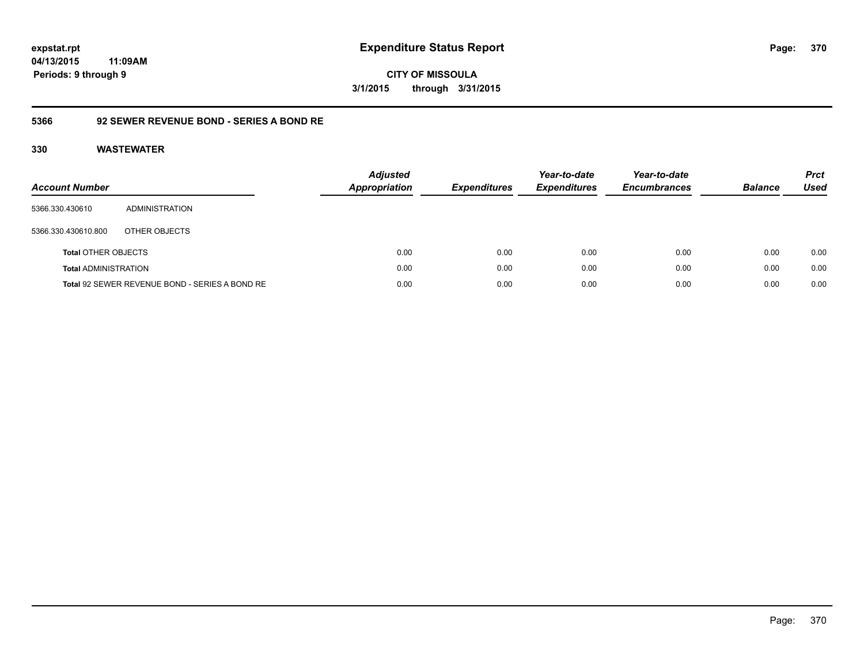**expstat.rpt Expenditure Status Report** 

**04/13/2015 11:09AM Periods: 9 through 9**

**CITY OF MISSOULA 3/1/2015 through 3/31/2015**

## **5366 92 SEWER REVENUE BOND - SERIES A BOND RE**

| <b>Account Number</b>       |                                                | <b>Adjusted</b><br><b>Appropriation</b> | <b>Expenditures</b> | Year-to-date<br><b>Expenditures</b> | Year-to-date<br><b>Encumbrances</b> | <b>Balance</b> | <b>Prct</b><br>Used |
|-----------------------------|------------------------------------------------|-----------------------------------------|---------------------|-------------------------------------|-------------------------------------|----------------|---------------------|
| 5366.330.430610             | ADMINISTRATION                                 |                                         |                     |                                     |                                     |                |                     |
| 5366.330.430610.800         | OTHER OBJECTS                                  |                                         |                     |                                     |                                     |                |                     |
| <b>Total OTHER OBJECTS</b>  |                                                | 0.00                                    | 0.00                | 0.00                                | 0.00                                | 0.00           | 0.00                |
| <b>Total ADMINISTRATION</b> |                                                | 0.00                                    | 0.00                | 0.00                                | 0.00                                | 0.00           | 0.00                |
|                             | Total 92 SEWER REVENUE BOND - SERIES A BOND RE | 0.00                                    | 0.00                | 0.00                                | 0.00                                | 0.00           | 0.00                |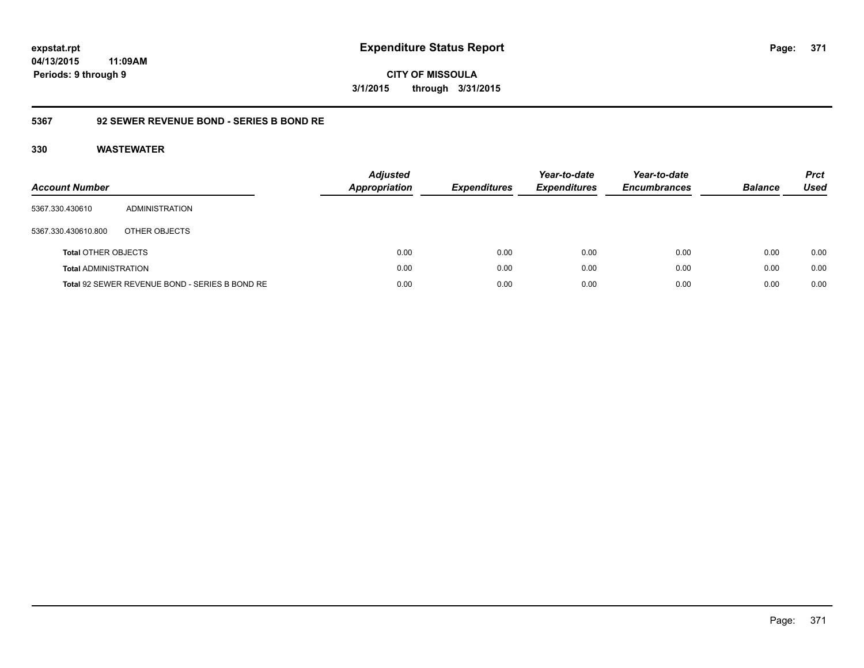**expstat.rpt Expenditure Status Report** 

**04/13/2015 11:09AM Periods: 9 through 9**

**CITY OF MISSOULA 3/1/2015 through 3/31/2015**

## **5367 92 SEWER REVENUE BOND - SERIES B BOND RE**

| <b>Account Number</b>       |                                                | <b>Adjusted</b><br>Appropriation | <b>Expenditures</b> | Year-to-date<br><b>Expenditures</b> | Year-to-date<br><b>Encumbrances</b> | <b>Balance</b> | <b>Prct</b><br><b>Used</b> |
|-----------------------------|------------------------------------------------|----------------------------------|---------------------|-------------------------------------|-------------------------------------|----------------|----------------------------|
| 5367.330.430610             | ADMINISTRATION                                 |                                  |                     |                                     |                                     |                |                            |
| 5367.330.430610.800         | OTHER OBJECTS                                  |                                  |                     |                                     |                                     |                |                            |
| <b>Total OTHER OBJECTS</b>  |                                                | 0.00                             | 0.00                | 0.00                                | 0.00                                | 0.00           | 0.00                       |
| <b>Total ADMINISTRATION</b> |                                                | 0.00                             | 0.00                | 0.00                                | 0.00                                | 0.00           | 0.00                       |
|                             | Total 92 SEWER REVENUE BOND - SERIES B BOND RE | 0.00                             | 0.00                | 0.00                                | 0.00                                | 0.00           | 0.00                       |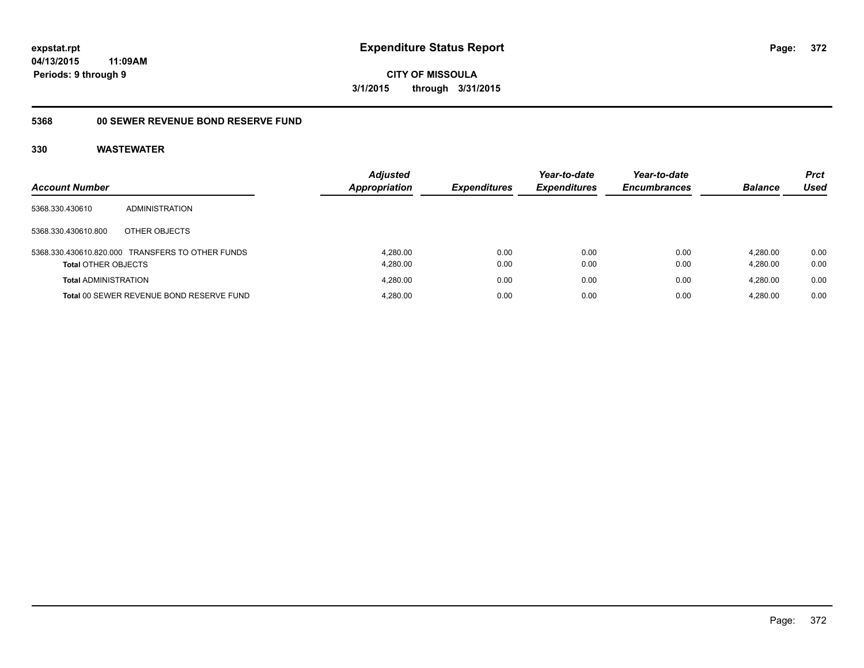**CITY OF MISSOULA 3/1/2015 through 3/31/2015**

# **5368 00 SEWER REVENUE BOND RESERVE FUND**

|                             |                                                  | <b>Adjusted</b>      |                     | Year-to-date        | Year-to-date        |                | <b>Prct</b> |
|-----------------------------|--------------------------------------------------|----------------------|---------------------|---------------------|---------------------|----------------|-------------|
| <b>Account Number</b>       |                                                  | <b>Appropriation</b> | <b>Expenditures</b> | <b>Expenditures</b> | <b>Encumbrances</b> | <b>Balance</b> | Used        |
| 5368.330.430610             | <b>ADMINISTRATION</b>                            |                      |                     |                     |                     |                |             |
| 5368.330.430610.800         | OTHER OBJECTS                                    |                      |                     |                     |                     |                |             |
|                             | 5368.330.430610.820.000 TRANSFERS TO OTHER FUNDS | 4.280.00             | 0.00                | 0.00                | 0.00                | 4.280.00       | 0.00        |
| <b>Total OTHER OBJECTS</b>  |                                                  | 4,280.00             | 0.00                | 0.00                | 0.00                | 4.280.00       | 0.00        |
| <b>Total ADMINISTRATION</b> |                                                  | 4.280.00             | 0.00                | 0.00                | 0.00                | 4.280.00       | 0.00        |
|                             | Total 00 SEWER REVENUE BOND RESERVE FUND         | 4,280.00             | 0.00                | 0.00                | 0.00                | 4.280.00       | 0.00        |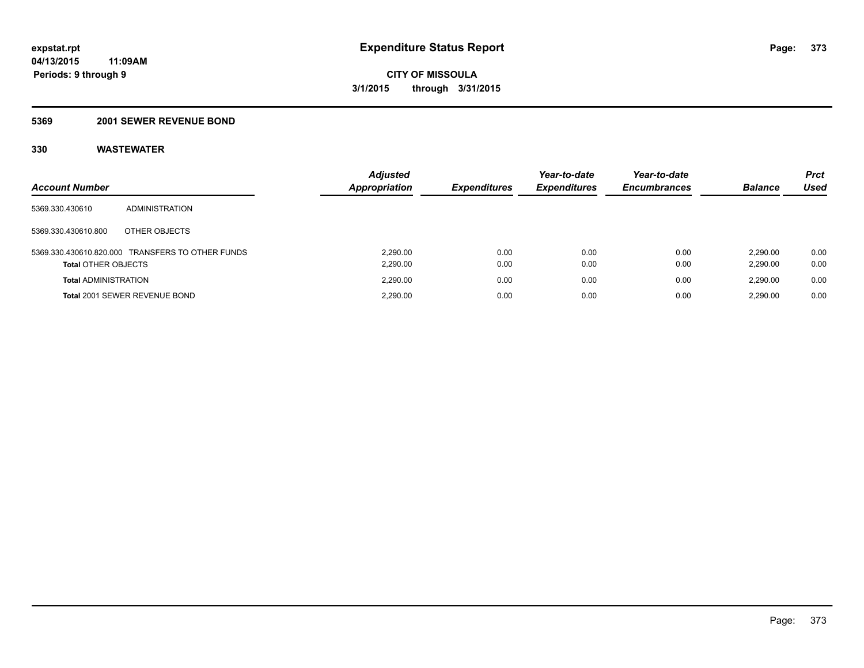#### **5369 2001 SEWER REVENUE BOND**

| <b>Account Number</b>       |                                                  | <b>Adjusted</b><br>Appropriation | <b>Expenditures</b> | Year-to-date<br><b>Expenditures</b> | Year-to-date<br><b>Encumbrances</b> | <b>Balance</b>       | <b>Prct</b><br>Used |
|-----------------------------|--------------------------------------------------|----------------------------------|---------------------|-------------------------------------|-------------------------------------|----------------------|---------------------|
| 5369.330.430610             | ADMINISTRATION                                   |                                  |                     |                                     |                                     |                      |                     |
| 5369.330.430610.800         | OTHER OBJECTS                                    |                                  |                     |                                     |                                     |                      |                     |
| <b>Total OTHER OBJECTS</b>  | 5369.330.430610.820.000 TRANSFERS TO OTHER FUNDS | 2.290.00<br>2,290.00             | 0.00<br>0.00        | 0.00<br>0.00                        | 0.00<br>0.00                        | 2.290.00<br>2,290.00 | 0.00<br>0.00        |
| <b>Total ADMINISTRATION</b> |                                                  | 2.290.00                         | 0.00                | 0.00                                | 0.00                                | 2.290.00             | 0.00                |
|                             | Total 2001 SEWER REVENUE BOND                    | 2.290.00                         | 0.00                | 0.00                                | 0.00                                | 2.290.00             | 0.00                |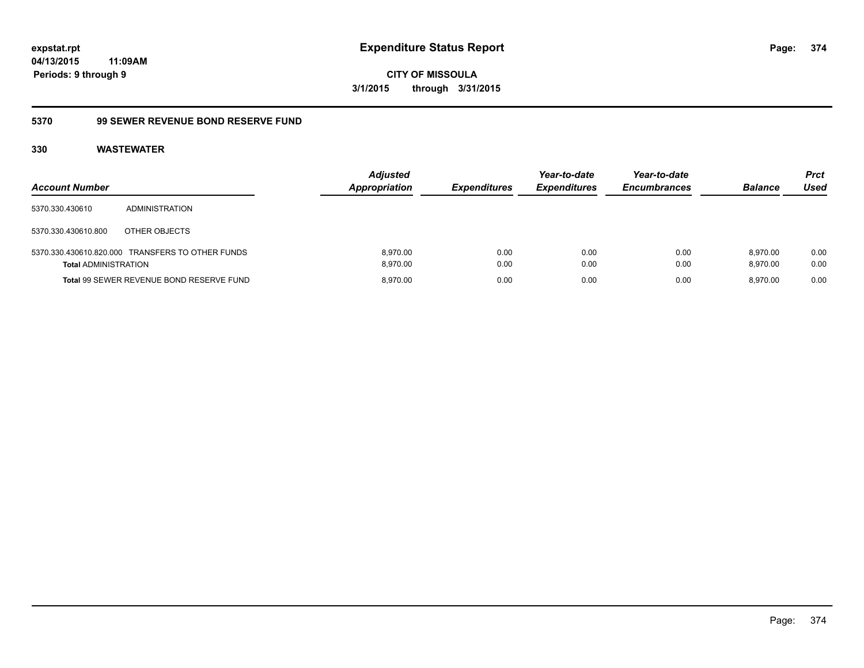**CITY OF MISSOULA 3/1/2015 through 3/31/2015**

## **5370 99 SEWER REVENUE BOND RESERVE FUND**

| <b>Account Number</b>       |                                                  | <b>Adjusted</b><br>Appropriation | <b>Expenditures</b> | Year-to-date<br><b>Expenditures</b> | Year-to-date<br><b>Encumbrances</b> | <b>Balance</b>       | <b>Prct</b><br>Used |
|-----------------------------|--------------------------------------------------|----------------------------------|---------------------|-------------------------------------|-------------------------------------|----------------------|---------------------|
| 5370.330.430610             | ADMINISTRATION                                   |                                  |                     |                                     |                                     |                      |                     |
| 5370.330.430610.800         | OTHER OBJECTS                                    |                                  |                     |                                     |                                     |                      |                     |
| <b>Total ADMINISTRATION</b> | 5370.330.430610.820.000 TRANSFERS TO OTHER FUNDS | 8.970.00<br>8.970.00             | 0.00<br>0.00        | 0.00<br>0.00                        | 0.00<br>0.00                        | 8.970.00<br>8.970.00 | 0.00<br>0.00        |
|                             | Total 99 SEWER REVENUE BOND RESERVE FUND         | 8.970.00                         | 0.00                | 0.00                                | 0.00                                | 8.970.00             | 0.00                |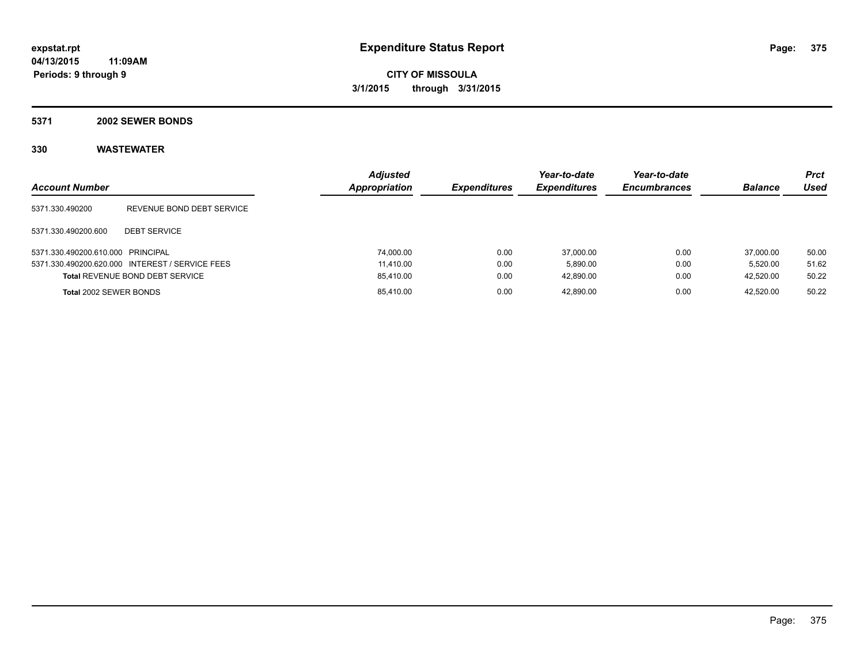#### **5371 2002 SEWER BONDS**

| <b>Account Number</b>             |                                                 | <b>Adjusted</b><br><b>Appropriation</b> | <b>Expenditures</b> | Year-to-date<br><b>Expenditures</b> | Year-to-date<br><b>Encumbrances</b> | <b>Balance</b> | <b>Prct</b><br>Used |
|-----------------------------------|-------------------------------------------------|-----------------------------------------|---------------------|-------------------------------------|-------------------------------------|----------------|---------------------|
| 5371.330.490200                   | REVENUE BOND DEBT SERVICE                       |                                         |                     |                                     |                                     |                |                     |
| 5371.330.490200.600               | <b>DEBT SERVICE</b>                             |                                         |                     |                                     |                                     |                |                     |
| 5371.330.490200.610.000 PRINCIPAL |                                                 | 74,000.00                               | 0.00                | 37.000.00                           | 0.00                                | 37,000.00      | 50.00               |
|                                   | 5371.330.490200.620.000 INTEREST / SERVICE FEES | 11.410.00                               | 0.00                | 5.890.00                            | 0.00                                | 5.520.00       | 51.62               |
|                                   | <b>Total REVENUE BOND DEBT SERVICE</b>          | 85,410.00                               | 0.00                | 42,890.00                           | 0.00                                | 42,520.00      | 50.22               |
| Total 2002 SEWER BONDS            |                                                 | 85,410.00                               | 0.00                | 42,890.00                           | 0.00                                | 42.520.00      | 50.22               |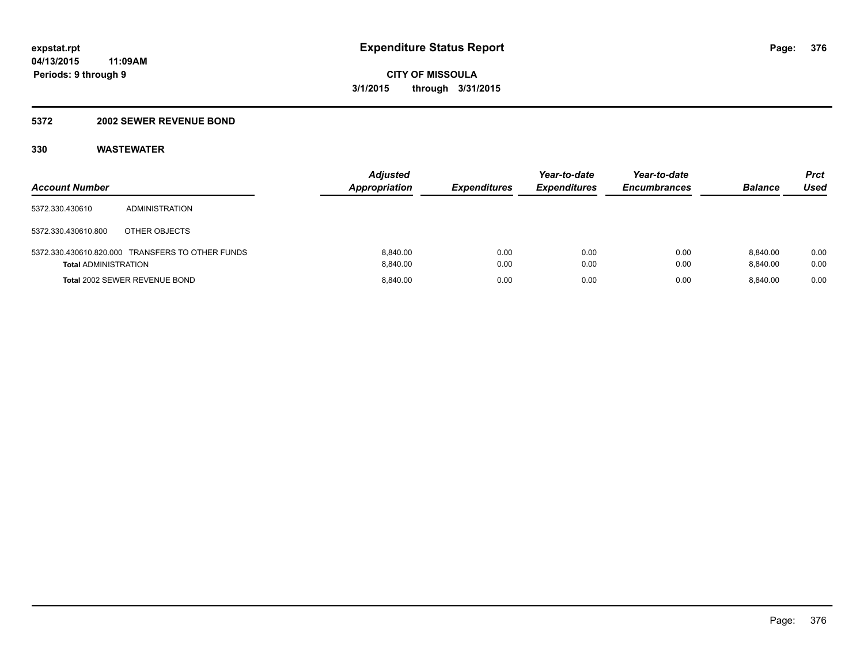#### **5372 2002 SEWER REVENUE BOND**

| <b>Account Number</b>       |                                                  | <b>Adjusted</b><br><b>Appropriation</b> | <b>Expenditures</b> | Year-to-date<br><b>Expenditures</b> | Year-to-date<br><b>Encumbrances</b> | <b>Balance</b>       | Prct<br>Used |
|-----------------------------|--------------------------------------------------|-----------------------------------------|---------------------|-------------------------------------|-------------------------------------|----------------------|--------------|
| 5372.330.430610             | ADMINISTRATION                                   |                                         |                     |                                     |                                     |                      |              |
| 5372.330.430610.800         | OTHER OBJECTS                                    |                                         |                     |                                     |                                     |                      |              |
| <b>Total ADMINISTRATION</b> | 5372.330.430610.820.000 TRANSFERS TO OTHER FUNDS | 8.840.00<br>8.840.00                    | 0.00<br>0.00        | 0.00<br>0.00                        | 0.00<br>0.00                        | 8.840.00<br>8.840.00 | 0.00<br>0.00 |
|                             | <b>Total 2002 SEWER REVENUE BOND</b>             | 8.840.00                                | 0.00                | 0.00                                | 0.00                                | 8.840.00             | 0.00         |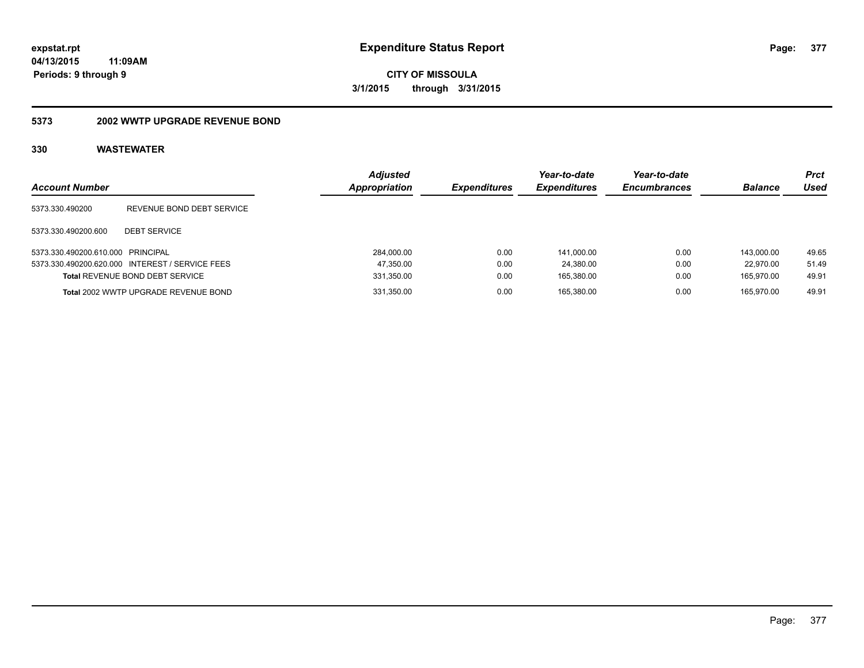**CITY OF MISSOULA 3/1/2015 through 3/31/2015**

#### **5373 2002 WWTP UPGRADE REVENUE BOND**

| <b>Account Number</b>             |                                                 | <b>Adjusted</b><br>Appropriation | <i><b>Expenditures</b></i> | Year-to-date<br><b>Expenditures</b> | Year-to-date<br><b>Encumbrances</b> | <b>Balance</b> | <b>Prct</b><br>Used |
|-----------------------------------|-------------------------------------------------|----------------------------------|----------------------------|-------------------------------------|-------------------------------------|----------------|---------------------|
| 5373.330.490200                   | REVENUE BOND DEBT SERVICE                       |                                  |                            |                                     |                                     |                |                     |
| 5373.330.490200.600               | <b>DEBT SERVICE</b>                             |                                  |                            |                                     |                                     |                |                     |
| 5373.330.490200.610.000 PRINCIPAL |                                                 | 284,000.00                       | 0.00                       | 141.000.00                          | 0.00                                | 143.000.00     | 49.65               |
|                                   | 5373.330.490200.620.000 INTEREST / SERVICE FEES | 47,350.00                        | 0.00                       | 24.380.00                           | 0.00                                | 22.970.00      | 51.49               |
|                                   | <b>Total REVENUE BOND DEBT SERVICE</b>          | 331,350.00                       | 0.00                       | 165,380.00                          | 0.00                                | 165.970.00     | 49.91               |
|                                   | Total 2002 WWTP UPGRADE REVENUE BOND            | 331,350.00                       | 0.00                       | 165.380.00                          | 0.00                                | 165.970.00     | 49.91               |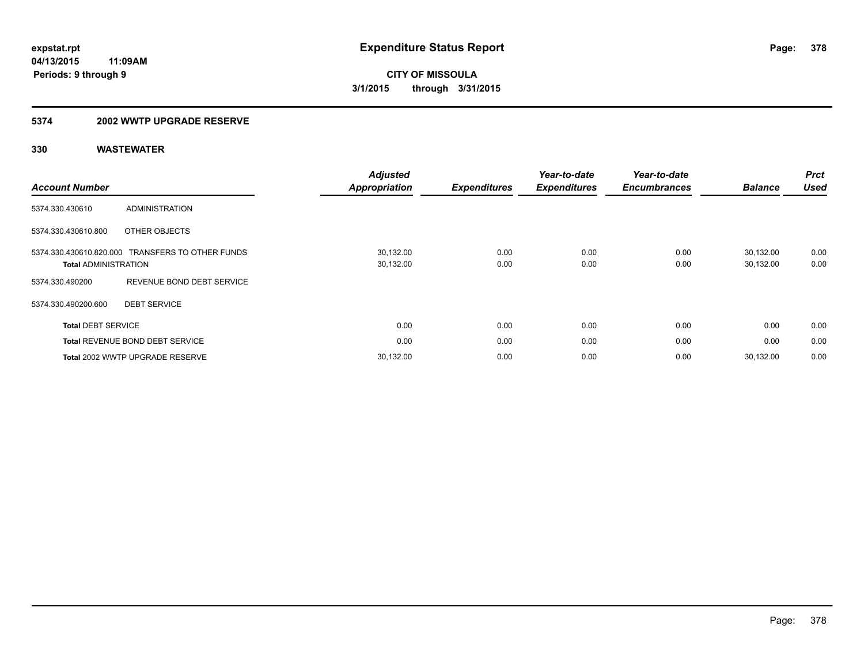#### **5374 2002 WWTP UPGRADE RESERVE**

| <b>Account Number</b>                                  |                                        | <b>Adjusted</b><br><b>Appropriation</b> | <b>Expenditures</b> | Year-to-date<br><b>Expenditures</b> | Year-to-date<br><b>Encumbrances</b> | <b>Balance</b>         | <b>Prct</b><br><b>Used</b> |
|--------------------------------------------------------|----------------------------------------|-----------------------------------------|---------------------|-------------------------------------|-------------------------------------|------------------------|----------------------------|
| 5374.330.430610                                        | <b>ADMINISTRATION</b>                  |                                         |                     |                                     |                                     |                        |                            |
| 5374.330.430610.800                                    | OTHER OBJECTS                          |                                         |                     |                                     |                                     |                        |                            |
| 5374.330.430610.820.000<br><b>Total ADMINISTRATION</b> | <b>TRANSFERS TO OTHER FUNDS</b>        | 30,132.00<br>30,132.00                  | 0.00<br>0.00        | 0.00<br>0.00                        | 0.00<br>0.00                        | 30,132.00<br>30,132.00 | 0.00<br>0.00               |
| 5374.330.490200                                        | REVENUE BOND DEBT SERVICE              |                                         |                     |                                     |                                     |                        |                            |
| 5374.330.490200.600                                    | <b>DEBT SERVICE</b>                    |                                         |                     |                                     |                                     |                        |                            |
| <b>Total DEBT SERVICE</b>                              |                                        | 0.00                                    | 0.00                | 0.00                                | 0.00                                | 0.00                   | 0.00                       |
|                                                        | <b>Total REVENUE BOND DEBT SERVICE</b> | 0.00                                    | 0.00                | 0.00                                | 0.00                                | 0.00                   | 0.00                       |
|                                                        | Total 2002 WWTP UPGRADE RESERVE        | 30,132.00                               | 0.00                | 0.00                                | 0.00                                | 30.132.00              | 0.00                       |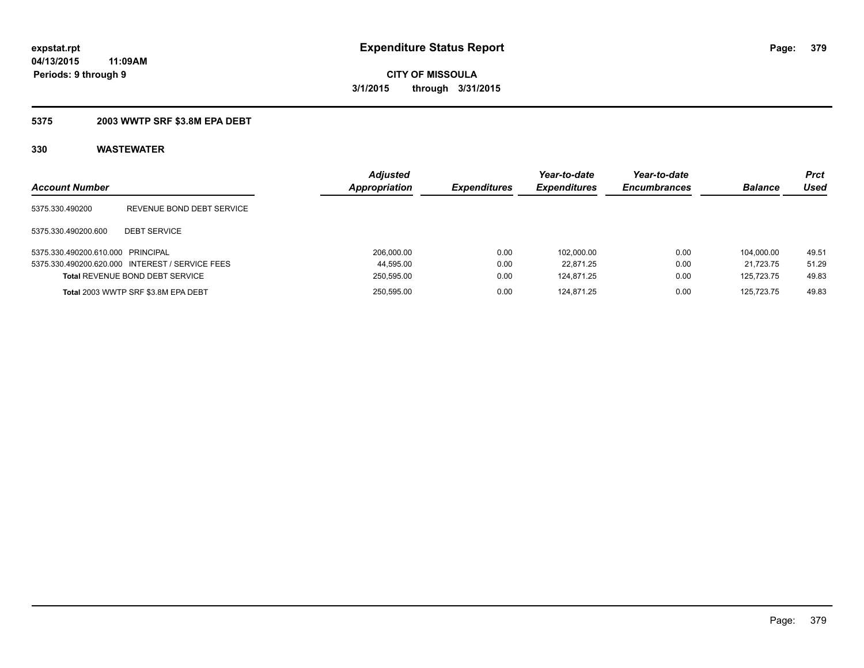## **5375 2003 WWTP SRF \$3.8M EPA DEBT**

| <b>Account Number</b>             |                                                 | <b>Adjusted</b><br><b>Appropriation</b> | <b>Expenditures</b> | Year-to-date<br><b>Expenditures</b> | Year-to-date<br><b>Encumbrances</b> | <b>Balance</b> | Prct<br>Used |
|-----------------------------------|-------------------------------------------------|-----------------------------------------|---------------------|-------------------------------------|-------------------------------------|----------------|--------------|
| 5375.330.490200                   | REVENUE BOND DEBT SERVICE                       |                                         |                     |                                     |                                     |                |              |
| 5375.330.490200.600               | <b>DEBT SERVICE</b>                             |                                         |                     |                                     |                                     |                |              |
| 5375.330.490200.610.000 PRINCIPAL |                                                 | 206.000.00                              | 0.00                | 102.000.00                          | 0.00                                | 104.000.00     | 49.51        |
|                                   | 5375.330.490200.620.000 INTEREST / SERVICE FEES | 44,595.00                               | 0.00                | 22.871.25                           | 0.00                                | 21.723.75      | 51.29        |
|                                   | Total REVENUE BOND DEBT SERVICE                 | 250,595.00                              | 0.00                | 124.871.25                          | 0.00                                | 125.723.75     | 49.83        |
|                                   | Total 2003 WWTP SRF \$3.8M EPA DEBT             | 250,595.00                              | 0.00                | 124.871.25                          | 0.00                                | 125.723.75     | 49.83        |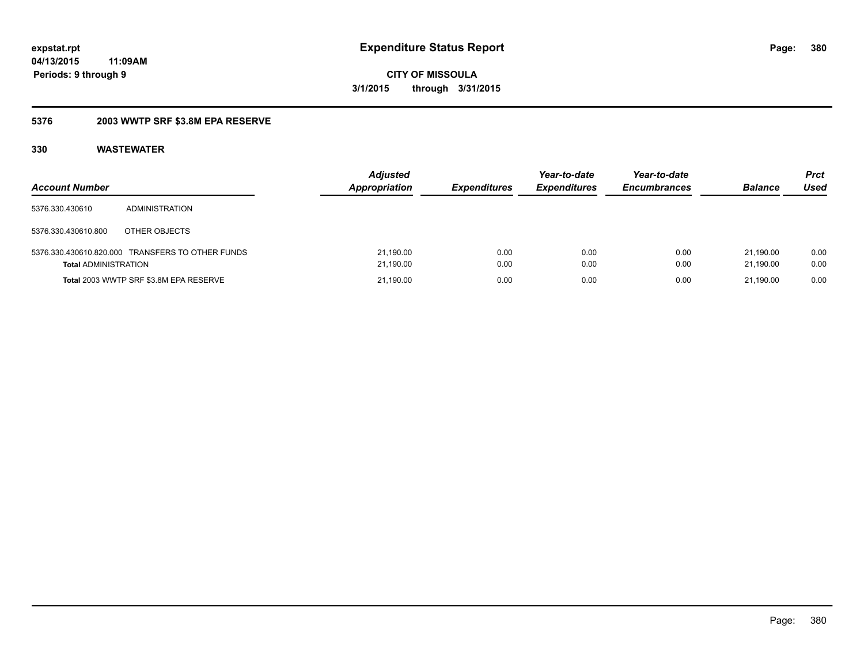**CITY OF MISSOULA 3/1/2015 through 3/31/2015**

## **5376 2003 WWTP SRF \$3.8M EPA RESERVE**

| <b>Account Number</b>       |                                                  | <b>Adjusted</b><br><b>Appropriation</b> | <i><b>Expenditures</b></i> | Year-to-date<br><b>Expenditures</b> | Year-to-date<br><b>Encumbrances</b> | <b>Balance</b>         | <b>Prct</b><br>Used |
|-----------------------------|--------------------------------------------------|-----------------------------------------|----------------------------|-------------------------------------|-------------------------------------|------------------------|---------------------|
| 5376.330.430610             | <b>ADMINISTRATION</b>                            |                                         |                            |                                     |                                     |                        |                     |
| 5376.330.430610.800         | OTHER OBJECTS                                    |                                         |                            |                                     |                                     |                        |                     |
| <b>Total ADMINISTRATION</b> | 5376.330.430610.820.000 TRANSFERS TO OTHER FUNDS | 21,190.00<br>21,190.00                  | 0.00<br>0.00               | 0.00<br>0.00                        | 0.00<br>0.00                        | 21.190.00<br>21.190.00 | 0.00<br>0.00        |
|                             | Total 2003 WWTP SRF \$3.8M EPA RESERVE           | 21,190.00                               | 0.00                       | 0.00                                | 0.00                                | 21.190.00              | 0.00                |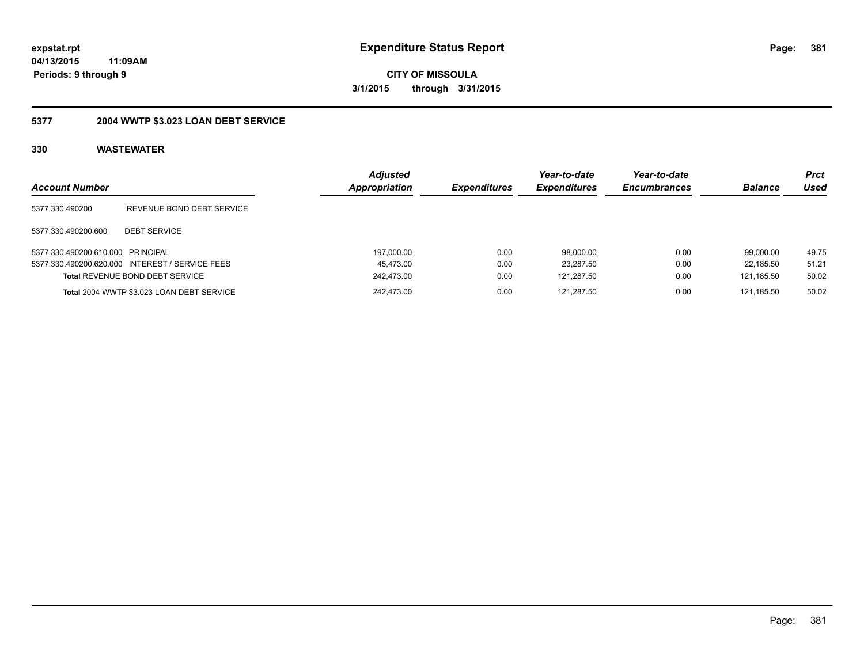**CITY OF MISSOULA 3/1/2015 through 3/31/2015**

# **5377 2004 WWTP \$3.023 LOAN DEBT SERVICE**

| <b>Account Number</b>             |                                                 | <b>Adjusted</b><br><b>Appropriation</b> | <b>Expenditures</b> | Year-to-date<br><b>Expenditures</b> | Year-to-date<br><b>Encumbrances</b> | <b>Balance</b> | <b>Prct</b><br>Used |
|-----------------------------------|-------------------------------------------------|-----------------------------------------|---------------------|-------------------------------------|-------------------------------------|----------------|---------------------|
| 5377.330.490200                   | REVENUE BOND DEBT SERVICE                       |                                         |                     |                                     |                                     |                |                     |
| 5377.330.490200.600               | <b>DEBT SERVICE</b>                             |                                         |                     |                                     |                                     |                |                     |
| 5377.330.490200.610.000 PRINCIPAL |                                                 | 197,000.00                              | 0.00                | 98.000.00                           | 0.00                                | 99.000.00      | 49.75               |
|                                   | 5377.330.490200.620.000 INTEREST / SERVICE FEES | 45.473.00                               | 0.00                | 23.287.50                           | 0.00                                | 22.185.50      | 51.21               |
|                                   | <b>Total REVENUE BOND DEBT SERVICE</b>          | 242.473.00                              | 0.00                | 121,287.50                          | 0.00                                | 121.185.50     | 50.02               |
|                                   | Total 2004 WWTP \$3.023 LOAN DEBT SERVICE       | 242.473.00                              | 0.00                | 121.287.50                          | 0.00                                | 121.185.50     | 50.02               |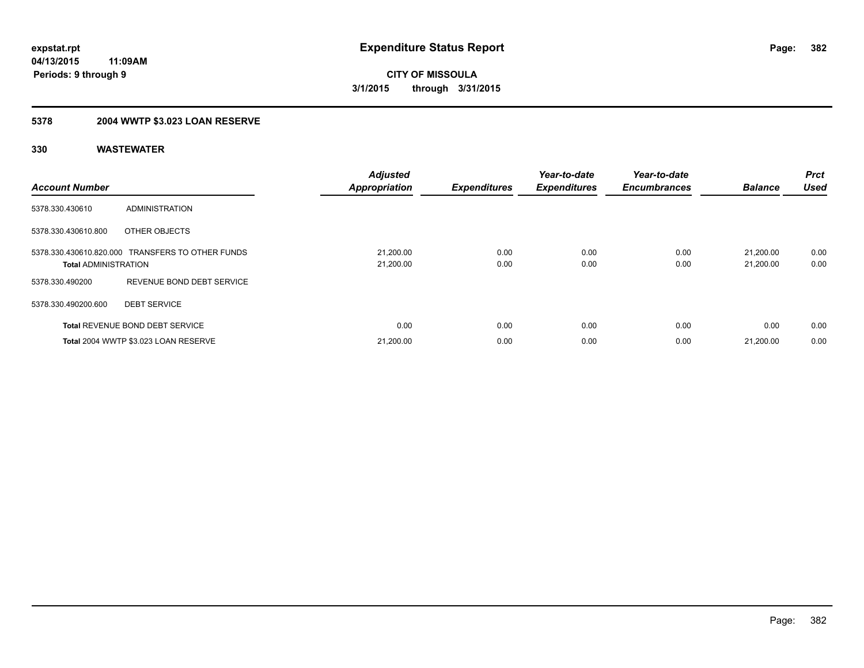# **5378 2004 WWTP \$3.023 LOAN RESERVE**

| <b>Account Number</b>       |                                                  | <b>Adjusted</b><br><b>Appropriation</b> | <b>Expenditures</b> | Year-to-date<br><b>Expenditures</b> | Year-to-date<br><b>Encumbrances</b> | <b>Balance</b>         | <b>Prct</b><br><b>Used</b> |
|-----------------------------|--------------------------------------------------|-----------------------------------------|---------------------|-------------------------------------|-------------------------------------|------------------------|----------------------------|
| 5378.330.430610             | ADMINISTRATION                                   |                                         |                     |                                     |                                     |                        |                            |
| 5378.330.430610.800         | OTHER OBJECTS                                    |                                         |                     |                                     |                                     |                        |                            |
| <b>Total ADMINISTRATION</b> | 5378.330.430610.820.000 TRANSFERS TO OTHER FUNDS | 21,200.00<br>21,200.00                  | 0.00<br>0.00        | 0.00<br>0.00                        | 0.00<br>0.00                        | 21.200.00<br>21,200.00 | 0.00<br>0.00               |
| 5378.330.490200             | REVENUE BOND DEBT SERVICE                        |                                         |                     |                                     |                                     |                        |                            |
| 5378.330.490200.600         | <b>DEBT SERVICE</b>                              |                                         |                     |                                     |                                     |                        |                            |
|                             | <b>Total REVENUE BOND DEBT SERVICE</b>           | 0.00                                    | 0.00                | 0.00                                | 0.00                                | 0.00                   | 0.00                       |
|                             | Total 2004 WWTP \$3.023 LOAN RESERVE             | 21,200.00                               | 0.00                | 0.00                                | 0.00                                | 21.200.00              | 0.00                       |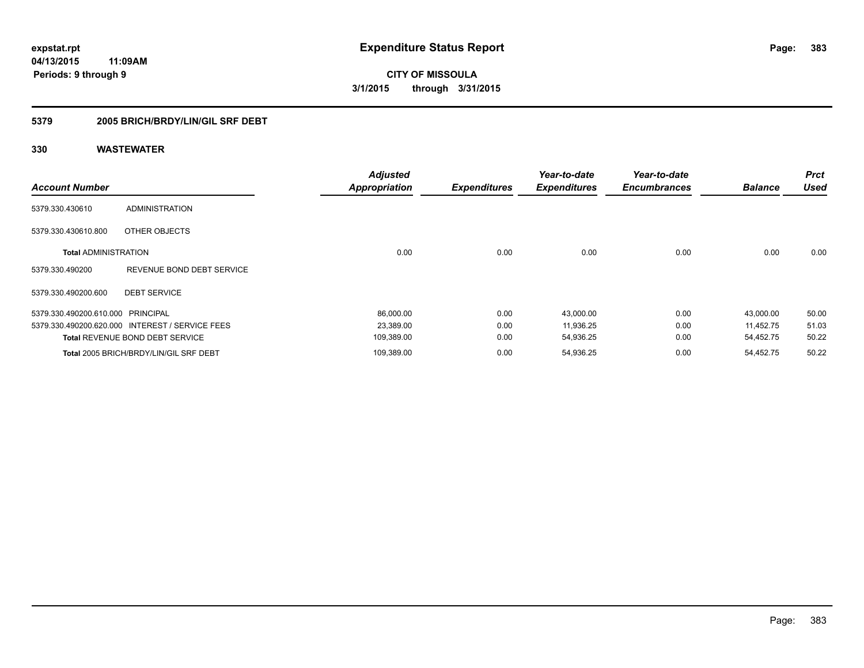**CITY OF MISSOULA 3/1/2015 through 3/31/2015**

## **5379 2005 BRICH/BRDY/LIN/GIL SRF DEBT**

| <b>Account Number</b>             |                                                 | <b>Adjusted</b><br><b>Appropriation</b> | <b>Expenditures</b> | Year-to-date<br><b>Expenditures</b> | Year-to-date<br><b>Encumbrances</b> | <b>Balance</b> | <b>Prct</b><br><b>Used</b> |
|-----------------------------------|-------------------------------------------------|-----------------------------------------|---------------------|-------------------------------------|-------------------------------------|----------------|----------------------------|
| 5379.330.430610                   | <b>ADMINISTRATION</b>                           |                                         |                     |                                     |                                     |                |                            |
| 5379.330.430610.800               | OTHER OBJECTS                                   |                                         |                     |                                     |                                     |                |                            |
| <b>Total ADMINISTRATION</b>       |                                                 | 0.00                                    | 0.00                | 0.00                                | 0.00                                | 0.00           | 0.00                       |
| 5379.330.490200                   | REVENUE BOND DEBT SERVICE                       |                                         |                     |                                     |                                     |                |                            |
| 5379.330.490200.600               | <b>DEBT SERVICE</b>                             |                                         |                     |                                     |                                     |                |                            |
| 5379.330.490200.610.000 PRINCIPAL |                                                 | 86,000.00                               | 0.00                | 43,000.00                           | 0.00                                | 43,000.00      | 50.00                      |
|                                   | 5379.330.490200.620.000 INTEREST / SERVICE FEES | 23,389.00                               | 0.00                | 11,936.25                           | 0.00                                | 11,452.75      | 51.03                      |
|                                   | <b>Total REVENUE BOND DEBT SERVICE</b>          | 109,389.00                              | 0.00                | 54,936.25                           | 0.00                                | 54,452.75      | 50.22                      |
|                                   | Total 2005 BRICH/BRDY/LIN/GIL SRF DEBT          | 109,389.00                              | 0.00                | 54,936.25                           | 0.00                                | 54,452.75      | 50.22                      |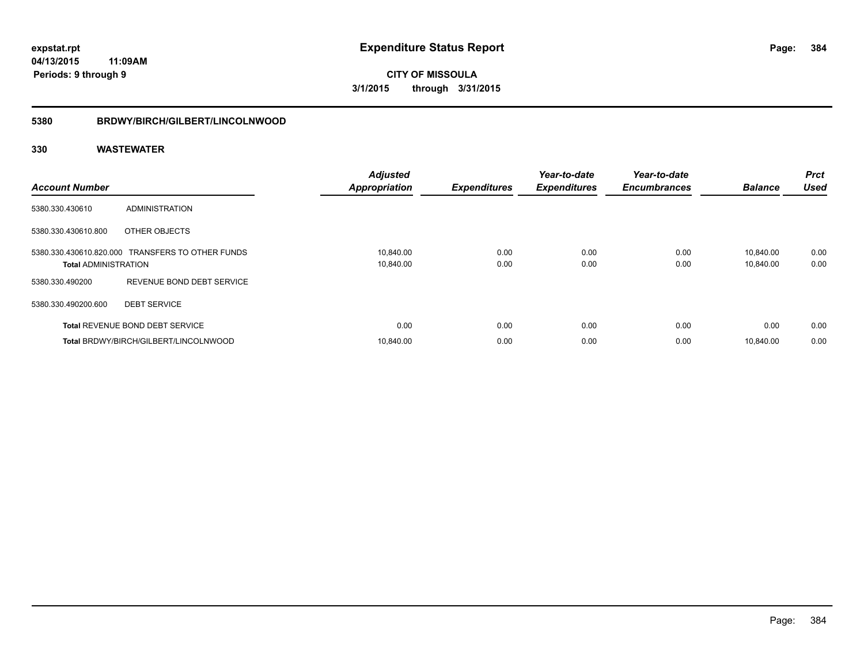**CITY OF MISSOULA 3/1/2015 through 3/31/2015**

#### **5380 BRDWY/BIRCH/GILBERT/LINCOLNWOOD**

| <b>Account Number</b>       |                                                  | <b>Adjusted</b><br><b>Appropriation</b> | <b>Expenditures</b> | Year-to-date<br><b>Expenditures</b> | Year-to-date<br><b>Encumbrances</b> | <b>Balance</b>         | <b>Prct</b><br><b>Used</b> |
|-----------------------------|--------------------------------------------------|-----------------------------------------|---------------------|-------------------------------------|-------------------------------------|------------------------|----------------------------|
| 5380.330.430610             | ADMINISTRATION                                   |                                         |                     |                                     |                                     |                        |                            |
| 5380.330.430610.800         | OTHER OBJECTS                                    |                                         |                     |                                     |                                     |                        |                            |
| <b>Total ADMINISTRATION</b> | 5380.330.430610.820.000 TRANSFERS TO OTHER FUNDS | 10,840.00<br>10,840.00                  | 0.00<br>0.00        | 0.00<br>0.00                        | 0.00<br>0.00                        | 10,840.00<br>10,840.00 | 0.00<br>0.00               |
| 5380.330.490200             | REVENUE BOND DEBT SERVICE                        |                                         |                     |                                     |                                     |                        |                            |
| 5380.330.490200.600         | <b>DEBT SERVICE</b>                              |                                         |                     |                                     |                                     |                        |                            |
|                             | <b>Total REVENUE BOND DEBT SERVICE</b>           | 0.00                                    | 0.00                | 0.00                                | 0.00                                | 0.00                   | 0.00                       |
|                             | Total BRDWY/BIRCH/GILBERT/LINCOLNWOOD            | 10.840.00                               | 0.00                | 0.00                                | 0.00                                | 10.840.00              | 0.00                       |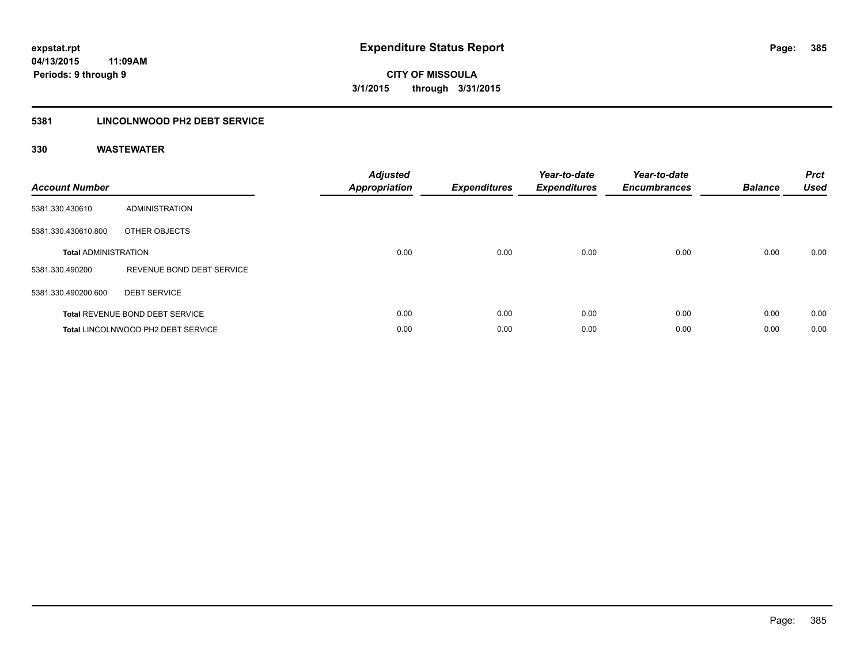## **5381 LINCOLNWOOD PH2 DEBT SERVICE**

| <b>Account Number</b>       |                                        | <b>Adjusted</b><br>Appropriation | <b>Expenditures</b> | Year-to-date<br><b>Expenditures</b> | Year-to-date<br><b>Encumbrances</b> | <b>Balance</b> | <b>Prct</b><br><b>Used</b> |
|-----------------------------|----------------------------------------|----------------------------------|---------------------|-------------------------------------|-------------------------------------|----------------|----------------------------|
| 5381.330.430610             | ADMINISTRATION                         |                                  |                     |                                     |                                     |                |                            |
| 5381.330.430610.800         | OTHER OBJECTS                          |                                  |                     |                                     |                                     |                |                            |
| <b>Total ADMINISTRATION</b> |                                        | 0.00                             | 0.00                | 0.00                                | 0.00                                | 0.00           | 0.00                       |
| 5381.330.490200             | REVENUE BOND DEBT SERVICE              |                                  |                     |                                     |                                     |                |                            |
| 5381.330.490200.600         | <b>DEBT SERVICE</b>                    |                                  |                     |                                     |                                     |                |                            |
|                             | <b>Total REVENUE BOND DEBT SERVICE</b> | 0.00                             | 0.00                | 0.00                                | 0.00                                | 0.00           | 0.00                       |
|                             | Total LINCOLNWOOD PH2 DEBT SERVICE     | 0.00                             | 0.00                | 0.00                                | 0.00                                | 0.00           | 0.00                       |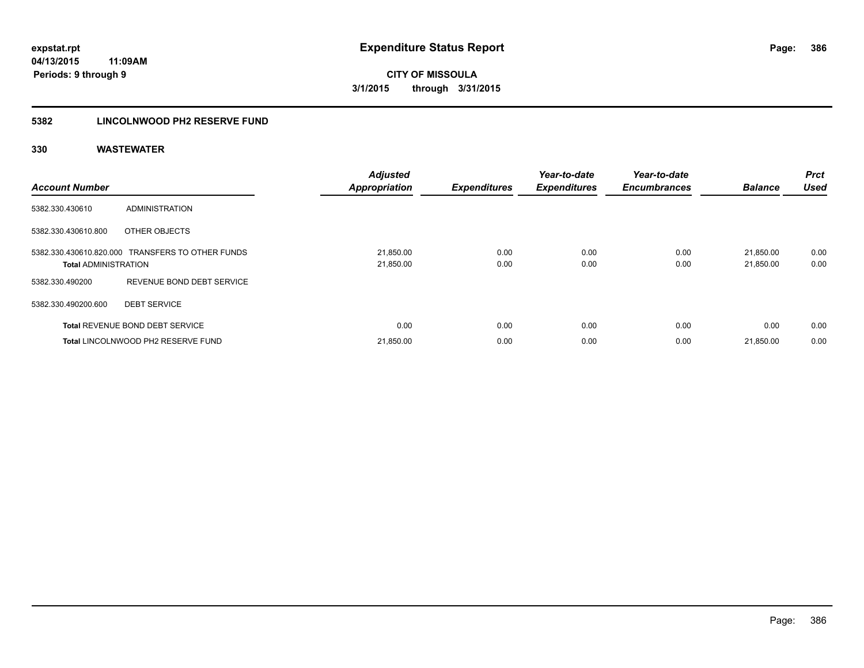## **5382 LINCOLNWOOD PH2 RESERVE FUND**

| <b>Account Number</b>       |                                                  | <b>Adjusted</b><br><b>Appropriation</b> | <b>Expenditures</b> | Year-to-date<br><b>Expenditures</b> | Year-to-date<br><b>Encumbrances</b> | <b>Balance</b>         | Prct<br><b>Used</b> |
|-----------------------------|--------------------------------------------------|-----------------------------------------|---------------------|-------------------------------------|-------------------------------------|------------------------|---------------------|
| 5382.330.430610             | <b>ADMINISTRATION</b>                            |                                         |                     |                                     |                                     |                        |                     |
| 5382.330.430610.800         | OTHER OBJECTS                                    |                                         |                     |                                     |                                     |                        |                     |
| <b>Total ADMINISTRATION</b> | 5382.330.430610.820.000 TRANSFERS TO OTHER FUNDS | 21,850.00<br>21,850.00                  | 0.00<br>0.00        | 0.00<br>0.00                        | 0.00<br>0.00                        | 21,850.00<br>21,850.00 | 0.00<br>0.00        |
| 5382.330.490200             | REVENUE BOND DEBT SERVICE                        |                                         |                     |                                     |                                     |                        |                     |
| 5382.330.490200.600         | <b>DEBT SERVICE</b>                              |                                         |                     |                                     |                                     |                        |                     |
|                             | <b>Total REVENUE BOND DEBT SERVICE</b>           | 0.00                                    | 0.00                | 0.00                                | 0.00                                | 0.00                   | 0.00                |
|                             | Total LINCOLNWOOD PH2 RESERVE FUND               | 21,850.00                               | 0.00                | 0.00                                | 0.00                                | 21,850.00              | 0.00                |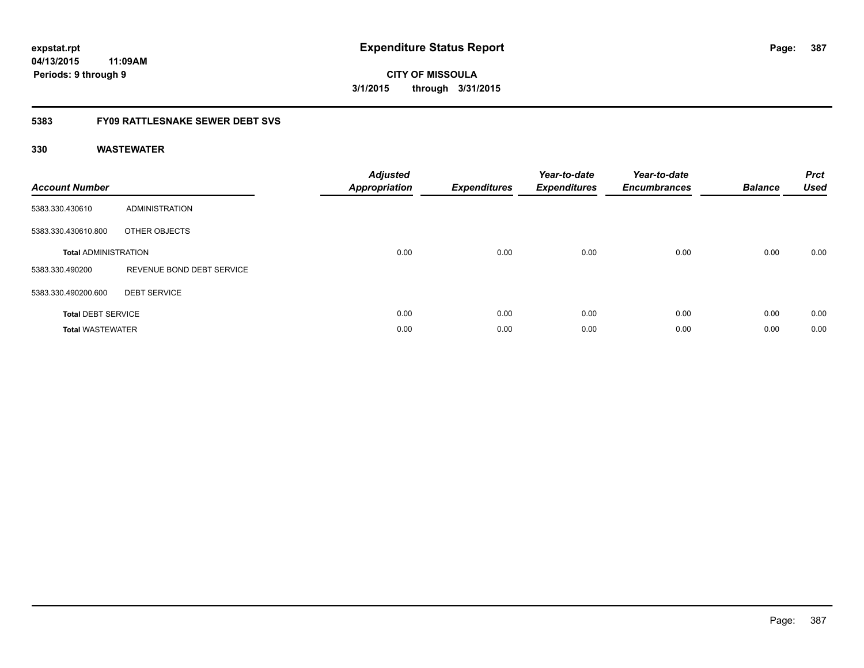**CITY OF MISSOULA 3/1/2015 through 3/31/2015**

## **5383 FY09 RATTLESNAKE SEWER DEBT SVS**

| <b>Account Number</b>       |                           | <b>Adjusted</b><br>Appropriation | <b>Expenditures</b> | Year-to-date<br><b>Expenditures</b> | Year-to-date<br><b>Encumbrances</b> | <b>Balance</b> | <b>Prct</b><br><b>Used</b> |
|-----------------------------|---------------------------|----------------------------------|---------------------|-------------------------------------|-------------------------------------|----------------|----------------------------|
| 5383.330.430610             | ADMINISTRATION            |                                  |                     |                                     |                                     |                |                            |
| 5383.330.430610.800         | OTHER OBJECTS             |                                  |                     |                                     |                                     |                |                            |
| <b>Total ADMINISTRATION</b> |                           | 0.00                             | 0.00                | 0.00                                | 0.00                                | 0.00           | 0.00                       |
| 5383.330.490200             | REVENUE BOND DEBT SERVICE |                                  |                     |                                     |                                     |                |                            |
| 5383.330.490200.600         | <b>DEBT SERVICE</b>       |                                  |                     |                                     |                                     |                |                            |
| <b>Total DEBT SERVICE</b>   |                           | 0.00                             | 0.00                | 0.00                                | 0.00                                | 0.00           | 0.00                       |
| <b>Total WASTEWATER</b>     |                           | 0.00                             | 0.00                | 0.00                                | 0.00                                | 0.00           | 0.00                       |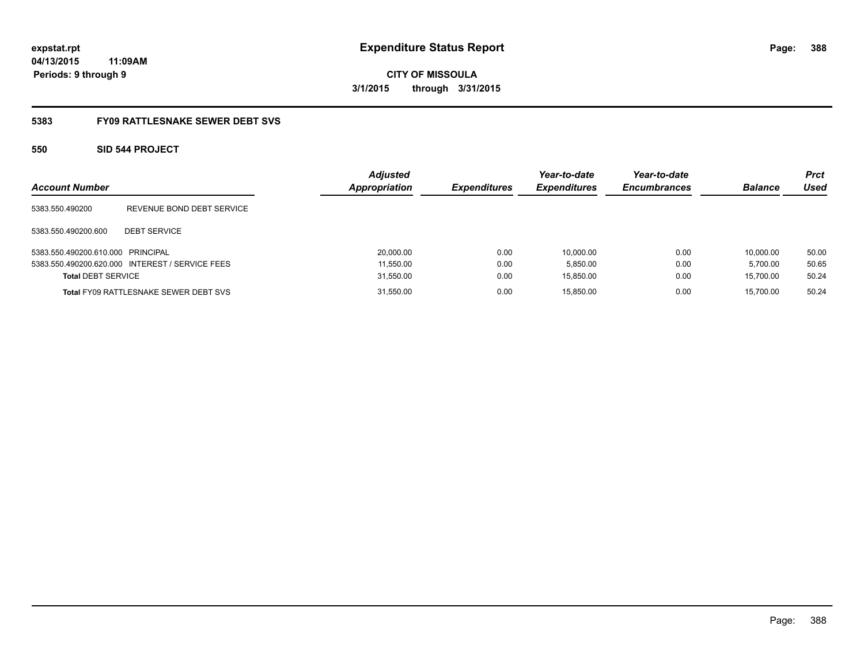# **CITY OF MISSOULA 3/1/2015 through 3/31/2015**

## **5383 FY09 RATTLESNAKE SEWER DEBT SVS**

## **550 SID 544 PROJECT**

| <b>Account Number</b>             |                                                 | <b>Adjusted</b><br><b>Appropriation</b> | <b>Expenditures</b> | Year-to-date<br><b>Expenditures</b> | Year-to-date<br><b>Encumbrances</b> | <b>Balance</b> | <b>Prct</b><br>Used |
|-----------------------------------|-------------------------------------------------|-----------------------------------------|---------------------|-------------------------------------|-------------------------------------|----------------|---------------------|
| 5383.550.490200                   | REVENUE BOND DEBT SERVICE                       |                                         |                     |                                     |                                     |                |                     |
| 5383.550.490200.600               | <b>DEBT SERVICE</b>                             |                                         |                     |                                     |                                     |                |                     |
| 5383.550.490200.610.000 PRINCIPAL |                                                 | 20,000.00                               | 0.00                | 10.000.00                           | 0.00                                | 10.000.00      | 50.00               |
|                                   | 5383.550.490200.620.000 INTEREST / SERVICE FEES | 11,550.00                               | 0.00                | 5,850.00                            | 0.00                                | 5.700.00       | 50.65               |
| <b>Total DEBT SERVICE</b>         |                                                 | 31,550.00                               | 0.00                | 15,850.00                           | 0.00                                | 15.700.00      | 50.24               |
|                                   | <b>Total FY09 RATTLESNAKE SEWER DEBT SVS</b>    | 31,550.00                               | 0.00                | 15.850.00                           | 0.00                                | 15.700.00      | 50.24               |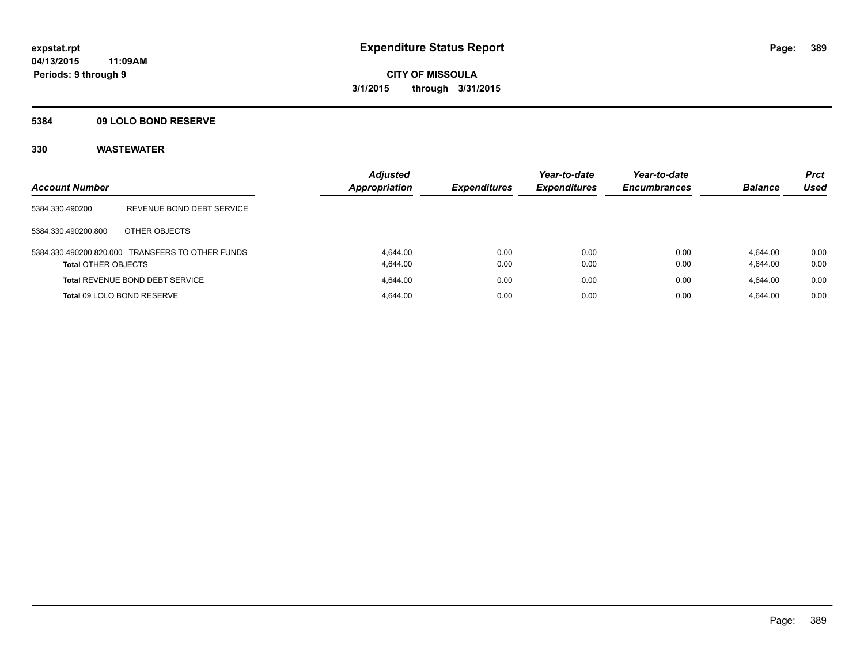## **5384 09 LOLO BOND RESERVE**

| <b>Account Number</b>      |                                                  | <b>Adjusted</b><br><b>Appropriation</b> | <b>Expenditures</b> | Year-to-date<br><b>Expenditures</b> | Year-to-date<br><b>Encumbrances</b> | <b>Balance</b>       | <b>Prct</b><br><b>Used</b> |
|----------------------------|--------------------------------------------------|-----------------------------------------|---------------------|-------------------------------------|-------------------------------------|----------------------|----------------------------|
| 5384.330.490200            | REVENUE BOND DEBT SERVICE                        |                                         |                     |                                     |                                     |                      |                            |
| 5384.330.490200.800        | OTHER OBJECTS                                    |                                         |                     |                                     |                                     |                      |                            |
| <b>Total OTHER OBJECTS</b> | 5384.330.490200.820.000 TRANSFERS TO OTHER FUNDS | 4.644.00<br>4.644.00                    | 0.00<br>0.00        | 0.00<br>0.00                        | 0.00<br>0.00                        | 4.644.00<br>4,644.00 | 0.00<br>0.00               |
|                            | <b>Total REVENUE BOND DEBT SERVICE</b>           | 4.644.00                                | 0.00                | 0.00                                | 0.00                                | 4.644.00             | 0.00                       |
|                            | Total 09 LOLO BOND RESERVE                       | 4.644.00                                | 0.00                | 0.00                                | 0.00                                | 4.644.00             | 0.00                       |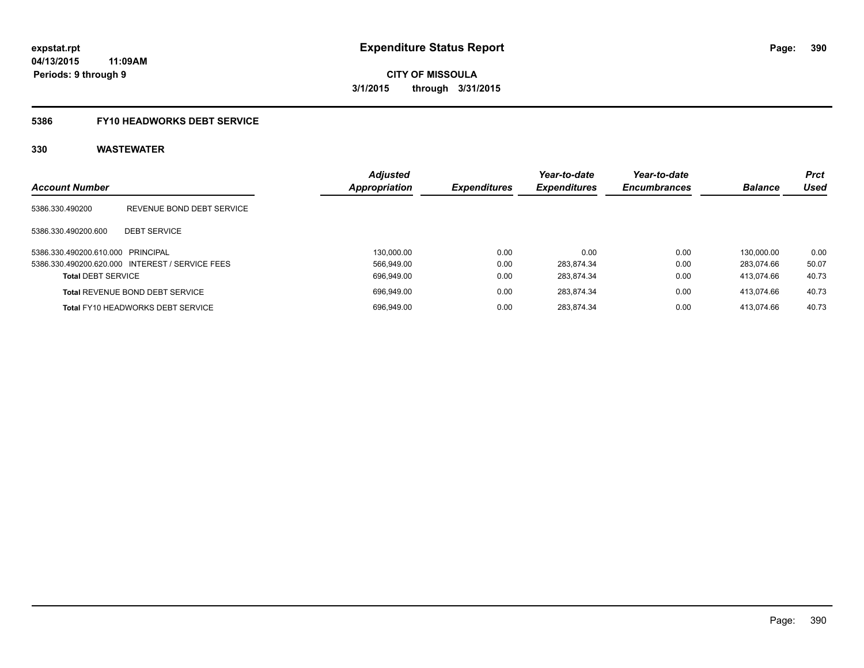# **5386 FY10 HEADWORKS DEBT SERVICE**

|                                   |                                                 | <b>Adjusted</b> |                     | Year-to-date        | Year-to-date        |                | <b>Prct</b> |
|-----------------------------------|-------------------------------------------------|-----------------|---------------------|---------------------|---------------------|----------------|-------------|
| <b>Account Number</b>             |                                                 | Appropriation   | <b>Expenditures</b> | <b>Expenditures</b> | <b>Encumbrances</b> | <b>Balance</b> | Used        |
| 5386.330.490200                   | REVENUE BOND DEBT SERVICE                       |                 |                     |                     |                     |                |             |
| 5386.330.490200.600               | <b>DEBT SERVICE</b>                             |                 |                     |                     |                     |                |             |
| 5386.330.490200.610.000 PRINCIPAL |                                                 | 130.000.00      | 0.00                | 0.00                | 0.00                | 130.000.00     | 0.00        |
|                                   | 5386.330.490200.620.000 INTEREST / SERVICE FEES | 566.949.00      | 0.00                | 283.874.34          | 0.00                | 283.074.66     | 50.07       |
| <b>Total DEBT SERVICE</b>         |                                                 | 696,949.00      | 0.00                | 283.874.34          | 0.00                | 413.074.66     | 40.73       |
|                                   | <b>Total REVENUE BOND DEBT SERVICE</b>          | 696.949.00      | 0.00                | 283.874.34          | 0.00                | 413.074.66     | 40.73       |
|                                   | <b>Total FY10 HEADWORKS DEBT SERVICE</b>        | 696.949.00      | 0.00                | 283.874.34          | 0.00                | 413.074.66     | 40.73       |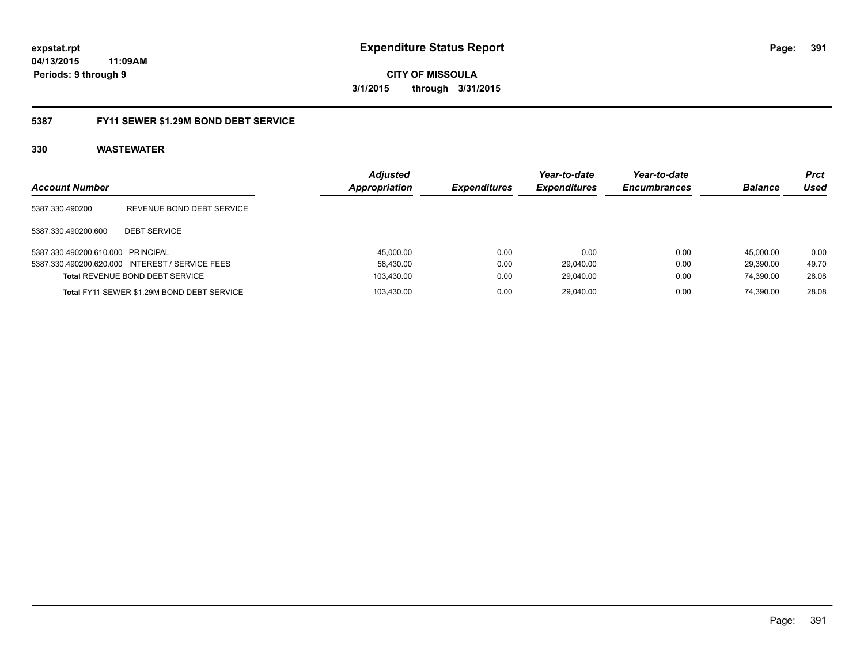**CITY OF MISSOULA 3/1/2015 through 3/31/2015**

## **5387 FY11 SEWER \$1.29M BOND DEBT SERVICE**

| <b>Account Number</b>             |                                                 | <b>Adjusted</b><br>Appropriation | <b>Expenditures</b> | Year-to-date<br><b>Expenditures</b> | Year-to-date<br><b>Encumbrances</b> | <b>Balance</b> | <b>Prct</b><br>Used |
|-----------------------------------|-------------------------------------------------|----------------------------------|---------------------|-------------------------------------|-------------------------------------|----------------|---------------------|
| 5387.330.490200                   | REVENUE BOND DEBT SERVICE                       |                                  |                     |                                     |                                     |                |                     |
| 5387.330.490200.600               | <b>DEBT SERVICE</b>                             |                                  |                     |                                     |                                     |                |                     |
| 5387.330.490200.610.000 PRINCIPAL |                                                 | 45,000.00                        | 0.00                | 0.00                                | 0.00                                | 45.000.00      | 0.00                |
|                                   | 5387.330.490200.620.000 INTEREST / SERVICE FEES | 58.430.00                        | 0.00                | 29.040.00                           | 0.00                                | 29.390.00      | 49.70               |
|                                   | <b>Total REVENUE BOND DEBT SERVICE</b>          | 103,430.00                       | 0.00                | 29,040.00                           | 0.00                                | 74.390.00      | 28.08               |
|                                   | Total FY11 SEWER \$1.29M BOND DEBT SERVICE      | 103.430.00                       | 0.00                | 29.040.00                           | 0.00                                | 74.390.00      | 28.08               |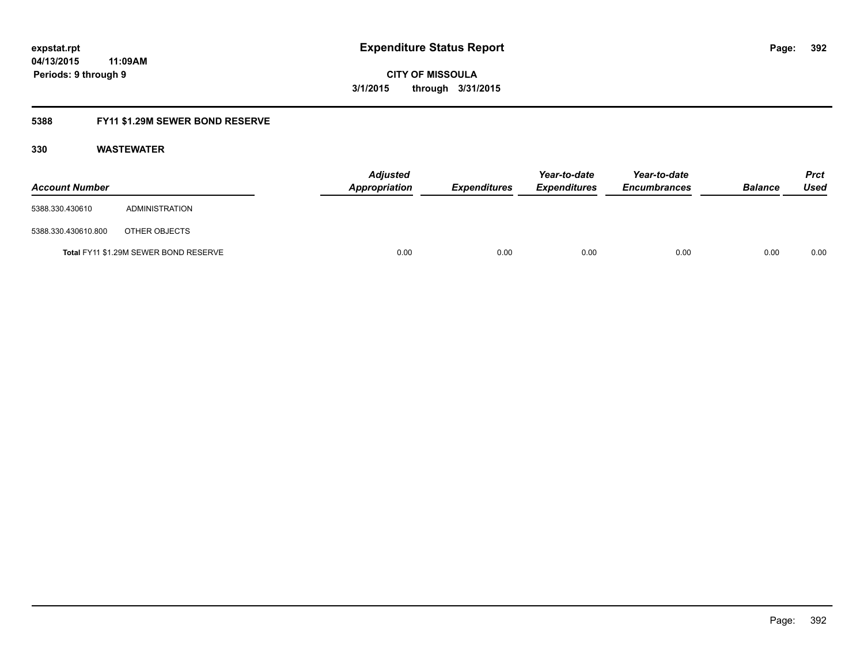**CITY OF MISSOULA 3/1/2015 through 3/31/2015**

## **5388 FY11 \$1.29M SEWER BOND RESERVE**

| <b>Account Number</b> |                                       | <b>Adjusted</b><br>Appropriation | Expenditures | Year-to-date<br><b>Expenditures</b> | Year-to-date<br><b>Encumbrances</b> | <b>Balance</b> | <b>Prct</b><br>Used |
|-----------------------|---------------------------------------|----------------------------------|--------------|-------------------------------------|-------------------------------------|----------------|---------------------|
| 5388.330.430610       | ADMINISTRATION                        |                                  |              |                                     |                                     |                |                     |
| 5388.330.430610.800   | OTHER OBJECTS                         |                                  |              |                                     |                                     |                |                     |
|                       | Total FY11 \$1.29M SEWER BOND RESERVE | 0.00                             | 0.00         | 0.00                                | 0.00                                | 0.00           | 0.00                |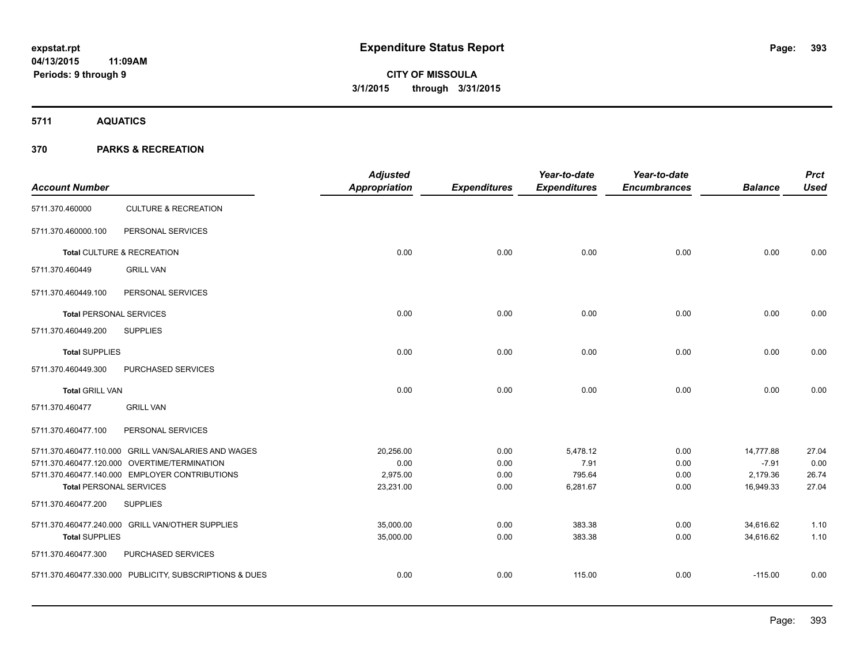**5711 AQUATICS**

## **370 PARKS & RECREATION**

| <b>Account Number</b>          |                                                         | <b>Adjusted</b><br>Appropriation | <b>Expenditures</b> | Year-to-date<br><b>Expenditures</b> | Year-to-date<br><b>Encumbrances</b> | <b>Balance</b> | <b>Prct</b><br><b>Used</b> |
|--------------------------------|---------------------------------------------------------|----------------------------------|---------------------|-------------------------------------|-------------------------------------|----------------|----------------------------|
| 5711.370.460000                | <b>CULTURE &amp; RECREATION</b>                         |                                  |                     |                                     |                                     |                |                            |
| 5711.370.460000.100            | PERSONAL SERVICES                                       |                                  |                     |                                     |                                     |                |                            |
|                                | Total CULTURE & RECREATION                              | 0.00                             | 0.00                | 0.00                                | 0.00                                | 0.00           | 0.00                       |
| 5711.370.460449                | <b>GRILL VAN</b>                                        |                                  |                     |                                     |                                     |                |                            |
| 5711.370.460449.100            | PERSONAL SERVICES                                       |                                  |                     |                                     |                                     |                |                            |
| <b>Total PERSONAL SERVICES</b> |                                                         | 0.00                             | 0.00                | 0.00                                | 0.00                                | 0.00           | 0.00                       |
| 5711.370.460449.200            | <b>SUPPLIES</b>                                         |                                  |                     |                                     |                                     |                |                            |
| <b>Total SUPPLIES</b>          |                                                         | 0.00                             | 0.00                | 0.00                                | 0.00                                | 0.00           | 0.00                       |
| 5711.370.460449.300            | PURCHASED SERVICES                                      |                                  |                     |                                     |                                     |                |                            |
| <b>Total GRILL VAN</b>         |                                                         | 0.00                             | 0.00                | 0.00                                | 0.00                                | 0.00           | 0.00                       |
| 5711.370.460477                | <b>GRILL VAN</b>                                        |                                  |                     |                                     |                                     |                |                            |
| 5711.370.460477.100            | PERSONAL SERVICES                                       |                                  |                     |                                     |                                     |                |                            |
|                                | 5711.370.460477.110.000 GRILL VAN/SALARIES AND WAGES    | 20,256.00                        | 0.00                | 5,478.12                            | 0.00                                | 14,777.88      | 27.04                      |
|                                | 5711.370.460477.120.000 OVERTIME/TERMINATION            | 0.00                             | 0.00                | 7.91                                | 0.00                                | $-7.91$        | 0.00                       |
|                                | 5711.370.460477.140.000 EMPLOYER CONTRIBUTIONS          | 2,975.00                         | 0.00                | 795.64                              | 0.00                                | 2,179.36       | 26.74                      |
| <b>Total PERSONAL SERVICES</b> |                                                         | 23,231.00                        | 0.00                | 6,281.67                            | 0.00                                | 16,949.33      | 27.04                      |
| 5711.370.460477.200            | <b>SUPPLIES</b>                                         |                                  |                     |                                     |                                     |                |                            |
|                                | 5711.370.460477.240.000 GRILL VAN/OTHER SUPPLIES        | 35,000.00                        | 0.00                | 383.38                              | 0.00                                | 34,616.62      | 1.10                       |
| <b>Total SUPPLIES</b>          |                                                         | 35,000.00                        | 0.00                | 383.38                              | 0.00                                | 34,616.62      | 1.10                       |
| 5711.370.460477.300            | PURCHASED SERVICES                                      |                                  |                     |                                     |                                     |                |                            |
|                                | 5711.370.460477.330.000 PUBLICITY, SUBSCRIPTIONS & DUES | 0.00                             | 0.00                | 115.00                              | 0.00                                | $-115.00$      | 0.00                       |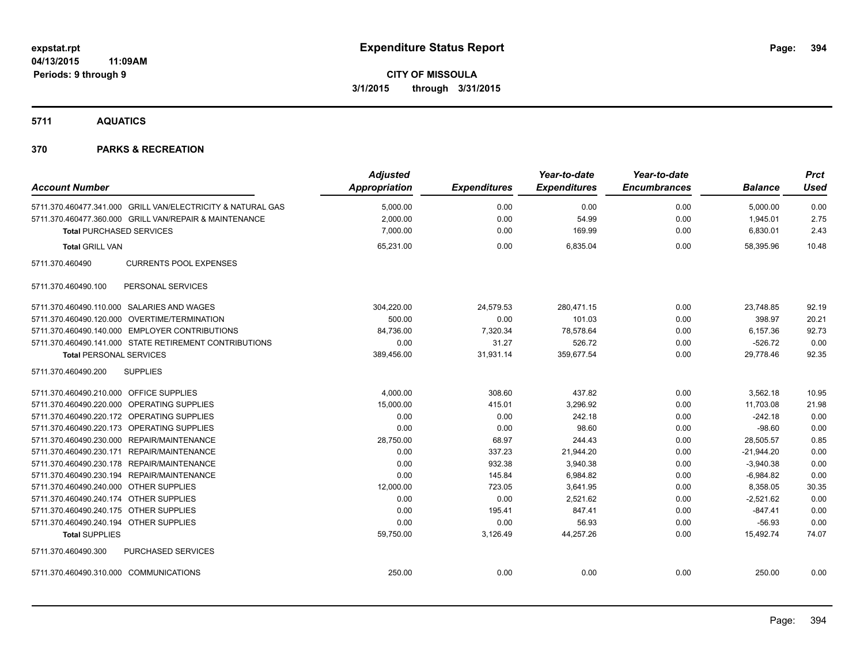**5711 AQUATICS**

## **370 PARKS & RECREATION**

|                                                             | <b>Adjusted</b>      |                     | Year-to-date        | Year-to-date        |                | <b>Prct</b> |
|-------------------------------------------------------------|----------------------|---------------------|---------------------|---------------------|----------------|-------------|
| <b>Account Number</b>                                       | <b>Appropriation</b> | <b>Expenditures</b> | <b>Expenditures</b> | <b>Encumbrances</b> | <b>Balance</b> | <b>Used</b> |
| 5711.370.460477.341.000 GRILL VAN/ELECTRICITY & NATURAL GAS | 5,000.00             | 0.00                | 0.00                | 0.00                | 5,000.00       | 0.00        |
| 5711.370.460477.360.000 GRILL VAN/REPAIR & MAINTENANCE      | 2,000.00             | 0.00                | 54.99               | 0.00                | 1,945.01       | 2.75        |
| <b>Total PURCHASED SERVICES</b>                             | 7,000.00             | 0.00                | 169.99              | 0.00                | 6,830.01       | 2.43        |
| <b>Total GRILL VAN</b>                                      | 65,231.00            | 0.00                | 6,835.04            | 0.00                | 58.395.96      | 10.48       |
| <b>CURRENTS POOL EXPENSES</b><br>5711.370.460490            |                      |                     |                     |                     |                |             |
| PERSONAL SERVICES<br>5711.370.460490.100                    |                      |                     |                     |                     |                |             |
| 5711.370.460490.110.000 SALARIES AND WAGES                  | 304,220.00           | 24,579.53           | 280.471.15          | 0.00                | 23.748.85      | 92.19       |
| 5711.370.460490.120.000 OVERTIME/TERMINATION                | 500.00               | 0.00                | 101.03              | 0.00                | 398.97         | 20.21       |
| 5711.370.460490.140.000 EMPLOYER CONTRIBUTIONS              | 84,736.00            | 7,320.34            | 78,578.64           | 0.00                | 6,157.36       | 92.73       |
| 5711.370.460490.141.000 STATE RETIREMENT CONTRIBUTIONS      | 0.00                 | 31.27               | 526.72              | 0.00                | $-526.72$      | 0.00        |
| <b>Total PERSONAL SERVICES</b>                              | 389,456.00           | 31,931.14           | 359,677.54          | 0.00                | 29,778.46      | 92.35       |
| <b>SUPPLIES</b><br>5711.370.460490.200                      |                      |                     |                     |                     |                |             |
| 5711.370.460490.210.000 OFFICE SUPPLIES                     | 4,000.00             | 308.60              | 437.82              | 0.00                | 3,562.18       | 10.95       |
| 5711.370.460490.220.000 OPERATING SUPPLIES                  | 15,000.00            | 415.01              | 3,296.92            | 0.00                | 11,703.08      | 21.98       |
| 5711.370.460490.220.172 OPERATING SUPPLIES                  | 0.00                 | 0.00                | 242.18              | 0.00                | $-242.18$      | 0.00        |
| 5711.370.460490.220.173 OPERATING SUPPLIES                  | 0.00                 | 0.00                | 98.60               | 0.00                | $-98.60$       | 0.00        |
| 5711.370.460490.230.000 REPAIR/MAINTENANCE                  | 28,750.00            | 68.97               | 244.43              | 0.00                | 28,505.57      | 0.85        |
| 5711.370.460490.230.171 REPAIR/MAINTENANCE                  | 0.00                 | 337.23              | 21,944.20           | 0.00                | $-21,944.20$   | 0.00        |
| 5711.370.460490.230.178 REPAIR/MAINTENANCE                  | 0.00                 | 932.38              | 3,940.38            | 0.00                | $-3,940.38$    | 0.00        |
| 5711.370.460490.230.194 REPAIR/MAINTENANCE                  | 0.00                 | 145.84              | 6,984.82            | 0.00                | $-6,984.82$    | 0.00        |
| 5711.370.460490.240.000 OTHER SUPPLIES                      | 12,000.00            | 723.05              | 3,641.95            | 0.00                | 8,358.05       | 30.35       |
| 5711.370.460490.240.174 OTHER SUPPLIES                      | 0.00                 | 0.00                | 2,521.62            | 0.00                | $-2,521.62$    | 0.00        |
| 5711.370.460490.240.175 OTHER SUPPLIES                      | 0.00                 | 195.41              | 847.41              | 0.00                | $-847.41$      | 0.00        |
| 5711.370.460490.240.194 OTHER SUPPLIES                      | 0.00                 | 0.00                | 56.93               | 0.00                | $-56.93$       | 0.00        |
| <b>Total SUPPLIES</b>                                       | 59,750.00            | 3,126.49            | 44,257.26           | 0.00                | 15,492.74      | 74.07       |
| PURCHASED SERVICES<br>5711.370.460490.300                   |                      |                     |                     |                     |                |             |
| 5711.370.460490.310.000 COMMUNICATIONS                      | 250.00               | 0.00                | 0.00                | 0.00                | 250.00         | 0.00        |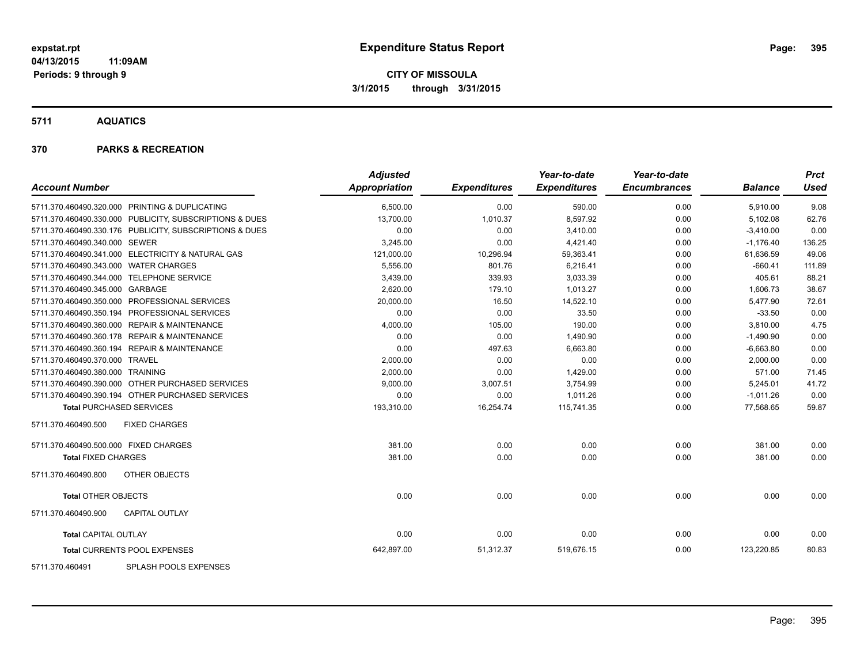**5711 AQUATICS**

#### **370 PARKS & RECREATION**

| <b>Account Number</b>                                   | <b>Adjusted</b><br>Appropriation | <b>Expenditures</b> | Year-to-date<br><b>Expenditures</b> | Year-to-date<br><b>Encumbrances</b> | <b>Balance</b> | <b>Prct</b><br><b>Used</b> |
|---------------------------------------------------------|----------------------------------|---------------------|-------------------------------------|-------------------------------------|----------------|----------------------------|
| 5711.370.460490.320.000 PRINTING & DUPLICATING          | 6,500.00                         | 0.00                | 590.00                              | 0.00                                | 5,910.00       | 9.08                       |
| 5711.370.460490.330.000 PUBLICITY, SUBSCRIPTIONS & DUES | 13,700.00                        | 1,010.37            | 8,597.92                            | 0.00                                | 5,102.08       | 62.76                      |
| 5711.370.460490.330.176 PUBLICITY, SUBSCRIPTIONS & DUES | 0.00                             | 0.00                | 3.410.00                            | 0.00                                | $-3,410.00$    | 0.00                       |
| 5711.370.460490.340.000 SEWER                           | 3,245.00                         | 0.00                | 4,421.40                            | 0.00                                | $-1,176.40$    | 136.25                     |
| 5711.370.460490.341.000 ELECTRICITY & NATURAL GAS       | 121,000.00                       | 10,296.94           | 59,363.41                           | 0.00                                | 61,636.59      | 49.06                      |
| 5711.370.460490.343.000 WATER CHARGES                   | 5,556.00                         | 801.76              | 6,216.41                            | 0.00                                | $-660.41$      | 111.89                     |
| 5711.370.460490.344.000 TELEPHONE SERVICE               | 3,439.00                         | 339.93              | 3,033.39                            | 0.00                                | 405.61         | 88.21                      |
| 5711.370.460490.345.000 GARBAGE                         | 2,620.00                         | 179.10              | 1,013.27                            | 0.00                                | 1,606.73       | 38.67                      |
| 5711.370.460490.350.000 PROFESSIONAL SERVICES           | 20,000.00                        | 16.50               | 14,522.10                           | 0.00                                | 5.477.90       | 72.61                      |
| 5711.370.460490.350.194 PROFESSIONAL SERVICES           | 0.00                             | 0.00                | 33.50                               | 0.00                                | $-33.50$       | 0.00                       |
| 5711.370.460490.360.000 REPAIR & MAINTENANCE            | 4,000.00                         | 105.00              | 190.00                              | 0.00                                | 3,810.00       | 4.75                       |
| 5711.370.460490.360.178 REPAIR & MAINTENANCE            | 0.00                             | 0.00                | 1,490.90                            | 0.00                                | $-1,490.90$    | 0.00                       |
| 5711.370.460490.360.194 REPAIR & MAINTENANCE            | 0.00                             | 497.63              | 6.663.80                            | 0.00                                | $-6,663.80$    | 0.00                       |
| 5711.370.460490.370.000 TRAVEL                          | 2,000.00                         | 0.00                | 0.00                                | 0.00                                | 2,000.00       | 0.00                       |
| 5711.370.460490.380.000 TRAINING                        | 2,000.00                         | 0.00                | 1,429.00                            | 0.00                                | 571.00         | 71.45                      |
| 5711.370.460490.390.000 OTHER PURCHASED SERVICES        | 9,000.00                         | 3,007.51            | 3,754.99                            | 0.00                                | 5,245.01       | 41.72                      |
| 5711.370.460490.390.194 OTHER PURCHASED SERVICES        | 0.00                             | 0.00                | 1,011.26                            | 0.00                                | $-1,011.26$    | 0.00                       |
| <b>Total PURCHASED SERVICES</b>                         | 193,310.00                       | 16,254.74           | 115,741.35                          | 0.00                                | 77,568.65      | 59.87                      |
| <b>FIXED CHARGES</b><br>5711.370.460490.500             |                                  |                     |                                     |                                     |                |                            |
| 5711.370.460490.500.000 FIXED CHARGES                   | 381.00                           | 0.00                | 0.00                                | 0.00                                | 381.00         | 0.00                       |
| <b>Total FIXED CHARGES</b>                              | 381.00                           | 0.00                | 0.00                                | 0.00                                | 381.00         | 0.00                       |
| OTHER OBJECTS<br>5711.370.460490.800                    |                                  |                     |                                     |                                     |                |                            |
| <b>Total OTHER OBJECTS</b>                              | 0.00                             | 0.00                | 0.00                                | 0.00                                | 0.00           | 0.00                       |
| 5711.370.460490.900<br><b>CAPITAL OUTLAY</b>            |                                  |                     |                                     |                                     |                |                            |
| <b>Total CAPITAL OUTLAY</b>                             | 0.00                             | 0.00                | 0.00                                | 0.00                                | 0.00           | 0.00                       |
| Total CURRENTS POOL EXPENSES                            | 642,897.00                       | 51,312.37           | 519,676.15                          | 0.00                                | 123,220.85     | 80.83                      |
| 5711.370.460491<br>SPLASH POOLS EXPENSES                |                                  |                     |                                     |                                     |                |                            |

Page: 395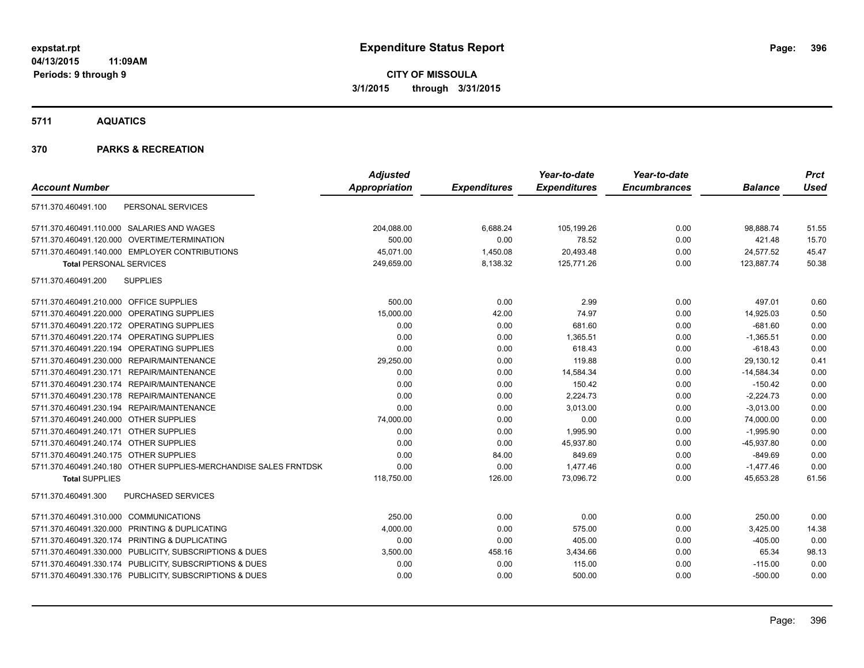**5711 AQUATICS**

## **370 PARKS & RECREATION**

| <b>Account Number</b>                                            | <b>Adjusted</b><br>Appropriation | <b>Expenditures</b> | Year-to-date<br><b>Expenditures</b> | Year-to-date<br><b>Encumbrances</b> | <b>Balance</b> | <b>Prct</b><br><b>Used</b> |
|------------------------------------------------------------------|----------------------------------|---------------------|-------------------------------------|-------------------------------------|----------------|----------------------------|
|                                                                  |                                  |                     |                                     |                                     |                |                            |
| PERSONAL SERVICES<br>5711.370.460491.100                         |                                  |                     |                                     |                                     |                |                            |
| 5711.370.460491.110.000 SALARIES AND WAGES                       | 204,088.00                       | 6,688.24            | 105,199.26                          | 0.00                                | 98,888.74      | 51.55                      |
| 5711.370.460491.120.000 OVERTIME/TERMINATION                     | 500.00                           | 0.00                | 78.52                               | 0.00                                | 421.48         | 15.70                      |
| 5711.370.460491.140.000 EMPLOYER CONTRIBUTIONS                   | 45,071.00                        | 1,450.08            | 20,493.48                           | 0.00                                | 24,577.52      | 45.47                      |
| <b>Total PERSONAL SERVICES</b>                                   | 249,659.00                       | 8,138.32            | 125,771.26                          | 0.00                                | 123,887.74     | 50.38                      |
| 5711.370.460491.200<br><b>SUPPLIES</b>                           |                                  |                     |                                     |                                     |                |                            |
| 5711.370.460491.210.000 OFFICE SUPPLIES                          | 500.00                           | 0.00                | 2.99                                | 0.00                                | 497.01         | 0.60                       |
| 5711.370.460491.220.000 OPERATING SUPPLIES                       | 15,000.00                        | 42.00               | 74.97                               | 0.00                                | 14,925.03      | 0.50                       |
| 5711.370.460491.220.172 OPERATING SUPPLIES                       | 0.00                             | 0.00                | 681.60                              | 0.00                                | $-681.60$      | 0.00                       |
| 5711.370.460491.220.174 OPERATING SUPPLIES                       | 0.00                             | 0.00                | 1,365.51                            | 0.00                                | $-1,365.51$    | 0.00                       |
| 5711.370.460491.220.194 OPERATING SUPPLIES                       | 0.00                             | 0.00                | 618.43                              | 0.00                                | $-618.43$      | 0.00                       |
| 5711.370.460491.230.000 REPAIR/MAINTENANCE                       | 29,250.00                        | 0.00                | 119.88                              | 0.00                                | 29,130.12      | 0.41                       |
| 5711.370.460491.230.171 REPAIR/MAINTENANCE                       | 0.00                             | 0.00                | 14,584.34                           | 0.00                                | $-14,584.34$   | 0.00                       |
| 5711.370.460491.230.174 REPAIR/MAINTENANCE                       | 0.00                             | 0.00                | 150.42                              | 0.00                                | $-150.42$      | 0.00                       |
| 5711.370.460491.230.178 REPAIR/MAINTENANCE                       | 0.00                             | 0.00                | 2,224.73                            | 0.00                                | $-2,224.73$    | 0.00                       |
| 5711.370.460491.230.194 REPAIR/MAINTENANCE                       | 0.00                             | 0.00                | 3,013.00                            | 0.00                                | $-3,013.00$    | 0.00                       |
| 5711.370.460491.240.000 OTHER SUPPLIES                           | 74,000.00                        | 0.00                | 0.00                                | 0.00                                | 74,000.00      | 0.00                       |
| 5711.370.460491.240.171 OTHER SUPPLIES                           | 0.00                             | 0.00                | 1,995.90                            | 0.00                                | $-1,995.90$    | 0.00                       |
| 5711.370.460491.240.174 OTHER SUPPLIES                           | 0.00                             | 0.00                | 45,937.80                           | 0.00                                | $-45,937.80$   | 0.00                       |
| 5711.370.460491.240.175 OTHER SUPPLIES                           | 0.00                             | 84.00               | 849.69                              | 0.00                                | $-849.69$      | 0.00                       |
| 5711.370.460491.240.180 OTHER SUPPLIES-MERCHANDISE SALES FRNTDSK | 0.00                             | 0.00                | 1.477.46                            | 0.00                                | $-1.477.46$    | 0.00                       |
| <b>Total SUPPLIES</b>                                            | 118,750.00                       | 126.00              | 73,096.72                           | 0.00                                | 45,653.28      | 61.56                      |
| 5711.370.460491.300<br>PURCHASED SERVICES                        |                                  |                     |                                     |                                     |                |                            |
| 5711.370.460491.310.000 COMMUNICATIONS                           | 250.00                           | 0.00                | 0.00                                | 0.00                                | 250.00         | 0.00                       |
| 5711.370.460491.320.000 PRINTING & DUPLICATING                   | 4,000.00                         | 0.00                | 575.00                              | 0.00                                | 3,425.00       | 14.38                      |
| 5711.370.460491.320.174 PRINTING & DUPLICATING                   | 0.00                             | 0.00                | 405.00                              | 0.00                                | $-405.00$      | 0.00                       |
| 5711.370.460491.330.000 PUBLICITY, SUBSCRIPTIONS & DUES          | 3,500.00                         | 458.16              | 3,434.66                            | 0.00                                | 65.34          | 98.13                      |
| 5711.370.460491.330.174 PUBLICITY, SUBSCRIPTIONS & DUES          | 0.00                             | 0.00                | 115.00                              | 0.00                                | $-115.00$      | 0.00                       |
| 5711.370.460491.330.176 PUBLICITY, SUBSCRIPTIONS & DUES          | 0.00                             | 0.00                | 500.00                              | 0.00                                | $-500.00$      | 0.00                       |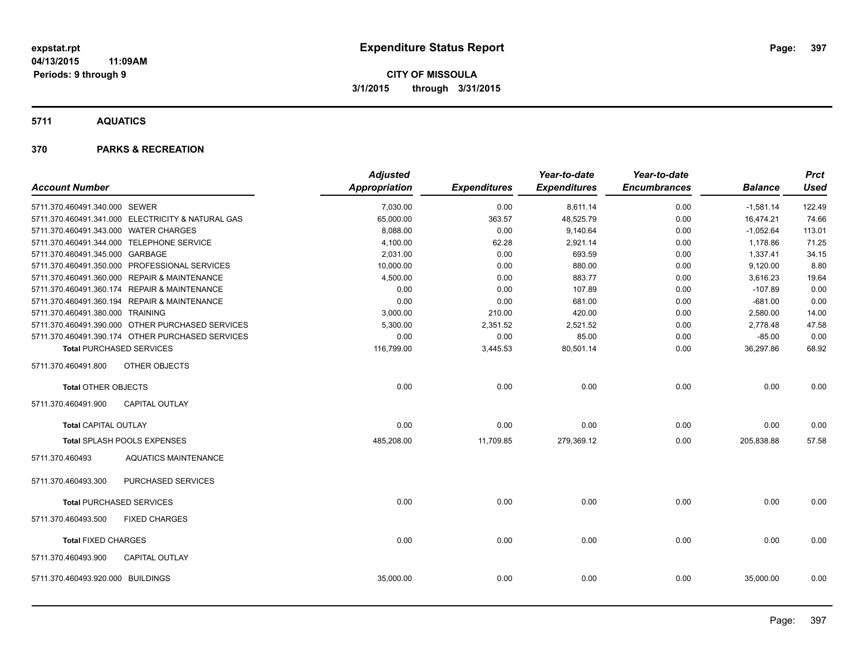## **5711 AQUATICS**

## **370 PARKS & RECREATION**

|                                                   | <b>Adjusted</b> |                     | Year-to-date        | Year-to-date        |                | <b>Prct</b> |
|---------------------------------------------------|-----------------|---------------------|---------------------|---------------------|----------------|-------------|
| <b>Account Number</b>                             | Appropriation   | <b>Expenditures</b> | <b>Expenditures</b> | <b>Encumbrances</b> | <b>Balance</b> | <b>Used</b> |
| 5711.370.460491.340.000 SEWER                     | 7,030.00        | 0.00                | 8,611.14            | 0.00                | $-1,581.14$    | 122.49      |
| 5711.370.460491.341.000 ELECTRICITY & NATURAL GAS | 65,000.00       | 363.57              | 48,525.79           | 0.00                | 16,474.21      | 74.66       |
| 5711.370.460491.343.000 WATER CHARGES             | 8,088.00        | 0.00                | 9,140.64            | 0.00                | $-1,052.64$    | 113.01      |
| 5711.370.460491.344.000 TELEPHONE SERVICE         | 4,100.00        | 62.28               | 2,921.14            | 0.00                | 1,178.86       | 71.25       |
| 5711.370.460491.345.000 GARBAGE                   | 2,031.00        | 0.00                | 693.59              | 0.00                | 1,337.41       | 34.15       |
| 5711.370.460491.350.000 PROFESSIONAL SERVICES     | 10,000.00       | 0.00                | 880.00              | 0.00                | 9,120.00       | 8.80        |
| 5711.370.460491.360.000 REPAIR & MAINTENANCE      | 4,500.00        | 0.00                | 883.77              | 0.00                | 3,616.23       | 19.64       |
| 5711.370.460491.360.174 REPAIR & MAINTENANCE      | 0.00            | 0.00                | 107.89              | 0.00                | $-107.89$      | 0.00        |
| 5711.370.460491.360.194 REPAIR & MAINTENANCE      | 0.00            | 0.00                | 681.00              | 0.00                | $-681.00$      | 0.00        |
| 5711.370.460491.380.000 TRAINING                  | 3,000.00        | 210.00              | 420.00              | 0.00                | 2,580.00       | 14.00       |
| 5711.370.460491.390.000 OTHER PURCHASED SERVICES  | 5,300.00        | 2,351.52            | 2,521.52            | 0.00                | 2,778.48       | 47.58       |
| 5711.370.460491.390.174 OTHER PURCHASED SERVICES  | 0.00            | 0.00                | 85.00               | 0.00                | $-85.00$       | 0.00        |
| <b>Total PURCHASED SERVICES</b>                   | 116,799.00      | 3,445.53            | 80,501.14           | 0.00                | 36,297.86      | 68.92       |
| 5711.370.460491.800<br>OTHER OBJECTS              |                 |                     |                     |                     |                |             |
| <b>Total OTHER OBJECTS</b>                        | 0.00            | 0.00                | 0.00                | 0.00                | 0.00           | 0.00        |
| <b>CAPITAL OUTLAY</b><br>5711.370.460491.900      |                 |                     |                     |                     |                |             |
| <b>Total CAPITAL OUTLAY</b>                       | 0.00            | 0.00                | 0.00                | 0.00                | 0.00           | 0.00        |
| Total SPLASH POOLS EXPENSES                       | 485,208.00      | 11,709.85           | 279,369.12          | 0.00                | 205,838.88     | 57.58       |
| 5711.370.460493<br><b>AQUATICS MAINTENANCE</b>    |                 |                     |                     |                     |                |             |
| PURCHASED SERVICES<br>5711.370.460493.300         |                 |                     |                     |                     |                |             |
| <b>Total PURCHASED SERVICES</b>                   | 0.00            | 0.00                | 0.00                | 0.00                | 0.00           | 0.00        |
| <b>FIXED CHARGES</b><br>5711.370.460493.500       |                 |                     |                     |                     |                |             |
| <b>Total FIXED CHARGES</b>                        | 0.00            | 0.00                | 0.00                | 0.00                | 0.00           | 0.00        |
| 5711.370.460493.900<br><b>CAPITAL OUTLAY</b>      |                 |                     |                     |                     |                |             |
| 5711.370.460493.920.000 BUILDINGS                 | 35,000.00       | 0.00                | 0.00                | 0.00                | 35,000.00      | 0.00        |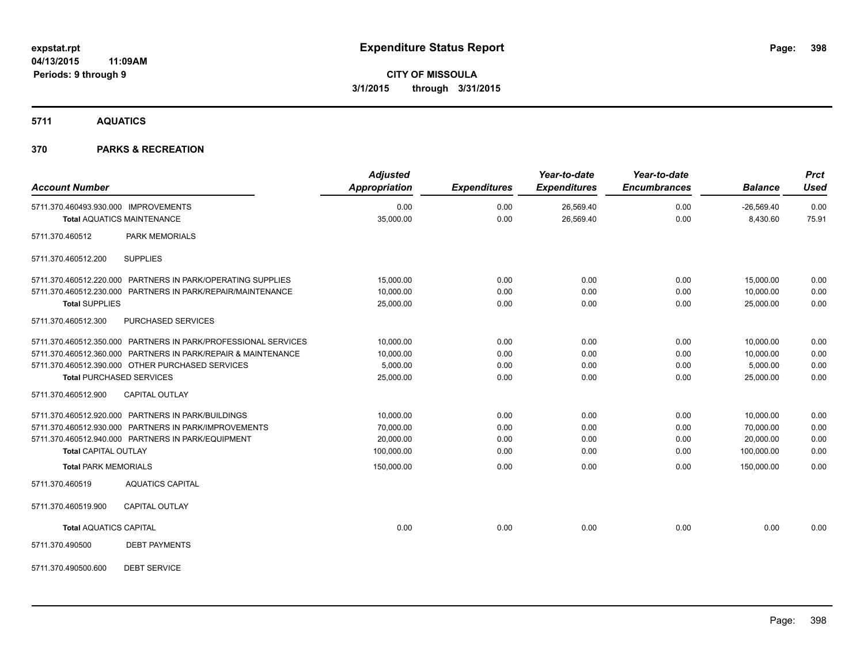**5711 AQUATICS**

## **370 PARKS & RECREATION**

| <b>Account Number</b>                                                                                                                                                                                                  | <b>Adjusted</b><br><b>Appropriation</b>           | <b>Expenditures</b>          | Year-to-date<br><b>Expenditures</b> | Year-to-date<br><b>Encumbrances</b> | <b>Balance</b>                                    | <b>Prct</b><br><b>Used</b>   |
|------------------------------------------------------------------------------------------------------------------------------------------------------------------------------------------------------------------------|---------------------------------------------------|------------------------------|-------------------------------------|-------------------------------------|---------------------------------------------------|------------------------------|
| 5711.370.460493.930.000 IMPROVEMENTS<br><b>Total AQUATICS MAINTENANCE</b>                                                                                                                                              | 0.00<br>35,000.00                                 | 0.00<br>0.00                 | 26,569.40<br>26,569.40              | 0.00<br>0.00                        | $-26,569.40$<br>8,430.60                          | 0.00<br>75.91                |
| 5711.370.460512<br><b>PARK MEMORIALS</b>                                                                                                                                                                               |                                                   |                              |                                     |                                     |                                                   |                              |
| <b>SUPPLIES</b><br>5711.370.460512.200                                                                                                                                                                                 |                                                   |                              |                                     |                                     |                                                   |                              |
| 5711.370.460512.220.000 PARTNERS IN PARK/OPERATING SUPPLIES<br>5711.370.460512.230.000 PARTNERS IN PARK/REPAIR/MAINTENANCE<br><b>Total SUPPLIES</b>                                                                    | 15,000.00<br>10,000.00<br>25,000.00               | 0.00<br>0.00<br>0.00         | 0.00<br>0.00<br>0.00                | 0.00<br>0.00<br>0.00                | 15,000.00<br>10,000.00<br>25,000.00               | 0.00<br>0.00<br>0.00         |
| 5711.370.460512.300<br>PURCHASED SERVICES                                                                                                                                                                              |                                                   |                              |                                     |                                     |                                                   |                              |
| 5711.370.460512.350.000 PARTNERS IN PARK/PROFESSIONAL SERVICES<br>5711.370.460512.360.000 PARTNERS IN PARK/REPAIR & MAINTENANCE<br>5711.370.460512.390.000 OTHER PURCHASED SERVICES<br><b>Total PURCHASED SERVICES</b> | 10,000.00<br>10,000.00<br>5,000.00<br>25,000.00   | 0.00<br>0.00<br>0.00<br>0.00 | 0.00<br>0.00<br>0.00<br>0.00        | 0.00<br>0.00<br>0.00<br>0.00        | 10,000.00<br>10,000.00<br>5,000.00<br>25,000.00   | 0.00<br>0.00<br>0.00<br>0.00 |
| 5711.370.460512.900<br><b>CAPITAL OUTLAY</b>                                                                                                                                                                           |                                                   |                              |                                     |                                     |                                                   |                              |
| 5711.370.460512.920.000 PARTNERS IN PARK/BUILDINGS<br>5711.370.460512.930.000 PARTNERS IN PARK/IMPROVEMENTS<br>5711.370.460512.940.000 PARTNERS IN PARK/EQUIPMENT<br><b>Total CAPITAL OUTLAY</b>                       | 10.000.00<br>70,000.00<br>20,000.00<br>100,000.00 | 0.00<br>0.00<br>0.00<br>0.00 | 0.00<br>0.00<br>0.00<br>0.00        | 0.00<br>0.00<br>0.00<br>0.00        | 10.000.00<br>70,000.00<br>20,000.00<br>100,000.00 | 0.00<br>0.00<br>0.00<br>0.00 |
| <b>Total PARK MEMORIALS</b>                                                                                                                                                                                            | 150,000.00                                        | 0.00                         | 0.00                                | 0.00                                | 150.000.00                                        | 0.00                         |
| 5711.370.460519<br><b>AQUATICS CAPITAL</b><br>5711.370.460519.900<br><b>CAPITAL OUTLAY</b>                                                                                                                             |                                                   |                              |                                     |                                     |                                                   |                              |
| <b>Total AQUATICS CAPITAL</b>                                                                                                                                                                                          | 0.00                                              | 0.00                         | 0.00                                | 0.00                                | 0.00                                              | 0.00                         |
| 5711.370.490500<br><b>DEBT PAYMENTS</b>                                                                                                                                                                                |                                                   |                              |                                     |                                     |                                                   |                              |
| <b>DEBT SERVICE</b><br>5711.370.490500.600                                                                                                                                                                             |                                                   |                              |                                     |                                     |                                                   |                              |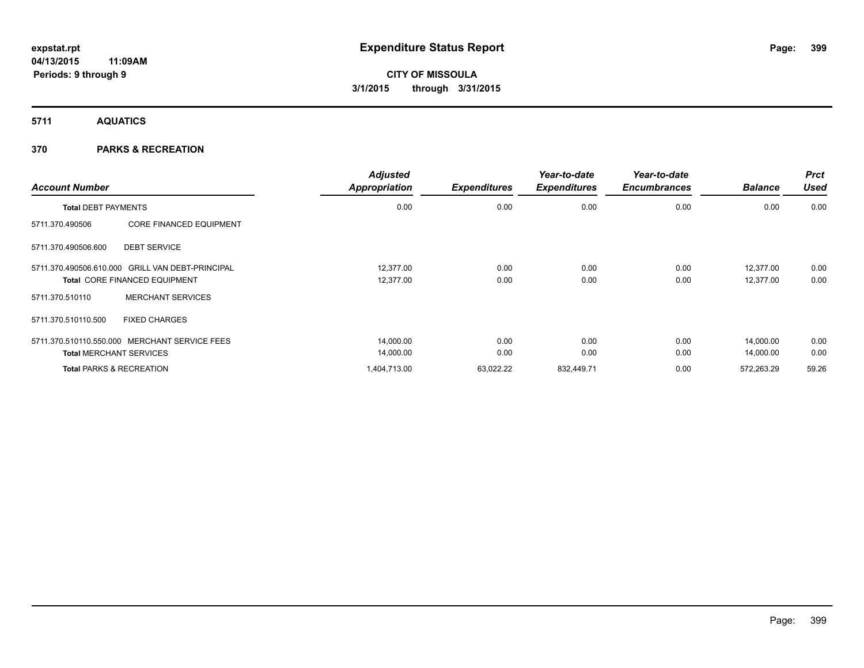**5711 AQUATICS**

## **370 PARKS & RECREATION**

| <b>Account Number</b>               |                                                  | <b>Adjusted</b><br>Appropriation | <b>Expenditures</b> | Year-to-date<br><b>Expenditures</b> | Year-to-date<br><b>Encumbrances</b> | <b>Balance</b> | <b>Prct</b><br><b>Used</b> |
|-------------------------------------|--------------------------------------------------|----------------------------------|---------------------|-------------------------------------|-------------------------------------|----------------|----------------------------|
| <b>Total DEBT PAYMENTS</b>          |                                                  | 0.00                             | 0.00                | 0.00                                | 0.00                                | 0.00           | 0.00                       |
| 5711.370.490506                     | <b>CORE FINANCED EQUIPMENT</b>                   |                                  |                     |                                     |                                     |                |                            |
| 5711.370.490506.600                 | <b>DEBT SERVICE</b>                              |                                  |                     |                                     |                                     |                |                            |
|                                     | 5711.370.490506.610.000 GRILL VAN DEBT-PRINCIPAL | 12.377.00                        | 0.00                | 0.00                                | 0.00                                | 12,377.00      | 0.00                       |
|                                     | Total CORE FINANCED EQUIPMENT                    | 12,377.00                        | 0.00                | 0.00                                | 0.00                                | 12,377.00      | 0.00                       |
| 5711.370.510110                     | <b>MERCHANT SERVICES</b>                         |                                  |                     |                                     |                                     |                |                            |
| 5711.370.510110.500                 | <b>FIXED CHARGES</b>                             |                                  |                     |                                     |                                     |                |                            |
|                                     | 5711.370.510110.550.000 MERCHANT SERVICE FEES    | 14,000.00                        | 0.00                | 0.00                                | 0.00                                | 14.000.00      | 0.00                       |
| <b>Total MERCHANT SERVICES</b>      |                                                  | 14,000.00                        | 0.00                | 0.00                                | 0.00                                | 14,000.00      | 0.00                       |
| <b>Total PARKS &amp; RECREATION</b> |                                                  | 1,404,713.00                     | 63,022.22           | 832,449.71                          | 0.00                                | 572,263.29     | 59.26                      |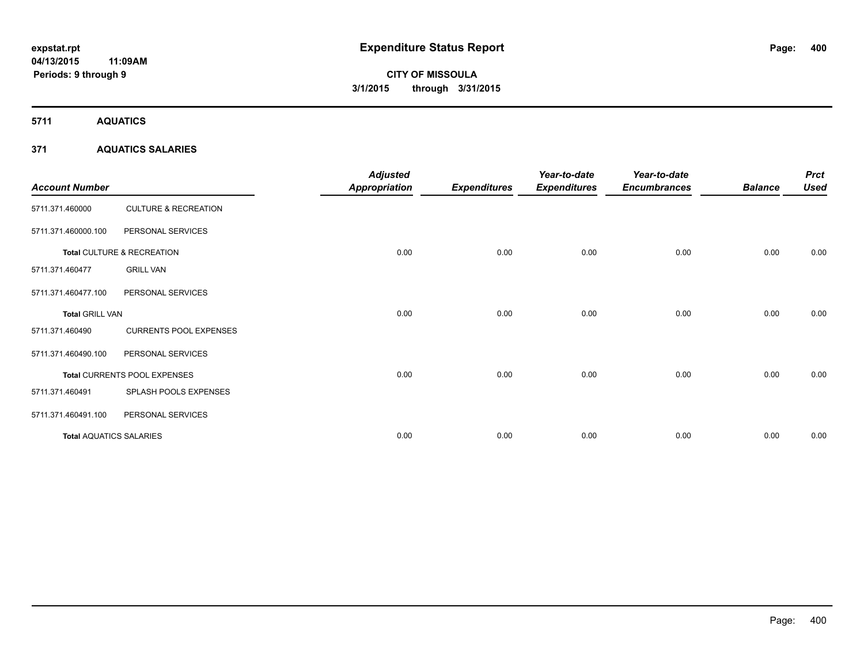**5711 AQUATICS**

## **371 AQUATICS SALARIES**

| <b>Account Number</b>          |                                 | <b>Adjusted</b><br><b>Appropriation</b> | <b>Expenditures</b> | Year-to-date<br><b>Expenditures</b> | Year-to-date<br><b>Encumbrances</b> | <b>Balance</b> | <b>Prct</b><br><b>Used</b> |
|--------------------------------|---------------------------------|-----------------------------------------|---------------------|-------------------------------------|-------------------------------------|----------------|----------------------------|
| 5711.371.460000                | <b>CULTURE &amp; RECREATION</b> |                                         |                     |                                     |                                     |                |                            |
| 5711.371.460000.100            | PERSONAL SERVICES               |                                         |                     |                                     |                                     |                |                            |
|                                | Total CULTURE & RECREATION      | 0.00                                    | 0.00                | 0.00                                | 0.00                                | 0.00           | 0.00                       |
| 5711.371.460477                | <b>GRILL VAN</b>                |                                         |                     |                                     |                                     |                |                            |
| 5711.371.460477.100            | PERSONAL SERVICES               |                                         |                     |                                     |                                     |                |                            |
| <b>Total GRILL VAN</b>         |                                 | 0.00                                    | 0.00                | 0.00                                | 0.00                                | 0.00           | 0.00                       |
| 5711.371.460490                | <b>CURRENTS POOL EXPENSES</b>   |                                         |                     |                                     |                                     |                |                            |
| 5711.371.460490.100            | PERSONAL SERVICES               |                                         |                     |                                     |                                     |                |                            |
|                                | Total CURRENTS POOL EXPENSES    | 0.00                                    | 0.00                | 0.00                                | 0.00                                | 0.00           | 0.00                       |
| 5711.371.460491                | SPLASH POOLS EXPENSES           |                                         |                     |                                     |                                     |                |                            |
| 5711.371.460491.100            | PERSONAL SERVICES               |                                         |                     |                                     |                                     |                |                            |
| <b>Total AQUATICS SALARIES</b> |                                 | 0.00                                    | 0.00                | 0.00                                | 0.00                                | 0.00           | 0.00                       |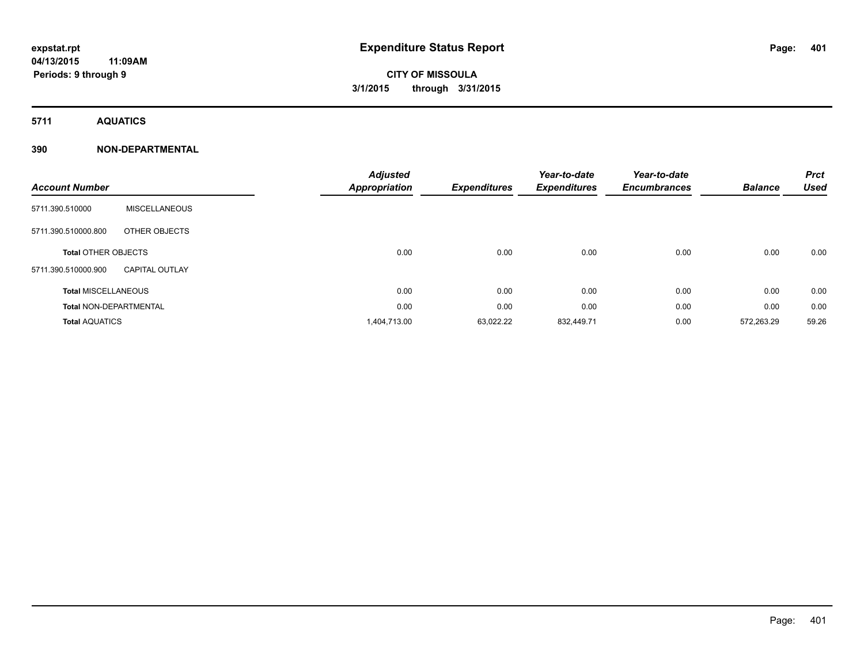**Periods: 9 through 9**

# **CITY OF MISSOULA 3/1/2015 through 3/31/2015**

**5711 AQUATICS**

|                               |                       | <b>Adjusted</b>      |                     | Year-to-date        | Year-to-date        |                | <b>Prct</b> |
|-------------------------------|-----------------------|----------------------|---------------------|---------------------|---------------------|----------------|-------------|
| <b>Account Number</b>         |                       | <b>Appropriation</b> | <b>Expenditures</b> | <b>Expenditures</b> | <b>Encumbrances</b> | <b>Balance</b> | <b>Used</b> |
| 5711.390.510000               | <b>MISCELLANEOUS</b>  |                      |                     |                     |                     |                |             |
| 5711.390.510000.800           | OTHER OBJECTS         |                      |                     |                     |                     |                |             |
| <b>Total OTHER OBJECTS</b>    |                       | 0.00                 | 0.00                | 0.00                | 0.00                | 0.00           | 0.00        |
| 5711.390.510000.900           | <b>CAPITAL OUTLAY</b> |                      |                     |                     |                     |                |             |
| <b>Total MISCELLANEOUS</b>    |                       | 0.00                 | 0.00                | 0.00                | 0.00                | 0.00           | 0.00        |
| <b>Total NON-DEPARTMENTAL</b> |                       | 0.00                 | 0.00                | 0.00                | 0.00                | 0.00           | 0.00        |
| <b>Total AQUATICS</b>         |                       | 1,404,713.00         | 63,022.22           | 832,449.71          | 0.00                | 572,263.29     | 59.26       |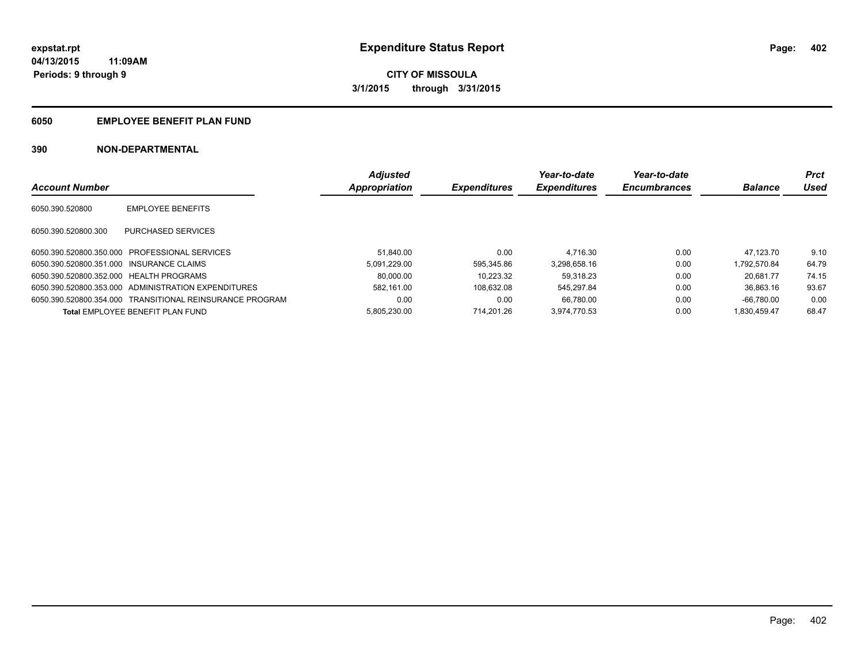## **6050 EMPLOYEE BENEFIT PLAN FUND**

|                                          |                                                          | <b>Adjusted</b> |                     | Year-to-date        | Year-to-date        |                | <b>Prct</b> |
|------------------------------------------|----------------------------------------------------------|-----------------|---------------------|---------------------|---------------------|----------------|-------------|
| <b>Account Number</b>                    |                                                          | Appropriation   | <b>Expenditures</b> | <b>Expenditures</b> | <b>Encumbrances</b> | <b>Balance</b> | Used        |
| 6050.390.520800                          | <b>EMPLOYEE BENEFITS</b>                                 |                 |                     |                     |                     |                |             |
| 6050.390.520800.300                      | PURCHASED SERVICES                                       |                 |                     |                     |                     |                |             |
| 6050.390.520800.350.000                  | PROFESSIONAL SERVICES                                    | 51.840.00       | 0.00                | 4.716.30            | 0.00                | 47.123.70      | 9.10        |
| 6050.390.520800.351.000 INSURANCE CLAIMS |                                                          | 5.091.229.00    | 595.345.86          | 3.298.658.16        | 0.00                | 1.792.570.84   | 64.79       |
| 6050.390.520800.352.000 HEALTH PROGRAMS  |                                                          | 80.000.00       | 10.223.32           | 59.318.23           | 0.00                | 20.681.77      | 74.15       |
|                                          | 6050.390.520800.353.000 ADMINISTRATION EXPENDITURES      | 582.161.00      | 108.632.08          | 545.297.84          | 0.00                | 36.863.16      | 93.67       |
|                                          | 6050.390.520800.354.000 TRANSITIONAL REINSURANCE PROGRAM | 0.00            | 0.00                | 66.780.00           | 0.00                | $-66.780.00$   | 0.00        |
|                                          | Total EMPLOYEE BENEFIT PLAN FUND                         | 5.805.230.00    | 714.201.26          | 3.974.770.53        | 0.00                | 1.830.459.47   | 68.47       |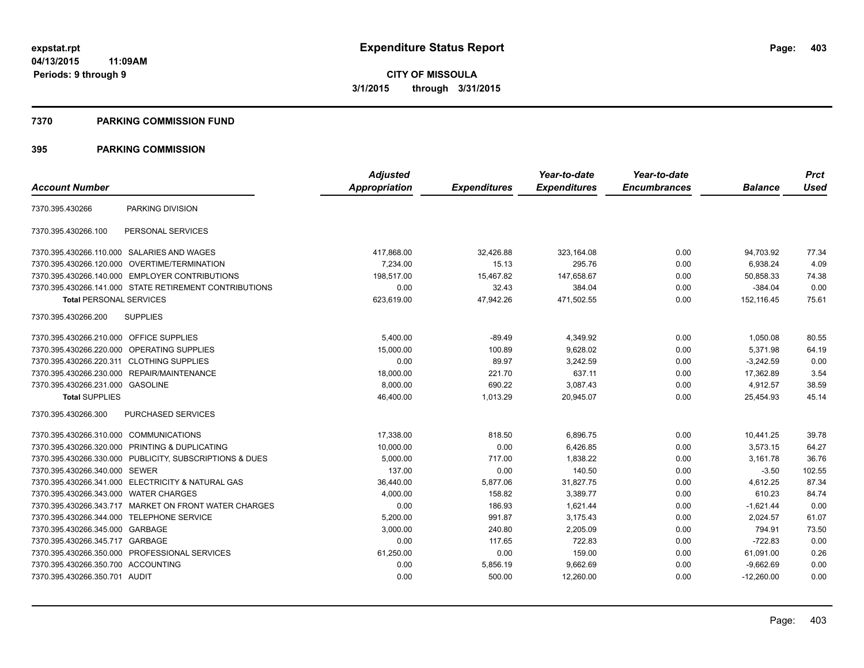### **7370 PARKING COMMISSION FUND**

|                                           |                                                         | <b>Adjusted</b>      |                     | Year-to-date        | Year-to-date        |                | <b>Prct</b> |
|-------------------------------------------|---------------------------------------------------------|----------------------|---------------------|---------------------|---------------------|----------------|-------------|
| <b>Account Number</b>                     |                                                         | <b>Appropriation</b> | <b>Expenditures</b> | <b>Expenditures</b> | <b>Encumbrances</b> | <b>Balance</b> | <b>Used</b> |
| 7370.395.430266                           | PARKING DIVISION                                        |                      |                     |                     |                     |                |             |
| 7370.395.430266.100                       | PERSONAL SERVICES                                       |                      |                     |                     |                     |                |             |
|                                           | 7370.395.430266.110.000 SALARIES AND WAGES              | 417.868.00           | 32,426.88           | 323,164.08          | 0.00                | 94,703.92      | 77.34       |
| 7370.395.430266.120.000                   | OVERTIME/TERMINATION                                    | 7,234.00             | 15.13               | 295.76              | 0.00                | 6,938.24       | 4.09        |
|                                           | 7370.395.430266.140.000 EMPLOYER CONTRIBUTIONS          | 198.517.00           | 15,467.82           | 147,658.67          | 0.00                | 50,858.33      | 74.38       |
|                                           | 7370.395.430266.141.000 STATE RETIREMENT CONTRIBUTIONS  | 0.00                 | 32.43               | 384.04              | 0.00                | $-384.04$      | 0.00        |
| <b>Total PERSONAL SERVICES</b>            |                                                         | 623,619.00           | 47,942.26           | 471,502.55          | 0.00                | 152,116.45     | 75.61       |
| 7370.395.430266.200                       | <b>SUPPLIES</b>                                         |                      |                     |                     |                     |                |             |
| 7370.395.430266.210.000 OFFICE SUPPLIES   |                                                         | 5,400.00             | $-89.49$            | 4,349.92            | 0.00                | 1,050.08       | 80.55       |
|                                           | 7370.395.430266.220.000 OPERATING SUPPLIES              | 15,000.00            | 100.89              | 9,628.02            | 0.00                | 5,371.98       | 64.19       |
| 7370.395.430266.220.311 CLOTHING SUPPLIES |                                                         | 0.00                 | 89.97               | 3,242.59            | 0.00                | $-3,242.59$    | 0.00        |
|                                           | 7370.395.430266.230.000 REPAIR/MAINTENANCE              | 18,000.00            | 221.70              | 637.11              | 0.00                | 17,362.89      | 3.54        |
| 7370.395.430266.231.000 GASOLINE          |                                                         | 8,000.00             | 690.22              | 3,087.43            | 0.00                | 4,912.57       | 38.59       |
| <b>Total SUPPLIES</b>                     |                                                         | 46,400.00            | 1,013.29            | 20,945.07           | 0.00                | 25,454.93      | 45.14       |
| 7370.395.430266.300                       | PURCHASED SERVICES                                      |                      |                     |                     |                     |                |             |
| 7370.395.430266.310.000 COMMUNICATIONS    |                                                         | 17,338.00            | 818.50              | 6,896.75            | 0.00                | 10,441.25      | 39.78       |
|                                           | 7370.395.430266.320.000 PRINTING & DUPLICATING          | 10,000.00            | 0.00                | 6,426.85            | 0.00                | 3.573.15       | 64.27       |
|                                           | 7370.395.430266.330.000 PUBLICITY, SUBSCRIPTIONS & DUES | 5,000.00             | 717.00              | 1,838.22            | 0.00                | 3,161.78       | 36.76       |
| 7370.395.430266.340.000 SEWER             |                                                         | 137.00               | 0.00                | 140.50              | 0.00                | $-3.50$        | 102.55      |
|                                           | 7370.395.430266.341.000 ELECTRICITY & NATURAL GAS       | 36,440.00            | 5,877.06            | 31,827.75           | 0.00                | 4,612.25       | 87.34       |
| 7370.395.430266.343.000 WATER CHARGES     |                                                         | 4,000.00             | 158.82              | 3,389.77            | 0.00                | 610.23         | 84.74       |
|                                           | 7370.395.430266.343.717 MARKET ON FRONT WATER CHARGES   | 0.00                 | 186.93              | 1,621.44            | 0.00                | $-1,621.44$    | 0.00        |
| 7370.395.430266.344.000 TELEPHONE SERVICE |                                                         | 5.200.00             | 991.87              | 3,175.43            | 0.00                | 2,024.57       | 61.07       |
| 7370.395.430266.345.000 GARBAGE           |                                                         | 3,000.00             | 240.80              | 2,205.09            | 0.00                | 794.91         | 73.50       |
| 7370.395.430266.345.717 GARBAGE           |                                                         | 0.00                 | 117.65              | 722.83              | 0.00                | $-722.83$      | 0.00        |
|                                           | 7370.395.430266.350.000 PROFESSIONAL SERVICES           | 61,250.00            | 0.00                | 159.00              | 0.00                | 61,091.00      | 0.26        |
| 7370.395.430266.350.700 ACCOUNTING        |                                                         | 0.00                 | 5,856.19            | 9,662.69            | 0.00                | $-9,662.69$    | 0.00        |
| 7370.395.430266.350.701 AUDIT             |                                                         | 0.00                 | 500.00              | 12,260.00           | 0.00                | $-12,260.00$   | 0.00        |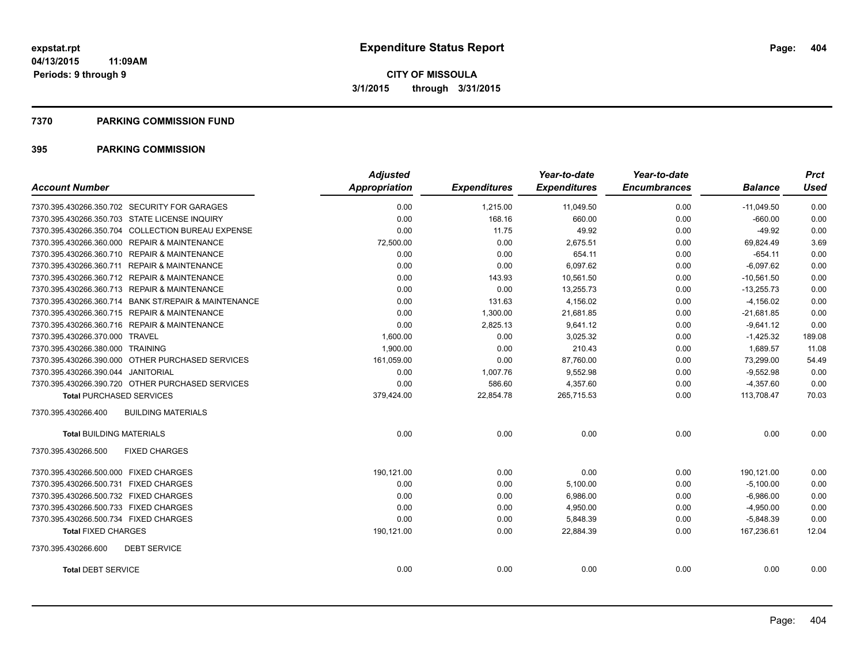### **7370 PARKING COMMISSION FUND**

| <b>Account Number</b>                                | <b>Adjusted</b><br>Appropriation | <b>Expenditures</b> | Year-to-date<br><b>Expenditures</b> | Year-to-date<br><b>Encumbrances</b> | <b>Balance</b> | <b>Prct</b><br><b>Used</b> |
|------------------------------------------------------|----------------------------------|---------------------|-------------------------------------|-------------------------------------|----------------|----------------------------|
|                                                      |                                  |                     |                                     |                                     |                |                            |
| 7370.395.430266.350.702 SECURITY FOR GARAGES         | 0.00                             | 1,215.00            | 11,049.50                           | 0.00                                | $-11,049.50$   | 0.00                       |
| 7370.395.430266.350.703 STATE LICENSE INQUIRY        | 0.00                             | 168.16              | 660.00                              | 0.00                                | $-660.00$      | 0.00                       |
| 7370.395.430266.350.704 COLLECTION BUREAU EXPENSE    | 0.00                             | 11.75               | 49.92                               | 0.00                                | $-49.92$       | 0.00                       |
| 7370.395.430266.360.000 REPAIR & MAINTENANCE         | 72,500.00                        | 0.00                | 2,675.51                            | 0.00                                | 69,824.49      | 3.69                       |
| 7370.395.430266.360.710 REPAIR & MAINTENANCE         | 0.00                             | 0.00                | 654.11                              | 0.00                                | $-654.11$      | 0.00                       |
| 7370.395.430266.360.711 REPAIR & MAINTENANCE         | 0.00                             | 0.00                | 6,097.62                            | 0.00                                | $-6.097.62$    | 0.00                       |
| 7370.395.430266.360.712 REPAIR & MAINTENANCE         | 0.00                             | 143.93              | 10,561.50                           | 0.00                                | $-10,561.50$   | 0.00                       |
| 7370.395.430266.360.713 REPAIR & MAINTENANCE         | 0.00                             | 0.00                | 13,255.73                           | 0.00                                | $-13,255.73$   | 0.00                       |
| 7370.395.430266.360.714 BANK ST/REPAIR & MAINTENANCE | 0.00                             | 131.63              | 4,156.02                            | 0.00                                | $-4,156.02$    | 0.00                       |
| 7370.395.430266.360.715 REPAIR & MAINTENANCE         | 0.00                             | 1,300.00            | 21,681.85                           | 0.00                                | $-21,681.85$   | 0.00                       |
| 7370.395.430266.360.716 REPAIR & MAINTENANCE         | 0.00                             | 2,825.13            | 9,641.12                            | 0.00                                | $-9,641.12$    | 0.00                       |
| 7370.395.430266.370.000 TRAVEL                       | 1,600.00                         | 0.00                | 3,025.32                            | 0.00                                | $-1,425.32$    | 189.08                     |
| 7370.395.430266.380.000 TRAINING                     | 1,900.00                         | 0.00                | 210.43                              | 0.00                                | 1.689.57       | 11.08                      |
| 7370.395.430266.390.000 OTHER PURCHASED SERVICES     | 161,059.00                       | 0.00                | 87,760.00                           | 0.00                                | 73,299.00      | 54.49                      |
| 7370.395.430266.390.044 JANITORIAL                   | 0.00                             | 1,007.76            | 9,552.98                            | 0.00                                | $-9,552.98$    | 0.00                       |
| 7370.395.430266.390.720 OTHER PURCHASED SERVICES     | 0.00                             | 586.60              | 4,357.60                            | 0.00                                | $-4,357.60$    | 0.00                       |
| <b>Total PURCHASED SERVICES</b>                      | 379,424.00                       | 22,854.78           | 265,715.53                          | 0.00                                | 113,708.47     | 70.03                      |
| <b>BUILDING MATERIALS</b><br>7370.395.430266.400     |                                  |                     |                                     |                                     |                |                            |
| <b>Total BUILDING MATERIALS</b>                      | 0.00                             | 0.00                | 0.00                                | 0.00                                | 0.00           | 0.00                       |
| 7370.395.430266.500<br><b>FIXED CHARGES</b>          |                                  |                     |                                     |                                     |                |                            |
| 7370.395.430266.500.000 FIXED CHARGES                | 190,121.00                       | 0.00                | 0.00                                | 0.00                                | 190,121.00     | 0.00                       |
| 7370.395.430266.500.731 FIXED CHARGES                | 0.00                             | 0.00                | 5,100.00                            | 0.00                                | $-5,100.00$    | 0.00                       |
| 7370.395.430266.500.732 FIXED CHARGES                | 0.00                             | 0.00                | 6,986.00                            | 0.00                                | $-6,986.00$    | 0.00                       |
| 7370.395.430266.500.733 FIXED CHARGES                | 0.00                             | 0.00                | 4,950.00                            | 0.00                                | $-4,950.00$    | 0.00                       |
| 7370.395.430266.500.734 FIXED CHARGES                | 0.00                             | 0.00                | 5,848.39                            | 0.00                                | $-5,848.39$    | 0.00                       |
| <b>Total FIXED CHARGES</b>                           | 190,121.00                       | 0.00                | 22,884.39                           | 0.00                                | 167,236.61     | 12.04                      |
| <b>DEBT SERVICE</b><br>7370.395.430266.600           |                                  |                     |                                     |                                     |                |                            |
| <b>Total DEBT SERVICE</b>                            | 0.00                             | 0.00                | 0.00                                | 0.00                                | 0.00           | 0.00                       |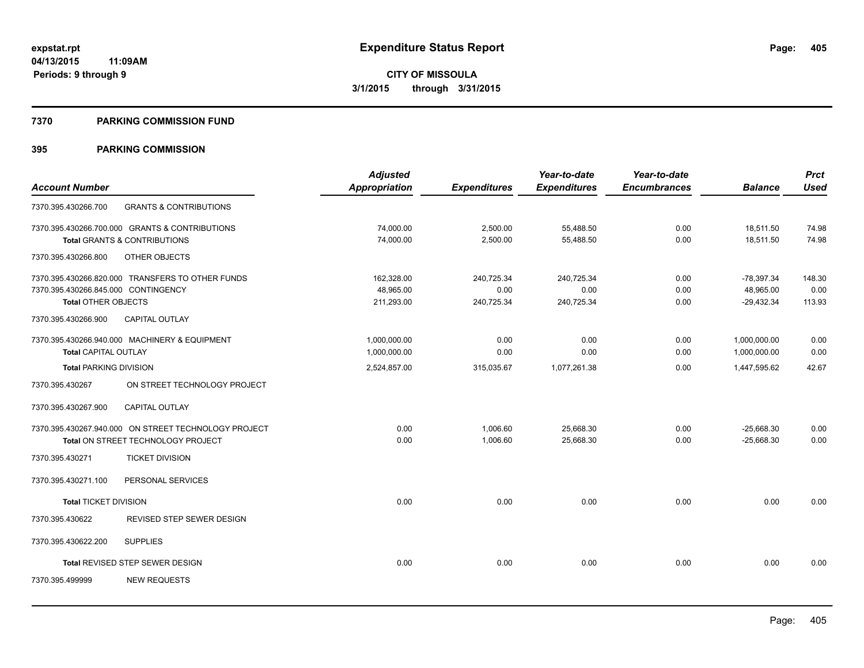### **7370 PARKING COMMISSION FUND**

|                                     |                                                      | <b>Adjusted</b> |                     | Year-to-date        | Year-to-date        |                | <b>Prct</b> |
|-------------------------------------|------------------------------------------------------|-----------------|---------------------|---------------------|---------------------|----------------|-------------|
| <b>Account Number</b>               |                                                      | Appropriation   | <b>Expenditures</b> | <b>Expenditures</b> | <b>Encumbrances</b> | <b>Balance</b> | <b>Used</b> |
| 7370.395.430266.700                 | <b>GRANTS &amp; CONTRIBUTIONS</b>                    |                 |                     |                     |                     |                |             |
|                                     | 7370.395.430266.700.000 GRANTS & CONTRIBUTIONS       | 74,000.00       | 2,500.00            | 55,488.50           | 0.00                | 18,511.50      | 74.98       |
|                                     | <b>Total GRANTS &amp; CONTRIBUTIONS</b>              | 74,000.00       | 2,500.00            | 55,488.50           | 0.00                | 18,511.50      | 74.98       |
| 7370.395.430266.800                 | OTHER OBJECTS                                        |                 |                     |                     |                     |                |             |
|                                     | 7370.395.430266.820.000 TRANSFERS TO OTHER FUNDS     | 162,328.00      | 240,725.34          | 240,725.34          | 0.00                | $-78,397.34$   | 148.30      |
| 7370.395.430266.845.000 CONTINGENCY |                                                      | 48,965.00       | 0.00                | 0.00                | 0.00                | 48,965.00      | 0.00        |
| <b>Total OTHER OBJECTS</b>          |                                                      | 211,293.00      | 240,725.34          | 240,725.34          | 0.00                | $-29,432.34$   | 113.93      |
| 7370.395.430266.900                 | <b>CAPITAL OUTLAY</b>                                |                 |                     |                     |                     |                |             |
|                                     | 7370.395.430266.940.000 MACHINERY & EQUIPMENT        | 1,000,000.00    | 0.00                | 0.00                | 0.00                | 1,000,000.00   | 0.00        |
| <b>Total CAPITAL OUTLAY</b>         |                                                      | 1,000,000.00    | 0.00                | 0.00                | 0.00                | 1,000,000.00   | 0.00        |
| <b>Total PARKING DIVISION</b>       |                                                      | 2,524,857.00    | 315,035.67          | 1,077,261.38        | 0.00                | 1,447,595.62   | 42.67       |
| 7370.395.430267                     | ON STREET TECHNOLOGY PROJECT                         |                 |                     |                     |                     |                |             |
| 7370.395.430267.900                 | CAPITAL OUTLAY                                       |                 |                     |                     |                     |                |             |
|                                     | 7370.395.430267.940.000 ON STREET TECHNOLOGY PROJECT | 0.00            | 1,006.60            | 25,668.30           | 0.00                | $-25,668.30$   | 0.00        |
|                                     | Total ON STREET TECHNOLOGY PROJECT                   | 0.00            | 1,006.60            | 25,668.30           | 0.00                | $-25,668.30$   | 0.00        |
| 7370.395.430271                     | <b>TICKET DIVISION</b>                               |                 |                     |                     |                     |                |             |
| 7370.395.430271.100                 | PERSONAL SERVICES                                    |                 |                     |                     |                     |                |             |
| <b>Total TICKET DIVISION</b>        |                                                      | 0.00            | 0.00                | 0.00                | 0.00                | 0.00           | 0.00        |
| 7370.395.430622                     | REVISED STEP SEWER DESIGN                            |                 |                     |                     |                     |                |             |
| 7370.395.430622.200                 | <b>SUPPLIES</b>                                      |                 |                     |                     |                     |                |             |
|                                     | <b>Total REVISED STEP SEWER DESIGN</b>               | 0.00            | 0.00                | 0.00                | 0.00                | 0.00           | 0.00        |
| 7370.395.499999                     | <b>NEW REQUESTS</b>                                  |                 |                     |                     |                     |                |             |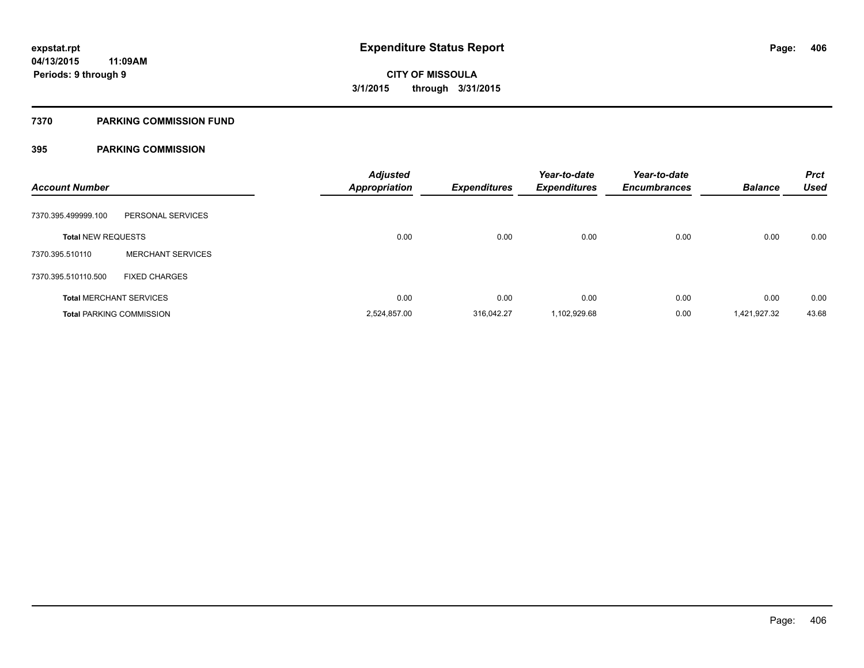## **7370 PARKING COMMISSION FUND**

| <b>Account Number</b>     |                                 | <b>Adjusted</b><br><b>Appropriation</b> | <b>Expenditures</b> | Year-to-date<br><b>Expenditures</b> | Year-to-date<br><b>Encumbrances</b> | <b>Balance</b> | <b>Prct</b><br><b>Used</b> |
|---------------------------|---------------------------------|-----------------------------------------|---------------------|-------------------------------------|-------------------------------------|----------------|----------------------------|
| 7370.395.499999.100       | PERSONAL SERVICES               |                                         |                     |                                     |                                     |                |                            |
| <b>Total NEW REQUESTS</b> |                                 | 0.00                                    | 0.00                | 0.00                                | 0.00                                | 0.00           | 0.00                       |
| 7370.395.510110           | <b>MERCHANT SERVICES</b>        |                                         |                     |                                     |                                     |                |                            |
| 7370.395.510110.500       | <b>FIXED CHARGES</b>            |                                         |                     |                                     |                                     |                |                            |
|                           | <b>Total MERCHANT SERVICES</b>  | 0.00                                    | 0.00                | 0.00                                | 0.00                                | 0.00           | 0.00                       |
|                           | <b>Total PARKING COMMISSION</b> | 2,524,857.00                            | 316,042.27          | 1,102,929.68                        | 0.00                                | 1,421,927.32   | 43.68                      |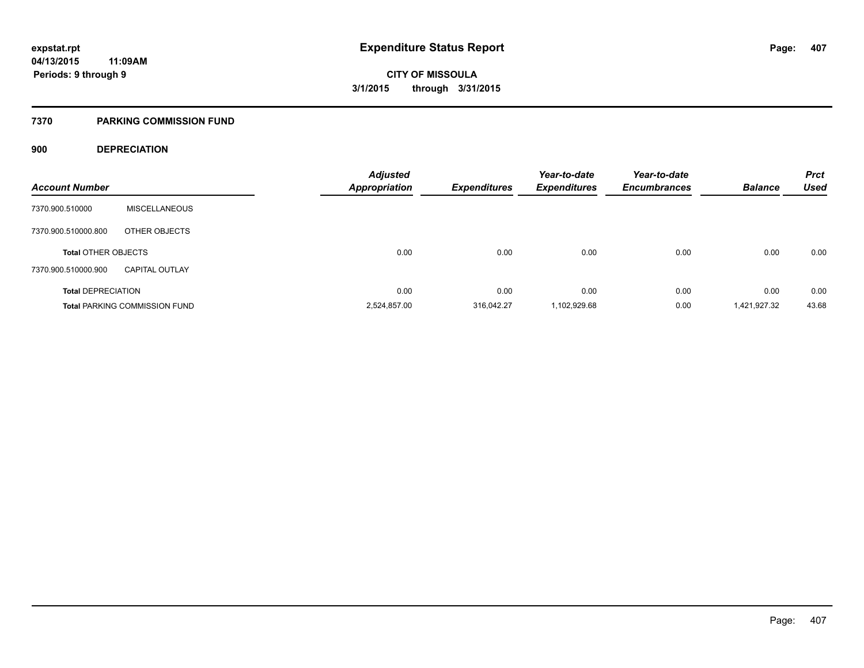## **7370 PARKING COMMISSION FUND**

## **900 DEPRECIATION**

| <b>Account Number</b>      |                                      | <b>Adjusted</b><br><b>Appropriation</b> | Expenditures | Year-to-date<br><b>Expenditures</b> | Year-to-date<br><b>Encumbrances</b> | <b>Balance</b> | <b>Prct</b><br><b>Used</b> |
|----------------------------|--------------------------------------|-----------------------------------------|--------------|-------------------------------------|-------------------------------------|----------------|----------------------------|
|                            |                                      |                                         |              |                                     |                                     |                |                            |
| 7370.900.510000            | <b>MISCELLANEOUS</b>                 |                                         |              |                                     |                                     |                |                            |
| 7370.900.510000.800        | OTHER OBJECTS                        |                                         |              |                                     |                                     |                |                            |
| <b>Total OTHER OBJECTS</b> |                                      | 0.00                                    | 0.00         | 0.00                                | 0.00                                | 0.00           | 0.00                       |
| 7370.900.510000.900        | <b>CAPITAL OUTLAY</b>                |                                         |              |                                     |                                     |                |                            |
| <b>Total DEPRECIATION</b>  |                                      | 0.00                                    | 0.00         | 0.00                                | 0.00                                | 0.00           | 0.00                       |
|                            | <b>Total PARKING COMMISSION FUND</b> | 2,524,857.00                            | 316.042.27   | 1,102,929.68                        | 0.00                                | 1,421,927.32   | 43.68                      |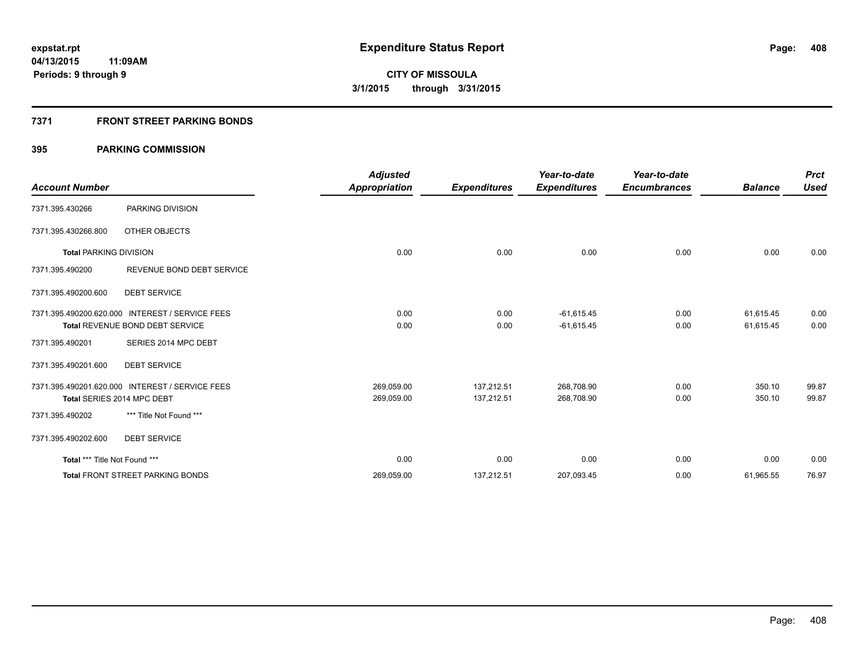## **7371 FRONT STREET PARKING BONDS**

|                               |                                                 | <b>Adjusted</b>      |                     | Year-to-date        | Year-to-date        |                | <b>Prct</b> |
|-------------------------------|-------------------------------------------------|----------------------|---------------------|---------------------|---------------------|----------------|-------------|
| <b>Account Number</b>         |                                                 | <b>Appropriation</b> | <b>Expenditures</b> | <b>Expenditures</b> | <b>Encumbrances</b> | <b>Balance</b> | <b>Used</b> |
| 7371.395.430266               | PARKING DIVISION                                |                      |                     |                     |                     |                |             |
| 7371.395.430266.800           | OTHER OBJECTS                                   |                      |                     |                     |                     |                |             |
| <b>Total PARKING DIVISION</b> |                                                 | 0.00                 | 0.00                | 0.00                | 0.00                | 0.00           | 0.00        |
| 7371.395.490200               | REVENUE BOND DEBT SERVICE                       |                      |                     |                     |                     |                |             |
| 7371.395.490200.600           | <b>DEBT SERVICE</b>                             |                      |                     |                     |                     |                |             |
|                               | 7371.395.490200.620.000 INTEREST / SERVICE FEES | 0.00                 | 0.00                | $-61,615.45$        | 0.00                | 61,615.45      | 0.00        |
|                               | Total REVENUE BOND DEBT SERVICE                 | 0.00                 | 0.00                | $-61,615.45$        | 0.00                | 61,615.45      | 0.00        |
| 7371.395.490201               | SERIES 2014 MPC DEBT                            |                      |                     |                     |                     |                |             |
| 7371.395.490201.600           | <b>DEBT SERVICE</b>                             |                      |                     |                     |                     |                |             |
|                               | 7371.395.490201.620.000 INTEREST / SERVICE FEES | 269,059.00           | 137,212.51          | 268,708.90          | 0.00                | 350.10         | 99.87       |
|                               | Total SERIES 2014 MPC DEBT                      | 269,059.00           | 137,212.51          | 268,708.90          | 0.00                | 350.10         | 99.87       |
| 7371.395.490202               | *** Title Not Found ***                         |                      |                     |                     |                     |                |             |
| 7371.395.490202.600           | <b>DEBT SERVICE</b>                             |                      |                     |                     |                     |                |             |
| Total *** Title Not Found *** |                                                 | 0.00                 | 0.00                | 0.00                | 0.00                | 0.00           | 0.00        |
|                               | <b>Total FRONT STREET PARKING BONDS</b>         | 269,059.00           | 137,212.51          | 207,093.45          | 0.00                | 61,965.55      | 76.97       |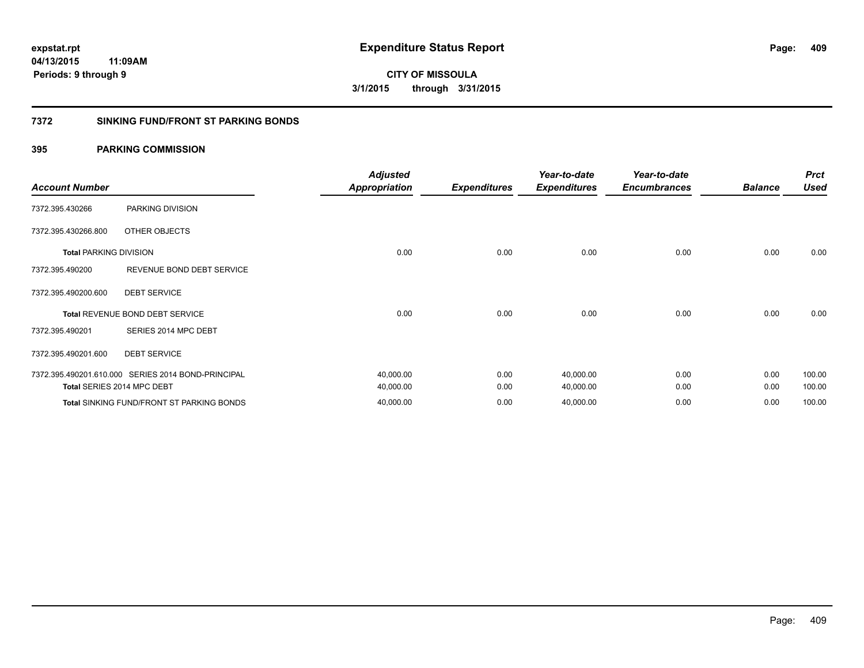**CITY OF MISSOULA 3/1/2015 through 3/31/2015**

## **7372 SINKING FUND/FRONT ST PARKING BONDS**

| <b>Account Number</b>         |                                                    | <b>Adjusted</b><br><b>Appropriation</b> | <b>Expenditures</b> | Year-to-date<br><b>Expenditures</b> | Year-to-date<br><b>Encumbrances</b> | <b>Balance</b> | <b>Prct</b><br><b>Used</b> |
|-------------------------------|----------------------------------------------------|-----------------------------------------|---------------------|-------------------------------------|-------------------------------------|----------------|----------------------------|
| 7372.395.430266               | PARKING DIVISION                                   |                                         |                     |                                     |                                     |                |                            |
| 7372.395.430266.800           | OTHER OBJECTS                                      |                                         |                     |                                     |                                     |                |                            |
| <b>Total PARKING DIVISION</b> |                                                    | 0.00                                    | 0.00                | 0.00                                | 0.00                                | 0.00           | 0.00                       |
| 7372.395.490200               | REVENUE BOND DEBT SERVICE                          |                                         |                     |                                     |                                     |                |                            |
| 7372.395.490200.600           | <b>DEBT SERVICE</b>                                |                                         |                     |                                     |                                     |                |                            |
|                               | <b>Total REVENUE BOND DEBT SERVICE</b>             | 0.00                                    | 0.00                | 0.00                                | 0.00                                | 0.00           | 0.00                       |
| 7372.395.490201               | SERIES 2014 MPC DEBT                               |                                         |                     |                                     |                                     |                |                            |
| 7372.395.490201.600           | <b>DEBT SERVICE</b>                                |                                         |                     |                                     |                                     |                |                            |
|                               | 7372.395.490201.610.000 SERIES 2014 BOND-PRINCIPAL | 40,000.00                               | 0.00                | 40,000.00                           | 0.00                                | 0.00           | 100.00                     |
|                               | Total SERIES 2014 MPC DEBT                         | 40,000.00                               | 0.00                | 40,000.00                           | 0.00                                | 0.00           | 100.00                     |
|                               | <b>Total SINKING FUND/FRONT ST PARKING BONDS</b>   | 40,000.00                               | 0.00                | 40,000.00                           | 0.00                                | 0.00           | 100.00                     |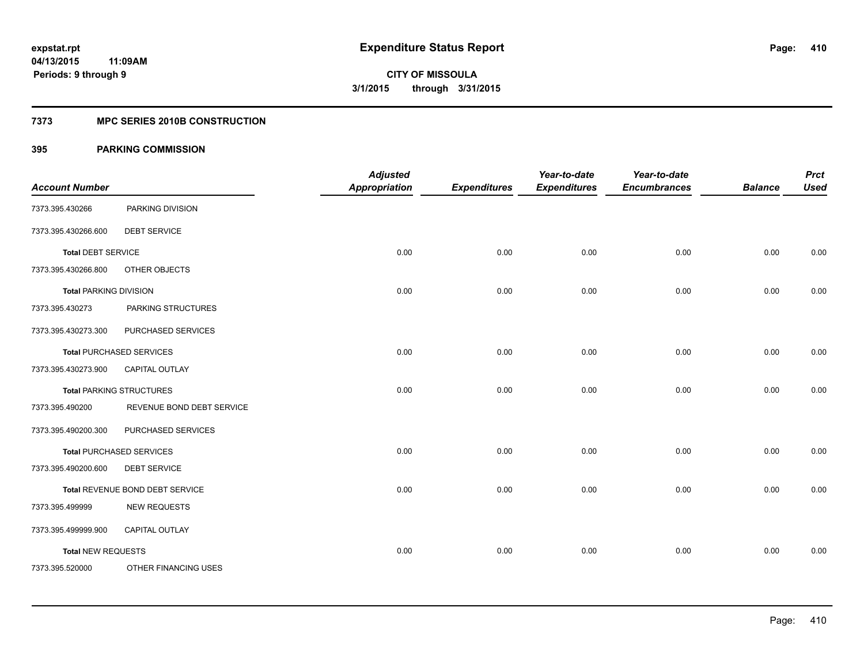## **7373 MPC SERIES 2010B CONSTRUCTION**

| <b>Account Number</b>         |                                 | <b>Adjusted</b><br><b>Appropriation</b> | <b>Expenditures</b> | Year-to-date<br><b>Expenditures</b> | Year-to-date<br><b>Encumbrances</b> | <b>Balance</b> | <b>Prct</b><br><b>Used</b> |
|-------------------------------|---------------------------------|-----------------------------------------|---------------------|-------------------------------------|-------------------------------------|----------------|----------------------------|
| 7373.395.430266               | PARKING DIVISION                |                                         |                     |                                     |                                     |                |                            |
| 7373.395.430266.600           | <b>DEBT SERVICE</b>             |                                         |                     |                                     |                                     |                |                            |
| <b>Total DEBT SERVICE</b>     |                                 | 0.00                                    | 0.00                | 0.00                                | 0.00                                | 0.00           | 0.00                       |
| 7373.395.430266.800           | OTHER OBJECTS                   |                                         |                     |                                     |                                     |                |                            |
| <b>Total PARKING DIVISION</b> |                                 | 0.00                                    | 0.00                | 0.00                                | 0.00                                | 0.00           | 0.00                       |
| 7373.395.430273               | PARKING STRUCTURES              |                                         |                     |                                     |                                     |                |                            |
| 7373.395.430273.300           | PURCHASED SERVICES              |                                         |                     |                                     |                                     |                |                            |
|                               | <b>Total PURCHASED SERVICES</b> | 0.00                                    | 0.00                | 0.00                                | 0.00                                | 0.00           | 0.00                       |
| 7373.395.430273.900           | <b>CAPITAL OUTLAY</b>           |                                         |                     |                                     |                                     |                |                            |
|                               | <b>Total PARKING STRUCTURES</b> | 0.00                                    | 0.00                | 0.00                                | 0.00                                | 0.00           | 0.00                       |
| 7373.395.490200               | REVENUE BOND DEBT SERVICE       |                                         |                     |                                     |                                     |                |                            |
| 7373.395.490200.300           | PURCHASED SERVICES              |                                         |                     |                                     |                                     |                |                            |
|                               | <b>Total PURCHASED SERVICES</b> | 0.00                                    | 0.00                | 0.00                                | 0.00                                | 0.00           | 0.00                       |
| 7373.395.490200.600           | <b>DEBT SERVICE</b>             |                                         |                     |                                     |                                     |                |                            |
|                               | Total REVENUE BOND DEBT SERVICE | 0.00                                    | 0.00                | 0.00                                | 0.00                                | 0.00           | 0.00                       |
| 7373.395.499999               | <b>NEW REQUESTS</b>             |                                         |                     |                                     |                                     |                |                            |
| 7373.395.499999.900           | CAPITAL OUTLAY                  |                                         |                     |                                     |                                     |                |                            |
| <b>Total NEW REQUESTS</b>     |                                 | 0.00                                    | 0.00                | 0.00                                | 0.00                                | 0.00           | 0.00                       |
| 7373.395.520000               | OTHER FINANCING USES            |                                         |                     |                                     |                                     |                |                            |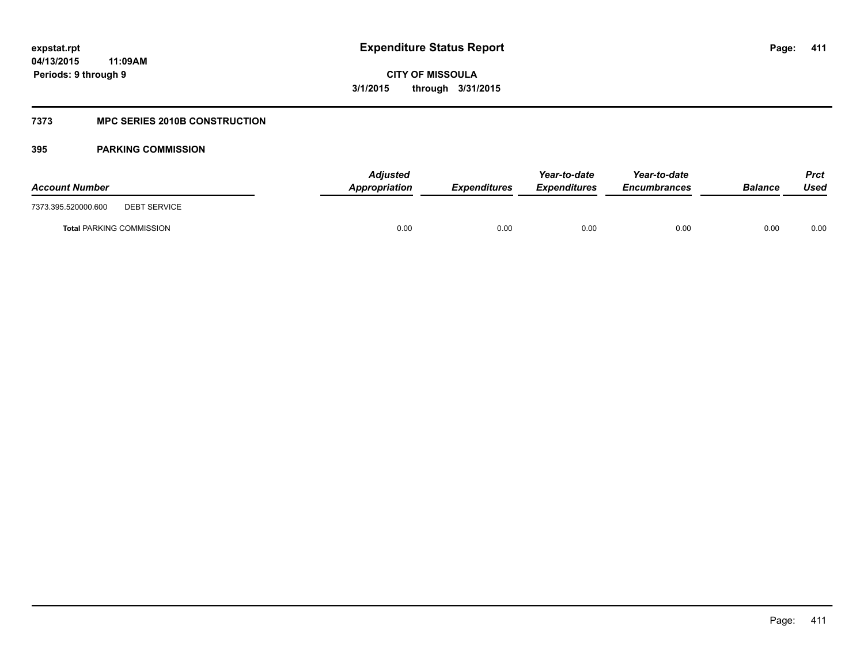## **7373 MPC SERIES 2010B CONSTRUCTION**

| <b>Account Number</b>                      | <b>Adjusted</b><br>Appropriation | <b>Expenditures</b> | Year-to-date<br><b>Expenditures</b> | Year-to-date<br><b>Encumbrances</b> | <b>Balance</b> | Prct<br>Used |
|--------------------------------------------|----------------------------------|---------------------|-------------------------------------|-------------------------------------|----------------|--------------|
| 7373.395.520000.600<br><b>DEBT SERVICE</b> |                                  |                     |                                     |                                     |                |              |
| <b>Total PARKING COMMISSION</b>            | 0.00                             | 0.00                | 0.00                                | 0.00                                | 0.00           | 0.00         |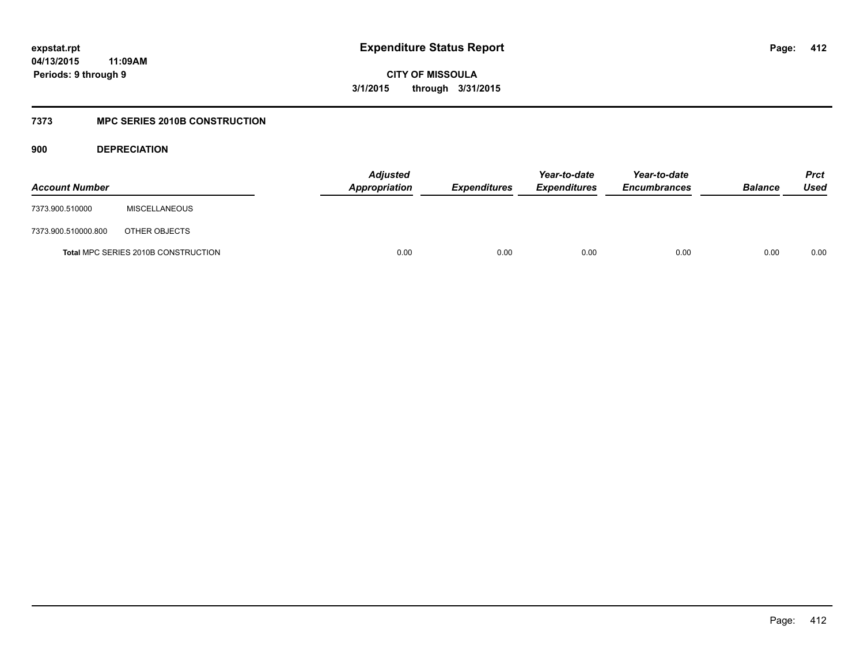**CITY OF MISSOULA 3/1/2015 through 3/31/2015**

## **7373 MPC SERIES 2010B CONSTRUCTION**

**900 DEPRECIATION**

| <b>Account Number</b> |                                            | Adjusted<br>Appropriation | <b>Expenditures</b> | Year-to-date<br><b>Expenditures</b> | Year-to-date<br><b>Encumbrances</b> | <b>Balance</b> | <b>Prct</b><br>Used |
|-----------------------|--------------------------------------------|---------------------------|---------------------|-------------------------------------|-------------------------------------|----------------|---------------------|
| 7373.900.510000       | <b>MISCELLANEOUS</b>                       |                           |                     |                                     |                                     |                |                     |
| 7373.900.510000.800   | OTHER OBJECTS                              |                           |                     |                                     |                                     |                |                     |
|                       | <b>Total MPC SERIES 2010B CONSTRUCTION</b> | 0.00                      | 0.00                | 0.00                                | 0.00                                | 0.00           | 0.00                |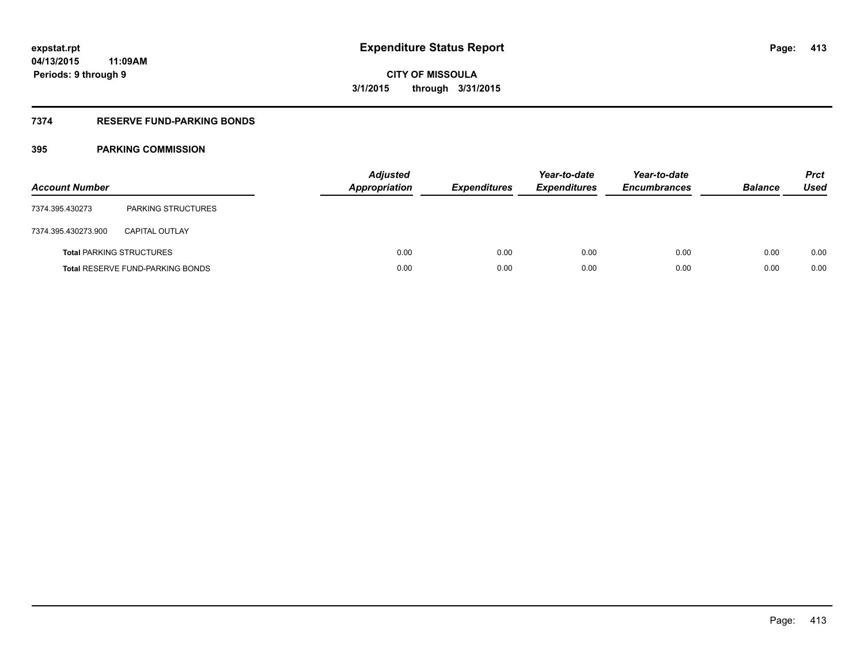## **7374 RESERVE FUND-PARKING BONDS**

| <b>Account Number</b> |                                         | <b>Adjusted</b><br><b>Appropriation</b> | <b>Expenditures</b> | Year-to-date<br><b>Expenditures</b> | Year-to-date<br><b>Encumbrances</b> | <b>Balance</b> | <b>Prct</b><br>Used |
|-----------------------|-----------------------------------------|-----------------------------------------|---------------------|-------------------------------------|-------------------------------------|----------------|---------------------|
| 7374.395.430273       | <b>PARKING STRUCTURES</b>               |                                         |                     |                                     |                                     |                |                     |
| 7374.395.430273.900   | <b>CAPITAL OUTLAY</b>                   |                                         |                     |                                     |                                     |                |                     |
|                       | <b>Total PARKING STRUCTURES</b>         | 0.00                                    | 0.00                | 0.00                                | 0.00                                | 0.00           | 0.00                |
|                       | <b>Total RESERVE FUND-PARKING BONDS</b> | 0.00                                    | 0.00                | 0.00                                | 0.00                                | 0.00           | 0.00                |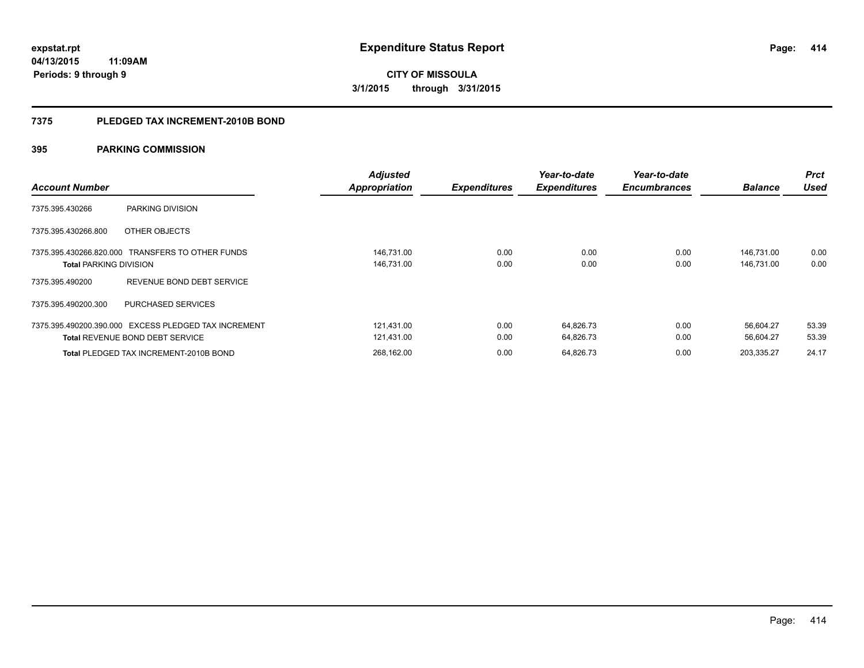**414**

**04/13/2015 11:09AM Periods: 9 through 9**

**CITY OF MISSOULA 3/1/2015 through 3/31/2015**

#### **7375 PLEDGED TAX INCREMENT-2010B BOND**

| <b>Account Number</b>         |                                                                                                | <b>Adjusted</b><br><b>Appropriation</b> | <b>Expenditures</b> | Year-to-date<br><b>Expenditures</b> | Year-to-date<br><b>Encumbrances</b> | <b>Balance</b>           | <b>Prct</b><br>Used |
|-------------------------------|------------------------------------------------------------------------------------------------|-----------------------------------------|---------------------|-------------------------------------|-------------------------------------|--------------------------|---------------------|
| 7375.395.430266               | PARKING DIVISION                                                                               |                                         |                     |                                     |                                     |                          |                     |
| 7375.395.430266.800           | OTHER OBJECTS                                                                                  |                                         |                     |                                     |                                     |                          |                     |
| <b>Total PARKING DIVISION</b> | 7375.395.430266.820.000 TRANSFERS TO OTHER FUNDS                                               | 146,731.00<br>146,731.00                | 0.00<br>0.00        | 0.00<br>0.00                        | 0.00<br>0.00                        | 146,731.00<br>146,731.00 | 0.00<br>0.00        |
| 7375.395.490200               | REVENUE BOND DEBT SERVICE                                                                      |                                         |                     |                                     |                                     |                          |                     |
| 7375.395.490200.300           | <b>PURCHASED SERVICES</b>                                                                      |                                         |                     |                                     |                                     |                          |                     |
|                               | 7375.395.490200.390.000 EXCESS PLEDGED TAX INCREMENT<br><b>Total REVENUE BOND DEBT SERVICE</b> | 121.431.00<br>121,431.00                | 0.00<br>0.00        | 64.826.73<br>64.826.73              | 0.00<br>0.00                        | 56.604.27<br>56.604.27   | 53.39<br>53.39      |
|                               | <b>Total PLEDGED TAX INCREMENT-2010B BOND</b>                                                  | 268.162.00                              | 0.00                | 64.826.73                           | 0.00                                | 203.335.27               | 24.17               |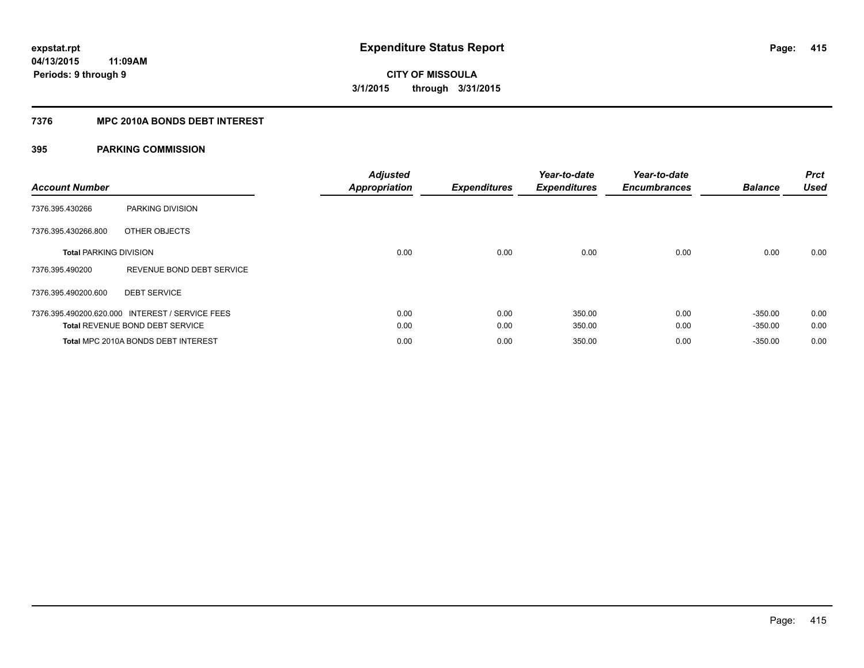## **7376 MPC 2010A BONDS DEBT INTEREST**

| <b>Account Number</b>         |                                                 | <b>Adjusted</b><br><b>Appropriation</b> | <b>Expenditures</b> | Year-to-date<br><b>Expenditures</b> | Year-to-date<br><b>Encumbrances</b> | <b>Balance</b> | <b>Prct</b><br><b>Used</b> |
|-------------------------------|-------------------------------------------------|-----------------------------------------|---------------------|-------------------------------------|-------------------------------------|----------------|----------------------------|
| 7376.395.430266               | PARKING DIVISION                                |                                         |                     |                                     |                                     |                |                            |
| 7376.395.430266.800           | OTHER OBJECTS                                   |                                         |                     |                                     |                                     |                |                            |
| <b>Total PARKING DIVISION</b> |                                                 | 0.00                                    | 0.00                | 0.00                                | 0.00                                | 0.00           | 0.00                       |
| 7376.395.490200               | REVENUE BOND DEBT SERVICE                       |                                         |                     |                                     |                                     |                |                            |
| 7376.395.490200.600           | <b>DEBT SERVICE</b>                             |                                         |                     |                                     |                                     |                |                            |
|                               | 7376.395.490200.620.000 INTEREST / SERVICE FEES | 0.00                                    | 0.00                | 350.00                              | 0.00                                | $-350.00$      | 0.00                       |
|                               | <b>Total REVENUE BOND DEBT SERVICE</b>          | 0.00                                    | 0.00                | 350.00                              | 0.00                                | $-350.00$      | 0.00                       |
|                               | Total MPC 2010A BONDS DEBT INTEREST             | 0.00                                    | 0.00                | 350.00                              | 0.00                                | $-350.00$      | 0.00                       |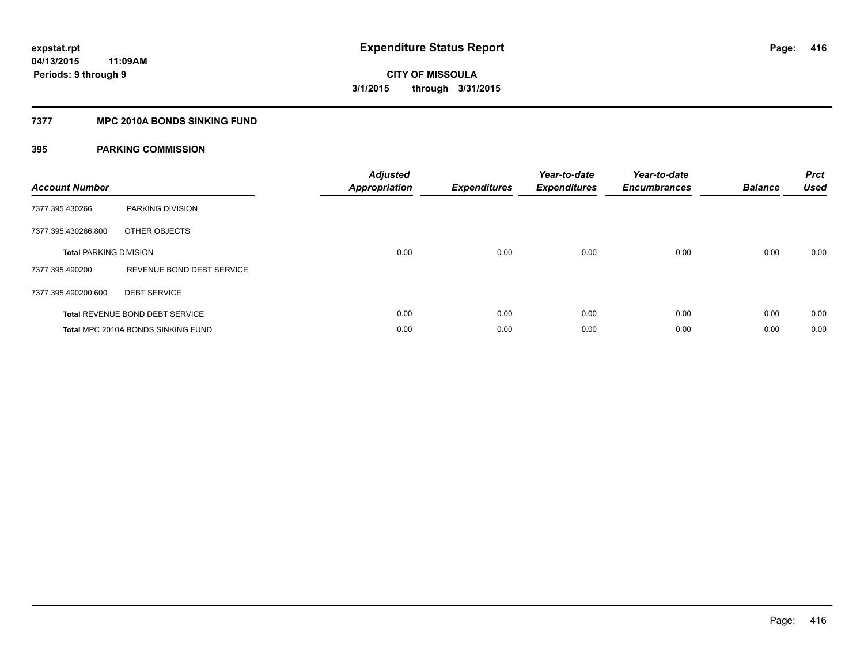## **7377 MPC 2010A BONDS SINKING FUND**

| <b>Account Number</b>         |                                        | <b>Adjusted</b><br>Appropriation | <b>Expenditures</b> | Year-to-date<br><b>Expenditures</b> | Year-to-date<br><b>Encumbrances</b> | <b>Balance</b> | <b>Prct</b><br><b>Used</b> |
|-------------------------------|----------------------------------------|----------------------------------|---------------------|-------------------------------------|-------------------------------------|----------------|----------------------------|
| 7377.395.430266               | PARKING DIVISION                       |                                  |                     |                                     |                                     |                |                            |
| 7377.395.430266.800           | OTHER OBJECTS                          |                                  |                     |                                     |                                     |                |                            |
| <b>Total PARKING DIVISION</b> |                                        | 0.00                             | 0.00                | 0.00                                | 0.00                                | 0.00           | 0.00                       |
| 7377.395.490200               | REVENUE BOND DEBT SERVICE              |                                  |                     |                                     |                                     |                |                            |
| 7377.395.490200.600           | <b>DEBT SERVICE</b>                    |                                  |                     |                                     |                                     |                |                            |
|                               | <b>Total REVENUE BOND DEBT SERVICE</b> | 0.00                             | 0.00                | 0.00                                | 0.00                                | 0.00           | 0.00                       |
|                               | Total MPC 2010A BONDS SINKING FUND     | 0.00                             | 0.00                | 0.00                                | 0.00                                | 0.00           | 0.00                       |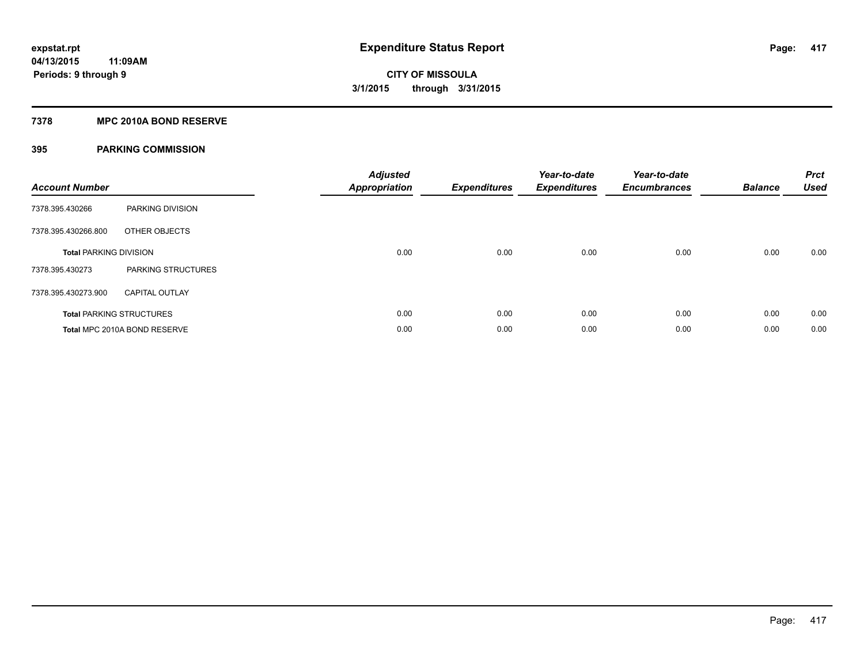## **7378 MPC 2010A BOND RESERVE**

| <b>Account Number</b>         |                                 | <b>Adjusted</b><br><b>Appropriation</b> | <b>Expenditures</b> | Year-to-date<br><b>Expenditures</b> | Year-to-date<br><b>Encumbrances</b> | <b>Balance</b> | <b>Prct</b><br><b>Used</b> |
|-------------------------------|---------------------------------|-----------------------------------------|---------------------|-------------------------------------|-------------------------------------|----------------|----------------------------|
| 7378.395.430266               | PARKING DIVISION                |                                         |                     |                                     |                                     |                |                            |
| 7378.395.430266.800           | OTHER OBJECTS                   |                                         |                     |                                     |                                     |                |                            |
| <b>Total PARKING DIVISION</b> |                                 | 0.00                                    | 0.00                | 0.00                                | 0.00                                | 0.00           | 0.00                       |
| 7378.395.430273               | PARKING STRUCTURES              |                                         |                     |                                     |                                     |                |                            |
| 7378.395.430273.900           | <b>CAPITAL OUTLAY</b>           |                                         |                     |                                     |                                     |                |                            |
|                               | <b>Total PARKING STRUCTURES</b> | 0.00                                    | 0.00                | 0.00                                | 0.00                                | 0.00           | 0.00                       |
|                               | Total MPC 2010A BOND RESERVE    | 0.00                                    | 0.00                | 0.00                                | 0.00                                | 0.00           | 0.00                       |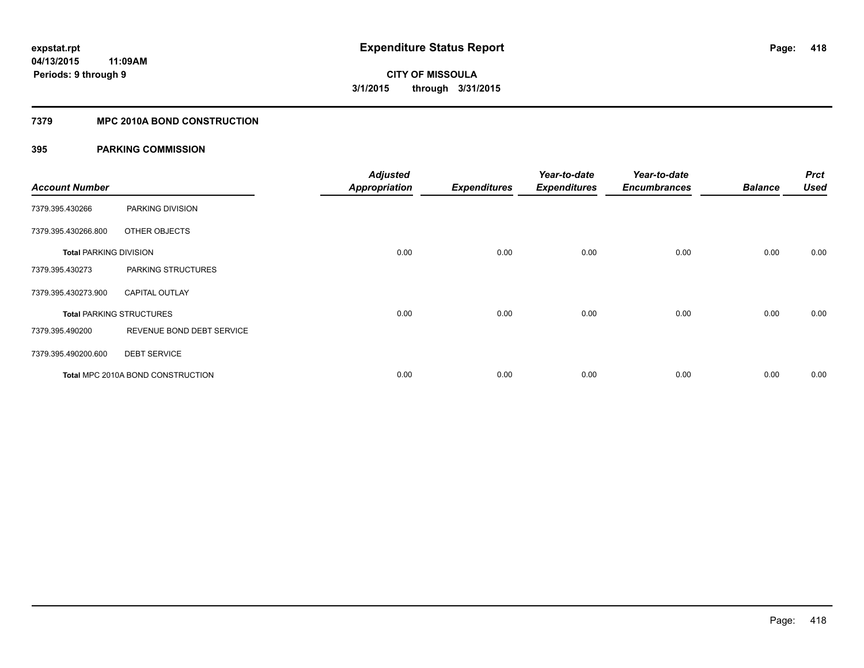## **7379 MPC 2010A BOND CONSTRUCTION**

| <b>Account Number</b>         |                                          | <b>Adjusted</b><br><b>Appropriation</b> | <b>Expenditures</b> | Year-to-date<br><b>Expenditures</b> | Year-to-date<br><b>Encumbrances</b> | <b>Balance</b> | <b>Prct</b><br>Used |
|-------------------------------|------------------------------------------|-----------------------------------------|---------------------|-------------------------------------|-------------------------------------|----------------|---------------------|
| 7379.395.430266               | PARKING DIVISION                         |                                         |                     |                                     |                                     |                |                     |
| 7379.395.430266.800           | OTHER OBJECTS                            |                                         |                     |                                     |                                     |                |                     |
| <b>Total PARKING DIVISION</b> |                                          | 0.00                                    | 0.00                | 0.00                                | 0.00                                | 0.00           | 0.00                |
| 7379.395.430273               | PARKING STRUCTURES                       |                                         |                     |                                     |                                     |                |                     |
| 7379.395.430273.900           | <b>CAPITAL OUTLAY</b>                    |                                         |                     |                                     |                                     |                |                     |
|                               | <b>Total PARKING STRUCTURES</b>          | 0.00                                    | 0.00                | 0.00                                | 0.00                                | 0.00           | 0.00                |
| 7379.395.490200               | REVENUE BOND DEBT SERVICE                |                                         |                     |                                     |                                     |                |                     |
| 7379.395.490200.600           | <b>DEBT SERVICE</b>                      |                                         |                     |                                     |                                     |                |                     |
|                               | <b>Total MPC 2010A BOND CONSTRUCTION</b> | 0.00                                    | 0.00                | 0.00                                | 0.00                                | 0.00           | 0.00                |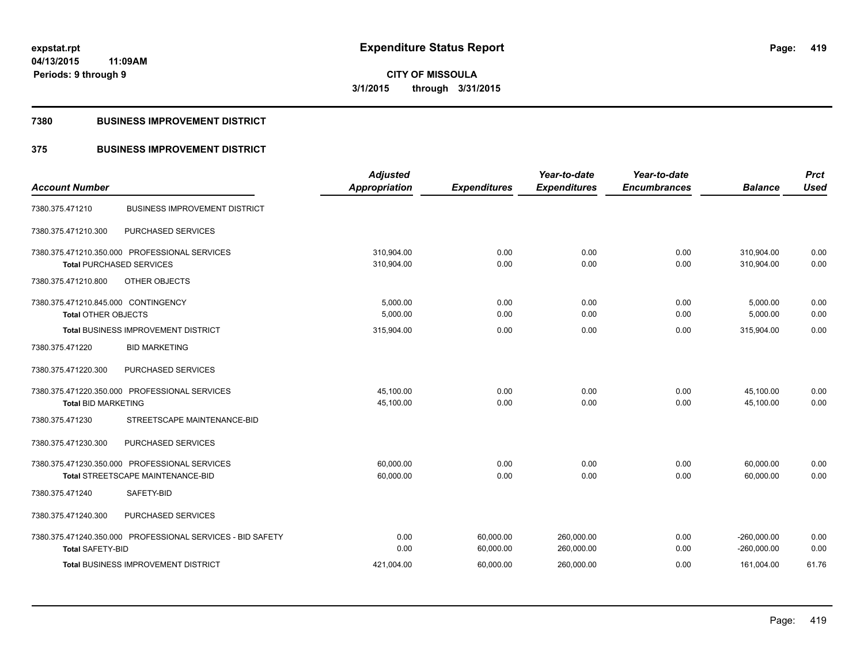**CITY OF MISSOULA 3/1/2015 through 3/31/2015**

### **7380 BUSINESS IMPROVEMENT DISTRICT**

## **375 BUSINESS IMPROVEMENT DISTRICT**

|                                                            | <b>Adjusted</b>      |                     | Year-to-date        | Year-to-date        |                | <b>Prct</b> |
|------------------------------------------------------------|----------------------|---------------------|---------------------|---------------------|----------------|-------------|
| <b>Account Number</b>                                      | <b>Appropriation</b> | <b>Expenditures</b> | <b>Expenditures</b> | <b>Encumbrances</b> | <b>Balance</b> | <b>Used</b> |
| <b>BUSINESS IMPROVEMENT DISTRICT</b><br>7380.375.471210    |                      |                     |                     |                     |                |             |
| PURCHASED SERVICES<br>7380.375.471210.300                  |                      |                     |                     |                     |                |             |
| 7380.375.471210.350.000 PROFESSIONAL SERVICES              | 310,904.00           | 0.00                | 0.00                | 0.00                | 310,904.00     | 0.00        |
| <b>Total PURCHASED SERVICES</b>                            | 310,904.00           | 0.00                | 0.00                | 0.00                | 310,904.00     | 0.00        |
| 7380.375.471210.800<br>OTHER OBJECTS                       |                      |                     |                     |                     |                |             |
| 7380.375.471210.845.000 CONTINGENCY                        | 5,000.00             | 0.00                | 0.00                | 0.00                | 5,000.00       | 0.00        |
| <b>Total OTHER OBJECTS</b>                                 | 5,000.00             | 0.00                | 0.00                | 0.00                | 5,000.00       | 0.00        |
| <b>Total BUSINESS IMPROVEMENT DISTRICT</b>                 | 315,904.00           | 0.00                | 0.00                | 0.00                | 315,904.00     | 0.00        |
| 7380.375.471220<br><b>BID MARKETING</b>                    |                      |                     |                     |                     |                |             |
| PURCHASED SERVICES<br>7380.375.471220.300                  |                      |                     |                     |                     |                |             |
| 7380.375.471220.350.000 PROFESSIONAL SERVICES              | 45,100.00            | 0.00                | 0.00                | 0.00                | 45,100.00      | 0.00        |
| <b>Total BID MARKETING</b>                                 | 45,100.00            | 0.00                | 0.00                | 0.00                | 45,100.00      | 0.00        |
| 7380.375.471230<br>STREETSCAPE MAINTENANCE-BID             |                      |                     |                     |                     |                |             |
| 7380.375.471230.300<br>PURCHASED SERVICES                  |                      |                     |                     |                     |                |             |
| 7380.375.471230.350.000 PROFESSIONAL SERVICES              | 60,000.00            | 0.00                | 0.00                | 0.00                | 60,000.00      | 0.00        |
| Total STREETSCAPE MAINTENANCE-BID                          | 60,000.00            | 0.00                | 0.00                | 0.00                | 60,000.00      | 0.00        |
| SAFETY-BID<br>7380.375.471240                              |                      |                     |                     |                     |                |             |
| 7380.375.471240.300<br>PURCHASED SERVICES                  |                      |                     |                     |                     |                |             |
| 7380.375.471240.350.000 PROFESSIONAL SERVICES - BID SAFETY | 0.00                 | 60,000.00           | 260,000.00          | 0.00                | $-260,000.00$  | 0.00        |
| <b>Total SAFETY-BID</b>                                    | 0.00                 | 60,000.00           | 260,000.00          | 0.00                | $-260,000.00$  | 0.00        |
| Total BUSINESS IMPROVEMENT DISTRICT                        | 421,004.00           | 60,000.00           | 260,000.00          | 0.00                | 161,004.00     | 61.76       |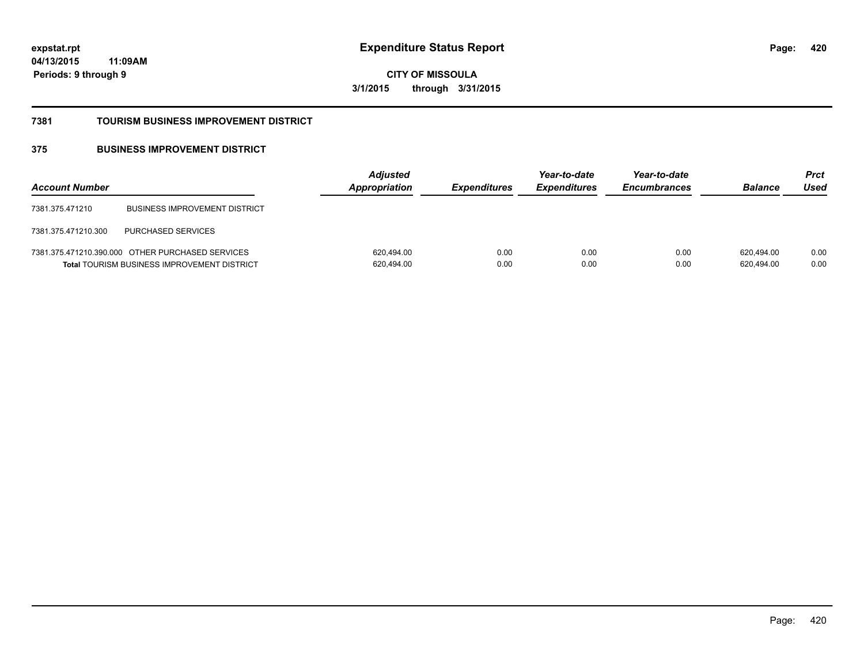**420**

**04/13/2015 11:09AM Periods: 9 through 9**

**CITY OF MISSOULA 3/1/2015 through 3/31/2015**

#### **7381 TOURISM BUSINESS IMPROVEMENT DISTRICT**

## **375 BUSINESS IMPROVEMENT DISTRICT**

| <b>Account Number</b> |                                                                                                        | <b>Adjusted</b><br>Appropriation | <b>Expenditures</b> | Year-to-date<br><b>Expenditures</b> | Year-to-date<br><b>Encumbrances</b> | <b>Balance</b>           | Prct<br>Used |
|-----------------------|--------------------------------------------------------------------------------------------------------|----------------------------------|---------------------|-------------------------------------|-------------------------------------|--------------------------|--------------|
| 7381.375.471210       | <b>BUSINESS IMPROVEMENT DISTRICT</b>                                                                   |                                  |                     |                                     |                                     |                          |              |
| 7381.375.471210.300   | <b>PURCHASED SERVICES</b>                                                                              |                                  |                     |                                     |                                     |                          |              |
|                       | 7381.375.471210.390.000 OTHER PURCHASED SERVICES<br><b>Total TOURISM BUSINESS IMPROVEMENT DISTRICT</b> | 620,494.00<br>620,494.00         | 0.00<br>0.00        | 0.00<br>0.00                        | 0.00<br>0.00                        | 620.494.00<br>620,494.00 | 0.00<br>0.00 |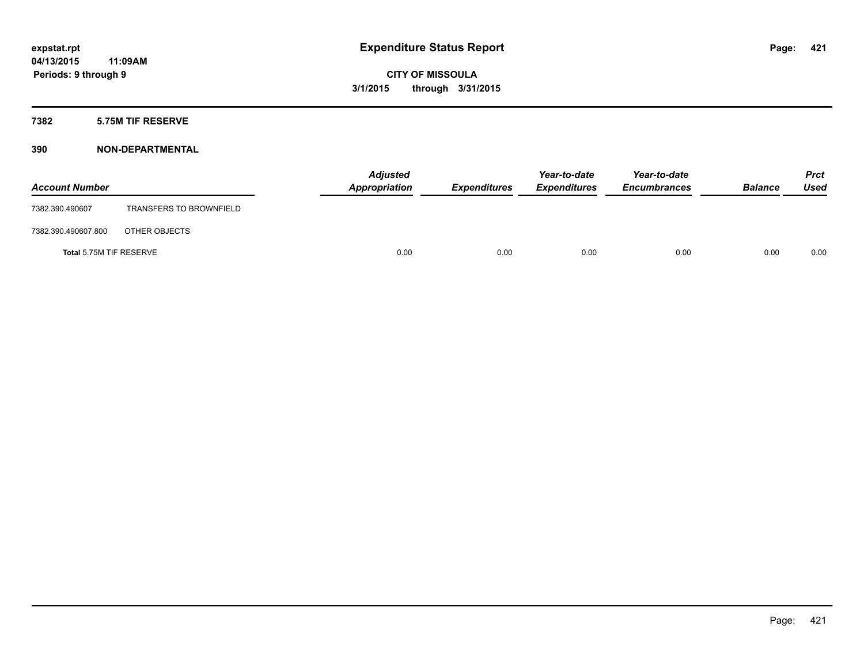## **7382 5.75M TIF RESERVE**

| <b>Account Number</b>   |                                | <b>Adjusted</b><br>Appropriation | <b>Expenditures</b> | Year-to-date<br><b>Expenditures</b> | Year-to-date<br><b>Encumbrances</b> | <b>Balance</b> | Prct<br><b>Used</b> |
|-------------------------|--------------------------------|----------------------------------|---------------------|-------------------------------------|-------------------------------------|----------------|---------------------|
| 7382.390.490607         | <b>TRANSFERS TO BROWNFIELD</b> |                                  |                     |                                     |                                     |                |                     |
| 7382.390.490607.800     | OTHER OBJECTS                  |                                  |                     |                                     |                                     |                |                     |
| Total 5.75M TIF RESERVE |                                | 0.00                             | 0.00                | 0.00                                | 0.00                                | 0.00           | 0.00                |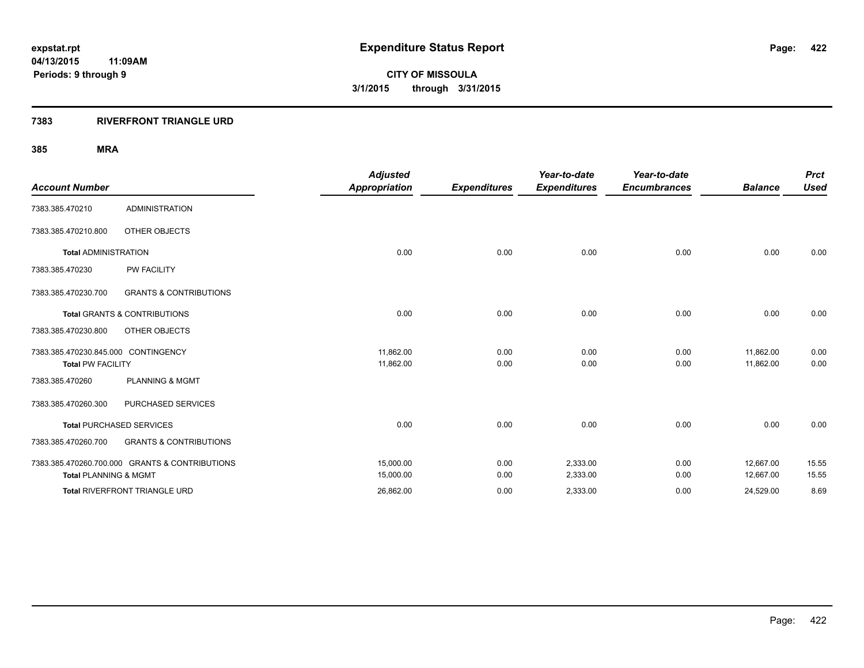## **7383 RIVERFRONT TRIANGLE URD**

|                                     |                                                | <b>Adjusted</b>      |                     | Year-to-date        | Year-to-date        |                | <b>Prct</b> |
|-------------------------------------|------------------------------------------------|----------------------|---------------------|---------------------|---------------------|----------------|-------------|
| <b>Account Number</b>               |                                                | <b>Appropriation</b> | <b>Expenditures</b> | <b>Expenditures</b> | <b>Encumbrances</b> | <b>Balance</b> | <b>Used</b> |
| 7383.385.470210                     | <b>ADMINISTRATION</b>                          |                      |                     |                     |                     |                |             |
| 7383.385.470210.800                 | OTHER OBJECTS                                  |                      |                     |                     |                     |                |             |
| <b>Total ADMINISTRATION</b>         |                                                | 0.00                 | 0.00                | 0.00                | 0.00                | 0.00           | 0.00        |
| 7383.385.470230                     | <b>PW FACILITY</b>                             |                      |                     |                     |                     |                |             |
| 7383.385.470230.700                 | <b>GRANTS &amp; CONTRIBUTIONS</b>              |                      |                     |                     |                     |                |             |
|                                     | <b>Total GRANTS &amp; CONTRIBUTIONS</b>        | 0.00                 | 0.00                | 0.00                | 0.00                | 0.00           | 0.00        |
| 7383.385.470230.800                 | OTHER OBJECTS                                  |                      |                     |                     |                     |                |             |
| 7383.385.470230.845.000 CONTINGENCY |                                                | 11,862.00            | 0.00                | 0.00                | 0.00                | 11,862.00      | 0.00        |
| <b>Total PW FACILITY</b>            |                                                | 11,862.00            | 0.00                | 0.00                | 0.00                | 11,862.00      | 0.00        |
| 7383.385.470260                     | <b>PLANNING &amp; MGMT</b>                     |                      |                     |                     |                     |                |             |
| 7383.385.470260.300                 | PURCHASED SERVICES                             |                      |                     |                     |                     |                |             |
|                                     | <b>Total PURCHASED SERVICES</b>                | 0.00                 | 0.00                | 0.00                | 0.00                | 0.00           | 0.00        |
| 7383.385.470260.700                 | <b>GRANTS &amp; CONTRIBUTIONS</b>              |                      |                     |                     |                     |                |             |
|                                     | 7383.385.470260.700.000 GRANTS & CONTRIBUTIONS | 15,000.00            | 0.00                | 2,333.00            | 0.00                | 12,667.00      | 15.55       |
| <b>Total PLANNING &amp; MGMT</b>    |                                                | 15,000.00            | 0.00                | 2,333.00            | 0.00                | 12,667.00      | 15.55       |
|                                     | Total RIVERFRONT TRIANGLE URD                  | 26,862.00            | 0.00                | 2,333.00            | 0.00                | 24,529.00      | 8.69        |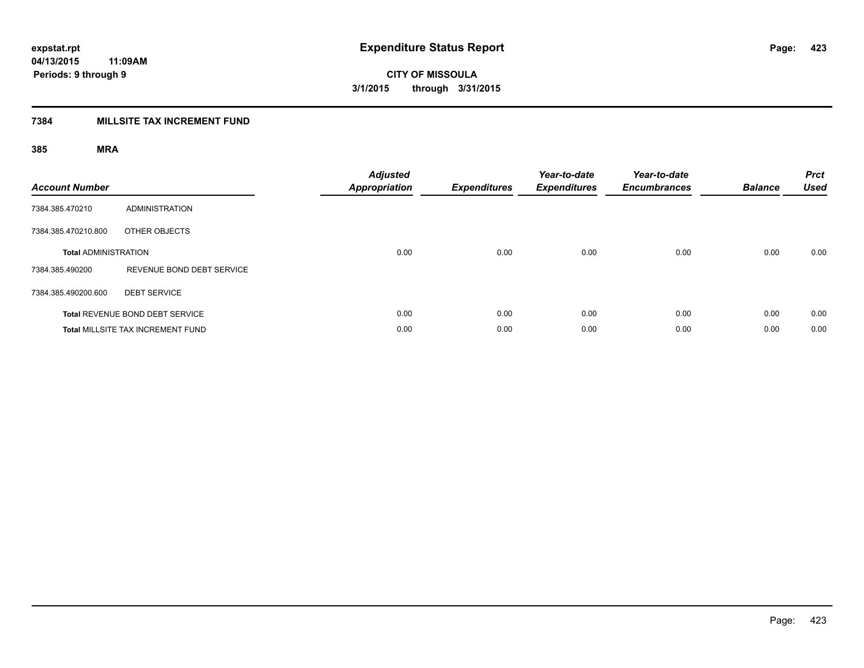## **7384 MILLSITE TAX INCREMENT FUND**

| <b>Account Number</b>       |                                          | <b>Adjusted</b><br>Appropriation | <b>Expenditures</b> | Year-to-date<br><b>Expenditures</b> | Year-to-date<br><b>Encumbrances</b> | <b>Balance</b> | <b>Prct</b><br><b>Used</b> |
|-----------------------------|------------------------------------------|----------------------------------|---------------------|-------------------------------------|-------------------------------------|----------------|----------------------------|
| 7384.385.470210             | <b>ADMINISTRATION</b>                    |                                  |                     |                                     |                                     |                |                            |
| 7384.385.470210.800         | OTHER OBJECTS                            |                                  |                     |                                     |                                     |                |                            |
| <b>Total ADMINISTRATION</b> |                                          | 0.00                             | 0.00                | 0.00                                | 0.00                                | 0.00           | 0.00                       |
| 7384.385.490200             | REVENUE BOND DEBT SERVICE                |                                  |                     |                                     |                                     |                |                            |
| 7384.385.490200.600         | <b>DEBT SERVICE</b>                      |                                  |                     |                                     |                                     |                |                            |
|                             | Total REVENUE BOND DEBT SERVICE          | 0.00                             | 0.00                | 0.00                                | 0.00                                | 0.00           | 0.00                       |
|                             | <b>Total MILLSITE TAX INCREMENT FUND</b> | 0.00                             | 0.00                | 0.00                                | 0.00                                | 0.00           | 0.00                       |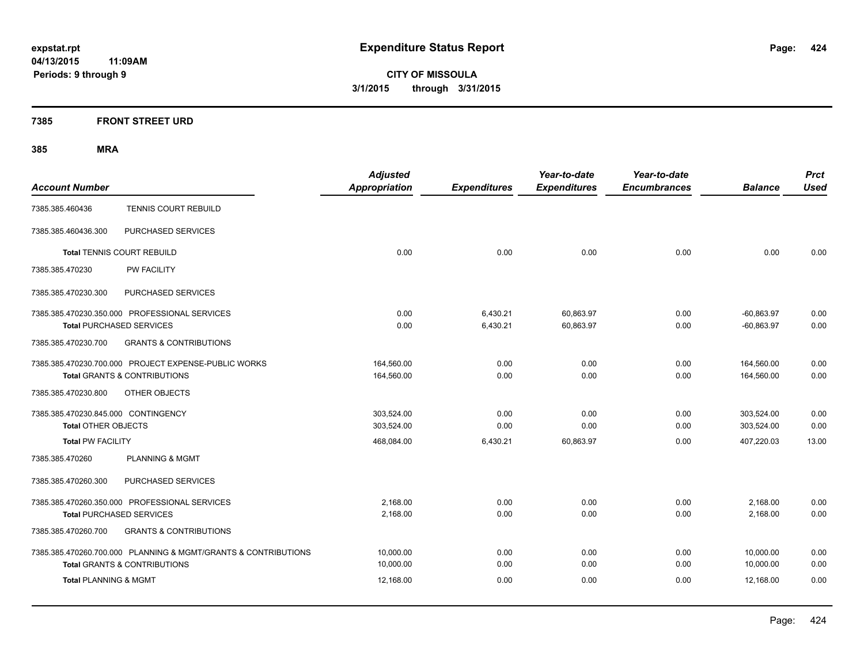**CITY OF MISSOULA 3/1/2015 through 3/31/2015**

## **7385 FRONT STREET URD**

| <b>Account Number</b>                                          | <b>Adjusted</b><br>Appropriation | <b>Expenditures</b> | Year-to-date<br><b>Expenditures</b> | Year-to-date<br><b>Encumbrances</b> | <b>Balance</b> | <b>Prct</b><br><b>Used</b> |
|----------------------------------------------------------------|----------------------------------|---------------------|-------------------------------------|-------------------------------------|----------------|----------------------------|
| TENNIS COURT REBUILD<br>7385.385.460436                        |                                  |                     |                                     |                                     |                |                            |
| PURCHASED SERVICES<br>7385.385.460436.300                      |                                  |                     |                                     |                                     |                |                            |
| <b>Total TENNIS COURT REBUILD</b>                              | 0.00                             | 0.00                | 0.00                                | 0.00                                | 0.00           | 0.00                       |
| PW FACILITY<br>7385.385.470230                                 |                                  |                     |                                     |                                     |                |                            |
| PURCHASED SERVICES<br>7385.385.470230.300                      |                                  |                     |                                     |                                     |                |                            |
| 7385.385.470230.350.000 PROFESSIONAL SERVICES                  | 0.00                             | 6,430.21            | 60,863.97                           | 0.00                                | $-60,863.97$   | 0.00                       |
| <b>Total PURCHASED SERVICES</b>                                | 0.00                             | 6,430.21            | 60,863.97                           | 0.00                                | $-60,863.97$   | 0.00                       |
| <b>GRANTS &amp; CONTRIBUTIONS</b><br>7385.385.470230.700       |                                  |                     |                                     |                                     |                |                            |
| 7385.385.470230.700.000 PROJECT EXPENSE-PUBLIC WORKS           | 164,560.00                       | 0.00                | 0.00                                | 0.00                                | 164,560.00     | 0.00                       |
| Total GRANTS & CONTRIBUTIONS                                   | 164,560.00                       | 0.00                | 0.00                                | 0.00                                | 164,560.00     | 0.00                       |
| 7385.385.470230.800<br>OTHER OBJECTS                           |                                  |                     |                                     |                                     |                |                            |
| 7385.385.470230.845.000 CONTINGENCY                            | 303,524.00                       | 0.00                | 0.00                                | 0.00                                | 303,524.00     | 0.00                       |
| <b>Total OTHER OBJECTS</b>                                     | 303,524.00                       | 0.00                | 0.00                                | 0.00                                | 303,524.00     | 0.00                       |
| <b>Total PW FACILITY</b>                                       | 468,084.00                       | 6,430.21            | 60,863.97                           | 0.00                                | 407,220.03     | 13.00                      |
| 7385.385.470260<br><b>PLANNING &amp; MGMT</b>                  |                                  |                     |                                     |                                     |                |                            |
| 7385.385.470260.300<br>PURCHASED SERVICES                      |                                  |                     |                                     |                                     |                |                            |
| 7385.385.470260.350.000 PROFESSIONAL SERVICES                  | 2,168.00                         | 0.00                | 0.00                                | 0.00                                | 2,168.00       | 0.00                       |
| <b>Total PURCHASED SERVICES</b>                                | 2,168.00                         | 0.00                | 0.00                                | 0.00                                | 2,168.00       | 0.00                       |
| 7385.385.470260.700<br><b>GRANTS &amp; CONTRIBUTIONS</b>       |                                  |                     |                                     |                                     |                |                            |
| 7385.385.470260.700.000 PLANNING & MGMT/GRANTS & CONTRIBUTIONS | 10,000.00                        | 0.00                | 0.00                                | 0.00                                | 10,000.00      | 0.00                       |
| <b>Total GRANTS &amp; CONTRIBUTIONS</b>                        | 10,000.00                        | 0.00                | 0.00                                | 0.00                                | 10,000.00      | 0.00                       |
| <b>Total PLANNING &amp; MGMT</b>                               | 12,168.00                        | 0.00                | 0.00                                | 0.00                                | 12,168.00      | 0.00                       |
|                                                                |                                  |                     |                                     |                                     |                |                            |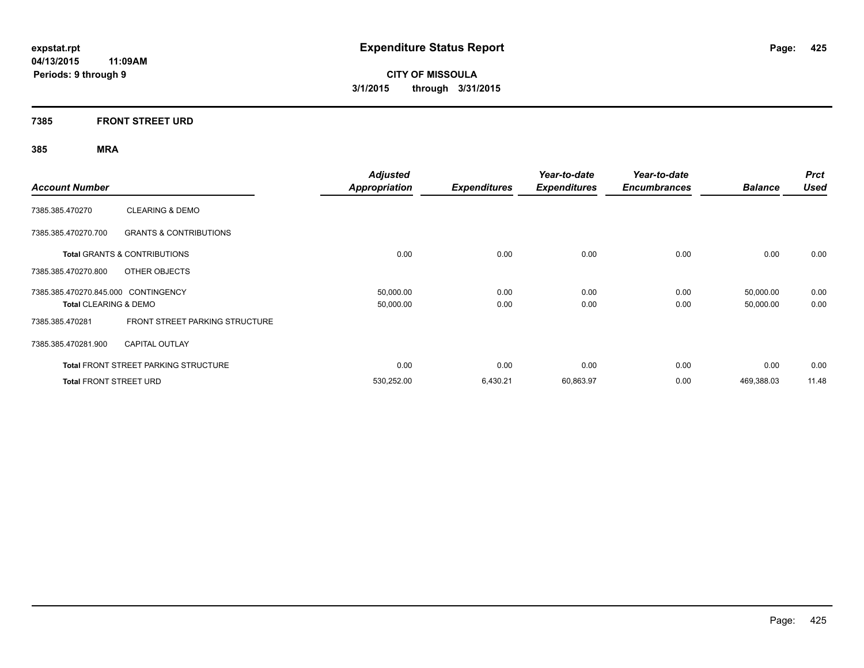**CITY OF MISSOULA 3/1/2015 through 3/31/2015**

## **7385 FRONT STREET URD**

| <b>Account Number</b>               |                                             | <b>Adjusted</b><br><b>Appropriation</b> | <b>Expenditures</b> | Year-to-date<br><b>Expenditures</b> | Year-to-date<br><b>Encumbrances</b> | <b>Balance</b> | <b>Prct</b><br><b>Used</b> |
|-------------------------------------|---------------------------------------------|-----------------------------------------|---------------------|-------------------------------------|-------------------------------------|----------------|----------------------------|
| 7385.385.470270                     | <b>CLEARING &amp; DEMO</b>                  |                                         |                     |                                     |                                     |                |                            |
| 7385.385.470270.700                 | <b>GRANTS &amp; CONTRIBUTIONS</b>           |                                         |                     |                                     |                                     |                |                            |
|                                     | Total GRANTS & CONTRIBUTIONS                | 0.00                                    | 0.00                | 0.00                                | 0.00                                | 0.00           | 0.00                       |
| 7385.385.470270.800                 | OTHER OBJECTS                               |                                         |                     |                                     |                                     |                |                            |
| 7385.385.470270.845.000 CONTINGENCY |                                             | 50,000.00                               | 0.00                | 0.00                                | 0.00                                | 50,000.00      | 0.00                       |
| <b>Total CLEARING &amp; DEMO</b>    |                                             | 50,000.00                               | 0.00                | 0.00                                | 0.00                                | 50,000.00      | 0.00                       |
| 7385.385.470281                     | <b>FRONT STREET PARKING STRUCTURE</b>       |                                         |                     |                                     |                                     |                |                            |
| 7385.385.470281.900                 | <b>CAPITAL OUTLAY</b>                       |                                         |                     |                                     |                                     |                |                            |
|                                     | <b>Total FRONT STREET PARKING STRUCTURE</b> | 0.00                                    | 0.00                | 0.00                                | 0.00                                | 0.00           | 0.00                       |
| <b>Total FRONT STREET URD</b>       |                                             | 530,252.00                              | 6,430.21            | 60,863.97                           | 0.00                                | 469.388.03     | 11.48                      |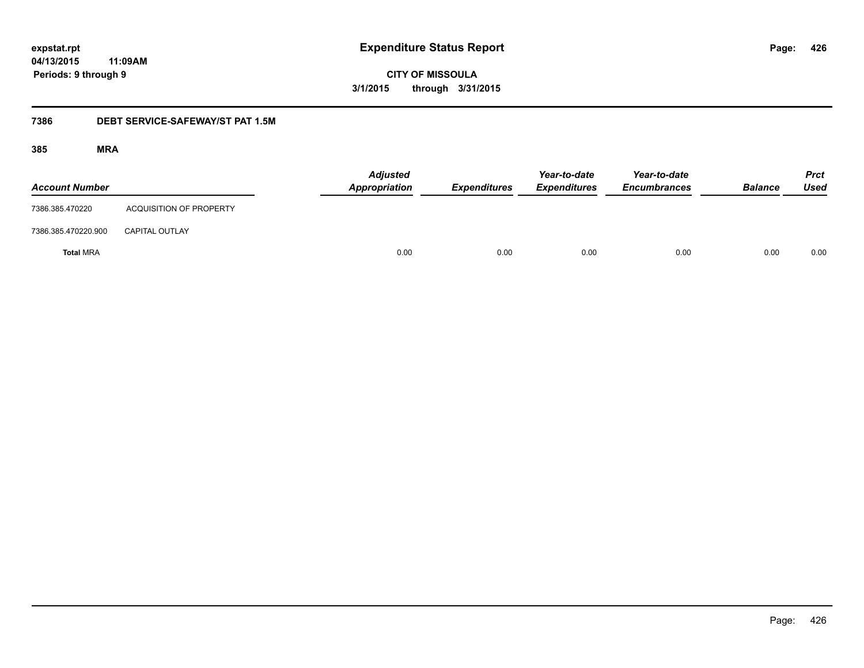**CITY OF MISSOULA 3/1/2015 through 3/31/2015**

## **7386 DEBT SERVICE-SAFEWAY/ST PAT 1.5M**

| <b>Account Number</b> |                                | <b>Adjusted</b><br>Appropriation | <b>Expenditures</b> | Year-to-date<br><b>Expenditures</b> | Year-to-date<br><b>Encumbrances</b> | <b>Balance</b> | <b>Prct</b><br><b>Used</b> |
|-----------------------|--------------------------------|----------------------------------|---------------------|-------------------------------------|-------------------------------------|----------------|----------------------------|
| 7386.385.470220       | <b>ACQUISITION OF PROPERTY</b> |                                  |                     |                                     |                                     |                |                            |
| 7386.385.470220.900   | <b>CAPITAL OUTLAY</b>          |                                  |                     |                                     |                                     |                |                            |
| <b>Total MRA</b>      |                                | 0.00                             | 0.00                | 0.00                                | 0.00                                | 0.00           | 0.00                       |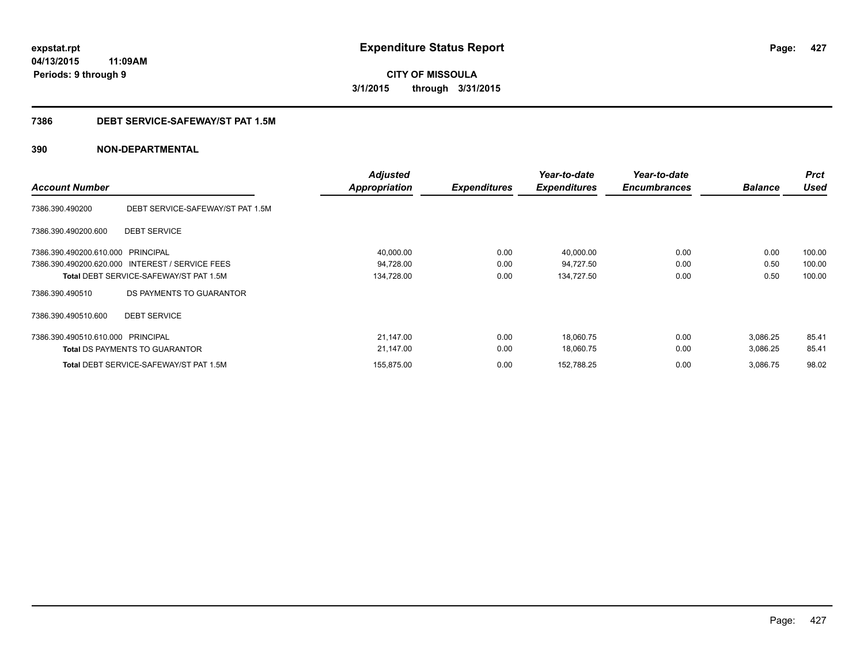**CITY OF MISSOULA 3/1/2015 through 3/31/2015**

## **7386 DEBT SERVICE-SAFEWAY/ST PAT 1.5M**

| <b>Account Number</b>             |                                                 | <b>Adjusted</b><br>Appropriation | <b>Expenditures</b> | Year-to-date<br><b>Expenditures</b> | Year-to-date<br><b>Encumbrances</b> | <b>Balance</b> | <b>Prct</b><br><b>Used</b> |
|-----------------------------------|-------------------------------------------------|----------------------------------|---------------------|-------------------------------------|-------------------------------------|----------------|----------------------------|
| 7386.390.490200                   | DEBT SERVICE-SAFEWAY/ST PAT 1.5M                |                                  |                     |                                     |                                     |                |                            |
| 7386.390.490200.600               | <b>DEBT SERVICE</b>                             |                                  |                     |                                     |                                     |                |                            |
| 7386.390.490200.610.000           | PRINCIPAL                                       | 40,000.00                        | 0.00                | 40,000.00                           | 0.00                                | 0.00           | 100.00                     |
|                                   | 7386.390.490200.620.000 INTEREST / SERVICE FEES | 94,728.00                        | 0.00                | 94,727.50                           | 0.00                                | 0.50           | 100.00                     |
|                                   | <b>Total DEBT SERVICE-SAFEWAY/ST PAT 1.5M</b>   | 134,728.00                       | 0.00                | 134,727.50                          | 0.00                                | 0.50           | 100.00                     |
| 7386.390.490510                   | DS PAYMENTS TO GUARANTOR                        |                                  |                     |                                     |                                     |                |                            |
| 7386.390.490510.600               | <b>DEBT SERVICE</b>                             |                                  |                     |                                     |                                     |                |                            |
| 7386.390.490510.610.000 PRINCIPAL |                                                 | 21,147.00                        | 0.00                | 18,060.75                           | 0.00                                | 3,086.25       | 85.41                      |
|                                   | <b>Total DS PAYMENTS TO GUARANTOR</b>           | 21,147.00                        | 0.00                | 18,060.75                           | 0.00                                | 3,086.25       | 85.41                      |
|                                   | <b>Total DEBT SERVICE-SAFEWAY/ST PAT 1.5M</b>   | 155,875.00                       | 0.00                | 152,788.25                          | 0.00                                | 3,086.75       | 98.02                      |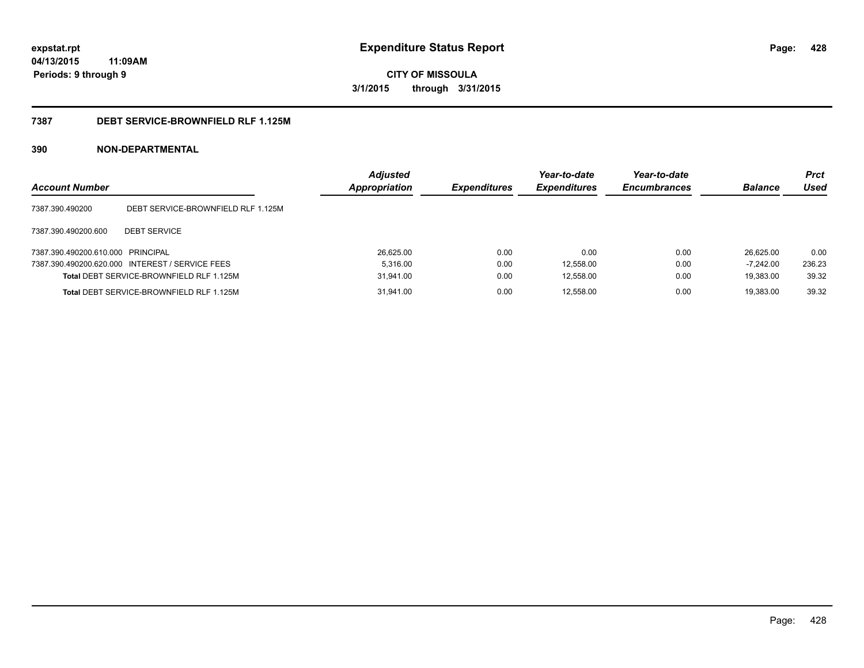**CITY OF MISSOULA 3/1/2015 through 3/31/2015**

## **7387 DEBT SERVICE-BROWNFIELD RLF 1.125M**

| <b>Account Number</b>             |                                                 | <b>Adjusted</b><br>Appropriation | <b>Expenditures</b> | Year-to-date<br><b>Expenditures</b> | Year-to-date<br><b>Encumbrances</b> | <b>Balance</b> | <b>Prct</b><br>Used |
|-----------------------------------|-------------------------------------------------|----------------------------------|---------------------|-------------------------------------|-------------------------------------|----------------|---------------------|
| 7387.390.490200                   | DEBT SERVICE-BROWNFIELD RLF 1.125M              |                                  |                     |                                     |                                     |                |                     |
| 7387.390.490200.600               | <b>DEBT SERVICE</b>                             |                                  |                     |                                     |                                     |                |                     |
| 7387.390.490200.610.000 PRINCIPAL |                                                 | 26,625.00                        | 0.00                | 0.00                                | 0.00                                | 26.625.00      | 0.00                |
|                                   | 7387.390.490200.620.000 INTEREST / SERVICE FEES | 5.316.00                         | 0.00                | 12,558.00                           | 0.00                                | $-7.242.00$    | 236.23              |
|                                   | <b>Total DEBT SERVICE-BROWNFIELD RLF 1.125M</b> | 31,941.00                        | 0.00                | 12,558.00                           | 0.00                                | 19.383.00      | 39.32               |
|                                   | Total DEBT SERVICE-BROWNFIELD RLF 1.125M        | 31.941.00                        | 0.00                | 12,558.00                           | 0.00                                | 19.383.00      | 39.32               |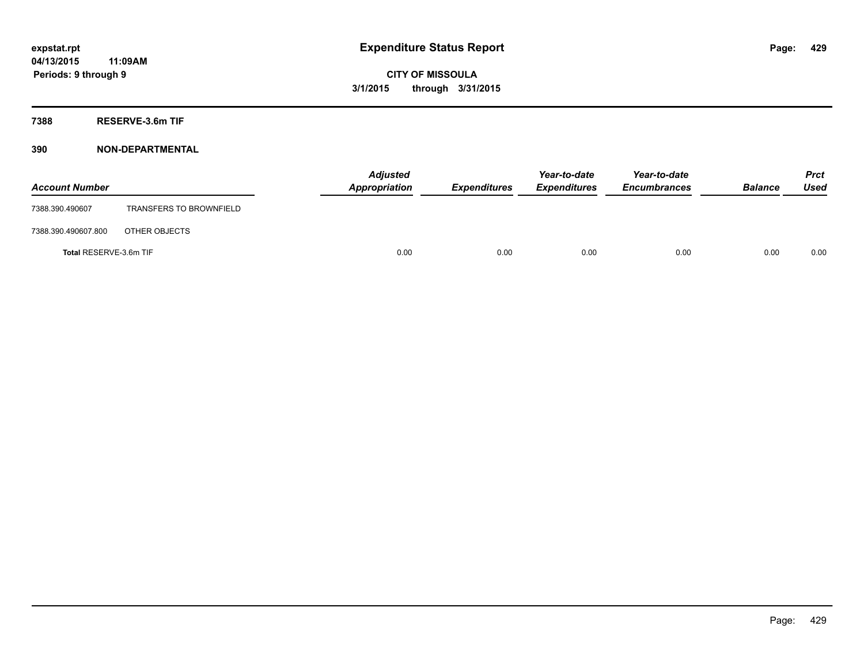**7388 RESERVE-3.6m TIF**

| <b>Account Number</b>  |                                | <b>Adjusted</b><br>Appropriation | <b>Expenditures</b> | Year-to-date<br><b>Expenditures</b> | Year-to-date<br><b>Encumbrances</b> | <b>Balance</b> | <b>Prct</b><br><b>Used</b> |
|------------------------|--------------------------------|----------------------------------|---------------------|-------------------------------------|-------------------------------------|----------------|----------------------------|
| 7388.390.490607        | <b>TRANSFERS TO BROWNFIELD</b> |                                  |                     |                                     |                                     |                |                            |
| 7388.390.490607.800    | OTHER OBJECTS                  |                                  |                     |                                     |                                     |                |                            |
| Total RESERVE-3.6m TIF |                                | 0.00                             | 0.00                | 0.00                                | 0.00                                | 0.00           | 0.00                       |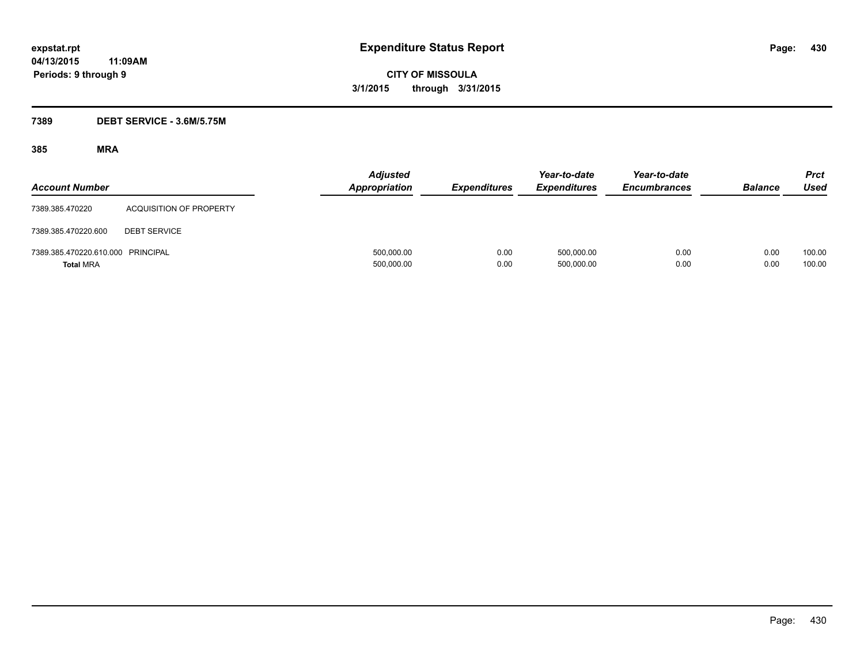**CITY OF MISSOULA 3/1/2015 through 3/31/2015**

## **7389 DEBT SERVICE - 3.6M/5.75M**

| <b>Account Number</b>                                 |                         | <b>Adjusted</b><br><b>Appropriation</b> | <b>Expenditures</b> | Year-to-date<br><b>Expenditures</b> | Year-to-date<br><b>Encumbrances</b> | <b>Balance</b> | <b>Prct</b><br>Used |
|-------------------------------------------------------|-------------------------|-----------------------------------------|---------------------|-------------------------------------|-------------------------------------|----------------|---------------------|
| 7389.385.470220                                       | ACQUISITION OF PROPERTY |                                         |                     |                                     |                                     |                |                     |
| 7389.385.470220.600                                   | <b>DEBT SERVICE</b>     |                                         |                     |                                     |                                     |                |                     |
| 7389.385.470220.610.000 PRINCIPAL<br><b>Total MRA</b> |                         | 500,000.00<br>500,000.00                | 0.00<br>0.00        | 500,000.00<br>500,000.00            | 0.00<br>0.00                        | 0.00<br>0.00   | 100.00<br>100.00    |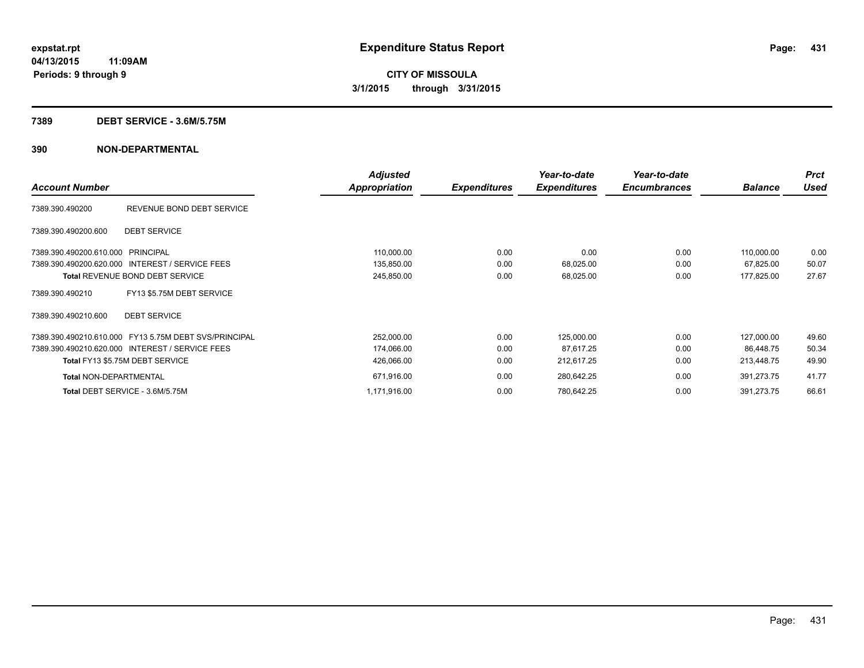### **7389 DEBT SERVICE - 3.6M/5.75M**

|                                                       | <b>Adjusted</b> |                     | Year-to-date        | Year-to-date        |                | <b>Prct</b> |
|-------------------------------------------------------|-----------------|---------------------|---------------------|---------------------|----------------|-------------|
| <b>Account Number</b>                                 | Appropriation   | <b>Expenditures</b> | <b>Expenditures</b> | <b>Encumbrances</b> | <b>Balance</b> | Used        |
| REVENUE BOND DEBT SERVICE<br>7389.390.490200          |                 |                     |                     |                     |                |             |
| <b>DEBT SERVICE</b><br>7389.390.490200.600            |                 |                     |                     |                     |                |             |
| 7389.390.490200.610.000 PRINCIPAL                     | 110,000.00      | 0.00                | 0.00                | 0.00                | 110,000.00     | 0.00        |
| 7389.390.490200.620.000 INTEREST / SERVICE FEES       | 135,850.00      | 0.00                | 68,025.00           | 0.00                | 67,825.00      | 50.07       |
| <b>Total REVENUE BOND DEBT SERVICE</b>                | 245,850.00      | 0.00                | 68,025.00           | 0.00                | 177,825.00     | 27.67       |
| FY13 \$5.75M DEBT SERVICE<br>7389.390.490210          |                 |                     |                     |                     |                |             |
| <b>DEBT SERVICE</b><br>7389.390.490210.600            |                 |                     |                     |                     |                |             |
| 7389.390.490210.610.000 FY13 5.75M DEBT SVS/PRINCIPAL | 252,000.00      | 0.00                | 125,000.00          | 0.00                | 127,000.00     | 49.60       |
| 7389.390.490210.620.000 INTEREST / SERVICE FEES       | 174,066.00      | 0.00                | 87,617.25           | 0.00                | 86.448.75      | 50.34       |
| Total FY13 \$5.75M DEBT SERVICE                       | 426,066.00      | 0.00                | 212,617.25          | 0.00                | 213,448.75     | 49.90       |
| <b>Total NON-DEPARTMENTAL</b>                         | 671,916.00      | 0.00                | 280,642.25          | 0.00                | 391,273.75     | 41.77       |
| Total DEBT SERVICE - 3.6M/5.75M                       | 1,171,916.00    | 0.00                | 780,642.25          | 0.00                | 391,273.75     | 66.61       |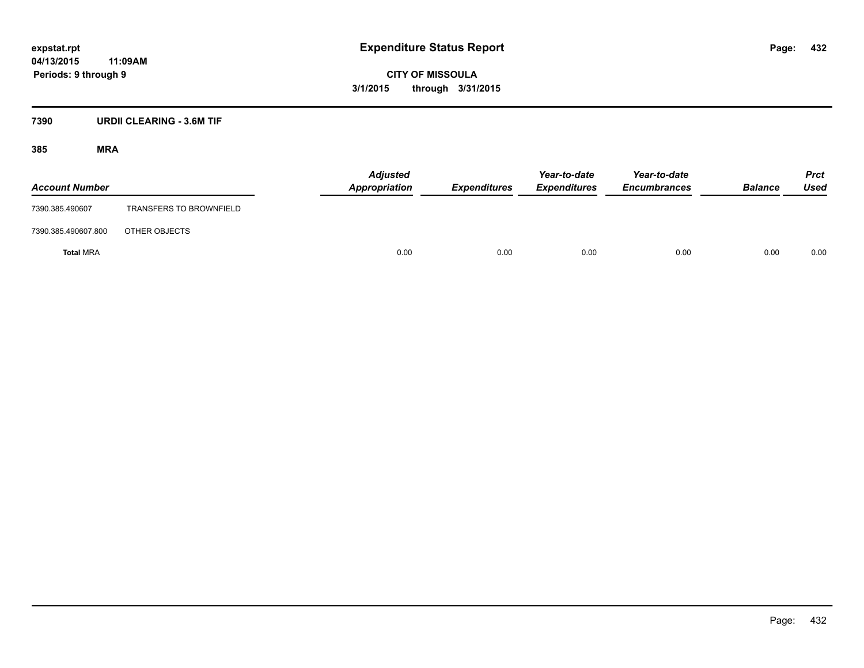**CITY OF MISSOULA 3/1/2015 through 3/31/2015**

## **7390 URDII CLEARING - 3.6M TIF**

| <b>Account Number</b> |                                | <b>Adjusted</b><br>Appropriation | <b>Expenditures</b> | Year-to-date<br><b>Expenditures</b> | Year-to-date<br><b>Encumbrances</b> | <b>Balance</b> | <b>Prct</b><br>Used |
|-----------------------|--------------------------------|----------------------------------|---------------------|-------------------------------------|-------------------------------------|----------------|---------------------|
| 7390.385.490607       | <b>TRANSFERS TO BROWNFIELD</b> |                                  |                     |                                     |                                     |                |                     |
| 7390.385.490607.800   | OTHER OBJECTS                  |                                  |                     |                                     |                                     |                |                     |
| <b>Total MRA</b>      |                                | 0.00                             | 0.00                | 0.00                                | 0.00                                | 0.00           | 0.00                |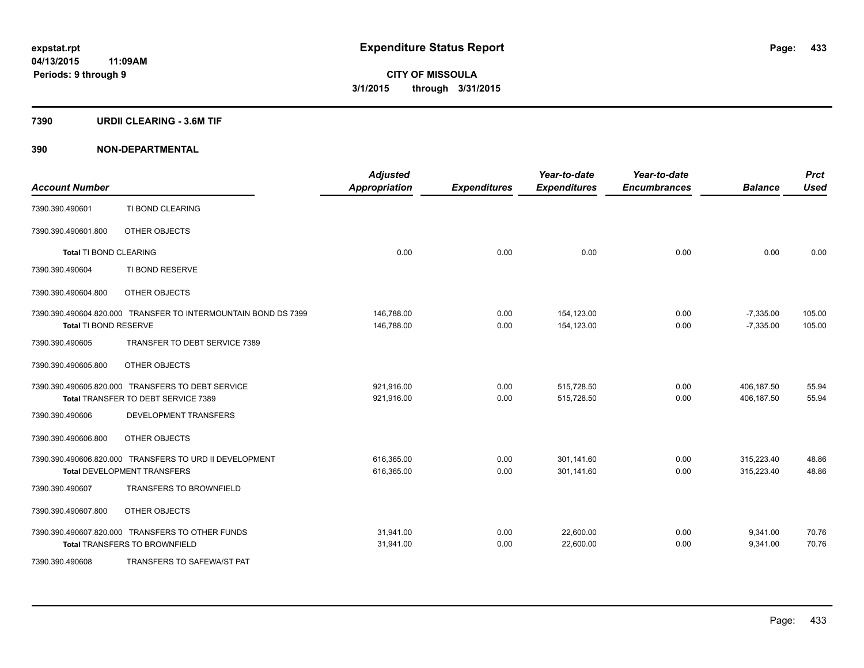### **7390 URDII CLEARING - 3.6M TIF**

| <b>Account Number</b>  |                                                                | <b>Adjusted</b><br><b>Appropriation</b> | <b>Expenditures</b> | Year-to-date<br><b>Expenditures</b> | Year-to-date<br><b>Encumbrances</b> | <b>Balance</b> | <b>Prct</b><br><b>Used</b> |
|------------------------|----------------------------------------------------------------|-----------------------------------------|---------------------|-------------------------------------|-------------------------------------|----------------|----------------------------|
| 7390.390.490601        | TI BOND CLEARING                                               |                                         |                     |                                     |                                     |                |                            |
| 7390.390.490601.800    | OTHER OBJECTS                                                  |                                         |                     |                                     |                                     |                |                            |
| Total TI BOND CLEARING |                                                                | 0.00                                    | 0.00                | 0.00                                | 0.00                                | 0.00           | 0.00                       |
| 7390.390.490604        | TI BOND RESERVE                                                |                                         |                     |                                     |                                     |                |                            |
| 7390.390.490604.800    | OTHER OBJECTS                                                  |                                         |                     |                                     |                                     |                |                            |
|                        | 7390.390.490604.820.000 TRANSFER TO INTERMOUNTAIN BOND DS 7399 | 146,788.00                              | 0.00                | 154,123.00                          | 0.00                                | $-7,335.00$    | 105.00                     |
| Total TI BOND RESERVE  |                                                                | 146,788.00                              | 0.00                | 154,123.00                          | 0.00                                | $-7,335.00$    | 105.00                     |
| 7390.390.490605        | TRANSFER TO DEBT SERVICE 7389                                  |                                         |                     |                                     |                                     |                |                            |
| 7390.390.490605.800    | OTHER OBJECTS                                                  |                                         |                     |                                     |                                     |                |                            |
|                        | 7390.390.490605.820.000 TRANSFERS TO DEBT SERVICE              | 921,916.00                              | 0.00                | 515,728.50                          | 0.00                                | 406,187.50     | 55.94                      |
|                        | Total TRANSFER TO DEBT SERVICE 7389                            | 921,916.00                              | 0.00                | 515,728.50                          | 0.00                                | 406,187.50     | 55.94                      |
| 7390.390.490606        | <b>DEVELOPMENT TRANSFERS</b>                                   |                                         |                     |                                     |                                     |                |                            |
| 7390.390.490606.800    | OTHER OBJECTS                                                  |                                         |                     |                                     |                                     |                |                            |
|                        | 7390.390.490606.820.000 TRANSFERS TO URD II DEVELOPMENT        | 616,365.00                              | 0.00                | 301.141.60                          | 0.00                                | 315,223.40     | 48.86                      |
|                        | <b>Total DEVELOPMENT TRANSFERS</b>                             | 616,365.00                              | 0.00                | 301,141.60                          | 0.00                                | 315,223.40     | 48.86                      |
| 7390.390.490607        | <b>TRANSFERS TO BROWNFIELD</b>                                 |                                         |                     |                                     |                                     |                |                            |
| 7390.390.490607.800    | OTHER OBJECTS                                                  |                                         |                     |                                     |                                     |                |                            |
|                        | 7390.390.490607.820.000 TRANSFERS TO OTHER FUNDS               | 31,941.00                               | 0.00                | 22,600.00                           | 0.00                                | 9,341.00       | 70.76                      |
|                        | <b>Total TRANSFERS TO BROWNFIELD</b>                           | 31,941.00                               | 0.00                | 22,600.00                           | 0.00                                | 9,341.00       | 70.76                      |
| 7390.390.490608        | TRANSFERS TO SAFEWA/ST PAT                                     |                                         |                     |                                     |                                     |                |                            |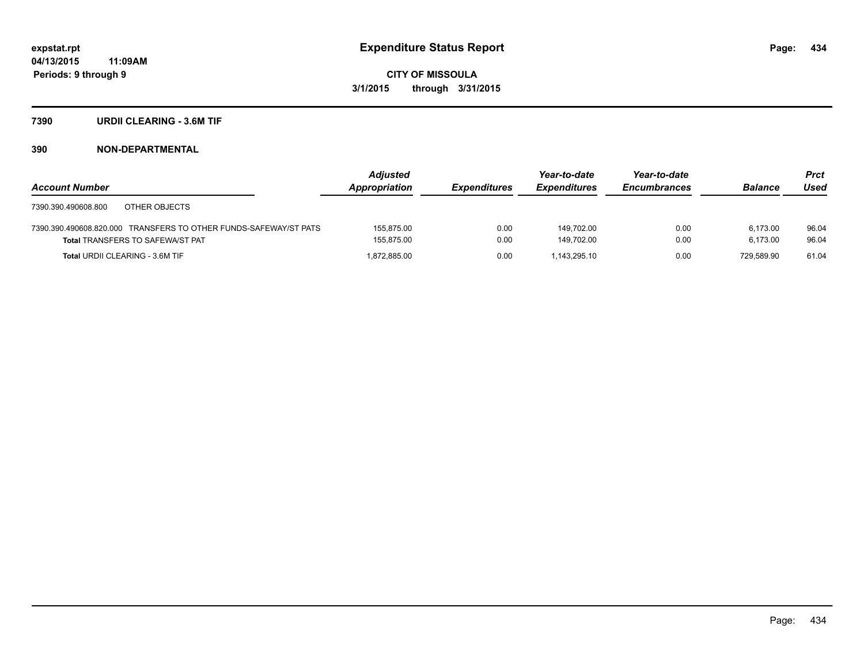### **7390 URDII CLEARING - 3.6M TIF**

|                                                                  | <b>Adjusted</b> |                     | Year-to-date        | Year-to-date        |                | <b>Prct</b> |
|------------------------------------------------------------------|-----------------|---------------------|---------------------|---------------------|----------------|-------------|
| <b>Account Number</b>                                            | Appropriation   | <b>Expenditures</b> | <b>Expenditures</b> | <b>Encumbrances</b> | <b>Balance</b> | Used        |
| 7390.390.490608.800<br>OTHER OBJECTS                             |                 |                     |                     |                     |                |             |
| 7390.390.490608.820.000 TRANSFERS TO OTHER FUNDS-SAFEWAY/ST PATS | 155.875.00      | 0.00                | 149.702.00          | 0.00                | 6.173.00       | 96.04       |
| <b>Total TRANSFERS TO SAFEWA/ST PAT</b>                          | 155.875.00      | 0.00                | 149.702.00          | 0.00                | 6.173.00       | 96.04       |
| <b>Total URDII CLEARING - 3.6M TIF</b>                           | 1.872.885.00    | 0.00                | 1.143.295.10        | 0.00                | 729.589.90     | 61.04       |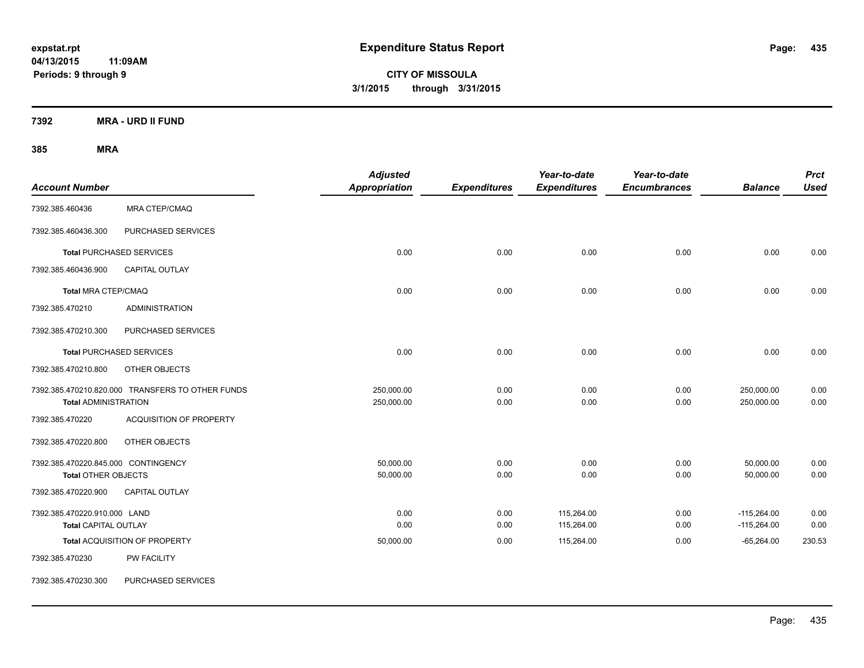**CITY OF MISSOULA 3/1/2015 through 3/31/2015**

**7392 MRA - URD II FUND**

| <b>Account Number</b>                                             |                                                  | <b>Adjusted</b><br><b>Appropriation</b> | <b>Expenditures</b> | Year-to-date<br><b>Expenditures</b> | Year-to-date<br><b>Encumbrances</b> | <b>Balance</b>                 | <b>Prct</b><br><b>Used</b> |
|-------------------------------------------------------------------|--------------------------------------------------|-----------------------------------------|---------------------|-------------------------------------|-------------------------------------|--------------------------------|----------------------------|
| 7392.385.460436                                                   | MRA CTEP/CMAQ                                    |                                         |                     |                                     |                                     |                                |                            |
| 7392.385.460436.300                                               | PURCHASED SERVICES                               |                                         |                     |                                     |                                     |                                |                            |
|                                                                   | <b>Total PURCHASED SERVICES</b>                  | 0.00                                    | 0.00                | 0.00                                | 0.00                                | 0.00                           | 0.00                       |
| 7392.385.460436.900                                               | <b>CAPITAL OUTLAY</b>                            |                                         |                     |                                     |                                     |                                |                            |
| Total MRA CTEP/CMAQ                                               |                                                  | 0.00                                    | 0.00                | 0.00                                | 0.00                                | 0.00                           | 0.00                       |
| 7392.385.470210                                                   | <b>ADMINISTRATION</b>                            |                                         |                     |                                     |                                     |                                |                            |
| 7392.385.470210.300                                               | PURCHASED SERVICES                               |                                         |                     |                                     |                                     |                                |                            |
|                                                                   | <b>Total PURCHASED SERVICES</b>                  | 0.00                                    | 0.00                | 0.00                                | 0.00                                | 0.00                           | 0.00                       |
| 7392.385.470210.800                                               | OTHER OBJECTS                                    |                                         |                     |                                     |                                     |                                |                            |
| <b>Total ADMINISTRATION</b>                                       | 7392.385.470210.820.000 TRANSFERS TO OTHER FUNDS | 250,000.00<br>250,000.00                | 0.00<br>0.00        | 0.00<br>0.00                        | 0.00<br>0.00                        | 250,000.00<br>250,000.00       | 0.00<br>0.00               |
| 7392.385.470220                                                   | <b>ACQUISITION OF PROPERTY</b>                   |                                         |                     |                                     |                                     |                                |                            |
| 7392.385.470220.800                                               | OTHER OBJECTS                                    |                                         |                     |                                     |                                     |                                |                            |
| 7392.385.470220.845.000 CONTINGENCY<br><b>Total OTHER OBJECTS</b> |                                                  | 50,000.00<br>50,000.00                  | 0.00<br>0.00        | 0.00<br>0.00                        | 0.00<br>0.00                        | 50,000.00<br>50,000.00         | 0.00<br>0.00               |
| 7392.385.470220.900                                               | CAPITAL OUTLAY                                   |                                         |                     |                                     |                                     |                                |                            |
| 7392.385.470220.910.000 LAND<br><b>Total CAPITAL OUTLAY</b>       |                                                  | 0.00<br>0.00                            | 0.00<br>0.00        | 115,264.00<br>115,264.00            | 0.00<br>0.00                        | $-115,264.00$<br>$-115,264.00$ | 0.00<br>0.00               |
|                                                                   | Total ACQUISITION OF PROPERTY                    | 50,000.00                               | 0.00                | 115,264.00                          | 0.00                                | $-65,264.00$                   | 230.53                     |
| 7392.385.470230                                                   | <b>PW FACILITY</b>                               |                                         |                     |                                     |                                     |                                |                            |
| 7392.385.470230.300                                               | PURCHASED SERVICES                               |                                         |                     |                                     |                                     |                                |                            |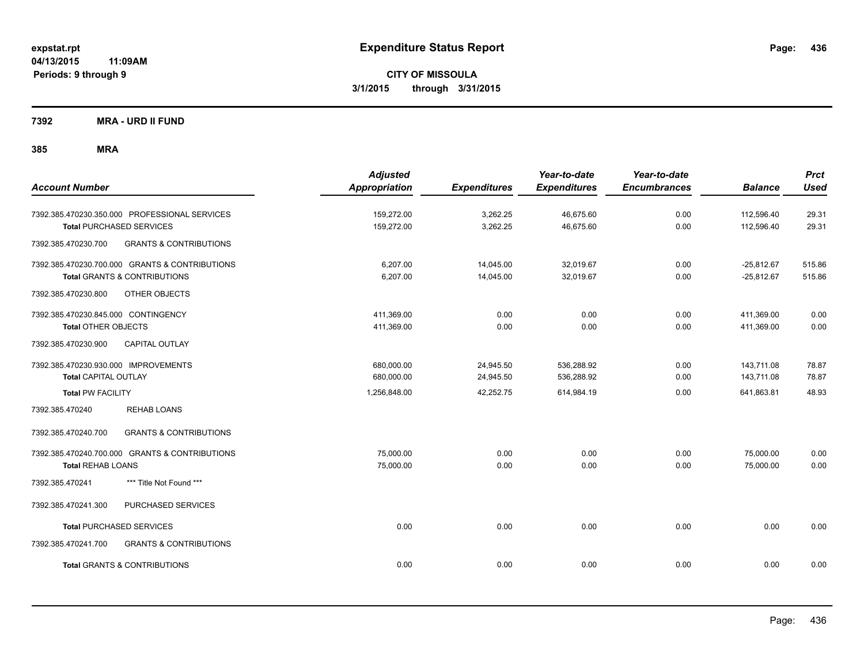**CITY OF MISSOULA 3/1/2015 through 3/31/2015**

**7392 MRA - URD II FUND**

| <b>Account Number</b>                                                            | <b>Adjusted</b><br>Appropriation | <b>Expenditures</b>    | Year-to-date<br><b>Expenditures</b> | Year-to-date<br><b>Encumbrances</b> | <b>Balance</b>               | <b>Prct</b><br><b>Used</b> |
|----------------------------------------------------------------------------------|----------------------------------|------------------------|-------------------------------------|-------------------------------------|------------------------------|----------------------------|
| 7392.385.470230.350.000 PROFESSIONAL SERVICES<br><b>Total PURCHASED SERVICES</b> | 159,272.00<br>159,272.00         | 3,262.25<br>3,262.25   | 46,675.60<br>46,675.60              | 0.00<br>0.00                        | 112,596.40<br>112,596.40     | 29.31<br>29.31             |
| <b>GRANTS &amp; CONTRIBUTIONS</b><br>7392.385.470230.700                         |                                  |                        |                                     |                                     |                              |                            |
| 7392.385.470230.700.000 GRANTS & CONTRIBUTIONS<br>Total GRANTS & CONTRIBUTIONS   | 6,207.00<br>6,207.00             | 14,045.00<br>14,045.00 | 32,019.67<br>32,019.67              | 0.00<br>0.00                        | $-25,812.67$<br>$-25,812.67$ | 515.86<br>515.86           |
| 7392.385.470230.800<br>OTHER OBJECTS                                             |                                  |                        |                                     |                                     |                              |                            |
| 7392.385.470230.845.000 CONTINGENCY<br><b>Total OTHER OBJECTS</b>                | 411,369.00<br>411,369.00         | 0.00<br>0.00           | 0.00<br>0.00                        | 0.00<br>0.00                        | 411,369.00<br>411,369.00     | 0.00<br>0.00               |
| <b>CAPITAL OUTLAY</b><br>7392.385.470230.900                                     |                                  |                        |                                     |                                     |                              |                            |
| 7392.385.470230.930.000 IMPROVEMENTS<br><b>Total CAPITAL OUTLAY</b>              | 680,000.00<br>680,000.00         | 24,945.50<br>24,945.50 | 536,288.92<br>536,288.92            | 0.00<br>0.00                        | 143,711.08<br>143,711.08     | 78.87<br>78.87             |
| <b>Total PW FACILITY</b>                                                         | 1,256,848.00                     | 42,252.75              | 614,984.19                          | 0.00                                | 641,863.81                   | 48.93                      |
| <b>REHAB LOANS</b><br>7392.385.470240                                            |                                  |                        |                                     |                                     |                              |                            |
| 7392.385.470240.700<br><b>GRANTS &amp; CONTRIBUTIONS</b>                         |                                  |                        |                                     |                                     |                              |                            |
| 7392.385.470240.700.000 GRANTS & CONTRIBUTIONS<br><b>Total REHAB LOANS</b>       | 75,000.00<br>75,000.00           | 0.00<br>0.00           | 0.00<br>0.00                        | 0.00<br>0.00                        | 75,000.00<br>75,000.00       | 0.00<br>0.00               |
| *** Title Not Found ***<br>7392.385.470241                                       |                                  |                        |                                     |                                     |                              |                            |
| PURCHASED SERVICES<br>7392.385.470241.300                                        |                                  |                        |                                     |                                     |                              |                            |
| <b>Total PURCHASED SERVICES</b>                                                  | 0.00                             | 0.00                   | 0.00                                | 0.00                                | 0.00                         | 0.00                       |
| 7392.385.470241.700<br><b>GRANTS &amp; CONTRIBUTIONS</b>                         |                                  |                        |                                     |                                     |                              |                            |
| <b>Total GRANTS &amp; CONTRIBUTIONS</b>                                          | 0.00                             | 0.00                   | 0.00                                | 0.00                                | 0.00                         | 0.00                       |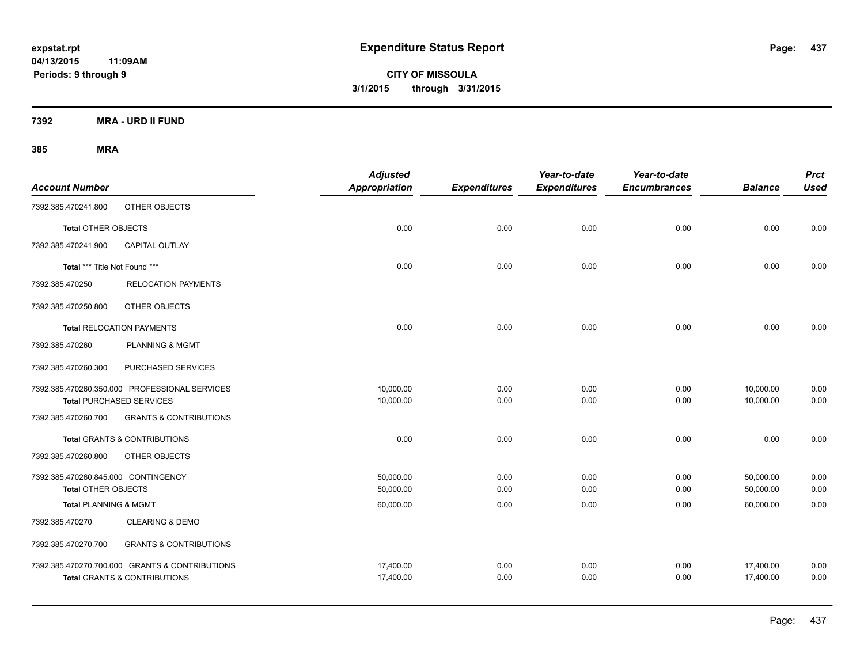**CITY OF MISSOULA 3/1/2015 through 3/31/2015**

**7392 MRA - URD II FUND**

| <b>Account Number</b>               |                                                | <b>Adjusted</b><br><b>Appropriation</b> | <b>Expenditures</b> | Year-to-date<br><b>Expenditures</b> | Year-to-date<br><b>Encumbrances</b> | <b>Balance</b> | <b>Prct</b><br><b>Used</b> |
|-------------------------------------|------------------------------------------------|-----------------------------------------|---------------------|-------------------------------------|-------------------------------------|----------------|----------------------------|
| 7392.385.470241.800                 | OTHER OBJECTS                                  |                                         |                     |                                     |                                     |                |                            |
| <b>Total OTHER OBJECTS</b>          |                                                | 0.00                                    | 0.00                | 0.00                                | 0.00                                | 0.00           | 0.00                       |
| 7392.385.470241.900                 | <b>CAPITAL OUTLAY</b>                          |                                         |                     |                                     |                                     |                |                            |
| Total *** Title Not Found ***       |                                                | 0.00                                    | 0.00                | 0.00                                | 0.00                                | 0.00           | 0.00                       |
| 7392.385.470250                     | <b>RELOCATION PAYMENTS</b>                     |                                         |                     |                                     |                                     |                |                            |
| 7392.385.470250.800                 | OTHER OBJECTS                                  |                                         |                     |                                     |                                     |                |                            |
|                                     | <b>Total RELOCATION PAYMENTS</b>               | 0.00                                    | 0.00                | 0.00                                | 0.00                                | 0.00           | 0.00                       |
| 7392.385.470260                     | PLANNING & MGMT                                |                                         |                     |                                     |                                     |                |                            |
| 7392.385.470260.300                 | PURCHASED SERVICES                             |                                         |                     |                                     |                                     |                |                            |
|                                     | 7392.385.470260.350.000 PROFESSIONAL SERVICES  | 10,000.00                               | 0.00                | 0.00                                | 0.00                                | 10,000.00      | 0.00                       |
|                                     | <b>Total PURCHASED SERVICES</b>                | 10,000.00                               | 0.00                | 0.00                                | 0.00                                | 10,000.00      | 0.00                       |
| 7392.385.470260.700                 | <b>GRANTS &amp; CONTRIBUTIONS</b>              |                                         |                     |                                     |                                     |                |                            |
|                                     | <b>Total GRANTS &amp; CONTRIBUTIONS</b>        | 0.00                                    | 0.00                | 0.00                                | 0.00                                | 0.00           | 0.00                       |
| 7392.385.470260.800                 | OTHER OBJECTS                                  |                                         |                     |                                     |                                     |                |                            |
| 7392.385.470260.845.000 CONTINGENCY |                                                | 50,000.00                               | 0.00                | 0.00                                | 0.00                                | 50,000.00      | 0.00                       |
| <b>Total OTHER OBJECTS</b>          |                                                | 50,000.00                               | 0.00                | 0.00                                | 0.00                                | 50,000.00      | 0.00                       |
| <b>Total PLANNING &amp; MGMT</b>    |                                                | 60,000.00                               | 0.00                | 0.00                                | 0.00                                | 60,000.00      | 0.00                       |
| 7392.385.470270                     | <b>CLEARING &amp; DEMO</b>                     |                                         |                     |                                     |                                     |                |                            |
| 7392.385.470270.700                 | <b>GRANTS &amp; CONTRIBUTIONS</b>              |                                         |                     |                                     |                                     |                |                            |
|                                     | 7392.385.470270.700.000 GRANTS & CONTRIBUTIONS | 17,400.00                               | 0.00                | 0.00                                | 0.00                                | 17,400.00      | 0.00                       |
|                                     | <b>Total GRANTS &amp; CONTRIBUTIONS</b>        | 17,400.00                               | 0.00                | 0.00                                | 0.00                                | 17,400.00      | 0.00                       |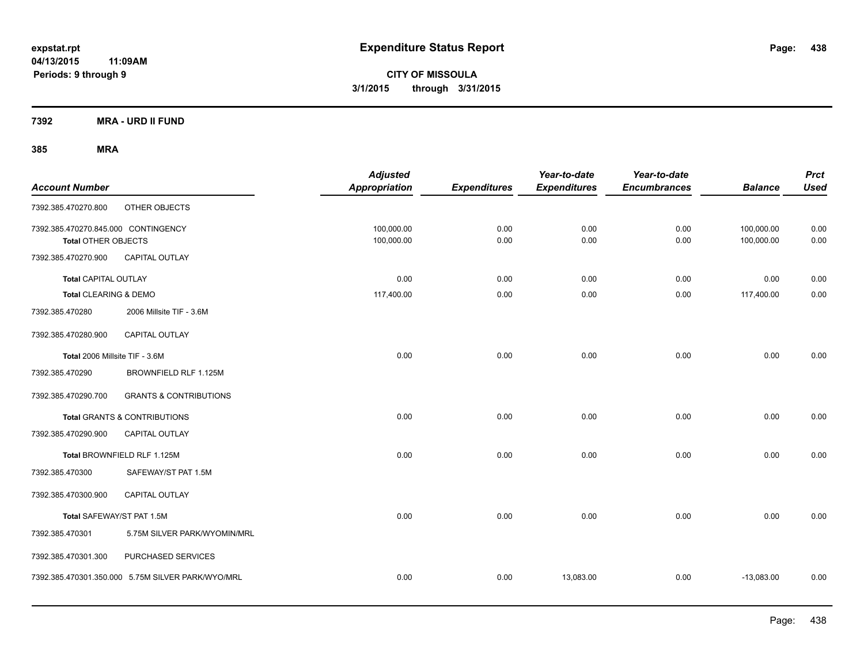**CITY OF MISSOULA 3/1/2015 through 3/31/2015**

**7392 MRA - URD II FUND**

| <b>Account Number</b>                                      |                                                   | <b>Adjusted</b><br>Appropriation | <b>Expenditures</b> | Year-to-date<br><b>Expenditures</b> | Year-to-date<br><b>Encumbrances</b> | <b>Balance</b>           | <b>Prct</b><br><b>Used</b> |
|------------------------------------------------------------|---------------------------------------------------|----------------------------------|---------------------|-------------------------------------|-------------------------------------|--------------------------|----------------------------|
| 7392.385.470270.800                                        | OTHER OBJECTS                                     |                                  |                     |                                     |                                     |                          |                            |
| 7392.385.470270.845.000 CONTINGENCY<br>Total OTHER OBJECTS |                                                   | 100,000.00<br>100,000.00         | 0.00<br>0.00        | 0.00<br>0.00                        | 0.00<br>0.00                        | 100,000.00<br>100,000.00 | 0.00<br>0.00               |
| 7392.385.470270.900                                        | <b>CAPITAL OUTLAY</b>                             |                                  |                     |                                     |                                     |                          |                            |
| <b>Total CAPITAL OUTLAY</b>                                |                                                   | 0.00                             | 0.00                | 0.00                                | 0.00                                | 0.00                     | 0.00                       |
| Total CLEARING & DEMO                                      |                                                   | 117,400.00                       | 0.00                | 0.00                                | 0.00                                | 117,400.00               | 0.00                       |
| 7392.385.470280                                            | 2006 Millsite TIF - 3.6M                          |                                  |                     |                                     |                                     |                          |                            |
| 7392.385.470280.900                                        | <b>CAPITAL OUTLAY</b>                             |                                  |                     |                                     |                                     |                          |                            |
| Total 2006 Millsite TIF - 3.6M                             |                                                   | 0.00                             | 0.00                | 0.00                                | 0.00                                | 0.00                     | 0.00                       |
| 7392.385.470290                                            | BROWNFIELD RLF 1.125M                             |                                  |                     |                                     |                                     |                          |                            |
| 7392.385.470290.700                                        | <b>GRANTS &amp; CONTRIBUTIONS</b>                 |                                  |                     |                                     |                                     |                          |                            |
|                                                            | Total GRANTS & CONTRIBUTIONS                      | 0.00                             | 0.00                | 0.00                                | 0.00                                | 0.00                     | 0.00                       |
| 7392.385.470290.900                                        | CAPITAL OUTLAY                                    |                                  |                     |                                     |                                     |                          |                            |
|                                                            | Total BROWNFIELD RLF 1.125M                       | 0.00                             | 0.00                | 0.00                                | 0.00                                | 0.00                     | 0.00                       |
| 7392.385.470300                                            | SAFEWAY/ST PAT 1.5M                               |                                  |                     |                                     |                                     |                          |                            |
| 7392.385.470300.900                                        | <b>CAPITAL OUTLAY</b>                             |                                  |                     |                                     |                                     |                          |                            |
| Total SAFEWAY/ST PAT 1.5M                                  |                                                   | 0.00                             | 0.00                | 0.00                                | 0.00                                | 0.00                     | 0.00                       |
| 7392.385.470301                                            | 5.75M SILVER PARK/WYOMIN/MRL                      |                                  |                     |                                     |                                     |                          |                            |
| 7392.385.470301.300                                        | PURCHASED SERVICES                                |                                  |                     |                                     |                                     |                          |                            |
|                                                            | 7392.385.470301.350.000 5.75M SILVER PARK/WYO/MRL | 0.00                             | 0.00                | 13,083.00                           | 0.00                                | $-13,083.00$             | 0.00                       |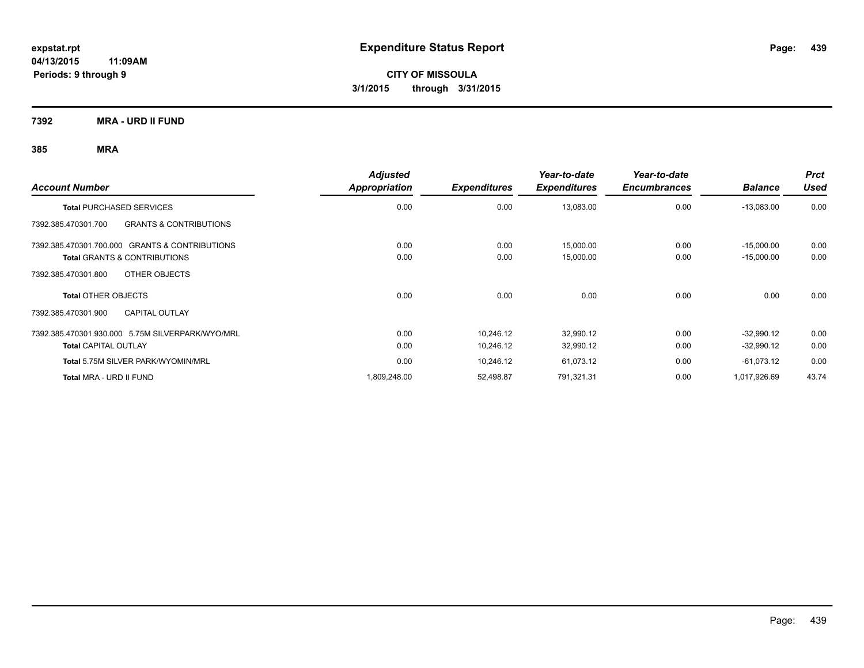**CITY OF MISSOULA 3/1/2015 through 3/31/2015**

**7392 MRA - URD II FUND**

| <b>Account Number</b>                                    | <b>Adjusted</b><br>Appropriation | <b>Expenditures</b> | Year-to-date<br><b>Expenditures</b> | Year-to-date<br><b>Encumbrances</b> | <b>Balance</b> | <b>Prct</b><br><b>Used</b> |
|----------------------------------------------------------|----------------------------------|---------------------|-------------------------------------|-------------------------------------|----------------|----------------------------|
| <b>Total PURCHASED SERVICES</b>                          | 0.00                             | 0.00                | 13,083.00                           | 0.00                                | $-13,083.00$   | 0.00                       |
| <b>GRANTS &amp; CONTRIBUTIONS</b><br>7392.385.470301.700 |                                  |                     |                                     |                                     |                |                            |
| 7392.385.470301.700.000 GRANTS & CONTRIBUTIONS           | 0.00                             | 0.00                | 15,000.00                           | 0.00                                | $-15,000.00$   | 0.00                       |
| <b>Total GRANTS &amp; CONTRIBUTIONS</b>                  | 0.00                             | 0.00                | 15,000.00                           | 0.00                                | $-15,000.00$   | 0.00                       |
| 7392.385.470301.800<br>OTHER OBJECTS                     |                                  |                     |                                     |                                     |                |                            |
| <b>Total OTHER OBJECTS</b>                               | 0.00                             | 0.00                | 0.00                                | 0.00                                | 0.00           | 0.00                       |
| <b>CAPITAL OUTLAY</b><br>7392.385.470301.900             |                                  |                     |                                     |                                     |                |                            |
| 7392.385.470301.930.000 5.75M SILVERPARK/WYO/MRL         | 0.00                             | 10,246.12           | 32,990.12                           | 0.00                                | $-32,990.12$   | 0.00                       |
| <b>Total CAPITAL OUTLAY</b>                              | 0.00                             | 10,246.12           | 32,990.12                           | 0.00                                | $-32,990.12$   | 0.00                       |
| Total 5.75M SILVER PARK/WYOMIN/MRL                       | 0.00                             | 10,246.12           | 61,073.12                           | 0.00                                | $-61,073.12$   | 0.00                       |
| Total MRA - URD II FUND                                  | 1,809,248.00                     | 52,498.87           | 791,321.31                          | 0.00                                | 1,017,926.69   | 43.74                      |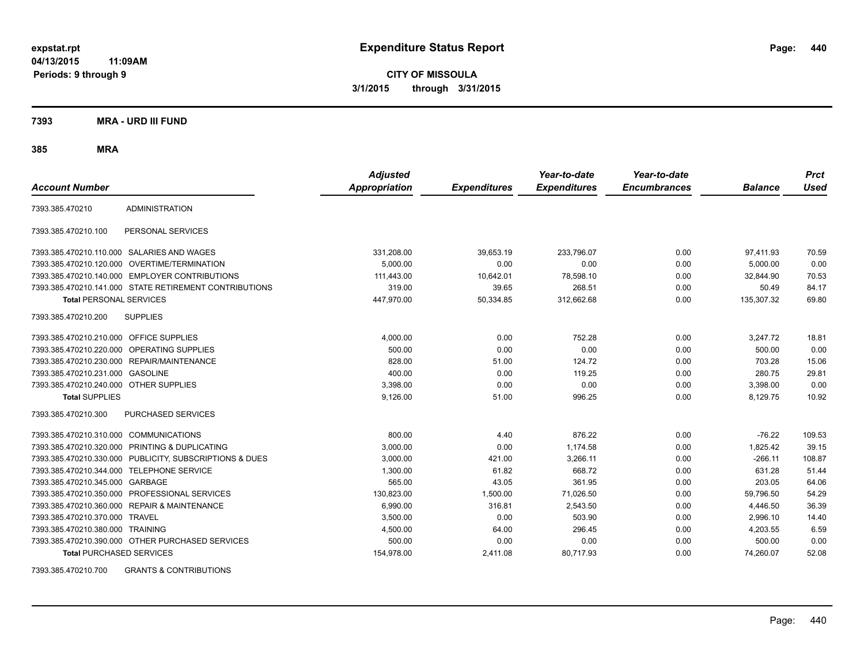**CITY OF MISSOULA 3/1/2015 through 3/31/2015**

**7393 MRA - URD III FUND**

**385 MRA**

| <b>Account Number</b>                   |                                                         | <b>Adjusted</b><br><b>Appropriation</b> | <b>Expenditures</b> | Year-to-date<br><b>Expenditures</b> | Year-to-date<br><b>Encumbrances</b> | <b>Balance</b> | <b>Prct</b><br><b>Used</b> |
|-----------------------------------------|---------------------------------------------------------|-----------------------------------------|---------------------|-------------------------------------|-------------------------------------|----------------|----------------------------|
| 7393.385.470210                         | <b>ADMINISTRATION</b>                                   |                                         |                     |                                     |                                     |                |                            |
| 7393.385.470210.100                     | PERSONAL SERVICES                                       |                                         |                     |                                     |                                     |                |                            |
|                                         | 7393.385.470210.110.000 SALARIES AND WAGES              | 331,208.00                              | 39,653.19           | 233,796.07                          | 0.00                                | 97.411.93      | 70.59                      |
|                                         | 7393.385.470210.120.000 OVERTIME/TERMINATION            | 5.000.00                                | 0.00                | 0.00                                | 0.00                                | 5.000.00       | 0.00                       |
|                                         | 7393.385.470210.140.000 EMPLOYER CONTRIBUTIONS          | 111,443.00                              | 10,642.01           | 78,598.10                           | 0.00                                | 32,844.90      | 70.53                      |
|                                         | 7393.385.470210.141.000 STATE RETIREMENT CONTRIBUTIONS  | 319.00                                  | 39.65               | 268.51                              | 0.00                                | 50.49          | 84.17                      |
| <b>Total PERSONAL SERVICES</b>          |                                                         | 447,970.00                              | 50,334.85           | 312,662.68                          | 0.00                                | 135,307.32     | 69.80                      |
| 7393.385.470210.200                     | <b>SUPPLIES</b>                                         |                                         |                     |                                     |                                     |                |                            |
| 7393.385.470210.210.000 OFFICE SUPPLIES |                                                         | 4,000.00                                | 0.00                | 752.28                              | 0.00                                | 3,247.72       | 18.81                      |
|                                         | 7393.385.470210.220.000 OPERATING SUPPLIES              | 500.00                                  | 0.00                | 0.00                                | 0.00                                | 500.00         | 0.00                       |
| 7393.385.470210.230.000                 | REPAIR/MAINTENANCE                                      | 828.00                                  | 51.00               | 124.72                              | 0.00                                | 703.28         | 15.06                      |
| 7393.385.470210.231.000                 | <b>GASOLINE</b>                                         | 400.00                                  | 0.00                | 119.25                              | 0.00                                | 280.75         | 29.81                      |
| 7393.385.470210.240.000 OTHER SUPPLIES  |                                                         | 3,398.00                                | 0.00                | 0.00                                | 0.00                                | 3,398.00       | 0.00                       |
| <b>Total SUPPLIES</b>                   |                                                         | 9,126.00                                | 51.00               | 996.25                              | 0.00                                | 8,129.75       | 10.92                      |
| 7393.385.470210.300                     | <b>PURCHASED SERVICES</b>                               |                                         |                     |                                     |                                     |                |                            |
| 7393.385.470210.310.000 COMMUNICATIONS  |                                                         | 800.00                                  | 4.40                | 876.22                              | 0.00                                | $-76.22$       | 109.53                     |
| 7393.385.470210.320.000                 | PRINTING & DUPLICATING                                  | 3,000.00                                | 0.00                | 1,174.58                            | 0.00                                | 1,825.42       | 39.15                      |
|                                         | 7393.385.470210.330.000 PUBLICITY, SUBSCRIPTIONS & DUES | 3,000.00                                | 421.00              | 3,266.11                            | 0.00                                | $-266.11$      | 108.87                     |
| 7393.385.470210.344.000                 | <b>TELEPHONE SERVICE</b>                                | 1,300.00                                | 61.82               | 668.72                              | 0.00                                | 631.28         | 51.44                      |
| 7393.385.470210.345.000 GARBAGE         |                                                         | 565.00                                  | 43.05               | 361.95                              | 0.00                                | 203.05         | 64.06                      |
|                                         | 7393.385.470210.350.000 PROFESSIONAL SERVICES           | 130.823.00                              | 1,500.00            | 71,026.50                           | 0.00                                | 59,796.50      | 54.29                      |
|                                         | 7393.385.470210.360.000 REPAIR & MAINTENANCE            | 6,990.00                                | 316.81              | 2,543.50                            | 0.00                                | 4,446.50       | 36.39                      |
| 7393.385.470210.370.000 TRAVEL          |                                                         | 3,500.00                                | 0.00                | 503.90                              | 0.00                                | 2,996.10       | 14.40                      |
| 7393.385.470210.380.000 TRAINING        |                                                         | 4,500.00                                | 64.00               | 296.45                              | 0.00                                | 4,203.55       | 6.59                       |
|                                         | 7393.385.470210.390.000 OTHER PURCHASED SERVICES        | 500.00                                  | 0.00                | 0.00                                | 0.00                                | 500.00         | 0.00                       |
| <b>Total PURCHASED SERVICES</b>         |                                                         | 154,978.00                              | 2,411.08            | 80,717.93                           | 0.00                                | 74,260.07      | 52.08                      |

7393.385.470210.700 GRANTS & CONTRIBUTIONS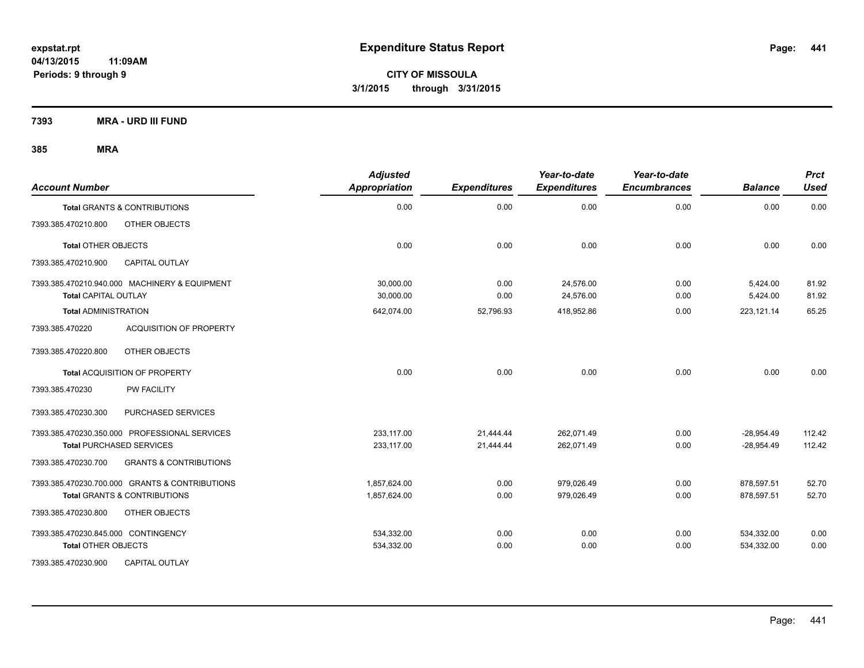**CITY OF MISSOULA 3/1/2015 through 3/31/2015**

**7393 MRA - URD III FUND**

| <b>Account Number</b>               |                                                | <b>Adjusted</b><br>Appropriation | <b>Expenditures</b> | Year-to-date<br><b>Expenditures</b> | Year-to-date<br><b>Encumbrances</b> | <b>Balance</b> | <b>Prct</b><br><b>Used</b> |
|-------------------------------------|------------------------------------------------|----------------------------------|---------------------|-------------------------------------|-------------------------------------|----------------|----------------------------|
|                                     | Total GRANTS & CONTRIBUTIONS                   | 0.00                             | 0.00                | 0.00                                | 0.00                                | 0.00           | 0.00                       |
| 7393.385.470210.800                 | OTHER OBJECTS                                  |                                  |                     |                                     |                                     |                |                            |
| <b>Total OTHER OBJECTS</b>          |                                                | 0.00                             | 0.00                | 0.00                                | 0.00                                | 0.00           | 0.00                       |
| 7393.385.470210.900                 | <b>CAPITAL OUTLAY</b>                          |                                  |                     |                                     |                                     |                |                            |
|                                     | 7393.385.470210.940.000 MACHINERY & EQUIPMENT  | 30,000.00                        | 0.00                | 24,576.00                           | 0.00                                | 5,424.00       | 81.92                      |
| <b>Total CAPITAL OUTLAY</b>         |                                                | 30,000.00                        | 0.00                | 24,576.00                           | 0.00                                | 5,424.00       | 81.92                      |
| <b>Total ADMINISTRATION</b>         |                                                | 642,074.00                       | 52,796.93           | 418,952.86                          | 0.00                                | 223,121.14     | 65.25                      |
| 7393.385.470220                     | <b>ACQUISITION OF PROPERTY</b>                 |                                  |                     |                                     |                                     |                |                            |
| 7393.385.470220.800                 | OTHER OBJECTS                                  |                                  |                     |                                     |                                     |                |                            |
|                                     | Total ACQUISITION OF PROPERTY                  | 0.00                             | 0.00                | 0.00                                | 0.00                                | 0.00           | 0.00                       |
| 7393.385.470230                     | <b>PW FACILITY</b>                             |                                  |                     |                                     |                                     |                |                            |
| 7393.385.470230.300                 | PURCHASED SERVICES                             |                                  |                     |                                     |                                     |                |                            |
|                                     | 7393.385.470230.350.000 PROFESSIONAL SERVICES  | 233.117.00                       | 21.444.44           | 262.071.49                          | 0.00                                | $-28,954.49$   | 112.42                     |
| <b>Total PURCHASED SERVICES</b>     |                                                | 233,117.00                       | 21.444.44           | 262,071.49                          | 0.00                                | $-28,954.49$   | 112.42                     |
| 7393.385.470230.700                 | <b>GRANTS &amp; CONTRIBUTIONS</b>              |                                  |                     |                                     |                                     |                |                            |
|                                     | 7393.385.470230.700.000 GRANTS & CONTRIBUTIONS | 1,857,624.00                     | 0.00                | 979,026.49                          | 0.00                                | 878,597.51     | 52.70                      |
|                                     | Total GRANTS & CONTRIBUTIONS                   | 1,857,624.00                     | 0.00                | 979,026.49                          | 0.00                                | 878,597.51     | 52.70                      |
| 7393.385.470230.800                 | OTHER OBJECTS                                  |                                  |                     |                                     |                                     |                |                            |
| 7393.385.470230.845.000 CONTINGENCY |                                                | 534,332.00                       | 0.00                | 0.00                                | 0.00                                | 534,332.00     | 0.00                       |
| <b>Total OTHER OBJECTS</b>          |                                                | 534,332.00                       | 0.00                | 0.00                                | 0.00                                | 534,332.00     | 0.00                       |
| 7393.385.470230.900                 | <b>CAPITAL OUTLAY</b>                          |                                  |                     |                                     |                                     |                |                            |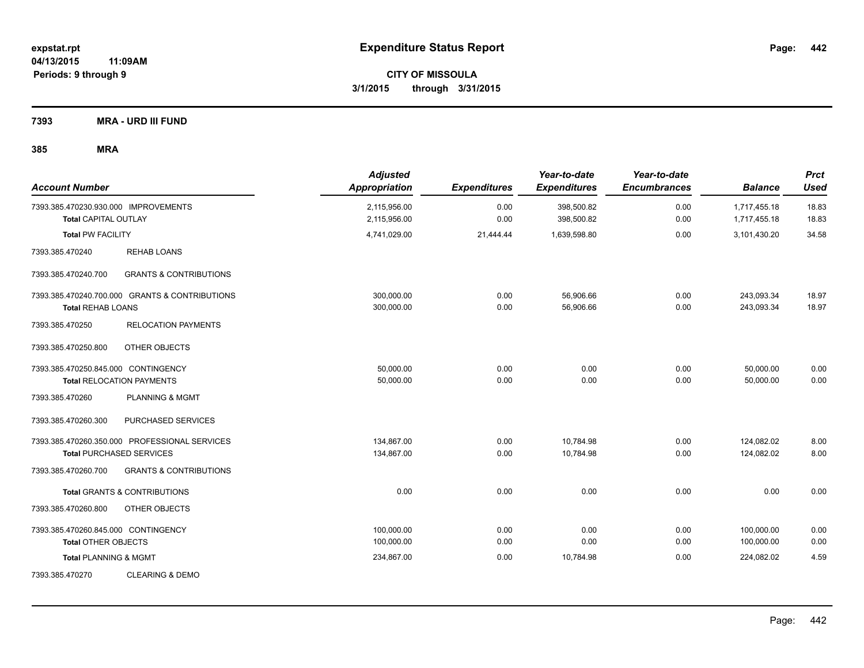**CITY OF MISSOULA 3/1/2015 through 3/31/2015**

**7393 MRA - URD III FUND**

| <b>Account Number</b>                                               |                                                | <b>Adjusted</b><br><b>Appropriation</b> | <b>Expenditures</b> | Year-to-date<br><b>Expenditures</b> | Year-to-date<br><b>Encumbrances</b> | <b>Balance</b>               | <b>Prct</b><br><b>Used</b> |
|---------------------------------------------------------------------|------------------------------------------------|-----------------------------------------|---------------------|-------------------------------------|-------------------------------------|------------------------------|----------------------------|
| 7393.385.470230.930.000 IMPROVEMENTS<br><b>Total CAPITAL OUTLAY</b> |                                                | 2,115,956.00<br>2,115,956.00            | 0.00<br>0.00        | 398,500.82<br>398,500.82            | 0.00<br>0.00                        | 1,717,455.18<br>1,717,455.18 | 18.83<br>18.83             |
| <b>Total PW FACILITY</b>                                            |                                                | 4,741,029.00                            | 21,444.44           | 1,639,598.80                        | 0.00                                | 3,101,430.20                 | 34.58                      |
| 7393.385.470240                                                     | <b>REHAB LOANS</b>                             |                                         |                     |                                     |                                     |                              |                            |
| 7393.385.470240.700                                                 | <b>GRANTS &amp; CONTRIBUTIONS</b>              |                                         |                     |                                     |                                     |                              |                            |
| <b>Total REHAB LOANS</b>                                            | 7393.385.470240.700.000 GRANTS & CONTRIBUTIONS | 300,000.00<br>300,000.00                | 0.00<br>0.00        | 56,906.66<br>56,906.66              | 0.00<br>0.00                        | 243,093.34<br>243,093.34     | 18.97<br>18.97             |
| 7393.385.470250                                                     | <b>RELOCATION PAYMENTS</b>                     |                                         |                     |                                     |                                     |                              |                            |
| 7393.385.470250.800                                                 | OTHER OBJECTS                                  |                                         |                     |                                     |                                     |                              |                            |
| 7393.385.470250.845.000 CONTINGENCY                                 | <b>Total RELOCATION PAYMENTS</b>               | 50,000.00<br>50,000.00                  | 0.00<br>0.00        | 0.00<br>0.00                        | 0.00<br>0.00                        | 50,000.00<br>50,000.00       | 0.00<br>0.00               |
| 7393.385.470260                                                     | PLANNING & MGMT                                |                                         |                     |                                     |                                     |                              |                            |
| 7393.385.470260.300                                                 | PURCHASED SERVICES                             |                                         |                     |                                     |                                     |                              |                            |
|                                                                     | 7393.385.470260.350.000 PROFESSIONAL SERVICES  | 134,867.00                              | 0.00                | 10,784.98                           | 0.00                                | 124,082.02                   | 8.00                       |
|                                                                     | <b>Total PURCHASED SERVICES</b>                | 134,867.00                              | 0.00                | 10,784.98                           | 0.00                                | 124,082.02                   | 8.00                       |
| 7393.385.470260.700                                                 | <b>GRANTS &amp; CONTRIBUTIONS</b>              |                                         |                     |                                     |                                     |                              |                            |
|                                                                     | <b>Total GRANTS &amp; CONTRIBUTIONS</b>        | 0.00                                    | 0.00                | 0.00                                | 0.00                                | 0.00                         | 0.00                       |
| 7393.385.470260.800                                                 | OTHER OBJECTS                                  |                                         |                     |                                     |                                     |                              |                            |
| 7393.385.470260.845.000 CONTINGENCY                                 |                                                | 100,000.00                              | 0.00                | 0.00                                | 0.00                                | 100,000.00                   | 0.00                       |
| <b>Total OTHER OBJECTS</b>                                          |                                                | 100,000.00                              | 0.00                | 0.00                                | 0.00                                | 100,000.00                   | 0.00                       |
| <b>Total PLANNING &amp; MGMT</b>                                    |                                                | 234,867.00                              | 0.00                | 10,784.98                           | 0.00                                | 224,082.02                   | 4.59                       |
| 7393.385.470270                                                     | <b>CLEARING &amp; DEMO</b>                     |                                         |                     |                                     |                                     |                              |                            |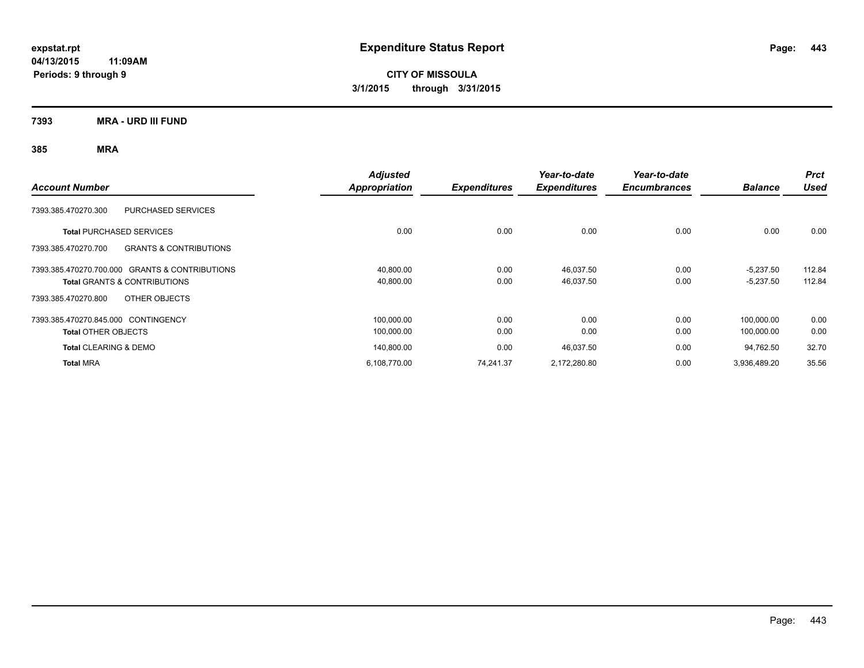**CITY OF MISSOULA 3/1/2015 through 3/31/2015**

**7393 MRA - URD III FUND**

| <b>Account Number</b>                                    | <b>Adjusted</b><br>Appropriation | <b>Expenditures</b> | Year-to-date<br><b>Expenditures</b> | Year-to-date<br><b>Encumbrances</b> | <b>Balance</b> | <b>Prct</b><br><b>Used</b> |
|----------------------------------------------------------|----------------------------------|---------------------|-------------------------------------|-------------------------------------|----------------|----------------------------|
| <b>PURCHASED SERVICES</b><br>7393.385.470270.300         |                                  |                     |                                     |                                     |                |                            |
| <b>Total PURCHASED SERVICES</b>                          | 0.00                             | 0.00                | 0.00                                | 0.00                                | 0.00           | 0.00                       |
| <b>GRANTS &amp; CONTRIBUTIONS</b><br>7393.385.470270.700 |                                  |                     |                                     |                                     |                |                            |
| 7393.385.470270.700.000 GRANTS & CONTRIBUTIONS           | 40,800.00                        | 0.00                | 46,037.50                           | 0.00                                | $-5,237.50$    | 112.84                     |
| <b>Total GRANTS &amp; CONTRIBUTIONS</b>                  | 40,800.00                        | 0.00                | 46,037.50                           | 0.00                                | $-5,237.50$    | 112.84                     |
| OTHER OBJECTS<br>7393.385.470270.800                     |                                  |                     |                                     |                                     |                |                            |
| 7393.385.470270.845.000 CONTINGENCY                      | 100,000.00                       | 0.00                | 0.00                                | 0.00                                | 100.000.00     | 0.00                       |
| <b>Total OTHER OBJECTS</b>                               | 100,000.00                       | 0.00                | 0.00                                | 0.00                                | 100,000.00     | 0.00                       |
| <b>Total CLEARING &amp; DEMO</b>                         | 140,800.00                       | 0.00                | 46,037.50                           | 0.00                                | 94,762.50      | 32.70                      |
| <b>Total MRA</b>                                         | 6,108,770.00                     | 74,241.37           | 2,172,280.80                        | 0.00                                | 3,936,489.20   | 35.56                      |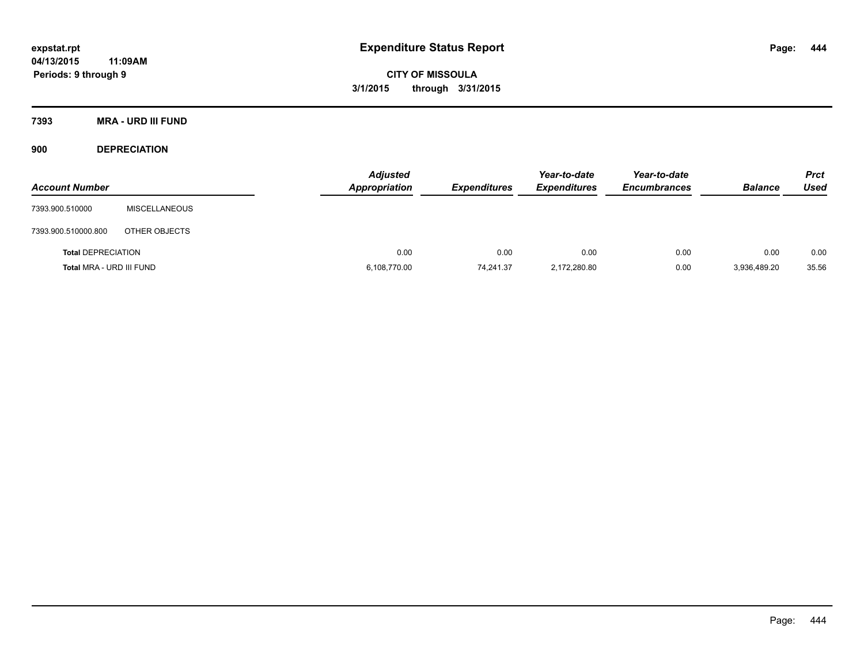**CITY OF MISSOULA 3/1/2015 through 3/31/2015**

**7393 MRA - URD III FUND**

**900 DEPRECIATION**

| <b>Account Number</b>     |                      | <b>Adjusted</b><br><b>Appropriation</b> | <b>Expenditures</b> | Year-to-date<br><b>Expenditures</b> | Year-to-date<br><b>Encumbrances</b> | <b>Balance</b> | <b>Prct</b><br><b>Used</b> |
|---------------------------|----------------------|-----------------------------------------|---------------------|-------------------------------------|-------------------------------------|----------------|----------------------------|
| 7393.900.510000           | <b>MISCELLANEOUS</b> |                                         |                     |                                     |                                     |                |                            |
| 7393.900.510000.800       | OTHER OBJECTS        |                                         |                     |                                     |                                     |                |                            |
| <b>Total DEPRECIATION</b> |                      | 0.00                                    | 0.00                | 0.00                                | 0.00                                | 0.00           | 0.00                       |
| Total MRA - URD III FUND  |                      | 6,108,770.00                            | 74,241.37           | 2,172,280.80                        | 0.00                                | 3,936,489.20   | 35.56                      |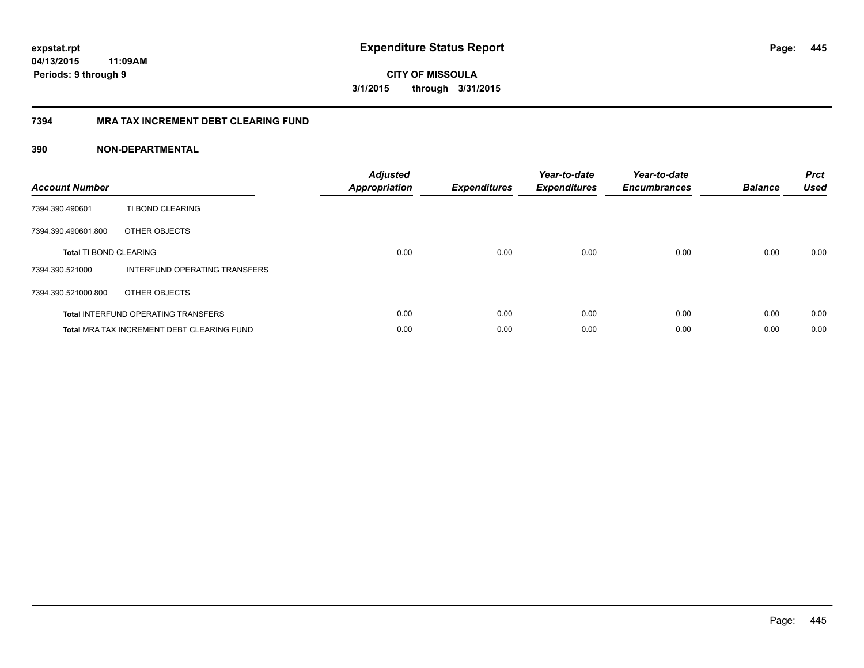**445**

**04/13/2015 11:09AM Periods: 9 through 9**

**CITY OF MISSOULA 3/1/2015 through 3/31/2015**

## **7394 MRA TAX INCREMENT DEBT CLEARING FUND**

| <b>Account Number</b>         |                                                   | <b>Adjusted</b><br><b>Appropriation</b> | <b>Expenditures</b> | Year-to-date<br><b>Expenditures</b> | Year-to-date<br><b>Encumbrances</b> | <b>Balance</b> | <b>Prct</b><br><b>Used</b> |
|-------------------------------|---------------------------------------------------|-----------------------------------------|---------------------|-------------------------------------|-------------------------------------|----------------|----------------------------|
| 7394.390.490601               | TI BOND CLEARING                                  |                                         |                     |                                     |                                     |                |                            |
| 7394.390.490601.800           | OTHER OBJECTS                                     |                                         |                     |                                     |                                     |                |                            |
| <b>Total TI BOND CLEARING</b> |                                                   | 0.00                                    | 0.00                | 0.00                                | 0.00                                | 0.00           | 0.00                       |
| 7394.390.521000               | INTERFUND OPERATING TRANSFERS                     |                                         |                     |                                     |                                     |                |                            |
| 7394.390.521000.800           | OTHER OBJECTS                                     |                                         |                     |                                     |                                     |                |                            |
|                               | <b>Total INTERFUND OPERATING TRANSFERS</b>        | 0.00                                    | 0.00                | 0.00                                | 0.00                                | 0.00           | 0.00                       |
|                               | <b>Total MRA TAX INCREMENT DEBT CLEARING FUND</b> | 0.00                                    | 0.00                | 0.00                                | 0.00                                | 0.00           | 0.00                       |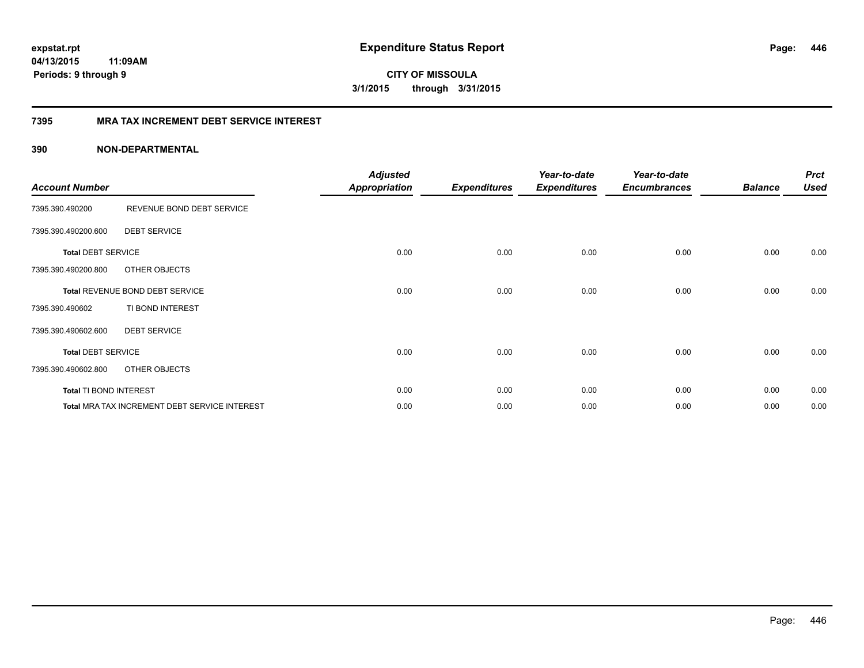**CITY OF MISSOULA 3/1/2015 through 3/31/2015**

## **7395 MRA TAX INCREMENT DEBT SERVICE INTEREST**

| <b>Account Number</b>     |                                               | <b>Adjusted</b><br><b>Appropriation</b> | <b>Expenditures</b> | Year-to-date<br><b>Expenditures</b> | Year-to-date<br><b>Encumbrances</b> | <b>Balance</b> | <b>Prct</b><br><b>Used</b> |
|---------------------------|-----------------------------------------------|-----------------------------------------|---------------------|-------------------------------------|-------------------------------------|----------------|----------------------------|
| 7395.390.490200           | REVENUE BOND DEBT SERVICE                     |                                         |                     |                                     |                                     |                |                            |
| 7395.390.490200.600       | <b>DEBT SERVICE</b>                           |                                         |                     |                                     |                                     |                |                            |
| <b>Total DEBT SERVICE</b> |                                               | 0.00                                    | 0.00                | 0.00                                | 0.00                                | 0.00           | 0.00                       |
| 7395.390.490200.800       | OTHER OBJECTS                                 |                                         |                     |                                     |                                     |                |                            |
|                           | Total REVENUE BOND DEBT SERVICE               | 0.00                                    | 0.00                | 0.00                                | 0.00                                | 0.00           | 0.00                       |
| 7395.390.490602           | TI BOND INTEREST                              |                                         |                     |                                     |                                     |                |                            |
| 7395.390.490602.600       | <b>DEBT SERVICE</b>                           |                                         |                     |                                     |                                     |                |                            |
| <b>Total DEBT SERVICE</b> |                                               | 0.00                                    | 0.00                | 0.00                                | 0.00                                | 0.00           | 0.00                       |
| 7395.390.490602.800       | OTHER OBJECTS                                 |                                         |                     |                                     |                                     |                |                            |
| Total TI BOND INTEREST    |                                               | 0.00                                    | 0.00                | 0.00                                | 0.00                                | 0.00           | 0.00                       |
|                           | Total MRA TAX INCREMENT DEBT SERVICE INTEREST | 0.00                                    | 0.00                | 0.00                                | 0.00                                | 0.00           | 0.00                       |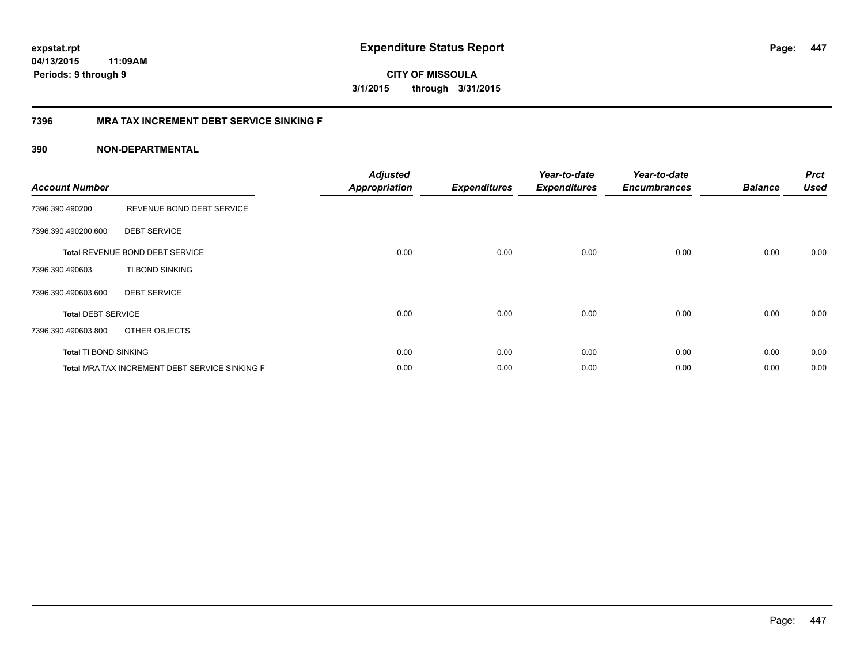**CITY OF MISSOULA 3/1/2015 through 3/31/2015**

## **7396 MRA TAX INCREMENT DEBT SERVICE SINKING F**

| <b>Account Number</b>     |                                                | <b>Adjusted</b><br><b>Appropriation</b> | <b>Expenditures</b> | Year-to-date<br><b>Expenditures</b> | Year-to-date<br><b>Encumbrances</b> | <b>Balance</b> | <b>Prct</b><br><b>Used</b> |
|---------------------------|------------------------------------------------|-----------------------------------------|---------------------|-------------------------------------|-------------------------------------|----------------|----------------------------|
| 7396.390.490200           | REVENUE BOND DEBT SERVICE                      |                                         |                     |                                     |                                     |                |                            |
| 7396.390.490200.600       | <b>DEBT SERVICE</b>                            |                                         |                     |                                     |                                     |                |                            |
|                           | Total REVENUE BOND DEBT SERVICE                | 0.00                                    | 0.00                | 0.00                                | 0.00                                | 0.00           | 0.00                       |
| 7396.390.490603           | TI BOND SINKING                                |                                         |                     |                                     |                                     |                |                            |
| 7396.390.490603.600       | <b>DEBT SERVICE</b>                            |                                         |                     |                                     |                                     |                |                            |
| <b>Total DEBT SERVICE</b> |                                                | 0.00                                    | 0.00                | 0.00                                | 0.00                                | 0.00           | 0.00                       |
| 7396.390.490603.800       | OTHER OBJECTS                                  |                                         |                     |                                     |                                     |                |                            |
| Total TI BOND SINKING     |                                                | 0.00                                    | 0.00                | 0.00                                | 0.00                                | 0.00           | 0.00                       |
|                           | Total MRA TAX INCREMENT DEBT SERVICE SINKING F | 0.00                                    | 0.00                | 0.00                                | 0.00                                | 0.00           | 0.00                       |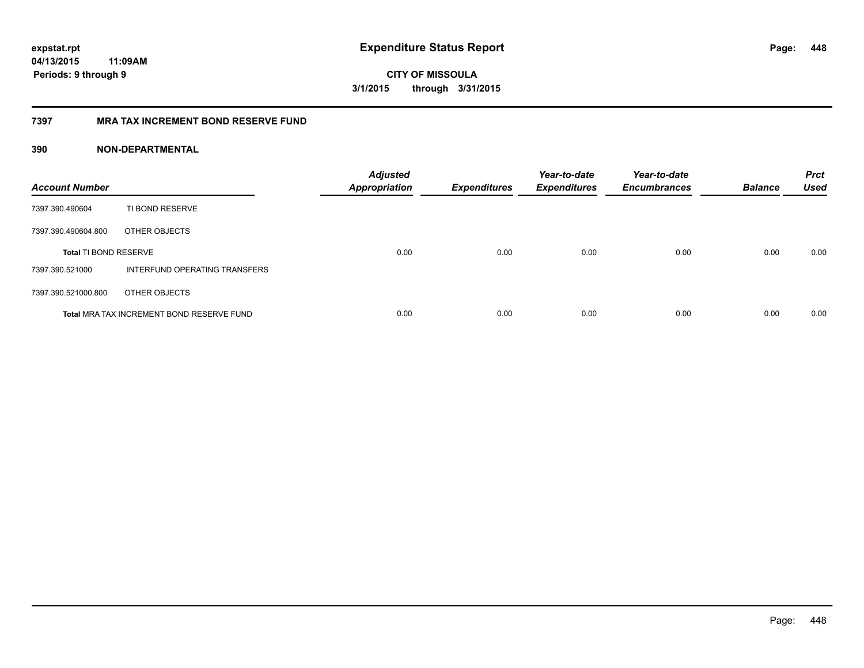**CITY OF MISSOULA 3/1/2015 through 3/31/2015**

## **7397 MRA TAX INCREMENT BOND RESERVE FUND**

| <b>Account Number</b>        |                                           | <b>Adjusted</b><br><b>Appropriation</b> | <b>Expenditures</b> | Year-to-date<br><b>Expenditures</b> | Year-to-date<br><b>Encumbrances</b> | <b>Balance</b> | <b>Prct</b><br><b>Used</b> |
|------------------------------|-------------------------------------------|-----------------------------------------|---------------------|-------------------------------------|-------------------------------------|----------------|----------------------------|
| 7397.390.490604              | TI BOND RESERVE                           |                                         |                     |                                     |                                     |                |                            |
| 7397.390.490604.800          | OTHER OBJECTS                             |                                         |                     |                                     |                                     |                |                            |
| <b>Total TI BOND RESERVE</b> |                                           | 0.00                                    | 0.00                | 0.00                                | 0.00                                | 0.00           | 0.00                       |
| 7397.390.521000              | INTERFUND OPERATING TRANSFERS             |                                         |                     |                                     |                                     |                |                            |
| 7397.390.521000.800          | OTHER OBJECTS                             |                                         |                     |                                     |                                     |                |                            |
|                              | Total MRA TAX INCREMENT BOND RESERVE FUND | 0.00                                    | 0.00                | 0.00                                | 0.00                                | 0.00           | 0.00                       |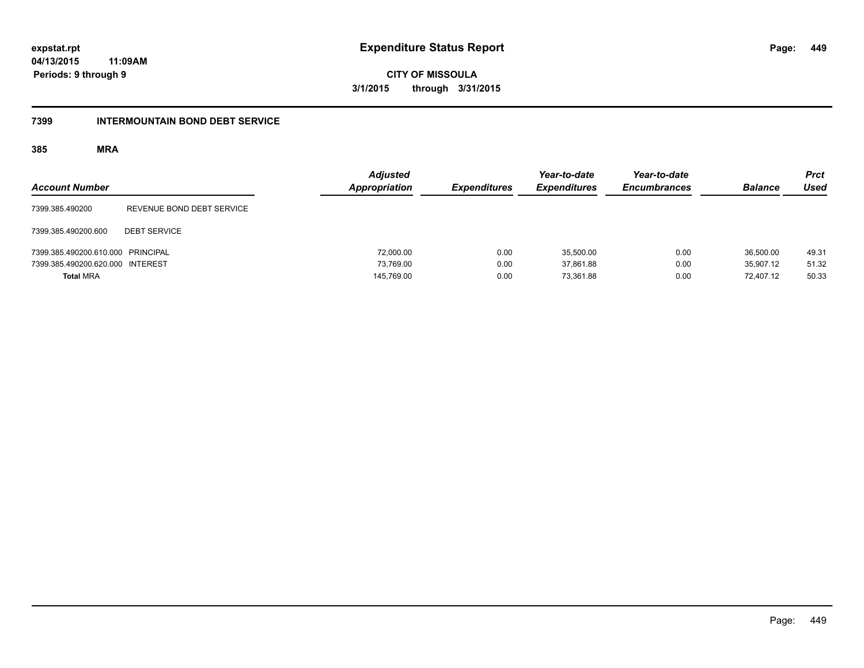**CITY OF MISSOULA 3/1/2015 through 3/31/2015**

### **7399 INTERMOUNTAIN BOND DEBT SERVICE**

| <b>Account Number</b>             |                           | <b>Adjusted</b><br>Appropriation | <b>Expenditures</b> | Year-to-date<br><b>Expenditures</b> | Year-to-date<br><b>Encumbrances</b> | <b>Balance</b> | <b>Prct</b><br><b>Used</b> |
|-----------------------------------|---------------------------|----------------------------------|---------------------|-------------------------------------|-------------------------------------|----------------|----------------------------|
| 7399.385.490200                   | REVENUE BOND DEBT SERVICE |                                  |                     |                                     |                                     |                |                            |
| 7399.385.490200.600               | <b>DEBT SERVICE</b>       |                                  |                     |                                     |                                     |                |                            |
| 7399.385.490200.610.000 PRINCIPAL |                           | 72,000.00                        | 0.00                | 35.500.00                           | 0.00                                | 36,500.00      | 49.31                      |
| 7399.385.490200.620.000 INTEREST  |                           | 73.769.00                        | 0.00                | 37.861.88                           | 0.00                                | 35.907.12      | 51.32                      |
| <b>Total MRA</b>                  |                           | 145,769.00                       | 0.00                | 73.361.88                           | 0.00                                | 72.407.12      | 50.33                      |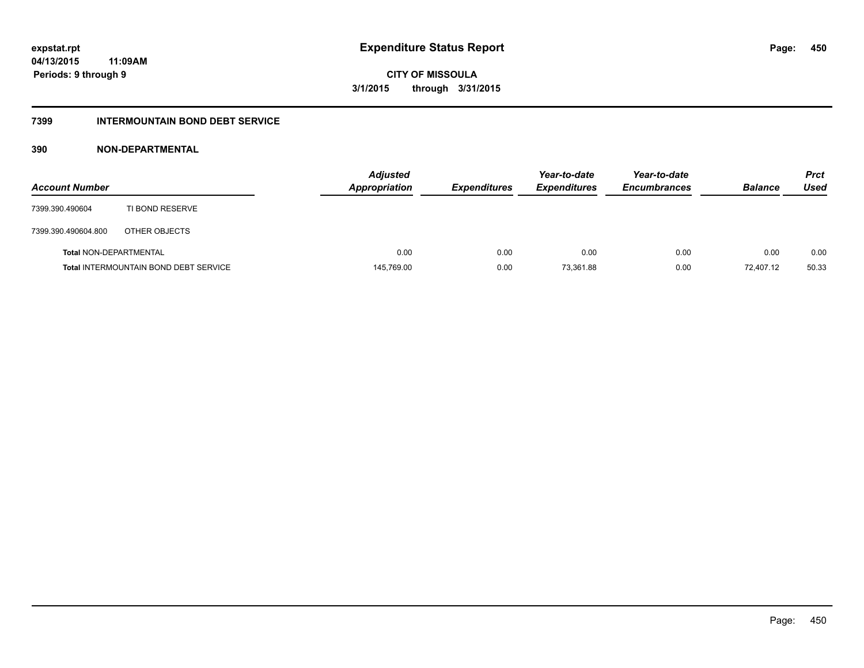**CITY OF MISSOULA 3/1/2015 through 3/31/2015**

## **7399 INTERMOUNTAIN BOND DEBT SERVICE**

| <b>Account Number</b>         |                                              | <b>Adjusted</b><br><b>Appropriation</b> | <b>Expenditures</b> | Year-to-date<br><b>Expenditures</b> | Year-to-date<br><b>Encumbrances</b> | <b>Balance</b> | <b>Prct</b><br>Used |
|-------------------------------|----------------------------------------------|-----------------------------------------|---------------------|-------------------------------------|-------------------------------------|----------------|---------------------|
| 7399.390.490604               | TI BOND RESERVE                              |                                         |                     |                                     |                                     |                |                     |
| 7399.390.490604.800           | OTHER OBJECTS                                |                                         |                     |                                     |                                     |                |                     |
| <b>Total NON-DEPARTMENTAL</b> |                                              | 0.00                                    | 0.00                | 0.00                                | 0.00                                | 0.00           | 0.00                |
|                               | <b>Total INTERMOUNTAIN BOND DEBT SERVICE</b> | 145,769.00                              | 0.00                | 73,361.88                           | 0.00                                | 72.407.12      | 50.33               |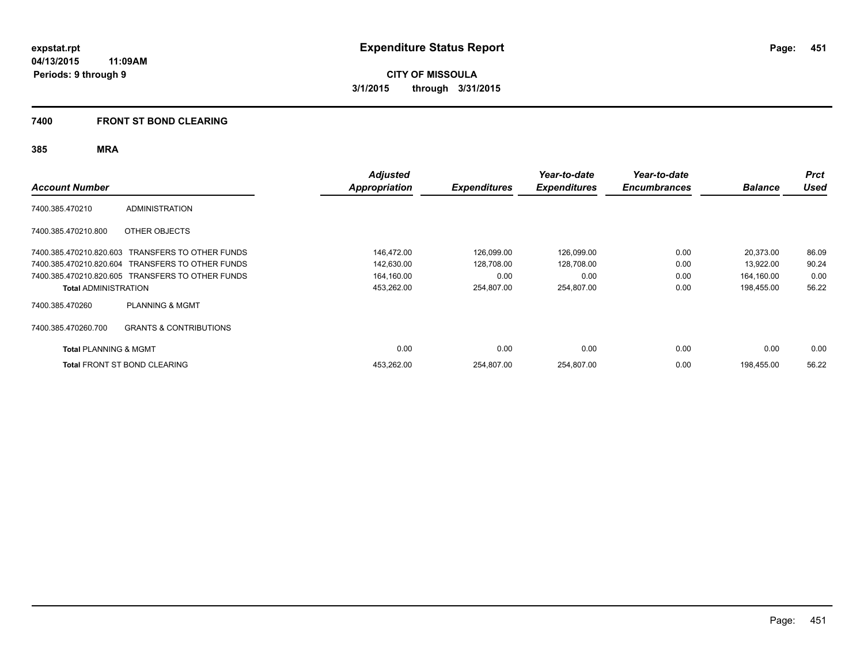**Periods: 9 through 9**

**451**

**CITY OF MISSOULA 3/1/2015 through 3/31/2015**

## **7400 FRONT ST BOND CLEARING**

**11:09AM**

|                                  |                                                  | <b>Adjusted</b> |                     | Year-to-date        | Year-to-date        |                | <b>Prct</b> |
|----------------------------------|--------------------------------------------------|-----------------|---------------------|---------------------|---------------------|----------------|-------------|
| <b>Account Number</b>            |                                                  | Appropriation   | <b>Expenditures</b> | <b>Expenditures</b> | <b>Encumbrances</b> | <b>Balance</b> | <b>Used</b> |
| 7400.385.470210                  | <b>ADMINISTRATION</b>                            |                 |                     |                     |                     |                |             |
| 7400.385.470210.800              | OTHER OBJECTS                                    |                 |                     |                     |                     |                |             |
| 7400.385.470210.820.603          | TRANSFERS TO OTHER FUNDS                         | 146,472.00      | 126,099.00          | 126,099.00          | 0.00                | 20,373.00      | 86.09       |
| 7400.385.470210.820.604          | TRANSFERS TO OTHER FUNDS                         | 142,630.00      | 128,708.00          | 128,708.00          | 0.00                | 13,922.00      | 90.24       |
|                                  | 7400.385.470210.820.605 TRANSFERS TO OTHER FUNDS | 164,160.00      | 0.00                | 0.00                | 0.00                | 164,160.00     | 0.00        |
| <b>Total ADMINISTRATION</b>      |                                                  | 453,262.00      | 254,807.00          | 254,807.00          | 0.00                | 198,455.00     | 56.22       |
| 7400.385.470260                  | <b>PLANNING &amp; MGMT</b>                       |                 |                     |                     |                     |                |             |
| 7400.385.470260.700              | <b>GRANTS &amp; CONTRIBUTIONS</b>                |                 |                     |                     |                     |                |             |
| <b>Total PLANNING &amp; MGMT</b> |                                                  | 0.00            | 0.00                | 0.00                | 0.00                | 0.00           | 0.00        |
|                                  | <b>Total FRONT ST BOND CLEARING</b>              | 453,262.00      | 254,807.00          | 254,807.00          | 0.00                | 198,455.00     | 56.22       |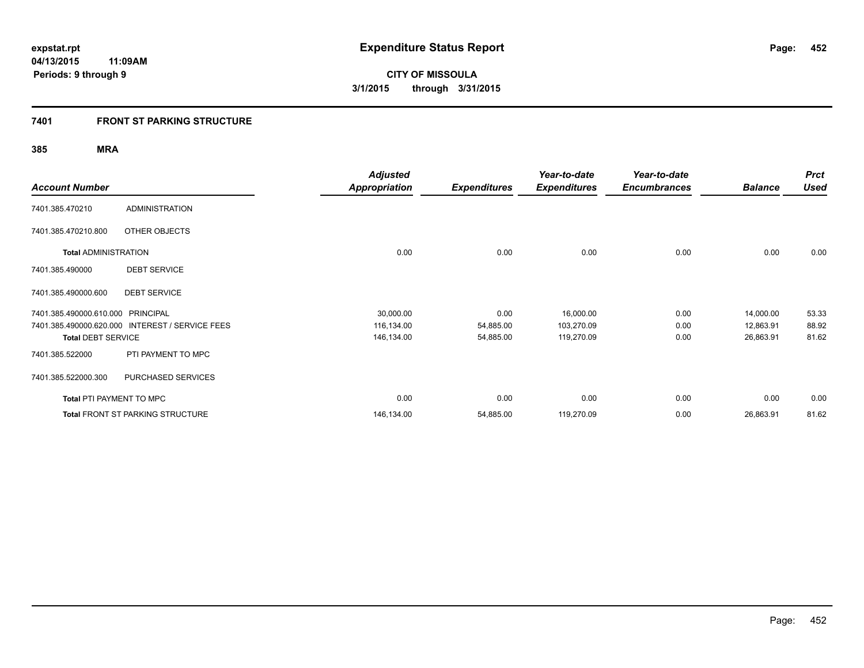## **7401 FRONT ST PARKING STRUCTURE**

| <b>Account Number</b>             |                                                 | <b>Adjusted</b><br><b>Appropriation</b> | <b>Expenditures</b> | Year-to-date<br><b>Expenditures</b> | Year-to-date<br><b>Encumbrances</b> | <b>Balance</b> | <b>Prct</b><br><b>Used</b> |
|-----------------------------------|-------------------------------------------------|-----------------------------------------|---------------------|-------------------------------------|-------------------------------------|----------------|----------------------------|
| 7401.385.470210                   | <b>ADMINISTRATION</b>                           |                                         |                     |                                     |                                     |                |                            |
| 7401.385.470210.800               | OTHER OBJECTS                                   |                                         |                     |                                     |                                     |                |                            |
| <b>Total ADMINISTRATION</b>       |                                                 | 0.00                                    | 0.00                | 0.00                                | 0.00                                | 0.00           | 0.00                       |
| 7401.385.490000                   | <b>DEBT SERVICE</b>                             |                                         |                     |                                     |                                     |                |                            |
| 7401.385.490000.600               | <b>DEBT SERVICE</b>                             |                                         |                     |                                     |                                     |                |                            |
| 7401.385.490000.610.000 PRINCIPAL |                                                 | 30,000.00                               | 0.00                | 16,000.00                           | 0.00                                | 14,000.00      | 53.33                      |
|                                   | 7401.385.490000.620.000 INTEREST / SERVICE FEES | 116,134.00                              | 54,885.00           | 103,270.09                          | 0.00                                | 12,863.91      | 88.92                      |
| <b>Total DEBT SERVICE</b>         |                                                 | 146,134.00                              | 54,885.00           | 119,270.09                          | 0.00                                | 26,863.91      | 81.62                      |
| 7401.385.522000                   | PTI PAYMENT TO MPC                              |                                         |                     |                                     |                                     |                |                            |
| 7401.385.522000.300               | PURCHASED SERVICES                              |                                         |                     |                                     |                                     |                |                            |
| Total PTI PAYMENT TO MPC          |                                                 | 0.00                                    | 0.00                | 0.00                                | 0.00                                | 0.00           | 0.00                       |
|                                   | <b>Total FRONT ST PARKING STRUCTURE</b>         | 146,134.00                              | 54,885.00           | 119,270.09                          | 0.00                                | 26,863.91      | 81.62                      |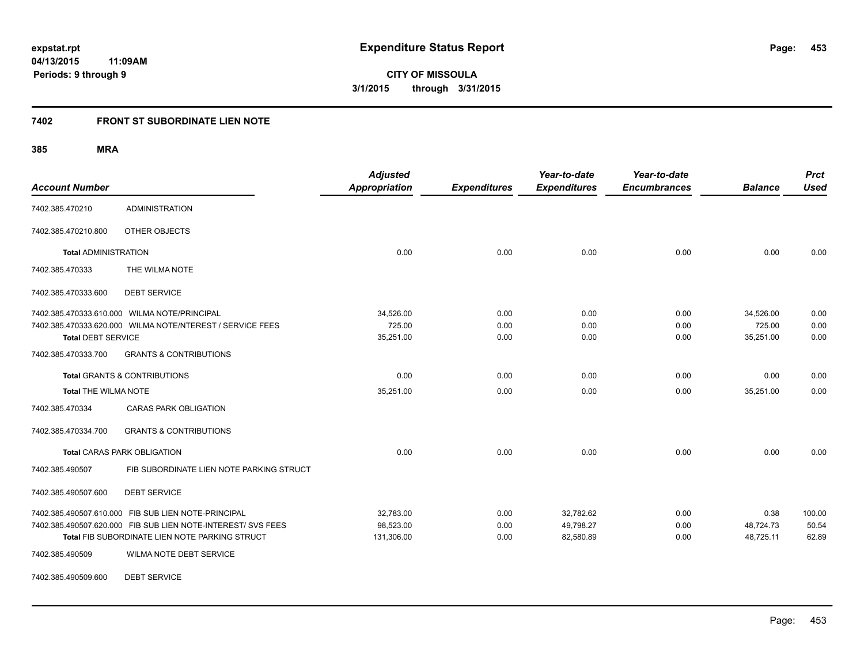**453**

**04/13/2015 11:09AM Periods: 9 through 9**

**CITY OF MISSOULA 3/1/2015 through 3/31/2015**

## **7402 FRONT ST SUBORDINATE LIEN NOTE**

**385 MRA**

| <b>Account Number</b>       |                                                              | Adjusted<br><b>Appropriation</b> | <b>Expenditures</b> | Year-to-date<br><b>Expenditures</b> | Year-to-date<br><b>Encumbrances</b> | <b>Balance</b> | <b>Prct</b><br><b>Used</b> |
|-----------------------------|--------------------------------------------------------------|----------------------------------|---------------------|-------------------------------------|-------------------------------------|----------------|----------------------------|
| 7402.385.470210             | <b>ADMINISTRATION</b>                                        |                                  |                     |                                     |                                     |                |                            |
| 7402.385.470210.800         | OTHER OBJECTS                                                |                                  |                     |                                     |                                     |                |                            |
| <b>Total ADMINISTRATION</b> |                                                              | 0.00                             | 0.00                | 0.00                                | 0.00                                | 0.00           | 0.00                       |
| 7402.385.470333             | THE WILMA NOTE                                               |                                  |                     |                                     |                                     |                |                            |
| 7402.385.470333.600         | <b>DEBT SERVICE</b>                                          |                                  |                     |                                     |                                     |                |                            |
|                             | 7402.385.470333.610.000 WILMA NOTE/PRINCIPAL                 | 34,526.00                        | 0.00                | 0.00                                | 0.00                                | 34,526.00      | 0.00                       |
|                             | 7402.385.470333.620.000 WILMA NOTE/NTEREST / SERVICE FEES    | 725.00                           | 0.00                | 0.00                                | 0.00                                | 725.00         | 0.00                       |
| <b>Total DEBT SERVICE</b>   |                                                              | 35,251.00                        | 0.00                | 0.00                                | 0.00                                | 35,251.00      | 0.00                       |
| 7402.385.470333.700         | <b>GRANTS &amp; CONTRIBUTIONS</b>                            |                                  |                     |                                     |                                     |                |                            |
|                             | <b>Total GRANTS &amp; CONTRIBUTIONS</b>                      | 0.00                             | 0.00                | 0.00                                | 0.00                                | 0.00           | 0.00                       |
| <b>Total THE WILMA NOTE</b> |                                                              | 35,251.00                        | 0.00                | 0.00                                | 0.00                                | 35,251.00      | 0.00                       |
| 7402.385.470334             | <b>CARAS PARK OBLIGATION</b>                                 |                                  |                     |                                     |                                     |                |                            |
| 7402.385.470334.700         | <b>GRANTS &amp; CONTRIBUTIONS</b>                            |                                  |                     |                                     |                                     |                |                            |
|                             | <b>Total CARAS PARK OBLIGATION</b>                           | 0.00                             | 0.00                | 0.00                                | 0.00                                | 0.00           | 0.00                       |
| 7402.385.490507             | FIB SUBORDINATE LIEN NOTE PARKING STRUCT                     |                                  |                     |                                     |                                     |                |                            |
| 7402.385.490507.600         | <b>DEBT SERVICE</b>                                          |                                  |                     |                                     |                                     |                |                            |
|                             | 7402.385.490507.610.000 FIB SUB LIEN NOTE-PRINCIPAL          | 32,783.00                        | 0.00                | 32,782.62                           | 0.00                                | 0.38           | 100.00                     |
|                             | 7402.385.490507.620.000 FIB SUB LIEN NOTE-INTEREST/ SVS FEES | 98,523.00                        | 0.00                | 49,798.27                           | 0.00                                | 48,724.73      | 50.54                      |
|                             | Total FIB SUBORDINATE LIEN NOTE PARKING STRUCT               | 131,306.00                       | 0.00                | 82,580.89                           | 0.00                                | 48,725.11      | 62.89                      |
| 7402.385.490509             | <b>WILMA NOTE DEBT SERVICE</b>                               |                                  |                     |                                     |                                     |                |                            |

7402.385.490509.600 DEBT SERVICE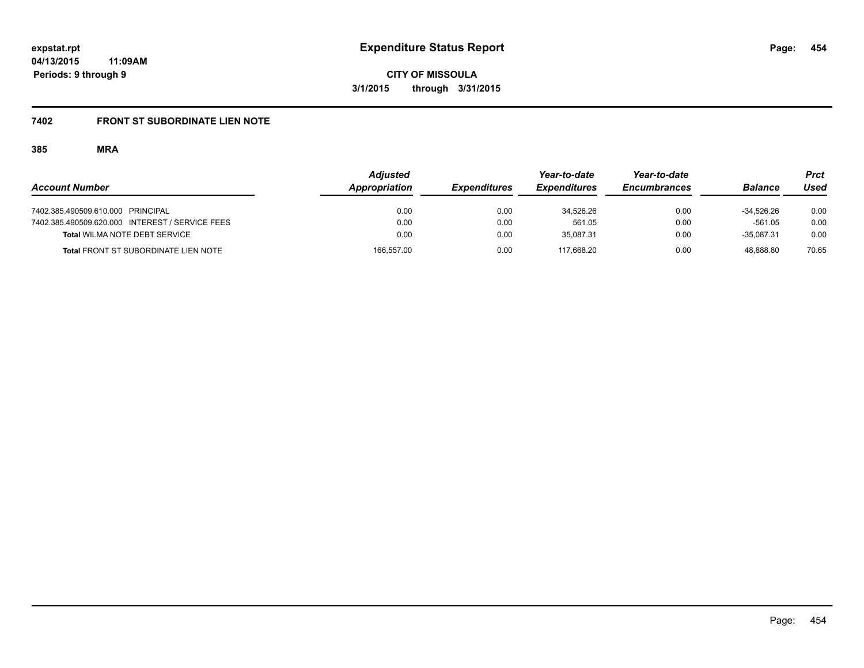# **7402 FRONT ST SUBORDINATE LIEN NOTE**

|                                                 | <b>Adjusted</b> |                     | Year-to-date        | Year-to-date        |                | Prct  |
|-------------------------------------------------|-----------------|---------------------|---------------------|---------------------|----------------|-------|
| <b>Account Number</b>                           | Appropriation   | <b>Expenditures</b> | <b>Expenditures</b> | <b>Encumbrances</b> | <b>Balance</b> | Used  |
| 7402.385.490509.610.000 PRINCIPAL               | 0.00            | 0.00                | 34.526.26           | 0.00                | $-34.526.26$   | 0.00  |
| 7402.385.490509.620.000 INTEREST / SERVICE FEES | 0.00            | 0.00                | 561.05              | 0.00                | $-561.05$      | 0.00  |
| Total WILMA NOTE DEBT SERVICE                   | 0.00            | 0.00                | 35.087.31           | 0.00                | $-35.087.31$   | 0.00  |
| <b>Total FRONT ST SUBORDINATE LIEN NOTE</b>     | 166,557.00      | 0.00                | 117.668.20          | 0.00                | 48.888.80      | 70.65 |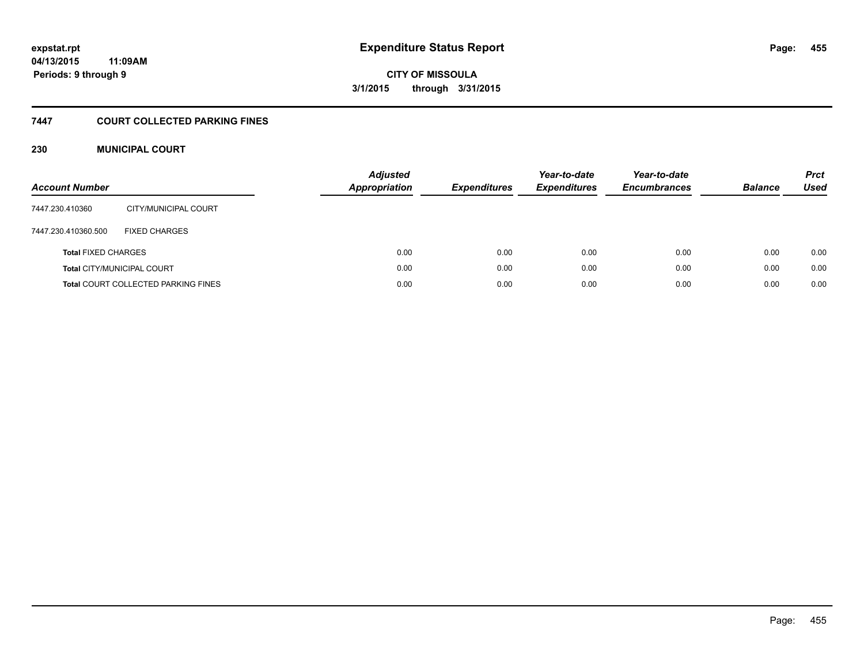**455**

**04/13/2015 11:09AM Periods: 9 through 9**

**CITY OF MISSOULA 3/1/2015 through 3/31/2015**

## **7447 COURT COLLECTED PARKING FINES**

## **230 MUNICIPAL COURT**

| <b>Account Number</b>      |                                            | <b>Adjusted</b><br><b>Appropriation</b> | <b>Expenditures</b> | Year-to-date<br><b>Expenditures</b> | Year-to-date<br><b>Encumbrances</b> | <b>Balance</b> | <b>Prct</b><br><b>Used</b> |
|----------------------------|--------------------------------------------|-----------------------------------------|---------------------|-------------------------------------|-------------------------------------|----------------|----------------------------|
| 7447.230.410360            | CITY/MUNICIPAL COURT                       |                                         |                     |                                     |                                     |                |                            |
| 7447.230.410360.500        | <b>FIXED CHARGES</b>                       |                                         |                     |                                     |                                     |                |                            |
| <b>Total FIXED CHARGES</b> |                                            | 0.00                                    | 0.00                | 0.00                                | 0.00                                | 0.00           | 0.00                       |
|                            | <b>Total CITY/MUNICIPAL COURT</b>          | 0.00                                    | 0.00                | 0.00                                | 0.00                                | 0.00           | 0.00                       |
|                            | <b>Total COURT COLLECTED PARKING FINES</b> | 0.00                                    | 0.00                | 0.00                                | 0.00                                | 0.00           | 0.00                       |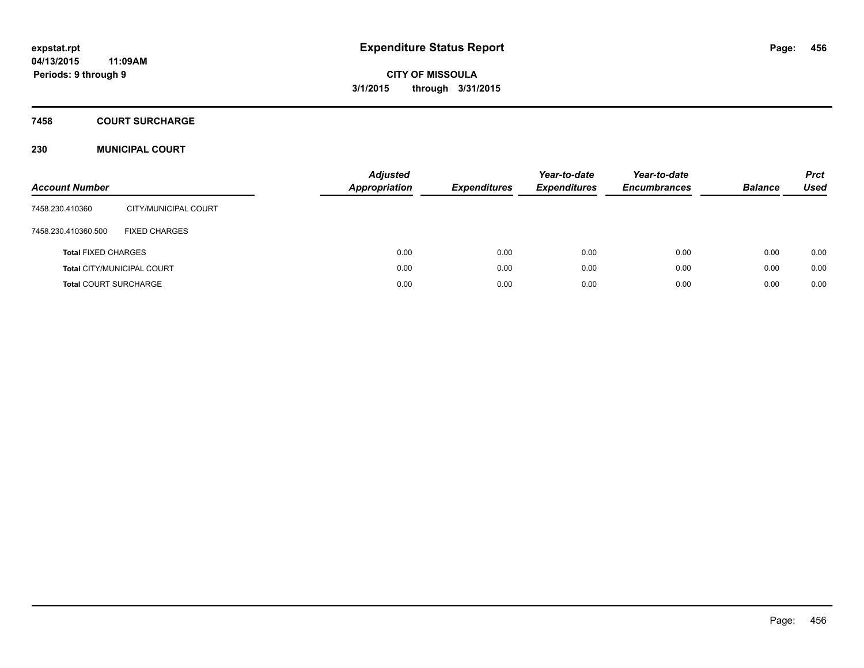## **7458 COURT SURCHARGE**

## **230 MUNICIPAL COURT**

| <b>Account Number</b>        |                                   | <b>Adjusted</b><br>Appropriation | <b>Expenditures</b> | Year-to-date<br><b>Expenditures</b> | Year-to-date<br><b>Encumbrances</b> | <b>Balance</b> | <b>Prct</b><br><b>Used</b> |
|------------------------------|-----------------------------------|----------------------------------|---------------------|-------------------------------------|-------------------------------------|----------------|----------------------------|
| 7458.230.410360              | CITY/MUNICIPAL COURT              |                                  |                     |                                     |                                     |                |                            |
| 7458.230.410360.500          | <b>FIXED CHARGES</b>              |                                  |                     |                                     |                                     |                |                            |
| <b>Total FIXED CHARGES</b>   |                                   | 0.00                             | 0.00                | 0.00                                | 0.00                                | 0.00           | 0.00                       |
|                              | <b>Total CITY/MUNICIPAL COURT</b> | 0.00                             | 0.00                | 0.00                                | 0.00                                | 0.00           | 0.00                       |
| <b>Total COURT SURCHARGE</b> |                                   | 0.00                             | 0.00                | 0.00                                | 0.00                                | 0.00           | 0.00                       |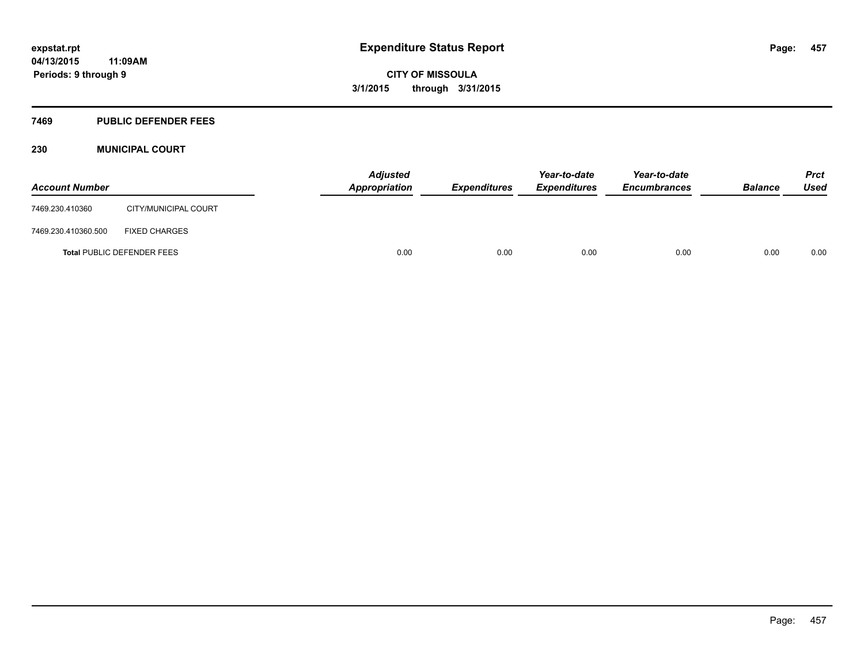### **7469 PUBLIC DEFENDER FEES**

## **230 MUNICIPAL COURT**

| <b>Account Number</b>             |                      | <b>Adjusted</b><br>Appropriation | <b>Expenditures</b> | Year-to-date<br><b>Expenditures</b> | Year-to-date<br><b>Encumbrances</b> | <b>Balance</b> | <b>Prct</b><br><b>Used</b> |
|-----------------------------------|----------------------|----------------------------------|---------------------|-------------------------------------|-------------------------------------|----------------|----------------------------|
| 7469.230.410360                   | CITY/MUNICIPAL COURT |                                  |                     |                                     |                                     |                |                            |
| 7469.230.410360.500               | <b>FIXED CHARGES</b> |                                  |                     |                                     |                                     |                |                            |
| <b>Total PUBLIC DEFENDER FEES</b> |                      | 0.00                             | 0.00                | 0.00                                | 0.00                                | 0.00           | 0.00                       |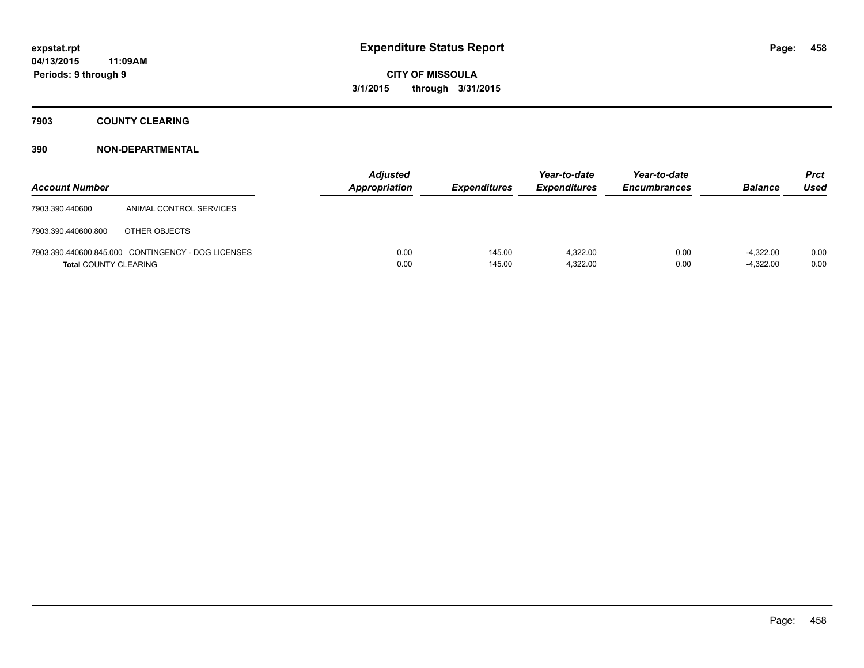## **7903 COUNTY CLEARING**

| <b>Account Number</b>        |                                                    | <b>Adjusted</b><br><b>Appropriation</b> | <b>Expenditures</b> | Year-to-date<br><b>Expenditures</b> | Year-to-date<br><b>Encumbrances</b> | <b>Balance</b>             | <b>Prct</b><br><b>Used</b> |
|------------------------------|----------------------------------------------------|-----------------------------------------|---------------------|-------------------------------------|-------------------------------------|----------------------------|----------------------------|
| 7903.390.440600              | ANIMAL CONTROL SERVICES                            |                                         |                     |                                     |                                     |                            |                            |
| 7903.390.440600.800          | OTHER OBJECTS                                      |                                         |                     |                                     |                                     |                            |                            |
| <b>Total COUNTY CLEARING</b> | 7903.390.440600.845.000 CONTINGENCY - DOG LICENSES | 0.00<br>0.00                            | 145.00<br>145.00    | 4.322.00<br>4,322.00                | 0.00<br>0.00                        | $-4.322.00$<br>$-4.322.00$ | 0.00<br>0.00               |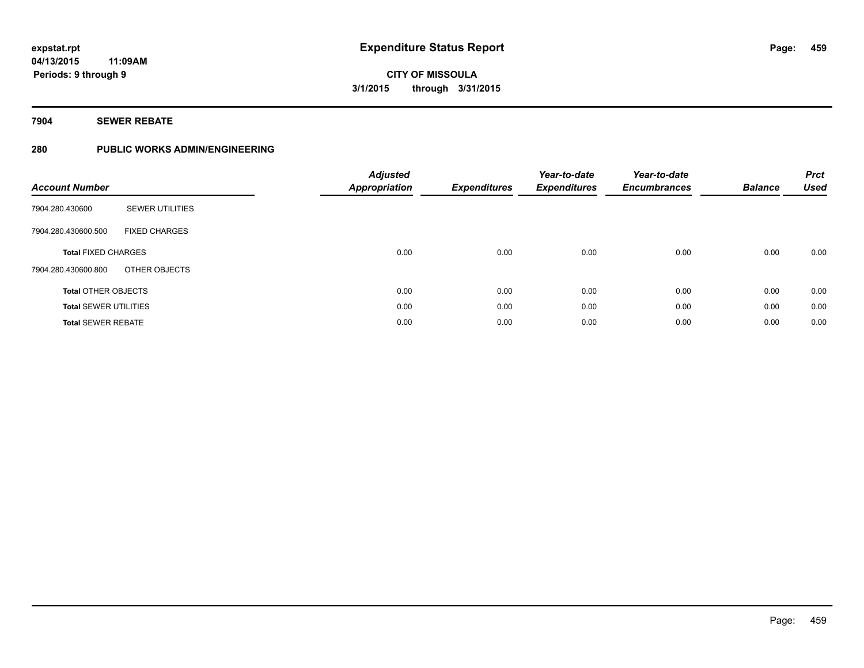## **7904 SEWER REBATE**

## **280 PUBLIC WORKS ADMIN/ENGINEERING**

| <b>Account Number</b>        |                        | <b>Adjusted</b><br><b>Appropriation</b> | <b>Expenditures</b> | Year-to-date<br><b>Expenditures</b> | Year-to-date<br><b>Encumbrances</b> | <b>Balance</b> | <b>Prct</b><br><b>Used</b> |
|------------------------------|------------------------|-----------------------------------------|---------------------|-------------------------------------|-------------------------------------|----------------|----------------------------|
| 7904.280.430600              | <b>SEWER UTILITIES</b> |                                         |                     |                                     |                                     |                |                            |
| 7904.280.430600.500          | <b>FIXED CHARGES</b>   |                                         |                     |                                     |                                     |                |                            |
| <b>Total FIXED CHARGES</b>   |                        | 0.00                                    | 0.00                | 0.00                                | 0.00                                | 0.00           | 0.00                       |
| 7904.280.430600.800          | OTHER OBJECTS          |                                         |                     |                                     |                                     |                |                            |
| <b>Total OTHER OBJECTS</b>   |                        | 0.00                                    | 0.00                | 0.00                                | 0.00                                | 0.00           | 0.00                       |
| <b>Total SEWER UTILITIES</b> |                        | 0.00                                    | 0.00                | 0.00                                | 0.00                                | 0.00           | 0.00                       |
| <b>Total SEWER REBATE</b>    |                        | 0.00                                    | 0.00                | 0.00                                | 0.00                                | 0.00           | 0.00                       |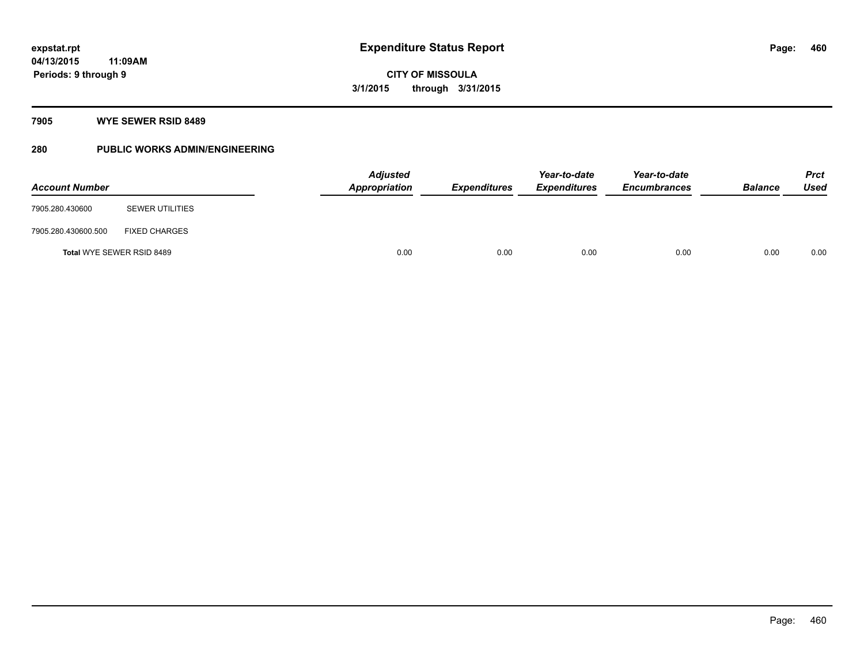## **7905 WYE SEWER RSID 8489**

## **280 PUBLIC WORKS ADMIN/ENGINEERING**

| <b>Account Number</b>     |                        |      | <b>Adjusted</b><br><b>Appropriation</b> | <b>Expenditures</b> | Year-to-date<br><b>Expenditures</b> | Year-to-date<br><b>Encumbrances</b> | <b>Balance</b> | <b>Prct</b><br><b>Used</b> |
|---------------------------|------------------------|------|-----------------------------------------|---------------------|-------------------------------------|-------------------------------------|----------------|----------------------------|
| 7905.280.430600           | <b>SEWER UTILITIES</b> |      |                                         |                     |                                     |                                     |                |                            |
| 7905.280.430600.500       | <b>FIXED CHARGES</b>   |      |                                         |                     |                                     |                                     |                |                            |
| Total WYE SEWER RSID 8489 |                        | 0.00 | 0.00                                    | 0.00                | 0.00                                | 0.00                                | 0.00           |                            |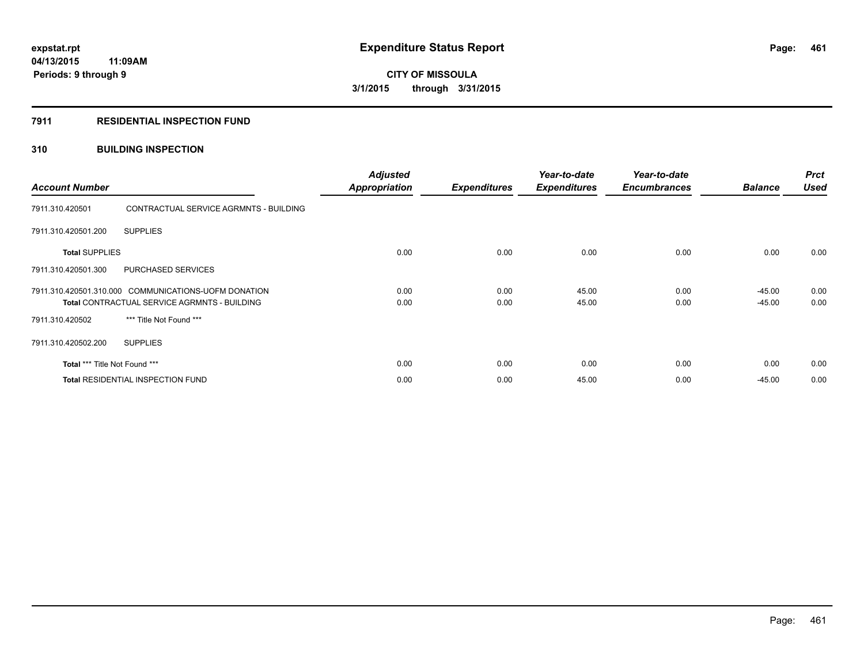## **7911 RESIDENTIAL INSPECTION FUND**

## **310 BUILDING INSPECTION**

| <b>Account Number</b>                                                                                |                                          | <b>Adjusted</b><br><b>Appropriation</b> | <b>Expenditures</b> | Year-to-date<br><b>Expenditures</b> | Year-to-date<br><b>Encumbrances</b> | <b>Balance</b>       | <b>Prct</b><br><b>Used</b> |
|------------------------------------------------------------------------------------------------------|------------------------------------------|-----------------------------------------|---------------------|-------------------------------------|-------------------------------------|----------------------|----------------------------|
| 7911.310.420501                                                                                      | CONTRACTUAL SERVICE AGRMNTS - BUILDING   |                                         |                     |                                     |                                     |                      |                            |
| 7911.310.420501.200                                                                                  | <b>SUPPLIES</b>                          |                                         |                     |                                     |                                     |                      |                            |
| <b>Total SUPPLIES</b>                                                                                |                                          | 0.00                                    | 0.00                | 0.00                                | 0.00                                | 0.00                 | 0.00                       |
| 7911.310.420501.300                                                                                  | PURCHASED SERVICES                       |                                         |                     |                                     |                                     |                      |                            |
| 7911.310.420501.310.000 COMMUNICATIONS-UOFM DONATION<br>Total CONTRACTUAL SERVICE AGRMNTS - BUILDING |                                          | 0.00<br>0.00                            | 0.00<br>0.00        | 45.00<br>45.00                      | 0.00<br>0.00                        | $-45.00$<br>$-45.00$ | 0.00<br>0.00               |
| 7911.310.420502                                                                                      | *** Title Not Found ***                  |                                         |                     |                                     |                                     |                      |                            |
| 7911.310.420502.200                                                                                  | <b>SUPPLIES</b>                          |                                         |                     |                                     |                                     |                      |                            |
| Total *** Title Not Found ***                                                                        |                                          | 0.00                                    | 0.00                | 0.00                                | 0.00                                | 0.00                 | 0.00                       |
|                                                                                                      | <b>Total RESIDENTIAL INSPECTION FUND</b> | 0.00                                    | 0.00                | 45.00                               | 0.00                                | $-45.00$             | 0.00                       |